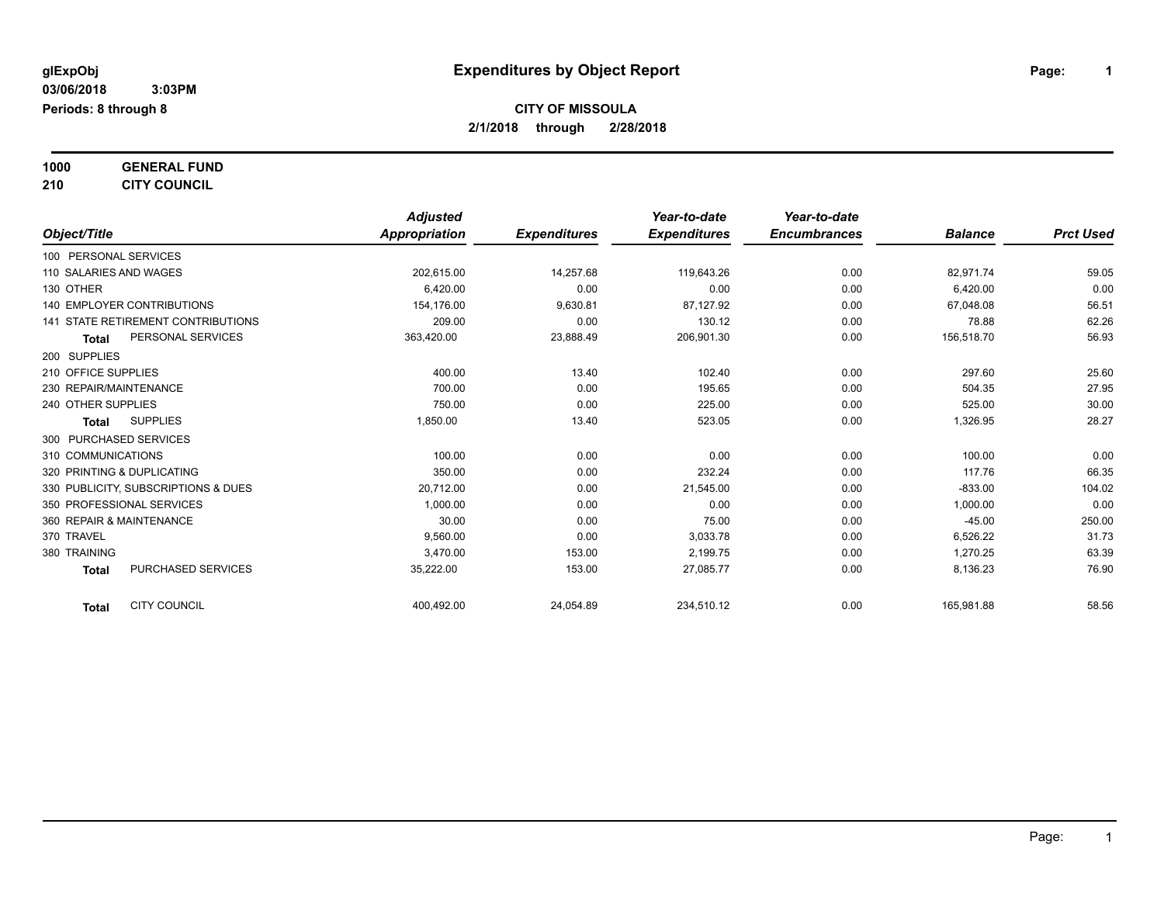**1000 GENERAL FUND**

**210 CITY COUNCIL**

|                                           | <b>Adjusted</b> |                     | Year-to-date        | Year-to-date        |                |                  |
|-------------------------------------------|-----------------|---------------------|---------------------|---------------------|----------------|------------------|
| Object/Title                              | Appropriation   | <b>Expenditures</b> | <b>Expenditures</b> | <b>Encumbrances</b> | <b>Balance</b> | <b>Prct Used</b> |
| 100 PERSONAL SERVICES                     |                 |                     |                     |                     |                |                  |
| 110 SALARIES AND WAGES                    | 202,615.00      | 14,257.68           | 119,643.26          | 0.00                | 82,971.74      | 59.05            |
| 130 OTHER                                 | 6,420.00        | 0.00                | 0.00                | 0.00                | 6,420.00       | 0.00             |
| <b>140 EMPLOYER CONTRIBUTIONS</b>         | 154,176.00      | 9,630.81            | 87,127.92           | 0.00                | 67,048.08      | 56.51            |
| <b>141 STATE RETIREMENT CONTRIBUTIONS</b> | 209.00          | 0.00                | 130.12              | 0.00                | 78.88          | 62.26            |
| PERSONAL SERVICES<br><b>Total</b>         | 363,420.00      | 23,888.49           | 206,901.30          | 0.00                | 156,518.70     | 56.93            |
| 200 SUPPLIES                              |                 |                     |                     |                     |                |                  |
| 210 OFFICE SUPPLIES                       | 400.00          | 13.40               | 102.40              | 0.00                | 297.60         | 25.60            |
| 230 REPAIR/MAINTENANCE                    | 700.00          | 0.00                | 195.65              | 0.00                | 504.35         | 27.95            |
| 240 OTHER SUPPLIES                        | 750.00          | 0.00                | 225.00              | 0.00                | 525.00         | 30.00            |
| <b>SUPPLIES</b><br>Total                  | 1,850.00        | 13.40               | 523.05              | 0.00                | 1,326.95       | 28.27            |
| 300 PURCHASED SERVICES                    |                 |                     |                     |                     |                |                  |
| 310 COMMUNICATIONS                        | 100.00          | 0.00                | 0.00                | 0.00                | 100.00         | 0.00             |
| 320 PRINTING & DUPLICATING                | 350.00          | 0.00                | 232.24              | 0.00                | 117.76         | 66.35            |
| 330 PUBLICITY, SUBSCRIPTIONS & DUES       | 20,712.00       | 0.00                | 21,545.00           | 0.00                | $-833.00$      | 104.02           |
| 350 PROFESSIONAL SERVICES                 | 1,000.00        | 0.00                | 0.00                | 0.00                | 1,000.00       | 0.00             |
| 360 REPAIR & MAINTENANCE                  | 30.00           | 0.00                | 75.00               | 0.00                | $-45.00$       | 250.00           |
| 370 TRAVEL                                | 9,560.00        | 0.00                | 3,033.78            | 0.00                | 6,526.22       | 31.73            |
| 380 TRAINING                              | 3,470.00        | 153.00              | 2,199.75            | 0.00                | 1,270.25       | 63.39            |
| PURCHASED SERVICES<br><b>Total</b>        | 35,222.00       | 153.00              | 27,085.77           | 0.00                | 8,136.23       | 76.90            |
| <b>CITY COUNCIL</b><br><b>Total</b>       | 400,492.00      | 24,054.89           | 234,510.12          | 0.00                | 165,981.88     | 58.56            |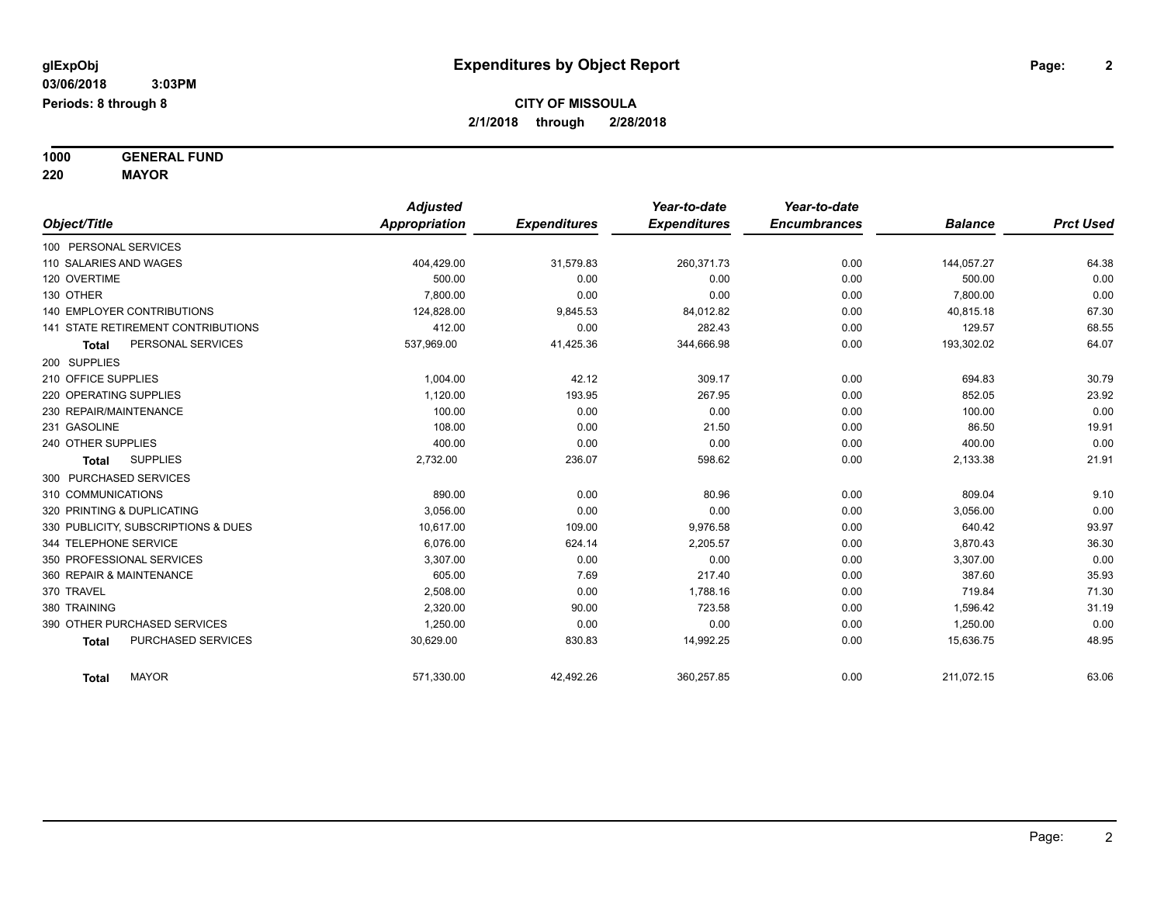**1000 GENERAL FUND 220 MAYOR**

*Object/Title Adjusted Appropriation Expenditures Year-to-date Expenditures Year-to-date Encumbrances Balance Prct Used* 100 PERSONAL SERVICES 110 SALARIES AND WAGES 404,429.00 31,579.83 260,371.73 0.00 144,057.27 64.38 120 OVERTIME 500.00 0.00 0.00 0.00 500.00 0.00 130 OTHER 7,800.00 0.00 0.00 0.00 7,800.00 0.00 140 EMPLOYER CONTRIBUTIONS 124,828.00 9,845.53 84,012.82 0.00 40,815.18 67.30 67.30 141 STATE RETIREMENT CONTRIBUTIONS 412.00 0.00 282.43 0.00 129.57 68.55 **Total** PERSONAL SERVICES 537,969.00 41,425.36 344,666.98 0.00 193,302.02 64.07 200 SUPPLIES 210 OFFICE SUPPLIES 1,004.00 42.12 309.17 0.00 694.83 30.79 220 OPERATING SUPPLIES 23.92 200 193.95 267.95 267.95 267.95 267.95 267.95 267.95 267.95 267.95 267.95 267.95 267.95 267.95 267.95 267.95 267.95 267.95 267.95 267.95 267.95 267.95 267.95 267.95 267.95 267.95 267.95 267.95  $230$  REPAIR/MAINTENANCE  $\hphantom{-}0.00$   $\hphantom{-}0.00$   $\hphantom{-}0.00$   $\hphantom{-}0.00$   $\hphantom{-}0.00$   $\hphantom{-}0.00$   $\hphantom{-}0.00$ 231 GASOLINE 108.00 0.00 21.50 0.00 86.50 19.91 240 OTHER SUPPLIES 400.00 0.00 0.00 0.00 400.00 0.00 **Total** SUPPLIES 2,732.00 236.07 598.62 0.00 2,133.38 21.91 300 PURCHASED SERVICES 310 COMMUNICATIONS 890.00 0.00 80.96 0.00 809.04 9.10 320 PRINTING & DUPLICATING 3,056.00 0.00 0.00 0.00 3,056.00 0.00 330 PUBLICITY, SUBSCRIPTIONS & DUES 10.617.00 9.976.58 0.00 640.42 93.97 344 TELEPHONE SERVICE 6,076.00 624.14 2,205.57 0.00 3,870.43 36.30 350 PROFESSIONAL SERVICES 3,307.00 0.00 0.00 0.00 3,307.00 0.00 360 REPAIR & MAINTENANCE 605.00 7.69 217.40 0.00 387.60 35.93 370 TRAVEL 2,508.00 0.00 1,788.16 0.00 719.84 71.30 380 TRAINING 2,320.00 90.00 723.58 0.00 1,596.42 31.19 390 OTHER PURCHASED SERVICES 1,250.00 0.00 0.00 0.00 1,250.00 0.00 **Total** PURCHASED SERVICES 30,629.00 830.83 14,992.25 0.00 15,636.75 48.95 **Total** MAYOR 571,330.00 42,492.26 360,257.85 0.00 211,072.15 63.06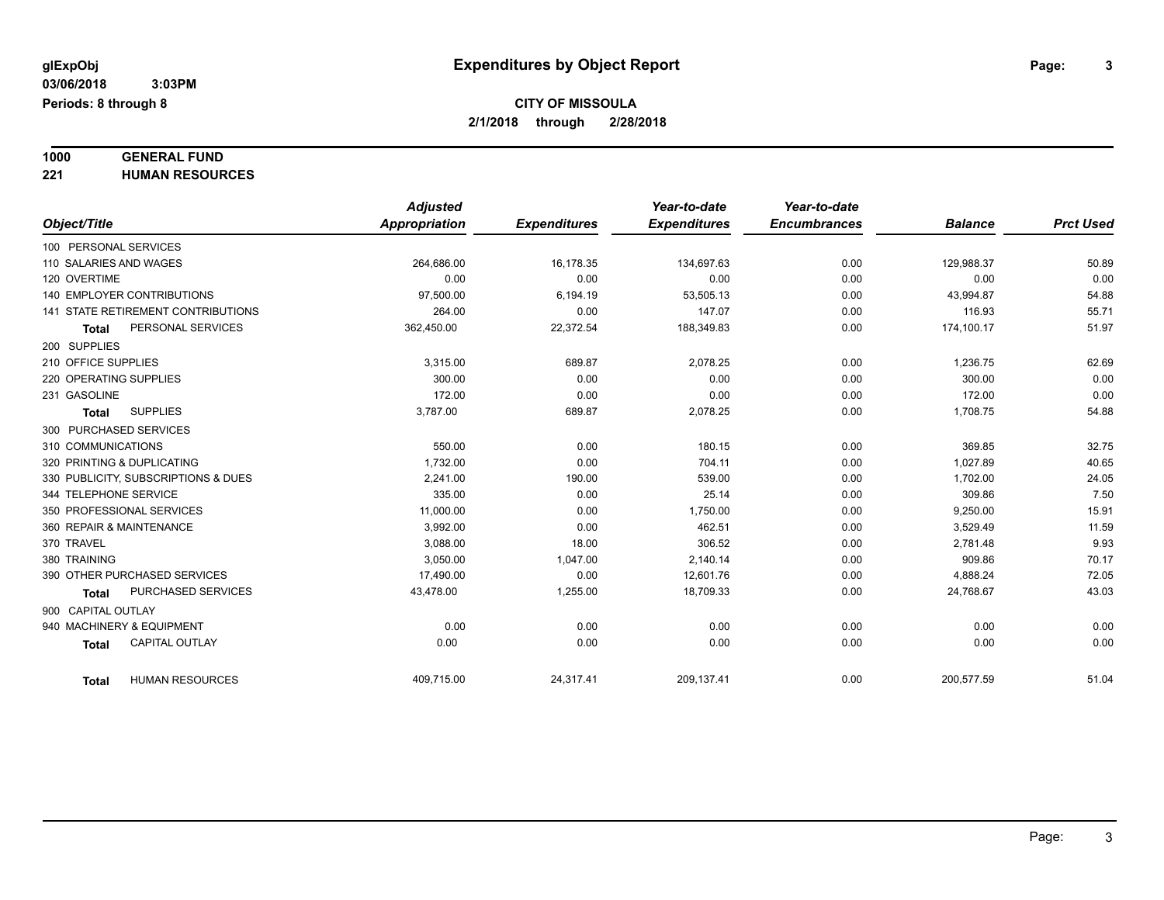# **1000 GENERAL FUND**

**221 HUMAN RESOURCES**

|                                           | <b>Adjusted</b> |                     | Year-to-date        | Year-to-date        |                |                  |
|-------------------------------------------|-----------------|---------------------|---------------------|---------------------|----------------|------------------|
| Object/Title                              | Appropriation   | <b>Expenditures</b> | <b>Expenditures</b> | <b>Encumbrances</b> | <b>Balance</b> | <b>Prct Used</b> |
| 100 PERSONAL SERVICES                     |                 |                     |                     |                     |                |                  |
| 110 SALARIES AND WAGES                    | 264.686.00      | 16,178.35           | 134,697.63          | 0.00                | 129,988.37     | 50.89            |
| 120 OVERTIME                              | 0.00            | 0.00                | 0.00                | 0.00                | 0.00           | 0.00             |
| <b>140 EMPLOYER CONTRIBUTIONS</b>         | 97,500.00       | 6,194.19            | 53,505.13           | 0.00                | 43,994.87      | 54.88            |
| <b>141 STATE RETIREMENT CONTRIBUTIONS</b> | 264.00          | 0.00                | 147.07              | 0.00                | 116.93         | 55.71            |
| PERSONAL SERVICES<br><b>Total</b>         | 362,450.00      | 22,372.54           | 188,349.83          | 0.00                | 174,100.17     | 51.97            |
| 200 SUPPLIES                              |                 |                     |                     |                     |                |                  |
| 210 OFFICE SUPPLIES                       | 3,315.00        | 689.87              | 2,078.25            | 0.00                | 1,236.75       | 62.69            |
| 220 OPERATING SUPPLIES                    | 300.00          | 0.00                | 0.00                | 0.00                | 300.00         | 0.00             |
| 231 GASOLINE                              | 172.00          | 0.00                | 0.00                | 0.00                | 172.00         | 0.00             |
| <b>SUPPLIES</b><br><b>Total</b>           | 3,787.00        | 689.87              | 2,078.25            | 0.00                | 1,708.75       | 54.88            |
| 300 PURCHASED SERVICES                    |                 |                     |                     |                     |                |                  |
| 310 COMMUNICATIONS                        | 550.00          | 0.00                | 180.15              | 0.00                | 369.85         | 32.75            |
| 320 PRINTING & DUPLICATING                | 1,732.00        | 0.00                | 704.11              | 0.00                | 1,027.89       | 40.65            |
| 330 PUBLICITY, SUBSCRIPTIONS & DUES       | 2.241.00        | 190.00              | 539.00              | 0.00                | 1,702.00       | 24.05            |
| 344 TELEPHONE SERVICE                     | 335.00          | 0.00                | 25.14               | 0.00                | 309.86         | 7.50             |
| 350 PROFESSIONAL SERVICES                 | 11,000.00       | 0.00                | 1,750.00            | 0.00                | 9,250.00       | 15.91            |
| 360 REPAIR & MAINTENANCE                  | 3,992.00        | 0.00                | 462.51              | 0.00                | 3,529.49       | 11.59            |
| 370 TRAVEL                                | 3,088.00        | 18.00               | 306.52              | 0.00                | 2,781.48       | 9.93             |
| 380 TRAINING                              | 3,050.00        | 1,047.00            | 2,140.14            | 0.00                | 909.86         | 70.17            |
| 390 OTHER PURCHASED SERVICES              | 17,490.00       | 0.00                | 12,601.76           | 0.00                | 4,888.24       | 72.05            |
| PURCHASED SERVICES<br><b>Total</b>        | 43,478.00       | 1,255.00            | 18,709.33           | 0.00                | 24,768.67      | 43.03            |
| 900 CAPITAL OUTLAY                        |                 |                     |                     |                     |                |                  |
| 940 MACHINERY & EQUIPMENT                 | 0.00            | 0.00                | 0.00                | 0.00                | 0.00           | 0.00             |
| <b>CAPITAL OUTLAY</b><br><b>Total</b>     | 0.00            | 0.00                | 0.00                | 0.00                | 0.00           | 0.00             |
| <b>HUMAN RESOURCES</b><br>Total           | 409,715.00      | 24,317.41           | 209,137.41          | 0.00                | 200,577.59     | 51.04            |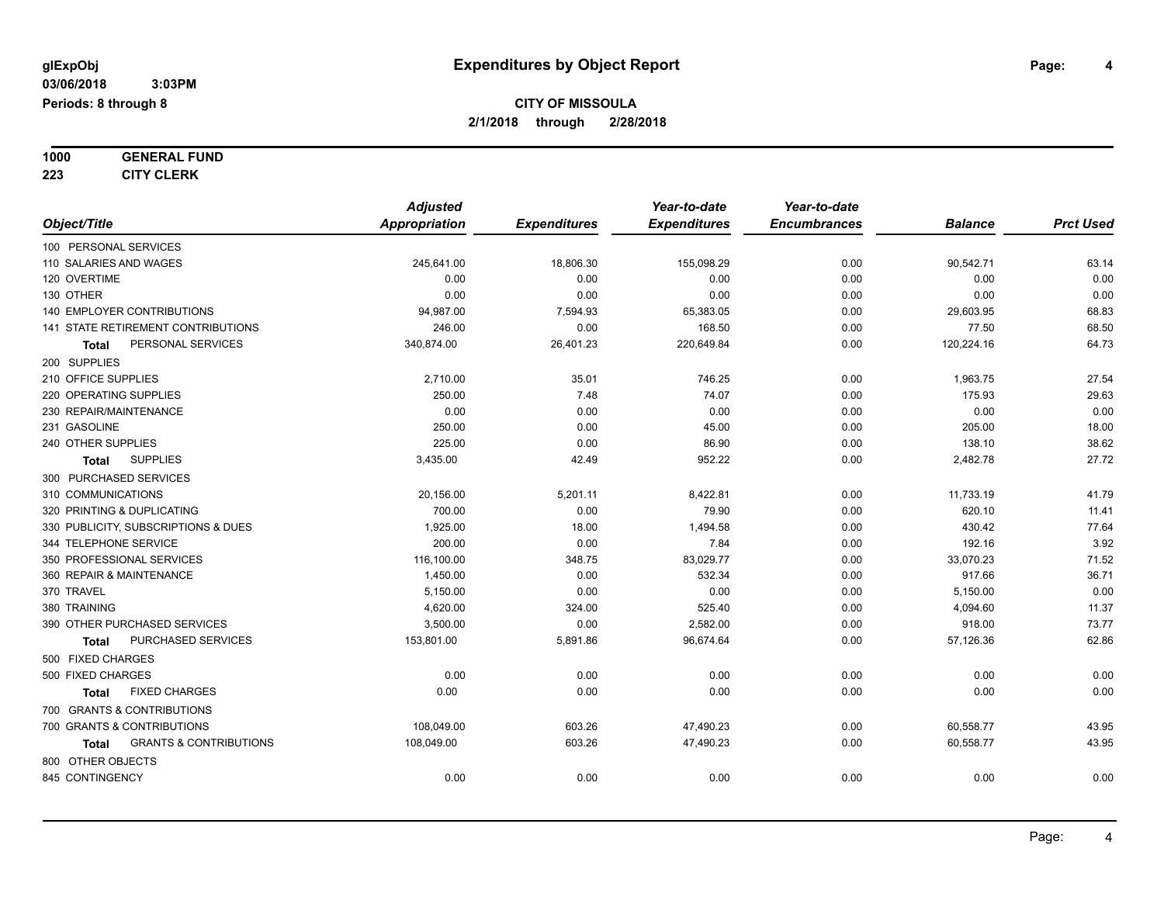**1000 GENERAL FUND**

**223 CITY CLERK**

|                                            | <b>Adjusted</b> |                     | Year-to-date        | Year-to-date        |                |                  |
|--------------------------------------------|-----------------|---------------------|---------------------|---------------------|----------------|------------------|
| Object/Title                               | Appropriation   | <b>Expenditures</b> | <b>Expenditures</b> | <b>Encumbrances</b> | <b>Balance</b> | <b>Prct Used</b> |
| 100 PERSONAL SERVICES                      |                 |                     |                     |                     |                |                  |
| 110 SALARIES AND WAGES                     | 245,641.00      | 18,806.30           | 155,098.29          | 0.00                | 90,542.71      | 63.14            |
| 120 OVERTIME                               | 0.00            | 0.00                | 0.00                | 0.00                | 0.00           | 0.00             |
| 130 OTHER                                  | 0.00            | 0.00                | 0.00                | 0.00                | 0.00           | 0.00             |
| <b>140 EMPLOYER CONTRIBUTIONS</b>          | 94,987.00       | 7,594.93            | 65,383.05           | 0.00                | 29,603.95      | 68.83            |
| 141 STATE RETIREMENT CONTRIBUTIONS         | 246.00          | 0.00                | 168.50              | 0.00                | 77.50          | 68.50            |
| PERSONAL SERVICES<br>Total                 | 340,874.00      | 26,401.23           | 220,649.84          | 0.00                | 120,224.16     | 64.73            |
| 200 SUPPLIES                               |                 |                     |                     |                     |                |                  |
| 210 OFFICE SUPPLIES                        | 2,710.00        | 35.01               | 746.25              | 0.00                | 1,963.75       | 27.54            |
| 220 OPERATING SUPPLIES                     | 250.00          | 7.48                | 74.07               | 0.00                | 175.93         | 29.63            |
| 230 REPAIR/MAINTENANCE                     | 0.00            | 0.00                | 0.00                | 0.00                | 0.00           | 0.00             |
| 231 GASOLINE                               | 250.00          | 0.00                | 45.00               | 0.00                | 205.00         | 18.00            |
| 240 OTHER SUPPLIES                         | 225.00          | 0.00                | 86.90               | 0.00                | 138.10         | 38.62            |
| <b>SUPPLIES</b><br>Total                   | 3,435.00        | 42.49               | 952.22              | 0.00                | 2,482.78       | 27.72            |
| 300 PURCHASED SERVICES                     |                 |                     |                     |                     |                |                  |
| 310 COMMUNICATIONS                         | 20,156.00       | 5,201.11            | 8,422.81            | 0.00                | 11,733.19      | 41.79            |
| 320 PRINTING & DUPLICATING                 | 700.00          | 0.00                | 79.90               | 0.00                | 620.10         | 11.41            |
| 330 PUBLICITY, SUBSCRIPTIONS & DUES        | 1,925.00        | 18.00               | 1,494.58            | 0.00                | 430.42         | 77.64            |
| 344 TELEPHONE SERVICE                      | 200.00          | 0.00                | 7.84                | 0.00                | 192.16         | 3.92             |
| 350 PROFESSIONAL SERVICES                  | 116,100.00      | 348.75              | 83,029.77           | 0.00                | 33,070.23      | 71.52            |
| 360 REPAIR & MAINTENANCE                   | 1,450.00        | 0.00                | 532.34              | 0.00                | 917.66         | 36.71            |
| 370 TRAVEL                                 | 5,150.00        | 0.00                | 0.00                | 0.00                | 5,150.00       | 0.00             |
| 380 TRAINING                               | 4,620.00        | 324.00              | 525.40              | 0.00                | 4,094.60       | 11.37            |
| 390 OTHER PURCHASED SERVICES               | 3,500.00        | 0.00                | 2,582.00            | 0.00                | 918.00         | 73.77            |
| PURCHASED SERVICES<br>Total                | 153,801.00      | 5,891.86            | 96,674.64           | 0.00                | 57,126.36      | 62.86            |
| 500 FIXED CHARGES                          |                 |                     |                     |                     |                |                  |
| 500 FIXED CHARGES                          | 0.00            | 0.00                | 0.00                | 0.00                | 0.00           | 0.00             |
| <b>FIXED CHARGES</b><br><b>Total</b>       | 0.00            | 0.00                | 0.00                | 0.00                | 0.00           | 0.00             |
| 700 GRANTS & CONTRIBUTIONS                 |                 |                     |                     |                     |                |                  |
| 700 GRANTS & CONTRIBUTIONS                 | 108,049.00      | 603.26              | 47,490.23           | 0.00                | 60,558.77      | 43.95            |
| <b>GRANTS &amp; CONTRIBUTIONS</b><br>Total | 108,049.00      | 603.26              | 47,490.23           | 0.00                | 60,558.77      | 43.95            |
| 800 OTHER OBJECTS                          |                 |                     |                     |                     |                |                  |
| 845 CONTINGENCY                            | 0.00            | 0.00                | 0.00                | 0.00                | 0.00           | 0.00             |
|                                            |                 |                     |                     |                     |                |                  |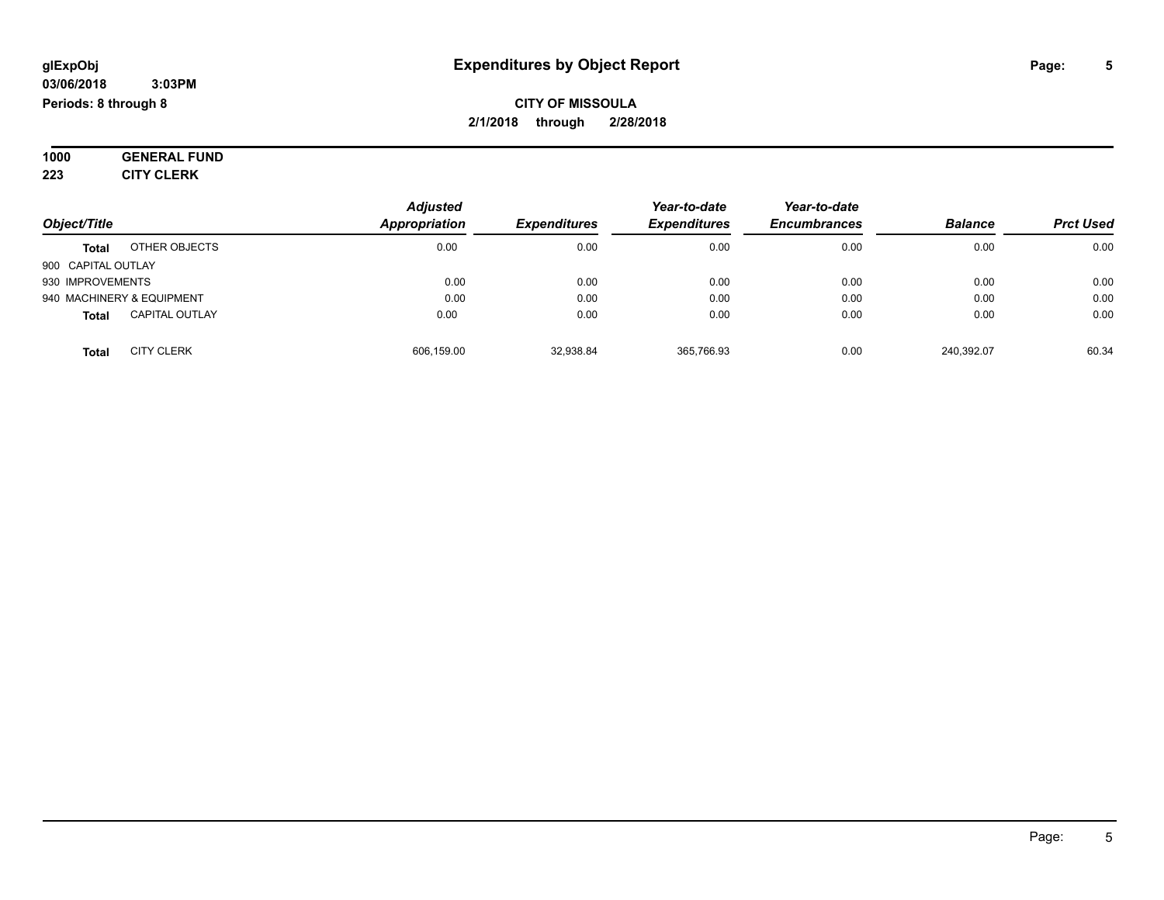#### **03/06/2018 3:03PM Periods: 8 through 8**

**CITY OF MISSOULA 2/1/2018 through 2/28/2018**

**1000 GENERAL FUND 223 CITY CLERK**

|                    |                           | <b>Adjusted</b>      |                     | Year-to-date        | Year-to-date        |                |                  |
|--------------------|---------------------------|----------------------|---------------------|---------------------|---------------------|----------------|------------------|
| Object/Title       |                           | <b>Appropriation</b> | <b>Expenditures</b> | <b>Expenditures</b> | <b>Encumbrances</b> | <b>Balance</b> | <b>Prct Used</b> |
| <b>Total</b>       | OTHER OBJECTS             | 0.00                 | 0.00                | 0.00                | 0.00                | 0.00           | 0.00             |
| 900 CAPITAL OUTLAY |                           |                      |                     |                     |                     |                |                  |
| 930 IMPROVEMENTS   |                           | 0.00                 | 0.00                | 0.00                | 0.00                | 0.00           | 0.00             |
|                    | 940 MACHINERY & EQUIPMENT | 0.00                 | 0.00                | 0.00                | 0.00                | 0.00           | 0.00             |
| <b>Total</b>       | <b>CAPITAL OUTLAY</b>     | 0.00                 | 0.00                | 0.00                | 0.00                | 0.00           | 0.00             |
| <b>Total</b>       | <b>CITY CLERK</b>         | 606,159.00           | 32,938.84           | 365,766.93          | 0.00                | 240.392.07     | 60.34            |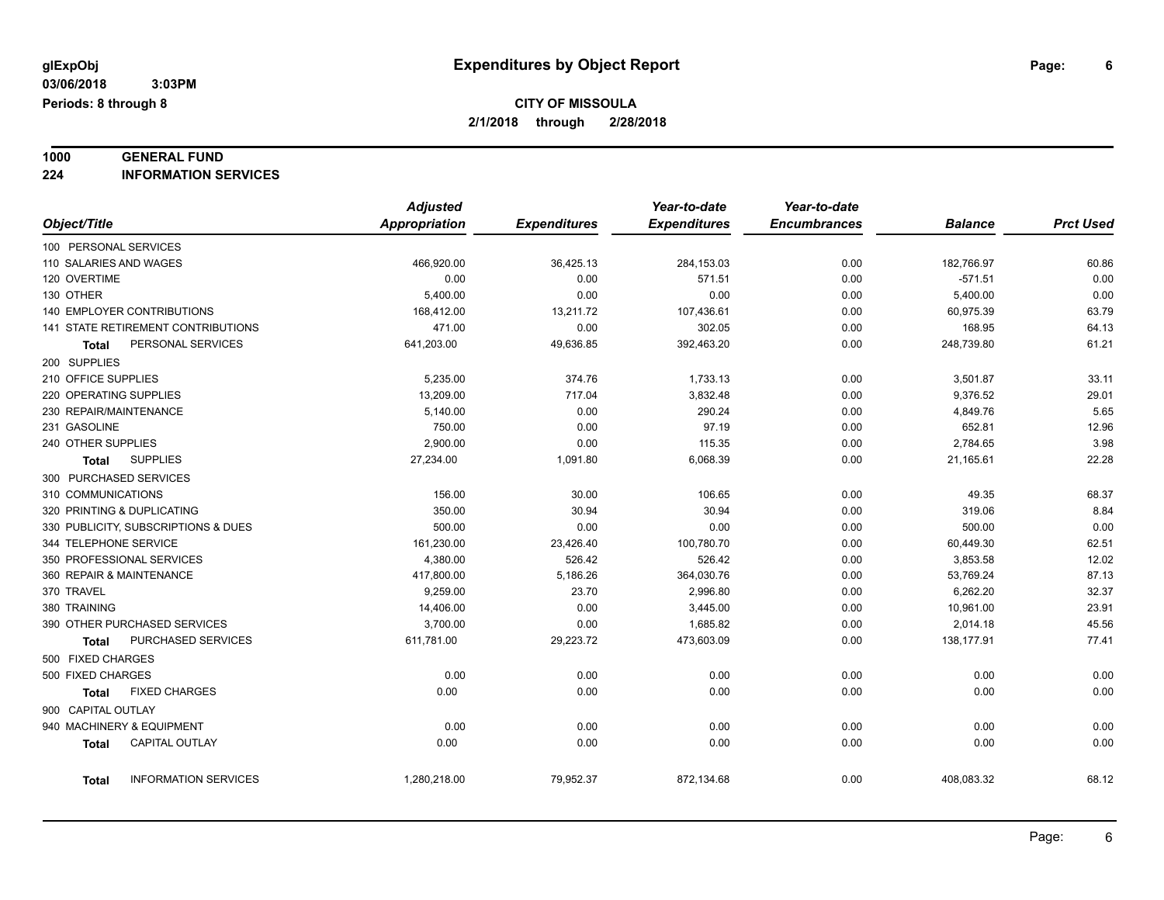### **1000 GENERAL FUND**

**224 INFORMATION SERVICES**

|                                      | <b>Adjusted</b>      |                     | Year-to-date        | Year-to-date        |                |                  |
|--------------------------------------|----------------------|---------------------|---------------------|---------------------|----------------|------------------|
| Object/Title                         | <b>Appropriation</b> | <b>Expenditures</b> | <b>Expenditures</b> | <b>Encumbrances</b> | <b>Balance</b> | <b>Prct Used</b> |
| 100 PERSONAL SERVICES                |                      |                     |                     |                     |                |                  |
| 110 SALARIES AND WAGES               | 466,920.00           | 36,425.13           | 284,153.03          | 0.00                | 182,766.97     | 60.86            |
| 120 OVERTIME                         | 0.00                 | 0.00                | 571.51              | 0.00                | $-571.51$      | 0.00             |
| 130 OTHER                            | 5,400.00             | 0.00                | 0.00                | 0.00                | 5,400.00       | 0.00             |
| <b>140 EMPLOYER CONTRIBUTIONS</b>    | 168,412.00           | 13,211.72           | 107,436.61          | 0.00                | 60,975.39      | 63.79            |
| 141 STATE RETIREMENT CONTRIBUTIONS   | 471.00               | 0.00                | 302.05              | 0.00                | 168.95         | 64.13            |
| PERSONAL SERVICES<br><b>Total</b>    | 641,203.00           | 49,636.85           | 392,463.20          | 0.00                | 248,739.80     | 61.21            |
| 200 SUPPLIES                         |                      |                     |                     |                     |                |                  |
| 210 OFFICE SUPPLIES                  | 5,235.00             | 374.76              | 1,733.13            | 0.00                | 3,501.87       | 33.11            |
| 220 OPERATING SUPPLIES               | 13,209.00            | 717.04              | 3,832.48            | 0.00                | 9,376.52       | 29.01            |
| 230 REPAIR/MAINTENANCE               | 5,140.00             | 0.00                | 290.24              | 0.00                | 4,849.76       | 5.65             |
| 231 GASOLINE                         | 750.00               | 0.00                | 97.19               | 0.00                | 652.81         | 12.96            |
| 240 OTHER SUPPLIES                   | 2,900.00             | 0.00                | 115.35              | 0.00                | 2,784.65       | 3.98             |
| <b>SUPPLIES</b><br>Total             | 27,234.00            | 1,091.80            | 6,068.39            | 0.00                | 21,165.61      | 22.28            |
| 300 PURCHASED SERVICES               |                      |                     |                     |                     |                |                  |
| 310 COMMUNICATIONS                   | 156.00               | 30.00               | 106.65              | 0.00                | 49.35          | 68.37            |
| 320 PRINTING & DUPLICATING           | 350.00               | 30.94               | 30.94               | 0.00                | 319.06         | 8.84             |
| 330 PUBLICITY, SUBSCRIPTIONS & DUES  | 500.00               | 0.00                | 0.00                | 0.00                | 500.00         | 0.00             |
| 344 TELEPHONE SERVICE                | 161,230.00           | 23,426.40           | 100,780.70          | 0.00                | 60,449.30      | 62.51            |
| 350 PROFESSIONAL SERVICES            | 4,380.00             | 526.42              | 526.42              | 0.00                | 3,853.58       | 12.02            |
| 360 REPAIR & MAINTENANCE             | 417,800.00           | 5,186.26            | 364,030.76          | 0.00                | 53,769.24      | 87.13            |
| 370 TRAVEL                           | 9.259.00             | 23.70               | 2,996.80            | 0.00                | 6,262.20       | 32.37            |
| 380 TRAINING                         | 14,406.00            | 0.00                | 3,445.00            | 0.00                | 10,961.00      | 23.91            |
| 390 OTHER PURCHASED SERVICES         | 3,700.00             | 0.00                | 1.685.82            | 0.00                | 2,014.18       | 45.56            |
| PURCHASED SERVICES<br><b>Total</b>   | 611,781.00           | 29,223.72           | 473,603.09          | 0.00                | 138,177.91     | 77.41            |
| 500 FIXED CHARGES                    |                      |                     |                     |                     |                |                  |
| 500 FIXED CHARGES                    | 0.00                 | 0.00                | 0.00                | 0.00                | 0.00           | 0.00             |
| <b>FIXED CHARGES</b><br>Total        | 0.00                 | 0.00                | 0.00                | 0.00                | 0.00           | 0.00             |
| 900 CAPITAL OUTLAY                   |                      |                     |                     |                     |                |                  |
| 940 MACHINERY & EQUIPMENT            | 0.00                 | 0.00                | 0.00                | 0.00                | 0.00           | 0.00             |
| CAPITAL OUTLAY<br><b>Total</b>       | 0.00                 | 0.00                | 0.00                | 0.00                | 0.00           | 0.00             |
|                                      |                      |                     |                     |                     |                |                  |
| <b>INFORMATION SERVICES</b><br>Total | 1,280,218.00         | 79,952.37           | 872,134.68          | 0.00                | 408,083.32     | 68.12            |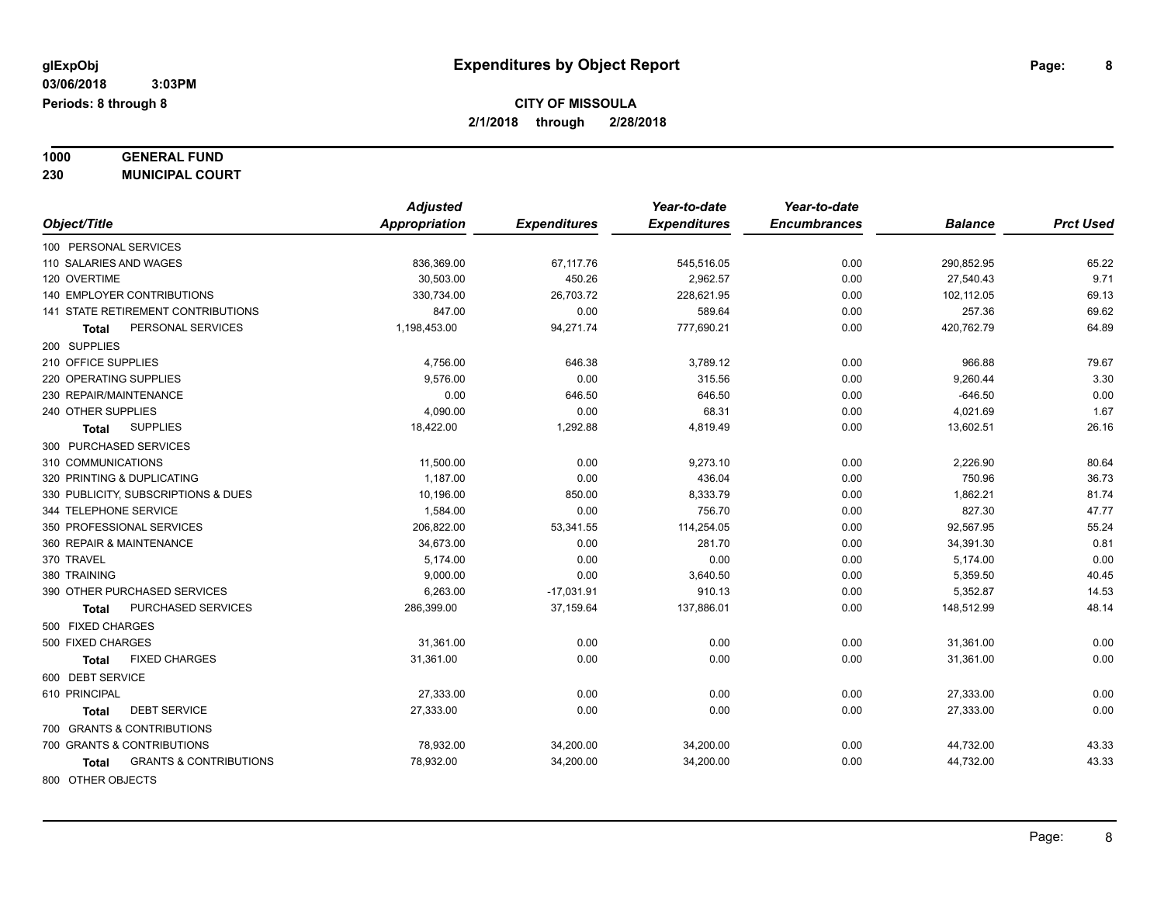**1000 GENERAL FUND**

**230 MUNICIPAL COURT**

| Appropriation<br><b>Encumbrances</b><br>Object/Title<br><b>Expenditures</b><br><b>Expenditures</b><br><b>Balance</b><br>100 PERSONAL SERVICES<br>0.00<br>110 SALARIES AND WAGES<br>836,369.00<br>67,117.76<br>545,516.05<br>290,852.95<br>120 OVERTIME<br>30.503.00<br>450.26<br>2,962.57<br>27,540.43<br>0.00<br>140 EMPLOYER CONTRIBUTIONS<br>330,734.00<br>26,703.72<br>228,621.95<br>102,112.05<br>0.00<br>141 STATE RETIREMENT CONTRIBUTIONS<br>847.00<br>257.36<br>0.00<br>589.64<br>0.00<br>PERSONAL SERVICES<br>1,198,453.00<br>94,271.74<br>777,690.21<br>0.00<br>420,762.79<br>Total<br>200 SUPPLIES<br>210 OFFICE SUPPLIES<br>3,789.12<br>0.00<br>966.88<br>4,756.00<br>646.38<br>0.00<br>220 OPERATING SUPPLIES<br>9,576.00<br>315.56<br>0.00<br>9,260.44 |                  |
|-----------------------------------------------------------------------------------------------------------------------------------------------------------------------------------------------------------------------------------------------------------------------------------------------------------------------------------------------------------------------------------------------------------------------------------------------------------------------------------------------------------------------------------------------------------------------------------------------------------------------------------------------------------------------------------------------------------------------------------------------------------------------|------------------|
|                                                                                                                                                                                                                                                                                                                                                                                                                                                                                                                                                                                                                                                                                                                                                                       | <b>Prct Used</b> |
|                                                                                                                                                                                                                                                                                                                                                                                                                                                                                                                                                                                                                                                                                                                                                                       |                  |
|                                                                                                                                                                                                                                                                                                                                                                                                                                                                                                                                                                                                                                                                                                                                                                       | 65.22            |
|                                                                                                                                                                                                                                                                                                                                                                                                                                                                                                                                                                                                                                                                                                                                                                       | 9.71             |
|                                                                                                                                                                                                                                                                                                                                                                                                                                                                                                                                                                                                                                                                                                                                                                       | 69.13            |
|                                                                                                                                                                                                                                                                                                                                                                                                                                                                                                                                                                                                                                                                                                                                                                       | 69.62            |
|                                                                                                                                                                                                                                                                                                                                                                                                                                                                                                                                                                                                                                                                                                                                                                       | 64.89            |
|                                                                                                                                                                                                                                                                                                                                                                                                                                                                                                                                                                                                                                                                                                                                                                       |                  |
|                                                                                                                                                                                                                                                                                                                                                                                                                                                                                                                                                                                                                                                                                                                                                                       | 79.67            |
|                                                                                                                                                                                                                                                                                                                                                                                                                                                                                                                                                                                                                                                                                                                                                                       | 3.30             |
| 230 REPAIR/MAINTENANCE<br>0.00<br>$-646.50$<br>646.50<br>646.50<br>0.00                                                                                                                                                                                                                                                                                                                                                                                                                                                                                                                                                                                                                                                                                               | 0.00             |
| 240 OTHER SUPPLIES<br>4,090.00<br>0.00<br>68.31<br>4,021.69<br>0.00                                                                                                                                                                                                                                                                                                                                                                                                                                                                                                                                                                                                                                                                                                   | 1.67             |
| <b>SUPPLIES</b><br>18,422.00<br>1,292.88<br>4,819.49<br>0.00<br>13,602.51<br><b>Total</b>                                                                                                                                                                                                                                                                                                                                                                                                                                                                                                                                                                                                                                                                             | 26.16            |
| 300 PURCHASED SERVICES                                                                                                                                                                                                                                                                                                                                                                                                                                                                                                                                                                                                                                                                                                                                                |                  |
| 310 COMMUNICATIONS<br>11,500.00<br>0.00<br>9,273.10<br>0.00<br>2,226.90                                                                                                                                                                                                                                                                                                                                                                                                                                                                                                                                                                                                                                                                                               | 80.64            |
| 1,187.00<br>320 PRINTING & DUPLICATING<br>0.00<br>436.04<br>0.00<br>750.96                                                                                                                                                                                                                                                                                                                                                                                                                                                                                                                                                                                                                                                                                            | 36.73            |
| 10,196.00<br>330 PUBLICITY, SUBSCRIPTIONS & DUES<br>850.00<br>8,333.79<br>0.00<br>1,862.21                                                                                                                                                                                                                                                                                                                                                                                                                                                                                                                                                                                                                                                                            | 81.74            |
| 827.30<br>344 TELEPHONE SERVICE<br>1,584.00<br>0.00<br>756.70<br>0.00                                                                                                                                                                                                                                                                                                                                                                                                                                                                                                                                                                                                                                                                                                 | 47.77            |
| 350 PROFESSIONAL SERVICES<br>206,822.00<br>53,341.55<br>114,254.05<br>92,567.95<br>0.00                                                                                                                                                                                                                                                                                                                                                                                                                                                                                                                                                                                                                                                                               | 55.24            |
| 360 REPAIR & MAINTENANCE<br>34,673.00<br>0.00<br>281.70<br>0.00<br>34,391.30                                                                                                                                                                                                                                                                                                                                                                                                                                                                                                                                                                                                                                                                                          | 0.81             |
| 370 TRAVEL<br>5,174.00<br>0.00<br>0.00<br>5,174.00<br>0.00                                                                                                                                                                                                                                                                                                                                                                                                                                                                                                                                                                                                                                                                                                            | 0.00             |
| 380 TRAINING<br>0.00<br>9,000.00<br>3,640.50<br>0.00<br>5,359.50                                                                                                                                                                                                                                                                                                                                                                                                                                                                                                                                                                                                                                                                                                      | 40.45            |
| 390 OTHER PURCHASED SERVICES<br>6,263.00<br>$-17,031.91$<br>910.13<br>0.00<br>5,352.87                                                                                                                                                                                                                                                                                                                                                                                                                                                                                                                                                                                                                                                                                | 14.53            |
| PURCHASED SERVICES<br>37,159.64<br>137,886.01<br>0.00<br>148,512.99<br>286,399.00<br>Total                                                                                                                                                                                                                                                                                                                                                                                                                                                                                                                                                                                                                                                                            | 48.14            |
| 500 FIXED CHARGES                                                                                                                                                                                                                                                                                                                                                                                                                                                                                                                                                                                                                                                                                                                                                     |                  |
| 500 FIXED CHARGES<br>31,361.00<br>0.00<br>0.00<br>0.00<br>31,361.00                                                                                                                                                                                                                                                                                                                                                                                                                                                                                                                                                                                                                                                                                                   | 0.00             |
| <b>FIXED CHARGES</b><br>31,361.00<br>0.00<br>0.00<br>0.00<br>31,361.00<br><b>Total</b>                                                                                                                                                                                                                                                                                                                                                                                                                                                                                                                                                                                                                                                                                | 0.00             |
| 600 DEBT SERVICE                                                                                                                                                                                                                                                                                                                                                                                                                                                                                                                                                                                                                                                                                                                                                      |                  |
| 610 PRINCIPAL<br>27,333.00<br>0.00<br>0.00<br>0.00<br>27,333.00                                                                                                                                                                                                                                                                                                                                                                                                                                                                                                                                                                                                                                                                                                       | 0.00             |
| <b>DEBT SERVICE</b><br>27,333.00<br>0.00<br>0.00<br>0.00<br>27,333.00<br>Total                                                                                                                                                                                                                                                                                                                                                                                                                                                                                                                                                                                                                                                                                        | 0.00             |
| 700 GRANTS & CONTRIBUTIONS                                                                                                                                                                                                                                                                                                                                                                                                                                                                                                                                                                                                                                                                                                                                            |                  |
| 700 GRANTS & CONTRIBUTIONS<br>78,932.00<br>34,200.00<br>34,200.00<br>0.00<br>44,732.00                                                                                                                                                                                                                                                                                                                                                                                                                                                                                                                                                                                                                                                                                | 43.33            |
| <b>GRANTS &amp; CONTRIBUTIONS</b><br>0.00<br>78,932.00<br>34,200.00<br>34,200.00<br>44,732.00<br>Total                                                                                                                                                                                                                                                                                                                                                                                                                                                                                                                                                                                                                                                                | 43.33            |
| 800 OTHER OBJECTS                                                                                                                                                                                                                                                                                                                                                                                                                                                                                                                                                                                                                                                                                                                                                     |                  |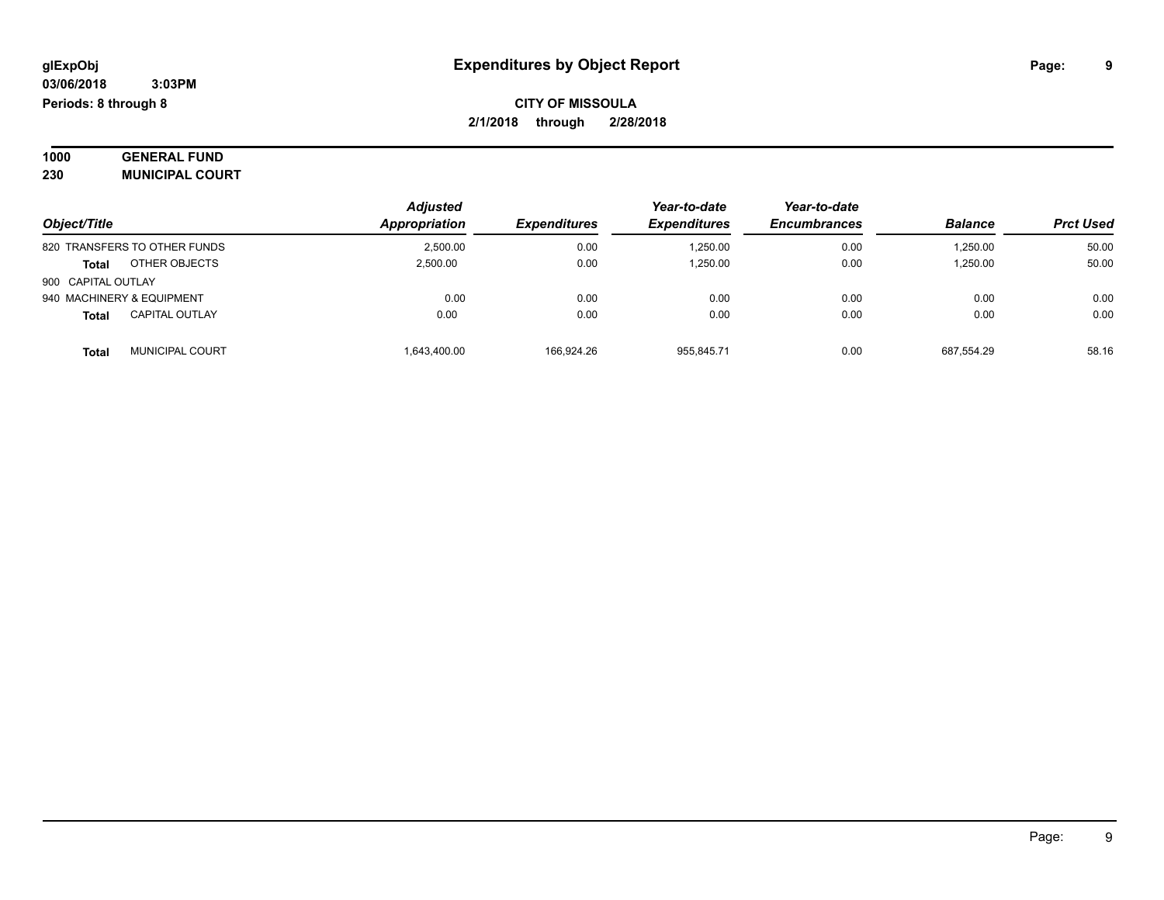| 1000 | <b>GENERAL FUND</b>    |
|------|------------------------|
| 230  | <b>MUNICIPAL COURT</b> |

|                                       | <b>Adjusted</b> |                     | Year-to-date        | Year-to-date        |                |                  |
|---------------------------------------|-----------------|---------------------|---------------------|---------------------|----------------|------------------|
| Object/Title                          | Appropriation   | <b>Expenditures</b> | <b>Expenditures</b> | <b>Encumbrances</b> | <b>Balance</b> | <b>Prct Used</b> |
| 820 TRANSFERS TO OTHER FUNDS          | 2.500.00        | 0.00                | 1,250.00            | 0.00                | 1,250.00       | 50.00            |
| OTHER OBJECTS<br><b>Total</b>         | 2.500.00        | 0.00                | 1.250.00            | 0.00                | 1.250.00       | 50.00            |
| 900 CAPITAL OUTLAY                    |                 |                     |                     |                     |                |                  |
| 940 MACHINERY & EQUIPMENT             | 0.00            | 0.00                | 0.00                | 0.00                | 0.00           | 0.00             |
| <b>CAPITAL OUTLAY</b><br><b>Total</b> | 0.00            | 0.00                | 0.00                | 0.00                | 0.00           | 0.00             |
| <b>MUNICIPAL COURT</b><br>Tota        | 1.643.400.00    | 166.924.26          | 955.845.71          | 0.00                | 687.554.29     | 58.16            |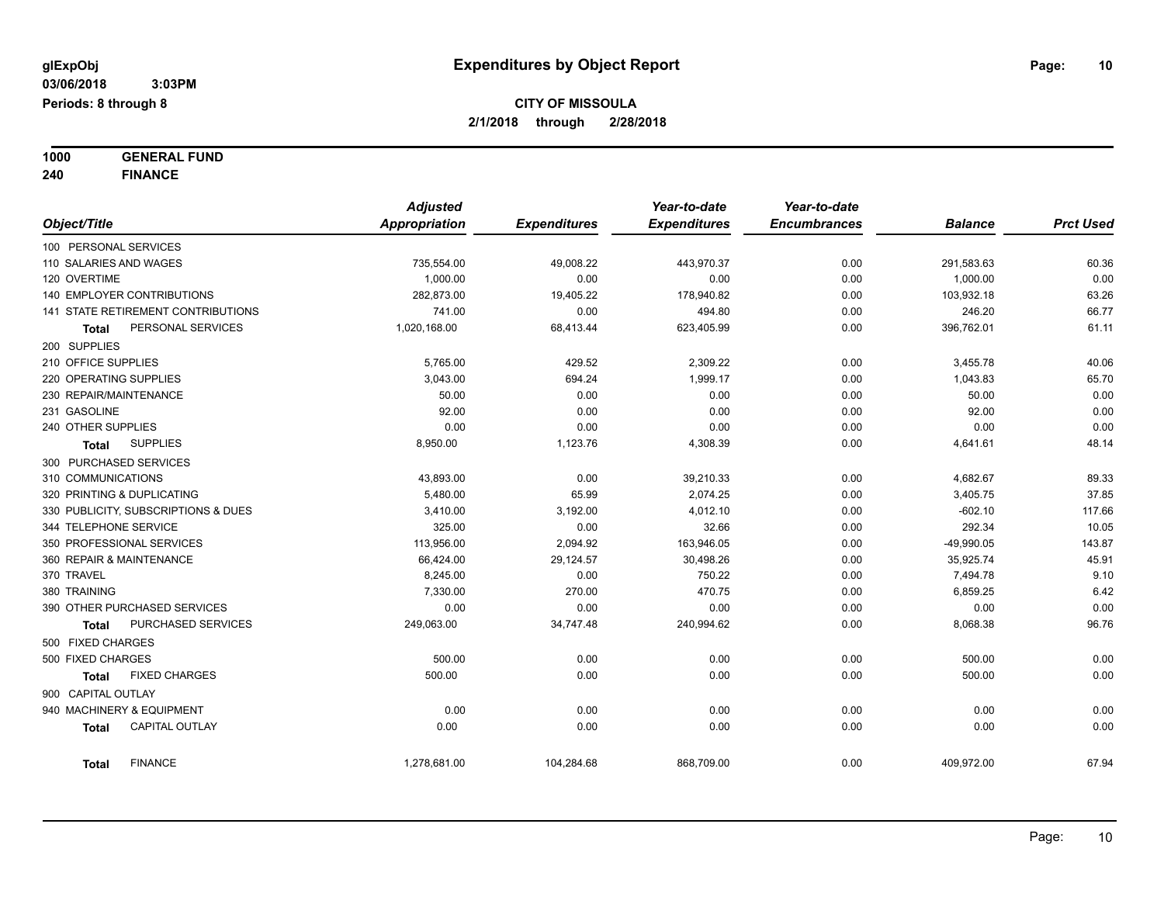**1000 GENERAL FUND 240 FINANCE**

|                          |                                           | <b>Adjusted</b> |                     | Year-to-date        | Year-to-date        |                |                  |
|--------------------------|-------------------------------------------|-----------------|---------------------|---------------------|---------------------|----------------|------------------|
| Object/Title             |                                           | Appropriation   | <b>Expenditures</b> | <b>Expenditures</b> | <b>Encumbrances</b> | <b>Balance</b> | <b>Prct Used</b> |
| 100 PERSONAL SERVICES    |                                           |                 |                     |                     |                     |                |                  |
| 110 SALARIES AND WAGES   |                                           | 735,554.00      | 49,008.22           | 443,970.37          | 0.00                | 291,583.63     | 60.36            |
| 120 OVERTIME             |                                           | 1,000.00        | 0.00                | 0.00                | 0.00                | 1,000.00       | 0.00             |
|                          | 140 EMPLOYER CONTRIBUTIONS                | 282,873.00      | 19,405.22           | 178,940.82          | 0.00                | 103,932.18     | 63.26            |
|                          | <b>141 STATE RETIREMENT CONTRIBUTIONS</b> | 741.00          | 0.00                | 494.80              | 0.00                | 246.20         | 66.77            |
| Total                    | PERSONAL SERVICES                         | 1,020,168.00    | 68,413.44           | 623,405.99          | 0.00                | 396,762.01     | 61.11            |
| 200 SUPPLIES             |                                           |                 |                     |                     |                     |                |                  |
| 210 OFFICE SUPPLIES      |                                           | 5,765.00        | 429.52              | 2,309.22            | 0.00                | 3,455.78       | 40.06            |
| 220 OPERATING SUPPLIES   |                                           | 3,043.00        | 694.24              | 1,999.17            | 0.00                | 1,043.83       | 65.70            |
| 230 REPAIR/MAINTENANCE   |                                           | 50.00           | 0.00                | 0.00                | 0.00                | 50.00          | 0.00             |
| 231 GASOLINE             |                                           | 92.00           | 0.00                | 0.00                | 0.00                | 92.00          | 0.00             |
| 240 OTHER SUPPLIES       |                                           | 0.00            | 0.00                | 0.00                | 0.00                | 0.00           | 0.00             |
| Total                    | <b>SUPPLIES</b>                           | 8,950.00        | 1,123.76            | 4,308.39            | 0.00                | 4,641.61       | 48.14            |
| 300 PURCHASED SERVICES   |                                           |                 |                     |                     |                     |                |                  |
| 310 COMMUNICATIONS       |                                           | 43,893.00       | 0.00                | 39,210.33           | 0.00                | 4,682.67       | 89.33            |
|                          | 320 PRINTING & DUPLICATING                | 5,480.00        | 65.99               | 2,074.25            | 0.00                | 3,405.75       | 37.85            |
|                          | 330 PUBLICITY, SUBSCRIPTIONS & DUES       | 3,410.00        | 3,192.00            | 4,012.10            | 0.00                | $-602.10$      | 117.66           |
| 344 TELEPHONE SERVICE    |                                           | 325.00          | 0.00                | 32.66               | 0.00                | 292.34         | 10.05            |
|                          | 350 PROFESSIONAL SERVICES                 | 113,956.00      | 2,094.92            | 163,946.05          | 0.00                | $-49,990.05$   | 143.87           |
| 360 REPAIR & MAINTENANCE |                                           | 66,424.00       | 29,124.57           | 30,498.26           | 0.00                | 35,925.74      | 45.91            |
| 370 TRAVEL               |                                           | 8,245.00        | 0.00                | 750.22              | 0.00                | 7,494.78       | 9.10             |
| 380 TRAINING             |                                           | 7,330.00        | 270.00              | 470.75              | 0.00                | 6,859.25       | 6.42             |
|                          | 390 OTHER PURCHASED SERVICES              | 0.00            | 0.00                | 0.00                | 0.00                | 0.00           | 0.00             |
| <b>Total</b>             | PURCHASED SERVICES                        | 249,063.00      | 34,747.48           | 240,994.62          | 0.00                | 8,068.38       | 96.76            |
| 500 FIXED CHARGES        |                                           |                 |                     |                     |                     |                |                  |
| 500 FIXED CHARGES        |                                           | 500.00          | 0.00                | 0.00                | 0.00                | 500.00         | 0.00             |
| <b>Total</b>             | <b>FIXED CHARGES</b>                      | 500.00          | 0.00                | 0.00                | 0.00                | 500.00         | 0.00             |
| 900 CAPITAL OUTLAY       |                                           |                 |                     |                     |                     |                |                  |
|                          | 940 MACHINERY & EQUIPMENT                 | 0.00            | 0.00                | 0.00                | 0.00                | 0.00           | 0.00             |
| <b>Total</b>             | <b>CAPITAL OUTLAY</b>                     | 0.00            | 0.00                | 0.00                | 0.00                | 0.00           | 0.00             |
| <b>Total</b>             | <b>FINANCE</b>                            | 1,278,681.00    | 104,284.68          | 868,709.00          | 0.00                | 409,972.00     | 67.94            |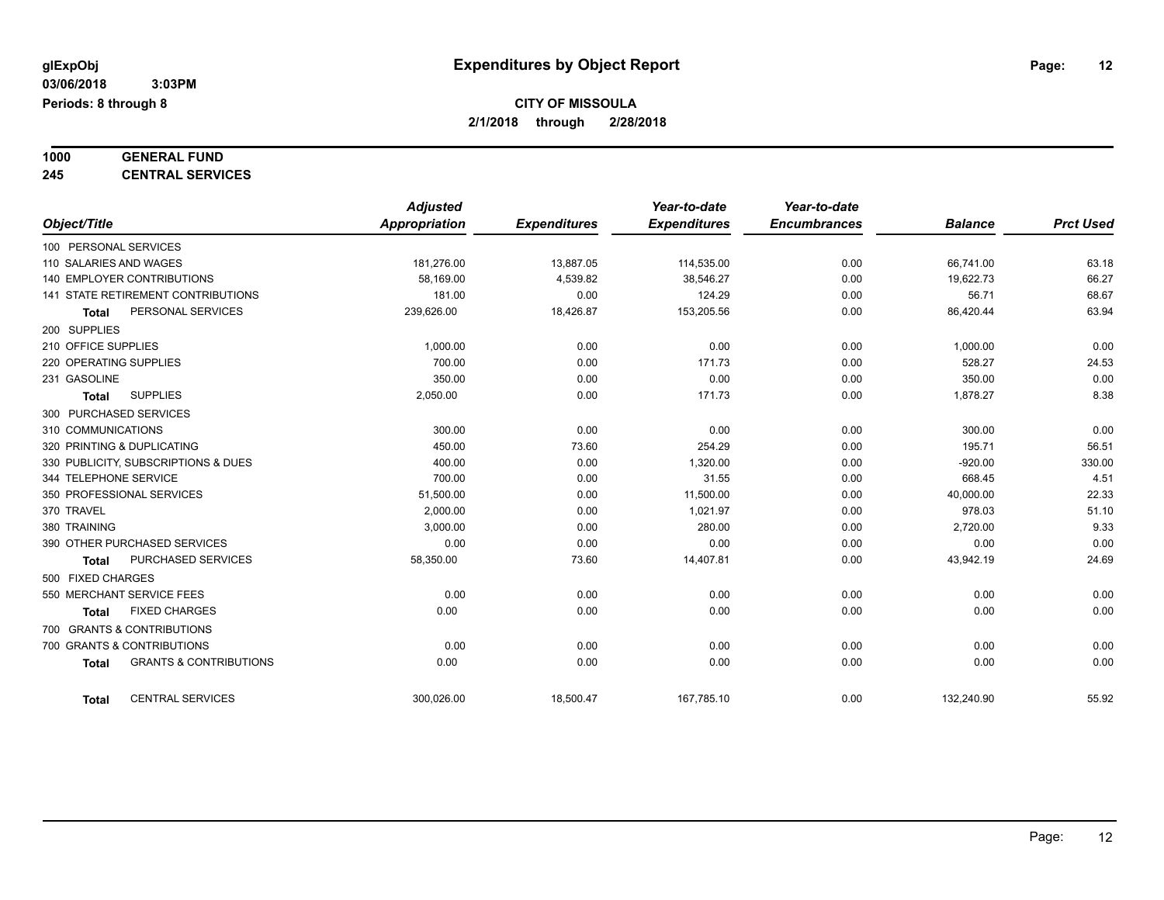# **1000 GENERAL FUND**

**245 CENTRAL SERVICES**

|                                                   | <b>Adjusted</b> |                     | Year-to-date        | Year-to-date        |                |                  |
|---------------------------------------------------|-----------------|---------------------|---------------------|---------------------|----------------|------------------|
| Object/Title                                      | Appropriation   | <b>Expenditures</b> | <b>Expenditures</b> | <b>Encumbrances</b> | <b>Balance</b> | <b>Prct Used</b> |
| 100 PERSONAL SERVICES                             |                 |                     |                     |                     |                |                  |
| 110 SALARIES AND WAGES                            | 181,276.00      | 13,887.05           | 114,535.00          | 0.00                | 66,741.00      | 63.18            |
| 140 EMPLOYER CONTRIBUTIONS                        | 58,169.00       | 4,539.82            | 38,546.27           | 0.00                | 19,622.73      | 66.27            |
| <b>141 STATE RETIREMENT CONTRIBUTIONS</b>         | 181.00          | 0.00                | 124.29              | 0.00                | 56.71          | 68.67            |
| PERSONAL SERVICES<br><b>Total</b>                 | 239,626.00      | 18,426.87           | 153,205.56          | 0.00                | 86,420.44      | 63.94            |
| 200 SUPPLIES                                      |                 |                     |                     |                     |                |                  |
| 210 OFFICE SUPPLIES                               | 1,000.00        | 0.00                | 0.00                | 0.00                | 1,000.00       | 0.00             |
| 220 OPERATING SUPPLIES                            | 700.00          | 0.00                | 171.73              | 0.00                | 528.27         | 24.53            |
| 231 GASOLINE                                      | 350.00          | 0.00                | 0.00                | 0.00                | 350.00         | 0.00             |
| <b>SUPPLIES</b><br><b>Total</b>                   | 2,050.00        | 0.00                | 171.73              | 0.00                | 1,878.27       | 8.38             |
| 300 PURCHASED SERVICES                            |                 |                     |                     |                     |                |                  |
| 310 COMMUNICATIONS                                | 300.00          | 0.00                | 0.00                | 0.00                | 300.00         | 0.00             |
| 320 PRINTING & DUPLICATING                        | 450.00          | 73.60               | 254.29              | 0.00                | 195.71         | 56.51            |
| 330 PUBLICITY, SUBSCRIPTIONS & DUES               | 400.00          | 0.00                | 1,320.00            | 0.00                | $-920.00$      | 330.00           |
| 344 TELEPHONE SERVICE                             | 700.00          | 0.00                | 31.55               | 0.00                | 668.45         | 4.51             |
| 350 PROFESSIONAL SERVICES                         | 51,500.00       | 0.00                | 11,500.00           | 0.00                | 40,000.00      | 22.33            |
| 370 TRAVEL                                        | 2,000.00        | 0.00                | 1,021.97            | 0.00                | 978.03         | 51.10            |
| 380 TRAINING                                      | 3,000.00        | 0.00                | 280.00              | 0.00                | 2,720.00       | 9.33             |
| 390 OTHER PURCHASED SERVICES                      | 0.00            | 0.00                | 0.00                | 0.00                | 0.00           | 0.00             |
| PURCHASED SERVICES<br><b>Total</b>                | 58,350.00       | 73.60               | 14,407.81           | 0.00                | 43,942.19      | 24.69            |
| 500 FIXED CHARGES                                 |                 |                     |                     |                     |                |                  |
| 550 MERCHANT SERVICE FEES                         | 0.00            | 0.00                | 0.00                | 0.00                | 0.00           | 0.00             |
| <b>FIXED CHARGES</b><br><b>Total</b>              | 0.00            | 0.00                | 0.00                | 0.00                | 0.00           | 0.00             |
| 700 GRANTS & CONTRIBUTIONS                        |                 |                     |                     |                     |                |                  |
| 700 GRANTS & CONTRIBUTIONS                        | 0.00            | 0.00                | 0.00                | 0.00                | 0.00           | 0.00             |
| <b>GRANTS &amp; CONTRIBUTIONS</b><br><b>Total</b> | 0.00            | 0.00                | 0.00                | 0.00                | 0.00           | 0.00             |
| <b>CENTRAL SERVICES</b><br><b>Total</b>           | 300.026.00      | 18,500.47           | 167.785.10          | 0.00                | 132,240.90     | 55.92            |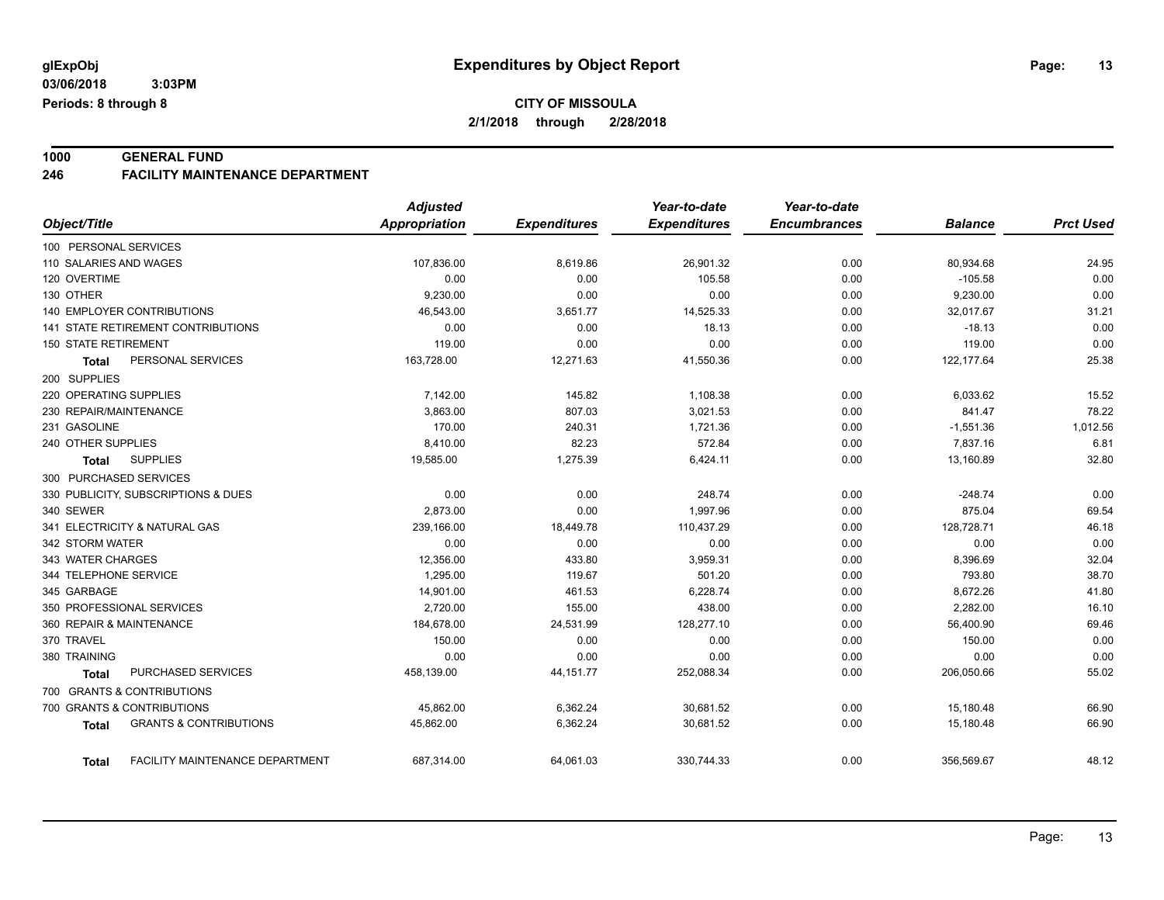#### **1000 GENERAL FUND 246 FACILITY MAINTENANCE DEPARTMENT**

|                                                   | <b>Adjusted</b>      |                     | Year-to-date        | Year-to-date        |                |                  |
|---------------------------------------------------|----------------------|---------------------|---------------------|---------------------|----------------|------------------|
| Object/Title                                      | <b>Appropriation</b> | <b>Expenditures</b> | <b>Expenditures</b> | <b>Encumbrances</b> | <b>Balance</b> | <b>Prct Used</b> |
| 100 PERSONAL SERVICES                             |                      |                     |                     |                     |                |                  |
| 110 SALARIES AND WAGES                            | 107,836.00           | 8,619.86            | 26,901.32           | 0.00                | 80,934.68      | 24.95            |
| 120 OVERTIME                                      | 0.00                 | 0.00                | 105.58              | 0.00                | $-105.58$      | 0.00             |
| 130 OTHER                                         | 9,230.00             | 0.00                | 0.00                | 0.00                | 9,230.00       | 0.00             |
| <b>140 EMPLOYER CONTRIBUTIONS</b>                 | 46,543.00            | 3,651.77            | 14,525.33           | 0.00                | 32,017.67      | 31.21            |
| 141 STATE RETIREMENT CONTRIBUTIONS                | 0.00                 | 0.00                | 18.13               | 0.00                | $-18.13$       | 0.00             |
| <b>150 STATE RETIREMENT</b>                       | 119.00               | 0.00                | 0.00                | 0.00                | 119.00         | 0.00             |
| PERSONAL SERVICES<br>Total                        | 163,728.00           | 12,271.63           | 41,550.36           | 0.00                | 122, 177.64    | 25.38            |
| 200 SUPPLIES                                      |                      |                     |                     |                     |                |                  |
| 220 OPERATING SUPPLIES                            | 7,142.00             | 145.82              | 1,108.38            | 0.00                | 6,033.62       | 15.52            |
| 230 REPAIR/MAINTENANCE                            | 3.863.00             | 807.03              | 3,021.53            | 0.00                | 841.47         | 78.22            |
| 231 GASOLINE                                      | 170.00               | 240.31              | 1,721.36            | 0.00                | $-1,551.36$    | 1,012.56         |
| 240 OTHER SUPPLIES                                | 8,410.00             | 82.23               | 572.84              | 0.00                | 7.837.16       | 6.81             |
| <b>SUPPLIES</b><br><b>Total</b>                   | 19,585.00            | 1,275.39            | 6,424.11            | 0.00                | 13,160.89      | 32.80            |
| 300 PURCHASED SERVICES                            |                      |                     |                     |                     |                |                  |
| 330 PUBLICITY, SUBSCRIPTIONS & DUES               | 0.00                 | 0.00                | 248.74              | 0.00                | $-248.74$      | 0.00             |
| 340 SEWER                                         | 2.873.00             | 0.00                | 1.997.96            | 0.00                | 875.04         | 69.54            |
| 341 ELECTRICITY & NATURAL GAS                     | 239,166.00           | 18,449.78           | 110,437.29          | 0.00                | 128,728.71     | 46.18            |
| 342 STORM WATER                                   | 0.00                 | 0.00                | 0.00                | 0.00                | 0.00           | 0.00             |
| 343 WATER CHARGES                                 | 12,356.00            | 433.80              | 3,959.31            | 0.00                | 8,396.69       | 32.04            |
| 344 TELEPHONE SERVICE                             | 1,295.00             | 119.67              | 501.20              | 0.00                | 793.80         | 38.70            |
| 345 GARBAGE                                       | 14,901.00            | 461.53              | 6,228.74            | 0.00                | 8,672.26       | 41.80            |
| 350 PROFESSIONAL SERVICES                         | 2,720.00             | 155.00              | 438.00              | 0.00                | 2,282.00       | 16.10            |
| 360 REPAIR & MAINTENANCE                          | 184,678.00           | 24,531.99           | 128,277.10          | 0.00                | 56,400.90      | 69.46            |
| 370 TRAVEL                                        | 150.00               | 0.00                | 0.00                | 0.00                | 150.00         | 0.00             |
| 380 TRAINING                                      | 0.00                 | 0.00                | 0.00                | 0.00                | 0.00           | 0.00             |
| PURCHASED SERVICES<br>Total                       | 458,139.00           | 44, 151. 77         | 252,088.34          | 0.00                | 206,050.66     | 55.02            |
| 700 GRANTS & CONTRIBUTIONS                        |                      |                     |                     |                     |                |                  |
| 700 GRANTS & CONTRIBUTIONS                        | 45,862.00            | 6,362.24            | 30,681.52           | 0.00                | 15,180.48      | 66.90            |
| <b>GRANTS &amp; CONTRIBUTIONS</b><br><b>Total</b> | 45,862.00            | 6,362.24            | 30,681.52           | 0.00                | 15,180.48      | 66.90            |
| FACILITY MAINTENANCE DEPARTMENT<br>Total          | 687,314.00           | 64,061.03           | 330,744.33          | 0.00                | 356,569.67     | 48.12            |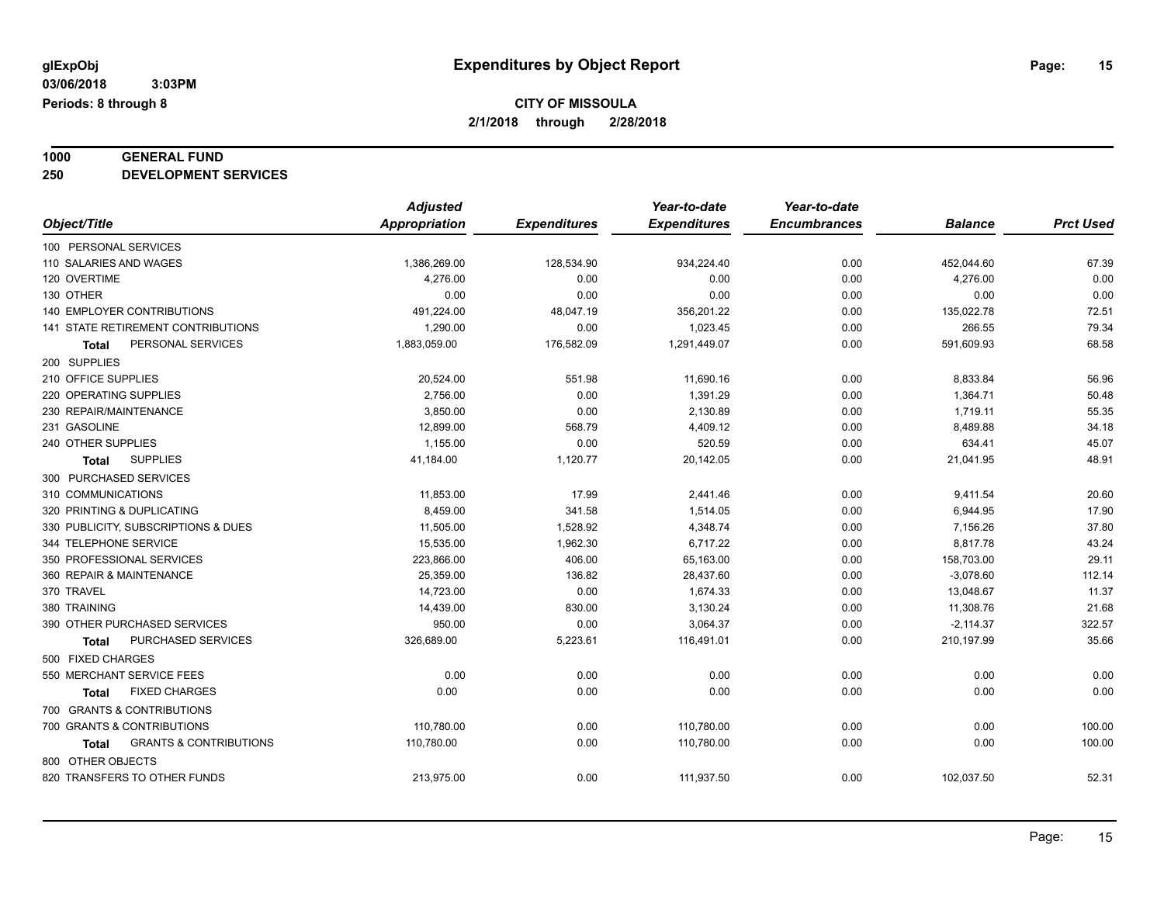# **1000 GENERAL FUND**

**250 DEVELOPMENT SERVICES**

|                                            | <b>Adjusted</b>      |                     | Year-to-date        | Year-to-date        |                |                  |
|--------------------------------------------|----------------------|---------------------|---------------------|---------------------|----------------|------------------|
| Object/Title                               | <b>Appropriation</b> | <b>Expenditures</b> | <b>Expenditures</b> | <b>Encumbrances</b> | <b>Balance</b> | <b>Prct Used</b> |
| 100 PERSONAL SERVICES                      |                      |                     |                     |                     |                |                  |
| 110 SALARIES AND WAGES                     | 1,386,269.00         | 128,534.90          | 934,224.40          | 0.00                | 452,044.60     | 67.39            |
| 120 OVERTIME                               | 4,276.00             | 0.00                | 0.00                | 0.00                | 4,276.00       | 0.00             |
| 130 OTHER                                  | 0.00                 | 0.00                | 0.00                | 0.00                | 0.00           | 0.00             |
| 140 EMPLOYER CONTRIBUTIONS                 | 491,224.00           | 48,047.19           | 356,201.22          | 0.00                | 135,022.78     | 72.51            |
| 141 STATE RETIREMENT CONTRIBUTIONS         | 1,290.00             | 0.00                | 1,023.45            | 0.00                | 266.55         | 79.34            |
| PERSONAL SERVICES<br>Total                 | 1,883,059.00         | 176,582.09          | 1,291,449.07        | 0.00                | 591,609.93     | 68.58            |
| 200 SUPPLIES                               |                      |                     |                     |                     |                |                  |
| 210 OFFICE SUPPLIES                        | 20,524.00            | 551.98              | 11,690.16           | 0.00                | 8,833.84       | 56.96            |
| 220 OPERATING SUPPLIES                     | 2,756.00             | 0.00                | 1,391.29            | 0.00                | 1,364.71       | 50.48            |
| 230 REPAIR/MAINTENANCE                     | 3,850.00             | 0.00                | 2,130.89            | 0.00                | 1,719.11       | 55.35            |
| 231 GASOLINE                               | 12,899.00            | 568.79              | 4,409.12            | 0.00                | 8,489.88       | 34.18            |
| 240 OTHER SUPPLIES                         | 1,155.00             | 0.00                | 520.59              | 0.00                | 634.41         | 45.07            |
| <b>SUPPLIES</b><br><b>Total</b>            | 41,184.00            | 1,120.77            | 20,142.05           | 0.00                | 21,041.95      | 48.91            |
| 300 PURCHASED SERVICES                     |                      |                     |                     |                     |                |                  |
| 310 COMMUNICATIONS                         | 11,853.00            | 17.99               | 2,441.46            | 0.00                | 9,411.54       | 20.60            |
| 320 PRINTING & DUPLICATING                 | 8,459.00             | 341.58              | 1,514.05            | 0.00                | 6,944.95       | 17.90            |
| 330 PUBLICITY, SUBSCRIPTIONS & DUES        | 11,505.00            | 1,528.92            | 4,348.74            | 0.00                | 7,156.26       | 37.80            |
| 344 TELEPHONE SERVICE                      | 15,535.00            | 1,962.30            | 6,717.22            | 0.00                | 8,817.78       | 43.24            |
| 350 PROFESSIONAL SERVICES                  | 223,866.00           | 406.00              | 65,163.00           | 0.00                | 158,703.00     | 29.11            |
| 360 REPAIR & MAINTENANCE                   | 25,359.00            | 136.82              | 28,437.60           | 0.00                | $-3,078.60$    | 112.14           |
| 370 TRAVEL                                 | 14,723.00            | 0.00                | 1,674.33            | 0.00                | 13,048.67      | 11.37            |
| 380 TRAINING                               | 14,439.00            | 830.00              | 3,130.24            | 0.00                | 11,308.76      | 21.68            |
| 390 OTHER PURCHASED SERVICES               | 950.00               | 0.00                | 3,064.37            | 0.00                | $-2,114.37$    | 322.57           |
| PURCHASED SERVICES<br><b>Total</b>         | 326,689.00           | 5,223.61            | 116,491.01          | 0.00                | 210,197.99     | 35.66            |
| 500 FIXED CHARGES                          |                      |                     |                     |                     |                |                  |
| 550 MERCHANT SERVICE FEES                  | 0.00                 | 0.00                | 0.00                | 0.00                | 0.00           | 0.00             |
| <b>FIXED CHARGES</b><br><b>Total</b>       | 0.00                 | 0.00                | 0.00                | 0.00                | 0.00           | 0.00             |
| 700 GRANTS & CONTRIBUTIONS                 |                      |                     |                     |                     |                |                  |
| 700 GRANTS & CONTRIBUTIONS                 | 110,780.00           | 0.00                | 110,780.00          | 0.00                | 0.00           | 100.00           |
| <b>GRANTS &amp; CONTRIBUTIONS</b><br>Total | 110,780.00           | 0.00                | 110,780.00          | 0.00                | 0.00           | 100.00           |
| 800 OTHER OBJECTS                          |                      |                     |                     |                     |                |                  |
| 820 TRANSFERS TO OTHER FUNDS               | 213,975.00           | 0.00                | 111,937.50          | 0.00                | 102,037.50     | 52.31            |
|                                            |                      |                     |                     |                     |                |                  |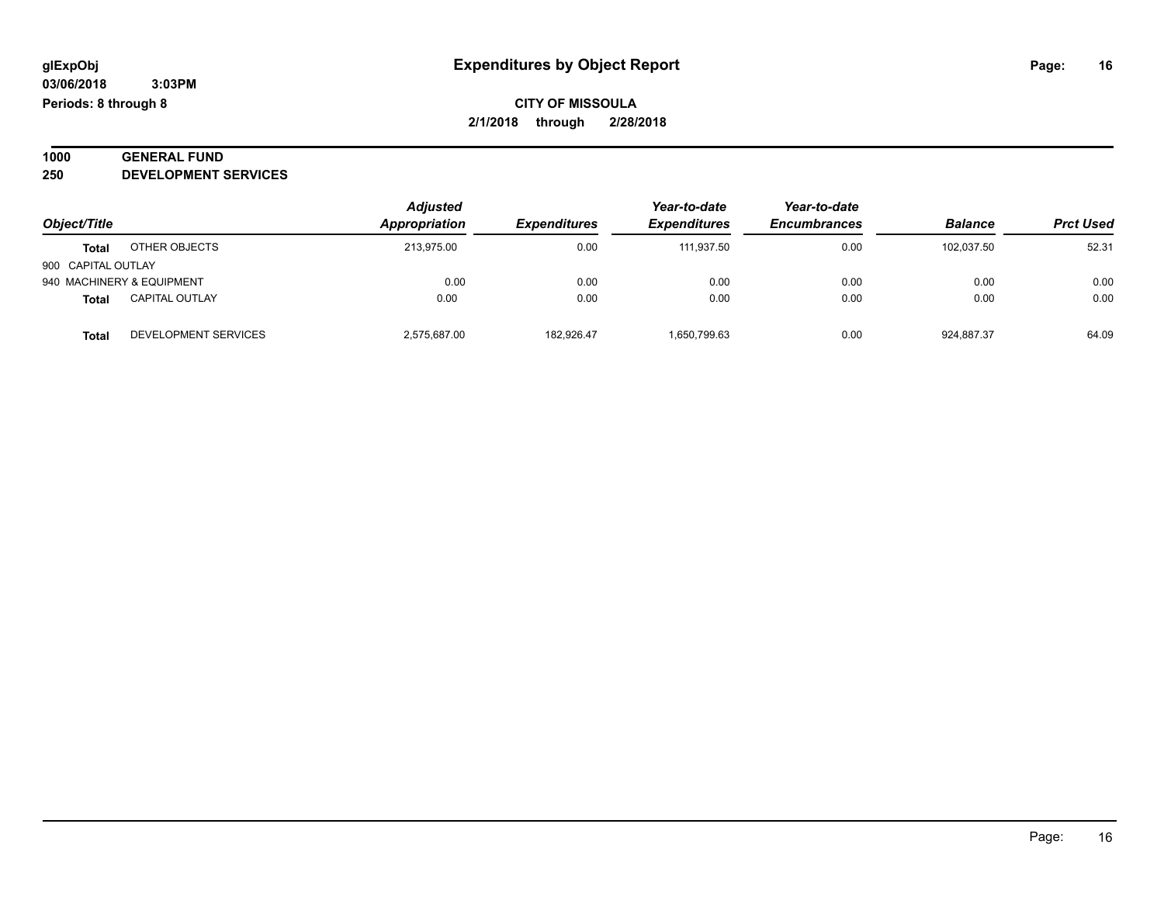#### **1000 GENERAL FUND 250 DEVELOPMENT SERVICES**

| Object/Title              |                       | <b>Adjusted</b> |                     | Year-to-date<br><b>Expenditures</b> | Year-to-date<br><b>Encumbrances</b> | <b>Balance</b> | <b>Prct Used</b> |
|---------------------------|-----------------------|-----------------|---------------------|-------------------------------------|-------------------------------------|----------------|------------------|
|                           |                       | Appropriation   | <b>Expenditures</b> |                                     |                                     |                |                  |
| <b>Total</b>              | OTHER OBJECTS         | 213.975.00      | 0.00                | 111.937.50                          | 0.00                                | 102.037.50     | 52.31            |
| 900 CAPITAL OUTLAY        |                       |                 |                     |                                     |                                     |                |                  |
| 940 MACHINERY & EQUIPMENT |                       | 0.00            | 0.00                | 0.00                                | 0.00                                | 0.00           | 0.00             |
| <b>Total</b>              | <b>CAPITAL OUTLAY</b> | 0.00            | 0.00                | 0.00                                | 0.00                                | 0.00           | 0.00             |
| <b>Total</b>              | DEVELOPMENT SERVICES  | 2,575,687.00    | 182,926.47          | 1,650,799.63                        | 0.00                                | 924,887.37     | 64.09            |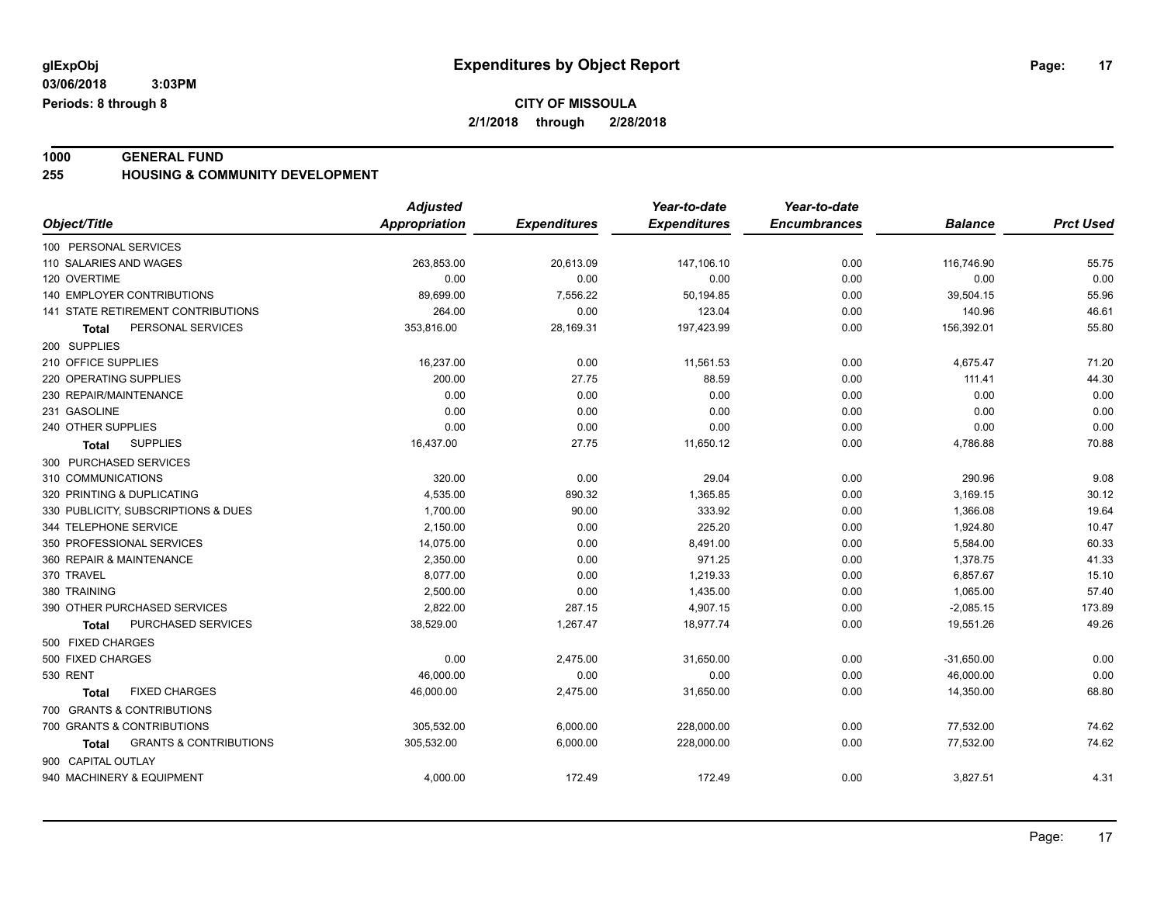**1000 GENERAL FUND 255 HOUSING & COMMUNITY DEVELOPMENT**

|                                                   | <b>Adjusted</b>      |                     | Year-to-date        | Year-to-date        |                |                  |
|---------------------------------------------------|----------------------|---------------------|---------------------|---------------------|----------------|------------------|
| Object/Title                                      | <b>Appropriation</b> | <b>Expenditures</b> | <b>Expenditures</b> | <b>Encumbrances</b> | <b>Balance</b> | <b>Prct Used</b> |
| 100 PERSONAL SERVICES                             |                      |                     |                     |                     |                |                  |
| 110 SALARIES AND WAGES                            | 263,853.00           | 20,613.09           | 147,106.10          | 0.00                | 116,746.90     | 55.75            |
| 120 OVERTIME                                      | 0.00                 | 0.00                | 0.00                | 0.00                | 0.00           | 0.00             |
| 140 EMPLOYER CONTRIBUTIONS                        | 89,699.00            | 7,556.22            | 50,194.85           | 0.00                | 39,504.15      | 55.96            |
| 141 STATE RETIREMENT CONTRIBUTIONS                | 264.00               | 0.00                | 123.04              | 0.00                | 140.96         | 46.61            |
| PERSONAL SERVICES<br>Total                        | 353,816.00           | 28,169.31           | 197,423.99          | 0.00                | 156,392.01     | 55.80            |
| 200 SUPPLIES                                      |                      |                     |                     |                     |                |                  |
| 210 OFFICE SUPPLIES                               | 16,237.00            | 0.00                | 11,561.53           | 0.00                | 4,675.47       | 71.20            |
| 220 OPERATING SUPPLIES                            | 200.00               | 27.75               | 88.59               | 0.00                | 111.41         | 44.30            |
| 230 REPAIR/MAINTENANCE                            | 0.00                 | 0.00                | 0.00                | 0.00                | 0.00           | 0.00             |
| 231 GASOLINE                                      | 0.00                 | 0.00                | 0.00                | 0.00                | 0.00           | 0.00             |
| 240 OTHER SUPPLIES                                | 0.00                 | 0.00                | 0.00                | 0.00                | 0.00           | 0.00             |
| <b>SUPPLIES</b><br>Total                          | 16,437.00            | 27.75               | 11,650.12           | 0.00                | 4,786.88       | 70.88            |
| 300 PURCHASED SERVICES                            |                      |                     |                     |                     |                |                  |
| 310 COMMUNICATIONS                                | 320.00               | 0.00                | 29.04               | 0.00                | 290.96         | 9.08             |
| 320 PRINTING & DUPLICATING                        | 4,535.00             | 890.32              | 1,365.85            | 0.00                | 3,169.15       | 30.12            |
| 330 PUBLICITY, SUBSCRIPTIONS & DUES               | 1,700.00             | 90.00               | 333.92              | 0.00                | 1,366.08       | 19.64            |
| 344 TELEPHONE SERVICE                             | 2,150.00             | 0.00                | 225.20              | 0.00                | 1,924.80       | 10.47            |
| 350 PROFESSIONAL SERVICES                         | 14,075.00            | 0.00                | 8,491.00            | 0.00                | 5,584.00       | 60.33            |
| 360 REPAIR & MAINTENANCE                          | 2,350.00             | 0.00                | 971.25              | 0.00                | 1,378.75       | 41.33            |
| 370 TRAVEL                                        | 8.077.00             | 0.00                | 1,219.33            | 0.00                | 6,857.67       | 15.10            |
| 380 TRAINING                                      | 2,500.00             | 0.00                | 1,435.00            | 0.00                | 1,065.00       | 57.40            |
| 390 OTHER PURCHASED SERVICES                      | 2,822.00             | 287.15              | 4,907.15            | 0.00                | $-2,085.15$    | 173.89           |
| PURCHASED SERVICES<br>Total                       | 38,529.00            | 1,267.47            | 18,977.74           | 0.00                | 19,551.26      | 49.26            |
| 500 FIXED CHARGES                                 |                      |                     |                     |                     |                |                  |
| 500 FIXED CHARGES                                 | 0.00                 | 2,475.00            | 31,650.00           | 0.00                | $-31,650.00$   | 0.00             |
| <b>530 RENT</b>                                   | 46,000.00            | 0.00                | 0.00                | 0.00                | 46,000.00      | 0.00             |
| <b>FIXED CHARGES</b><br>Total                     | 46,000.00            | 2,475.00            | 31,650.00           | 0.00                | 14,350.00      | 68.80            |
| 700 GRANTS & CONTRIBUTIONS                        |                      |                     |                     |                     |                |                  |
| 700 GRANTS & CONTRIBUTIONS                        | 305,532.00           | 6,000.00            | 228,000.00          | 0.00                | 77,532.00      | 74.62            |
| <b>GRANTS &amp; CONTRIBUTIONS</b><br><b>Total</b> | 305,532.00           | 6,000.00            | 228,000.00          | 0.00                | 77,532.00      | 74.62            |
| 900 CAPITAL OUTLAY                                |                      |                     |                     |                     |                |                  |
| 940 MACHINERY & EQUIPMENT                         | 4,000.00             | 172.49              | 172.49              | 0.00                | 3,827.51       | 4.31             |
|                                                   |                      |                     |                     |                     |                |                  |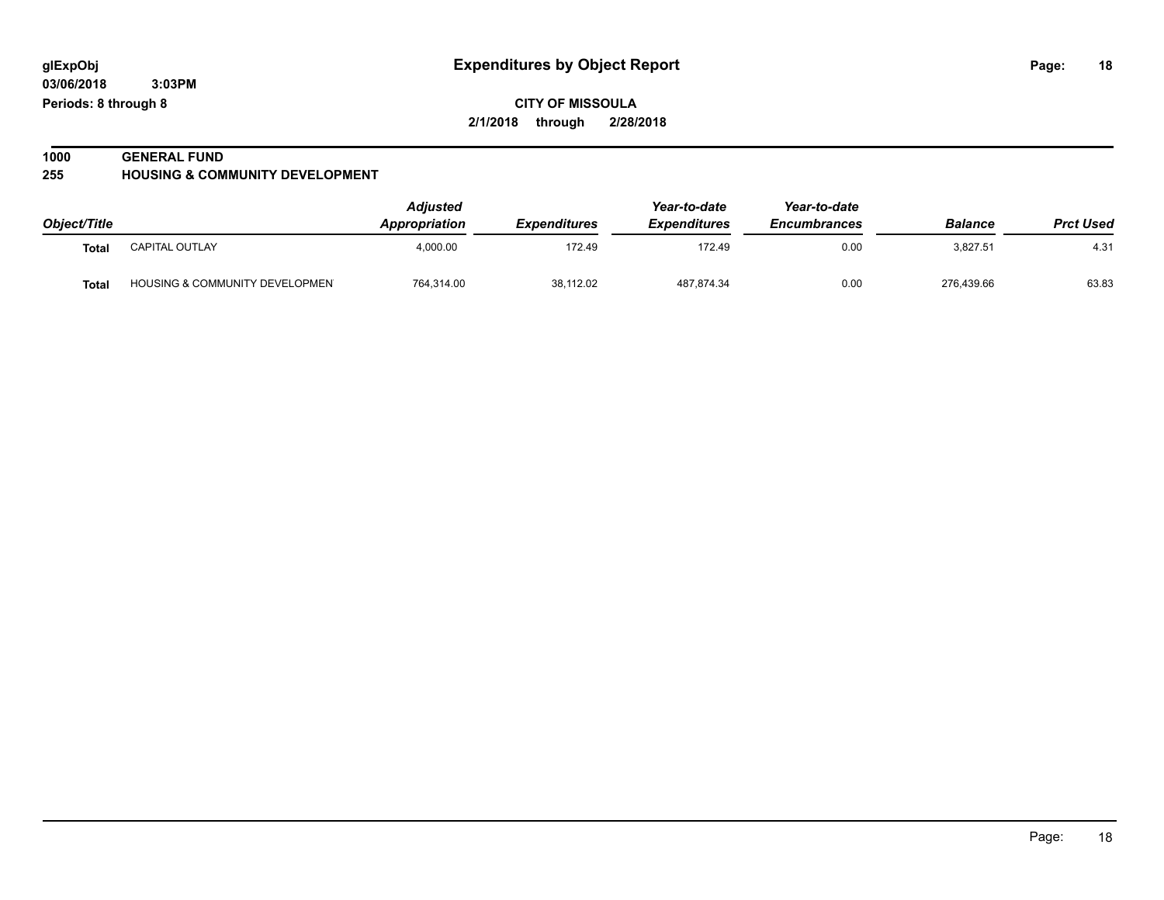**03/06/2018 3:03PM Periods: 8 through 8**

**CITY OF MISSOULA 2/1/2018 through 2/28/2018**

### **1000 GENERAL FUND**

**255 HOUSING & COMMUNITY DEVELOPMENT**

|              |                                | <b>Adjusted</b> |                            | Year-to-date<br><b>Expenditures</b> | Year-to-date<br><b>Encumbrances</b> | <b>Balance</b> | <b>Prct Used</b> |
|--------------|--------------------------------|-----------------|----------------------------|-------------------------------------|-------------------------------------|----------------|------------------|
| Object/Title |                                | Appropriation   | <i><b>Expenditures</b></i> |                                     |                                     |                |                  |
| <b>Total</b> | <b>CAPITAL OUTLAY</b>          | 4.000.00        | 172.49                     | 172.49                              | 0.00                                | 3.827.51       | 4.31             |
| <b>Total</b> | HOUSING & COMMUNITY DEVELOPMEN | 764,314.00      | 38.112.02                  | 487,874.34                          | 0.00                                | 276,439.66     | 63.83            |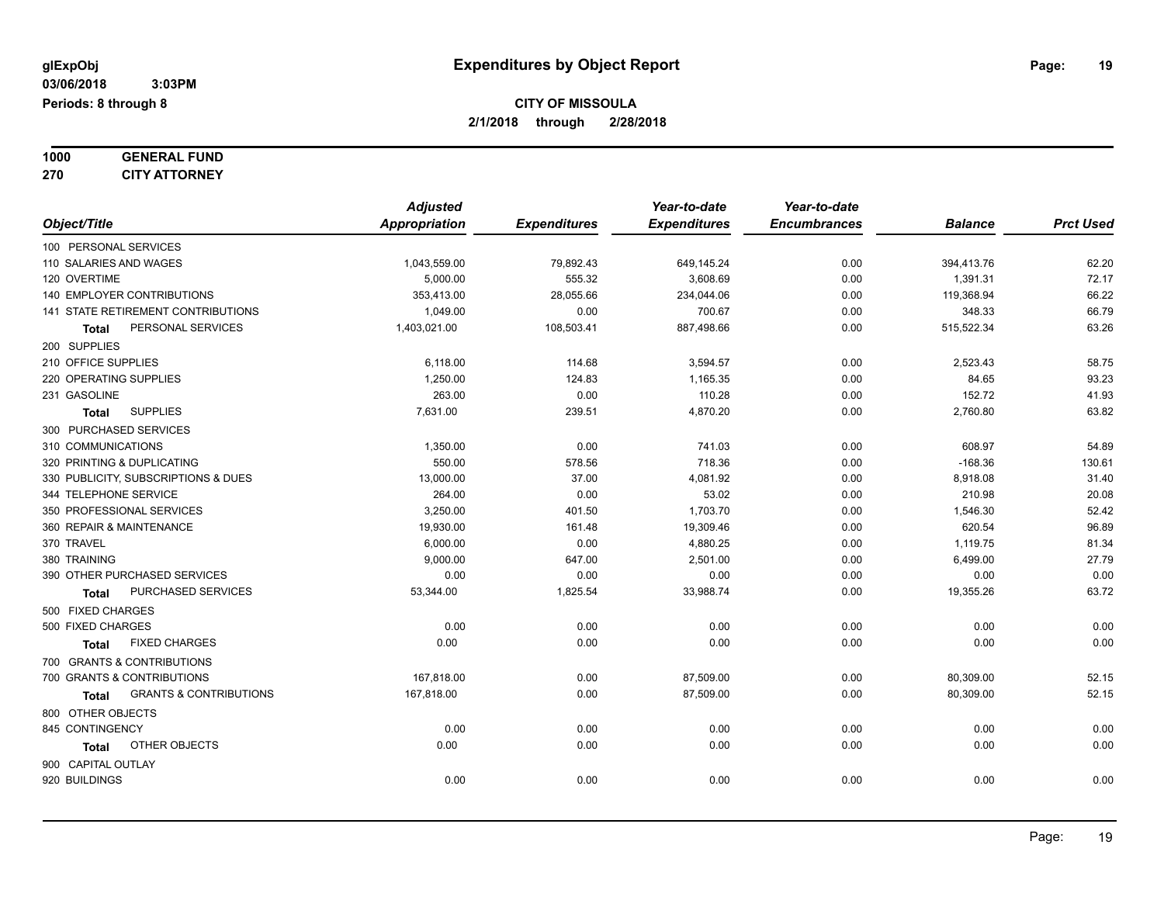**1000 GENERAL FUND 270 CITY ATTORNEY**

|                                            | <b>Adjusted</b>      |                     | Year-to-date        | Year-to-date        |                |                  |
|--------------------------------------------|----------------------|---------------------|---------------------|---------------------|----------------|------------------|
| Object/Title                               | <b>Appropriation</b> | <b>Expenditures</b> | <b>Expenditures</b> | <b>Encumbrances</b> | <b>Balance</b> | <b>Prct Used</b> |
| 100 PERSONAL SERVICES                      |                      |                     |                     |                     |                |                  |
| 110 SALARIES AND WAGES                     | 1,043,559.00         | 79,892.43           | 649,145.24          | 0.00                | 394,413.76     | 62.20            |
| 120 OVERTIME                               | 5,000.00             | 555.32              | 3,608.69            | 0.00                | 1,391.31       | 72.17            |
| 140 EMPLOYER CONTRIBUTIONS                 | 353,413.00           | 28,055.66           | 234,044.06          | 0.00                | 119,368.94     | 66.22            |
| 141 STATE RETIREMENT CONTRIBUTIONS         | 1,049.00             | 0.00                | 700.67              | 0.00                | 348.33         | 66.79            |
| PERSONAL SERVICES<br>Total                 | 1,403,021.00         | 108,503.41          | 887,498.66          | 0.00                | 515,522.34     | 63.26            |
| 200 SUPPLIES                               |                      |                     |                     |                     |                |                  |
| 210 OFFICE SUPPLIES                        | 6,118.00             | 114.68              | 3,594.57            | 0.00                | 2,523.43       | 58.75            |
| 220 OPERATING SUPPLIES                     | 1,250.00             | 124.83              | 1,165.35            | 0.00                | 84.65          | 93.23            |
| 231 GASOLINE                               | 263.00               | 0.00                | 110.28              | 0.00                | 152.72         | 41.93            |
| <b>SUPPLIES</b><br><b>Total</b>            | 7,631.00             | 239.51              | 4,870.20            | 0.00                | 2,760.80       | 63.82            |
| 300 PURCHASED SERVICES                     |                      |                     |                     |                     |                |                  |
| 310 COMMUNICATIONS                         | 1,350.00             | 0.00                | 741.03              | 0.00                | 608.97         | 54.89            |
| 320 PRINTING & DUPLICATING                 | 550.00               | 578.56              | 718.36              | 0.00                | $-168.36$      | 130.61           |
| 330 PUBLICITY, SUBSCRIPTIONS & DUES        | 13,000.00            | 37.00               | 4,081.92            | 0.00                | 8,918.08       | 31.40            |
| 344 TELEPHONE SERVICE                      | 264.00               | 0.00                | 53.02               | 0.00                | 210.98         | 20.08            |
| 350 PROFESSIONAL SERVICES                  | 3,250.00             | 401.50              | 1,703.70            | 0.00                | 1,546.30       | 52.42            |
| 360 REPAIR & MAINTENANCE                   | 19,930.00            | 161.48              | 19,309.46           | 0.00                | 620.54         | 96.89            |
| 370 TRAVEL                                 | 6,000.00             | 0.00                | 4,880.25            | 0.00                | 1,119.75       | 81.34            |
| 380 TRAINING                               | 9,000.00             | 647.00              | 2,501.00            | 0.00                | 6,499.00       | 27.79            |
| 390 OTHER PURCHASED SERVICES               | 0.00                 | 0.00                | 0.00                | 0.00                | 0.00           | 0.00             |
| <b>PURCHASED SERVICES</b><br><b>Total</b>  | 53,344.00            | 1,825.54            | 33,988.74           | 0.00                | 19,355.26      | 63.72            |
| 500 FIXED CHARGES                          |                      |                     |                     |                     |                |                  |
| 500 FIXED CHARGES                          | 0.00                 | 0.00                | 0.00                | 0.00                | 0.00           | 0.00             |
| <b>FIXED CHARGES</b><br>Total              | 0.00                 | 0.00                | 0.00                | 0.00                | 0.00           | 0.00             |
| 700 GRANTS & CONTRIBUTIONS                 |                      |                     |                     |                     |                |                  |
| 700 GRANTS & CONTRIBUTIONS                 | 167,818.00           | 0.00                | 87,509.00           | 0.00                | 80,309.00      | 52.15            |
| <b>GRANTS &amp; CONTRIBUTIONS</b><br>Total | 167,818.00           | 0.00                | 87,509.00           | 0.00                | 80,309.00      | 52.15            |
| 800 OTHER OBJECTS                          |                      |                     |                     |                     |                |                  |
| 845 CONTINGENCY                            | 0.00                 | 0.00                | 0.00                | 0.00                | 0.00           | 0.00             |
| OTHER OBJECTS<br>Total                     | 0.00                 | 0.00                | 0.00                | 0.00                | 0.00           | 0.00             |
| 900 CAPITAL OUTLAY                         |                      |                     |                     |                     |                |                  |
| 920 BUILDINGS                              | 0.00                 | 0.00                | 0.00                | 0.00                | 0.00           | 0.00             |
|                                            |                      |                     |                     |                     |                |                  |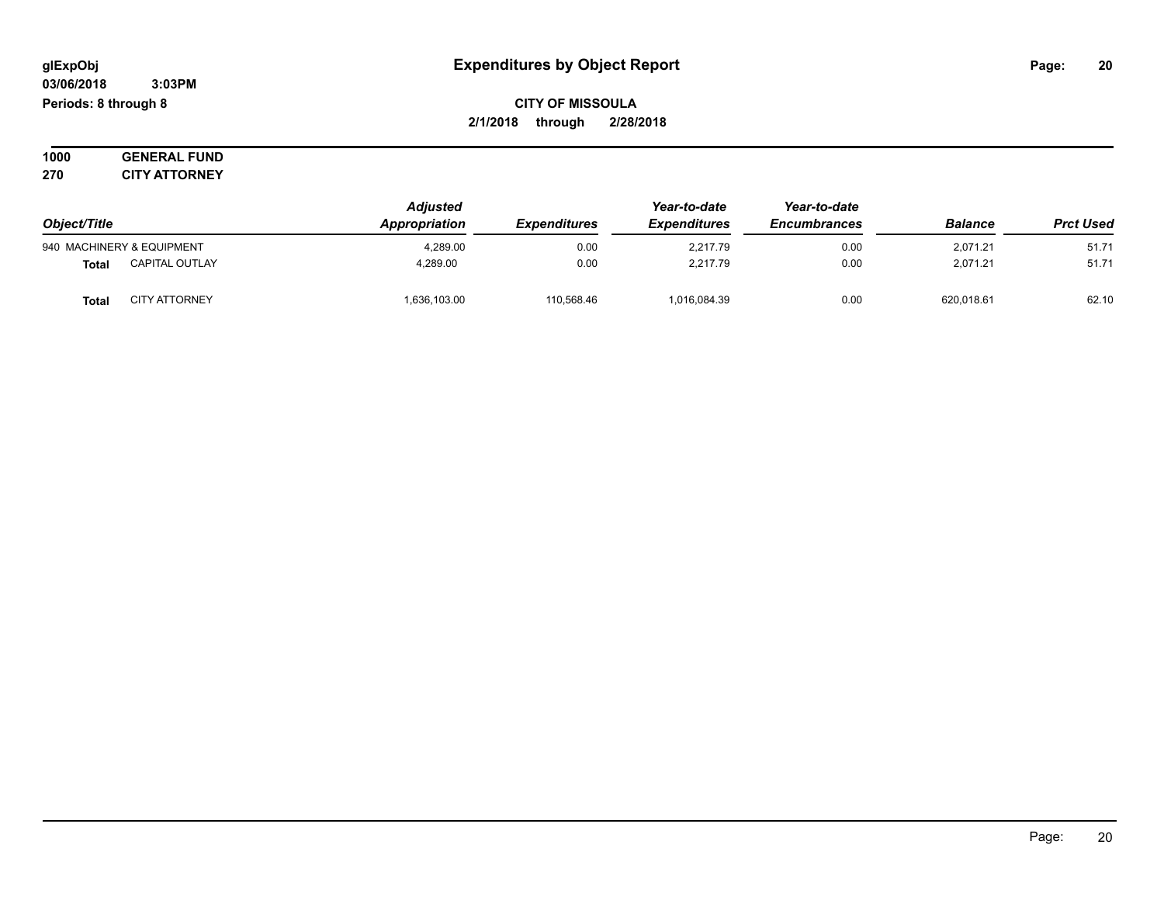**03/06/2018 3:03PM Periods: 8 through 8**

**CITY OF MISSOULA 2/1/2018 through 2/28/2018**

**1000 GENERAL FUND 270 CITY ATTORNEY**

| Object/Title                          | <b>Adjusted</b><br>Appropriation<br><b>Expenditures</b> | Year-to-date<br><b>Expenditures</b> | Year-to-date<br>Encumbrances | <b>Balance</b> | <b>Prct Used</b> |       |
|---------------------------------------|---------------------------------------------------------|-------------------------------------|------------------------------|----------------|------------------|-------|
| 940 MACHINERY & EQUIPMENT             | 4,289.00                                                | 0.00                                | 2,217.79                     | 0.00           | 2,071.21         | 51.71 |
| <b>CAPITAL OUTLAY</b><br><b>Total</b> | 4.289.00                                                | 0.00                                | 2.217.79                     | 0.00           | 2.071.21         | 51.71 |
| <b>CITY ATTORNEY</b><br><b>Total</b>  | 1,636,103.00                                            | 110,568.46                          | 1,016,084.39                 | 0.00           | 620,018.61       | 62.10 |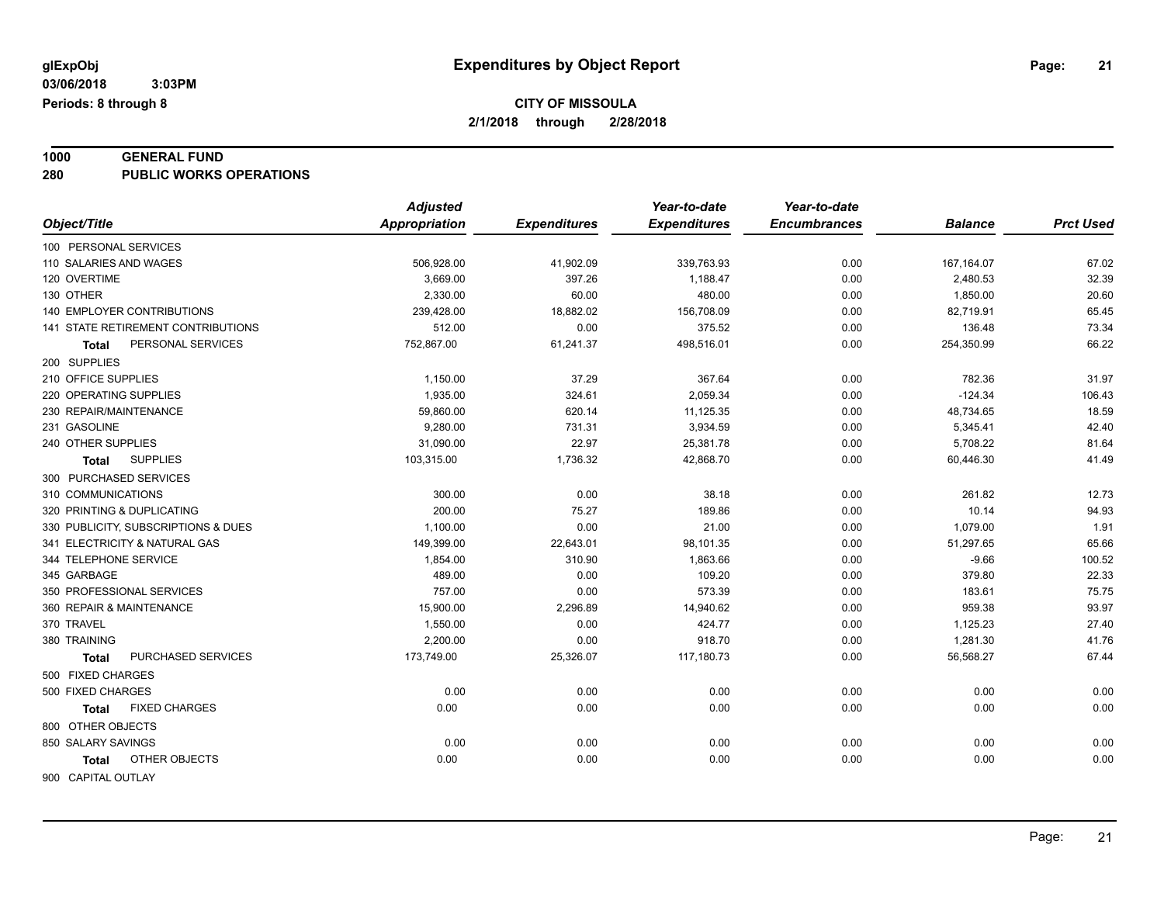### **1000 GENERAL FUND**

**280 PUBLIC WORKS OPERATIONS**

|                                      | <b>Adjusted</b> |                     | Year-to-date        | Year-to-date        |                |                  |
|--------------------------------------|-----------------|---------------------|---------------------|---------------------|----------------|------------------|
| Object/Title                         | Appropriation   | <b>Expenditures</b> | <b>Expenditures</b> | <b>Encumbrances</b> | <b>Balance</b> | <b>Prct Used</b> |
| 100 PERSONAL SERVICES                |                 |                     |                     |                     |                |                  |
| 110 SALARIES AND WAGES               | 506,928.00      | 41,902.09           | 339,763.93          | 0.00                | 167,164.07     | 67.02            |
| 120 OVERTIME                         | 3,669.00        | 397.26              | 1,188.47            | 0.00                | 2,480.53       | 32.39            |
| 130 OTHER                            | 2,330.00        | 60.00               | 480.00              | 0.00                | 1,850.00       | 20.60            |
| 140 EMPLOYER CONTRIBUTIONS           | 239,428.00      | 18,882.02           | 156,708.09          | 0.00                | 82,719.91      | 65.45            |
| 141 STATE RETIREMENT CONTRIBUTIONS   | 512.00          | 0.00                | 375.52              | 0.00                | 136.48         | 73.34            |
| PERSONAL SERVICES<br><b>Total</b>    | 752,867.00      | 61,241.37           | 498,516.01          | 0.00                | 254,350.99     | 66.22            |
| 200 SUPPLIES                         |                 |                     |                     |                     |                |                  |
| 210 OFFICE SUPPLIES                  | 1,150.00        | 37.29               | 367.64              | 0.00                | 782.36         | 31.97            |
| 220 OPERATING SUPPLIES               | 1,935.00        | 324.61              | 2,059.34            | 0.00                | $-124.34$      | 106.43           |
| 230 REPAIR/MAINTENANCE               | 59,860.00       | 620.14              | 11,125.35           | 0.00                | 48,734.65      | 18.59            |
| 231 GASOLINE                         | 9,280.00        | 731.31              | 3,934.59            | 0.00                | 5,345.41       | 42.40            |
| 240 OTHER SUPPLIES                   | 31,090.00       | 22.97               | 25,381.78           | 0.00                | 5,708.22       | 81.64            |
| <b>SUPPLIES</b><br><b>Total</b>      | 103,315.00      | 1,736.32            | 42,868.70           | 0.00                | 60,446.30      | 41.49            |
| 300 PURCHASED SERVICES               |                 |                     |                     |                     |                |                  |
| 310 COMMUNICATIONS                   | 300.00          | 0.00                | 38.18               | 0.00                | 261.82         | 12.73            |
| 320 PRINTING & DUPLICATING           | 200.00          | 75.27               | 189.86              | 0.00                | 10.14          | 94.93            |
| 330 PUBLICITY, SUBSCRIPTIONS & DUES  | 1,100.00        | 0.00                | 21.00               | 0.00                | 1,079.00       | 1.91             |
| 341 ELECTRICITY & NATURAL GAS        | 149,399.00      | 22,643.01           | 98,101.35           | 0.00                | 51,297.65      | 65.66            |
| 344 TELEPHONE SERVICE                | 1,854.00        | 310.90              | 1,863.66            | 0.00                | $-9.66$        | 100.52           |
| 345 GARBAGE                          | 489.00          | 0.00                | 109.20              | 0.00                | 379.80         | 22.33            |
| 350 PROFESSIONAL SERVICES            | 757.00          | 0.00                | 573.39              | 0.00                | 183.61         | 75.75            |
| 360 REPAIR & MAINTENANCE             | 15,900.00       | 2,296.89            | 14,940.62           | 0.00                | 959.38         | 93.97            |
| 370 TRAVEL                           | 1,550.00        | 0.00                | 424.77              | 0.00                | 1,125.23       | 27.40            |
| 380 TRAINING                         | 2,200.00        | 0.00                | 918.70              | 0.00                | 1,281.30       | 41.76            |
| PURCHASED SERVICES<br><b>Total</b>   | 173,749.00      | 25,326.07           | 117,180.73          | 0.00                | 56,568.27      | 67.44            |
| 500 FIXED CHARGES                    |                 |                     |                     |                     |                |                  |
| 500 FIXED CHARGES                    | 0.00            | 0.00                | 0.00                | 0.00                | 0.00           | 0.00             |
| <b>FIXED CHARGES</b><br><b>Total</b> | 0.00            | 0.00                | 0.00                | 0.00                | 0.00           | 0.00             |
| 800 OTHER OBJECTS                    |                 |                     |                     |                     |                |                  |
| 850 SALARY SAVINGS                   | 0.00            | 0.00                | 0.00                | 0.00                | 0.00           | 0.00             |
| OTHER OBJECTS<br>Total               | 0.00            | 0.00                | 0.00                | 0.00                | 0.00           | 0.00             |
|                                      |                 |                     |                     |                     |                |                  |
| 900 CAPITAL OUTLAY                   |                 |                     |                     |                     |                |                  |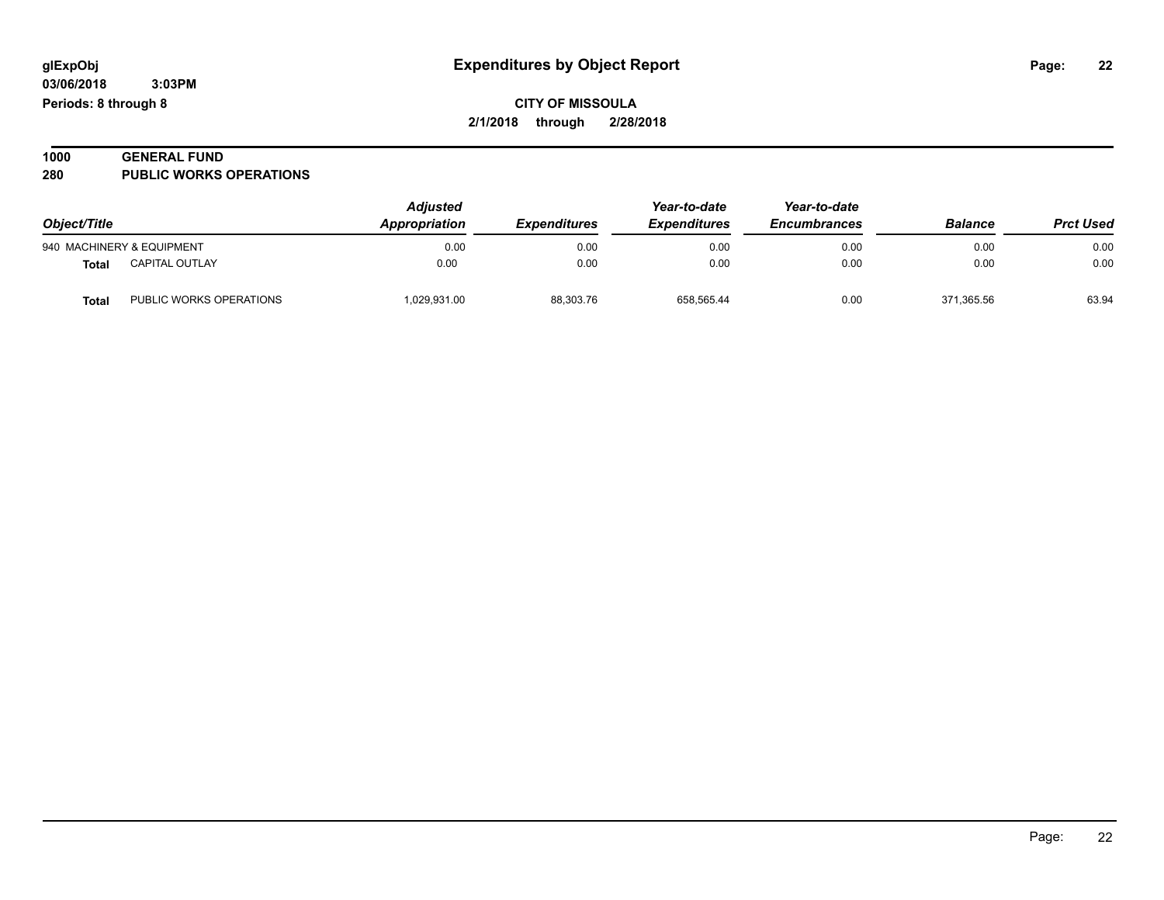| 1000 | <b>GENERAL FUND</b>            |  |
|------|--------------------------------|--|
| 280  | <b>PUBLIC WORKS OPERATIONS</b> |  |

| Object/Title |                           | <b>Adjusted</b><br>Appropriation | Year-to-date<br><b>Expenditures</b><br><i><b>Expenditures</b></i> | Year-to-date<br><b>Encumbrances</b> | <b>Balance</b> | <b>Prct Used</b> |       |
|--------------|---------------------------|----------------------------------|-------------------------------------------------------------------|-------------------------------------|----------------|------------------|-------|
|              | 940 MACHINERY & EQUIPMENT | 0.00                             | 0.00                                                              | 0.00                                | 0.00           | 0.00             | 0.00  |
| Total        | <b>CAPITAL OUTLAY</b>     | 0.00                             | 0.00                                                              | 0.00                                | 0.00           | 0.00             | 0.00  |
| <b>Total</b> | PUBLIC WORKS OPERATIONS   | 1,029,931.00                     | 88,303.76                                                         | 658.565.44                          | 0.00           | 371.365.56       | 63.94 |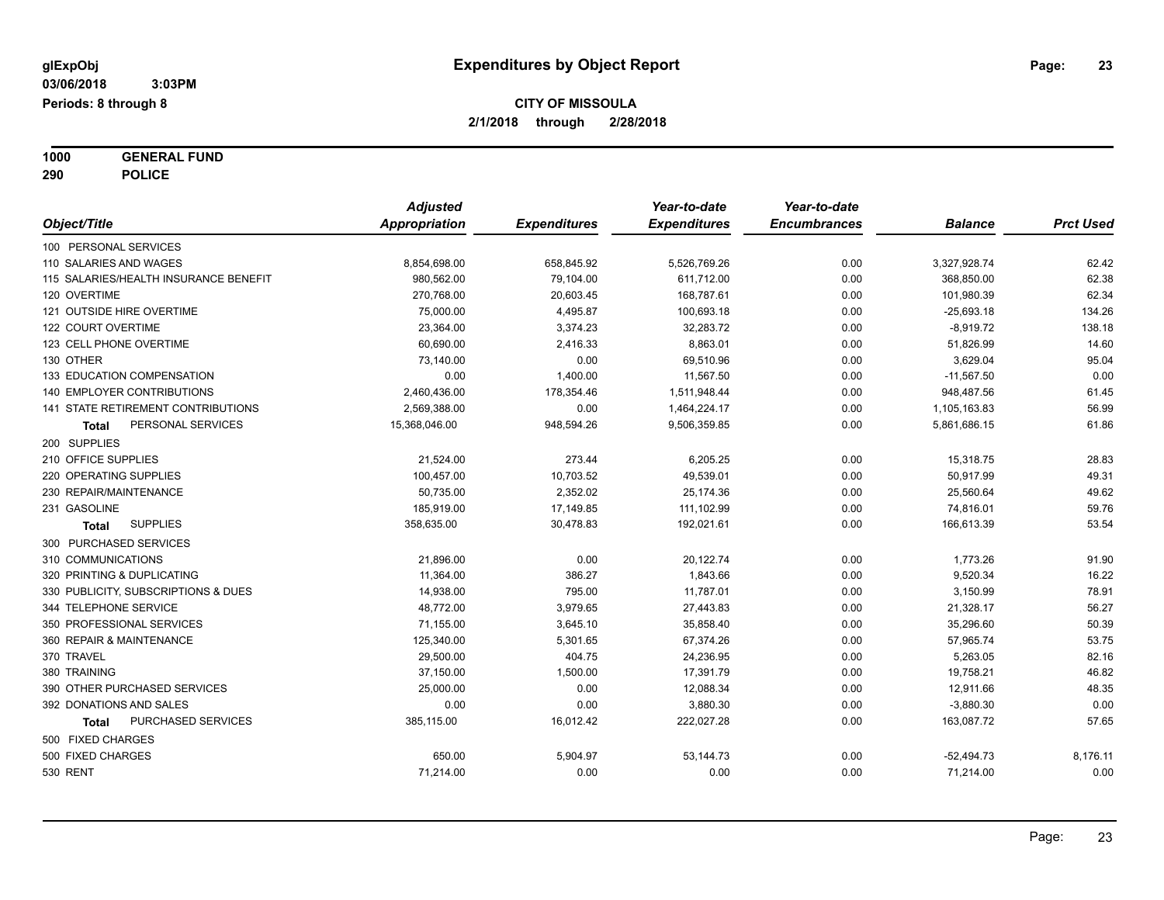**1000 GENERAL FUND 290 POLICE**

|                                       | <b>Adjusted</b>      |                     | Year-to-date        | Year-to-date        |                |                  |
|---------------------------------------|----------------------|---------------------|---------------------|---------------------|----------------|------------------|
| Object/Title                          | <b>Appropriation</b> | <b>Expenditures</b> | <b>Expenditures</b> | <b>Encumbrances</b> | <b>Balance</b> | <b>Prct Used</b> |
| 100 PERSONAL SERVICES                 |                      |                     |                     |                     |                |                  |
| 110 SALARIES AND WAGES                | 8,854,698.00         | 658,845.92          | 5,526,769.26        | 0.00                | 3,327,928.74   | 62.42            |
| 115 SALARIES/HEALTH INSURANCE BENEFIT | 980,562.00           | 79,104.00           | 611,712.00          | 0.00                | 368,850.00     | 62.38            |
| 120 OVERTIME                          | 270,768.00           | 20,603.45           | 168,787.61          | 0.00                | 101,980.39     | 62.34            |
| 121 OUTSIDE HIRE OVERTIME             | 75,000.00            | 4,495.87            | 100,693.18          | 0.00                | $-25,693.18$   | 134.26           |
| 122 COURT OVERTIME                    | 23,364.00            | 3,374.23            | 32,283.72           | 0.00                | $-8,919.72$    | 138.18           |
| 123 CELL PHONE OVERTIME               | 60,690.00            | 2,416.33            | 8,863.01            | 0.00                | 51,826.99      | 14.60            |
| 130 OTHER                             | 73,140.00            | 0.00                | 69,510.96           | 0.00                | 3,629.04       | 95.04            |
| 133 EDUCATION COMPENSATION            | 0.00                 | 1,400.00            | 11,567.50           | 0.00                | $-11,567.50$   | 0.00             |
| 140 EMPLOYER CONTRIBUTIONS            | 2,460,436.00         | 178,354.46          | 1,511,948.44        | 0.00                | 948,487.56     | 61.45            |
| 141 STATE RETIREMENT CONTRIBUTIONS    | 2,569,388.00         | 0.00                | 1,464,224.17        | 0.00                | 1,105,163.83   | 56.99            |
| PERSONAL SERVICES<br><b>Total</b>     | 15,368,046.00        | 948,594.26          | 9,506,359.85        | 0.00                | 5,861,686.15   | 61.86            |
| 200 SUPPLIES                          |                      |                     |                     |                     |                |                  |
| 210 OFFICE SUPPLIES                   | 21,524.00            | 273.44              | 6,205.25            | 0.00                | 15,318.75      | 28.83            |
| 220 OPERATING SUPPLIES                | 100,457.00           | 10,703.52           | 49,539.01           | 0.00                | 50,917.99      | 49.31            |
| 230 REPAIR/MAINTENANCE                | 50,735.00            | 2,352.02            | 25,174.36           | 0.00                | 25,560.64      | 49.62            |
| 231 GASOLINE                          | 185,919.00           | 17,149.85           | 111,102.99          | 0.00                | 74,816.01      | 59.76            |
| <b>SUPPLIES</b><br>Total              | 358,635.00           | 30,478.83           | 192,021.61          | 0.00                | 166,613.39     | 53.54            |
| 300 PURCHASED SERVICES                |                      |                     |                     |                     |                |                  |
| 310 COMMUNICATIONS                    | 21,896.00            | 0.00                | 20,122.74           | 0.00                | 1,773.26       | 91.90            |
| 320 PRINTING & DUPLICATING            | 11,364.00            | 386.27              | 1,843.66            | 0.00                | 9,520.34       | 16.22            |
| 330 PUBLICITY, SUBSCRIPTIONS & DUES   | 14,938.00            | 795.00              | 11,787.01           | 0.00                | 3,150.99       | 78.91            |
| 344 TELEPHONE SERVICE                 | 48,772.00            | 3,979.65            | 27,443.83           | 0.00                | 21,328.17      | 56.27            |
| 350 PROFESSIONAL SERVICES             | 71,155.00            | 3,645.10            | 35,858.40           | 0.00                | 35,296.60      | 50.39            |
| 360 REPAIR & MAINTENANCE              | 125,340.00           | 5,301.65            | 67,374.26           | 0.00                | 57,965.74      | 53.75            |
| 370 TRAVEL                            | 29,500.00            | 404.75              | 24,236.95           | 0.00                | 5,263.05       | 82.16            |
| 380 TRAINING                          | 37,150.00            | 1,500.00            | 17,391.79           | 0.00                | 19,758.21      | 46.82            |
| 390 OTHER PURCHASED SERVICES          | 25,000.00            | 0.00                | 12,088.34           | 0.00                | 12,911.66      | 48.35            |
| 392 DONATIONS AND SALES               | 0.00                 | 0.00                | 3,880.30            | 0.00                | $-3,880.30$    | 0.00             |
| PURCHASED SERVICES<br>Total           | 385,115.00           | 16,012.42           | 222,027.28          | 0.00                | 163,087.72     | 57.65            |
| 500 FIXED CHARGES                     |                      |                     |                     |                     |                |                  |
| 500 FIXED CHARGES                     | 650.00               | 5,904.97            | 53,144.73           | 0.00                | $-52,494.73$   | 8,176.11         |
| <b>530 RENT</b>                       | 71,214.00            | 0.00                | 0.00                | 0.00                | 71,214.00      | 0.00             |
|                                       |                      |                     |                     |                     |                |                  |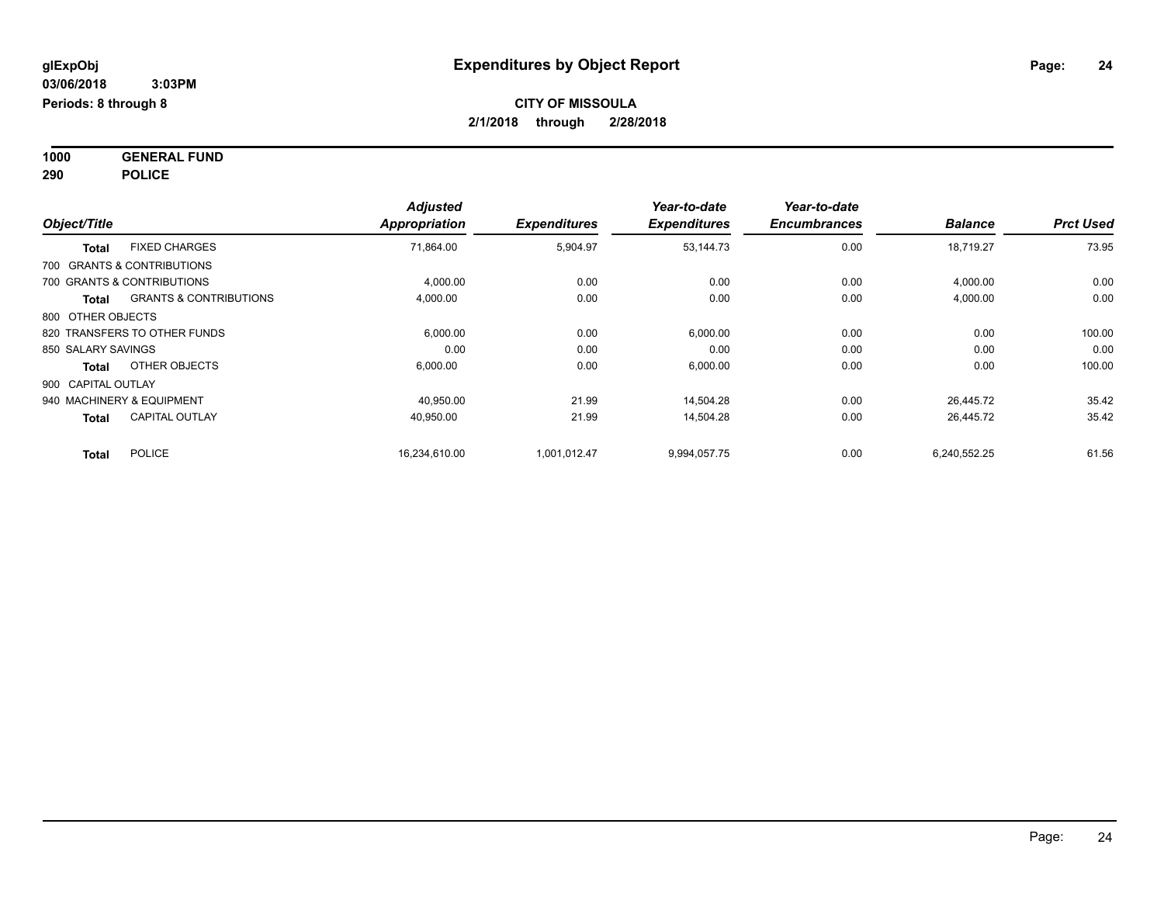**1000 GENERAL FUND 290 POLICE**

| Object/Title                          |                                   | <b>Adjusted</b><br>Appropriation | <b>Expenditures</b> | Year-to-date<br><b>Expenditures</b> | Year-to-date<br><b>Encumbrances</b> | <b>Balance</b> | <b>Prct Used</b> |
|---------------------------------------|-----------------------------------|----------------------------------|---------------------|-------------------------------------|-------------------------------------|----------------|------------------|
| <b>FIXED CHARGES</b><br><b>Total</b>  |                                   | 71,864.00                        | 5,904.97            | 53,144.73                           | 0.00                                | 18,719.27      | 73.95            |
| 700 GRANTS & CONTRIBUTIONS            |                                   |                                  |                     |                                     |                                     |                |                  |
| 700 GRANTS & CONTRIBUTIONS            |                                   | 4,000.00                         | 0.00                | 0.00                                | 0.00                                | 4,000.00       | 0.00             |
| <b>Total</b>                          | <b>GRANTS &amp; CONTRIBUTIONS</b> | 4,000.00                         | 0.00                | 0.00                                | 0.00                                | 4,000.00       | 0.00             |
| 800 OTHER OBJECTS                     |                                   |                                  |                     |                                     |                                     |                |                  |
| 820 TRANSFERS TO OTHER FUNDS          |                                   | 6,000.00                         | 0.00                | 6,000.00                            | 0.00                                | 0.00           | 100.00           |
| 850 SALARY SAVINGS                    |                                   | 0.00                             | 0.00                | 0.00                                | 0.00                                | 0.00           | 0.00             |
| OTHER OBJECTS<br><b>Total</b>         |                                   | 6,000.00                         | 0.00                | 6,000.00                            | 0.00                                | 0.00           | 100.00           |
| 900 CAPITAL OUTLAY                    |                                   |                                  |                     |                                     |                                     |                |                  |
| 940 MACHINERY & EQUIPMENT             |                                   | 40.950.00                        | 21.99               | 14,504.28                           | 0.00                                | 26.445.72      | 35.42            |
| <b>CAPITAL OUTLAY</b><br><b>Total</b> |                                   | 40,950.00                        | 21.99               | 14,504.28                           | 0.00                                | 26,445.72      | 35.42            |
| <b>POLICE</b><br><b>Total</b>         |                                   | 16,234,610.00                    | 1,001,012.47        | 9,994,057.75                        | 0.00                                | 6,240,552.25   | 61.56            |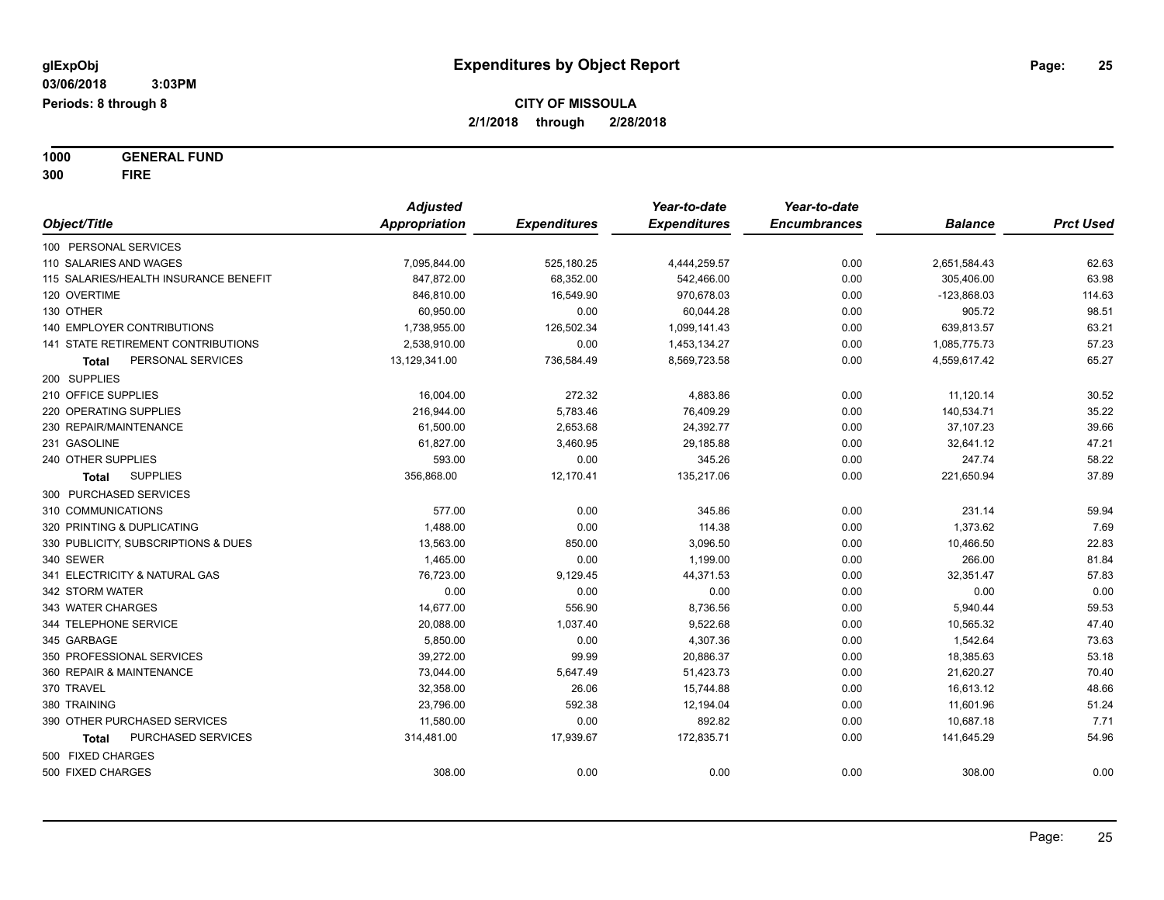**1000 GENERAL FUND 300 FIRE**

|                                           | <b>Adjusted</b> |                     | Year-to-date        | Year-to-date        |                |                  |
|-------------------------------------------|-----------------|---------------------|---------------------|---------------------|----------------|------------------|
| Object/Title                              | Appropriation   | <b>Expenditures</b> | <b>Expenditures</b> | <b>Encumbrances</b> | <b>Balance</b> | <b>Prct Used</b> |
| 100 PERSONAL SERVICES                     |                 |                     |                     |                     |                |                  |
| 110 SALARIES AND WAGES                    | 7,095,844.00    | 525,180.25          | 4,444,259.57        | 0.00                | 2,651,584.43   | 62.63            |
| 115 SALARIES/HEALTH INSURANCE BENEFIT     | 847,872.00      | 68,352.00           | 542,466.00          | 0.00                | 305,406.00     | 63.98            |
| 120 OVERTIME                              | 846,810.00      | 16,549.90           | 970,678.03          | 0.00                | $-123,868.03$  | 114.63           |
| 130 OTHER                                 | 60,950.00       | 0.00                | 60,044.28           | 0.00                | 905.72         | 98.51            |
| <b>140 EMPLOYER CONTRIBUTIONS</b>         | 1,738,955.00    | 126,502.34          | 1,099,141.43        | 0.00                | 639,813.57     | 63.21            |
| <b>141 STATE RETIREMENT CONTRIBUTIONS</b> | 2,538,910.00    | 0.00                | 1,453,134.27        | 0.00                | 1,085,775.73   | 57.23            |
| PERSONAL SERVICES<br><b>Total</b>         | 13,129,341.00   | 736,584.49          | 8,569,723.58        | 0.00                | 4,559,617.42   | 65.27            |
| 200 SUPPLIES                              |                 |                     |                     |                     |                |                  |
| 210 OFFICE SUPPLIES                       | 16,004.00       | 272.32              | 4,883.86            | 0.00                | 11,120.14      | 30.52            |
| 220 OPERATING SUPPLIES                    | 216,944.00      | 5,783.46            | 76,409.29           | 0.00                | 140,534.71     | 35.22            |
| 230 REPAIR/MAINTENANCE                    | 61,500.00       | 2,653.68            | 24,392.77           | 0.00                | 37,107.23      | 39.66            |
| 231 GASOLINE                              | 61,827.00       | 3,460.95            | 29,185.88           | 0.00                | 32,641.12      | 47.21            |
| 240 OTHER SUPPLIES                        | 593.00          | 0.00                | 345.26              | 0.00                | 247.74         | 58.22            |
| <b>SUPPLIES</b><br><b>Total</b>           | 356,868.00      | 12,170.41           | 135,217.06          | 0.00                | 221,650.94     | 37.89            |
| 300 PURCHASED SERVICES                    |                 |                     |                     |                     |                |                  |
| 310 COMMUNICATIONS                        | 577.00          | 0.00                | 345.86              | 0.00                | 231.14         | 59.94            |
| 320 PRINTING & DUPLICATING                | 1,488.00        | 0.00                | 114.38              | 0.00                | 1,373.62       | 7.69             |
| 330 PUBLICITY, SUBSCRIPTIONS & DUES       | 13,563.00       | 850.00              | 3,096.50            | 0.00                | 10,466.50      | 22.83            |
| 340 SEWER                                 | 1,465.00        | 0.00                | 1,199.00            | 0.00                | 266.00         | 81.84            |
| 341 ELECTRICITY & NATURAL GAS             | 76,723.00       | 9,129.45            | 44,371.53           | 0.00                | 32,351.47      | 57.83            |
| 342 STORM WATER                           | 0.00            | 0.00                | 0.00                | 0.00                | 0.00           | 0.00             |
| 343 WATER CHARGES                         | 14,677.00       | 556.90              | 8,736.56            | 0.00                | 5,940.44       | 59.53            |
| 344 TELEPHONE SERVICE                     | 20,088.00       | 1,037.40            | 9,522.68            | 0.00                | 10,565.32      | 47.40            |
| 345 GARBAGE                               | 5,850.00        | 0.00                | 4,307.36            | 0.00                | 1,542.64       | 73.63            |
| 350 PROFESSIONAL SERVICES                 | 39,272.00       | 99.99               | 20,886.37           | 0.00                | 18,385.63      | 53.18            |
| 360 REPAIR & MAINTENANCE                  | 73,044.00       | 5,647.49            | 51,423.73           | 0.00                | 21,620.27      | 70.40            |
| 370 TRAVEL                                | 32,358.00       | 26.06               | 15,744.88           | 0.00                | 16,613.12      | 48.66            |
| 380 TRAINING                              | 23,796.00       | 592.38              | 12,194.04           | 0.00                | 11,601.96      | 51.24            |
| 390 OTHER PURCHASED SERVICES              | 11,580.00       | 0.00                | 892.82              | 0.00                | 10,687.18      | 7.71             |
| PURCHASED SERVICES<br>Total               | 314,481.00      | 17,939.67           | 172,835.71          | 0.00                | 141,645.29     | 54.96            |
| 500 FIXED CHARGES                         |                 |                     |                     |                     |                |                  |
| 500 FIXED CHARGES                         | 308.00          | 0.00                | 0.00                | 0.00                | 308.00         | 0.00             |
|                                           |                 |                     |                     |                     |                |                  |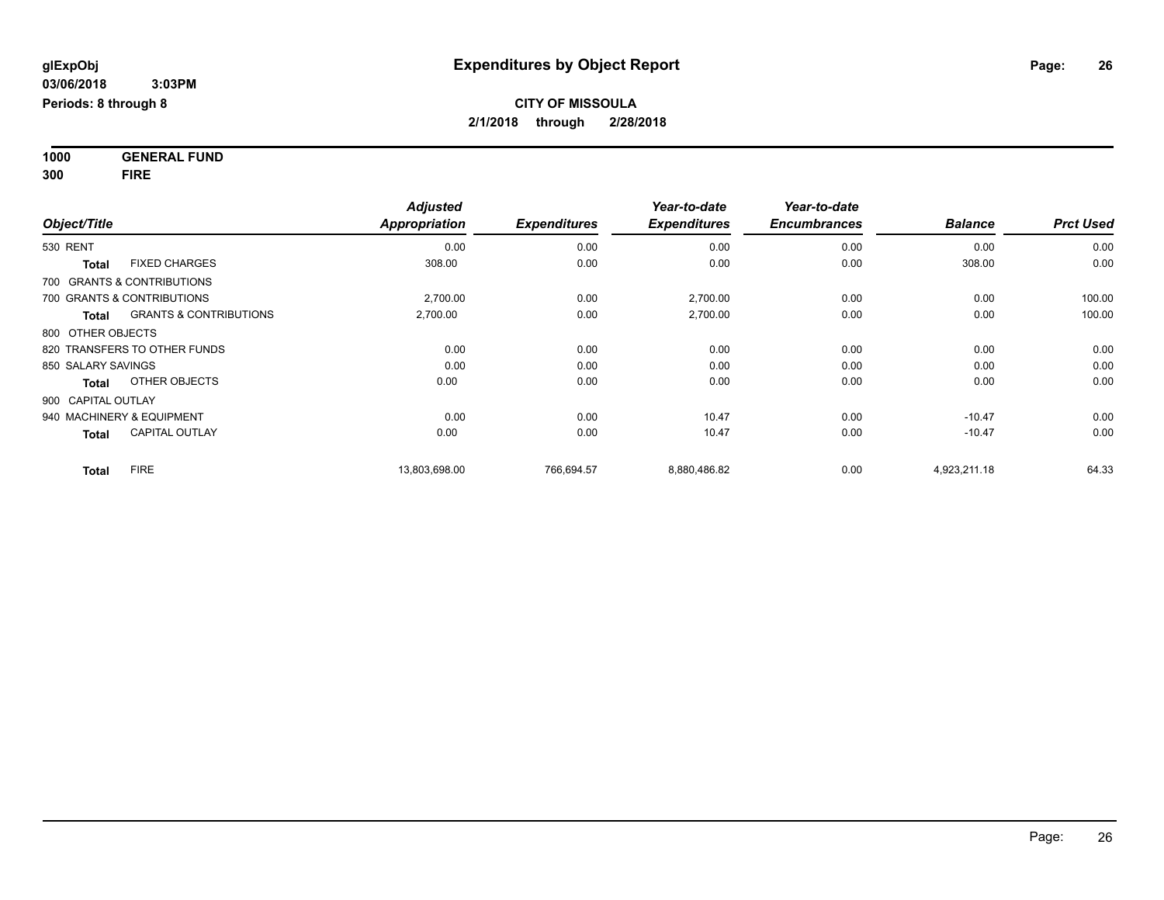**1000 GENERAL FUND 300 FIRE**

|                                                   | <b>Adjusted</b><br>Appropriation<br><b>Expenditures</b> | Year-to-date | Year-to-date        |                     |                |                  |
|---------------------------------------------------|---------------------------------------------------------|--------------|---------------------|---------------------|----------------|------------------|
| Object/Title                                      |                                                         |              | <b>Expenditures</b> | <b>Encumbrances</b> | <b>Balance</b> | <b>Prct Used</b> |
| <b>530 RENT</b>                                   | 0.00                                                    | 0.00         | 0.00                | 0.00                | 0.00           | 0.00             |
| <b>FIXED CHARGES</b><br><b>Total</b>              | 308.00                                                  | 0.00         | 0.00                | 0.00                | 308.00         | 0.00             |
| 700 GRANTS & CONTRIBUTIONS                        |                                                         |              |                     |                     |                |                  |
| 700 GRANTS & CONTRIBUTIONS                        | 2.700.00                                                | 0.00         | 2,700.00            | 0.00                | 0.00           | 100.00           |
| <b>GRANTS &amp; CONTRIBUTIONS</b><br><b>Total</b> | 2,700.00                                                | 0.00         | 2,700.00            | 0.00                | 0.00           | 100.00           |
| 800 OTHER OBJECTS                                 |                                                         |              |                     |                     |                |                  |
| 820 TRANSFERS TO OTHER FUNDS                      | 0.00                                                    | 0.00         | 0.00                | 0.00                | 0.00           | 0.00             |
| 850 SALARY SAVINGS                                | 0.00                                                    | 0.00         | 0.00                | 0.00                | 0.00           | 0.00             |
| OTHER OBJECTS<br><b>Total</b>                     | 0.00                                                    | 0.00         | 0.00                | 0.00                | 0.00           | 0.00             |
| 900 CAPITAL OUTLAY                                |                                                         |              |                     |                     |                |                  |
| 940 MACHINERY & EQUIPMENT                         | 0.00                                                    | 0.00         | 10.47               | 0.00                | $-10.47$       | 0.00             |
| <b>CAPITAL OUTLAY</b><br><b>Total</b>             | 0.00                                                    | 0.00         | 10.47               | 0.00                | $-10.47$       | 0.00             |
| <b>FIRE</b><br><b>Total</b>                       | 13,803,698.00                                           | 766,694.57   | 8,880,486.82        | 0.00                | 4,923,211.18   | 64.33            |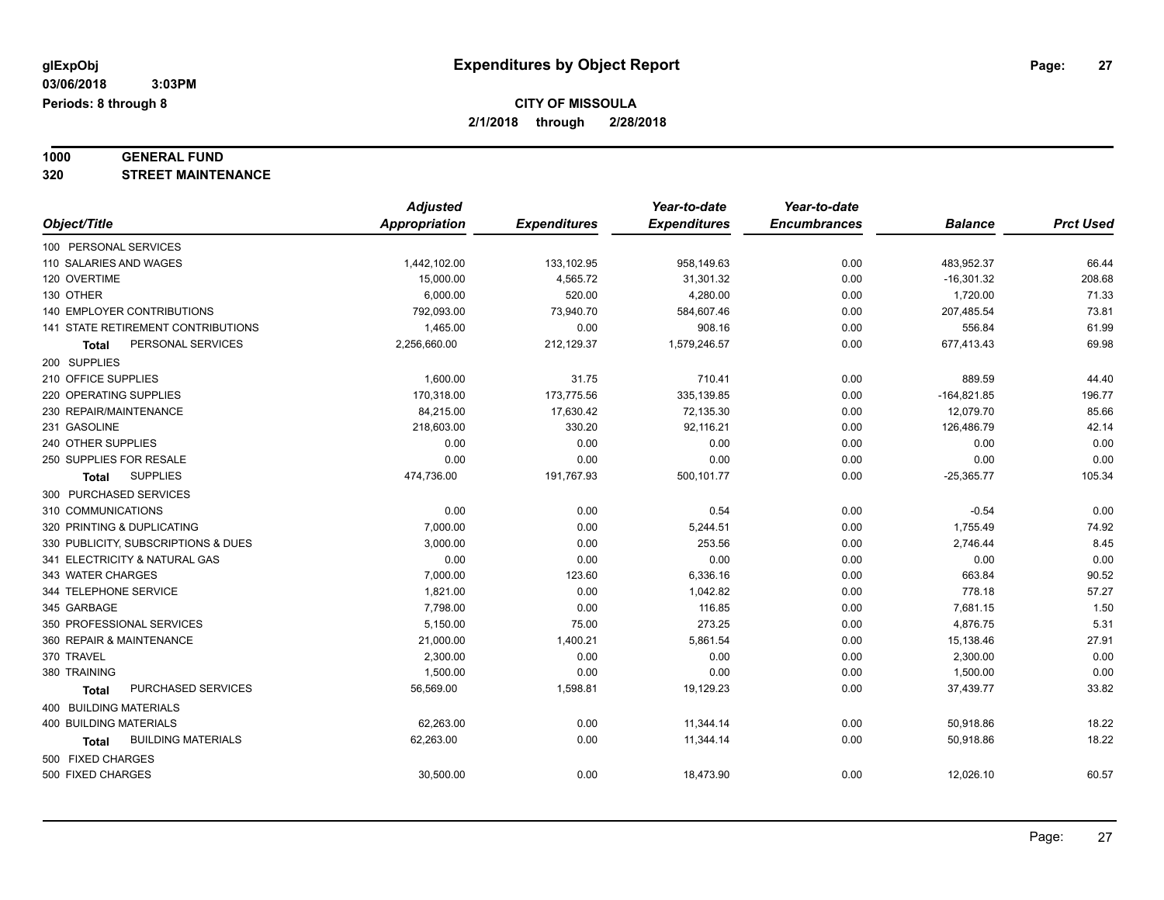# **1000 GENERAL FUND**

**320 STREET MAINTENANCE**

|                                           | <b>Adjusted</b> |                     | Year-to-date        | Year-to-date        |                |                  |
|-------------------------------------------|-----------------|---------------------|---------------------|---------------------|----------------|------------------|
| Object/Title                              | Appropriation   | <b>Expenditures</b> | <b>Expenditures</b> | <b>Encumbrances</b> | <b>Balance</b> | <b>Prct Used</b> |
| 100 PERSONAL SERVICES                     |                 |                     |                     |                     |                |                  |
| 110 SALARIES AND WAGES                    | 1,442,102.00    | 133,102.95          | 958,149.63          | 0.00                | 483,952.37     | 66.44            |
| 120 OVERTIME                              | 15,000.00       | 4,565.72            | 31,301.32           | 0.00                | $-16,301.32$   | 208.68           |
| 130 OTHER                                 | 6,000.00        | 520.00              | 4,280.00            | 0.00                | 1,720.00       | 71.33            |
| <b>140 EMPLOYER CONTRIBUTIONS</b>         | 792,093.00      | 73,940.70           | 584,607.46          | 0.00                | 207,485.54     | 73.81            |
| 141 STATE RETIREMENT CONTRIBUTIONS        | 1,465.00        | 0.00                | 908.16              | 0.00                | 556.84         | 61.99            |
| PERSONAL SERVICES<br>Total                | 2,256,660.00    | 212,129.37          | 1,579,246.57        | 0.00                | 677,413.43     | 69.98            |
| 200 SUPPLIES                              |                 |                     |                     |                     |                |                  |
| 210 OFFICE SUPPLIES                       | 1,600.00        | 31.75               | 710.41              | 0.00                | 889.59         | 44.40            |
| 220 OPERATING SUPPLIES                    | 170,318.00      | 173,775.56          | 335,139.85          | 0.00                | $-164,821.85$  | 196.77           |
| 230 REPAIR/MAINTENANCE                    | 84,215.00       | 17,630.42           | 72,135.30           | 0.00                | 12,079.70      | 85.66            |
| 231 GASOLINE                              | 218,603.00      | 330.20              | 92,116.21           | 0.00                | 126,486.79     | 42.14            |
| 240 OTHER SUPPLIES                        | 0.00            | 0.00                | 0.00                | 0.00                | 0.00           | 0.00             |
| 250 SUPPLIES FOR RESALE                   | 0.00            | 0.00                | 0.00                | 0.00                | 0.00           | 0.00             |
| <b>SUPPLIES</b><br><b>Total</b>           | 474,736.00      | 191,767.93          | 500,101.77          | 0.00                | $-25,365.77$   | 105.34           |
| 300 PURCHASED SERVICES                    |                 |                     |                     |                     |                |                  |
| 310 COMMUNICATIONS                        | 0.00            | 0.00                | 0.54                | 0.00                | $-0.54$        | 0.00             |
| 320 PRINTING & DUPLICATING                | 7,000.00        | 0.00                | 5,244.51            | 0.00                | 1,755.49       | 74.92            |
| 330 PUBLICITY, SUBSCRIPTIONS & DUES       | 3,000.00        | 0.00                | 253.56              | 0.00                | 2,746.44       | 8.45             |
| 341 ELECTRICITY & NATURAL GAS             | 0.00            | 0.00                | 0.00                | 0.00                | 0.00           | 0.00             |
| 343 WATER CHARGES                         | 7,000.00        | 123.60              | 6,336.16            | 0.00                | 663.84         | 90.52            |
| 344 TELEPHONE SERVICE                     | 1,821.00        | 0.00                | 1,042.82            | 0.00                | 778.18         | 57.27            |
| 345 GARBAGE                               | 7,798.00        | 0.00                | 116.85              | 0.00                | 7,681.15       | 1.50             |
| 350 PROFESSIONAL SERVICES                 | 5,150.00        | 75.00               | 273.25              | 0.00                | 4,876.75       | 5.31             |
| 360 REPAIR & MAINTENANCE                  | 21,000.00       | 1,400.21            | 5,861.54            | 0.00                | 15,138.46      | 27.91            |
| 370 TRAVEL                                | 2,300.00        | 0.00                | 0.00                | 0.00                | 2,300.00       | 0.00             |
| 380 TRAINING                              | 1,500.00        | 0.00                | 0.00                | 0.00                | 1,500.00       | 0.00             |
| PURCHASED SERVICES<br>Total               | 56,569.00       | 1,598.81            | 19,129.23           | 0.00                | 37,439.77      | 33.82            |
| 400 BUILDING MATERIALS                    |                 |                     |                     |                     |                |                  |
| <b>400 BUILDING MATERIALS</b>             | 62,263.00       | 0.00                | 11,344.14           | 0.00                | 50,918.86      | 18.22            |
| <b>BUILDING MATERIALS</b><br><b>Total</b> | 62,263.00       | 0.00                | 11,344.14           | 0.00                | 50,918.86      | 18.22            |
| 500 FIXED CHARGES                         |                 |                     |                     |                     |                |                  |
| 500 FIXED CHARGES                         | 30,500.00       | 0.00                | 18,473.90           | 0.00                | 12,026.10      | 60.57            |
|                                           |                 |                     |                     |                     |                |                  |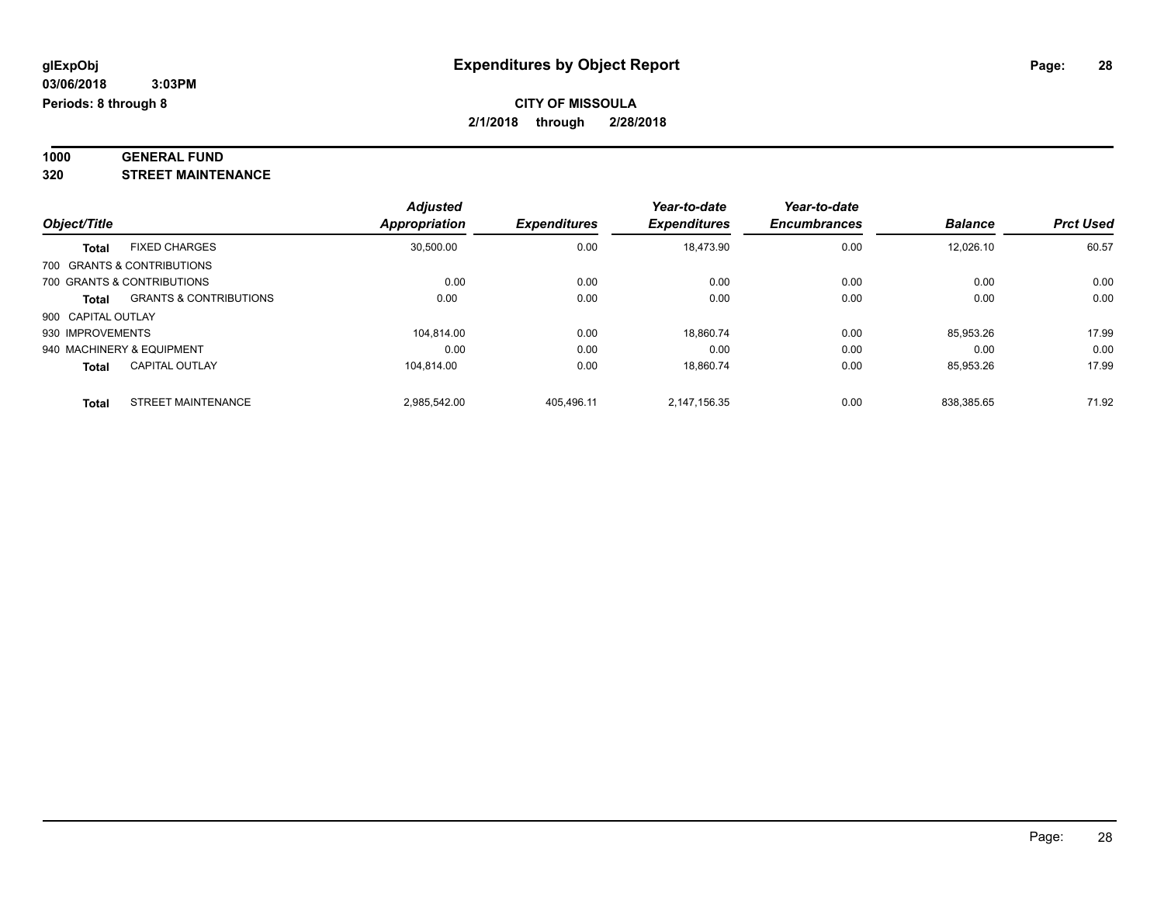#### **1000 GENERAL FUND 320 STREET MAINTENANCE**

| -320 | SIKEEI MAINIENANCE |  |
|------|--------------------|--|
|      |                    |  |

|                            |                                   | <b>Adjusted</b>      |                     | Year-to-date        | Year-to-date        |                |                  |
|----------------------------|-----------------------------------|----------------------|---------------------|---------------------|---------------------|----------------|------------------|
| Object/Title               |                                   | <b>Appropriation</b> | <b>Expenditures</b> | <b>Expenditures</b> | <b>Encumbrances</b> | <b>Balance</b> | <b>Prct Used</b> |
| <b>Total</b>               | <b>FIXED CHARGES</b>              | 30.500.00            | 0.00                | 18.473.90           | 0.00                | 12.026.10      | 60.57            |
| 700 GRANTS & CONTRIBUTIONS |                                   |                      |                     |                     |                     |                |                  |
| 700 GRANTS & CONTRIBUTIONS |                                   | 0.00                 | 0.00                | 0.00                | 0.00                | 0.00           | 0.00             |
| <b>Total</b>               | <b>GRANTS &amp; CONTRIBUTIONS</b> | 0.00                 | 0.00                | 0.00                | 0.00                | 0.00           | 0.00             |
| 900 CAPITAL OUTLAY         |                                   |                      |                     |                     |                     |                |                  |
| 930 IMPROVEMENTS           |                                   | 104.814.00           | 0.00                | 18,860.74           | 0.00                | 85.953.26      | 17.99            |
| 940 MACHINERY & EQUIPMENT  |                                   | 0.00                 | 0.00                | 0.00                | 0.00                | 0.00           | 0.00             |
| <b>Total</b>               | <b>CAPITAL OUTLAY</b>             | 104.814.00           | 0.00                | 18.860.74           | 0.00                | 85.953.26      | 17.99            |
| <b>Total</b>               | <b>STREET MAINTENANCE</b>         | 2.985.542.00         | 405.496.11          | 2.147.156.35        | 0.00                | 838.385.65     | 71.92            |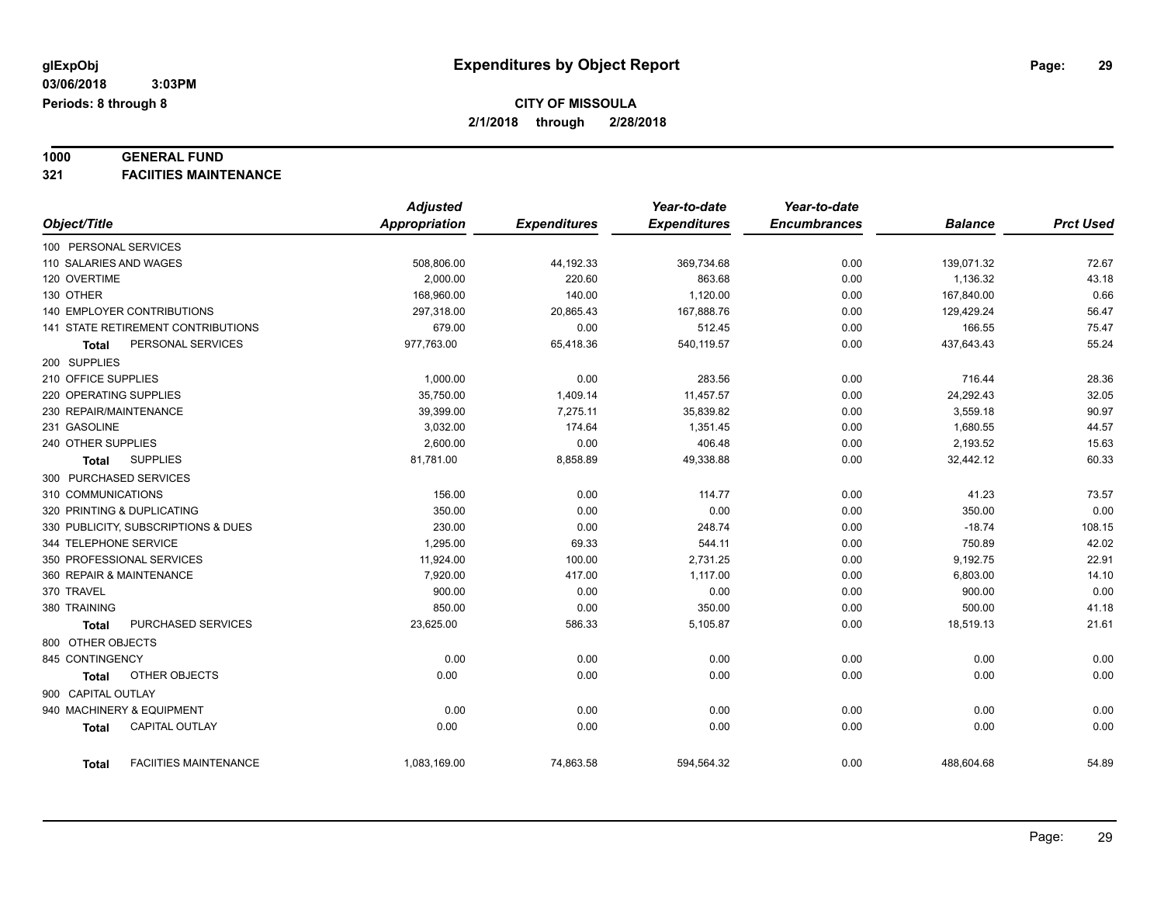### **1000 GENERAL FUND**

**321 FACIITIES MAINTENANCE**

|                                              | <b>Adjusted</b>      |                     | Year-to-date        | Year-to-date        |                |                  |
|----------------------------------------------|----------------------|---------------------|---------------------|---------------------|----------------|------------------|
| Object/Title                                 | <b>Appropriation</b> | <b>Expenditures</b> | <b>Expenditures</b> | <b>Encumbrances</b> | <b>Balance</b> | <b>Prct Used</b> |
| 100 PERSONAL SERVICES                        |                      |                     |                     |                     |                |                  |
| 110 SALARIES AND WAGES                       | 508,806.00           | 44,192.33           | 369,734.68          | 0.00                | 139,071.32     | 72.67            |
| 120 OVERTIME                                 | 2.000.00             | 220.60              | 863.68              | 0.00                | 1,136.32       | 43.18            |
| 130 OTHER                                    | 168,960.00           | 140.00              | 1,120.00            | 0.00                | 167,840.00     | 0.66             |
| <b>140 EMPLOYER CONTRIBUTIONS</b>            | 297,318.00           | 20,865.43           | 167,888.76          | 0.00                | 129,429.24     | 56.47            |
| 141 STATE RETIREMENT CONTRIBUTIONS           | 679.00               | 0.00                | 512.45              | 0.00                | 166.55         | 75.47            |
| PERSONAL SERVICES<br>Total                   | 977,763.00           | 65,418.36           | 540,119.57          | 0.00                | 437,643.43     | 55.24            |
| 200 SUPPLIES                                 |                      |                     |                     |                     |                |                  |
| 210 OFFICE SUPPLIES                          | 1,000.00             | 0.00                | 283.56              | 0.00                | 716.44         | 28.36            |
| 220 OPERATING SUPPLIES                       | 35,750.00            | 1,409.14            | 11,457.57           | 0.00                | 24,292.43      | 32.05            |
| 230 REPAIR/MAINTENANCE                       | 39,399.00            | 7,275.11            | 35,839.82           | 0.00                | 3,559.18       | 90.97            |
| 231 GASOLINE                                 | 3.032.00             | 174.64              | 1,351.45            | 0.00                | 1,680.55       | 44.57            |
| 240 OTHER SUPPLIES                           | 2,600.00             | 0.00                | 406.48              | 0.00                | 2,193.52       | 15.63            |
| <b>SUPPLIES</b><br><b>Total</b>              | 81,781.00            | 8,858.89            | 49,338.88           | 0.00                | 32,442.12      | 60.33            |
| 300 PURCHASED SERVICES                       |                      |                     |                     |                     |                |                  |
| 310 COMMUNICATIONS                           | 156.00               | 0.00                | 114.77              | 0.00                | 41.23          | 73.57            |
| 320 PRINTING & DUPLICATING                   | 350.00               | 0.00                | 0.00                | 0.00                | 350.00         | 0.00             |
| 330 PUBLICITY, SUBSCRIPTIONS & DUES          | 230.00               | 0.00                | 248.74              | 0.00                | $-18.74$       | 108.15           |
| 344 TELEPHONE SERVICE                        | 1,295.00             | 69.33               | 544.11              | 0.00                | 750.89         | 42.02            |
| 350 PROFESSIONAL SERVICES                    | 11,924.00            | 100.00              | 2,731.25            | 0.00                | 9,192.75       | 22.91            |
| 360 REPAIR & MAINTENANCE                     | 7,920.00             | 417.00              | 1,117.00            | 0.00                | 6,803.00       | 14.10            |
| 370 TRAVEL                                   | 900.00               | 0.00                | 0.00                | 0.00                | 900.00         | 0.00             |
| 380 TRAINING                                 | 850.00               | 0.00                | 350.00              | 0.00                | 500.00         | 41.18            |
| PURCHASED SERVICES<br><b>Total</b>           | 23,625.00            | 586.33              | 5,105.87            | 0.00                | 18,519.13      | 21.61            |
| 800 OTHER OBJECTS                            |                      |                     |                     |                     |                |                  |
| 845 CONTINGENCY                              | 0.00                 | 0.00                | 0.00                | 0.00                | 0.00           | 0.00             |
| OTHER OBJECTS<br><b>Total</b>                | 0.00                 | 0.00                | 0.00                | 0.00                | 0.00           | 0.00             |
| 900 CAPITAL OUTLAY                           |                      |                     |                     |                     |                |                  |
| 940 MACHINERY & EQUIPMENT                    | 0.00                 | 0.00                | 0.00                | 0.00                | 0.00           | 0.00             |
| <b>CAPITAL OUTLAY</b><br><b>Total</b>        | 0.00                 | 0.00                | 0.00                | 0.00                | 0.00           | 0.00             |
|                                              |                      |                     |                     |                     |                |                  |
| <b>FACIITIES MAINTENANCE</b><br><b>Total</b> | 1,083,169.00         | 74,863.58           | 594,564.32          | 0.00                | 488,604.68     | 54.89            |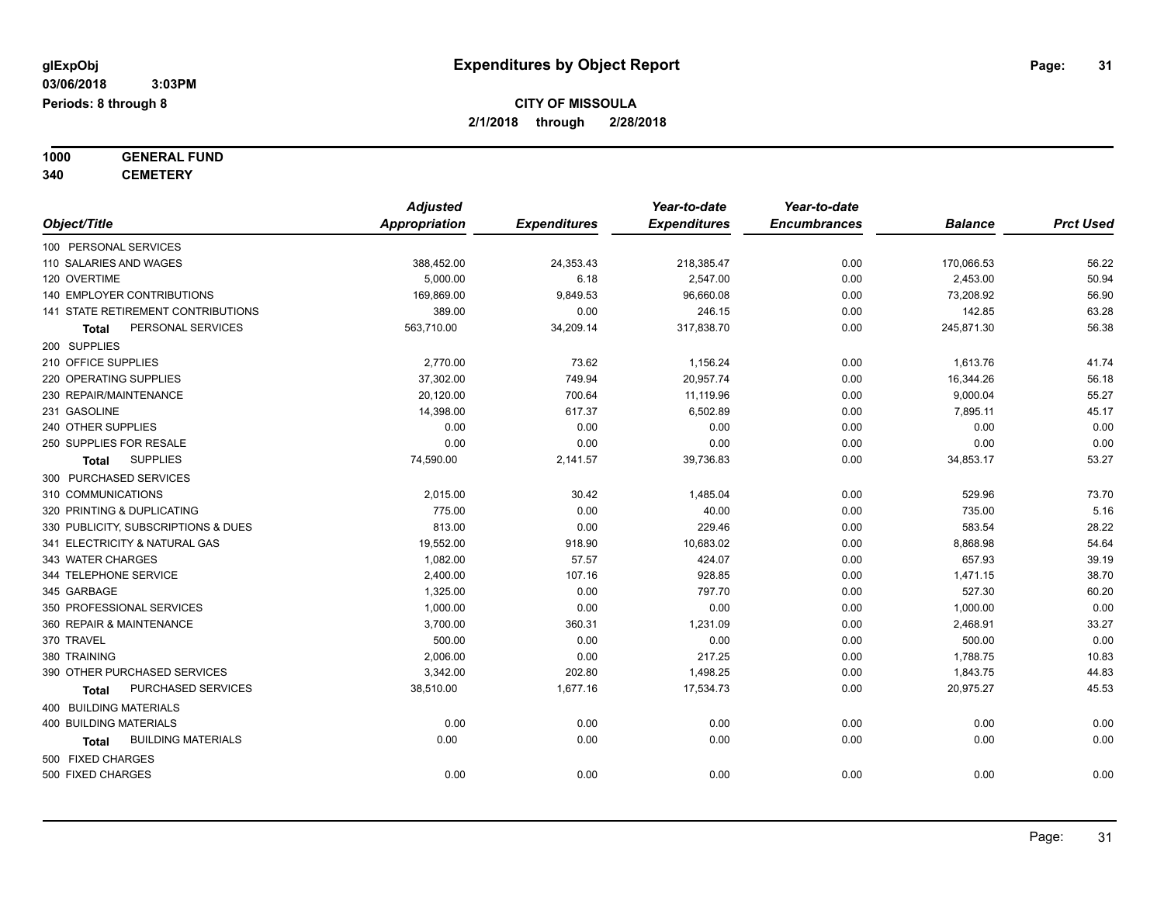**1000 GENERAL FUND**

**340 CEMETERY**

|                                           | <b>Adjusted</b>      |                     | Year-to-date        | Year-to-date        |                |                  |
|-------------------------------------------|----------------------|---------------------|---------------------|---------------------|----------------|------------------|
| Object/Title                              | <b>Appropriation</b> | <b>Expenditures</b> | <b>Expenditures</b> | <b>Encumbrances</b> | <b>Balance</b> | <b>Prct Used</b> |
| 100 PERSONAL SERVICES                     |                      |                     |                     |                     |                |                  |
| 110 SALARIES AND WAGES                    | 388,452.00           | 24,353.43           | 218,385.47          | 0.00                | 170,066.53     | 56.22            |
| 120 OVERTIME                              | 5,000.00             | 6.18                | 2,547.00            | 0.00                | 2,453.00       | 50.94            |
| 140 EMPLOYER CONTRIBUTIONS                | 169,869.00           | 9,849.53            | 96,660.08           | 0.00                | 73,208.92      | 56.90            |
| <b>141 STATE RETIREMENT CONTRIBUTIONS</b> | 389.00               | 0.00                | 246.15              | 0.00                | 142.85         | 63.28            |
| PERSONAL SERVICES<br>Total                | 563,710.00           | 34,209.14           | 317,838.70          | 0.00                | 245,871.30     | 56.38            |
| 200 SUPPLIES                              |                      |                     |                     |                     |                |                  |
| 210 OFFICE SUPPLIES                       | 2,770.00             | 73.62               | 1,156.24            | 0.00                | 1,613.76       | 41.74            |
| 220 OPERATING SUPPLIES                    | 37,302.00            | 749.94              | 20,957.74           | 0.00                | 16,344.26      | 56.18            |
| 230 REPAIR/MAINTENANCE                    | 20,120.00            | 700.64              | 11,119.96           | 0.00                | 9,000.04       | 55.27            |
| 231 GASOLINE                              | 14,398.00            | 617.37              | 6,502.89            | 0.00                | 7,895.11       | 45.17            |
| 240 OTHER SUPPLIES                        | 0.00                 | 0.00                | 0.00                | 0.00                | 0.00           | 0.00             |
| 250 SUPPLIES FOR RESALE                   | 0.00                 | 0.00                | 0.00                | 0.00                | 0.00           | 0.00             |
| <b>SUPPLIES</b><br><b>Total</b>           | 74,590.00            | 2,141.57            | 39,736.83           | 0.00                | 34,853.17      | 53.27            |
| 300 PURCHASED SERVICES                    |                      |                     |                     |                     |                |                  |
| 310 COMMUNICATIONS                        | 2,015.00             | 30.42               | 1,485.04            | 0.00                | 529.96         | 73.70            |
| 320 PRINTING & DUPLICATING                | 775.00               | 0.00                | 40.00               | 0.00                | 735.00         | 5.16             |
| 330 PUBLICITY, SUBSCRIPTIONS & DUES       | 813.00               | 0.00                | 229.46              | 0.00                | 583.54         | 28.22            |
| 341 ELECTRICITY & NATURAL GAS             | 19,552.00            | 918.90              | 10,683.02           | 0.00                | 8,868.98       | 54.64            |
| 343 WATER CHARGES                         | 1,082.00             | 57.57               | 424.07              | 0.00                | 657.93         | 39.19            |
| 344 TELEPHONE SERVICE                     | 2,400.00             | 107.16              | 928.85              | 0.00                | 1,471.15       | 38.70            |
| 345 GARBAGE                               | 1,325.00             | 0.00                | 797.70              | 0.00                | 527.30         | 60.20            |
| 350 PROFESSIONAL SERVICES                 | 1,000.00             | 0.00                | 0.00                | 0.00                | 1,000.00       | 0.00             |
| 360 REPAIR & MAINTENANCE                  | 3,700.00             | 360.31              | 1,231.09            | 0.00                | 2,468.91       | 33.27            |
| 370 TRAVEL                                | 500.00               | 0.00                | 0.00                | 0.00                | 500.00         | 0.00             |
| 380 TRAINING                              | 2,006.00             | 0.00                | 217.25              | 0.00                | 1,788.75       | 10.83            |
| 390 OTHER PURCHASED SERVICES              | 3,342.00             | 202.80              | 1,498.25            | 0.00                | 1,843.75       | 44.83            |
| PURCHASED SERVICES<br>Total               | 38,510.00            | 1,677.16            | 17,534.73           | 0.00                | 20,975.27      | 45.53            |
| 400 BUILDING MATERIALS                    |                      |                     |                     |                     |                |                  |
| <b>400 BUILDING MATERIALS</b>             | 0.00                 | 0.00                | 0.00                | 0.00                | 0.00           | 0.00             |
| <b>BUILDING MATERIALS</b><br>Total        | 0.00                 | 0.00                | 0.00                | 0.00                | 0.00           | 0.00             |
| 500 FIXED CHARGES                         |                      |                     |                     |                     |                |                  |
| 500 FIXED CHARGES                         | 0.00                 | 0.00                | 0.00                | 0.00                | 0.00           | 0.00             |
|                                           |                      |                     |                     |                     |                |                  |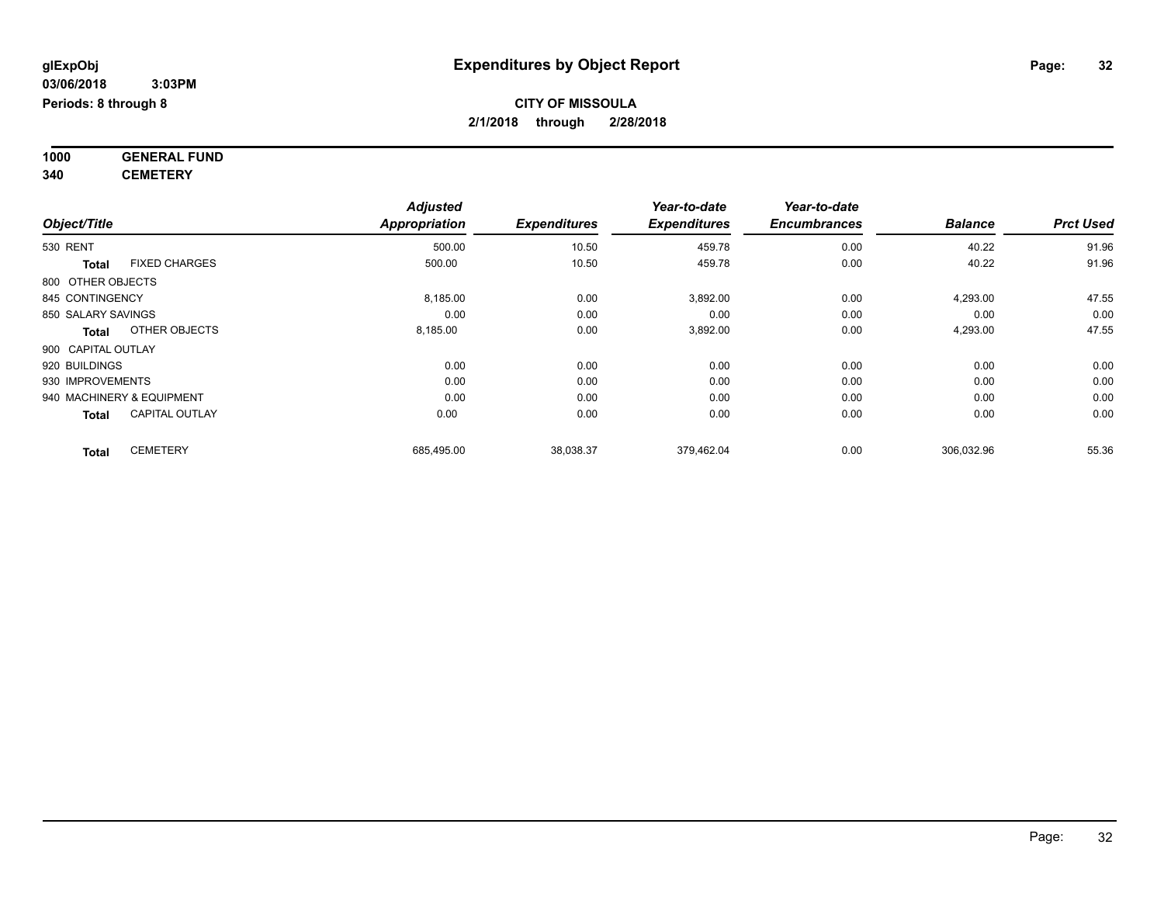**1000 GENERAL FUND 340 CEMETERY**

|                                      | <b>Adjusted</b>      |                     | Year-to-date        | Year-to-date        |                |                  |
|--------------------------------------|----------------------|---------------------|---------------------|---------------------|----------------|------------------|
| Object/Title                         | <b>Appropriation</b> | <b>Expenditures</b> | <b>Expenditures</b> | <b>Encumbrances</b> | <b>Balance</b> | <b>Prct Used</b> |
| <b>530 RENT</b>                      | 500.00               | 10.50               | 459.78              | 0.00                | 40.22          | 91.96            |
| <b>FIXED CHARGES</b><br><b>Total</b> | 500.00               | 10.50               | 459.78              | 0.00                | 40.22          | 91.96            |
| 800 OTHER OBJECTS                    |                      |                     |                     |                     |                |                  |
| 845 CONTINGENCY                      | 8,185.00             | 0.00                | 3,892.00            | 0.00                | 4,293.00       | 47.55            |
| 850 SALARY SAVINGS                   | 0.00                 | 0.00                | 0.00                | 0.00                | 0.00           | 0.00             |
| OTHER OBJECTS<br>Total               | 8,185.00             | 0.00                | 3,892.00            | 0.00                | 4,293.00       | 47.55            |
| 900 CAPITAL OUTLAY                   |                      |                     |                     |                     |                |                  |
| 920 BUILDINGS                        | 0.00                 | 0.00                | 0.00                | 0.00                | 0.00           | 0.00             |
| 930 IMPROVEMENTS                     | 0.00                 | 0.00                | 0.00                | 0.00                | 0.00           | 0.00             |
| 940 MACHINERY & EQUIPMENT            | 0.00                 | 0.00                | 0.00                | 0.00                | 0.00           | 0.00             |
| <b>CAPITAL OUTLAY</b><br>Total       | 0.00                 | 0.00                | 0.00                | 0.00                | 0.00           | 0.00             |
| <b>CEMETERY</b><br><b>Total</b>      | 685,495.00           | 38,038.37           | 379,462.04          | 0.00                | 306,032.96     | 55.36            |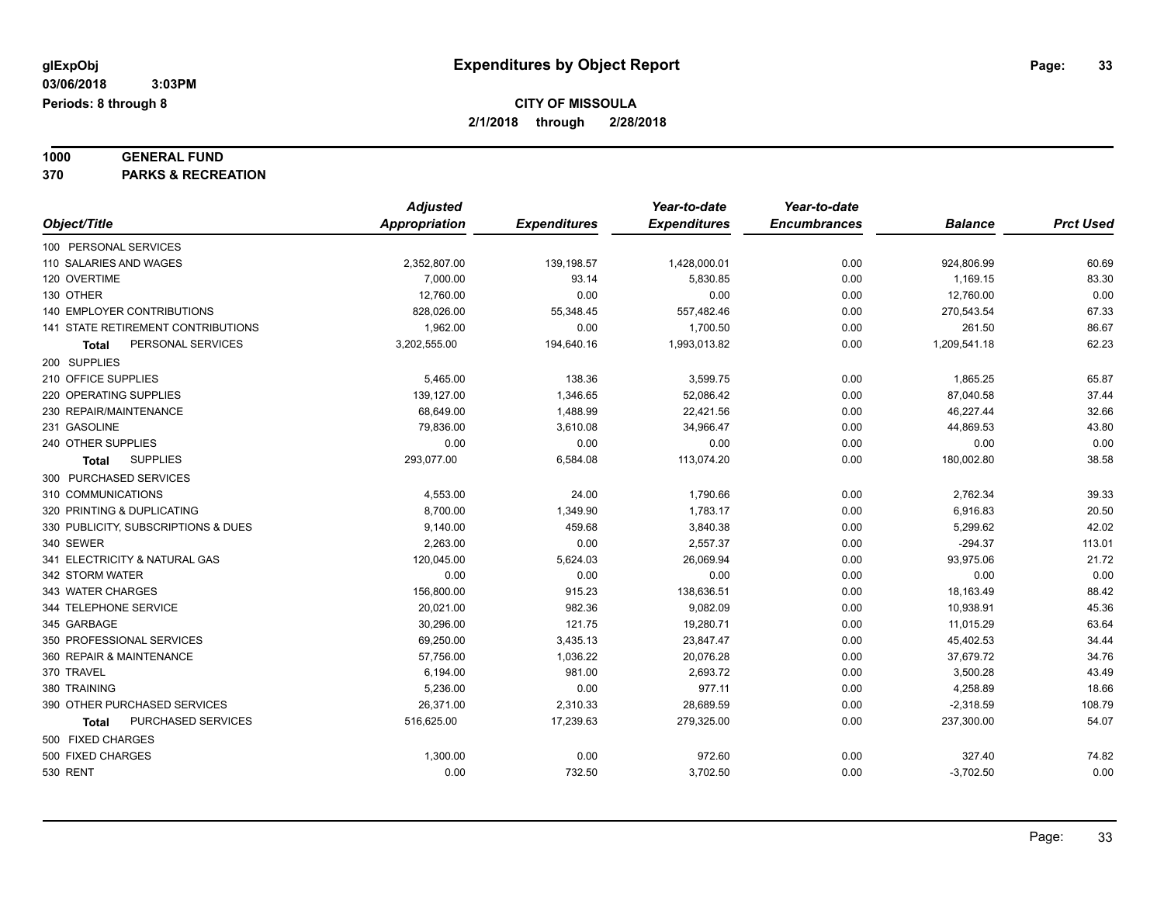# **1000 GENERAL FUND**

**370 PARKS & RECREATION**

|                                     | <b>Adjusted</b>      |                     | Year-to-date        | Year-to-date        |                |                  |
|-------------------------------------|----------------------|---------------------|---------------------|---------------------|----------------|------------------|
| Object/Title                        | <b>Appropriation</b> | <b>Expenditures</b> | <b>Expenditures</b> | <b>Encumbrances</b> | <b>Balance</b> | <b>Prct Used</b> |
| 100 PERSONAL SERVICES               |                      |                     |                     |                     |                |                  |
| 110 SALARIES AND WAGES              | 2,352,807.00         | 139,198.57          | 1,428,000.01        | 0.00                | 924,806.99     | 60.69            |
| 120 OVERTIME                        | 7,000.00             | 93.14               | 5,830.85            | 0.00                | 1,169.15       | 83.30            |
| 130 OTHER                           | 12,760.00            | 0.00                | 0.00                | 0.00                | 12,760.00      | 0.00             |
| 140 EMPLOYER CONTRIBUTIONS          | 828,026.00           | 55,348.45           | 557,482.46          | 0.00                | 270,543.54     | 67.33            |
| 141 STATE RETIREMENT CONTRIBUTIONS  | 1,962.00             | 0.00                | 1,700.50            | 0.00                | 261.50         | 86.67            |
| PERSONAL SERVICES<br>Total          | 3,202,555.00         | 194,640.16          | 1,993,013.82        | 0.00                | 1,209,541.18   | 62.23            |
| 200 SUPPLIES                        |                      |                     |                     |                     |                |                  |
| 210 OFFICE SUPPLIES                 | 5,465.00             | 138.36              | 3,599.75            | 0.00                | 1,865.25       | 65.87            |
| 220 OPERATING SUPPLIES              | 139,127.00           | 1,346.65            | 52,086.42           | 0.00                | 87,040.58      | 37.44            |
| 230 REPAIR/MAINTENANCE              | 68,649.00            | 1,488.99            | 22,421.56           | 0.00                | 46,227.44      | 32.66            |
| 231 GASOLINE                        | 79,836.00            | 3,610.08            | 34,966.47           | 0.00                | 44,869.53      | 43.80            |
| 240 OTHER SUPPLIES                  | 0.00                 | 0.00                | 0.00                | 0.00                | 0.00           | 0.00             |
| <b>SUPPLIES</b><br>Total            | 293,077.00           | 6,584.08            | 113,074.20          | 0.00                | 180,002.80     | 38.58            |
| 300 PURCHASED SERVICES              |                      |                     |                     |                     |                |                  |
| 310 COMMUNICATIONS                  | 4,553.00             | 24.00               | 1,790.66            | 0.00                | 2,762.34       | 39.33            |
| 320 PRINTING & DUPLICATING          | 8,700.00             | 1,349.90            | 1,783.17            | 0.00                | 6,916.83       | 20.50            |
| 330 PUBLICITY, SUBSCRIPTIONS & DUES | 9,140.00             | 459.68              | 3,840.38            | 0.00                | 5,299.62       | 42.02            |
| 340 SEWER                           | 2,263.00             | 0.00                | 2,557.37            | 0.00                | $-294.37$      | 113.01           |
| 341 ELECTRICITY & NATURAL GAS       | 120,045.00           | 5,624.03            | 26,069.94           | 0.00                | 93,975.06      | 21.72            |
| 342 STORM WATER                     | 0.00                 | 0.00                | 0.00                | 0.00                | 0.00           | 0.00             |
| 343 WATER CHARGES                   | 156,800.00           | 915.23              | 138,636.51          | 0.00                | 18,163.49      | 88.42            |
| 344 TELEPHONE SERVICE               | 20,021.00            | 982.36              | 9,082.09            | 0.00                | 10,938.91      | 45.36            |
| 345 GARBAGE                         | 30,296.00            | 121.75              | 19,280.71           | 0.00                | 11,015.29      | 63.64            |
| 350 PROFESSIONAL SERVICES           | 69,250.00            | 3,435.13            | 23,847.47           | 0.00                | 45,402.53      | 34.44            |
| 360 REPAIR & MAINTENANCE            | 57,756.00            | 1,036.22            | 20,076.28           | 0.00                | 37,679.72      | 34.76            |
| 370 TRAVEL                          | 6,194.00             | 981.00              | 2,693.72            | 0.00                | 3,500.28       | 43.49            |
| 380 TRAINING                        | 5,236.00             | 0.00                | 977.11              | 0.00                | 4,258.89       | 18.66            |
| 390 OTHER PURCHASED SERVICES        | 26,371.00            | 2,310.33            | 28,689.59           | 0.00                | $-2,318.59$    | 108.79           |
| PURCHASED SERVICES<br><b>Total</b>  | 516,625.00           | 17,239.63           | 279,325.00          | 0.00                | 237,300.00     | 54.07            |
| 500 FIXED CHARGES                   |                      |                     |                     |                     |                |                  |
| 500 FIXED CHARGES                   | 1,300.00             | 0.00                | 972.60              | 0.00                | 327.40         | 74.82            |
| <b>530 RENT</b>                     | 0.00                 | 732.50              | 3,702.50            | 0.00                | $-3,702.50$    | 0.00             |
|                                     |                      |                     |                     |                     |                |                  |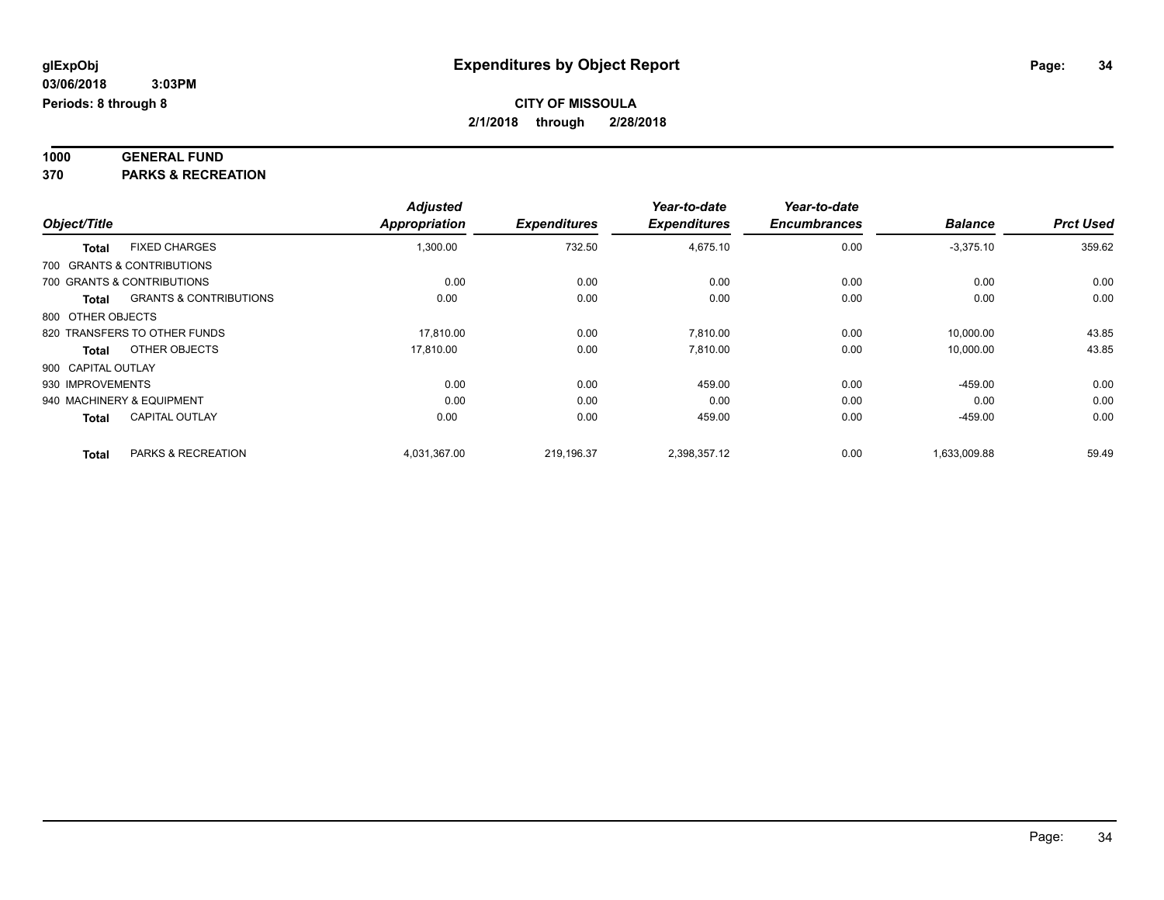# **1000 GENERAL FUND**

**370 PARKS & RECREATION**

|              |                                            | <b>Adjusted</b>      |                     | Year-to-date        | Year-to-date        |                |                  |
|--------------|--------------------------------------------|----------------------|---------------------|---------------------|---------------------|----------------|------------------|
| Object/Title |                                            | <b>Appropriation</b> | <b>Expenditures</b> | <b>Expenditures</b> | <b>Encumbrances</b> | <b>Balance</b> | <b>Prct Used</b> |
|              | <b>FIXED CHARGES</b><br><b>Total</b>       | 1,300.00             | 732.50              | 4,675.10            | 0.00                | $-3,375.10$    | 359.62           |
|              | 700 GRANTS & CONTRIBUTIONS                 |                      |                     |                     |                     |                |                  |
|              | 700 GRANTS & CONTRIBUTIONS                 | 0.00                 | 0.00                | 0.00                | 0.00                | 0.00           | 0.00             |
|              | <b>GRANTS &amp; CONTRIBUTIONS</b><br>Total | 0.00                 | 0.00                | 0.00                | 0.00                | 0.00           | 0.00             |
|              | 800 OTHER OBJECTS                          |                      |                     |                     |                     |                |                  |
|              | 820 TRANSFERS TO OTHER FUNDS               | 17.810.00            | 0.00                | 7,810.00            | 0.00                | 10,000.00      | 43.85            |
|              | OTHER OBJECTS<br>Total                     | 17,810.00            | 0.00                | 7,810.00            | 0.00                | 10,000.00      | 43.85            |
|              | 900 CAPITAL OUTLAY                         |                      |                     |                     |                     |                |                  |
|              | 930 IMPROVEMENTS                           | 0.00                 | 0.00                | 459.00              | 0.00                | $-459.00$      | 0.00             |
|              | 940 MACHINERY & EQUIPMENT                  | 0.00                 | 0.00                | 0.00                | 0.00                | 0.00           | 0.00             |
|              | <b>CAPITAL OUTLAY</b><br><b>Total</b>      | 0.00                 | 0.00                | 459.00              | 0.00                | $-459.00$      | 0.00             |
|              | PARKS & RECREATION<br><b>Total</b>         | 4,031,367.00         | 219,196.37          | 2,398,357.12        | 0.00                | 1,633,009.88   | 59.49            |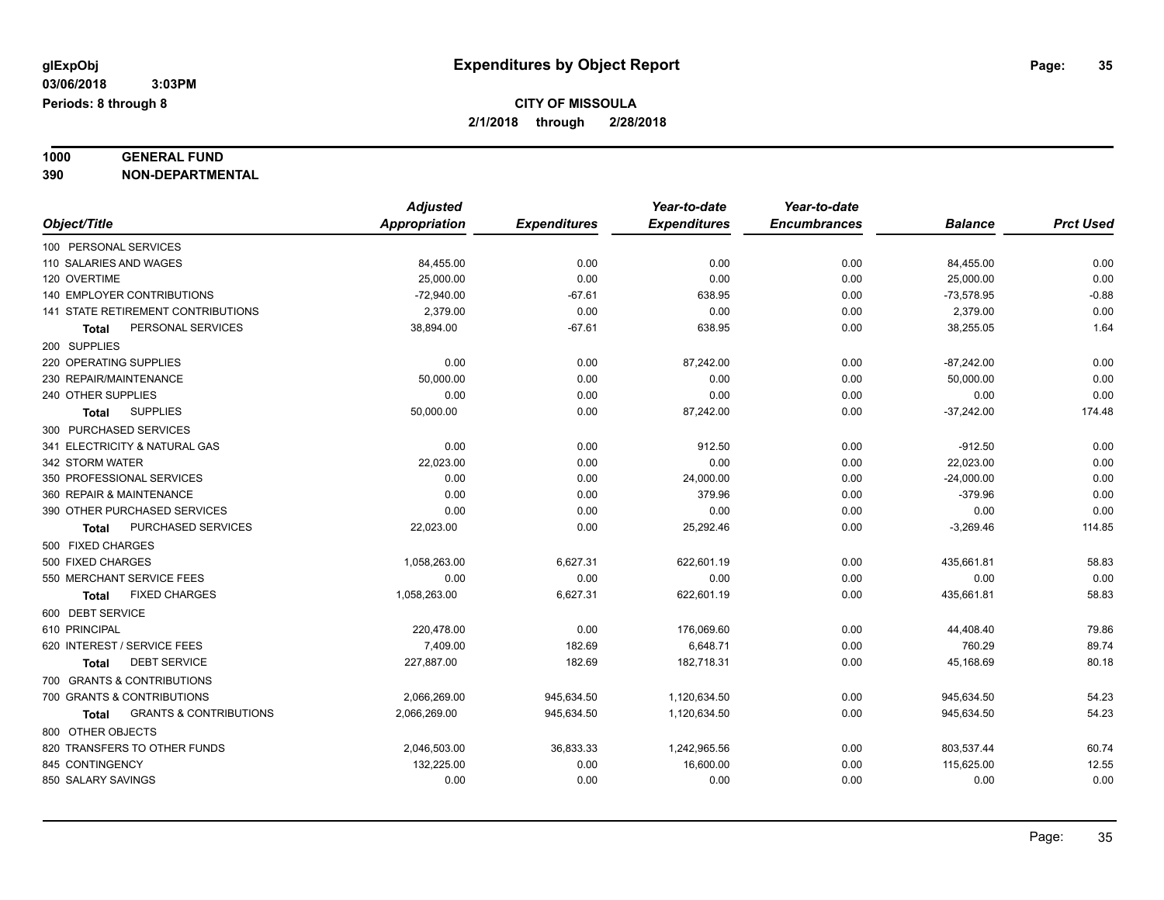### **1000 GENERAL FUND**

**390 NON-DEPARTMENTAL**

|                                                   | <b>Adjusted</b>      |                     | Year-to-date        | Year-to-date        |                |                  |
|---------------------------------------------------|----------------------|---------------------|---------------------|---------------------|----------------|------------------|
| Object/Title                                      | <b>Appropriation</b> | <b>Expenditures</b> | <b>Expenditures</b> | <b>Encumbrances</b> | <b>Balance</b> | <b>Prct Used</b> |
| 100 PERSONAL SERVICES                             |                      |                     |                     |                     |                |                  |
| 110 SALARIES AND WAGES                            | 84,455.00            | 0.00                | 0.00                | 0.00                | 84,455.00      | 0.00             |
| 120 OVERTIME                                      | 25,000.00            | 0.00                | 0.00                | 0.00                | 25,000.00      | 0.00             |
| 140 EMPLOYER CONTRIBUTIONS                        | $-72,940.00$         | $-67.61$            | 638.95              | 0.00                | $-73,578.95$   | $-0.88$          |
| 141 STATE RETIREMENT CONTRIBUTIONS                | 2,379.00             | 0.00                | 0.00                | 0.00                | 2,379.00       | 0.00             |
| PERSONAL SERVICES<br>Total                        | 38,894.00            | $-67.61$            | 638.95              | 0.00                | 38,255.05      | 1.64             |
| 200 SUPPLIES                                      |                      |                     |                     |                     |                |                  |
| 220 OPERATING SUPPLIES                            | 0.00                 | 0.00                | 87,242.00           | 0.00                | $-87,242.00$   | 0.00             |
| 230 REPAIR/MAINTENANCE                            | 50,000.00            | 0.00                | 0.00                | 0.00                | 50,000.00      | 0.00             |
| 240 OTHER SUPPLIES                                | 0.00                 | 0.00                | 0.00                | 0.00                | 0.00           | 0.00             |
| <b>SUPPLIES</b><br>Total                          | 50,000.00            | 0.00                | 87,242.00           | 0.00                | $-37,242.00$   | 174.48           |
| 300 PURCHASED SERVICES                            |                      |                     |                     |                     |                |                  |
| 341 ELECTRICITY & NATURAL GAS                     | 0.00                 | 0.00                | 912.50              | 0.00                | $-912.50$      | 0.00             |
| 342 STORM WATER                                   | 22,023.00            | 0.00                | 0.00                | 0.00                | 22,023.00      | 0.00             |
| 350 PROFESSIONAL SERVICES                         | 0.00                 | 0.00                | 24,000.00           | 0.00                | $-24,000.00$   | 0.00             |
| 360 REPAIR & MAINTENANCE                          | 0.00                 | 0.00                | 379.96              | 0.00                | $-379.96$      | 0.00             |
| 390 OTHER PURCHASED SERVICES                      | 0.00                 | 0.00                | 0.00                | 0.00                | 0.00           | 0.00             |
| PURCHASED SERVICES<br><b>Total</b>                | 22,023.00            | 0.00                | 25,292.46           | 0.00                | $-3,269.46$    | 114.85           |
| 500 FIXED CHARGES                                 |                      |                     |                     |                     |                |                  |
| 500 FIXED CHARGES                                 | 1,058,263.00         | 6,627.31            | 622,601.19          | 0.00                | 435,661.81     | 58.83            |
| 550 MERCHANT SERVICE FEES                         | 0.00                 | 0.00                | 0.00                | 0.00                | 0.00           | 0.00             |
| <b>FIXED CHARGES</b><br>Total                     | 1,058,263.00         | 6,627.31            | 622,601.19          | 0.00                | 435,661.81     | 58.83            |
| 600 DEBT SERVICE                                  |                      |                     |                     |                     |                |                  |
| 610 PRINCIPAL                                     | 220,478.00           | 0.00                | 176,069.60          | 0.00                | 44,408.40      | 79.86            |
| 620 INTEREST / SERVICE FEES                       | 7,409.00             | 182.69              | 6,648.71            | 0.00                | 760.29         | 89.74            |
| <b>DEBT SERVICE</b><br>Total                      | 227,887.00           | 182.69              | 182,718.31          | 0.00                | 45,168.69      | 80.18            |
| 700 GRANTS & CONTRIBUTIONS                        |                      |                     |                     |                     |                |                  |
| 700 GRANTS & CONTRIBUTIONS                        | 2,066,269.00         | 945,634.50          | 1,120,634.50        | 0.00                | 945,634.50     | 54.23            |
| <b>GRANTS &amp; CONTRIBUTIONS</b><br><b>Total</b> | 2,066,269.00         | 945,634.50          | 1,120,634.50        | 0.00                | 945,634.50     | 54.23            |
| 800 OTHER OBJECTS                                 |                      |                     |                     |                     |                |                  |
| 820 TRANSFERS TO OTHER FUNDS                      | 2,046,503.00         | 36,833.33           | 1,242,965.56        | 0.00                | 803,537.44     | 60.74            |
| 845 CONTINGENCY                                   | 132,225.00           | 0.00                | 16,600.00           | 0.00                | 115,625.00     | 12.55            |
| 850 SALARY SAVINGS                                | 0.00                 | 0.00                | 0.00                | 0.00                | 0.00           | 0.00             |
|                                                   |                      |                     |                     |                     |                |                  |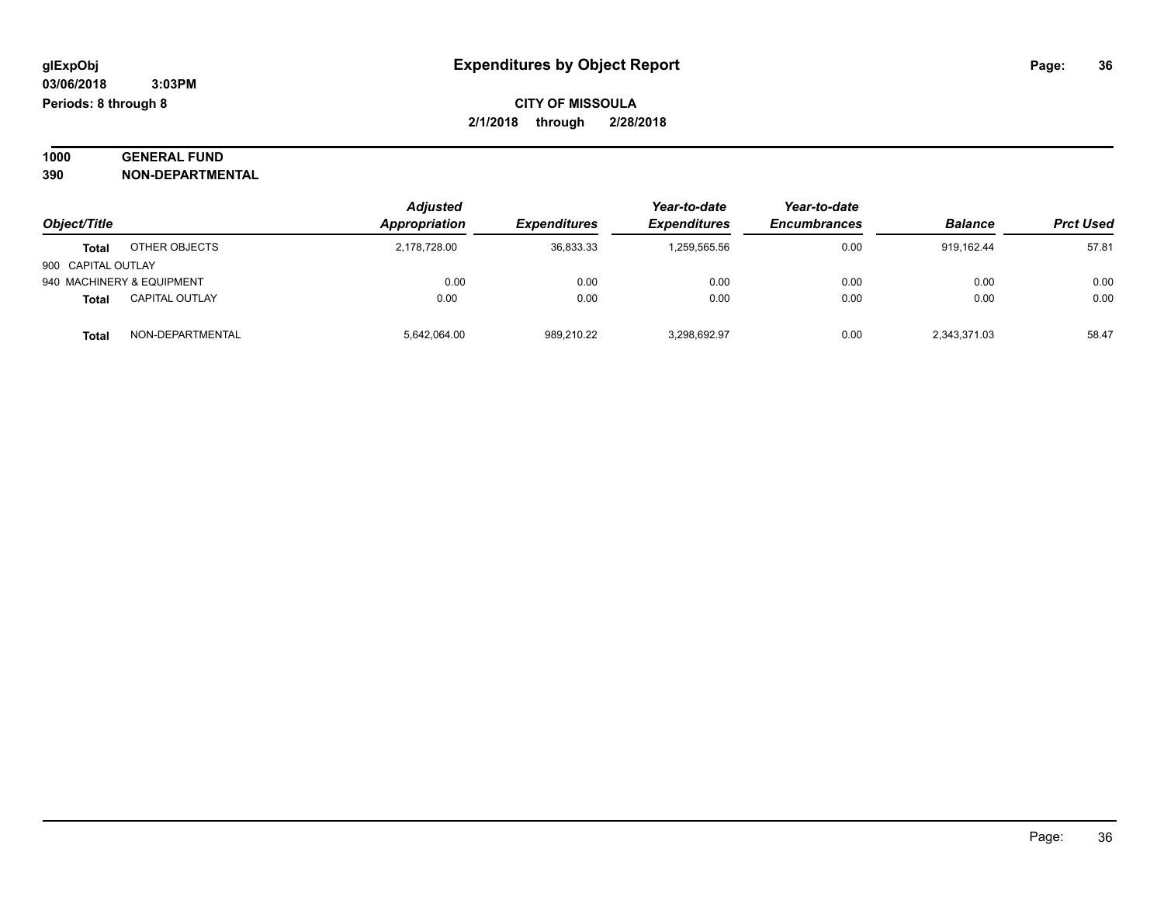#### **1000 GENERAL FUND 390 NON-DEPARTMENTAL**

| 39U | NON-DEPARIMENIAL |
|-----|------------------|
|     |                  |

|                    |                           | <b>Adjusted</b> |                            | Year-to-date               | Year-to-date        |                |                  |
|--------------------|---------------------------|-----------------|----------------------------|----------------------------|---------------------|----------------|------------------|
| Object/Title       |                           | Appropriation   | <i><b>Expenditures</b></i> | <i><b>Expenditures</b></i> | <b>Encumbrances</b> | <b>Balance</b> | <b>Prct Used</b> |
| <b>Total</b>       | OTHER OBJECTS             | 2,178,728.00    | 36,833.33                  | 1,259,565.56               | 0.00                | 919.162.44     | 57.81            |
| 900 CAPITAL OUTLAY |                           |                 |                            |                            |                     |                |                  |
|                    | 940 MACHINERY & EQUIPMENT | 0.00            | 0.00                       | 0.00                       | 0.00                | 0.00           | 0.00             |
| Total              | <b>CAPITAL OUTLAY</b>     | 0.00            | 0.00                       | 0.00                       | 0.00                | 0.00           | 0.00             |
| <b>Total</b>       | NON-DEPARTMENTAL          | 5,642,064.00    | 989,210.22                 | 3,298,692.97               | 0.00                | 2,343,371.03   | 58.47            |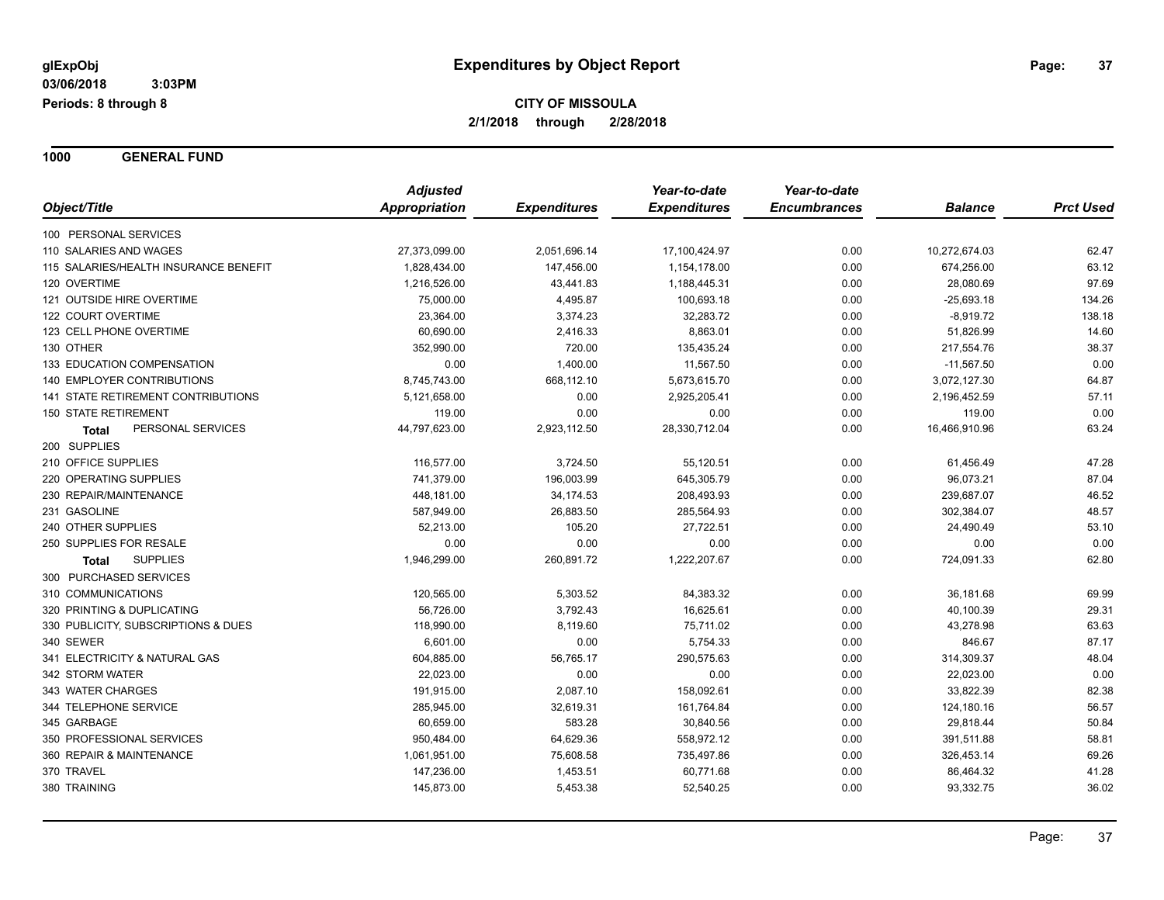**1000 GENERAL FUND**

|                                       | <b>Adjusted</b>      |                     | Year-to-date        | Year-to-date        |                |                  |
|---------------------------------------|----------------------|---------------------|---------------------|---------------------|----------------|------------------|
| Object/Title                          | <b>Appropriation</b> | <b>Expenditures</b> | <b>Expenditures</b> | <b>Encumbrances</b> | <b>Balance</b> | <b>Prct Used</b> |
| 100 PERSONAL SERVICES                 |                      |                     |                     |                     |                |                  |
| 110 SALARIES AND WAGES                | 27,373,099.00        | 2,051,696.14        | 17,100,424.97       | 0.00                | 10,272,674.03  | 62.47            |
| 115 SALARIES/HEALTH INSURANCE BENEFIT | 1,828,434.00         | 147,456.00          | 1,154,178.00        | 0.00                | 674,256.00     | 63.12            |
| 120 OVERTIME                          | 1,216,526.00         | 43,441.83           | 1,188,445.31        | 0.00                | 28,080.69      | 97.69            |
| 121 OUTSIDE HIRE OVERTIME             | 75,000.00            | 4,495.87            | 100,693.18          | 0.00                | $-25,693.18$   | 134.26           |
| 122 COURT OVERTIME                    | 23,364.00            | 3,374.23            | 32,283.72           | 0.00                | $-8,919.72$    | 138.18           |
| 123 CELL PHONE OVERTIME               | 60,690.00            | 2,416.33            | 8,863.01            | 0.00                | 51,826.99      | 14.60            |
| 130 OTHER                             | 352,990.00           | 720.00              | 135,435.24          | 0.00                | 217,554.76     | 38.37            |
| 133 EDUCATION COMPENSATION            | 0.00                 | 1,400.00            | 11,567.50           | 0.00                | $-11,567.50$   | 0.00             |
| <b>140 EMPLOYER CONTRIBUTIONS</b>     | 8,745,743.00         | 668,112.10          | 5,673,615.70        | 0.00                | 3,072,127.30   | 64.87            |
| 141 STATE RETIREMENT CONTRIBUTIONS    | 5,121,658.00         | 0.00                | 2,925,205.41        | 0.00                | 2,196,452.59   | 57.11            |
| <b>150 STATE RETIREMENT</b>           | 119.00               | 0.00                | 0.00                | 0.00                | 119.00         | 0.00             |
| PERSONAL SERVICES<br><b>Total</b>     | 44,797,623.00        | 2,923,112.50        | 28,330,712.04       | 0.00                | 16,466,910.96  | 63.24            |
| 200 SUPPLIES                          |                      |                     |                     |                     |                |                  |
| 210 OFFICE SUPPLIES                   | 116,577.00           | 3,724.50            | 55,120.51           | 0.00                | 61,456.49      | 47.28            |
| 220 OPERATING SUPPLIES                | 741,379.00           | 196,003.99          | 645,305.79          | 0.00                | 96,073.21      | 87.04            |
| 230 REPAIR/MAINTENANCE                | 448,181.00           | 34,174.53           | 208,493.93          | 0.00                | 239,687.07     | 46.52            |
| 231 GASOLINE                          | 587,949.00           | 26,883.50           | 285,564.93          | 0.00                | 302,384.07     | 48.57            |
| 240 OTHER SUPPLIES                    | 52,213.00            | 105.20              | 27,722.51           | 0.00                | 24,490.49      | 53.10            |
| 250 SUPPLIES FOR RESALE               | 0.00                 | 0.00                | 0.00                | 0.00                | 0.00           | 0.00             |
| <b>SUPPLIES</b><br>Total              | 1,946,299.00         | 260,891.72          | 1,222,207.67        | 0.00                | 724,091.33     | 62.80            |
| 300 PURCHASED SERVICES                |                      |                     |                     |                     |                |                  |
| 310 COMMUNICATIONS                    | 120,565.00           | 5,303.52            | 84,383.32           | 0.00                | 36,181.68      | 69.99            |
| 320 PRINTING & DUPLICATING            | 56,726.00            | 3,792.43            | 16,625.61           | 0.00                | 40,100.39      | 29.31            |
| 330 PUBLICITY, SUBSCRIPTIONS & DUES   | 118,990.00           | 8,119.60            | 75,711.02           | 0.00                | 43,278.98      | 63.63            |
| 340 SEWER                             | 6,601.00             | 0.00                | 5,754.33            | 0.00                | 846.67         | 87.17            |
| 341 ELECTRICITY & NATURAL GAS         | 604,885.00           | 56,765.17           | 290,575.63          | 0.00                | 314,309.37     | 48.04            |
| 342 STORM WATER                       | 22,023.00            | 0.00                | 0.00                | 0.00                | 22,023.00      | 0.00             |
| 343 WATER CHARGES                     | 191,915.00           | 2,087.10            | 158,092.61          | 0.00                | 33,822.39      | 82.38            |
| 344 TELEPHONE SERVICE                 | 285,945.00           | 32,619.31           | 161,764.84          | 0.00                | 124,180.16     | 56.57            |
| 345 GARBAGE                           | 60,659.00            | 583.28              | 30,840.56           | 0.00                | 29,818.44      | 50.84            |
| 350 PROFESSIONAL SERVICES             | 950,484.00           | 64,629.36           | 558,972.12          | 0.00                | 391,511.88     | 58.81            |
| 360 REPAIR & MAINTENANCE              | 1,061,951.00         | 75,608.58           | 735,497.86          | 0.00                | 326,453.14     | 69.26            |
| 370 TRAVEL                            | 147,236.00           | 1,453.51            | 60,771.68           | 0.00                | 86,464.32      | 41.28            |
| 380 TRAINING                          | 145,873.00           | 5,453.38            | 52,540.25           | 0.00                | 93,332.75      | 36.02            |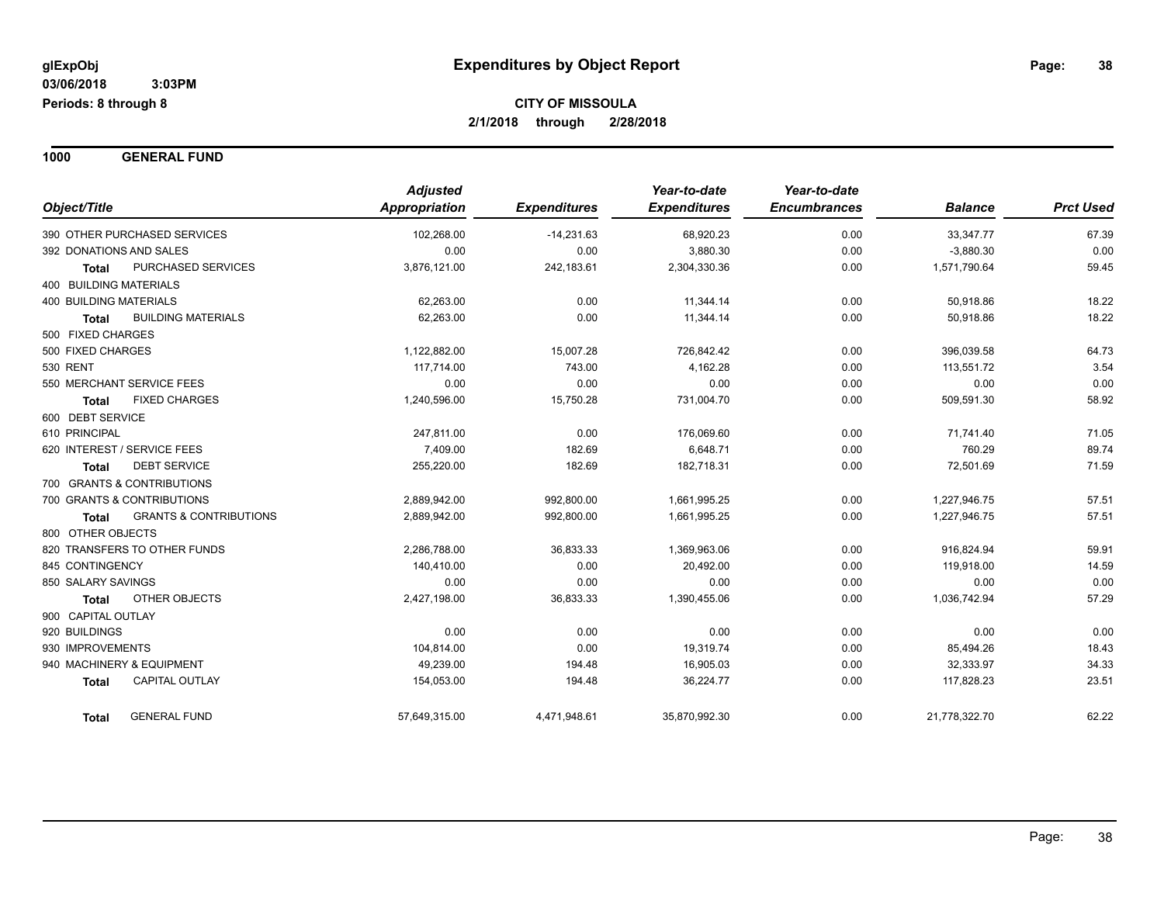**1000 GENERAL FUND**

| Object/Title                                      | <b>Adjusted</b><br><b>Appropriation</b> | <b>Expenditures</b> | Year-to-date<br><b>Expenditures</b> | Year-to-date<br><b>Encumbrances</b> | <b>Balance</b> | <b>Prct Used</b> |
|---------------------------------------------------|-----------------------------------------|---------------------|-------------------------------------|-------------------------------------|----------------|------------------|
|                                                   |                                         |                     |                                     |                                     |                |                  |
| 390 OTHER PURCHASED SERVICES                      | 102,268.00                              | $-14,231.63$        | 68,920.23                           | 0.00                                | 33,347.77      | 67.39            |
| 392 DONATIONS AND SALES                           | 0.00                                    | 0.00                | 3,880.30                            | 0.00                                | $-3,880.30$    | 0.00             |
| PURCHASED SERVICES<br><b>Total</b>                | 3,876,121.00                            | 242,183.61          | 2,304,330.36                        | 0.00                                | 1,571,790.64   | 59.45            |
| <b>400 BUILDING MATERIALS</b>                     |                                         |                     |                                     |                                     |                |                  |
| <b>400 BUILDING MATERIALS</b>                     | 62,263.00                               | 0.00                | 11,344.14                           | 0.00                                | 50,918.86      | 18.22            |
| <b>BUILDING MATERIALS</b><br><b>Total</b>         | 62,263.00                               | 0.00                | 11,344.14                           | 0.00                                | 50,918.86      | 18.22            |
| 500 FIXED CHARGES                                 |                                         |                     |                                     |                                     |                |                  |
| 500 FIXED CHARGES                                 | 1,122,882.00                            | 15,007.28           | 726,842.42                          | 0.00                                | 396,039.58     | 64.73            |
| 530 RENT                                          | 117,714.00                              | 743.00              | 4,162.28                            | 0.00                                | 113,551.72     | 3.54             |
| 550 MERCHANT SERVICE FEES                         | 0.00                                    | 0.00                | 0.00                                | 0.00                                | 0.00           | 0.00             |
| <b>FIXED CHARGES</b><br><b>Total</b>              | 1,240,596.00                            | 15,750.28           | 731,004.70                          | 0.00                                | 509,591.30     | 58.92            |
| 600 DEBT SERVICE                                  |                                         |                     |                                     |                                     |                |                  |
| 610 PRINCIPAL                                     | 247,811.00                              | 0.00                | 176,069.60                          | 0.00                                | 71,741.40      | 71.05            |
| 620 INTEREST / SERVICE FEES                       | 7,409.00                                | 182.69              | 6,648.71                            | 0.00                                | 760.29         | 89.74            |
| <b>DEBT SERVICE</b><br><b>Total</b>               | 255,220.00                              | 182.69              | 182,718.31                          | 0.00                                | 72,501.69      | 71.59            |
| 700 GRANTS & CONTRIBUTIONS                        |                                         |                     |                                     |                                     |                |                  |
| 700 GRANTS & CONTRIBUTIONS                        | 2,889,942.00                            | 992,800.00          | 1,661,995.25                        | 0.00                                | 1,227,946.75   | 57.51            |
| <b>GRANTS &amp; CONTRIBUTIONS</b><br><b>Total</b> | 2,889,942.00                            | 992,800.00          | 1,661,995.25                        | 0.00                                | 1,227,946.75   | 57.51            |
| 800 OTHER OBJECTS                                 |                                         |                     |                                     |                                     |                |                  |
| 820 TRANSFERS TO OTHER FUNDS                      | 2,286,788.00                            | 36,833.33           | 1,369,963.06                        | 0.00                                | 916,824.94     | 59.91            |
| 845 CONTINGENCY                                   | 140,410.00                              | 0.00                | 20,492.00                           | 0.00                                | 119,918.00     | 14.59            |
| 850 SALARY SAVINGS                                | 0.00                                    | 0.00                | 0.00                                | 0.00                                | 0.00           | 0.00             |
| <b>OTHER OBJECTS</b><br><b>Total</b>              | 2,427,198.00                            | 36,833.33           | 1,390,455.06                        | 0.00                                | 1,036,742.94   | 57.29            |
| 900 CAPITAL OUTLAY                                |                                         |                     |                                     |                                     |                |                  |
| 920 BUILDINGS                                     | 0.00                                    | 0.00                | 0.00                                | 0.00                                | 0.00           | 0.00             |
| 930 IMPROVEMENTS                                  | 104,814.00                              | 0.00                | 19,319.74                           | 0.00                                | 85,494.26      | 18.43            |
| 940 MACHINERY & EQUIPMENT                         | 49,239.00                               | 194.48              | 16,905.03                           | 0.00                                | 32,333.97      | 34.33            |
| <b>CAPITAL OUTLAY</b><br><b>Total</b>             | 154,053.00                              | 194.48              | 36,224.77                           | 0.00                                | 117,828.23     | 23.51            |
| <b>GENERAL FUND</b><br><b>Total</b>               | 57,649,315.00                           | 4,471,948.61        | 35,870,992.30                       | 0.00                                | 21,778,322.70  | 62.22            |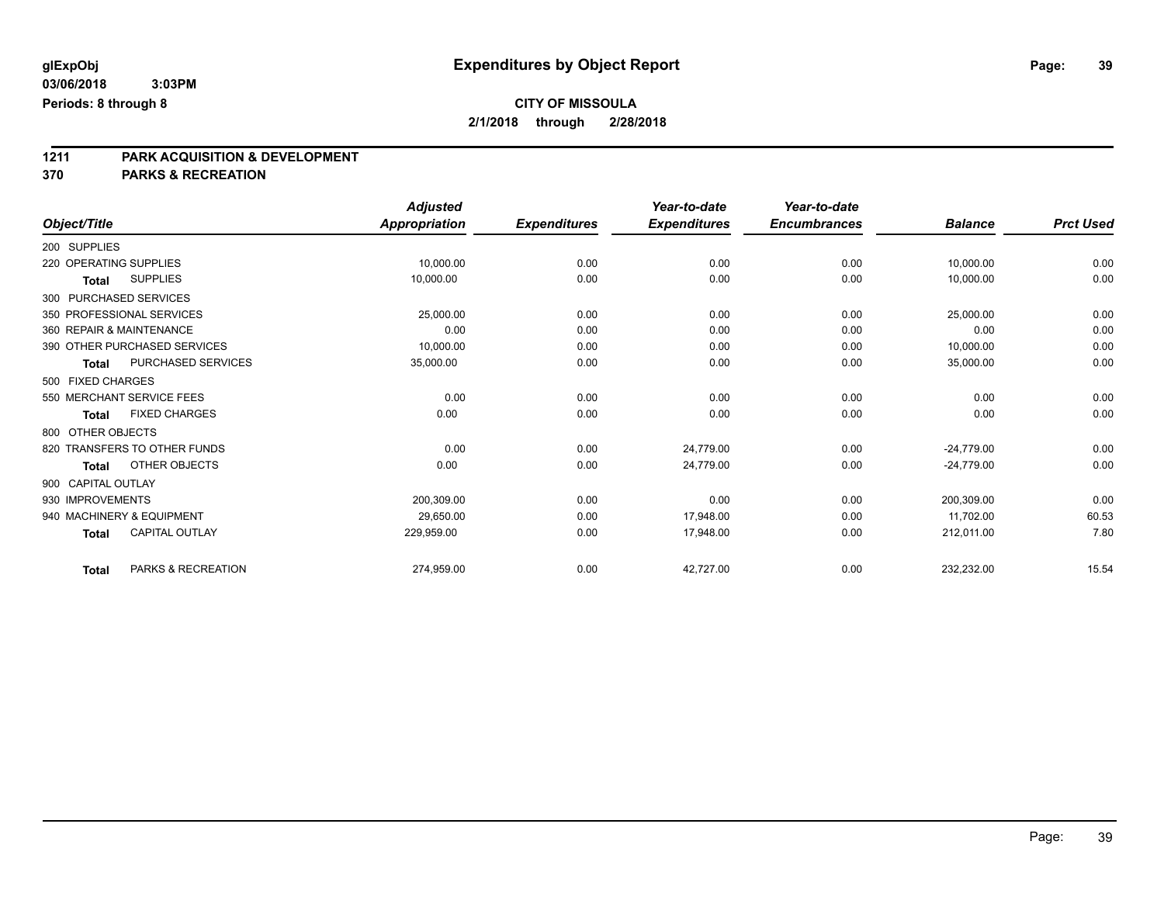**1211 PARK ACQUISITION & DEVELOPMENT 370 PARKS & RECREATION**

| Object/Title                         | <b>Adjusted</b><br><b>Appropriation</b> | <b>Expenditures</b> | Year-to-date<br><b>Expenditures</b> | Year-to-date<br><b>Encumbrances</b> | <b>Balance</b> | <b>Prct Used</b> |
|--------------------------------------|-----------------------------------------|---------------------|-------------------------------------|-------------------------------------|----------------|------------------|
|                                      |                                         |                     |                                     |                                     |                |                  |
| 200 SUPPLIES                         |                                         |                     |                                     |                                     |                |                  |
| 220 OPERATING SUPPLIES               | 10,000.00                               | 0.00                | 0.00                                | 0.00                                | 10,000.00      | 0.00             |
| <b>SUPPLIES</b><br><b>Total</b>      | 10,000.00                               | 0.00                | 0.00                                | 0.00                                | 10,000.00      | 0.00             |
| 300 PURCHASED SERVICES               |                                         |                     |                                     |                                     |                |                  |
| 350 PROFESSIONAL SERVICES            | 25,000.00                               | 0.00                | 0.00                                | 0.00                                | 25,000.00      | 0.00             |
| 360 REPAIR & MAINTENANCE             | 0.00                                    | 0.00                | 0.00                                | 0.00                                | 0.00           | 0.00             |
| 390 OTHER PURCHASED SERVICES         | 10,000.00                               | 0.00                | 0.00                                | 0.00                                | 10,000.00      | 0.00             |
| PURCHASED SERVICES<br><b>Total</b>   | 35,000.00                               | 0.00                | 0.00                                | 0.00                                | 35,000.00      | 0.00             |
| 500 FIXED CHARGES                    |                                         |                     |                                     |                                     |                |                  |
| 550 MERCHANT SERVICE FEES            | 0.00                                    | 0.00                | 0.00                                | 0.00                                | 0.00           | 0.00             |
| <b>FIXED CHARGES</b><br><b>Total</b> | 0.00                                    | 0.00                | 0.00                                | 0.00                                | 0.00           | 0.00             |
| 800 OTHER OBJECTS                    |                                         |                     |                                     |                                     |                |                  |
| 820 TRANSFERS TO OTHER FUNDS         | 0.00                                    | 0.00                | 24,779.00                           | 0.00                                | $-24.779.00$   | 0.00             |
| OTHER OBJECTS<br><b>Total</b>        | 0.00                                    | 0.00                | 24.779.00                           | 0.00                                | $-24,779.00$   | 0.00             |
| 900 CAPITAL OUTLAY                   |                                         |                     |                                     |                                     |                |                  |
| 930 IMPROVEMENTS                     | 200,309.00                              | 0.00                | 0.00                                | 0.00                                | 200,309.00     | 0.00             |
| 940 MACHINERY & EQUIPMENT            | 29.650.00                               | 0.00                | 17.948.00                           | 0.00                                | 11.702.00      | 60.53            |
| CAPITAL OUTLAY<br><b>Total</b>       | 229,959.00                              | 0.00                | 17,948.00                           | 0.00                                | 212,011.00     | 7.80             |
| PARKS & RECREATION<br><b>Total</b>   | 274,959.00                              | 0.00                | 42,727.00                           | 0.00                                | 232,232.00     | 15.54            |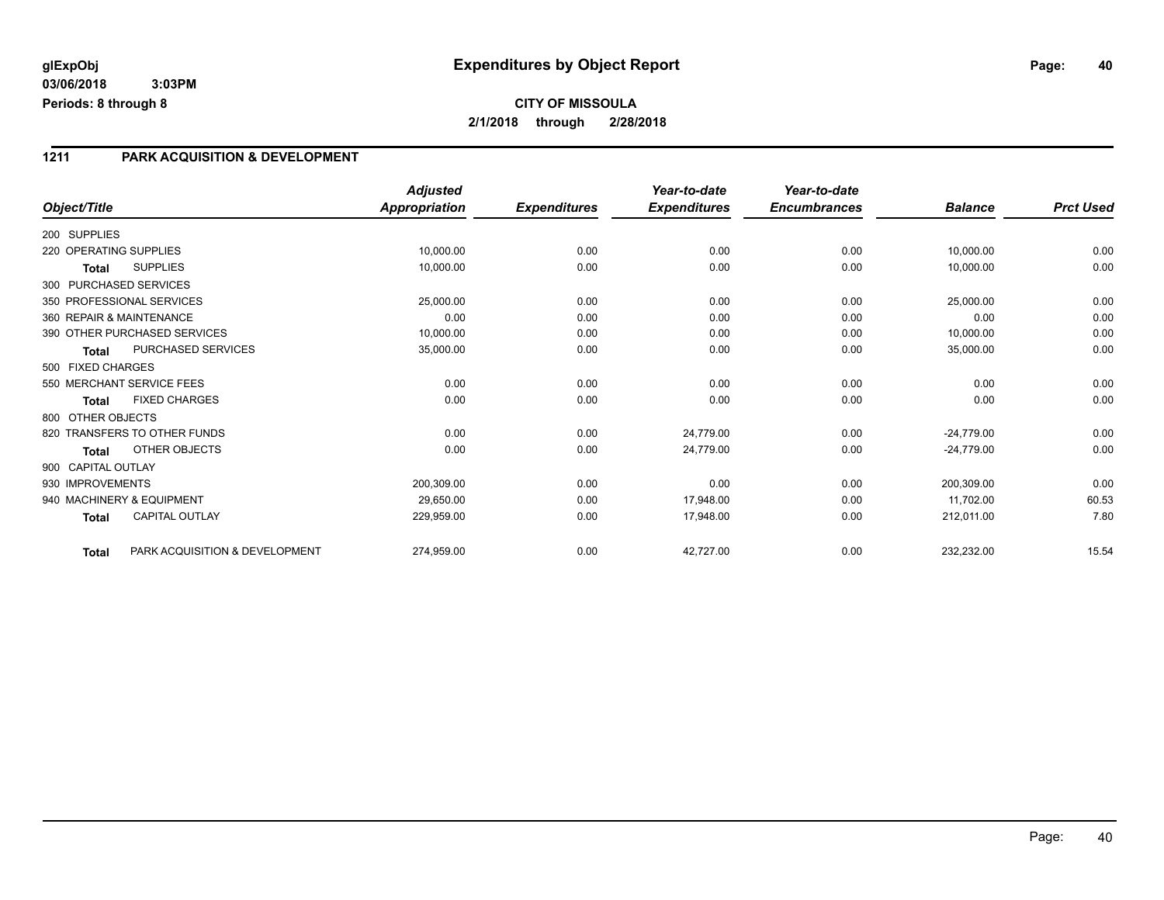### **1211 PARK ACQUISITION & DEVELOPMENT**

|                        |                                | Adjusted             |                     | Year-to-date        | Year-to-date        |                |                  |
|------------------------|--------------------------------|----------------------|---------------------|---------------------|---------------------|----------------|------------------|
| Object/Title           |                                | <b>Appropriation</b> | <b>Expenditures</b> | <b>Expenditures</b> | <b>Encumbrances</b> | <b>Balance</b> | <b>Prct Used</b> |
| 200 SUPPLIES           |                                |                      |                     |                     |                     |                |                  |
| 220 OPERATING SUPPLIES |                                | 10,000.00            | 0.00                | 0.00                | 0.00                | 10,000.00      | 0.00             |
| <b>Total</b>           | <b>SUPPLIES</b>                | 10,000.00            | 0.00                | 0.00                | 0.00                | 10,000.00      | 0.00             |
|                        | 300 PURCHASED SERVICES         |                      |                     |                     |                     |                |                  |
|                        | 350 PROFESSIONAL SERVICES      | 25,000.00            | 0.00                | 0.00                | 0.00                | 25,000.00      | 0.00             |
|                        | 360 REPAIR & MAINTENANCE       | 0.00                 | 0.00                | 0.00                | 0.00                | 0.00           | 0.00             |
|                        | 390 OTHER PURCHASED SERVICES   | 10,000.00            | 0.00                | 0.00                | 0.00                | 10,000.00      | 0.00             |
| <b>Total</b>           | PURCHASED SERVICES             | 35,000.00            | 0.00                | 0.00                | 0.00                | 35,000.00      | 0.00             |
| 500 FIXED CHARGES      |                                |                      |                     |                     |                     |                |                  |
|                        | 550 MERCHANT SERVICE FEES      | 0.00                 | 0.00                | 0.00                | 0.00                | 0.00           | 0.00             |
| Total                  | <b>FIXED CHARGES</b>           | 0.00                 | 0.00                | 0.00                | 0.00                | 0.00           | 0.00             |
| 800 OTHER OBJECTS      |                                |                      |                     |                     |                     |                |                  |
|                        | 820 TRANSFERS TO OTHER FUNDS   | 0.00                 | 0.00                | 24,779.00           | 0.00                | $-24,779.00$   | 0.00             |
| Total                  | OTHER OBJECTS                  | 0.00                 | 0.00                | 24,779.00           | 0.00                | $-24,779.00$   | 0.00             |
| 900 CAPITAL OUTLAY     |                                |                      |                     |                     |                     |                |                  |
| 930 IMPROVEMENTS       |                                | 200,309.00           | 0.00                | 0.00                | 0.00                | 200,309.00     | 0.00             |
|                        | 940 MACHINERY & EQUIPMENT      | 29,650.00            | 0.00                | 17,948.00           | 0.00                | 11,702.00      | 60.53            |
| <b>Total</b>           | <b>CAPITAL OUTLAY</b>          | 229,959.00           | 0.00                | 17,948.00           | 0.00                | 212,011.00     | 7.80             |
| <b>Total</b>           | PARK ACQUISITION & DEVELOPMENT | 274,959.00           | 0.00                | 42,727.00           | 0.00                | 232,232.00     | 15.54            |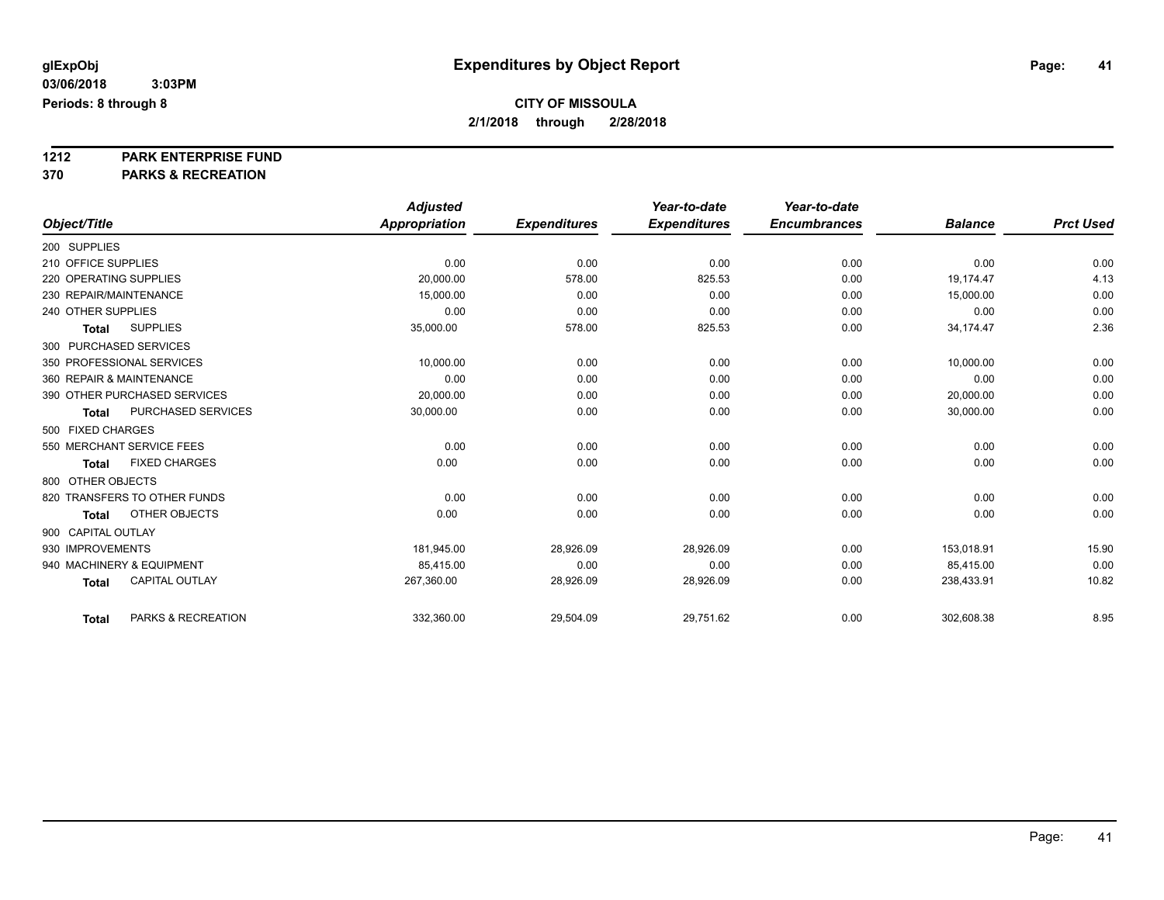# **1212 PARK ENTERPRISE FUND**

**370 PARKS & RECREATION**

|                                       | <b>Adjusted</b>      |                     | Year-to-date        | Year-to-date        |                |                  |
|---------------------------------------|----------------------|---------------------|---------------------|---------------------|----------------|------------------|
| Object/Title                          | <b>Appropriation</b> | <b>Expenditures</b> | <b>Expenditures</b> | <b>Encumbrances</b> | <b>Balance</b> | <b>Prct Used</b> |
| 200 SUPPLIES                          |                      |                     |                     |                     |                |                  |
| 210 OFFICE SUPPLIES                   | 0.00                 | 0.00                | 0.00                | 0.00                | 0.00           | 0.00             |
| 220 OPERATING SUPPLIES                | 20,000.00            | 578.00              | 825.53              | 0.00                | 19,174.47      | 4.13             |
| 230 REPAIR/MAINTENANCE                | 15.000.00            | 0.00                | 0.00                | 0.00                | 15,000.00      | 0.00             |
| 240 OTHER SUPPLIES                    | 0.00                 | 0.00                | 0.00                | 0.00                | 0.00           | 0.00             |
| <b>SUPPLIES</b><br><b>Total</b>       | 35,000.00            | 578.00              | 825.53              | 0.00                | 34,174.47      | 2.36             |
| 300 PURCHASED SERVICES                |                      |                     |                     |                     |                |                  |
| 350 PROFESSIONAL SERVICES             | 10,000.00            | 0.00                | 0.00                | 0.00                | 10,000.00      | 0.00             |
| 360 REPAIR & MAINTENANCE              | 0.00                 | 0.00                | 0.00                | 0.00                | 0.00           | 0.00             |
| 390 OTHER PURCHASED SERVICES          | 20,000.00            | 0.00                | 0.00                | 0.00                | 20,000.00      | 0.00             |
| PURCHASED SERVICES<br><b>Total</b>    | 30,000.00            | 0.00                | 0.00                | 0.00                | 30,000.00      | 0.00             |
| 500 FIXED CHARGES                     |                      |                     |                     |                     |                |                  |
| 550 MERCHANT SERVICE FEES             | 0.00                 | 0.00                | 0.00                | 0.00                | 0.00           | 0.00             |
| <b>FIXED CHARGES</b><br><b>Total</b>  | 0.00                 | 0.00                | 0.00                | 0.00                | 0.00           | 0.00             |
| 800 OTHER OBJECTS                     |                      |                     |                     |                     |                |                  |
| 820 TRANSFERS TO OTHER FUNDS          | 0.00                 | 0.00                | 0.00                | 0.00                | 0.00           | 0.00             |
| OTHER OBJECTS<br><b>Total</b>         | 0.00                 | 0.00                | 0.00                | 0.00                | 0.00           | 0.00             |
| 900 CAPITAL OUTLAY                    |                      |                     |                     |                     |                |                  |
| 930 IMPROVEMENTS                      | 181,945.00           | 28,926.09           | 28,926.09           | 0.00                | 153,018.91     | 15.90            |
| 940 MACHINERY & EQUIPMENT             | 85.415.00            | 0.00                | 0.00                | 0.00                | 85,415.00      | 0.00             |
| <b>CAPITAL OUTLAY</b><br><b>Total</b> | 267,360.00           | 28,926.09           | 28,926.09           | 0.00                | 238,433.91     | 10.82            |
|                                       |                      |                     |                     |                     |                |                  |
| PARKS & RECREATION<br><b>Total</b>    | 332,360.00           | 29,504.09           | 29,751.62           | 0.00                | 302,608.38     | 8.95             |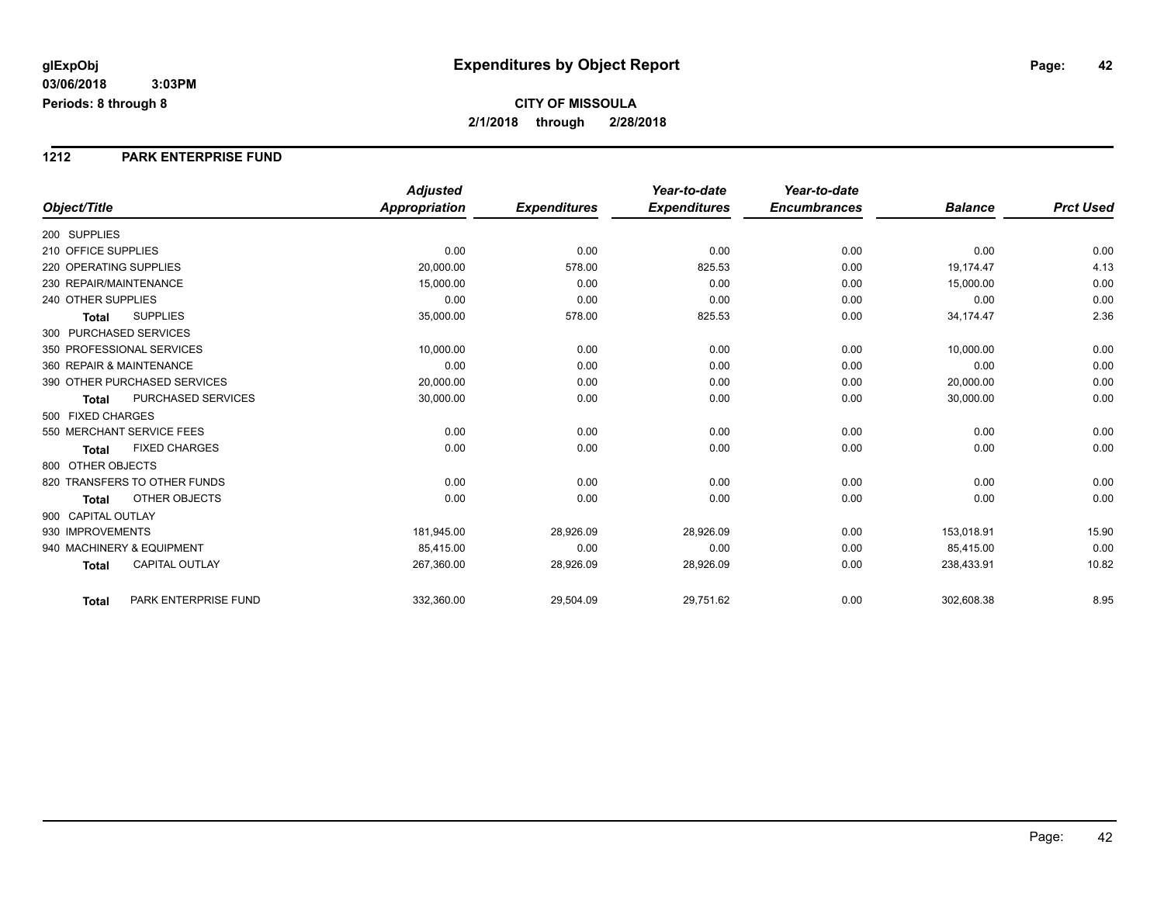#### **1212 PARK ENTERPRISE FUND**

|                                           | <b>Adjusted</b>      |                     | Year-to-date        | Year-to-date        |                |                  |
|-------------------------------------------|----------------------|---------------------|---------------------|---------------------|----------------|------------------|
| Object/Title                              | <b>Appropriation</b> | <b>Expenditures</b> | <b>Expenditures</b> | <b>Encumbrances</b> | <b>Balance</b> | <b>Prct Used</b> |
| 200 SUPPLIES                              |                      |                     |                     |                     |                |                  |
| 210 OFFICE SUPPLIES                       | 0.00                 | 0.00                | 0.00                | 0.00                | 0.00           | 0.00             |
| 220 OPERATING SUPPLIES                    | 20,000.00            | 578.00              | 825.53              | 0.00                | 19,174.47      | 4.13             |
| 230 REPAIR/MAINTENANCE                    | 15,000.00            | 0.00                | 0.00                | 0.00                | 15,000.00      | 0.00             |
| 240 OTHER SUPPLIES                        | 0.00                 | 0.00                | 0.00                | 0.00                | 0.00           | 0.00             |
| <b>SUPPLIES</b><br><b>Total</b>           | 35,000.00            | 578.00              | 825.53              | 0.00                | 34,174.47      | 2.36             |
| 300 PURCHASED SERVICES                    |                      |                     |                     |                     |                |                  |
| 350 PROFESSIONAL SERVICES                 | 10.000.00            | 0.00                | 0.00                | 0.00                | 10,000.00      | 0.00             |
| 360 REPAIR & MAINTENANCE                  | 0.00                 | 0.00                | 0.00                | 0.00                | 0.00           | 0.00             |
| 390 OTHER PURCHASED SERVICES              | 20,000.00            | 0.00                | 0.00                | 0.00                | 20,000.00      | 0.00             |
| <b>PURCHASED SERVICES</b><br><b>Total</b> | 30,000.00            | 0.00                | 0.00                | 0.00                | 30,000.00      | 0.00             |
| 500 FIXED CHARGES                         |                      |                     |                     |                     |                |                  |
| 550 MERCHANT SERVICE FEES                 | 0.00                 | 0.00                | 0.00                | 0.00                | 0.00           | 0.00             |
| <b>FIXED CHARGES</b><br><b>Total</b>      | 0.00                 | 0.00                | 0.00                | 0.00                | 0.00           | 0.00             |
| 800 OTHER OBJECTS                         |                      |                     |                     |                     |                |                  |
| 820 TRANSFERS TO OTHER FUNDS              | 0.00                 | 0.00                | 0.00                | 0.00                | 0.00           | 0.00             |
| <b>OTHER OBJECTS</b><br><b>Total</b>      | 0.00                 | 0.00                | 0.00                | 0.00                | 0.00           | 0.00             |
| 900 CAPITAL OUTLAY                        |                      |                     |                     |                     |                |                  |
| 930 IMPROVEMENTS                          | 181,945.00           | 28,926.09           | 28,926.09           | 0.00                | 153,018.91     | 15.90            |
| 940 MACHINERY & EQUIPMENT                 | 85.415.00            | 0.00                | 0.00                | 0.00                | 85,415.00      | 0.00             |
| <b>CAPITAL OUTLAY</b><br><b>Total</b>     | 267,360.00           | 28,926.09           | 28,926.09           | 0.00                | 238,433.91     | 10.82            |
| PARK ENTERPRISE FUND<br>Total             | 332,360.00           | 29,504.09           | 29,751.62           | 0.00                | 302,608.38     | 8.95             |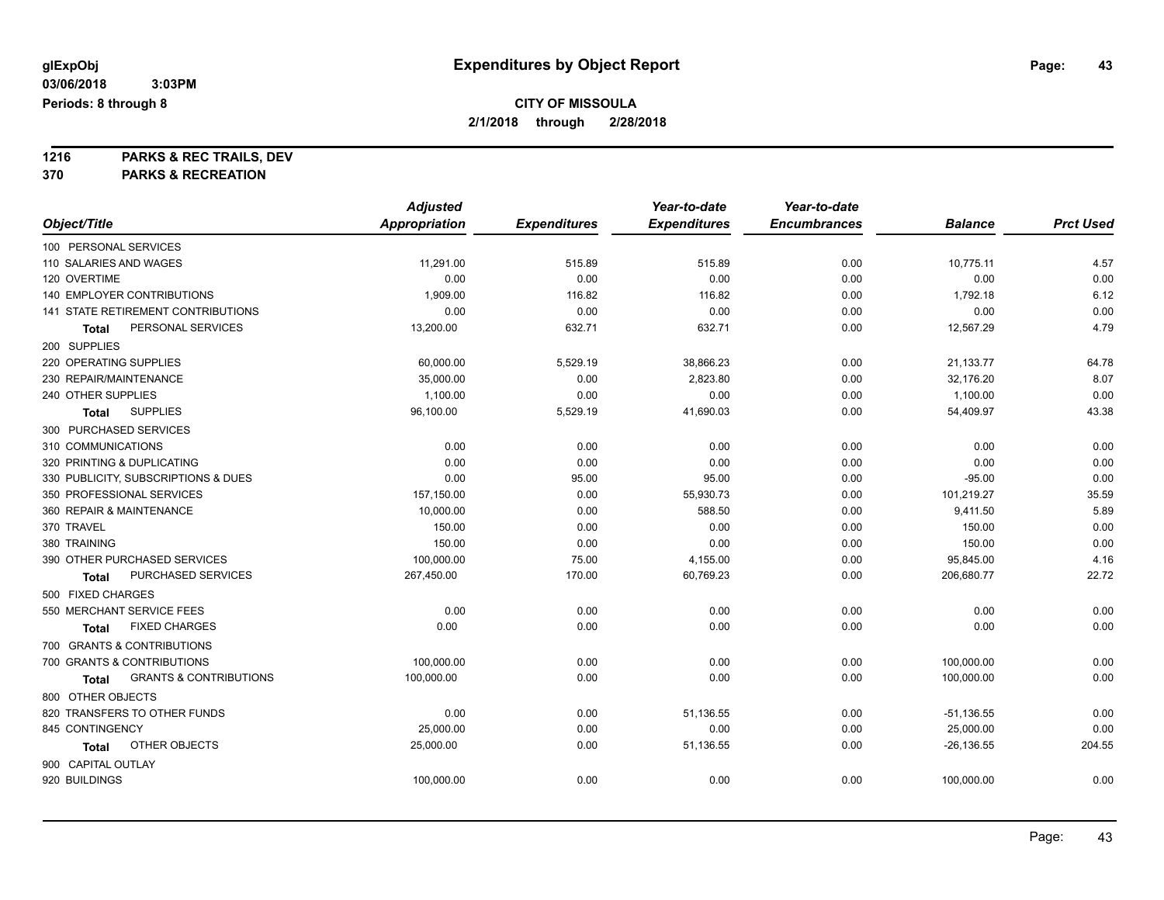**1216 PARKS & REC TRAILS, DEV**

**370 PARKS & RECREATION**

|                                                   | <b>Adjusted</b>      |                     | Year-to-date        | Year-to-date        |                |                  |
|---------------------------------------------------|----------------------|---------------------|---------------------|---------------------|----------------|------------------|
| Object/Title                                      | <b>Appropriation</b> | <b>Expenditures</b> | <b>Expenditures</b> | <b>Encumbrances</b> | <b>Balance</b> | <b>Prct Used</b> |
| 100 PERSONAL SERVICES                             |                      |                     |                     |                     |                |                  |
| 110 SALARIES AND WAGES                            | 11,291.00            | 515.89              | 515.89              | 0.00                | 10,775.11      | 4.57             |
| 120 OVERTIME                                      | 0.00                 | 0.00                | 0.00                | 0.00                | 0.00           | 0.00             |
| 140 EMPLOYER CONTRIBUTIONS                        | 1,909.00             | 116.82              | 116.82              | 0.00                | 1,792.18       | 6.12             |
| 141 STATE RETIREMENT CONTRIBUTIONS                | 0.00                 | 0.00                | 0.00                | 0.00                | 0.00           | 0.00             |
| PERSONAL SERVICES<br>Total                        | 13,200.00            | 632.71              | 632.71              | 0.00                | 12,567.29      | 4.79             |
| 200 SUPPLIES                                      |                      |                     |                     |                     |                |                  |
| 220 OPERATING SUPPLIES                            | 60,000.00            | 5,529.19            | 38,866.23           | 0.00                | 21,133.77      | 64.78            |
| 230 REPAIR/MAINTENANCE                            | 35,000.00            | 0.00                | 2,823.80            | 0.00                | 32,176.20      | 8.07             |
| 240 OTHER SUPPLIES                                | 1,100.00             | 0.00                | 0.00                | 0.00                | 1,100.00       | 0.00             |
| <b>SUPPLIES</b><br><b>Total</b>                   | 96,100.00            | 5,529.19            | 41,690.03           | 0.00                | 54,409.97      | 43.38            |
| 300 PURCHASED SERVICES                            |                      |                     |                     |                     |                |                  |
| 310 COMMUNICATIONS                                | 0.00                 | 0.00                | 0.00                | 0.00                | 0.00           | 0.00             |
| 320 PRINTING & DUPLICATING                        | 0.00                 | 0.00                | 0.00                | 0.00                | 0.00           | 0.00             |
| 330 PUBLICITY, SUBSCRIPTIONS & DUES               | 0.00                 | 95.00               | 95.00               | 0.00                | $-95.00$       | 0.00             |
| 350 PROFESSIONAL SERVICES                         | 157,150.00           | 0.00                | 55,930.73           | 0.00                | 101,219.27     | 35.59            |
| 360 REPAIR & MAINTENANCE                          | 10,000.00            | 0.00                | 588.50              | 0.00                | 9,411.50       | 5.89             |
| 370 TRAVEL                                        | 150.00               | 0.00                | 0.00                | 0.00                | 150.00         | 0.00             |
| 380 TRAINING                                      | 150.00               | 0.00                | 0.00                | 0.00                | 150.00         | 0.00             |
| 390 OTHER PURCHASED SERVICES                      | 100,000.00           | 75.00               | 4,155.00            | 0.00                | 95,845.00      | 4.16             |
| PURCHASED SERVICES<br>Total                       | 267,450.00           | 170.00              | 60,769.23           | 0.00                | 206,680.77     | 22.72            |
| 500 FIXED CHARGES                                 |                      |                     |                     |                     |                |                  |
| 550 MERCHANT SERVICE FEES                         | 0.00                 | 0.00                | 0.00                | 0.00                | 0.00           | 0.00             |
| <b>FIXED CHARGES</b><br>Total                     | 0.00                 | 0.00                | 0.00                | 0.00                | 0.00           | 0.00             |
| 700 GRANTS & CONTRIBUTIONS                        |                      |                     |                     |                     |                |                  |
| 700 GRANTS & CONTRIBUTIONS                        | 100,000.00           | 0.00                | 0.00                | 0.00                | 100,000.00     | 0.00             |
| <b>GRANTS &amp; CONTRIBUTIONS</b><br><b>Total</b> | 100,000.00           | 0.00                | 0.00                | 0.00                | 100,000.00     | 0.00             |
| 800 OTHER OBJECTS                                 |                      |                     |                     |                     |                |                  |
| 820 TRANSFERS TO OTHER FUNDS                      | 0.00                 | 0.00                | 51,136.55           | 0.00                | $-51,136.55$   | 0.00             |
| 845 CONTINGENCY                                   | 25,000.00            | 0.00                | 0.00                | 0.00                | 25,000.00      | 0.00             |
| OTHER OBJECTS<br>Total                            | 25,000.00            | 0.00                | 51,136.55           | 0.00                | $-26, 136.55$  | 204.55           |
| 900 CAPITAL OUTLAY                                |                      |                     |                     |                     |                |                  |
| 920 BUILDINGS                                     | 100,000.00           | 0.00                | 0.00                | 0.00                | 100,000.00     | 0.00             |
|                                                   |                      |                     |                     |                     |                |                  |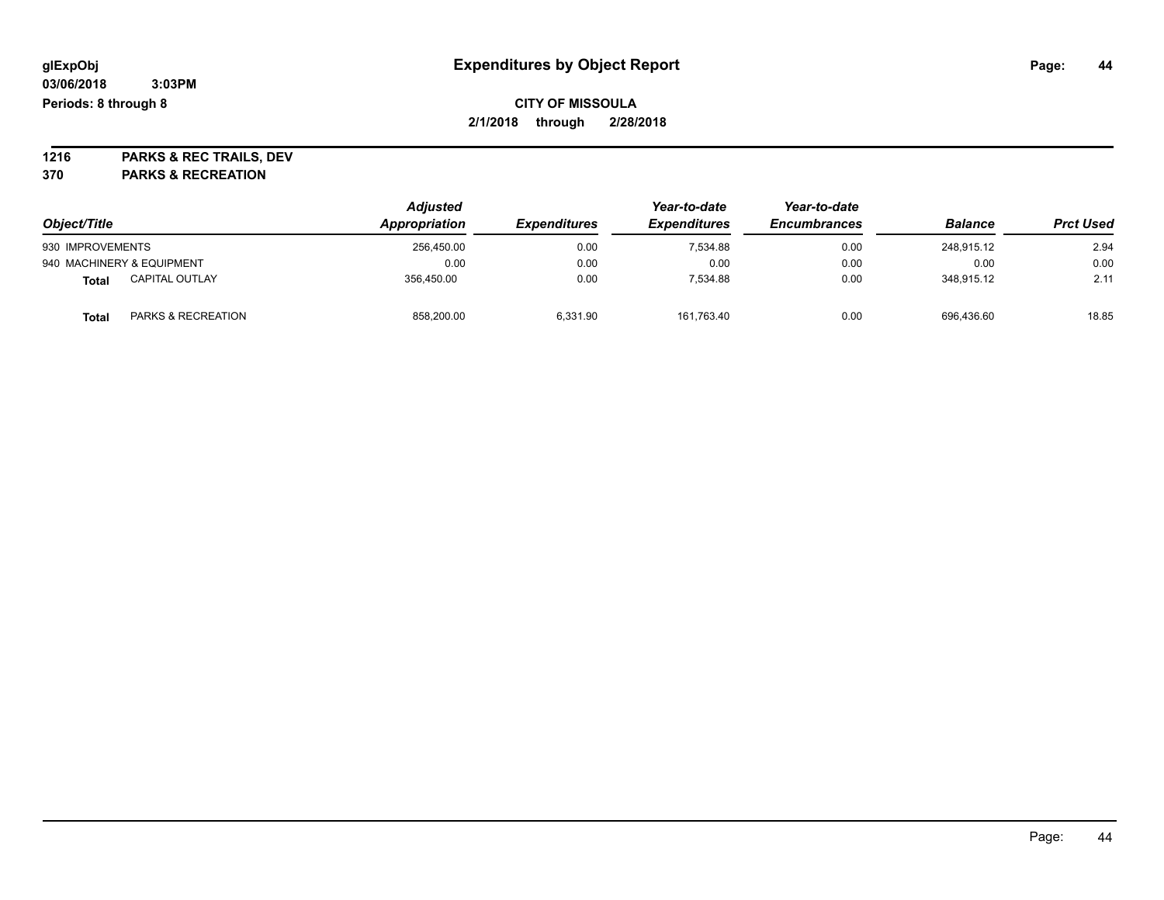**1216 PARKS & REC TRAILS, DEV 370 PARKS & RECREATION**

| Object/Title     |                               | <b>Adjusted</b><br>Appropriation | <b>Expenditures</b> | Year-to-date<br><b>Expenditures</b> | Year-to-date<br><b>Encumbrances</b> | <b>Balance</b> | <b>Prct Used</b> |
|------------------|-------------------------------|----------------------------------|---------------------|-------------------------------------|-------------------------------------|----------------|------------------|
| 930 IMPROVEMENTS |                               | 256.450.00                       | 0.00                | 7.534.88                            | 0.00                                | 248.915.12     | 2.94             |
|                  | 940 MACHINERY & EQUIPMENT     | 0.00                             | 0.00                | 0.00                                | 0.00                                | 0.00           | 0.00             |
| Total            | <b>CAPITAL OUTLAY</b>         | 356.450.00                       | 0.00                | 7.534.88                            | 0.00                                | 348.915.12     | 2.11             |
| Total            | <b>PARKS &amp; RECREATION</b> | 858,200.00                       | 6,331.90            | 161,763.40                          | 0.00                                | 696,436.60     | 18.85            |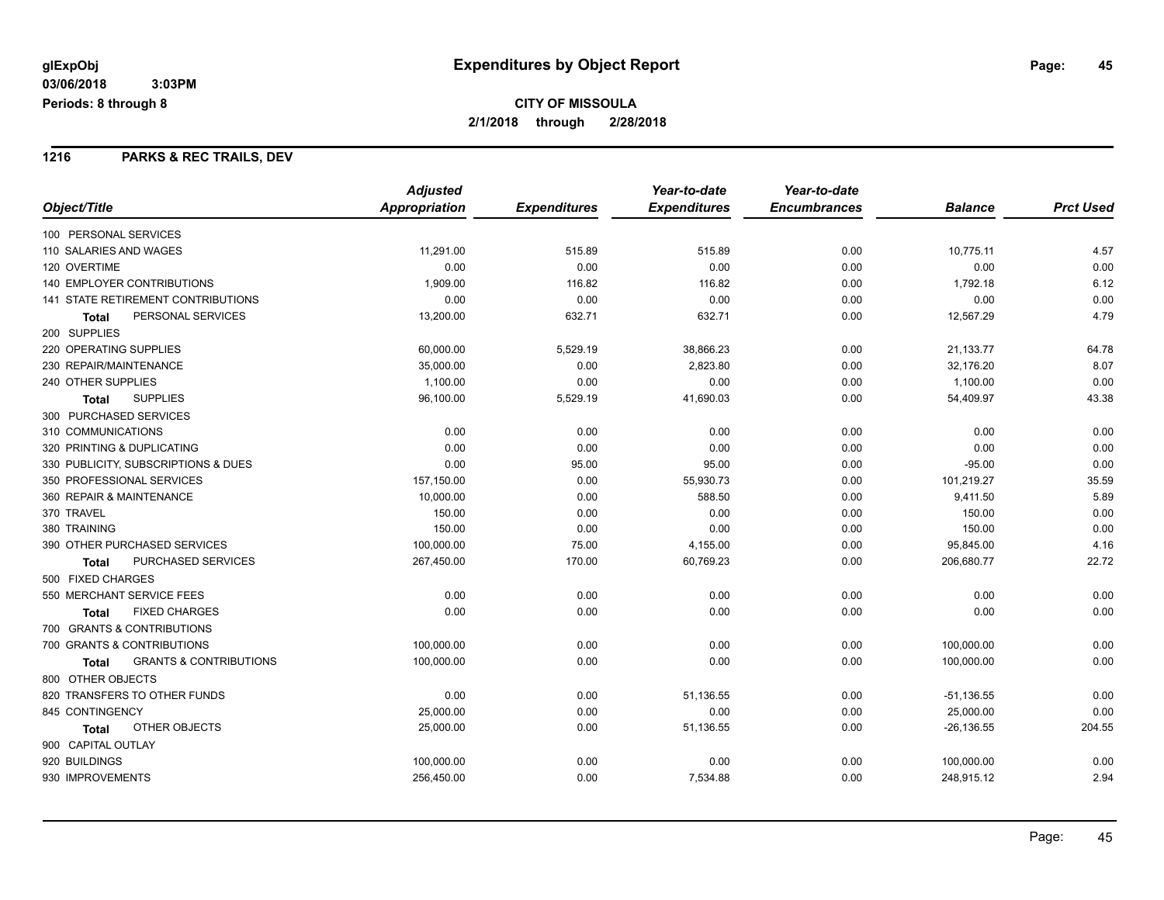### **1216 PARKS & REC TRAILS, DEV**

|                                                   | <b>Adjusted</b> |                     | Year-to-date        | Year-to-date        |                |                  |
|---------------------------------------------------|-----------------|---------------------|---------------------|---------------------|----------------|------------------|
| Object/Title                                      | Appropriation   | <b>Expenditures</b> | <b>Expenditures</b> | <b>Encumbrances</b> | <b>Balance</b> | <b>Prct Used</b> |
| 100 PERSONAL SERVICES                             |                 |                     |                     |                     |                |                  |
| 110 SALARIES AND WAGES                            | 11,291.00       | 515.89              | 515.89              | 0.00                | 10,775.11      | 4.57             |
| 120 OVERTIME                                      | 0.00            | 0.00                | 0.00                | 0.00                | 0.00           | 0.00             |
| <b>140 EMPLOYER CONTRIBUTIONS</b>                 | 1,909.00        | 116.82              | 116.82              | 0.00                | 1,792.18       | 6.12             |
| <b>141 STATE RETIREMENT CONTRIBUTIONS</b>         | 0.00            | 0.00                | 0.00                | 0.00                | 0.00           | 0.00             |
| PERSONAL SERVICES<br>Total                        | 13,200.00       | 632.71              | 632.71              | 0.00                | 12,567.29      | 4.79             |
| 200 SUPPLIES                                      |                 |                     |                     |                     |                |                  |
| 220 OPERATING SUPPLIES                            | 60,000.00       | 5,529.19            | 38,866.23           | 0.00                | 21,133.77      | 64.78            |
| 230 REPAIR/MAINTENANCE                            | 35,000.00       | 0.00                | 2,823.80            | 0.00                | 32,176.20      | 8.07             |
| 240 OTHER SUPPLIES                                | 1,100.00        | 0.00                | 0.00                | 0.00                | 1,100.00       | 0.00             |
| <b>SUPPLIES</b><br>Total                          | 96,100.00       | 5,529.19            | 41,690.03           | 0.00                | 54,409.97      | 43.38            |
| 300 PURCHASED SERVICES                            |                 |                     |                     |                     |                |                  |
| 310 COMMUNICATIONS                                | 0.00            | 0.00                | 0.00                | 0.00                | 0.00           | 0.00             |
| 320 PRINTING & DUPLICATING                        | 0.00            | 0.00                | 0.00                | 0.00                | 0.00           | 0.00             |
| 330 PUBLICITY, SUBSCRIPTIONS & DUES               | 0.00            | 95.00               | 95.00               | 0.00                | $-95.00$       | 0.00             |
| 350 PROFESSIONAL SERVICES                         | 157,150.00      | 0.00                | 55,930.73           | 0.00                | 101,219.27     | 35.59            |
| 360 REPAIR & MAINTENANCE                          | 10,000.00       | 0.00                | 588.50              | 0.00                | 9,411.50       | 5.89             |
| 370 TRAVEL                                        | 150.00          | 0.00                | 0.00                | 0.00                | 150.00         | 0.00             |
| 380 TRAINING                                      | 150.00          | 0.00                | 0.00                | 0.00                | 150.00         | 0.00             |
| 390 OTHER PURCHASED SERVICES                      | 100,000.00      | 75.00               | 4,155.00            | 0.00                | 95,845.00      | 4.16             |
| PURCHASED SERVICES<br><b>Total</b>                | 267,450.00      | 170.00              | 60,769.23           | 0.00                | 206,680.77     | 22.72            |
| 500 FIXED CHARGES                                 |                 |                     |                     |                     |                |                  |
| 550 MERCHANT SERVICE FEES                         | 0.00            | 0.00                | 0.00                | 0.00                | 0.00           | 0.00             |
| <b>FIXED CHARGES</b><br><b>Total</b>              | 0.00            | 0.00                | 0.00                | 0.00                | 0.00           | 0.00             |
| 700 GRANTS & CONTRIBUTIONS                        |                 |                     |                     |                     |                |                  |
| 700 GRANTS & CONTRIBUTIONS                        | 100,000.00      | 0.00                | 0.00                | 0.00                | 100,000.00     | 0.00             |
| <b>GRANTS &amp; CONTRIBUTIONS</b><br><b>Total</b> | 100,000.00      | 0.00                | 0.00                | 0.00                | 100,000.00     | 0.00             |
| 800 OTHER OBJECTS                                 |                 |                     |                     |                     |                |                  |
| 820 TRANSFERS TO OTHER FUNDS                      | 0.00            | 0.00                | 51,136.55           | 0.00                | $-51,136.55$   | 0.00             |
| 845 CONTINGENCY                                   | 25,000.00       | 0.00                | 0.00                | 0.00                | 25,000.00      | 0.00             |
| OTHER OBJECTS<br>Total                            | 25,000.00       | 0.00                | 51,136.55           | 0.00                | $-26, 136.55$  | 204.55           |
| 900 CAPITAL OUTLAY                                |                 |                     |                     |                     |                |                  |
| 920 BUILDINGS                                     | 100,000.00      | 0.00                | 0.00                | 0.00                | 100,000.00     | 0.00             |
| 930 IMPROVEMENTS                                  | 256,450.00      | 0.00                | 7,534.88            | 0.00                | 248,915.12     | 2.94             |
|                                                   |                 |                     |                     |                     |                |                  |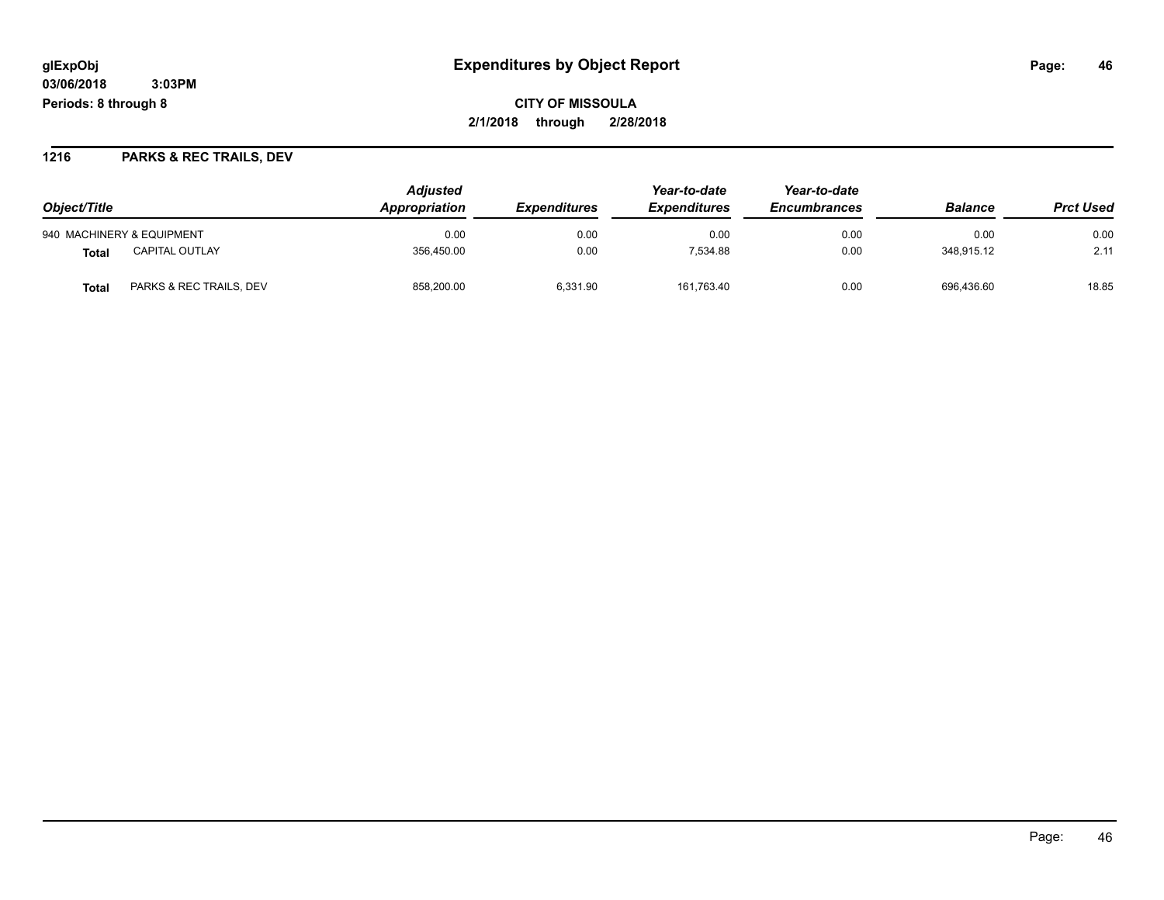**CITY OF MISSOULA 2/1/2018 through 2/28/2018**

### **1216 PARKS & REC TRAILS, DEV**

|                                  | <b>Adjusted</b> |                     |                     | Year-to-date        |                |                  |
|----------------------------------|-----------------|---------------------|---------------------|---------------------|----------------|------------------|
| Object/Title                     | Appropriation   | <b>Expenditures</b> | <b>Expenditures</b> | <b>Encumbrances</b> | <b>Balance</b> | <b>Prct Used</b> |
| 940 MACHINERY & EQUIPMENT        | 0.00            | 0.00                | 0.00                | 0.00                | 0.00           | 0.00             |
| <b>CAPITAL OUTLAY</b><br>Total   | 356.450.00      | 0.00                | 7.534.88            | 0.00                | 348.915.12     | 2.11             |
| PARKS & REC TRAILS, DEV<br>Total | 858,200.00      | 6.331.90            | 161,763.40          | 0.00                | 696,436.60     | 18.85            |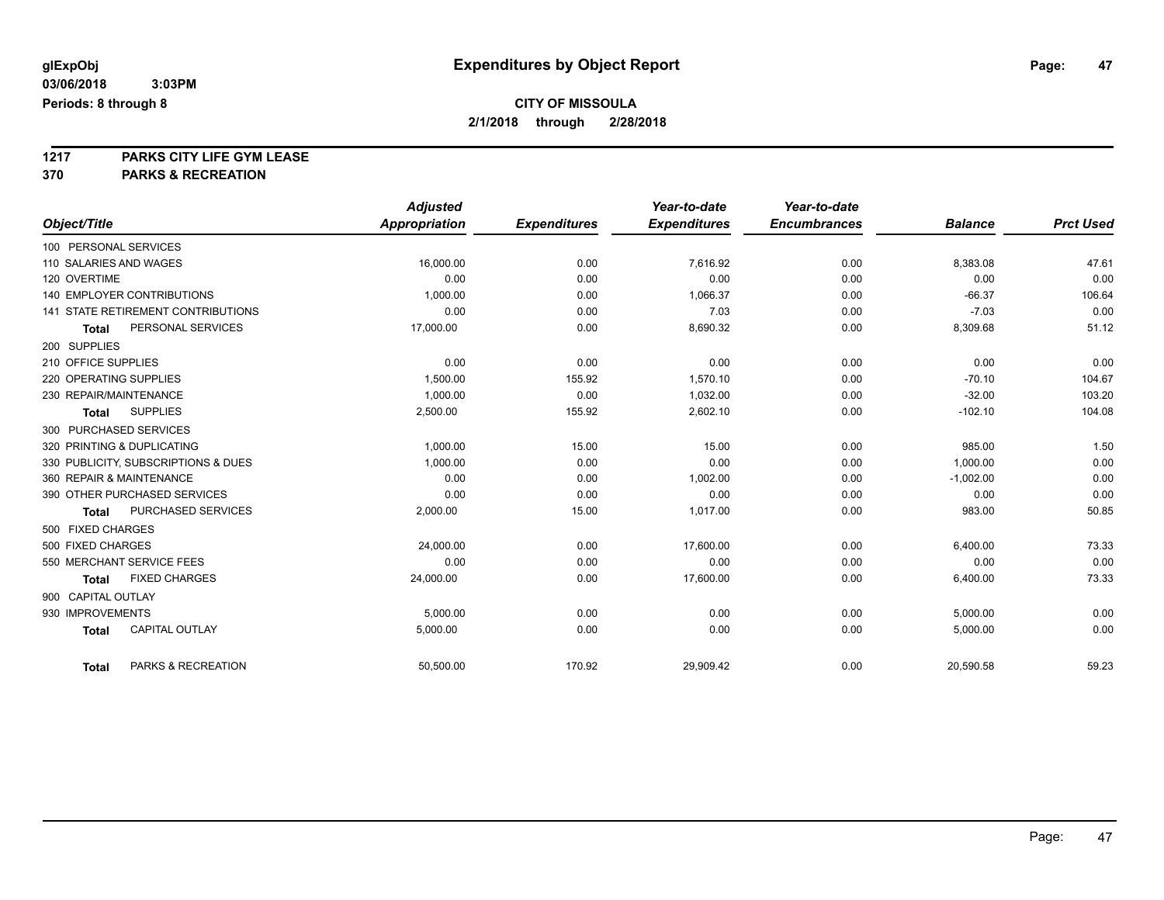# **CITY OF MISSOULA**

**2/1/2018 through 2/28/2018**

**1217 PARKS CITY LIFE GYM LEASE**

**370 PARKS & RECREATION**

|                                           | <b>Adjusted</b>      |                     | Year-to-date        | Year-to-date        |                |                  |
|-------------------------------------------|----------------------|---------------------|---------------------|---------------------|----------------|------------------|
| Object/Title                              | <b>Appropriation</b> | <b>Expenditures</b> | <b>Expenditures</b> | <b>Encumbrances</b> | <b>Balance</b> | <b>Prct Used</b> |
| 100 PERSONAL SERVICES                     |                      |                     |                     |                     |                |                  |
| 110 SALARIES AND WAGES                    | 16,000.00            | 0.00                | 7,616.92            | 0.00                | 8,383.08       | 47.61            |
| 120 OVERTIME                              | 0.00                 | 0.00                | 0.00                | 0.00                | 0.00           | 0.00             |
| <b>140 EMPLOYER CONTRIBUTIONS</b>         | 1,000.00             | 0.00                | 1,066.37            | 0.00                | $-66.37$       | 106.64           |
| <b>141 STATE RETIREMENT CONTRIBUTIONS</b> | 0.00                 | 0.00                | 7.03                | 0.00                | $-7.03$        | 0.00             |
| PERSONAL SERVICES<br><b>Total</b>         | 17,000.00            | 0.00                | 8,690.32            | 0.00                | 8,309.68       | 51.12            |
| 200 SUPPLIES                              |                      |                     |                     |                     |                |                  |
| 210 OFFICE SUPPLIES                       | 0.00                 | 0.00                | 0.00                | 0.00                | 0.00           | 0.00             |
| 220 OPERATING SUPPLIES                    | 1,500.00             | 155.92              | 1,570.10            | 0.00                | $-70.10$       | 104.67           |
| 230 REPAIR/MAINTENANCE                    | 1,000.00             | 0.00                | 1,032.00            | 0.00                | $-32.00$       | 103.20           |
| <b>SUPPLIES</b><br><b>Total</b>           | 2,500.00             | 155.92              | 2,602.10            | 0.00                | $-102.10$      | 104.08           |
| 300 PURCHASED SERVICES                    |                      |                     |                     |                     |                |                  |
| 320 PRINTING & DUPLICATING                | 1,000.00             | 15.00               | 15.00               | 0.00                | 985.00         | 1.50             |
| 330 PUBLICITY, SUBSCRIPTIONS & DUES       | 1.000.00             | 0.00                | 0.00                | 0.00                | 1.000.00       | 0.00             |
| 360 REPAIR & MAINTENANCE                  | 0.00                 | 0.00                | 1,002.00            | 0.00                | $-1,002.00$    | 0.00             |
| 390 OTHER PURCHASED SERVICES              | 0.00                 | 0.00                | 0.00                | 0.00                | 0.00           | 0.00             |
| PURCHASED SERVICES<br><b>Total</b>        | 2,000.00             | 15.00               | 1,017.00            | 0.00                | 983.00         | 50.85            |
| 500 FIXED CHARGES                         |                      |                     |                     |                     |                |                  |
| 500 FIXED CHARGES                         | 24,000.00            | 0.00                | 17.600.00           | 0.00                | 6,400.00       | 73.33            |
| 550 MERCHANT SERVICE FEES                 | 0.00                 | 0.00                | 0.00                | 0.00                | 0.00           | 0.00             |
| <b>FIXED CHARGES</b><br><b>Total</b>      | 24,000.00            | 0.00                | 17,600.00           | 0.00                | 6,400.00       | 73.33            |
| 900 CAPITAL OUTLAY                        |                      |                     |                     |                     |                |                  |
| 930 IMPROVEMENTS                          | 5,000.00             | 0.00                | 0.00                | 0.00                | 5,000.00       | 0.00             |
| <b>CAPITAL OUTLAY</b><br><b>Total</b>     | 5,000.00             | 0.00                | 0.00                | 0.00                | 5,000.00       | 0.00             |
| PARKS & RECREATION<br><b>Total</b>        | 50,500.00            | 170.92              | 29,909.42           | 0.00                | 20,590.58      | 59.23            |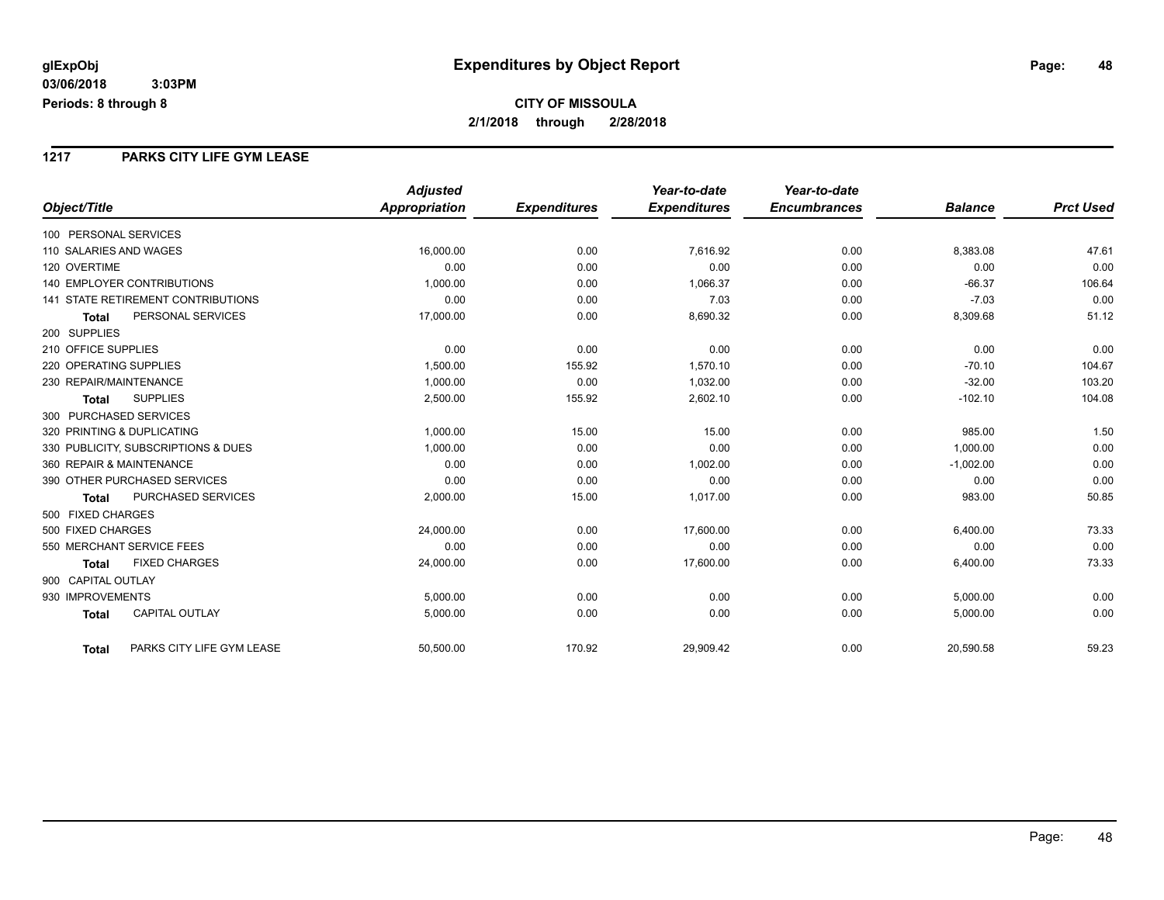### **1217 PARKS CITY LIFE GYM LEASE**

|                                           |                           | <b>Adjusted</b>      |                     | Year-to-date        | Year-to-date        |                |                  |
|-------------------------------------------|---------------------------|----------------------|---------------------|---------------------|---------------------|----------------|------------------|
| Object/Title                              |                           | <b>Appropriation</b> | <b>Expenditures</b> | <b>Expenditures</b> | <b>Encumbrances</b> | <b>Balance</b> | <b>Prct Used</b> |
| 100 PERSONAL SERVICES                     |                           |                      |                     |                     |                     |                |                  |
| 110 SALARIES AND WAGES                    |                           | 16,000.00            | 0.00                | 7.616.92            | 0.00                | 8,383.08       | 47.61            |
| 120 OVERTIME                              |                           | 0.00                 | 0.00                | 0.00                | 0.00                | 0.00           | 0.00             |
| <b>140 EMPLOYER CONTRIBUTIONS</b>         |                           | 1,000.00             | 0.00                | 1,066.37            | 0.00                | $-66.37$       | 106.64           |
| <b>141 STATE RETIREMENT CONTRIBUTIONS</b> |                           | 0.00                 | 0.00                | 7.03                | 0.00                | $-7.03$        | 0.00             |
| Total                                     | PERSONAL SERVICES         | 17,000.00            | 0.00                | 8,690.32            | 0.00                | 8,309.68       | 51.12            |
| 200 SUPPLIES                              |                           |                      |                     |                     |                     |                |                  |
| 210 OFFICE SUPPLIES                       |                           | 0.00                 | 0.00                | 0.00                | 0.00                | 0.00           | 0.00             |
| 220 OPERATING SUPPLIES                    |                           | 1,500.00             | 155.92              | 1,570.10            | 0.00                | $-70.10$       | 104.67           |
| 230 REPAIR/MAINTENANCE                    |                           | 1,000.00             | 0.00                | 1,032.00            | 0.00                | $-32.00$       | 103.20           |
| <b>SUPPLIES</b><br><b>Total</b>           |                           | 2,500.00             | 155.92              | 2,602.10            | 0.00                | $-102.10$      | 104.08           |
| 300 PURCHASED SERVICES                    |                           |                      |                     |                     |                     |                |                  |
| 320 PRINTING & DUPLICATING                |                           | 1,000.00             | 15.00               | 15.00               | 0.00                | 985.00         | 1.50             |
| 330 PUBLICITY, SUBSCRIPTIONS & DUES       |                           | 1,000.00             | 0.00                | 0.00                | 0.00                | 1.000.00       | 0.00             |
| 360 REPAIR & MAINTENANCE                  |                           | 0.00                 | 0.00                | 1,002.00            | 0.00                | $-1,002.00$    | 0.00             |
| 390 OTHER PURCHASED SERVICES              |                           | 0.00                 | 0.00                | 0.00                | 0.00                | 0.00           | 0.00             |
| <b>Total</b>                              | PURCHASED SERVICES        | 2,000.00             | 15.00               | 1,017.00            | 0.00                | 983.00         | 50.85            |
| 500 FIXED CHARGES                         |                           |                      |                     |                     |                     |                |                  |
| 500 FIXED CHARGES                         |                           | 24,000.00            | 0.00                | 17,600.00           | 0.00                | 6,400.00       | 73.33            |
| 550 MERCHANT SERVICE FEES                 |                           | 0.00                 | 0.00                | 0.00                | 0.00                | 0.00           | 0.00             |
| <b>Total</b>                              | <b>FIXED CHARGES</b>      | 24,000.00            | 0.00                | 17,600.00           | 0.00                | 6,400.00       | 73.33            |
| 900 CAPITAL OUTLAY                        |                           |                      |                     |                     |                     |                |                  |
| 930 IMPROVEMENTS                          |                           | 5,000.00             | 0.00                | 0.00                | 0.00                | 5,000.00       | 0.00             |
| <b>Total</b>                              | <b>CAPITAL OUTLAY</b>     | 5,000.00             | 0.00                | 0.00                | 0.00                | 5,000.00       | 0.00             |
| <b>Total</b>                              | PARKS CITY LIFE GYM LEASE | 50,500.00            | 170.92              | 29,909.42           | 0.00                | 20,590.58      | 59.23            |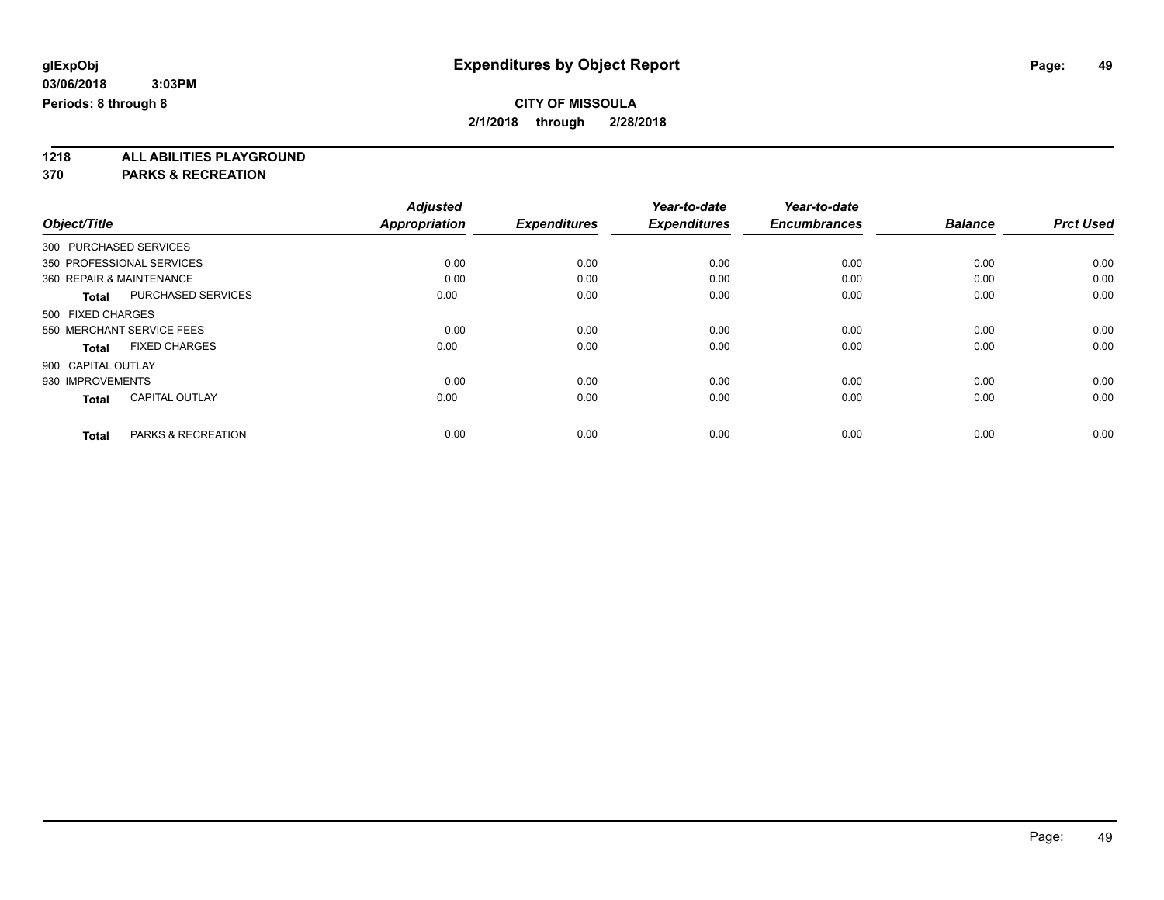**1218 ALL ABILITIES PLAYGROUND**

**370 PARKS & RECREATION**

|                                       | <b>Adjusted</b>      |                     | Year-to-date        | Year-to-date        |                |                  |
|---------------------------------------|----------------------|---------------------|---------------------|---------------------|----------------|------------------|
| Object/Title                          | <b>Appropriation</b> | <b>Expenditures</b> | <b>Expenditures</b> | <b>Encumbrances</b> | <b>Balance</b> | <b>Prct Used</b> |
| 300 PURCHASED SERVICES                |                      |                     |                     |                     |                |                  |
| 350 PROFESSIONAL SERVICES             | 0.00                 | 0.00                | 0.00                | 0.00                | 0.00           | 0.00             |
| 360 REPAIR & MAINTENANCE              | 0.00                 | 0.00                | 0.00                | 0.00                | 0.00           | 0.00             |
| <b>PURCHASED SERVICES</b><br>Total    | 0.00                 | 0.00                | 0.00                | 0.00                | 0.00           | 0.00             |
| 500 FIXED CHARGES                     |                      |                     |                     |                     |                |                  |
| 550 MERCHANT SERVICE FEES             | 0.00                 | 0.00                | 0.00                | 0.00                | 0.00           | 0.00             |
| <b>FIXED CHARGES</b><br><b>Total</b>  | 0.00                 | 0.00                | 0.00                | 0.00                | 0.00           | 0.00             |
| 900 CAPITAL OUTLAY                    |                      |                     |                     |                     |                |                  |
| 930 IMPROVEMENTS                      | 0.00                 | 0.00                | 0.00                | 0.00                | 0.00           | 0.00             |
| <b>CAPITAL OUTLAY</b><br><b>Total</b> | 0.00                 | 0.00                | 0.00                | 0.00                | 0.00           | 0.00             |
|                                       |                      |                     |                     |                     |                |                  |
| PARKS & RECREATION<br><b>Total</b>    | 0.00                 | 0.00                | 0.00                | 0.00                | 0.00           | 0.00             |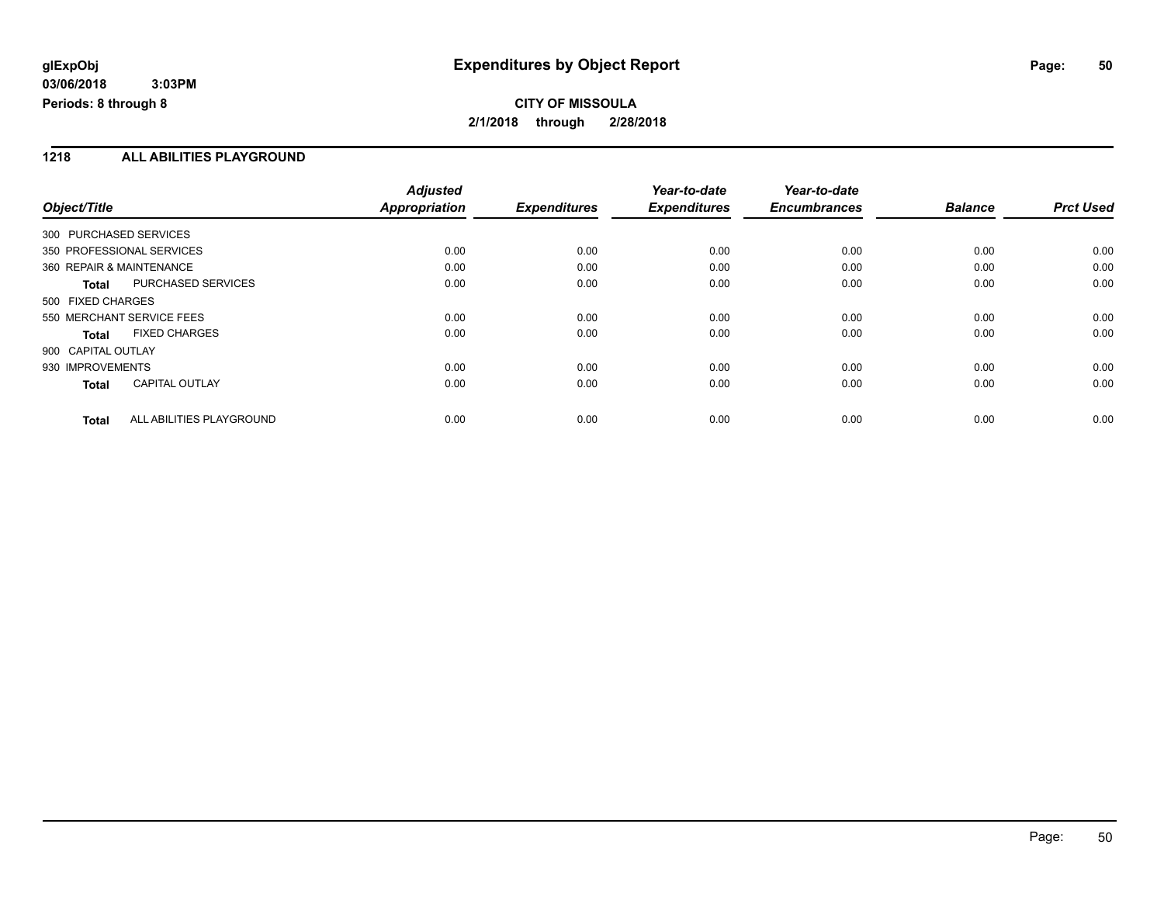**CITY OF MISSOULA 2/1/2018 through 2/28/2018**

### **1218 ALL ABILITIES PLAYGROUND**

|                          |                           | <b>Adjusted</b>      |                     | Year-to-date        | Year-to-date        |                |                  |
|--------------------------|---------------------------|----------------------|---------------------|---------------------|---------------------|----------------|------------------|
| Object/Title             |                           | <b>Appropriation</b> | <b>Expenditures</b> | <b>Expenditures</b> | <b>Encumbrances</b> | <b>Balance</b> | <b>Prct Used</b> |
| 300 PURCHASED SERVICES   |                           |                      |                     |                     |                     |                |                  |
|                          | 350 PROFESSIONAL SERVICES | 0.00                 | 0.00                | 0.00                | 0.00                | 0.00           | 0.00             |
| 360 REPAIR & MAINTENANCE |                           | 0.00                 | 0.00                | 0.00                | 0.00                | 0.00           | 0.00             |
| <b>Total</b>             | <b>PURCHASED SERVICES</b> | 0.00                 | 0.00                | 0.00                | 0.00                | 0.00           | 0.00             |
| 500 FIXED CHARGES        |                           |                      |                     |                     |                     |                |                  |
|                          | 550 MERCHANT SERVICE FEES | 0.00                 | 0.00                | 0.00                | 0.00                | 0.00           | 0.00             |
| Total                    | <b>FIXED CHARGES</b>      | 0.00                 | 0.00                | 0.00                | 0.00                | 0.00           | 0.00             |
| 900 CAPITAL OUTLAY       |                           |                      |                     |                     |                     |                |                  |
| 930 IMPROVEMENTS         |                           | 0.00                 | 0.00                | 0.00                | 0.00                | 0.00           | 0.00             |
| <b>Total</b>             | <b>CAPITAL OUTLAY</b>     | 0.00                 | 0.00                | 0.00                | 0.00                | 0.00           | 0.00             |
| <b>Total</b>             | ALL ABILITIES PLAYGROUND  | 0.00                 | 0.00                | 0.00                | 0.00                | 0.00           | 0.00             |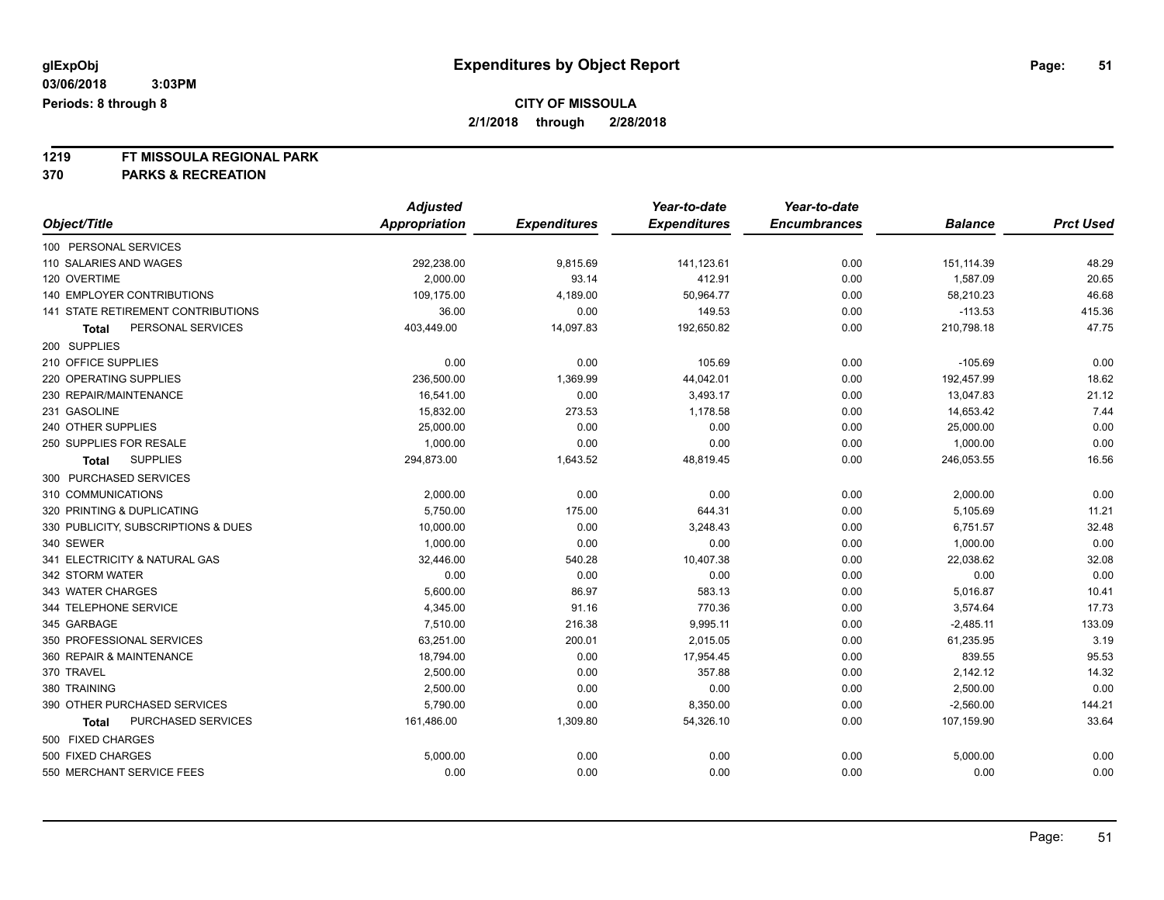# **CITY OF MISSOULA**

**2/1/2018 through 2/28/2018**

# **1219 FT MISSOULA REGIONAL PARK**

**370 PARKS & RECREATION**

|                                     | <b>Adjusted</b> |                     | Year-to-date        | Year-to-date        |                |                  |
|-------------------------------------|-----------------|---------------------|---------------------|---------------------|----------------|------------------|
| Object/Title                        | Appropriation   | <b>Expenditures</b> | <b>Expenditures</b> | <b>Encumbrances</b> | <b>Balance</b> | <b>Prct Used</b> |
| 100 PERSONAL SERVICES               |                 |                     |                     |                     |                |                  |
| 110 SALARIES AND WAGES              | 292,238.00      | 9,815.69            | 141,123.61          | 0.00                | 151,114.39     | 48.29            |
| 120 OVERTIME                        | 2,000.00        | 93.14               | 412.91              | 0.00                | 1,587.09       | 20.65            |
| 140 EMPLOYER CONTRIBUTIONS          | 109,175.00      | 4,189.00            | 50,964.77           | 0.00                | 58,210.23      | 46.68            |
| 141 STATE RETIREMENT CONTRIBUTIONS  | 36.00           | 0.00                | 149.53              | 0.00                | $-113.53$      | 415.36           |
| PERSONAL SERVICES<br><b>Total</b>   | 403,449.00      | 14,097.83           | 192,650.82          | 0.00                | 210,798.18     | 47.75            |
| 200 SUPPLIES                        |                 |                     |                     |                     |                |                  |
| 210 OFFICE SUPPLIES                 | 0.00            | 0.00                | 105.69              | 0.00                | $-105.69$      | 0.00             |
| 220 OPERATING SUPPLIES              | 236,500.00      | 1,369.99            | 44,042.01           | 0.00                | 192,457.99     | 18.62            |
| 230 REPAIR/MAINTENANCE              | 16,541.00       | 0.00                | 3,493.17            | 0.00                | 13,047.83      | 21.12            |
| 231 GASOLINE                        | 15,832.00       | 273.53              | 1,178.58            | 0.00                | 14,653.42      | 7.44             |
| 240 OTHER SUPPLIES                  | 25,000.00       | 0.00                | 0.00                | 0.00                | 25,000.00      | 0.00             |
| 250 SUPPLIES FOR RESALE             | 1,000.00        | 0.00                | 0.00                | 0.00                | 1,000.00       | 0.00             |
| <b>SUPPLIES</b><br><b>Total</b>     | 294,873.00      | 1,643.52            | 48,819.45           | 0.00                | 246,053.55     | 16.56            |
| 300 PURCHASED SERVICES              |                 |                     |                     |                     |                |                  |
| 310 COMMUNICATIONS                  | 2,000.00        | 0.00                | 0.00                | 0.00                | 2,000.00       | 0.00             |
| 320 PRINTING & DUPLICATING          | 5,750.00        | 175.00              | 644.31              | 0.00                | 5,105.69       | 11.21            |
| 330 PUBLICITY, SUBSCRIPTIONS & DUES | 10,000.00       | 0.00                | 3,248.43            | 0.00                | 6,751.57       | 32.48            |
| 340 SEWER                           | 1,000.00        | 0.00                | 0.00                | 0.00                | 1,000.00       | 0.00             |
| 341 ELECTRICITY & NATURAL GAS       | 32,446.00       | 540.28              | 10,407.38           | 0.00                | 22,038.62      | 32.08            |
| 342 STORM WATER                     | 0.00            | 0.00                | 0.00                | 0.00                | 0.00           | 0.00             |
| 343 WATER CHARGES                   | 5,600.00        | 86.97               | 583.13              | 0.00                | 5,016.87       | 10.41            |
| 344 TELEPHONE SERVICE               | 4,345.00        | 91.16               | 770.36              | 0.00                | 3,574.64       | 17.73            |
| 345 GARBAGE                         | 7,510.00        | 216.38              | 9,995.11            | 0.00                | $-2,485.11$    | 133.09           |
| 350 PROFESSIONAL SERVICES           | 63,251.00       | 200.01              | 2,015.05            | 0.00                | 61,235.95      | 3.19             |
| 360 REPAIR & MAINTENANCE            | 18,794.00       | 0.00                | 17,954.45           | 0.00                | 839.55         | 95.53            |
| 370 TRAVEL                          | 2,500.00        | 0.00                | 357.88              | 0.00                | 2,142.12       | 14.32            |
| 380 TRAINING                        | 2,500.00        | 0.00                | 0.00                | 0.00                | 2,500.00       | 0.00             |
| 390 OTHER PURCHASED SERVICES        | 5,790.00        | 0.00                | 8,350.00            | 0.00                | $-2,560.00$    | 144.21           |
| PURCHASED SERVICES<br>Total         | 161,486.00      | 1,309.80            | 54,326.10           | 0.00                | 107,159.90     | 33.64            |
| 500 FIXED CHARGES                   |                 |                     |                     |                     |                |                  |
| 500 FIXED CHARGES                   | 5,000.00        | 0.00                | 0.00                | 0.00                | 5,000.00       | 0.00             |
| 550 MERCHANT SERVICE FEES           | 0.00            | 0.00                | 0.00                | 0.00                | 0.00           | 0.00             |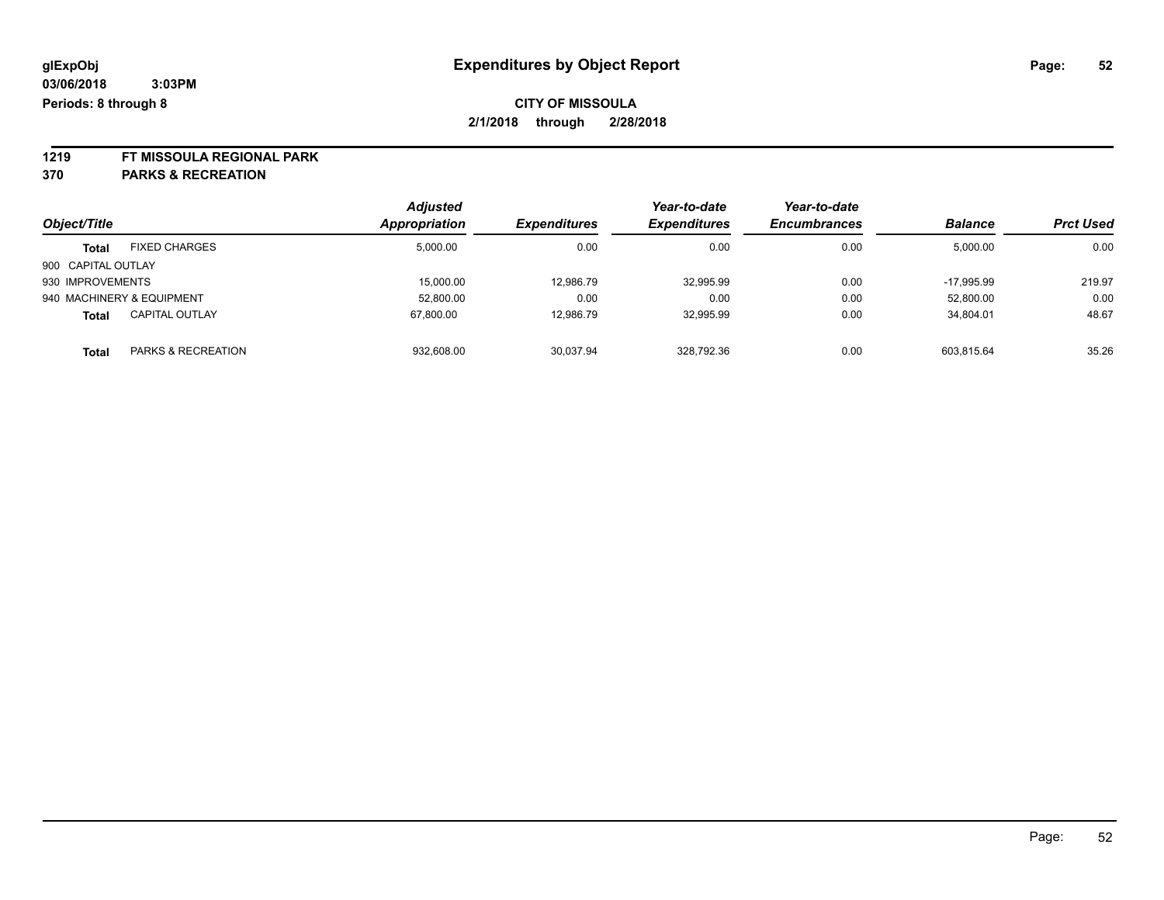# **1219 FT MISSOULA REGIONAL PARK**

**370 PARKS & RECREATION**

|                    |                           | <b>Adjusted</b> |                     | Year-to-date        | Year-to-date        |                |                  |
|--------------------|---------------------------|-----------------|---------------------|---------------------|---------------------|----------------|------------------|
| Object/Title       |                           | Appropriation   | <b>Expenditures</b> | <b>Expenditures</b> | <b>Encumbrances</b> | <b>Balance</b> | <b>Prct Used</b> |
| <b>Total</b>       | <b>FIXED CHARGES</b>      | 5.000.00        | 0.00                | 0.00                | 0.00                | 5,000.00       | 0.00             |
| 900 CAPITAL OUTLAY |                           |                 |                     |                     |                     |                |                  |
| 930 IMPROVEMENTS   |                           | 15,000.00       | 12.986.79           | 32.995.99           | 0.00                | $-17.995.99$   | 219.97           |
|                    | 940 MACHINERY & EQUIPMENT | 52,800.00       | 0.00                | 0.00                | 0.00                | 52,800.00      | 0.00             |
| <b>Total</b>       | <b>CAPITAL OUTLAY</b>     | 67.800.00       | 12,986.79           | 32,995.99           | 0.00                | 34,804.01      | 48.67            |
| <b>Total</b>       | PARKS & RECREATION        | 932,608.00      | 30,037.94           | 328.792.36          | 0.00                | 603.815.64     | 35.26            |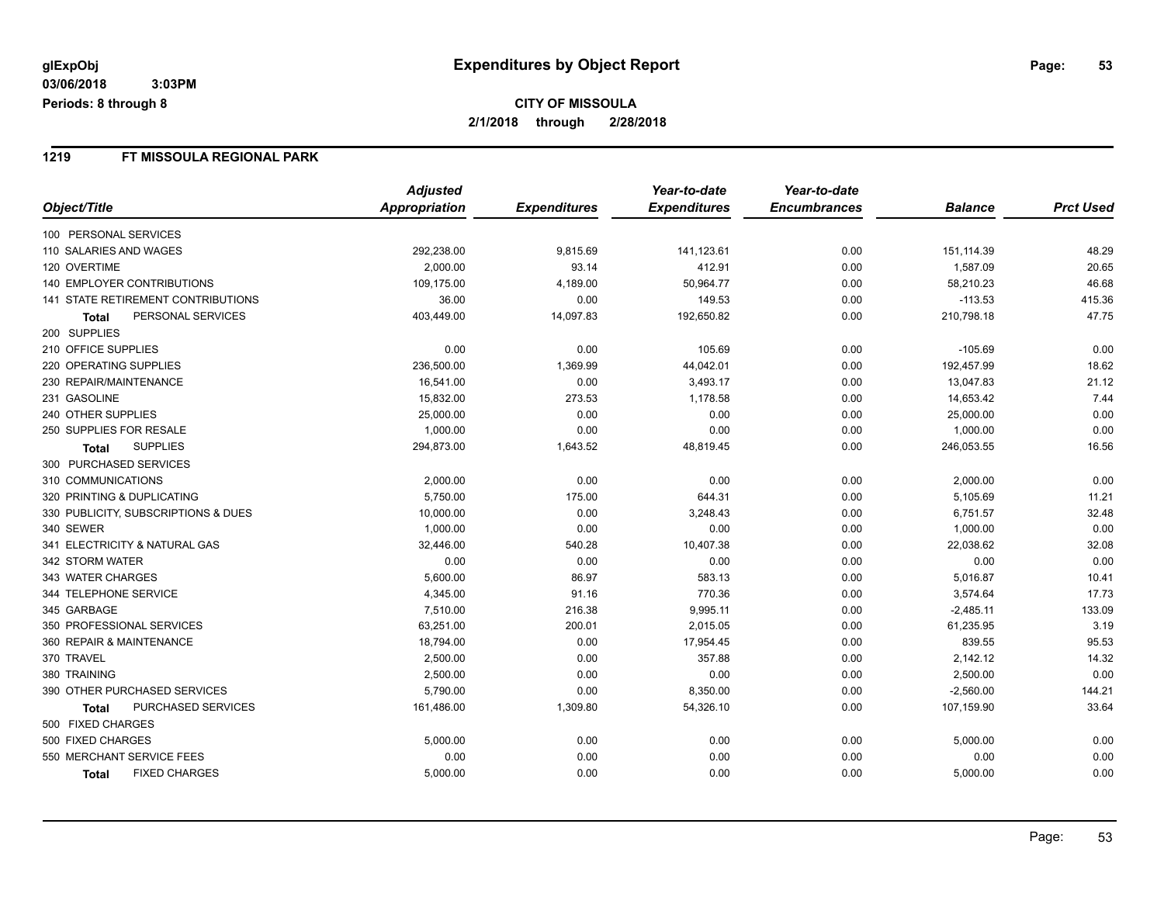### **1219 FT MISSOULA REGIONAL PARK**

|                                           | <b>Adjusted</b> |                     | Year-to-date        | Year-to-date        |                |                  |
|-------------------------------------------|-----------------|---------------------|---------------------|---------------------|----------------|------------------|
| Object/Title                              | Appropriation   | <b>Expenditures</b> | <b>Expenditures</b> | <b>Encumbrances</b> | <b>Balance</b> | <b>Prct Used</b> |
| 100 PERSONAL SERVICES                     |                 |                     |                     |                     |                |                  |
| 110 SALARIES AND WAGES                    | 292,238.00      | 9,815.69            | 141,123.61          | 0.00                | 151,114.39     | 48.29            |
| 120 OVERTIME                              | 2,000.00        | 93.14               | 412.91              | 0.00                | 1,587.09       | 20.65            |
| <b>140 EMPLOYER CONTRIBUTIONS</b>         | 109,175.00      | 4,189.00            | 50,964.77           | 0.00                | 58,210.23      | 46.68            |
| <b>141 STATE RETIREMENT CONTRIBUTIONS</b> | 36.00           | 0.00                | 149.53              | 0.00                | $-113.53$      | 415.36           |
| PERSONAL SERVICES<br>Total                | 403,449.00      | 14,097.83           | 192,650.82          | 0.00                | 210,798.18     | 47.75            |
| 200 SUPPLIES                              |                 |                     |                     |                     |                |                  |
| 210 OFFICE SUPPLIES                       | 0.00            | 0.00                | 105.69              | 0.00                | $-105.69$      | 0.00             |
| 220 OPERATING SUPPLIES                    | 236,500.00      | 1,369.99            | 44,042.01           | 0.00                | 192,457.99     | 18.62            |
| 230 REPAIR/MAINTENANCE                    | 16,541.00       | 0.00                | 3,493.17            | 0.00                | 13,047.83      | 21.12            |
| 231 GASOLINE                              | 15,832.00       | 273.53              | 1,178.58            | 0.00                | 14,653.42      | 7.44             |
| 240 OTHER SUPPLIES                        | 25,000.00       | 0.00                | 0.00                | 0.00                | 25,000.00      | 0.00             |
| 250 SUPPLIES FOR RESALE                   | 1,000.00        | 0.00                | 0.00                | 0.00                | 1,000.00       | 0.00             |
| <b>SUPPLIES</b><br>Total                  | 294,873.00      | 1,643.52            | 48,819.45           | 0.00                | 246,053.55     | 16.56            |
| 300 PURCHASED SERVICES                    |                 |                     |                     |                     |                |                  |
| 310 COMMUNICATIONS                        | 2,000.00        | 0.00                | 0.00                | 0.00                | 2,000.00       | 0.00             |
| 320 PRINTING & DUPLICATING                | 5,750.00        | 175.00              | 644.31              | 0.00                | 5,105.69       | 11.21            |
| 330 PUBLICITY, SUBSCRIPTIONS & DUES       | 10,000.00       | 0.00                | 3,248.43            | 0.00                | 6,751.57       | 32.48            |
| 340 SEWER                                 | 1,000.00        | 0.00                | 0.00                | 0.00                | 1,000.00       | 0.00             |
| 341 ELECTRICITY & NATURAL GAS             | 32,446.00       | 540.28              | 10,407.38           | 0.00                | 22,038.62      | 32.08            |
| 342 STORM WATER                           | 0.00            | 0.00                | 0.00                | 0.00                | 0.00           | 0.00             |
| 343 WATER CHARGES                         | 5,600.00        | 86.97               | 583.13              | 0.00                | 5,016.87       | 10.41            |
| 344 TELEPHONE SERVICE                     | 4,345.00        | 91.16               | 770.36              | 0.00                | 3,574.64       | 17.73            |
| 345 GARBAGE                               | 7,510.00        | 216.38              | 9,995.11            | 0.00                | $-2,485.11$    | 133.09           |
| 350 PROFESSIONAL SERVICES                 | 63,251.00       | 200.01              | 2,015.05            | 0.00                | 61,235.95      | 3.19             |
| 360 REPAIR & MAINTENANCE                  | 18,794.00       | 0.00                | 17,954.45           | 0.00                | 839.55         | 95.53            |
| 370 TRAVEL                                | 2,500.00        | 0.00                | 357.88              | 0.00                | 2,142.12       | 14.32            |
| 380 TRAINING                              | 2,500.00        | 0.00                | 0.00                | 0.00                | 2,500.00       | 0.00             |
| 390 OTHER PURCHASED SERVICES              | 5,790.00        | 0.00                | 8,350.00            | 0.00                | $-2,560.00$    | 144.21           |
| PURCHASED SERVICES<br>Total               | 161,486.00      | 1,309.80            | 54,326.10           | 0.00                | 107,159.90     | 33.64            |
| 500 FIXED CHARGES                         |                 |                     |                     |                     |                |                  |
| 500 FIXED CHARGES                         | 5,000.00        | 0.00                | 0.00                | 0.00                | 5,000.00       | 0.00             |
| 550 MERCHANT SERVICE FEES                 | 0.00            | 0.00                | 0.00                | 0.00                | 0.00           | 0.00             |
| <b>FIXED CHARGES</b><br>Total             | 5,000.00        | 0.00                | 0.00                | 0.00                | 5,000.00       | 0.00             |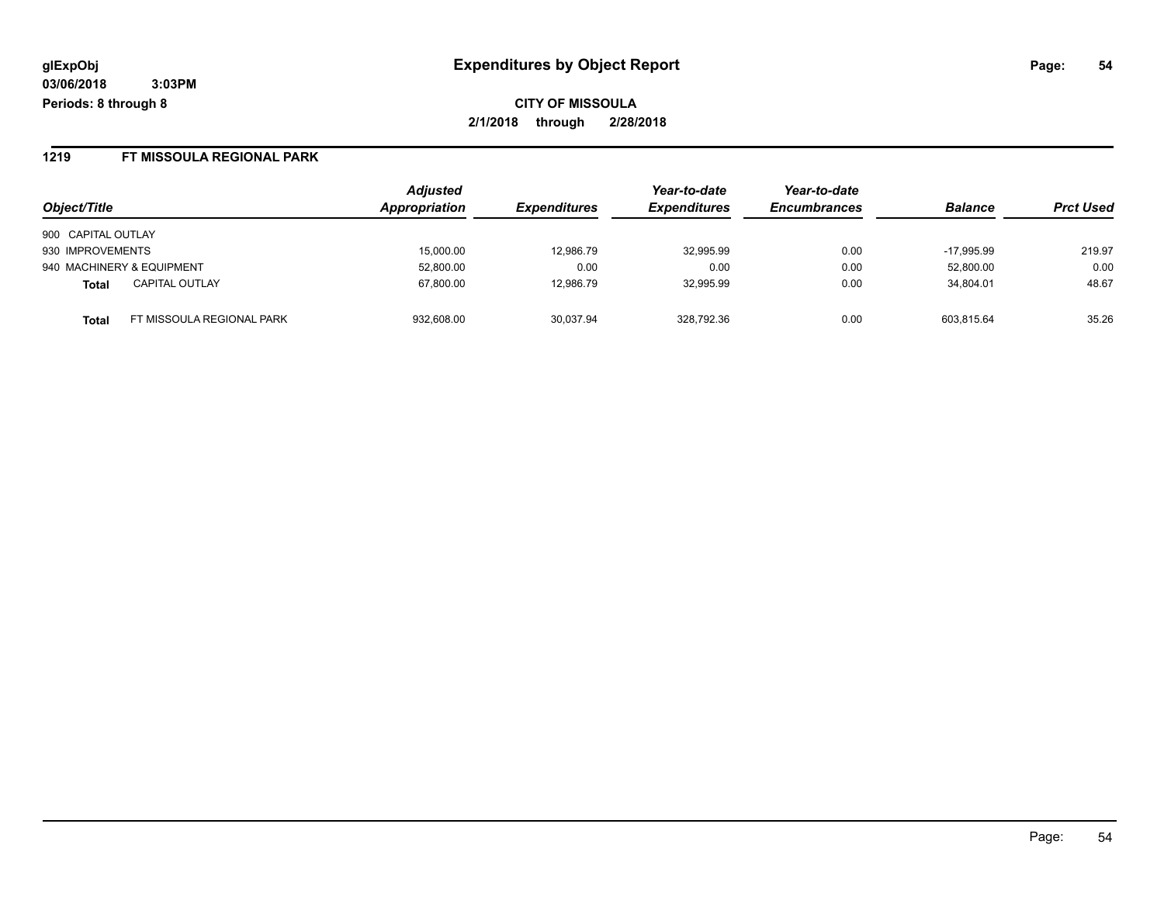**CITY OF MISSOULA 2/1/2018 through 2/28/2018**

#### **1219 FT MISSOULA REGIONAL PARK**

| Object/Title                              | <b>Adjusted</b><br>Appropriation | <b>Expenditures</b> | Year-to-date<br><b>Expenditures</b> | Year-to-date<br><b>Encumbrances</b> | <b>Balance</b> | <b>Prct Used</b> |
|-------------------------------------------|----------------------------------|---------------------|-------------------------------------|-------------------------------------|----------------|------------------|
| 900 CAPITAL OUTLAY                        |                                  |                     |                                     |                                     |                |                  |
| 930 IMPROVEMENTS                          | 15,000.00                        | 12,986.79           | 32.995.99                           | 0.00                                | $-17.995.99$   | 219.97           |
| 940 MACHINERY & EQUIPMENT                 | 52,800.00                        | 0.00                | 0.00                                | 0.00                                | 52,800.00      | 0.00             |
| <b>CAPITAL OUTLAY</b><br><b>Total</b>     | 67.800.00                        | 12,986.79           | 32.995.99                           | 0.00                                | 34.804.01      | 48.67            |
| FT MISSOULA REGIONAL PARK<br><b>Total</b> | 932.608.00                       | 30.037.94           | 328.792.36                          | 0.00                                | 603.815.64     | 35.26            |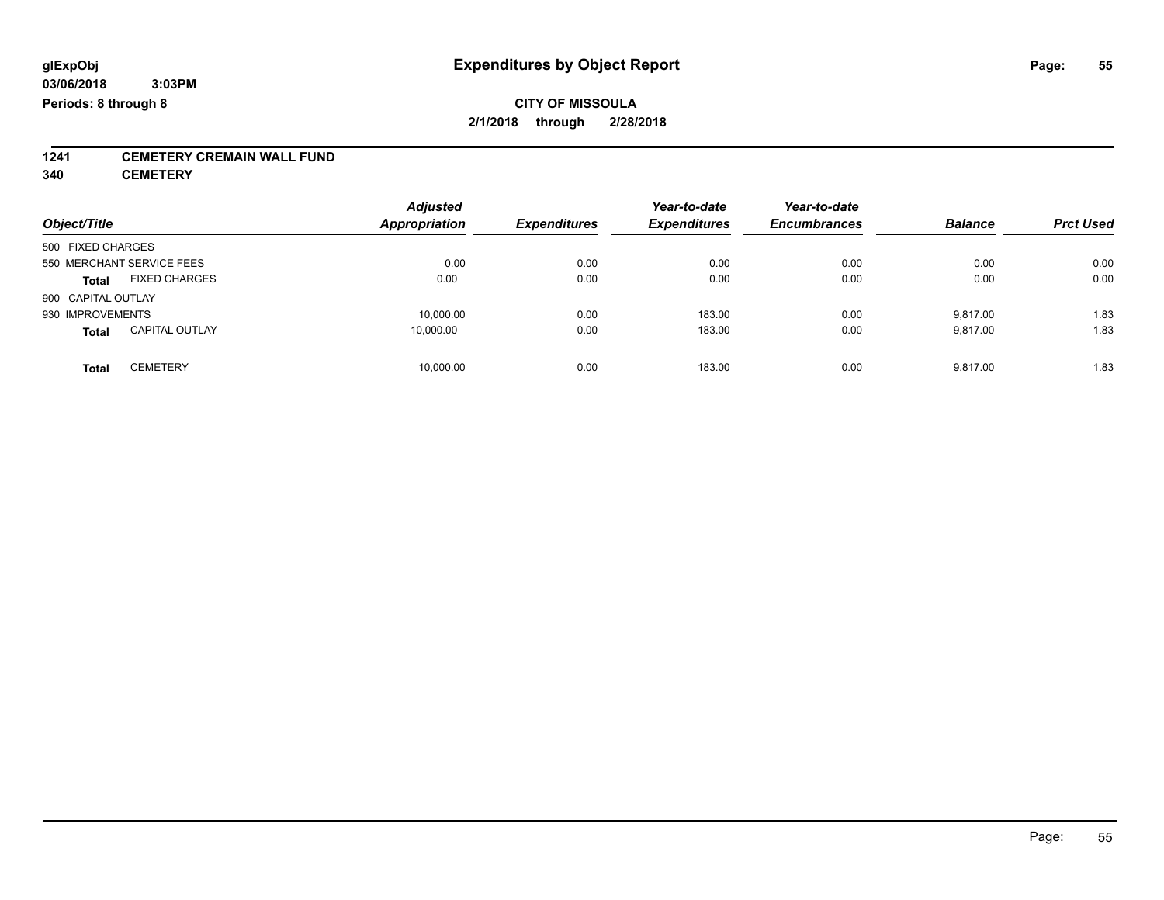# **1241 CEMETERY CREMAIN WALL FUND**

**340 CEMETERY**

| Object/Title       |                           | <b>Adjusted</b><br><b>Appropriation</b> | <b>Expenditures</b> | Year-to-date<br><b>Expenditures</b> | Year-to-date<br><b>Encumbrances</b> | <b>Balance</b> | <b>Prct Used</b> |
|--------------------|---------------------------|-----------------------------------------|---------------------|-------------------------------------|-------------------------------------|----------------|------------------|
|                    |                           |                                         |                     |                                     |                                     |                |                  |
| 500 FIXED CHARGES  |                           |                                         |                     |                                     |                                     |                |                  |
|                    | 550 MERCHANT SERVICE FEES | 0.00                                    | 0.00                | 0.00                                | 0.00                                | 0.00           | 0.00             |
| <b>Total</b>       | <b>FIXED CHARGES</b>      | 0.00                                    | 0.00                | 0.00                                | 0.00                                | 0.00           | 0.00             |
| 900 CAPITAL OUTLAY |                           |                                         |                     |                                     |                                     |                |                  |
| 930 IMPROVEMENTS   |                           | 10.000.00                               | 0.00                | 183.00                              | 0.00                                | 9.817.00       | 1.83             |
| <b>Total</b>       | <b>CAPITAL OUTLAY</b>     | 10,000.00                               | 0.00                | 183.00                              | 0.00                                | 9,817.00       | 1.83             |
| <b>Total</b>       | <b>CEMETERY</b>           | 10,000.00                               | 0.00                | 183.00                              | 0.00                                | 9.817.00       | 1.83             |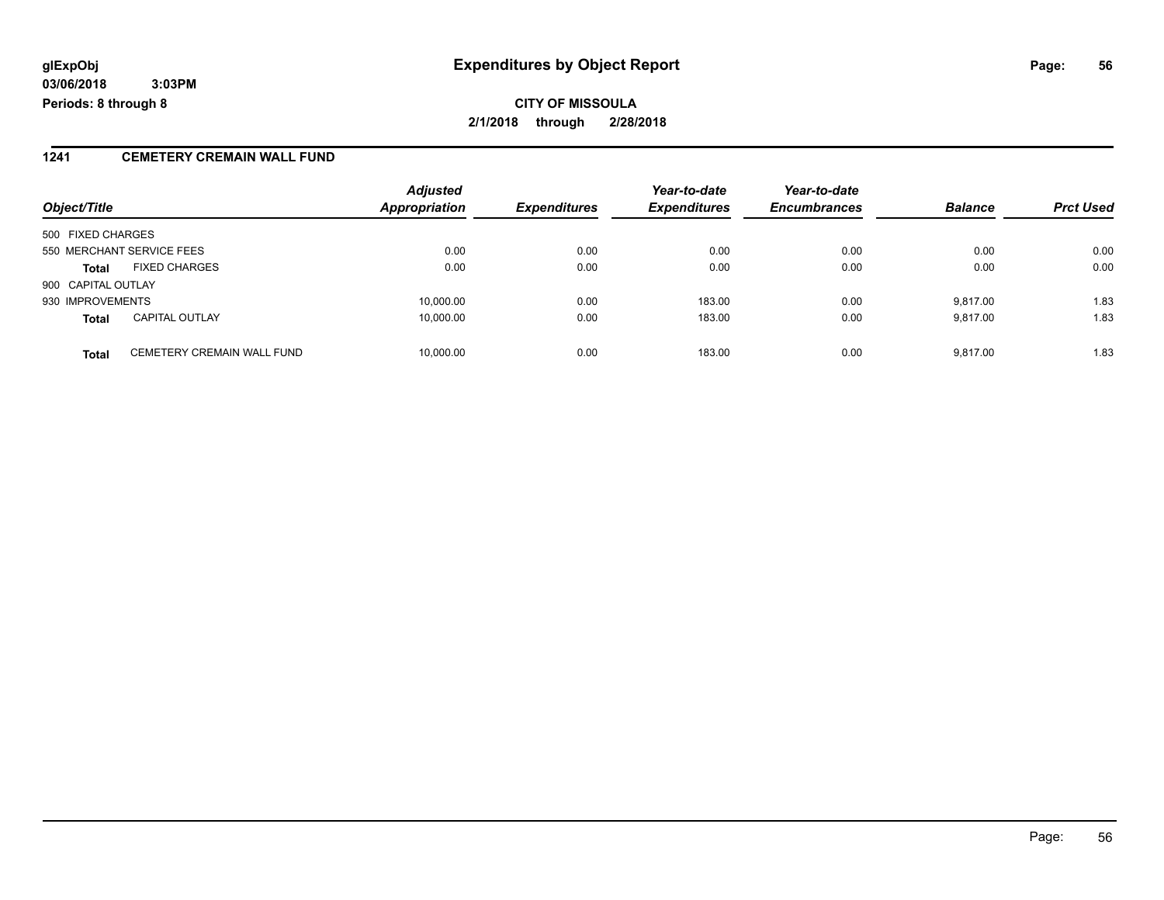### **1241 CEMETERY CREMAIN WALL FUND**

|                    |                                   | <b>Adjusted</b>      |                     | Year-to-date        | Year-to-date        |                |                  |
|--------------------|-----------------------------------|----------------------|---------------------|---------------------|---------------------|----------------|------------------|
| Object/Title       |                                   | <b>Appropriation</b> | <b>Expenditures</b> | <b>Expenditures</b> | <b>Encumbrances</b> | <b>Balance</b> | <b>Prct Used</b> |
| 500 FIXED CHARGES  |                                   |                      |                     |                     |                     |                |                  |
|                    | 550 MERCHANT SERVICE FEES         | 0.00                 | 0.00                | 0.00                | 0.00                | 0.00           | 0.00             |
| <b>Total</b>       | <b>FIXED CHARGES</b>              | 0.00                 | 0.00                | 0.00                | 0.00                | 0.00           | 0.00             |
| 900 CAPITAL OUTLAY |                                   |                      |                     |                     |                     |                |                  |
| 930 IMPROVEMENTS   |                                   | 10,000.00            | 0.00                | 183.00              | 0.00                | 9.817.00       | 1.83             |
| <b>Total</b>       | <b>CAPITAL OUTLAY</b>             | 10,000.00            | 0.00                | 183.00              | 0.00                | 9.817.00       | 1.83             |
| <b>Total</b>       | <b>CEMETERY CREMAIN WALL FUND</b> | 10,000.00            | 0.00                | 183.00              | 0.00                | 9,817.00       | 1.83             |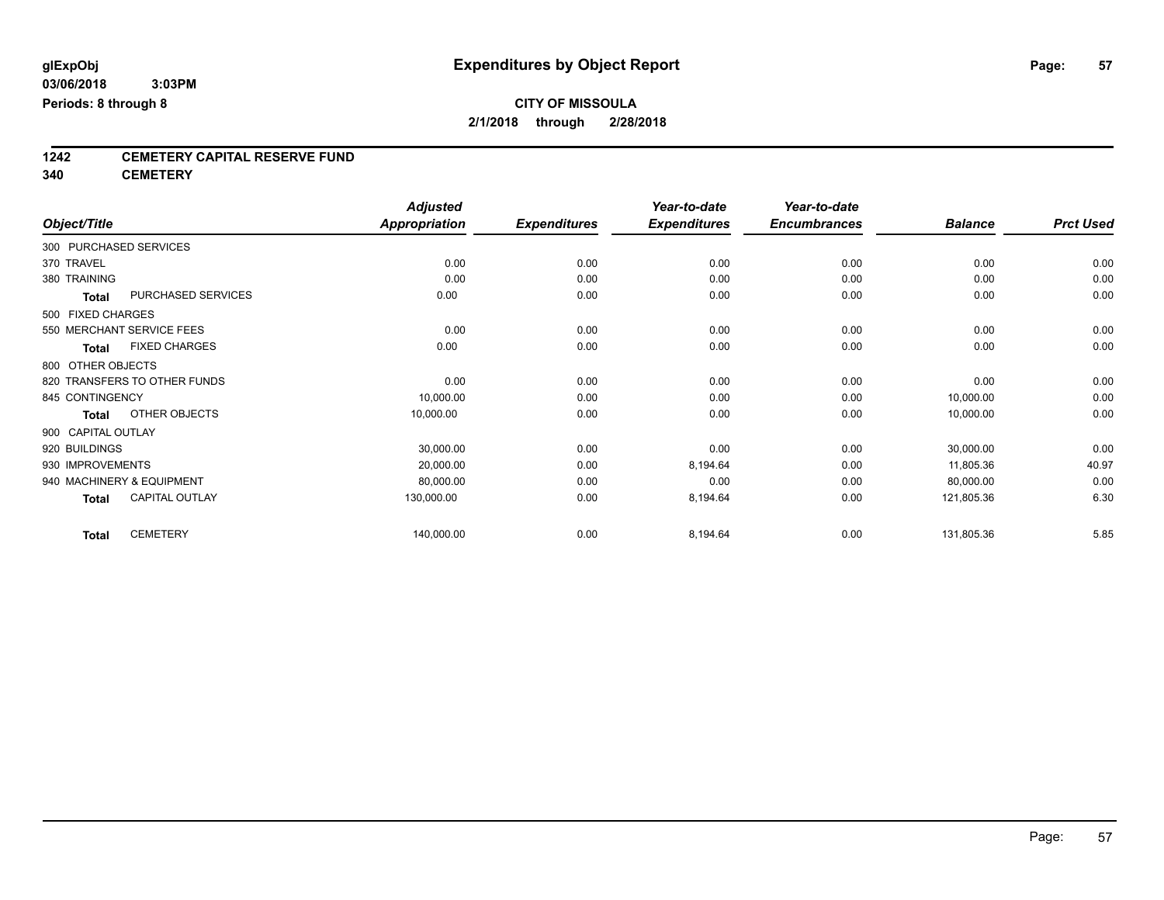# **1242 CEMETERY CAPITAL RESERVE FUND**

**340 CEMETERY**

|                           |                              | <b>Adjusted</b>      |                     | Year-to-date        | Year-to-date        |                |                  |
|---------------------------|------------------------------|----------------------|---------------------|---------------------|---------------------|----------------|------------------|
| Object/Title              |                              | <b>Appropriation</b> | <b>Expenditures</b> | <b>Expenditures</b> | <b>Encumbrances</b> | <b>Balance</b> | <b>Prct Used</b> |
| 300 PURCHASED SERVICES    |                              |                      |                     |                     |                     |                |                  |
| 370 TRAVEL                |                              | 0.00                 | 0.00                | 0.00                | 0.00                | 0.00           | 0.00             |
| 380 TRAINING              |                              | 0.00                 | 0.00                | 0.00                | 0.00                | 0.00           | 0.00             |
| <b>Total</b>              | PURCHASED SERVICES           | 0.00                 | 0.00                | 0.00                | 0.00                | 0.00           | 0.00             |
| 500 FIXED CHARGES         |                              |                      |                     |                     |                     |                |                  |
| 550 MERCHANT SERVICE FEES |                              | 0.00                 | 0.00                | 0.00                | 0.00                | 0.00           | 0.00             |
| <b>Total</b>              | <b>FIXED CHARGES</b>         | 0.00                 | 0.00                | 0.00                | 0.00                | 0.00           | 0.00             |
| 800 OTHER OBJECTS         |                              |                      |                     |                     |                     |                |                  |
|                           | 820 TRANSFERS TO OTHER FUNDS | 0.00                 | 0.00                | 0.00                | 0.00                | 0.00           | 0.00             |
| 845 CONTINGENCY           |                              | 10,000.00            | 0.00                | 0.00                | 0.00                | 10,000.00      | 0.00             |
| <b>Total</b>              | OTHER OBJECTS                | 10,000.00            | 0.00                | 0.00                | 0.00                | 10,000.00      | 0.00             |
| 900 CAPITAL OUTLAY        |                              |                      |                     |                     |                     |                |                  |
| 920 BUILDINGS             |                              | 30,000.00            | 0.00                | 0.00                | 0.00                | 30,000.00      | 0.00             |
| 930 IMPROVEMENTS          |                              | 20,000.00            | 0.00                | 8,194.64            | 0.00                | 11,805.36      | 40.97            |
| 940 MACHINERY & EQUIPMENT |                              | 80,000.00            | 0.00                | 0.00                | 0.00                | 80,000.00      | 0.00             |
| <b>Total</b>              | <b>CAPITAL OUTLAY</b>        | 130,000.00           | 0.00                | 8,194.64            | 0.00                | 121,805.36     | 6.30             |
| <b>Total</b>              | <b>CEMETERY</b>              | 140,000.00           | 0.00                | 8,194.64            | 0.00                | 131,805.36     | 5.85             |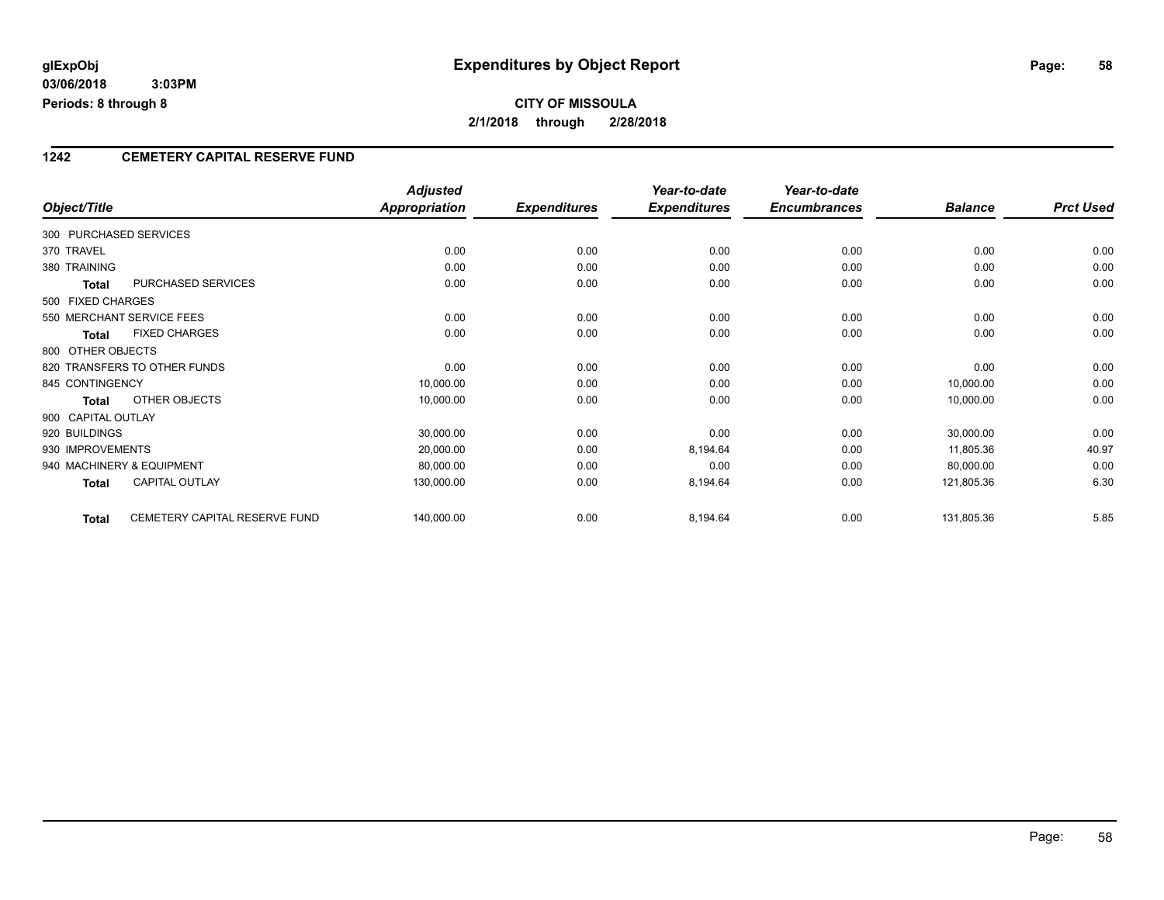## **CITY OF MISSOULA 2/1/2018 through 2/28/2018**

### **1242 CEMETERY CAPITAL RESERVE FUND**

|                        |                               | <b>Adjusted</b>      |                     | Year-to-date        | Year-to-date        |                |                  |
|------------------------|-------------------------------|----------------------|---------------------|---------------------|---------------------|----------------|------------------|
| Object/Title           |                               | <b>Appropriation</b> | <b>Expenditures</b> | <b>Expenditures</b> | <b>Encumbrances</b> | <b>Balance</b> | <b>Prct Used</b> |
| 300 PURCHASED SERVICES |                               |                      |                     |                     |                     |                |                  |
| 370 TRAVEL             |                               | 0.00                 | 0.00                | 0.00                | 0.00                | 0.00           | 0.00             |
| 380 TRAINING           |                               | 0.00                 | 0.00                | 0.00                | 0.00                | 0.00           | 0.00             |
| <b>Total</b>           | PURCHASED SERVICES            | 0.00                 | 0.00                | 0.00                | 0.00                | 0.00           | 0.00             |
| 500 FIXED CHARGES      |                               |                      |                     |                     |                     |                |                  |
|                        | 550 MERCHANT SERVICE FEES     | 0.00                 | 0.00                | 0.00                | 0.00                | 0.00           | 0.00             |
| <b>Total</b>           | <b>FIXED CHARGES</b>          | 0.00                 | 0.00                | 0.00                | 0.00                | 0.00           | 0.00             |
| 800 OTHER OBJECTS      |                               |                      |                     |                     |                     |                |                  |
|                        | 820 TRANSFERS TO OTHER FUNDS  | 0.00                 | 0.00                | 0.00                | 0.00                | 0.00           | 0.00             |
| 845 CONTINGENCY        |                               | 10,000.00            | 0.00                | 0.00                | 0.00                | 10,000.00      | 0.00             |
| <b>Total</b>           | OTHER OBJECTS                 | 10,000.00            | 0.00                | 0.00                | 0.00                | 10,000.00      | 0.00             |
| 900 CAPITAL OUTLAY     |                               |                      |                     |                     |                     |                |                  |
| 920 BUILDINGS          |                               | 30,000.00            | 0.00                | 0.00                | 0.00                | 30,000.00      | 0.00             |
| 930 IMPROVEMENTS       |                               | 20,000.00            | 0.00                | 8,194.64            | 0.00                | 11,805.36      | 40.97            |
|                        | 940 MACHINERY & EQUIPMENT     | 80,000.00            | 0.00                | 0.00                | 0.00                | 80,000.00      | 0.00             |
| <b>Total</b>           | <b>CAPITAL OUTLAY</b>         | 130,000.00           | 0.00                | 8,194.64            | 0.00                | 121,805.36     | 6.30             |
| <b>Total</b>           | CEMETERY CAPITAL RESERVE FUND | 140,000.00           | 0.00                | 8,194.64            | 0.00                | 131,805.36     | 5.85             |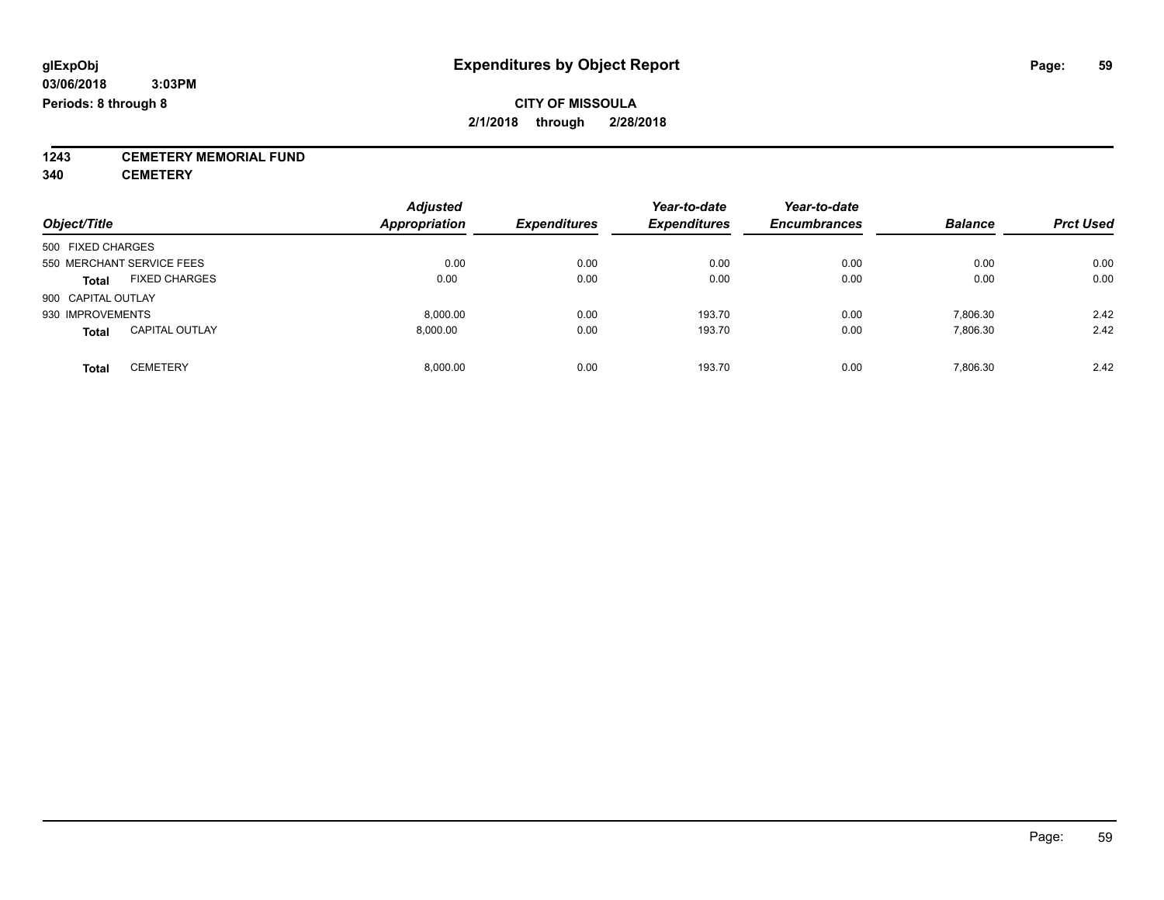**1243 CEMETERY MEMORIAL FUND**

**340 CEMETERY**

| Object/Title                          | <b>Adjusted</b><br><b>Appropriation</b> | <b>Expenditures</b> | Year-to-date<br><b>Expenditures</b> | Year-to-date<br><b>Encumbrances</b> | <b>Balance</b> | <b>Prct Used</b> |
|---------------------------------------|-----------------------------------------|---------------------|-------------------------------------|-------------------------------------|----------------|------------------|
| 500 FIXED CHARGES                     |                                         |                     |                                     |                                     |                |                  |
| 550 MERCHANT SERVICE FEES             | 0.00                                    | 0.00                | 0.00                                | 0.00                                | 0.00           | 0.00             |
| <b>FIXED CHARGES</b><br><b>Total</b>  | 0.00                                    | 0.00                | 0.00                                | 0.00                                | 0.00           | 0.00             |
| 900 CAPITAL OUTLAY                    |                                         |                     |                                     |                                     |                |                  |
| 930 IMPROVEMENTS                      | 8.000.00                                | 0.00                | 193.70                              | 0.00                                | 7,806.30       | 2.42             |
| <b>CAPITAL OUTLAY</b><br><b>Total</b> | 8.000.00                                | 0.00                | 193.70                              | 0.00                                | 7,806.30       | 2.42             |
| <b>CEMETERY</b><br>Total              | 8.000.00                                | 0.00                | 193.70                              | 0.00                                | 7.806.30       | 2.42             |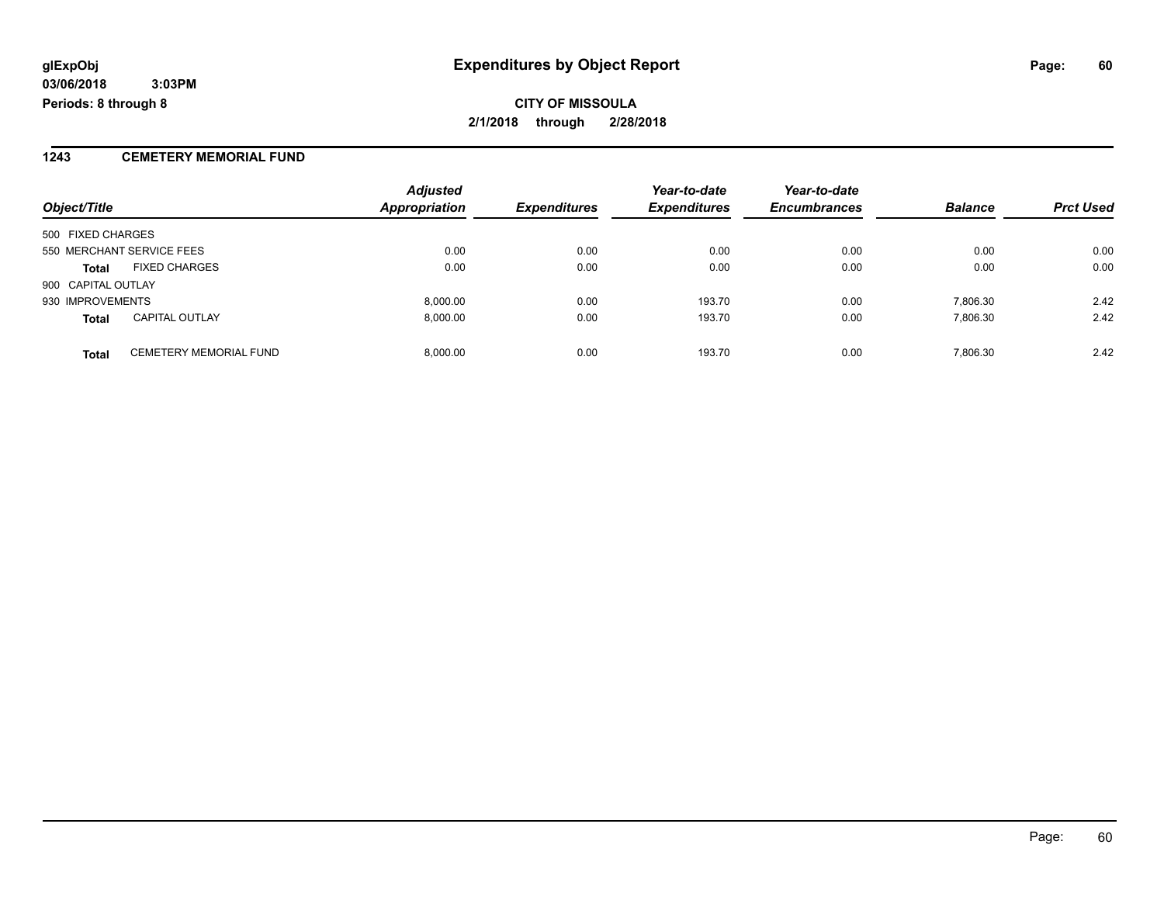#### **1243 CEMETERY MEMORIAL FUND**

|                    |                               | <b>Adjusted</b>      |                     | Year-to-date        | Year-to-date        |                |                  |
|--------------------|-------------------------------|----------------------|---------------------|---------------------|---------------------|----------------|------------------|
| Object/Title       |                               | <b>Appropriation</b> | <b>Expenditures</b> | <b>Expenditures</b> | <b>Encumbrances</b> | <b>Balance</b> | <b>Prct Used</b> |
| 500 FIXED CHARGES  |                               |                      |                     |                     |                     |                |                  |
|                    | 550 MERCHANT SERVICE FEES     | 0.00                 | 0.00                | 0.00                | 0.00                | 0.00           | 0.00             |
| <b>Total</b>       | <b>FIXED CHARGES</b>          | 0.00                 | 0.00                | 0.00                | 0.00                | 0.00           | 0.00             |
| 900 CAPITAL OUTLAY |                               |                      |                     |                     |                     |                |                  |
| 930 IMPROVEMENTS   |                               | 8.000.00             | 0.00                | 193.70              | 0.00                | 7.806.30       | 2.42             |
| <b>Total</b>       | <b>CAPITAL OUTLAY</b>         | 8.000.00             | 0.00                | 193.70              | 0.00                | 7.806.30       | 2.42             |
| <b>Total</b>       | <b>CEMETERY MEMORIAL FUND</b> | 8,000.00             | 0.00                | 193.70              | 0.00                | 7,806.30       | 2.42             |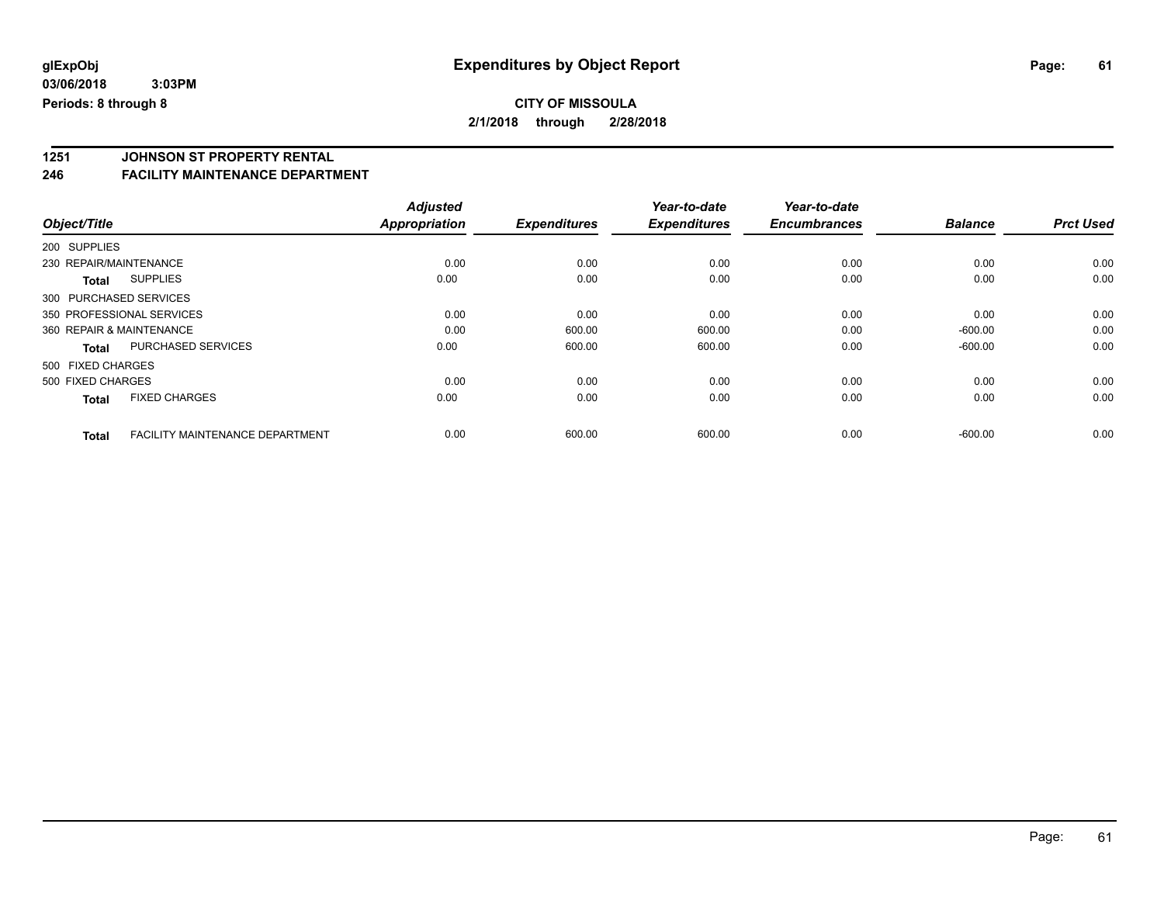### **CITY OF MISSOULA 2/1/2018 through 2/28/2018**

# **1251 JOHNSON ST PROPERTY RENTAL**

### **246 FACILITY MAINTENANCE DEPARTMENT**

|                          |                                        | <b>Adjusted</b>      |                     | Year-to-date        | Year-to-date        |                |                  |
|--------------------------|----------------------------------------|----------------------|---------------------|---------------------|---------------------|----------------|------------------|
| Object/Title             |                                        | <b>Appropriation</b> | <b>Expenditures</b> | <b>Expenditures</b> | <b>Encumbrances</b> | <b>Balance</b> | <b>Prct Used</b> |
| 200 SUPPLIES             |                                        |                      |                     |                     |                     |                |                  |
| 230 REPAIR/MAINTENANCE   |                                        | 0.00                 | 0.00                | 0.00                | 0.00                | 0.00           | 0.00             |
| <b>Total</b>             | <b>SUPPLIES</b>                        | 0.00                 | 0.00                | 0.00                | 0.00                | 0.00           | 0.00             |
| 300 PURCHASED SERVICES   |                                        |                      |                     |                     |                     |                |                  |
|                          | 350 PROFESSIONAL SERVICES              | 0.00                 | 0.00                | 0.00                | 0.00                | 0.00           | 0.00             |
| 360 REPAIR & MAINTENANCE |                                        | 0.00                 | 600.00              | 600.00              | 0.00                | $-600.00$      | 0.00             |
| <b>Total</b>             | <b>PURCHASED SERVICES</b>              | 0.00                 | 600.00              | 600.00              | 0.00                | $-600.00$      | 0.00             |
| 500 FIXED CHARGES        |                                        |                      |                     |                     |                     |                |                  |
| 500 FIXED CHARGES        |                                        | 0.00                 | 0.00                | 0.00                | 0.00                | 0.00           | 0.00             |
| <b>Total</b>             | <b>FIXED CHARGES</b>                   | 0.00                 | 0.00                | 0.00                | 0.00                | 0.00           | 0.00             |
| <b>Total</b>             | <b>FACILITY MAINTENANCE DEPARTMENT</b> | 0.00                 | 600.00              | 600.00              | 0.00                | $-600.00$      | 0.00             |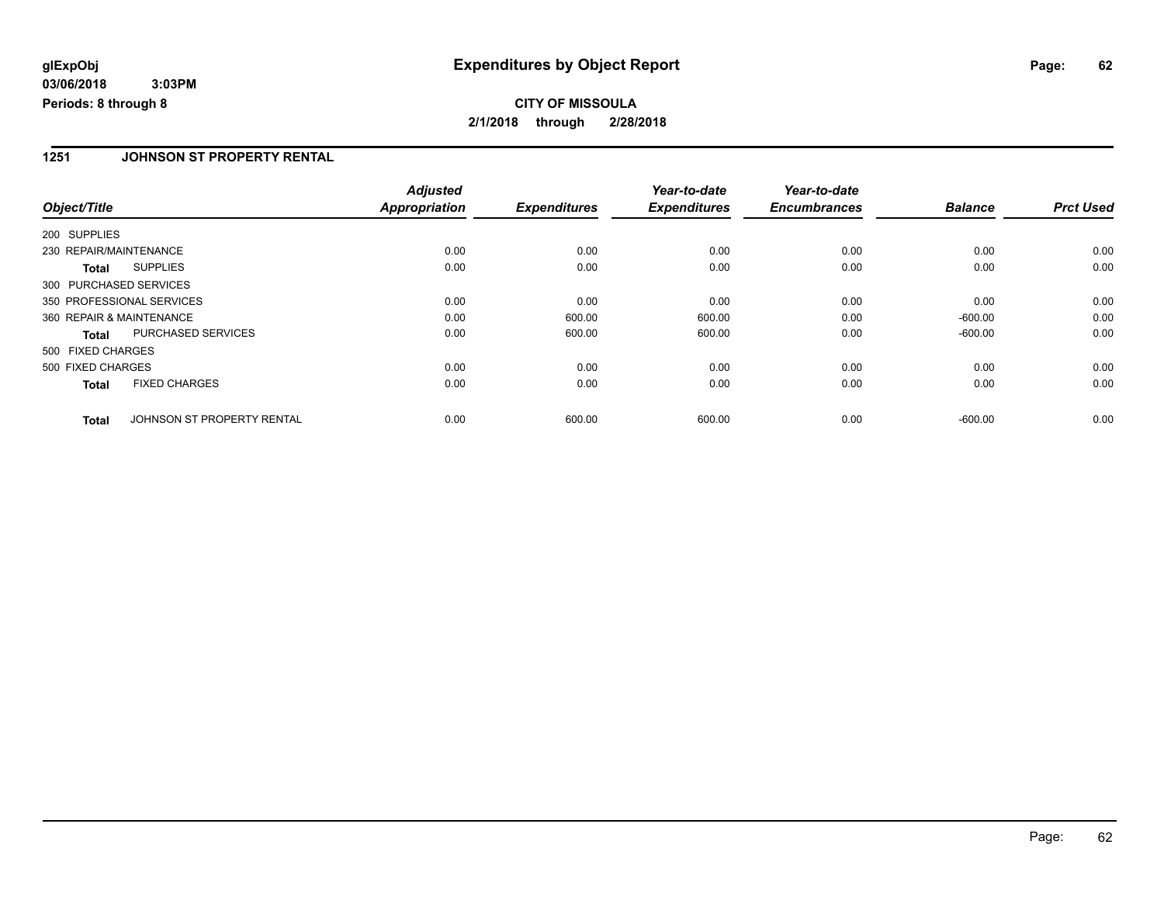### **1251 JOHNSON ST PROPERTY RENTAL**

|                           |                            | <b>Adjusted</b>      |                     | Year-to-date        | Year-to-date        |                |                  |
|---------------------------|----------------------------|----------------------|---------------------|---------------------|---------------------|----------------|------------------|
| Object/Title              |                            | <b>Appropriation</b> | <b>Expenditures</b> | <b>Expenditures</b> | <b>Encumbrances</b> | <b>Balance</b> | <b>Prct Used</b> |
| 200 SUPPLIES              |                            |                      |                     |                     |                     |                |                  |
| 230 REPAIR/MAINTENANCE    |                            | 0.00                 | 0.00                | 0.00                | 0.00                | 0.00           | 0.00             |
| <b>Total</b>              | <b>SUPPLIES</b>            | 0.00                 | 0.00                | 0.00                | 0.00                | 0.00           | 0.00             |
| 300 PURCHASED SERVICES    |                            |                      |                     |                     |                     |                |                  |
| 350 PROFESSIONAL SERVICES |                            | 0.00                 | 0.00                | 0.00                | 0.00                | 0.00           | 0.00             |
| 360 REPAIR & MAINTENANCE  |                            | 0.00                 | 600.00              | 600.00              | 0.00                | $-600.00$      | 0.00             |
| Total                     | PURCHASED SERVICES         | 0.00                 | 600.00              | 600.00              | 0.00                | $-600.00$      | 0.00             |
| 500 FIXED CHARGES         |                            |                      |                     |                     |                     |                |                  |
| 500 FIXED CHARGES         |                            | 0.00                 | 0.00                | 0.00                | 0.00                | 0.00           | 0.00             |
| <b>Total</b>              | <b>FIXED CHARGES</b>       | 0.00                 | 0.00                | 0.00                | 0.00                | 0.00           | 0.00             |
| <b>Total</b>              | JOHNSON ST PROPERTY RENTAL | 0.00                 | 600.00              | 600.00              | 0.00                | $-600.00$      | 0.00             |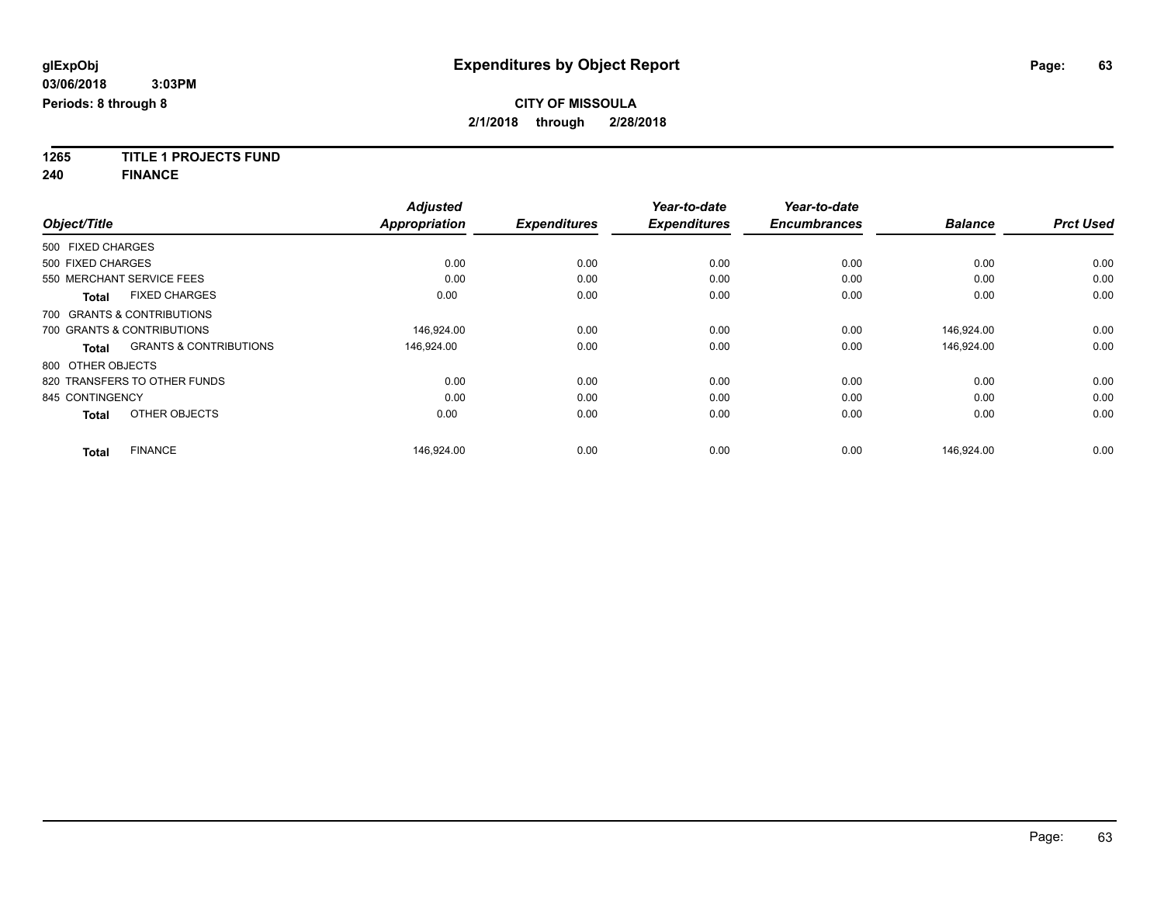**1265 TITLE 1 PROJECTS FUND**

**240 FINANCE**

| Object/Title      |                                   | <b>Adjusted</b><br><b>Appropriation</b> | <b>Expenditures</b> | Year-to-date<br><b>Expenditures</b> | Year-to-date<br><b>Encumbrances</b> | <b>Balance</b> | <b>Prct Used</b> |
|-------------------|-----------------------------------|-----------------------------------------|---------------------|-------------------------------------|-------------------------------------|----------------|------------------|
|                   |                                   |                                         |                     |                                     |                                     |                |                  |
| 500 FIXED CHARGES |                                   |                                         |                     |                                     |                                     |                |                  |
| 500 FIXED CHARGES |                                   | 0.00                                    | 0.00                | 0.00                                | 0.00                                | 0.00           | 0.00             |
|                   | 550 MERCHANT SERVICE FEES         | 0.00                                    | 0.00                | 0.00                                | 0.00                                | 0.00           | 0.00             |
| <b>Total</b>      | <b>FIXED CHARGES</b>              | 0.00                                    | 0.00                | 0.00                                | 0.00                                | 0.00           | 0.00             |
|                   | 700 GRANTS & CONTRIBUTIONS        |                                         |                     |                                     |                                     |                |                  |
|                   | 700 GRANTS & CONTRIBUTIONS        | 146.924.00                              | 0.00                | 0.00                                | 0.00                                | 146.924.00     | 0.00             |
| <b>Total</b>      | <b>GRANTS &amp; CONTRIBUTIONS</b> | 146,924.00                              | 0.00                | 0.00                                | 0.00                                | 146,924.00     | 0.00             |
| 800 OTHER OBJECTS |                                   |                                         |                     |                                     |                                     |                |                  |
|                   | 820 TRANSFERS TO OTHER FUNDS      | 0.00                                    | 0.00                | 0.00                                | 0.00                                | 0.00           | 0.00             |
| 845 CONTINGENCY   |                                   | 0.00                                    | 0.00                | 0.00                                | 0.00                                | 0.00           | 0.00             |
| <b>Total</b>      | OTHER OBJECTS                     | 0.00                                    | 0.00                | 0.00                                | 0.00                                | 0.00           | 0.00             |
| <b>Total</b>      | <b>FINANCE</b>                    | 146.924.00                              | 0.00                | 0.00                                | 0.00                                | 146.924.00     | 0.00             |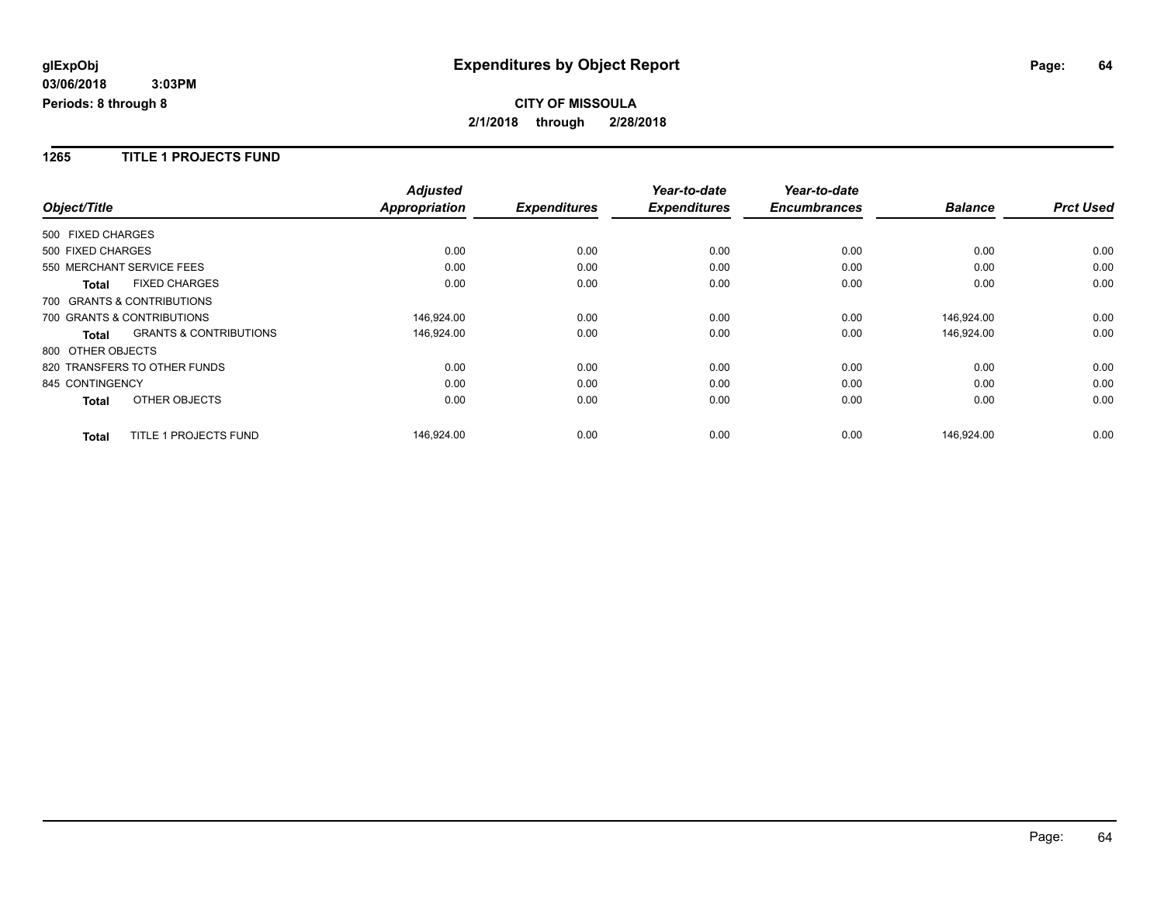#### **1265 TITLE 1 PROJECTS FUND**

|                              |                                   | <b>Adjusted</b>      |                     | Year-to-date        | Year-to-date        |                |                  |
|------------------------------|-----------------------------------|----------------------|---------------------|---------------------|---------------------|----------------|------------------|
| Object/Title                 |                                   | <b>Appropriation</b> | <b>Expenditures</b> | <b>Expenditures</b> | <b>Encumbrances</b> | <b>Balance</b> | <b>Prct Used</b> |
| 500 FIXED CHARGES            |                                   |                      |                     |                     |                     |                |                  |
| 500 FIXED CHARGES            |                                   | 0.00                 | 0.00                | 0.00                | 0.00                | 0.00           | 0.00             |
| 550 MERCHANT SERVICE FEES    |                                   | 0.00                 | 0.00                | 0.00                | 0.00                | 0.00           | 0.00             |
| <b>Total</b>                 | <b>FIXED CHARGES</b>              | 0.00                 | 0.00                | 0.00                | 0.00                | 0.00           | 0.00             |
| 700 GRANTS & CONTRIBUTIONS   |                                   |                      |                     |                     |                     |                |                  |
| 700 GRANTS & CONTRIBUTIONS   |                                   | 146,924.00           | 0.00                | 0.00                | 0.00                | 146,924.00     | 0.00             |
| <b>Total</b>                 | <b>GRANTS &amp; CONTRIBUTIONS</b> | 146,924.00           | 0.00                | 0.00                | 0.00                | 146,924.00     | 0.00             |
| 800 OTHER OBJECTS            |                                   |                      |                     |                     |                     |                |                  |
| 820 TRANSFERS TO OTHER FUNDS |                                   | 0.00                 | 0.00                | 0.00                | 0.00                | 0.00           | 0.00             |
| 845 CONTINGENCY              |                                   | 0.00                 | 0.00                | 0.00                | 0.00                | 0.00           | 0.00             |
| <b>Total</b>                 | OTHER OBJECTS                     | 0.00                 | 0.00                | 0.00                | 0.00                | 0.00           | 0.00             |
| <b>Total</b>                 | TITLE 1 PROJECTS FUND             | 146,924.00           | 0.00                | 0.00                | 0.00                | 146,924.00     | 0.00             |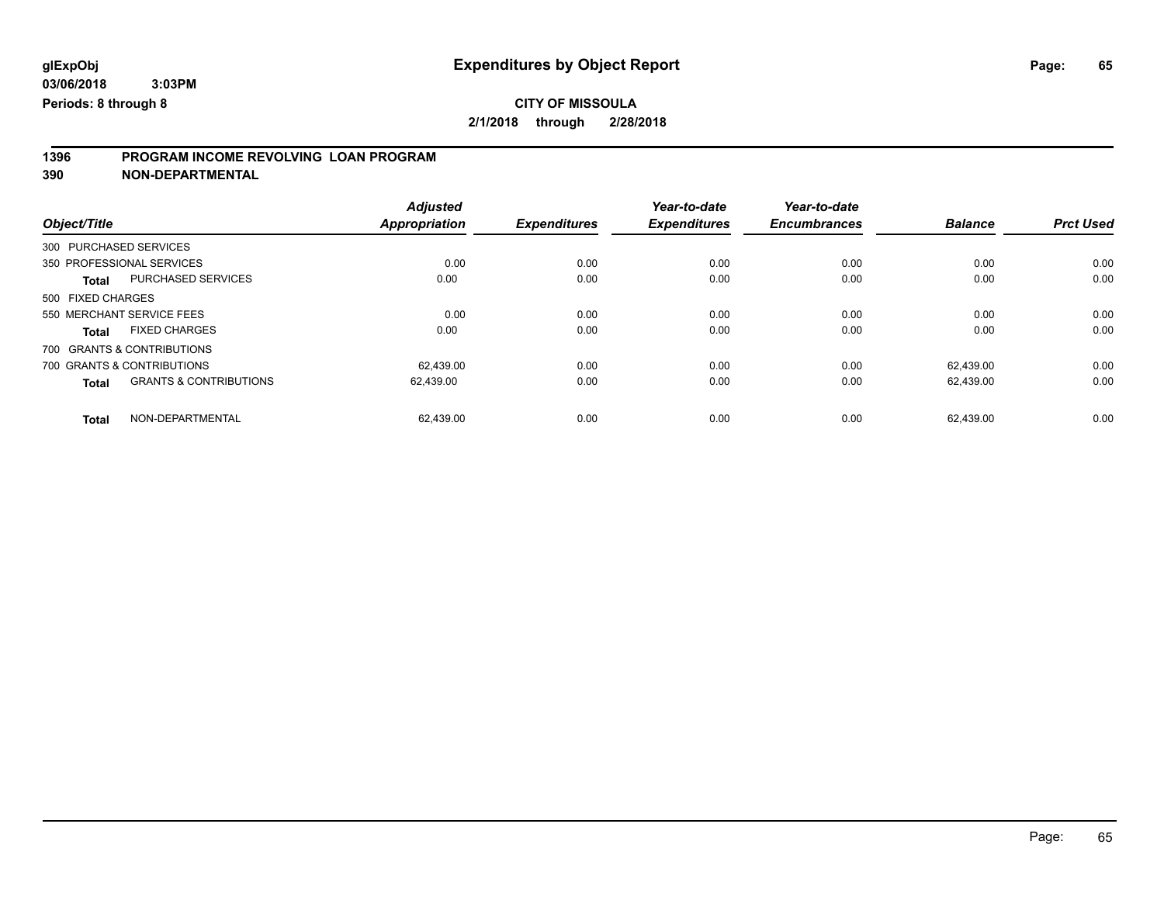# **CITY OF MISSOULA**

**2/1/2018 through 2/28/2018**

# **1396 PROGRAM INCOME REVOLVING LOAN PROGRAM**

**390 NON-DEPARTMENTAL**

| Object/Title      |                                   | <b>Adjusted</b><br><b>Appropriation</b> | <b>Expenditures</b> | Year-to-date<br><b>Expenditures</b> | Year-to-date<br><b>Encumbrances</b> | <b>Balance</b> | <b>Prct Used</b> |
|-------------------|-----------------------------------|-----------------------------------------|---------------------|-------------------------------------|-------------------------------------|----------------|------------------|
|                   |                                   |                                         |                     |                                     |                                     |                |                  |
|                   | 300 PURCHASED SERVICES            |                                         |                     |                                     |                                     |                |                  |
|                   | 350 PROFESSIONAL SERVICES         | 0.00                                    | 0.00                | 0.00                                | 0.00                                | 0.00           | 0.00             |
| <b>Total</b>      | <b>PURCHASED SERVICES</b>         | 0.00                                    | 0.00                | 0.00                                | 0.00                                | 0.00           | 0.00             |
| 500 FIXED CHARGES |                                   |                                         |                     |                                     |                                     |                |                  |
|                   | 550 MERCHANT SERVICE FEES         | 0.00                                    | 0.00                | 0.00                                | 0.00                                | 0.00           | 0.00             |
| <b>Total</b>      | <b>FIXED CHARGES</b>              | 0.00                                    | 0.00                | 0.00                                | 0.00                                | 0.00           | 0.00             |
|                   | 700 GRANTS & CONTRIBUTIONS        |                                         |                     |                                     |                                     |                |                  |
|                   | 700 GRANTS & CONTRIBUTIONS        | 62.439.00                               | 0.00                | 0.00                                | 0.00                                | 62.439.00      | 0.00             |
| <b>Total</b>      | <b>GRANTS &amp; CONTRIBUTIONS</b> | 62,439.00                               | 0.00                | 0.00                                | 0.00                                | 62,439.00      | 0.00             |
| <b>Total</b>      | NON-DEPARTMENTAL                  | 62,439.00                               | 0.00                | 0.00                                | 0.00                                | 62.439.00      | 0.00             |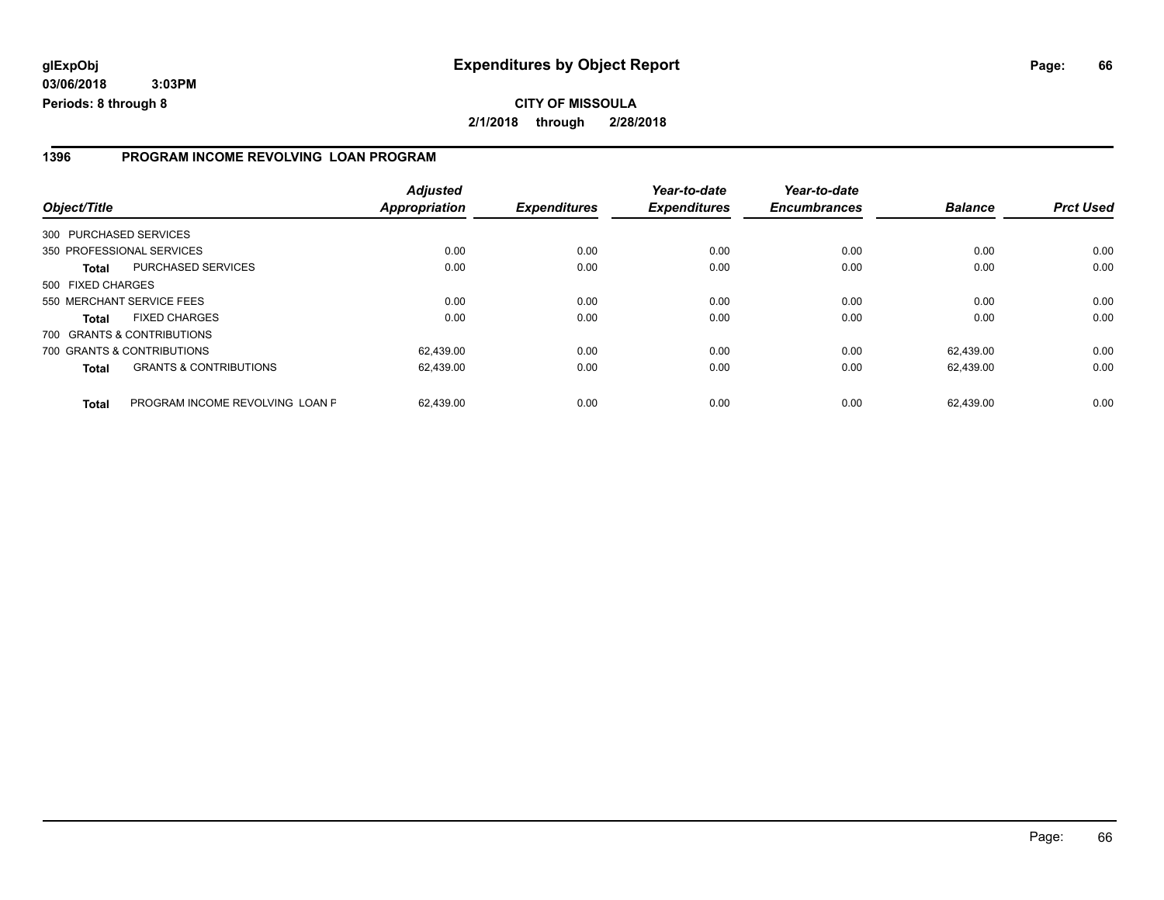#### **1396 PROGRAM INCOME REVOLVING LOAN PROGRAM**

| Object/Title           |                                   | <b>Adjusted</b><br><b>Appropriation</b> | <b>Expenditures</b> | Year-to-date<br><b>Expenditures</b> | Year-to-date<br><b>Encumbrances</b> | <b>Balance</b> | <b>Prct Used</b> |
|------------------------|-----------------------------------|-----------------------------------------|---------------------|-------------------------------------|-------------------------------------|----------------|------------------|
| 300 PURCHASED SERVICES |                                   |                                         |                     |                                     |                                     |                |                  |
|                        | 350 PROFESSIONAL SERVICES         | 0.00                                    | 0.00                | 0.00                                | 0.00                                | 0.00           | 0.00             |
| <b>Total</b>           | PURCHASED SERVICES                | 0.00                                    | 0.00                | 0.00                                | 0.00                                | 0.00           | 0.00             |
| 500 FIXED CHARGES      |                                   |                                         |                     |                                     |                                     |                |                  |
|                        | 550 MERCHANT SERVICE FEES         | 0.00                                    | 0.00                | 0.00                                | 0.00                                | 0.00           | 0.00             |
| <b>Total</b>           | <b>FIXED CHARGES</b>              | 0.00                                    | 0.00                | 0.00                                | 0.00                                | 0.00           | 0.00             |
|                        | 700 GRANTS & CONTRIBUTIONS        |                                         |                     |                                     |                                     |                |                  |
|                        | 700 GRANTS & CONTRIBUTIONS        | 62,439.00                               | 0.00                | 0.00                                | 0.00                                | 62.439.00      | 0.00             |
| <b>Total</b>           | <b>GRANTS &amp; CONTRIBUTIONS</b> | 62,439.00                               | 0.00                | 0.00                                | 0.00                                | 62.439.00      | 0.00             |
| <b>Total</b>           | PROGRAM INCOME REVOLVING LOAN P   | 62.439.00                               | 0.00                | 0.00                                | 0.00                                | 62.439.00      | 0.00             |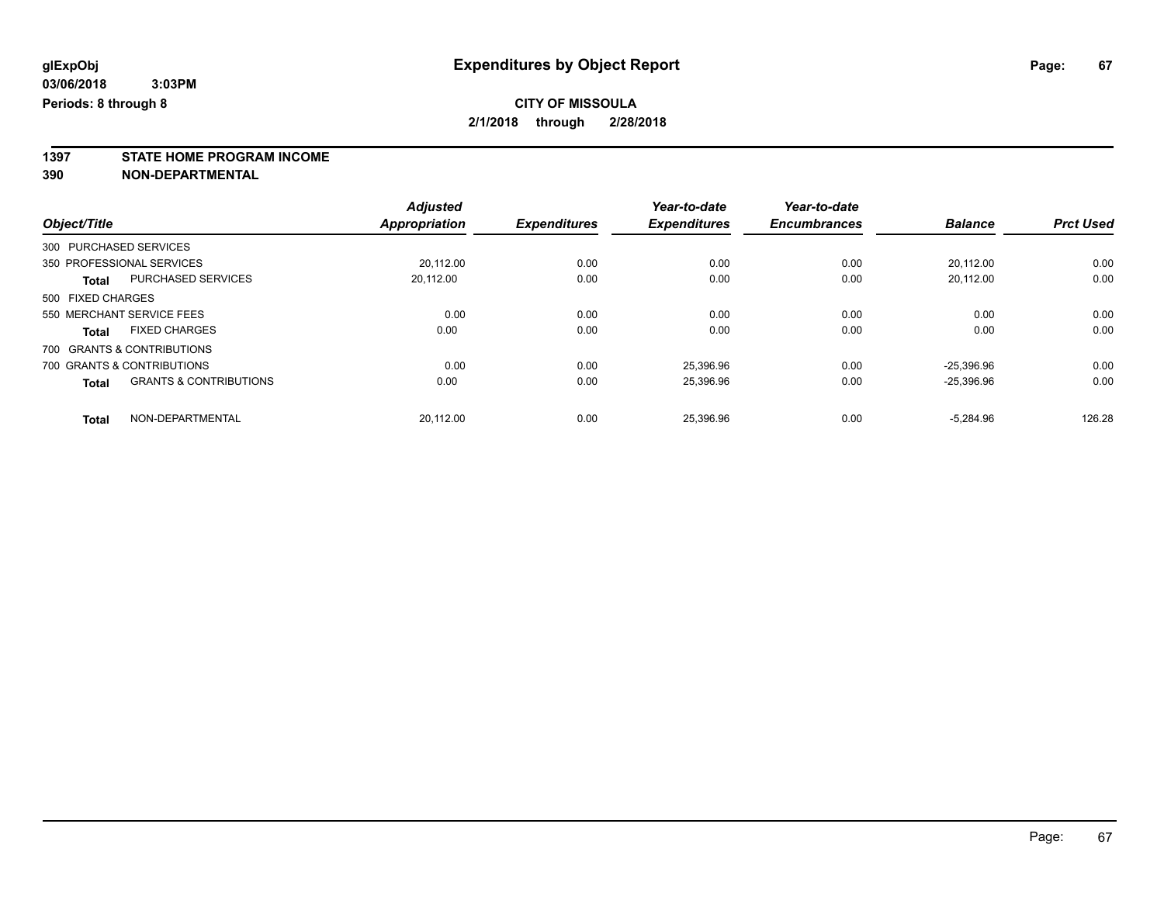**1397 STATE HOME PROGRAM INCOME**

**390 NON-DEPARTMENTAL**

|                        |                                   | <b>Adjusted</b>      |                     | Year-to-date        | Year-to-date        |                |                  |
|------------------------|-----------------------------------|----------------------|---------------------|---------------------|---------------------|----------------|------------------|
| Object/Title           |                                   | <b>Appropriation</b> | <b>Expenditures</b> | <b>Expenditures</b> | <b>Encumbrances</b> | <b>Balance</b> | <b>Prct Used</b> |
| 300 PURCHASED SERVICES |                                   |                      |                     |                     |                     |                |                  |
|                        | 350 PROFESSIONAL SERVICES         | 20.112.00            | 0.00                | 0.00                | 0.00                | 20.112.00      | 0.00             |
| <b>Total</b>           | <b>PURCHASED SERVICES</b>         | 20,112.00            | 0.00                | 0.00                | 0.00                | 20.112.00      | 0.00             |
| 500 FIXED CHARGES      |                                   |                      |                     |                     |                     |                |                  |
|                        | 550 MERCHANT SERVICE FEES         | 0.00                 | 0.00                | 0.00                | 0.00                | 0.00           | 0.00             |
| <b>Total</b>           | <b>FIXED CHARGES</b>              | 0.00                 | 0.00                | 0.00                | 0.00                | 0.00           | 0.00             |
|                        | 700 GRANTS & CONTRIBUTIONS        |                      |                     |                     |                     |                |                  |
|                        | 700 GRANTS & CONTRIBUTIONS        | 0.00                 | 0.00                | 25.396.96           | 0.00                | $-25.396.96$   | 0.00             |
| <b>Total</b>           | <b>GRANTS &amp; CONTRIBUTIONS</b> | 0.00                 | 0.00                | 25,396.96           | 0.00                | $-25,396.96$   | 0.00             |
| <b>Total</b>           | NON-DEPARTMENTAL                  | 20.112.00            | 0.00                | 25.396.96           | 0.00                | $-5.284.96$    | 126.28           |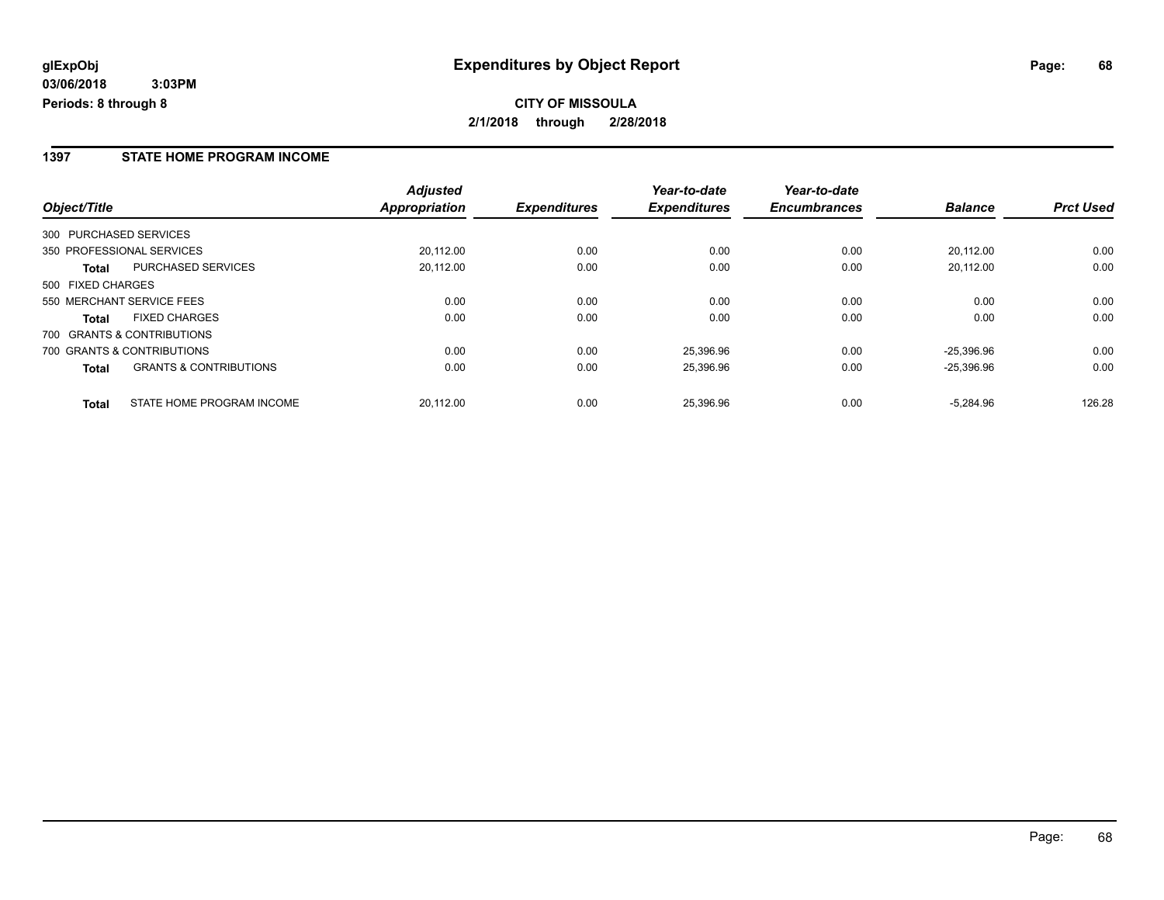### **1397 STATE HOME PROGRAM INCOME**

|                                                   | <b>Adjusted</b> |                     | Year-to-date        | Year-to-date        |                |                  |
|---------------------------------------------------|-----------------|---------------------|---------------------|---------------------|----------------|------------------|
| Object/Title                                      | Appropriation   | <b>Expenditures</b> | <b>Expenditures</b> | <b>Encumbrances</b> | <b>Balance</b> | <b>Prct Used</b> |
| 300 PURCHASED SERVICES                            |                 |                     |                     |                     |                |                  |
| 350 PROFESSIONAL SERVICES                         | 20,112.00       | 0.00                | 0.00                | 0.00                | 20.112.00      | 0.00             |
| <b>PURCHASED SERVICES</b><br>Total                | 20,112.00       | 0.00                | 0.00                | 0.00                | 20.112.00      | 0.00             |
| 500 FIXED CHARGES                                 |                 |                     |                     |                     |                |                  |
| 550 MERCHANT SERVICE FEES                         | 0.00            | 0.00                | 0.00                | 0.00                | 0.00           | 0.00             |
| <b>FIXED CHARGES</b><br><b>Total</b>              | 0.00            | 0.00                | 0.00                | 0.00                | 0.00           | 0.00             |
| 700 GRANTS & CONTRIBUTIONS                        |                 |                     |                     |                     |                |                  |
| 700 GRANTS & CONTRIBUTIONS                        | 0.00            | 0.00                | 25.396.96           | 0.00                | $-25.396.96$   | 0.00             |
| <b>GRANTS &amp; CONTRIBUTIONS</b><br><b>Total</b> | 0.00            | 0.00                | 25,396.96           | 0.00                | $-25.396.96$   | 0.00             |
| STATE HOME PROGRAM INCOME<br><b>Total</b>         | 20.112.00       | 0.00                | 25.396.96           | 0.00                | $-5.284.96$    | 126.28           |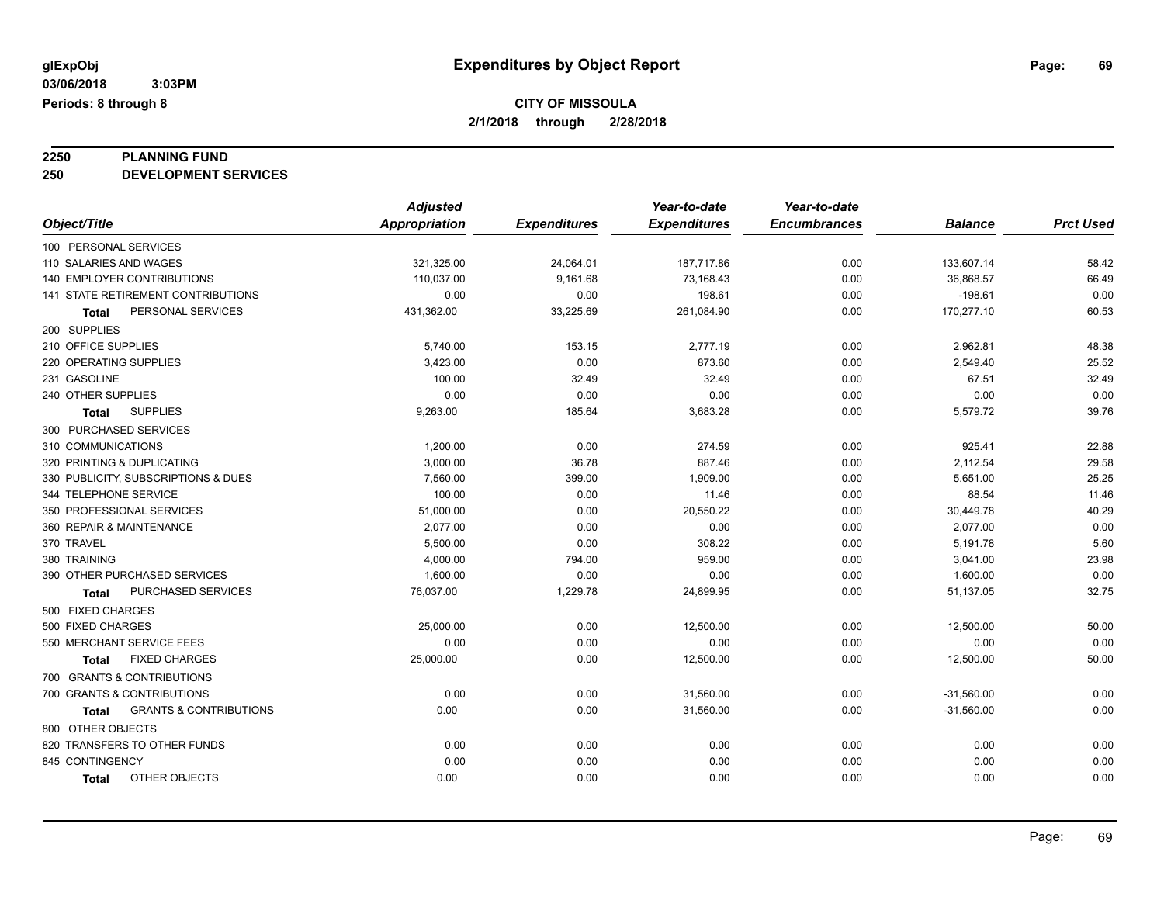# **2250 PLANNING FUND**

**250 DEVELOPMENT SERVICES**

|                                            | <b>Adjusted</b>      |                     | Year-to-date        | Year-to-date        |                |                  |
|--------------------------------------------|----------------------|---------------------|---------------------|---------------------|----------------|------------------|
| Object/Title                               | <b>Appropriation</b> | <b>Expenditures</b> | <b>Expenditures</b> | <b>Encumbrances</b> | <b>Balance</b> | <b>Prct Used</b> |
| 100 PERSONAL SERVICES                      |                      |                     |                     |                     |                |                  |
| 110 SALARIES AND WAGES                     | 321,325.00           | 24,064.01           | 187,717.86          | 0.00                | 133,607.14     | 58.42            |
| 140 EMPLOYER CONTRIBUTIONS                 | 110,037.00           | 9,161.68            | 73,168.43           | 0.00                | 36,868.57      | 66.49            |
| <b>141 STATE RETIREMENT CONTRIBUTIONS</b>  | 0.00                 | 0.00                | 198.61              | 0.00                | $-198.61$      | 0.00             |
| PERSONAL SERVICES<br>Total                 | 431,362.00           | 33,225.69           | 261,084.90          | 0.00                | 170,277.10     | 60.53            |
| 200 SUPPLIES                               |                      |                     |                     |                     |                |                  |
| 210 OFFICE SUPPLIES                        | 5,740.00             | 153.15              | 2,777.19            | 0.00                | 2,962.81       | 48.38            |
| 220 OPERATING SUPPLIES                     | 3,423.00             | 0.00                | 873.60              | 0.00                | 2,549.40       | 25.52            |
| 231 GASOLINE                               | 100.00               | 32.49               | 32.49               | 0.00                | 67.51          | 32.49            |
| 240 OTHER SUPPLIES                         | 0.00                 | 0.00                | 0.00                | 0.00                | 0.00           | 0.00             |
| <b>SUPPLIES</b><br><b>Total</b>            | 9,263.00             | 185.64              | 3,683.28            | 0.00                | 5,579.72       | 39.76            |
| 300 PURCHASED SERVICES                     |                      |                     |                     |                     |                |                  |
| 310 COMMUNICATIONS                         | 1,200.00             | 0.00                | 274.59              | 0.00                | 925.41         | 22.88            |
| 320 PRINTING & DUPLICATING                 | 3,000.00             | 36.78               | 887.46              | 0.00                | 2,112.54       | 29.58            |
| 330 PUBLICITY, SUBSCRIPTIONS & DUES        | 7,560.00             | 399.00              | 1,909.00            | 0.00                | 5,651.00       | 25.25            |
| 344 TELEPHONE SERVICE                      | 100.00               | 0.00                | 11.46               | 0.00                | 88.54          | 11.46            |
| 350 PROFESSIONAL SERVICES                  | 51,000.00            | 0.00                | 20,550.22           | 0.00                | 30,449.78      | 40.29            |
| 360 REPAIR & MAINTENANCE                   | 2,077.00             | 0.00                | 0.00                | 0.00                | 2,077.00       | 0.00             |
| 370 TRAVEL                                 | 5,500.00             | 0.00                | 308.22              | 0.00                | 5,191.78       | 5.60             |
| 380 TRAINING                               | 4,000.00             | 794.00              | 959.00              | 0.00                | 3,041.00       | 23.98            |
| 390 OTHER PURCHASED SERVICES               | 1,600.00             | 0.00                | 0.00                | 0.00                | 1,600.00       | 0.00             |
| PURCHASED SERVICES<br><b>Total</b>         | 76,037.00            | 1,229.78            | 24,899.95           | 0.00                | 51,137.05      | 32.75            |
| 500 FIXED CHARGES                          |                      |                     |                     |                     |                |                  |
| 500 FIXED CHARGES                          | 25,000.00            | 0.00                | 12,500.00           | 0.00                | 12,500.00      | 50.00            |
| 550 MERCHANT SERVICE FEES                  | 0.00                 | 0.00                | 0.00                | 0.00                | 0.00           | 0.00             |
| <b>FIXED CHARGES</b><br><b>Total</b>       | 25,000.00            | 0.00                | 12,500.00           | 0.00                | 12,500.00      | 50.00            |
| 700 GRANTS & CONTRIBUTIONS                 |                      |                     |                     |                     |                |                  |
| 700 GRANTS & CONTRIBUTIONS                 | 0.00                 | 0.00                | 31,560.00           | 0.00                | $-31,560.00$   | 0.00             |
| <b>GRANTS &amp; CONTRIBUTIONS</b><br>Total | 0.00                 | 0.00                | 31,560.00           | 0.00                | $-31,560.00$   | 0.00             |
| 800 OTHER OBJECTS                          |                      |                     |                     |                     |                |                  |
| 820 TRANSFERS TO OTHER FUNDS               | 0.00                 | 0.00                | 0.00                | 0.00                | 0.00           | 0.00             |
| 845 CONTINGENCY                            | 0.00                 | 0.00                | 0.00                | 0.00                | 0.00           | 0.00             |
| OTHER OBJECTS<br><b>Total</b>              | 0.00                 | 0.00                | 0.00                | 0.00                | 0.00           | 0.00             |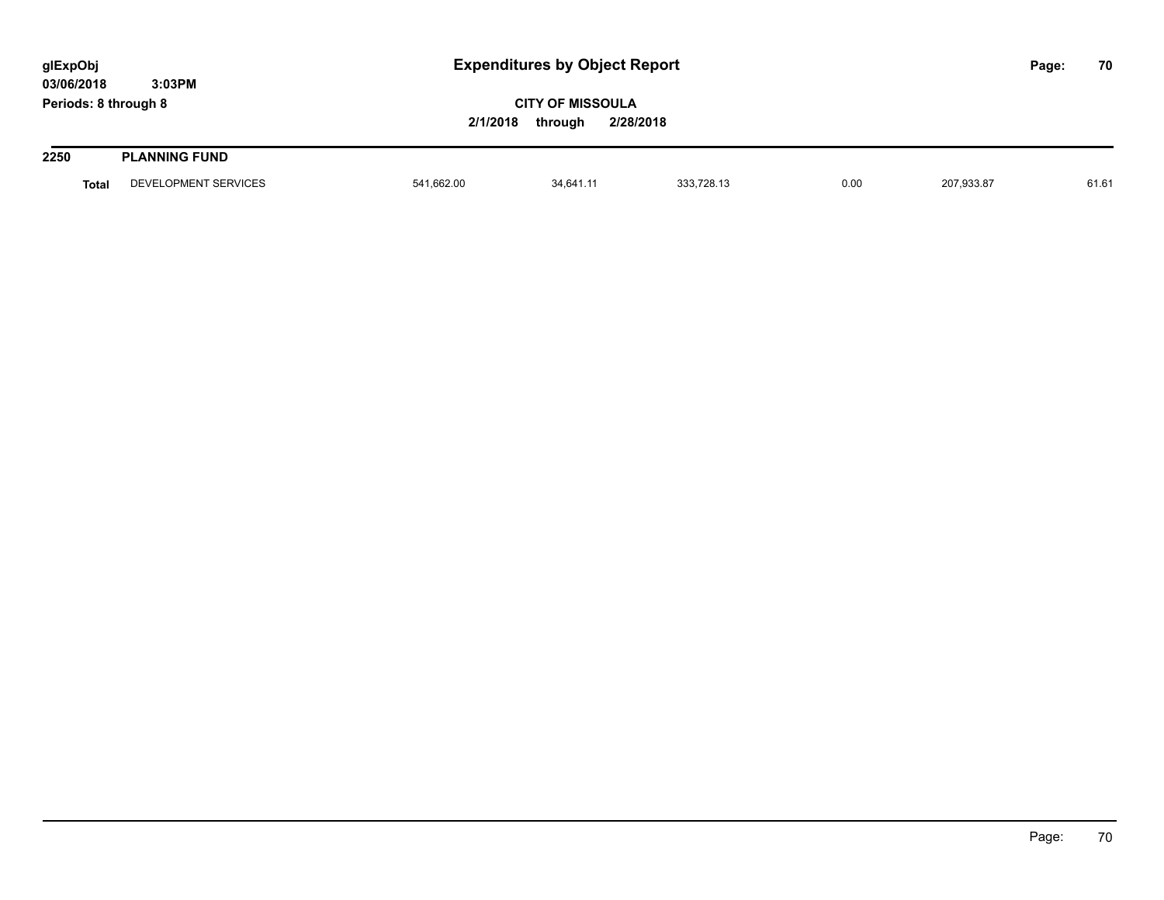| glExpObj<br>03/06/2018 | 3:03PM               |            | <b>Expenditures by Object Report</b>            |            |      |            |  |       |
|------------------------|----------------------|------------|-------------------------------------------------|------------|------|------------|--|-------|
| Periods: 8 through 8   |                      | 2/1/2018   | <b>CITY OF MISSOULA</b><br>through<br>2/28/2018 |            |      |            |  |       |
| 2250                   | <b>PLANNING FUND</b> |            |                                                 |            |      |            |  |       |
| Total                  | DEVELOPMENT SERVICES | 541.662.00 | 34.641.11                                       | 333.728.13 | 0.00 | 207,933.87 |  | 61.61 |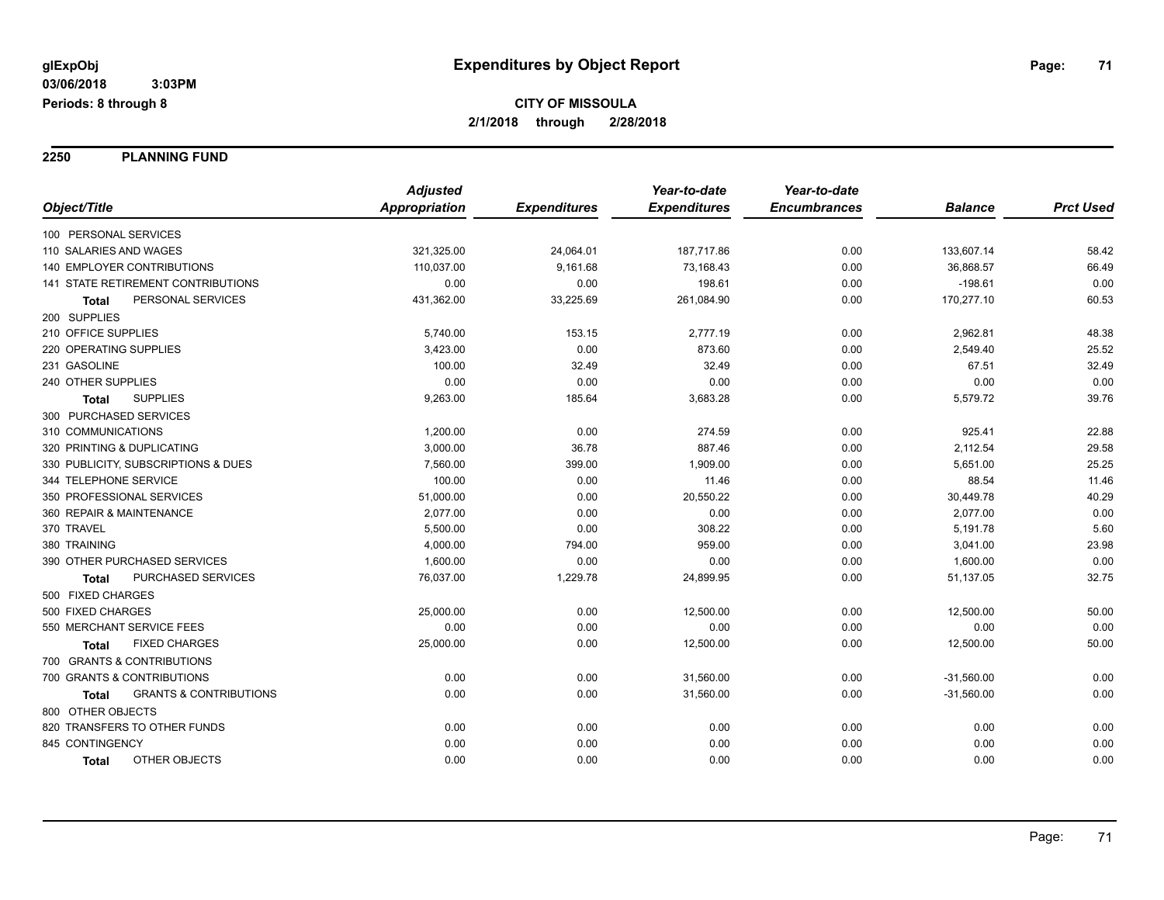**2250 PLANNING FUND**

|                                                   | <b>Adjusted</b>      |                     | Year-to-date        | Year-to-date        |                |                  |
|---------------------------------------------------|----------------------|---------------------|---------------------|---------------------|----------------|------------------|
| Object/Title                                      | <b>Appropriation</b> | <b>Expenditures</b> | <b>Expenditures</b> | <b>Encumbrances</b> | <b>Balance</b> | <b>Prct Used</b> |
| 100 PERSONAL SERVICES                             |                      |                     |                     |                     |                |                  |
| 110 SALARIES AND WAGES                            | 321,325.00           | 24,064.01           | 187,717.86          | 0.00                | 133,607.14     | 58.42            |
| <b>140 EMPLOYER CONTRIBUTIONS</b>                 | 110,037.00           | 9,161.68            | 73,168.43           | 0.00                | 36,868.57      | 66.49            |
| 141 STATE RETIREMENT CONTRIBUTIONS                | 0.00                 | 0.00                | 198.61              | 0.00                | $-198.61$      | 0.00             |
| PERSONAL SERVICES<br>Total                        | 431,362.00           | 33,225.69           | 261,084.90          | 0.00                | 170,277.10     | 60.53            |
| 200 SUPPLIES                                      |                      |                     |                     |                     |                |                  |
| 210 OFFICE SUPPLIES                               | 5,740.00             | 153.15              | 2,777.19            | 0.00                | 2,962.81       | 48.38            |
| 220 OPERATING SUPPLIES                            | 3,423.00             | 0.00                | 873.60              | 0.00                | 2,549.40       | 25.52            |
| 231 GASOLINE                                      | 100.00               | 32.49               | 32.49               | 0.00                | 67.51          | 32.49            |
| 240 OTHER SUPPLIES                                | 0.00                 | 0.00                | 0.00                | 0.00                | 0.00           | 0.00             |
| <b>SUPPLIES</b><br>Total                          | 9,263.00             | 185.64              | 3,683.28            | 0.00                | 5,579.72       | 39.76            |
| 300 PURCHASED SERVICES                            |                      |                     |                     |                     |                |                  |
| 310 COMMUNICATIONS                                | 1,200.00             | 0.00                | 274.59              | 0.00                | 925.41         | 22.88            |
| 320 PRINTING & DUPLICATING                        | 3,000.00             | 36.78               | 887.46              | 0.00                | 2,112.54       | 29.58            |
| 330 PUBLICITY, SUBSCRIPTIONS & DUES               | 7,560.00             | 399.00              | 1,909.00            | 0.00                | 5,651.00       | 25.25            |
| 344 TELEPHONE SERVICE                             | 100.00               | 0.00                | 11.46               | 0.00                | 88.54          | 11.46            |
| 350 PROFESSIONAL SERVICES                         | 51,000.00            | 0.00                | 20,550.22           | 0.00                | 30,449.78      | 40.29            |
| 360 REPAIR & MAINTENANCE                          | 2,077.00             | 0.00                | 0.00                | 0.00                | 2,077.00       | 0.00             |
| 370 TRAVEL                                        | 5,500.00             | 0.00                | 308.22              | 0.00                | 5,191.78       | 5.60             |
| 380 TRAINING                                      | 4,000.00             | 794.00              | 959.00              | 0.00                | 3,041.00       | 23.98            |
| 390 OTHER PURCHASED SERVICES                      | 1,600.00             | 0.00                | 0.00                | 0.00                | 1,600.00       | 0.00             |
| PURCHASED SERVICES<br>Total                       | 76,037.00            | 1,229.78            | 24,899.95           | 0.00                | 51,137.05      | 32.75            |
| 500 FIXED CHARGES                                 |                      |                     |                     |                     |                |                  |
| 500 FIXED CHARGES                                 | 25,000.00            | 0.00                | 12,500.00           | 0.00                | 12,500.00      | 50.00            |
| 550 MERCHANT SERVICE FEES                         | 0.00                 | 0.00                | 0.00                | 0.00                | 0.00           | 0.00             |
| <b>FIXED CHARGES</b><br>Total                     | 25,000.00            | 0.00                | 12,500.00           | 0.00                | 12,500.00      | 50.00            |
| 700 GRANTS & CONTRIBUTIONS                        |                      |                     |                     |                     |                |                  |
| 700 GRANTS & CONTRIBUTIONS                        | 0.00                 | 0.00                | 31,560.00           | 0.00                | $-31,560.00$   | 0.00             |
| <b>GRANTS &amp; CONTRIBUTIONS</b><br><b>Total</b> | 0.00                 | 0.00                | 31,560.00           | 0.00                | $-31,560.00$   | 0.00             |
| 800 OTHER OBJECTS                                 |                      |                     |                     |                     |                |                  |
| 820 TRANSFERS TO OTHER FUNDS                      | 0.00                 | 0.00                | 0.00                | 0.00                | 0.00           | 0.00             |
| 845 CONTINGENCY                                   | 0.00                 | 0.00                | 0.00                | 0.00                | 0.00           | 0.00             |
| OTHER OBJECTS<br><b>Total</b>                     | 0.00                 | 0.00                | 0.00                | 0.00                | 0.00           | 0.00             |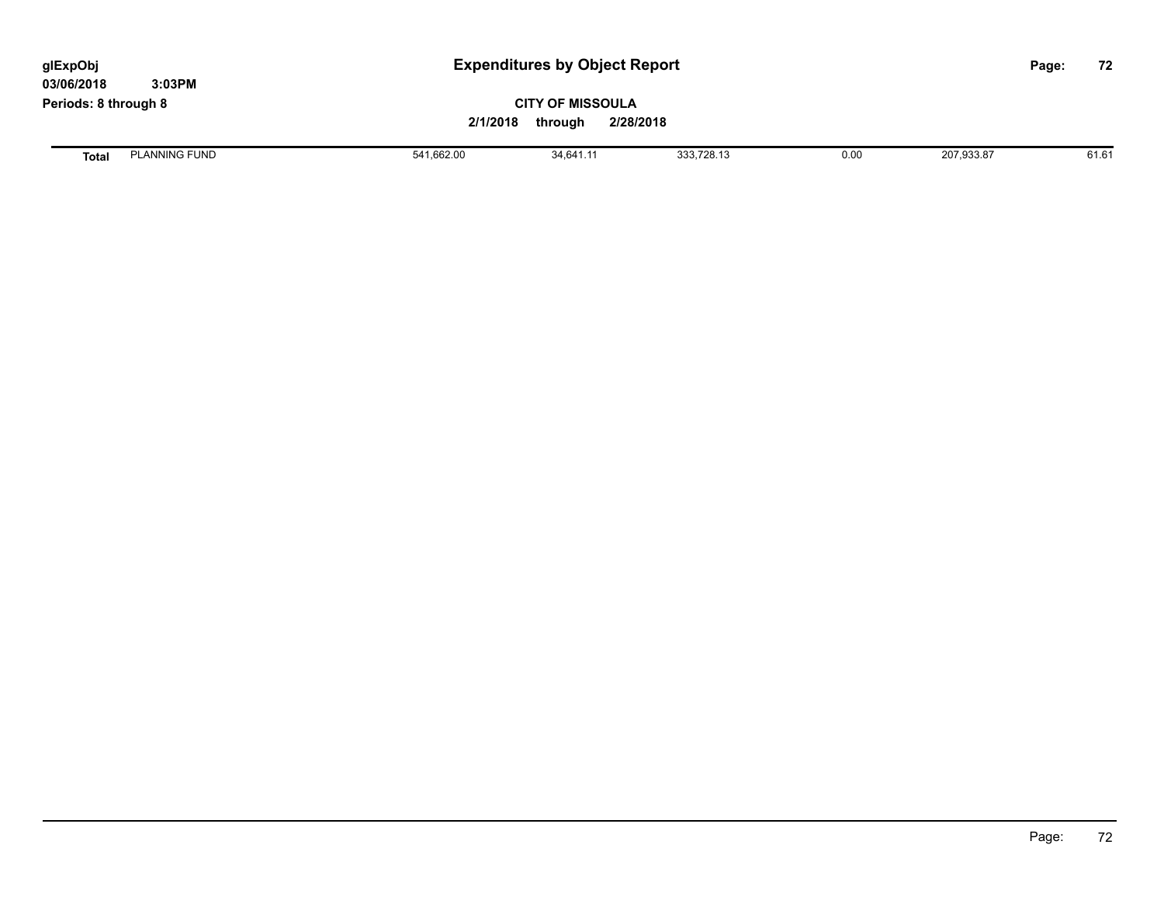| glExpObj<br>03/06/2018 | 3:03PM               |            | <b>Expenditures by Object Report</b>            |            |      |            |  | 72    |
|------------------------|----------------------|------------|-------------------------------------------------|------------|------|------------|--|-------|
| Periods: 8 through 8   |                      | 2/1/2018   | <b>CITY OF MISSOULA</b><br>2/28/2018<br>through |            |      |            |  |       |
| <b>Total</b>           | <b>PLANNING FUND</b> | 541,662.00 | 34.641.11                                       | 333,728.13 | 0.00 | 207,933.87 |  | 61.61 |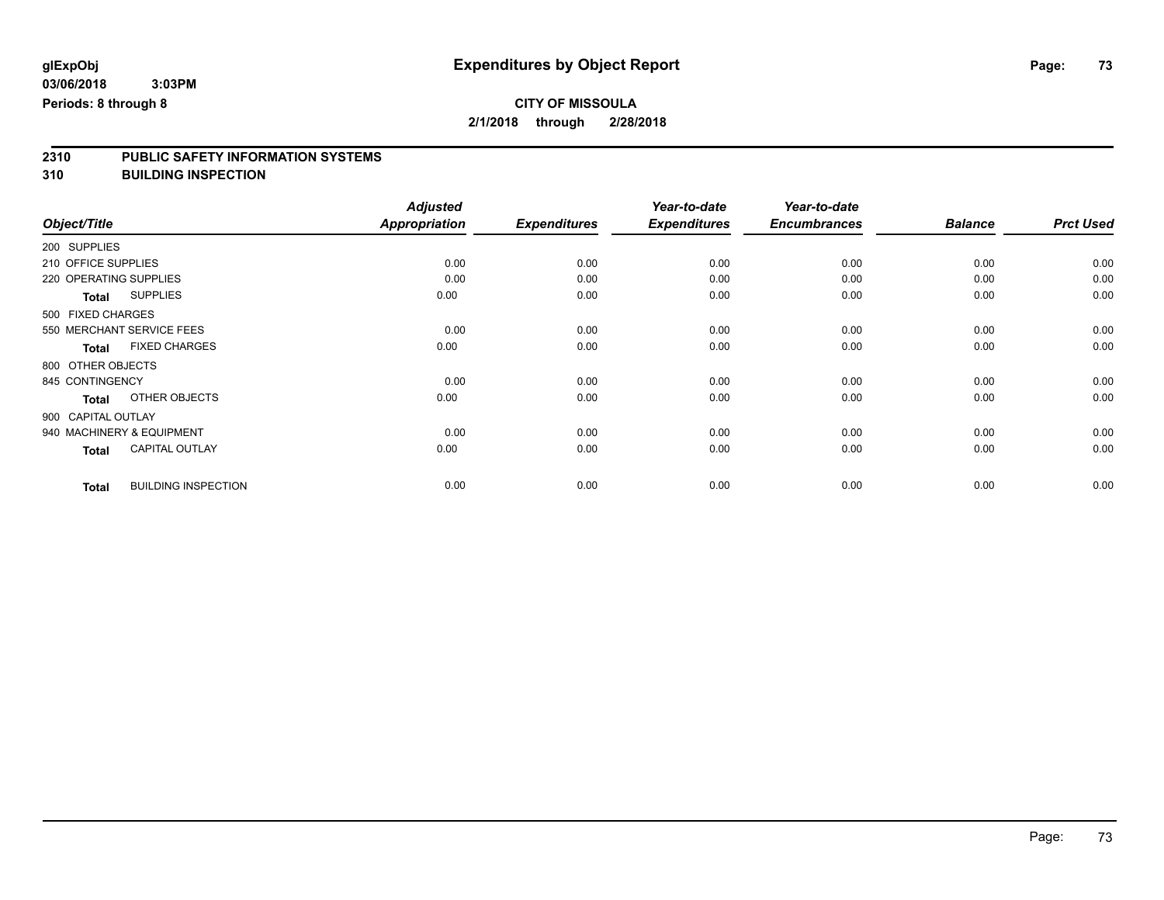**2310 PUBLIC SAFETY INFORMATION SYSTEMS**

**310 BUILDING INSPECTION**

|                     |                            | <b>Adjusted</b>      |                     | Year-to-date        | Year-to-date        |                |                  |
|---------------------|----------------------------|----------------------|---------------------|---------------------|---------------------|----------------|------------------|
| Object/Title        |                            | <b>Appropriation</b> | <b>Expenditures</b> | <b>Expenditures</b> | <b>Encumbrances</b> | <b>Balance</b> | <b>Prct Used</b> |
| 200 SUPPLIES        |                            |                      |                     |                     |                     |                |                  |
| 210 OFFICE SUPPLIES |                            | 0.00                 | 0.00                | 0.00                | 0.00                | 0.00           | 0.00             |
|                     | 220 OPERATING SUPPLIES     | 0.00                 | 0.00                | 0.00                | 0.00                | 0.00           | 0.00             |
| <b>Total</b>        | <b>SUPPLIES</b>            | 0.00                 | 0.00                | 0.00                | 0.00                | 0.00           | 0.00             |
| 500 FIXED CHARGES   |                            |                      |                     |                     |                     |                |                  |
|                     | 550 MERCHANT SERVICE FEES  | 0.00                 | 0.00                | 0.00                | 0.00                | 0.00           | 0.00             |
| <b>Total</b>        | <b>FIXED CHARGES</b>       | 0.00                 | 0.00                | 0.00                | 0.00                | 0.00           | 0.00             |
| 800 OTHER OBJECTS   |                            |                      |                     |                     |                     |                |                  |
| 845 CONTINGENCY     |                            | 0.00                 | 0.00                | 0.00                | 0.00                | 0.00           | 0.00             |
| <b>Total</b>        | OTHER OBJECTS              | 0.00                 | 0.00                | 0.00                | 0.00                | 0.00           | 0.00             |
| 900 CAPITAL OUTLAY  |                            |                      |                     |                     |                     |                |                  |
|                     | 940 MACHINERY & EQUIPMENT  | 0.00                 | 0.00                | 0.00                | 0.00                | 0.00           | 0.00             |
| <b>Total</b>        | <b>CAPITAL OUTLAY</b>      | 0.00                 | 0.00                | 0.00                | 0.00                | 0.00           | 0.00             |
| <b>Total</b>        | <b>BUILDING INSPECTION</b> | 0.00                 | 0.00                | 0.00                | 0.00                | 0.00           | 0.00             |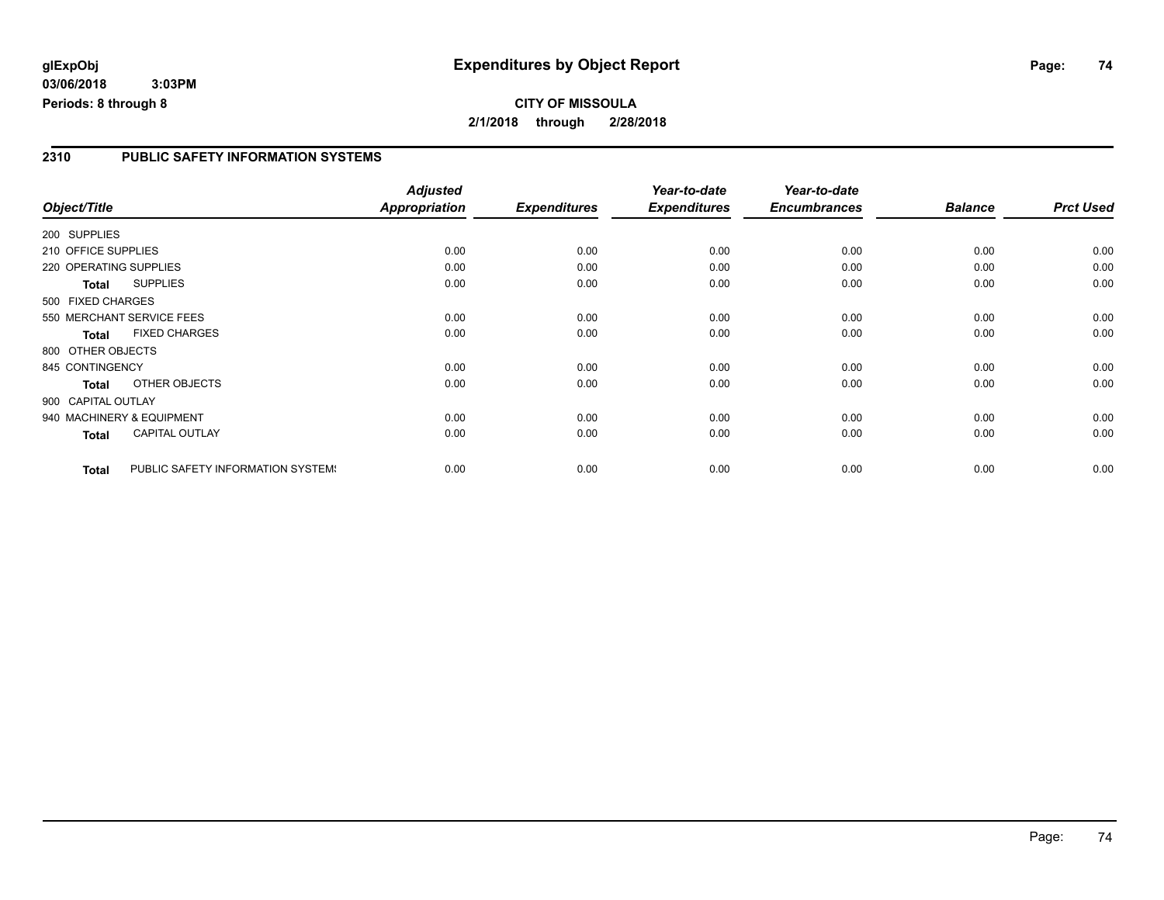#### **2310 PUBLIC SAFETY INFORMATION SYSTEMS**

|                        |                                   | <b>Adjusted</b>      |                     | Year-to-date        | Year-to-date        |                |                  |
|------------------------|-----------------------------------|----------------------|---------------------|---------------------|---------------------|----------------|------------------|
| Object/Title           |                                   | <b>Appropriation</b> | <b>Expenditures</b> | <b>Expenditures</b> | <b>Encumbrances</b> | <b>Balance</b> | <b>Prct Used</b> |
| 200 SUPPLIES           |                                   |                      |                     |                     |                     |                |                  |
| 210 OFFICE SUPPLIES    |                                   | 0.00                 | 0.00                | 0.00                | 0.00                | 0.00           | 0.00             |
| 220 OPERATING SUPPLIES |                                   | 0.00                 | 0.00                | 0.00                | 0.00                | 0.00           | 0.00             |
| Total                  | <b>SUPPLIES</b>                   | 0.00                 | 0.00                | 0.00                | 0.00                | 0.00           | 0.00             |
| 500 FIXED CHARGES      |                                   |                      |                     |                     |                     |                |                  |
|                        | 550 MERCHANT SERVICE FEES         | 0.00                 | 0.00                | 0.00                | 0.00                | 0.00           | 0.00             |
| <b>Total</b>           | <b>FIXED CHARGES</b>              | 0.00                 | 0.00                | 0.00                | 0.00                | 0.00           | 0.00             |
| 800 OTHER OBJECTS      |                                   |                      |                     |                     |                     |                |                  |
| 845 CONTINGENCY        |                                   | 0.00                 | 0.00                | 0.00                | 0.00                | 0.00           | 0.00             |
| <b>Total</b>           | OTHER OBJECTS                     | 0.00                 | 0.00                | 0.00                | 0.00                | 0.00           | 0.00             |
| 900 CAPITAL OUTLAY     |                                   |                      |                     |                     |                     |                |                  |
|                        | 940 MACHINERY & EQUIPMENT         | 0.00                 | 0.00                | 0.00                | 0.00                | 0.00           | 0.00             |
| Total                  | <b>CAPITAL OUTLAY</b>             | 0.00                 | 0.00                | 0.00                | 0.00                | 0.00           | 0.00             |
| <b>Total</b>           | PUBLIC SAFETY INFORMATION SYSTEM! | 0.00                 | 0.00                | 0.00                | 0.00                | 0.00           | 0.00             |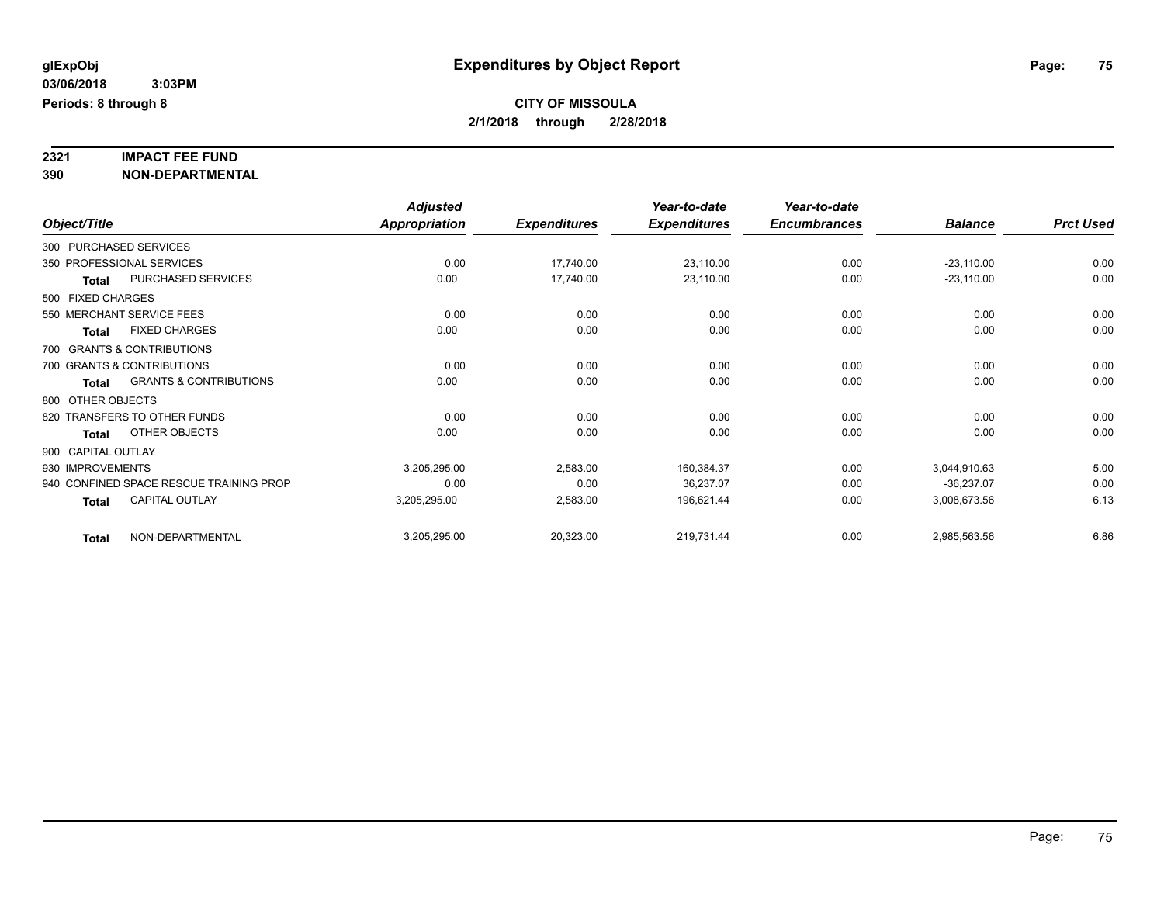# **2321 IMPACT FEE FUND**

|                    |                                         | <b>Adjusted</b>      |                     | Year-to-date        | Year-to-date        |                |                  |
|--------------------|-----------------------------------------|----------------------|---------------------|---------------------|---------------------|----------------|------------------|
| Object/Title       |                                         | <b>Appropriation</b> | <b>Expenditures</b> | <b>Expenditures</b> | <b>Encumbrances</b> | <b>Balance</b> | <b>Prct Used</b> |
|                    | 300 PURCHASED SERVICES                  |                      |                     |                     |                     |                |                  |
|                    | 350 PROFESSIONAL SERVICES               | 0.00                 | 17,740.00           | 23,110.00           | 0.00                | $-23,110.00$   | 0.00             |
| <b>Total</b>       | PURCHASED SERVICES                      | 0.00                 | 17,740.00           | 23,110.00           | 0.00                | $-23,110.00$   | 0.00             |
| 500 FIXED CHARGES  |                                         |                      |                     |                     |                     |                |                  |
|                    | 550 MERCHANT SERVICE FEES               | 0.00                 | 0.00                | 0.00                | 0.00                | 0.00           | 0.00             |
| <b>Total</b>       | <b>FIXED CHARGES</b>                    | 0.00                 | 0.00                | 0.00                | 0.00                | 0.00           | 0.00             |
|                    | 700 GRANTS & CONTRIBUTIONS              |                      |                     |                     |                     |                |                  |
|                    | 700 GRANTS & CONTRIBUTIONS              | 0.00                 | 0.00                | 0.00                | 0.00                | 0.00           | 0.00             |
| <b>Total</b>       | <b>GRANTS &amp; CONTRIBUTIONS</b>       | 0.00                 | 0.00                | 0.00                | 0.00                | 0.00           | 0.00             |
| 800 OTHER OBJECTS  |                                         |                      |                     |                     |                     |                |                  |
|                    | 820 TRANSFERS TO OTHER FUNDS            | 0.00                 | 0.00                | 0.00                | 0.00                | 0.00           | 0.00             |
| <b>Total</b>       | OTHER OBJECTS                           | 0.00                 | 0.00                | 0.00                | 0.00                | 0.00           | 0.00             |
| 900 CAPITAL OUTLAY |                                         |                      |                     |                     |                     |                |                  |
| 930 IMPROVEMENTS   |                                         | 3,205,295.00         | 2,583.00            | 160,384.37          | 0.00                | 3,044,910.63   | 5.00             |
|                    | 940 CONFINED SPACE RESCUE TRAINING PROP | 0.00                 | 0.00                | 36,237.07           | 0.00                | $-36,237.07$   | 0.00             |
| <b>Total</b>       | <b>CAPITAL OUTLAY</b>                   | 3,205,295.00         | 2,583.00            | 196,621.44          | 0.00                | 3,008,673.56   | 6.13             |
| <b>Total</b>       | NON-DEPARTMENTAL                        | 3,205,295.00         | 20,323.00           | 219,731.44          | 0.00                | 2,985,563.56   | 6.86             |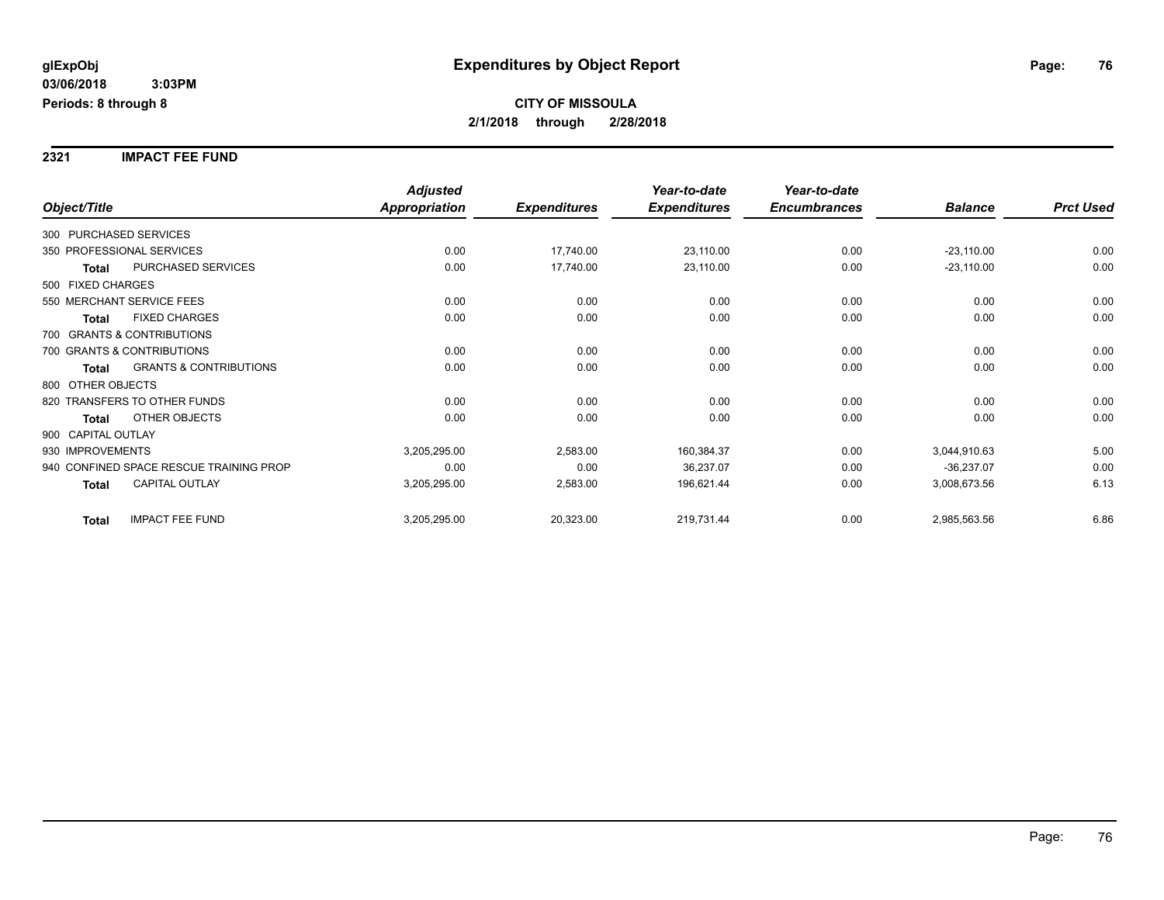**2321 IMPACT FEE FUND**

|                                                   | <b>Adjusted</b>      |                     | Year-to-date        | Year-to-date        |                |                  |
|---------------------------------------------------|----------------------|---------------------|---------------------|---------------------|----------------|------------------|
| Object/Title                                      | <b>Appropriation</b> | <b>Expenditures</b> | <b>Expenditures</b> | <b>Encumbrances</b> | <b>Balance</b> | <b>Prct Used</b> |
| 300 PURCHASED SERVICES                            |                      |                     |                     |                     |                |                  |
| 350 PROFESSIONAL SERVICES                         | 0.00                 | 17,740.00           | 23,110.00           | 0.00                | $-23,110.00$   | 0.00             |
| PURCHASED SERVICES<br>Total                       | 0.00                 | 17,740.00           | 23,110.00           | 0.00                | $-23,110.00$   | 0.00             |
| 500 FIXED CHARGES                                 |                      |                     |                     |                     |                |                  |
| 550 MERCHANT SERVICE FEES                         | 0.00                 | 0.00                | 0.00                | 0.00                | 0.00           | 0.00             |
| <b>FIXED CHARGES</b><br><b>Total</b>              | 0.00                 | 0.00                | 0.00                | 0.00                | 0.00           | 0.00             |
| 700 GRANTS & CONTRIBUTIONS                        |                      |                     |                     |                     |                |                  |
| 700 GRANTS & CONTRIBUTIONS                        | 0.00                 | 0.00                | 0.00                | 0.00                | 0.00           | 0.00             |
| <b>GRANTS &amp; CONTRIBUTIONS</b><br><b>Total</b> | 0.00                 | 0.00                | 0.00                | 0.00                | 0.00           | 0.00             |
| 800 OTHER OBJECTS                                 |                      |                     |                     |                     |                |                  |
| 820 TRANSFERS TO OTHER FUNDS                      | 0.00                 | 0.00                | 0.00                | 0.00                | 0.00           | 0.00             |
| <b>OTHER OBJECTS</b><br><b>Total</b>              | 0.00                 | 0.00                | 0.00                | 0.00                | 0.00           | 0.00             |
| 900 CAPITAL OUTLAY                                |                      |                     |                     |                     |                |                  |
| 930 IMPROVEMENTS                                  | 3,205,295.00         | 2,583.00            | 160,384.37          | 0.00                | 3,044,910.63   | 5.00             |
| 940 CONFINED SPACE RESCUE TRAINING PROP           | 0.00                 | 0.00                | 36,237.07           | 0.00                | $-36,237.07$   | 0.00             |
| CAPITAL OUTLAY<br><b>Total</b>                    | 3,205,295.00         | 2,583.00            | 196,621.44          | 0.00                | 3,008,673.56   | 6.13             |
| <b>IMPACT FEE FUND</b><br><b>Total</b>            | 3,205,295.00         | 20,323.00           | 219,731.44          | 0.00                | 2,985,563.56   | 6.86             |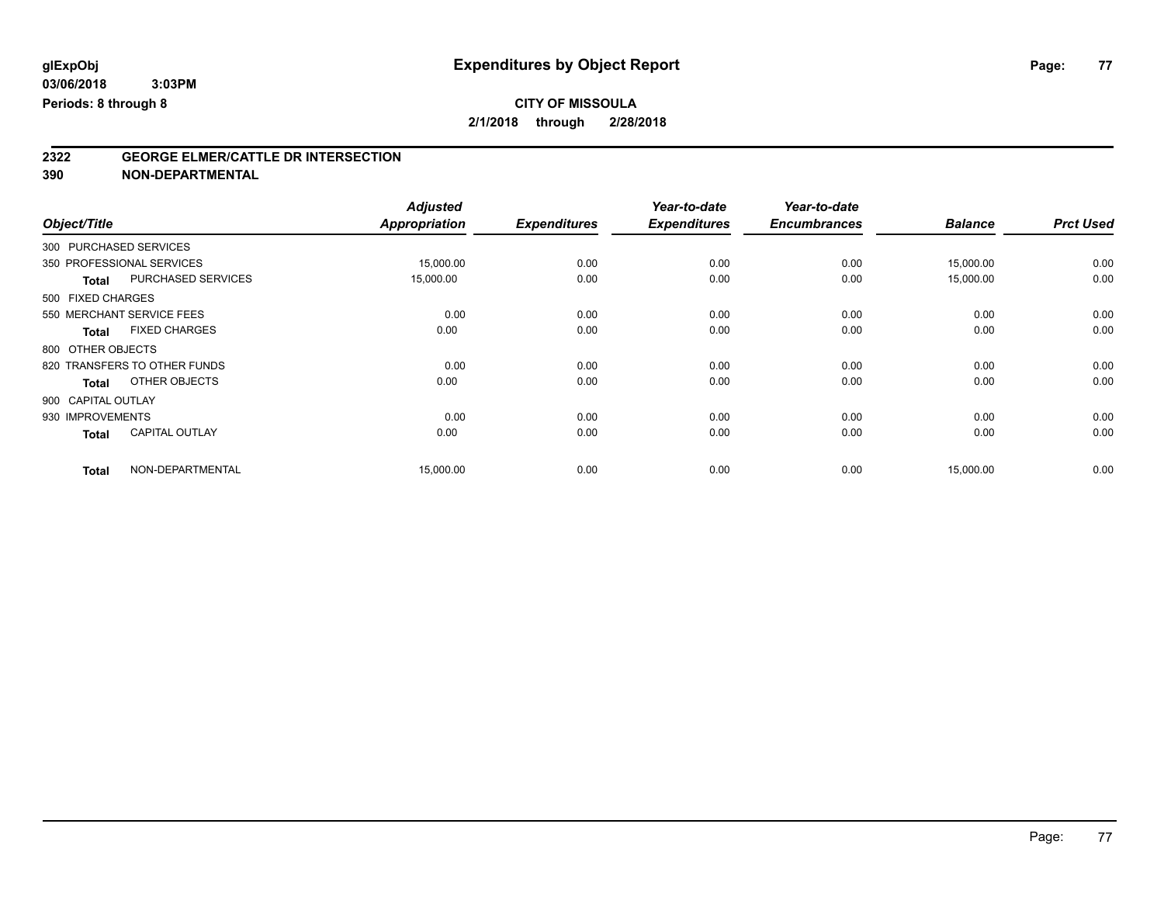## **CITY OF MISSOULA**

**2/1/2018 through 2/28/2018**

# **2322 GEORGE ELMER/CATTLE DR INTERSECTION**

|                              |                       | <b>Adjusted</b>      |                     | Year-to-date        | Year-to-date        |                |                  |
|------------------------------|-----------------------|----------------------|---------------------|---------------------|---------------------|----------------|------------------|
| Object/Title                 |                       | <b>Appropriation</b> | <b>Expenditures</b> | <b>Expenditures</b> | <b>Encumbrances</b> | <b>Balance</b> | <b>Prct Used</b> |
| 300 PURCHASED SERVICES       |                       |                      |                     |                     |                     |                |                  |
| 350 PROFESSIONAL SERVICES    |                       | 15,000.00            | 0.00                | 0.00                | 0.00                | 15,000.00      | 0.00             |
| <b>Total</b>                 | PURCHASED SERVICES    | 15,000.00            | 0.00                | 0.00                | 0.00                | 15,000.00      | 0.00             |
| 500 FIXED CHARGES            |                       |                      |                     |                     |                     |                |                  |
| 550 MERCHANT SERVICE FEES    |                       | 0.00                 | 0.00                | 0.00                | 0.00                | 0.00           | 0.00             |
| <b>Total</b>                 | <b>FIXED CHARGES</b>  | 0.00                 | 0.00                | 0.00                | 0.00                | 0.00           | 0.00             |
| 800 OTHER OBJECTS            |                       |                      |                     |                     |                     |                |                  |
| 820 TRANSFERS TO OTHER FUNDS |                       | 0.00                 | 0.00                | 0.00                | 0.00                | 0.00           | 0.00             |
| <b>Total</b>                 | OTHER OBJECTS         | 0.00                 | 0.00                | 0.00                | 0.00                | 0.00           | 0.00             |
| 900 CAPITAL OUTLAY           |                       |                      |                     |                     |                     |                |                  |
| 930 IMPROVEMENTS             |                       | 0.00                 | 0.00                | 0.00                | 0.00                | 0.00           | 0.00             |
| <b>Total</b>                 | <b>CAPITAL OUTLAY</b> | 0.00                 | 0.00                | 0.00                | 0.00                | 0.00           | 0.00             |
| <b>Total</b>                 | NON-DEPARTMENTAL      | 15,000.00            | 0.00                | 0.00                | 0.00                | 15,000.00      | 0.00             |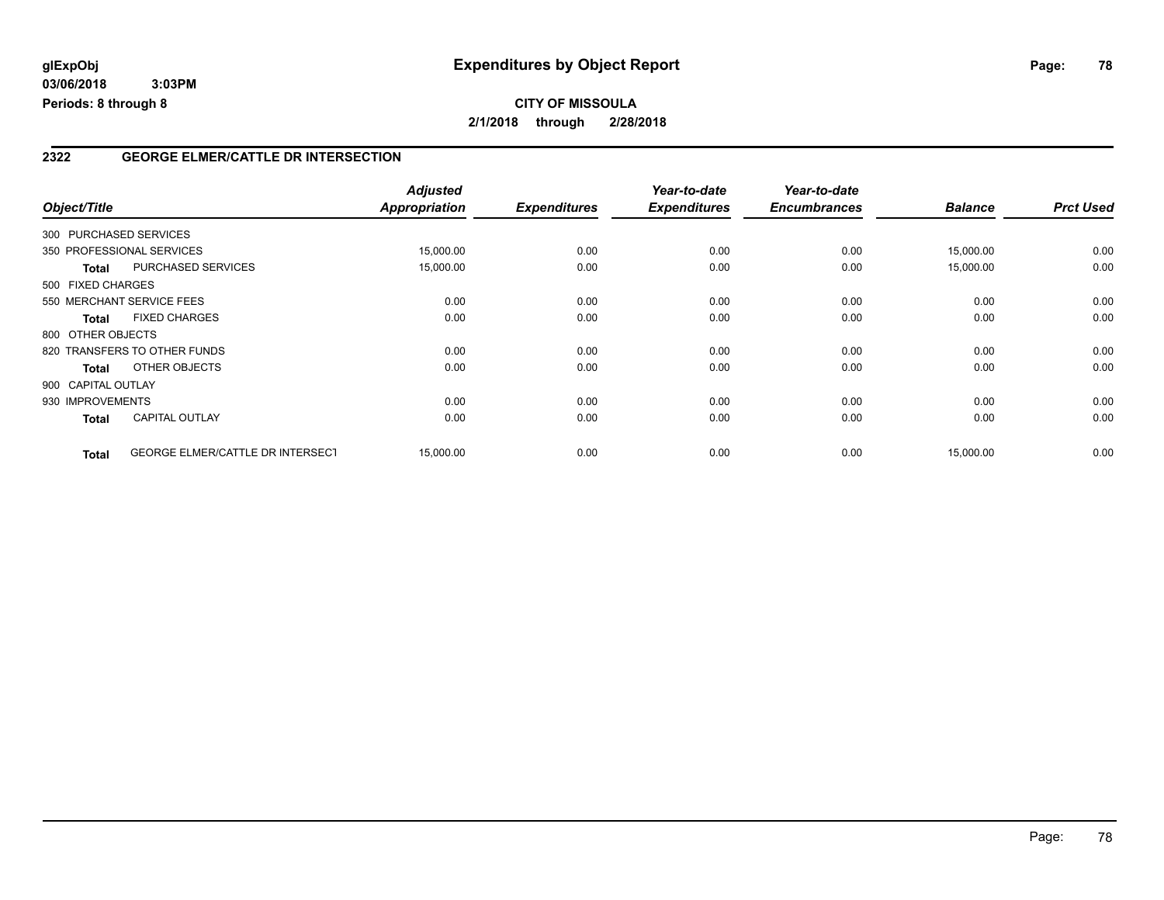#### **2322 GEORGE ELMER/CATTLE DR INTERSECTION**

| Object/Title |                                           | <b>Adjusted</b><br><b>Appropriation</b> | <b>Expenditures</b> | Year-to-date<br><b>Expenditures</b> | Year-to-date<br><b>Encumbrances</b> | <b>Balance</b> | <b>Prct Used</b> |
|--------------|-------------------------------------------|-----------------------------------------|---------------------|-------------------------------------|-------------------------------------|----------------|------------------|
|              | 300 PURCHASED SERVICES                    |                                         |                     |                                     |                                     |                |                  |
|              | 350 PROFESSIONAL SERVICES                 |                                         | 0.00                | 0.00                                |                                     |                | 0.00             |
|              |                                           | 15,000.00                               |                     |                                     | 0.00                                | 15,000.00      |                  |
|              | <b>PURCHASED SERVICES</b><br><b>Total</b> | 15,000.00                               | 0.00                | 0.00                                | 0.00                                | 15,000.00      | 0.00             |
|              | 500 FIXED CHARGES                         |                                         |                     |                                     |                                     |                |                  |
|              | 550 MERCHANT SERVICE FEES                 | 0.00                                    | 0.00                | 0.00                                | 0.00                                | 0.00           | 0.00             |
| <b>Total</b> | <b>FIXED CHARGES</b>                      | 0.00                                    | 0.00                | 0.00                                | 0.00                                | 0.00           | 0.00             |
|              | 800 OTHER OBJECTS                         |                                         |                     |                                     |                                     |                |                  |
|              | 820 TRANSFERS TO OTHER FUNDS              | 0.00                                    | 0.00                | 0.00                                | 0.00                                | 0.00           | 0.00             |
| <b>Total</b> | OTHER OBJECTS                             | 0.00                                    | 0.00                | 0.00                                | 0.00                                | 0.00           | 0.00             |
|              | 900 CAPITAL OUTLAY                        |                                         |                     |                                     |                                     |                |                  |
|              | 930 IMPROVEMENTS                          | 0.00                                    | 0.00                | 0.00                                | 0.00                                | 0.00           | 0.00             |
| <b>Total</b> | <b>CAPITAL OUTLAY</b>                     | 0.00                                    | 0.00                | 0.00                                | 0.00                                | 0.00           | 0.00             |
| <b>Total</b> | <b>GEORGE ELMER/CATTLE DR INTERSECT</b>   | 15,000.00                               | 0.00                | 0.00                                | 0.00                                | 15,000.00      | 0.00             |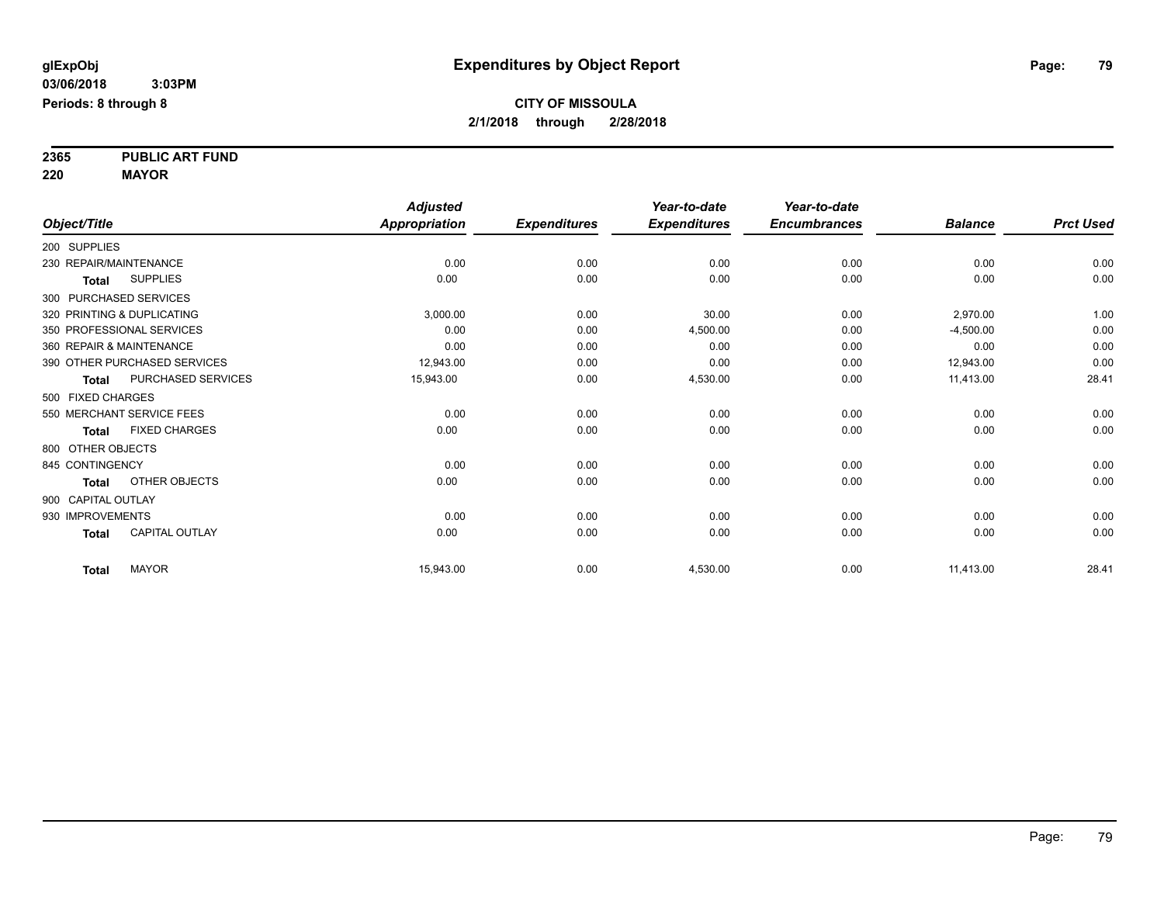**2365 PUBLIC ART FUND**

**220 MAYOR**

|                        |                              | <b>Adjusted</b>      |                     | Year-to-date        | Year-to-date        |                |                  |
|------------------------|------------------------------|----------------------|---------------------|---------------------|---------------------|----------------|------------------|
| Object/Title           |                              | <b>Appropriation</b> | <b>Expenditures</b> | <b>Expenditures</b> | <b>Encumbrances</b> | <b>Balance</b> | <b>Prct Used</b> |
| 200 SUPPLIES           |                              |                      |                     |                     |                     |                |                  |
| 230 REPAIR/MAINTENANCE |                              | 0.00                 | 0.00                | 0.00                | 0.00                | 0.00           | 0.00             |
| <b>Total</b>           | <b>SUPPLIES</b>              | 0.00                 | 0.00                | 0.00                | 0.00                | 0.00           | 0.00             |
|                        | 300 PURCHASED SERVICES       |                      |                     |                     |                     |                |                  |
|                        | 320 PRINTING & DUPLICATING   | 3,000.00             | 0.00                | 30.00               | 0.00                | 2,970.00       | 1.00             |
|                        | 350 PROFESSIONAL SERVICES    | 0.00                 | 0.00                | 4,500.00            | 0.00                | $-4,500.00$    | 0.00             |
|                        | 360 REPAIR & MAINTENANCE     | 0.00                 | 0.00                | 0.00                | 0.00                | 0.00           | 0.00             |
|                        | 390 OTHER PURCHASED SERVICES | 12,943.00            | 0.00                | 0.00                | 0.00                | 12,943.00      | 0.00             |
| <b>Total</b>           | PURCHASED SERVICES           | 15,943.00            | 0.00                | 4,530.00            | 0.00                | 11,413.00      | 28.41            |
| 500 FIXED CHARGES      |                              |                      |                     |                     |                     |                |                  |
|                        | 550 MERCHANT SERVICE FEES    | 0.00                 | 0.00                | 0.00                | 0.00                | 0.00           | 0.00             |
| <b>Total</b>           | <b>FIXED CHARGES</b>         | 0.00                 | 0.00                | 0.00                | 0.00                | 0.00           | 0.00             |
| 800 OTHER OBJECTS      |                              |                      |                     |                     |                     |                |                  |
| 845 CONTINGENCY        |                              | 0.00                 | 0.00                | 0.00                | 0.00                | 0.00           | 0.00             |
| <b>Total</b>           | OTHER OBJECTS                | 0.00                 | 0.00                | 0.00                | 0.00                | 0.00           | 0.00             |
| 900 CAPITAL OUTLAY     |                              |                      |                     |                     |                     |                |                  |
| 930 IMPROVEMENTS       |                              | 0.00                 | 0.00                | 0.00                | 0.00                | 0.00           | 0.00             |
| <b>Total</b>           | <b>CAPITAL OUTLAY</b>        | 0.00                 | 0.00                | 0.00                | 0.00                | 0.00           | 0.00             |
| <b>Total</b>           | <b>MAYOR</b>                 | 15,943.00            | 0.00                | 4,530.00            | 0.00                | 11,413.00      | 28.41            |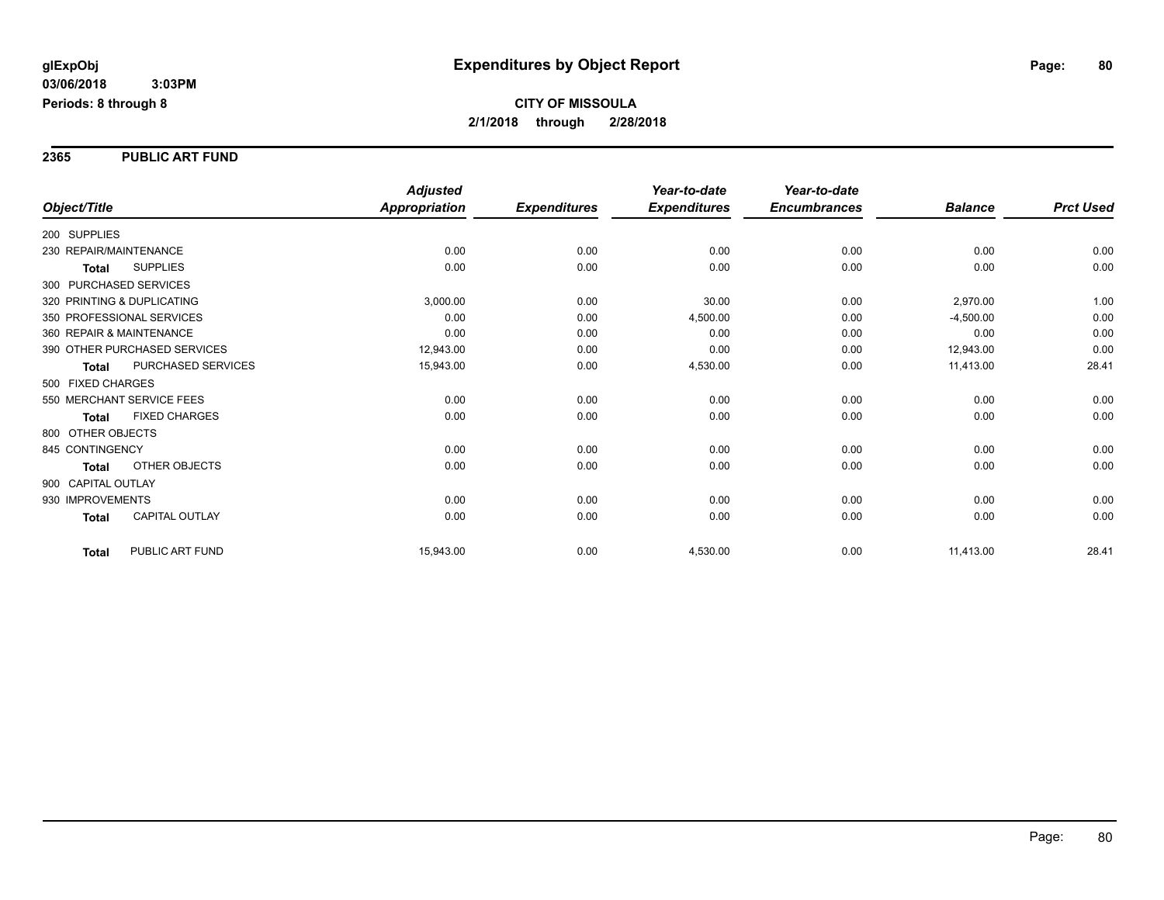**2365 PUBLIC ART FUND**

|                                       | <b>Adjusted</b>      |                     | Year-to-date        | Year-to-date        |                |                  |
|---------------------------------------|----------------------|---------------------|---------------------|---------------------|----------------|------------------|
| Object/Title                          | <b>Appropriation</b> | <b>Expenditures</b> | <b>Expenditures</b> | <b>Encumbrances</b> | <b>Balance</b> | <b>Prct Used</b> |
| 200 SUPPLIES                          |                      |                     |                     |                     |                |                  |
| 230 REPAIR/MAINTENANCE                | 0.00                 | 0.00                | 0.00                | 0.00                | 0.00           | 0.00             |
| <b>SUPPLIES</b><br><b>Total</b>       | 0.00                 | 0.00                | 0.00                | 0.00                | 0.00           | 0.00             |
| 300 PURCHASED SERVICES                |                      |                     |                     |                     |                |                  |
| 320 PRINTING & DUPLICATING            | 3,000.00             | 0.00                | 30.00               | 0.00                | 2,970.00       | 1.00             |
| 350 PROFESSIONAL SERVICES             | 0.00                 | 0.00                | 4,500.00            | 0.00                | $-4,500.00$    | 0.00             |
| 360 REPAIR & MAINTENANCE              | 0.00                 | 0.00                | 0.00                | 0.00                | 0.00           | 0.00             |
| 390 OTHER PURCHASED SERVICES          | 12,943.00            | 0.00                | 0.00                | 0.00                | 12,943.00      | 0.00             |
| PURCHASED SERVICES<br><b>Total</b>    | 15,943.00            | 0.00                | 4,530.00            | 0.00                | 11,413.00      | 28.41            |
| 500 FIXED CHARGES                     |                      |                     |                     |                     |                |                  |
| 550 MERCHANT SERVICE FEES             | 0.00                 | 0.00                | 0.00                | 0.00                | 0.00           | 0.00             |
| <b>FIXED CHARGES</b><br><b>Total</b>  | 0.00                 | 0.00                | 0.00                | 0.00                | 0.00           | 0.00             |
| 800 OTHER OBJECTS                     |                      |                     |                     |                     |                |                  |
| 845 CONTINGENCY                       | 0.00                 | 0.00                | 0.00                | 0.00                | 0.00           | 0.00             |
| <b>OTHER OBJECTS</b><br><b>Total</b>  | 0.00                 | 0.00                | 0.00                | 0.00                | 0.00           | 0.00             |
| 900 CAPITAL OUTLAY                    |                      |                     |                     |                     |                |                  |
| 930 IMPROVEMENTS                      | 0.00                 | 0.00                | 0.00                | 0.00                | 0.00           | 0.00             |
| <b>CAPITAL OUTLAY</b><br><b>Total</b> | 0.00                 | 0.00                | 0.00                | 0.00                | 0.00           | 0.00             |
| PUBLIC ART FUND<br><b>Total</b>       | 15,943.00            | 0.00                | 4,530.00            | 0.00                | 11,413.00      | 28.41            |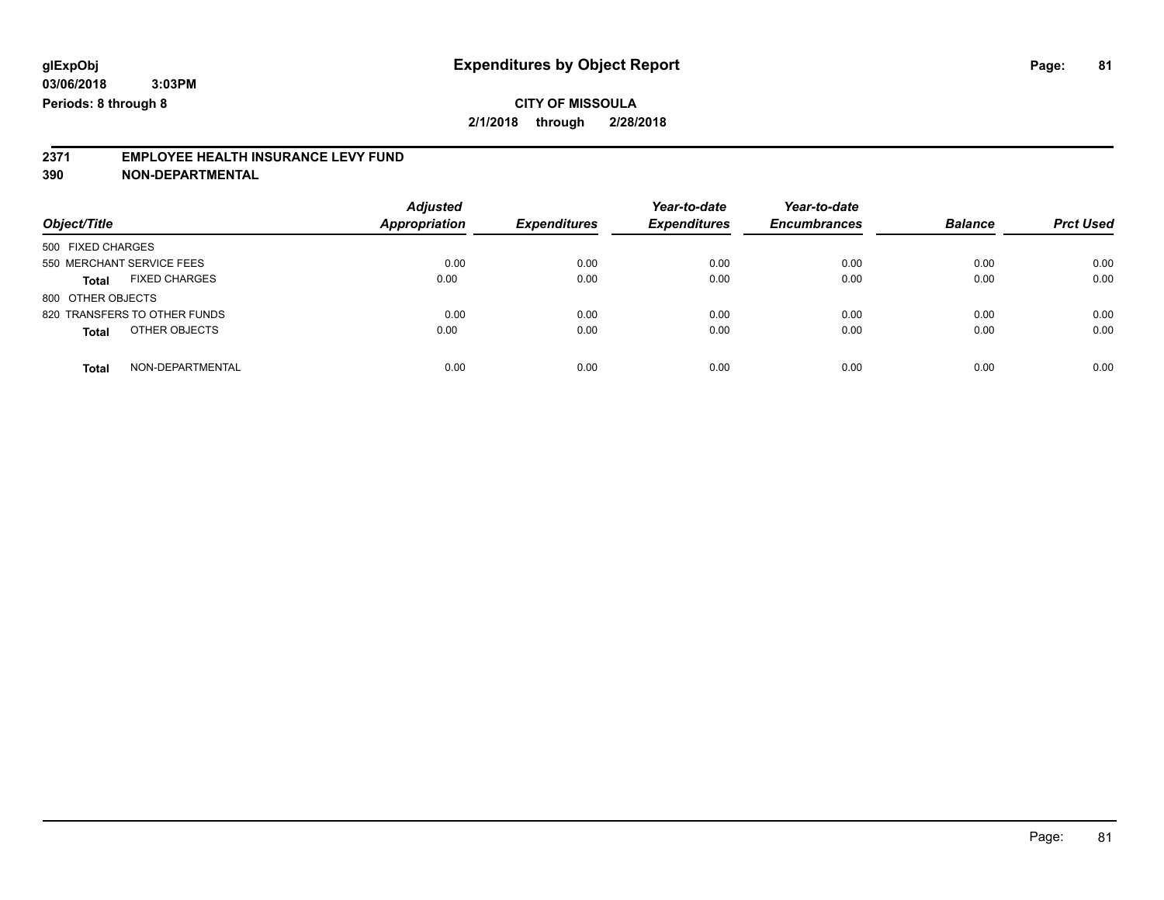# **CITY OF MISSOULA**

**2/1/2018 through 2/28/2018**

# **2371 EMPLOYEE HEALTH INSURANCE LEVY FUND**

| Object/Title                         | <b>Adjusted</b><br><b>Appropriation</b> | <b>Expenditures</b> | Year-to-date<br><b>Expenditures</b> | Year-to-date<br><b>Encumbrances</b> | <b>Balance</b> | <b>Prct Used</b> |
|--------------------------------------|-----------------------------------------|---------------------|-------------------------------------|-------------------------------------|----------------|------------------|
| 500 FIXED CHARGES                    |                                         |                     |                                     |                                     |                |                  |
| 550 MERCHANT SERVICE FEES            | 0.00                                    | 0.00                | 0.00                                | 0.00                                | 0.00           | 0.00             |
| <b>FIXED CHARGES</b><br><b>Total</b> | 0.00                                    | 0.00                | 0.00                                | 0.00                                | 0.00           | 0.00             |
| 800 OTHER OBJECTS                    |                                         |                     |                                     |                                     |                |                  |
| 820 TRANSFERS TO OTHER FUNDS         | 0.00                                    | 0.00                | 0.00                                | 0.00                                | 0.00           | 0.00             |
| OTHER OBJECTS<br><b>Total</b>        | 0.00                                    | 0.00                | 0.00                                | 0.00                                | 0.00           | 0.00             |
| NON-DEPARTMENTAL<br><b>Total</b>     | 0.00                                    | 0.00                | 0.00                                | 0.00                                | 0.00           | 0.00             |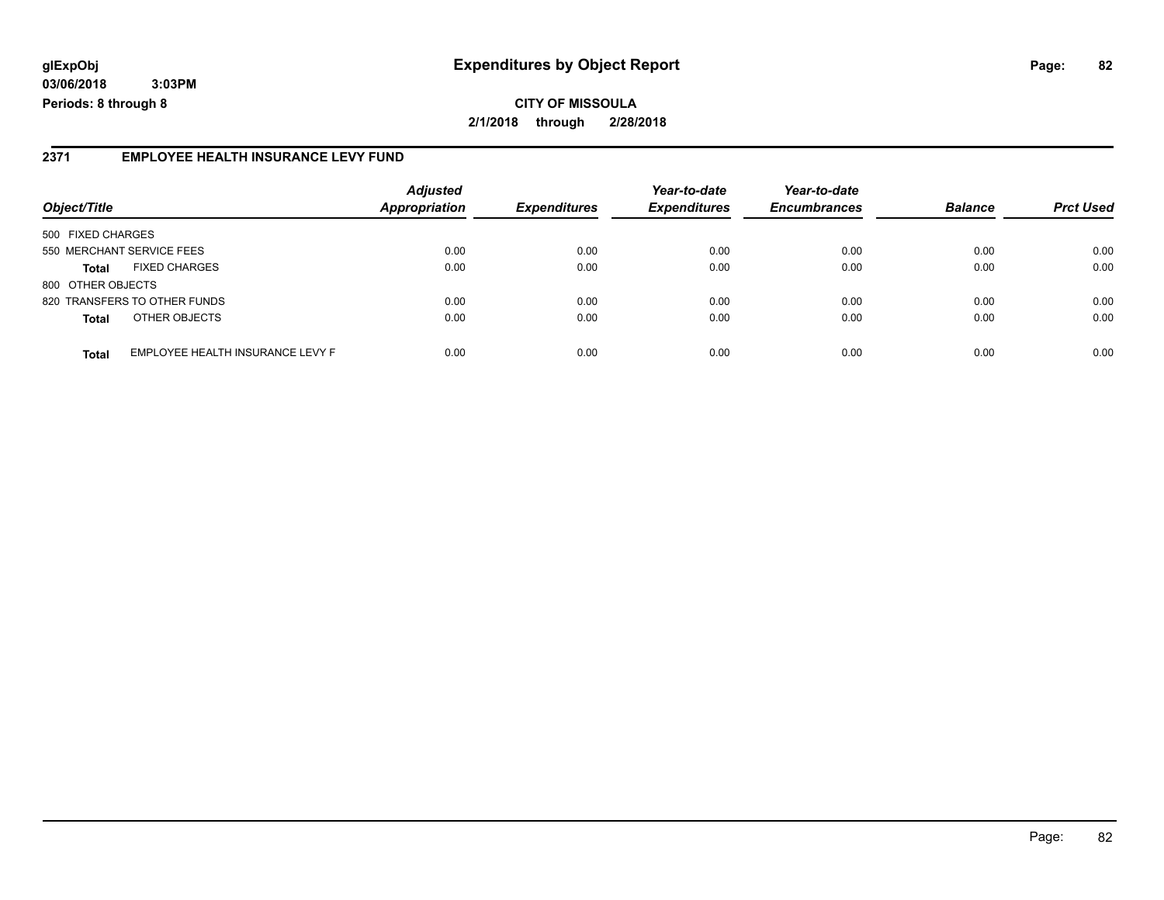## **glExpObj Expenditures by Object Report Page: 82**

**03/06/2018 3:03PM Periods: 8 through 8**

#### **2371 EMPLOYEE HEALTH INSURANCE LEVY FUND**

| Object/Title                 |                                  | <b>Adjusted</b><br><b>Appropriation</b> | <b>Expenditures</b> | Year-to-date<br><b>Expenditures</b> | Year-to-date<br><b>Encumbrances</b> | <b>Balance</b> | <b>Prct Used</b> |
|------------------------------|----------------------------------|-----------------------------------------|---------------------|-------------------------------------|-------------------------------------|----------------|------------------|
|                              |                                  |                                         |                     |                                     |                                     |                |                  |
| 500 FIXED CHARGES            |                                  |                                         |                     |                                     |                                     |                |                  |
| 550 MERCHANT SERVICE FEES    |                                  | 0.00                                    | 0.00                | 0.00                                | 0.00                                | 0.00           | 0.00             |
| <b>Total</b>                 | <b>FIXED CHARGES</b>             | 0.00                                    | 0.00                | 0.00                                | 0.00                                | 0.00           | 0.00             |
| 800 OTHER OBJECTS            |                                  |                                         |                     |                                     |                                     |                |                  |
| 820 TRANSFERS TO OTHER FUNDS |                                  | 0.00                                    | 0.00                | 0.00                                | 0.00                                | 0.00           | 0.00             |
| <b>Total</b>                 | OTHER OBJECTS                    | 0.00                                    | 0.00                | 0.00                                | 0.00                                | 0.00           | 0.00             |
| <b>Total</b>                 | EMPLOYEE HEALTH INSURANCE LEVY F | 0.00                                    | 0.00                | 0.00                                | 0.00                                | 0.00           | 0.00             |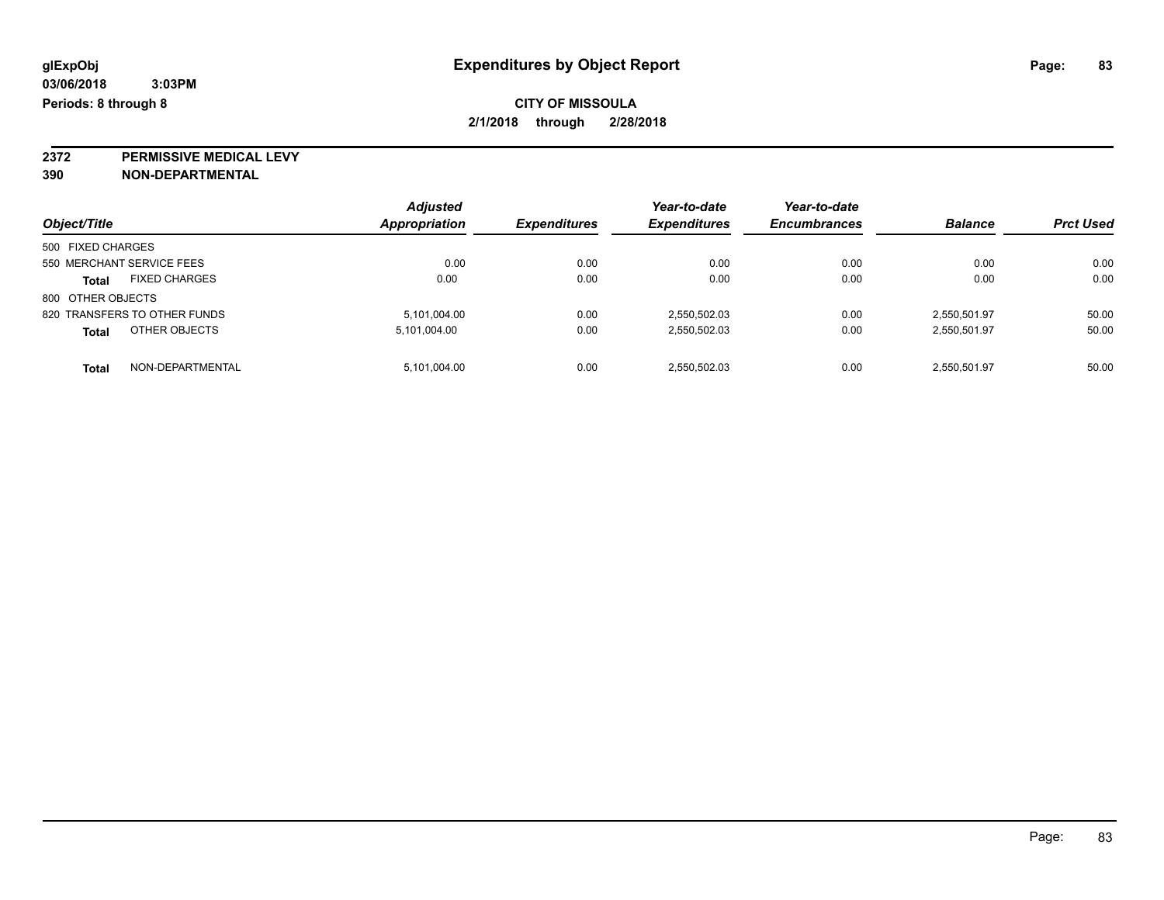**2372 PERMISSIVE MEDICAL LEVY**

| Object/Title                         | <b>Adjusted</b><br>Appropriation | <b>Expenditures</b> | Year-to-date<br><b>Expenditures</b> | Year-to-date<br><b>Encumbrances</b> | <b>Balance</b> | <b>Prct Used</b> |
|--------------------------------------|----------------------------------|---------------------|-------------------------------------|-------------------------------------|----------------|------------------|
| 500 FIXED CHARGES                    |                                  |                     |                                     |                                     |                |                  |
| 550 MERCHANT SERVICE FEES            | 0.00                             | 0.00                | 0.00                                | 0.00                                | 0.00           | 0.00             |
| <b>FIXED CHARGES</b><br><b>Total</b> | 0.00                             | 0.00                | 0.00                                | 0.00                                | 0.00           | 0.00             |
| 800 OTHER OBJECTS                    |                                  |                     |                                     |                                     |                |                  |
| 820 TRANSFERS TO OTHER FUNDS         | 5,101,004.00                     | 0.00                | 2,550,502.03                        | 0.00                                | 2.550.501.97   | 50.00            |
| OTHER OBJECTS<br><b>Total</b>        | 5,101,004.00                     | 0.00                | 2,550,502.03                        | 0.00                                | 2,550,501.97   | 50.00            |
| NON-DEPARTMENTAL<br><b>Total</b>     | 5,101,004.00                     | 0.00                | 2,550,502.03                        | 0.00                                | 2,550,501.97   | 50.00            |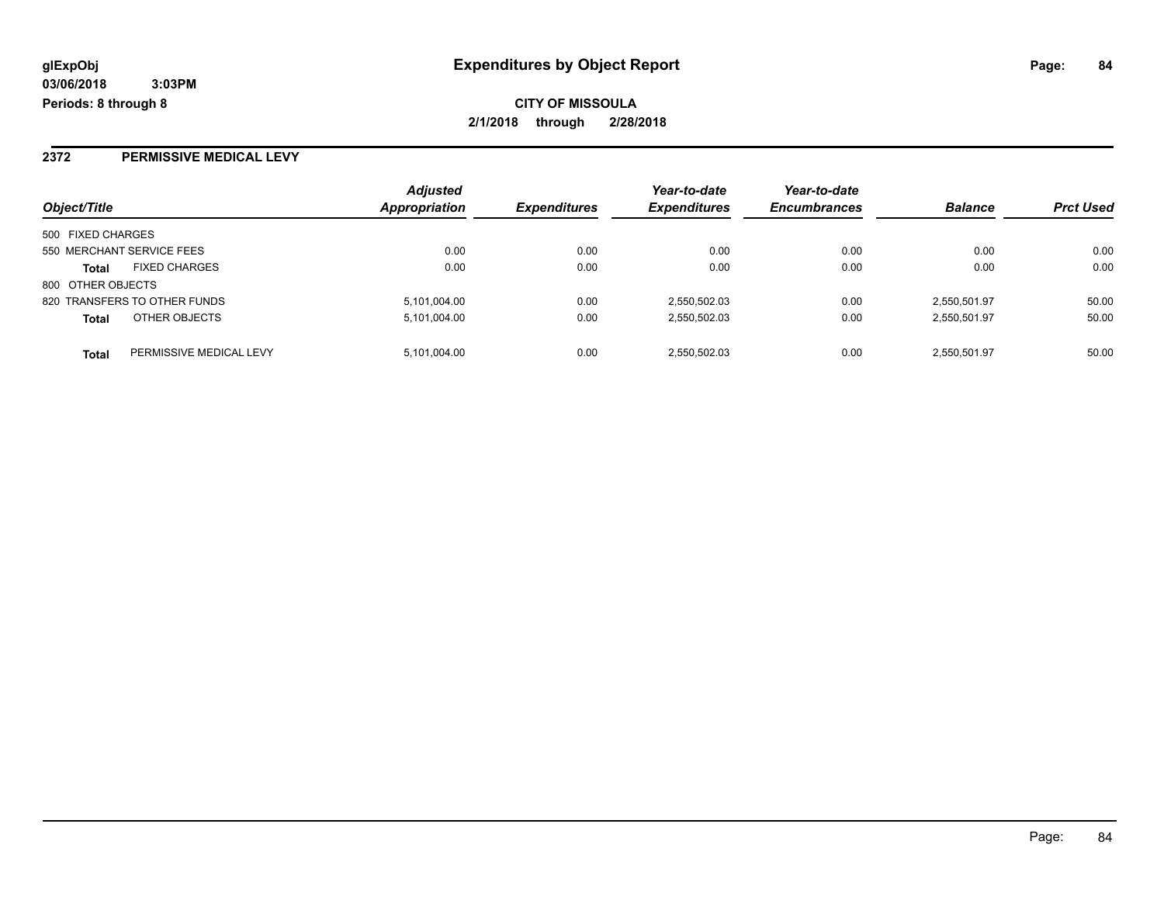### **2372 PERMISSIVE MEDICAL LEVY**

|                                         | <b>Adjusted</b>      |                     | Year-to-date        | Year-to-date        |                |                  |
|-----------------------------------------|----------------------|---------------------|---------------------|---------------------|----------------|------------------|
| Object/Title                            | <b>Appropriation</b> | <b>Expenditures</b> | <b>Expenditures</b> | <b>Encumbrances</b> | <b>Balance</b> | <b>Prct Used</b> |
| 500 FIXED CHARGES                       |                      |                     |                     |                     |                |                  |
| 550 MERCHANT SERVICE FEES               | 0.00                 | 0.00                | 0.00                | 0.00                | 0.00           | 0.00             |
| <b>FIXED CHARGES</b><br><b>Total</b>    | 0.00                 | 0.00                | 0.00                | 0.00                | 0.00           | 0.00             |
| 800 OTHER OBJECTS                       |                      |                     |                     |                     |                |                  |
| 820 TRANSFERS TO OTHER FUNDS            | 5,101,004.00         | 0.00                | 2,550,502.03        | 0.00                | 2,550,501.97   | 50.00            |
| OTHER OBJECTS<br><b>Total</b>           | 5,101,004.00         | 0.00                | 2,550,502.03        | 0.00                | 2,550,501.97   | 50.00            |
| PERMISSIVE MEDICAL LEVY<br><b>Total</b> | 5,101,004.00         | 0.00                | 2,550,502.03        | 0.00                | 2,550,501.97   | 50.00            |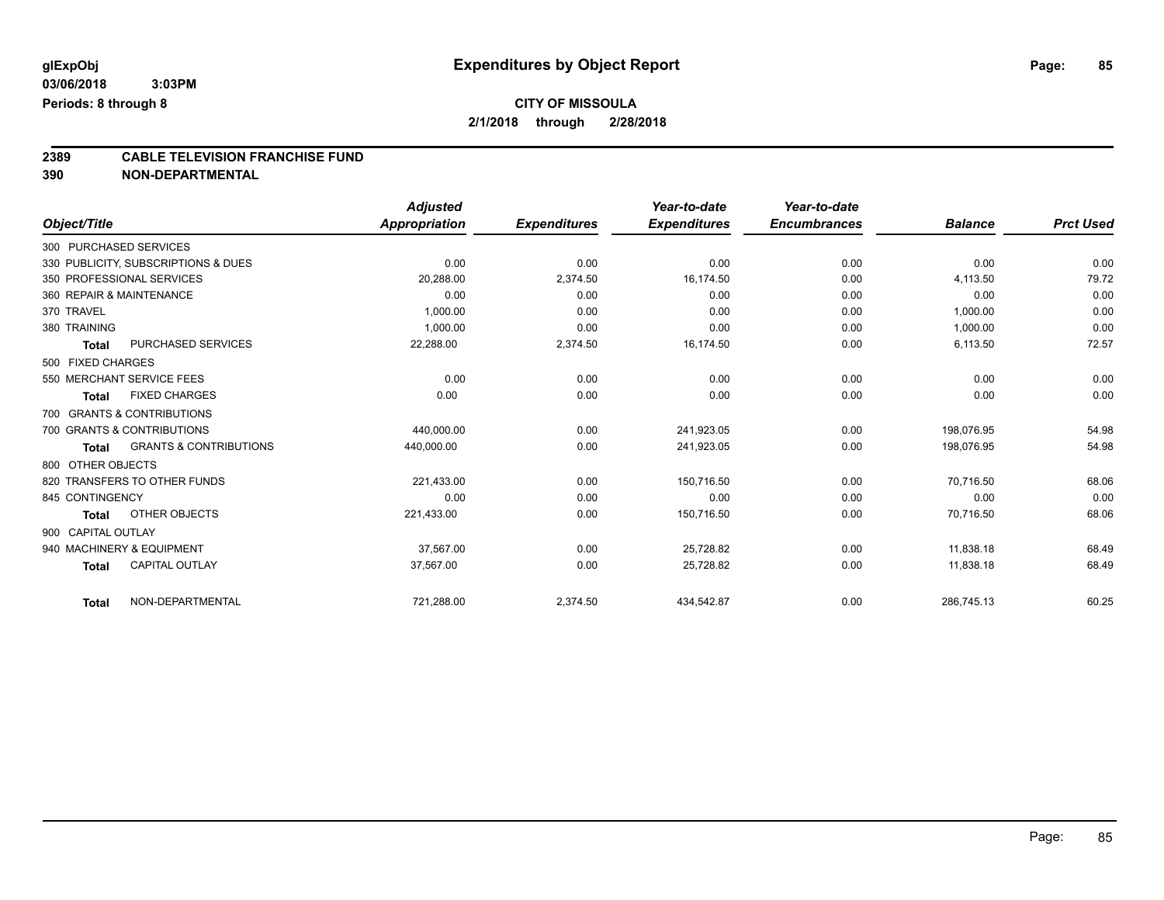# **2389 CABLE TELEVISION FRANCHISE FUND**

|                    |                                     | <b>Adjusted</b> |                     | Year-to-date        | Year-to-date        |                |                  |
|--------------------|-------------------------------------|-----------------|---------------------|---------------------|---------------------|----------------|------------------|
| Object/Title       |                                     | Appropriation   | <b>Expenditures</b> | <b>Expenditures</b> | <b>Encumbrances</b> | <b>Balance</b> | <b>Prct Used</b> |
|                    | 300 PURCHASED SERVICES              |                 |                     |                     |                     |                |                  |
|                    | 330 PUBLICITY, SUBSCRIPTIONS & DUES | 0.00            | 0.00                | 0.00                | 0.00                | 0.00           | 0.00             |
|                    | 350 PROFESSIONAL SERVICES           | 20,288.00       | 2,374.50            | 16,174.50           | 0.00                | 4,113.50       | 79.72            |
|                    | 360 REPAIR & MAINTENANCE            | 0.00            | 0.00                | 0.00                | 0.00                | 0.00           | 0.00             |
| 370 TRAVEL         |                                     | 1,000.00        | 0.00                | 0.00                | 0.00                | 1,000.00       | 0.00             |
| 380 TRAINING       |                                     | 1,000.00        | 0.00                | 0.00                | 0.00                | 1,000.00       | 0.00             |
| <b>Total</b>       | PURCHASED SERVICES                  | 22,288.00       | 2,374.50            | 16,174.50           | 0.00                | 6,113.50       | 72.57            |
| 500 FIXED CHARGES  |                                     |                 |                     |                     |                     |                |                  |
|                    | 550 MERCHANT SERVICE FEES           | 0.00            | 0.00                | 0.00                | 0.00                | 0.00           | 0.00             |
| <b>Total</b>       | <b>FIXED CHARGES</b>                | 0.00            | 0.00                | 0.00                | 0.00                | 0.00           | 0.00             |
|                    | 700 GRANTS & CONTRIBUTIONS          |                 |                     |                     |                     |                |                  |
|                    | 700 GRANTS & CONTRIBUTIONS          | 440.000.00      | 0.00                | 241.923.05          | 0.00                | 198.076.95     | 54.98            |
| Total              | <b>GRANTS &amp; CONTRIBUTIONS</b>   | 440,000.00      | 0.00                | 241,923.05          | 0.00                | 198,076.95     | 54.98            |
| 800 OTHER OBJECTS  |                                     |                 |                     |                     |                     |                |                  |
|                    | 820 TRANSFERS TO OTHER FUNDS        | 221,433.00      | 0.00                | 150,716.50          | 0.00                | 70,716.50      | 68.06            |
| 845 CONTINGENCY    |                                     | 0.00            | 0.00                | 0.00                | 0.00                | 0.00           | 0.00             |
| <b>Total</b>       | OTHER OBJECTS                       | 221,433.00      | 0.00                | 150,716.50          | 0.00                | 70,716.50      | 68.06            |
| 900 CAPITAL OUTLAY |                                     |                 |                     |                     |                     |                |                  |
|                    | 940 MACHINERY & EQUIPMENT           | 37,567.00       | 0.00                | 25,728.82           | 0.00                | 11,838.18      | 68.49            |
| <b>Total</b>       | <b>CAPITAL OUTLAY</b>               | 37,567.00       | 0.00                | 25,728.82           | 0.00                | 11,838.18      | 68.49            |
| <b>Total</b>       | NON-DEPARTMENTAL                    | 721,288.00      | 2,374.50            | 434,542.87          | 0.00                | 286,745.13     | 60.25            |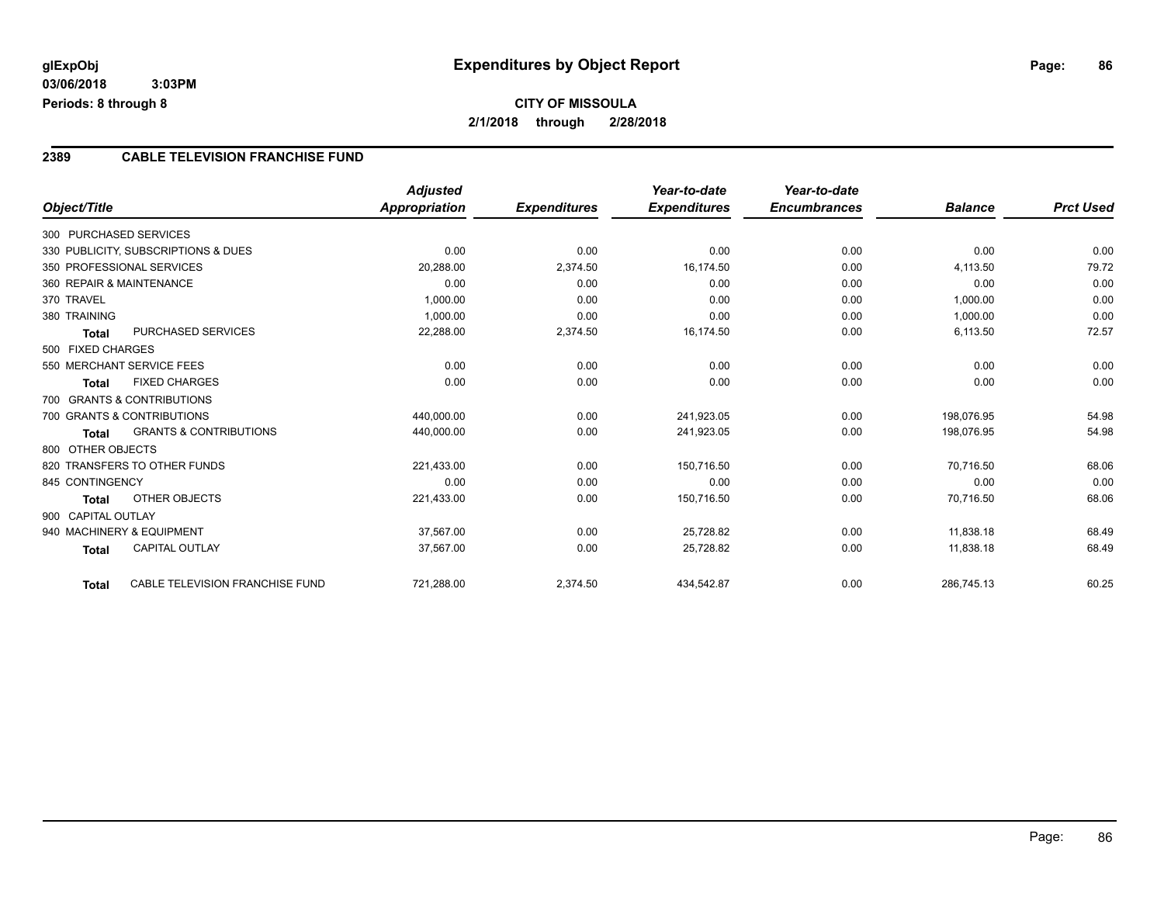## **CITY OF MISSOULA 2/1/2018 through 2/28/2018**

#### **2389 CABLE TELEVISION FRANCHISE FUND**

|                           |                                     | <b>Adjusted</b> |                     | Year-to-date        | Year-to-date        |                |                  |
|---------------------------|-------------------------------------|-----------------|---------------------|---------------------|---------------------|----------------|------------------|
| Object/Title              |                                     | Appropriation   | <b>Expenditures</b> | <b>Expenditures</b> | <b>Encumbrances</b> | <b>Balance</b> | <b>Prct Used</b> |
| 300 PURCHASED SERVICES    |                                     |                 |                     |                     |                     |                |                  |
|                           | 330 PUBLICITY, SUBSCRIPTIONS & DUES |                 | 0.00                | 0.00                | 0.00                | 0.00           | 0.00             |
| 350 PROFESSIONAL SERVICES |                                     | 20,288.00       | 2,374.50            | 16,174.50           | 0.00                | 4,113.50       | 79.72            |
| 360 REPAIR & MAINTENANCE  |                                     | 0.00            | 0.00                | 0.00                | 0.00                | 0.00           | 0.00             |
| 370 TRAVEL                |                                     | 1,000.00        | 0.00                | 0.00                | 0.00                | 1,000.00       | 0.00             |
| 380 TRAINING              |                                     | 1,000.00        | 0.00                | 0.00                | 0.00                | 1,000.00       | 0.00             |
| <b>Total</b>              | PURCHASED SERVICES                  | 22,288.00       | 2,374.50            | 16,174.50           | 0.00                | 6,113.50       | 72.57            |
| 500 FIXED CHARGES         |                                     |                 |                     |                     |                     |                |                  |
|                           | 550 MERCHANT SERVICE FEES           | 0.00            | 0.00                | 0.00                | 0.00                | 0.00           | 0.00             |
| <b>Total</b>              | <b>FIXED CHARGES</b>                | 0.00            | 0.00                | 0.00                | 0.00                | 0.00           | 0.00             |
|                           | 700 GRANTS & CONTRIBUTIONS          |                 |                     |                     |                     |                |                  |
|                           | 700 GRANTS & CONTRIBUTIONS          | 440,000.00      | 0.00                | 241,923.05          | 0.00                | 198.076.95     | 54.98            |
| Total                     | <b>GRANTS &amp; CONTRIBUTIONS</b>   | 440,000.00      | 0.00                | 241,923.05          | 0.00                | 198,076.95     | 54.98            |
| 800 OTHER OBJECTS         |                                     |                 |                     |                     |                     |                |                  |
|                           | 820 TRANSFERS TO OTHER FUNDS        | 221,433.00      | 0.00                | 150,716.50          | 0.00                | 70,716.50      | 68.06            |
| 845 CONTINGENCY           |                                     | 0.00            | 0.00                | 0.00                | 0.00                | 0.00           | 0.00             |
| Total                     | OTHER OBJECTS                       | 221,433.00      | 0.00                | 150,716.50          | 0.00                | 70,716.50      | 68.06            |
| 900 CAPITAL OUTLAY        |                                     |                 |                     |                     |                     |                |                  |
|                           | 940 MACHINERY & EQUIPMENT           | 37,567.00       | 0.00                | 25,728.82           | 0.00                | 11,838.18      | 68.49            |
| <b>Total</b>              | CAPITAL OUTLAY                      | 37,567.00       | 0.00                | 25,728.82           | 0.00                | 11,838.18      | 68.49            |
|                           |                                     |                 |                     |                     |                     |                |                  |
| Total                     | CABLE TELEVISION FRANCHISE FUND     | 721,288.00      | 2,374.50            | 434,542.87          | 0.00                | 286,745.13     | 60.25            |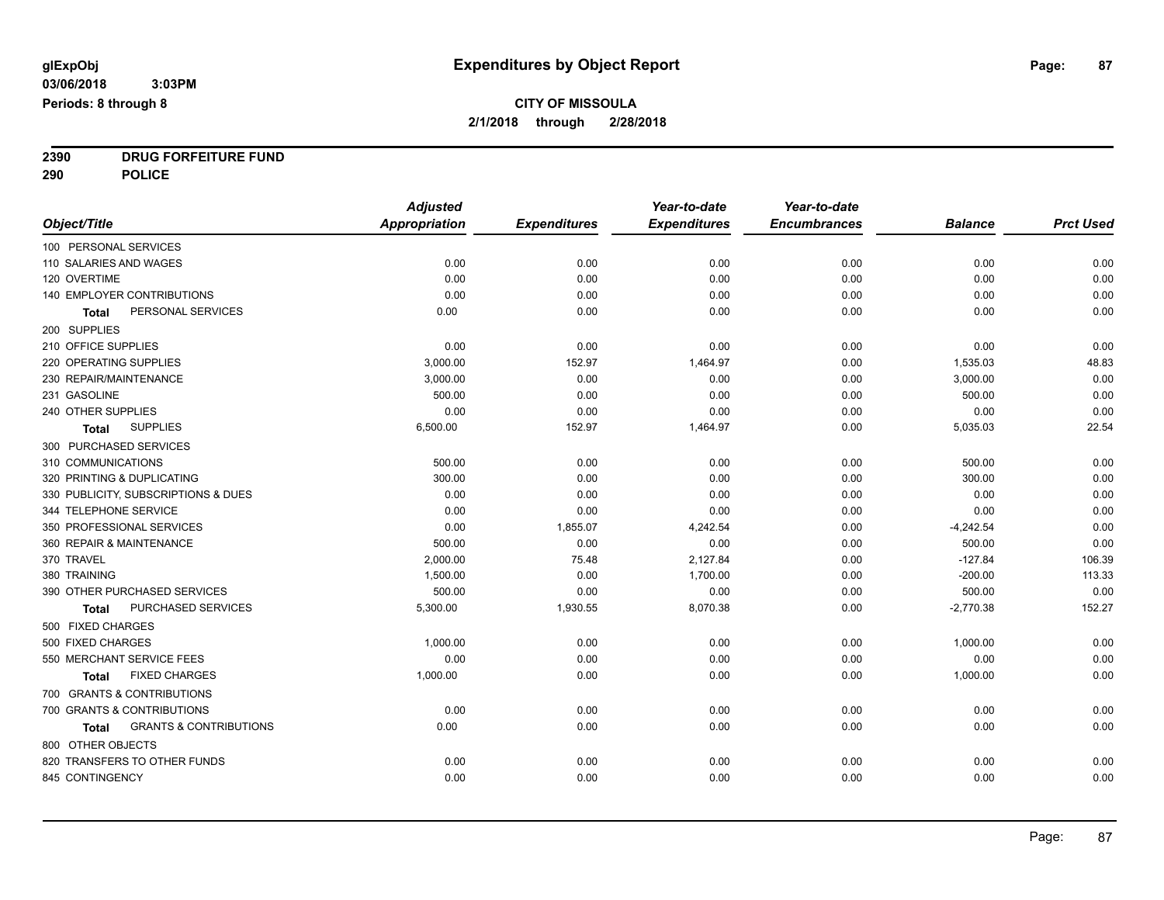**2390 DRUG FORFEITURE FUND**

**290 POLICE**

|                                                   | <b>Adjusted</b>      |                     | Year-to-date        | Year-to-date        |                |                  |
|---------------------------------------------------|----------------------|---------------------|---------------------|---------------------|----------------|------------------|
| Object/Title                                      | <b>Appropriation</b> | <b>Expenditures</b> | <b>Expenditures</b> | <b>Encumbrances</b> | <b>Balance</b> | <b>Prct Used</b> |
| 100 PERSONAL SERVICES                             |                      |                     |                     |                     |                |                  |
| 110 SALARIES AND WAGES                            | 0.00                 | 0.00                | 0.00                | 0.00                | 0.00           | 0.00             |
| 120 OVERTIME                                      | 0.00                 | 0.00                | 0.00                | 0.00                | 0.00           | 0.00             |
| 140 EMPLOYER CONTRIBUTIONS                        | 0.00                 | 0.00                | 0.00                | 0.00                | 0.00           | 0.00             |
| PERSONAL SERVICES<br>Total                        | 0.00                 | 0.00                | 0.00                | 0.00                | 0.00           | 0.00             |
| 200 SUPPLIES                                      |                      |                     |                     |                     |                |                  |
| 210 OFFICE SUPPLIES                               | 0.00                 | 0.00                | 0.00                | 0.00                | 0.00           | 0.00             |
| 220 OPERATING SUPPLIES                            | 3,000.00             | 152.97              | 1,464.97            | 0.00                | 1,535.03       | 48.83            |
| 230 REPAIR/MAINTENANCE                            | 3,000.00             | 0.00                | 0.00                | 0.00                | 3,000.00       | 0.00             |
| 231 GASOLINE                                      | 500.00               | 0.00                | 0.00                | 0.00                | 500.00         | 0.00             |
| 240 OTHER SUPPLIES                                | 0.00                 | 0.00                | 0.00                | 0.00                | 0.00           | 0.00             |
| <b>SUPPLIES</b><br>Total                          | 6,500.00             | 152.97              | 1,464.97            | 0.00                | 5,035.03       | 22.54            |
| 300 PURCHASED SERVICES                            |                      |                     |                     |                     |                |                  |
| 310 COMMUNICATIONS                                | 500.00               | 0.00                | 0.00                | 0.00                | 500.00         | 0.00             |
| 320 PRINTING & DUPLICATING                        | 300.00               | 0.00                | 0.00                | 0.00                | 300.00         | 0.00             |
| 330 PUBLICITY, SUBSCRIPTIONS & DUES               | 0.00                 | 0.00                | 0.00                | 0.00                | 0.00           | 0.00             |
| 344 TELEPHONE SERVICE                             | 0.00                 | 0.00                | 0.00                | 0.00                | 0.00           | 0.00             |
| 350 PROFESSIONAL SERVICES                         | 0.00                 | 1,855.07            | 4,242.54            | 0.00                | $-4,242.54$    | 0.00             |
| 360 REPAIR & MAINTENANCE                          | 500.00               | 0.00                | 0.00                | 0.00                | 500.00         | 0.00             |
| 370 TRAVEL                                        | 2,000.00             | 75.48               | 2,127.84            | 0.00                | $-127.84$      | 106.39           |
| 380 TRAINING                                      | 1,500.00             | 0.00                | 1,700.00            | 0.00                | $-200.00$      | 113.33           |
| 390 OTHER PURCHASED SERVICES                      | 500.00               | 0.00                | 0.00                | 0.00                | 500.00         | 0.00             |
| PURCHASED SERVICES<br><b>Total</b>                | 5,300.00             | 1,930.55            | 8,070.38            | 0.00                | $-2,770.38$    | 152.27           |
| 500 FIXED CHARGES                                 |                      |                     |                     |                     |                |                  |
| 500 FIXED CHARGES                                 | 1,000.00             | 0.00                | 0.00                | 0.00                | 1,000.00       | 0.00             |
| 550 MERCHANT SERVICE FEES                         | 0.00                 | 0.00                | 0.00                | 0.00                | 0.00           | 0.00             |
| <b>FIXED CHARGES</b><br>Total                     | 1,000.00             | 0.00                | 0.00                | 0.00                | 1,000.00       | 0.00             |
| 700 GRANTS & CONTRIBUTIONS                        |                      |                     |                     |                     |                |                  |
| 700 GRANTS & CONTRIBUTIONS                        | 0.00                 | 0.00                | 0.00                | 0.00                | 0.00           | 0.00             |
| <b>GRANTS &amp; CONTRIBUTIONS</b><br><b>Total</b> | 0.00                 | 0.00                | 0.00                | 0.00                | 0.00           | 0.00             |
| 800 OTHER OBJECTS                                 |                      |                     |                     |                     |                |                  |
| 820 TRANSFERS TO OTHER FUNDS                      | 0.00                 | 0.00                | 0.00                | 0.00                | 0.00           | 0.00             |
| 845 CONTINGENCY                                   | 0.00                 | 0.00                | 0.00                | 0.00                | 0.00           | 0.00             |
|                                                   |                      |                     |                     |                     |                |                  |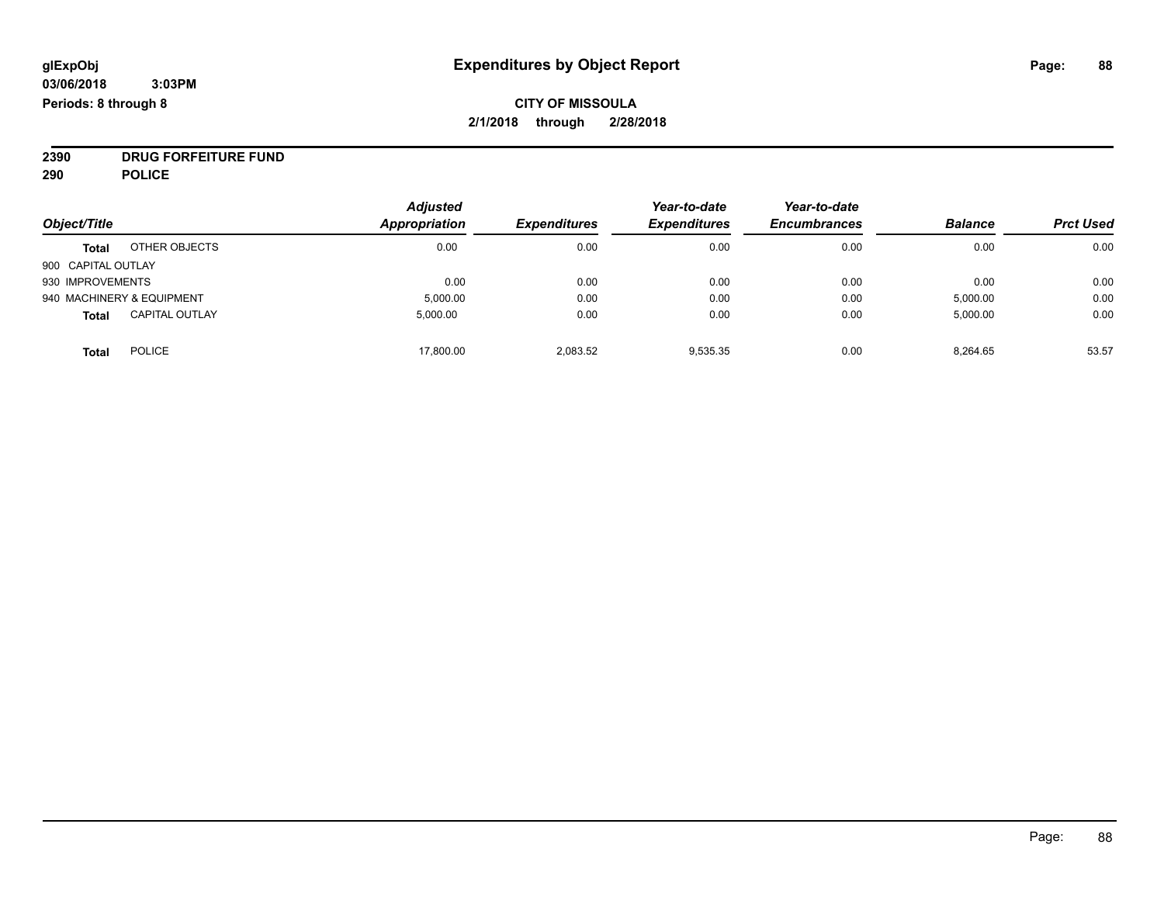### **CITY OF MISSOULA 2/1/2018 through 2/28/2018**

**2390 DRUG FORFEITURE FUND**

**290 POLICE**

|                    |                           | <b>Adjusted</b>      |                     | Year-to-date        | Year-to-date        |                |                  |
|--------------------|---------------------------|----------------------|---------------------|---------------------|---------------------|----------------|------------------|
| Object/Title       |                           | <b>Appropriation</b> | <b>Expenditures</b> | <b>Expenditures</b> | <b>Encumbrances</b> | <b>Balance</b> | <b>Prct Used</b> |
| <b>Total</b>       | OTHER OBJECTS             | 0.00                 | 0.00                | 0.00                | 0.00                | 0.00           | 0.00             |
| 900 CAPITAL OUTLAY |                           |                      |                     |                     |                     |                |                  |
| 930 IMPROVEMENTS   |                           | 0.00                 | 0.00                | 0.00                | 0.00                | 0.00           | 0.00             |
|                    | 940 MACHINERY & EQUIPMENT | 5,000.00             | 0.00                | 0.00                | 0.00                | 5,000.00       | 0.00             |
| <b>Total</b>       | <b>CAPITAL OUTLAY</b>     | 5.000.00             | 0.00                | 0.00                | 0.00                | 5,000.00       | 0.00             |
| <b>Total</b>       | <b>POLICE</b>             | 17,800.00            | 2.083.52            | 9.535.35            | 0.00                | 8,264.65       | 53.57            |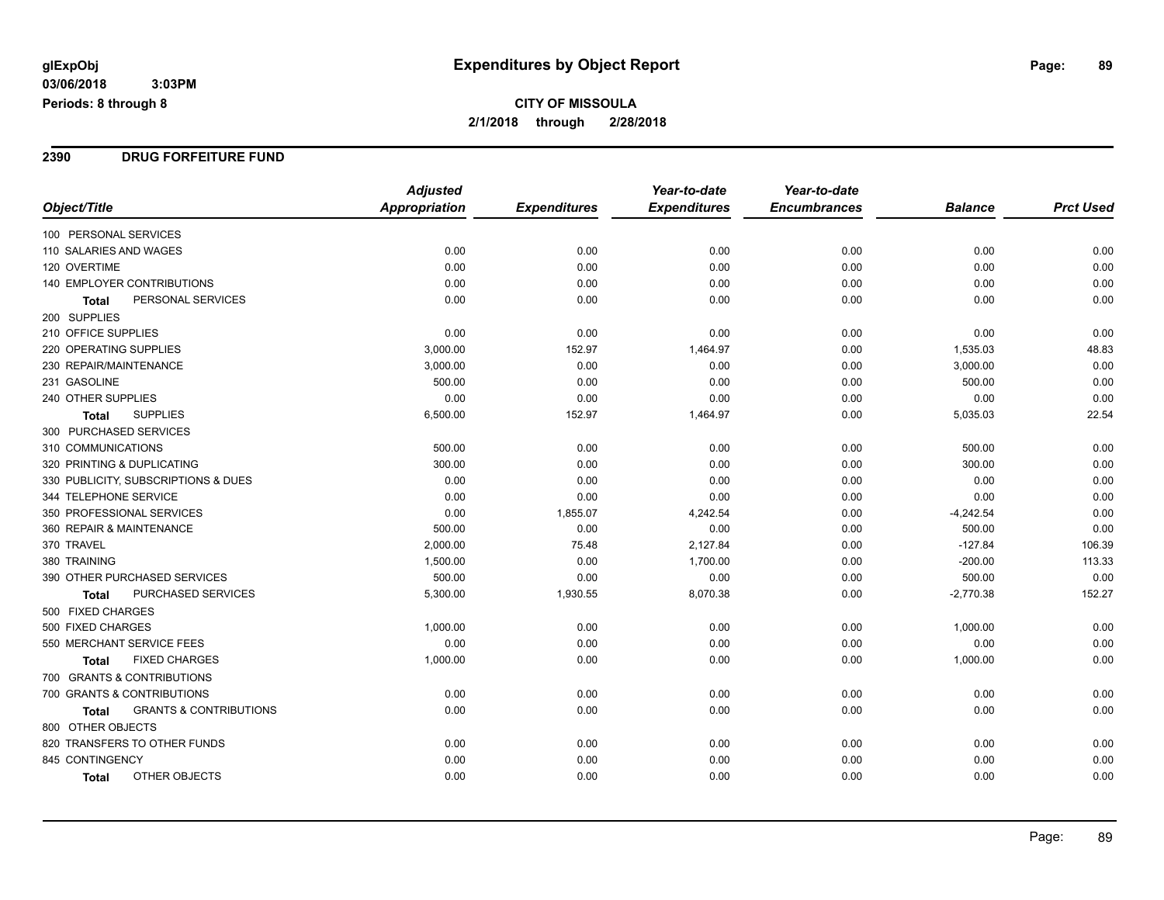#### **2390 DRUG FORFEITURE FUND**

|                                                   | <b>Adjusted</b>      |                     | Year-to-date        | Year-to-date        |                |                  |
|---------------------------------------------------|----------------------|---------------------|---------------------|---------------------|----------------|------------------|
| Object/Title                                      | <b>Appropriation</b> | <b>Expenditures</b> | <b>Expenditures</b> | <b>Encumbrances</b> | <b>Balance</b> | <b>Prct Used</b> |
| 100 PERSONAL SERVICES                             |                      |                     |                     |                     |                |                  |
| 110 SALARIES AND WAGES                            | 0.00                 | 0.00                | 0.00                | 0.00                | 0.00           | 0.00             |
| 120 OVERTIME                                      | 0.00                 | 0.00                | 0.00                | 0.00                | 0.00           | 0.00             |
| 140 EMPLOYER CONTRIBUTIONS                        | 0.00                 | 0.00                | 0.00                | 0.00                | 0.00           | 0.00             |
| PERSONAL SERVICES<br><b>Total</b>                 | 0.00                 | 0.00                | 0.00                | 0.00                | 0.00           | 0.00             |
| 200 SUPPLIES                                      |                      |                     |                     |                     |                |                  |
| 210 OFFICE SUPPLIES                               | 0.00                 | 0.00                | 0.00                | 0.00                | 0.00           | 0.00             |
| 220 OPERATING SUPPLIES                            | 3,000.00             | 152.97              | 1,464.97            | 0.00                | 1,535.03       | 48.83            |
| 230 REPAIR/MAINTENANCE                            | 3,000.00             | 0.00                | 0.00                | 0.00                | 3,000.00       | 0.00             |
| 231 GASOLINE                                      | 500.00               | 0.00                | 0.00                | 0.00                | 500.00         | 0.00             |
| 240 OTHER SUPPLIES                                | 0.00                 | 0.00                | 0.00                | 0.00                | 0.00           | 0.00             |
| <b>SUPPLIES</b><br><b>Total</b>                   | 6,500.00             | 152.97              | 1,464.97            | 0.00                | 5,035.03       | 22.54            |
| 300 PURCHASED SERVICES                            |                      |                     |                     |                     |                |                  |
| 310 COMMUNICATIONS                                | 500.00               | 0.00                | 0.00                | 0.00                | 500.00         | 0.00             |
| 320 PRINTING & DUPLICATING                        | 300.00               | 0.00                | 0.00                | 0.00                | 300.00         | 0.00             |
| 330 PUBLICITY, SUBSCRIPTIONS & DUES               | 0.00                 | 0.00                | 0.00                | 0.00                | 0.00           | 0.00             |
| 344 TELEPHONE SERVICE                             | 0.00                 | 0.00                | 0.00                | 0.00                | 0.00           | 0.00             |
| 350 PROFESSIONAL SERVICES                         | 0.00                 | 1,855.07            | 4,242.54            | 0.00                | $-4,242.54$    | 0.00             |
| 360 REPAIR & MAINTENANCE                          | 500.00               | 0.00                | 0.00                | 0.00                | 500.00         | 0.00             |
| 370 TRAVEL                                        | 2,000.00             | 75.48               | 2,127.84            | 0.00                | $-127.84$      | 106.39           |
| 380 TRAINING                                      | 1,500.00             | 0.00                | 1,700.00            | 0.00                | $-200.00$      | 113.33           |
| 390 OTHER PURCHASED SERVICES                      | 500.00               | 0.00                | 0.00                | 0.00                | 500.00         | 0.00             |
| PURCHASED SERVICES<br>Total                       | 5,300.00             | 1,930.55            | 8,070.38            | 0.00                | $-2,770.38$    | 152.27           |
| 500 FIXED CHARGES                                 |                      |                     |                     |                     |                |                  |
| 500 FIXED CHARGES                                 | 1,000.00             | 0.00                | 0.00                | 0.00                | 1,000.00       | 0.00             |
| 550 MERCHANT SERVICE FEES                         | 0.00                 | 0.00                | 0.00                | 0.00                | 0.00           | 0.00             |
| <b>FIXED CHARGES</b><br><b>Total</b>              | 1,000.00             | 0.00                | 0.00                | 0.00                | 1,000.00       | 0.00             |
| 700 GRANTS & CONTRIBUTIONS                        |                      |                     |                     |                     |                |                  |
| 700 GRANTS & CONTRIBUTIONS                        | 0.00                 | 0.00                | 0.00                | 0.00                | 0.00           | 0.00             |
| <b>GRANTS &amp; CONTRIBUTIONS</b><br><b>Total</b> | 0.00                 | 0.00                | 0.00                | 0.00                | 0.00           | 0.00             |
| 800 OTHER OBJECTS                                 |                      |                     |                     |                     |                |                  |
| 820 TRANSFERS TO OTHER FUNDS                      | 0.00                 | 0.00                | 0.00                | 0.00                | 0.00           | 0.00             |
| 845 CONTINGENCY                                   | 0.00                 | 0.00                | 0.00                | 0.00                | 0.00           | 0.00             |
| OTHER OBJECTS<br><b>Total</b>                     | 0.00                 | 0.00                | 0.00                | 0.00                | 0.00           | 0.00             |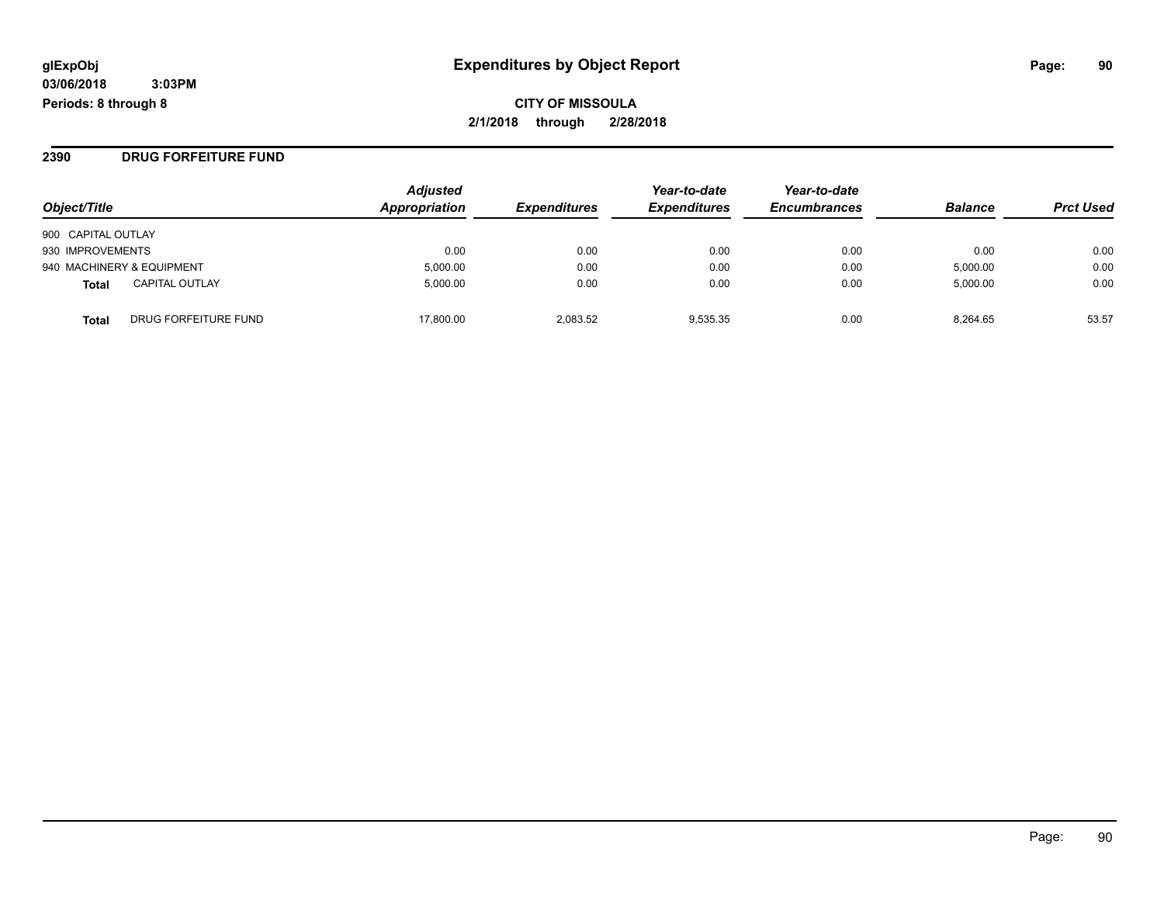**CITY OF MISSOULA 2/1/2018 through 2/28/2018**

#### **2390 DRUG FORFEITURE FUND**

| Object/Title                          | <b>Adjusted</b><br>Appropriation | <b>Expenditures</b> | Year-to-date<br><b>Expenditures</b> | Year-to-date<br><b>Encumbrances</b> | <b>Balance</b> | <b>Prct Used</b> |
|---------------------------------------|----------------------------------|---------------------|-------------------------------------|-------------------------------------|----------------|------------------|
| 900 CAPITAL OUTLAY                    |                                  |                     |                                     |                                     |                |                  |
| 930 IMPROVEMENTS                      | 0.00                             | 0.00                | 0.00                                | 0.00                                | 0.00           | 0.00             |
| 940 MACHINERY & EQUIPMENT             | 5,000.00                         | 0.00                | 0.00                                | 0.00                                | 5,000.00       | 0.00             |
| <b>CAPITAL OUTLAY</b><br><b>Total</b> | 5.000.00                         | 0.00                | 0.00                                | 0.00                                | 5.000.00       | 0.00             |
| DRUG FORFEITURE FUND<br><b>Total</b>  | 17.800.00                        | 2.083.52            | 9.535.35                            | 0.00                                | 8.264.65       | 53.57            |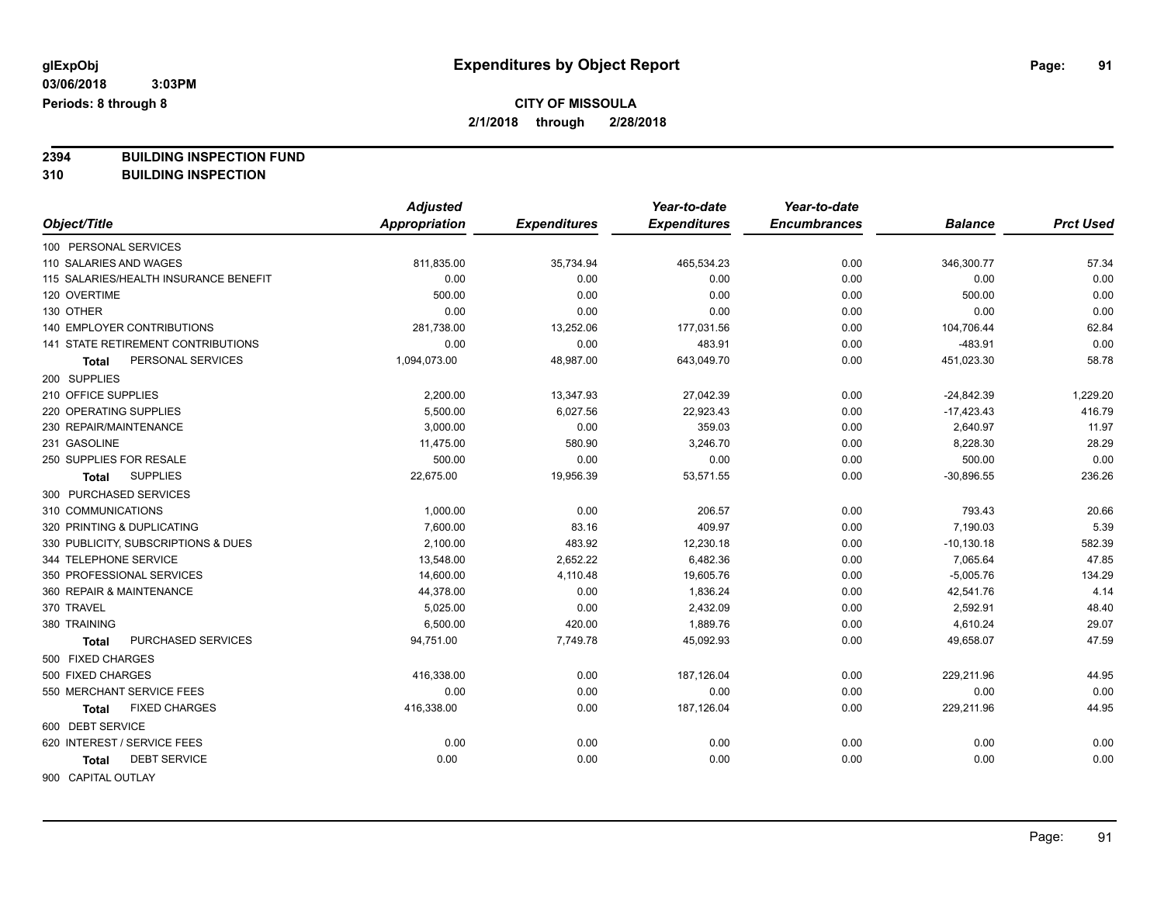**2394 BUILDING INSPECTION FUND**

**310 BUILDING INSPECTION**

|                                       | <b>Adjusted</b> |                     | Year-to-date        | Year-to-date        |                |                  |
|---------------------------------------|-----------------|---------------------|---------------------|---------------------|----------------|------------------|
| Object/Title                          | Appropriation   | <b>Expenditures</b> | <b>Expenditures</b> | <b>Encumbrances</b> | <b>Balance</b> | <b>Prct Used</b> |
| 100 PERSONAL SERVICES                 |                 |                     |                     |                     |                |                  |
| 110 SALARIES AND WAGES                | 811,835.00      | 35,734.94           | 465,534.23          | 0.00                | 346,300.77     | 57.34            |
| 115 SALARIES/HEALTH INSURANCE BENEFIT | 0.00            | 0.00                | 0.00                | 0.00                | 0.00           | 0.00             |
| 120 OVERTIME                          | 500.00          | 0.00                | 0.00                | 0.00                | 500.00         | 0.00             |
| 130 OTHER                             | 0.00            | 0.00                | 0.00                | 0.00                | 0.00           | 0.00             |
| 140 EMPLOYER CONTRIBUTIONS            | 281,738.00      | 13,252.06           | 177,031.56          | 0.00                | 104,706.44     | 62.84            |
| 141 STATE RETIREMENT CONTRIBUTIONS    | 0.00            | 0.00                | 483.91              | 0.00                | $-483.91$      | 0.00             |
| PERSONAL SERVICES<br>Total            | 1,094,073.00    | 48,987.00           | 643,049.70          | 0.00                | 451,023.30     | 58.78            |
| 200 SUPPLIES                          |                 |                     |                     |                     |                |                  |
| 210 OFFICE SUPPLIES                   | 2,200.00        | 13,347.93           | 27,042.39           | 0.00                | $-24,842.39$   | 1,229.20         |
| 220 OPERATING SUPPLIES                | 5,500.00        | 6,027.56            | 22,923.43           | 0.00                | $-17,423.43$   | 416.79           |
| 230 REPAIR/MAINTENANCE                | 3,000.00        | 0.00                | 359.03              | 0.00                | 2,640.97       | 11.97            |
| 231 GASOLINE                          | 11,475.00       | 580.90              | 3,246.70            | 0.00                | 8,228.30       | 28.29            |
| 250 SUPPLIES FOR RESALE               | 500.00          | 0.00                | 0.00                | 0.00                | 500.00         | 0.00             |
| <b>SUPPLIES</b><br>Total              | 22,675.00       | 19,956.39           | 53,571.55           | 0.00                | $-30,896.55$   | 236.26           |
| 300 PURCHASED SERVICES                |                 |                     |                     |                     |                |                  |
| 310 COMMUNICATIONS                    | 1,000.00        | 0.00                | 206.57              | 0.00                | 793.43         | 20.66            |
| 320 PRINTING & DUPLICATING            | 7,600.00        | 83.16               | 409.97              | 0.00                | 7,190.03       | 5.39             |
| 330 PUBLICITY, SUBSCRIPTIONS & DUES   | 2,100.00        | 483.92              | 12,230.18           | 0.00                | $-10, 130.18$  | 582.39           |
| 344 TELEPHONE SERVICE                 | 13,548.00       | 2,652.22            | 6,482.36            | 0.00                | 7,065.64       | 47.85            |
| 350 PROFESSIONAL SERVICES             | 14,600.00       | 4,110.48            | 19,605.76           | 0.00                | $-5,005.76$    | 134.29           |
| 360 REPAIR & MAINTENANCE              | 44,378.00       | 0.00                | 1,836.24            | 0.00                | 42,541.76      | 4.14             |
| 370 TRAVEL                            | 5,025.00        | 0.00                | 2,432.09            | 0.00                | 2,592.91       | 48.40            |
| 380 TRAINING                          | 6,500.00        | 420.00              | 1,889.76            | 0.00                | 4,610.24       | 29.07            |
| PURCHASED SERVICES<br><b>Total</b>    | 94,751.00       | 7,749.78            | 45,092.93           | 0.00                | 49,658.07      | 47.59            |
| 500 FIXED CHARGES                     |                 |                     |                     |                     |                |                  |
| 500 FIXED CHARGES                     | 416,338.00      | 0.00                | 187,126.04          | 0.00                | 229,211.96     | 44.95            |
| 550 MERCHANT SERVICE FEES             | 0.00            | 0.00                | 0.00                | 0.00                | 0.00           | 0.00             |
| <b>FIXED CHARGES</b><br><b>Total</b>  | 416,338.00      | 0.00                | 187,126.04          | 0.00                | 229,211.96     | 44.95            |
| 600 DEBT SERVICE                      |                 |                     |                     |                     |                |                  |
| 620 INTEREST / SERVICE FEES           | 0.00            | 0.00                | 0.00                | 0.00                | 0.00           | 0.00             |
| <b>DEBT SERVICE</b><br>Total          | 0.00            | 0.00                | 0.00                | 0.00                | 0.00           | 0.00             |
| 900 CAPITAL OUTLAY                    |                 |                     |                     |                     |                |                  |

Page: 91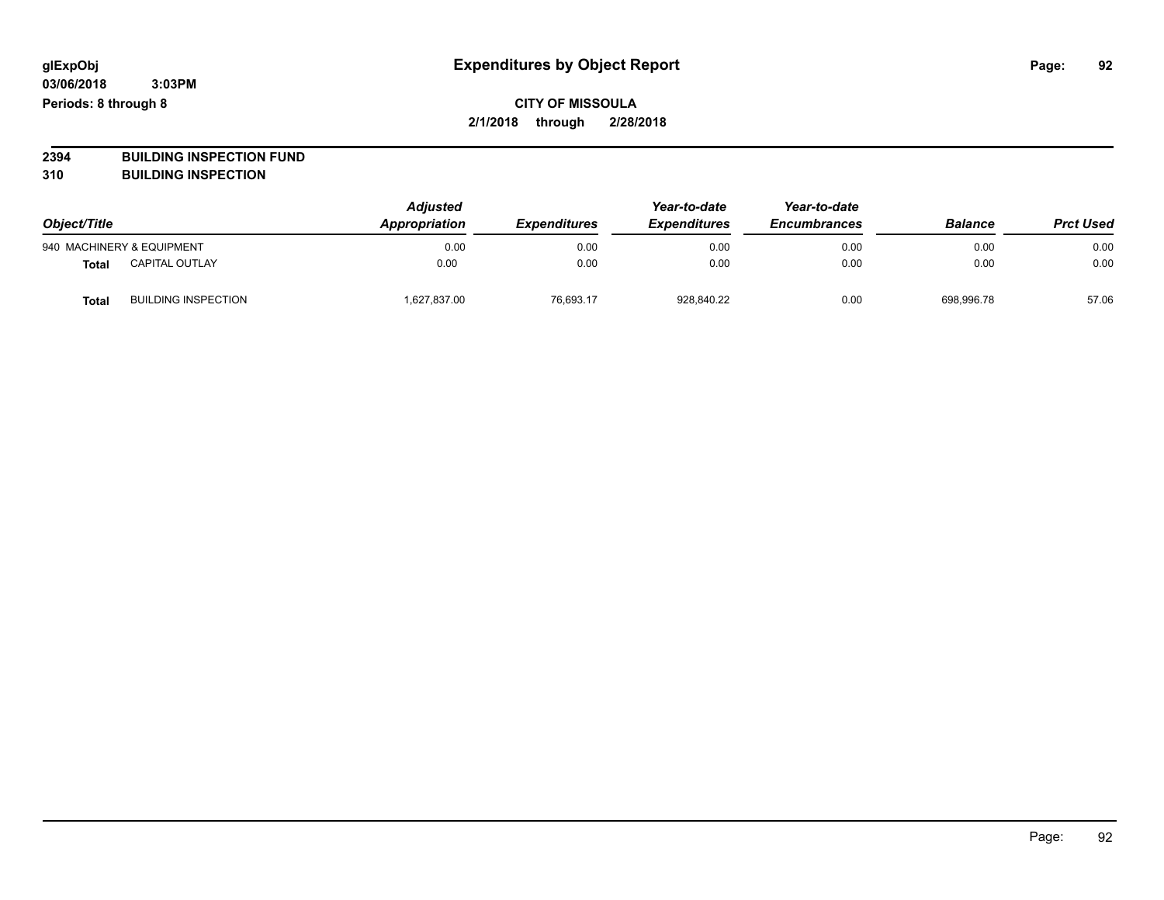# **2394 BUILDING INSPECTION FUND**

**310 BUILDING INSPECTION**

| Object/Title |                            | <b>Adjusted</b><br>Appropriation | <b>Expenditures</b> | Year-to-date<br><b>Expenditures</b> | Year-to-date<br><b>Encumbrances</b> | <b>Balance</b> | <b>Prct Used</b> |
|--------------|----------------------------|----------------------------------|---------------------|-------------------------------------|-------------------------------------|----------------|------------------|
|              | 940 MACHINERY & EQUIPMENT  | 0.00                             | 0.00                | 0.00                                | 0.00                                | 0.00           | 0.00             |
| <b>Total</b> | <b>CAPITAL OUTLAY</b>      | 0.00                             | 0.00                | 0.00                                | 0.00                                | 0.00           | 0.00             |
| <b>Total</b> | <b>BUILDING INSPECTION</b> | 1,627,837.00                     | 76.693.17           | 928.840.22                          | 0.00                                | 698.996.78     | 57.06            |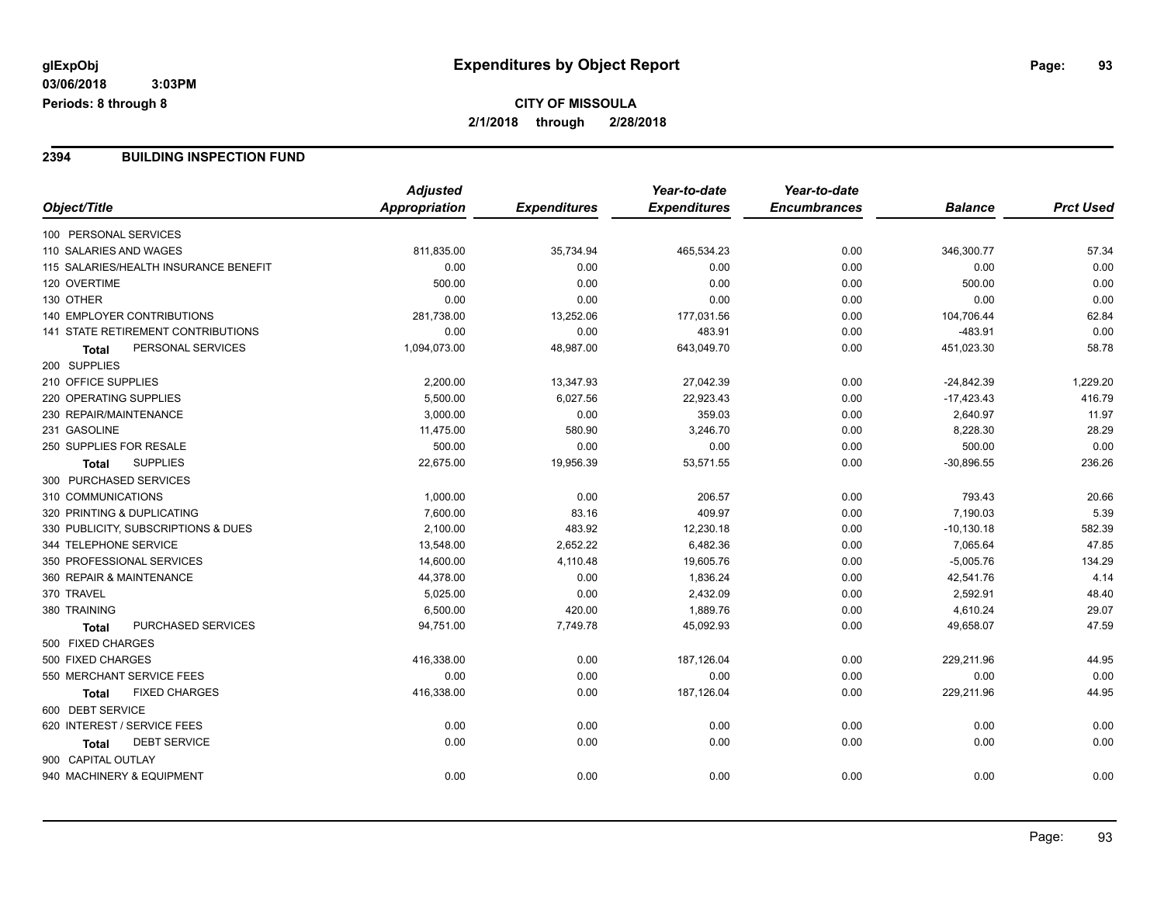#### **2394 BUILDING INSPECTION FUND**

|                                           | <b>Adjusted</b> |                     | Year-to-date        | Year-to-date        |                |                  |
|-------------------------------------------|-----------------|---------------------|---------------------|---------------------|----------------|------------------|
| Object/Title                              | Appropriation   | <b>Expenditures</b> | <b>Expenditures</b> | <b>Encumbrances</b> | <b>Balance</b> | <b>Prct Used</b> |
| 100 PERSONAL SERVICES                     |                 |                     |                     |                     |                |                  |
| 110 SALARIES AND WAGES                    | 811,835.00      | 35,734.94           | 465,534.23          | 0.00                | 346,300.77     | 57.34            |
| 115 SALARIES/HEALTH INSURANCE BENEFIT     | 0.00            | 0.00                | 0.00                | 0.00                | 0.00           | 0.00             |
| 120 OVERTIME                              | 500.00          | 0.00                | 0.00                | 0.00                | 500.00         | 0.00             |
| 130 OTHER                                 | 0.00            | 0.00                | 0.00                | 0.00                | 0.00           | 0.00             |
| 140 EMPLOYER CONTRIBUTIONS                | 281,738.00      | 13,252.06           | 177,031.56          | 0.00                | 104,706.44     | 62.84            |
| <b>141 STATE RETIREMENT CONTRIBUTIONS</b> | 0.00            | 0.00                | 483.91              | 0.00                | $-483.91$      | 0.00             |
| PERSONAL SERVICES<br>Total                | 1,094,073.00    | 48,987.00           | 643,049.70          | 0.00                | 451,023.30     | 58.78            |
| 200 SUPPLIES                              |                 |                     |                     |                     |                |                  |
| 210 OFFICE SUPPLIES                       | 2,200.00        | 13,347.93           | 27,042.39           | 0.00                | $-24,842.39$   | 1,229.20         |
| 220 OPERATING SUPPLIES                    | 5,500.00        | 6,027.56            | 22,923.43           | 0.00                | $-17,423.43$   | 416.79           |
| 230 REPAIR/MAINTENANCE                    | 3,000.00        | 0.00                | 359.03              | 0.00                | 2,640.97       | 11.97            |
| 231 GASOLINE                              | 11,475.00       | 580.90              | 3,246.70            | 0.00                | 8,228.30       | 28.29            |
| 250 SUPPLIES FOR RESALE                   | 500.00          | 0.00                | 0.00                | 0.00                | 500.00         | 0.00             |
| <b>SUPPLIES</b><br><b>Total</b>           | 22,675.00       | 19,956.39           | 53,571.55           | 0.00                | $-30,896.55$   | 236.26           |
| 300 PURCHASED SERVICES                    |                 |                     |                     |                     |                |                  |
| 310 COMMUNICATIONS                        | 1,000.00        | 0.00                | 206.57              | 0.00                | 793.43         | 20.66            |
| 320 PRINTING & DUPLICATING                | 7,600.00        | 83.16               | 409.97              | 0.00                | 7,190.03       | 5.39             |
| 330 PUBLICITY, SUBSCRIPTIONS & DUES       | 2,100.00        | 483.92              | 12,230.18           | 0.00                | $-10, 130.18$  | 582.39           |
| 344 TELEPHONE SERVICE                     | 13,548.00       | 2,652.22            | 6,482.36            | 0.00                | 7,065.64       | 47.85            |
| 350 PROFESSIONAL SERVICES                 | 14,600.00       | 4,110.48            | 19,605.76           | 0.00                | $-5,005.76$    | 134.29           |
| 360 REPAIR & MAINTENANCE                  | 44,378.00       | 0.00                | 1,836.24            | 0.00                | 42,541.76      | 4.14             |
| 370 TRAVEL                                | 5,025.00        | 0.00                | 2,432.09            | 0.00                | 2,592.91       | 48.40            |
| 380 TRAINING                              | 6,500.00        | 420.00              | 1,889.76            | 0.00                | 4,610.24       | 29.07            |
| PURCHASED SERVICES<br><b>Total</b>        | 94,751.00       | 7,749.78            | 45,092.93           | 0.00                | 49,658.07      | 47.59            |
| 500 FIXED CHARGES                         |                 |                     |                     |                     |                |                  |
| 500 FIXED CHARGES                         | 416,338.00      | 0.00                | 187,126.04          | 0.00                | 229,211.96     | 44.95            |
| 550 MERCHANT SERVICE FEES                 | 0.00            | 0.00                | 0.00                | 0.00                | 0.00           | 0.00             |
| <b>FIXED CHARGES</b><br><b>Total</b>      | 416,338.00      | 0.00                | 187,126.04          | 0.00                | 229,211.96     | 44.95            |
| 600 DEBT SERVICE                          |                 |                     |                     |                     |                |                  |
| 620 INTEREST / SERVICE FEES               | 0.00            | 0.00                | 0.00                | 0.00                | 0.00           | 0.00             |
| <b>DEBT SERVICE</b><br><b>Total</b>       | 0.00            | 0.00                | 0.00                | 0.00                | 0.00           | 0.00             |
| 900 CAPITAL OUTLAY                        |                 |                     |                     |                     |                |                  |
| 940 MACHINERY & EQUIPMENT                 | 0.00            | 0.00                | 0.00                | 0.00                | 0.00           | 0.00             |
|                                           |                 |                     |                     |                     |                |                  |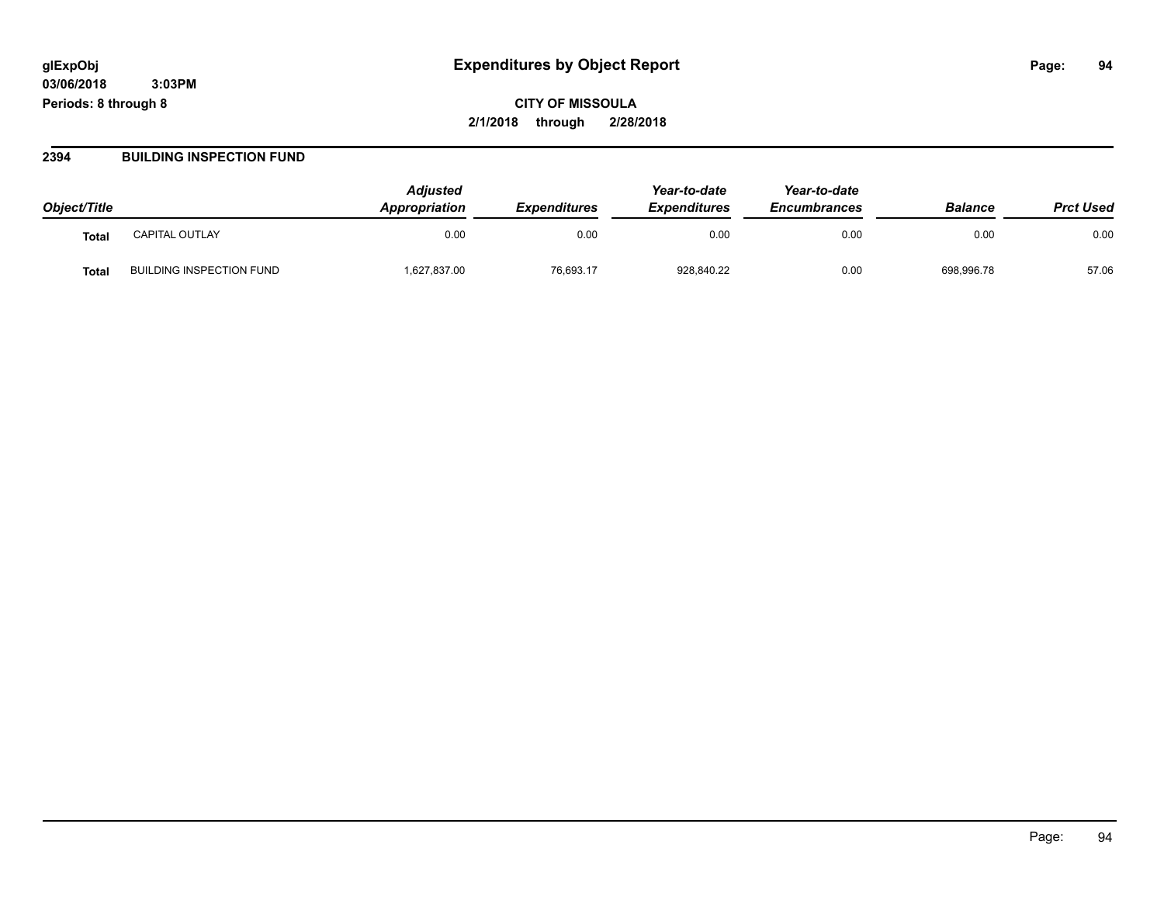**CITY OF MISSOULA 2/1/2018 through 2/28/2018**

#### **2394 BUILDING INSPECTION FUND**

| Object/Title |                                 | <b>Adjusted</b><br>Appropriation | <b>Expenditures</b> | Year-to-date<br><b>Expenditures</b> | Year-to-date<br><b>Encumbrances</b> | <b>Balance</b> | <b>Prct Used</b> |
|--------------|---------------------------------|----------------------------------|---------------------|-------------------------------------|-------------------------------------|----------------|------------------|
| Total        | <b>CAPITAL OUTLAY</b>           | 0.00                             | 0.00                | 0.00                                | 0.00                                | 0.00           | 0.00             |
| Total        | <b>BUILDING INSPECTION FUND</b> | 1,627,837.00                     | 76,693.17           | 928,840.22                          | 0.00                                | 698,996.78     | 57.06            |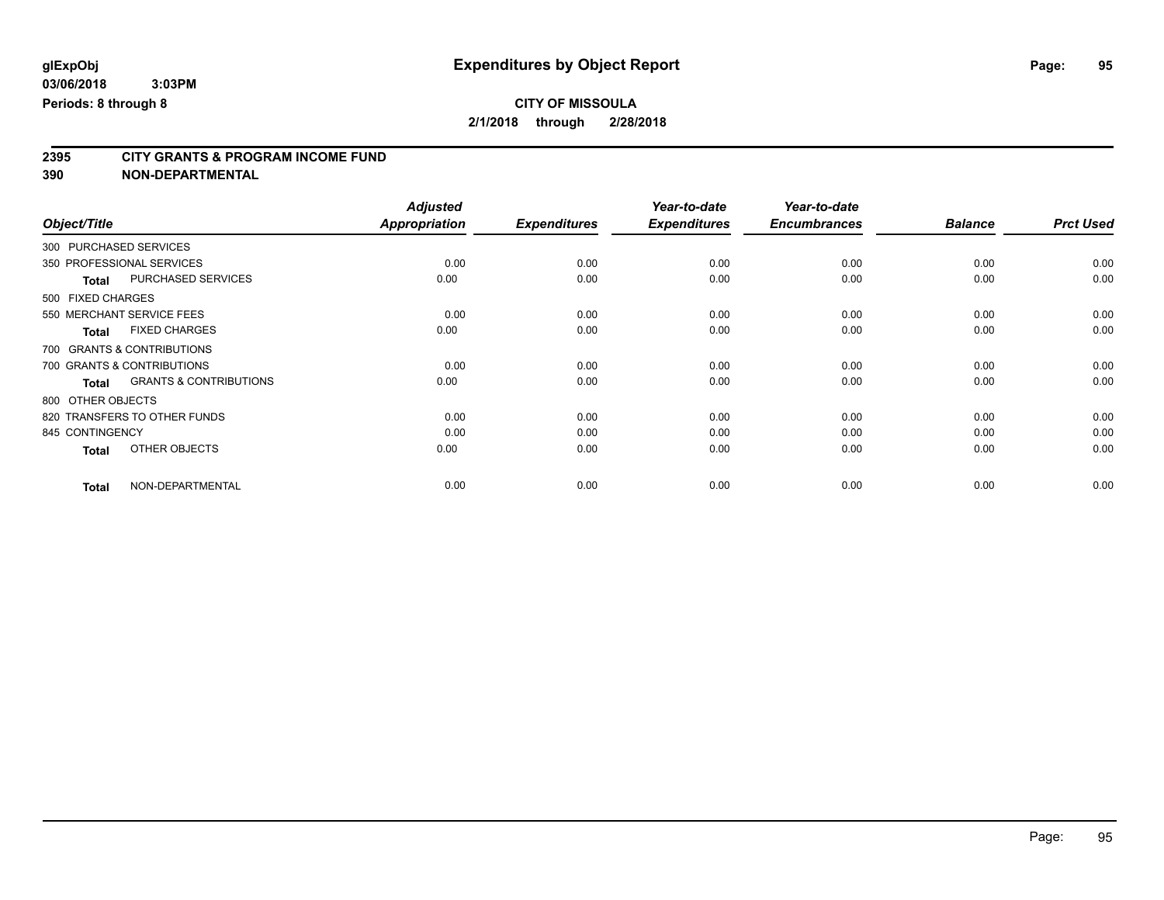# **2395 CITY GRANTS & PROGRAM INCOME FUND**

|                                                   | <b>Adjusted</b>      |                     | Year-to-date        | Year-to-date        |                |                  |
|---------------------------------------------------|----------------------|---------------------|---------------------|---------------------|----------------|------------------|
| Object/Title                                      | <b>Appropriation</b> | <b>Expenditures</b> | <b>Expenditures</b> | <b>Encumbrances</b> | <b>Balance</b> | <b>Prct Used</b> |
| 300 PURCHASED SERVICES                            |                      |                     |                     |                     |                |                  |
| 350 PROFESSIONAL SERVICES                         | 0.00                 | 0.00                | 0.00                | 0.00                | 0.00           | 0.00             |
| <b>PURCHASED SERVICES</b><br><b>Total</b>         | 0.00                 | 0.00                | 0.00                | 0.00                | 0.00           | 0.00             |
| 500 FIXED CHARGES                                 |                      |                     |                     |                     |                |                  |
| 550 MERCHANT SERVICE FEES                         | 0.00                 | 0.00                | 0.00                | 0.00                | 0.00           | 0.00             |
| <b>FIXED CHARGES</b><br><b>Total</b>              | 0.00                 | 0.00                | 0.00                | 0.00                | 0.00           | 0.00             |
| 700 GRANTS & CONTRIBUTIONS                        |                      |                     |                     |                     |                |                  |
| 700 GRANTS & CONTRIBUTIONS                        | 0.00                 | 0.00                | 0.00                | 0.00                | 0.00           | 0.00             |
| <b>GRANTS &amp; CONTRIBUTIONS</b><br><b>Total</b> | 0.00                 | 0.00                | 0.00                | 0.00                | 0.00           | 0.00             |
| 800 OTHER OBJECTS                                 |                      |                     |                     |                     |                |                  |
| 820 TRANSFERS TO OTHER FUNDS                      | 0.00                 | 0.00                | 0.00                | 0.00                | 0.00           | 0.00             |
| 845 CONTINGENCY                                   | 0.00                 | 0.00                | 0.00                | 0.00                | 0.00           | 0.00             |
| OTHER OBJECTS<br><b>Total</b>                     | 0.00                 | 0.00                | 0.00                | 0.00                | 0.00           | 0.00             |
| NON-DEPARTMENTAL<br><b>Total</b>                  | 0.00                 | 0.00                | 0.00                | 0.00                | 0.00           | 0.00             |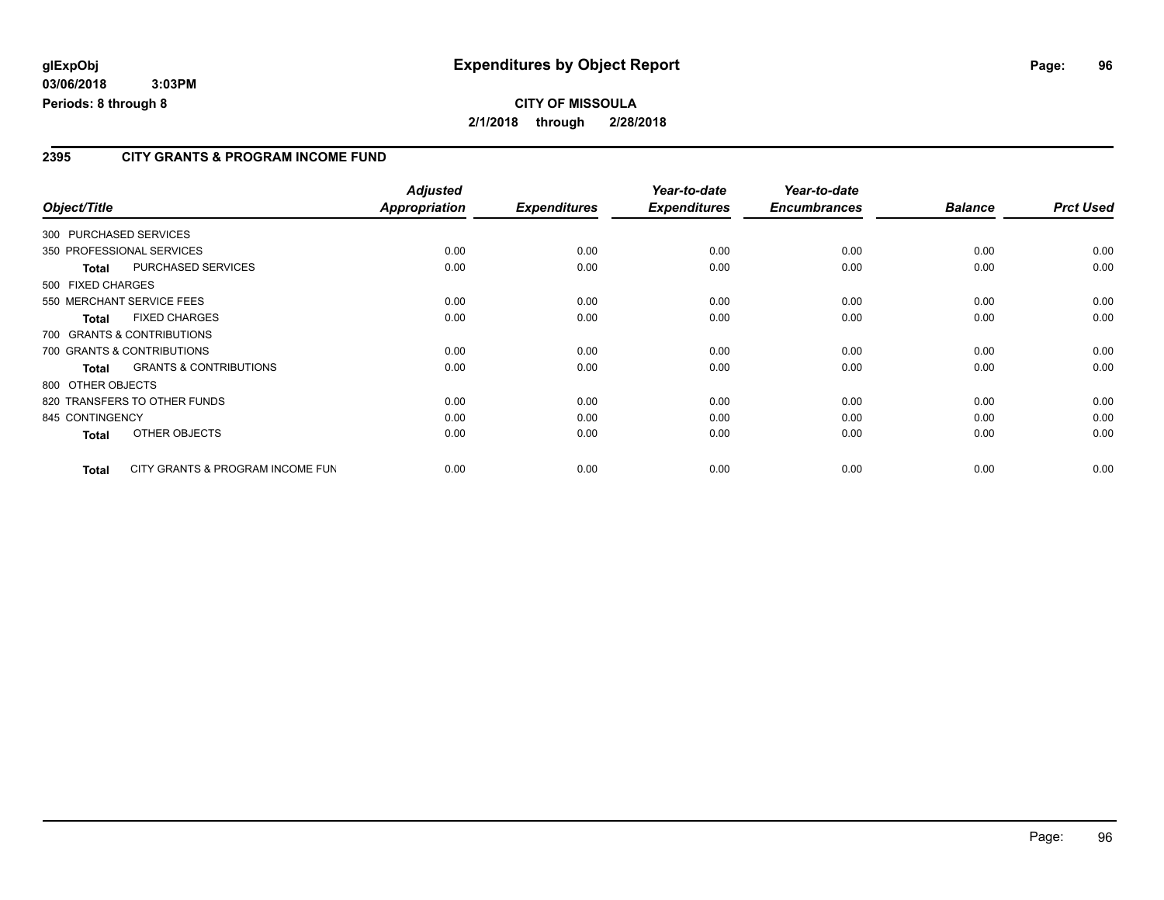#### **2395 CITY GRANTS & PROGRAM INCOME FUND**

|                 |                                   | <b>Adjusted</b> |                     | Year-to-date        | Year-to-date        |                |                  |
|-----------------|-----------------------------------|-----------------|---------------------|---------------------|---------------------|----------------|------------------|
| Object/Title    |                                   | Appropriation   | <b>Expenditures</b> | <b>Expenditures</b> | <b>Encumbrances</b> | <b>Balance</b> | <b>Prct Used</b> |
|                 | 300 PURCHASED SERVICES            |                 |                     |                     |                     |                |                  |
|                 | 350 PROFESSIONAL SERVICES         | 0.00            | 0.00                | 0.00                | 0.00                | 0.00           | 0.00             |
| <b>Total</b>    | <b>PURCHASED SERVICES</b>         | 0.00            | 0.00                | 0.00                | 0.00                | 0.00           | 0.00             |
|                 | 500 FIXED CHARGES                 |                 |                     |                     |                     |                |                  |
|                 | 550 MERCHANT SERVICE FEES         | 0.00            | 0.00                | 0.00                | 0.00                | 0.00           | 0.00             |
| <b>Total</b>    | <b>FIXED CHARGES</b>              | 0.00            | 0.00                | 0.00                | 0.00                | 0.00           | 0.00             |
|                 | 700 GRANTS & CONTRIBUTIONS        |                 |                     |                     |                     |                |                  |
|                 | 700 GRANTS & CONTRIBUTIONS        | 0.00            | 0.00                | 0.00                | 0.00                | 0.00           | 0.00             |
| <b>Total</b>    | <b>GRANTS &amp; CONTRIBUTIONS</b> | 0.00            | 0.00                | 0.00                | 0.00                | 0.00           | 0.00             |
|                 | 800 OTHER OBJECTS                 |                 |                     |                     |                     |                |                  |
|                 | 820 TRANSFERS TO OTHER FUNDS      | 0.00            | 0.00                | 0.00                | 0.00                | 0.00           | 0.00             |
| 845 CONTINGENCY |                                   | 0.00            | 0.00                | 0.00                | 0.00                | 0.00           | 0.00             |
| <b>Total</b>    | OTHER OBJECTS                     | 0.00            | 0.00                | 0.00                | 0.00                | 0.00           | 0.00             |
| <b>Total</b>    | CITY GRANTS & PROGRAM INCOME FUN  | 0.00            | 0.00                | 0.00                | 0.00                | 0.00           | 0.00             |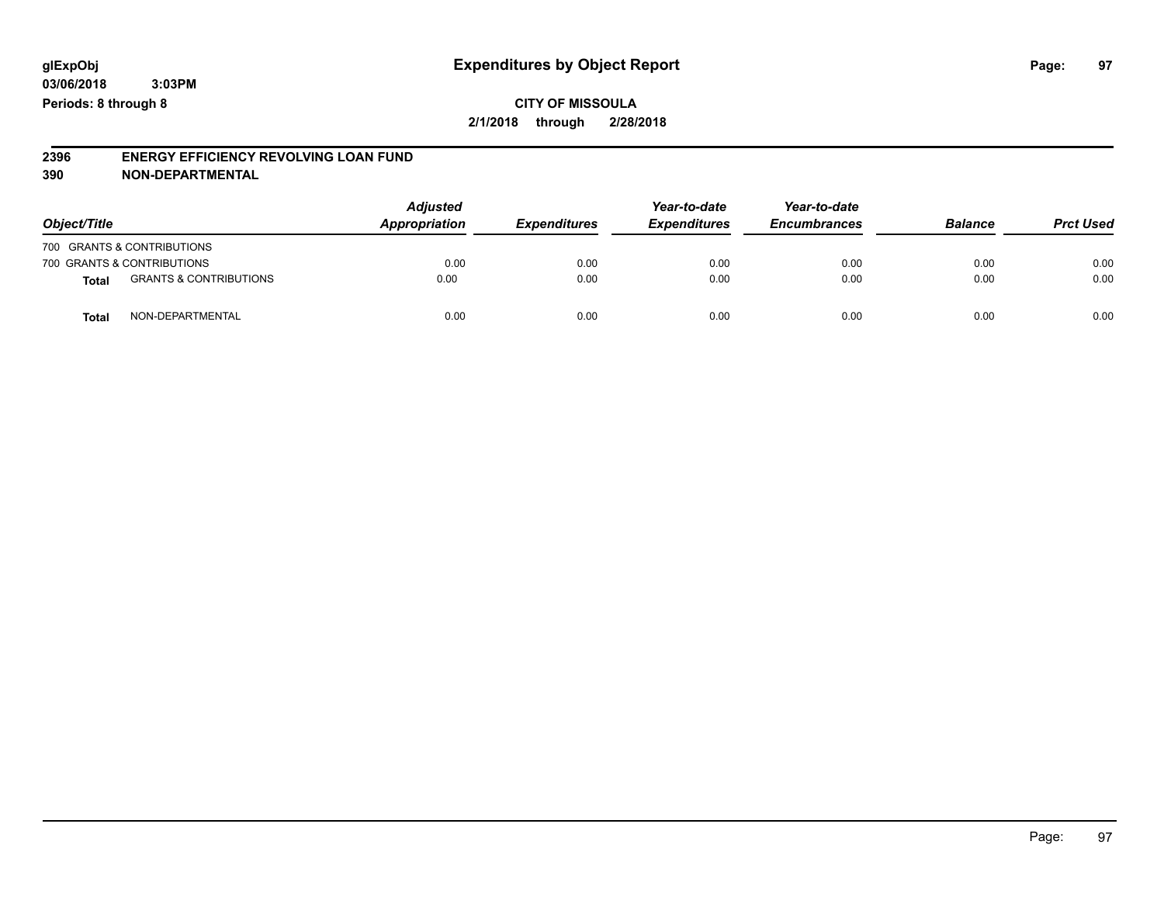**CITY OF MISSOULA 2/1/2018 through 2/28/2018**

#### **2396 ENERGY EFFICIENCY REVOLVING LOAN FUND 390 NON-DEPARTMENTAL**

| Object/Title |                                   | <b>Adjusted</b><br>Appropriation<br><b>Expenditures</b> | Year-to-date<br><b>Expenditures</b> | Year-to-date<br><b>Encumbrances</b> | <b>Balance</b> | <b>Prct Used</b> |      |
|--------------|-----------------------------------|---------------------------------------------------------|-------------------------------------|-------------------------------------|----------------|------------------|------|
|              | 700 GRANTS & CONTRIBUTIONS        |                                                         |                                     |                                     |                |                  |      |
|              | 700 GRANTS & CONTRIBUTIONS        | 0.00                                                    | 0.00                                | 0.00                                | 0.00           | 0.00             | 0.00 |
| <b>Total</b> | <b>GRANTS &amp; CONTRIBUTIONS</b> | 0.00                                                    | 0.00                                | 0.00                                | 0.00           | 0.00             | 0.00 |
| <b>Total</b> | NON-DEPARTMENTAL                  | 0.00                                                    | 0.00                                | 0.00                                | 0.00           | 0.00             | 0.00 |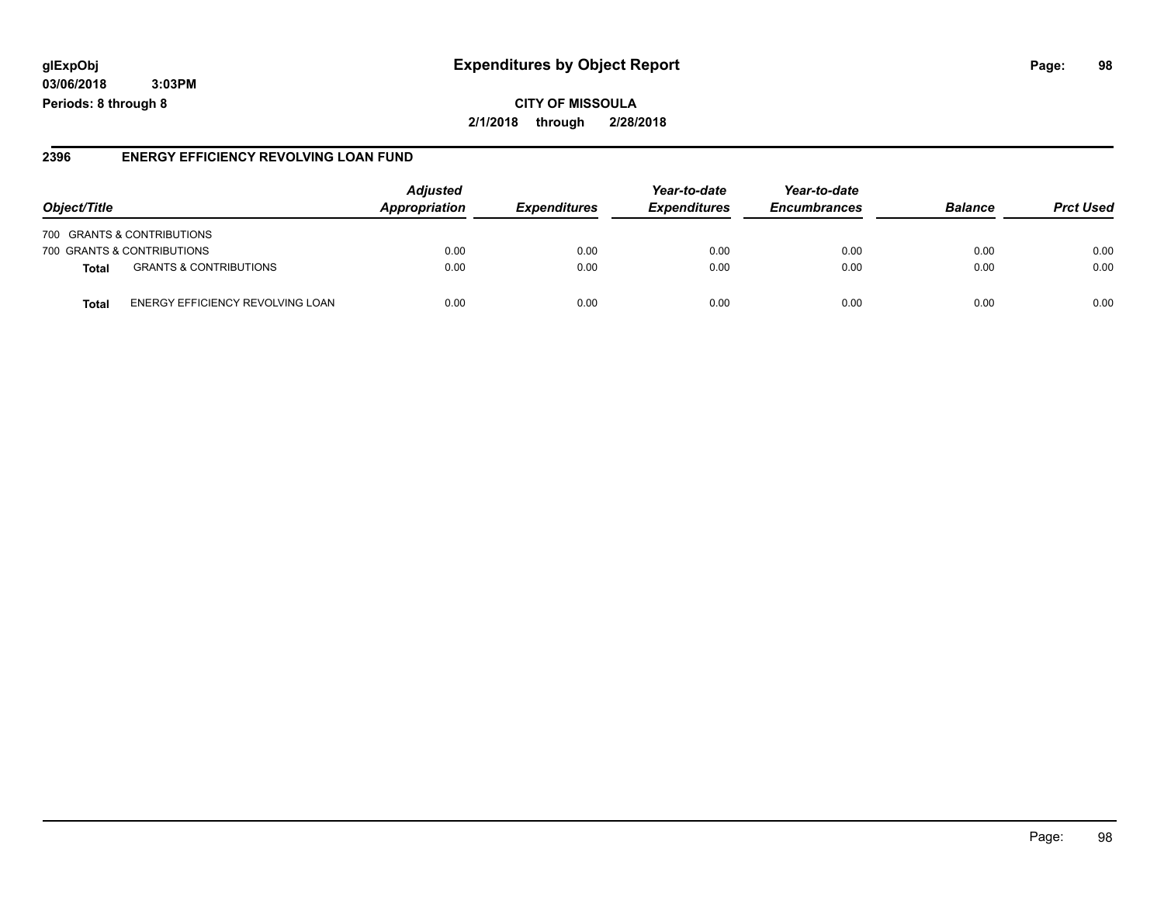## **glExpObj Expenditures by Object Report Page: 98**

**03/06/2018 3:03PM Periods: 8 through 8**

#### **2396 ENERGY EFFICIENCY REVOLVING LOAN FUND**

| Object/Title                                     | <b>Adjusted</b><br>Appropriation | <b>Expenditures</b> | Year-to-date<br><b>Expenditures</b> | Year-to-date<br><b>Encumbrances</b> | <b>Balance</b> | <b>Prct Used</b> |
|--------------------------------------------------|----------------------------------|---------------------|-------------------------------------|-------------------------------------|----------------|------------------|
| 700 GRANTS & CONTRIBUTIONS                       |                                  |                     |                                     |                                     |                |                  |
| 700 GRANTS & CONTRIBUTIONS                       | 0.00                             | 0.00                | 0.00                                | 0.00                                | 0.00           | 0.00             |
| <b>GRANTS &amp; CONTRIBUTIONS</b><br>Total       | 0.00                             | 0.00                | 0.00                                | 0.00                                | 0.00           | 0.00             |
| ENERGY EFFICIENCY REVOLVING LOAN<br><b>Total</b> | 0.00                             | 0.00                | 0.00                                | 0.00                                | 0.00           | 0.00             |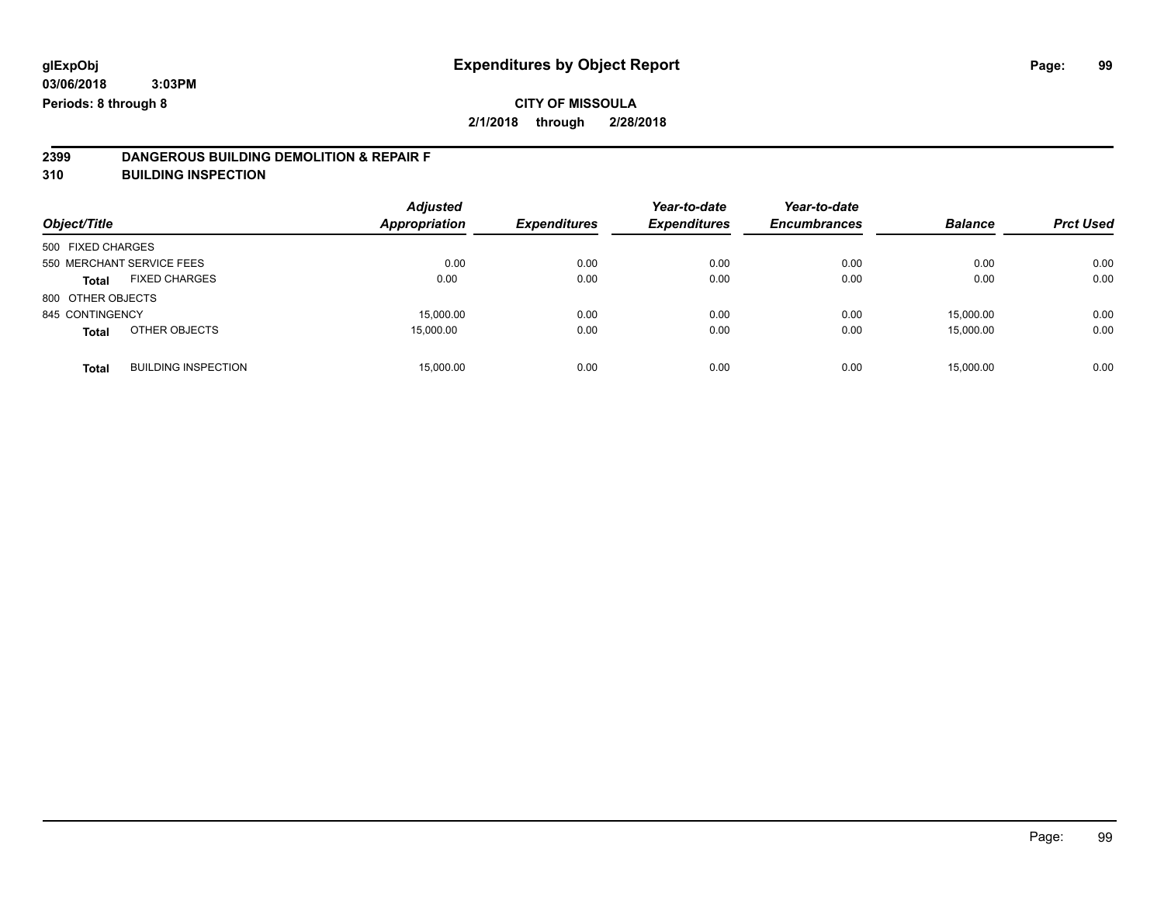# **CITY OF MISSOULA**

**2/1/2018 through 2/28/2018**

# **2399 DANGEROUS BUILDING DEMOLITION & REPAIR F**

**310 BUILDING INSPECTION**

| Object/Title              |                            | <b>Adjusted</b><br><b>Appropriation</b> | <b>Expenditures</b> | Year-to-date<br><b>Expenditures</b> | Year-to-date<br><b>Encumbrances</b> | <b>Balance</b> | <b>Prct Used</b> |
|---------------------------|----------------------------|-----------------------------------------|---------------------|-------------------------------------|-------------------------------------|----------------|------------------|
| 500 FIXED CHARGES         |                            |                                         |                     |                                     |                                     |                |                  |
| 550 MERCHANT SERVICE FEES |                            | 0.00                                    | 0.00                | 0.00                                | 0.00                                | 0.00           | 0.00             |
| <b>Total</b>              | <b>FIXED CHARGES</b>       | 0.00                                    | 0.00                | 0.00                                | 0.00                                | 0.00           | 0.00             |
| 800 OTHER OBJECTS         |                            |                                         |                     |                                     |                                     |                |                  |
| 845 CONTINGENCY           |                            | 15,000.00                               | 0.00                | 0.00                                | 0.00                                | 15,000.00      | 0.00             |
| <b>Total</b>              | OTHER OBJECTS              | 15,000.00                               | 0.00                | 0.00                                | 0.00                                | 15,000.00      | 0.00             |
| <b>Total</b>              | <b>BUILDING INSPECTION</b> | 15,000.00                               | 0.00                | 0.00                                | 0.00                                | 15.000.00      | 0.00             |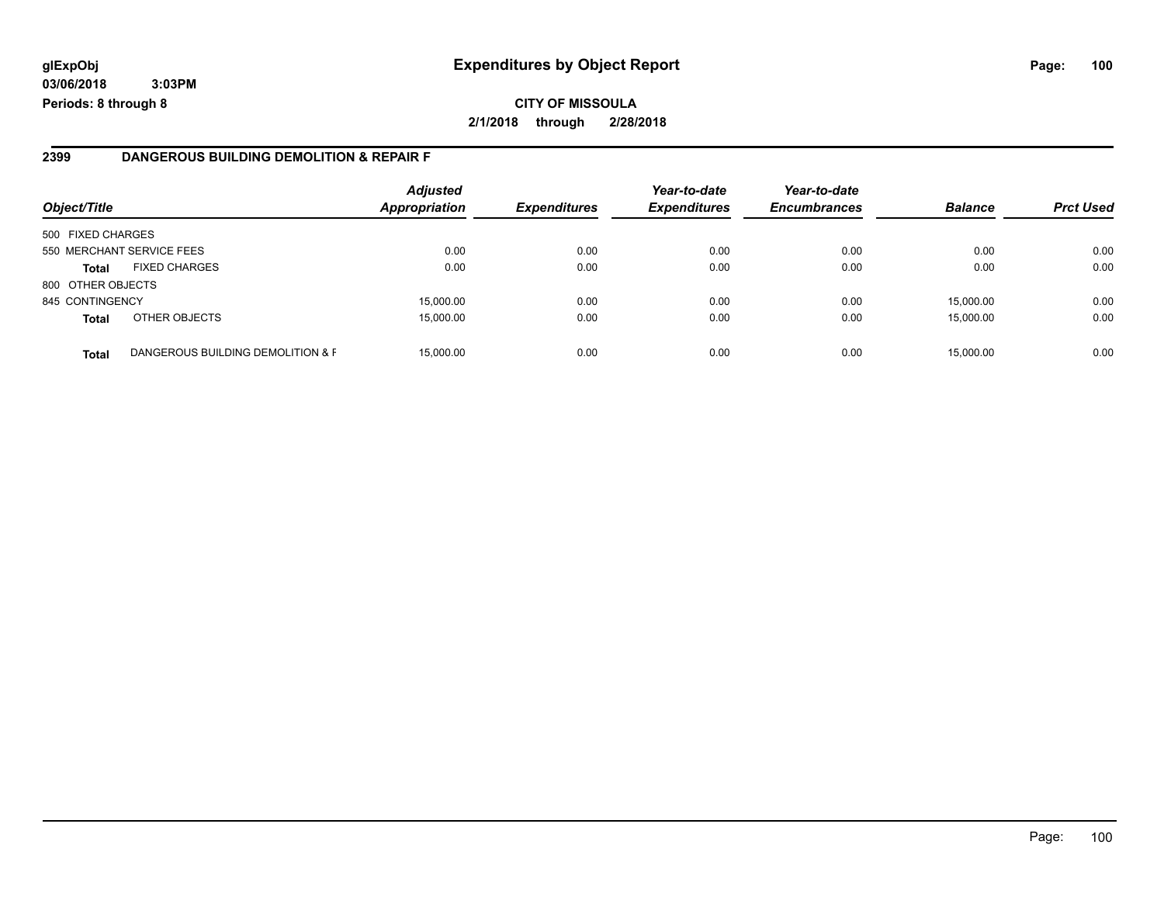#### **2399 DANGEROUS BUILDING DEMOLITION & REPAIR F**

| Object/Title      |                                   | <b>Adjusted</b><br>Appropriation | <b>Expenditures</b> | Year-to-date<br><b>Expenditures</b> | Year-to-date<br><b>Encumbrances</b> | <b>Balance</b> | <b>Prct Used</b> |
|-------------------|-----------------------------------|----------------------------------|---------------------|-------------------------------------|-------------------------------------|----------------|------------------|
| 500 FIXED CHARGES |                                   |                                  |                     |                                     |                                     |                |                  |
|                   | 550 MERCHANT SERVICE FEES         | 0.00                             | 0.00                | 0.00                                | 0.00                                | 0.00           | 0.00             |
| <b>Total</b>      | <b>FIXED CHARGES</b>              | 0.00                             | 0.00                | 0.00                                | 0.00                                | 0.00           | 0.00             |
| 800 OTHER OBJECTS |                                   |                                  |                     |                                     |                                     |                |                  |
| 845 CONTINGENCY   |                                   | 15,000.00                        | 0.00                | 0.00                                | 0.00                                | 15,000.00      | 0.00             |
| <b>Total</b>      | OTHER OBJECTS                     | 15,000.00                        | 0.00                | 0.00                                | 0.00                                | 15,000.00      | 0.00             |
| <b>Total</b>      | DANGEROUS BUILDING DEMOLITION & F | 15,000.00                        | 0.00                | 0.00                                | 0.00                                | 15,000.00      | 0.00             |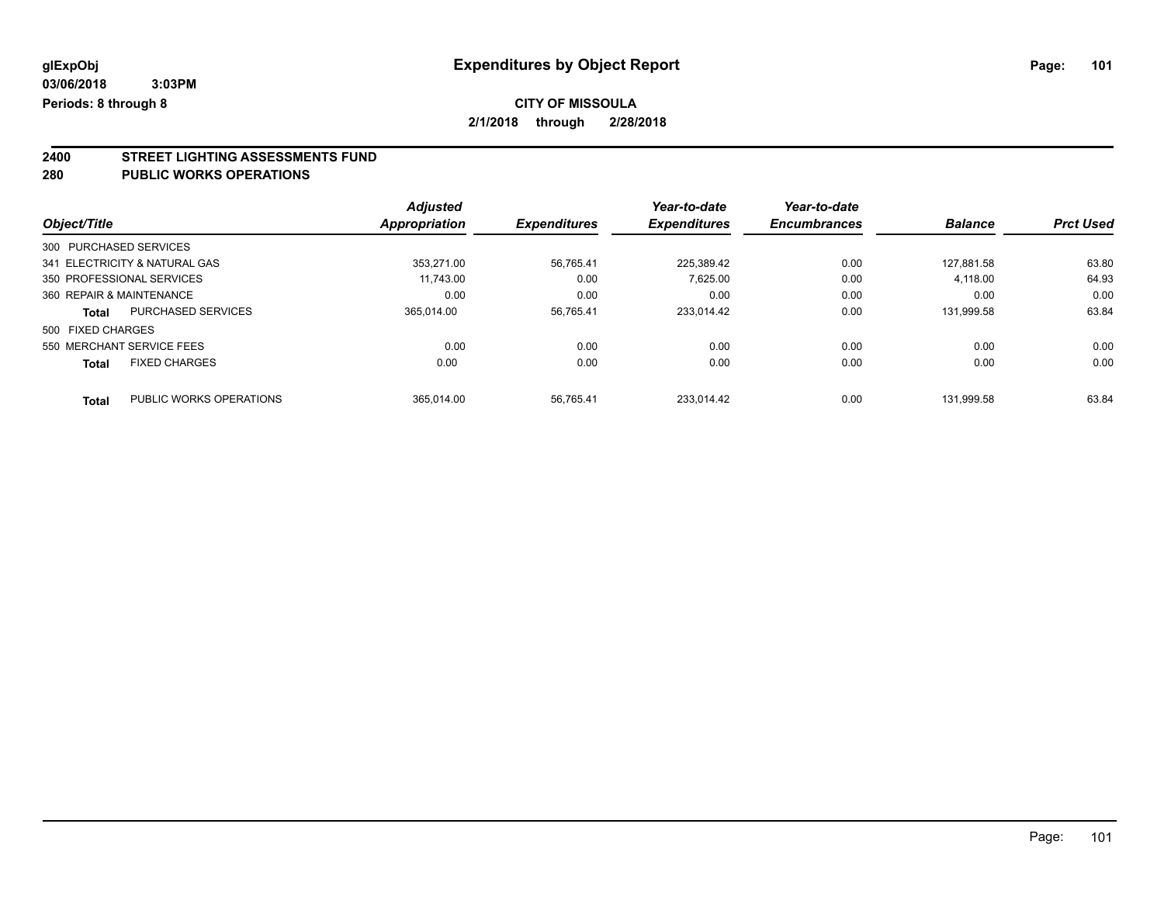# **CITY OF MISSOULA**

**2/1/2018 through 2/28/2018**

# **2400 STREET LIGHTING ASSESSMENTS FUND**

#### **280 PUBLIC WORKS OPERATIONS**

|                          |                               | <b>Adjusted</b> |                     | Year-to-date        | Year-to-date        |                |                  |
|--------------------------|-------------------------------|-----------------|---------------------|---------------------|---------------------|----------------|------------------|
| Object/Title             |                               | Appropriation   | <b>Expenditures</b> | <b>Expenditures</b> | <b>Encumbrances</b> | <b>Balance</b> | <b>Prct Used</b> |
| 300 PURCHASED SERVICES   |                               |                 |                     |                     |                     |                |                  |
|                          | 341 ELECTRICITY & NATURAL GAS | 353.271.00      | 56,765.41           | 225.389.42          | 0.00                | 127.881.58     | 63.80            |
|                          | 350 PROFESSIONAL SERVICES     | 11.743.00       | 0.00                | 7.625.00            | 0.00                | 4,118.00       | 64.93            |
| 360 REPAIR & MAINTENANCE |                               | 0.00            | 0.00                | 0.00                | 0.00                | 0.00           | 0.00             |
| <b>Total</b>             | <b>PURCHASED SERVICES</b>     | 365.014.00      | 56.765.41           | 233.014.42          | 0.00                | 131.999.58     | 63.84            |
| 500 FIXED CHARGES        |                               |                 |                     |                     |                     |                |                  |
|                          | 550 MERCHANT SERVICE FEES     | 0.00            | 0.00                | 0.00                | 0.00                | 0.00           | 0.00             |
| <b>Total</b>             | <b>FIXED CHARGES</b>          | 0.00            | 0.00                | 0.00                | 0.00                | 0.00           | 0.00             |
| <b>Total</b>             | PUBLIC WORKS OPERATIONS       | 365.014.00      | 56.765.41           | 233.014.42          | 0.00                | 131.999.58     | 63.84            |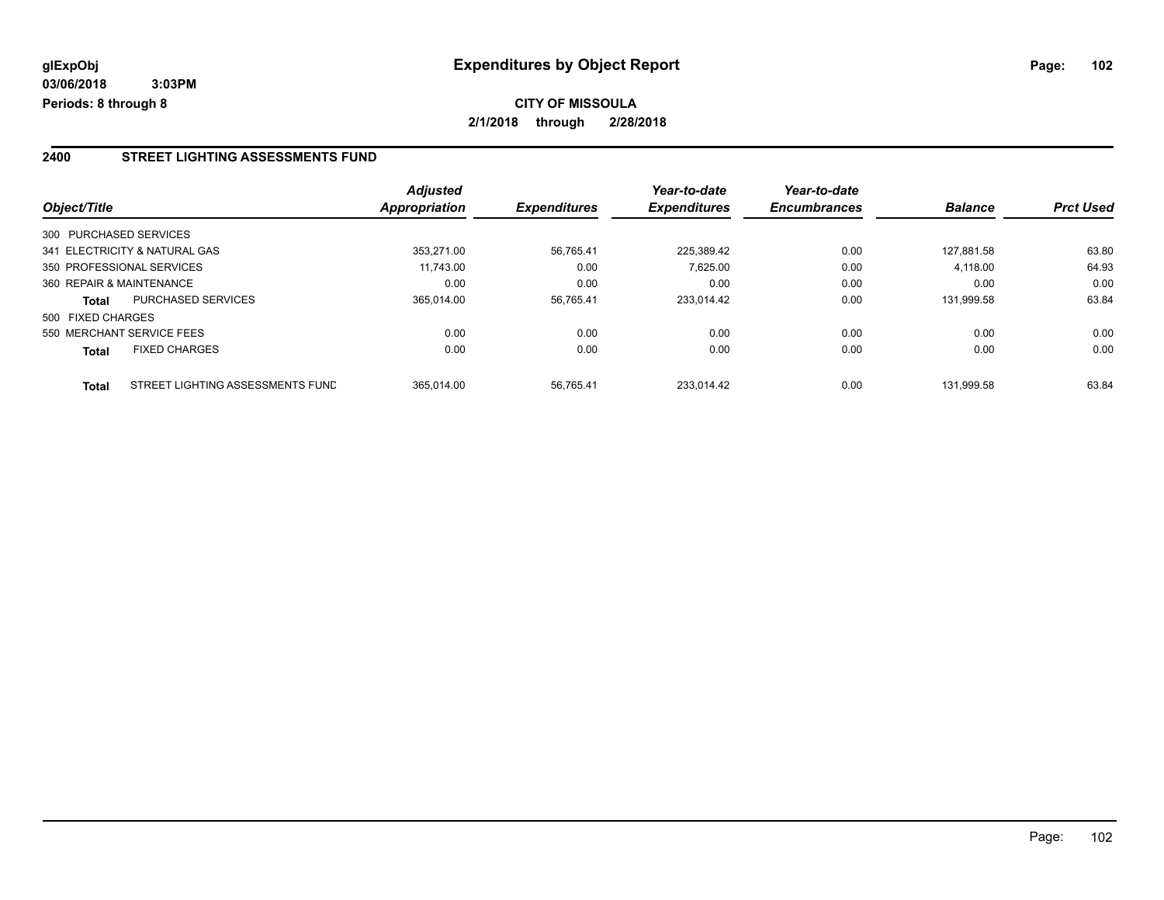#### **2400 STREET LIGHTING ASSESSMENTS FUND**

|                          |                                  | <b>Adjusted</b>      |                     | Year-to-date        | Year-to-date        |                |                  |
|--------------------------|----------------------------------|----------------------|---------------------|---------------------|---------------------|----------------|------------------|
| Object/Title             |                                  | <b>Appropriation</b> | <b>Expenditures</b> | <b>Expenditures</b> | <b>Encumbrances</b> | <b>Balance</b> | <b>Prct Used</b> |
| 300 PURCHASED SERVICES   |                                  |                      |                     |                     |                     |                |                  |
|                          | 341 ELECTRICITY & NATURAL GAS    | 353.271.00           | 56.765.41           | 225.389.42          | 0.00                | 127.881.58     | 63.80            |
|                          | 350 PROFESSIONAL SERVICES        | 11.743.00            | 0.00                | 7.625.00            | 0.00                | 4,118.00       | 64.93            |
| 360 REPAIR & MAINTENANCE |                                  | 0.00                 | 0.00                | 0.00                | 0.00                | 0.00           | 0.00             |
| <b>Total</b>             | <b>PURCHASED SERVICES</b>        | 365.014.00           | 56.765.41           | 233.014.42          | 0.00                | 131.999.58     | 63.84            |
| 500 FIXED CHARGES        |                                  |                      |                     |                     |                     |                |                  |
|                          | 550 MERCHANT SERVICE FEES        | 0.00                 | 0.00                | 0.00                | 0.00                | 0.00           | 0.00             |
| <b>Total</b>             | <b>FIXED CHARGES</b>             | 0.00                 | 0.00                | 0.00                | 0.00                | 0.00           | 0.00             |
| <b>Total</b>             | STREET LIGHTING ASSESSMENTS FUND | 365.014.00           | 56.765.41           | 233.014.42          | 0.00                | 131.999.58     | 63.84            |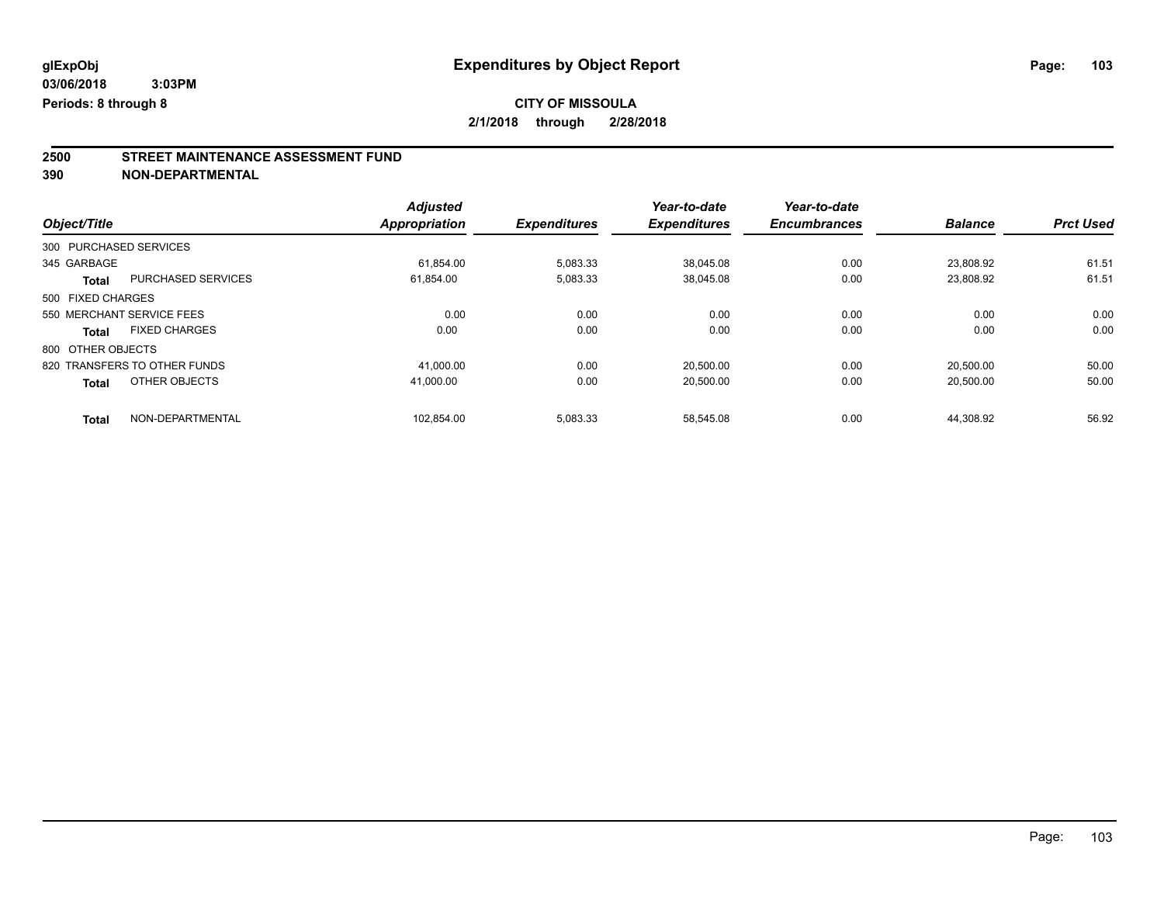## **CITY OF MISSOULA**

**2/1/2018 through 2/28/2018**

# **2500 STREET MAINTENANCE ASSESSMENT FUND**

|                        |                              | <b>Adjusted</b>      |                     | Year-to-date        | Year-to-date        |                |                  |
|------------------------|------------------------------|----------------------|---------------------|---------------------|---------------------|----------------|------------------|
| Object/Title           |                              | <b>Appropriation</b> | <b>Expenditures</b> | <b>Expenditures</b> | <b>Encumbrances</b> | <b>Balance</b> | <b>Prct Used</b> |
| 300 PURCHASED SERVICES |                              |                      |                     |                     |                     |                |                  |
| 345 GARBAGE            |                              | 61.854.00            | 5,083.33            | 38.045.08           | 0.00                | 23.808.92      | 61.51            |
| <b>Total</b>           | <b>PURCHASED SERVICES</b>    | 61,854.00            | 5,083.33            | 38,045.08           | 0.00                | 23,808.92      | 61.51            |
| 500 FIXED CHARGES      |                              |                      |                     |                     |                     |                |                  |
|                        | 550 MERCHANT SERVICE FEES    | 0.00                 | 0.00                | 0.00                | 0.00                | 0.00           | 0.00             |
| <b>Total</b>           | <b>FIXED CHARGES</b>         | 0.00                 | 0.00                | 0.00                | 0.00                | 0.00           | 0.00             |
| 800 OTHER OBJECTS      |                              |                      |                     |                     |                     |                |                  |
|                        | 820 TRANSFERS TO OTHER FUNDS | 41.000.00            | 0.00                | 20.500.00           | 0.00                | 20.500.00      | 50.00            |
| <b>Total</b>           | OTHER OBJECTS                | 41.000.00            | 0.00                | 20.500.00           | 0.00                | 20,500.00      | 50.00            |
| <b>Total</b>           | NON-DEPARTMENTAL             | 102.854.00           | 5.083.33            | 58.545.08           | 0.00                | 44.308.92      | 56.92            |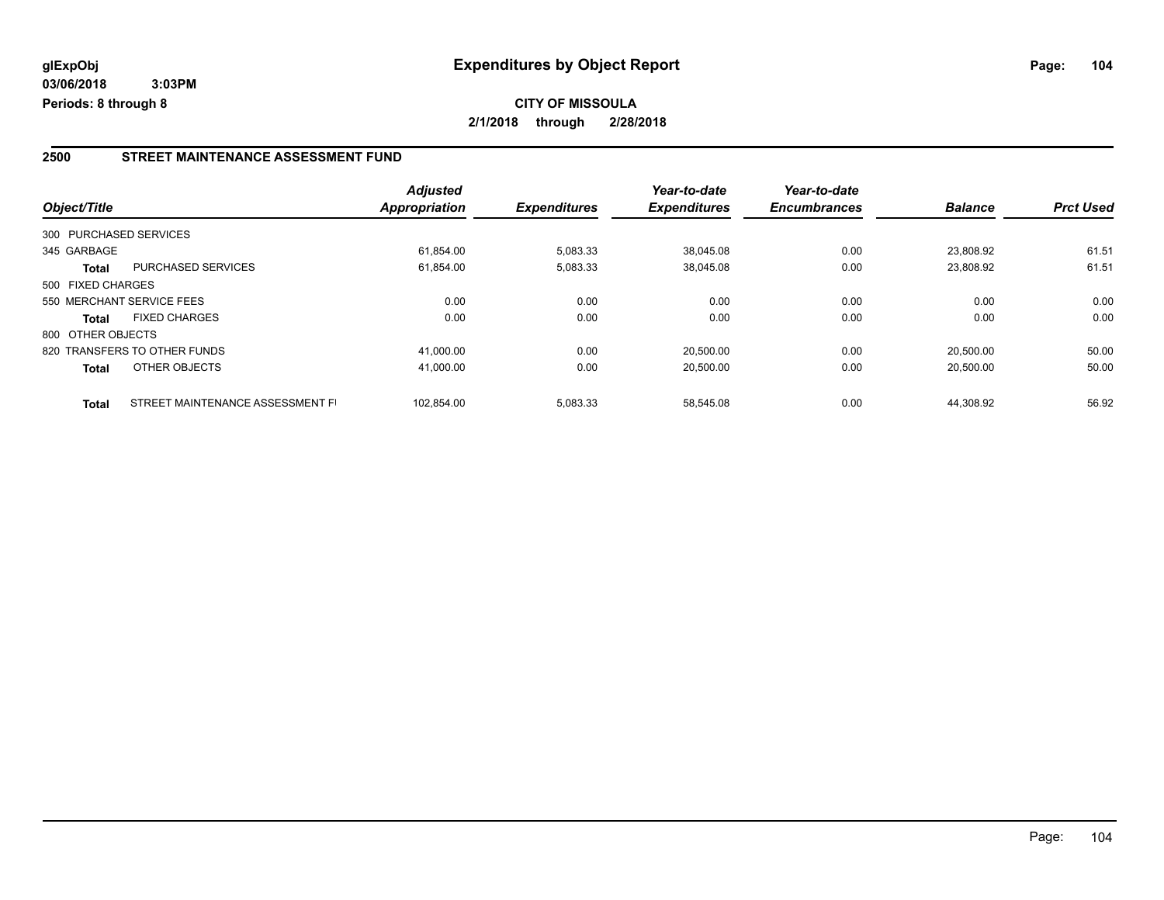#### **2500 STREET MAINTENANCE ASSESSMENT FUND**

|                   |                                  | <b>Adjusted</b> |                     | Year-to-date        | Year-to-date        |                |                  |
|-------------------|----------------------------------|-----------------|---------------------|---------------------|---------------------|----------------|------------------|
| Object/Title      |                                  | Appropriation   | <b>Expenditures</b> | <b>Expenditures</b> | <b>Encumbrances</b> | <b>Balance</b> | <b>Prct Used</b> |
|                   | 300 PURCHASED SERVICES           |                 |                     |                     |                     |                |                  |
| 345 GARBAGE       |                                  | 61.854.00       | 5,083.33            | 38.045.08           | 0.00                | 23.808.92      | 61.51            |
| <b>Total</b>      | <b>PURCHASED SERVICES</b>        | 61,854.00       | 5,083.33            | 38.045.08           | 0.00                | 23.808.92      | 61.51            |
| 500 FIXED CHARGES |                                  |                 |                     |                     |                     |                |                  |
|                   | 550 MERCHANT SERVICE FEES        | 0.00            | 0.00                | 0.00                | 0.00                | 0.00           | 0.00             |
| <b>Total</b>      | <b>FIXED CHARGES</b>             | 0.00            | 0.00                | 0.00                | 0.00                | 0.00           | 0.00             |
| 800 OTHER OBJECTS |                                  |                 |                     |                     |                     |                |                  |
|                   | 820 TRANSFERS TO OTHER FUNDS     | 41,000.00       | 0.00                | 20.500.00           | 0.00                | 20.500.00      | 50.00            |
| <b>Total</b>      | OTHER OBJECTS                    | 41,000.00       | 0.00                | 20,500.00           | 0.00                | 20,500.00      | 50.00            |
| <b>Total</b>      | STREET MAINTENANCE ASSESSMENT FI | 102.854.00      | 5,083.33            | 58.545.08           | 0.00                | 44.308.92      | 56.92            |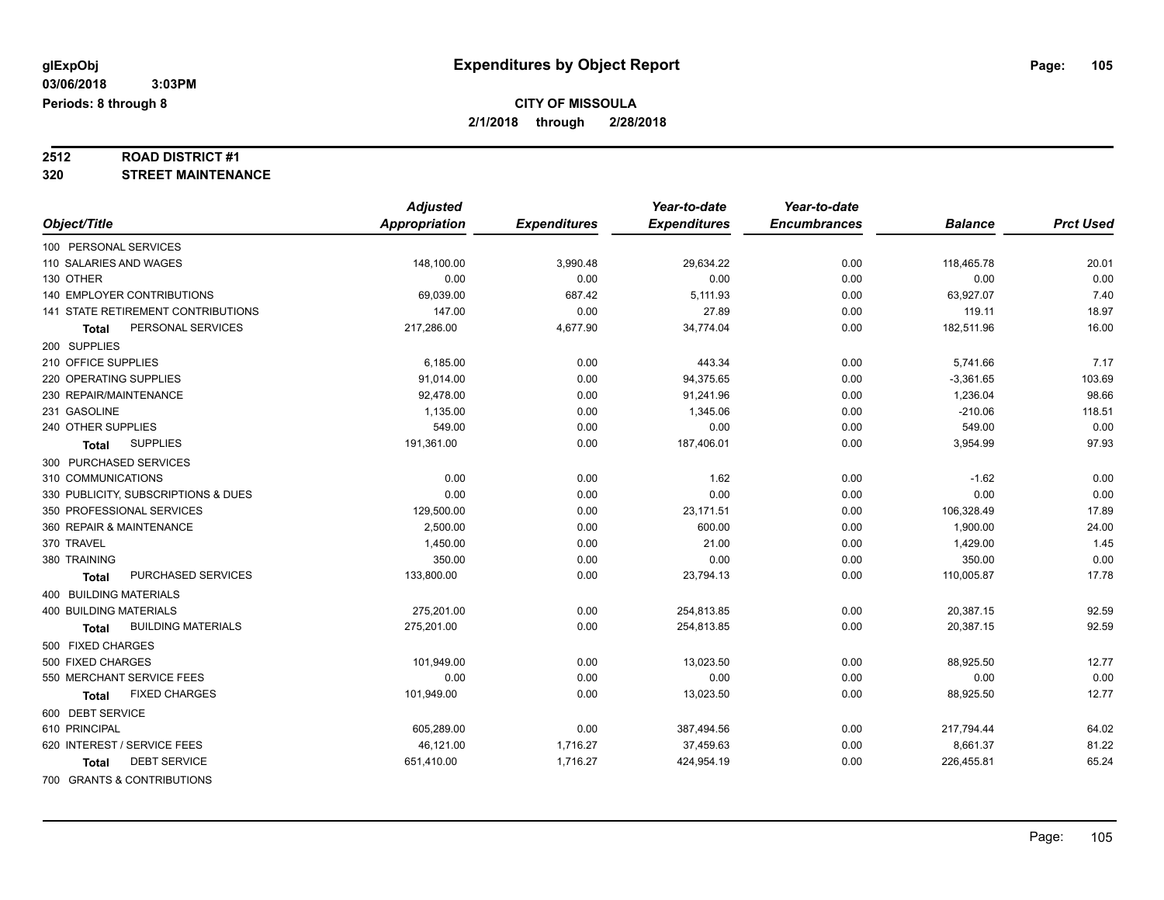# **2512 ROAD DISTRICT #1**

#### **320 STREET MAINTENANCE**

|                                           | <b>Adjusted</b> |                     | Year-to-date        | Year-to-date        |                |                  |
|-------------------------------------------|-----------------|---------------------|---------------------|---------------------|----------------|------------------|
| Object/Title                              | Appropriation   | <b>Expenditures</b> | <b>Expenditures</b> | <b>Encumbrances</b> | <b>Balance</b> | <b>Prct Used</b> |
| 100 PERSONAL SERVICES                     |                 |                     |                     |                     |                |                  |
| 110 SALARIES AND WAGES                    | 148,100.00      | 3,990.48            | 29,634.22           | 0.00                | 118,465.78     | 20.01            |
| 130 OTHER                                 | 0.00            | 0.00                | 0.00                | 0.00                | 0.00           | 0.00             |
| 140 EMPLOYER CONTRIBUTIONS                | 69,039.00       | 687.42              | 5,111.93            | 0.00                | 63,927.07      | 7.40             |
| 141 STATE RETIREMENT CONTRIBUTIONS        | 147.00          | 0.00                | 27.89               | 0.00                | 119.11         | 18.97            |
| PERSONAL SERVICES<br>Total                | 217,286.00      | 4,677.90            | 34,774.04           | 0.00                | 182,511.96     | 16.00            |
| 200 SUPPLIES                              |                 |                     |                     |                     |                |                  |
| 210 OFFICE SUPPLIES                       | 6,185.00        | 0.00                | 443.34              | 0.00                | 5,741.66       | 7.17             |
| 220 OPERATING SUPPLIES                    | 91,014.00       | 0.00                | 94,375.65           | 0.00                | $-3,361.65$    | 103.69           |
| 230 REPAIR/MAINTENANCE                    | 92,478.00       | 0.00                | 91,241.96           | 0.00                | 1,236.04       | 98.66            |
| 231 GASOLINE                              | 1,135.00        | 0.00                | 1,345.06            | 0.00                | $-210.06$      | 118.51           |
| 240 OTHER SUPPLIES                        | 549.00          | 0.00                | 0.00                | 0.00                | 549.00         | 0.00             |
| <b>SUPPLIES</b><br><b>Total</b>           | 191,361.00      | 0.00                | 187,406.01          | 0.00                | 3,954.99       | 97.93            |
| 300 PURCHASED SERVICES                    |                 |                     |                     |                     |                |                  |
| 310 COMMUNICATIONS                        | 0.00            | 0.00                | 1.62                | 0.00                | $-1.62$        | 0.00             |
| 330 PUBLICITY, SUBSCRIPTIONS & DUES       | 0.00            | 0.00                | 0.00                | 0.00                | 0.00           | 0.00             |
| 350 PROFESSIONAL SERVICES                 | 129,500.00      | 0.00                | 23,171.51           | 0.00                | 106,328.49     | 17.89            |
| 360 REPAIR & MAINTENANCE                  | 2,500.00        | 0.00                | 600.00              | 0.00                | 1,900.00       | 24.00            |
| 370 TRAVEL                                | 1,450.00        | 0.00                | 21.00               | 0.00                | 1,429.00       | 1.45             |
| 380 TRAINING                              | 350.00          | 0.00                | 0.00                | 0.00                | 350.00         | 0.00             |
| PURCHASED SERVICES<br><b>Total</b>        | 133,800.00      | 0.00                | 23,794.13           | 0.00                | 110,005.87     | 17.78            |
| 400 BUILDING MATERIALS                    |                 |                     |                     |                     |                |                  |
| <b>400 BUILDING MATERIALS</b>             | 275,201.00      | 0.00                | 254,813.85          | 0.00                | 20,387.15      | 92.59            |
| <b>BUILDING MATERIALS</b><br><b>Total</b> | 275,201.00      | 0.00                | 254,813.85          | 0.00                | 20,387.15      | 92.59            |
| 500 FIXED CHARGES                         |                 |                     |                     |                     |                |                  |
| 500 FIXED CHARGES                         | 101,949.00      | 0.00                | 13,023.50           | 0.00                | 88,925.50      | 12.77            |
| 550 MERCHANT SERVICE FEES                 | 0.00            | 0.00                | 0.00                | 0.00                | 0.00           | 0.00             |
| <b>FIXED CHARGES</b><br><b>Total</b>      | 101,949.00      | 0.00                | 13,023.50           | 0.00                | 88,925.50      | 12.77            |
| 600 DEBT SERVICE                          |                 |                     |                     |                     |                |                  |
| 610 PRINCIPAL                             | 605,289.00      | 0.00                | 387,494.56          | 0.00                | 217,794.44     | 64.02            |
| 620 INTEREST / SERVICE FEES               | 46,121.00       | 1,716.27            | 37,459.63           | 0.00                | 8,661.37       | 81.22            |
| <b>DEBT SERVICE</b><br><b>Total</b>       | 651,410.00      | 1,716.27            | 424,954.19          | 0.00                | 226,455.81     | 65.24            |
| 700 GRANTS & CONTRIBUTIONS                |                 |                     |                     |                     |                |                  |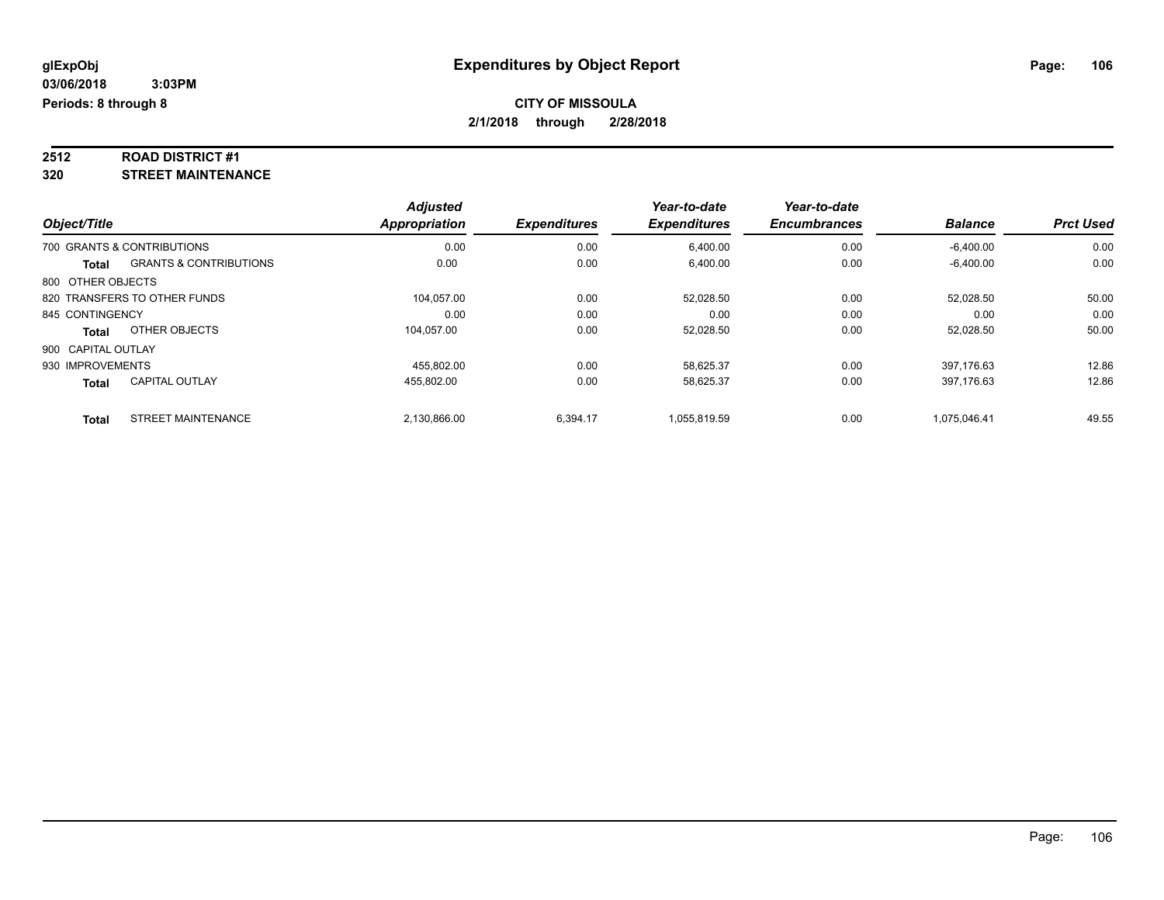# **2512 ROAD DISTRICT #1**

**320 STREET MAINTENANCE**

|                    |                                   | <b>Adjusted</b>      |                     | Year-to-date        | Year-to-date        |                |                  |
|--------------------|-----------------------------------|----------------------|---------------------|---------------------|---------------------|----------------|------------------|
| Object/Title       |                                   | <b>Appropriation</b> | <b>Expenditures</b> | <b>Expenditures</b> | <b>Encumbrances</b> | <b>Balance</b> | <b>Prct Used</b> |
|                    | 700 GRANTS & CONTRIBUTIONS        | 0.00                 | 0.00                | 6.400.00            | 0.00                | $-6,400.00$    | 0.00             |
| Total              | <b>GRANTS &amp; CONTRIBUTIONS</b> | 0.00                 | 0.00                | 6,400.00            | 0.00                | $-6,400.00$    | 0.00             |
| 800 OTHER OBJECTS  |                                   |                      |                     |                     |                     |                |                  |
|                    | 820 TRANSFERS TO OTHER FUNDS      | 104.057.00           | 0.00                | 52.028.50           | 0.00                | 52.028.50      | 50.00            |
| 845 CONTINGENCY    |                                   | 0.00                 | 0.00                | 0.00                | 0.00                | 0.00           | 0.00             |
| Total              | OTHER OBJECTS                     | 104.057.00           | 0.00                | 52,028.50           | 0.00                | 52,028.50      | 50.00            |
| 900 CAPITAL OUTLAY |                                   |                      |                     |                     |                     |                |                  |
| 930 IMPROVEMENTS   |                                   | 455.802.00           | 0.00                | 58.625.37           | 0.00                | 397.176.63     | 12.86            |
| <b>Total</b>       | <b>CAPITAL OUTLAY</b>             | 455,802.00           | 0.00                | 58,625.37           | 0.00                | 397.176.63     | 12.86            |
| Total              | <b>STREET MAINTENANCE</b>         | 2.130.866.00         | 6.394.17            | 1.055.819.59        | 0.00                | 1.075.046.41   | 49.55            |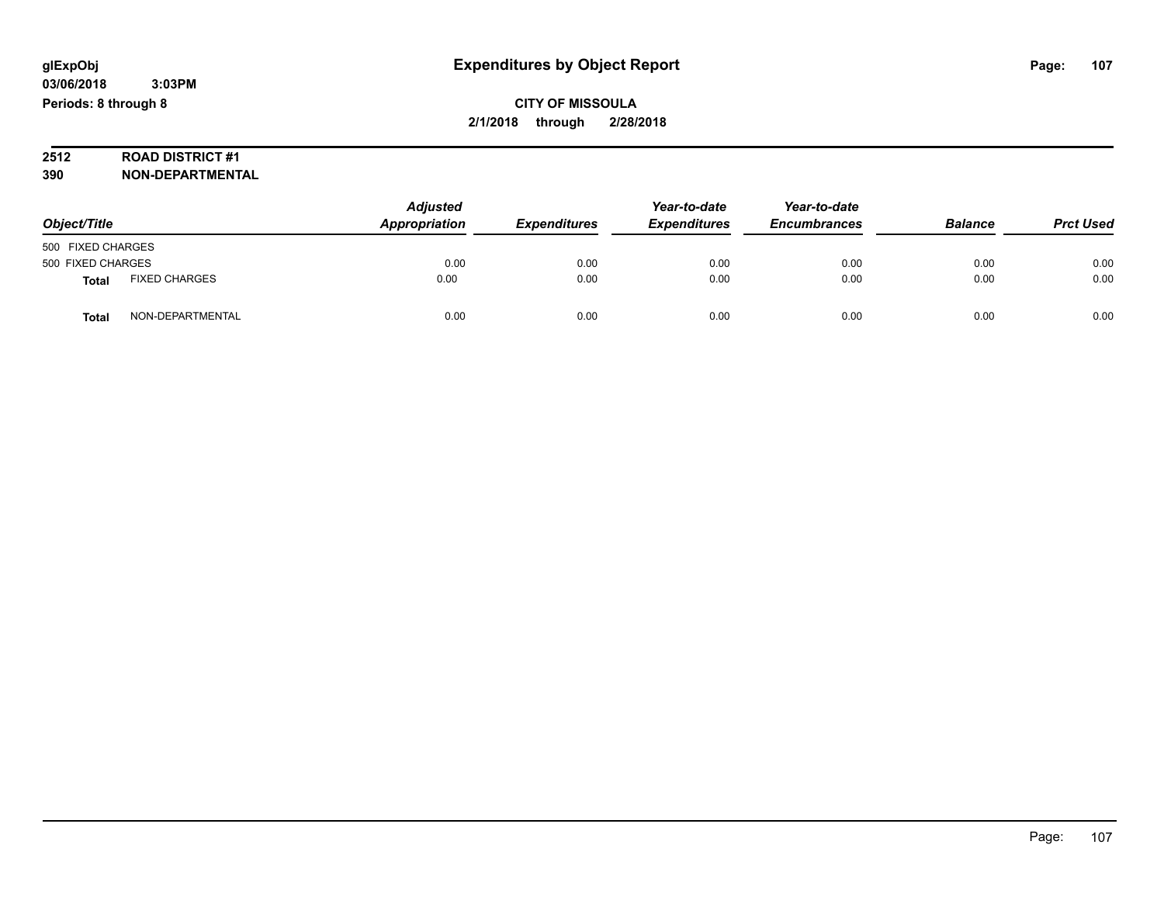# **2512 ROAD DISTRICT #1**

| Object/Title      |                      | <b>Adjusted</b><br>Appropriation | <b>Expenditures</b> | Year-to-date<br><b>Expenditures</b> | Year-to-date<br><b>Encumbrances</b> | <b>Balance</b> | <b>Prct Used</b> |
|-------------------|----------------------|----------------------------------|---------------------|-------------------------------------|-------------------------------------|----------------|------------------|
| 500 FIXED CHARGES |                      |                                  |                     |                                     |                                     |                |                  |
| 500 FIXED CHARGES |                      | 0.00                             | 0.00                | 0.00                                | 0.00                                | 0.00           | 0.00             |
| <b>Total</b>      | <b>FIXED CHARGES</b> | 0.00                             | 0.00                | 0.00                                | 0.00                                | 0.00           | 0.00             |
| Total             | NON-DEPARTMENTAL     | 0.00                             | 0.00                | 0.00                                | 0.00                                | 0.00           | 0.00             |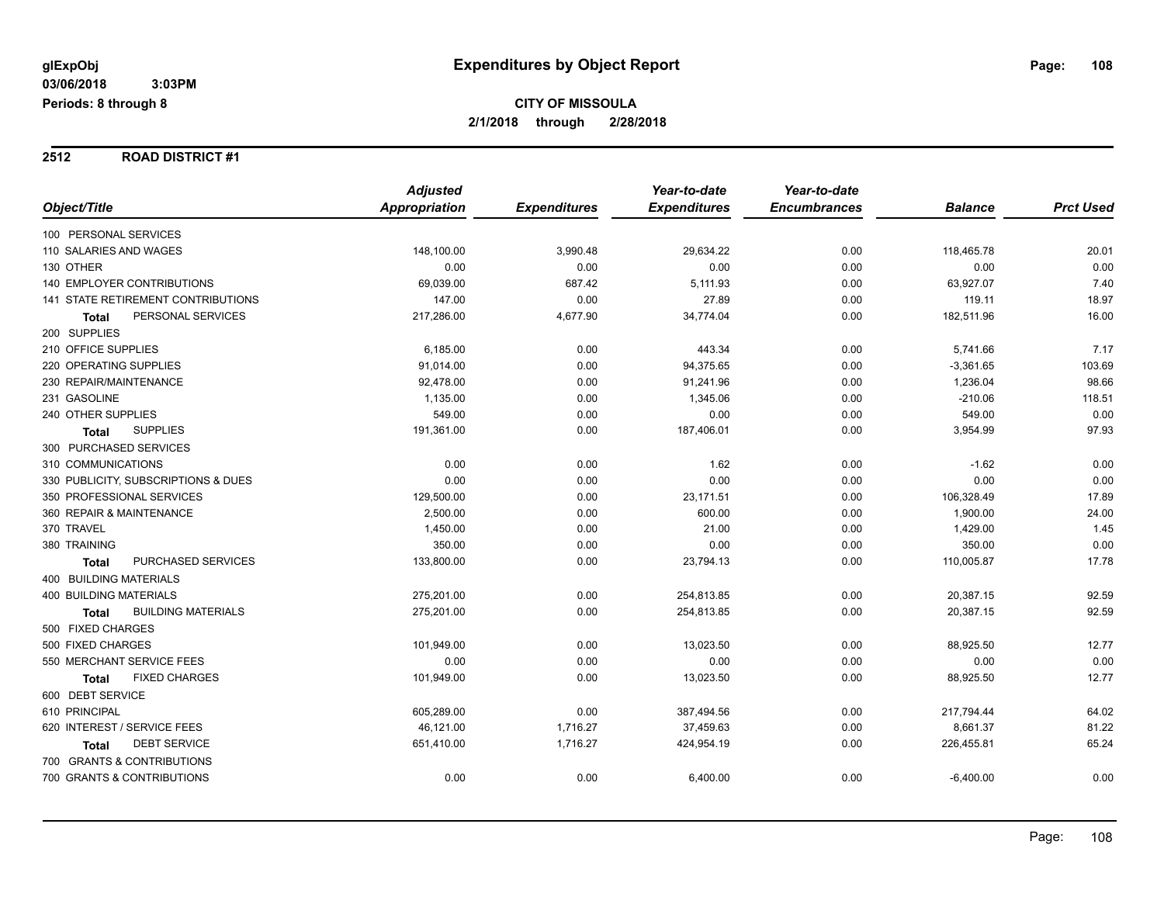#### **2512 ROAD DISTRICT #1**

|                                           | <b>Adjusted</b> |                     | Year-to-date        | Year-to-date        |                |                  |
|-------------------------------------------|-----------------|---------------------|---------------------|---------------------|----------------|------------------|
| Object/Title                              | Appropriation   | <b>Expenditures</b> | <b>Expenditures</b> | <b>Encumbrances</b> | <b>Balance</b> | <b>Prct Used</b> |
| 100 PERSONAL SERVICES                     |                 |                     |                     |                     |                |                  |
| 110 SALARIES AND WAGES                    | 148,100.00      | 3,990.48            | 29,634.22           | 0.00                | 118,465.78     | 20.01            |
| 130 OTHER                                 | 0.00            | 0.00                | 0.00                | 0.00                | 0.00           | 0.00             |
| <b>140 EMPLOYER CONTRIBUTIONS</b>         | 69,039.00       | 687.42              | 5,111.93            | 0.00                | 63,927.07      | 7.40             |
| 141 STATE RETIREMENT CONTRIBUTIONS        | 147.00          | 0.00                | 27.89               | 0.00                | 119.11         | 18.97            |
| PERSONAL SERVICES<br>Total                | 217,286.00      | 4,677.90            | 34,774.04           | 0.00                | 182,511.96     | 16.00            |
| 200 SUPPLIES                              |                 |                     |                     |                     |                |                  |
| 210 OFFICE SUPPLIES                       | 6,185.00        | 0.00                | 443.34              | 0.00                | 5,741.66       | 7.17             |
| 220 OPERATING SUPPLIES                    | 91,014.00       | 0.00                | 94,375.65           | 0.00                | $-3,361.65$    | 103.69           |
| 230 REPAIR/MAINTENANCE                    | 92,478.00       | 0.00                | 91,241.96           | 0.00                | 1,236.04       | 98.66            |
| 231 GASOLINE                              | 1,135.00        | 0.00                | 1,345.06            | 0.00                | $-210.06$      | 118.51           |
| 240 OTHER SUPPLIES                        | 549.00          | 0.00                | 0.00                | 0.00                | 549.00         | 0.00             |
| <b>SUPPLIES</b><br><b>Total</b>           | 191,361.00      | 0.00                | 187,406.01          | 0.00                | 3,954.99       | 97.93            |
| 300 PURCHASED SERVICES                    |                 |                     |                     |                     |                |                  |
| 310 COMMUNICATIONS                        | 0.00            | 0.00                | 1.62                | 0.00                | $-1.62$        | 0.00             |
| 330 PUBLICITY, SUBSCRIPTIONS & DUES       | 0.00            | 0.00                | 0.00                | 0.00                | 0.00           | 0.00             |
| 350 PROFESSIONAL SERVICES                 | 129,500.00      | 0.00                | 23,171.51           | 0.00                | 106,328.49     | 17.89            |
| 360 REPAIR & MAINTENANCE                  | 2,500.00        | 0.00                | 600.00              | 0.00                | 1,900.00       | 24.00            |
| 370 TRAVEL                                | 1,450.00        | 0.00                | 21.00               | 0.00                | 1,429.00       | 1.45             |
| 380 TRAINING                              | 350.00          | 0.00                | 0.00                | 0.00                | 350.00         | 0.00             |
| PURCHASED SERVICES<br><b>Total</b>        | 133,800.00      | 0.00                | 23,794.13           | 0.00                | 110,005.87     | 17.78            |
| 400 BUILDING MATERIALS                    |                 |                     |                     |                     |                |                  |
| <b>400 BUILDING MATERIALS</b>             | 275,201.00      | 0.00                | 254,813.85          | 0.00                | 20,387.15      | 92.59            |
| <b>BUILDING MATERIALS</b><br><b>Total</b> | 275,201.00      | 0.00                | 254,813.85          | 0.00                | 20,387.15      | 92.59            |
| 500 FIXED CHARGES                         |                 |                     |                     |                     |                |                  |
| 500 FIXED CHARGES                         | 101,949.00      | 0.00                | 13,023.50           | 0.00                | 88,925.50      | 12.77            |
| 550 MERCHANT SERVICE FEES                 | 0.00            | 0.00                | 0.00                | 0.00                | 0.00           | 0.00             |
| <b>FIXED CHARGES</b><br><b>Total</b>      | 101,949.00      | 0.00                | 13,023.50           | 0.00                | 88,925.50      | 12.77            |
| 600 DEBT SERVICE                          |                 |                     |                     |                     |                |                  |
| 610 PRINCIPAL                             | 605,289.00      | 0.00                | 387,494.56          | 0.00                | 217,794.44     | 64.02            |
| 620 INTEREST / SERVICE FEES               | 46,121.00       | 1,716.27            | 37,459.63           | 0.00                | 8,661.37       | 81.22            |
| <b>DEBT SERVICE</b><br>Total              | 651,410.00      | 1,716.27            | 424,954.19          | 0.00                | 226,455.81     | 65.24            |
| 700 GRANTS & CONTRIBUTIONS                |                 |                     |                     |                     |                |                  |
| 700 GRANTS & CONTRIBUTIONS                | 0.00            | 0.00                | 6,400.00            | 0.00                | $-6,400.00$    | 0.00             |
|                                           |                 |                     |                     |                     |                |                  |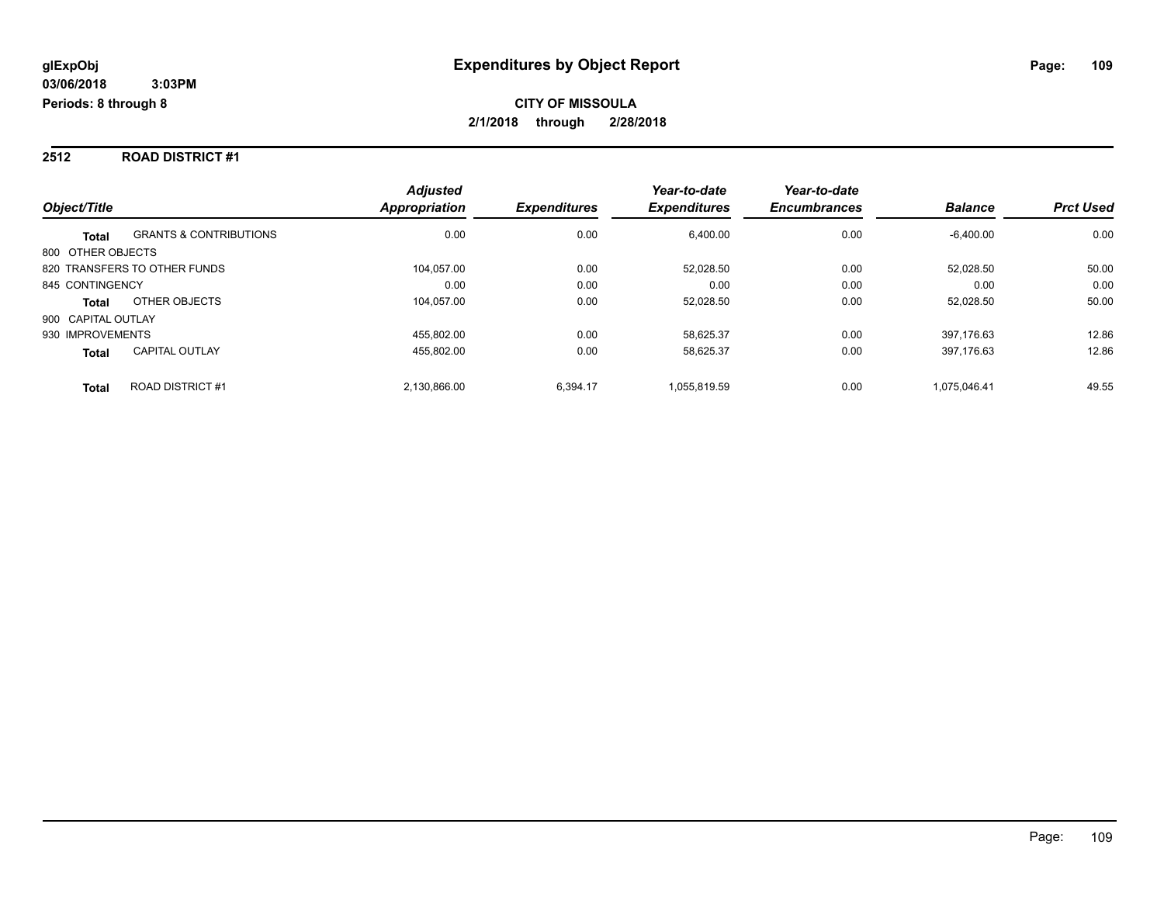#### **2512 ROAD DISTRICT #1**

|                                                   | <b>Adjusted</b>      |                     | Year-to-date        | Year-to-date        |                |                  |
|---------------------------------------------------|----------------------|---------------------|---------------------|---------------------|----------------|------------------|
| Object/Title                                      | <b>Appropriation</b> | <b>Expenditures</b> | <b>Expenditures</b> | <b>Encumbrances</b> | <b>Balance</b> | <b>Prct Used</b> |
| <b>GRANTS &amp; CONTRIBUTIONS</b><br><b>Total</b> | 0.00                 | 0.00                | 6,400.00            | 0.00                | $-6,400.00$    | 0.00             |
| 800 OTHER OBJECTS                                 |                      |                     |                     |                     |                |                  |
| 820 TRANSFERS TO OTHER FUNDS                      | 104.057.00           | 0.00                | 52.028.50           | 0.00                | 52.028.50      | 50.00            |
| 845 CONTINGENCY                                   | 0.00                 | 0.00                | 0.00                | 0.00                | 0.00           | 0.00             |
| OTHER OBJECTS<br>Total                            | 104.057.00           | 0.00                | 52.028.50           | 0.00                | 52,028.50      | 50.00            |
| 900 CAPITAL OUTLAY                                |                      |                     |                     |                     |                |                  |
| 930 IMPROVEMENTS                                  | 455.802.00           | 0.00                | 58.625.37           | 0.00                | 397.176.63     | 12.86            |
| <b>CAPITAL OUTLAY</b><br><b>Total</b>             | 455,802.00           | 0.00                | 58,625.37           | 0.00                | 397,176.63     | 12.86            |
| <b>ROAD DISTRICT #1</b><br><b>Total</b>           | 2.130.866.00         | 6.394.17            | 1.055.819.59        | 0.00                | 1.075.046.41   | 49.55            |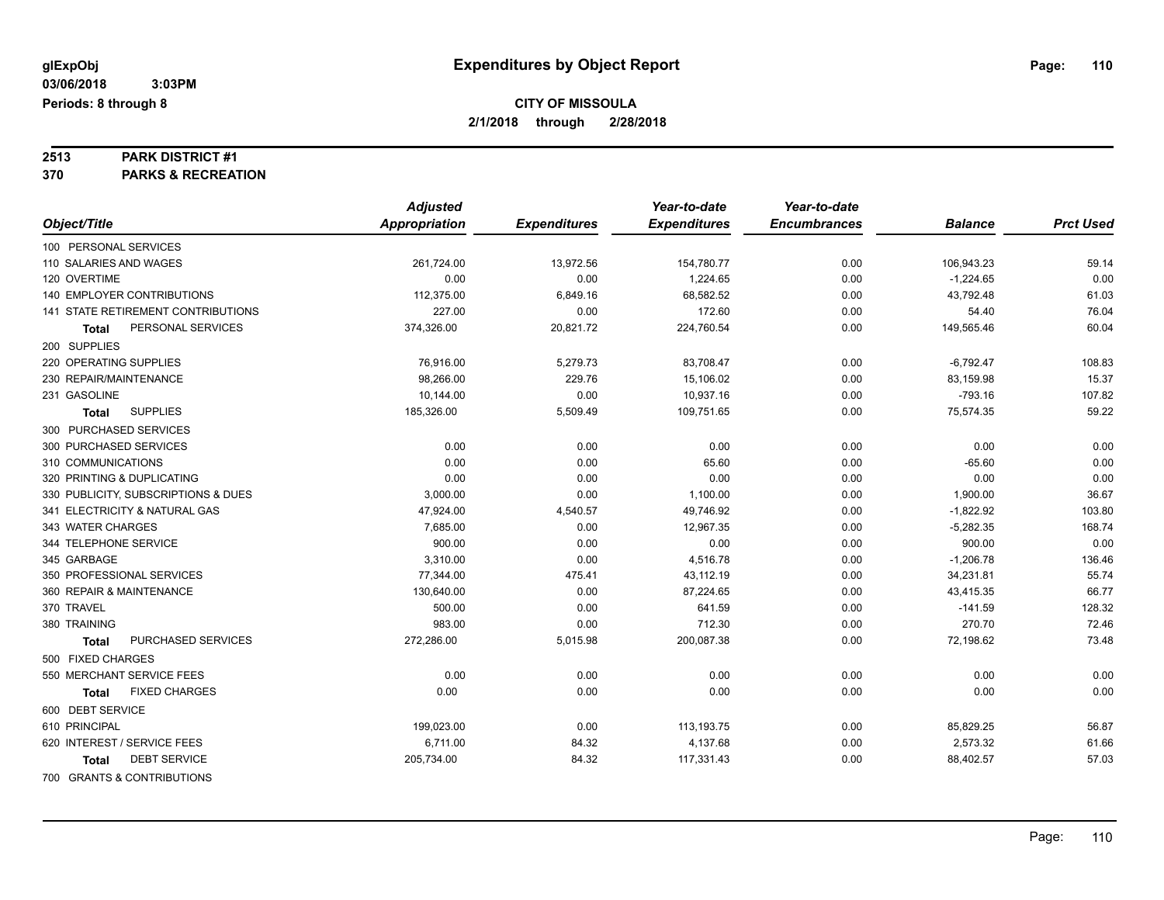## **2513 PARK DISTRICT #1**

**370 PARKS & RECREATION**

|                                      | <b>Adjusted</b> |                     | Year-to-date        | Year-to-date        |                |                  |
|--------------------------------------|-----------------|---------------------|---------------------|---------------------|----------------|------------------|
| Object/Title                         | Appropriation   | <b>Expenditures</b> | <b>Expenditures</b> | <b>Encumbrances</b> | <b>Balance</b> | <b>Prct Used</b> |
| 100 PERSONAL SERVICES                |                 |                     |                     |                     |                |                  |
| 110 SALARIES AND WAGES               | 261,724.00      | 13,972.56           | 154,780.77          | 0.00                | 106,943.23     | 59.14            |
| 120 OVERTIME                         | 0.00            | 0.00                | 1,224.65            | 0.00                | $-1,224.65$    | 0.00             |
| <b>140 EMPLOYER CONTRIBUTIONS</b>    | 112,375.00      | 6,849.16            | 68,582.52           | 0.00                | 43,792.48      | 61.03            |
| 141 STATE RETIREMENT CONTRIBUTIONS   | 227.00          | 0.00                | 172.60              | 0.00                | 54.40          | 76.04            |
| PERSONAL SERVICES<br>Total           | 374,326.00      | 20,821.72           | 224,760.54          | 0.00                | 149,565.46     | 60.04            |
| 200 SUPPLIES                         |                 |                     |                     |                     |                |                  |
| 220 OPERATING SUPPLIES               | 76,916.00       | 5,279.73            | 83,708.47           | 0.00                | $-6,792.47$    | 108.83           |
| 230 REPAIR/MAINTENANCE               | 98,266.00       | 229.76              | 15,106.02           | 0.00                | 83,159.98      | 15.37            |
| 231 GASOLINE                         | 10,144.00       | 0.00                | 10,937.16           | 0.00                | $-793.16$      | 107.82           |
| <b>SUPPLIES</b><br><b>Total</b>      | 185,326.00      | 5,509.49            | 109,751.65          | 0.00                | 75,574.35      | 59.22            |
| 300 PURCHASED SERVICES               |                 |                     |                     |                     |                |                  |
| 300 PURCHASED SERVICES               | 0.00            | 0.00                | 0.00                | 0.00                | 0.00           | 0.00             |
| 310 COMMUNICATIONS                   | 0.00            | 0.00                | 65.60               | 0.00                | $-65.60$       | 0.00             |
| 320 PRINTING & DUPLICATING           | 0.00            | 0.00                | 0.00                | 0.00                | 0.00           | 0.00             |
| 330 PUBLICITY, SUBSCRIPTIONS & DUES  | 3,000.00        | 0.00                | 1,100.00            | 0.00                | 1,900.00       | 36.67            |
| 341 ELECTRICITY & NATURAL GAS        | 47,924.00       | 4,540.57            | 49,746.92           | 0.00                | $-1,822.92$    | 103.80           |
| 343 WATER CHARGES                    | 7,685.00        | 0.00                | 12,967.35           | 0.00                | $-5,282.35$    | 168.74           |
| 344 TELEPHONE SERVICE                | 900.00          | 0.00                | 0.00                | 0.00                | 900.00         | 0.00             |
| 345 GARBAGE                          | 3,310.00        | 0.00                | 4,516.78            | 0.00                | $-1,206.78$    | 136.46           |
| 350 PROFESSIONAL SERVICES            | 77,344.00       | 475.41              | 43,112.19           | 0.00                | 34,231.81      | 55.74            |
| 360 REPAIR & MAINTENANCE             | 130,640.00      | 0.00                | 87,224.65           | 0.00                | 43,415.35      | 66.77            |
| 370 TRAVEL                           | 500.00          | 0.00                | 641.59              | 0.00                | $-141.59$      | 128.32           |
| 380 TRAINING                         | 983.00          | 0.00                | 712.30              | 0.00                | 270.70         | 72.46            |
| PURCHASED SERVICES<br>Total          | 272,286.00      | 5,015.98            | 200,087.38          | 0.00                | 72,198.62      | 73.48            |
| 500 FIXED CHARGES                    |                 |                     |                     |                     |                |                  |
| 550 MERCHANT SERVICE FEES            | 0.00            | 0.00                | 0.00                | 0.00                | 0.00           | 0.00             |
| <b>FIXED CHARGES</b><br><b>Total</b> | 0.00            | 0.00                | 0.00                | 0.00                | 0.00           | 0.00             |
| 600 DEBT SERVICE                     |                 |                     |                     |                     |                |                  |
| 610 PRINCIPAL                        | 199,023.00      | 0.00                | 113,193.75          | 0.00                | 85,829.25      | 56.87            |
| 620 INTEREST / SERVICE FEES          | 6,711.00        | 84.32               | 4,137.68            | 0.00                | 2,573.32       | 61.66            |
| <b>DEBT SERVICE</b><br>Total         | 205,734.00      | 84.32               | 117,331.43          | 0.00                | 88,402.57      | 57.03            |
| 700 GRANTS & CONTRIBUTIONS           |                 |                     |                     |                     |                |                  |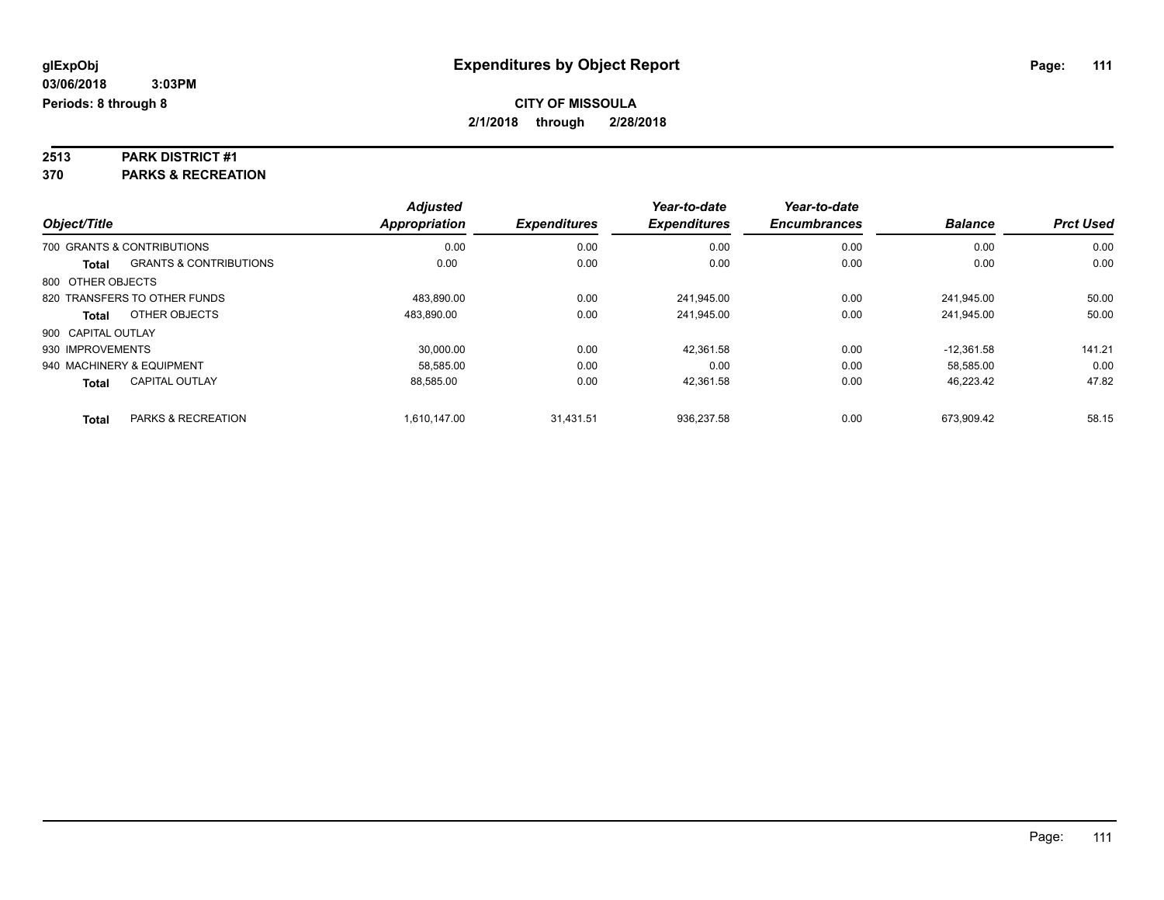## **2513 PARK DISTRICT #1**

**370 PARKS & RECREATION**

|                    |                                   | <b>Adjusted</b>      |                     | Year-to-date        | Year-to-date        |                |                  |
|--------------------|-----------------------------------|----------------------|---------------------|---------------------|---------------------|----------------|------------------|
| Object/Title       |                                   | <b>Appropriation</b> | <b>Expenditures</b> | <b>Expenditures</b> | <b>Encumbrances</b> | <b>Balance</b> | <b>Prct Used</b> |
|                    | 700 GRANTS & CONTRIBUTIONS        | 0.00                 | 0.00                | 0.00                | 0.00                | 0.00           | 0.00             |
| Total              | <b>GRANTS &amp; CONTRIBUTIONS</b> | 0.00                 | 0.00                | 0.00                | 0.00                | 0.00           | 0.00             |
| 800 OTHER OBJECTS  |                                   |                      |                     |                     |                     |                |                  |
|                    | 820 TRANSFERS TO OTHER FUNDS      | 483.890.00           | 0.00                | 241.945.00          | 0.00                | 241.945.00     | 50.00            |
| Total              | OTHER OBJECTS                     | 483,890.00           | 0.00                | 241.945.00          | 0.00                | 241.945.00     | 50.00            |
| 900 CAPITAL OUTLAY |                                   |                      |                     |                     |                     |                |                  |
| 930 IMPROVEMENTS   |                                   | 30.000.00            | 0.00                | 42.361.58           | 0.00                | $-12.361.58$   | 141.21           |
|                    | 940 MACHINERY & EQUIPMENT         | 58.585.00            | 0.00                | 0.00                | 0.00                | 58.585.00      | 0.00             |
| <b>Total</b>       | <b>CAPITAL OUTLAY</b>             | 88.585.00            | 0.00                | 42.361.58           | 0.00                | 46.223.42      | 47.82            |
| <b>Total</b>       | PARKS & RECREATION                | 1.610.147.00         | 31.431.51           | 936.237.58          | 0.00                | 673.909.42     | 58.15            |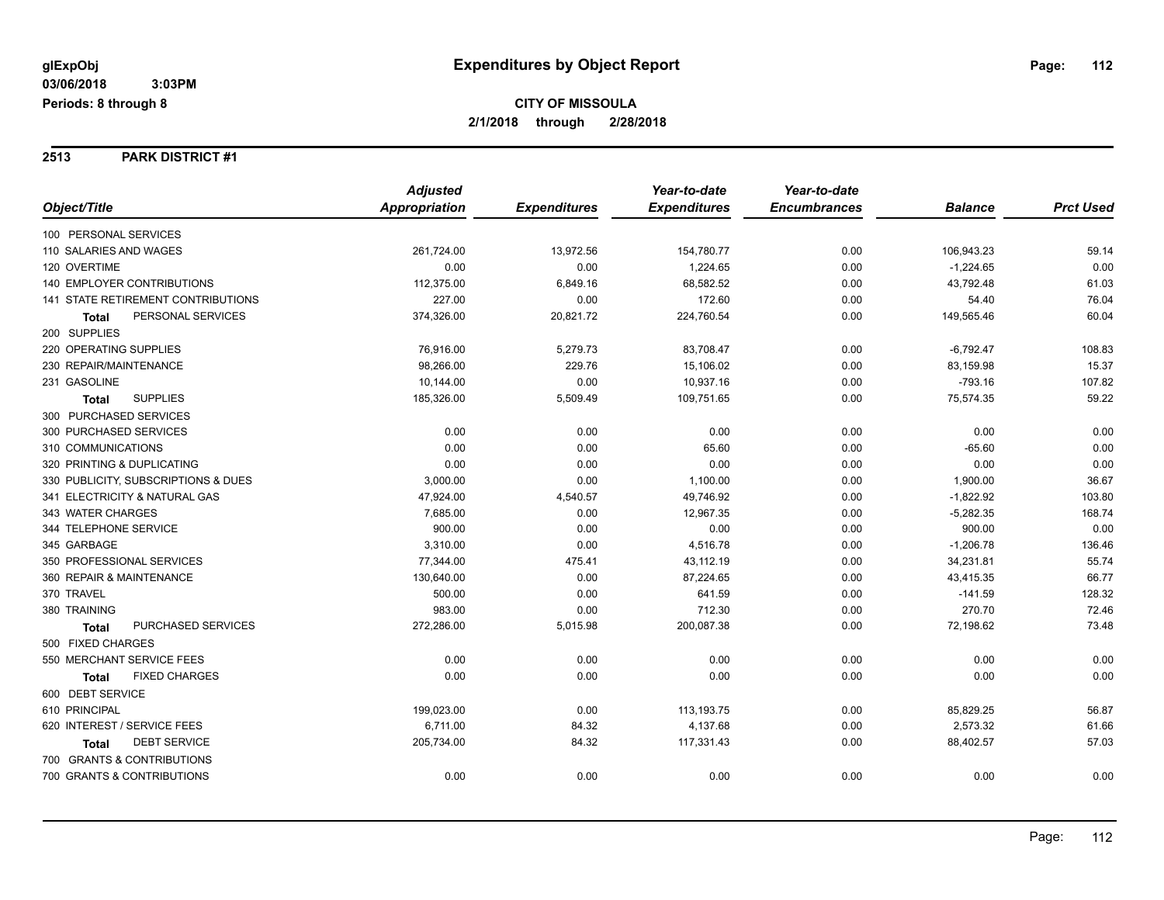#### **2513 PARK DISTRICT #1**

|                                      | <b>Adjusted</b>      |                     | Year-to-date        | Year-to-date        |                |                  |
|--------------------------------------|----------------------|---------------------|---------------------|---------------------|----------------|------------------|
| Object/Title                         | <b>Appropriation</b> | <b>Expenditures</b> | <b>Expenditures</b> | <b>Encumbrances</b> | <b>Balance</b> | <b>Prct Used</b> |
| 100 PERSONAL SERVICES                |                      |                     |                     |                     |                |                  |
| 110 SALARIES AND WAGES               | 261,724.00           | 13,972.56           | 154,780.77          | 0.00                | 106,943.23     | 59.14            |
| 120 OVERTIME                         | 0.00                 | 0.00                | 1,224.65            | 0.00                | $-1,224.65$    | 0.00             |
| 140 EMPLOYER CONTRIBUTIONS           | 112,375.00           | 6,849.16            | 68,582.52           | 0.00                | 43,792.48      | 61.03            |
| 141 STATE RETIREMENT CONTRIBUTIONS   | 227.00               | 0.00                | 172.60              | 0.00                | 54.40          | 76.04            |
| PERSONAL SERVICES<br>Total           | 374,326.00           | 20,821.72           | 224,760.54          | 0.00                | 149,565.46     | 60.04            |
| 200 SUPPLIES                         |                      |                     |                     |                     |                |                  |
| 220 OPERATING SUPPLIES               | 76,916.00            | 5,279.73            | 83,708.47           | 0.00                | $-6,792.47$    | 108.83           |
| 230 REPAIR/MAINTENANCE               | 98.266.00            | 229.76              | 15,106.02           | 0.00                | 83,159.98      | 15.37            |
| 231 GASOLINE                         | 10,144.00            | 0.00                | 10,937.16           | 0.00                | $-793.16$      | 107.82           |
| <b>SUPPLIES</b><br><b>Total</b>      | 185,326.00           | 5,509.49            | 109,751.65          | 0.00                | 75,574.35      | 59.22            |
| 300 PURCHASED SERVICES               |                      |                     |                     |                     |                |                  |
| 300 PURCHASED SERVICES               | 0.00                 | 0.00                | 0.00                | 0.00                | 0.00           | 0.00             |
| 310 COMMUNICATIONS                   | 0.00                 | 0.00                | 65.60               | 0.00                | $-65.60$       | 0.00             |
| 320 PRINTING & DUPLICATING           | 0.00                 | 0.00                | 0.00                | 0.00                | 0.00           | 0.00             |
| 330 PUBLICITY, SUBSCRIPTIONS & DUES  | 3,000.00             | 0.00                | 1,100.00            | 0.00                | 1,900.00       | 36.67            |
| 341 ELECTRICITY & NATURAL GAS        | 47,924.00            | 4,540.57            | 49,746.92           | 0.00                | $-1,822.92$    | 103.80           |
| 343 WATER CHARGES                    | 7,685.00             | 0.00                | 12,967.35           | 0.00                | $-5,282.35$    | 168.74           |
| 344 TELEPHONE SERVICE                | 900.00               | 0.00                | 0.00                | 0.00                | 900.00         | 0.00             |
| 345 GARBAGE                          | 3,310.00             | 0.00                | 4,516.78            | 0.00                | $-1,206.78$    | 136.46           |
| 350 PROFESSIONAL SERVICES            | 77,344.00            | 475.41              | 43,112.19           | 0.00                | 34,231.81      | 55.74            |
| 360 REPAIR & MAINTENANCE             | 130,640.00           | 0.00                | 87,224.65           | 0.00                | 43,415.35      | 66.77            |
| 370 TRAVEL                           | 500.00               | 0.00                | 641.59              | 0.00                | $-141.59$      | 128.32           |
| 380 TRAINING                         | 983.00               | 0.00                | 712.30              | 0.00                | 270.70         | 72.46            |
| PURCHASED SERVICES<br><b>Total</b>   | 272,286.00           | 5,015.98            | 200,087.38          | 0.00                | 72,198.62      | 73.48            |
| 500 FIXED CHARGES                    |                      |                     |                     |                     |                |                  |
| 550 MERCHANT SERVICE FEES            | 0.00                 | 0.00                | 0.00                | 0.00                | 0.00           | 0.00             |
| <b>FIXED CHARGES</b><br><b>Total</b> | 0.00                 | 0.00                | 0.00                | 0.00                | 0.00           | 0.00             |
| 600 DEBT SERVICE                     |                      |                     |                     |                     |                |                  |
| 610 PRINCIPAL                        | 199,023.00           | 0.00                | 113,193.75          | 0.00                | 85,829.25      | 56.87            |
| 620 INTEREST / SERVICE FEES          | 6,711.00             | 84.32               | 4,137.68            | 0.00                | 2,573.32       | 61.66            |
| <b>DEBT SERVICE</b><br>Total         | 205,734.00           | 84.32               | 117,331.43          | 0.00                | 88,402.57      | 57.03            |
| 700 GRANTS & CONTRIBUTIONS           |                      |                     |                     |                     |                |                  |
| 700 GRANTS & CONTRIBUTIONS           | 0.00                 | 0.00                | 0.00                | 0.00                | 0.00           | 0.00             |
|                                      |                      |                     |                     |                     |                |                  |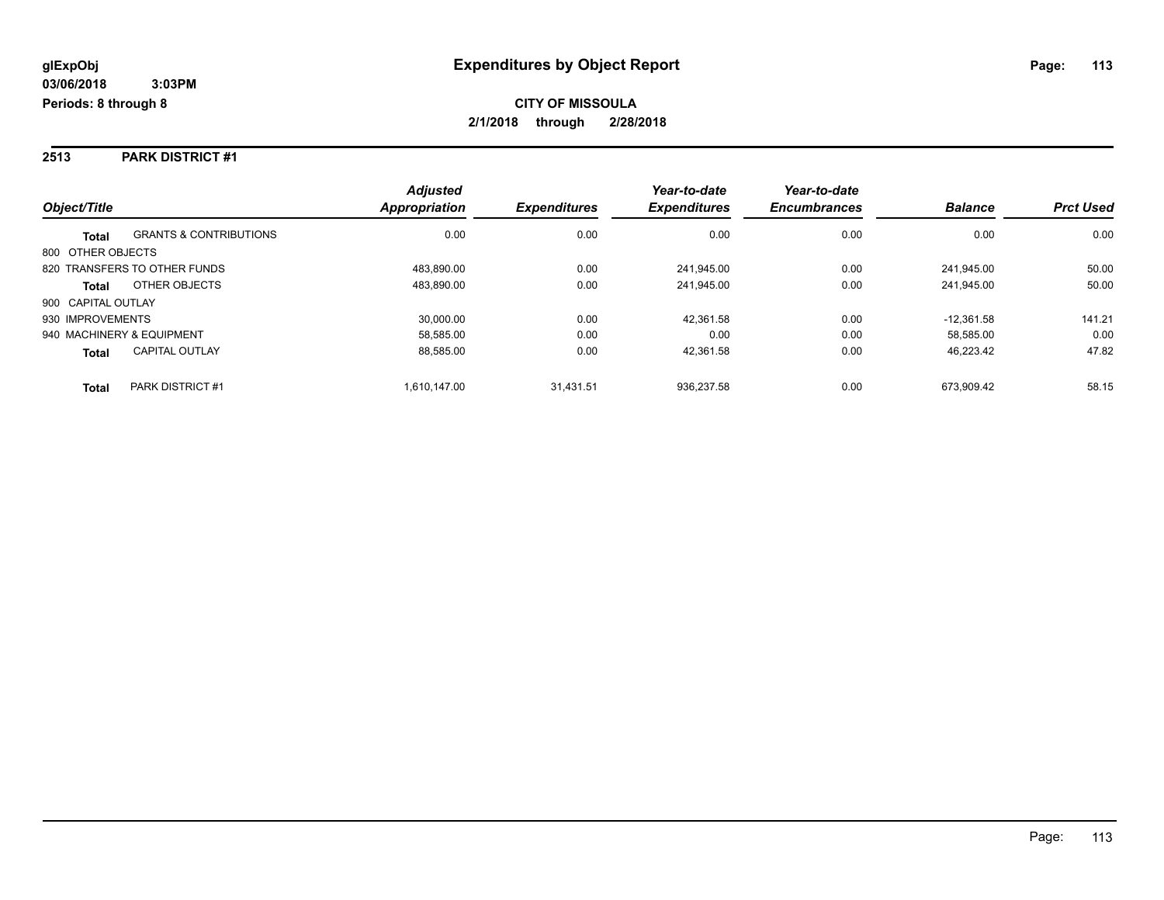#### **2513 PARK DISTRICT #1**

|                           |                                   | <b>Adjusted</b>      |                     | Year-to-date        | Year-to-date        |                |                  |
|---------------------------|-----------------------------------|----------------------|---------------------|---------------------|---------------------|----------------|------------------|
| Object/Title              |                                   | <b>Appropriation</b> | <b>Expenditures</b> | <b>Expenditures</b> | <b>Encumbrances</b> | <b>Balance</b> | <b>Prct Used</b> |
| <b>Total</b>              | <b>GRANTS &amp; CONTRIBUTIONS</b> | 0.00                 | 0.00                | 0.00                | 0.00                | 0.00           | 0.00             |
| 800 OTHER OBJECTS         |                                   |                      |                     |                     |                     |                |                  |
|                           | 820 TRANSFERS TO OTHER FUNDS      | 483.890.00           | 0.00                | 241.945.00          | 0.00                | 241.945.00     | 50.00            |
| <b>Total</b>              | OTHER OBJECTS                     | 483.890.00           | 0.00                | 241.945.00          | 0.00                | 241.945.00     | 50.00            |
| 900 CAPITAL OUTLAY        |                                   |                      |                     |                     |                     |                |                  |
| 930 IMPROVEMENTS          |                                   | 30.000.00            | 0.00                | 42.361.58           | 0.00                | $-12.361.58$   | 141.21           |
| 940 MACHINERY & EQUIPMENT |                                   | 58.585.00            | 0.00                | 0.00                | 0.00                | 58,585.00      | 0.00             |
| <b>Total</b>              | <b>CAPITAL OUTLAY</b>             | 88,585.00            | 0.00                | 42.361.58           | 0.00                | 46,223.42      | 47.82            |
| <b>Total</b>              | <b>PARK DISTRICT #1</b>           | 1.610.147.00         | 31.431.51           | 936.237.58          | 0.00                | 673.909.42     | 58.15            |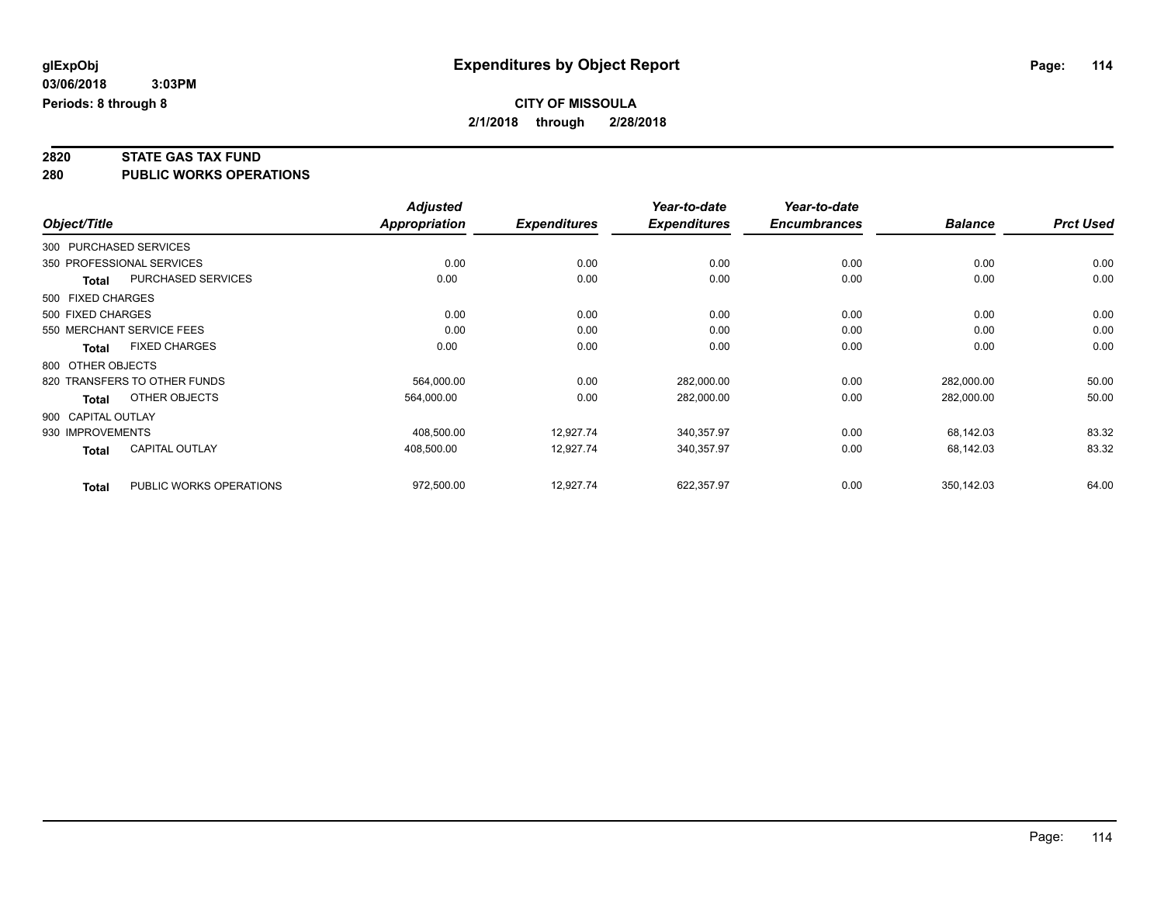## **2820 STATE GAS TAX FUND**

**280 PUBLIC WORKS OPERATIONS**

|                    |                              | <b>Adjusted</b> |                     | Year-to-date        | Year-to-date        |                |                  |
|--------------------|------------------------------|-----------------|---------------------|---------------------|---------------------|----------------|------------------|
| Object/Title       |                              | Appropriation   | <b>Expenditures</b> | <b>Expenditures</b> | <b>Encumbrances</b> | <b>Balance</b> | <b>Prct Used</b> |
|                    | 300 PURCHASED SERVICES       |                 |                     |                     |                     |                |                  |
|                    | 350 PROFESSIONAL SERVICES    | 0.00            | 0.00                | 0.00                | 0.00                | 0.00           | 0.00             |
| <b>Total</b>       | PURCHASED SERVICES           | 0.00            | 0.00                | 0.00                | 0.00                | 0.00           | 0.00             |
| 500 FIXED CHARGES  |                              |                 |                     |                     |                     |                |                  |
| 500 FIXED CHARGES  |                              | 0.00            | 0.00                | 0.00                | 0.00                | 0.00           | 0.00             |
|                    | 550 MERCHANT SERVICE FEES    | 0.00            | 0.00                | 0.00                | 0.00                | 0.00           | 0.00             |
| Total              | <b>FIXED CHARGES</b>         | 0.00            | 0.00                | 0.00                | 0.00                | 0.00           | 0.00             |
| 800 OTHER OBJECTS  |                              |                 |                     |                     |                     |                |                  |
|                    | 820 TRANSFERS TO OTHER FUNDS | 564.000.00      | 0.00                | 282,000.00          | 0.00                | 282,000.00     | 50.00            |
| <b>Total</b>       | OTHER OBJECTS                | 564,000.00      | 0.00                | 282,000.00          | 0.00                | 282,000.00     | 50.00            |
| 900 CAPITAL OUTLAY |                              |                 |                     |                     |                     |                |                  |
| 930 IMPROVEMENTS   |                              | 408,500.00      | 12,927.74           | 340,357.97          | 0.00                | 68,142.03      | 83.32            |
| <b>Total</b>       | <b>CAPITAL OUTLAY</b>        | 408,500.00      | 12,927.74           | 340,357.97          | 0.00                | 68,142.03      | 83.32            |
| <b>Total</b>       | PUBLIC WORKS OPERATIONS      | 972,500.00      | 12,927.74           | 622,357.97          | 0.00                | 350,142.03     | 64.00            |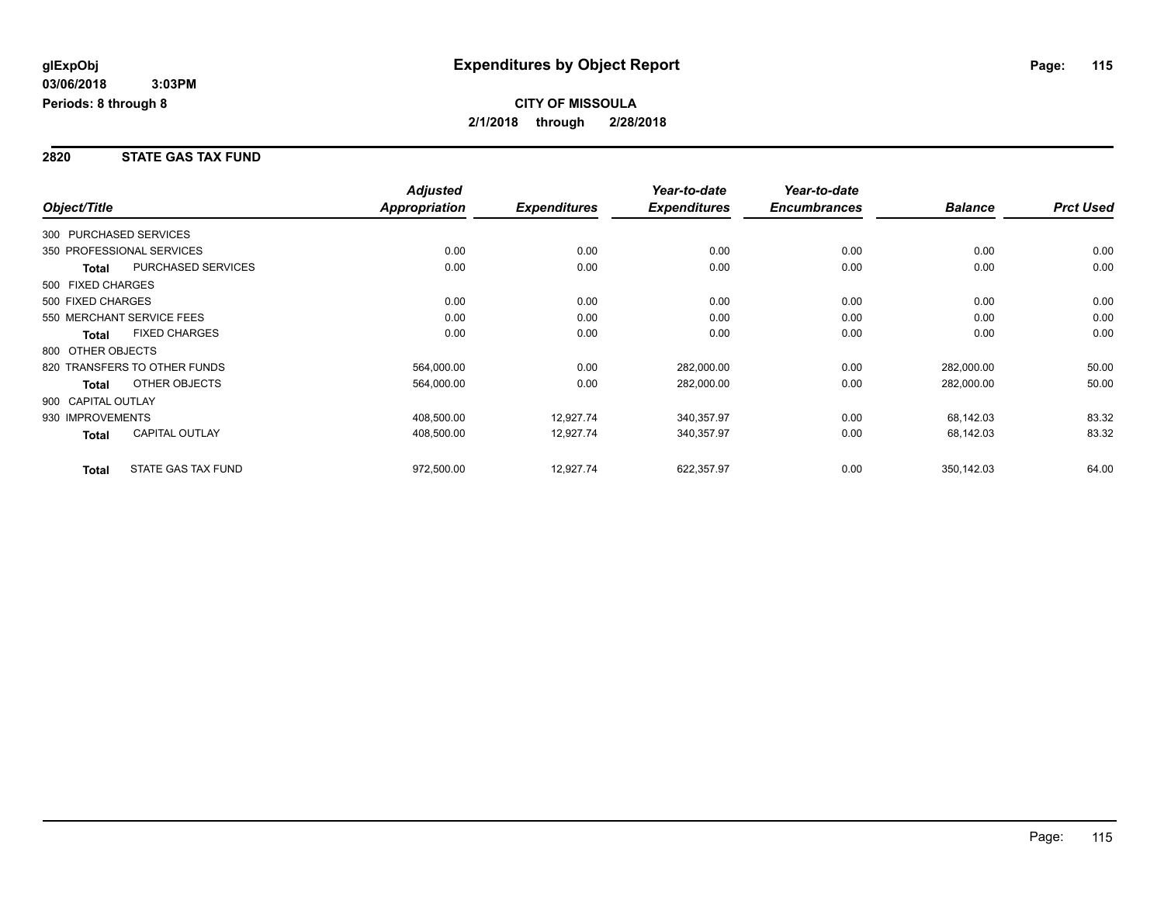#### **2820 STATE GAS TAX FUND**

|                        |                              | <b>Adjusted</b> |                     | Year-to-date        | Year-to-date        |                |                  |
|------------------------|------------------------------|-----------------|---------------------|---------------------|---------------------|----------------|------------------|
| Object/Title           |                              | Appropriation   | <b>Expenditures</b> | <b>Expenditures</b> | <b>Encumbrances</b> | <b>Balance</b> | <b>Prct Used</b> |
| 300 PURCHASED SERVICES |                              |                 |                     |                     |                     |                |                  |
|                        | 350 PROFESSIONAL SERVICES    | 0.00            | 0.00                | 0.00                | 0.00                | 0.00           | 0.00             |
| <b>Total</b>           | <b>PURCHASED SERVICES</b>    | 0.00            | 0.00                | 0.00                | 0.00                | 0.00           | 0.00             |
| 500 FIXED CHARGES      |                              |                 |                     |                     |                     |                |                  |
| 500 FIXED CHARGES      |                              | 0.00            | 0.00                | 0.00                | 0.00                | 0.00           | 0.00             |
|                        | 550 MERCHANT SERVICE FEES    | 0.00            | 0.00                | 0.00                | 0.00                | 0.00           | 0.00             |
| <b>Total</b>           | <b>FIXED CHARGES</b>         | 0.00            | 0.00                | 0.00                | 0.00                | 0.00           | 0.00             |
| 800 OTHER OBJECTS      |                              |                 |                     |                     |                     |                |                  |
|                        | 820 TRANSFERS TO OTHER FUNDS | 564,000.00      | 0.00                | 282,000.00          | 0.00                | 282,000.00     | 50.00            |
| <b>Total</b>           | OTHER OBJECTS                | 564,000.00      | 0.00                | 282,000.00          | 0.00                | 282,000.00     | 50.00            |
| 900 CAPITAL OUTLAY     |                              |                 |                     |                     |                     |                |                  |
| 930 IMPROVEMENTS       |                              | 408,500.00      | 12,927.74           | 340,357.97          | 0.00                | 68,142.03      | 83.32            |
| Total                  | <b>CAPITAL OUTLAY</b>        | 408,500.00      | 12,927.74           | 340,357.97          | 0.00                | 68,142.03      | 83.32            |
| <b>Total</b>           | STATE GAS TAX FUND           | 972,500.00      | 12,927.74           | 622,357.97          | 0.00                | 350,142.03     | 64.00            |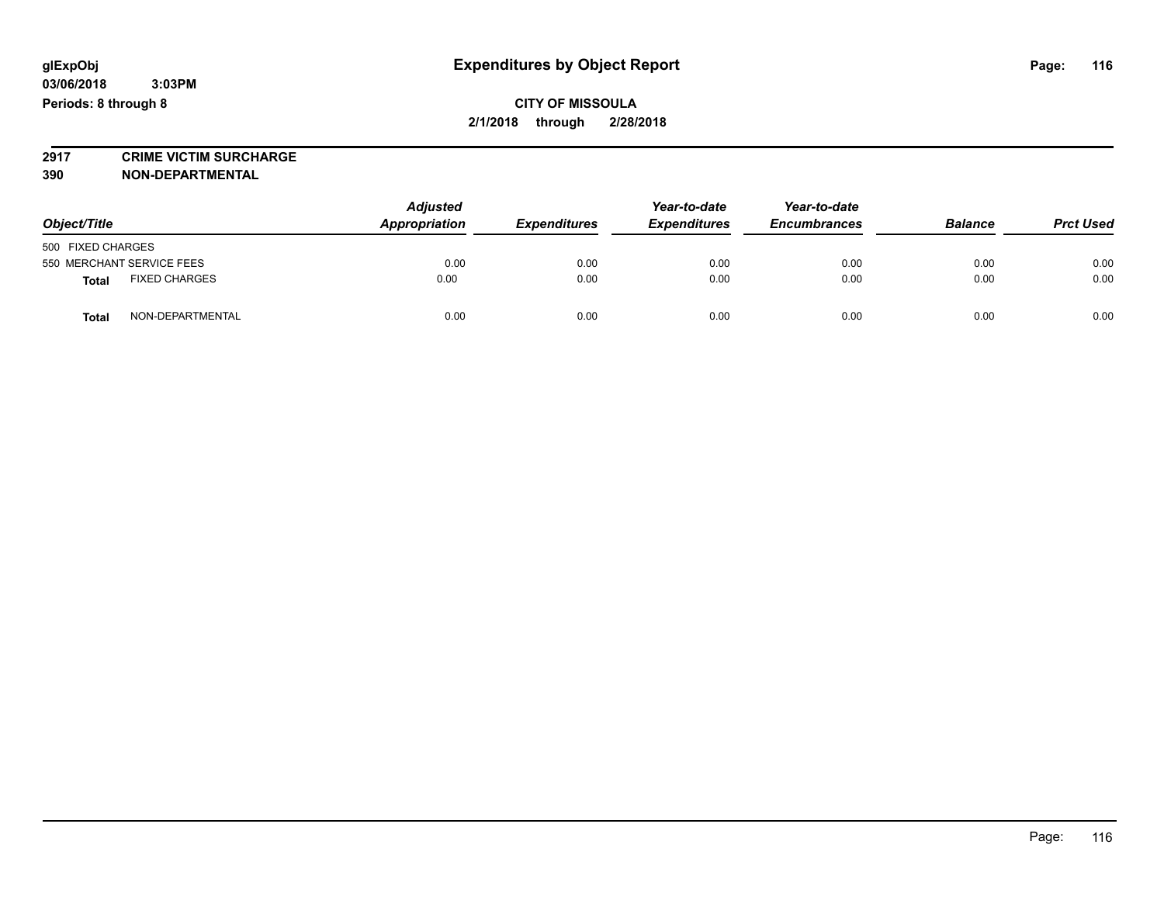## **2917 CRIME VICTIM SURCHARGE**

**390 NON-DEPARTMENTAL**

| Object/Title                         | <b>Adjusted</b><br>Appropriation | <b>Expenditures</b> | Year-to-date<br><b>Expenditures</b> | Year-to-date<br><b>Encumbrances</b> | <b>Balance</b> | <b>Prct Used</b> |
|--------------------------------------|----------------------------------|---------------------|-------------------------------------|-------------------------------------|----------------|------------------|
| 500 FIXED CHARGES                    |                                  |                     |                                     |                                     |                |                  |
| 550 MERCHANT SERVICE FEES            | 0.00                             | 0.00                | 0.00                                | 0.00                                | 0.00           | 0.00             |
| <b>FIXED CHARGES</b><br><b>Total</b> | 0.00                             | 0.00                | 0.00                                | 0.00                                | 0.00           | 0.00             |
| NON-DEPARTMENTAL<br>Total            | 0.00                             | 0.00                | 0.00                                | 0.00                                | 0.00           | 0.00             |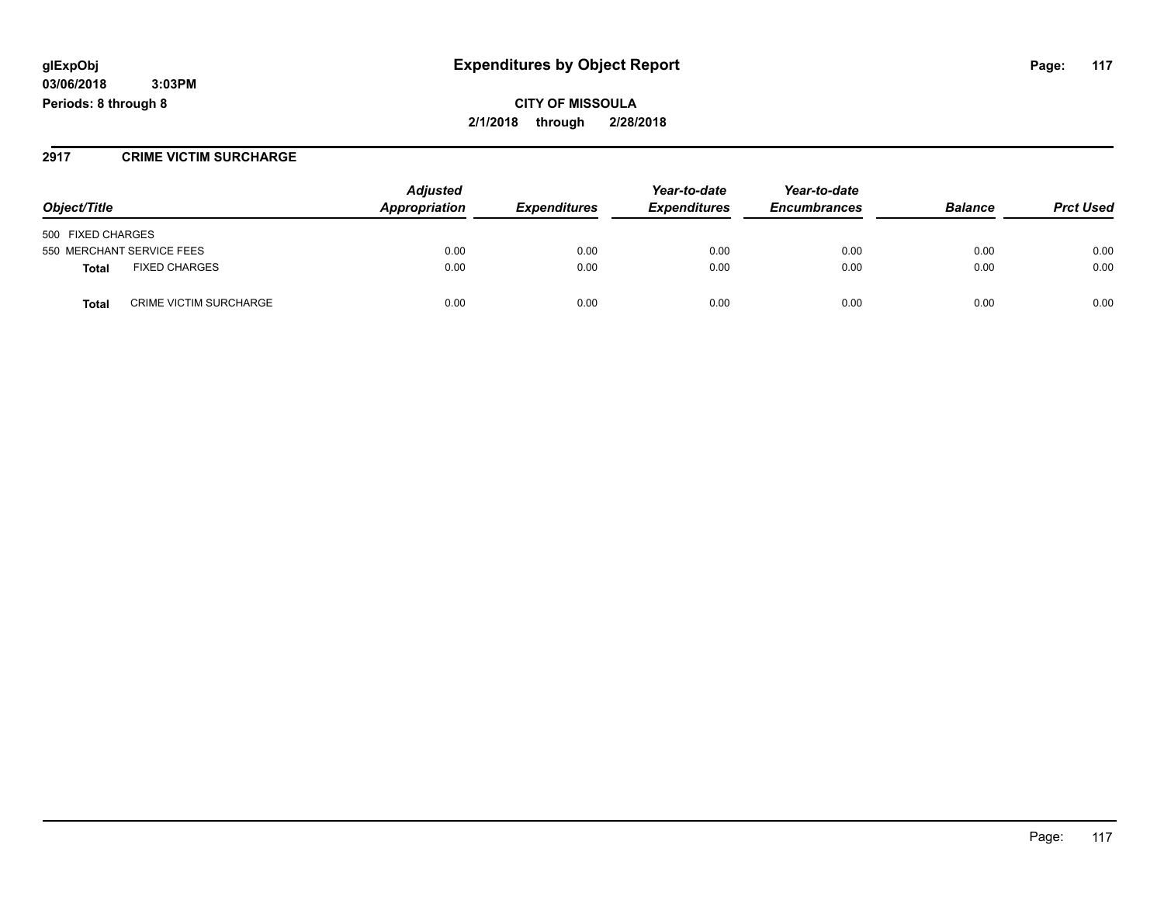### **glExpObj Expenditures by Object Report Page: 117**

**03/06/2018 3:03PM Periods: 8 through 8**

**CITY OF MISSOULA 2/1/2018 through 2/28/2018**

#### **2917 CRIME VICTIM SURCHARGE**

|                                               | <b>Adjusted</b><br>Appropriation |                     | Year-to-date        | Year-to-date        | <b>Balance</b> | <b>Prct Used</b> |
|-----------------------------------------------|----------------------------------|---------------------|---------------------|---------------------|----------------|------------------|
| Object/Title                                  |                                  | <b>Expenditures</b> | <b>Expenditures</b> | <b>Encumbrances</b> |                |                  |
| 500 FIXED CHARGES                             |                                  |                     |                     |                     |                |                  |
| 550 MERCHANT SERVICE FEES                     | 0.00                             | 0.00                | 0.00                | 0.00                | 0.00           | 0.00             |
| <b>FIXED CHARGES</b><br>Total                 | 0.00                             | 0.00                | 0.00                | 0.00                | 0.00           | 0.00             |
| <b>CRIME VICTIM SURCHARGE</b><br><b>Total</b> | 0.00                             | 0.00                | 0.00                | 0.00                | 0.00           | 0.00             |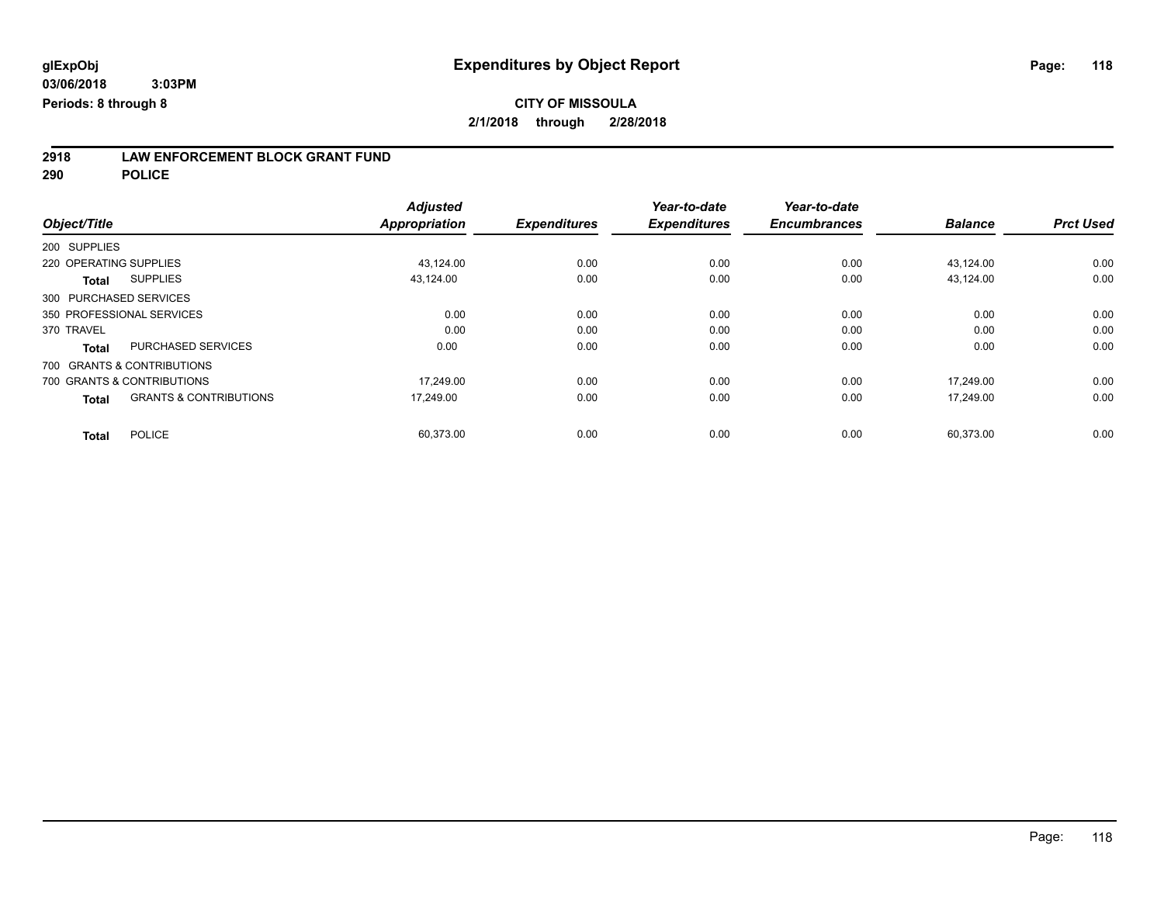## **2918 LAW ENFORCEMENT BLOCK GRANT FUND**

**290 POLICE**

|                                                   | <b>Adjusted</b>      |                     | Year-to-date        | Year-to-date        |                |                  |
|---------------------------------------------------|----------------------|---------------------|---------------------|---------------------|----------------|------------------|
| Object/Title                                      | <b>Appropriation</b> | <b>Expenditures</b> | <b>Expenditures</b> | <b>Encumbrances</b> | <b>Balance</b> | <b>Prct Used</b> |
| 200 SUPPLIES                                      |                      |                     |                     |                     |                |                  |
| 220 OPERATING SUPPLIES                            | 43,124.00            | 0.00                | 0.00                | 0.00                | 43,124.00      | 0.00             |
| <b>SUPPLIES</b><br><b>Total</b>                   | 43,124.00            | 0.00                | 0.00                | 0.00                | 43,124.00      | 0.00             |
| 300 PURCHASED SERVICES                            |                      |                     |                     |                     |                |                  |
| 350 PROFESSIONAL SERVICES                         | 0.00                 | 0.00                | 0.00                | 0.00                | 0.00           | 0.00             |
| 370 TRAVEL                                        | 0.00                 | 0.00                | 0.00                | 0.00                | 0.00           | 0.00             |
| <b>PURCHASED SERVICES</b><br><b>Total</b>         | 0.00                 | 0.00                | 0.00                | 0.00                | 0.00           | 0.00             |
| 700 GRANTS & CONTRIBUTIONS                        |                      |                     |                     |                     |                |                  |
| 700 GRANTS & CONTRIBUTIONS                        | 17,249.00            | 0.00                | 0.00                | 0.00                | 17.249.00      | 0.00             |
| <b>GRANTS &amp; CONTRIBUTIONS</b><br><b>Total</b> | 17.249.00            | 0.00                | 0.00                | 0.00                | 17.249.00      | 0.00             |
| <b>POLICE</b><br><b>Total</b>                     | 60,373.00            | 0.00                | 0.00                | 0.00                | 60,373.00      | 0.00             |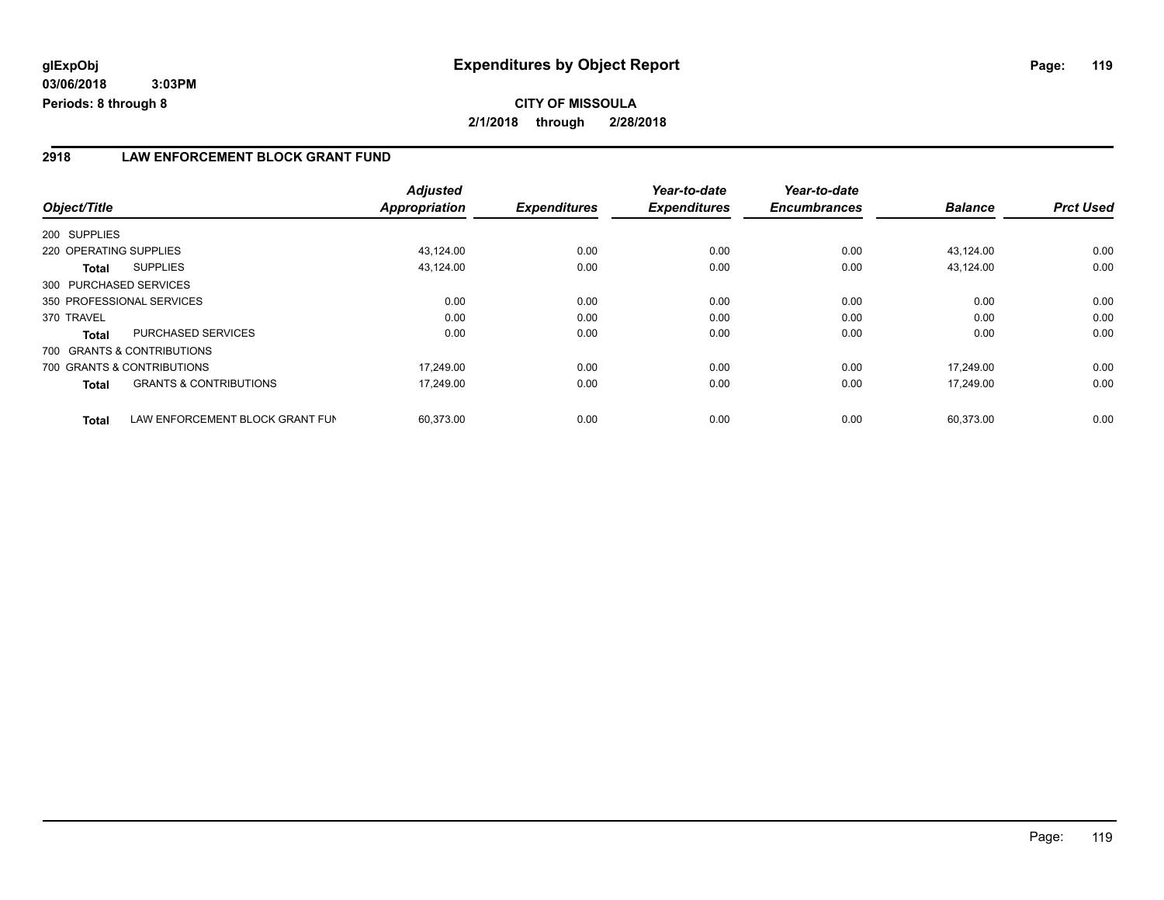#### **2918 LAW ENFORCEMENT BLOCK GRANT FUND**

| Object/Title                                    | <b>Adjusted</b><br>Appropriation | <b>Expenditures</b> | Year-to-date<br><b>Expenditures</b> | Year-to-date<br><b>Encumbrances</b> | <b>Balance</b> | <b>Prct Used</b> |
|-------------------------------------------------|----------------------------------|---------------------|-------------------------------------|-------------------------------------|----------------|------------------|
| 200 SUPPLIES                                    |                                  |                     |                                     |                                     |                |                  |
| 220 OPERATING SUPPLIES                          | 43,124.00                        | 0.00                | 0.00                                | 0.00                                | 43,124.00      | 0.00             |
|                                                 |                                  |                     |                                     |                                     |                |                  |
| <b>SUPPLIES</b><br>Total                        | 43,124.00                        | 0.00                | 0.00                                | 0.00                                | 43,124.00      | 0.00             |
| 300 PURCHASED SERVICES                          |                                  |                     |                                     |                                     |                |                  |
| 350 PROFESSIONAL SERVICES                       | 0.00                             | 0.00                | 0.00                                | 0.00                                | 0.00           | 0.00             |
| 370 TRAVEL                                      | 0.00                             | 0.00                | 0.00                                | 0.00                                | 0.00           | 0.00             |
| PURCHASED SERVICES<br><b>Total</b>              | 0.00                             | 0.00                | 0.00                                | 0.00                                | 0.00           | 0.00             |
| 700 GRANTS & CONTRIBUTIONS                      |                                  |                     |                                     |                                     |                |                  |
| 700 GRANTS & CONTRIBUTIONS                      | 17.249.00                        | 0.00                | 0.00                                | 0.00                                | 17.249.00      | 0.00             |
| <b>GRANTS &amp; CONTRIBUTIONS</b><br>Total      | 17,249.00                        | 0.00                | 0.00                                | 0.00                                | 17,249.00      | 0.00             |
| LAW ENFORCEMENT BLOCK GRANT FUN<br><b>Total</b> | 60.373.00                        | 0.00                | 0.00                                | 0.00                                | 60.373.00      | 0.00             |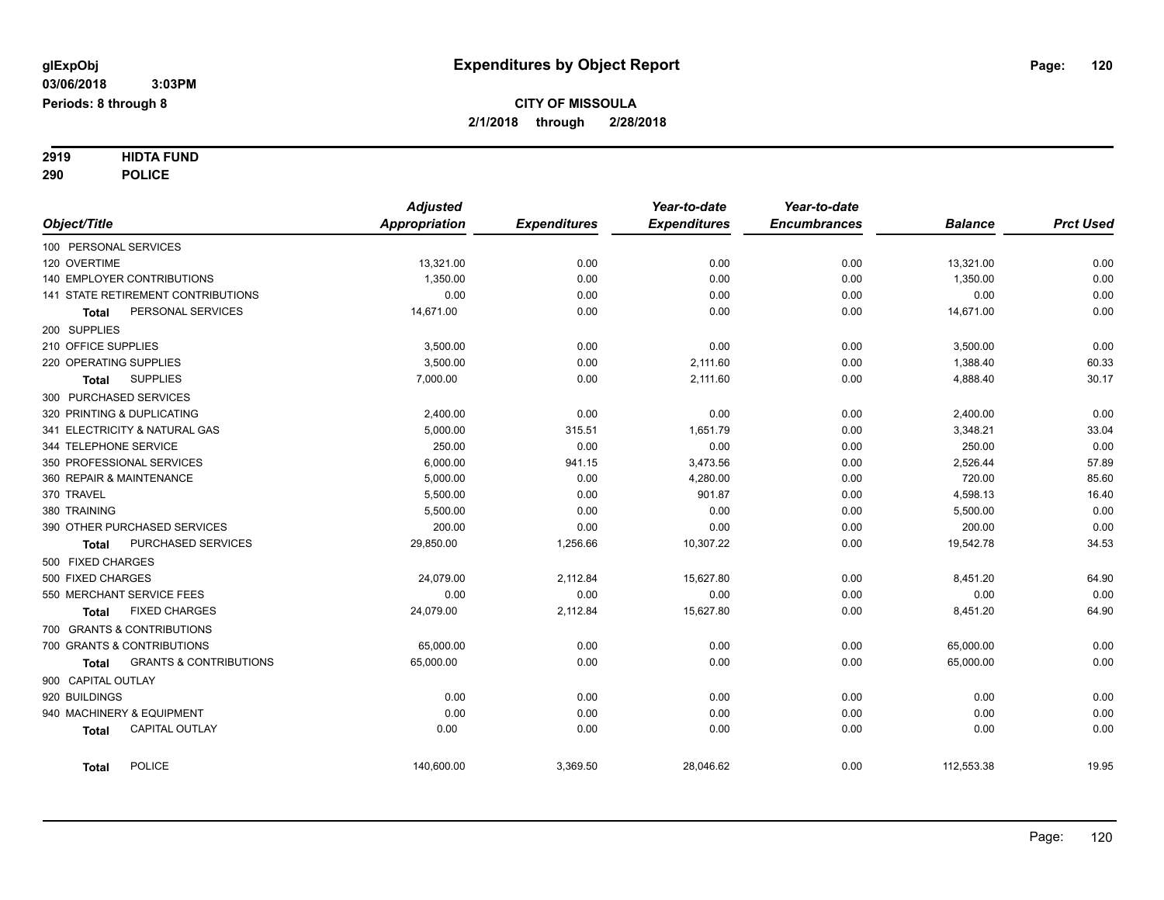# **2919 HIDTA FUND**

**290 POLICE**

|            |                                                   | <b>Adjusted</b>      |                     | Year-to-date        | Year-to-date        |                |                  |
|------------|---------------------------------------------------|----------------------|---------------------|---------------------|---------------------|----------------|------------------|
|            | Object/Title                                      | <b>Appropriation</b> | <b>Expenditures</b> | <b>Expenditures</b> | <b>Encumbrances</b> | <b>Balance</b> | <b>Prct Used</b> |
|            | 100 PERSONAL SERVICES                             |                      |                     |                     |                     |                |                  |
|            | 120 OVERTIME                                      | 13,321.00            | 0.00                | 0.00                | 0.00                | 13,321.00      | 0.00             |
|            | <b>140 EMPLOYER CONTRIBUTIONS</b>                 | 1,350.00             | 0.00                | 0.00                | 0.00                | 1,350.00       | 0.00             |
|            | 141 STATE RETIREMENT CONTRIBUTIONS                | 0.00                 | 0.00                | 0.00                | 0.00                | 0.00           | 0.00             |
|            | PERSONAL SERVICES<br>Total                        | 14,671.00            | 0.00                | 0.00                | 0.00                | 14,671.00      | 0.00             |
|            | 200 SUPPLIES                                      |                      |                     |                     |                     |                |                  |
|            | 210 OFFICE SUPPLIES                               | 3,500.00             | 0.00                | 0.00                | 0.00                | 3,500.00       | 0.00             |
|            | 220 OPERATING SUPPLIES                            | 3,500.00             | 0.00                | 2,111.60            | 0.00                | 1,388.40       | 60.33            |
|            | <b>SUPPLIES</b><br><b>Total</b>                   | 7,000.00             | 0.00                | 2,111.60            | 0.00                | 4,888.40       | 30.17            |
|            | 300 PURCHASED SERVICES                            |                      |                     |                     |                     |                |                  |
|            | 320 PRINTING & DUPLICATING                        | 2,400.00             | 0.00                | 0.00                | 0.00                | 2,400.00       | 0.00             |
|            | 341 ELECTRICITY & NATURAL GAS                     | 5,000.00             | 315.51              | 1,651.79            | 0.00                | 3,348.21       | 33.04            |
|            | 344 TELEPHONE SERVICE                             | 250.00               | 0.00                | 0.00                | 0.00                | 250.00         | 0.00             |
|            | 350 PROFESSIONAL SERVICES                         | 6,000.00             | 941.15              | 3,473.56            | 0.00                | 2,526.44       | 57.89            |
|            | 360 REPAIR & MAINTENANCE                          | 5,000.00             | 0.00                | 4,280.00            | 0.00                | 720.00         | 85.60            |
| 370 TRAVEL |                                                   | 5,500.00             | 0.00                | 901.87              | 0.00                | 4,598.13       | 16.40            |
|            | 380 TRAINING                                      | 5,500.00             | 0.00                | 0.00                | 0.00                | 5,500.00       | 0.00             |
|            | 390 OTHER PURCHASED SERVICES                      | 200.00               | 0.00                | 0.00                | 0.00                | 200.00         | 0.00             |
|            | PURCHASED SERVICES<br>Total                       | 29,850.00            | 1,256.66            | 10,307.22           | 0.00                | 19,542.78      | 34.53            |
|            | 500 FIXED CHARGES                                 |                      |                     |                     |                     |                |                  |
|            | 500 FIXED CHARGES                                 | 24,079.00            | 2,112.84            | 15,627.80           | 0.00                | 8,451.20       | 64.90            |
|            | 550 MERCHANT SERVICE FEES                         | 0.00                 | 0.00                | 0.00                | 0.00                | 0.00           | 0.00             |
|            | <b>FIXED CHARGES</b><br><b>Total</b>              | 24,079.00            | 2,112.84            | 15,627.80           | 0.00                | 8,451.20       | 64.90            |
|            | 700 GRANTS & CONTRIBUTIONS                        |                      |                     |                     |                     |                |                  |
|            | 700 GRANTS & CONTRIBUTIONS                        | 65,000.00            | 0.00                | 0.00                | 0.00                | 65,000.00      | 0.00             |
|            | <b>GRANTS &amp; CONTRIBUTIONS</b><br><b>Total</b> | 65,000.00            | 0.00                | 0.00                | 0.00                | 65,000.00      | 0.00             |
|            | 900 CAPITAL OUTLAY                                |                      |                     |                     |                     |                |                  |
|            | 920 BUILDINGS                                     | 0.00                 | 0.00                | 0.00                | 0.00                | 0.00           | 0.00             |
|            | 940 MACHINERY & EQUIPMENT                         | 0.00                 | 0.00                | 0.00                | 0.00                | 0.00           | 0.00             |
|            | <b>CAPITAL OUTLAY</b><br><b>Total</b>             | 0.00                 | 0.00                | 0.00                | 0.00                | 0.00           | 0.00             |
|            | <b>POLICE</b><br><b>Total</b>                     | 140,600.00           | 3,369.50            | 28,046.62           | 0.00                | 112,553.38     | 19.95            |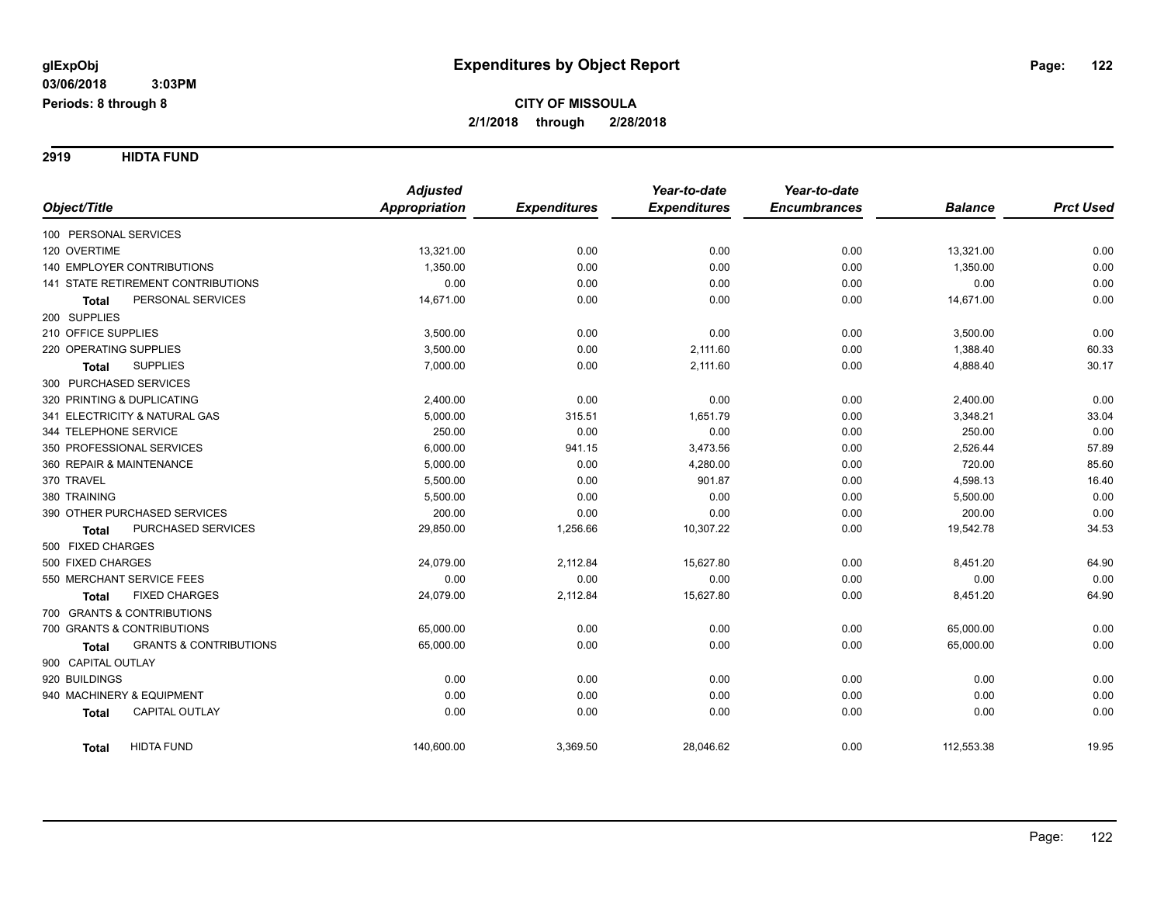**2919 HIDTA FUND**

|                                                   | <b>Adjusted</b>      |                     | Year-to-date        | Year-to-date        |                |                  |
|---------------------------------------------------|----------------------|---------------------|---------------------|---------------------|----------------|------------------|
| Object/Title                                      | <b>Appropriation</b> | <b>Expenditures</b> | <b>Expenditures</b> | <b>Encumbrances</b> | <b>Balance</b> | <b>Prct Used</b> |
| 100 PERSONAL SERVICES                             |                      |                     |                     |                     |                |                  |
| 120 OVERTIME                                      | 13,321.00            | 0.00                | 0.00                | 0.00                | 13,321.00      | 0.00             |
| <b>140 EMPLOYER CONTRIBUTIONS</b>                 | 1,350.00             | 0.00                | 0.00                | 0.00                | 1,350.00       | 0.00             |
| 141 STATE RETIREMENT CONTRIBUTIONS                | 0.00                 | 0.00                | 0.00                | 0.00                | 0.00           | 0.00             |
| PERSONAL SERVICES<br><b>Total</b>                 | 14,671.00            | 0.00                | 0.00                | 0.00                | 14,671.00      | 0.00             |
| 200 SUPPLIES                                      |                      |                     |                     |                     |                |                  |
| 210 OFFICE SUPPLIES                               | 3,500.00             | 0.00                | 0.00                | 0.00                | 3,500.00       | 0.00             |
| 220 OPERATING SUPPLIES                            | 3,500.00             | 0.00                | 2,111.60            | 0.00                | 1,388.40       | 60.33            |
| <b>SUPPLIES</b><br>Total                          | 7,000.00             | 0.00                | 2,111.60            | 0.00                | 4,888.40       | 30.17            |
| 300 PURCHASED SERVICES                            |                      |                     |                     |                     |                |                  |
| 320 PRINTING & DUPLICATING                        | 2,400.00             | 0.00                | 0.00                | 0.00                | 2,400.00       | 0.00             |
| 341 ELECTRICITY & NATURAL GAS                     | 5,000.00             | 315.51              | 1,651.79            | 0.00                | 3,348.21       | 33.04            |
| 344 TELEPHONE SERVICE                             | 250.00               | 0.00                | 0.00                | 0.00                | 250.00         | 0.00             |
| 350 PROFESSIONAL SERVICES                         | 6,000.00             | 941.15              | 3,473.56            | 0.00                | 2,526.44       | 57.89            |
| 360 REPAIR & MAINTENANCE                          | 5,000.00             | 0.00                | 4,280.00            | 0.00                | 720.00         | 85.60            |
| 370 TRAVEL                                        | 5,500.00             | 0.00                | 901.87              | 0.00                | 4,598.13       | 16.40            |
| 380 TRAINING                                      | 5,500.00             | 0.00                | 0.00                | 0.00                | 5,500.00       | 0.00             |
| 390 OTHER PURCHASED SERVICES                      | 200.00               | 0.00                | 0.00                | 0.00                | 200.00         | 0.00             |
| PURCHASED SERVICES<br><b>Total</b>                | 29,850.00            | 1,256.66            | 10,307.22           | 0.00                | 19,542.78      | 34.53            |
| 500 FIXED CHARGES                                 |                      |                     |                     |                     |                |                  |
| 500 FIXED CHARGES                                 | 24,079.00            | 2,112.84            | 15,627.80           | 0.00                | 8,451.20       | 64.90            |
| 550 MERCHANT SERVICE FEES                         | 0.00                 | 0.00                | 0.00                | 0.00                | 0.00           | 0.00             |
| <b>FIXED CHARGES</b><br>Total                     | 24,079.00            | 2,112.84            | 15,627.80           | 0.00                | 8,451.20       | 64.90            |
| 700 GRANTS & CONTRIBUTIONS                        |                      |                     |                     |                     |                |                  |
| 700 GRANTS & CONTRIBUTIONS                        | 65,000.00            | 0.00                | 0.00                | 0.00                | 65,000.00      | 0.00             |
| <b>GRANTS &amp; CONTRIBUTIONS</b><br><b>Total</b> | 65,000.00            | 0.00                | 0.00                | 0.00                | 65,000.00      | 0.00             |
| 900 CAPITAL OUTLAY                                |                      |                     |                     |                     |                |                  |
| 920 BUILDINGS                                     | 0.00                 | 0.00                | 0.00                | 0.00                | 0.00           | 0.00             |
| 940 MACHINERY & EQUIPMENT                         | 0.00                 | 0.00                | 0.00                | 0.00                | 0.00           | 0.00             |
| CAPITAL OUTLAY<br><b>Total</b>                    | 0.00                 | 0.00                | 0.00                | 0.00                | 0.00           | 0.00             |
| <b>HIDTA FUND</b><br><b>Total</b>                 | 140,600.00           | 3,369.50            | 28,046.62           | 0.00                | 112,553.38     | 19.95            |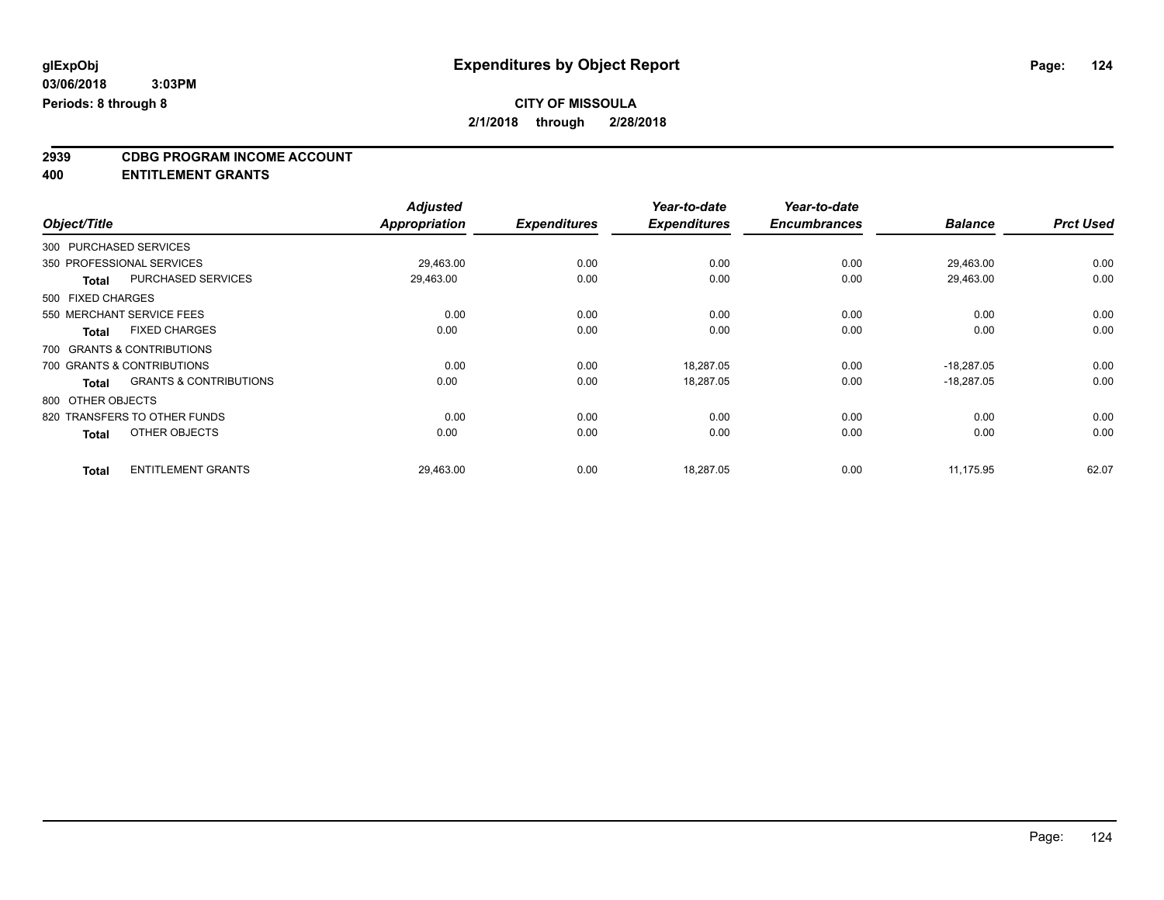### **CITY OF MISSOULA**

**2/1/2018 through 2/28/2018**

## **2939 CDBG PROGRAM INCOME ACCOUNT**

**400 ENTITLEMENT GRANTS**

|                   |                                   | <b>Adjusted</b> |                     | Year-to-date        | Year-to-date        |                |                  |
|-------------------|-----------------------------------|-----------------|---------------------|---------------------|---------------------|----------------|------------------|
| Object/Title      |                                   | Appropriation   | <b>Expenditures</b> | <b>Expenditures</b> | <b>Encumbrances</b> | <b>Balance</b> | <b>Prct Used</b> |
|                   | 300 PURCHASED SERVICES            |                 |                     |                     |                     |                |                  |
|                   | 350 PROFESSIONAL SERVICES         | 29,463.00       | 0.00                | 0.00                | 0.00                | 29,463.00      | 0.00             |
| <b>Total</b>      | <b>PURCHASED SERVICES</b>         | 29,463.00       | 0.00                | 0.00                | 0.00                | 29,463.00      | 0.00             |
| 500 FIXED CHARGES |                                   |                 |                     |                     |                     |                |                  |
|                   | 550 MERCHANT SERVICE FEES         | 0.00            | 0.00                | 0.00                | 0.00                | 0.00           | 0.00             |
| <b>Total</b>      | <b>FIXED CHARGES</b>              | 0.00            | 0.00                | 0.00                | 0.00                | 0.00           | 0.00             |
|                   | 700 GRANTS & CONTRIBUTIONS        |                 |                     |                     |                     |                |                  |
|                   | 700 GRANTS & CONTRIBUTIONS        | 0.00            | 0.00                | 18,287.05           | 0.00                | $-18,287.05$   | 0.00             |
| <b>Total</b>      | <b>GRANTS &amp; CONTRIBUTIONS</b> | 0.00            | 0.00                | 18,287.05           | 0.00                | $-18.287.05$   | 0.00             |
| 800 OTHER OBJECTS |                                   |                 |                     |                     |                     |                |                  |
|                   | 820 TRANSFERS TO OTHER FUNDS      | 0.00            | 0.00                | 0.00                | 0.00                | 0.00           | 0.00             |
| <b>Total</b>      | OTHER OBJECTS                     | 0.00            | 0.00                | 0.00                | 0.00                | 0.00           | 0.00             |
| <b>Total</b>      | <b>ENTITLEMENT GRANTS</b>         | 29,463.00       | 0.00                | 18,287.05           | 0.00                | 11,175.95      | 62.07            |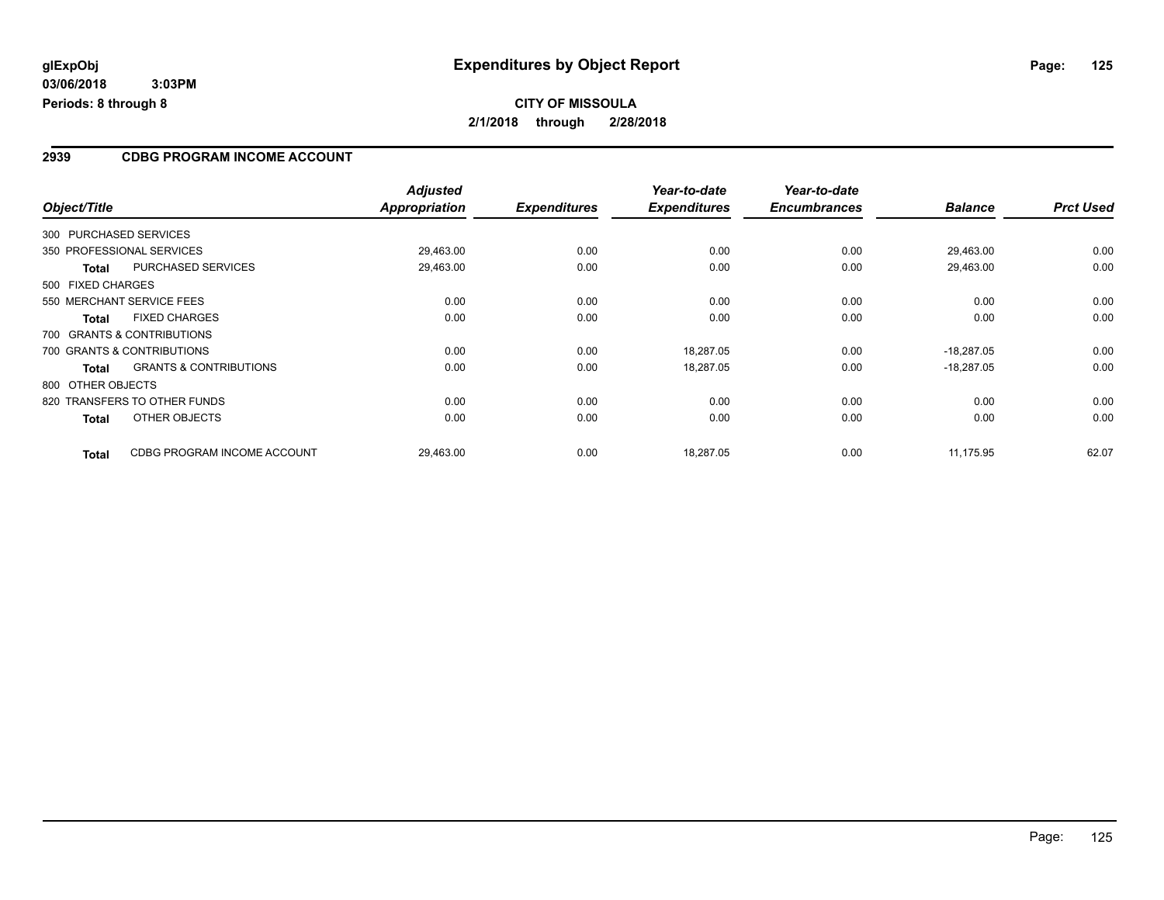#### **2939 CDBG PROGRAM INCOME ACCOUNT**

|                   |                                   | <b>Adjusted</b>      |                     | Year-to-date        | Year-to-date        |                |                  |
|-------------------|-----------------------------------|----------------------|---------------------|---------------------|---------------------|----------------|------------------|
| Object/Title      |                                   | <b>Appropriation</b> | <b>Expenditures</b> | <b>Expenditures</b> | <b>Encumbrances</b> | <b>Balance</b> | <b>Prct Used</b> |
|                   | 300 PURCHASED SERVICES            |                      |                     |                     |                     |                |                  |
|                   | 350 PROFESSIONAL SERVICES         | 29,463.00            | 0.00                | 0.00                | 0.00                | 29.463.00      | 0.00             |
| <b>Total</b>      | <b>PURCHASED SERVICES</b>         | 29.463.00            | 0.00                | 0.00                | 0.00                | 29.463.00      | 0.00             |
| 500 FIXED CHARGES |                                   |                      |                     |                     |                     |                |                  |
|                   | 550 MERCHANT SERVICE FEES         | 0.00                 | 0.00                | 0.00                | 0.00                | 0.00           | 0.00             |
| <b>Total</b>      | <b>FIXED CHARGES</b>              | 0.00                 | 0.00                | 0.00                | 0.00                | 0.00           | 0.00             |
|                   | 700 GRANTS & CONTRIBUTIONS        |                      |                     |                     |                     |                |                  |
|                   | 700 GRANTS & CONTRIBUTIONS        | 0.00                 | 0.00                | 18,287.05           | 0.00                | $-18,287.05$   | 0.00             |
| <b>Total</b>      | <b>GRANTS &amp; CONTRIBUTIONS</b> | 0.00                 | 0.00                | 18,287.05           | 0.00                | $-18,287.05$   | 0.00             |
| 800 OTHER OBJECTS |                                   |                      |                     |                     |                     |                |                  |
|                   | 820 TRANSFERS TO OTHER FUNDS      | 0.00                 | 0.00                | 0.00                | 0.00                | 0.00           | 0.00             |
| <b>Total</b>      | OTHER OBJECTS                     | 0.00                 | 0.00                | 0.00                | 0.00                | 0.00           | 0.00             |
| <b>Total</b>      | CDBG PROGRAM INCOME ACCOUNT       | 29,463.00            | 0.00                | 18,287.05           | 0.00                | 11,175.95      | 62.07            |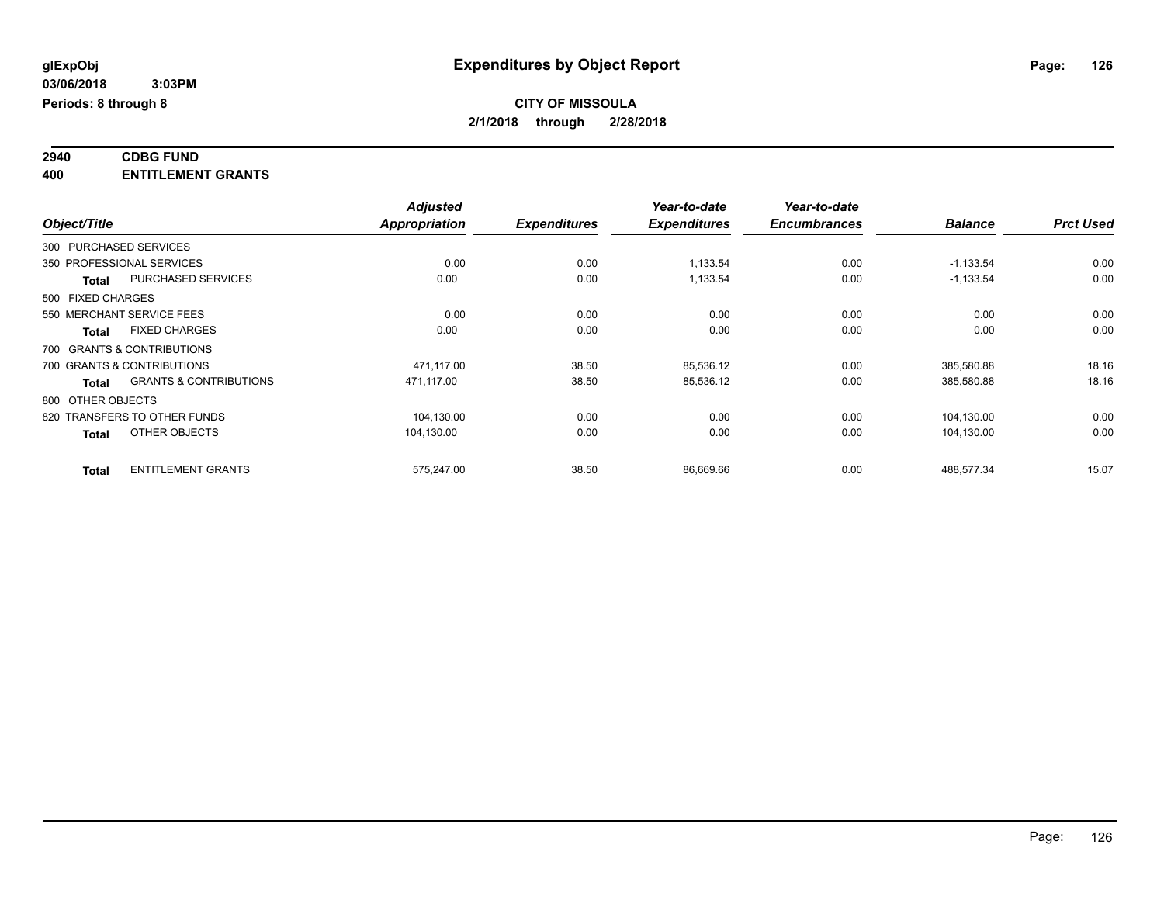#### **2940 CDBG FUND 400 ENTITLEMENT GRANTS**

|                   |                                   | <b>Adjusted</b> |                     | Year-to-date        | Year-to-date        |                |                  |
|-------------------|-----------------------------------|-----------------|---------------------|---------------------|---------------------|----------------|------------------|
| Object/Title      |                                   | Appropriation   | <b>Expenditures</b> | <b>Expenditures</b> | <b>Encumbrances</b> | <b>Balance</b> | <b>Prct Used</b> |
|                   | 300 PURCHASED SERVICES            |                 |                     |                     |                     |                |                  |
|                   | 350 PROFESSIONAL SERVICES         | 0.00            | 0.00                | 1,133.54            | 0.00                | $-1,133.54$    | 0.00             |
| Total             | <b>PURCHASED SERVICES</b>         | 0.00            | 0.00                | 1,133.54            | 0.00                | $-1,133.54$    | 0.00             |
| 500 FIXED CHARGES |                                   |                 |                     |                     |                     |                |                  |
|                   | 550 MERCHANT SERVICE FEES         | 0.00            | 0.00                | 0.00                | 0.00                | 0.00           | 0.00             |
| Total             | <b>FIXED CHARGES</b>              | 0.00            | 0.00                | 0.00                | 0.00                | 0.00           | 0.00             |
|                   | 700 GRANTS & CONTRIBUTIONS        |                 |                     |                     |                     |                |                  |
|                   | 700 GRANTS & CONTRIBUTIONS        | 471,117.00      | 38.50               | 85,536.12           | 0.00                | 385,580.88     | 18.16            |
| <b>Total</b>      | <b>GRANTS &amp; CONTRIBUTIONS</b> | 471.117.00      | 38.50               | 85,536.12           | 0.00                | 385,580.88     | 18.16            |
| 800 OTHER OBJECTS |                                   |                 |                     |                     |                     |                |                  |
|                   | 820 TRANSFERS TO OTHER FUNDS      | 104,130.00      | 0.00                | 0.00                | 0.00                | 104,130.00     | 0.00             |
| <b>Total</b>      | OTHER OBJECTS                     | 104,130.00      | 0.00                | 0.00                | 0.00                | 104,130.00     | 0.00             |
| <b>Total</b>      | <b>ENTITLEMENT GRANTS</b>         | 575,247.00      | 38.50               | 86,669.66           | 0.00                | 488,577.34     | 15.07            |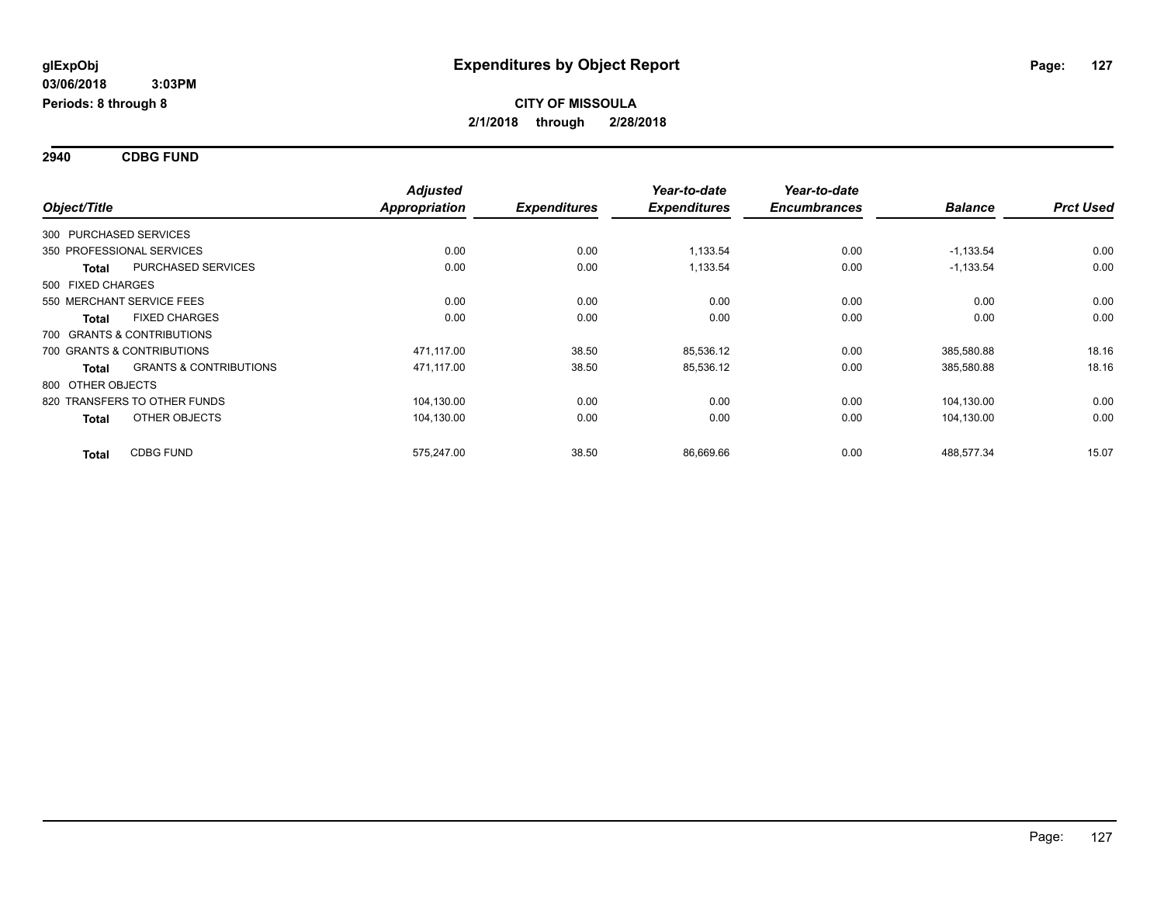**2940 CDBG FUND**

|                        |                                   | <b>Adjusted</b>      |                     | Year-to-date        | Year-to-date        |                |                  |
|------------------------|-----------------------------------|----------------------|---------------------|---------------------|---------------------|----------------|------------------|
| Object/Title           |                                   | <b>Appropriation</b> | <b>Expenditures</b> | <b>Expenditures</b> | <b>Encumbrances</b> | <b>Balance</b> | <b>Prct Used</b> |
| 300 PURCHASED SERVICES |                                   |                      |                     |                     |                     |                |                  |
|                        | 350 PROFESSIONAL SERVICES         | 0.00                 | 0.00                | 1,133.54            | 0.00                | $-1,133.54$    | 0.00             |
| <b>Total</b>           | PURCHASED SERVICES                | 0.00                 | 0.00                | 1,133.54            | 0.00                | $-1,133.54$    | 0.00             |
| 500 FIXED CHARGES      |                                   |                      |                     |                     |                     |                |                  |
|                        | 550 MERCHANT SERVICE FEES         | 0.00                 | 0.00                | 0.00                | 0.00                | 0.00           | 0.00             |
| Total                  | <b>FIXED CHARGES</b>              | 0.00                 | 0.00                | 0.00                | 0.00                | 0.00           | 0.00             |
|                        | 700 GRANTS & CONTRIBUTIONS        |                      |                     |                     |                     |                |                  |
|                        | 700 GRANTS & CONTRIBUTIONS        | 471,117.00           | 38.50               | 85,536.12           | 0.00                | 385,580.88     | 18.16            |
| Total                  | <b>GRANTS &amp; CONTRIBUTIONS</b> | 471,117.00           | 38.50               | 85,536.12           | 0.00                | 385,580.88     | 18.16            |
| 800 OTHER OBJECTS      |                                   |                      |                     |                     |                     |                |                  |
|                        | 820 TRANSFERS TO OTHER FUNDS      | 104,130.00           | 0.00                | 0.00                | 0.00                | 104.130.00     | 0.00             |
| <b>Total</b>           | OTHER OBJECTS                     | 104,130.00           | 0.00                | 0.00                | 0.00                | 104,130.00     | 0.00             |
| <b>Total</b>           | <b>CDBG FUND</b>                  | 575,247.00           | 38.50               | 86,669.66           | 0.00                | 488,577.34     | 15.07            |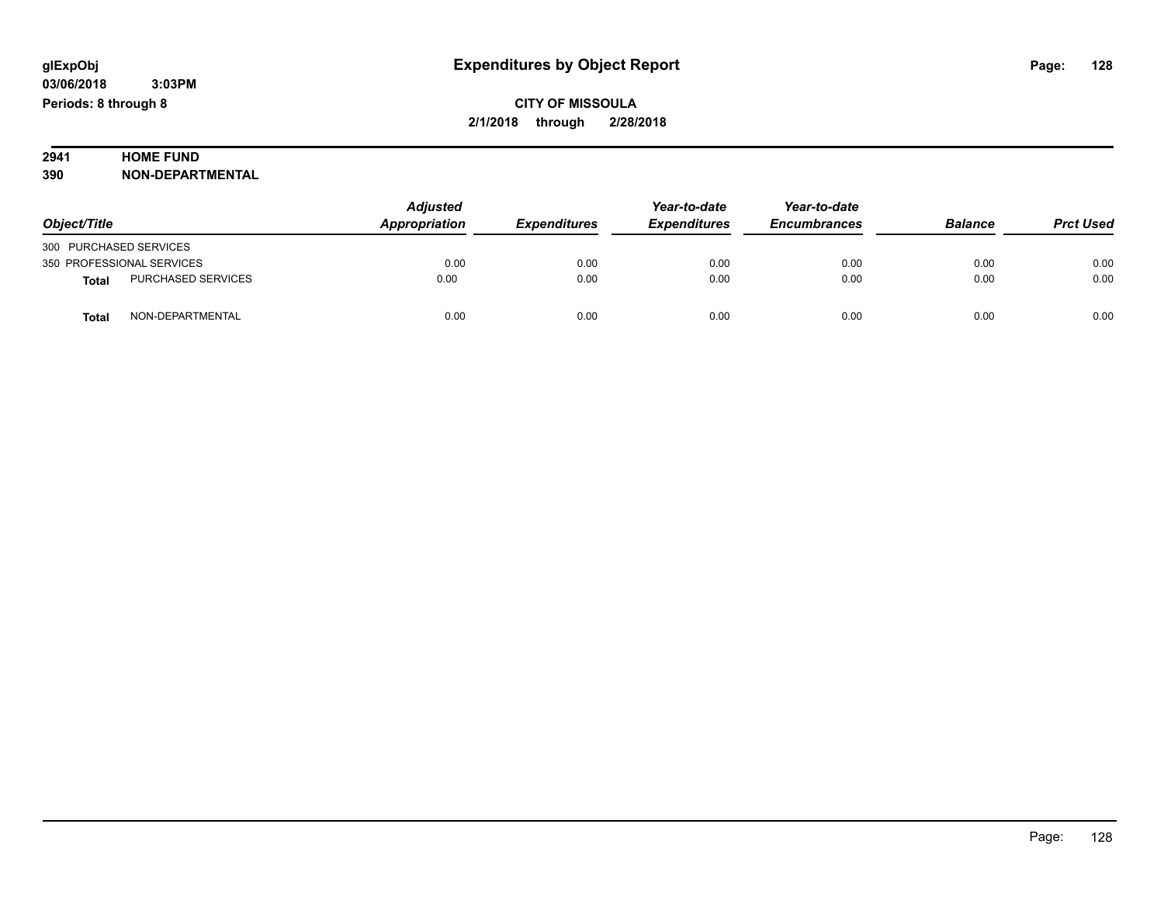## **2941 HOME FUND<br>390 NON-DEPART**

**390 NON-DEPARTMENTAL**

|                                           | <b>Adjusted</b><br>Appropriation<br><b>Expenditures</b> | Year-to-date | Year-to-date        |                     |                |                  |
|-------------------------------------------|---------------------------------------------------------|--------------|---------------------|---------------------|----------------|------------------|
| Object/Title                              |                                                         |              | <b>Expenditures</b> | <b>Encumbrances</b> | <b>Balance</b> | <b>Prct Used</b> |
| 300 PURCHASED SERVICES                    |                                                         |              |                     |                     |                |                  |
| 350 PROFESSIONAL SERVICES                 | 0.00                                                    | 0.00         | 0.00                | 0.00                | 0.00           | 0.00             |
| <b>PURCHASED SERVICES</b><br><b>Total</b> | 0.00                                                    | 0.00         | 0.00                | 0.00                | 0.00           | 0.00             |
| NON-DEPARTMENTAL<br>Total                 | 0.00                                                    | 0.00         | 0.00                | 0.00                | 0.00           | 0.00             |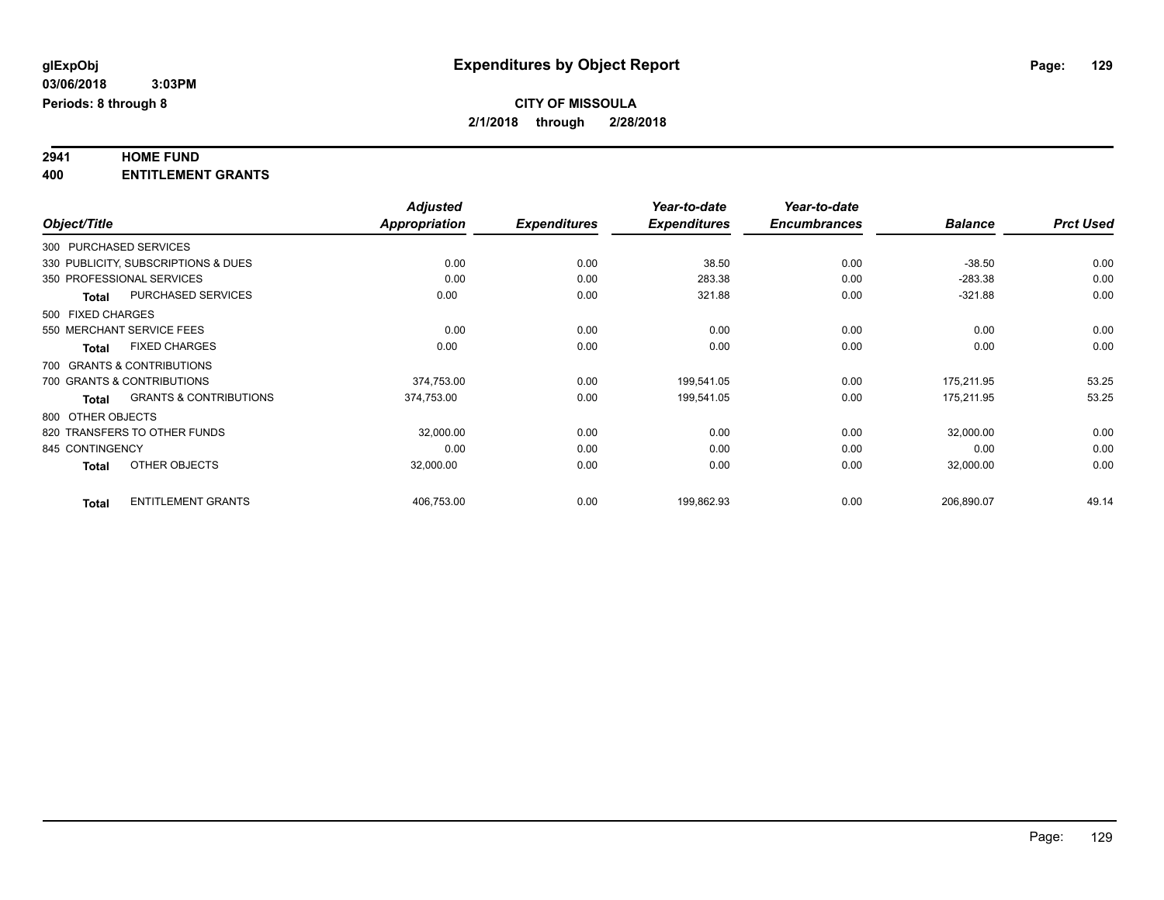## **2941 HOME FUND**

**400 ENTITLEMENT GRANTS**

|                   |                                     | <b>Adjusted</b>      |                     | Year-to-date        | Year-to-date        |                |                  |
|-------------------|-------------------------------------|----------------------|---------------------|---------------------|---------------------|----------------|------------------|
| Object/Title      |                                     | <b>Appropriation</b> | <b>Expenditures</b> | <b>Expenditures</b> | <b>Encumbrances</b> | <b>Balance</b> | <b>Prct Used</b> |
|                   | 300 PURCHASED SERVICES              |                      |                     |                     |                     |                |                  |
|                   | 330 PUBLICITY, SUBSCRIPTIONS & DUES | 0.00                 | 0.00                | 38.50               | 0.00                | $-38.50$       | 0.00             |
|                   | 350 PROFESSIONAL SERVICES           | 0.00                 | 0.00                | 283.38              | 0.00                | $-283.38$      | 0.00             |
| <b>Total</b>      | PURCHASED SERVICES                  | 0.00                 | 0.00                | 321.88              | 0.00                | $-321.88$      | 0.00             |
| 500 FIXED CHARGES |                                     |                      |                     |                     |                     |                |                  |
|                   | 550 MERCHANT SERVICE FEES           | 0.00                 | 0.00                | 0.00                | 0.00                | 0.00           | 0.00             |
| Total             | <b>FIXED CHARGES</b>                | 0.00                 | 0.00                | 0.00                | 0.00                | 0.00           | 0.00             |
|                   | 700 GRANTS & CONTRIBUTIONS          |                      |                     |                     |                     |                |                  |
|                   | 700 GRANTS & CONTRIBUTIONS          | 374,753.00           | 0.00                | 199,541.05          | 0.00                | 175,211.95     | 53.25            |
| <b>Total</b>      | <b>GRANTS &amp; CONTRIBUTIONS</b>   | 374,753.00           | 0.00                | 199,541.05          | 0.00                | 175,211.95     | 53.25            |
| 800 OTHER OBJECTS |                                     |                      |                     |                     |                     |                |                  |
|                   | 820 TRANSFERS TO OTHER FUNDS        | 32,000.00            | 0.00                | 0.00                | 0.00                | 32,000.00      | 0.00             |
| 845 CONTINGENCY   |                                     | 0.00                 | 0.00                | 0.00                | 0.00                | 0.00           | 0.00             |
| <b>Total</b>      | OTHER OBJECTS                       | 32,000.00            | 0.00                | 0.00                | 0.00                | 32,000.00      | 0.00             |
| <b>Total</b>      | <b>ENTITLEMENT GRANTS</b>           | 406,753.00           | 0.00                | 199,862.93          | 0.00                | 206,890.07     | 49.14            |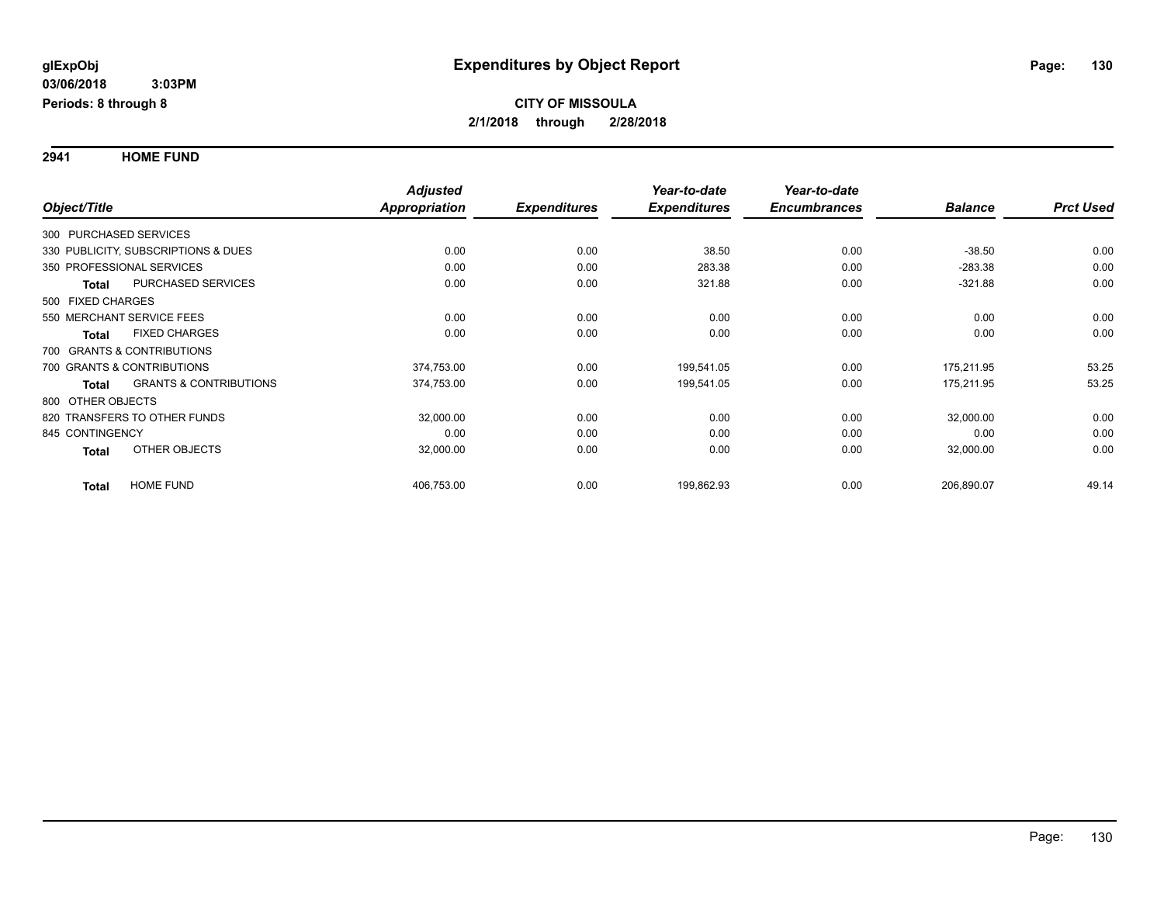**2941 HOME FUND**

|                              |                                     | <b>Adjusted</b> |                     | Year-to-date        | Year-to-date        |                |                  |
|------------------------------|-------------------------------------|-----------------|---------------------|---------------------|---------------------|----------------|------------------|
| Object/Title                 |                                     | Appropriation   | <b>Expenditures</b> | <b>Expenditures</b> | <b>Encumbrances</b> | <b>Balance</b> | <b>Prct Used</b> |
| 300 PURCHASED SERVICES       |                                     |                 |                     |                     |                     |                |                  |
|                              | 330 PUBLICITY, SUBSCRIPTIONS & DUES | 0.00            | 0.00                | 38.50               | 0.00                | $-38.50$       | 0.00             |
| 350 PROFESSIONAL SERVICES    |                                     | 0.00            | 0.00                | 283.38              | 0.00                | $-283.38$      | 0.00             |
| Total                        | <b>PURCHASED SERVICES</b>           | 0.00            | 0.00                | 321.88              | 0.00                | $-321.88$      | 0.00             |
| 500 FIXED CHARGES            |                                     |                 |                     |                     |                     |                |                  |
| 550 MERCHANT SERVICE FEES    |                                     | 0.00            | 0.00                | 0.00                | 0.00                | 0.00           | 0.00             |
| <b>Total</b>                 | <b>FIXED CHARGES</b>                | 0.00            | 0.00                | 0.00                | 0.00                | 0.00           | 0.00             |
| 700 GRANTS & CONTRIBUTIONS   |                                     |                 |                     |                     |                     |                |                  |
| 700 GRANTS & CONTRIBUTIONS   |                                     | 374,753.00      | 0.00                | 199,541.05          | 0.00                | 175,211.95     | 53.25            |
| Total                        | <b>GRANTS &amp; CONTRIBUTIONS</b>   | 374,753.00      | 0.00                | 199,541.05          | 0.00                | 175,211.95     | 53.25            |
| 800 OTHER OBJECTS            |                                     |                 |                     |                     |                     |                |                  |
| 820 TRANSFERS TO OTHER FUNDS |                                     | 32,000.00       | 0.00                | 0.00                | 0.00                | 32,000.00      | 0.00             |
| 845 CONTINGENCY              |                                     | 0.00            | 0.00                | 0.00                | 0.00                | 0.00           | 0.00             |
| Total                        | OTHER OBJECTS                       | 32,000.00       | 0.00                | 0.00                | 0.00                | 32,000.00      | 0.00             |
| <b>Total</b>                 | <b>HOME FUND</b>                    | 406,753.00      | 0.00                | 199,862.93          | 0.00                | 206,890.07     | 49.14            |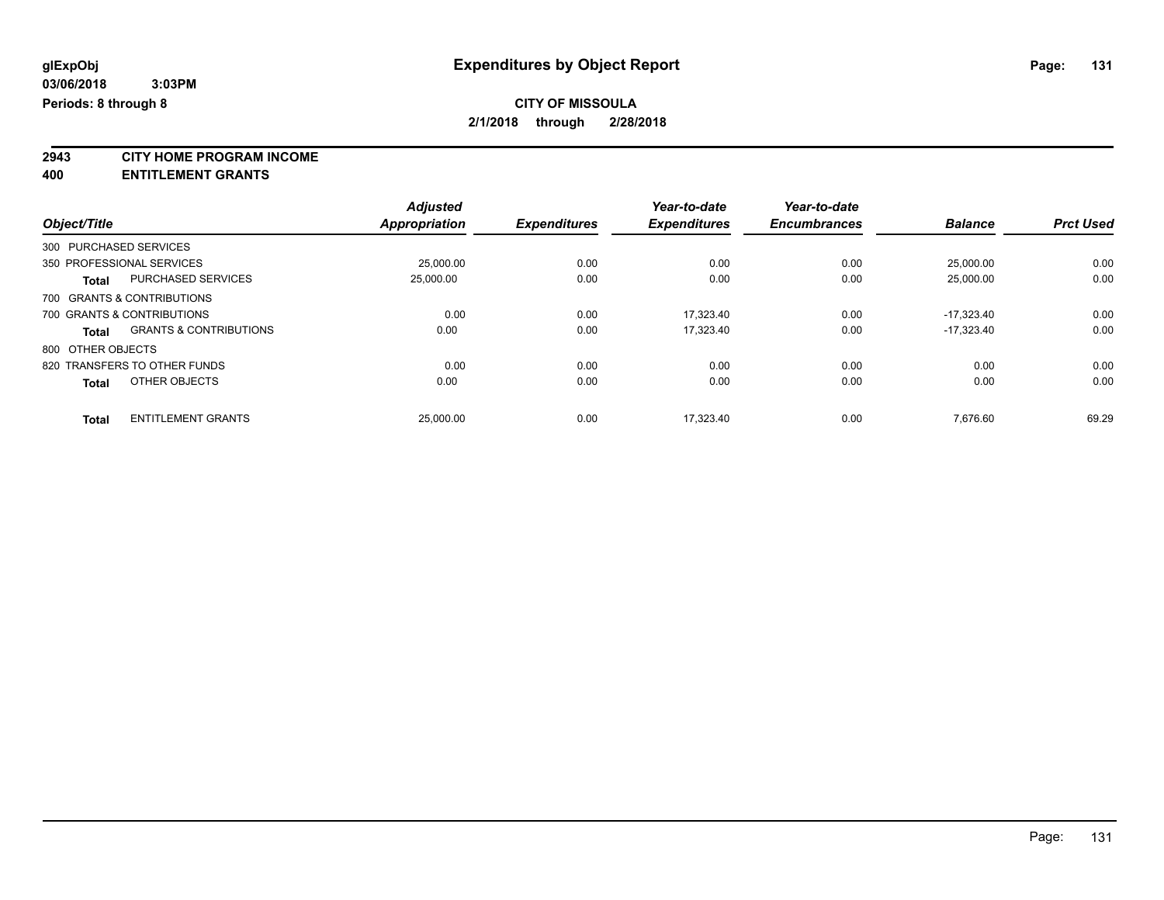**2943 CITY HOME PROGRAM INCOME**

**400 ENTITLEMENT GRANTS**

|                           |                                   | <b>Adjusted</b> |                     | Year-to-date        | Year-to-date        |                |                  |
|---------------------------|-----------------------------------|-----------------|---------------------|---------------------|---------------------|----------------|------------------|
| Object/Title              |                                   | Appropriation   | <b>Expenditures</b> | <b>Expenditures</b> | <b>Encumbrances</b> | <b>Balance</b> | <b>Prct Used</b> |
| 300 PURCHASED SERVICES    |                                   |                 |                     |                     |                     |                |                  |
| 350 PROFESSIONAL SERVICES |                                   | 25,000.00       | 0.00                | 0.00                | 0.00                | 25.000.00      | 0.00             |
| <b>Total</b>              | <b>PURCHASED SERVICES</b>         | 25,000.00       | 0.00                | 0.00                | 0.00                | 25,000.00      | 0.00             |
|                           | 700 GRANTS & CONTRIBUTIONS        |                 |                     |                     |                     |                |                  |
|                           | 700 GRANTS & CONTRIBUTIONS        | 0.00            | 0.00                | 17.323.40           | 0.00                | $-17.323.40$   | 0.00             |
| <b>Total</b>              | <b>GRANTS &amp; CONTRIBUTIONS</b> | 0.00            | 0.00                | 17,323.40           | 0.00                | $-17.323.40$   | 0.00             |
| 800 OTHER OBJECTS         |                                   |                 |                     |                     |                     |                |                  |
|                           | 820 TRANSFERS TO OTHER FUNDS      | 0.00            | 0.00                | 0.00                | 0.00                | 0.00           | 0.00             |
| <b>Total</b>              | OTHER OBJECTS                     | 0.00            | 0.00                | 0.00                | 0.00                | 0.00           | 0.00             |
| <b>Total</b>              | <b>ENTITLEMENT GRANTS</b>         | 25,000.00       | 0.00                | 17.323.40           | 0.00                | 7.676.60       | 69.29            |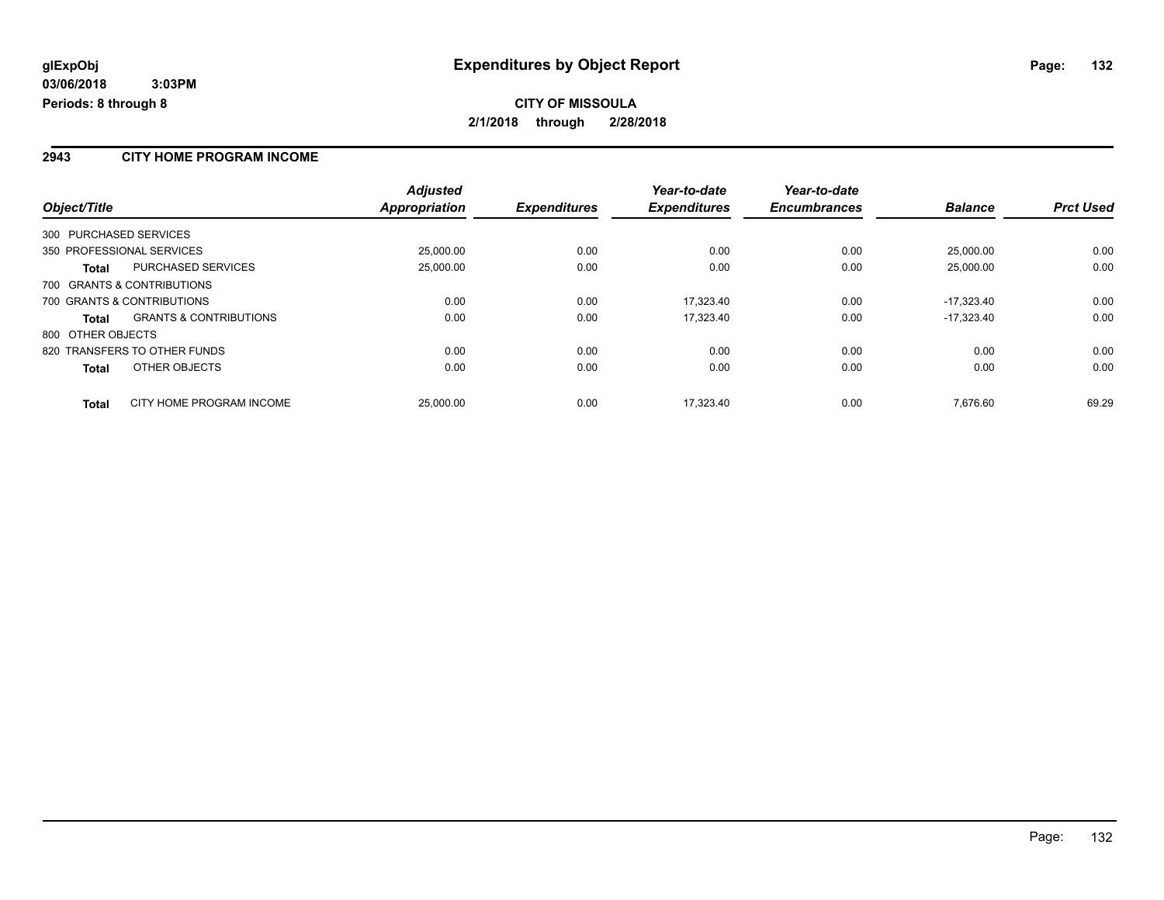#### **2943 CITY HOME PROGRAM INCOME**

|                                                   | <b>Adjusted</b>      |                     | Year-to-date        | Year-to-date        |                |                  |
|---------------------------------------------------|----------------------|---------------------|---------------------|---------------------|----------------|------------------|
| Object/Title                                      | <b>Appropriation</b> | <b>Expenditures</b> | <b>Expenditures</b> | <b>Encumbrances</b> | <b>Balance</b> | <b>Prct Used</b> |
| 300 PURCHASED SERVICES                            |                      |                     |                     |                     |                |                  |
| 350 PROFESSIONAL SERVICES                         | 25.000.00            | 0.00                | 0.00                | 0.00                | 25.000.00      | 0.00             |
| <b>PURCHASED SERVICES</b><br>Total                | 25,000.00            | 0.00                | 0.00                | 0.00                | 25,000.00      | 0.00             |
| 700 GRANTS & CONTRIBUTIONS                        |                      |                     |                     |                     |                |                  |
| 700 GRANTS & CONTRIBUTIONS                        | 0.00                 | 0.00                | 17.323.40           | 0.00                | $-17.323.40$   | 0.00             |
| <b>GRANTS &amp; CONTRIBUTIONS</b><br><b>Total</b> | 0.00                 | 0.00                | 17.323.40           | 0.00                | $-17.323.40$   | 0.00             |
| 800 OTHER OBJECTS                                 |                      |                     |                     |                     |                |                  |
| 820 TRANSFERS TO OTHER FUNDS                      | 0.00                 | 0.00                | 0.00                | 0.00                | 0.00           | 0.00             |
| OTHER OBJECTS<br><b>Total</b>                     | 0.00                 | 0.00                | 0.00                | 0.00                | 0.00           | 0.00             |
| CITY HOME PROGRAM INCOME<br><b>Total</b>          | 25.000.00            | 0.00                | 17.323.40           | 0.00                | 7.676.60       | 69.29            |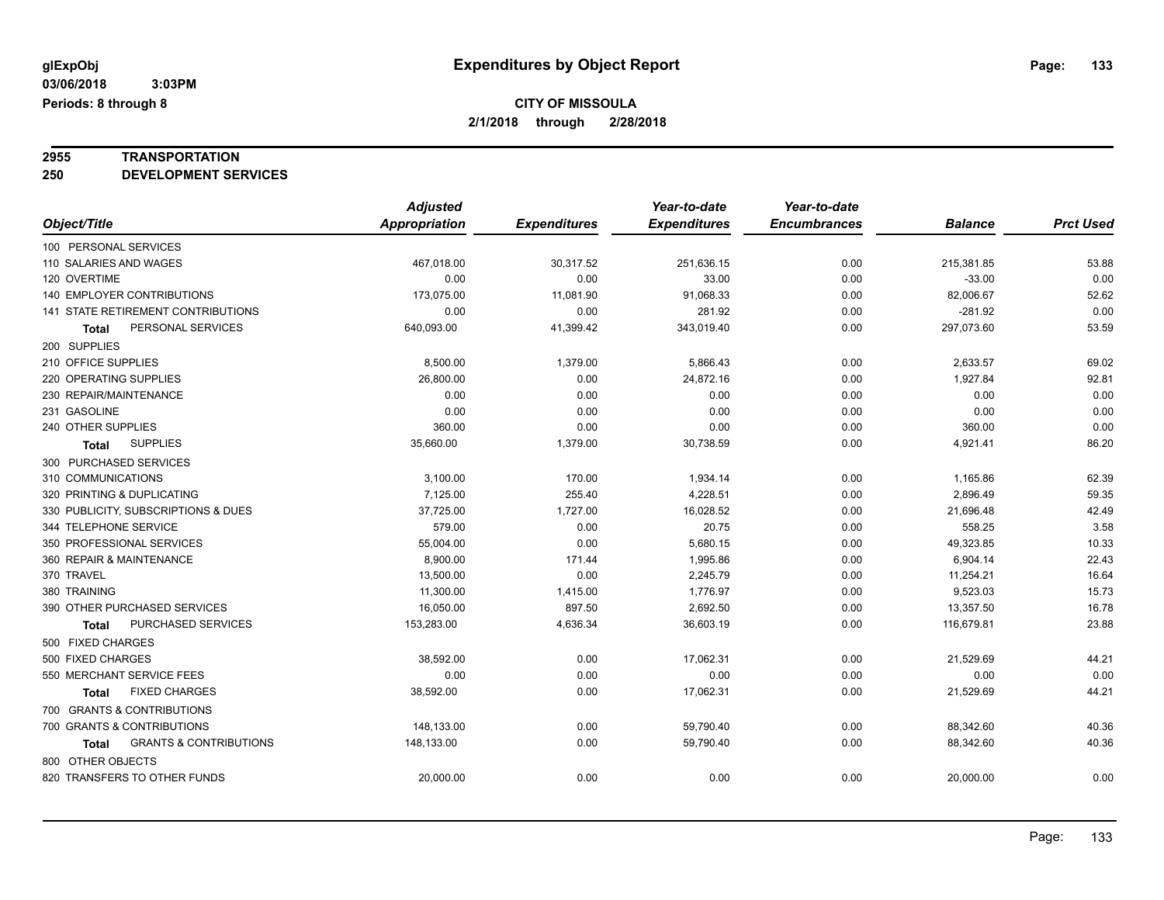## **2955 TRANSPORTATION**

**250 DEVELOPMENT SERVICES**

|                                            | <b>Adjusted</b> |                     | Year-to-date        | Year-to-date        |                |                  |
|--------------------------------------------|-----------------|---------------------|---------------------|---------------------|----------------|------------------|
| Object/Title                               | Appropriation   | <b>Expenditures</b> | <b>Expenditures</b> | <b>Encumbrances</b> | <b>Balance</b> | <b>Prct Used</b> |
| 100 PERSONAL SERVICES                      |                 |                     |                     |                     |                |                  |
| 110 SALARIES AND WAGES                     | 467,018.00      | 30,317.52           | 251,636.15          | 0.00                | 215,381.85     | 53.88            |
| 120 OVERTIME                               | 0.00            | 0.00                | 33.00               | 0.00                | $-33.00$       | 0.00             |
| 140 EMPLOYER CONTRIBUTIONS                 | 173,075.00      | 11,081.90           | 91,068.33           | 0.00                | 82,006.67      | 52.62            |
| <b>141 STATE RETIREMENT CONTRIBUTIONS</b>  | 0.00            | 0.00                | 281.92              | 0.00                | $-281.92$      | 0.00             |
| PERSONAL SERVICES<br>Total                 | 640,093.00      | 41,399.42           | 343,019.40          | 0.00                | 297,073.60     | 53.59            |
| 200 SUPPLIES                               |                 |                     |                     |                     |                |                  |
| 210 OFFICE SUPPLIES                        | 8,500.00        | 1,379.00            | 5,866.43            | 0.00                | 2,633.57       | 69.02            |
| 220 OPERATING SUPPLIES                     | 26,800.00       | 0.00                | 24,872.16           | 0.00                | 1,927.84       | 92.81            |
| 230 REPAIR/MAINTENANCE                     | 0.00            | 0.00                | 0.00                | 0.00                | 0.00           | 0.00             |
| 231 GASOLINE                               | 0.00            | 0.00                | 0.00                | 0.00                | 0.00           | 0.00             |
| 240 OTHER SUPPLIES                         | 360.00          | 0.00                | 0.00                | 0.00                | 360.00         | 0.00             |
| <b>SUPPLIES</b><br>Total                   | 35,660.00       | 1,379.00            | 30,738.59           | 0.00                | 4,921.41       | 86.20            |
| 300 PURCHASED SERVICES                     |                 |                     |                     |                     |                |                  |
| 310 COMMUNICATIONS                         | 3,100.00        | 170.00              | 1,934.14            | 0.00                | 1,165.86       | 62.39            |
| 320 PRINTING & DUPLICATING                 | 7,125.00        | 255.40              | 4,228.51            | 0.00                | 2,896.49       | 59.35            |
| 330 PUBLICITY, SUBSCRIPTIONS & DUES        | 37,725.00       | 1,727.00            | 16,028.52           | 0.00                | 21,696.48      | 42.49            |
| 344 TELEPHONE SERVICE                      | 579.00          | 0.00                | 20.75               | 0.00                | 558.25         | 3.58             |
| 350 PROFESSIONAL SERVICES                  | 55,004.00       | 0.00                | 5,680.15            | 0.00                | 49,323.85      | 10.33            |
| 360 REPAIR & MAINTENANCE                   | 8,900.00        | 171.44              | 1,995.86            | 0.00                | 6,904.14       | 22.43            |
| 370 TRAVEL                                 | 13,500.00       | 0.00                | 2,245.79            | 0.00                | 11,254.21      | 16.64            |
| 380 TRAINING                               | 11,300.00       | 1,415.00            | 1,776.97            | 0.00                | 9,523.03       | 15.73            |
| 390 OTHER PURCHASED SERVICES               | 16,050.00       | 897.50              | 2,692.50            | 0.00                | 13,357.50      | 16.78            |
| PURCHASED SERVICES<br>Total                | 153,283.00      | 4,636.34            | 36,603.19           | 0.00                | 116,679.81     | 23.88            |
| 500 FIXED CHARGES                          |                 |                     |                     |                     |                |                  |
| 500 FIXED CHARGES                          | 38,592.00       | 0.00                | 17,062.31           | 0.00                | 21,529.69      | 44.21            |
| 550 MERCHANT SERVICE FEES                  | 0.00            | 0.00                | 0.00                | 0.00                | 0.00           | 0.00             |
| <b>FIXED CHARGES</b><br>Total              | 38,592.00       | 0.00                | 17,062.31           | 0.00                | 21,529.69      | 44.21            |
| 700 GRANTS & CONTRIBUTIONS                 |                 |                     |                     |                     |                |                  |
| 700 GRANTS & CONTRIBUTIONS                 | 148,133.00      | 0.00                | 59,790.40           | 0.00                | 88,342.60      | 40.36            |
| <b>GRANTS &amp; CONTRIBUTIONS</b><br>Total | 148,133.00      | 0.00                | 59,790.40           | 0.00                | 88,342.60      | 40.36            |
| 800 OTHER OBJECTS                          |                 |                     |                     |                     |                |                  |
| 820 TRANSFERS TO OTHER FUNDS               | 20,000.00       | 0.00                | 0.00                | 0.00                | 20,000.00      | 0.00             |
|                                            |                 |                     |                     |                     |                |                  |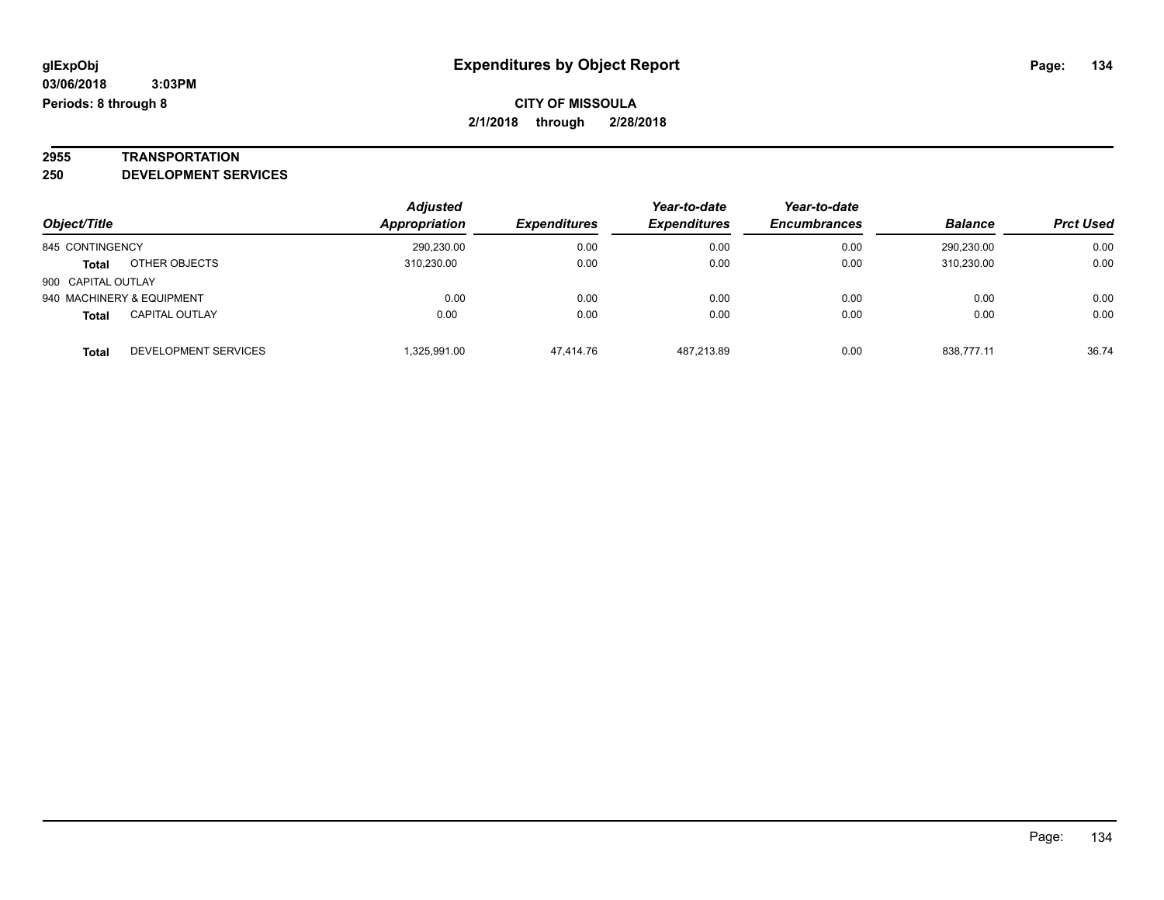## **2955 TRANSPORTATION**

**250 DEVELOPMENT SERVICES**

|                    |                           | <b>Adjusted</b> |                     | Year-to-date        | Year-to-date        |                |                  |
|--------------------|---------------------------|-----------------|---------------------|---------------------|---------------------|----------------|------------------|
| Object/Title       |                           | Appropriation   | <b>Expenditures</b> | <b>Expenditures</b> | <b>Encumbrances</b> | <b>Balance</b> | <b>Prct Used</b> |
| 845 CONTINGENCY    |                           | 290,230.00      | 0.00                | 0.00                | 0.00                | 290,230.00     | 0.00             |
| <b>Total</b>       | OTHER OBJECTS             | 310.230.00      | 0.00                | 0.00                | 0.00                | 310.230.00     | 0.00             |
| 900 CAPITAL OUTLAY |                           |                 |                     |                     |                     |                |                  |
|                    | 940 MACHINERY & EQUIPMENT | 0.00            | 0.00                | 0.00                | 0.00                | 0.00           | 0.00             |
| <b>Total</b>       | <b>CAPITAL OUTLAY</b>     | 0.00            | 0.00                | 0.00                | 0.00                | 0.00           | 0.00             |
| <b>Total</b>       | DEVELOPMENT SERVICES      | 1,325,991.00    | 47.414.76           | 487.213.89          | 0.00                | 838.777.11     | 36.74            |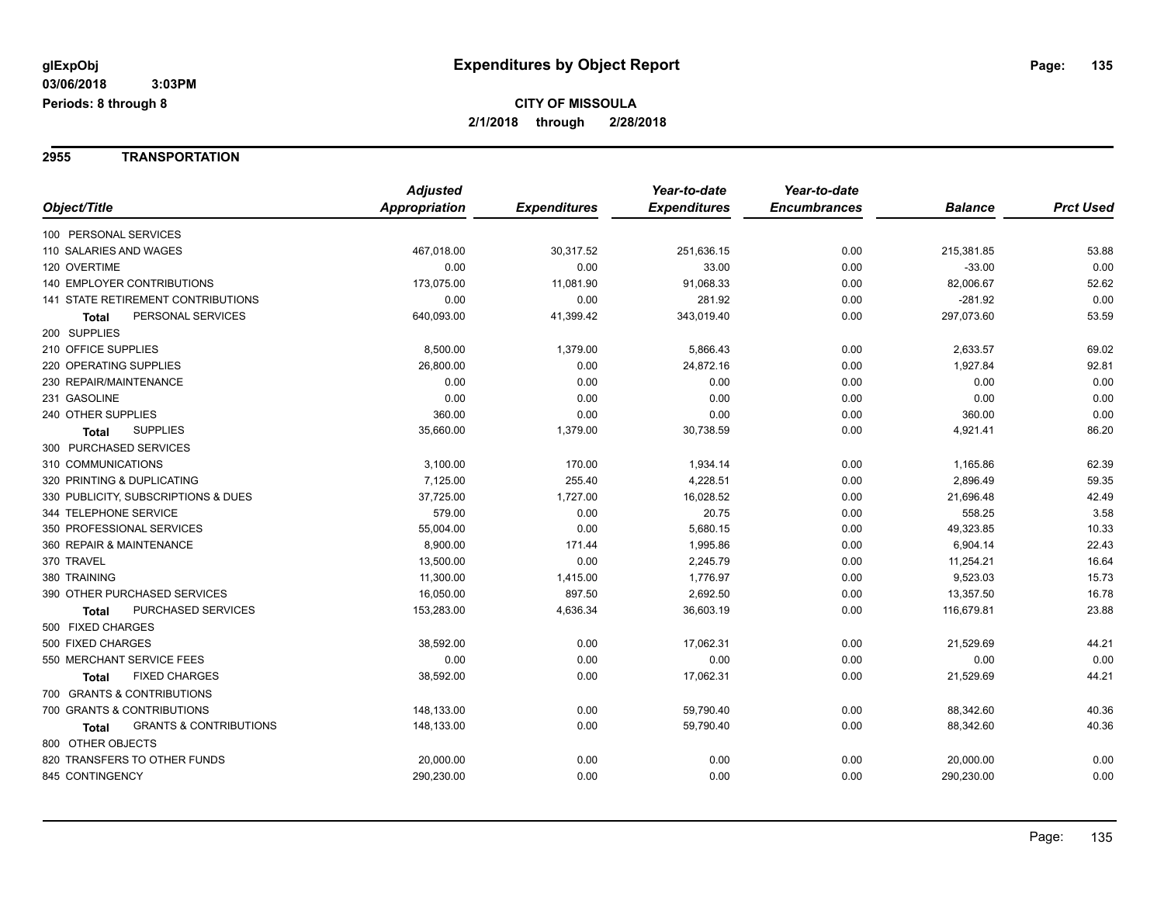**2955 TRANSPORTATION**

|                                            | <b>Adjusted</b> |                     | Year-to-date        | Year-to-date        |                |                  |
|--------------------------------------------|-----------------|---------------------|---------------------|---------------------|----------------|------------------|
| Object/Title                               | Appropriation   | <b>Expenditures</b> | <b>Expenditures</b> | <b>Encumbrances</b> | <b>Balance</b> | <b>Prct Used</b> |
| 100 PERSONAL SERVICES                      |                 |                     |                     |                     |                |                  |
| 110 SALARIES AND WAGES                     | 467,018.00      | 30,317.52           | 251,636.15          | 0.00                | 215,381.85     | 53.88            |
| 120 OVERTIME                               | 0.00            | 0.00                | 33.00               | 0.00                | $-33.00$       | 0.00             |
| <b>140 EMPLOYER CONTRIBUTIONS</b>          | 173,075.00      | 11,081.90           | 91,068.33           | 0.00                | 82,006.67      | 52.62            |
| 141 STATE RETIREMENT CONTRIBUTIONS         | 0.00            | 0.00                | 281.92              | 0.00                | $-281.92$      | 0.00             |
| PERSONAL SERVICES<br>Total                 | 640,093.00      | 41,399.42           | 343,019.40          | 0.00                | 297,073.60     | 53.59            |
| 200 SUPPLIES                               |                 |                     |                     |                     |                |                  |
| 210 OFFICE SUPPLIES                        | 8,500.00        | 1,379.00            | 5,866.43            | 0.00                | 2,633.57       | 69.02            |
| 220 OPERATING SUPPLIES                     | 26,800.00       | 0.00                | 24,872.16           | 0.00                | 1,927.84       | 92.81            |
| 230 REPAIR/MAINTENANCE                     | 0.00            | 0.00                | 0.00                | 0.00                | 0.00           | 0.00             |
| 231 GASOLINE                               | 0.00            | 0.00                | 0.00                | 0.00                | 0.00           | 0.00             |
| 240 OTHER SUPPLIES                         | 360.00          | 0.00                | 0.00                | 0.00                | 360.00         | 0.00             |
| <b>SUPPLIES</b><br><b>Total</b>            | 35,660.00       | 1,379.00            | 30,738.59           | 0.00                | 4,921.41       | 86.20            |
| 300 PURCHASED SERVICES                     |                 |                     |                     |                     |                |                  |
| 310 COMMUNICATIONS                         | 3,100.00        | 170.00              | 1,934.14            | 0.00                | 1,165.86       | 62.39            |
| 320 PRINTING & DUPLICATING                 | 7,125.00        | 255.40              | 4,228.51            | 0.00                | 2,896.49       | 59.35            |
| 330 PUBLICITY, SUBSCRIPTIONS & DUES        | 37,725.00       | 1,727.00            | 16,028.52           | 0.00                | 21,696.48      | 42.49            |
| 344 TELEPHONE SERVICE                      | 579.00          | 0.00                | 20.75               | 0.00                | 558.25         | 3.58             |
| 350 PROFESSIONAL SERVICES                  | 55,004.00       | 0.00                | 5,680.15            | 0.00                | 49,323.85      | 10.33            |
| 360 REPAIR & MAINTENANCE                   | 8,900.00        | 171.44              | 1,995.86            | 0.00                | 6,904.14       | 22.43            |
| 370 TRAVEL                                 | 13,500.00       | 0.00                | 2,245.79            | 0.00                | 11,254.21      | 16.64            |
| 380 TRAINING                               | 11,300.00       | 1,415.00            | 1,776.97            | 0.00                | 9,523.03       | 15.73            |
| 390 OTHER PURCHASED SERVICES               | 16,050.00       | 897.50              | 2,692.50            | 0.00                | 13,357.50      | 16.78            |
| PURCHASED SERVICES<br><b>Total</b>         | 153,283.00      | 4,636.34            | 36,603.19           | 0.00                | 116,679.81     | 23.88            |
| 500 FIXED CHARGES                          |                 |                     |                     |                     |                |                  |
| 500 FIXED CHARGES                          | 38,592.00       | 0.00                | 17,062.31           | 0.00                | 21,529.69      | 44.21            |
| 550 MERCHANT SERVICE FEES                  | 0.00            | 0.00                | 0.00                | 0.00                | 0.00           | 0.00             |
| <b>FIXED CHARGES</b><br>Total              | 38,592.00       | 0.00                | 17,062.31           | 0.00                | 21,529.69      | 44.21            |
| 700 GRANTS & CONTRIBUTIONS                 |                 |                     |                     |                     |                |                  |
| 700 GRANTS & CONTRIBUTIONS                 | 148,133.00      | 0.00                | 59,790.40           | 0.00                | 88,342.60      | 40.36            |
| <b>GRANTS &amp; CONTRIBUTIONS</b><br>Total | 148,133.00      | 0.00                | 59,790.40           | 0.00                | 88,342.60      | 40.36            |
| 800 OTHER OBJECTS                          |                 |                     |                     |                     |                |                  |
| 820 TRANSFERS TO OTHER FUNDS               | 20,000.00       | 0.00                | 0.00                | 0.00                | 20,000.00      | 0.00             |
| 845 CONTINGENCY                            | 290,230.00      | 0.00                | 0.00                | 0.00                | 290,230.00     | 0.00             |
|                                            |                 |                     |                     |                     |                |                  |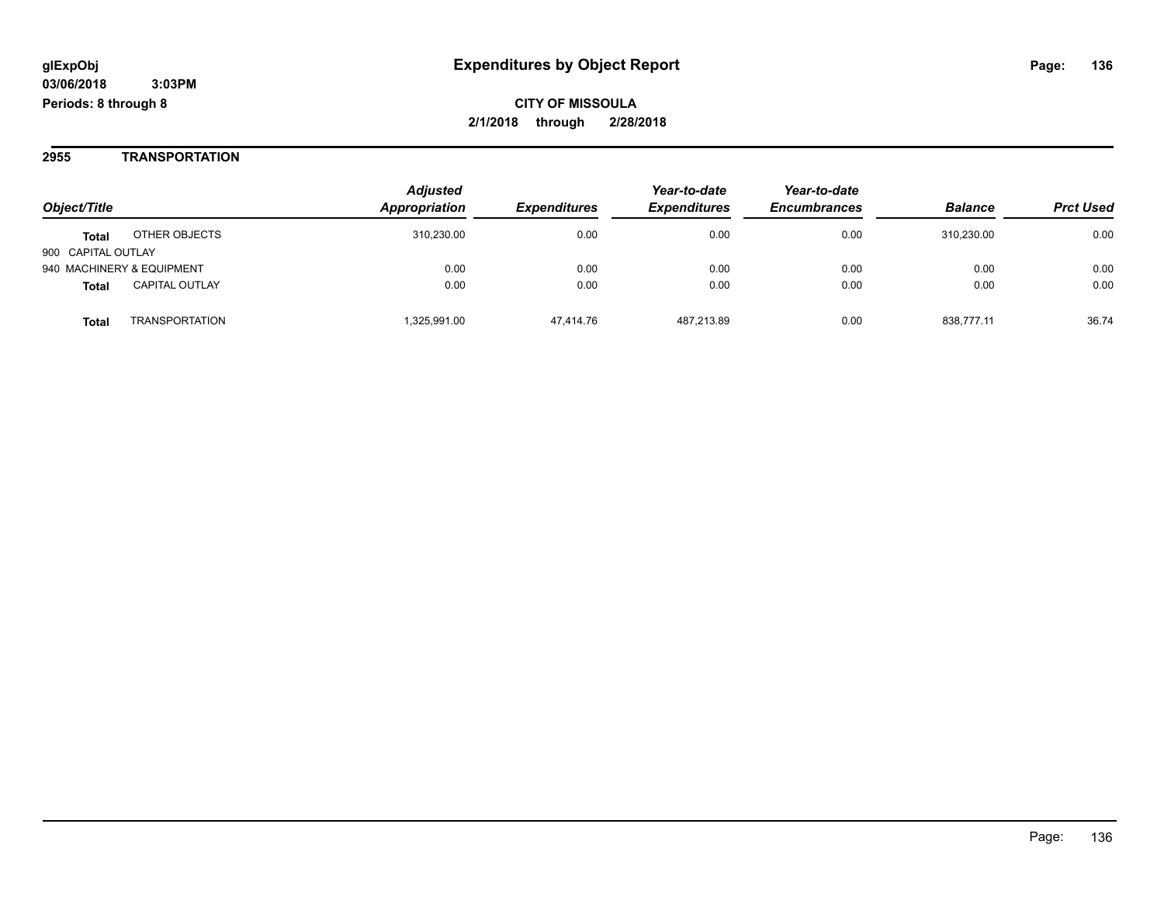#### **2955 TRANSPORTATION**

|                           |                       | <b>Adjusted</b> |                            | Year-to-date        | Year-to-date        |                |                  |
|---------------------------|-----------------------|-----------------|----------------------------|---------------------|---------------------|----------------|------------------|
| Object/Title              |                       | Appropriation   | <i><b>Expenditures</b></i> | <b>Expenditures</b> | <b>Encumbrances</b> | <b>Balance</b> | <b>Prct Used</b> |
| <b>Total</b>              | OTHER OBJECTS         | 310,230.00      | 0.00                       | 0.00                | 0.00                | 310.230.00     | 0.00             |
| 900 CAPITAL OUTLAY        |                       |                 |                            |                     |                     |                |                  |
| 940 MACHINERY & EQUIPMENT |                       | 0.00            | 0.00                       | 0.00                | 0.00                | 0.00           | 0.00             |
| <b>Total</b>              | <b>CAPITAL OUTLAY</b> | 0.00            | 0.00                       | 0.00                | 0.00                | 0.00           | 0.00             |
| <b>Total</b>              | <b>TRANSPORTATION</b> | 1,325,991.00    | 47.414.76                  | 487.213.89          | 0.00                | 838.777.11     | 36.74            |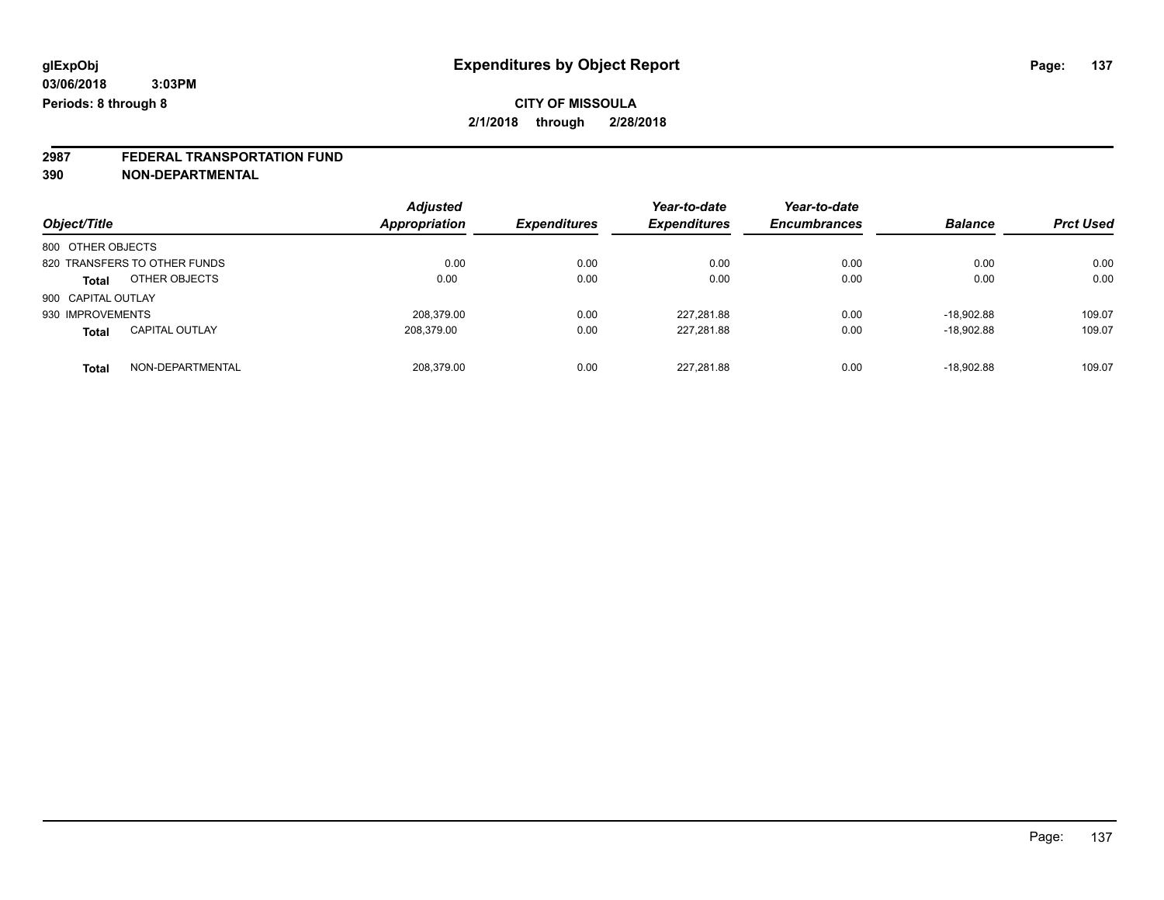## **2987 FEDERAL TRANSPORTATION FUND**

**390 NON-DEPARTMENTAL**

| Object/Title                   | <b>Adjusted</b><br>Appropriation | <b>Expenditures</b> | Year-to-date<br><b>Expenditures</b> | Year-to-date<br><b>Encumbrances</b> | <b>Balance</b> | <b>Prct Used</b> |
|--------------------------------|----------------------------------|---------------------|-------------------------------------|-------------------------------------|----------------|------------------|
| 800 OTHER OBJECTS              |                                  |                     |                                     |                                     |                |                  |
| 820 TRANSFERS TO OTHER FUNDS   | 0.00                             | 0.00                | 0.00                                | 0.00                                | 0.00           | 0.00             |
| OTHER OBJECTS<br><b>Total</b>  | 0.00                             | 0.00                | 0.00                                | 0.00                                | 0.00           | 0.00             |
| 900 CAPITAL OUTLAY             |                                  |                     |                                     |                                     |                |                  |
| 930 IMPROVEMENTS               | 208.379.00                       | 0.00                | 227,281.88                          | 0.00                                | $-18.902.88$   | 109.07           |
| <b>CAPITAL OUTLAY</b><br>Total | 208.379.00                       | 0.00                | 227,281.88                          | 0.00                                | $-18.902.88$   | 109.07           |
| NON-DEPARTMENTAL<br>Total      | 208.379.00                       | 0.00                | 227,281.88                          | 0.00                                | $-18.902.88$   | 109.07           |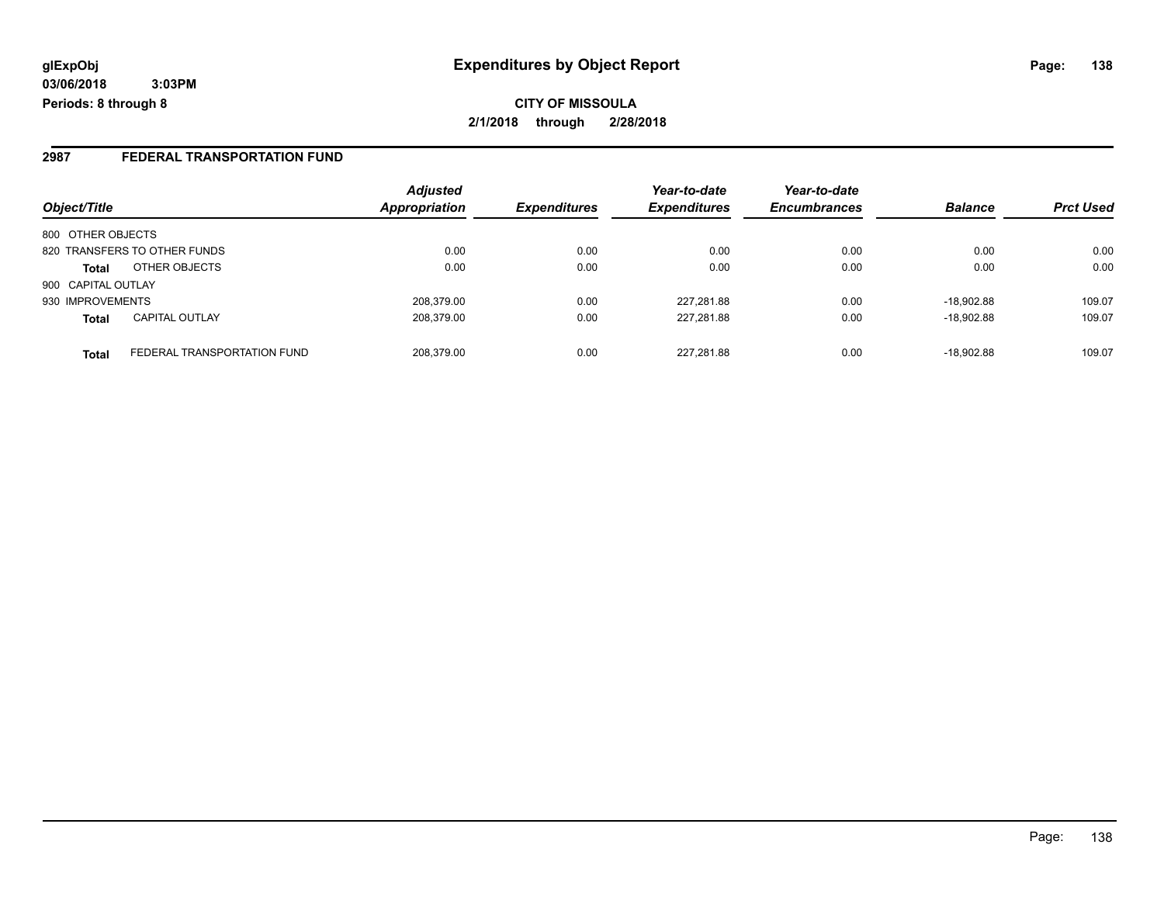**CITY OF MISSOULA 2/1/2018 through 2/28/2018**

#### **2987 FEDERAL TRANSPORTATION FUND**

|                    |                              | <b>Adjusted</b> |                     | Year-to-date        | Year-to-date        |                |                  |
|--------------------|------------------------------|-----------------|---------------------|---------------------|---------------------|----------------|------------------|
| Object/Title       |                              | Appropriation   | <b>Expenditures</b> | <b>Expenditures</b> | <b>Encumbrances</b> | <b>Balance</b> | <b>Prct Used</b> |
| 800 OTHER OBJECTS  |                              |                 |                     |                     |                     |                |                  |
|                    | 820 TRANSFERS TO OTHER FUNDS | 0.00            | 0.00                | 0.00                | 0.00                | 0.00           | 0.00             |
| <b>Total</b>       | OTHER OBJECTS                | 0.00            | 0.00                | 0.00                | 0.00                | 0.00           | 0.00             |
| 900 CAPITAL OUTLAY |                              |                 |                     |                     |                     |                |                  |
| 930 IMPROVEMENTS   |                              | 208.379.00      | 0.00                | 227,281.88          | 0.00                | $-18.902.88$   | 109.07           |
| <b>Total</b>       | <b>CAPITAL OUTLAY</b>        | 208.379.00      | 0.00                | 227,281.88          | 0.00                | $-18.902.88$   | 109.07           |
| <b>Total</b>       | FEDERAL TRANSPORTATION FUND  | 208.379.00      | 0.00                | 227,281.88          | 0.00                | $-18.902.88$   | 109.07           |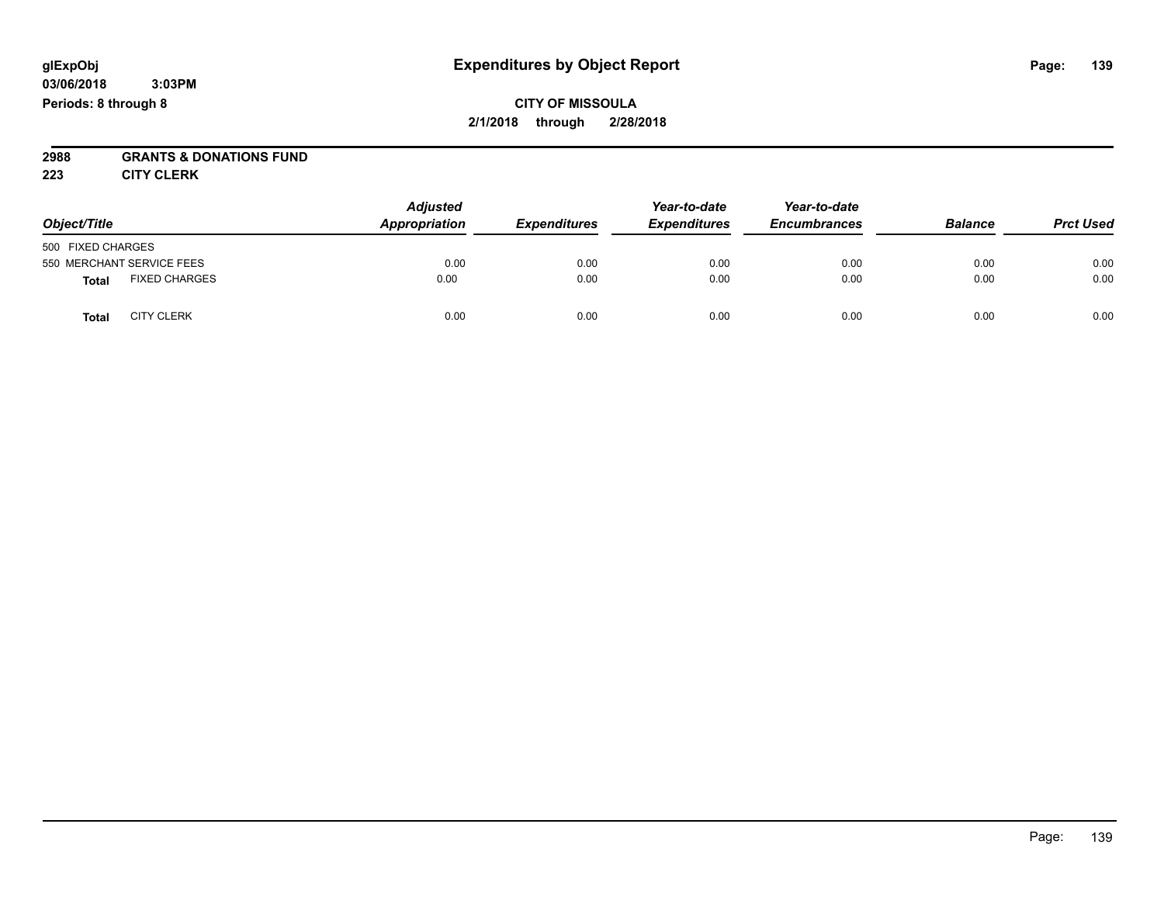### **CITY OF MISSOULA 2/1/2018 through 2/28/2018**

## **2988 GRANTS & DONATIONS FUND**

**223 CITY CLERK**

| Object/Title                         | <b>Adjusted</b><br>Appropriation | <b>Expenditures</b> | Year-to-date<br><b>Expenditures</b> | Year-to-date<br><b>Encumbrances</b> | <b>Balance</b> | <b>Prct Used</b> |
|--------------------------------------|----------------------------------|---------------------|-------------------------------------|-------------------------------------|----------------|------------------|
| 500 FIXED CHARGES                    |                                  |                     |                                     |                                     |                |                  |
| 550 MERCHANT SERVICE FEES            | 0.00                             | 0.00                | 0.00                                | 0.00                                | 0.00           | 0.00             |
| <b>FIXED CHARGES</b><br><b>Total</b> | 0.00                             | 0.00                | 0.00                                | 0.00                                | 0.00           | 0.00             |
| <b>CITY CLERK</b><br>Total           | 0.00                             | 0.00                | 0.00                                | 0.00                                | 0.00           | 0.00             |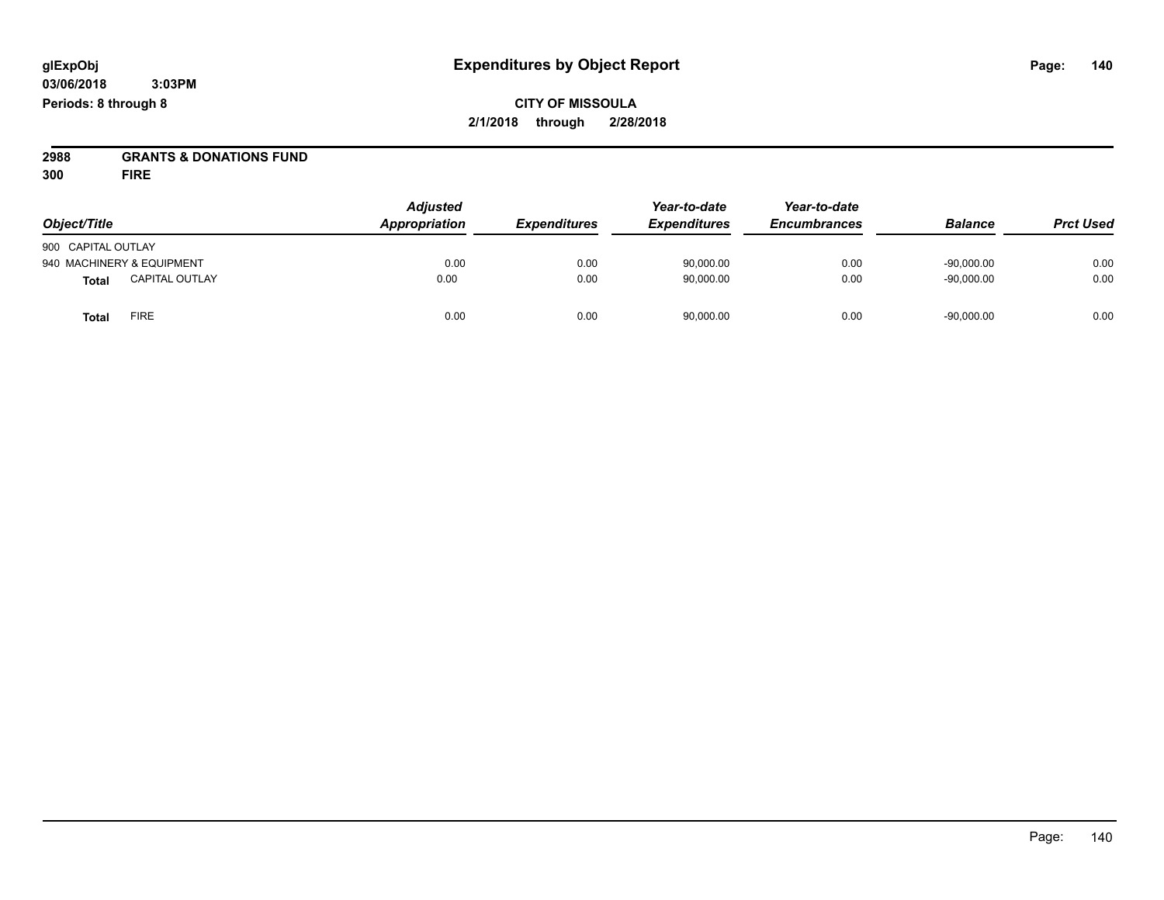**CITY OF MISSOULA 2/1/2018 through 2/28/2018**

**2988 GRANTS & DONATIONS FUND**

**300 FIRE**

| Object/Title                          | <b>Adjusted</b><br>Appropriation | <b>Expenditures</b> | Year-to-date<br><b>Expenditures</b> | Year-to-date<br><b>Encumbrances</b> | <b>Balance</b> | <b>Prct Used</b> |
|---------------------------------------|----------------------------------|---------------------|-------------------------------------|-------------------------------------|----------------|------------------|
| 900 CAPITAL OUTLAY                    |                                  |                     |                                     |                                     |                |                  |
| 940 MACHINERY & EQUIPMENT             | 0.00                             | 0.00                | 90,000.00                           | 0.00                                | $-90,000.00$   | 0.00             |
| <b>CAPITAL OUTLAY</b><br><b>Total</b> | 0.00                             | 0.00                | 90,000.00                           | 0.00                                | $-90,000.00$   | 0.00             |
| <b>FIRE</b><br><b>Total</b>           | 0.00                             | 0.00                | 90,000.00                           | 0.00                                | $-90,000.00$   | 0.00             |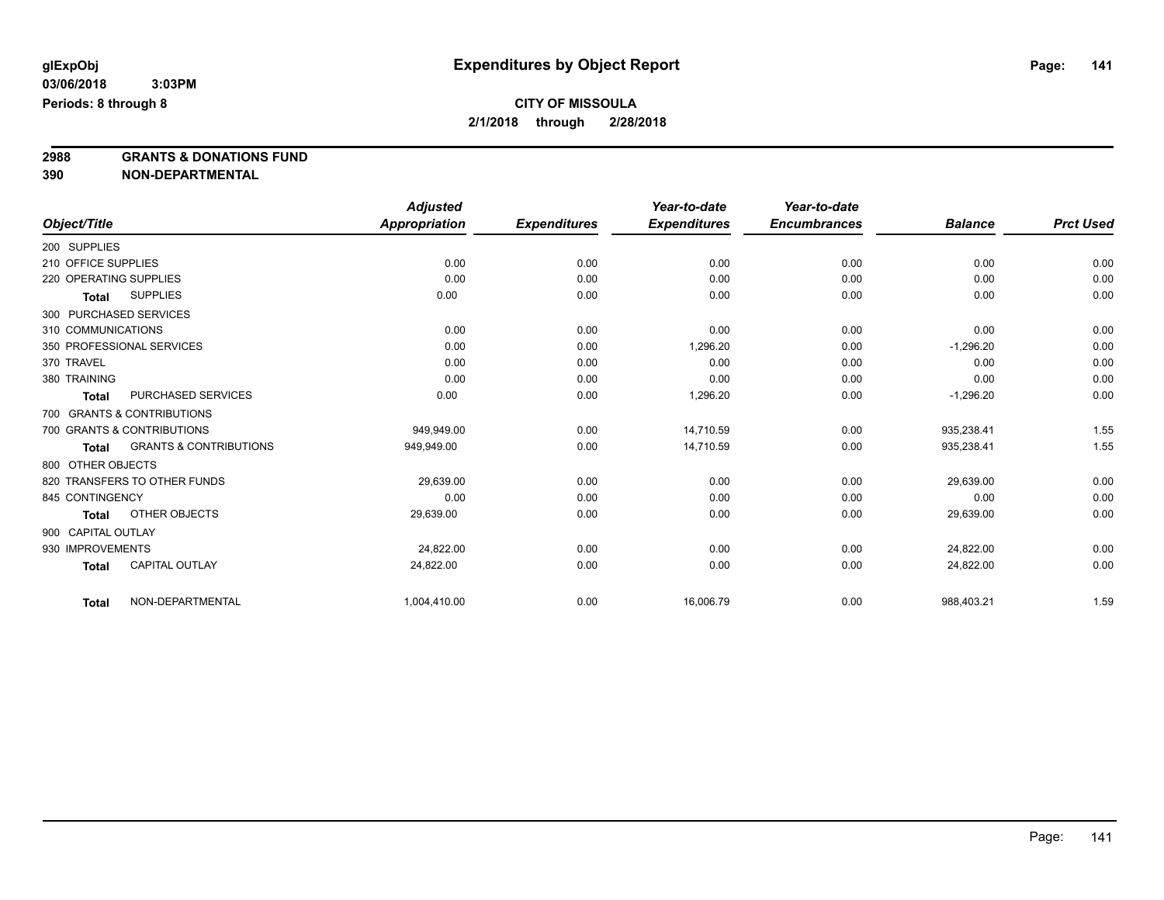**2988 GRANTS & DONATIONS FUND**

**390 NON-DEPARTMENTAL**

|                        |                                   | <b>Adjusted</b>      |                     | Year-to-date        | Year-to-date        |                |                  |
|------------------------|-----------------------------------|----------------------|---------------------|---------------------|---------------------|----------------|------------------|
| Object/Title           |                                   | <b>Appropriation</b> | <b>Expenditures</b> | <b>Expenditures</b> | <b>Encumbrances</b> | <b>Balance</b> | <b>Prct Used</b> |
| 200 SUPPLIES           |                                   |                      |                     |                     |                     |                |                  |
| 210 OFFICE SUPPLIES    |                                   | 0.00                 | 0.00                | 0.00                | 0.00                | 0.00           | 0.00             |
| 220 OPERATING SUPPLIES |                                   | 0.00                 | 0.00                | 0.00                | 0.00                | 0.00           | 0.00             |
| Total                  | <b>SUPPLIES</b>                   | 0.00                 | 0.00                | 0.00                | 0.00                | 0.00           | 0.00             |
| 300 PURCHASED SERVICES |                                   |                      |                     |                     |                     |                |                  |
| 310 COMMUNICATIONS     |                                   | 0.00                 | 0.00                | 0.00                | 0.00                | 0.00           | 0.00             |
|                        | 350 PROFESSIONAL SERVICES         | 0.00                 | 0.00                | 1,296.20            | 0.00                | $-1,296.20$    | 0.00             |
| 370 TRAVEL             |                                   | 0.00                 | 0.00                | 0.00                | 0.00                | 0.00           | 0.00             |
| 380 TRAINING           |                                   | 0.00                 | 0.00                | 0.00                | 0.00                | 0.00           | 0.00             |
| Total                  | PURCHASED SERVICES                | 0.00                 | 0.00                | 1,296.20            | 0.00                | $-1,296.20$    | 0.00             |
|                        | 700 GRANTS & CONTRIBUTIONS        |                      |                     |                     |                     |                |                  |
|                        | 700 GRANTS & CONTRIBUTIONS        | 949.949.00           | 0.00                | 14.710.59           | 0.00                | 935,238.41     | 1.55             |
| Total                  | <b>GRANTS &amp; CONTRIBUTIONS</b> | 949,949.00           | 0.00                | 14,710.59           | 0.00                | 935,238.41     | 1.55             |
| 800 OTHER OBJECTS      |                                   |                      |                     |                     |                     |                |                  |
|                        | 820 TRANSFERS TO OTHER FUNDS      | 29,639.00            | 0.00                | 0.00                | 0.00                | 29,639.00      | 0.00             |
| 845 CONTINGENCY        |                                   | 0.00                 | 0.00                | 0.00                | 0.00                | 0.00           | 0.00             |
| <b>Total</b>           | OTHER OBJECTS                     | 29,639.00            | 0.00                | 0.00                | 0.00                | 29,639.00      | 0.00             |
| 900 CAPITAL OUTLAY     |                                   |                      |                     |                     |                     |                |                  |
| 930 IMPROVEMENTS       |                                   | 24,822.00            | 0.00                | 0.00                | 0.00                | 24,822.00      | 0.00             |
| Total                  | <b>CAPITAL OUTLAY</b>             | 24,822.00            | 0.00                | 0.00                | 0.00                | 24,822.00      | 0.00             |
| <b>Total</b>           | NON-DEPARTMENTAL                  | 1,004,410.00         | 0.00                | 16,006.79           | 0.00                | 988,403.21     | 1.59             |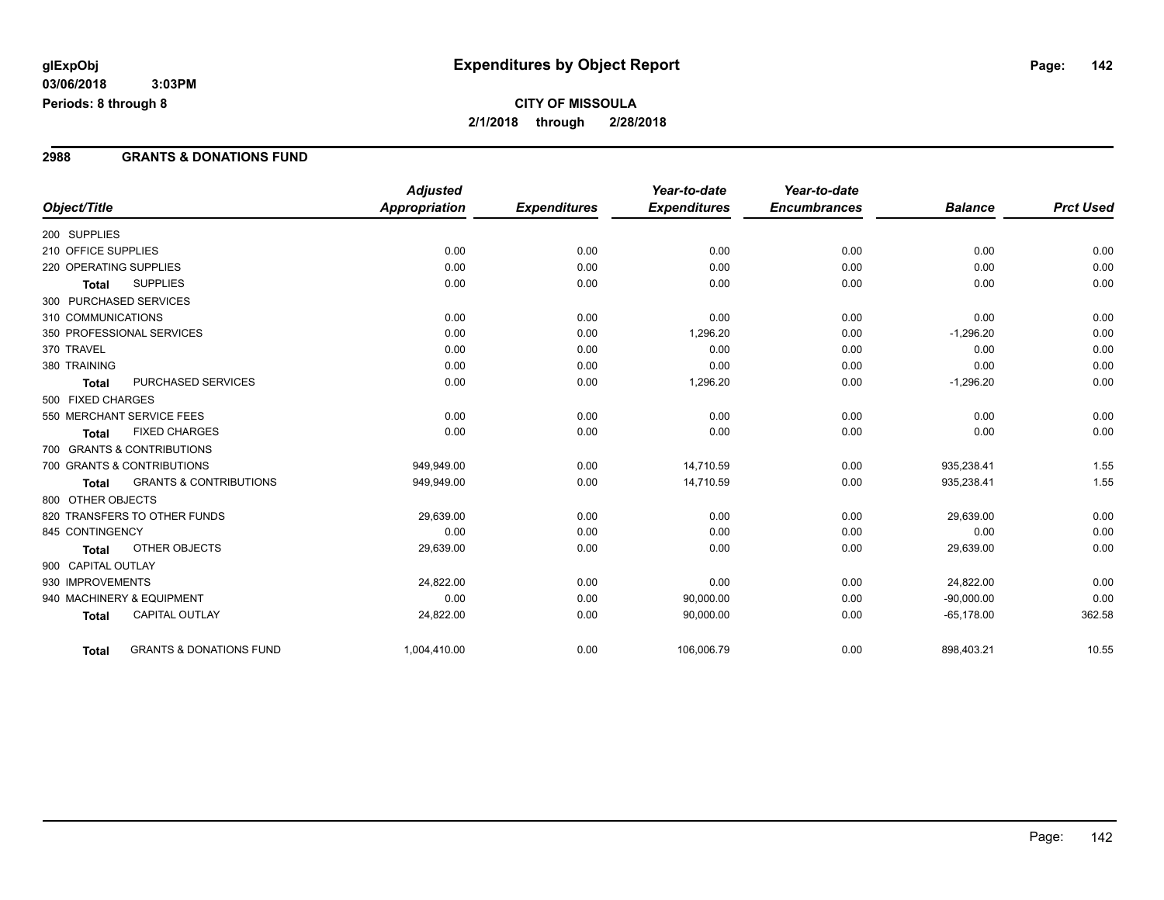#### **2988 GRANTS & DONATIONS FUND**

|                        |                                    | <b>Adjusted</b> |                     | Year-to-date        | Year-to-date        |                |                  |
|------------------------|------------------------------------|-----------------|---------------------|---------------------|---------------------|----------------|------------------|
| Object/Title           |                                    | Appropriation   | <b>Expenditures</b> | <b>Expenditures</b> | <b>Encumbrances</b> | <b>Balance</b> | <b>Prct Used</b> |
| 200 SUPPLIES           |                                    |                 |                     |                     |                     |                |                  |
| 210 OFFICE SUPPLIES    |                                    | 0.00            | 0.00                | 0.00                | 0.00                | 0.00           | 0.00             |
| 220 OPERATING SUPPLIES |                                    | 0.00            | 0.00                | 0.00                | 0.00                | 0.00           | 0.00             |
| <b>Total</b>           | <b>SUPPLIES</b>                    | 0.00            | 0.00                | 0.00                | 0.00                | 0.00           | 0.00             |
| 300 PURCHASED SERVICES |                                    |                 |                     |                     |                     |                |                  |
| 310 COMMUNICATIONS     |                                    | 0.00            | 0.00                | 0.00                | 0.00                | 0.00           | 0.00             |
|                        | 350 PROFESSIONAL SERVICES          | 0.00            | 0.00                | 1,296.20            | 0.00                | $-1,296.20$    | 0.00             |
| 370 TRAVEL             |                                    | 0.00            | 0.00                | 0.00                | 0.00                | 0.00           | 0.00             |
| 380 TRAINING           |                                    | 0.00            | 0.00                | 0.00                | 0.00                | 0.00           | 0.00             |
| <b>Total</b>           | PURCHASED SERVICES                 | 0.00            | 0.00                | 1,296.20            | 0.00                | $-1,296.20$    | 0.00             |
| 500 FIXED CHARGES      |                                    |                 |                     |                     |                     |                |                  |
|                        | 550 MERCHANT SERVICE FEES          | 0.00            | 0.00                | 0.00                | 0.00                | 0.00           | 0.00             |
| <b>Total</b>           | <b>FIXED CHARGES</b>               | 0.00            | 0.00                | 0.00                | 0.00                | 0.00           | 0.00             |
|                        | 700 GRANTS & CONTRIBUTIONS         |                 |                     |                     |                     |                |                  |
|                        | 700 GRANTS & CONTRIBUTIONS         | 949.949.00      | 0.00                | 14.710.59           | 0.00                | 935,238.41     | 1.55             |
| <b>Total</b>           | <b>GRANTS &amp; CONTRIBUTIONS</b>  | 949,949.00      | 0.00                | 14,710.59           | 0.00                | 935,238.41     | 1.55             |
| 800 OTHER OBJECTS      |                                    |                 |                     |                     |                     |                |                  |
|                        | 820 TRANSFERS TO OTHER FUNDS       | 29,639.00       | 0.00                | 0.00                | 0.00                | 29,639.00      | 0.00             |
| 845 CONTINGENCY        |                                    | 0.00            | 0.00                | 0.00                | 0.00                | 0.00           | 0.00             |
| <b>Total</b>           | OTHER OBJECTS                      | 29,639.00       | 0.00                | 0.00                | 0.00                | 29,639.00      | 0.00             |
| 900 CAPITAL OUTLAY     |                                    |                 |                     |                     |                     |                |                  |
| 930 IMPROVEMENTS       |                                    | 24,822.00       | 0.00                | 0.00                | 0.00                | 24,822.00      | 0.00             |
|                        | 940 MACHINERY & EQUIPMENT          | 0.00            | 0.00                | 90,000.00           | 0.00                | $-90,000.00$   | 0.00             |
| <b>Total</b>           | <b>CAPITAL OUTLAY</b>              | 24,822.00       | 0.00                | 90,000.00           | 0.00                | $-65,178.00$   | 362.58           |
| <b>Total</b>           | <b>GRANTS &amp; DONATIONS FUND</b> | 1,004,410.00    | 0.00                | 106,006.79          | 0.00                | 898,403.21     | 10.55            |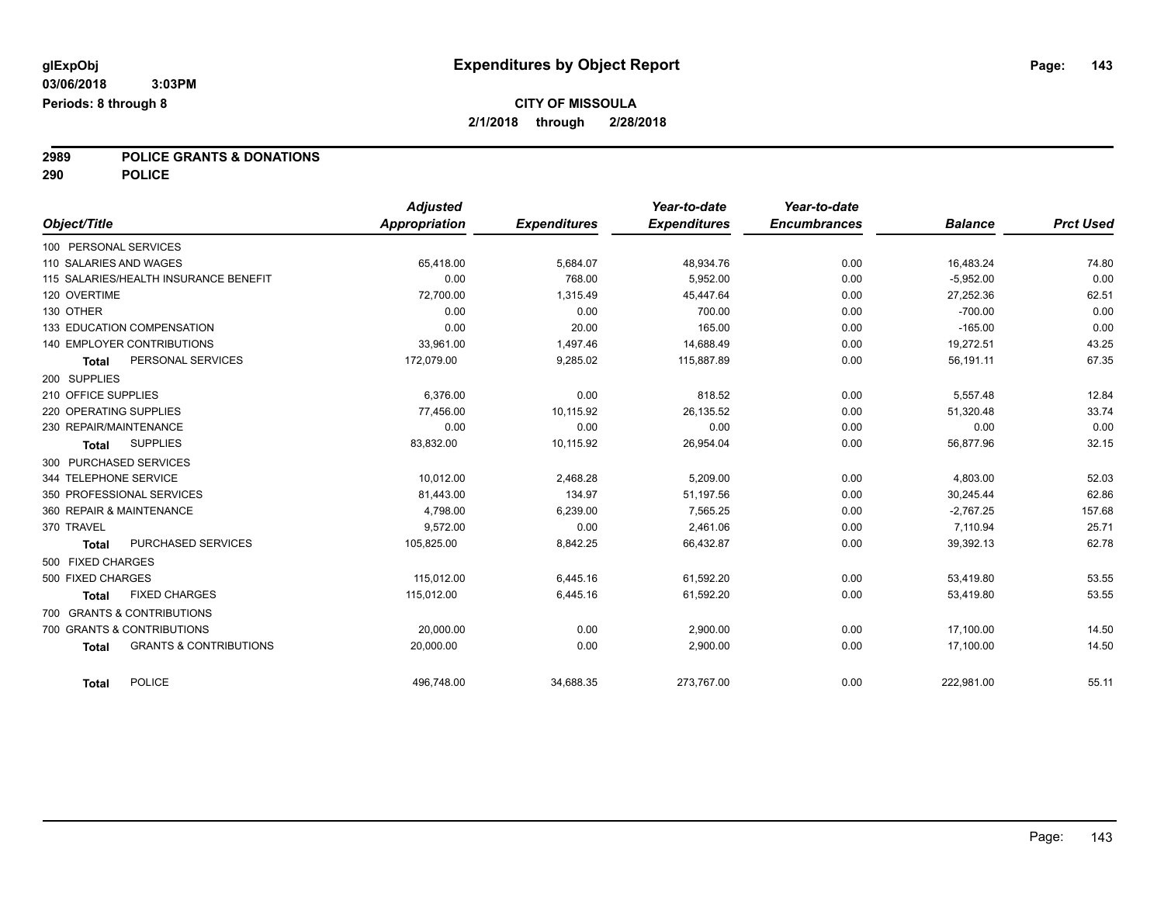## **2989 POLICE GRANTS & DONATIONS**

**290 POLICE**

| Object/Title                                      | <b>Adjusted</b><br><b>Appropriation</b> | <b>Expenditures</b> | Year-to-date<br><b>Expenditures</b> | Year-to-date<br><b>Encumbrances</b> | <b>Balance</b> | <b>Prct Used</b> |
|---------------------------------------------------|-----------------------------------------|---------------------|-------------------------------------|-------------------------------------|----------------|------------------|
| 100 PERSONAL SERVICES                             |                                         |                     |                                     |                                     |                |                  |
|                                                   |                                         |                     |                                     |                                     |                |                  |
| 110 SALARIES AND WAGES                            | 65,418.00                               | 5,684.07            | 48,934.76                           | 0.00                                | 16,483.24      | 74.80            |
| 115 SALARIES/HEALTH INSURANCE BENEFIT             | 0.00                                    | 768.00              | 5.952.00                            | 0.00                                | $-5,952.00$    | 0.00             |
| 120 OVERTIME                                      | 72,700.00                               | 1,315.49            | 45,447.64                           | 0.00                                | 27,252.36      | 62.51            |
| 130 OTHER                                         | 0.00                                    | 0.00                | 700.00                              | 0.00                                | $-700.00$      | 0.00             |
| 133 EDUCATION COMPENSATION                        | 0.00                                    | 20.00               | 165.00                              | 0.00                                | $-165.00$      | 0.00             |
| 140 EMPLOYER CONTRIBUTIONS                        | 33,961.00                               | 1,497.46            | 14,688.49                           | 0.00                                | 19,272.51      | 43.25            |
| PERSONAL SERVICES<br><b>Total</b>                 | 172,079.00                              | 9,285.02            | 115,887.89                          | 0.00                                | 56,191.11      | 67.35            |
| 200 SUPPLIES                                      |                                         |                     |                                     |                                     |                |                  |
| 210 OFFICE SUPPLIES                               | 6,376.00                                | 0.00                | 818.52                              | 0.00                                | 5,557.48       | 12.84            |
| 220 OPERATING SUPPLIES                            | 77.456.00                               | 10,115.92           | 26,135.52                           | 0.00                                | 51,320.48      | 33.74            |
| 230 REPAIR/MAINTENANCE                            | 0.00                                    | 0.00                | 0.00                                | 0.00                                | 0.00           | 0.00             |
| <b>SUPPLIES</b><br><b>Total</b>                   | 83,832.00                               | 10,115.92           | 26,954.04                           | 0.00                                | 56,877.96      | 32.15            |
| 300 PURCHASED SERVICES                            |                                         |                     |                                     |                                     |                |                  |
| 344 TELEPHONE SERVICE                             | 10,012.00                               | 2,468.28            | 5,209.00                            | 0.00                                | 4,803.00       | 52.03            |
| 350 PROFESSIONAL SERVICES                         | 81,443.00                               | 134.97              | 51,197.56                           | 0.00                                | 30.245.44      | 62.86            |
| 360 REPAIR & MAINTENANCE                          | 4,798.00                                | 6,239.00            | 7,565.25                            | 0.00                                | $-2,767.25$    | 157.68           |
| 370 TRAVEL                                        | 9,572.00                                | 0.00                | 2,461.06                            | 0.00                                | 7,110.94       | 25.71            |
| PURCHASED SERVICES<br><b>Total</b>                | 105,825.00                              | 8,842.25            | 66,432.87                           | 0.00                                | 39,392.13      | 62.78            |
| 500 FIXED CHARGES                                 |                                         |                     |                                     |                                     |                |                  |
| 500 FIXED CHARGES                                 | 115,012.00                              | 6,445.16            | 61,592.20                           | 0.00                                | 53,419.80      | 53.55            |
| <b>FIXED CHARGES</b><br><b>Total</b>              | 115.012.00                              | 6,445.16            | 61,592.20                           | 0.00                                | 53,419.80      | 53.55            |
| 700 GRANTS & CONTRIBUTIONS                        |                                         |                     |                                     |                                     |                |                  |
| 700 GRANTS & CONTRIBUTIONS                        | 20,000.00                               | 0.00                | 2,900.00                            | 0.00                                | 17,100.00      | 14.50            |
| <b>GRANTS &amp; CONTRIBUTIONS</b><br><b>Total</b> | 20,000.00                               | 0.00                | 2,900.00                            | 0.00                                | 17,100.00      | 14.50            |
| <b>POLICE</b><br><b>Total</b>                     | 496,748.00                              | 34,688.35           | 273,767.00                          | 0.00                                | 222,981.00     | 55.11            |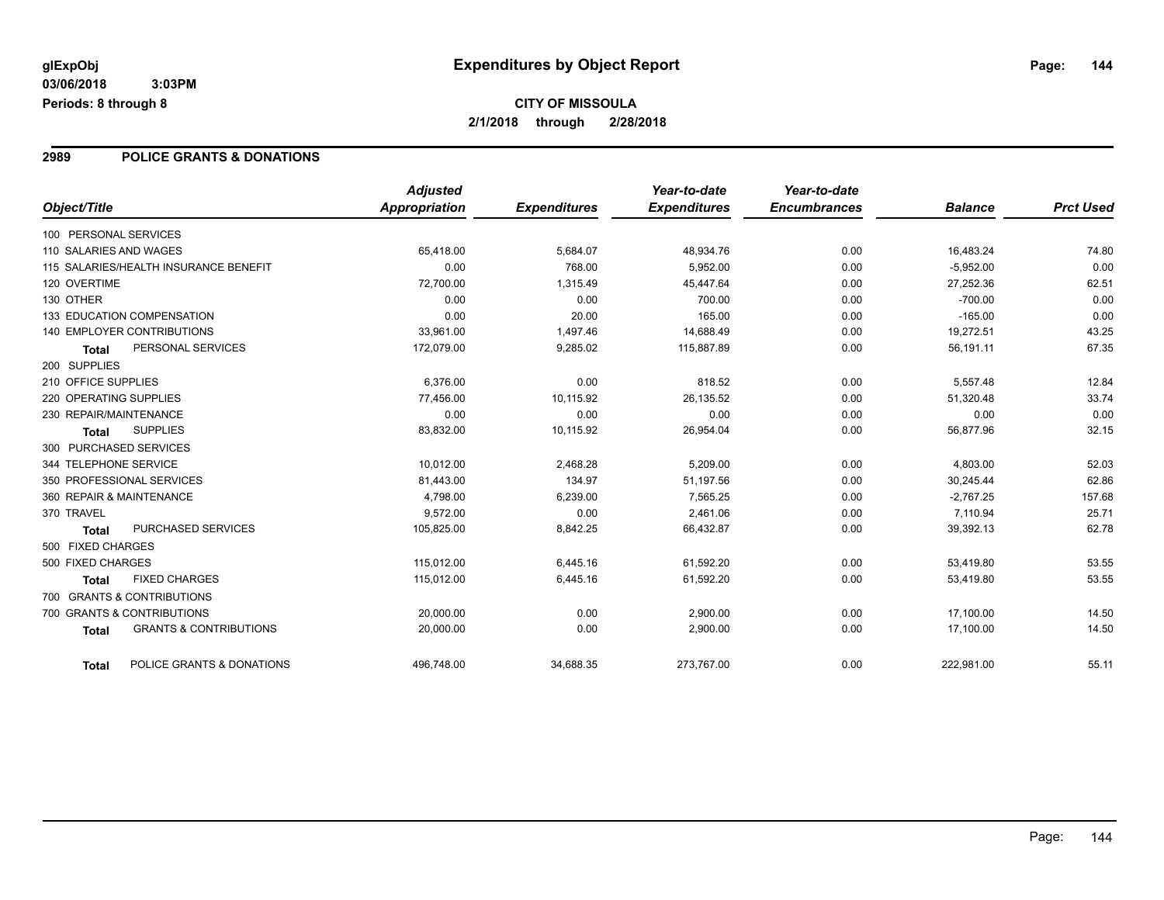#### **2989 POLICE GRANTS & DONATIONS**

|                                                   | <b>Adjusted</b> |                     | Year-to-date        | Year-to-date        |                |                  |
|---------------------------------------------------|-----------------|---------------------|---------------------|---------------------|----------------|------------------|
| Object/Title                                      | Appropriation   | <b>Expenditures</b> | <b>Expenditures</b> | <b>Encumbrances</b> | <b>Balance</b> | <b>Prct Used</b> |
| 100 PERSONAL SERVICES                             |                 |                     |                     |                     |                |                  |
| 110 SALARIES AND WAGES                            | 65,418.00       | 5,684.07            | 48,934.76           | 0.00                | 16,483.24      | 74.80            |
| 115 SALARIES/HEALTH INSURANCE BENEFIT             | 0.00            | 768.00              | 5,952.00            | 0.00                | $-5,952.00$    | 0.00             |
| 120 OVERTIME                                      | 72,700.00       | 1,315.49            | 45,447.64           | 0.00                | 27,252.36      | 62.51            |
| 130 OTHER                                         | 0.00            | 0.00                | 700.00              | 0.00                | $-700.00$      | 0.00             |
| 133 EDUCATION COMPENSATION                        | 0.00            | 20.00               | 165.00              | 0.00                | $-165.00$      | 0.00             |
| <b>140 EMPLOYER CONTRIBUTIONS</b>                 | 33,961.00       | 1,497.46            | 14,688.49           | 0.00                | 19,272.51      | 43.25            |
| PERSONAL SERVICES<br><b>Total</b>                 | 172,079.00      | 9,285.02            | 115,887.89          | 0.00                | 56,191.11      | 67.35            |
| 200 SUPPLIES                                      |                 |                     |                     |                     |                |                  |
| 210 OFFICE SUPPLIES                               | 6,376.00        | 0.00                | 818.52              | 0.00                | 5,557.48       | 12.84            |
| 220 OPERATING SUPPLIES                            | 77,456.00       | 10,115.92           | 26,135.52           | 0.00                | 51,320.48      | 33.74            |
| 230 REPAIR/MAINTENANCE                            | 0.00            | 0.00                | 0.00                | 0.00                | 0.00           | 0.00             |
| <b>SUPPLIES</b><br><b>Total</b>                   | 83,832.00       | 10,115.92           | 26,954.04           | 0.00                | 56,877.96      | 32.15            |
| 300 PURCHASED SERVICES                            |                 |                     |                     |                     |                |                  |
| 344 TELEPHONE SERVICE                             | 10,012.00       | 2,468.28            | 5,209.00            | 0.00                | 4,803.00       | 52.03            |
| 350 PROFESSIONAL SERVICES                         | 81,443.00       | 134.97              | 51,197.56           | 0.00                | 30,245.44      | 62.86            |
| 360 REPAIR & MAINTENANCE                          | 4,798.00        | 6,239.00            | 7,565.25            | 0.00                | $-2,767.25$    | 157.68           |
| 370 TRAVEL                                        | 9,572.00        | 0.00                | 2,461.06            | 0.00                | 7,110.94       | 25.71            |
| PURCHASED SERVICES<br><b>Total</b>                | 105,825.00      | 8,842.25            | 66,432.87           | 0.00                | 39,392.13      | 62.78            |
| 500 FIXED CHARGES                                 |                 |                     |                     |                     |                |                  |
| 500 FIXED CHARGES                                 | 115,012.00      | 6,445.16            | 61,592.20           | 0.00                | 53,419.80      | 53.55            |
| <b>FIXED CHARGES</b><br><b>Total</b>              | 115,012.00      | 6,445.16            | 61,592.20           | 0.00                | 53,419.80      | 53.55            |
| 700 GRANTS & CONTRIBUTIONS                        |                 |                     |                     |                     |                |                  |
| 700 GRANTS & CONTRIBUTIONS                        | 20,000.00       | 0.00                | 2,900.00            | 0.00                | 17,100.00      | 14.50            |
| <b>GRANTS &amp; CONTRIBUTIONS</b><br><b>Total</b> | 20,000.00       | 0.00                | 2,900.00            | 0.00                | 17,100.00      | 14.50            |
| POLICE GRANTS & DONATIONS<br>Total                | 496,748.00      | 34,688.35           | 273,767.00          | 0.00                | 222,981.00     | 55.11            |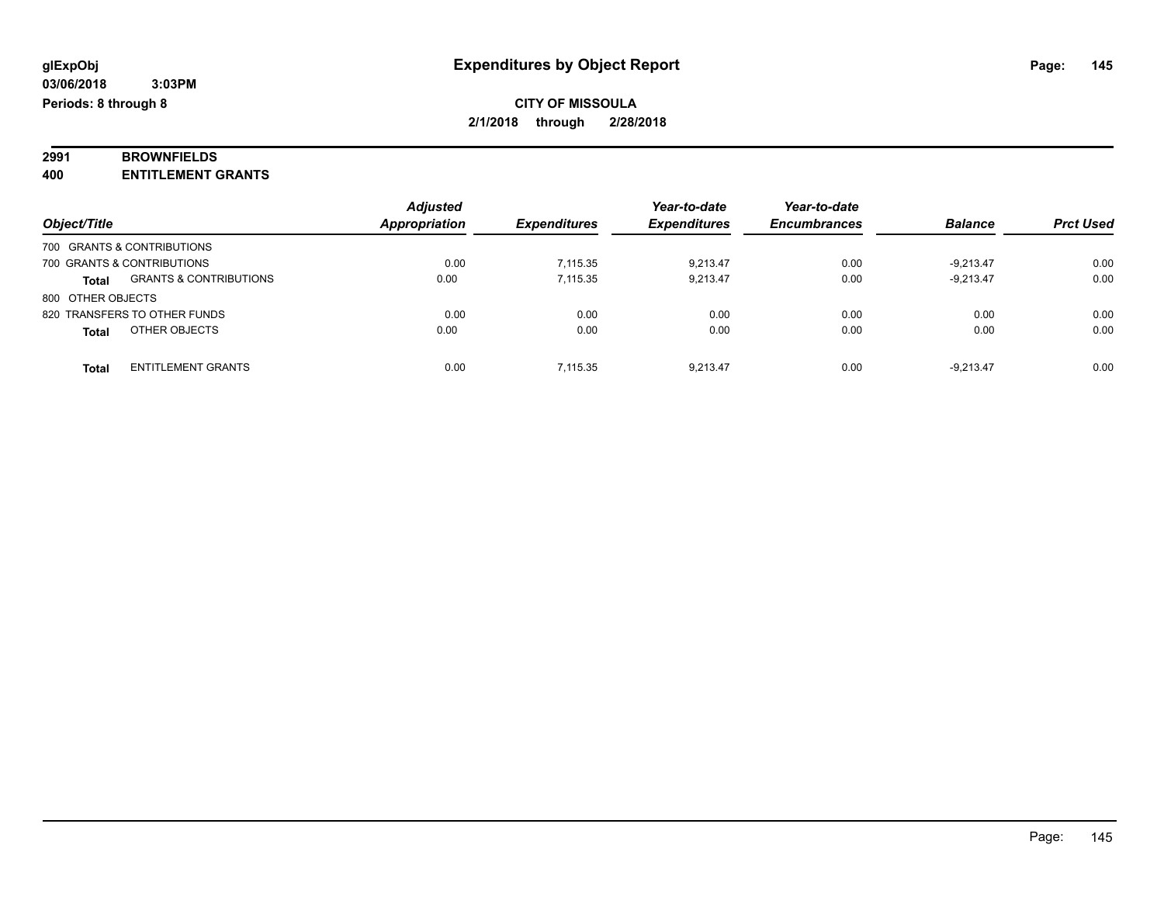# **2991 BROWNFIELDS**

**400 ENTITLEMENT GRANTS**

|                   |                                   | <b>Adjusted</b>      |                     | Year-to-date        | Year-to-date        |                |                  |
|-------------------|-----------------------------------|----------------------|---------------------|---------------------|---------------------|----------------|------------------|
| Object/Title      |                                   | <b>Appropriation</b> | <b>Expenditures</b> | <b>Expenditures</b> | <b>Encumbrances</b> | <b>Balance</b> | <b>Prct Used</b> |
|                   | 700 GRANTS & CONTRIBUTIONS        |                      |                     |                     |                     |                |                  |
|                   | 700 GRANTS & CONTRIBUTIONS        | 0.00                 | 7.115.35            | 9.213.47            | 0.00                | $-9.213.47$    | 0.00             |
| <b>Total</b>      | <b>GRANTS &amp; CONTRIBUTIONS</b> | 0.00                 | 7.115.35            | 9.213.47            | 0.00                | $-9.213.47$    | 0.00             |
| 800 OTHER OBJECTS |                                   |                      |                     |                     |                     |                |                  |
|                   | 820 TRANSFERS TO OTHER FUNDS      | 0.00                 | 0.00                | 0.00                | 0.00                | 0.00           | 0.00             |
| <b>Total</b>      | OTHER OBJECTS                     | 0.00                 | 0.00                | 0.00                | 0.00                | 0.00           | 0.00             |
| <b>Total</b>      | <b>ENTITLEMENT GRANTS</b>         | 0.00                 | 7.115.35            | 9.213.47            | 0.00                | $-9.213.47$    | 0.00             |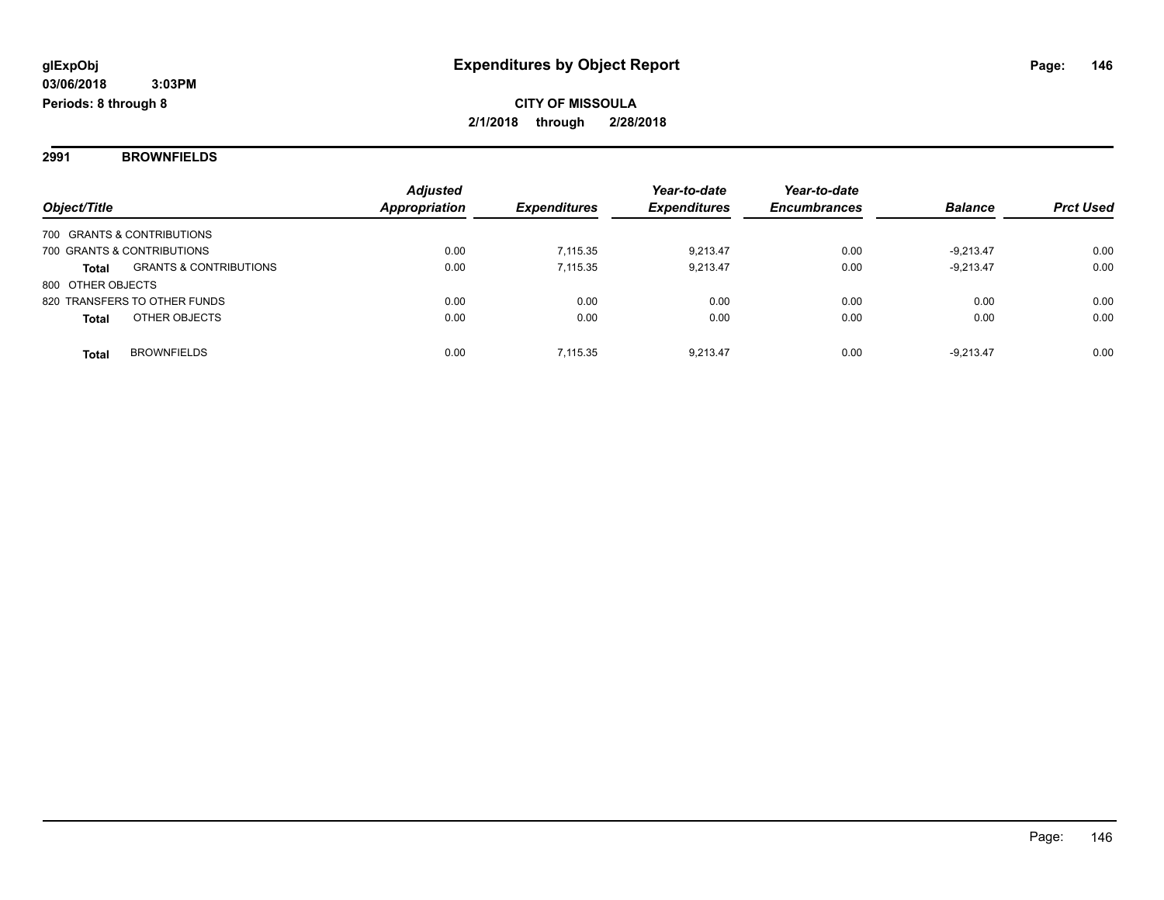**2991 BROWNFIELDS**

|                   |                                   | <b>Adjusted</b> |                     | Year-to-date        | Year-to-date        |                |                  |
|-------------------|-----------------------------------|-----------------|---------------------|---------------------|---------------------|----------------|------------------|
| Object/Title      |                                   | Appropriation   | <b>Expenditures</b> | <b>Expenditures</b> | <b>Encumbrances</b> | <b>Balance</b> | <b>Prct Used</b> |
|                   | 700 GRANTS & CONTRIBUTIONS        |                 |                     |                     |                     |                |                  |
|                   | 700 GRANTS & CONTRIBUTIONS        | 0.00            | 7.115.35            | 9,213.47            | 0.00                | $-9.213.47$    | 0.00             |
| <b>Total</b>      | <b>GRANTS &amp; CONTRIBUTIONS</b> | 0.00            | 7.115.35            | 9.213.47            | 0.00                | $-9,213.47$    | 0.00             |
| 800 OTHER OBJECTS |                                   |                 |                     |                     |                     |                |                  |
|                   | 820 TRANSFERS TO OTHER FUNDS      | 0.00            | 0.00                | 0.00                | 0.00                | 0.00           | 0.00             |
| <b>Total</b>      | OTHER OBJECTS                     | 0.00            | 0.00                | 0.00                | 0.00                | 0.00           | 0.00             |
| <b>Total</b>      | <b>BROWNFIELDS</b>                | 0.00            | 7.115.35            | 9.213.47            | 0.00                | $-9.213.47$    | 0.00             |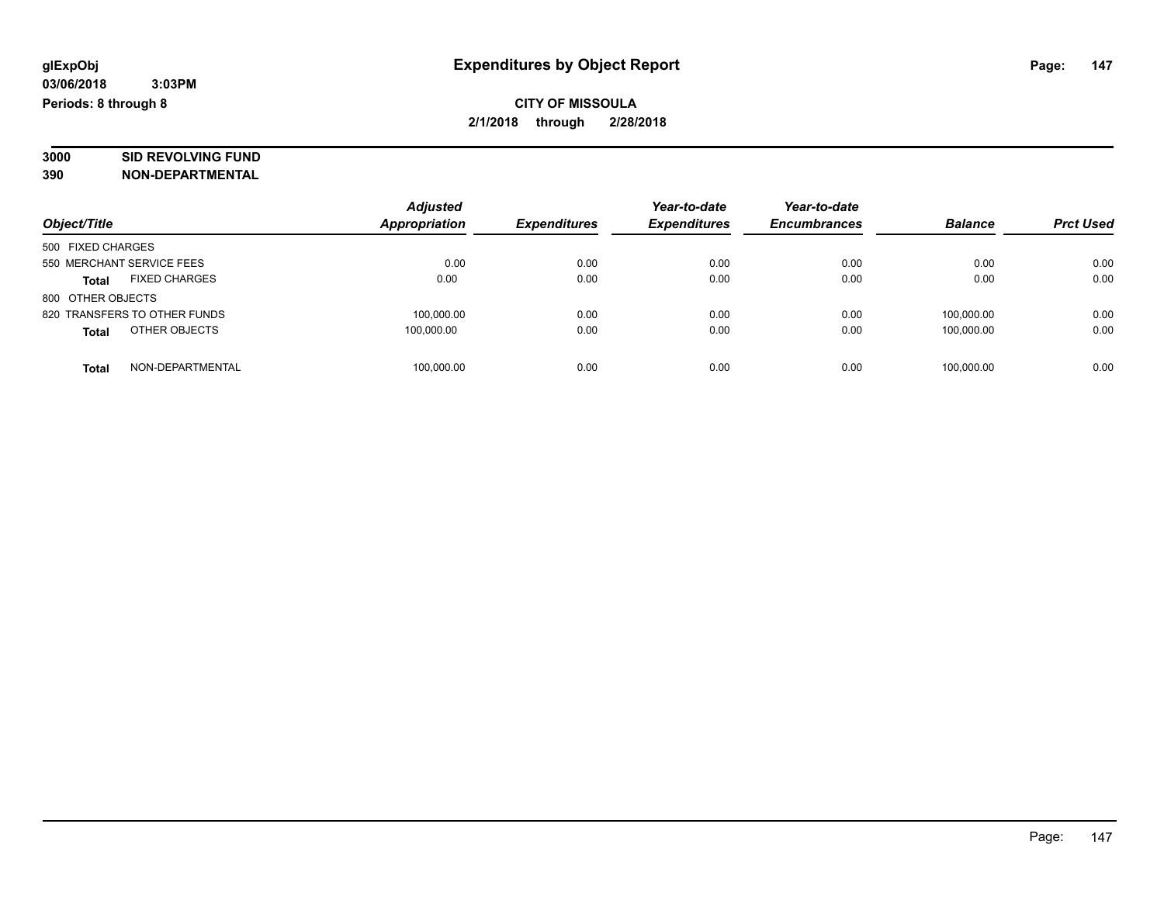# **3000 SID REVOLVING FUND**

|                                      | <b>Adjusted</b>      |                     | Year-to-date        | Year-to-date        |                |                  |
|--------------------------------------|----------------------|---------------------|---------------------|---------------------|----------------|------------------|
| Object/Title                         | <b>Appropriation</b> | <b>Expenditures</b> | <b>Expenditures</b> | <b>Encumbrances</b> | <b>Balance</b> | <b>Prct Used</b> |
| 500 FIXED CHARGES                    |                      |                     |                     |                     |                |                  |
| 550 MERCHANT SERVICE FEES            | 0.00                 | 0.00                | 0.00                | 0.00                | 0.00           | 0.00             |
| <b>FIXED CHARGES</b><br><b>Total</b> | 0.00                 | 0.00                | 0.00                | 0.00                | 0.00           | 0.00             |
| 800 OTHER OBJECTS                    |                      |                     |                     |                     |                |                  |
| 820 TRANSFERS TO OTHER FUNDS         | 100,000.00           | 0.00                | 0.00                | 0.00                | 100.000.00     | 0.00             |
| OTHER OBJECTS<br><b>Total</b>        | 100.000.00           | 0.00                | 0.00                | 0.00                | 100.000.00     | 0.00             |
| NON-DEPARTMENTAL<br>Total            | 100,000.00           | 0.00                | 0.00                | 0.00                | 100.000.00     | 0.00             |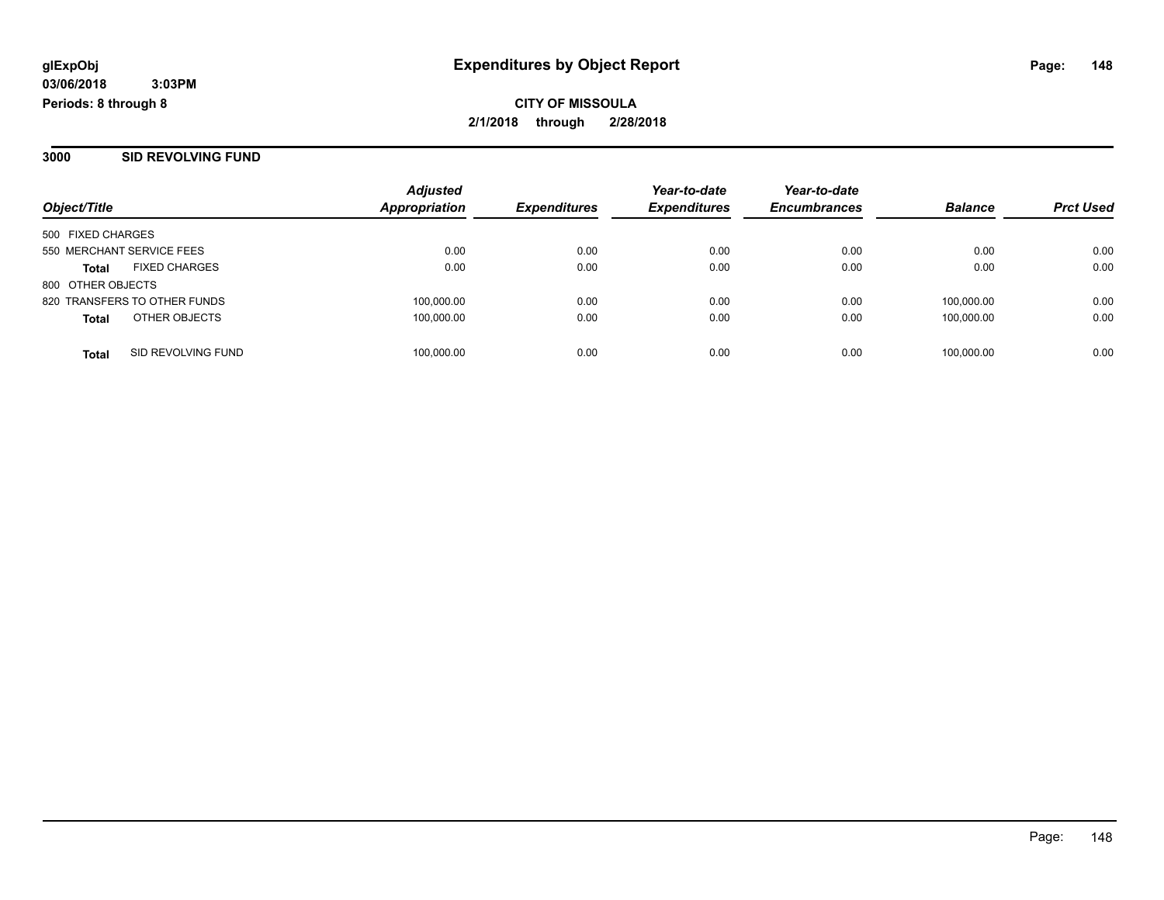**3000 SID REVOLVING FUND**

|                                      | <b>Adjusted</b><br><b>Appropriation</b> | <b>Expenditures</b> | Year-to-date<br><b>Expenditures</b> | Year-to-date<br><b>Encumbrances</b> | <b>Balance</b> | <b>Prct Used</b> |
|--------------------------------------|-----------------------------------------|---------------------|-------------------------------------|-------------------------------------|----------------|------------------|
| Object/Title                         |                                         |                     |                                     |                                     |                |                  |
| 500 FIXED CHARGES                    |                                         |                     |                                     |                                     |                |                  |
| 550 MERCHANT SERVICE FEES            | 0.00                                    | 0.00                | 0.00                                | 0.00                                | 0.00           | 0.00             |
| <b>FIXED CHARGES</b><br><b>Total</b> | 0.00                                    | 0.00                | 0.00                                | 0.00                                | 0.00           | 0.00             |
| 800 OTHER OBJECTS                    |                                         |                     |                                     |                                     |                |                  |
| 820 TRANSFERS TO OTHER FUNDS         | 100,000.00                              | 0.00                | 0.00                                | 0.00                                | 100.000.00     | 0.00             |
| OTHER OBJECTS<br><b>Total</b>        | 100,000.00                              | 0.00                | 0.00                                | 0.00                                | 100.000.00     | 0.00             |
|                                      |                                         |                     |                                     |                                     |                |                  |
| SID REVOLVING FUND<br><b>Total</b>   | 100,000.00                              | 0.00                | 0.00                                | 0.00                                | 100,000.00     | 0.00             |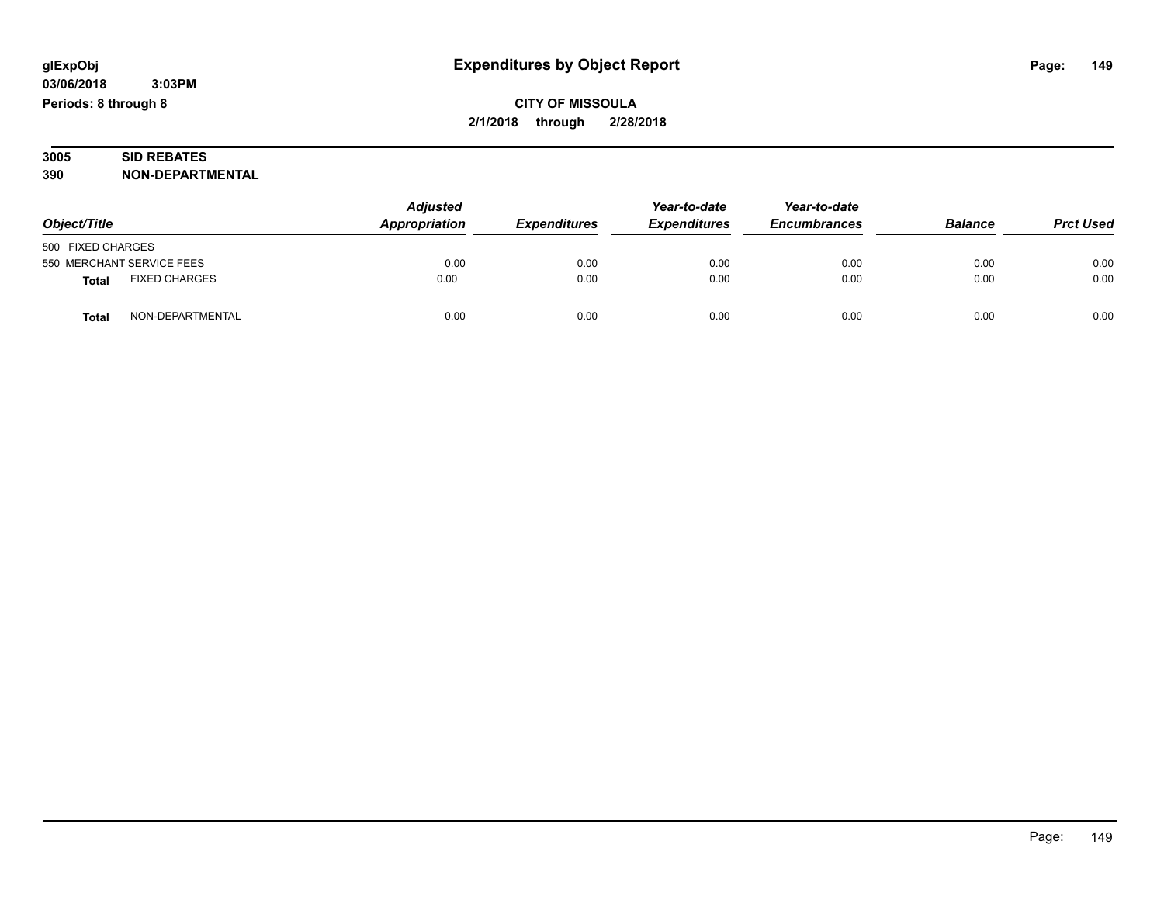| 3005 | <b>SID REBATES</b>      |
|------|-------------------------|
| 390  | <b>NON-DEPARTMENTAL</b> |

| Object/Title                         | <b>Adjusted</b><br>Appropriation | <b>Expenditures</b> | Year-to-date<br><b>Expenditures</b> | Year-to-date<br><b>Encumbrances</b> | <b>Balance</b> | <b>Prct Used</b> |
|--------------------------------------|----------------------------------|---------------------|-------------------------------------|-------------------------------------|----------------|------------------|
| 500 FIXED CHARGES                    |                                  |                     |                                     |                                     |                |                  |
| 550 MERCHANT SERVICE FEES            | 0.00                             | 0.00                | 0.00                                | 0.00                                | 0.00           | 0.00             |
| <b>FIXED CHARGES</b><br><b>Total</b> | 0.00                             | 0.00                | 0.00                                | 0.00                                | 0.00           | 0.00             |
| NON-DEPARTMENTAL<br><b>Total</b>     | 0.00                             | 0.00                | 0.00                                | 0.00                                | 0.00           | 0.00             |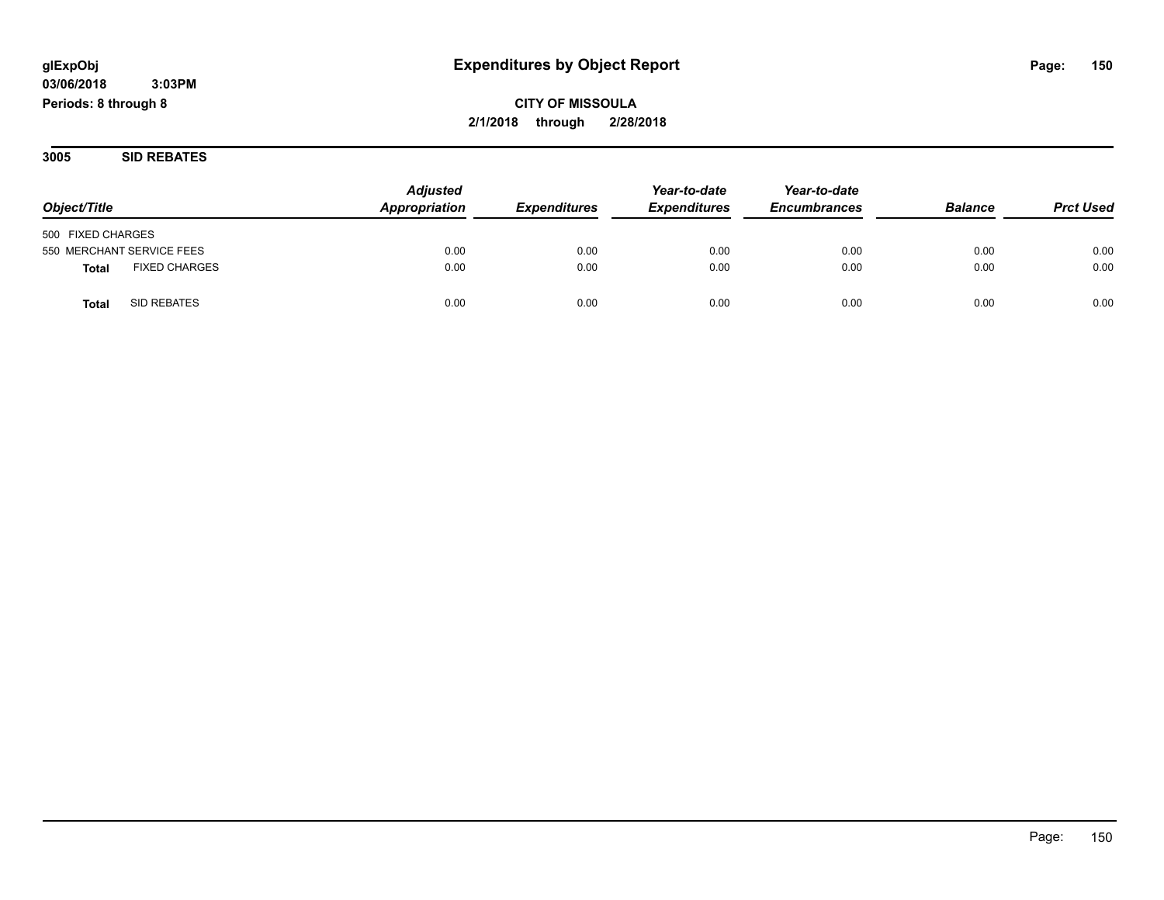**CITY OF MISSOULA 2/1/2018 through 2/28/2018**

**3005 SID REBATES**

| Object/Title                         | <b>Adjusted</b><br>Appropriation | <b>Expenditures</b> | Year-to-date<br><b>Expenditures</b> | Year-to-date<br><b>Encumbrances</b> | <b>Balance</b> | <b>Prct Used</b> |
|--------------------------------------|----------------------------------|---------------------|-------------------------------------|-------------------------------------|----------------|------------------|
|                                      |                                  |                     |                                     |                                     |                |                  |
| 500 FIXED CHARGES                    |                                  |                     |                                     |                                     |                |                  |
| 550 MERCHANT SERVICE FEES            | 0.00                             | 0.00                | 0.00                                | 0.00                                | 0.00           | 0.00             |
| <b>FIXED CHARGES</b><br><b>Total</b> | 0.00                             | 0.00                | 0.00                                | 0.00                                | 0.00           | 0.00             |
| SID REBATES<br>Total                 | 0.00                             | 0.00                | 0.00                                | 0.00                                | 0.00           | 0.00             |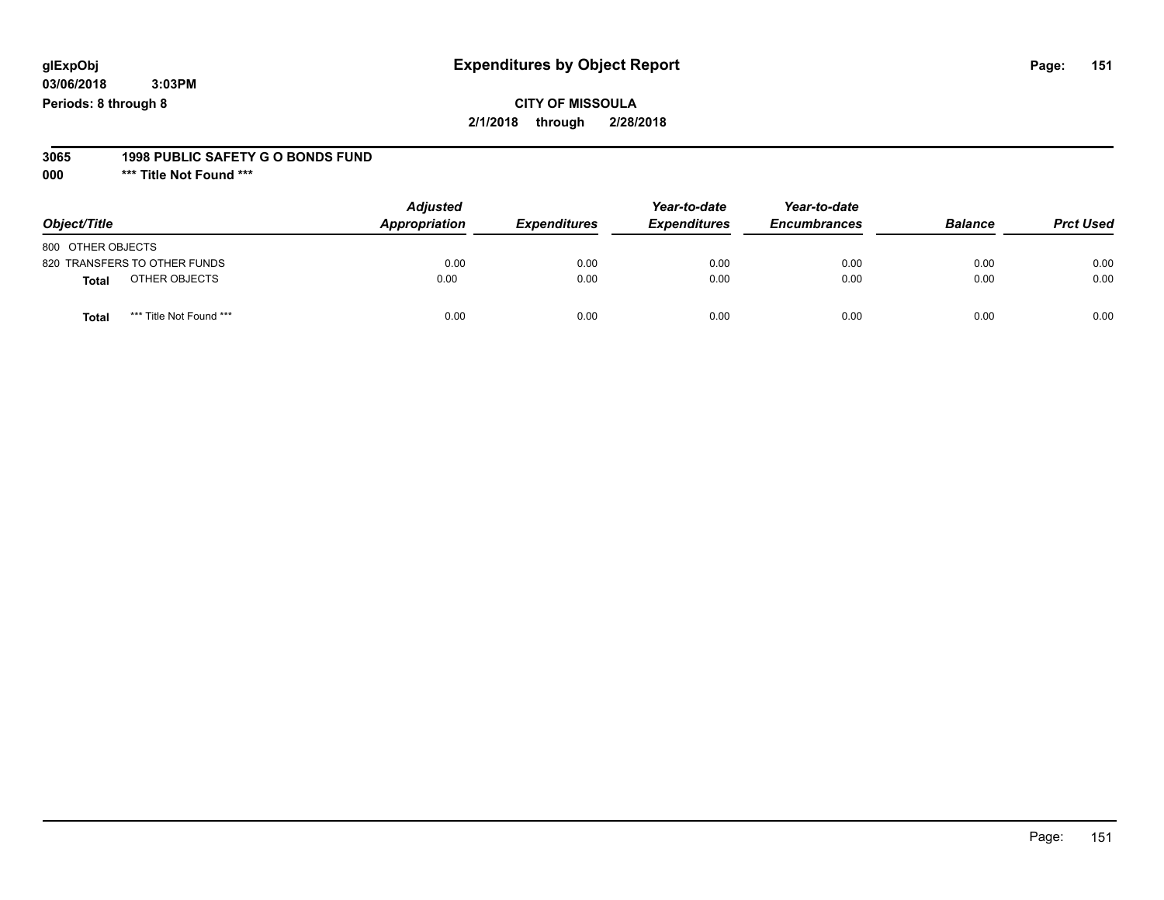#### **CITY OF MISSOULA 2/1/2018 through 2/28/2018**

#### **3065 1998 PUBLIC SAFETY G O BONDS FUND**

**000 \*\*\* Title Not Found \*\*\***

| Object/Title                            | <b>Adjusted</b><br>Appropriation | <b>Expenditures</b> | Year-to-date<br><b>Expenditures</b> | Year-to-date<br><b>Encumbrances</b> | <b>Balance</b> | <b>Prct Used</b> |
|-----------------------------------------|----------------------------------|---------------------|-------------------------------------|-------------------------------------|----------------|------------------|
| 800 OTHER OBJECTS                       |                                  |                     |                                     |                                     |                |                  |
| 820 TRANSFERS TO OTHER FUNDS            | 0.00                             | 0.00                | 0.00                                | 0.00                                | 0.00           | 0.00             |
| OTHER OBJECTS<br>Total                  | 0.00                             | 0.00                | 0.00                                | 0.00                                | 0.00           | 0.00             |
| *** Title Not Found ***<br><b>Total</b> | 0.00                             | 0.00                | 0.00                                | 0.00                                | 0.00           | 0.00             |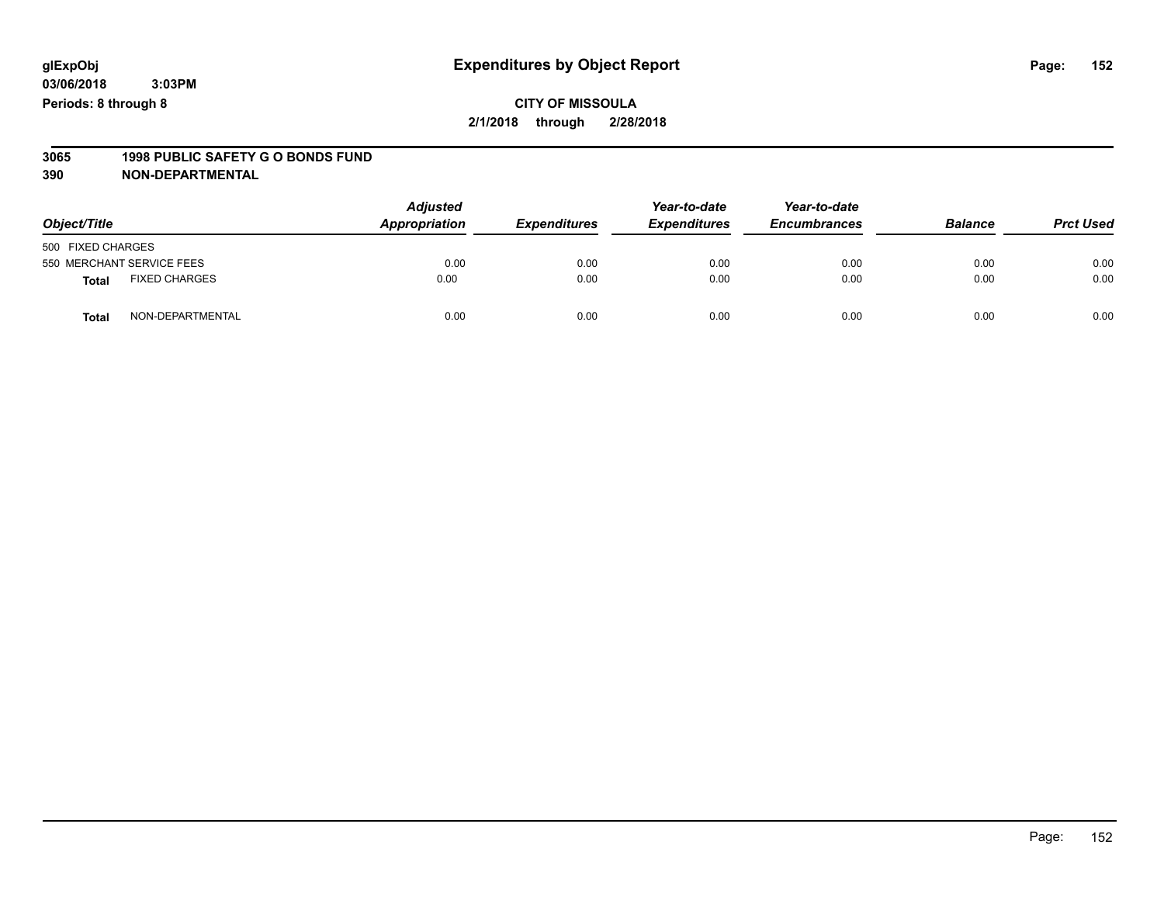#### **CITY OF MISSOULA 2/1/2018 through 2/28/2018**

# **3065 1998 PUBLIC SAFETY G O BONDS FUND**

| Object/Title      |                           | <b>Adjusted</b><br>Appropriation | <b>Expenditures</b> | Year-to-date<br><b>Expenditures</b> | Year-to-date<br><b>Encumbrances</b> | <b>Balance</b> | <b>Prct Used</b> |
|-------------------|---------------------------|----------------------------------|---------------------|-------------------------------------|-------------------------------------|----------------|------------------|
| 500 FIXED CHARGES |                           |                                  |                     |                                     |                                     |                |                  |
|                   | 550 MERCHANT SERVICE FEES | 0.00                             | 0.00                | 0.00                                | 0.00                                | 0.00           | 0.00             |
| <b>Total</b>      | <b>FIXED CHARGES</b>      | 0.00                             | 0.00                | 0.00                                | 0.00                                | 0.00           | 0.00             |
| <b>Total</b>      | NON-DEPARTMENTAL          | 0.00                             | 0.00                | 0.00                                | 0.00                                | 0.00           | 0.00             |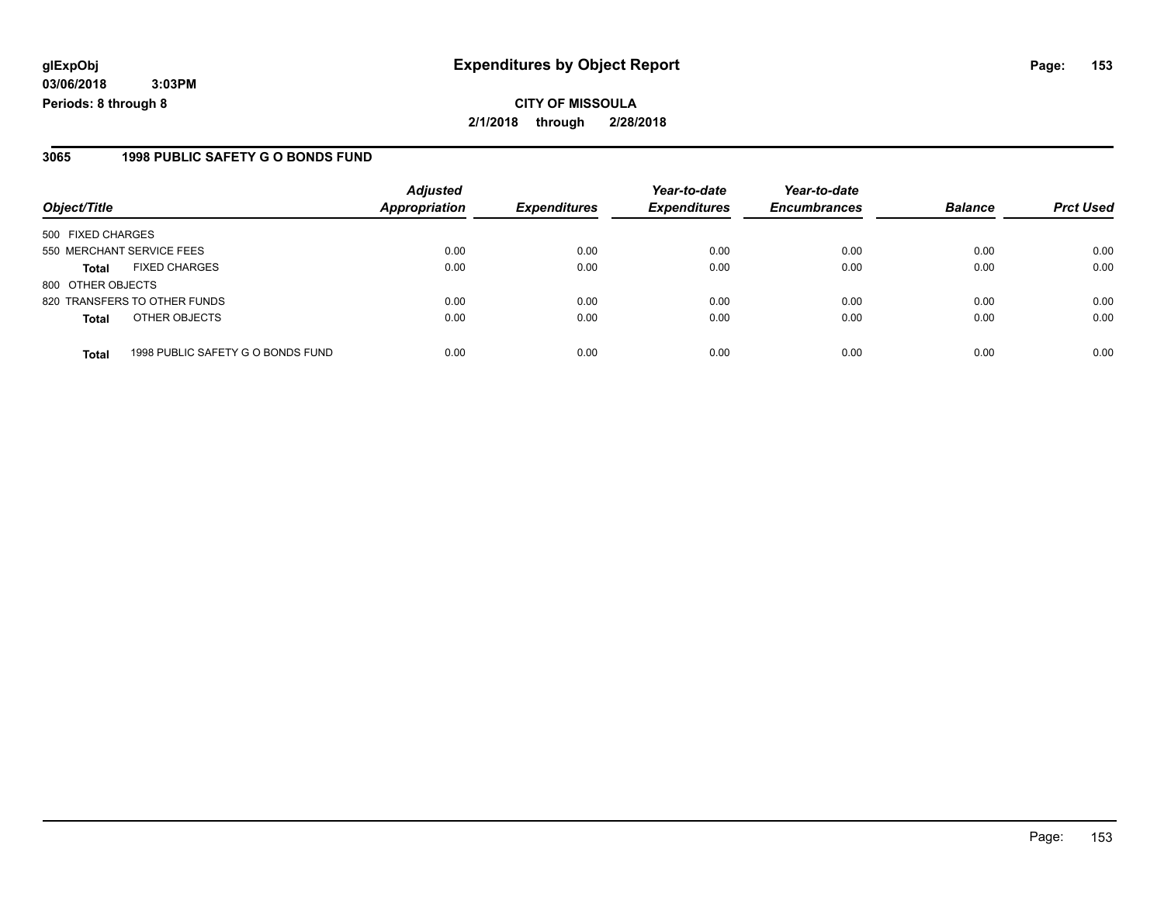#### **3065 1998 PUBLIC SAFETY G O BONDS FUND**

| Object/Title              |                                   | <b>Adjusted</b><br><b>Appropriation</b> | <b>Expenditures</b> | Year-to-date<br><b>Expenditures</b> | Year-to-date<br><b>Encumbrances</b> | <b>Balance</b> | <b>Prct Used</b> |
|---------------------------|-----------------------------------|-----------------------------------------|---------------------|-------------------------------------|-------------------------------------|----------------|------------------|
|                           |                                   |                                         |                     |                                     |                                     |                |                  |
| 500 FIXED CHARGES         |                                   |                                         |                     |                                     |                                     |                |                  |
| 550 MERCHANT SERVICE FEES |                                   | 0.00                                    | 0.00                | 0.00                                | 0.00                                | 0.00           | 0.00             |
| <b>Total</b>              | <b>FIXED CHARGES</b>              | 0.00                                    | 0.00                | 0.00                                | 0.00                                | 0.00           | 0.00             |
| 800 OTHER OBJECTS         |                                   |                                         |                     |                                     |                                     |                |                  |
|                           | 820 TRANSFERS TO OTHER FUNDS      | 0.00                                    | 0.00                | 0.00                                | 0.00                                | 0.00           | 0.00             |
| <b>Total</b>              | OTHER OBJECTS                     | 0.00                                    | 0.00                | 0.00                                | 0.00                                | 0.00           | 0.00             |
|                           |                                   |                                         |                     |                                     |                                     |                |                  |
| <b>Total</b>              | 1998 PUBLIC SAFETY G O BONDS FUND | 0.00                                    | 0.00                | 0.00                                | 0.00                                | 0.00           | 0.00             |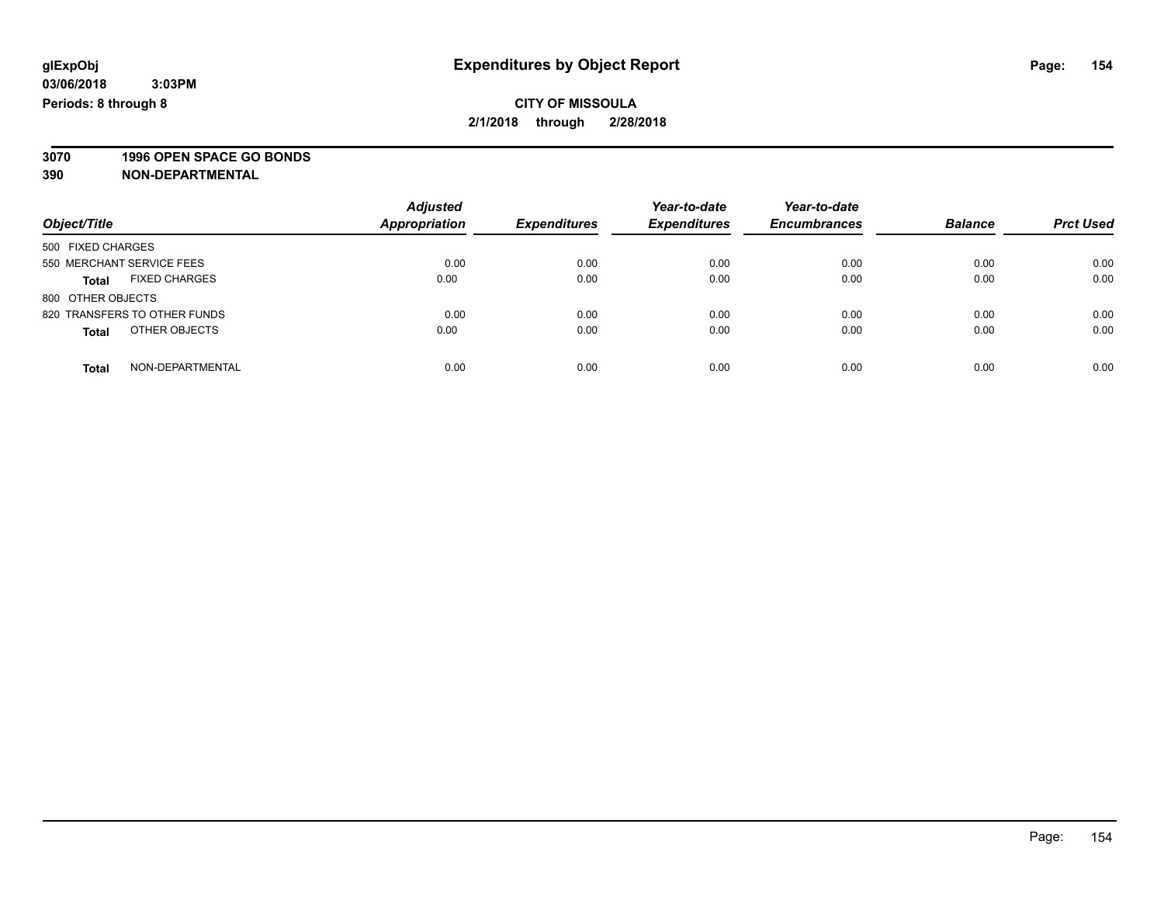**3070 1996 OPEN SPACE GO BONDS**

| Object/Title                         | <b>Adjusted</b><br><b>Appropriation</b> | <b>Expenditures</b> | Year-to-date<br><b>Expenditures</b> | Year-to-date<br><b>Encumbrances</b> | <b>Balance</b> | <b>Prct Used</b> |
|--------------------------------------|-----------------------------------------|---------------------|-------------------------------------|-------------------------------------|----------------|------------------|
| 500 FIXED CHARGES                    |                                         |                     |                                     |                                     |                |                  |
| 550 MERCHANT SERVICE FEES            | 0.00                                    | 0.00                | 0.00                                | 0.00                                | 0.00           | 0.00             |
| <b>FIXED CHARGES</b><br><b>Total</b> | 0.00                                    | 0.00                | 0.00                                | 0.00                                | 0.00           | 0.00             |
| 800 OTHER OBJECTS                    |                                         |                     |                                     |                                     |                |                  |
| 820 TRANSFERS TO OTHER FUNDS         | 0.00                                    | 0.00                | 0.00                                | 0.00                                | 0.00           | 0.00             |
| OTHER OBJECTS<br><b>Total</b>        | 0.00                                    | 0.00                | 0.00                                | 0.00                                | 0.00           | 0.00             |
| NON-DEPARTMENTAL<br><b>Total</b>     | 0.00                                    | 0.00                | 0.00                                | 0.00                                | 0.00           | 0.00             |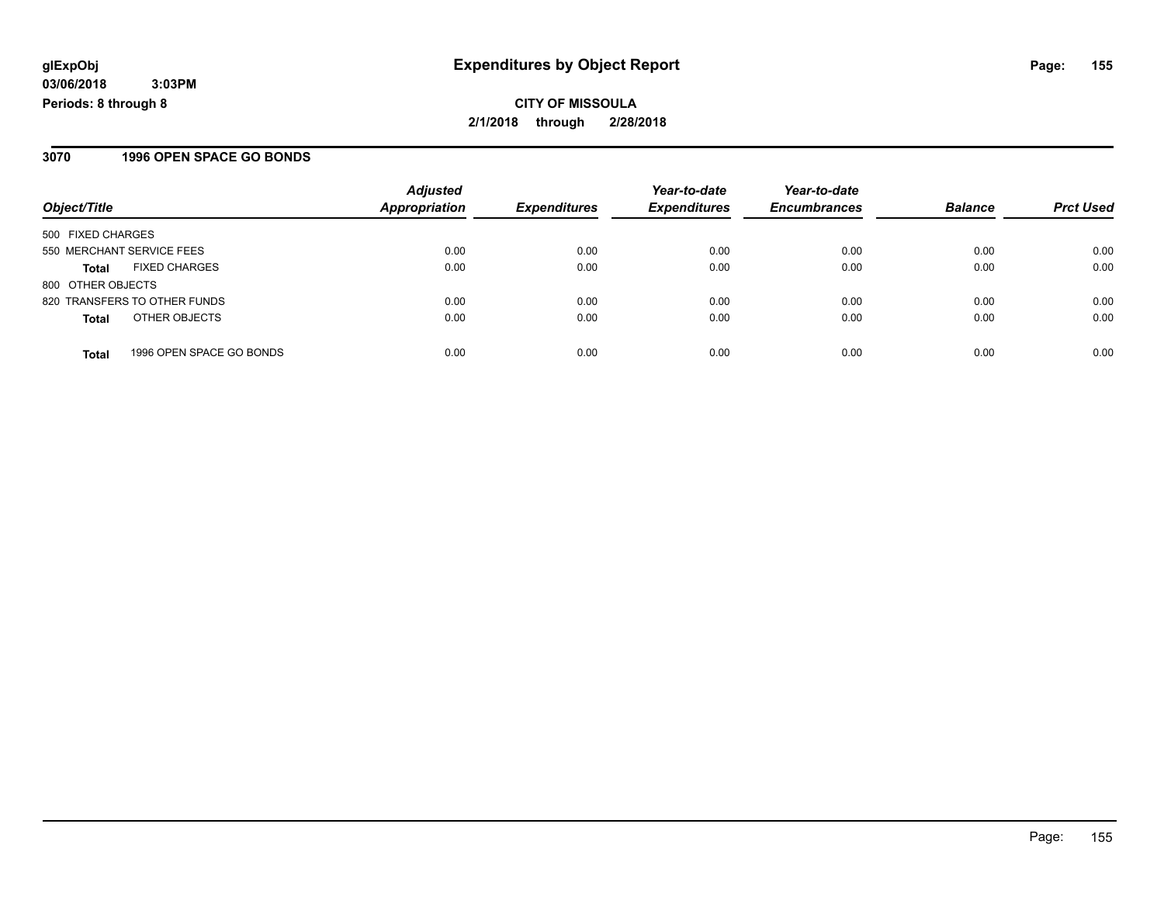**CITY OF MISSOULA 2/1/2018 through 2/28/2018**

#### **3070 1996 OPEN SPACE GO BONDS**

|                                          | <b>Adjusted</b>      |                     | Year-to-date        | Year-to-date        |                |                  |
|------------------------------------------|----------------------|---------------------|---------------------|---------------------|----------------|------------------|
| Object/Title                             | <b>Appropriation</b> | <b>Expenditures</b> | <b>Expenditures</b> | <b>Encumbrances</b> | <b>Balance</b> | <b>Prct Used</b> |
| 500 FIXED CHARGES                        |                      |                     |                     |                     |                |                  |
| 550 MERCHANT SERVICE FEES                | 0.00                 | 0.00                | 0.00                | 0.00                | 0.00           | 0.00             |
| <b>FIXED CHARGES</b><br><b>Total</b>     | 0.00                 | 0.00                | 0.00                | 0.00                | 0.00           | 0.00             |
| 800 OTHER OBJECTS                        |                      |                     |                     |                     |                |                  |
| 820 TRANSFERS TO OTHER FUNDS             | 0.00                 | 0.00                | 0.00                | 0.00                | 0.00           | 0.00             |
| OTHER OBJECTS<br><b>Total</b>            | 0.00                 | 0.00                | 0.00                | 0.00                | 0.00           | 0.00             |
| 1996 OPEN SPACE GO BONDS<br><b>Total</b> | 0.00                 | 0.00                | 0.00                | 0.00                | 0.00           | 0.00             |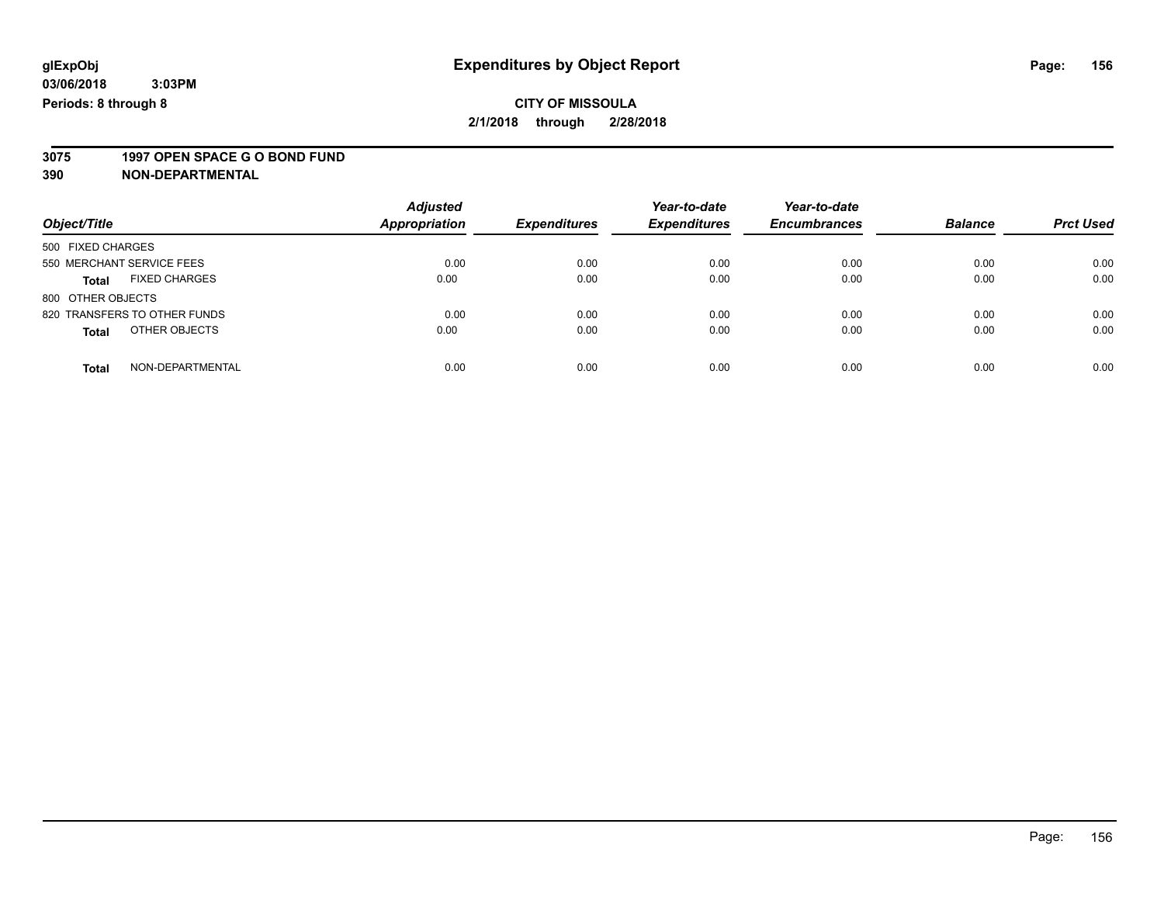# **3075 1997 OPEN SPACE G O BOND FUND**

| Object/Title                         | <b>Adjusted</b><br><b>Appropriation</b> | <b>Expenditures</b> | Year-to-date<br><b>Expenditures</b> | Year-to-date<br><b>Encumbrances</b> | <b>Balance</b> | <b>Prct Used</b> |
|--------------------------------------|-----------------------------------------|---------------------|-------------------------------------|-------------------------------------|----------------|------------------|
| 500 FIXED CHARGES                    |                                         |                     |                                     |                                     |                |                  |
| 550 MERCHANT SERVICE FEES            | 0.00                                    | 0.00                | 0.00                                | 0.00                                | 0.00           | 0.00             |
| <b>FIXED CHARGES</b><br><b>Total</b> | 0.00                                    | 0.00                | 0.00                                | 0.00                                | 0.00           | 0.00             |
| 800 OTHER OBJECTS                    |                                         |                     |                                     |                                     |                |                  |
| 820 TRANSFERS TO OTHER FUNDS         | 0.00                                    | 0.00                | 0.00                                | 0.00                                | 0.00           | 0.00             |
| OTHER OBJECTS<br><b>Total</b>        | 0.00                                    | 0.00                | 0.00                                | 0.00                                | 0.00           | 0.00             |
| NON-DEPARTMENTAL<br><b>Total</b>     | 0.00                                    | 0.00                | 0.00                                | 0.00                                | 0.00           | 0.00             |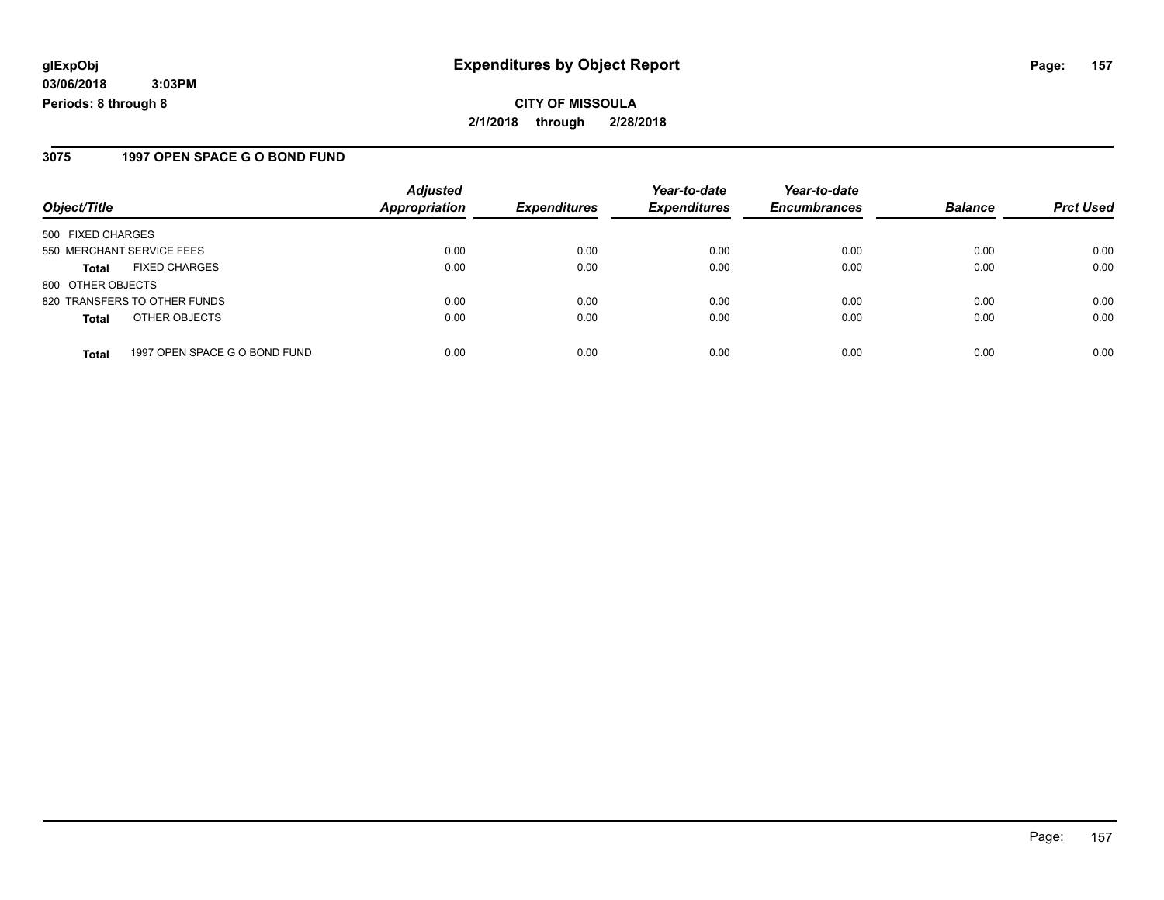#### **3075 1997 OPEN SPACE G O BOND FUND**

|                           |                               | <b>Adjusted</b>      |                     | Year-to-date        | Year-to-date        |                |                  |
|---------------------------|-------------------------------|----------------------|---------------------|---------------------|---------------------|----------------|------------------|
| Object/Title              |                               | <b>Appropriation</b> | <b>Expenditures</b> | <b>Expenditures</b> | <b>Encumbrances</b> | <b>Balance</b> | <b>Prct Used</b> |
| 500 FIXED CHARGES         |                               |                      |                     |                     |                     |                |                  |
| 550 MERCHANT SERVICE FEES |                               | 0.00                 | 0.00                | 0.00                | 0.00                | 0.00           | 0.00             |
| <b>Total</b>              | <b>FIXED CHARGES</b>          | 0.00                 | 0.00                | 0.00                | 0.00                | 0.00           | 0.00             |
| 800 OTHER OBJECTS         |                               |                      |                     |                     |                     |                |                  |
|                           | 820 TRANSFERS TO OTHER FUNDS  | 0.00                 | 0.00                | 0.00                | 0.00                | 0.00           | 0.00             |
| <b>Total</b>              | OTHER OBJECTS                 | 0.00                 | 0.00                | 0.00                | 0.00                | 0.00           | 0.00             |
| <b>Total</b>              | 1997 OPEN SPACE G O BOND FUND | 0.00                 | 0.00                | 0.00                | 0.00                | 0.00           | 0.00             |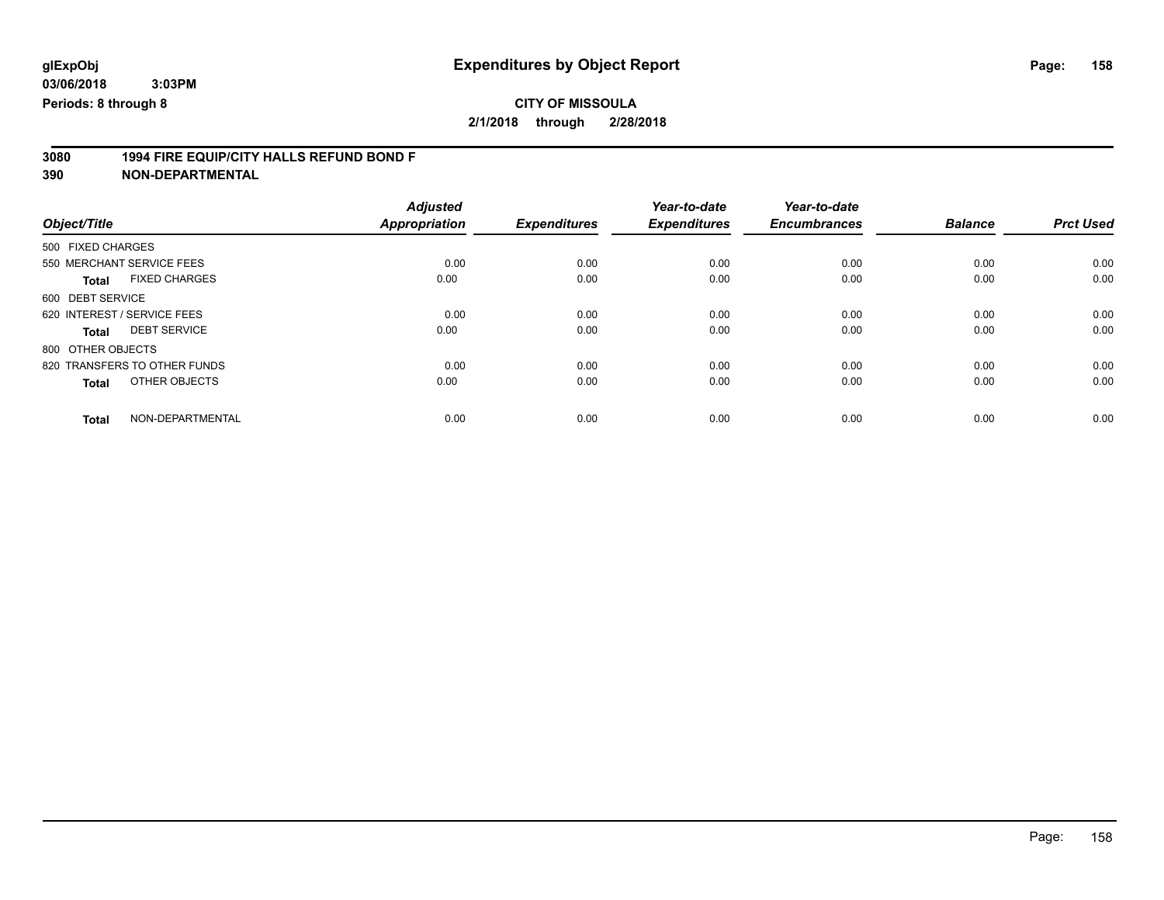### **CITY OF MISSOULA**

**2/1/2018 through 2/28/2018**

# **3080 1994 FIRE EQUIP/CITY HALLS REFUND BOND F**

|                                      | <b>Adjusted</b>      |                     | Year-to-date        | Year-to-date        |                |                  |
|--------------------------------------|----------------------|---------------------|---------------------|---------------------|----------------|------------------|
| Object/Title                         | <b>Appropriation</b> | <b>Expenditures</b> | <b>Expenditures</b> | <b>Encumbrances</b> | <b>Balance</b> | <b>Prct Used</b> |
| 500 FIXED CHARGES                    |                      |                     |                     |                     |                |                  |
| 550 MERCHANT SERVICE FEES            | 0.00                 | 0.00                | 0.00                | 0.00                | 0.00           | 0.00             |
| <b>FIXED CHARGES</b><br><b>Total</b> | 0.00                 | 0.00                | 0.00                | 0.00                | 0.00           | 0.00             |
| 600 DEBT SERVICE                     |                      |                     |                     |                     |                |                  |
| 620 INTEREST / SERVICE FEES          | 0.00                 | 0.00                | 0.00                | 0.00                | 0.00           | 0.00             |
| <b>DEBT SERVICE</b><br>Total         | 0.00                 | 0.00                | 0.00                | 0.00                | 0.00           | 0.00             |
| 800 OTHER OBJECTS                    |                      |                     |                     |                     |                |                  |
| 820 TRANSFERS TO OTHER FUNDS         | 0.00                 | 0.00                | 0.00                | 0.00                | 0.00           | 0.00             |
| OTHER OBJECTS<br><b>Total</b>        | 0.00                 | 0.00                | 0.00                | 0.00                | 0.00           | 0.00             |
| NON-DEPARTMENTAL<br><b>Total</b>     | 0.00                 | 0.00                | 0.00                | 0.00                | 0.00           | 0.00             |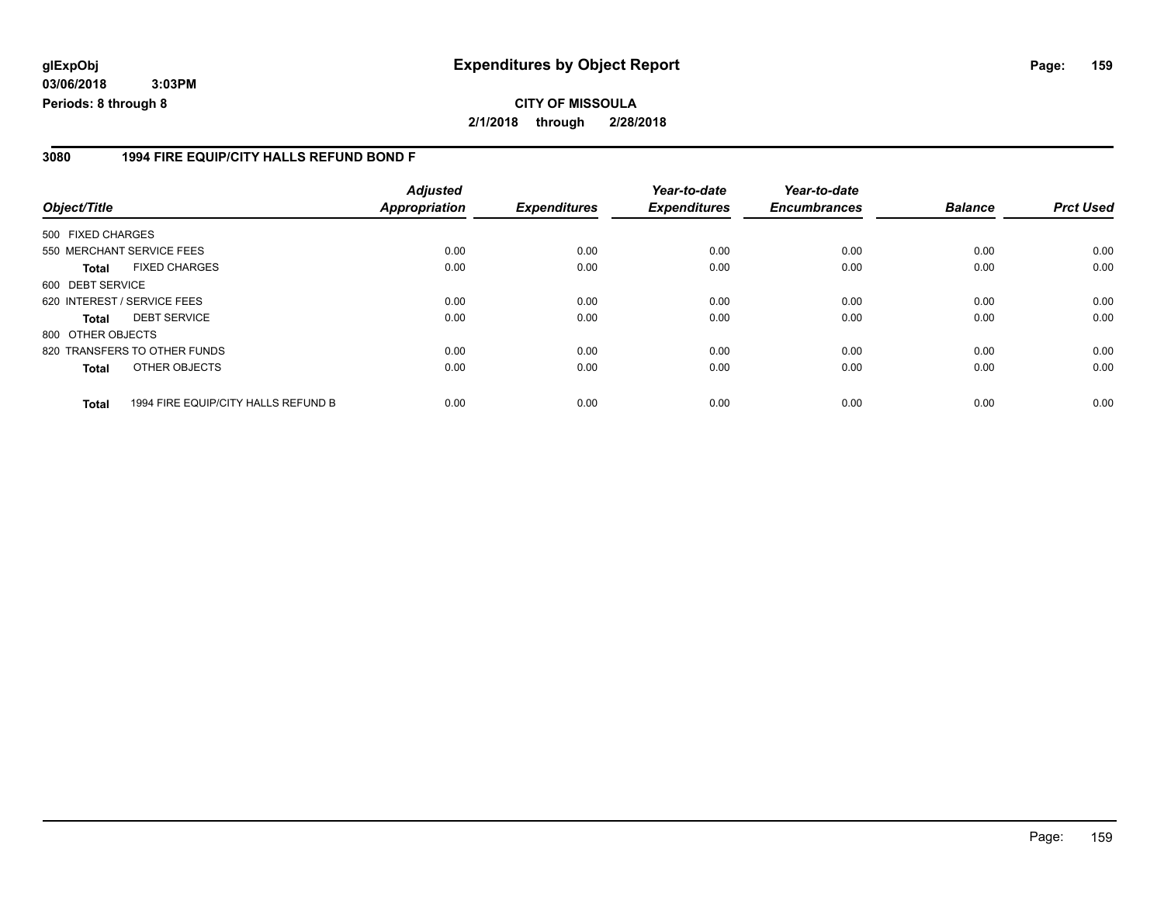#### **glExpObj Expenditures by Object Report Page: 159**

**03/06/2018 3:03PM Periods: 8 through 8**

#### **3080 1994 FIRE EQUIP/CITY HALLS REFUND BOND F**

| Object/Title      |                                     | <b>Adjusted</b><br><b>Appropriation</b> | <b>Expenditures</b> | Year-to-date<br><b>Expenditures</b> | Year-to-date<br><b>Encumbrances</b> | <b>Balance</b> | <b>Prct Used</b> |
|-------------------|-------------------------------------|-----------------------------------------|---------------------|-------------------------------------|-------------------------------------|----------------|------------------|
| 500 FIXED CHARGES |                                     |                                         |                     |                                     |                                     |                |                  |
|                   | 550 MERCHANT SERVICE FEES           | 0.00                                    | 0.00                | 0.00                                | 0.00                                | 0.00           | 0.00             |
| <b>Total</b>      | <b>FIXED CHARGES</b>                | 0.00                                    | 0.00                | 0.00                                | 0.00                                | 0.00           | 0.00             |
| 600 DEBT SERVICE  |                                     |                                         |                     |                                     |                                     |                |                  |
|                   | 620 INTEREST / SERVICE FEES         | 0.00                                    | 0.00                | 0.00                                | 0.00                                | 0.00           | 0.00             |
| <b>Total</b>      | <b>DEBT SERVICE</b>                 | 0.00                                    | 0.00                | 0.00                                | 0.00                                | 0.00           | 0.00             |
| 800 OTHER OBJECTS |                                     |                                         |                     |                                     |                                     |                |                  |
|                   | 820 TRANSFERS TO OTHER FUNDS        | 0.00                                    | 0.00                | 0.00                                | 0.00                                | 0.00           | 0.00             |
| <b>Total</b>      | OTHER OBJECTS                       | 0.00                                    | 0.00                | 0.00                                | 0.00                                | 0.00           | 0.00             |
| <b>Total</b>      | 1994 FIRE EQUIP/CITY HALLS REFUND B | 0.00                                    | 0.00                | 0.00                                | 0.00                                | 0.00           | 0.00             |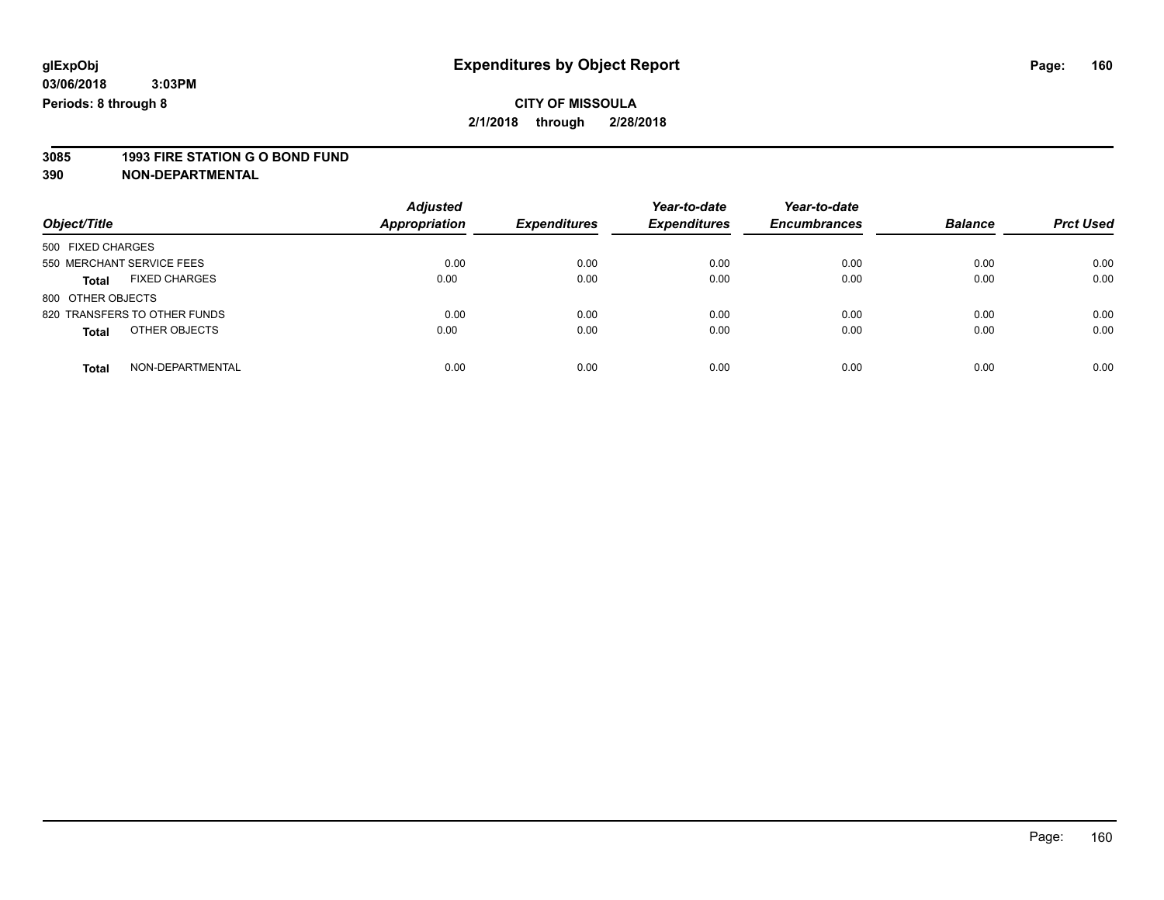# **3085 1993 FIRE STATION G O BOND FUND**

|                                      | <b>Adjusted</b>      |                     | Year-to-date        | Year-to-date        |                |                  |
|--------------------------------------|----------------------|---------------------|---------------------|---------------------|----------------|------------------|
| Object/Title                         | <b>Appropriation</b> | <b>Expenditures</b> | <b>Expenditures</b> | <b>Encumbrances</b> | <b>Balance</b> | <b>Prct Used</b> |
| 500 FIXED CHARGES                    |                      |                     |                     |                     |                |                  |
| 550 MERCHANT SERVICE FEES            | 0.00                 | 0.00                | 0.00                | 0.00                | 0.00           | 0.00             |
| <b>FIXED CHARGES</b><br><b>Total</b> | 0.00                 | 0.00                | 0.00                | 0.00                | 0.00           | 0.00             |
| 800 OTHER OBJECTS                    |                      |                     |                     |                     |                |                  |
| 820 TRANSFERS TO OTHER FUNDS         | 0.00                 | 0.00                | 0.00                | 0.00                | 0.00           | 0.00             |
| OTHER OBJECTS<br><b>Total</b>        | 0.00                 | 0.00                | 0.00                | 0.00                | 0.00           | 0.00             |
| NON-DEPARTMENTAL<br>Total            | 0.00                 | 0.00                | 0.00                | 0.00                | 0.00           | 0.00             |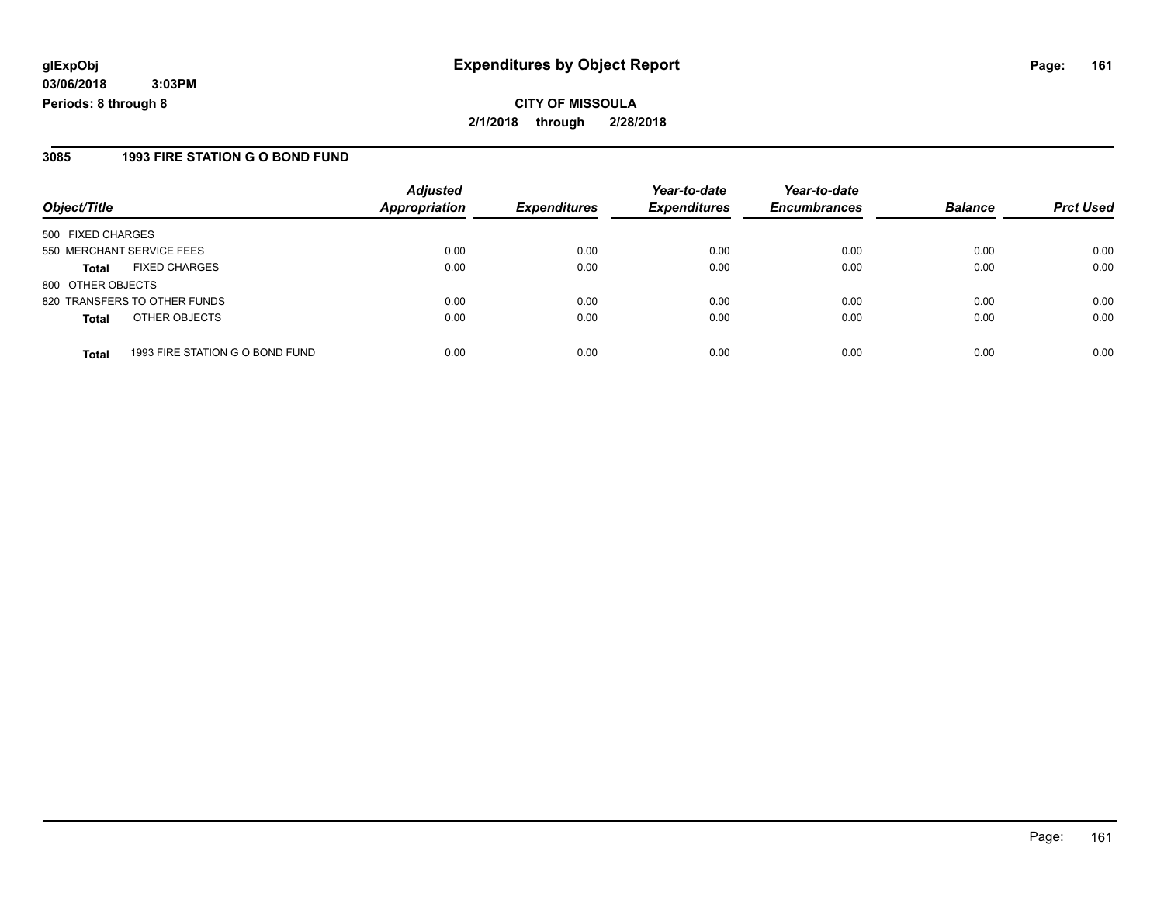#### **3085 1993 FIRE STATION G O BOND FUND**

|                           |                                 | <b>Adjusted</b>      |                     | Year-to-date        | Year-to-date        |                |                  |
|---------------------------|---------------------------------|----------------------|---------------------|---------------------|---------------------|----------------|------------------|
| Object/Title              |                                 | <b>Appropriation</b> | <b>Expenditures</b> | <b>Expenditures</b> | <b>Encumbrances</b> | <b>Balance</b> | <b>Prct Used</b> |
| 500 FIXED CHARGES         |                                 |                      |                     |                     |                     |                |                  |
| 550 MERCHANT SERVICE FEES |                                 | 0.00                 | 0.00                | 0.00                | 0.00                | 0.00           | 0.00             |
| <b>Total</b>              | <b>FIXED CHARGES</b>            | 0.00                 | 0.00                | 0.00                | 0.00                | 0.00           | 0.00             |
| 800 OTHER OBJECTS         |                                 |                      |                     |                     |                     |                |                  |
|                           | 820 TRANSFERS TO OTHER FUNDS    | 0.00                 | 0.00                | 0.00                | 0.00                | 0.00           | 0.00             |
| <b>Total</b>              | OTHER OBJECTS                   | 0.00                 | 0.00                | 0.00                | 0.00                | 0.00           | 0.00             |
| <b>Total</b>              | 1993 FIRE STATION G O BOND FUND | 0.00                 | 0.00                | 0.00                | 0.00                | 0.00           | 0.00             |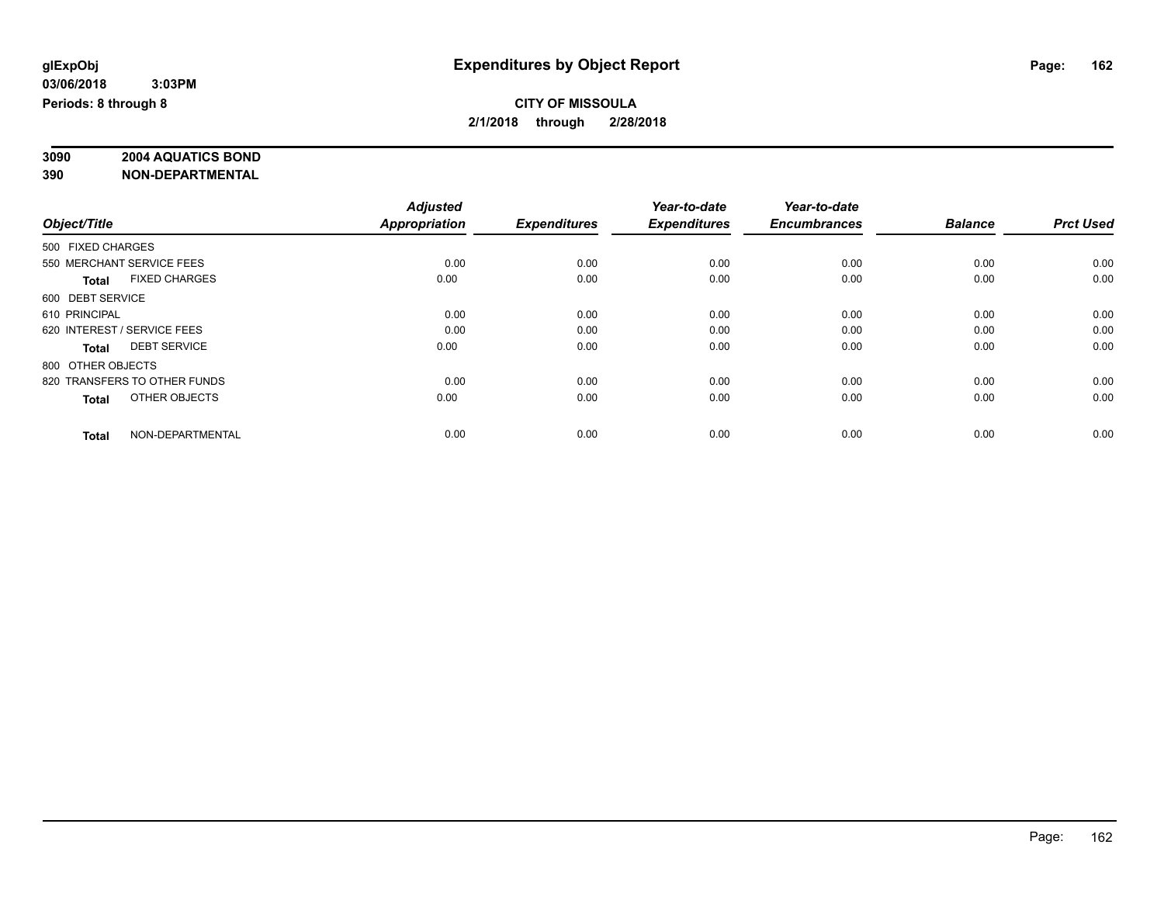# **3090 2004 AQUATICS BOND**

|                                      | <b>Adjusted</b> |                     | Year-to-date        | Year-to-date        |                |                  |
|--------------------------------------|-----------------|---------------------|---------------------|---------------------|----------------|------------------|
| Object/Title                         | Appropriation   | <b>Expenditures</b> | <b>Expenditures</b> | <b>Encumbrances</b> | <b>Balance</b> | <b>Prct Used</b> |
| 500 FIXED CHARGES                    |                 |                     |                     |                     |                |                  |
| 550 MERCHANT SERVICE FEES            | 0.00            | 0.00                | 0.00                | 0.00                | 0.00           | 0.00             |
| <b>FIXED CHARGES</b><br><b>Total</b> | 0.00            | 0.00                | 0.00                | 0.00                | 0.00           | 0.00             |
| 600 DEBT SERVICE                     |                 |                     |                     |                     |                |                  |
| 610 PRINCIPAL                        | 0.00            | 0.00                | 0.00                | 0.00                | 0.00           | 0.00             |
| 620 INTEREST / SERVICE FEES          | 0.00            | 0.00                | 0.00                | 0.00                | 0.00           | 0.00             |
| <b>DEBT SERVICE</b><br><b>Total</b>  | 0.00            | 0.00                | 0.00                | 0.00                | 0.00           | 0.00             |
| 800 OTHER OBJECTS                    |                 |                     |                     |                     |                |                  |
| 820 TRANSFERS TO OTHER FUNDS         | 0.00            | 0.00                | 0.00                | 0.00                | 0.00           | 0.00             |
| OTHER OBJECTS<br><b>Total</b>        | 0.00            | 0.00                | 0.00                | 0.00                | 0.00           | 0.00             |
|                                      |                 |                     |                     |                     |                |                  |
| NON-DEPARTMENTAL<br><b>Total</b>     | 0.00            | 0.00                | 0.00                | 0.00                | 0.00           | 0.00             |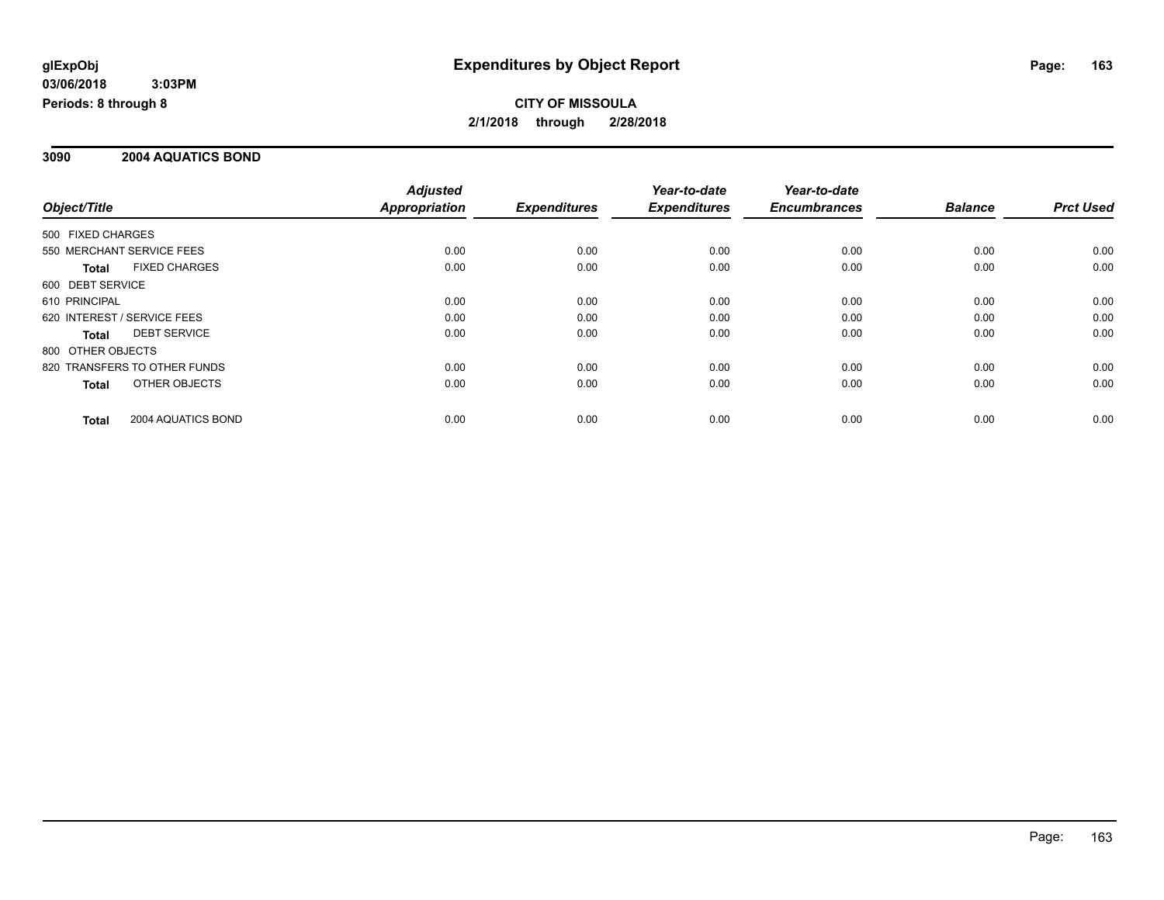#### **3090 2004 AQUATICS BOND**

|                                    | <b>Adjusted</b> |                     | Year-to-date        | Year-to-date        |                |                  |
|------------------------------------|-----------------|---------------------|---------------------|---------------------|----------------|------------------|
| Object/Title                       | Appropriation   | <b>Expenditures</b> | <b>Expenditures</b> | <b>Encumbrances</b> | <b>Balance</b> | <b>Prct Used</b> |
| 500 FIXED CHARGES                  |                 |                     |                     |                     |                |                  |
| 550 MERCHANT SERVICE FEES          | 0.00            | 0.00                | 0.00                | 0.00                | 0.00           | 0.00             |
| <b>FIXED CHARGES</b><br>Total      | 0.00            | 0.00                | 0.00                | 0.00                | 0.00           | 0.00             |
| 600 DEBT SERVICE                   |                 |                     |                     |                     |                |                  |
| 610 PRINCIPAL                      | 0.00            | 0.00                | 0.00                | 0.00                | 0.00           | 0.00             |
| 620 INTEREST / SERVICE FEES        | 0.00            | 0.00                | 0.00                | 0.00                | 0.00           | 0.00             |
| <b>DEBT SERVICE</b><br>Total       | 0.00            | 0.00                | 0.00                | 0.00                | 0.00           | 0.00             |
| 800 OTHER OBJECTS                  |                 |                     |                     |                     |                |                  |
| 820 TRANSFERS TO OTHER FUNDS       | 0.00            | 0.00                | 0.00                | 0.00                | 0.00           | 0.00             |
| OTHER OBJECTS<br>Total             | 0.00            | 0.00                | 0.00                | 0.00                | 0.00           | 0.00             |
| 2004 AQUATICS BOND<br><b>Total</b> | 0.00            | 0.00                | 0.00                | 0.00                | 0.00           | 0.00             |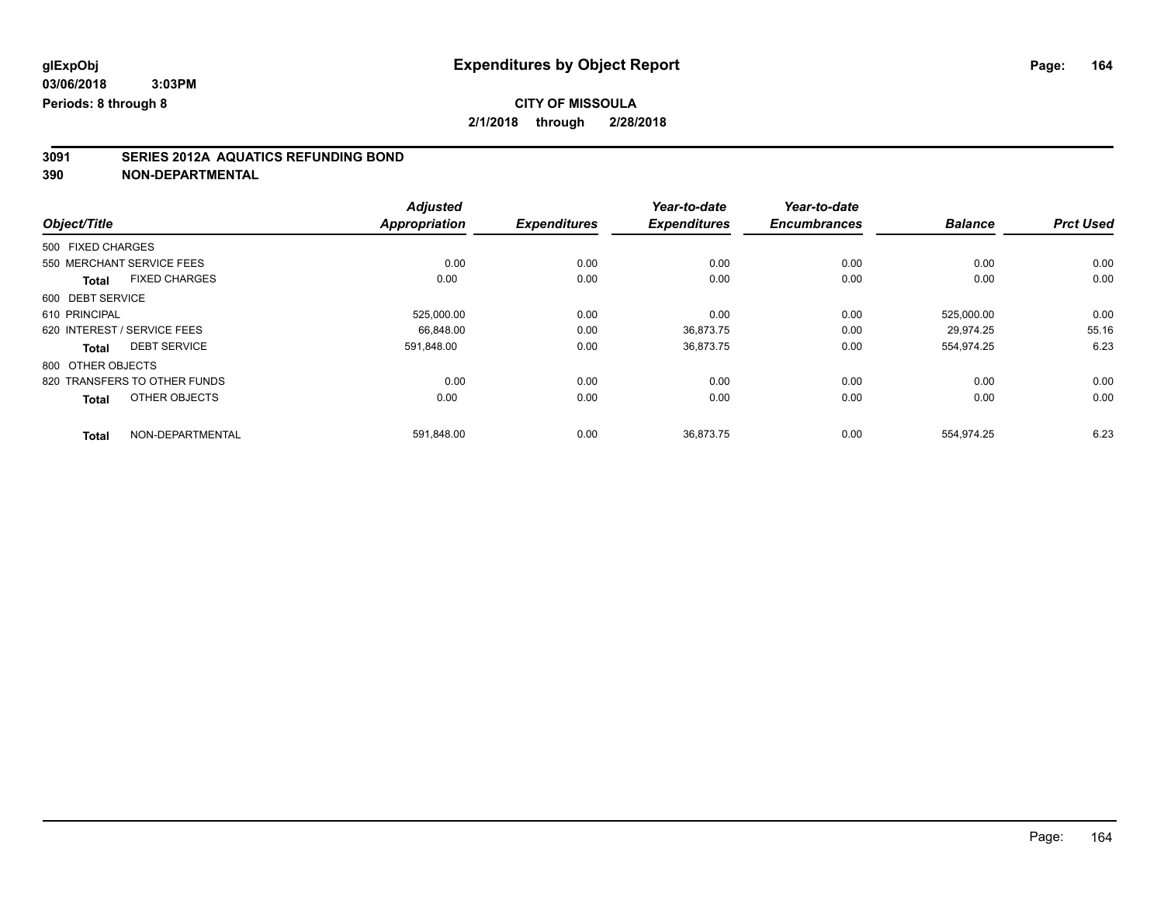### **CITY OF MISSOULA**

**2/1/2018 through 2/28/2018**

# **3091 SERIES 2012A AQUATICS REFUNDING BOND**

|                   |                              | <b>Adjusted</b>      |                     | Year-to-date        | Year-to-date        |                |                  |
|-------------------|------------------------------|----------------------|---------------------|---------------------|---------------------|----------------|------------------|
| Object/Title      |                              | <b>Appropriation</b> | <b>Expenditures</b> | <b>Expenditures</b> | <b>Encumbrances</b> | <b>Balance</b> | <b>Prct Used</b> |
| 500 FIXED CHARGES |                              |                      |                     |                     |                     |                |                  |
|                   | 550 MERCHANT SERVICE FEES    | 0.00                 | 0.00                | 0.00                | 0.00                | 0.00           | 0.00             |
| <b>Total</b>      | <b>FIXED CHARGES</b>         | 0.00                 | 0.00                | 0.00                | 0.00                | 0.00           | 0.00             |
| 600 DEBT SERVICE  |                              |                      |                     |                     |                     |                |                  |
| 610 PRINCIPAL     |                              | 525,000.00           | 0.00                | 0.00                | 0.00                | 525,000.00     | 0.00             |
|                   | 620 INTEREST / SERVICE FEES  | 66.848.00            | 0.00                | 36,873.75           | 0.00                | 29.974.25      | 55.16            |
| Total             | <b>DEBT SERVICE</b>          | 591,848.00           | 0.00                | 36,873.75           | 0.00                | 554,974.25     | 6.23             |
| 800 OTHER OBJECTS |                              |                      |                     |                     |                     |                |                  |
|                   | 820 TRANSFERS TO OTHER FUNDS | 0.00                 | 0.00                | 0.00                | 0.00                | 0.00           | 0.00             |
| <b>Total</b>      | OTHER OBJECTS                | 0.00                 | 0.00                | 0.00                | 0.00                | 0.00           | 0.00             |
| <b>Total</b>      | NON-DEPARTMENTAL             | 591,848.00           | 0.00                | 36,873.75           | 0.00                | 554,974.25     | 6.23             |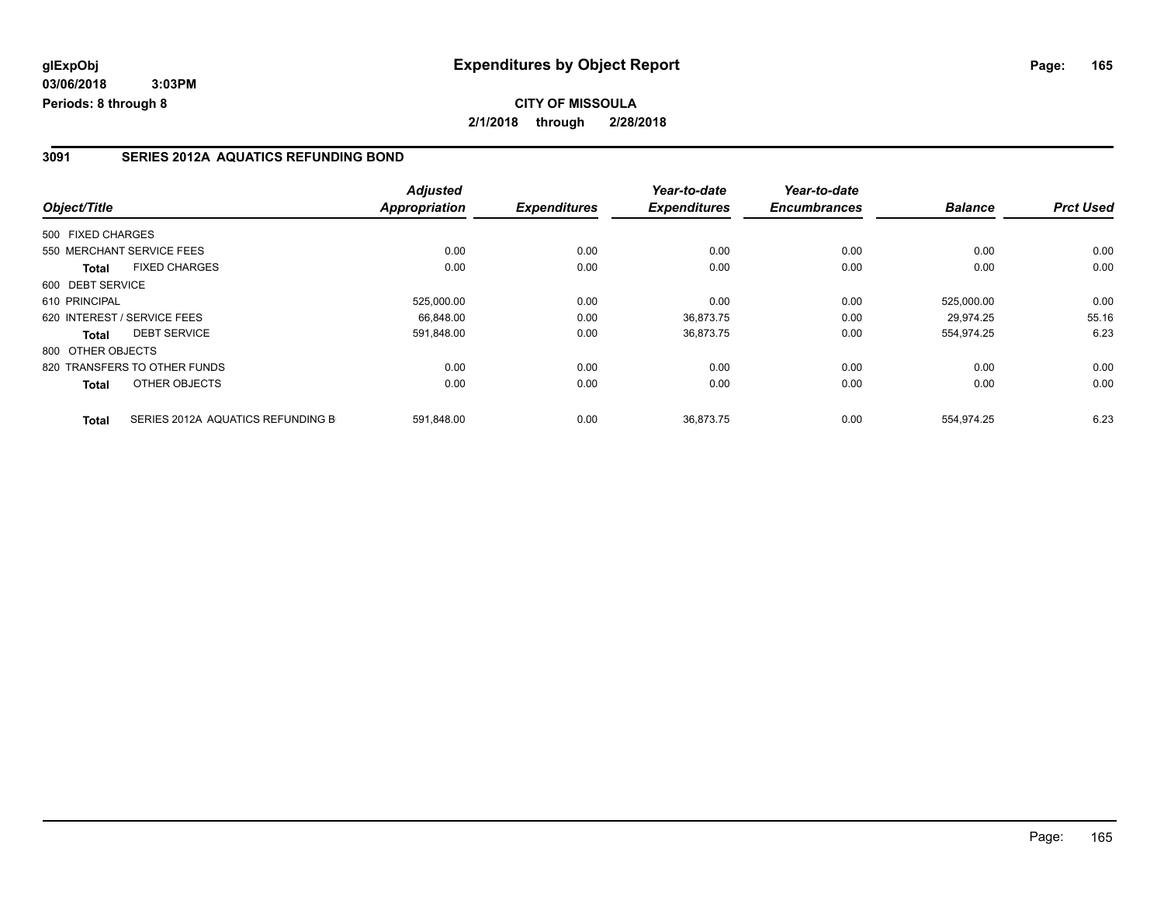#### **3091 SERIES 2012A AQUATICS REFUNDING BOND**

|                                      |                                   | <b>Adjusted</b>      |                     | Year-to-date        | Year-to-date        |                |                  |
|--------------------------------------|-----------------------------------|----------------------|---------------------|---------------------|---------------------|----------------|------------------|
| Object/Title                         |                                   | <b>Appropriation</b> | <b>Expenditures</b> | <b>Expenditures</b> | <b>Encumbrances</b> | <b>Balance</b> | <b>Prct Used</b> |
| 500 FIXED CHARGES                    |                                   |                      |                     |                     |                     |                |                  |
| 550 MERCHANT SERVICE FEES            |                                   | 0.00                 | 0.00                | 0.00                | 0.00                | 0.00           | 0.00             |
| <b>FIXED CHARGES</b><br><b>Total</b> |                                   | 0.00                 | 0.00                | 0.00                | 0.00                | 0.00           | 0.00             |
| 600 DEBT SERVICE                     |                                   |                      |                     |                     |                     |                |                  |
| 610 PRINCIPAL                        |                                   | 525,000.00           | 0.00                | 0.00                | 0.00                | 525.000.00     | 0.00             |
| 620 INTEREST / SERVICE FEES          |                                   | 66.848.00            | 0.00                | 36,873.75           | 0.00                | 29.974.25      | 55.16            |
| <b>DEBT SERVICE</b><br>Total         |                                   | 591,848.00           | 0.00                | 36,873.75           | 0.00                | 554,974.25     | 6.23             |
| 800 OTHER OBJECTS                    |                                   |                      |                     |                     |                     |                |                  |
| 820 TRANSFERS TO OTHER FUNDS         |                                   | 0.00                 | 0.00                | 0.00                | 0.00                | 0.00           | 0.00             |
| OTHER OBJECTS<br>Total               |                                   | 0.00                 | 0.00                | 0.00                | 0.00                | 0.00           | 0.00             |
| <b>Total</b>                         | SERIES 2012A AQUATICS REFUNDING B | 591,848.00           | 0.00                | 36.873.75           | 0.00                | 554,974.25     | 6.23             |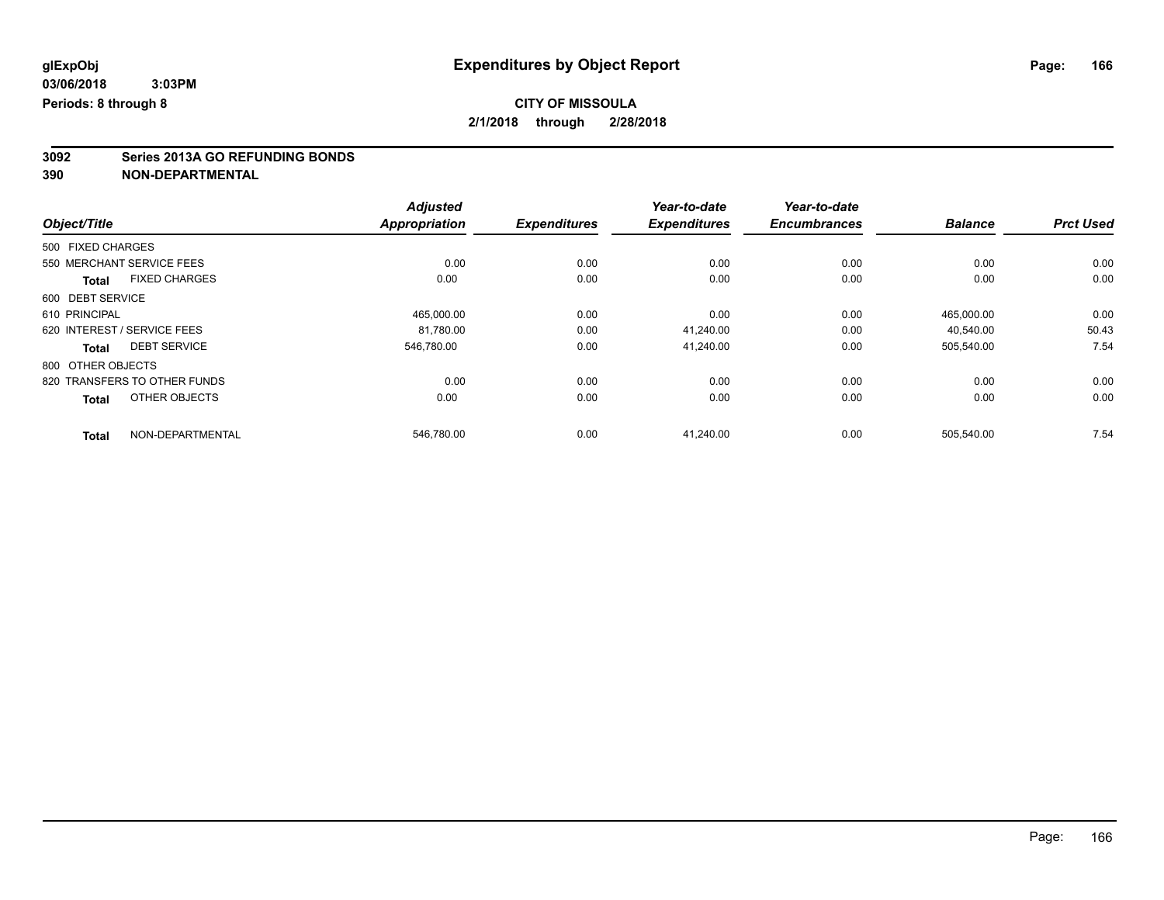# **3092 Series 2013A GO REFUNDING BONDS**

|                                      | <b>Adjusted</b>      |                     | Year-to-date        | Year-to-date        |                |                  |
|--------------------------------------|----------------------|---------------------|---------------------|---------------------|----------------|------------------|
| Object/Title                         | <b>Appropriation</b> | <b>Expenditures</b> | <b>Expenditures</b> | <b>Encumbrances</b> | <b>Balance</b> | <b>Prct Used</b> |
| 500 FIXED CHARGES                    |                      |                     |                     |                     |                |                  |
| 550 MERCHANT SERVICE FEES            | 0.00                 | 0.00                | 0.00                | 0.00                | 0.00           | 0.00             |
| <b>FIXED CHARGES</b><br><b>Total</b> | 0.00                 | 0.00                | 0.00                | 0.00                | 0.00           | 0.00             |
| 600 DEBT SERVICE                     |                      |                     |                     |                     |                |                  |
| 610 PRINCIPAL                        | 465,000.00           | 0.00                | 0.00                | 0.00                | 465,000.00     | 0.00             |
| 620 INTEREST / SERVICE FEES          | 81.780.00            | 0.00                | 41.240.00           | 0.00                | 40.540.00      | 50.43            |
| <b>DEBT SERVICE</b><br><b>Total</b>  | 546.780.00           | 0.00                | 41,240.00           | 0.00                | 505,540.00     | 7.54             |
| 800 OTHER OBJECTS                    |                      |                     |                     |                     |                |                  |
| 820 TRANSFERS TO OTHER FUNDS         | 0.00                 | 0.00                | 0.00                | 0.00                | 0.00           | 0.00             |
| OTHER OBJECTS<br><b>Total</b>        | 0.00                 | 0.00                | 0.00                | 0.00                | 0.00           | 0.00             |
| NON-DEPARTMENTAL<br><b>Total</b>     | 546,780.00           | 0.00                | 41.240.00           | 0.00                | 505,540.00     | 7.54             |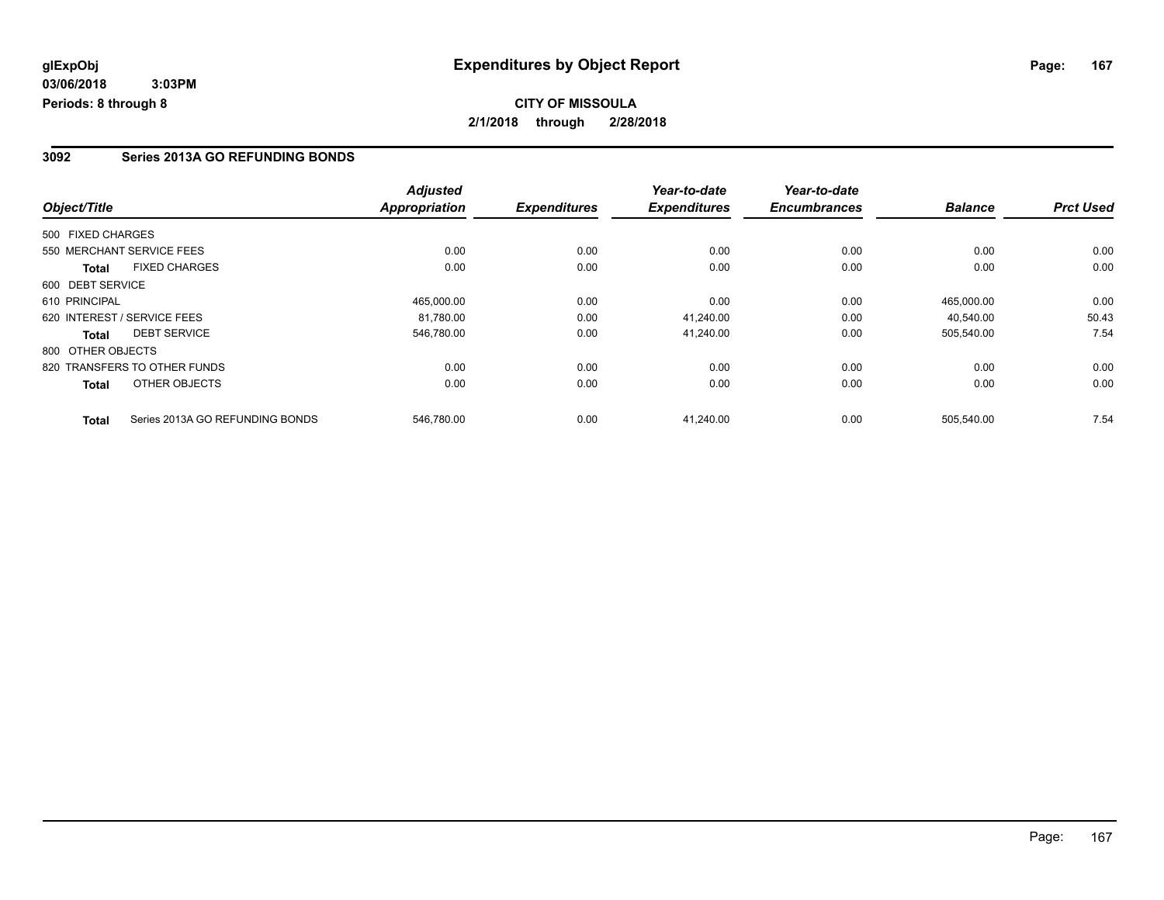#### **3092 Series 2013A GO REFUNDING BONDS**

|                   |                                 | <b>Adjusted</b>      |                     | Year-to-date        | Year-to-date        |                |                  |
|-------------------|---------------------------------|----------------------|---------------------|---------------------|---------------------|----------------|------------------|
| Object/Title      |                                 | <b>Appropriation</b> | <b>Expenditures</b> | <b>Expenditures</b> | <b>Encumbrances</b> | <b>Balance</b> | <b>Prct Used</b> |
| 500 FIXED CHARGES |                                 |                      |                     |                     |                     |                |                  |
|                   | 550 MERCHANT SERVICE FEES       | 0.00                 | 0.00                | 0.00                | 0.00                | 0.00           | 0.00             |
| Total             | <b>FIXED CHARGES</b>            | 0.00                 | 0.00                | 0.00                | 0.00                | 0.00           | 0.00             |
| 600 DEBT SERVICE  |                                 |                      |                     |                     |                     |                |                  |
| 610 PRINCIPAL     |                                 | 465.000.00           | 0.00                | 0.00                | 0.00                | 465.000.00     | 0.00             |
|                   | 620 INTEREST / SERVICE FEES     | 81,780.00            | 0.00                | 41,240.00           | 0.00                | 40,540.00      | 50.43            |
| Total             | <b>DEBT SERVICE</b>             | 546,780.00           | 0.00                | 41.240.00           | 0.00                | 505,540.00     | 7.54             |
| 800 OTHER OBJECTS |                                 |                      |                     |                     |                     |                |                  |
|                   | 820 TRANSFERS TO OTHER FUNDS    | 0.00                 | 0.00                | 0.00                | 0.00                | 0.00           | 0.00             |
| Total             | OTHER OBJECTS                   | 0.00                 | 0.00                | 0.00                | 0.00                | 0.00           | 0.00             |
| <b>Total</b>      | Series 2013A GO REFUNDING BONDS | 546,780.00           | 0.00                | 41.240.00           | 0.00                | 505,540.00     | 7.54             |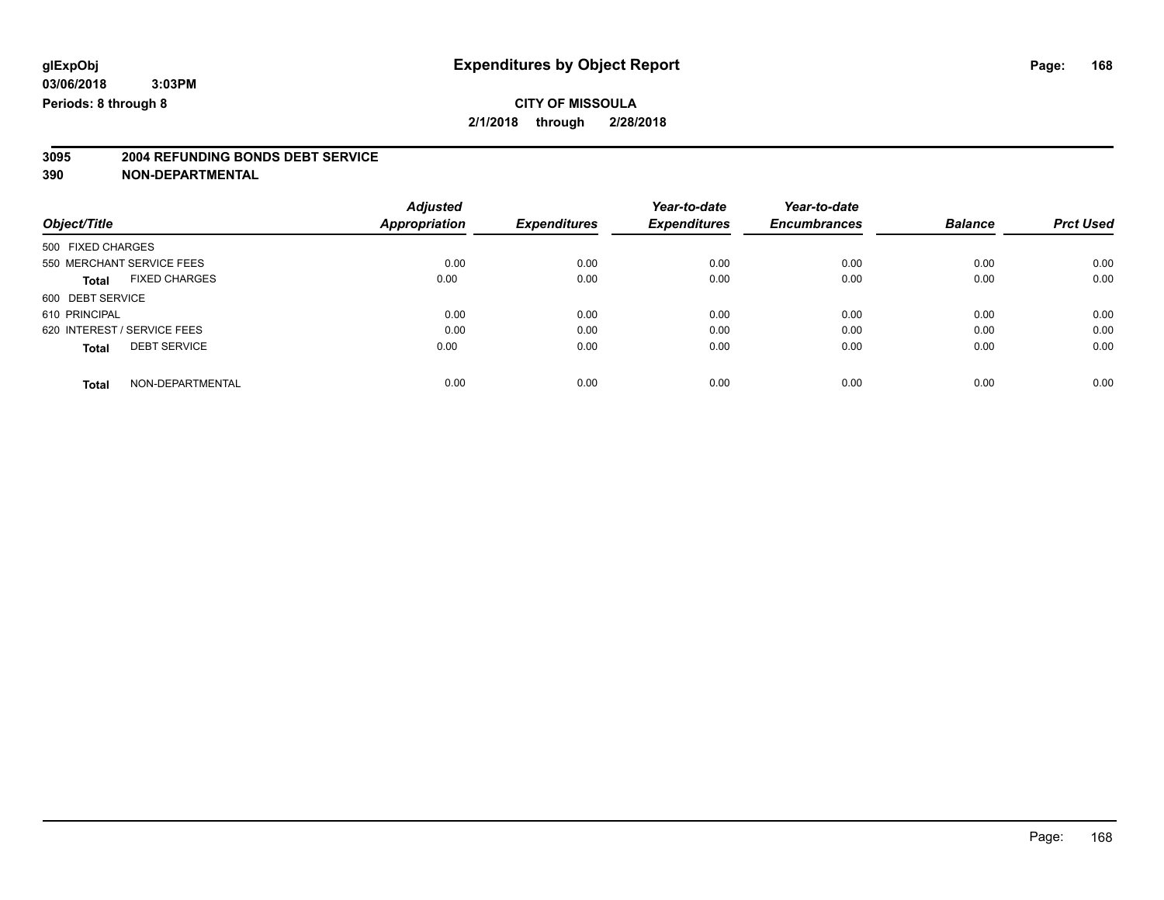# **3095 2004 REFUNDING BONDS DEBT SERVICE**

|                                      | <b>Adjusted</b> |                     | Year-to-date        | Year-to-date        |                |                  |
|--------------------------------------|-----------------|---------------------|---------------------|---------------------|----------------|------------------|
| Object/Title                         | Appropriation   | <b>Expenditures</b> | <b>Expenditures</b> | <b>Encumbrances</b> | <b>Balance</b> | <b>Prct Used</b> |
| 500 FIXED CHARGES                    |                 |                     |                     |                     |                |                  |
| 550 MERCHANT SERVICE FEES            | 0.00            | 0.00                | 0.00                | 0.00                | 0.00           | 0.00             |
| <b>FIXED CHARGES</b><br><b>Total</b> | 0.00            | 0.00                | 0.00                | 0.00                | 0.00           | 0.00             |
| 600 DEBT SERVICE                     |                 |                     |                     |                     |                |                  |
| 610 PRINCIPAL                        | 0.00            | 0.00                | 0.00                | 0.00                | 0.00           | 0.00             |
| 620 INTEREST / SERVICE FEES          | 0.00            | 0.00                | 0.00                | 0.00                | 0.00           | 0.00             |
| <b>DEBT SERVICE</b><br><b>Total</b>  | 0.00            | 0.00                | 0.00                | 0.00                | 0.00           | 0.00             |
| NON-DEPARTMENTAL<br><b>Total</b>     | 0.00            | 0.00                | 0.00                | 0.00                | 0.00           | 0.00             |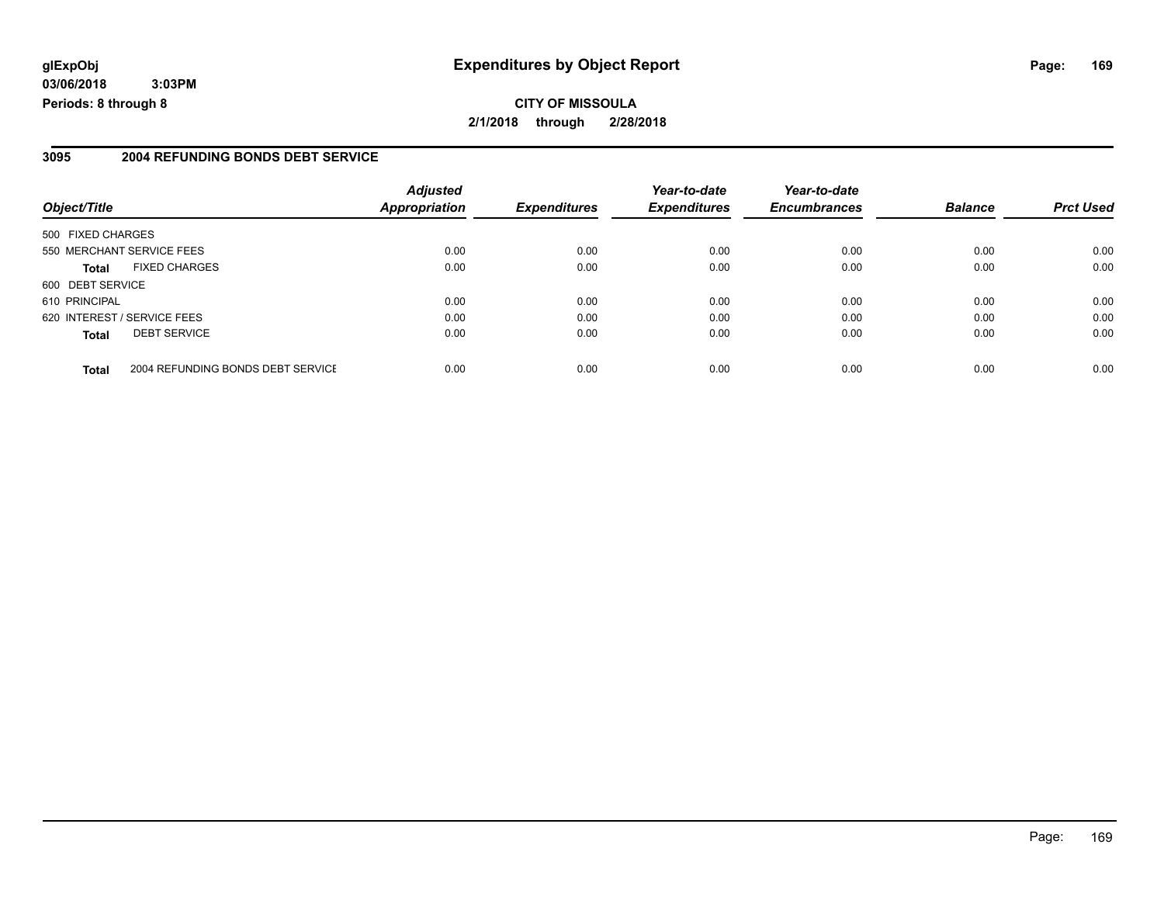### **glExpObj Expenditures by Object Report Page: 169**

**03/06/2018 3:03PM Periods: 8 through 8**

#### **3095 2004 REFUNDING BONDS DEBT SERVICE**

| Object/Title      |                                   | <b>Adjusted</b><br><b>Appropriation</b> | <b>Expenditures</b> | Year-to-date<br><b>Expenditures</b> | Year-to-date<br><b>Encumbrances</b> | <b>Balance</b> | <b>Prct Used</b> |
|-------------------|-----------------------------------|-----------------------------------------|---------------------|-------------------------------------|-------------------------------------|----------------|------------------|
|                   |                                   |                                         |                     |                                     |                                     |                |                  |
| 500 FIXED CHARGES |                                   |                                         |                     |                                     |                                     |                |                  |
|                   | 550 MERCHANT SERVICE FEES         | 0.00                                    | 0.00                | 0.00                                | 0.00                                | 0.00           | 0.00             |
| <b>Total</b>      | <b>FIXED CHARGES</b>              | 0.00                                    | 0.00                | 0.00                                | 0.00                                | 0.00           | 0.00             |
| 600 DEBT SERVICE  |                                   |                                         |                     |                                     |                                     |                |                  |
| 610 PRINCIPAL     |                                   | 0.00                                    | 0.00                | 0.00                                | 0.00                                | 0.00           | 0.00             |
|                   | 620 INTEREST / SERVICE FEES       | 0.00                                    | 0.00                | 0.00                                | 0.00                                | 0.00           | 0.00             |
| <b>Total</b>      | <b>DEBT SERVICE</b>               | 0.00                                    | 0.00                | 0.00                                | 0.00                                | 0.00           | 0.00             |
| <b>Total</b>      | 2004 REFUNDING BONDS DEBT SERVICE | 0.00                                    | 0.00                | 0.00                                | 0.00                                | 0.00           | 0.00             |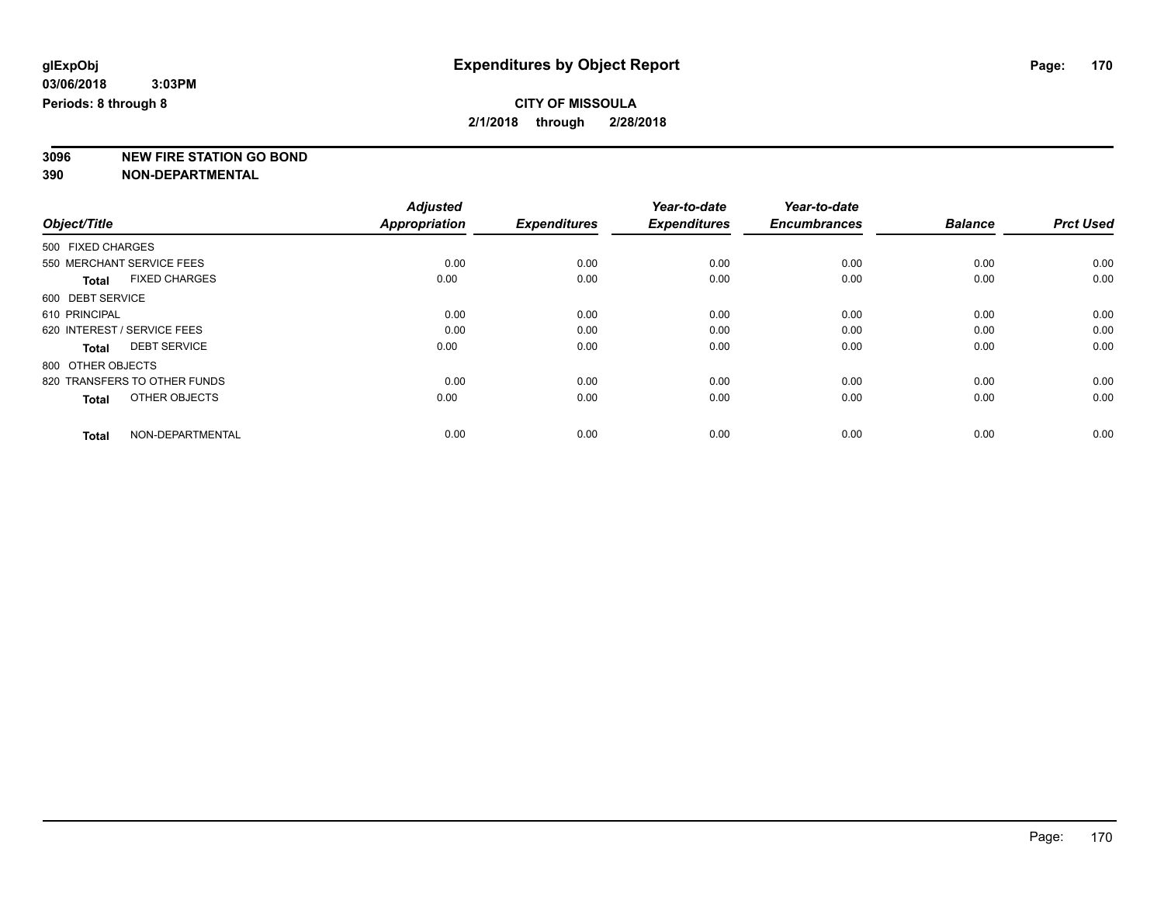**3096 NEW FIRE STATION GO BOND**

|                                      | <b>Adjusted</b>      |                     | Year-to-date        | Year-to-date        |                |                  |
|--------------------------------------|----------------------|---------------------|---------------------|---------------------|----------------|------------------|
| Object/Title                         | <b>Appropriation</b> | <b>Expenditures</b> | <b>Expenditures</b> | <b>Encumbrances</b> | <b>Balance</b> | <b>Prct Used</b> |
| 500 FIXED CHARGES                    |                      |                     |                     |                     |                |                  |
| 550 MERCHANT SERVICE FEES            | 0.00                 | 0.00                | 0.00                | 0.00                | 0.00           | 0.00             |
| <b>FIXED CHARGES</b><br><b>Total</b> | 0.00                 | 0.00                | 0.00                | 0.00                | 0.00           | 0.00             |
| 600 DEBT SERVICE                     |                      |                     |                     |                     |                |                  |
| 610 PRINCIPAL                        | 0.00                 | 0.00                | 0.00                | 0.00                | 0.00           | 0.00             |
| 620 INTEREST / SERVICE FEES          | 0.00                 | 0.00                | 0.00                | 0.00                | 0.00           | 0.00             |
| <b>DEBT SERVICE</b><br><b>Total</b>  | 0.00                 | 0.00                | 0.00                | 0.00                | 0.00           | 0.00             |
| 800 OTHER OBJECTS                    |                      |                     |                     |                     |                |                  |
| 820 TRANSFERS TO OTHER FUNDS         | 0.00                 | 0.00                | 0.00                | 0.00                | 0.00           | 0.00             |
| OTHER OBJECTS<br><b>Total</b>        | 0.00                 | 0.00                | 0.00                | 0.00                | 0.00           | 0.00             |
|                                      |                      |                     |                     |                     |                |                  |
| NON-DEPARTMENTAL<br><b>Total</b>     | 0.00                 | 0.00                | 0.00                | 0.00                | 0.00           | 0.00             |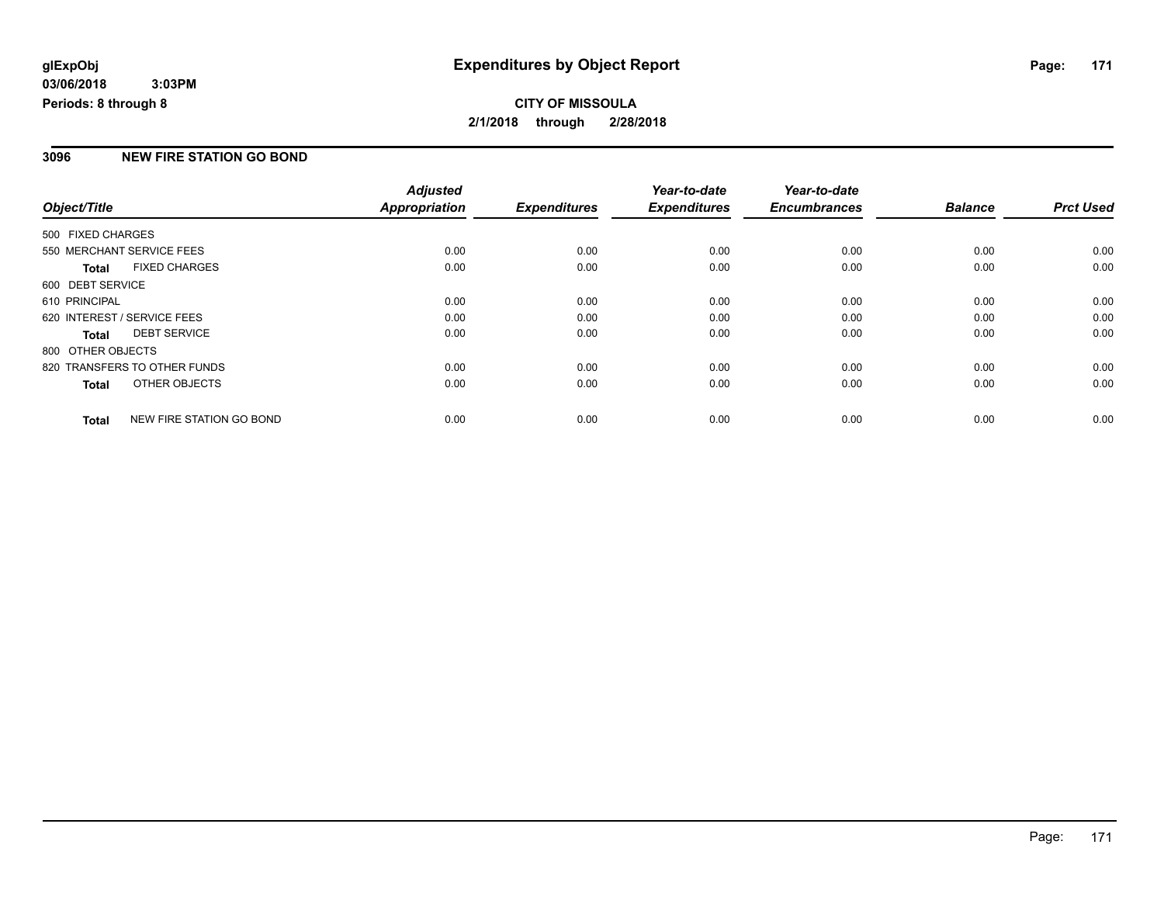### **CITY OF MISSOULA 2/1/2018 through 2/28/2018**

#### **3096 NEW FIRE STATION GO BOND**

|                   |                              | <b>Adjusted</b>      |                     | Year-to-date        | Year-to-date        |                |                  |
|-------------------|------------------------------|----------------------|---------------------|---------------------|---------------------|----------------|------------------|
| Object/Title      |                              | <b>Appropriation</b> | <b>Expenditures</b> | <b>Expenditures</b> | <b>Encumbrances</b> | <b>Balance</b> | <b>Prct Used</b> |
| 500 FIXED CHARGES |                              |                      |                     |                     |                     |                |                  |
|                   | 550 MERCHANT SERVICE FEES    | 0.00                 | 0.00                | 0.00                | 0.00                | 0.00           | 0.00             |
| <b>Total</b>      | <b>FIXED CHARGES</b>         | 0.00                 | 0.00                | 0.00                | 0.00                | 0.00           | 0.00             |
| 600 DEBT SERVICE  |                              |                      |                     |                     |                     |                |                  |
| 610 PRINCIPAL     |                              | 0.00                 | 0.00                | 0.00                | 0.00                | 0.00           | 0.00             |
|                   | 620 INTEREST / SERVICE FEES  | 0.00                 | 0.00                | 0.00                | 0.00                | 0.00           | 0.00             |
| <b>Total</b>      | <b>DEBT SERVICE</b>          | 0.00                 | 0.00                | 0.00                | 0.00                | 0.00           | 0.00             |
| 800 OTHER OBJECTS |                              |                      |                     |                     |                     |                |                  |
|                   | 820 TRANSFERS TO OTHER FUNDS | 0.00                 | 0.00                | 0.00                | 0.00                | 0.00           | 0.00             |
| <b>Total</b>      | OTHER OBJECTS                | 0.00                 | 0.00                | 0.00                | 0.00                | 0.00           | 0.00             |
| <b>Total</b>      | NEW FIRE STATION GO BOND     | 0.00                 | 0.00                | 0.00                | 0.00                | 0.00           | 0.00             |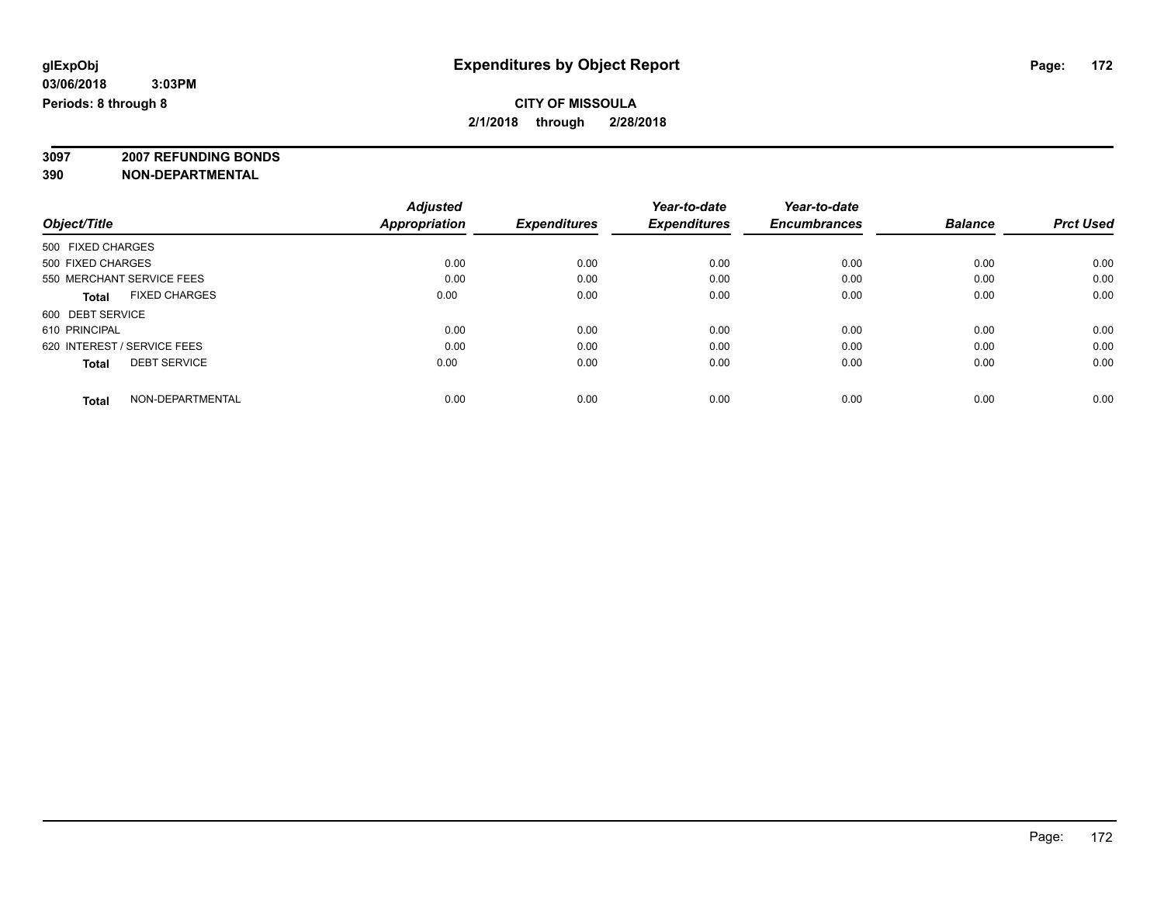**3097 2007 REFUNDING BONDS**

| Object/Title                         | <b>Adjusted</b><br><b>Appropriation</b> | <b>Expenditures</b> | Year-to-date<br><b>Expenditures</b> | Year-to-date<br><b>Encumbrances</b> | <b>Balance</b> | <b>Prct Used</b> |
|--------------------------------------|-----------------------------------------|---------------------|-------------------------------------|-------------------------------------|----------------|------------------|
|                                      |                                         |                     |                                     |                                     |                |                  |
| 500 FIXED CHARGES                    |                                         |                     |                                     |                                     |                |                  |
| 500 FIXED CHARGES                    | 0.00                                    | 0.00                | 0.00                                | 0.00                                | 0.00           | 0.00             |
| 550 MERCHANT SERVICE FEES            | 0.00                                    | 0.00                | 0.00                                | 0.00                                | 0.00           | 0.00             |
| <b>FIXED CHARGES</b><br><b>Total</b> | 0.00                                    | 0.00                | 0.00                                | 0.00                                | 0.00           | 0.00             |
| 600 DEBT SERVICE                     |                                         |                     |                                     |                                     |                |                  |
| 610 PRINCIPAL                        | 0.00                                    | 0.00                | 0.00                                | 0.00                                | 0.00           | 0.00             |
| 620 INTEREST / SERVICE FEES          | 0.00                                    | 0.00                | 0.00                                | 0.00                                | 0.00           | 0.00             |
| <b>DEBT SERVICE</b><br><b>Total</b>  | 0.00                                    | 0.00                | 0.00                                | 0.00                                | 0.00           | 0.00             |
| NON-DEPARTMENTAL<br><b>Total</b>     | 0.00                                    | 0.00                | 0.00                                | 0.00                                | 0.00           | 0.00             |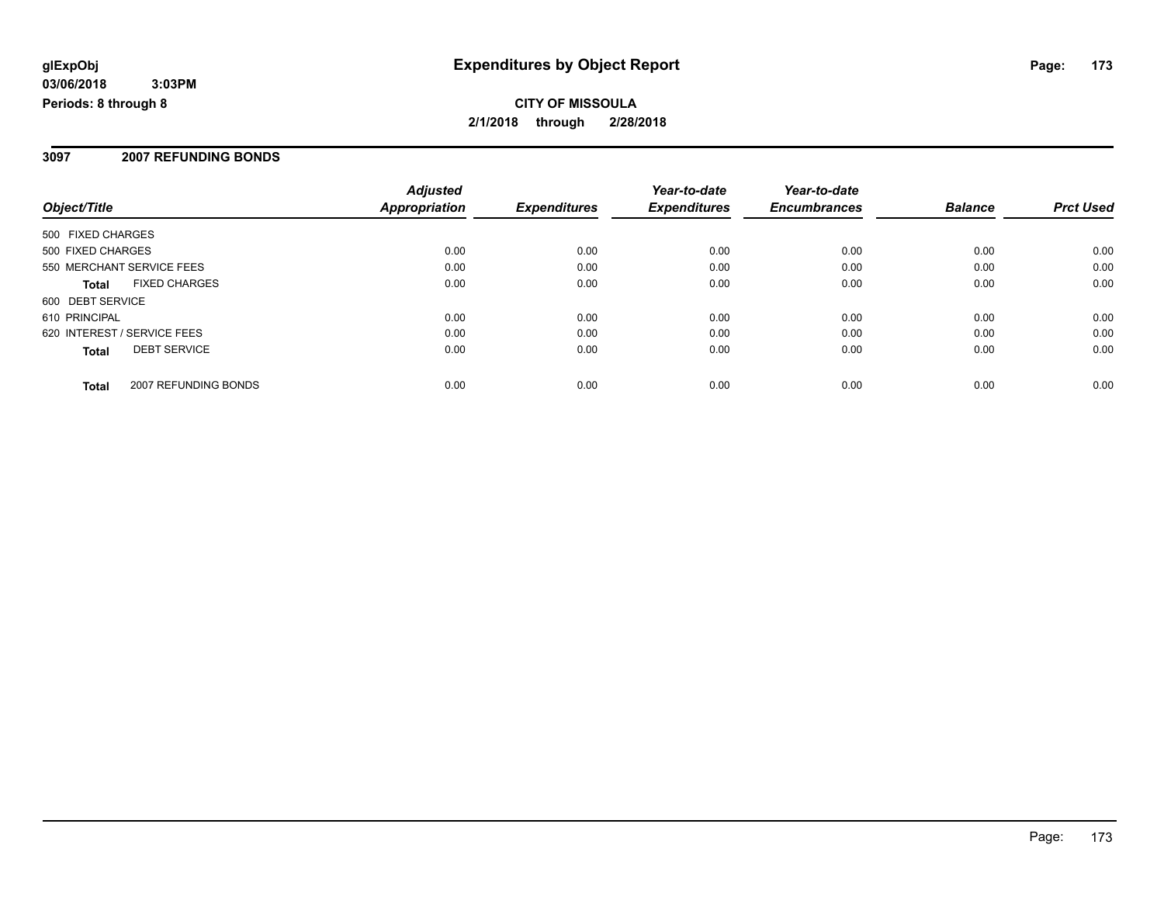#### **3097 2007 REFUNDING BONDS**

|                             |                      | <b>Adjusted</b>      |                     | Year-to-date        | Year-to-date        |                |                  |
|-----------------------------|----------------------|----------------------|---------------------|---------------------|---------------------|----------------|------------------|
| Object/Title                |                      | <b>Appropriation</b> | <b>Expenditures</b> | <b>Expenditures</b> | <b>Encumbrances</b> | <b>Balance</b> | <b>Prct Used</b> |
| 500 FIXED CHARGES           |                      |                      |                     |                     |                     |                |                  |
| 500 FIXED CHARGES           |                      | 0.00                 | 0.00                | 0.00                | 0.00                | 0.00           | 0.00             |
| 550 MERCHANT SERVICE FEES   |                      | 0.00                 | 0.00                | 0.00                | 0.00                | 0.00           | 0.00             |
| <b>Total</b>                | <b>FIXED CHARGES</b> | 0.00                 | 0.00                | 0.00                | 0.00                | 0.00           | 0.00             |
| 600 DEBT SERVICE            |                      |                      |                     |                     |                     |                |                  |
| 610 PRINCIPAL               |                      | 0.00                 | 0.00                | 0.00                | 0.00                | 0.00           | 0.00             |
| 620 INTEREST / SERVICE FEES |                      | 0.00                 | 0.00                | 0.00                | 0.00                | 0.00           | 0.00             |
| <b>Total</b>                | <b>DEBT SERVICE</b>  | 0.00                 | 0.00                | 0.00                | 0.00                | 0.00           | 0.00             |
| Total                       | 2007 REFUNDING BONDS | 0.00                 | 0.00                | 0.00                | 0.00                | 0.00           | 0.00             |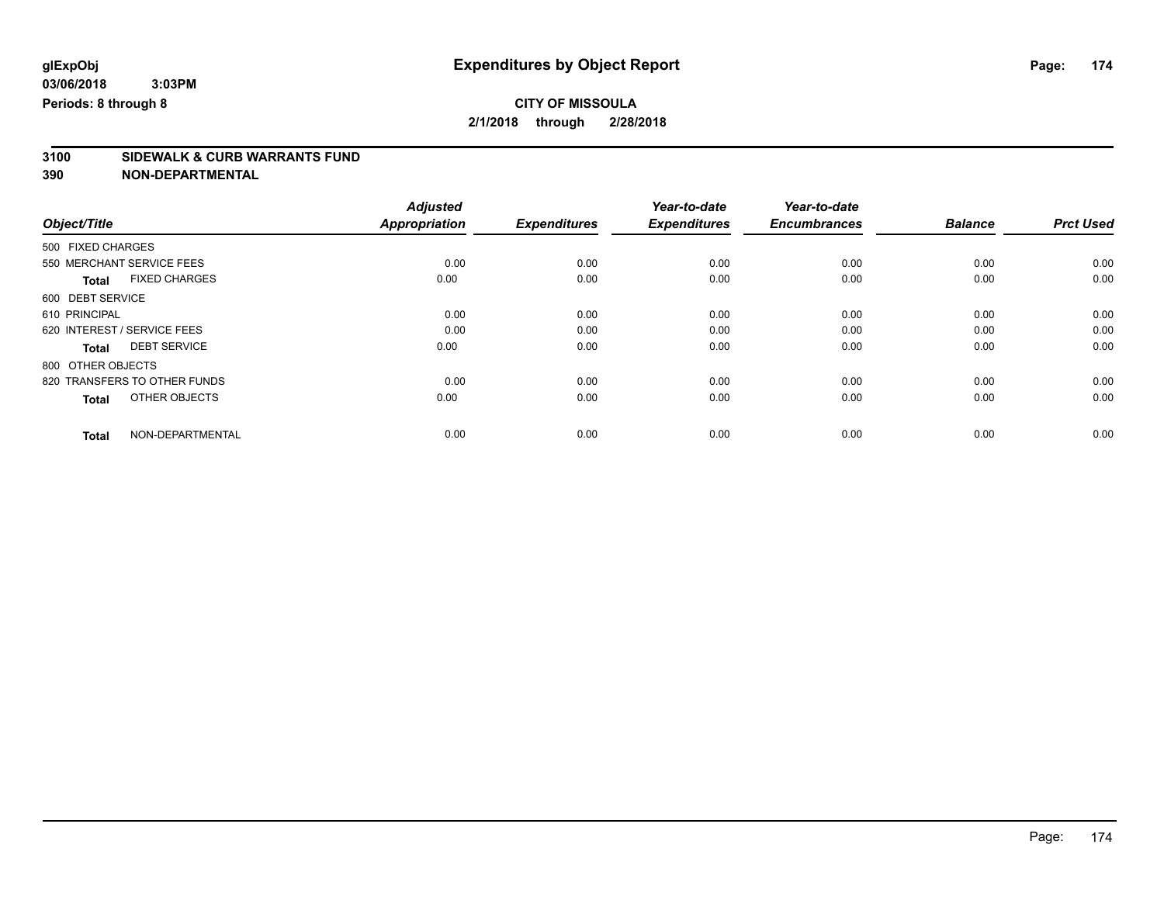# **3100 SIDEWALK & CURB WARRANTS FUND**

|                                      | <b>Adjusted</b>      |                     | Year-to-date        | Year-to-date        |                |                  |
|--------------------------------------|----------------------|---------------------|---------------------|---------------------|----------------|------------------|
| Object/Title                         | <b>Appropriation</b> | <b>Expenditures</b> | <b>Expenditures</b> | <b>Encumbrances</b> | <b>Balance</b> | <b>Prct Used</b> |
| 500 FIXED CHARGES                    |                      |                     |                     |                     |                |                  |
| 550 MERCHANT SERVICE FEES            | 0.00                 | 0.00                | 0.00                | 0.00                | 0.00           | 0.00             |
| <b>FIXED CHARGES</b><br><b>Total</b> | 0.00                 | 0.00                | 0.00                | 0.00                | 0.00           | 0.00             |
| 600 DEBT SERVICE                     |                      |                     |                     |                     |                |                  |
| 610 PRINCIPAL                        | 0.00                 | 0.00                | 0.00                | 0.00                | 0.00           | 0.00             |
| 620 INTEREST / SERVICE FEES          | 0.00                 | 0.00                | 0.00                | 0.00                | 0.00           | 0.00             |
| <b>DEBT SERVICE</b><br>Total         | 0.00                 | 0.00                | 0.00                | 0.00                | 0.00           | 0.00             |
| 800 OTHER OBJECTS                    |                      |                     |                     |                     |                |                  |
| 820 TRANSFERS TO OTHER FUNDS         | 0.00                 | 0.00                | 0.00                | 0.00                | 0.00           | 0.00             |
| OTHER OBJECTS<br><b>Total</b>        | 0.00                 | 0.00                | 0.00                | 0.00                | 0.00           | 0.00             |
|                                      |                      |                     |                     |                     |                |                  |
| NON-DEPARTMENTAL<br><b>Total</b>     | 0.00                 | 0.00                | 0.00                | 0.00                | 0.00           | 0.00             |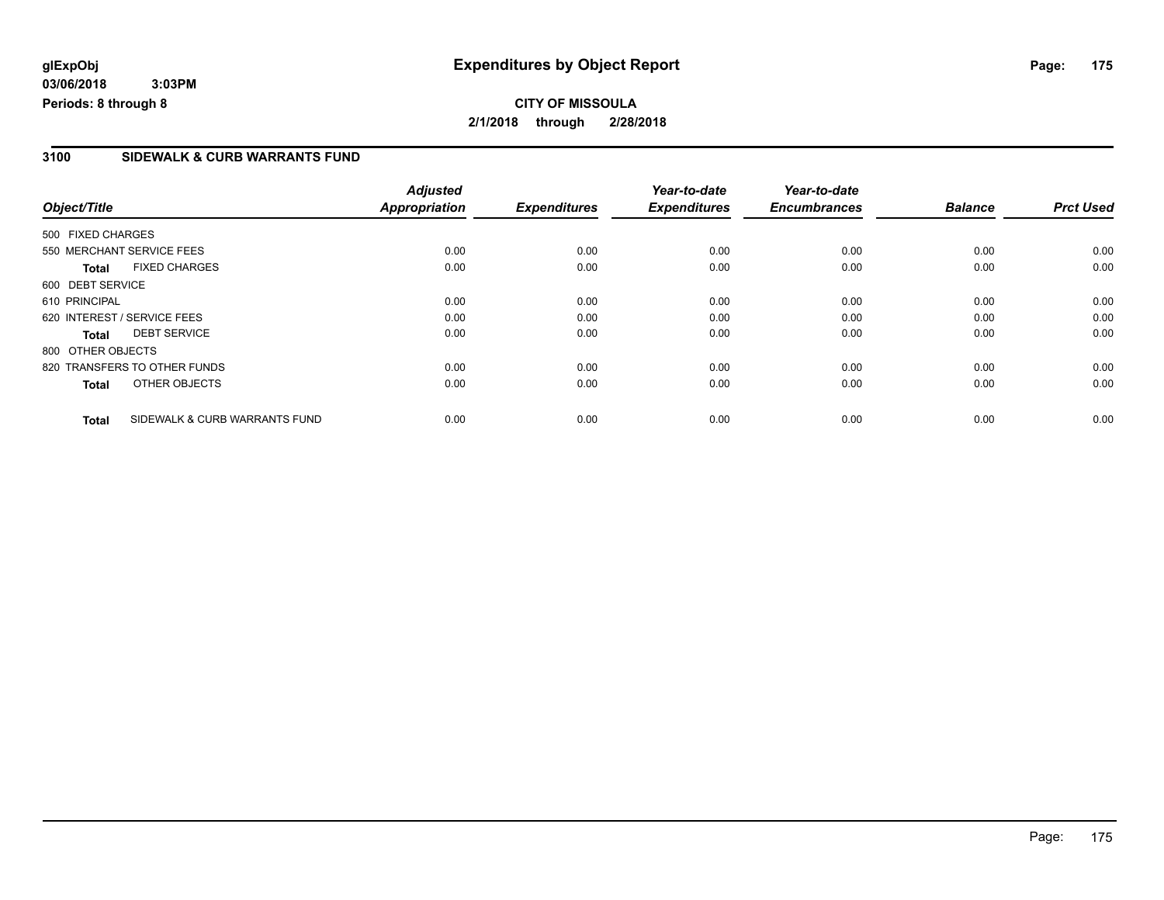#### **3100 SIDEWALK & CURB WARRANTS FUND**

|                   |                               | <b>Adjusted</b>      |                     | Year-to-date        | Year-to-date        |                |                  |
|-------------------|-------------------------------|----------------------|---------------------|---------------------|---------------------|----------------|------------------|
| Object/Title      |                               | <b>Appropriation</b> | <b>Expenditures</b> | <b>Expenditures</b> | <b>Encumbrances</b> | <b>Balance</b> | <b>Prct Used</b> |
| 500 FIXED CHARGES |                               |                      |                     |                     |                     |                |                  |
|                   | 550 MERCHANT SERVICE FEES     | 0.00                 | 0.00                | 0.00                | 0.00                | 0.00           | 0.00             |
| <b>Total</b>      | <b>FIXED CHARGES</b>          | 0.00                 | 0.00                | 0.00                | 0.00                | 0.00           | 0.00             |
| 600 DEBT SERVICE  |                               |                      |                     |                     |                     |                |                  |
| 610 PRINCIPAL     |                               | 0.00                 | 0.00                | 0.00                | 0.00                | 0.00           | 0.00             |
|                   | 620 INTEREST / SERVICE FEES   | 0.00                 | 0.00                | 0.00                | 0.00                | 0.00           | 0.00             |
| Total             | <b>DEBT SERVICE</b>           | 0.00                 | 0.00                | 0.00                | 0.00                | 0.00           | 0.00             |
| 800 OTHER OBJECTS |                               |                      |                     |                     |                     |                |                  |
|                   | 820 TRANSFERS TO OTHER FUNDS  | 0.00                 | 0.00                | 0.00                | 0.00                | 0.00           | 0.00             |
| <b>Total</b>      | OTHER OBJECTS                 | 0.00                 | 0.00                | 0.00                | 0.00                | 0.00           | 0.00             |
| <b>Total</b>      | SIDEWALK & CURB WARRANTS FUND | 0.00                 | 0.00                | 0.00                | 0.00                | 0.00           | 0.00             |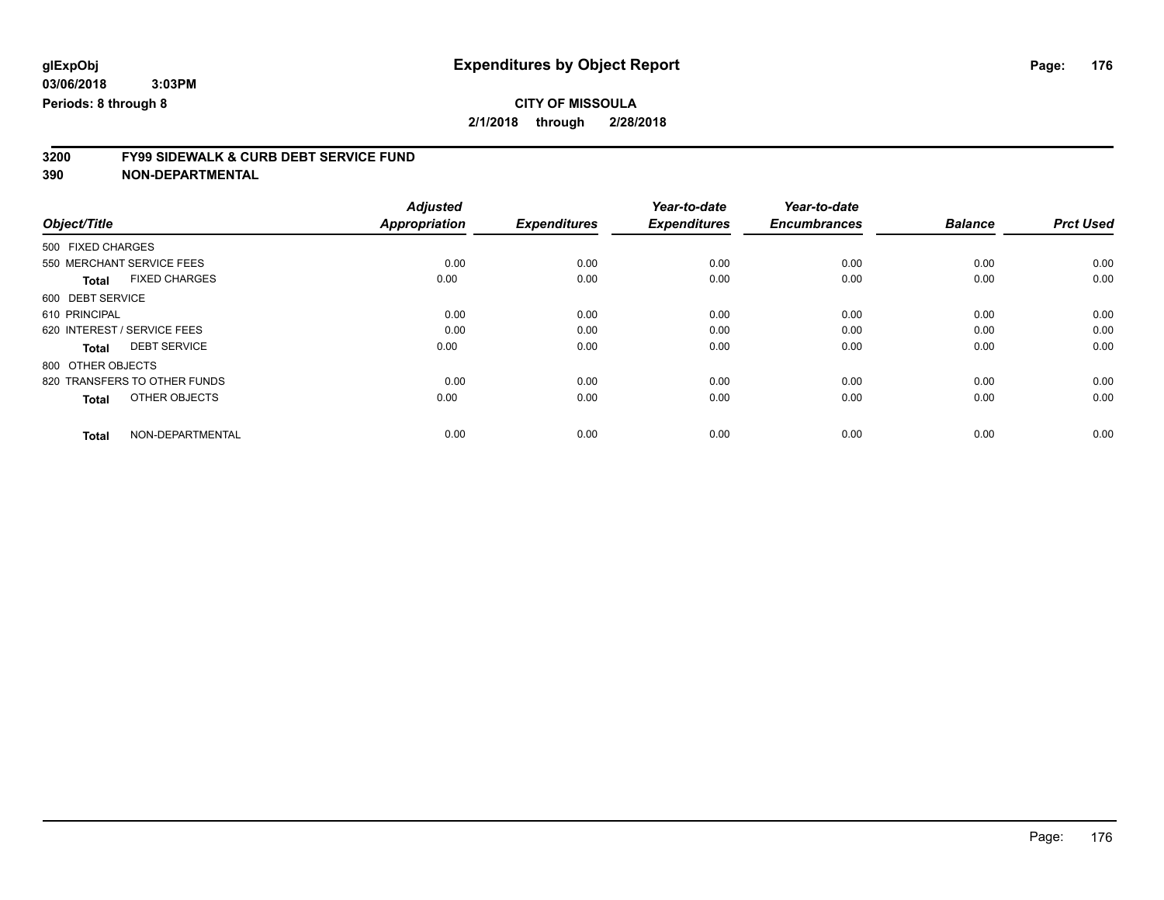### **CITY OF MISSOULA**

**2/1/2018 through 2/28/2018**

# **3200 FY99 SIDEWALK & CURB DEBT SERVICE FUND**

|                                      | <b>Adjusted</b>      |                     | Year-to-date        | Year-to-date        |                |                  |
|--------------------------------------|----------------------|---------------------|---------------------|---------------------|----------------|------------------|
| Object/Title                         | <b>Appropriation</b> | <b>Expenditures</b> | <b>Expenditures</b> | <b>Encumbrances</b> | <b>Balance</b> | <b>Prct Used</b> |
| 500 FIXED CHARGES                    |                      |                     |                     |                     |                |                  |
| 550 MERCHANT SERVICE FEES            | 0.00                 | 0.00                | 0.00                | 0.00                | 0.00           | 0.00             |
| <b>FIXED CHARGES</b><br><b>Total</b> | 0.00                 | 0.00                | 0.00                | 0.00                | 0.00           | 0.00             |
| 600 DEBT SERVICE                     |                      |                     |                     |                     |                |                  |
| 610 PRINCIPAL                        | 0.00                 | 0.00                | 0.00                | 0.00                | 0.00           | 0.00             |
| 620 INTEREST / SERVICE FEES          | 0.00                 | 0.00                | 0.00                | 0.00                | 0.00           | 0.00             |
| <b>DEBT SERVICE</b><br><b>Total</b>  | 0.00                 | 0.00                | 0.00                | 0.00                | 0.00           | 0.00             |
| 800 OTHER OBJECTS                    |                      |                     |                     |                     |                |                  |
| 820 TRANSFERS TO OTHER FUNDS         | 0.00                 | 0.00                | 0.00                | 0.00                | 0.00           | 0.00             |
| OTHER OBJECTS<br><b>Total</b>        | 0.00                 | 0.00                | 0.00                | 0.00                | 0.00           | 0.00             |
|                                      |                      |                     |                     |                     |                |                  |
| NON-DEPARTMENTAL<br><b>Total</b>     | 0.00                 | 0.00                | 0.00                | 0.00                | 0.00           | 0.00             |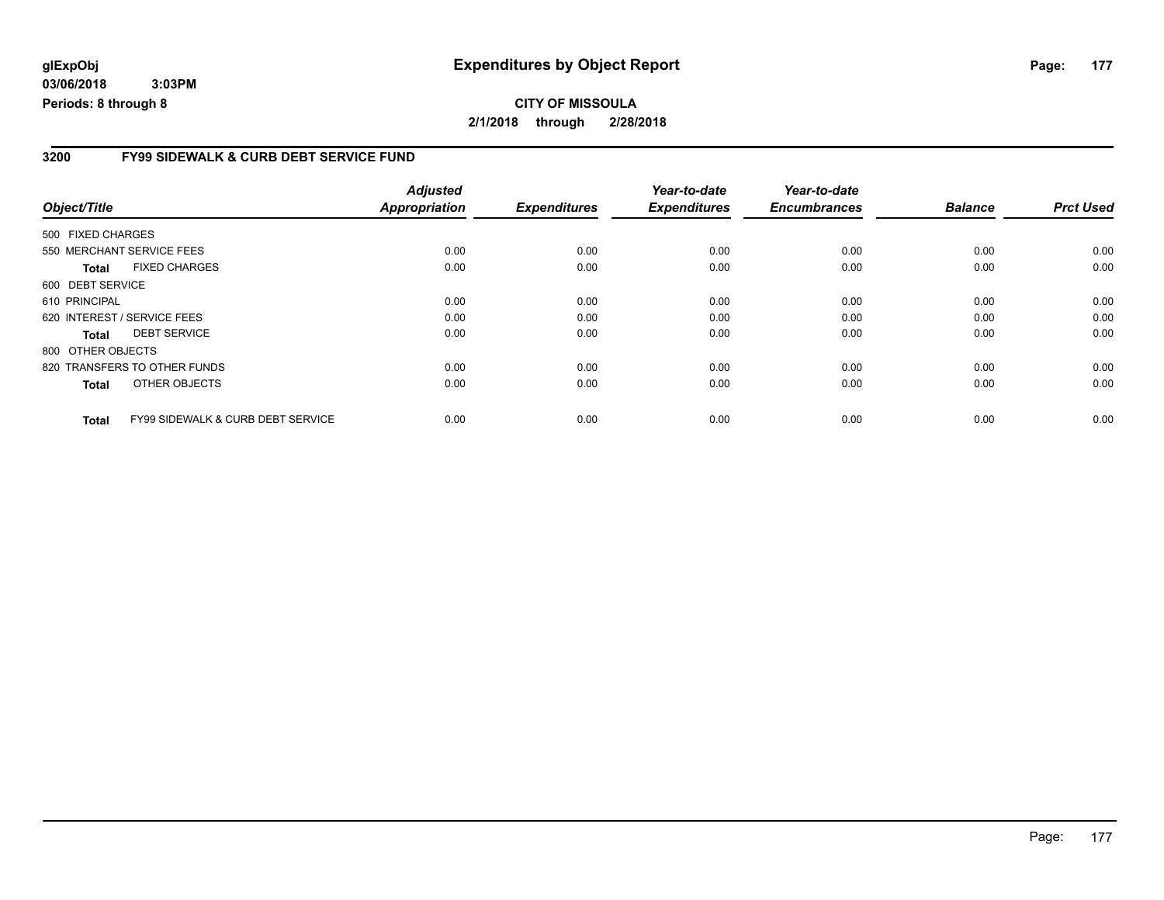#### **CITY OF MISSOULA 2/1/2018 through 2/28/2018**

#### **3200 FY99 SIDEWALK & CURB DEBT SERVICE FUND**

|                   |                                              | <b>Adjusted</b>      |                     | Year-to-date        | Year-to-date<br><b>Encumbrances</b> | <b>Balance</b> | <b>Prct Used</b> |
|-------------------|----------------------------------------------|----------------------|---------------------|---------------------|-------------------------------------|----------------|------------------|
| Object/Title      |                                              | <b>Appropriation</b> | <b>Expenditures</b> | <b>Expenditures</b> |                                     |                |                  |
| 500 FIXED CHARGES |                                              |                      |                     |                     |                                     |                |                  |
|                   | 550 MERCHANT SERVICE FEES                    | 0.00                 | 0.00                | 0.00                | 0.00                                | 0.00           | 0.00             |
| <b>Total</b>      | <b>FIXED CHARGES</b>                         | 0.00                 | 0.00                | 0.00                | 0.00                                | 0.00           | 0.00             |
| 600 DEBT SERVICE  |                                              |                      |                     |                     |                                     |                |                  |
| 610 PRINCIPAL     |                                              | 0.00                 | 0.00                | 0.00                | 0.00                                | 0.00           | 0.00             |
|                   | 620 INTEREST / SERVICE FEES                  | 0.00                 | 0.00                | 0.00                | 0.00                                | 0.00           | 0.00             |
| <b>Total</b>      | <b>DEBT SERVICE</b>                          | 0.00                 | 0.00                | 0.00                | 0.00                                | 0.00           | 0.00             |
| 800 OTHER OBJECTS |                                              |                      |                     |                     |                                     |                |                  |
|                   | 820 TRANSFERS TO OTHER FUNDS                 | 0.00                 | 0.00                | 0.00                | 0.00                                | 0.00           | 0.00             |
| <b>Total</b>      | OTHER OBJECTS                                | 0.00                 | 0.00                | 0.00                | 0.00                                | 0.00           | 0.00             |
| <b>Total</b>      | <b>FY99 SIDEWALK &amp; CURB DEBT SERVICE</b> | 0.00                 | 0.00                | 0.00                | 0.00                                | 0.00           | 0.00             |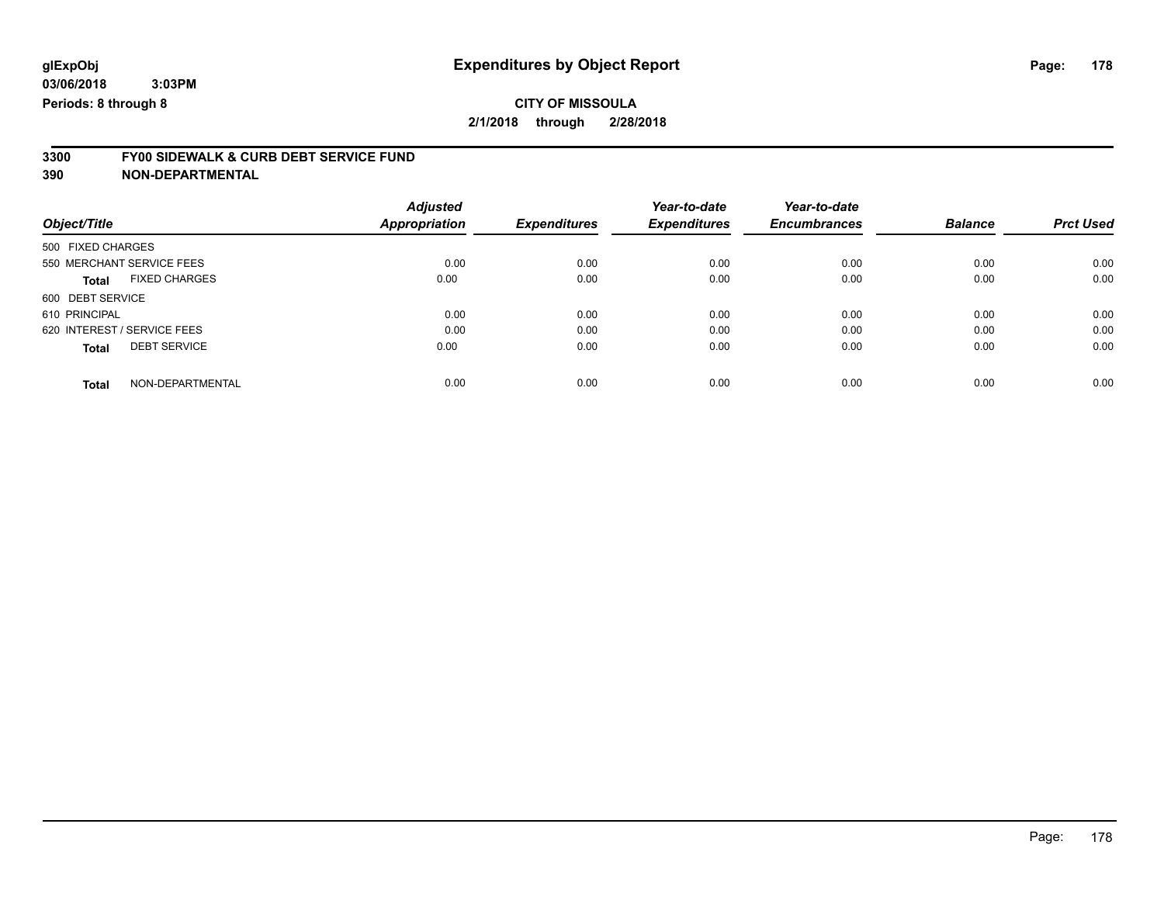### **CITY OF MISSOULA**

**2/1/2018 through 2/28/2018**

# **3300 FY00 SIDEWALK & CURB DEBT SERVICE FUND**

|                                      | <b>Adjusted</b>      |                     | Year-to-date        | Year-to-date        |                |                  |
|--------------------------------------|----------------------|---------------------|---------------------|---------------------|----------------|------------------|
| Object/Title                         | <b>Appropriation</b> | <b>Expenditures</b> | <b>Expenditures</b> | <b>Encumbrances</b> | <b>Balance</b> | <b>Prct Used</b> |
| 500 FIXED CHARGES                    |                      |                     |                     |                     |                |                  |
| 550 MERCHANT SERVICE FEES            | 0.00                 | 0.00                | 0.00                | 0.00                | 0.00           | 0.00             |
| <b>FIXED CHARGES</b><br><b>Total</b> | 0.00                 | 0.00                | 0.00                | 0.00                | 0.00           | 0.00             |
| 600 DEBT SERVICE                     |                      |                     |                     |                     |                |                  |
| 610 PRINCIPAL                        | 0.00                 | 0.00                | 0.00                | 0.00                | 0.00           | 0.00             |
| 620 INTEREST / SERVICE FEES          | 0.00                 | 0.00                | 0.00                | 0.00                | 0.00           | 0.00             |
| <b>DEBT SERVICE</b><br><b>Total</b>  | 0.00                 | 0.00                | 0.00                | 0.00                | 0.00           | 0.00             |
|                                      |                      |                     |                     |                     |                |                  |
| NON-DEPARTMENTAL<br><b>Total</b>     | 0.00                 | 0.00                | 0.00                | 0.00                | 0.00           | 0.00             |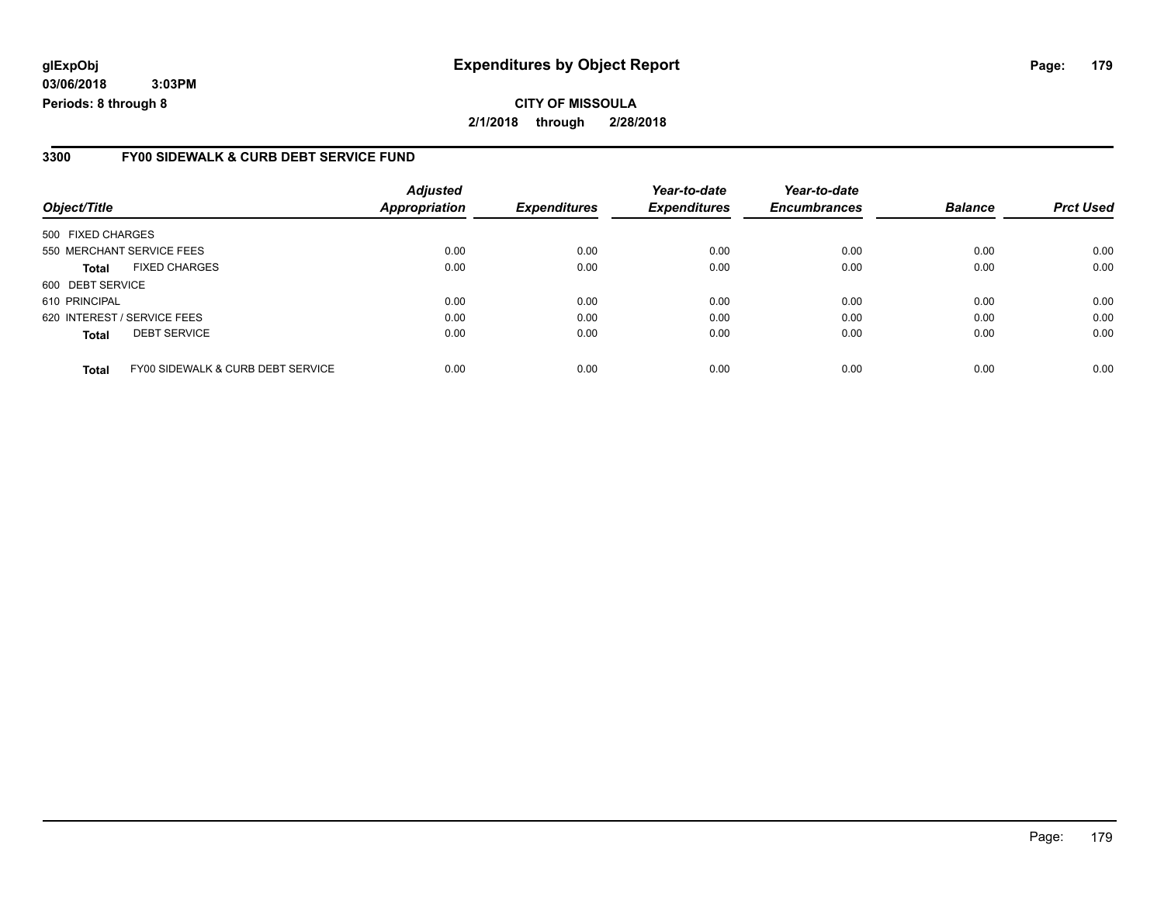### **glExpObj Expenditures by Object Report Page: 179**

**03/06/2018 3:03PM Periods: 8 through 8**

#### **3300 FY00 SIDEWALK & CURB DEBT SERVICE FUND**

| Object/Title                |                                   | <b>Adjusted</b><br><b>Appropriation</b> | <b>Expenditures</b> | Year-to-date<br><b>Expenditures</b> | Year-to-date<br><b>Encumbrances</b> | <b>Balance</b> | <b>Prct Used</b> |
|-----------------------------|-----------------------------------|-----------------------------------------|---------------------|-------------------------------------|-------------------------------------|----------------|------------------|
| 500 FIXED CHARGES           |                                   |                                         |                     |                                     |                                     |                |                  |
|                             | 550 MERCHANT SERVICE FEES         | 0.00                                    | 0.00                | 0.00                                | 0.00                                | 0.00           | 0.00             |
| <b>Total</b>                | <b>FIXED CHARGES</b>              | 0.00                                    | 0.00                | 0.00                                | 0.00                                | 0.00           | 0.00             |
| 600 DEBT SERVICE            |                                   |                                         |                     |                                     |                                     |                |                  |
| 610 PRINCIPAL               |                                   | 0.00                                    | 0.00                | 0.00                                | 0.00                                | 0.00           | 0.00             |
| 620 INTEREST / SERVICE FEES |                                   | 0.00                                    | 0.00                | 0.00                                | 0.00                                | 0.00           | 0.00             |
| <b>Total</b>                | <b>DEBT SERVICE</b>               | 0.00                                    | 0.00                | 0.00                                | 0.00                                | 0.00           | 0.00             |
| <b>Total</b>                | FY00 SIDEWALK & CURB DEBT SERVICE | 0.00                                    | 0.00                | 0.00                                | 0.00                                | 0.00           | 0.00             |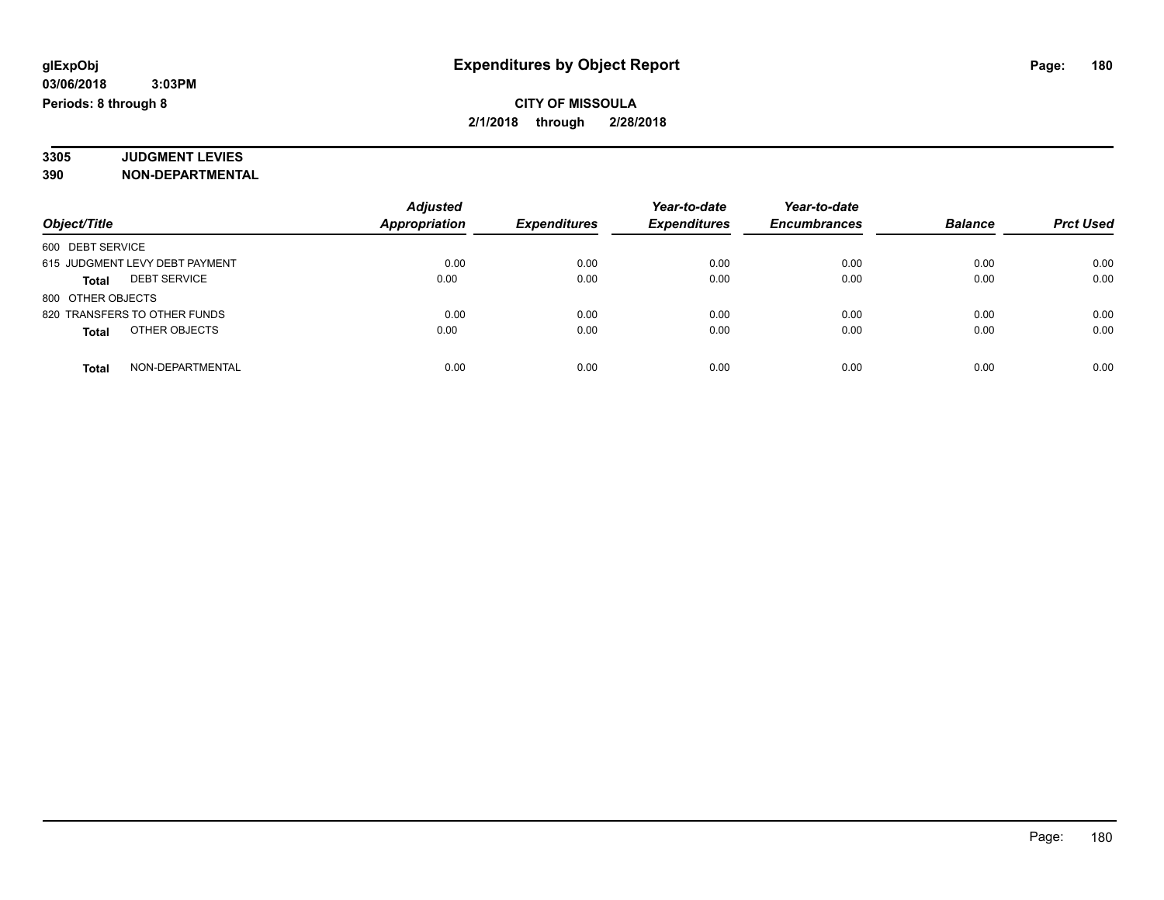#### **3305 JUDGMENT LEVIES 390 NON-DEPARTMENTAL**

| Object/Title                        | <b>Adjusted</b>      | <b>Expenditures</b> | Year-to-date<br><b>Expenditures</b> | Year-to-date<br><b>Encumbrances</b> | <b>Balance</b> | <b>Prct Used</b> |
|-------------------------------------|----------------------|---------------------|-------------------------------------|-------------------------------------|----------------|------------------|
|                                     | <b>Appropriation</b> |                     |                                     |                                     |                |                  |
| 600 DEBT SERVICE                    |                      |                     |                                     |                                     |                |                  |
| 615 JUDGMENT LEVY DEBT PAYMENT      | 0.00                 | 0.00                | 0.00                                | 0.00                                | 0.00           | 0.00             |
| <b>DEBT SERVICE</b><br><b>Total</b> | 0.00                 | 0.00                | 0.00                                | 0.00                                | 0.00           | 0.00             |
| 800 OTHER OBJECTS                   |                      |                     |                                     |                                     |                |                  |
| 820 TRANSFERS TO OTHER FUNDS        | 0.00                 | 0.00                | 0.00                                | 0.00                                | 0.00           | 0.00             |
| OTHER OBJECTS<br><b>Total</b>       | 0.00                 | 0.00                | 0.00                                | 0.00                                | 0.00           | 0.00             |
| NON-DEPARTMENTAL<br><b>Total</b>    | 0.00                 | 0.00                | 0.00                                | 0.00                                | 0.00           | 0.00             |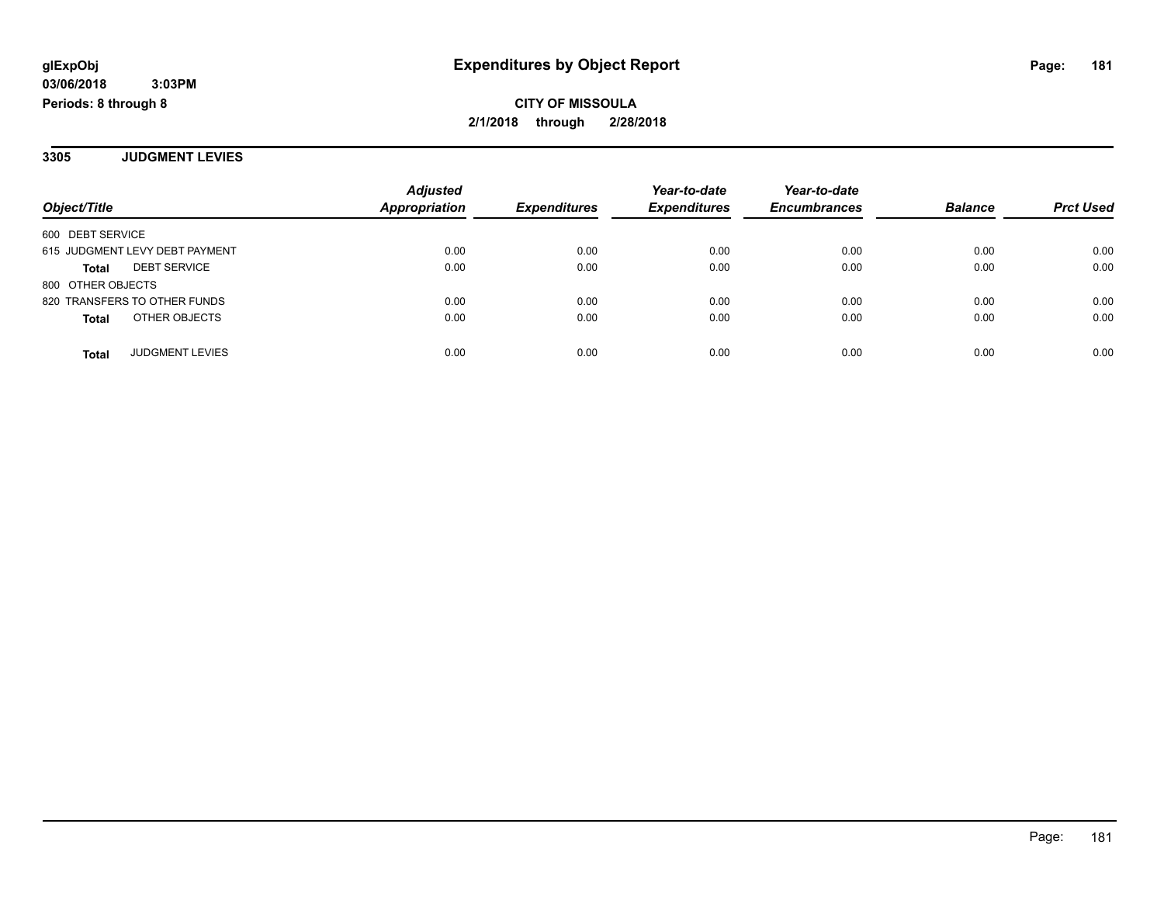**3305 JUDGMENT LEVIES**

| Object/Title                        | <b>Adjusted</b><br><b>Appropriation</b> | <b>Expenditures</b> | Year-to-date<br><b>Expenditures</b> | Year-to-date<br><b>Encumbrances</b> | <b>Balance</b> | <b>Prct Used</b> |
|-------------------------------------|-----------------------------------------|---------------------|-------------------------------------|-------------------------------------|----------------|------------------|
| 600 DEBT SERVICE                    |                                         |                     |                                     |                                     |                |                  |
| 615 JUDGMENT LEVY DEBT PAYMENT      | 0.00                                    | 0.00                | 0.00                                | 0.00                                | 0.00           | 0.00             |
| <b>DEBT SERVICE</b><br><b>Total</b> | 0.00                                    | 0.00                | 0.00                                | 0.00                                | 0.00           | 0.00             |
| 800 OTHER OBJECTS                   |                                         |                     |                                     |                                     |                |                  |
| 820 TRANSFERS TO OTHER FUNDS        | 0.00                                    | 0.00                | 0.00                                | 0.00                                | 0.00           | 0.00             |
| OTHER OBJECTS<br><b>Total</b>       | 0.00                                    | 0.00                | 0.00                                | 0.00                                | 0.00           | 0.00             |
|                                     |                                         |                     |                                     |                                     |                |                  |
| <b>JUDGMENT LEVIES</b><br>Total     | 0.00                                    | 0.00                | 0.00                                | 0.00                                | 0.00           | 0.00             |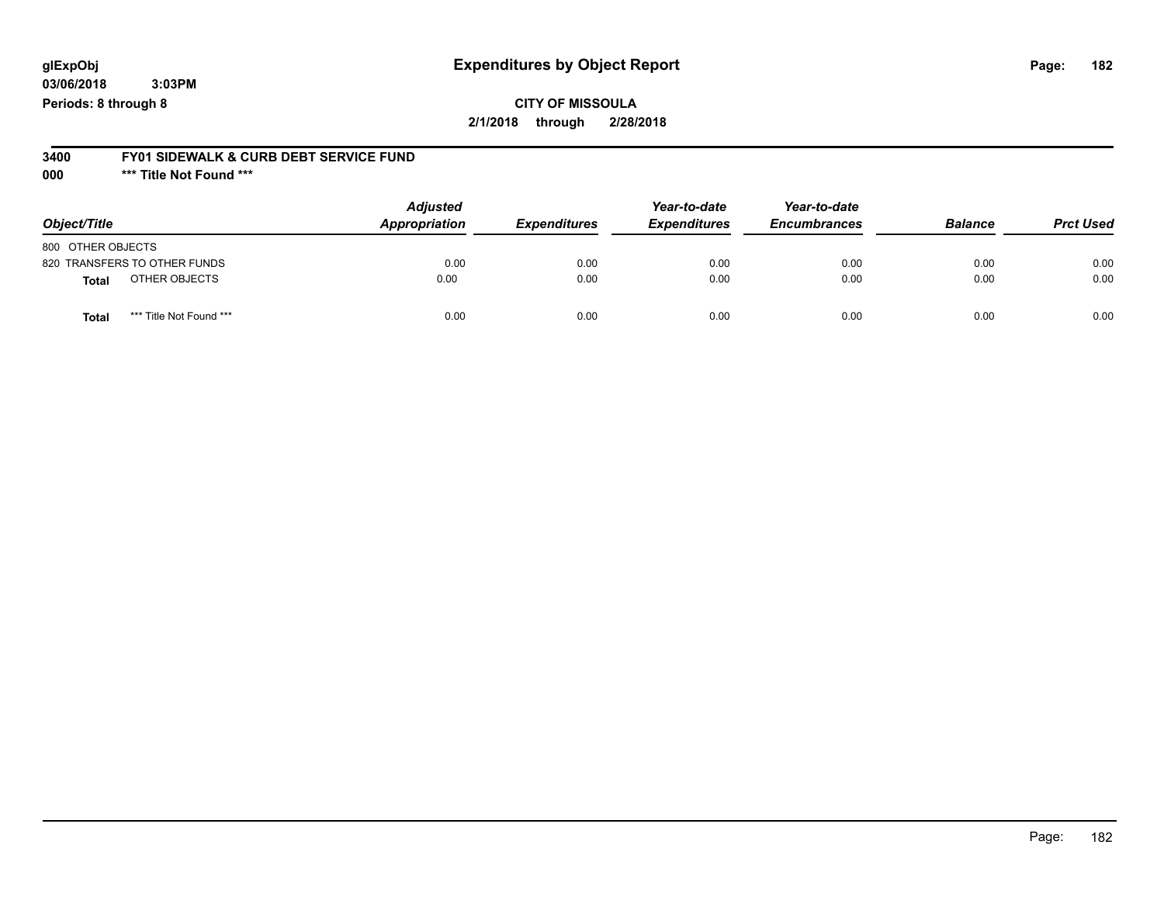## **CITY OF MISSOULA 2/1/2018 through 2/28/2018**

#### **3400 FY01 SIDEWALK & CURB DEBT SERVICE FUND**

**000 \*\*\* Title Not Found \*\*\***

| Object/Title                            | <b>Adjusted</b><br>Appropriation | <b>Expenditures</b> | Year-to-date<br><b>Expenditures</b> | Year-to-date<br><b>Encumbrances</b> | <b>Balance</b> | <b>Prct Used</b> |
|-----------------------------------------|----------------------------------|---------------------|-------------------------------------|-------------------------------------|----------------|------------------|
| 800 OTHER OBJECTS                       |                                  |                     |                                     |                                     |                |                  |
| 820 TRANSFERS TO OTHER FUNDS            | 0.00                             | 0.00                | 0.00                                | 0.00                                | 0.00           | 0.00             |
| OTHER OBJECTS<br><b>Total</b>           | 0.00                             | 0.00                | 0.00                                | 0.00                                | 0.00           | 0.00             |
| *** Title Not Found ***<br><b>Total</b> | 0.00                             | 0.00                | 0.00                                | 0.00                                | 0.00           | 0.00             |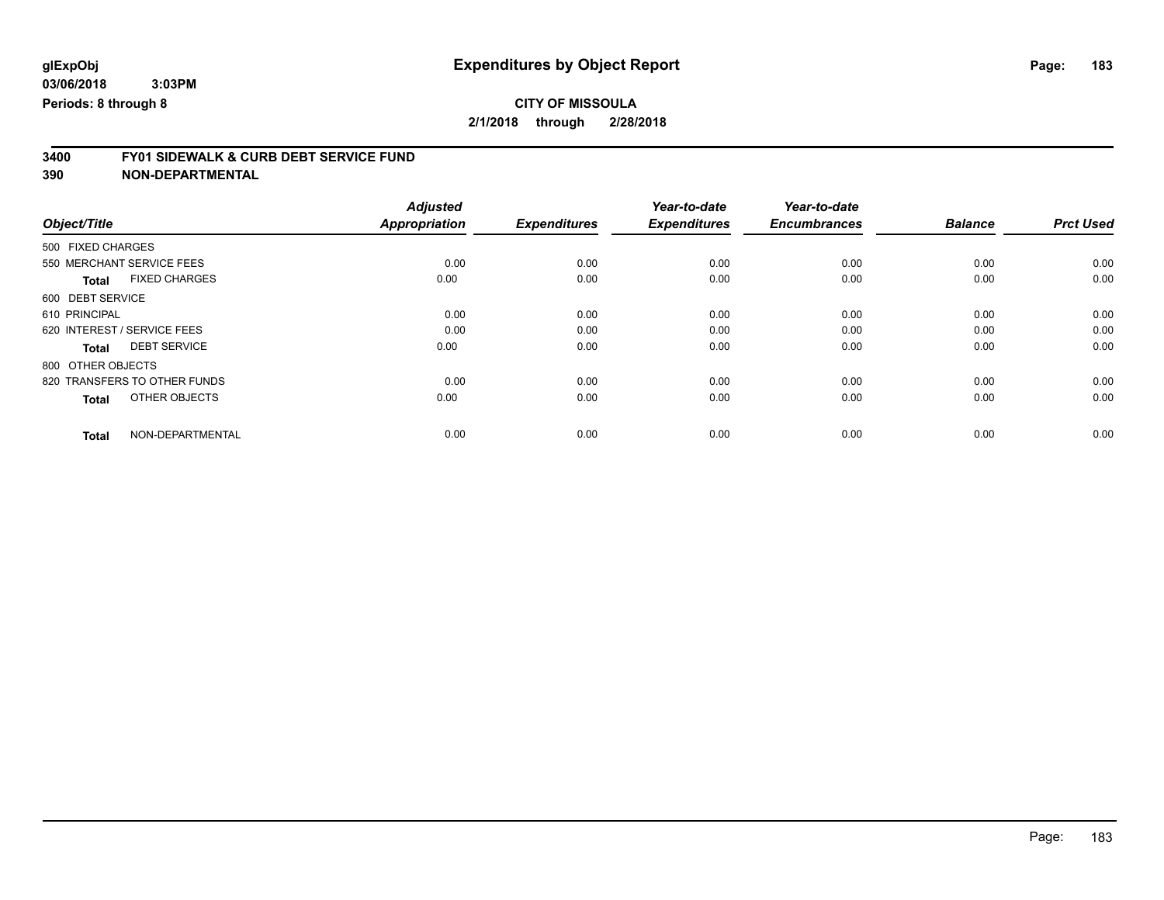## **CITY OF MISSOULA**

**2/1/2018 through 2/28/2018**

# **3400 FY01 SIDEWALK & CURB DEBT SERVICE FUND**

|                                      | <b>Adjusted</b>      |                     | Year-to-date        | Year-to-date        |                |                  |
|--------------------------------------|----------------------|---------------------|---------------------|---------------------|----------------|------------------|
| Object/Title                         | <b>Appropriation</b> | <b>Expenditures</b> | <b>Expenditures</b> | <b>Encumbrances</b> | <b>Balance</b> | <b>Prct Used</b> |
| 500 FIXED CHARGES                    |                      |                     |                     |                     |                |                  |
| 550 MERCHANT SERVICE FEES            | 0.00                 | 0.00                | 0.00                | 0.00                | 0.00           | 0.00             |
| <b>FIXED CHARGES</b><br><b>Total</b> | 0.00                 | 0.00                | 0.00                | 0.00                | 0.00           | 0.00             |
| 600 DEBT SERVICE                     |                      |                     |                     |                     |                |                  |
| 610 PRINCIPAL                        | 0.00                 | 0.00                | 0.00                | 0.00                | 0.00           | 0.00             |
| 620 INTEREST / SERVICE FEES          | 0.00                 | 0.00                | 0.00                | 0.00                | 0.00           | 0.00             |
| <b>DEBT SERVICE</b><br><b>Total</b>  | 0.00                 | 0.00                | 0.00                | 0.00                | 0.00           | 0.00             |
| 800 OTHER OBJECTS                    |                      |                     |                     |                     |                |                  |
| 820 TRANSFERS TO OTHER FUNDS         | 0.00                 | 0.00                | 0.00                | 0.00                | 0.00           | 0.00             |
| OTHER OBJECTS<br><b>Total</b>        | 0.00                 | 0.00                | 0.00                | 0.00                | 0.00           | 0.00             |
|                                      |                      |                     |                     |                     |                |                  |
| NON-DEPARTMENTAL<br><b>Total</b>     | 0.00                 | 0.00                | 0.00                | 0.00                | 0.00           | 0.00             |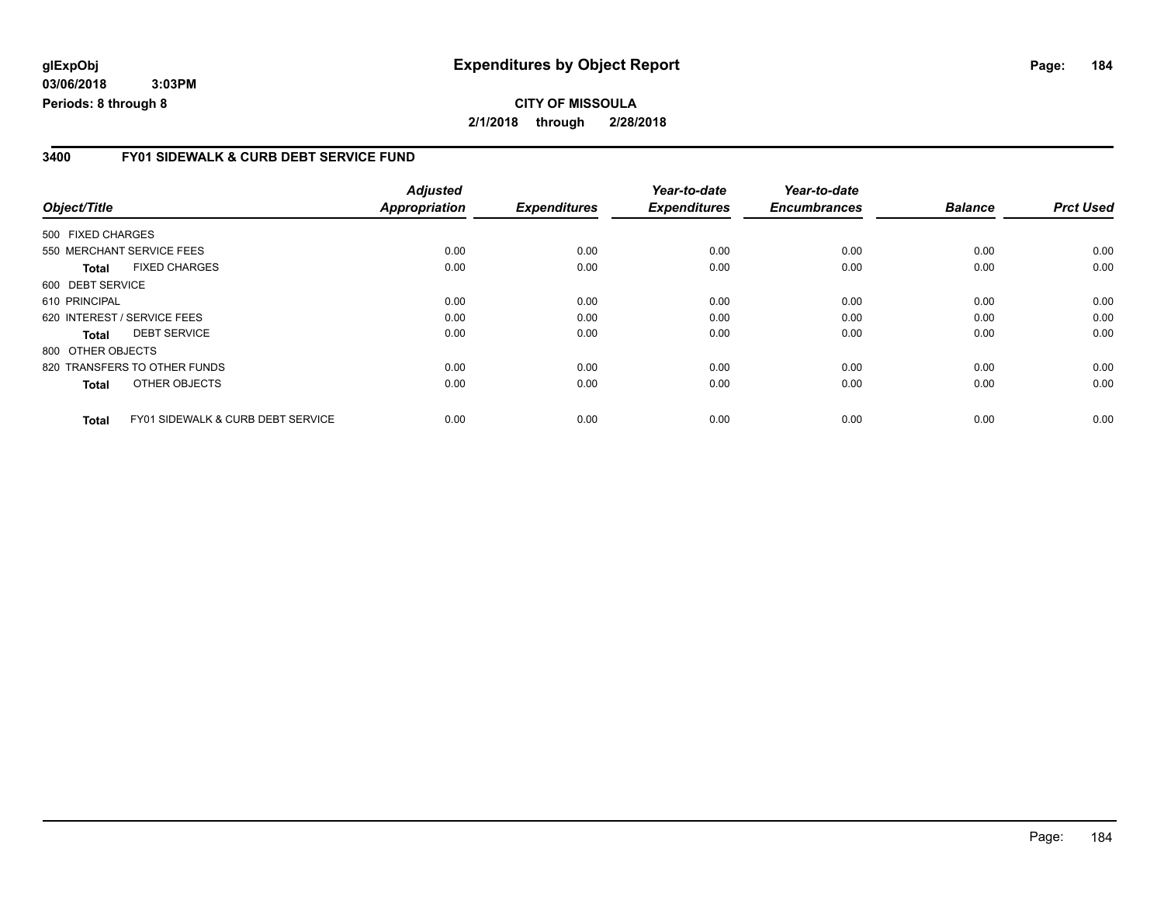## **CITY OF MISSOULA 2/1/2018 through 2/28/2018**

### **3400 FY01 SIDEWALK & CURB DEBT SERVICE FUND**

|                              |                                              | <b>Adjusted</b> |                     | Year-to-date        | Year-to-date        |                |                  |
|------------------------------|----------------------------------------------|-----------------|---------------------|---------------------|---------------------|----------------|------------------|
| Object/Title                 |                                              | Appropriation   | <b>Expenditures</b> | <b>Expenditures</b> | <b>Encumbrances</b> | <b>Balance</b> | <b>Prct Used</b> |
| 500 FIXED CHARGES            |                                              |                 |                     |                     |                     |                |                  |
| 550 MERCHANT SERVICE FEES    |                                              | 0.00            | 0.00                | 0.00                | 0.00                | 0.00           | 0.00             |
| Total                        | <b>FIXED CHARGES</b>                         | 0.00            | 0.00                | 0.00                | 0.00                | 0.00           | 0.00             |
| 600 DEBT SERVICE             |                                              |                 |                     |                     |                     |                |                  |
| 610 PRINCIPAL                |                                              | 0.00            | 0.00                | 0.00                | 0.00                | 0.00           | 0.00             |
| 620 INTEREST / SERVICE FEES  |                                              | 0.00            | 0.00                | 0.00                | 0.00                | 0.00           | 0.00             |
| <b>Total</b>                 | <b>DEBT SERVICE</b>                          | 0.00            | 0.00                | 0.00                | 0.00                | 0.00           | 0.00             |
| 800 OTHER OBJECTS            |                                              |                 |                     |                     |                     |                |                  |
| 820 TRANSFERS TO OTHER FUNDS |                                              | 0.00            | 0.00                | 0.00                | 0.00                | 0.00           | 0.00             |
| <b>Total</b>                 | OTHER OBJECTS                                | 0.00            | 0.00                | 0.00                | 0.00                | 0.00           | 0.00             |
| <b>Total</b>                 | <b>FY01 SIDEWALK &amp; CURB DEBT SERVICE</b> | 0.00            | 0.00                | 0.00                | 0.00                | 0.00           | 0.00             |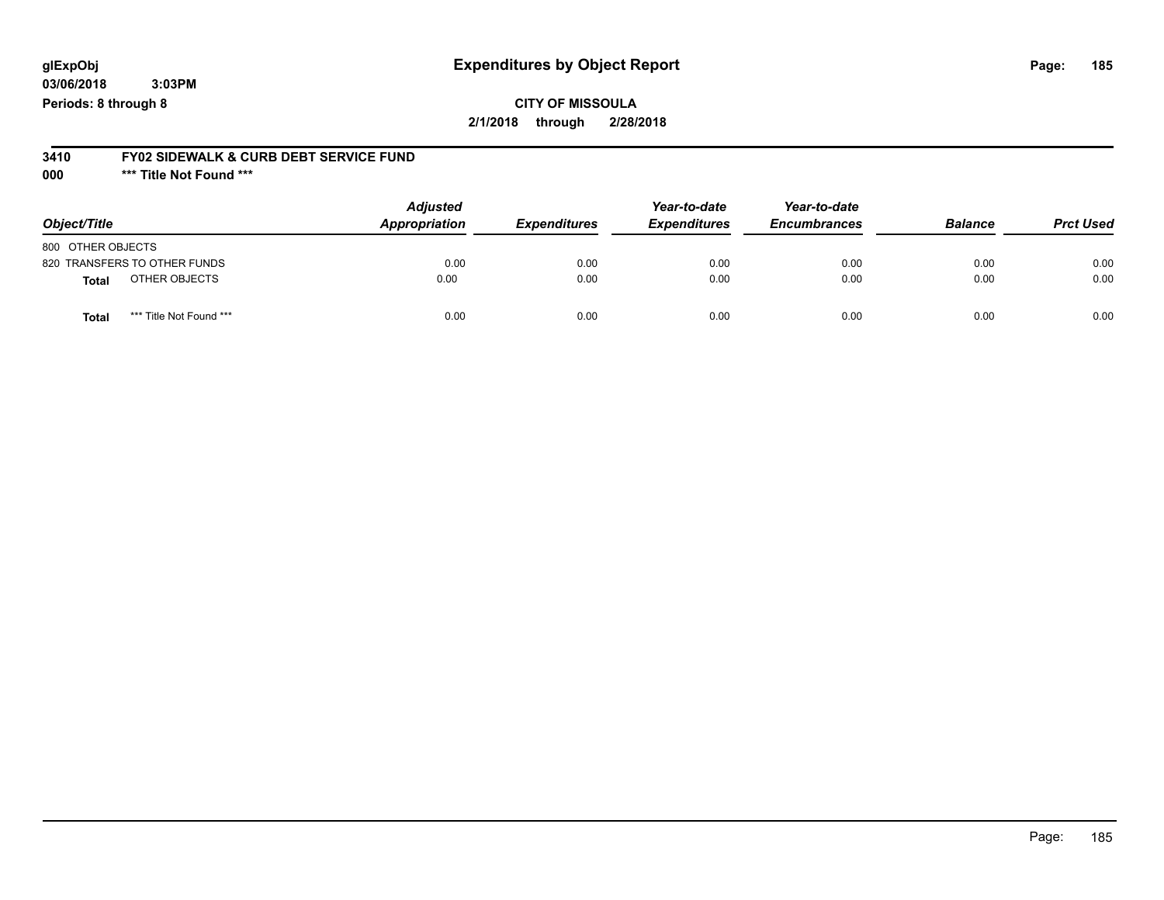## **CITY OF MISSOULA 2/1/2018 through 2/28/2018**

## **3410 FY02 SIDEWALK & CURB DEBT SERVICE FUND**

**000 \*\*\* Title Not Found \*\*\***

| Object/Title                            | <b>Adjusted</b><br>Appropriation | <b>Expenditures</b> | Year-to-date<br><b>Expenditures</b> | Year-to-date<br><b>Encumbrances</b> | <b>Balance</b> | <b>Prct Used</b> |
|-----------------------------------------|----------------------------------|---------------------|-------------------------------------|-------------------------------------|----------------|------------------|
| 800 OTHER OBJECTS                       |                                  |                     |                                     |                                     |                |                  |
| 820 TRANSFERS TO OTHER FUNDS            | 0.00                             | 0.00                | 0.00                                | 0.00                                | 0.00           | 0.00             |
| OTHER OBJECTS<br>Total                  | 0.00                             | 0.00                | 0.00                                | 0.00                                | 0.00           | 0.00             |
| *** Title Not Found ***<br><b>Total</b> | 0.00                             | 0.00                | 0.00                                | 0.00                                | 0.00           | 0.00             |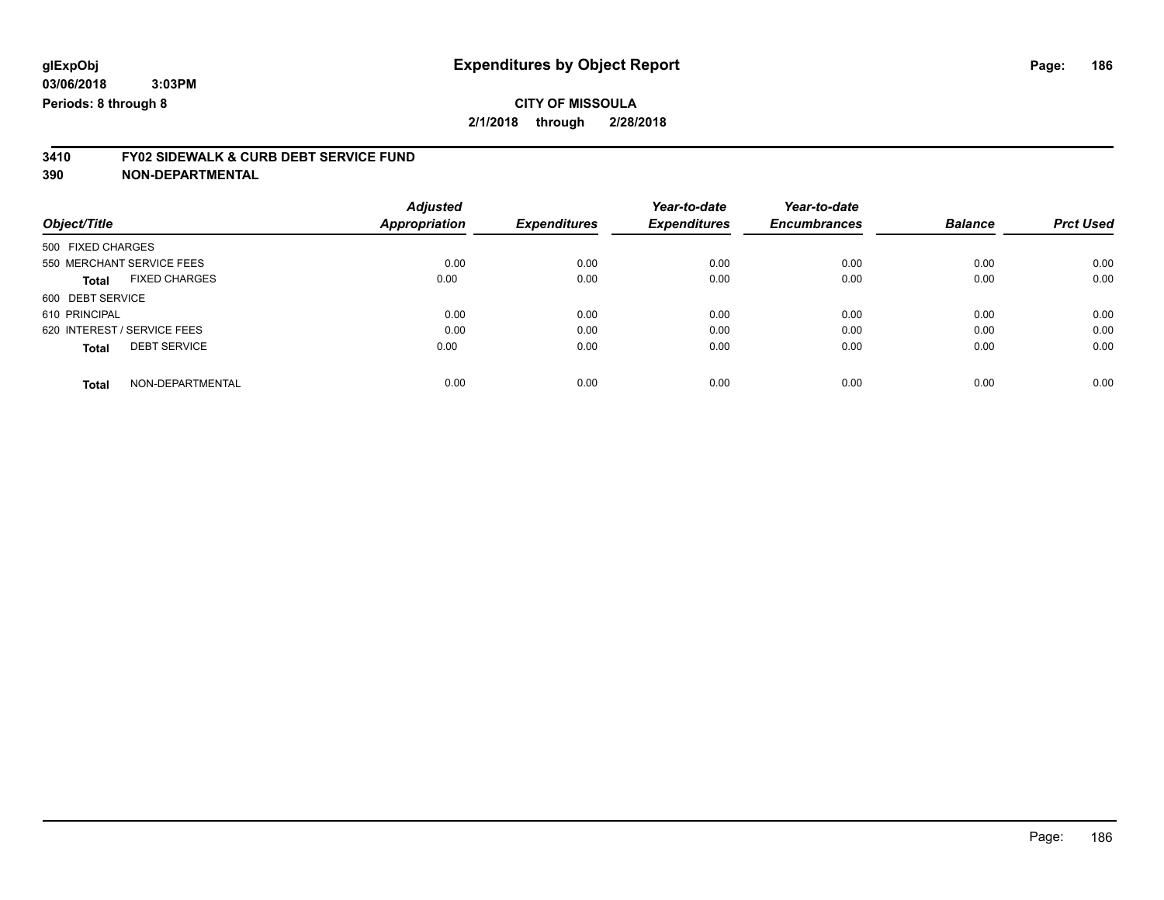# **3410 FY02 SIDEWALK & CURB DEBT SERVICE FUND**

|                             |                      | <b>Adjusted</b>      |                     | Year-to-date        | Year-to-date        |                |                  |
|-----------------------------|----------------------|----------------------|---------------------|---------------------|---------------------|----------------|------------------|
| Object/Title                |                      | <b>Appropriation</b> | <b>Expenditures</b> | <b>Expenditures</b> | <b>Encumbrances</b> | <b>Balance</b> | <b>Prct Used</b> |
| 500 FIXED CHARGES           |                      |                      |                     |                     |                     |                |                  |
| 550 MERCHANT SERVICE FEES   |                      | 0.00                 | 0.00                | 0.00                | 0.00                | 0.00           | 0.00             |
| <b>Total</b>                | <b>FIXED CHARGES</b> | 0.00                 | 0.00                | 0.00                | 0.00                | 0.00           | 0.00             |
| 600 DEBT SERVICE            |                      |                      |                     |                     |                     |                |                  |
| 610 PRINCIPAL               |                      | 0.00                 | 0.00                | 0.00                | 0.00                | 0.00           | 0.00             |
| 620 INTEREST / SERVICE FEES |                      | 0.00                 | 0.00                | 0.00                | 0.00                | 0.00           | 0.00             |
| <b>Total</b>                | <b>DEBT SERVICE</b>  | 0.00                 | 0.00                | 0.00                | 0.00                | 0.00           | 0.00             |
| <b>Total</b>                | NON-DEPARTMENTAL     | 0.00                 | 0.00                | 0.00                | 0.00                | 0.00           | 0.00             |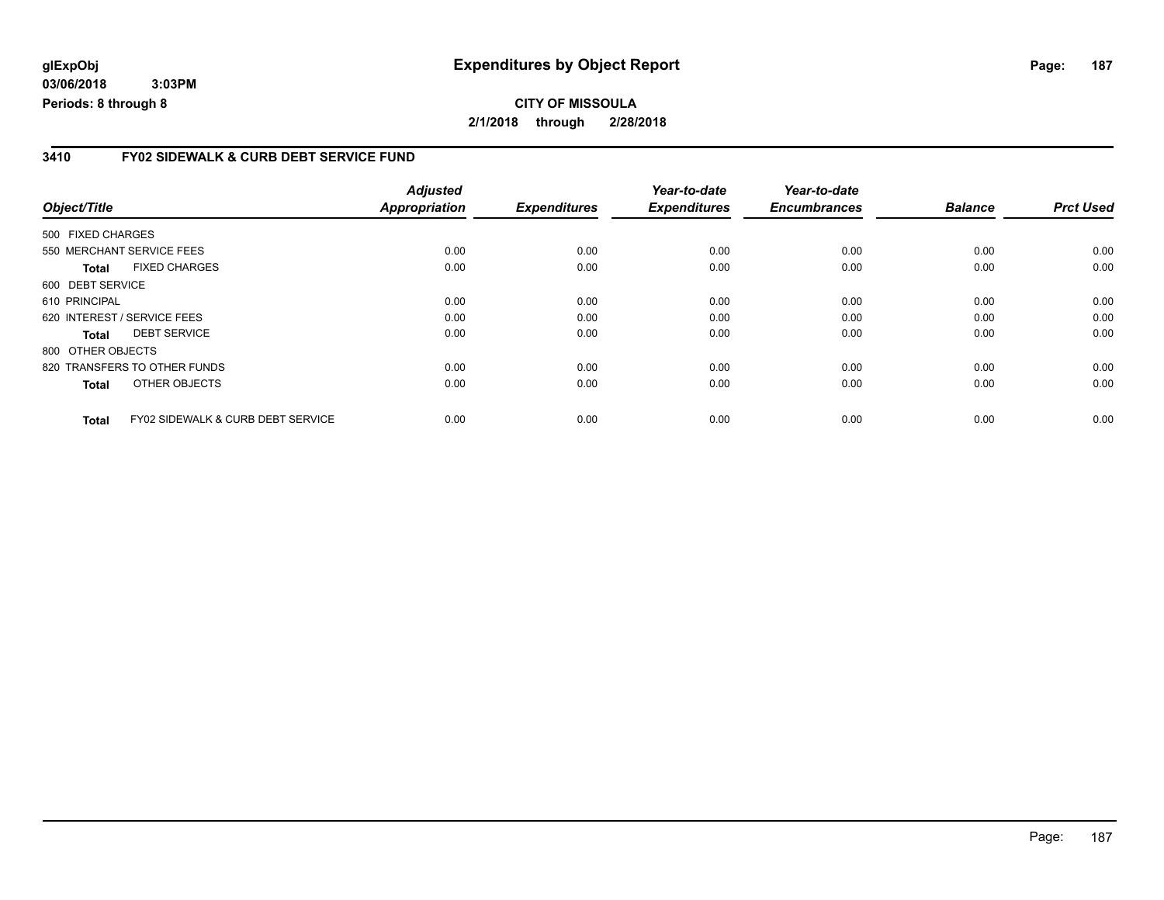### **3410 FY02 SIDEWALK & CURB DEBT SERVICE FUND**

|                             |                                              | <b>Adjusted</b> |                     | Year-to-date        | Year-to-date        |                |                  |
|-----------------------------|----------------------------------------------|-----------------|---------------------|---------------------|---------------------|----------------|------------------|
| Object/Title                |                                              | Appropriation   | <b>Expenditures</b> | <b>Expenditures</b> | <b>Encumbrances</b> | <b>Balance</b> | <b>Prct Used</b> |
| 500 FIXED CHARGES           |                                              |                 |                     |                     |                     |                |                  |
| 550 MERCHANT SERVICE FEES   |                                              | 0.00            | 0.00                | 0.00                | 0.00                | 0.00           | 0.00             |
| Total                       | <b>FIXED CHARGES</b>                         | 0.00            | 0.00                | 0.00                | 0.00                | 0.00           | 0.00             |
| 600 DEBT SERVICE            |                                              |                 |                     |                     |                     |                |                  |
| 610 PRINCIPAL               |                                              | 0.00            | 0.00                | 0.00                | 0.00                | 0.00           | 0.00             |
| 620 INTEREST / SERVICE FEES |                                              | 0.00            | 0.00                | 0.00                | 0.00                | 0.00           | 0.00             |
| <b>Total</b>                | <b>DEBT SERVICE</b>                          | 0.00            | 0.00                | 0.00                | 0.00                | 0.00           | 0.00             |
| 800 OTHER OBJECTS           |                                              |                 |                     |                     |                     |                |                  |
|                             | 820 TRANSFERS TO OTHER FUNDS                 | 0.00            | 0.00                | 0.00                | 0.00                | 0.00           | 0.00             |
| <b>Total</b>                | OTHER OBJECTS                                | 0.00            | 0.00                | 0.00                | 0.00                | 0.00           | 0.00             |
| <b>Total</b>                | <b>FY02 SIDEWALK &amp; CURB DEBT SERVICE</b> | 0.00            | 0.00                | 0.00                | 0.00                | 0.00           | 0.00             |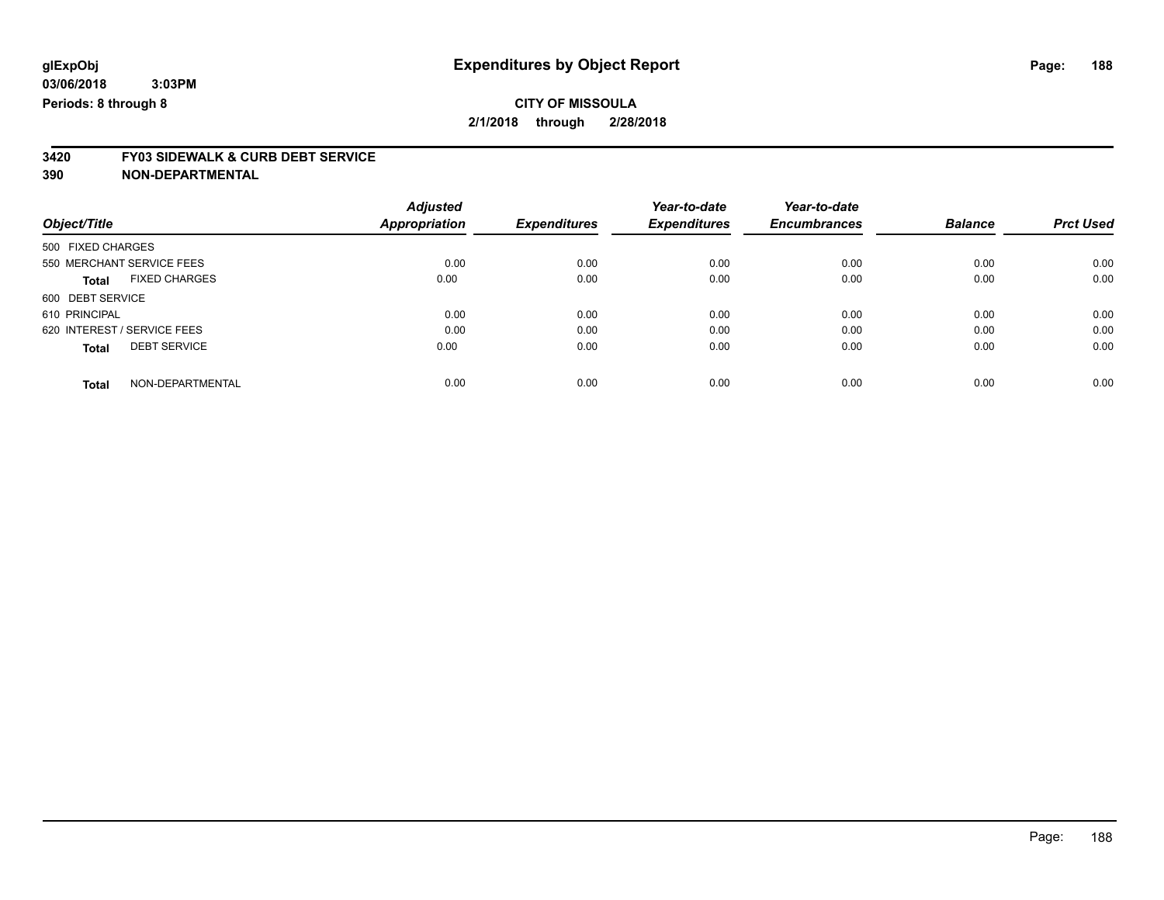# **3420 FY03 SIDEWALK & CURB DEBT SERVICE**

|                             |                      | <b>Adjusted</b>      |                     | Year-to-date        | Year-to-date        |                |                  |
|-----------------------------|----------------------|----------------------|---------------------|---------------------|---------------------|----------------|------------------|
| Object/Title                |                      | <b>Appropriation</b> | <b>Expenditures</b> | <b>Expenditures</b> | <b>Encumbrances</b> | <b>Balance</b> | <b>Prct Used</b> |
| 500 FIXED CHARGES           |                      |                      |                     |                     |                     |                |                  |
| 550 MERCHANT SERVICE FEES   |                      | 0.00                 | 0.00                | 0.00                | 0.00                | 0.00           | 0.00             |
| <b>Total</b>                | <b>FIXED CHARGES</b> | 0.00                 | 0.00                | 0.00                | 0.00                | 0.00           | 0.00             |
| 600 DEBT SERVICE            |                      |                      |                     |                     |                     |                |                  |
| 610 PRINCIPAL               |                      | 0.00                 | 0.00                | 0.00                | 0.00                | 0.00           | 0.00             |
| 620 INTEREST / SERVICE FEES |                      | 0.00                 | 0.00                | 0.00                | 0.00                | 0.00           | 0.00             |
| <b>Total</b>                | <b>DEBT SERVICE</b>  | 0.00                 | 0.00                | 0.00                | 0.00                | 0.00           | 0.00             |
| <b>Total</b>                | NON-DEPARTMENTAL     | 0.00                 | 0.00                | 0.00                | 0.00                | 0.00           | 0.00             |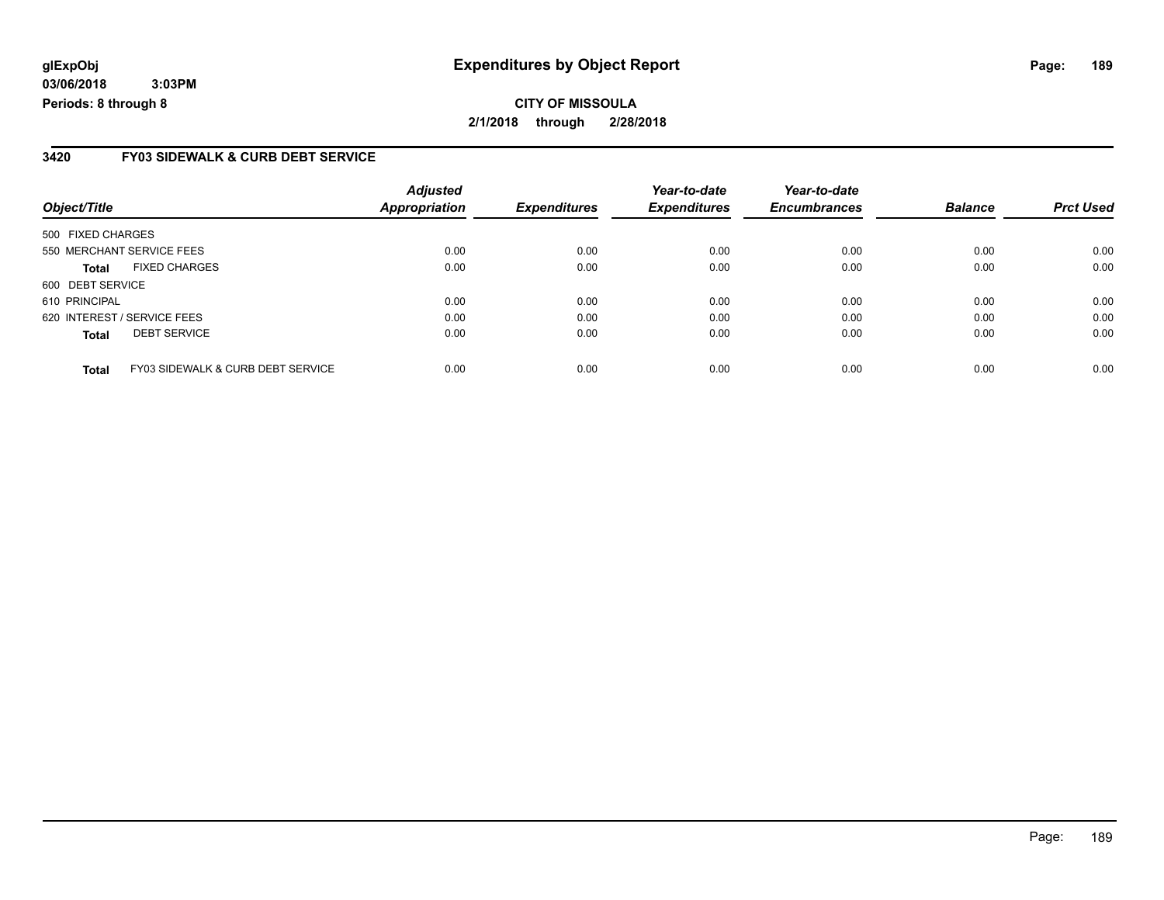### **3420 FY03 SIDEWALK & CURB DEBT SERVICE**

| Object/Title                |                                   | <b>Adjusted</b><br><b>Appropriation</b> | <b>Expenditures</b> | Year-to-date<br><b>Expenditures</b> | Year-to-date<br><b>Encumbrances</b> | <b>Balance</b> | <b>Prct Used</b> |
|-----------------------------|-----------------------------------|-----------------------------------------|---------------------|-------------------------------------|-------------------------------------|----------------|------------------|
| 500 FIXED CHARGES           |                                   |                                         |                     |                                     |                                     |                |                  |
| 550 MERCHANT SERVICE FEES   |                                   | 0.00                                    | 0.00                | 0.00                                | 0.00                                | 0.00           | 0.00             |
| <b>Total</b>                | <b>FIXED CHARGES</b>              | 0.00                                    | 0.00                | 0.00                                | 0.00                                | 0.00           | 0.00             |
| 600 DEBT SERVICE            |                                   |                                         |                     |                                     |                                     |                |                  |
| 610 PRINCIPAL               |                                   | 0.00                                    | 0.00                | 0.00                                | 0.00                                | 0.00           | 0.00             |
| 620 INTEREST / SERVICE FEES |                                   | 0.00                                    | 0.00                | 0.00                                | 0.00                                | 0.00           | 0.00             |
| <b>Total</b>                | <b>DEBT SERVICE</b>               | 0.00                                    | 0.00                | 0.00                                | 0.00                                | 0.00           | 0.00             |
| <b>Total</b>                | FY03 SIDEWALK & CURB DEBT SERVICE | 0.00                                    | 0.00                | 0.00                                | 0.00                                | 0.00           | 0.00             |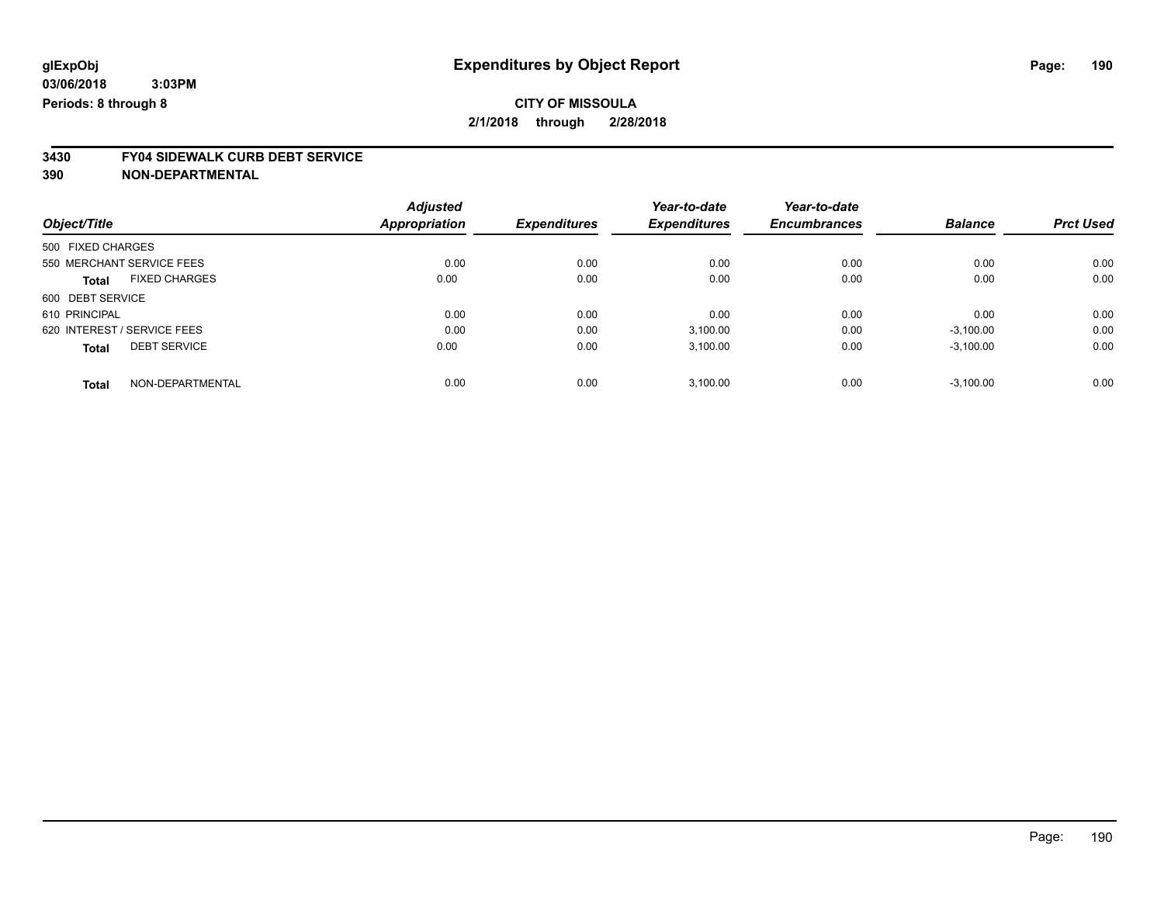# **3430 FY04 SIDEWALK CURB DEBT SERVICE**

|                                      | <b>Adjusted</b> | <b>Expenditures</b> | Year-to-date        | Year-to-date        |                | <b>Prct Used</b> |
|--------------------------------------|-----------------|---------------------|---------------------|---------------------|----------------|------------------|
| Object/Title                         | Appropriation   |                     | <b>Expenditures</b> | <b>Encumbrances</b> | <b>Balance</b> |                  |
| 500 FIXED CHARGES                    |                 |                     |                     |                     |                |                  |
| 550 MERCHANT SERVICE FEES            | 0.00            | 0.00                | 0.00                | 0.00                | 0.00           | 0.00             |
| <b>FIXED CHARGES</b><br><b>Total</b> | 0.00            | 0.00                | 0.00                | 0.00                | 0.00           | 0.00             |
| 600 DEBT SERVICE                     |                 |                     |                     |                     |                |                  |
| 610 PRINCIPAL                        | 0.00            | 0.00                | 0.00                | 0.00                | 0.00           | 0.00             |
| 620 INTEREST / SERVICE FEES          | 0.00            | 0.00                | 3,100.00            | 0.00                | $-3,100.00$    | 0.00             |
| <b>DEBT SERVICE</b><br><b>Total</b>  | 0.00            | 0.00                | 3,100.00            | 0.00                | $-3,100.00$    | 0.00             |
| NON-DEPARTMENTAL<br><b>Total</b>     | 0.00            | 0.00                | 3.100.00            | 0.00                | $-3.100.00$    | 0.00             |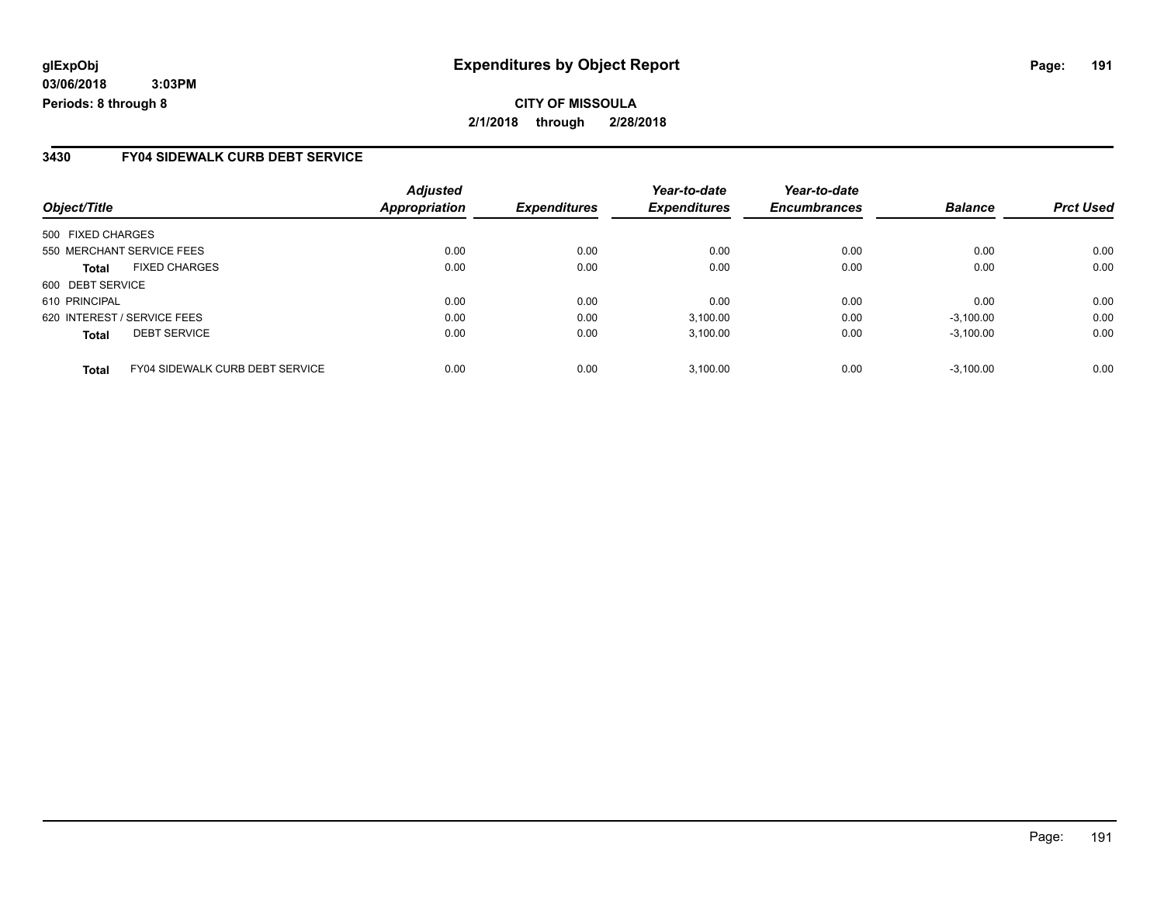### **3430 FY04 SIDEWALK CURB DEBT SERVICE**

|                                                        | <b>Adjusted</b>      |                     | Year-to-date        | Year-to-date        |                |                  |
|--------------------------------------------------------|----------------------|---------------------|---------------------|---------------------|----------------|------------------|
| Object/Title                                           | <b>Appropriation</b> | <b>Expenditures</b> | <b>Expenditures</b> | <b>Encumbrances</b> | <b>Balance</b> | <b>Prct Used</b> |
| 500 FIXED CHARGES                                      |                      |                     |                     |                     |                |                  |
| 550 MERCHANT SERVICE FEES                              | 0.00                 | 0.00                | 0.00                | 0.00                | 0.00           | 0.00             |
| <b>FIXED CHARGES</b><br><b>Total</b>                   | 0.00                 | 0.00                | 0.00                | 0.00                | 0.00           | 0.00             |
| 600 DEBT SERVICE                                       |                      |                     |                     |                     |                |                  |
| 610 PRINCIPAL                                          | 0.00                 | 0.00                | 0.00                | 0.00                | 0.00           | 0.00             |
| 620 INTEREST / SERVICE FEES                            | 0.00                 | 0.00                | 3,100.00            | 0.00                | $-3,100.00$    | 0.00             |
| <b>DEBT SERVICE</b><br><b>Total</b>                    | 0.00                 | 0.00                | 3,100.00            | 0.00                | $-3,100.00$    | 0.00             |
| <b>FY04 SIDEWALK CURB DEBT SERVICE</b><br><b>Total</b> | 0.00                 | 0.00                | 3.100.00            | 0.00                | $-3.100.00$    | 0.00             |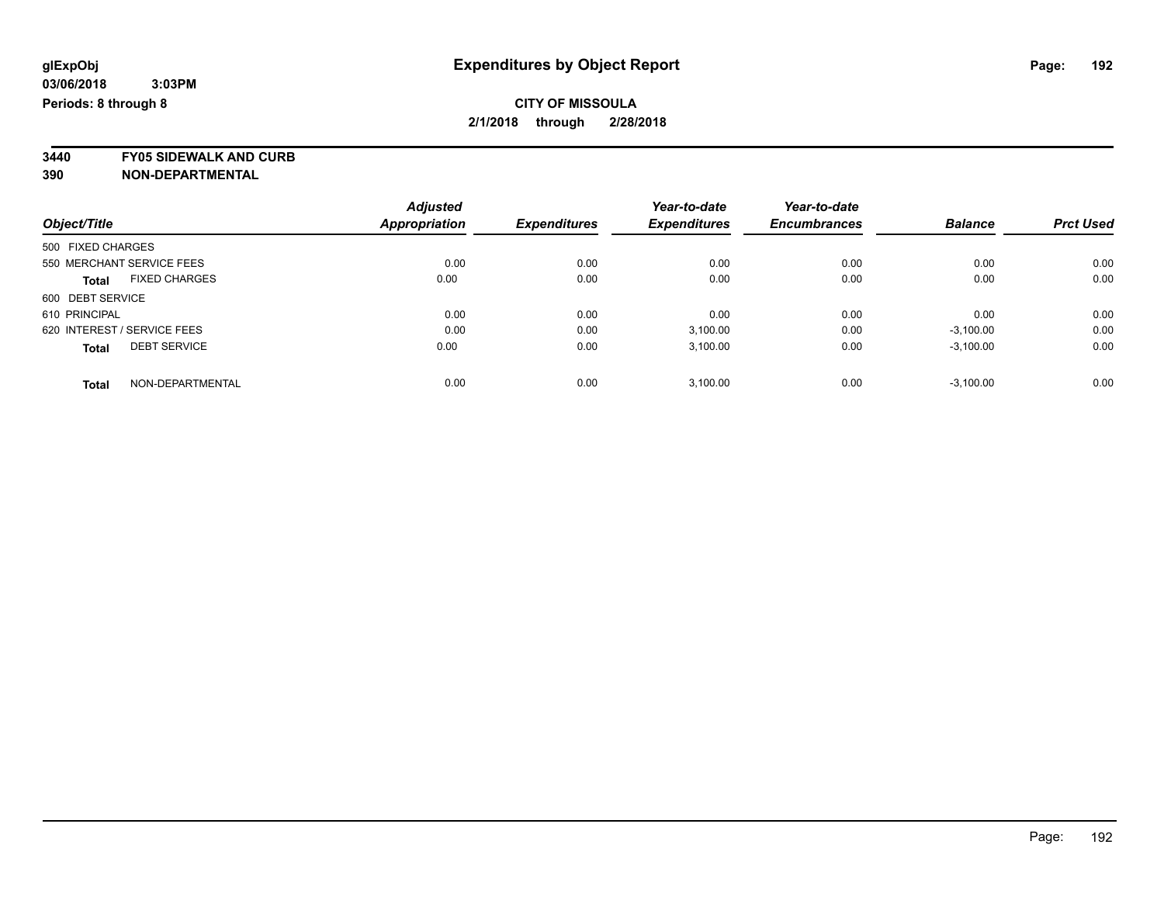**3440 FY05 SIDEWALK AND CURB**

|                                      | <b>Adjusted</b>      | <b>Expenditures</b> | Year-to-date<br><b>Expenditures</b> | Year-to-date        | <b>Balance</b> | <b>Prct Used</b> |
|--------------------------------------|----------------------|---------------------|-------------------------------------|---------------------|----------------|------------------|
| Object/Title                         | <b>Appropriation</b> |                     |                                     | <b>Encumbrances</b> |                |                  |
| 500 FIXED CHARGES                    |                      |                     |                                     |                     |                |                  |
| 550 MERCHANT SERVICE FEES            | 0.00                 | 0.00                | 0.00                                | 0.00                | 0.00           | 0.00             |
| <b>FIXED CHARGES</b><br><b>Total</b> | 0.00                 | 0.00                | 0.00                                | 0.00                | 0.00           | 0.00             |
| 600 DEBT SERVICE                     |                      |                     |                                     |                     |                |                  |
| 610 PRINCIPAL                        | 0.00                 | 0.00                | 0.00                                | 0.00                | 0.00           | 0.00             |
| 620 INTEREST / SERVICE FEES          | 0.00                 | 0.00                | 3,100.00                            | 0.00                | $-3,100.00$    | 0.00             |
| <b>DEBT SERVICE</b><br><b>Total</b>  | 0.00                 | 0.00                | 3.100.00                            | 0.00                | $-3.100.00$    | 0.00             |
| NON-DEPARTMENTAL<br><b>Total</b>     | 0.00                 | 0.00                | 3.100.00                            | 0.00                | $-3.100.00$    | 0.00             |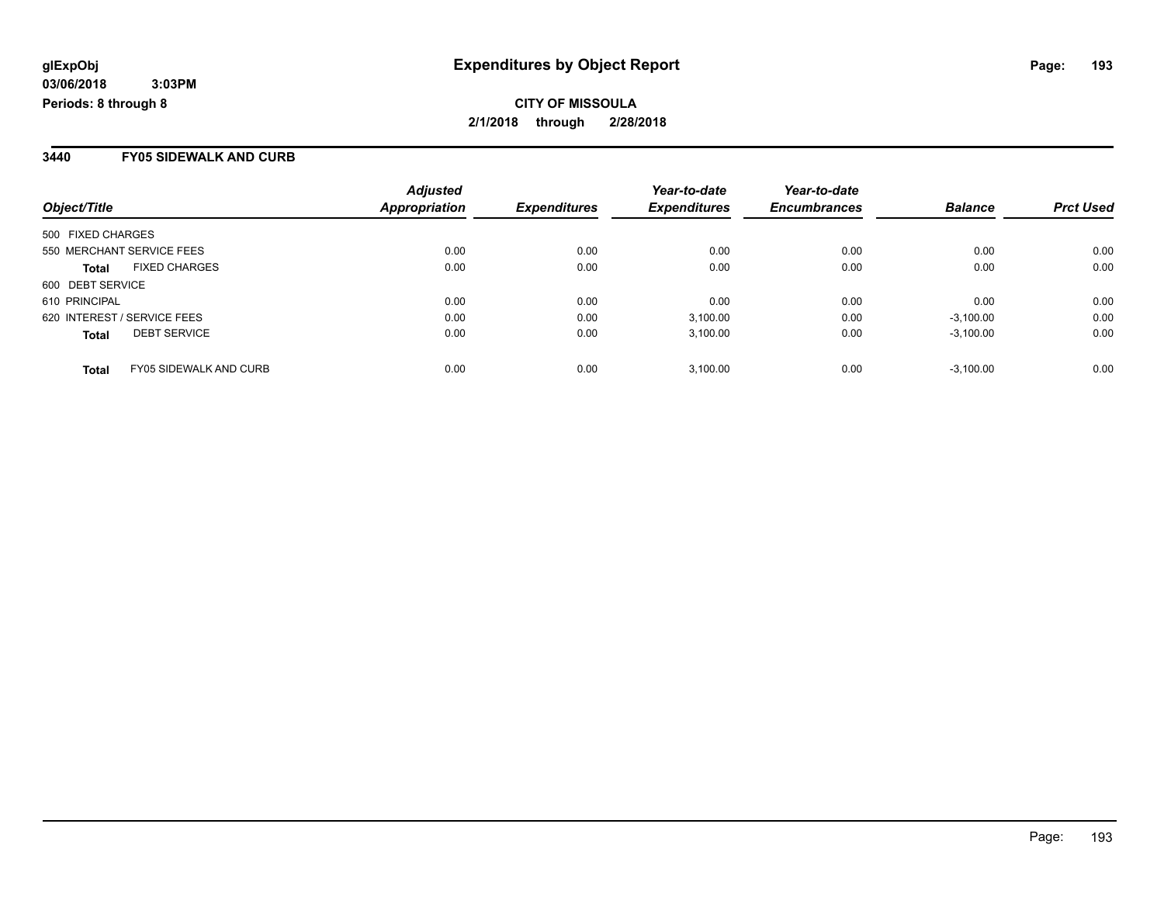### **3440 FY05 SIDEWALK AND CURB**

|                             |                               | <b>Adjusted</b>      |                     | Year-to-date        | Year-to-date        |                |                  |
|-----------------------------|-------------------------------|----------------------|---------------------|---------------------|---------------------|----------------|------------------|
| Object/Title                |                               | <b>Appropriation</b> | <b>Expenditures</b> | <b>Expenditures</b> | <b>Encumbrances</b> | <b>Balance</b> | <b>Prct Used</b> |
| 500 FIXED CHARGES           |                               |                      |                     |                     |                     |                |                  |
| 550 MERCHANT SERVICE FEES   |                               | 0.00                 | 0.00                | 0.00                | 0.00                | 0.00           | 0.00             |
| <b>Total</b>                | <b>FIXED CHARGES</b>          | 0.00                 | 0.00                | 0.00                | 0.00                | 0.00           | 0.00             |
| 600 DEBT SERVICE            |                               |                      |                     |                     |                     |                |                  |
| 610 PRINCIPAL               |                               | 0.00                 | 0.00                | 0.00                | 0.00                | 0.00           | 0.00             |
| 620 INTEREST / SERVICE FEES |                               | 0.00                 | 0.00                | 3,100.00            | 0.00                | $-3,100.00$    | 0.00             |
| <b>Total</b>                | <b>DEBT SERVICE</b>           | 0.00                 | 0.00                | 3.100.00            | 0.00                | $-3.100.00$    | 0.00             |
| <b>Total</b>                | <b>FY05 SIDEWALK AND CURB</b> | 0.00                 | 0.00                | 3.100.00            | 0.00                | $-3.100.00$    | 0.00             |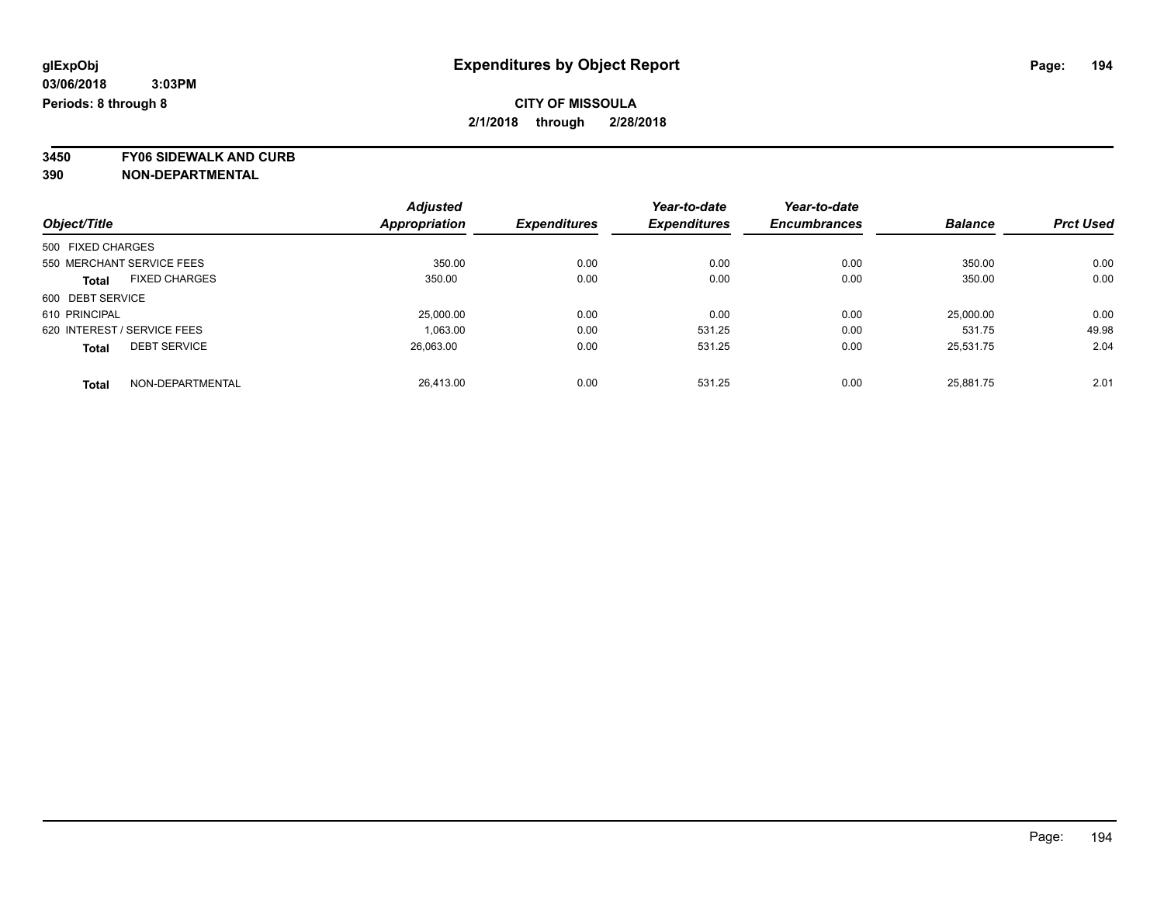**3450 FY06 SIDEWALK AND CURB**

|                                      | <b>Adjusted</b>      |                     | Year-to-date        | Year-to-date        |                |                  |
|--------------------------------------|----------------------|---------------------|---------------------|---------------------|----------------|------------------|
| Object/Title                         | <b>Appropriation</b> | <b>Expenditures</b> | <b>Expenditures</b> | <b>Encumbrances</b> | <b>Balance</b> | <b>Prct Used</b> |
| 500 FIXED CHARGES                    |                      |                     |                     |                     |                |                  |
| 550 MERCHANT SERVICE FEES            | 350.00               | 0.00                | 0.00                | 0.00                | 350.00         | 0.00             |
| <b>FIXED CHARGES</b><br><b>Total</b> | 350.00               | 0.00                | 0.00                | 0.00                | 350.00         | 0.00             |
| 600 DEBT SERVICE                     |                      |                     |                     |                     |                |                  |
| 610 PRINCIPAL                        | 25,000.00            | 0.00                | 0.00                | 0.00                | 25,000.00      | 0.00             |
| 620 INTEREST / SERVICE FEES          | 1.063.00             | 0.00                | 531.25              | 0.00                | 531.75         | 49.98            |
| <b>DEBT SERVICE</b><br><b>Total</b>  | 26,063.00            | 0.00                | 531.25              | 0.00                | 25,531.75      | 2.04             |
| NON-DEPARTMENTAL<br><b>Total</b>     | 26.413.00            | 0.00                | 531.25              | 0.00                | 25.881.75      | 2.01             |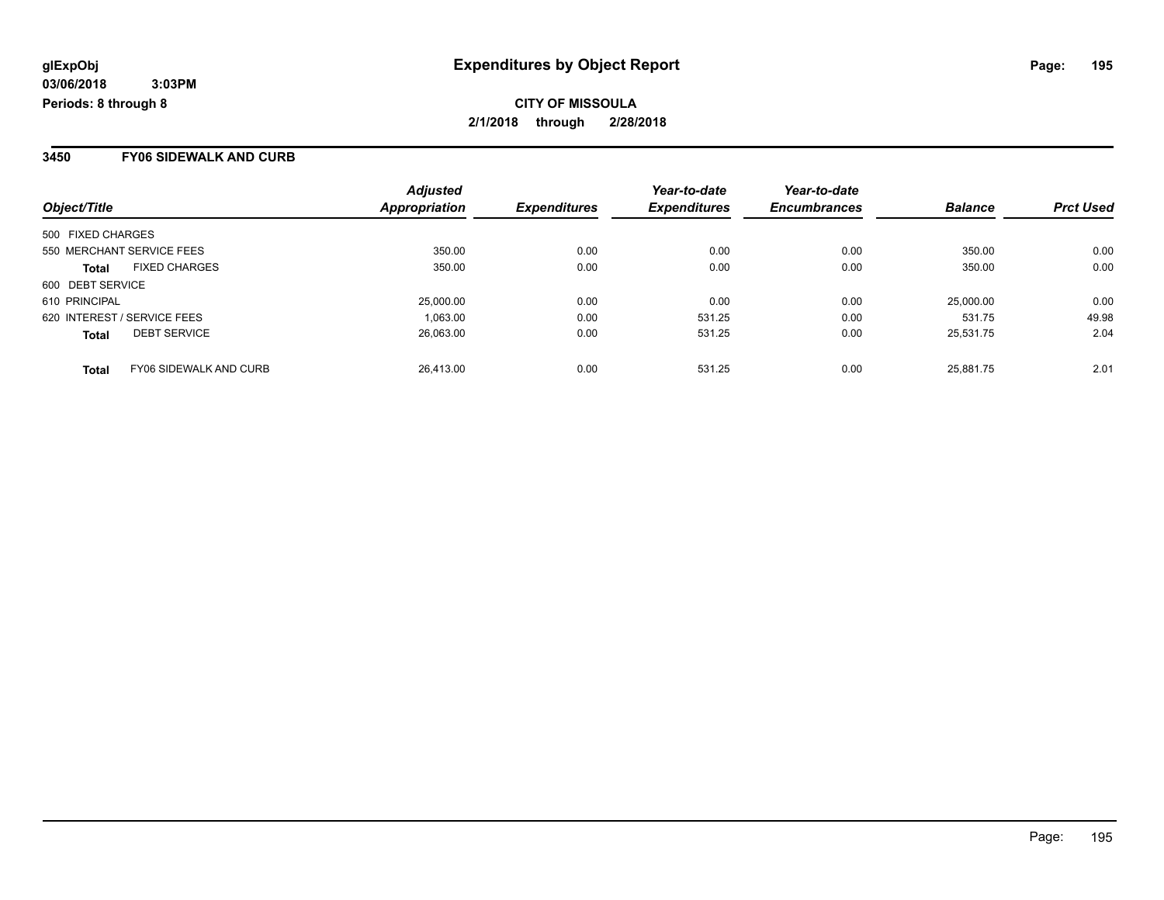### **3450 FY06 SIDEWALK AND CURB**

| Object/Title      |                               | <b>Adjusted</b><br>Appropriation | <b>Expenditures</b> | Year-to-date<br><b>Expenditures</b> | Year-to-date<br><b>Encumbrances</b> | <b>Balance</b> | <b>Prct Used</b> |
|-------------------|-------------------------------|----------------------------------|---------------------|-------------------------------------|-------------------------------------|----------------|------------------|
| 500 FIXED CHARGES |                               |                                  |                     |                                     |                                     |                |                  |
|                   |                               |                                  |                     |                                     |                                     |                |                  |
|                   | 550 MERCHANT SERVICE FEES     | 350.00                           | 0.00                | 0.00                                | 0.00                                | 350.00         | 0.00             |
| <b>Total</b>      | <b>FIXED CHARGES</b>          | 350.00                           | 0.00                | 0.00                                | 0.00                                | 350.00         | 0.00             |
| 600 DEBT SERVICE  |                               |                                  |                     |                                     |                                     |                |                  |
| 610 PRINCIPAL     |                               | 25,000.00                        | 0.00                | 0.00                                | 0.00                                | 25,000.00      | 0.00             |
|                   | 620 INTEREST / SERVICE FEES   | 1,063.00                         | 0.00                | 531.25                              | 0.00                                | 531.75         | 49.98            |
| <b>Total</b>      | <b>DEBT SERVICE</b>           | 26,063.00                        | 0.00                | 531.25                              | 0.00                                | 25,531.75      | 2.04             |
| <b>Total</b>      | <b>FY06 SIDEWALK AND CURB</b> | 26.413.00                        | 0.00                | 531.25                              | 0.00                                | 25.881.75      | 2.01             |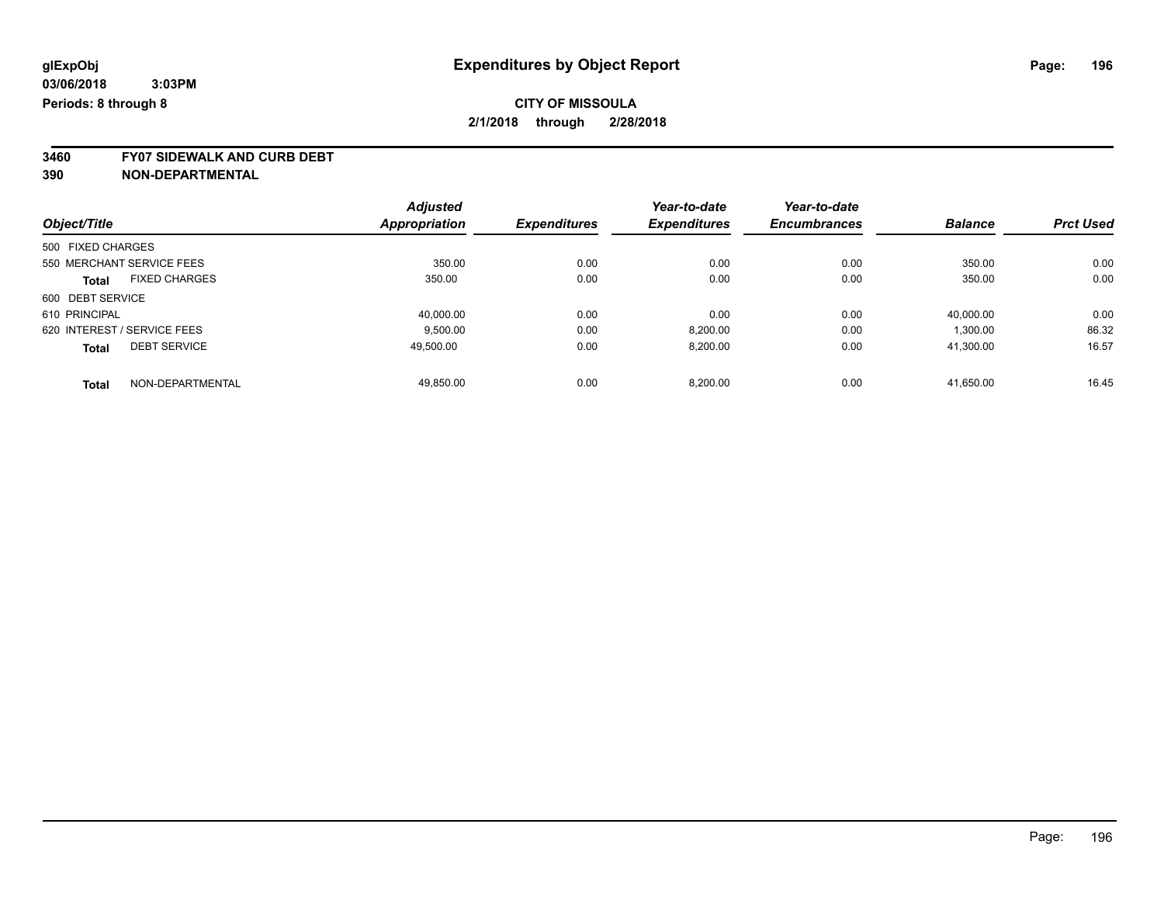**3460 FY07 SIDEWALK AND CURB DEBT**

| Object/Title                |                      | <b>Adjusted</b> | <b>Expenditures</b> | Year-to-date        | Year-to-date<br><b>Encumbrances</b> | <b>Balance</b> | <b>Prct Used</b> |
|-----------------------------|----------------------|-----------------|---------------------|---------------------|-------------------------------------|----------------|------------------|
|                             |                      | Appropriation   |                     | <b>Expenditures</b> |                                     |                |                  |
| 500 FIXED CHARGES           |                      |                 |                     |                     |                                     |                |                  |
| 550 MERCHANT SERVICE FEES   |                      | 350.00          | 0.00                | 0.00                | 0.00                                | 350.00         | 0.00             |
| <b>Total</b>                | <b>FIXED CHARGES</b> | 350.00          | 0.00                | 0.00                | 0.00                                | 350.00         | 0.00             |
| 600 DEBT SERVICE            |                      |                 |                     |                     |                                     |                |                  |
| 610 PRINCIPAL               |                      | 40,000.00       | 0.00                | 0.00                | 0.00                                | 40,000.00      | 0.00             |
| 620 INTEREST / SERVICE FEES |                      | 9.500.00        | 0.00                | 8,200.00            | 0.00                                | 1,300.00       | 86.32            |
| <b>Total</b>                | <b>DEBT SERVICE</b>  | 49.500.00       | 0.00                | 8,200.00            | 0.00                                | 41,300.00      | 16.57            |
| <b>Total</b>                | NON-DEPARTMENTAL     | 49.850.00       | 0.00                | 8.200.00            | 0.00                                | 41.650.00      | 16.45            |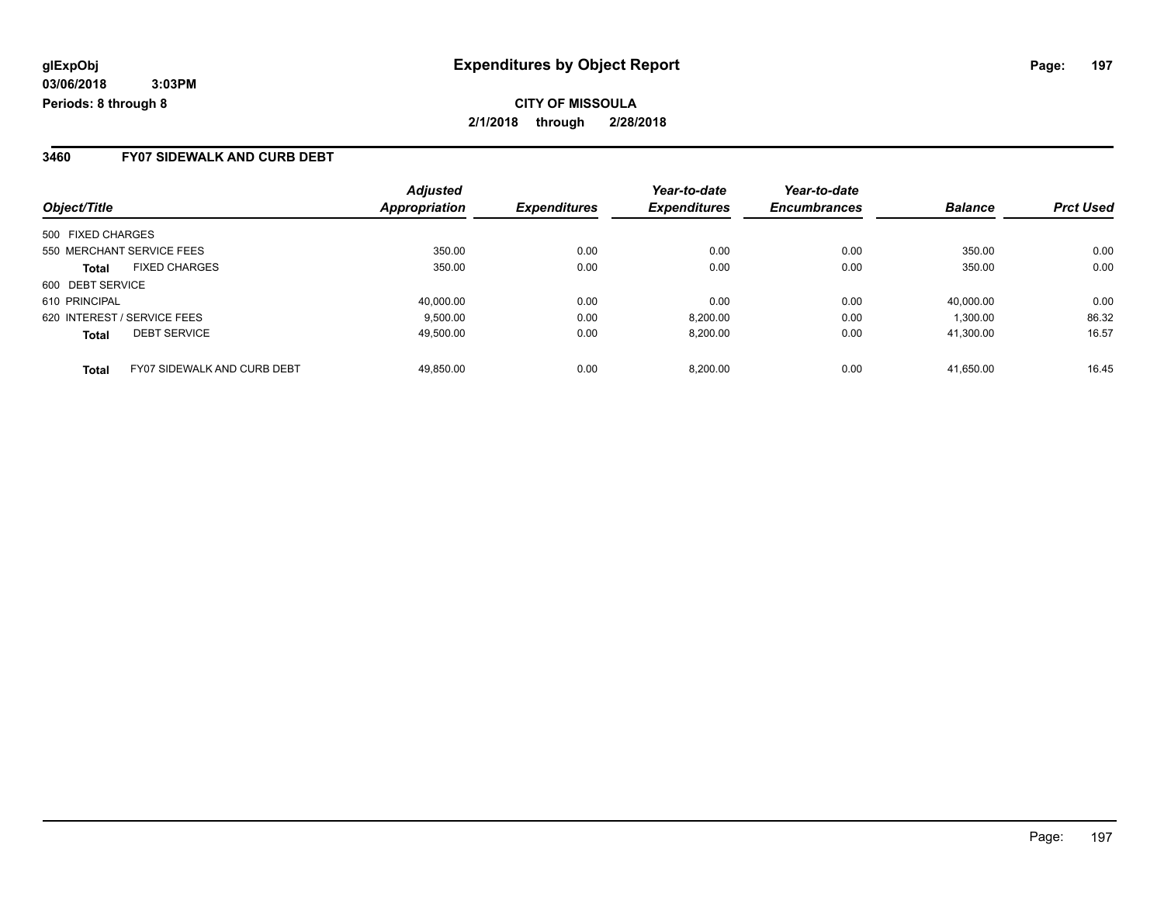### **3460 FY07 SIDEWALK AND CURB DEBT**

|                                                    | <b>Adjusted</b> |                     | Year-to-date        | Year-to-date        | <b>Balance</b> |                  |
|----------------------------------------------------|-----------------|---------------------|---------------------|---------------------|----------------|------------------|
| Object/Title                                       | Appropriation   | <b>Expenditures</b> | <b>Expenditures</b> | <b>Encumbrances</b> |                | <b>Prct Used</b> |
| 500 FIXED CHARGES                                  |                 |                     |                     |                     |                |                  |
| 550 MERCHANT SERVICE FEES                          | 350.00          | 0.00                | 0.00                | 0.00                | 350.00         | 0.00             |
| <b>FIXED CHARGES</b><br><b>Total</b>               | 350.00          | 0.00                | 0.00                | 0.00                | 350.00         | 0.00             |
| 600 DEBT SERVICE                                   |                 |                     |                     |                     |                |                  |
| 610 PRINCIPAL                                      | 40,000.00       | 0.00                | 0.00                | 0.00                | 40.000.00      | 0.00             |
| 620 INTEREST / SERVICE FEES                        | 9,500.00        | 0.00                | 8,200.00            | 0.00                | 1,300.00       | 86.32            |
| <b>DEBT SERVICE</b><br><b>Total</b>                | 49.500.00       | 0.00                | 8.200.00            | 0.00                | 41.300.00      | 16.57            |
| <b>FY07 SIDEWALK AND CURB DEBT</b><br><b>Total</b> | 49.850.00       | 0.00                | 8.200.00            | 0.00                | 41.650.00      | 16.45            |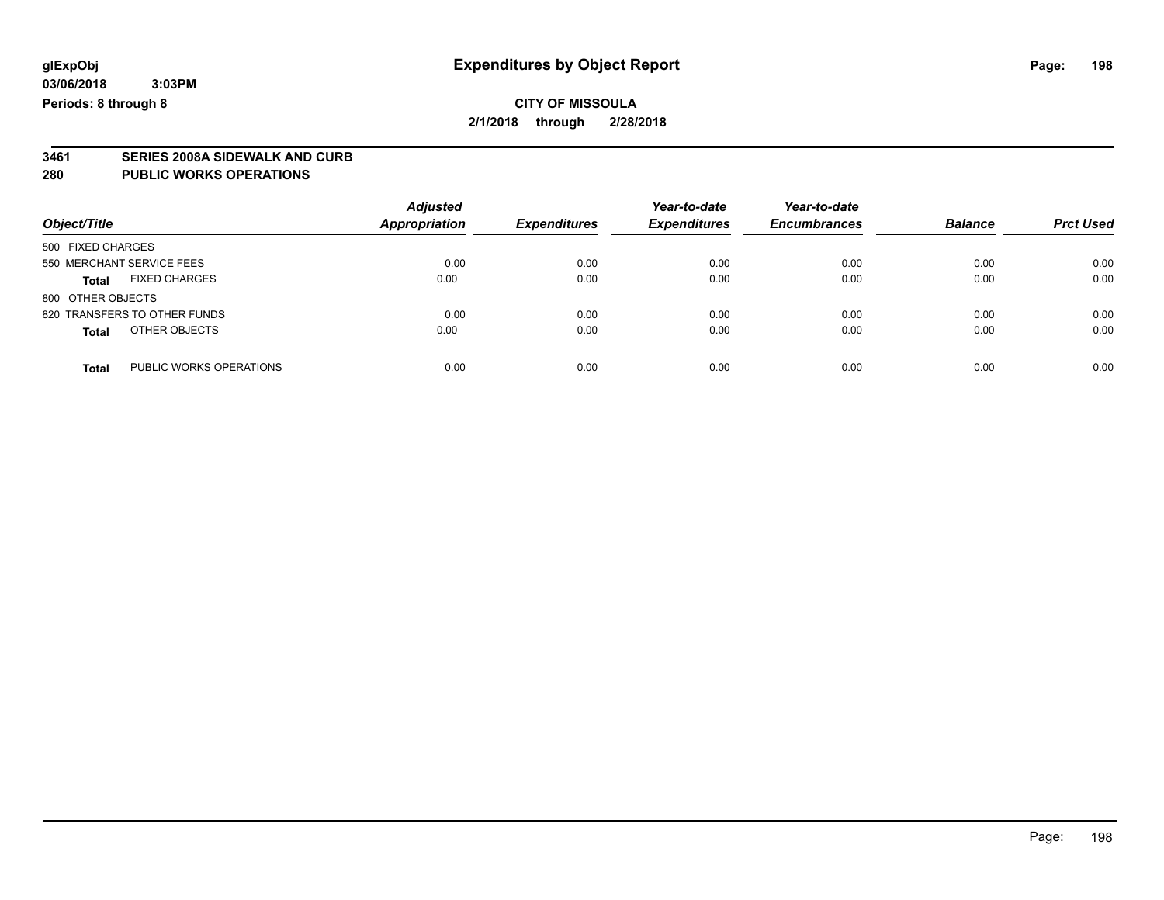## **CITY OF MISSOULA 2/1/2018 through 2/28/2018**

## **3461 SERIES 2008A SIDEWALK AND CURB**

#### **280 PUBLIC WORKS OPERATIONS**

| Object/Title                            | <b>Adjusted</b><br><b>Appropriation</b> | <b>Expenditures</b> | Year-to-date<br><b>Expenditures</b> | Year-to-date<br><b>Encumbrances</b> | <b>Balance</b> | <b>Prct Used</b> |
|-----------------------------------------|-----------------------------------------|---------------------|-------------------------------------|-------------------------------------|----------------|------------------|
| 500 FIXED CHARGES                       |                                         |                     |                                     |                                     |                |                  |
| 550 MERCHANT SERVICE FEES               | 0.00                                    | 0.00                | 0.00                                | 0.00                                | 0.00           | 0.00             |
| <b>FIXED CHARGES</b><br><b>Total</b>    | 0.00                                    | 0.00                | 0.00                                | 0.00                                | 0.00           | 0.00             |
| 800 OTHER OBJECTS                       |                                         |                     |                                     |                                     |                |                  |
| 820 TRANSFERS TO OTHER FUNDS            | 0.00                                    | 0.00                | 0.00                                | 0.00                                | 0.00           | 0.00             |
| OTHER OBJECTS<br><b>Total</b>           | 0.00                                    | 0.00                | 0.00                                | 0.00                                | 0.00           | 0.00             |
| PUBLIC WORKS OPERATIONS<br><b>Total</b> | 0.00                                    | 0.00                | 0.00                                | 0.00                                | 0.00           | 0.00             |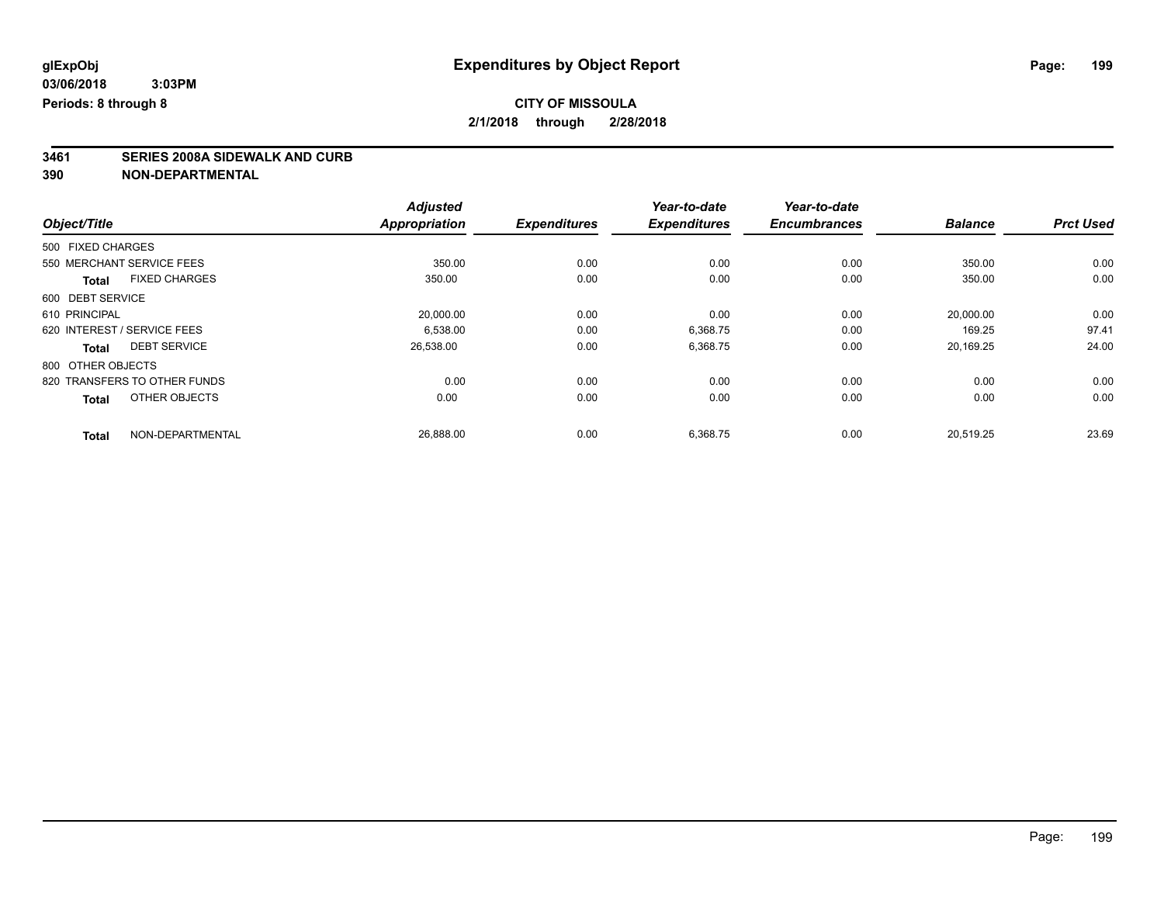## **3461 SERIES 2008A SIDEWALK AND CURB**

|                   |                              | <b>Adjusted</b>      |                     | Year-to-date        | Year-to-date        |                |                  |
|-------------------|------------------------------|----------------------|---------------------|---------------------|---------------------|----------------|------------------|
| Object/Title      |                              | <b>Appropriation</b> | <b>Expenditures</b> | <b>Expenditures</b> | <b>Encumbrances</b> | <b>Balance</b> | <b>Prct Used</b> |
| 500 FIXED CHARGES |                              |                      |                     |                     |                     |                |                  |
|                   | 550 MERCHANT SERVICE FEES    | 350.00               | 0.00                | 0.00                | 0.00                | 350.00         | 0.00             |
| <b>Total</b>      | <b>FIXED CHARGES</b>         | 350.00               | 0.00                | 0.00                | 0.00                | 350.00         | 0.00             |
| 600 DEBT SERVICE  |                              |                      |                     |                     |                     |                |                  |
| 610 PRINCIPAL     |                              | 20,000.00            | 0.00                | 0.00                | 0.00                | 20,000.00      | 0.00             |
|                   | 620 INTEREST / SERVICE FEES  | 6.538.00             | 0.00                | 6,368.75            | 0.00                | 169.25         | 97.41            |
| <b>Total</b>      | <b>DEBT SERVICE</b>          | 26,538.00            | 0.00                | 6,368.75            | 0.00                | 20,169.25      | 24.00            |
| 800 OTHER OBJECTS |                              |                      |                     |                     |                     |                |                  |
|                   | 820 TRANSFERS TO OTHER FUNDS | 0.00                 | 0.00                | 0.00                | 0.00                | 0.00           | 0.00             |
| <b>Total</b>      | OTHER OBJECTS                | 0.00                 | 0.00                | 0.00                | 0.00                | 0.00           | 0.00             |
| <b>Total</b>      | NON-DEPARTMENTAL             | 26,888.00            | 0.00                | 6,368.75            | 0.00                | 20,519.25      | 23.69            |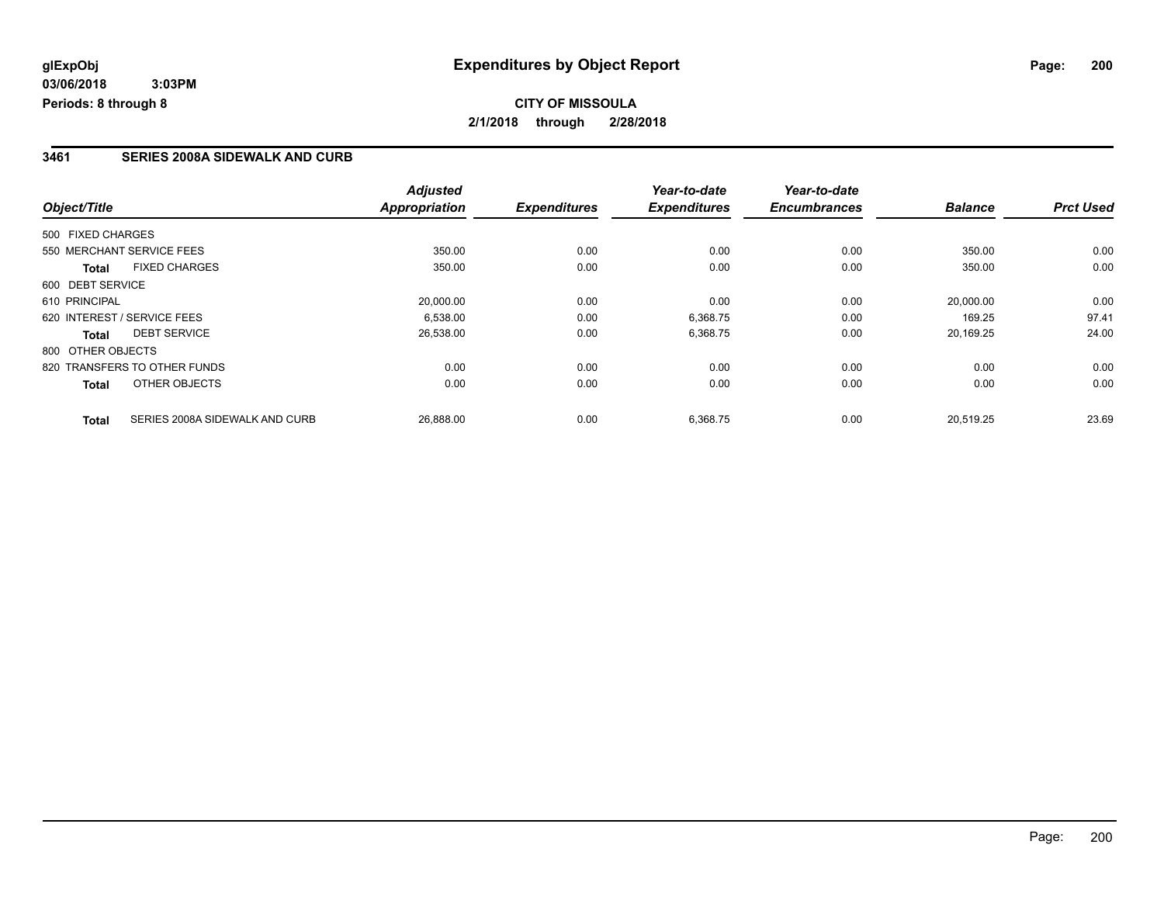## **CITY OF MISSOULA 2/1/2018 through 2/28/2018**

### **3461 SERIES 2008A SIDEWALK AND CURB**

|                   |                                | <b>Adjusted</b>      |                     | Year-to-date        | Year-to-date        |                |                  |
|-------------------|--------------------------------|----------------------|---------------------|---------------------|---------------------|----------------|------------------|
| Object/Title      |                                | <b>Appropriation</b> | <b>Expenditures</b> | <b>Expenditures</b> | <b>Encumbrances</b> | <b>Balance</b> | <b>Prct Used</b> |
| 500 FIXED CHARGES |                                |                      |                     |                     |                     |                |                  |
|                   | 550 MERCHANT SERVICE FEES      | 350.00               | 0.00                | 0.00                | 0.00                | 350.00         | 0.00             |
| <b>Total</b>      | <b>FIXED CHARGES</b>           | 350.00               | 0.00                | 0.00                | 0.00                | 350.00         | 0.00             |
| 600 DEBT SERVICE  |                                |                      |                     |                     |                     |                |                  |
| 610 PRINCIPAL     |                                | 20,000.00            | 0.00                | 0.00                | 0.00                | 20,000.00      | 0.00             |
|                   | 620 INTEREST / SERVICE FEES    | 6.538.00             | 0.00                | 6,368.75            | 0.00                | 169.25         | 97.41            |
| Total             | <b>DEBT SERVICE</b>            | 26,538.00            | 0.00                | 6,368.75            | 0.00                | 20,169.25      | 24.00            |
| 800 OTHER OBJECTS |                                |                      |                     |                     |                     |                |                  |
|                   | 820 TRANSFERS TO OTHER FUNDS   | 0.00                 | 0.00                | 0.00                | 0.00                | 0.00           | 0.00             |
| <b>Total</b>      | OTHER OBJECTS                  | 0.00                 | 0.00                | 0.00                | 0.00                | 0.00           | 0.00             |
| <b>Total</b>      | SERIES 2008A SIDEWALK AND CURB | 26,888.00            | 0.00                | 6,368.75            | 0.00                | 20.519.25      | 23.69            |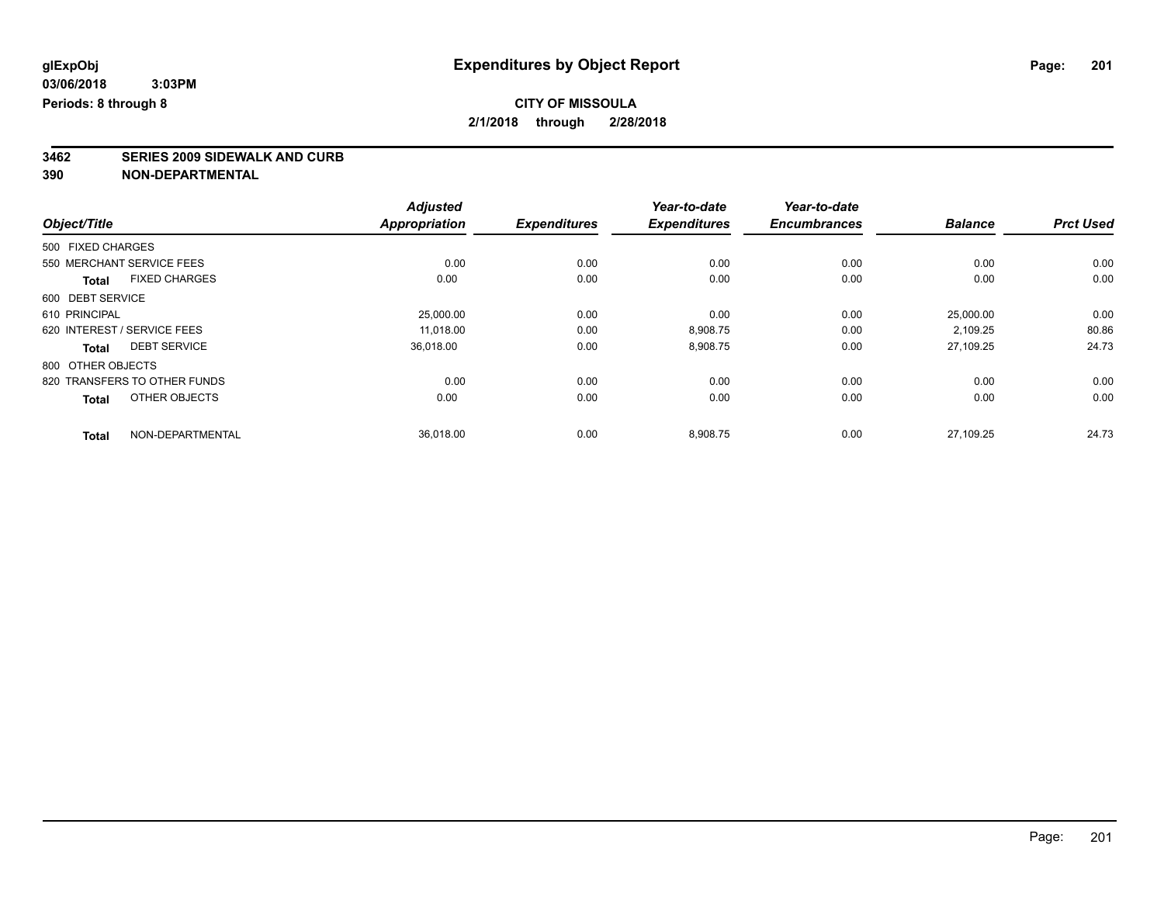# **3462 SERIES 2009 SIDEWALK AND CURB**

|                                      | <b>Adjusted</b>      |                     | Year-to-date        | Year-to-date        |                |                  |
|--------------------------------------|----------------------|---------------------|---------------------|---------------------|----------------|------------------|
| Object/Title                         | <b>Appropriation</b> | <b>Expenditures</b> | <b>Expenditures</b> | <b>Encumbrances</b> | <b>Balance</b> | <b>Prct Used</b> |
| 500 FIXED CHARGES                    |                      |                     |                     |                     |                |                  |
| 550 MERCHANT SERVICE FEES            | 0.00                 | 0.00                | 0.00                | 0.00                | 0.00           | 0.00             |
| <b>FIXED CHARGES</b><br><b>Total</b> | 0.00                 | 0.00                | 0.00                | 0.00                | 0.00           | 0.00             |
| 600 DEBT SERVICE                     |                      |                     |                     |                     |                |                  |
| 610 PRINCIPAL                        | 25,000.00            | 0.00                | 0.00                | 0.00                | 25,000.00      | 0.00             |
| 620 INTEREST / SERVICE FEES          | 11.018.00            | 0.00                | 8,908.75            | 0.00                | 2,109.25       | 80.86            |
| <b>DEBT SERVICE</b><br><b>Total</b>  | 36,018.00            | 0.00                | 8,908.75            | 0.00                | 27,109.25      | 24.73            |
| 800 OTHER OBJECTS                    |                      |                     |                     |                     |                |                  |
| 820 TRANSFERS TO OTHER FUNDS         | 0.00                 | 0.00                | 0.00                | 0.00                | 0.00           | 0.00             |
| OTHER OBJECTS<br><b>Total</b>        | 0.00                 | 0.00                | 0.00                | 0.00                | 0.00           | 0.00             |
| NON-DEPARTMENTAL<br><b>Total</b>     | 36,018.00            | 0.00                | 8,908.75            | 0.00                | 27.109.25      | 24.73            |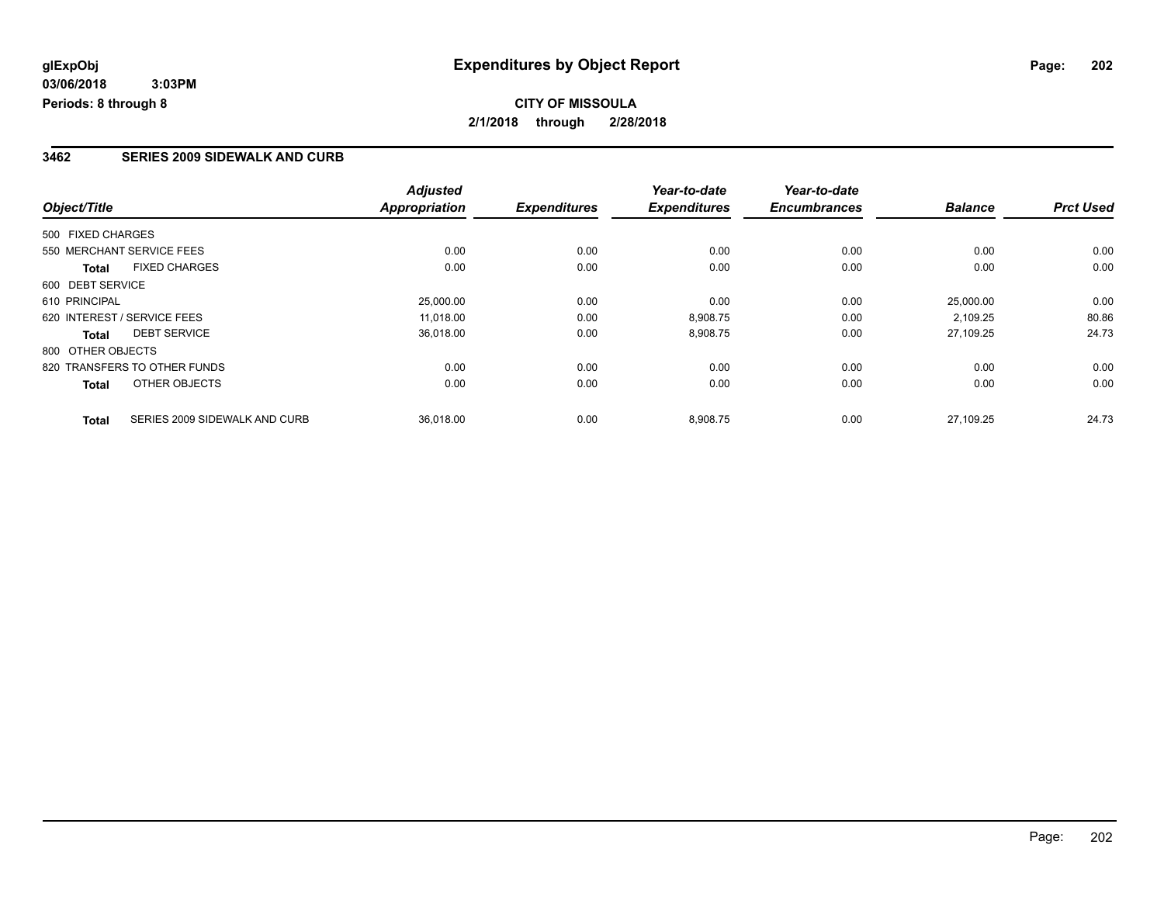### **3462 SERIES 2009 SIDEWALK AND CURB**

|                                               | <b>Adjusted</b>      |                     | Year-to-date        | Year-to-date        |                |                  |
|-----------------------------------------------|----------------------|---------------------|---------------------|---------------------|----------------|------------------|
| Object/Title                                  | <b>Appropriation</b> | <b>Expenditures</b> | <b>Expenditures</b> | <b>Encumbrances</b> | <b>Balance</b> | <b>Prct Used</b> |
| 500 FIXED CHARGES                             |                      |                     |                     |                     |                |                  |
| 550 MERCHANT SERVICE FEES                     | 0.00                 | 0.00                | 0.00                | 0.00                | 0.00           | 0.00             |
| <b>FIXED CHARGES</b><br><b>Total</b>          | 0.00                 | 0.00                | 0.00                | 0.00                | 0.00           | 0.00             |
| 600 DEBT SERVICE                              |                      |                     |                     |                     |                |                  |
| 610 PRINCIPAL                                 | 25,000.00            | 0.00                | 0.00                | 0.00                | 25.000.00      | 0.00             |
| 620 INTEREST / SERVICE FEES                   | 11,018.00            | 0.00                | 8,908.75            | 0.00                | 2,109.25       | 80.86            |
| <b>DEBT SERVICE</b><br>Total                  | 36,018.00            | 0.00                | 8,908.75            | 0.00                | 27.109.25      | 24.73            |
| 800 OTHER OBJECTS                             |                      |                     |                     |                     |                |                  |
| 820 TRANSFERS TO OTHER FUNDS                  | 0.00                 | 0.00                | 0.00                | 0.00                | 0.00           | 0.00             |
| OTHER OBJECTS<br><b>Total</b>                 | 0.00                 | 0.00                | 0.00                | 0.00                | 0.00           | 0.00             |
| SERIES 2009 SIDEWALK AND CURB<br><b>Total</b> | 36,018.00            | 0.00                | 8,908.75            | 0.00                | 27.109.25      | 24.73            |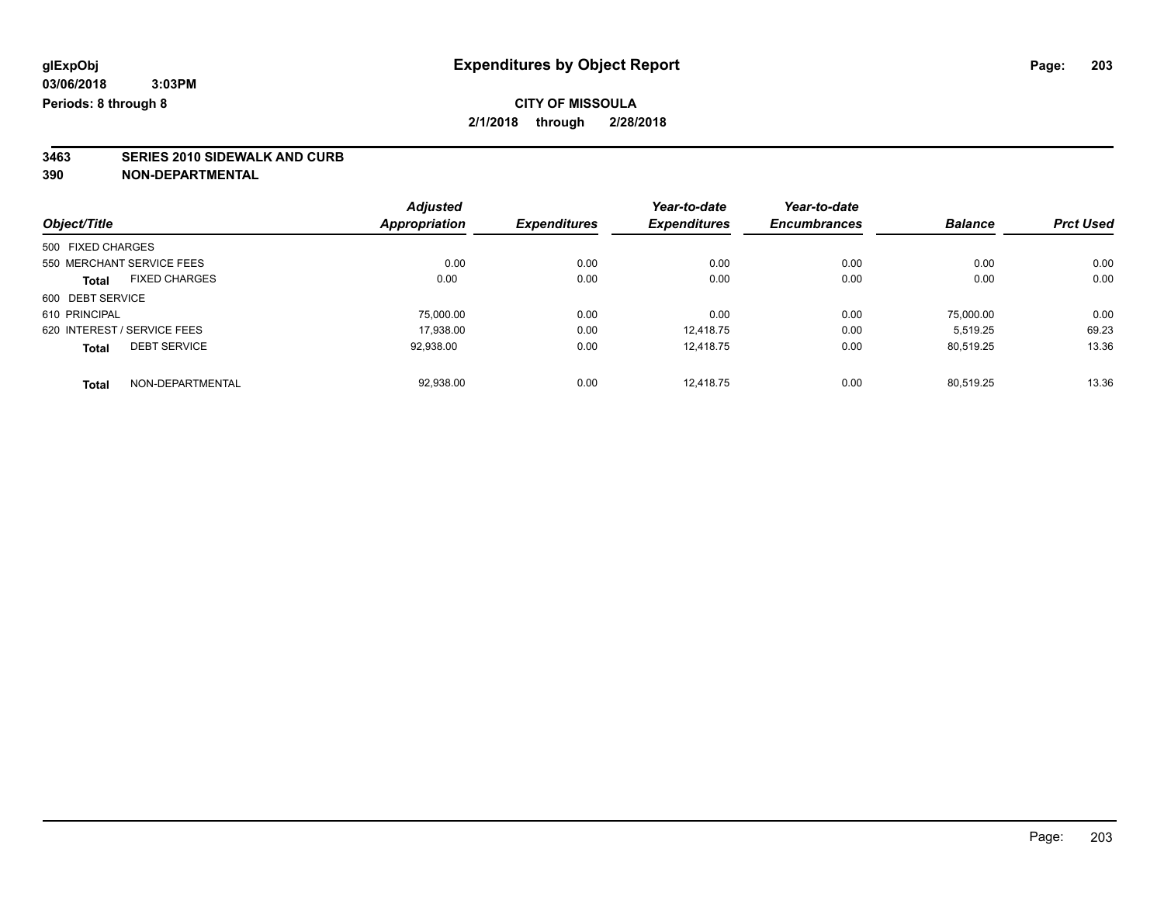# **3463 SERIES 2010 SIDEWALK AND CURB**

|                             |                      | <b>Adjusted</b> |                     | Year-to-date        | Year-to-date        |                |                  |
|-----------------------------|----------------------|-----------------|---------------------|---------------------|---------------------|----------------|------------------|
| Object/Title                |                      | Appropriation   | <b>Expenditures</b> | <b>Expenditures</b> | <b>Encumbrances</b> | <b>Balance</b> | <b>Prct Used</b> |
| 500 FIXED CHARGES           |                      |                 |                     |                     |                     |                |                  |
| 550 MERCHANT SERVICE FEES   |                      | 0.00            | 0.00                | 0.00                | 0.00                | 0.00           | 0.00             |
| <b>Total</b>                | <b>FIXED CHARGES</b> | 0.00            | 0.00                | 0.00                | 0.00                | 0.00           | 0.00             |
| 600 DEBT SERVICE            |                      |                 |                     |                     |                     |                |                  |
| 610 PRINCIPAL               |                      | 75,000.00       | 0.00                | 0.00                | 0.00                | 75.000.00      | 0.00             |
| 620 INTEREST / SERVICE FEES |                      | 17,938.00       | 0.00                | 12.418.75           | 0.00                | 5,519.25       | 69.23            |
| <b>Total</b>                | <b>DEBT SERVICE</b>  | 92,938.00       | 0.00                | 12.418.75           | 0.00                | 80.519.25      | 13.36            |
| <b>Total</b>                | NON-DEPARTMENTAL     | 92.938.00       | 0.00                | 12.418.75           | 0.00                | 80.519.25      | 13.36            |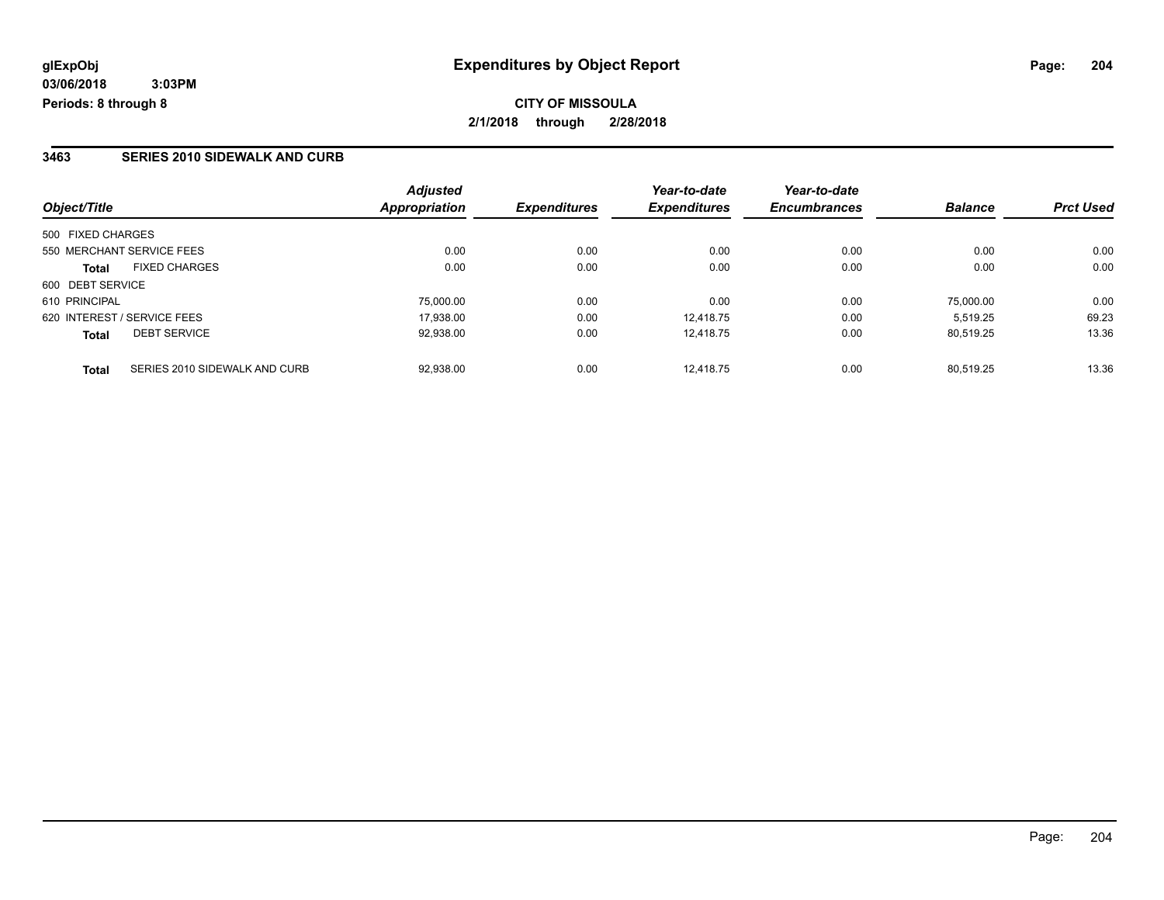**CITY OF MISSOULA 2/1/2018 through 2/28/2018**

### **3463 SERIES 2010 SIDEWALK AND CURB**

| Object/Title                                  | <b>Adjusted</b><br>Appropriation | <b>Expenditures</b> | Year-to-date<br><b>Expenditures</b> | Year-to-date<br><b>Encumbrances</b> | <b>Balance</b> | <b>Prct Used</b> |
|-----------------------------------------------|----------------------------------|---------------------|-------------------------------------|-------------------------------------|----------------|------------------|
|                                               |                                  |                     |                                     |                                     |                |                  |
| 500 FIXED CHARGES                             |                                  |                     |                                     |                                     |                |                  |
| 550 MERCHANT SERVICE FEES                     | 0.00                             | 0.00                | 0.00                                | 0.00                                | 0.00           | 0.00             |
| <b>FIXED CHARGES</b><br><b>Total</b>          | 0.00                             | 0.00                | 0.00                                | 0.00                                | 0.00           | 0.00             |
| 600 DEBT SERVICE                              |                                  |                     |                                     |                                     |                |                  |
| 610 PRINCIPAL                                 | 75,000.00                        | 0.00                | 0.00                                | 0.00                                | 75,000.00      | 0.00             |
| 620 INTEREST / SERVICE FEES                   | 17,938.00                        | 0.00                | 12.418.75                           | 0.00                                | 5.519.25       | 69.23            |
| <b>DEBT SERVICE</b><br><b>Total</b>           | 92,938.00                        | 0.00                | 12.418.75                           | 0.00                                | 80,519.25      | 13.36            |
| SERIES 2010 SIDEWALK AND CURB<br><b>Total</b> | 92.938.00                        | 0.00                | 12.418.75                           | 0.00                                | 80.519.25      | 13.36            |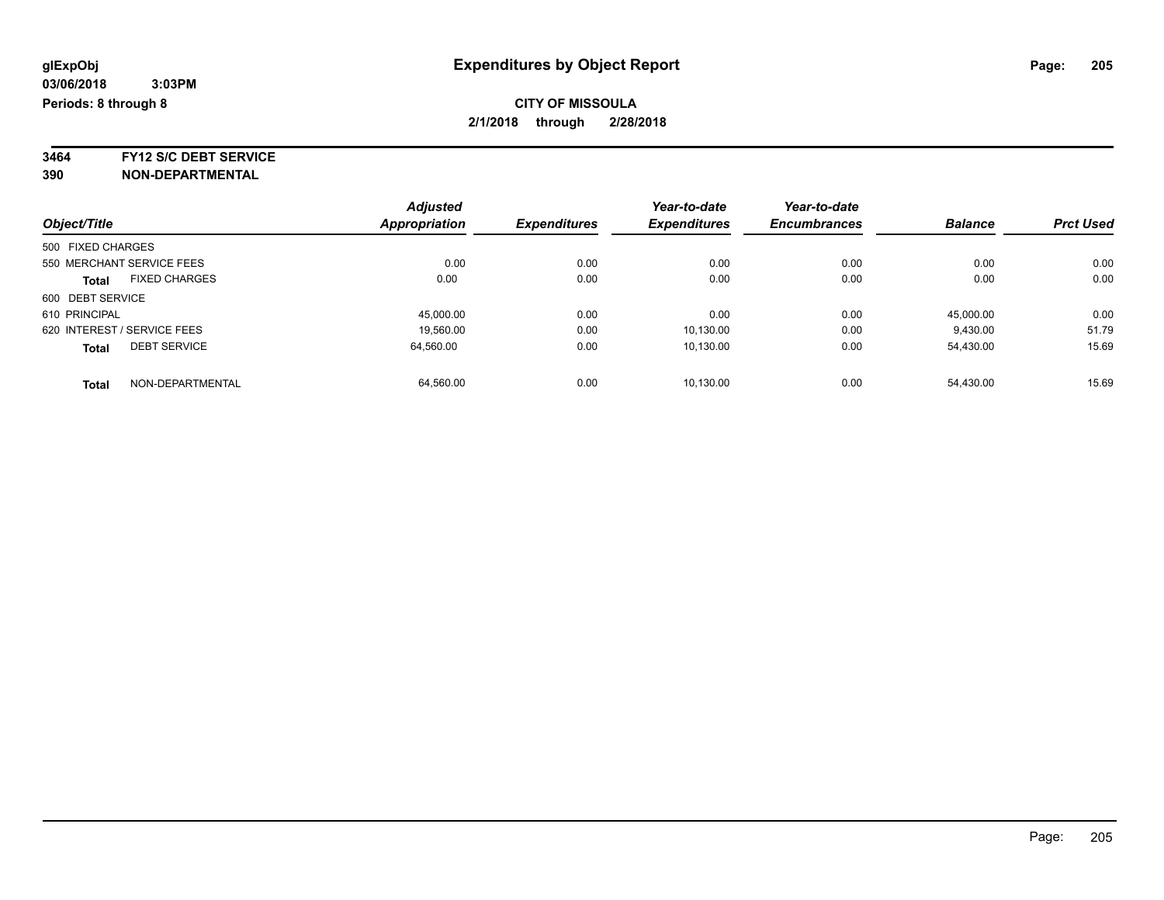**3464 FY12 S/C DEBT SERVICE**

|                                      | <b>Adjusted</b> |                     | Year-to-date        | Year-to-date        |                |                  |
|--------------------------------------|-----------------|---------------------|---------------------|---------------------|----------------|------------------|
| Object/Title                         | Appropriation   | <b>Expenditures</b> | <b>Expenditures</b> | <b>Encumbrances</b> | <b>Balance</b> | <b>Prct Used</b> |
| 500 FIXED CHARGES                    |                 |                     |                     |                     |                |                  |
| 550 MERCHANT SERVICE FEES            | 0.00            | 0.00                | 0.00                | 0.00                | 0.00           | 0.00             |
| <b>FIXED CHARGES</b><br><b>Total</b> | 0.00            | 0.00                | 0.00                | 0.00                | 0.00           | 0.00             |
| 600 DEBT SERVICE                     |                 |                     |                     |                     |                |                  |
| 610 PRINCIPAL                        | 45,000.00       | 0.00                | 0.00                | 0.00                | 45,000.00      | 0.00             |
| 620 INTEREST / SERVICE FEES          | 19,560.00       | 0.00                | 10,130.00           | 0.00                | 9,430.00       | 51.79            |
| <b>DEBT SERVICE</b><br><b>Total</b>  | 64.560.00       | 0.00                | 10.130.00           | 0.00                | 54.430.00      | 15.69            |
| NON-DEPARTMENTAL<br><b>Total</b>     | 64.560.00       | 0.00                | 10.130.00           | 0.00                | 54.430.00      | 15.69            |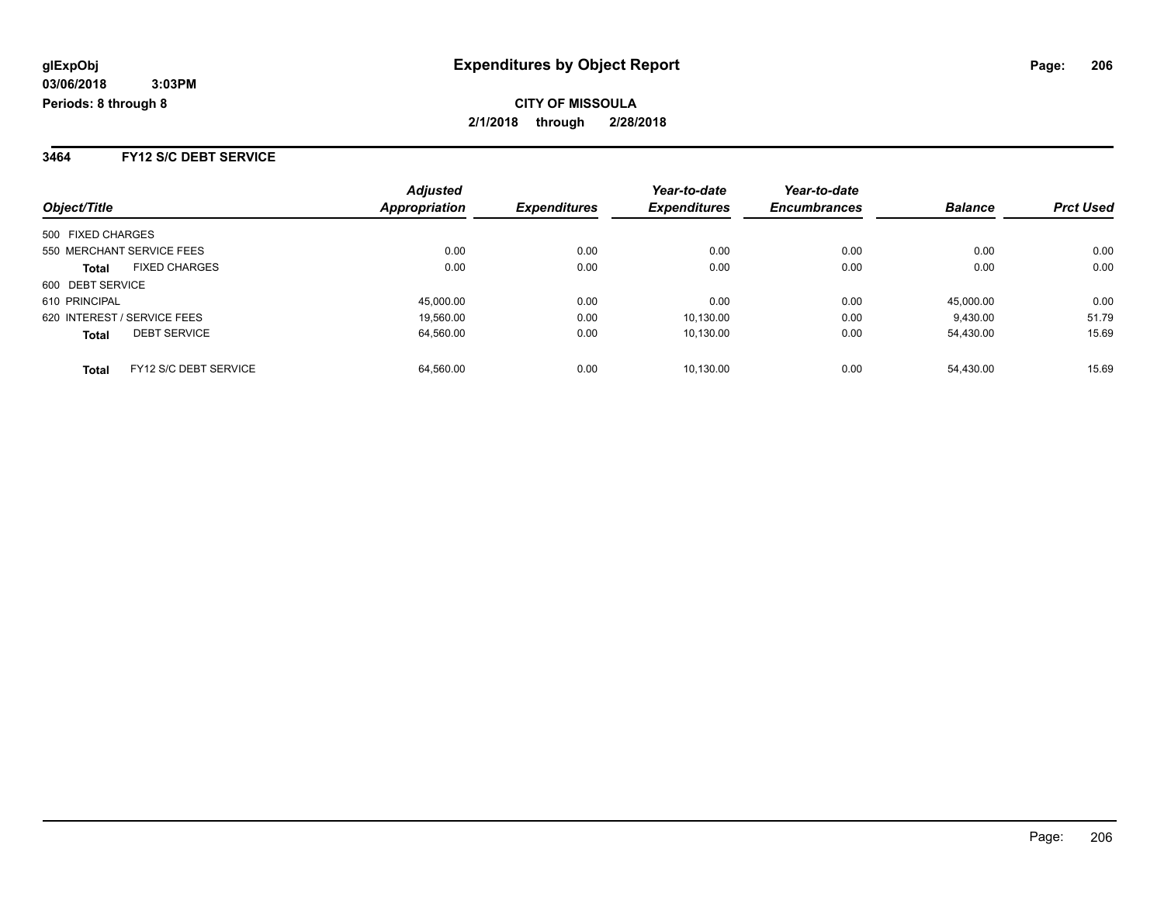**3464 FY12 S/C DEBT SERVICE**

| Object/Title                          | <b>Adjusted</b><br>Appropriation | <b>Expenditures</b> | Year-to-date<br><b>Expenditures</b> | Year-to-date<br><b>Encumbrances</b> | <b>Balance</b> | <b>Prct Used</b> |
|---------------------------------------|----------------------------------|---------------------|-------------------------------------|-------------------------------------|----------------|------------------|
| 500 FIXED CHARGES                     |                                  |                     |                                     |                                     |                |                  |
| 550 MERCHANT SERVICE FEES             | 0.00                             | 0.00                | 0.00                                | 0.00                                | 0.00           | 0.00             |
| <b>FIXED CHARGES</b><br><b>Total</b>  | 0.00                             | 0.00                | 0.00                                | 0.00                                | 0.00           | 0.00             |
| 600 DEBT SERVICE                      |                                  |                     |                                     |                                     |                |                  |
| 610 PRINCIPAL                         | 45,000.00                        | 0.00                | 0.00                                | 0.00                                | 45.000.00      | 0.00             |
| 620 INTEREST / SERVICE FEES           | 19.560.00                        | 0.00                | 10.130.00                           | 0.00                                | 9,430.00       | 51.79            |
| <b>DEBT SERVICE</b><br><b>Total</b>   | 64,560.00                        | 0.00                | 10.130.00                           | 0.00                                | 54.430.00      | 15.69            |
| FY12 S/C DEBT SERVICE<br><b>Total</b> | 64.560.00                        | 0.00                | 10.130.00                           | 0.00                                | 54.430.00      | 15.69            |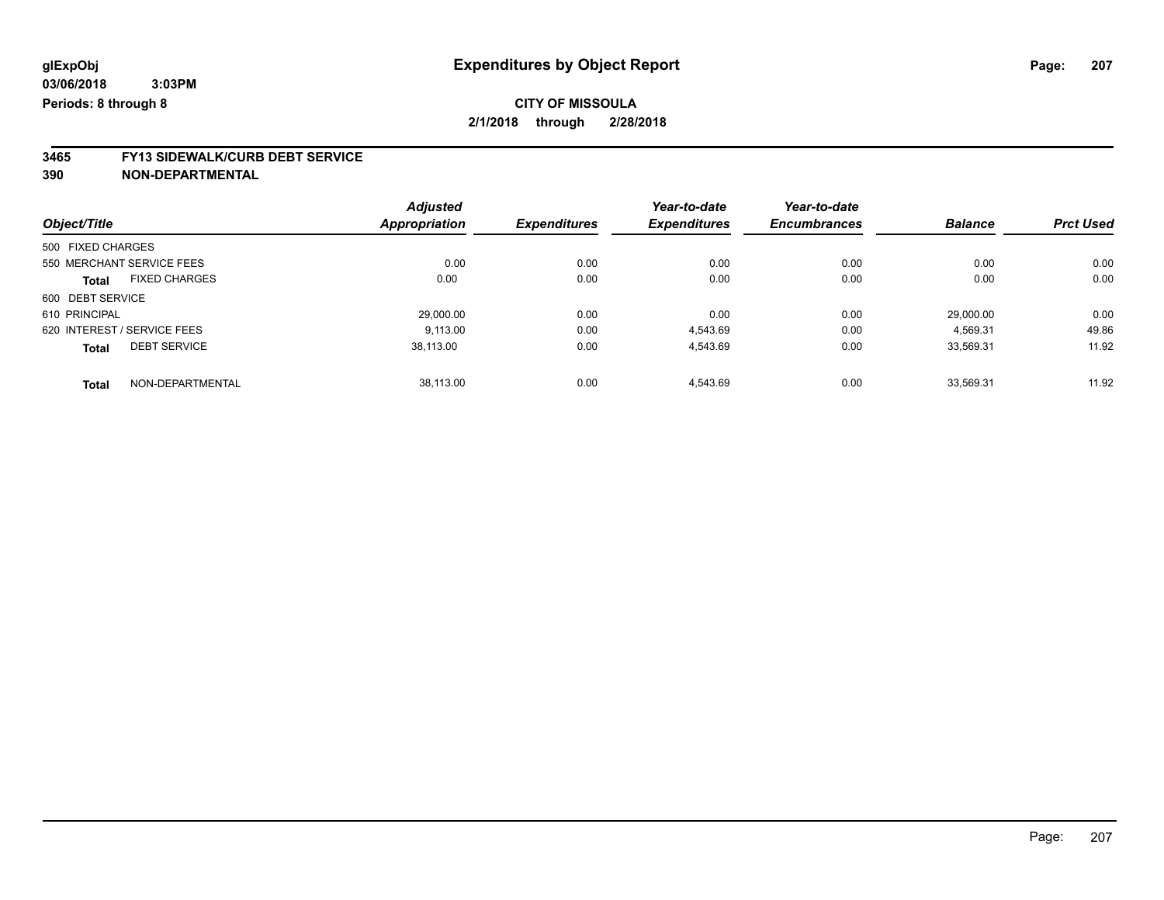# **3465 FY13 SIDEWALK/CURB DEBT SERVICE**

|                                      | <b>Adjusted</b> |                     | Year-to-date        | Year-to-date        |                |                  |
|--------------------------------------|-----------------|---------------------|---------------------|---------------------|----------------|------------------|
| Object/Title                         | Appropriation   | <b>Expenditures</b> | <b>Expenditures</b> | <b>Encumbrances</b> | <b>Balance</b> | <b>Prct Used</b> |
| 500 FIXED CHARGES                    |                 |                     |                     |                     |                |                  |
| 550 MERCHANT SERVICE FEES            | 0.00            | 0.00                | 0.00                | 0.00                | 0.00           | 0.00             |
| <b>FIXED CHARGES</b><br><b>Total</b> | 0.00            | 0.00                | 0.00                | 0.00                | 0.00           | 0.00             |
| 600 DEBT SERVICE                     |                 |                     |                     |                     |                |                  |
| 610 PRINCIPAL                        | 29,000.00       | 0.00                | 0.00                | 0.00                | 29,000.00      | 0.00             |
| 620 INTEREST / SERVICE FEES          | 9.113.00        | 0.00                | 4,543.69            | 0.00                | 4,569.31       | 49.86            |
| <b>DEBT SERVICE</b><br><b>Total</b>  | 38.113.00       | 0.00                | 4,543.69            | 0.00                | 33.569.31      | 11.92            |
| NON-DEPARTMENTAL<br><b>Total</b>     | 38.113.00       | 0.00                | 4.543.69            | 0.00                | 33.569.31      | 11.92            |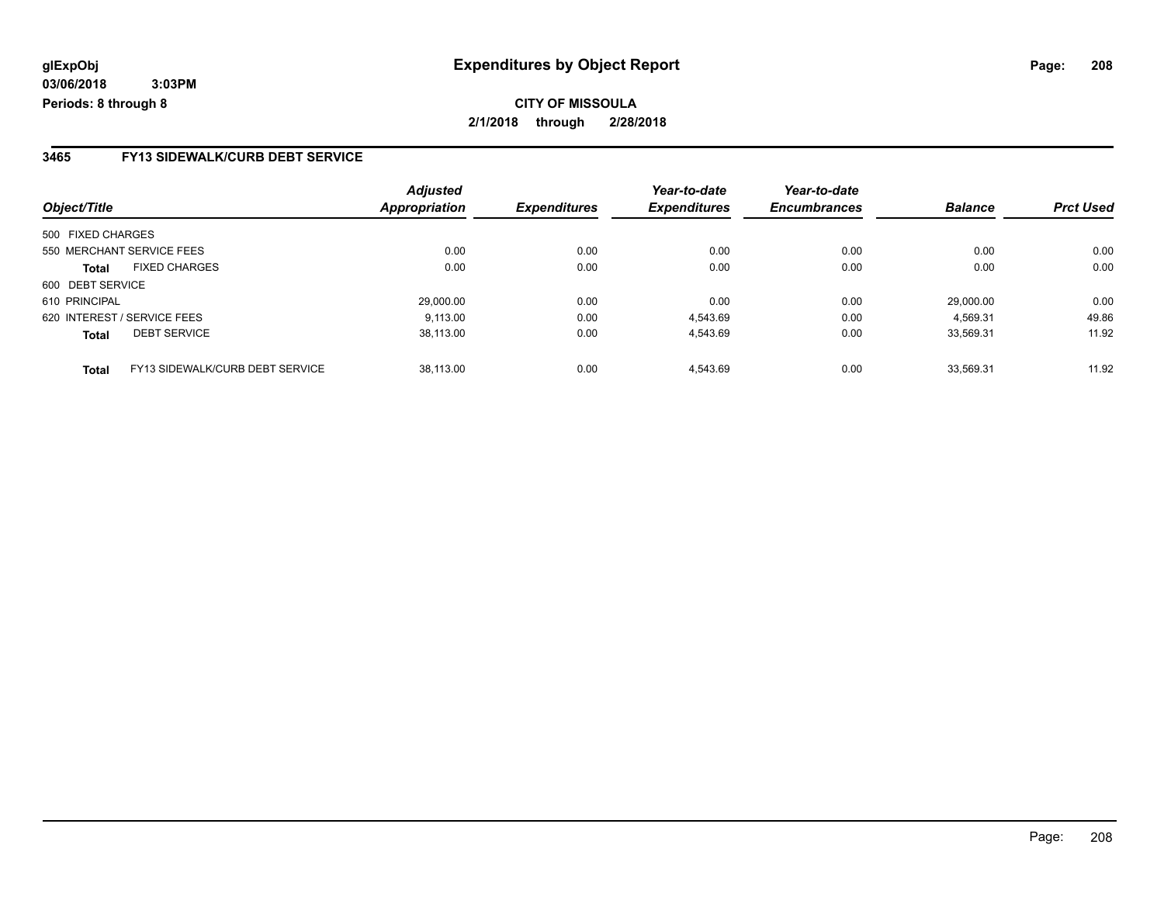### **3465 FY13 SIDEWALK/CURB DEBT SERVICE**

|                   |                                        | <b>Adjusted</b>      |                     | Year-to-date        | Year-to-date        |                |                  |
|-------------------|----------------------------------------|----------------------|---------------------|---------------------|---------------------|----------------|------------------|
| Object/Title      |                                        | <b>Appropriation</b> | <b>Expenditures</b> | <b>Expenditures</b> | <b>Encumbrances</b> | <b>Balance</b> | <b>Prct Used</b> |
| 500 FIXED CHARGES |                                        |                      |                     |                     |                     |                |                  |
|                   | 550 MERCHANT SERVICE FEES              | 0.00                 | 0.00                | 0.00                | 0.00                | 0.00           | 0.00             |
| <b>Total</b>      | <b>FIXED CHARGES</b>                   | 0.00                 | 0.00                | 0.00                | 0.00                | 0.00           | 0.00             |
| 600 DEBT SERVICE  |                                        |                      |                     |                     |                     |                |                  |
| 610 PRINCIPAL     |                                        | 29,000.00            | 0.00                | 0.00                | 0.00                | 29.000.00      | 0.00             |
|                   | 620 INTEREST / SERVICE FEES            | 9.113.00             | 0.00                | 4.543.69            | 0.00                | 4.569.31       | 49.86            |
| <b>Total</b>      | <b>DEBT SERVICE</b>                    | 38.113.00            | 0.00                | 4,543.69            | 0.00                | 33.569.31      | 11.92            |
| <b>Total</b>      | <b>FY13 SIDEWALK/CURB DEBT SERVICE</b> | 38.113.00            | 0.00                | 4.543.69            | 0.00                | 33.569.31      | 11.92            |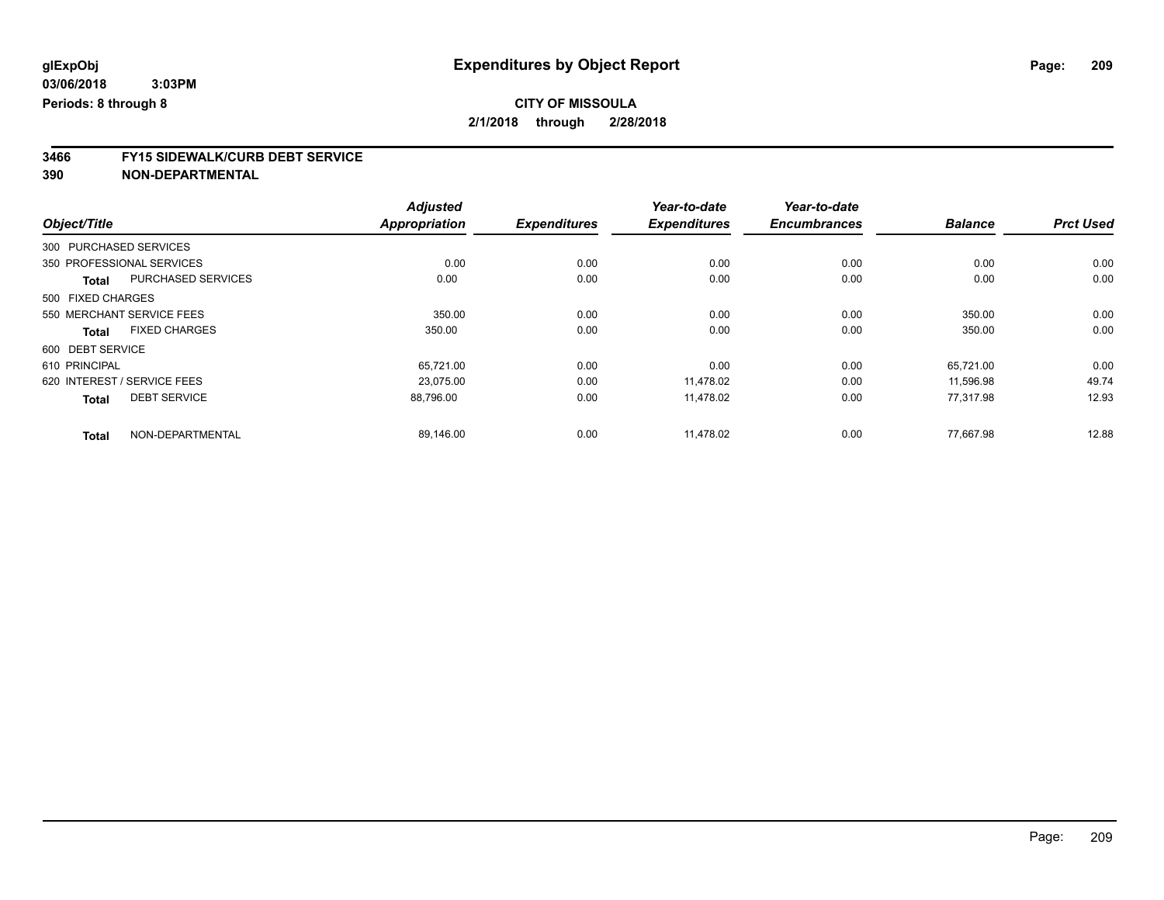# **3466 FY15 SIDEWALK/CURB DEBT SERVICE**

|                             |                           | <b>Adjusted</b>      |                     | Year-to-date        | Year-to-date        |                |                  |
|-----------------------------|---------------------------|----------------------|---------------------|---------------------|---------------------|----------------|------------------|
| Object/Title                |                           | <b>Appropriation</b> | <b>Expenditures</b> | <b>Expenditures</b> | <b>Encumbrances</b> | <b>Balance</b> | <b>Prct Used</b> |
| 300 PURCHASED SERVICES      |                           |                      |                     |                     |                     |                |                  |
| 350 PROFESSIONAL SERVICES   |                           | 0.00                 | 0.00                | 0.00                | 0.00                | 0.00           | 0.00             |
| <b>Total</b>                | <b>PURCHASED SERVICES</b> | 0.00                 | 0.00                | 0.00                | 0.00                | 0.00           | 0.00             |
| 500 FIXED CHARGES           |                           |                      |                     |                     |                     |                |                  |
| 550 MERCHANT SERVICE FEES   |                           | 350.00               | 0.00                | 0.00                | 0.00                | 350.00         | 0.00             |
| Total                       | <b>FIXED CHARGES</b>      | 350.00               | 0.00                | 0.00                | 0.00                | 350.00         | 0.00             |
| 600 DEBT SERVICE            |                           |                      |                     |                     |                     |                |                  |
| 610 PRINCIPAL               |                           | 65,721.00            | 0.00                | 0.00                | 0.00                | 65,721.00      | 0.00             |
| 620 INTEREST / SERVICE FEES |                           | 23.075.00            | 0.00                | 11,478.02           | 0.00                | 11,596.98      | 49.74            |
| <b>Total</b>                | <b>DEBT SERVICE</b>       | 88,796.00            | 0.00                | 11,478.02           | 0.00                | 77.317.98      | 12.93            |
| <b>Total</b>                | NON-DEPARTMENTAL          | 89,146.00            | 0.00                | 11,478.02           | 0.00                | 77,667.98      | 12.88            |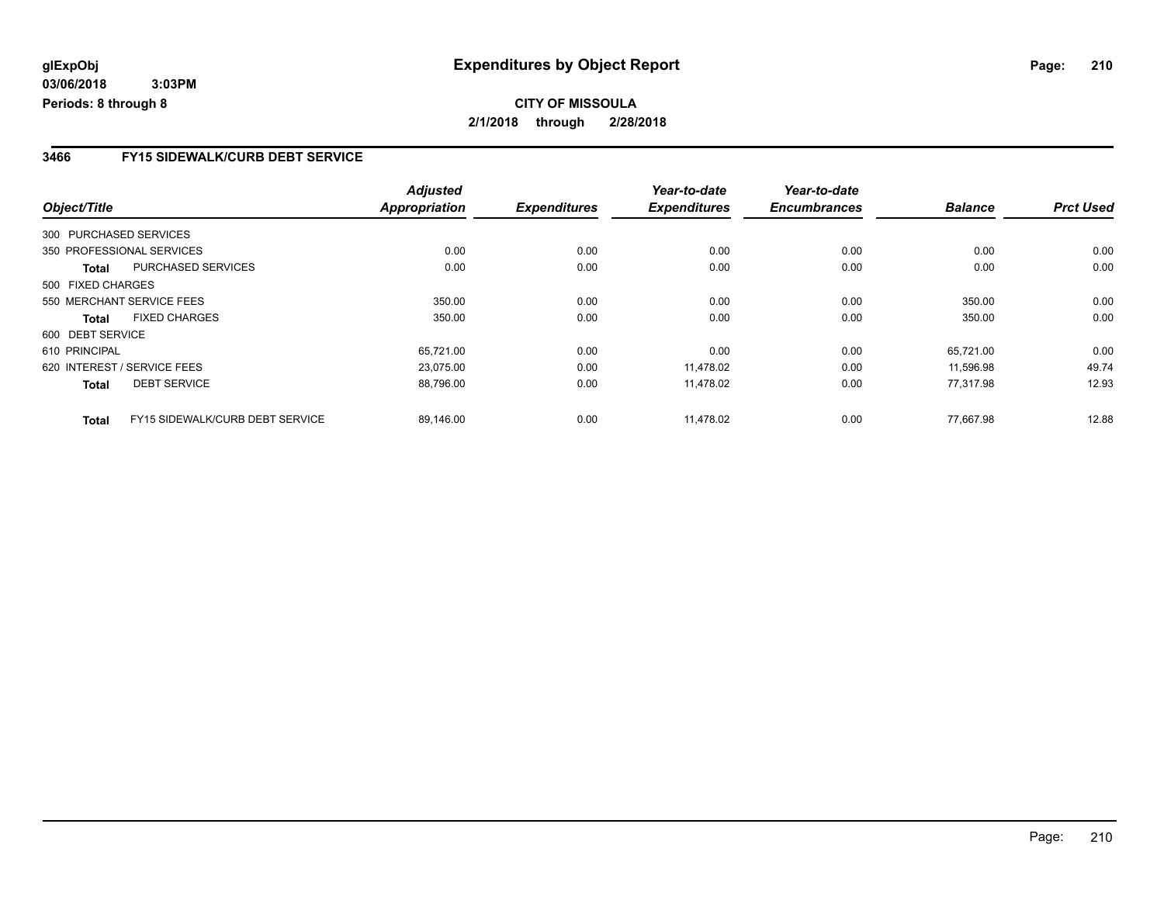### **3466 FY15 SIDEWALK/CURB DEBT SERVICE**

|                   |                                 | <b>Adjusted</b>      |                     | Year-to-date        | Year-to-date        |                |                  |
|-------------------|---------------------------------|----------------------|---------------------|---------------------|---------------------|----------------|------------------|
| Object/Title      |                                 | <b>Appropriation</b> | <b>Expenditures</b> | <b>Expenditures</b> | <b>Encumbrances</b> | <b>Balance</b> | <b>Prct Used</b> |
|                   | 300 PURCHASED SERVICES          |                      |                     |                     |                     |                |                  |
|                   | 350 PROFESSIONAL SERVICES       | 0.00                 | 0.00                | 0.00                | 0.00                | 0.00           | 0.00             |
| Total             | PURCHASED SERVICES              | 0.00                 | 0.00                | 0.00                | 0.00                | 0.00           | 0.00             |
| 500 FIXED CHARGES |                                 |                      |                     |                     |                     |                |                  |
|                   | 550 MERCHANT SERVICE FEES       | 350.00               | 0.00                | 0.00                | 0.00                | 350.00         | 0.00             |
| Total             | <b>FIXED CHARGES</b>            | 350.00               | 0.00                | 0.00                | 0.00                | 350.00         | 0.00             |
| 600 DEBT SERVICE  |                                 |                      |                     |                     |                     |                |                  |
| 610 PRINCIPAL     |                                 | 65,721.00            | 0.00                | 0.00                | 0.00                | 65,721.00      | 0.00             |
|                   | 620 INTEREST / SERVICE FEES     | 23,075.00            | 0.00                | 11,478.02           | 0.00                | 11.596.98      | 49.74            |
| <b>Total</b>      | <b>DEBT SERVICE</b>             | 88,796.00            | 0.00                | 11,478.02           | 0.00                | 77,317.98      | 12.93            |
| <b>Total</b>      | FY15 SIDEWALK/CURB DEBT SERVICE | 89,146.00            | 0.00                | 11.478.02           | 0.00                | 77.667.98      | 12.88            |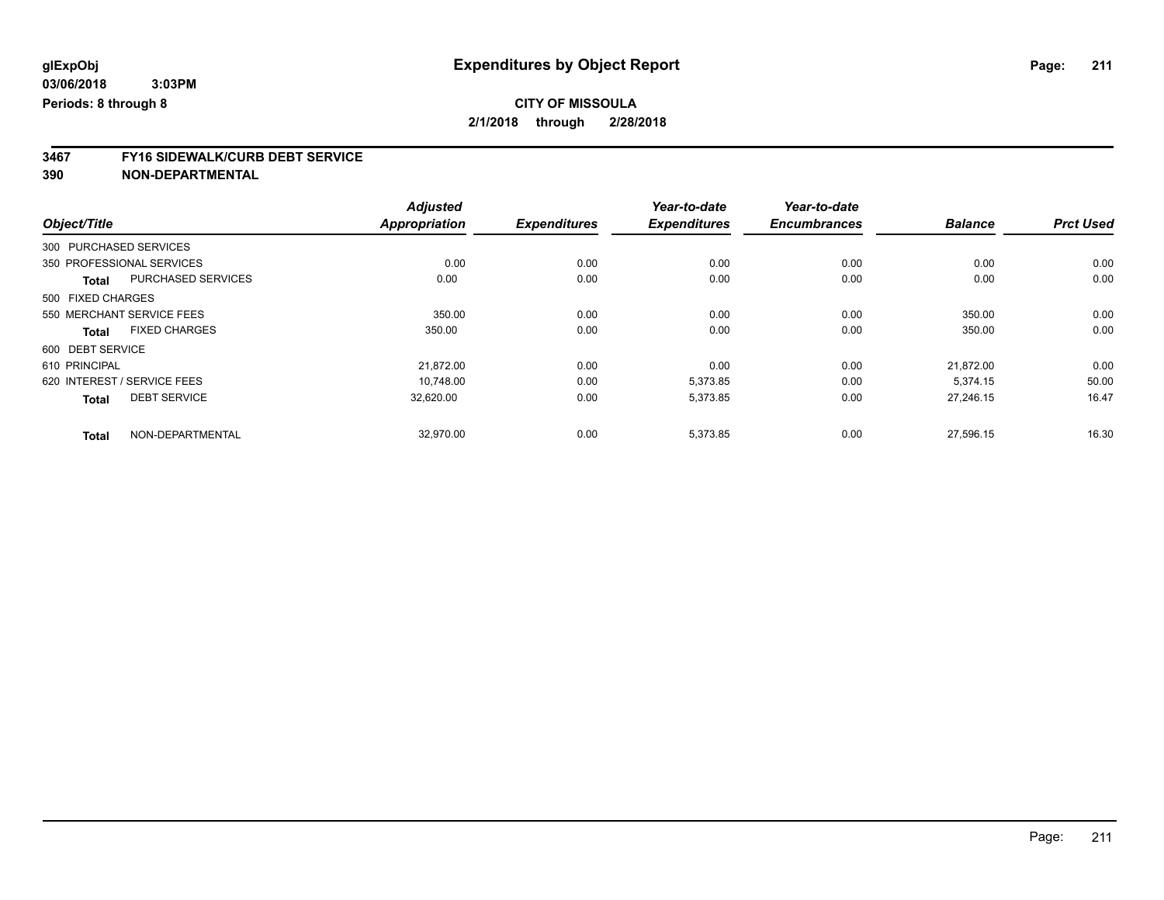# **3467 FY16 SIDEWALK/CURB DEBT SERVICE**

|                   |                             | <b>Adjusted</b>      |                     | Year-to-date        | Year-to-date        |                |                  |
|-------------------|-----------------------------|----------------------|---------------------|---------------------|---------------------|----------------|------------------|
| Object/Title      |                             | <b>Appropriation</b> | <b>Expenditures</b> | <b>Expenditures</b> | <b>Encumbrances</b> | <b>Balance</b> | <b>Prct Used</b> |
|                   | 300 PURCHASED SERVICES      |                      |                     |                     |                     |                |                  |
|                   | 350 PROFESSIONAL SERVICES   | 0.00                 | 0.00                | 0.00                | 0.00                | 0.00           | 0.00             |
| <b>Total</b>      | <b>PURCHASED SERVICES</b>   | 0.00                 | 0.00                | 0.00                | 0.00                | 0.00           | 0.00             |
| 500 FIXED CHARGES |                             |                      |                     |                     |                     |                |                  |
|                   | 550 MERCHANT SERVICE FEES   | 350.00               | 0.00                | 0.00                | 0.00                | 350.00         | 0.00             |
| Total             | <b>FIXED CHARGES</b>        | 350.00               | 0.00                | 0.00                | 0.00                | 350.00         | 0.00             |
| 600 DEBT SERVICE  |                             |                      |                     |                     |                     |                |                  |
| 610 PRINCIPAL     |                             | 21,872.00            | 0.00                | 0.00                | 0.00                | 21.872.00      | 0.00             |
|                   | 620 INTEREST / SERVICE FEES | 10.748.00            | 0.00                | 5,373.85            | 0.00                | 5.374.15       | 50.00            |
| <b>Total</b>      | <b>DEBT SERVICE</b>         | 32.620.00            | 0.00                | 5,373.85            | 0.00                | 27.246.15      | 16.47            |
| <b>Total</b>      | NON-DEPARTMENTAL            | 32,970.00            | 0.00                | 5,373.85            | 0.00                | 27,596.15      | 16.30            |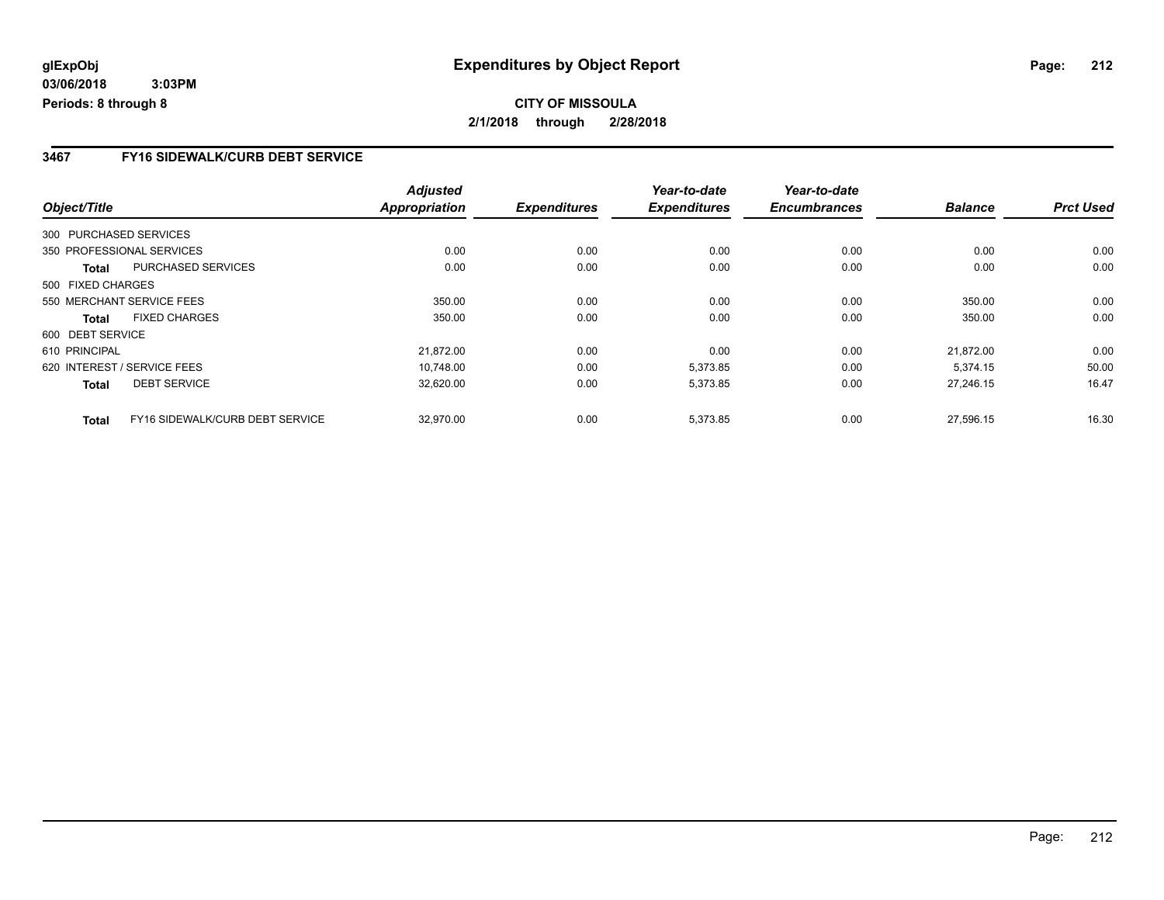### **3467 FY16 SIDEWALK/CURB DEBT SERVICE**

|                        |                                 | <b>Adjusted</b>      |                     | Year-to-date        | Year-to-date        |                |                  |
|------------------------|---------------------------------|----------------------|---------------------|---------------------|---------------------|----------------|------------------|
| Object/Title           |                                 | <b>Appropriation</b> | <b>Expenditures</b> | <b>Expenditures</b> | <b>Encumbrances</b> | <b>Balance</b> | <b>Prct Used</b> |
| 300 PURCHASED SERVICES |                                 |                      |                     |                     |                     |                |                  |
|                        | 350 PROFESSIONAL SERVICES       | 0.00                 | 0.00                | 0.00                | 0.00                | 0.00           | 0.00             |
| Total                  | PURCHASED SERVICES              | 0.00                 | 0.00                | 0.00                | 0.00                | 0.00           | 0.00             |
| 500 FIXED CHARGES      |                                 |                      |                     |                     |                     |                |                  |
|                        | 550 MERCHANT SERVICE FEES       | 350.00               | 0.00                | 0.00                | 0.00                | 350.00         | 0.00             |
| <b>Total</b>           | <b>FIXED CHARGES</b>            | 350.00               | 0.00                | 0.00                | 0.00                | 350.00         | 0.00             |
| 600 DEBT SERVICE       |                                 |                      |                     |                     |                     |                |                  |
| 610 PRINCIPAL          |                                 | 21,872.00            | 0.00                | 0.00                | 0.00                | 21.872.00      | 0.00             |
|                        | 620 INTEREST / SERVICE FEES     | 10.748.00            | 0.00                | 5,373.85            | 0.00                | 5.374.15       | 50.00            |
| <b>Total</b>           | <b>DEBT SERVICE</b>             | 32,620.00            | 0.00                | 5,373.85            | 0.00                | 27.246.15      | 16.47            |
| <b>Total</b>           | FY16 SIDEWALK/CURB DEBT SERVICE | 32.970.00            | 0.00                | 5.373.85            | 0.00                | 27.596.15      | 16.30            |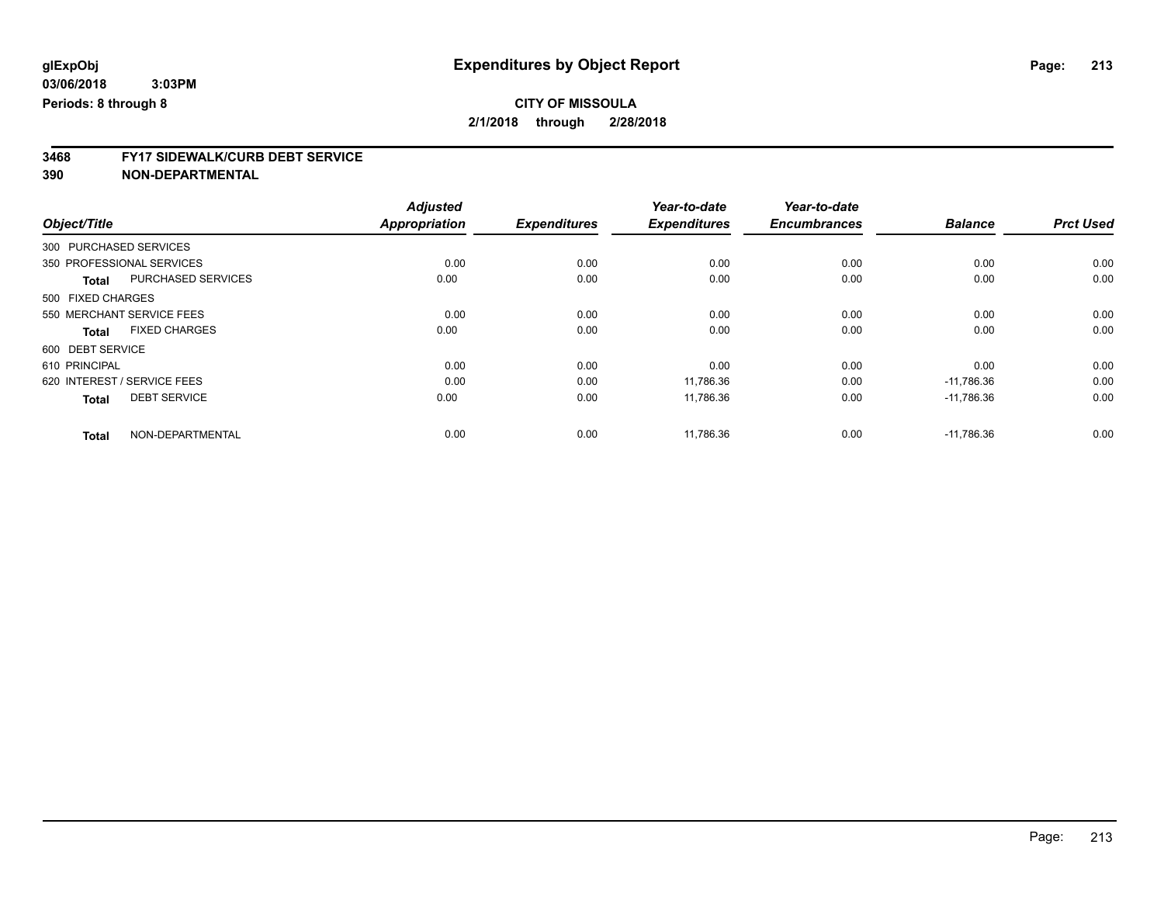# **3468 FY17 SIDEWALK/CURB DEBT SERVICE**

|                                           | <b>Adjusted</b>      |                     | Year-to-date        | Year-to-date        |                |                  |
|-------------------------------------------|----------------------|---------------------|---------------------|---------------------|----------------|------------------|
| Object/Title                              | <b>Appropriation</b> | <b>Expenditures</b> | <b>Expenditures</b> | <b>Encumbrances</b> | <b>Balance</b> | <b>Prct Used</b> |
| 300 PURCHASED SERVICES                    |                      |                     |                     |                     |                |                  |
| 350 PROFESSIONAL SERVICES                 | 0.00                 | 0.00                | 0.00                | 0.00                | 0.00           | 0.00             |
| <b>PURCHASED SERVICES</b><br><b>Total</b> | 0.00                 | 0.00                | 0.00                | 0.00                | 0.00           | 0.00             |
| 500 FIXED CHARGES                         |                      |                     |                     |                     |                |                  |
| 550 MERCHANT SERVICE FEES                 | 0.00                 | 0.00                | 0.00                | 0.00                | 0.00           | 0.00             |
| <b>FIXED CHARGES</b><br><b>Total</b>      | 0.00                 | 0.00                | 0.00                | 0.00                | 0.00           | 0.00             |
| 600 DEBT SERVICE                          |                      |                     |                     |                     |                |                  |
| 610 PRINCIPAL                             | 0.00                 | 0.00                | 0.00                | 0.00                | 0.00           | 0.00             |
| 620 INTEREST / SERVICE FEES               | 0.00                 | 0.00                | 11,786.36           | 0.00                | $-11,786.36$   | 0.00             |
| <b>DEBT SERVICE</b><br><b>Total</b>       | 0.00                 | 0.00                | 11.786.36           | 0.00                | $-11.786.36$   | 0.00             |
| NON-DEPARTMENTAL<br><b>Total</b>          | 0.00                 | 0.00                | 11,786.36           | 0.00                | $-11,786.36$   | 0.00             |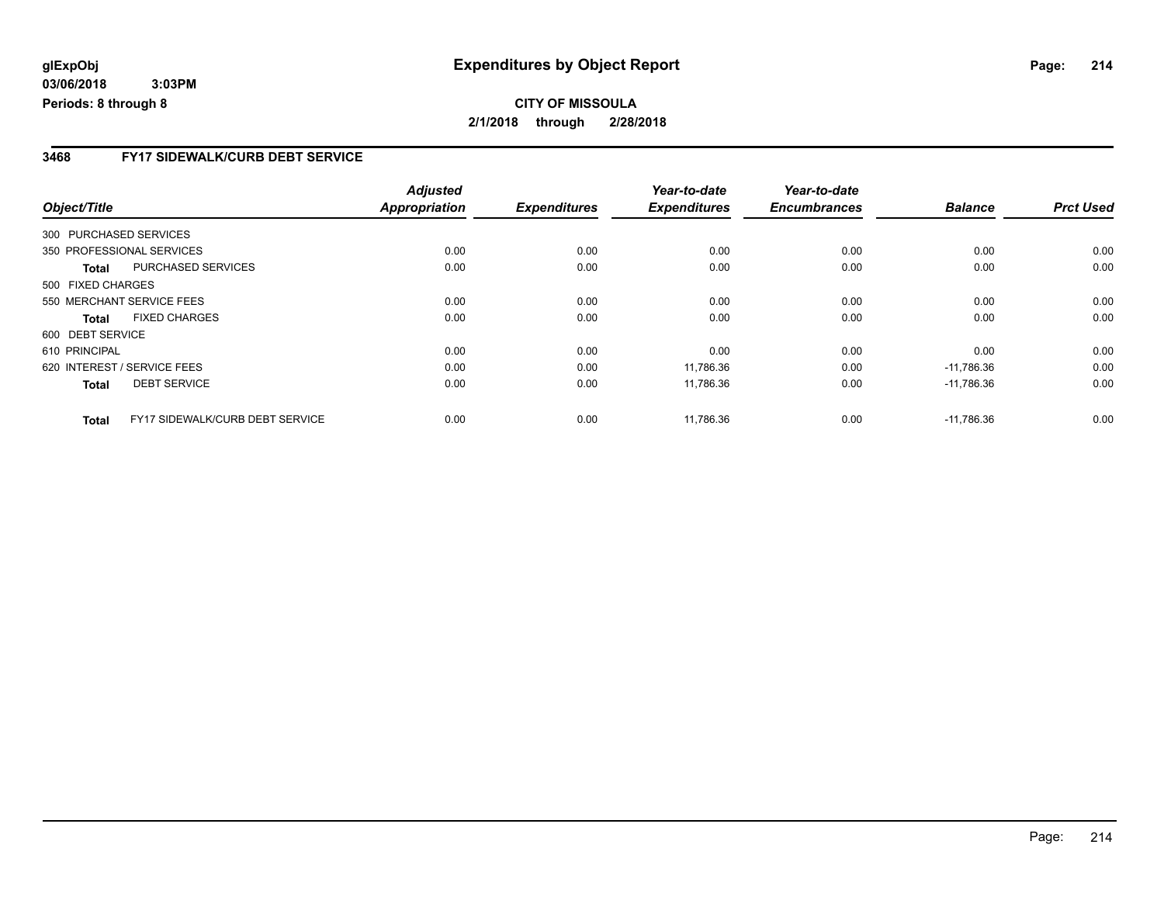### **3468 FY17 SIDEWALK/CURB DEBT SERVICE**

|                        |                                        | <b>Adjusted</b>      |                     | Year-to-date        | Year-to-date        |                |                  |
|------------------------|----------------------------------------|----------------------|---------------------|---------------------|---------------------|----------------|------------------|
| Object/Title           |                                        | <b>Appropriation</b> | <b>Expenditures</b> | <b>Expenditures</b> | <b>Encumbrances</b> | <b>Balance</b> | <b>Prct Used</b> |
| 300 PURCHASED SERVICES |                                        |                      |                     |                     |                     |                |                  |
|                        | 350 PROFESSIONAL SERVICES              | 0.00                 | 0.00                | 0.00                | 0.00                | 0.00           | 0.00             |
| Total                  | PURCHASED SERVICES                     | 0.00                 | 0.00                | 0.00                | 0.00                | 0.00           | 0.00             |
| 500 FIXED CHARGES      |                                        |                      |                     |                     |                     |                |                  |
|                        | 550 MERCHANT SERVICE FEES              | 0.00                 | 0.00                | 0.00                | 0.00                | 0.00           | 0.00             |
| Total                  | <b>FIXED CHARGES</b>                   | 0.00                 | 0.00                | 0.00                | 0.00                | 0.00           | 0.00             |
| 600 DEBT SERVICE       |                                        |                      |                     |                     |                     |                |                  |
| 610 PRINCIPAL          |                                        | 0.00                 | 0.00                | 0.00                | 0.00                | 0.00           | 0.00             |
|                        | 620 INTEREST / SERVICE FEES            | 0.00                 | 0.00                | 11,786.36           | 0.00                | $-11.786.36$   | 0.00             |
| <b>Total</b>           | <b>DEBT SERVICE</b>                    | 0.00                 | 0.00                | 11,786.36           | 0.00                | $-11,786.36$   | 0.00             |
| <b>Total</b>           | <b>FY17 SIDEWALK/CURB DEBT SERVICE</b> | 0.00                 | 0.00                | 11.786.36           | 0.00                | $-11.786.36$   | 0.00             |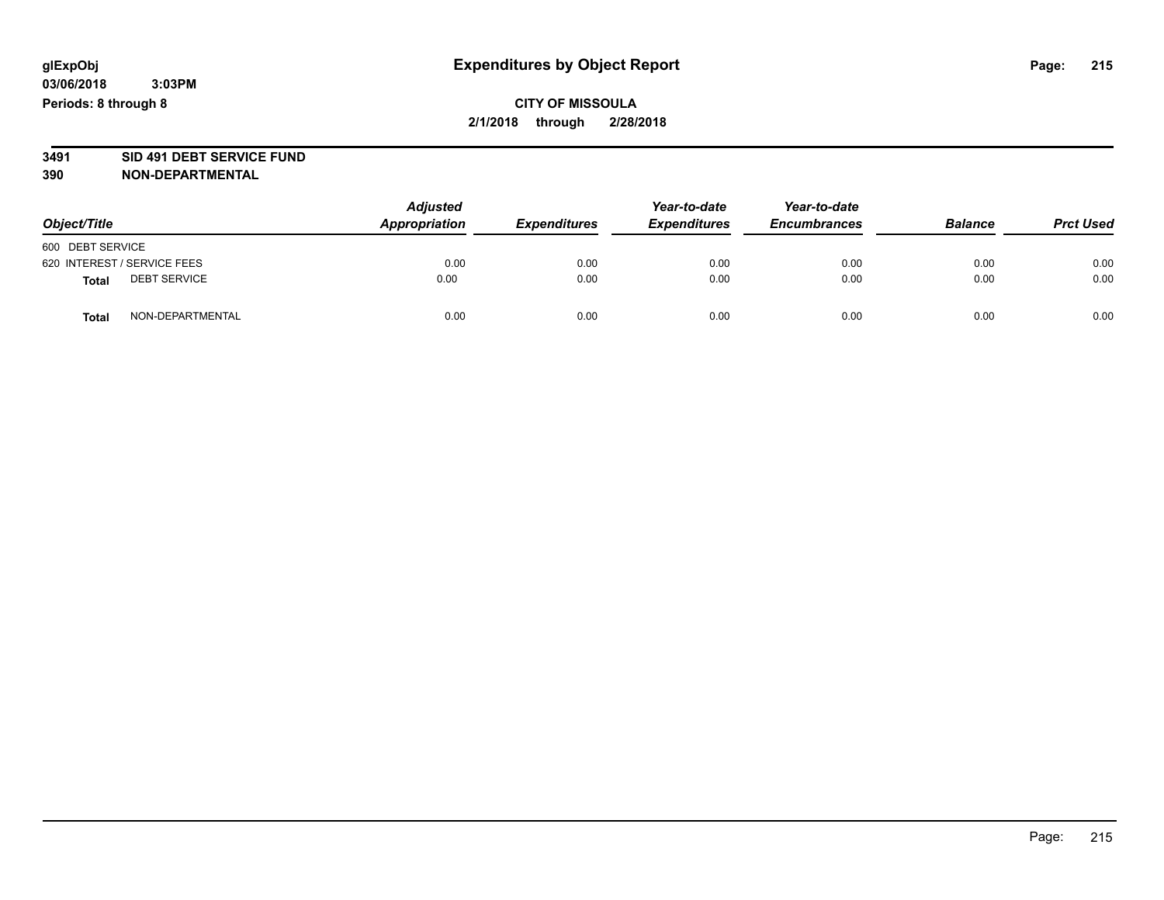# **3491 SID 491 DEBT SERVICE FUND**

| Object/Title                        | <b>Adjusted</b><br><b>Appropriation</b> | <b>Expenditures</b> | Year-to-date<br><b>Expenditures</b> | Year-to-date<br><b>Encumbrances</b> | <b>Balance</b> | <b>Prct Used</b> |
|-------------------------------------|-----------------------------------------|---------------------|-------------------------------------|-------------------------------------|----------------|------------------|
| 600 DEBT SERVICE                    |                                         |                     |                                     |                                     |                |                  |
| 620 INTEREST / SERVICE FEES         | 0.00                                    | 0.00                | 0.00                                | 0.00                                | 0.00           | 0.00             |
| <b>DEBT SERVICE</b><br><b>Total</b> | 0.00                                    | 0.00                | 0.00                                | 0.00                                | 0.00           | 0.00             |
| NON-DEPARTMENTAL<br><b>Total</b>    | 0.00                                    | 0.00                | 0.00                                | 0.00                                | 0.00           | 0.00             |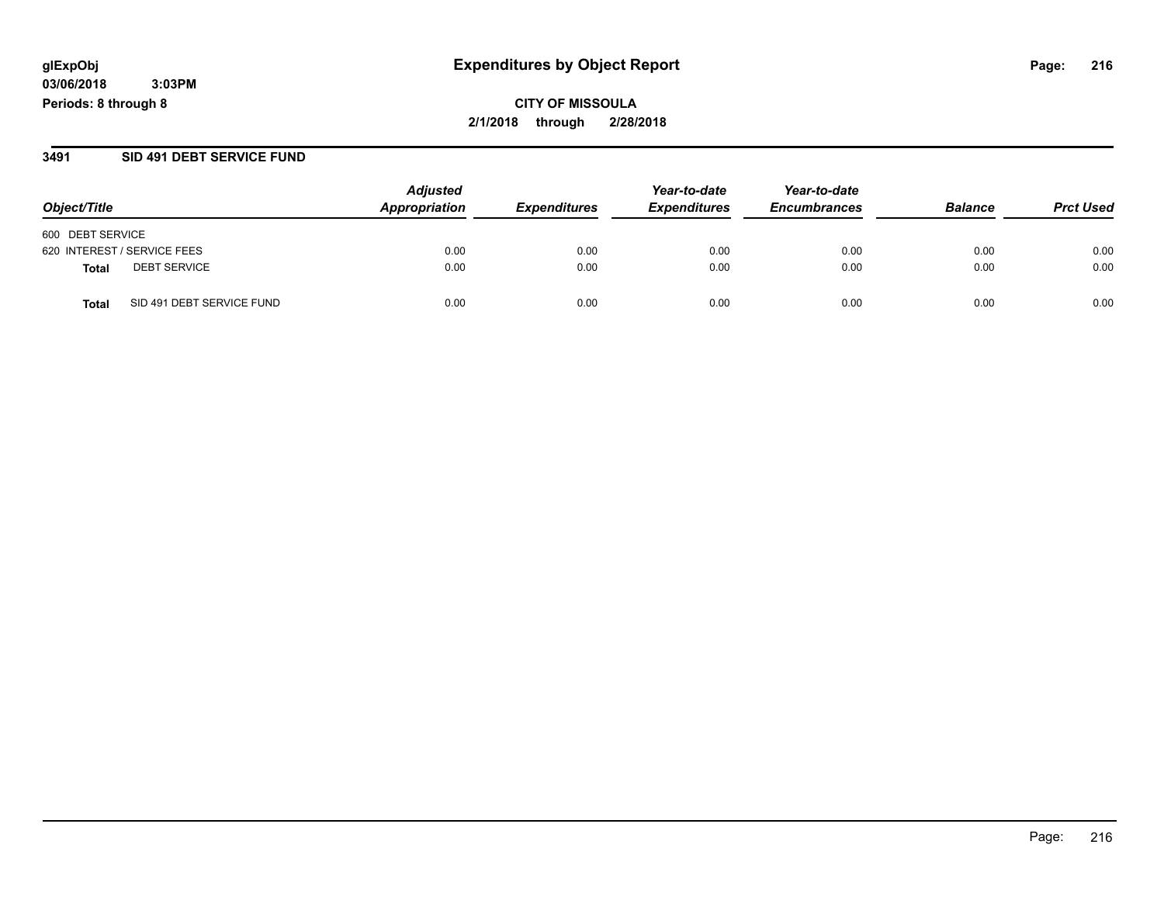**CITY OF MISSOULA 2/1/2018 through 2/28/2018**

#### **3491 SID 491 DEBT SERVICE FUND**

|                                           | <b>Adjusted</b> |                            | Year-to-date        | Year-to-date        |                |                  |
|-------------------------------------------|-----------------|----------------------------|---------------------|---------------------|----------------|------------------|
| Object/Title                              | Appropriation   | <i><b>Expenditures</b></i> | <b>Expenditures</b> | <b>Encumbrances</b> | <b>Balance</b> | <b>Prct Used</b> |
| 600 DEBT SERVICE                          |                 |                            |                     |                     |                |                  |
| 620 INTEREST / SERVICE FEES               | 0.00            | 0.00                       | 0.00                | 0.00                | 0.00           | 0.00             |
| <b>DEBT SERVICE</b><br><b>Total</b>       | 0.00            | 0.00                       | 0.00                | 0.00                | 0.00           | 0.00             |
| SID 491 DEBT SERVICE FUND<br><b>Total</b> | 0.00            | 0.00                       | 0.00                | 0.00                | 0.00           | 0.00             |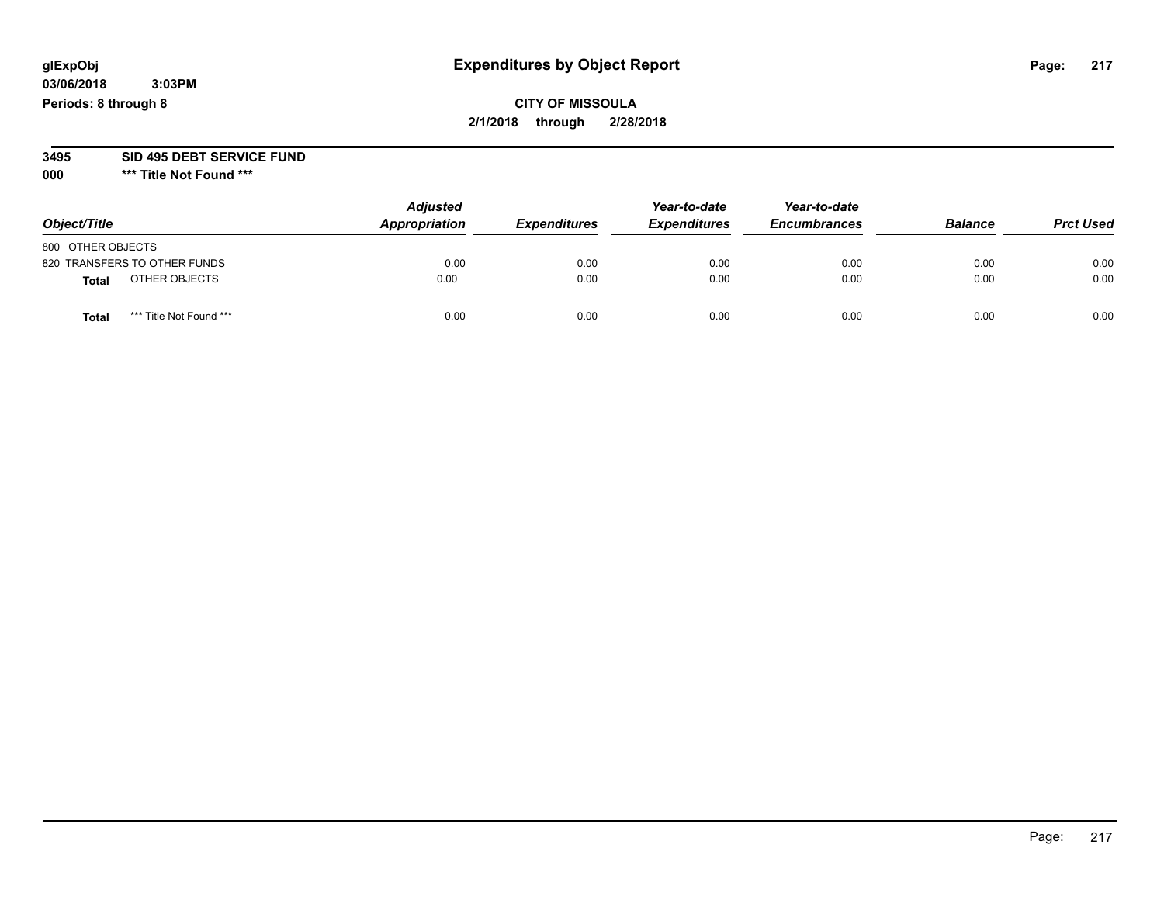## **CITY OF MISSOULA 2/1/2018 through 2/28/2018**

# **3495 SID 495 DEBT SERVICE FUND**

| Object/Title                     | <b>Adjusted</b><br>Appropriation | <b>Expenditures</b> | Year-to-date<br><b>Expenditures</b> | Year-to-date<br><b>Encumbrances</b> | <b>Balance</b> | <b>Prct Used</b> |
|----------------------------------|----------------------------------|---------------------|-------------------------------------|-------------------------------------|----------------|------------------|
| 800 OTHER OBJECTS                |                                  |                     |                                     |                                     |                |                  |
| 820 TRANSFERS TO OTHER FUNDS     | 0.00                             | 0.00                | 0.00                                | 0.00                                | 0.00           | 0.00             |
| OTHER OBJECTS<br><b>Total</b>    | 0.00                             | 0.00                | 0.00                                | 0.00                                | 0.00           | 0.00             |
| *** Title Not Found ***<br>Total | 0.00                             | 0.00                | 0.00                                | 0.00                                | 0.00           | 0.00             |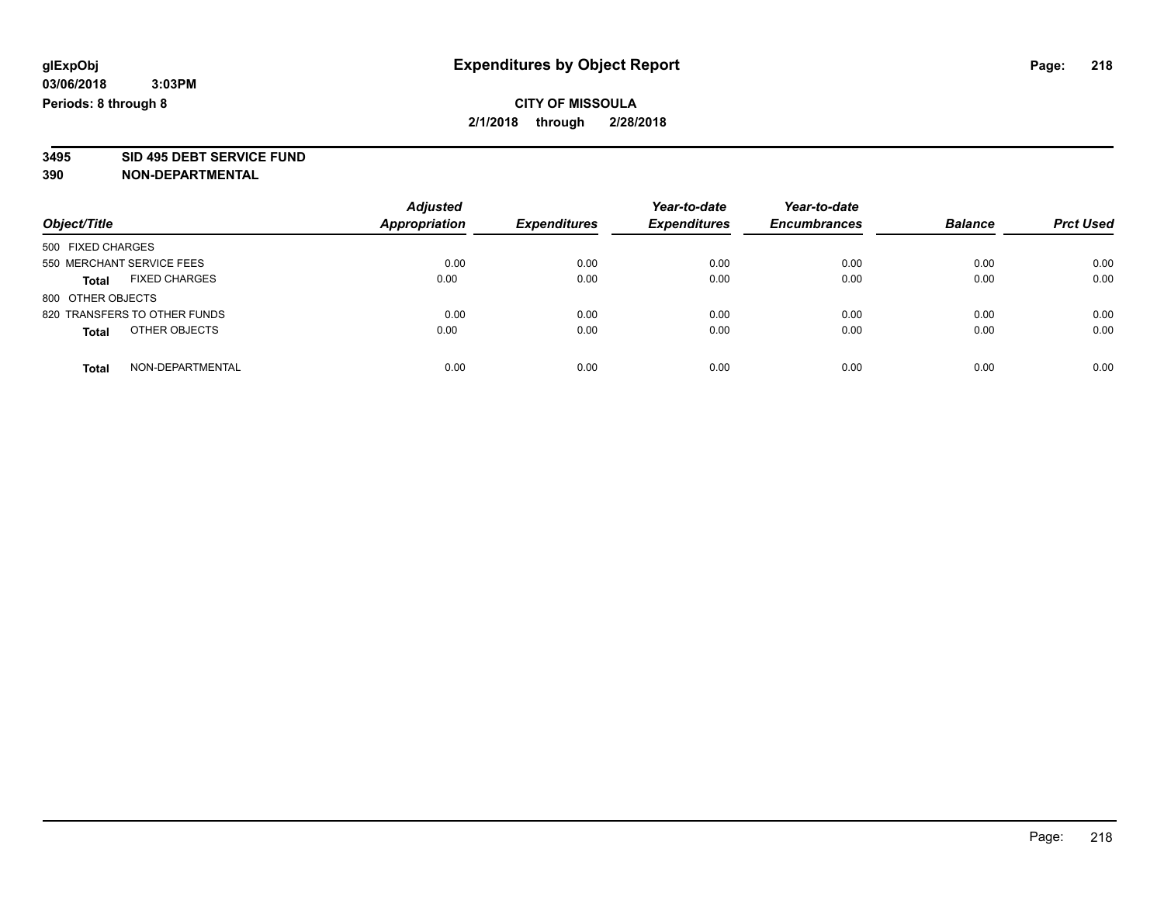**3495 SID 495 DEBT SERVICE FUND**

| Object/Title                         | <b>Adjusted</b><br><b>Appropriation</b> | <b>Expenditures</b> | Year-to-date<br><b>Expenditures</b> | Year-to-date<br><b>Encumbrances</b> | <b>Balance</b> | <b>Prct Used</b> |
|--------------------------------------|-----------------------------------------|---------------------|-------------------------------------|-------------------------------------|----------------|------------------|
| 500 FIXED CHARGES                    |                                         |                     |                                     |                                     |                |                  |
| 550 MERCHANT SERVICE FEES            | 0.00                                    | 0.00                | 0.00                                | 0.00                                | 0.00           | 0.00             |
| <b>FIXED CHARGES</b><br><b>Total</b> | 0.00                                    | 0.00                | 0.00                                | 0.00                                | 0.00           | 0.00             |
| 800 OTHER OBJECTS                    |                                         |                     |                                     |                                     |                |                  |
| 820 TRANSFERS TO OTHER FUNDS         | 0.00                                    | 0.00                | 0.00                                | 0.00                                | 0.00           | 0.00             |
| OTHER OBJECTS<br><b>Total</b>        | 0.00                                    | 0.00                | 0.00                                | 0.00                                | 0.00           | 0.00             |
| NON-DEPARTMENTAL<br><b>Total</b>     | 0.00                                    | 0.00                | 0.00                                | 0.00                                | 0.00           | 0.00             |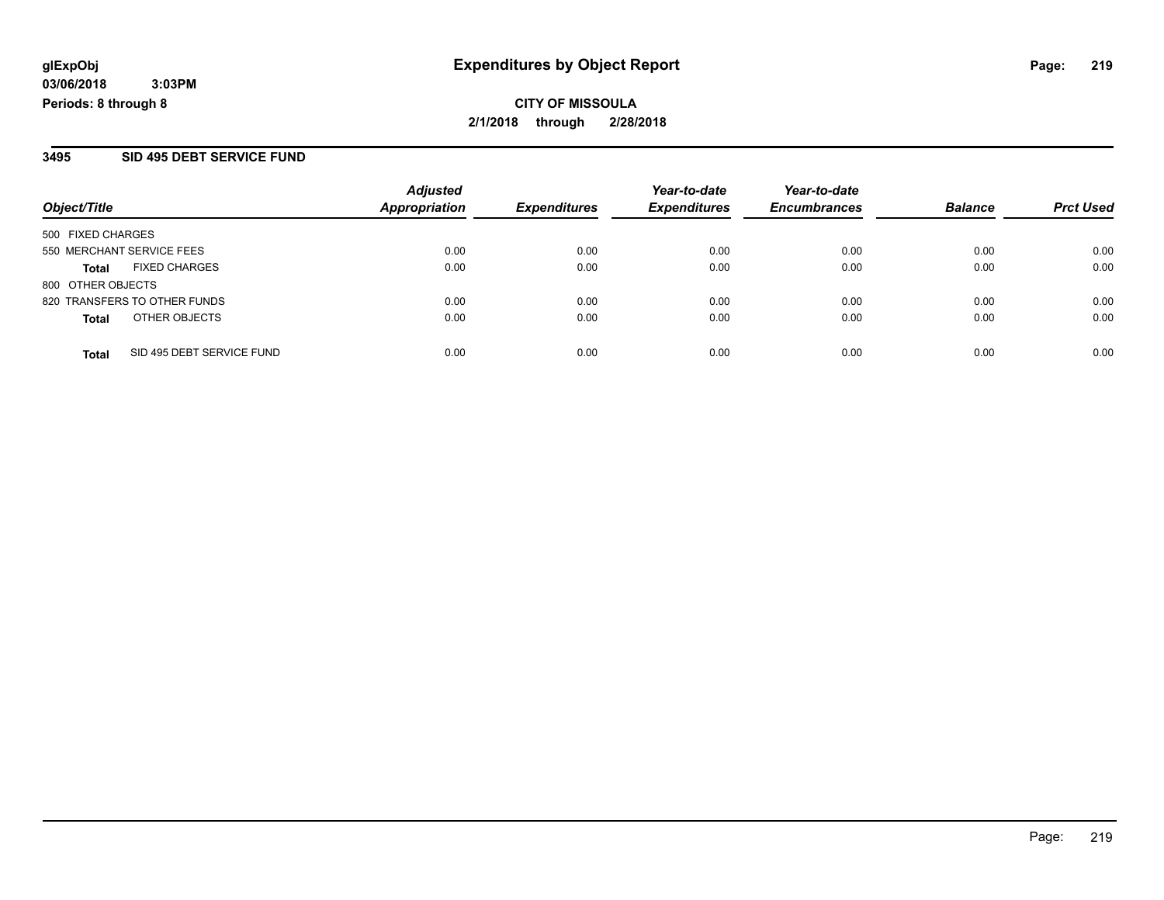**CITY OF MISSOULA 2/1/2018 through 2/28/2018**

#### **3495 SID 495 DEBT SERVICE FUND**

| Object/Title              |                              | <b>Adjusted</b><br><b>Appropriation</b> | <b>Expenditures</b> | Year-to-date<br><b>Expenditures</b> | Year-to-date<br><b>Encumbrances</b> | <b>Balance</b> | <b>Prct Used</b> |  |
|---------------------------|------------------------------|-----------------------------------------|---------------------|-------------------------------------|-------------------------------------|----------------|------------------|--|
|                           |                              |                                         |                     |                                     |                                     |                |                  |  |
| 500 FIXED CHARGES         |                              |                                         |                     |                                     |                                     |                |                  |  |
| 550 MERCHANT SERVICE FEES |                              | 0.00                                    | 0.00                | 0.00                                | 0.00                                | 0.00           | 0.00             |  |
| <b>Total</b>              | <b>FIXED CHARGES</b>         | 0.00                                    | 0.00                | 0.00                                | 0.00                                | 0.00           | 0.00             |  |
| 800 OTHER OBJECTS         |                              |                                         |                     |                                     |                                     |                |                  |  |
|                           | 820 TRANSFERS TO OTHER FUNDS | 0.00                                    | 0.00                | 0.00                                | 0.00                                | 0.00           | 0.00             |  |
| <b>Total</b>              | OTHER OBJECTS                | 0.00                                    | 0.00                | 0.00                                | 0.00                                | 0.00           | 0.00             |  |
| <b>Total</b>              | SID 495 DEBT SERVICE FUND    | 0.00                                    | 0.00                | 0.00                                | 0.00                                | 0.00           | 0.00             |  |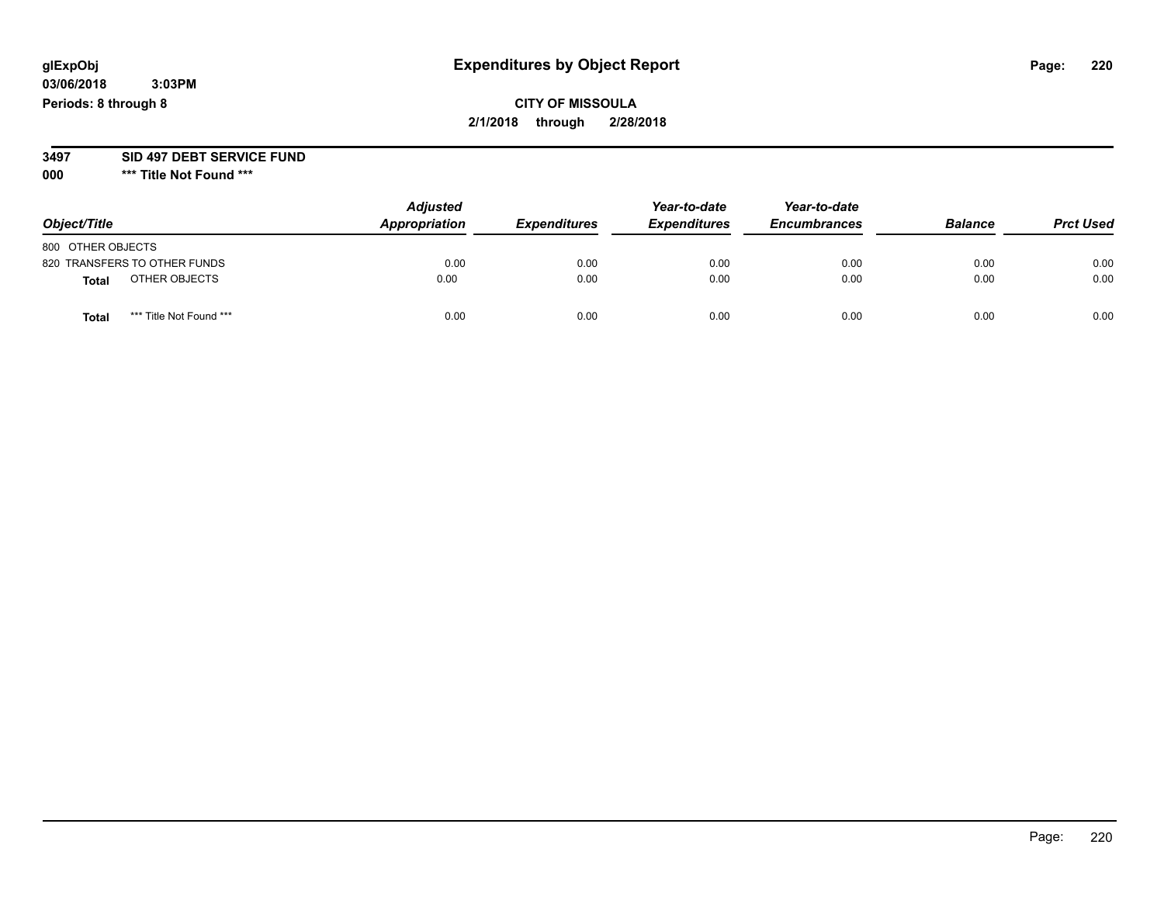## **CITY OF MISSOULA 2/1/2018 through 2/28/2018**

#### **3497 SID 497 DEBT SERVICE FUND**

| Object/Title                     | <b>Adjusted</b><br>Appropriation | <b>Expenditures</b> | Year-to-date<br><b>Expenditures</b> | Year-to-date<br><b>Encumbrances</b> | <b>Balance</b> | <b>Prct Used</b> |
|----------------------------------|----------------------------------|---------------------|-------------------------------------|-------------------------------------|----------------|------------------|
| 800 OTHER OBJECTS                |                                  |                     |                                     |                                     |                |                  |
| 820 TRANSFERS TO OTHER FUNDS     | 0.00                             | 0.00                | 0.00                                | 0.00                                | 0.00           | 0.00             |
| OTHER OBJECTS<br><b>Total</b>    | 0.00                             | 0.00                | 0.00                                | 0.00                                | 0.00           | 0.00             |
| *** Title Not Found ***<br>Total | 0.00                             | 0.00                | 0.00                                | 0.00                                | 0.00           | 0.00             |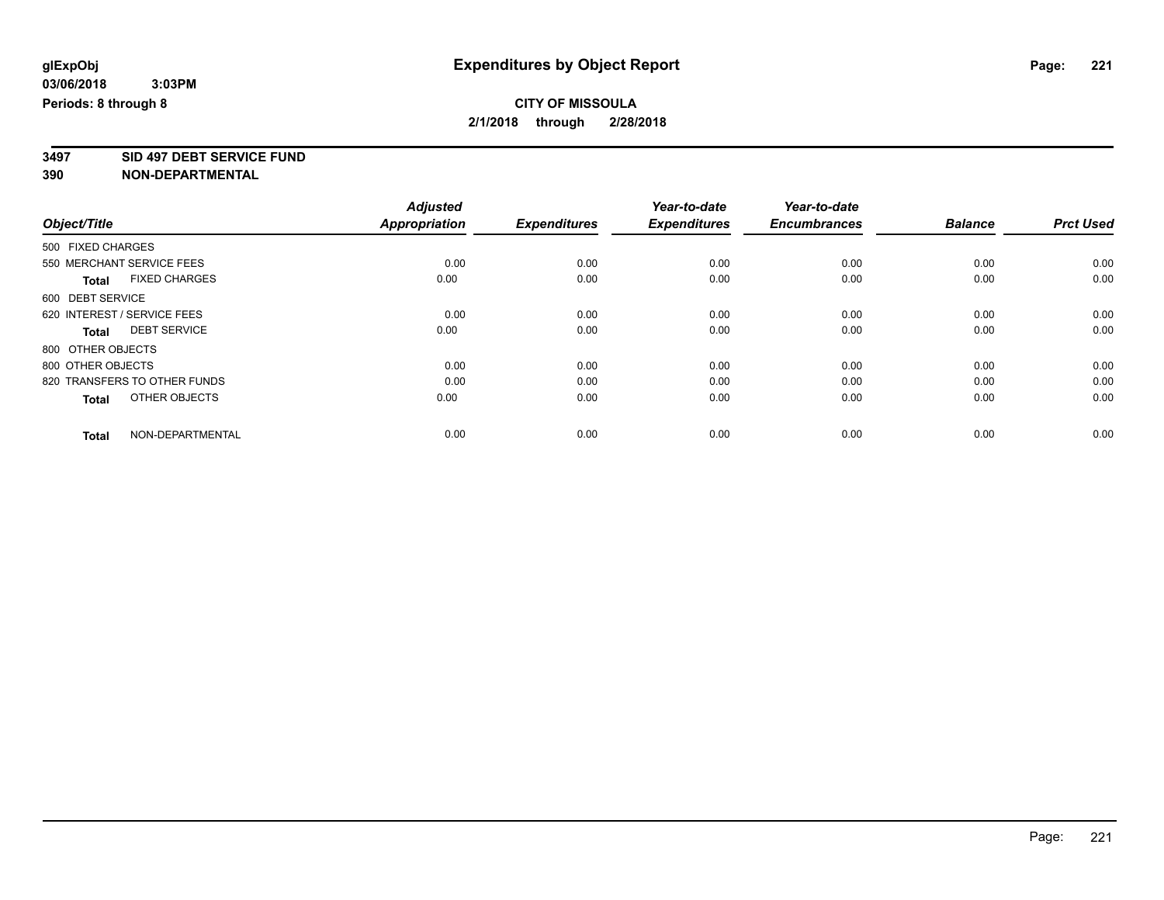**3497 SID 497 DEBT SERVICE FUND**

|                                      | <b>Adjusted</b>      |                     | Year-to-date        | Year-to-date        |                |                  |
|--------------------------------------|----------------------|---------------------|---------------------|---------------------|----------------|------------------|
| Object/Title                         | <b>Appropriation</b> | <b>Expenditures</b> | <b>Expenditures</b> | <b>Encumbrances</b> | <b>Balance</b> | <b>Prct Used</b> |
| 500 FIXED CHARGES                    |                      |                     |                     |                     |                |                  |
| 550 MERCHANT SERVICE FEES            | 0.00                 | 0.00                | 0.00                | 0.00                | 0.00           | 0.00             |
| <b>FIXED CHARGES</b><br><b>Total</b> | 0.00                 | 0.00                | 0.00                | 0.00                | 0.00           | 0.00             |
| 600 DEBT SERVICE                     |                      |                     |                     |                     |                |                  |
| 620 INTEREST / SERVICE FEES          | 0.00                 | 0.00                | 0.00                | 0.00                | 0.00           | 0.00             |
| <b>DEBT SERVICE</b><br><b>Total</b>  | 0.00                 | 0.00                | 0.00                | 0.00                | 0.00           | 0.00             |
| 800 OTHER OBJECTS                    |                      |                     |                     |                     |                |                  |
| 800 OTHER OBJECTS                    | 0.00                 | 0.00                | 0.00                | 0.00                | 0.00           | 0.00             |
| 820 TRANSFERS TO OTHER FUNDS         | 0.00                 | 0.00                | 0.00                | 0.00                | 0.00           | 0.00             |
| OTHER OBJECTS<br><b>Total</b>        | 0.00                 | 0.00                | 0.00                | 0.00                | 0.00           | 0.00             |
|                                      |                      |                     |                     |                     |                |                  |
| NON-DEPARTMENTAL<br><b>Total</b>     | 0.00                 | 0.00                | 0.00                | 0.00                | 0.00           | 0.00             |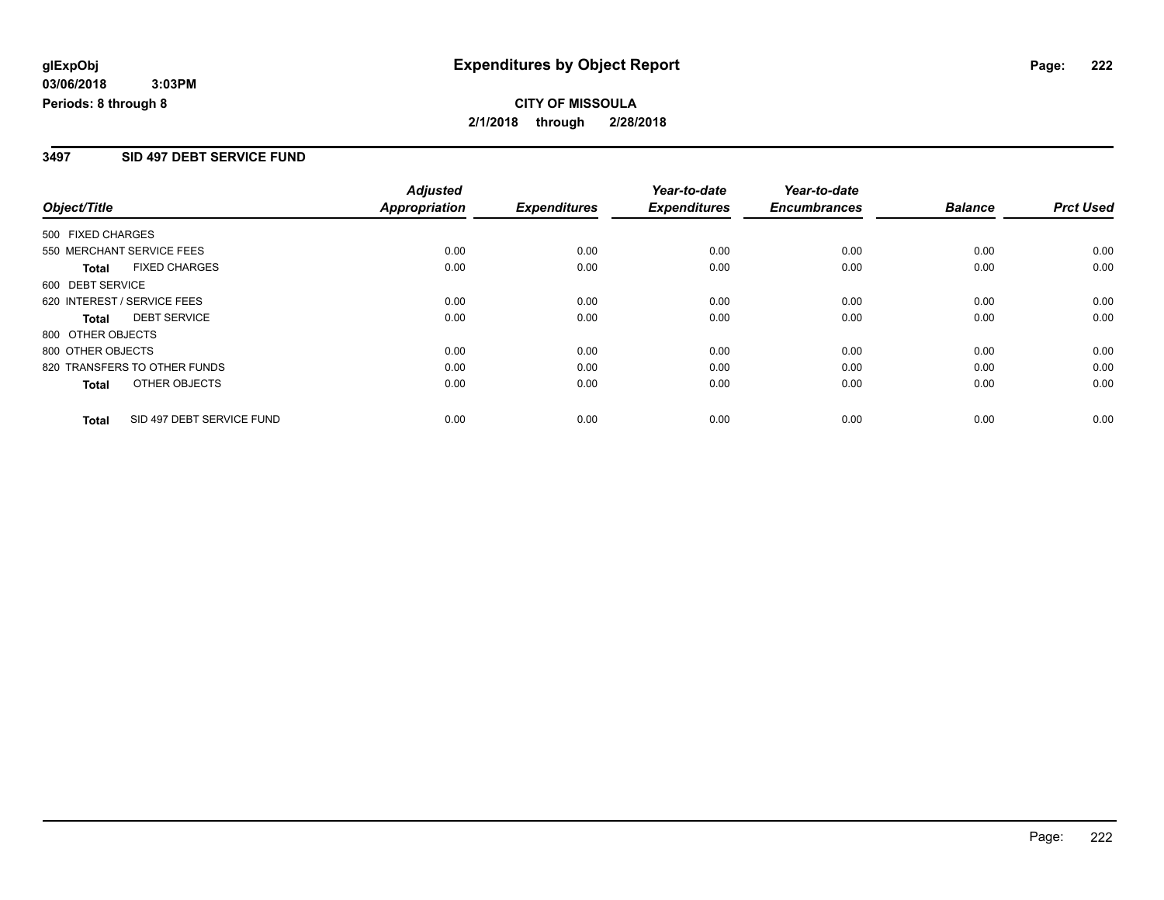# **CITY OF MISSOULA 2/1/2018 through 2/28/2018**

#### **3497 SID 497 DEBT SERVICE FUND**

|                                           | <b>Adjusted</b>      |                     | Year-to-date        | Year-to-date        |                |                  |
|-------------------------------------------|----------------------|---------------------|---------------------|---------------------|----------------|------------------|
| Object/Title                              | <b>Appropriation</b> | <b>Expenditures</b> | <b>Expenditures</b> | <b>Encumbrances</b> | <b>Balance</b> | <b>Prct Used</b> |
| 500 FIXED CHARGES                         |                      |                     |                     |                     |                |                  |
| 550 MERCHANT SERVICE FEES                 | 0.00                 | 0.00                | 0.00                | 0.00                | 0.00           | 0.00             |
| <b>FIXED CHARGES</b><br>Total             | 0.00                 | 0.00                | 0.00                | 0.00                | 0.00           | 0.00             |
| 600 DEBT SERVICE                          |                      |                     |                     |                     |                |                  |
| 620 INTEREST / SERVICE FEES               | 0.00                 | 0.00                | 0.00                | 0.00                | 0.00           | 0.00             |
| <b>DEBT SERVICE</b><br><b>Total</b>       | 0.00                 | 0.00                | 0.00                | 0.00                | 0.00           | 0.00             |
| 800 OTHER OBJECTS                         |                      |                     |                     |                     |                |                  |
| 800 OTHER OBJECTS                         | 0.00                 | 0.00                | 0.00                | 0.00                | 0.00           | 0.00             |
| 820 TRANSFERS TO OTHER FUNDS              | 0.00                 | 0.00                | 0.00                | 0.00                | 0.00           | 0.00             |
| OTHER OBJECTS<br><b>Total</b>             | 0.00                 | 0.00                | 0.00                | 0.00                | 0.00           | 0.00             |
| SID 497 DEBT SERVICE FUND<br><b>Total</b> | 0.00                 | 0.00                | 0.00                | 0.00                | 0.00           | 0.00             |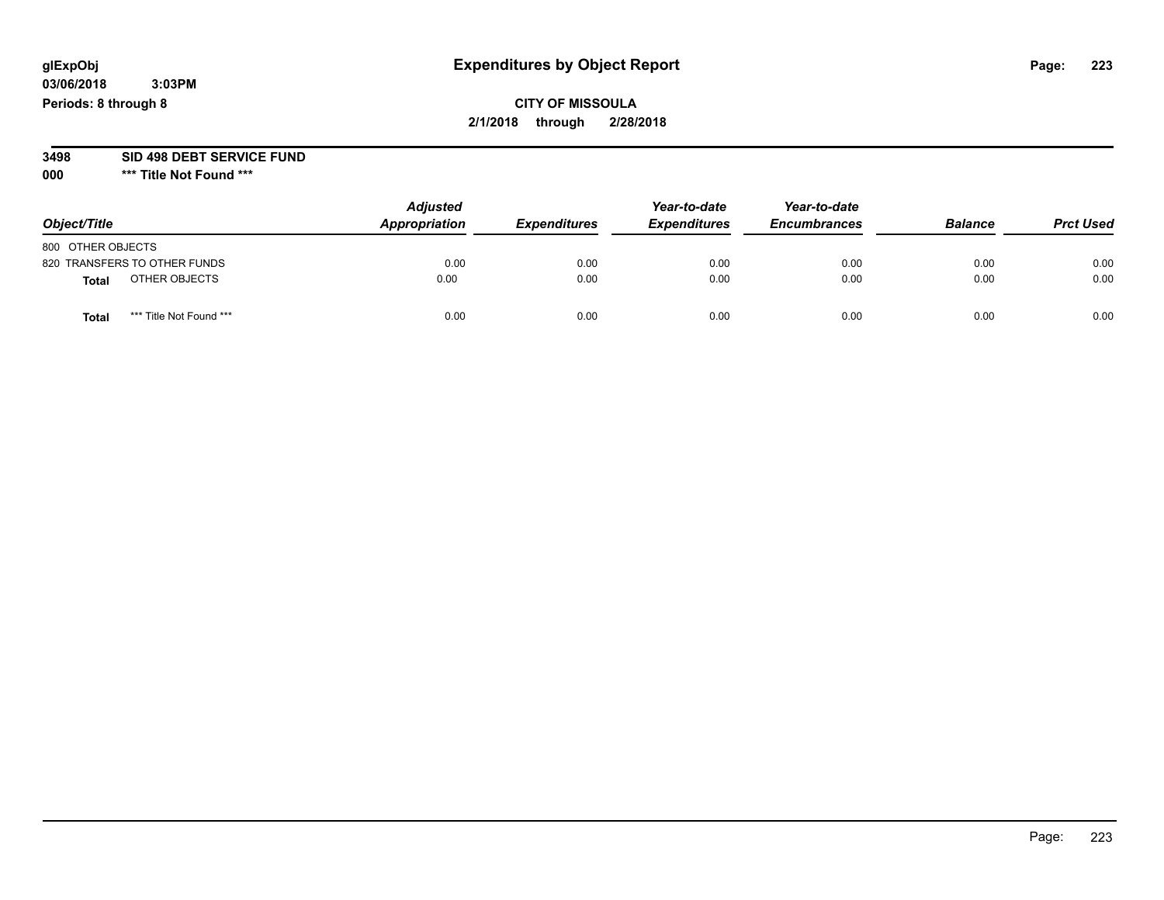## **CITY OF MISSOULA 2/1/2018 through 2/28/2018**

# **3498 SID 498 DEBT SERVICE FUND**

| Object/Title                    | <b>Adjusted</b><br>Appropriation | <b>Expenditures</b> | Year-to-date<br><b>Expenditures</b> | Year-to-date<br><b>Encumbrances</b> | <b>Balance</b> | <b>Prct Used</b> |
|---------------------------------|----------------------------------|---------------------|-------------------------------------|-------------------------------------|----------------|------------------|
| 800 OTHER OBJECTS               |                                  |                     |                                     |                                     |                |                  |
| 820 TRANSFERS TO OTHER FUNDS    | 0.00                             | 0.00                | 0.00                                | 0.00                                | 0.00           | 0.00             |
| OTHER OBJECTS<br><b>Total</b>   | 0.00                             | 0.00                | 0.00                                | 0.00                                | 0.00           | 0.00             |
| *** Title Not Found ***<br>Tota | 0.00                             | 0.00                | 0.00                                | 0.00                                | 0.00           | 0.00             |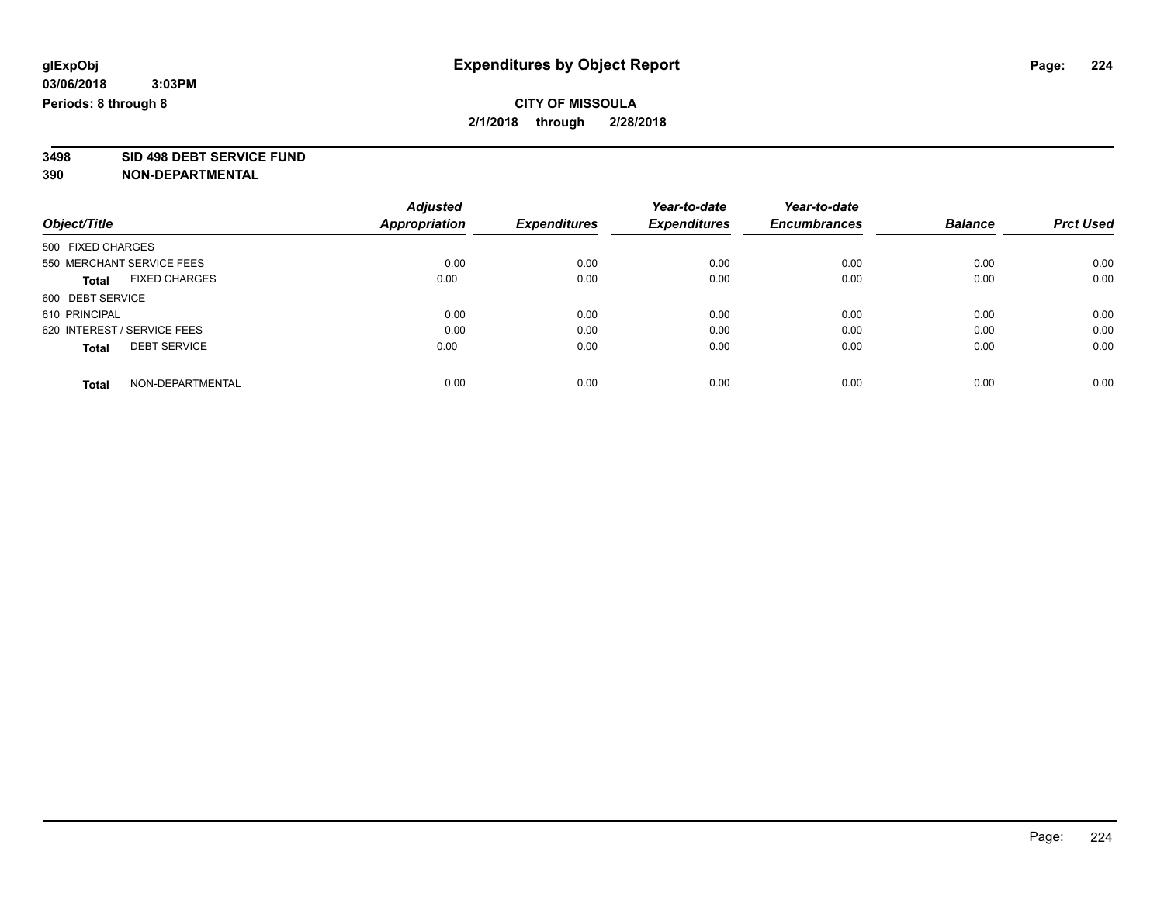**3498 SID 498 DEBT SERVICE FUND**

| Object/Title                |                      | <b>Adjusted</b> |                     | Year-to-date        | Year-to-date<br><b>Encumbrances</b> | <b>Balance</b> | <b>Prct Used</b> |
|-----------------------------|----------------------|-----------------|---------------------|---------------------|-------------------------------------|----------------|------------------|
|                             |                      | Appropriation   | <b>Expenditures</b> | <b>Expenditures</b> |                                     |                |                  |
| 500 FIXED CHARGES           |                      |                 |                     |                     |                                     |                |                  |
| 550 MERCHANT SERVICE FEES   |                      | 0.00            | 0.00                | 0.00                | 0.00                                | 0.00           | 0.00             |
| Total                       | <b>FIXED CHARGES</b> | 0.00            | 0.00                | 0.00                | 0.00                                | 0.00           | 0.00             |
| 600 DEBT SERVICE            |                      |                 |                     |                     |                                     |                |                  |
| 610 PRINCIPAL               |                      | 0.00            | 0.00                | 0.00                | 0.00                                | 0.00           | 0.00             |
| 620 INTEREST / SERVICE FEES |                      | 0.00            | 0.00                | 0.00                | 0.00                                | 0.00           | 0.00             |
| <b>Total</b>                | <b>DEBT SERVICE</b>  | 0.00            | 0.00                | 0.00                | 0.00                                | 0.00           | 0.00             |
| <b>Total</b>                | NON-DEPARTMENTAL     | 0.00            | 0.00                | 0.00                | 0.00                                | 0.00           | 0.00             |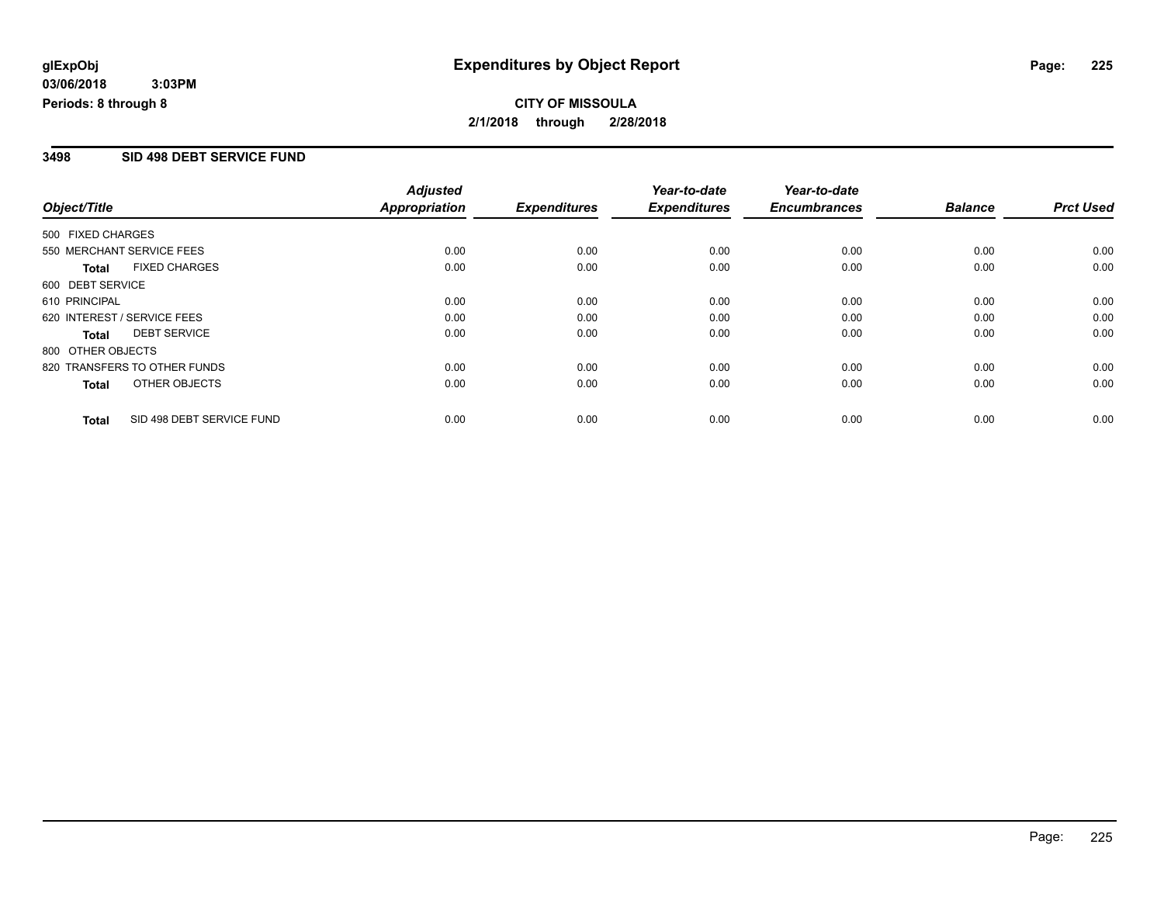#### **3498 SID 498 DEBT SERVICE FUND**

|                                           | <b>Adjusted</b>      |                     | Year-to-date        | Year-to-date        |                |                  |
|-------------------------------------------|----------------------|---------------------|---------------------|---------------------|----------------|------------------|
| Object/Title                              | <b>Appropriation</b> | <b>Expenditures</b> | <b>Expenditures</b> | <b>Encumbrances</b> | <b>Balance</b> | <b>Prct Used</b> |
| 500 FIXED CHARGES                         |                      |                     |                     |                     |                |                  |
| 550 MERCHANT SERVICE FEES                 | 0.00                 | 0.00                | 0.00                | 0.00                | 0.00           | 0.00             |
| <b>FIXED CHARGES</b><br>Total             | 0.00                 | 0.00                | 0.00                | 0.00                | 0.00           | 0.00             |
| 600 DEBT SERVICE                          |                      |                     |                     |                     |                |                  |
| 610 PRINCIPAL                             | 0.00                 | 0.00                | 0.00                | 0.00                | 0.00           | 0.00             |
| 620 INTEREST / SERVICE FEES               | 0.00                 | 0.00                | 0.00                | 0.00                | 0.00           | 0.00             |
| <b>DEBT SERVICE</b><br><b>Total</b>       | 0.00                 | 0.00                | 0.00                | 0.00                | 0.00           | 0.00             |
| 800 OTHER OBJECTS                         |                      |                     |                     |                     |                |                  |
| 820 TRANSFERS TO OTHER FUNDS              | 0.00                 | 0.00                | 0.00                | 0.00                | 0.00           | 0.00             |
| OTHER OBJECTS<br><b>Total</b>             | 0.00                 | 0.00                | 0.00                | 0.00                | 0.00           | 0.00             |
| SID 498 DEBT SERVICE FUND<br><b>Total</b> | 0.00                 | 0.00                | 0.00                | 0.00                | 0.00           | 0.00             |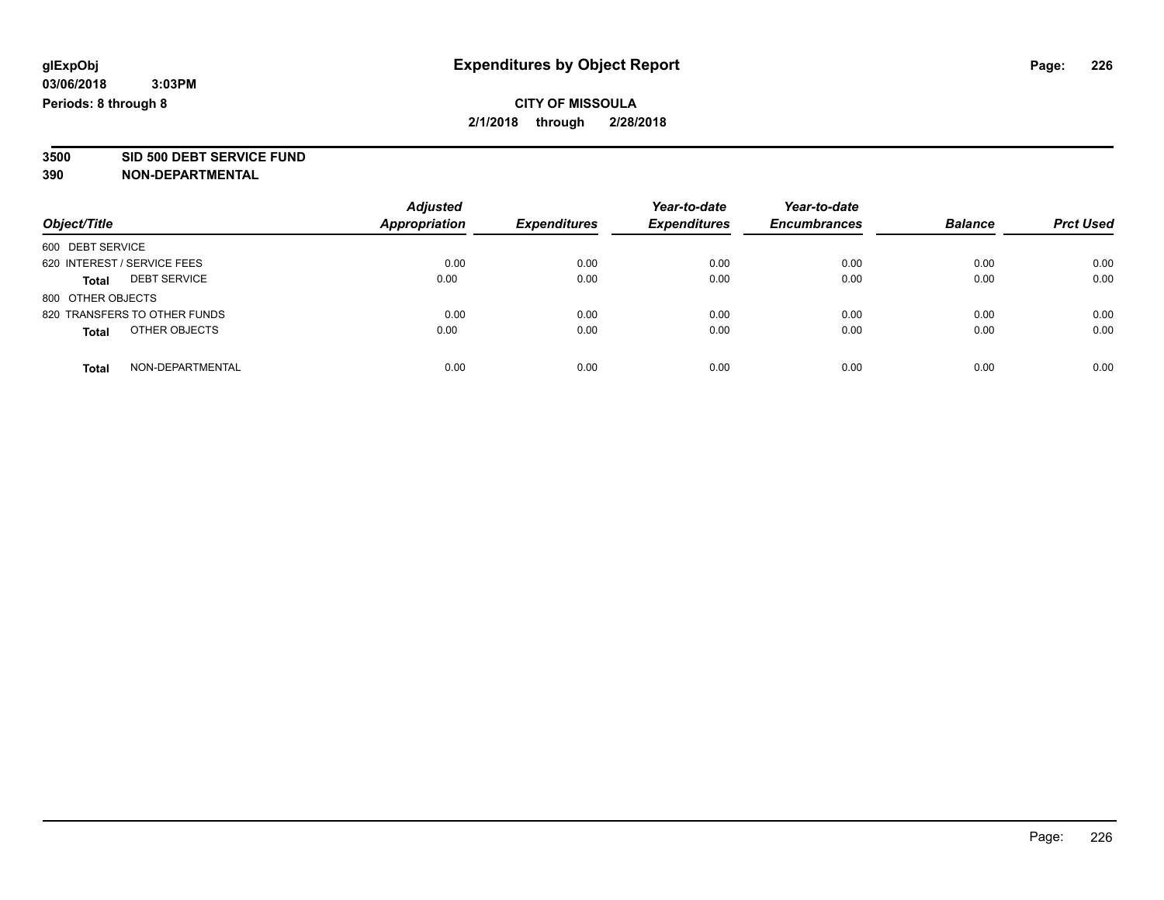**3500 SID 500 DEBT SERVICE FUND**

| Object/Title                        | <b>Adjusted</b><br><b>Appropriation</b> | <b>Expenditures</b> | Year-to-date<br><b>Expenditures</b> | Year-to-date<br><b>Encumbrances</b> | <b>Balance</b> | <b>Prct Used</b> |
|-------------------------------------|-----------------------------------------|---------------------|-------------------------------------|-------------------------------------|----------------|------------------|
| 600 DEBT SERVICE                    |                                         |                     |                                     |                                     |                |                  |
| 620 INTEREST / SERVICE FEES         | 0.00                                    | 0.00                | 0.00                                | 0.00                                | 0.00           | 0.00             |
| <b>DEBT SERVICE</b><br><b>Total</b> | 0.00                                    | 0.00                | 0.00                                | 0.00                                | 0.00           | 0.00             |
| 800 OTHER OBJECTS                   |                                         |                     |                                     |                                     |                |                  |
| 820 TRANSFERS TO OTHER FUNDS        | 0.00                                    | 0.00                | 0.00                                | 0.00                                | 0.00           | 0.00             |
| OTHER OBJECTS<br><b>Total</b>       | 0.00                                    | 0.00                | 0.00                                | 0.00                                | 0.00           | 0.00             |
| NON-DEPARTMENTAL<br>Total           | 0.00                                    | 0.00                | 0.00                                | 0.00                                | 0.00           | 0.00             |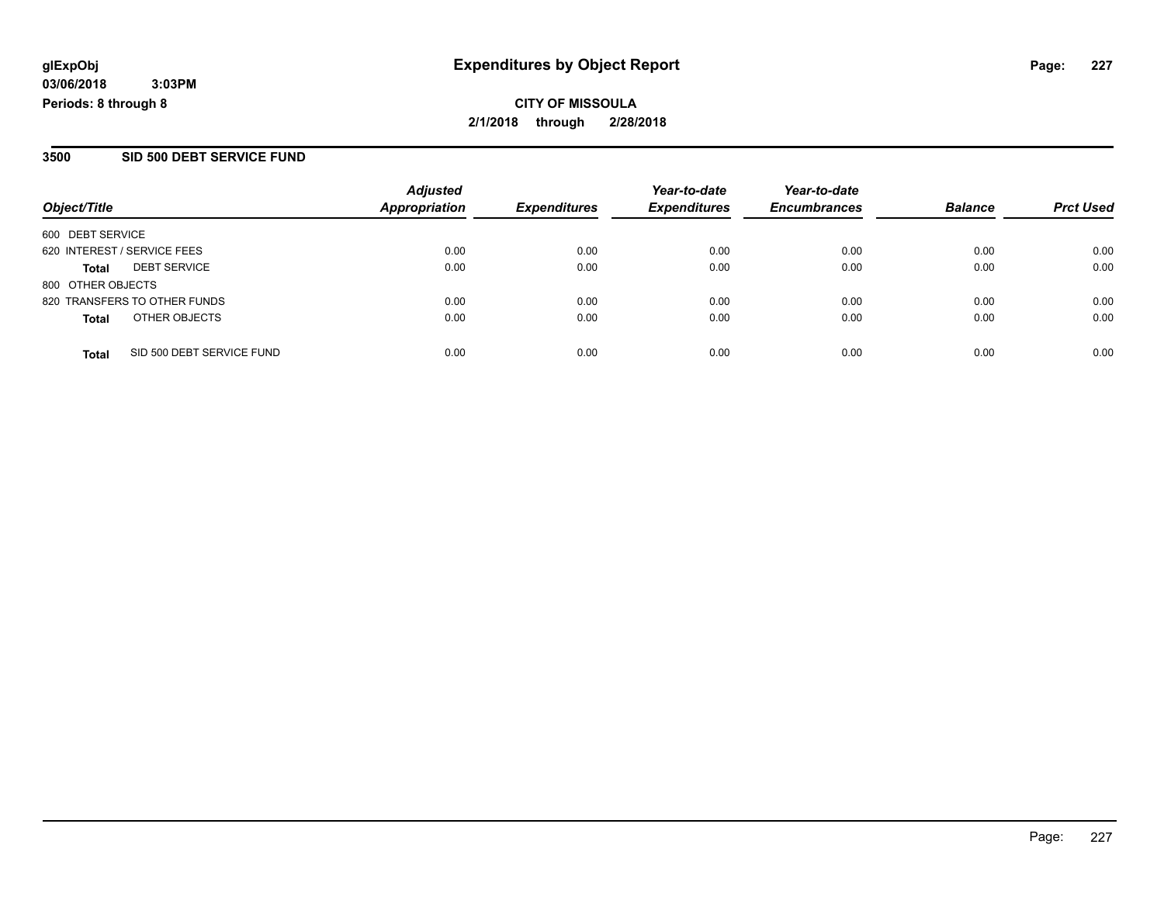**CITY OF MISSOULA 2/1/2018 through 2/28/2018**

#### **3500 SID 500 DEBT SERVICE FUND**

| Object/Title                |                              | <b>Adjusted</b><br>Appropriation | <b>Expenditures</b> | Year-to-date<br><b>Expenditures</b> | Year-to-date<br><b>Encumbrances</b> | <b>Balance</b> | <b>Prct Used</b> |
|-----------------------------|------------------------------|----------------------------------|---------------------|-------------------------------------|-------------------------------------|----------------|------------------|
| 600 DEBT SERVICE            |                              |                                  |                     |                                     |                                     |                |                  |
| 620 INTEREST / SERVICE FEES |                              | 0.00                             | 0.00                | 0.00                                | 0.00                                | 0.00           | 0.00             |
| <b>Total</b>                | <b>DEBT SERVICE</b>          | 0.00                             | 0.00                | 0.00                                | 0.00                                | 0.00           | 0.00             |
| 800 OTHER OBJECTS           |                              |                                  |                     |                                     |                                     |                |                  |
|                             | 820 TRANSFERS TO OTHER FUNDS | 0.00                             | 0.00                | 0.00                                | 0.00                                | 0.00           | 0.00             |
| <b>Total</b>                | OTHER OBJECTS                | 0.00                             | 0.00                | 0.00                                | 0.00                                | 0.00           | 0.00             |
| <b>Total</b>                | SID 500 DEBT SERVICE FUND    | 0.00                             | 0.00                | 0.00                                | 0.00                                | 0.00           | 0.00             |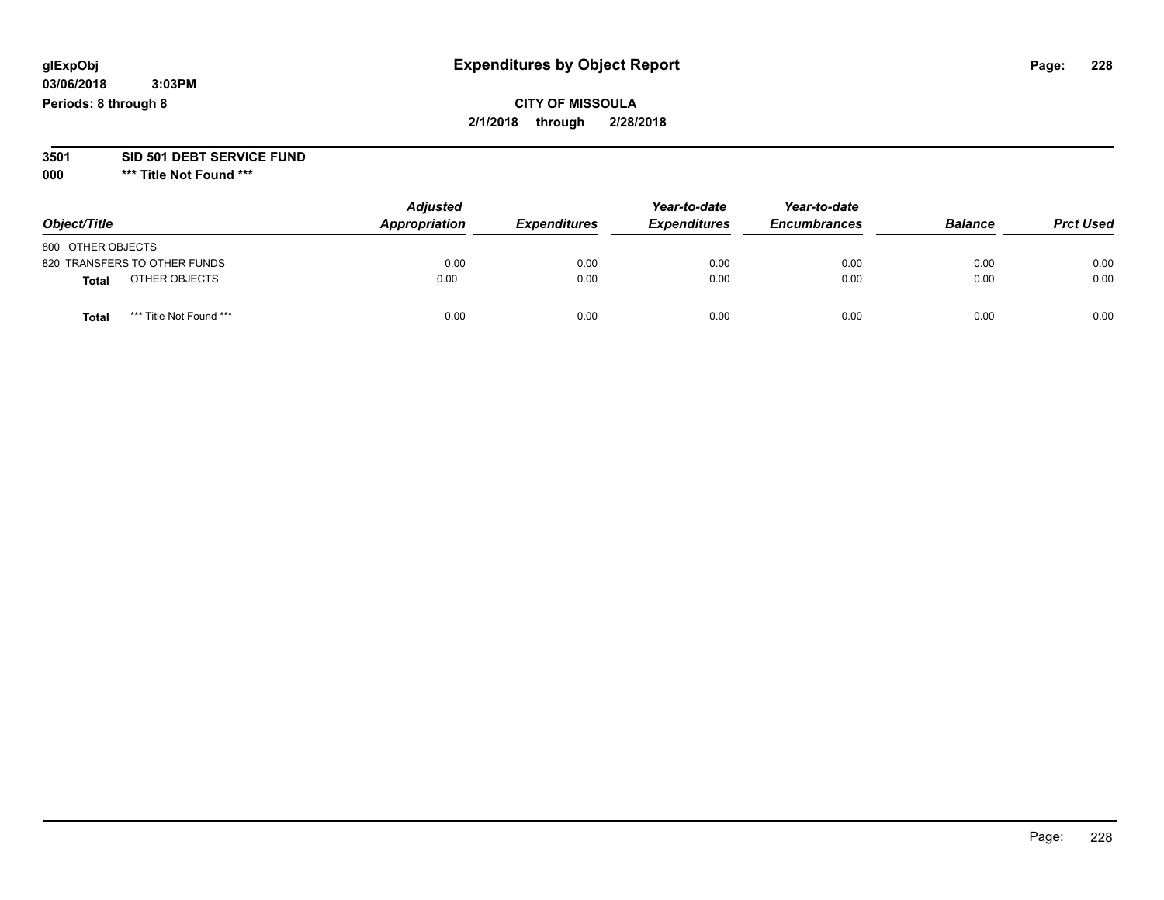## **CITY OF MISSOULA 2/1/2018 through 2/28/2018**

#### **3501 SID 501 DEBT SERVICE FUND**

| Object/Title                     | <b>Adjusted</b><br>Appropriation | <b>Expenditures</b> | Year-to-date<br><b>Expenditures</b> | Year-to-date<br><b>Encumbrances</b> | <b>Balance</b> | <b>Prct Used</b> |
|----------------------------------|----------------------------------|---------------------|-------------------------------------|-------------------------------------|----------------|------------------|
| 800 OTHER OBJECTS                |                                  |                     |                                     |                                     |                |                  |
| 820 TRANSFERS TO OTHER FUNDS     | 0.00                             | 0.00                | 0.00                                | 0.00                                | 0.00           | 0.00             |
| OTHER OBJECTS<br><b>Total</b>    | 0.00                             | 0.00                | 0.00                                | 0.00                                | 0.00           | 0.00             |
| *** Title Not Found ***<br>Total | 0.00                             | 0.00                | 0.00                                | 0.00                                | 0.00           | 0.00             |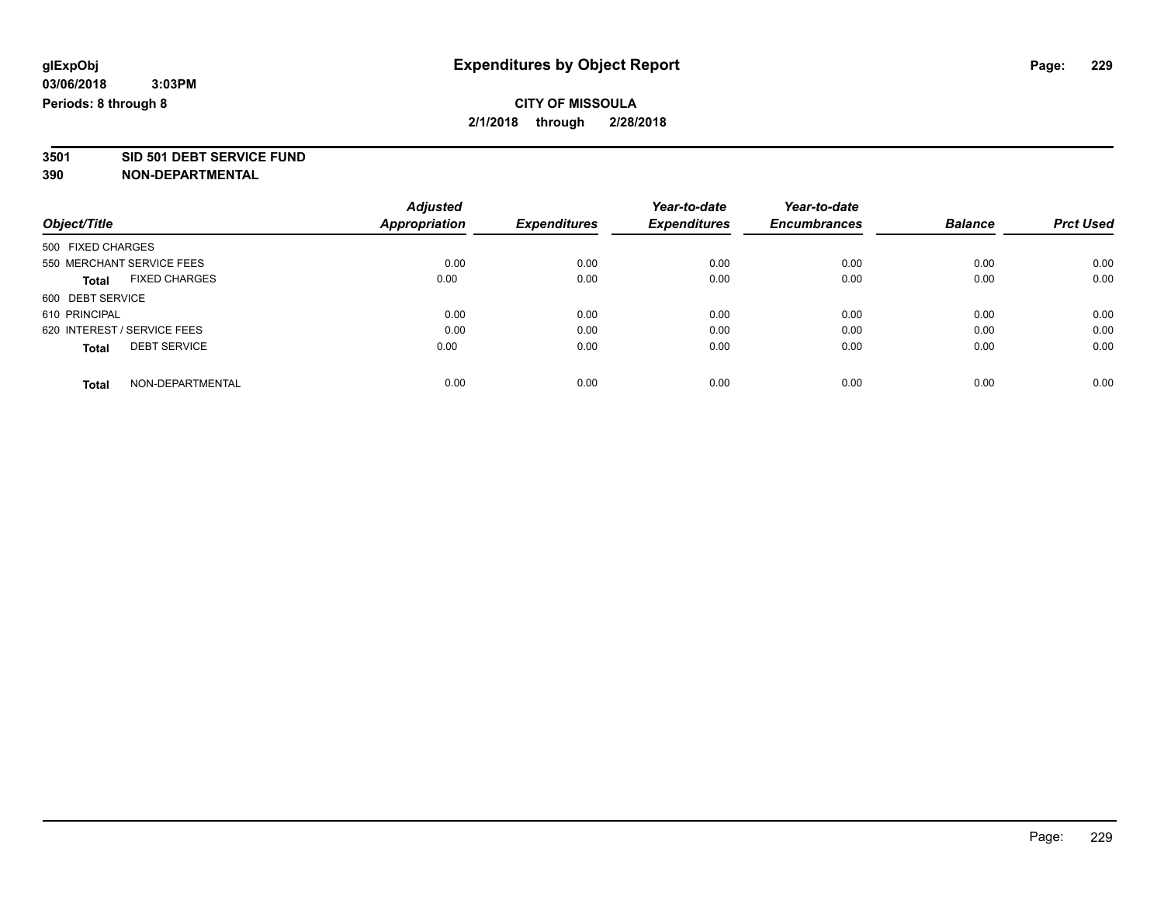**3501 SID 501 DEBT SERVICE FUND**

|                             |                           | <b>Adjusted</b>      |                     | Year-to-date        | Year-to-date        |                |                  |
|-----------------------------|---------------------------|----------------------|---------------------|---------------------|---------------------|----------------|------------------|
| Object/Title                |                           | <b>Appropriation</b> | <b>Expenditures</b> | <b>Expenditures</b> | <b>Encumbrances</b> | <b>Balance</b> | <b>Prct Used</b> |
| 500 FIXED CHARGES           |                           |                      |                     |                     |                     |                |                  |
|                             | 550 MERCHANT SERVICE FEES | 0.00                 | 0.00                | 0.00                | 0.00                | 0.00           | 0.00             |
| <b>Total</b>                | <b>FIXED CHARGES</b>      | 0.00                 | 0.00                | 0.00                | 0.00                | 0.00           | 0.00             |
| 600 DEBT SERVICE            |                           |                      |                     |                     |                     |                |                  |
| 610 PRINCIPAL               |                           | 0.00                 | 0.00                | 0.00                | 0.00                | 0.00           | 0.00             |
| 620 INTEREST / SERVICE FEES |                           | 0.00                 | 0.00                | 0.00                | 0.00                | 0.00           | 0.00             |
| <b>Total</b>                | <b>DEBT SERVICE</b>       | 0.00                 | 0.00                | 0.00                | 0.00                | 0.00           | 0.00             |
| <b>Total</b>                | NON-DEPARTMENTAL          | 0.00                 | 0.00                | 0.00                | 0.00                | 0.00           | 0.00             |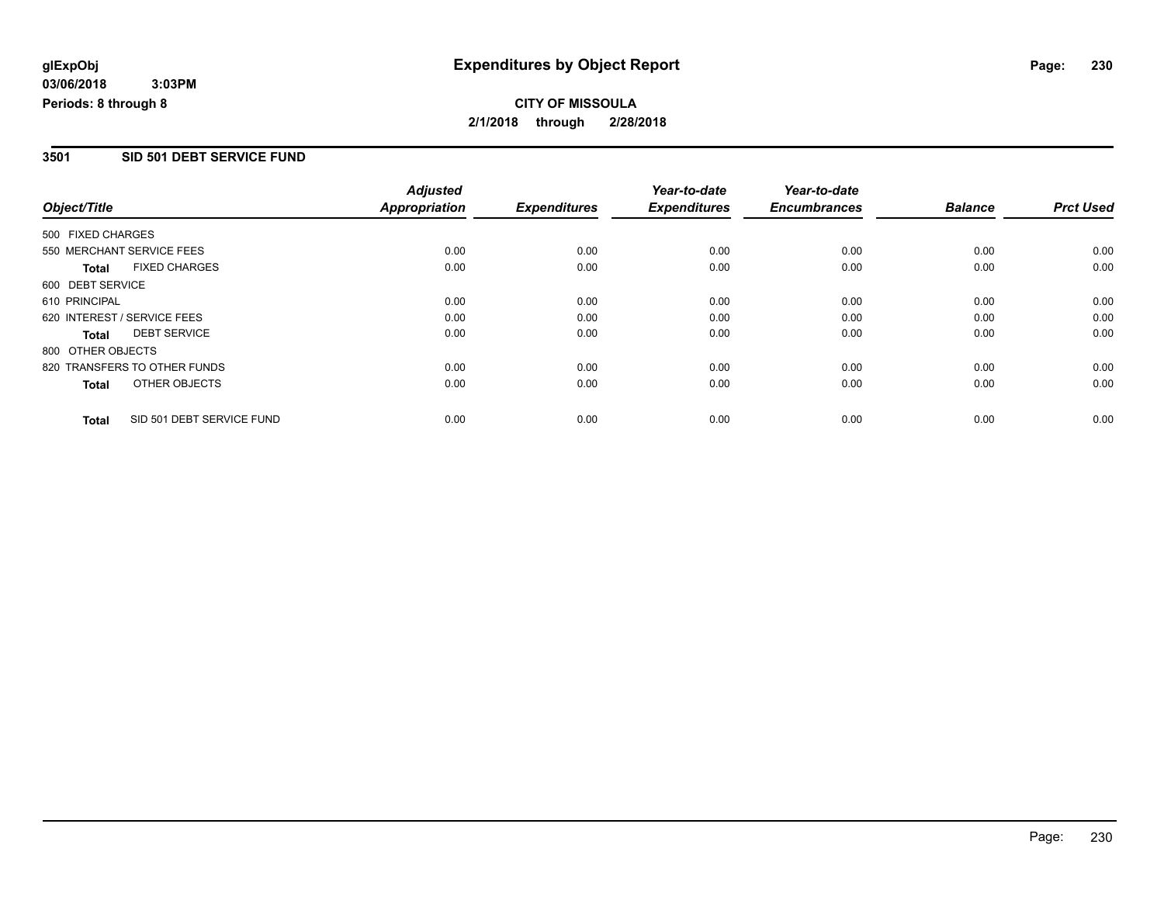#### **3501 SID 501 DEBT SERVICE FUND**

|                             |                              | <b>Adjusted</b>      |                     | Year-to-date        | Year-to-date        |                |                  |
|-----------------------------|------------------------------|----------------------|---------------------|---------------------|---------------------|----------------|------------------|
| Object/Title                |                              | <b>Appropriation</b> | <b>Expenditures</b> | <b>Expenditures</b> | <b>Encumbrances</b> | <b>Balance</b> | <b>Prct Used</b> |
| 500 FIXED CHARGES           |                              |                      |                     |                     |                     |                |                  |
| 550 MERCHANT SERVICE FEES   |                              | 0.00                 | 0.00                | 0.00                | 0.00                | 0.00           | 0.00             |
| <b>Total</b>                | <b>FIXED CHARGES</b>         | 0.00                 | 0.00                | 0.00                | 0.00                | 0.00           | 0.00             |
| 600 DEBT SERVICE            |                              |                      |                     |                     |                     |                |                  |
| 610 PRINCIPAL               |                              | 0.00                 | 0.00                | 0.00                | 0.00                | 0.00           | 0.00             |
| 620 INTEREST / SERVICE FEES |                              | 0.00                 | 0.00                | 0.00                | 0.00                | 0.00           | 0.00             |
| Total                       | <b>DEBT SERVICE</b>          | 0.00                 | 0.00                | 0.00                | 0.00                | 0.00           | 0.00             |
| 800 OTHER OBJECTS           |                              |                      |                     |                     |                     |                |                  |
|                             | 820 TRANSFERS TO OTHER FUNDS | 0.00                 | 0.00                | 0.00                | 0.00                | 0.00           | 0.00             |
| Total                       | OTHER OBJECTS                | 0.00                 | 0.00                | 0.00                | 0.00                | 0.00           | 0.00             |
| <b>Total</b>                | SID 501 DEBT SERVICE FUND    | 0.00                 | 0.00                | 0.00                | 0.00                | 0.00           | 0.00             |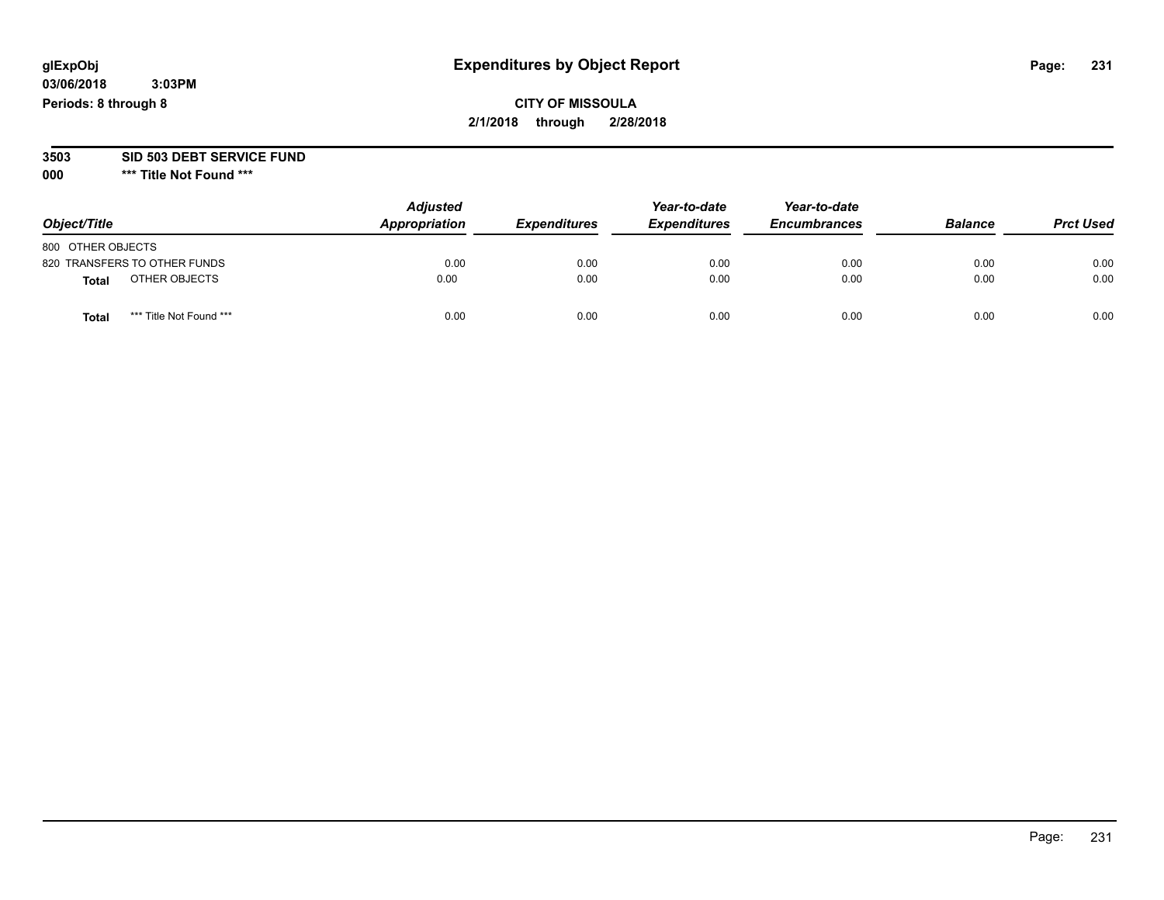## **CITY OF MISSOULA 2/1/2018 through 2/28/2018**

#### **3503 SID 503 DEBT SERVICE FUND**

| Object/Title                 |                         | <b>Adjusted</b><br>Appropriation | <b>Expenditures</b> | Year-to-date<br><b>Expenditures</b> | Year-to-date<br><b>Encumbrances</b> | <b>Balance</b> | <b>Prct Used</b> |
|------------------------------|-------------------------|----------------------------------|---------------------|-------------------------------------|-------------------------------------|----------------|------------------|
| 800 OTHER OBJECTS            |                         |                                  |                     |                                     |                                     |                |                  |
| 820 TRANSFERS TO OTHER FUNDS |                         | 0.00                             | 0.00                | 0.00                                | 0.00                                | 0.00           | 0.00             |
| Total                        | OTHER OBJECTS           | 0.00                             | 0.00                | 0.00                                | 0.00                                | 0.00           | 0.00             |
| Tota                         | *** Title Not Found *** | 0.00                             | 0.00                | 0.00                                | 0.00                                | 0.00           | 0.00             |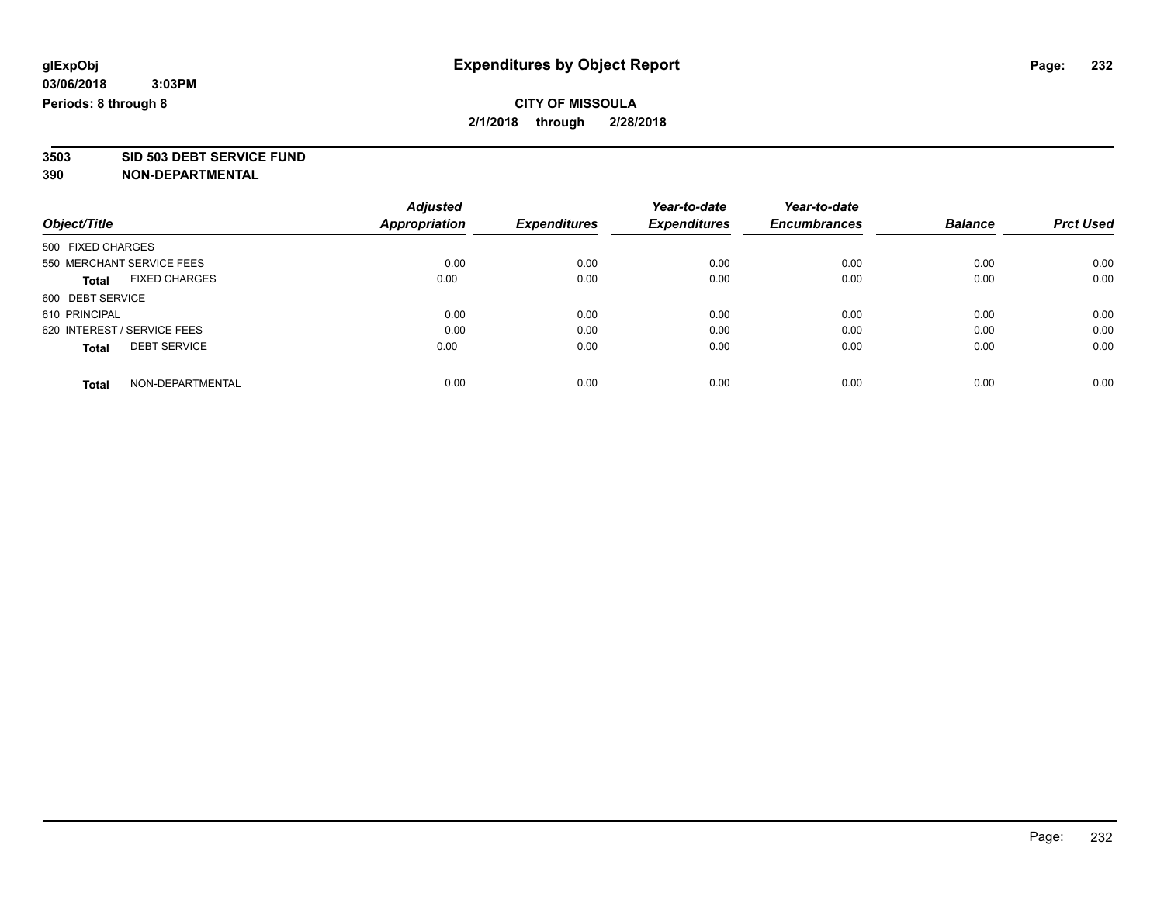**3503 SID 503 DEBT SERVICE FUND**

|                             |                           | <b>Adjusted</b>      |                     | Year-to-date        | Year-to-date        |                |                  |
|-----------------------------|---------------------------|----------------------|---------------------|---------------------|---------------------|----------------|------------------|
| Object/Title                |                           | <b>Appropriation</b> | <b>Expenditures</b> | <b>Expenditures</b> | <b>Encumbrances</b> | <b>Balance</b> | <b>Prct Used</b> |
| 500 FIXED CHARGES           |                           |                      |                     |                     |                     |                |                  |
|                             | 550 MERCHANT SERVICE FEES | 0.00                 | 0.00                | 0.00                | 0.00                | 0.00           | 0.00             |
| <b>Total</b>                | <b>FIXED CHARGES</b>      | 0.00                 | 0.00                | 0.00                | 0.00                | 0.00           | 0.00             |
| 600 DEBT SERVICE            |                           |                      |                     |                     |                     |                |                  |
| 610 PRINCIPAL               |                           | 0.00                 | 0.00                | 0.00                | 0.00                | 0.00           | 0.00             |
| 620 INTEREST / SERVICE FEES |                           | 0.00                 | 0.00                | 0.00                | 0.00                | 0.00           | 0.00             |
| <b>Total</b>                | <b>DEBT SERVICE</b>       | 0.00                 | 0.00                | 0.00                | 0.00                | 0.00           | 0.00             |
| <b>Total</b>                | NON-DEPARTMENTAL          | 0.00                 | 0.00                | 0.00                | 0.00                | 0.00           | 0.00             |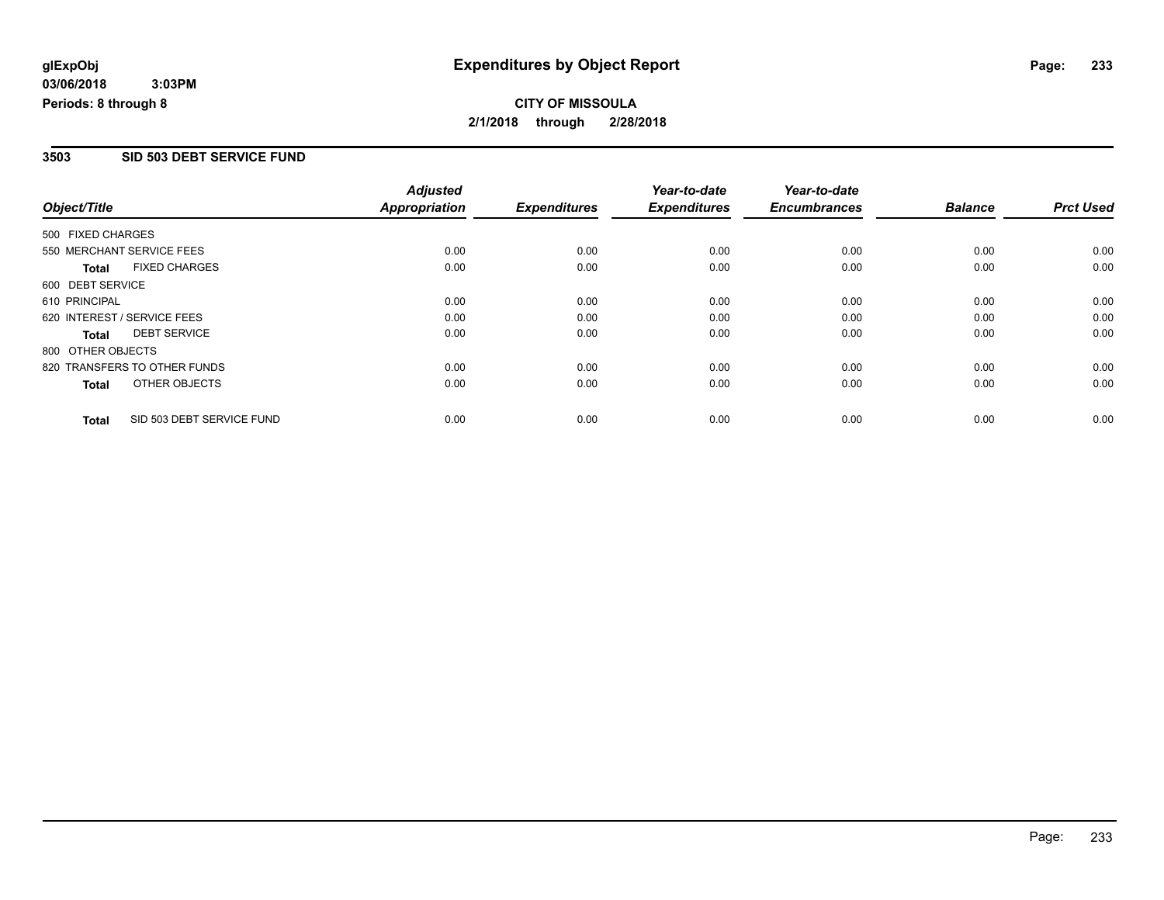#### **3503 SID 503 DEBT SERVICE FUND**

|                   |                              | <b>Adjusted</b>      |                     | Year-to-date        | Year-to-date        |                |                  |
|-------------------|------------------------------|----------------------|---------------------|---------------------|---------------------|----------------|------------------|
| Object/Title      |                              | <b>Appropriation</b> | <b>Expenditures</b> | <b>Expenditures</b> | <b>Encumbrances</b> | <b>Balance</b> | <b>Prct Used</b> |
| 500 FIXED CHARGES |                              |                      |                     |                     |                     |                |                  |
|                   | 550 MERCHANT SERVICE FEES    | 0.00                 | 0.00                | 0.00                | 0.00                | 0.00           | 0.00             |
| <b>Total</b>      | <b>FIXED CHARGES</b>         | 0.00                 | 0.00                | 0.00                | 0.00                | 0.00           | 0.00             |
| 600 DEBT SERVICE  |                              |                      |                     |                     |                     |                |                  |
| 610 PRINCIPAL     |                              | 0.00                 | 0.00                | 0.00                | 0.00                | 0.00           | 0.00             |
|                   | 620 INTEREST / SERVICE FEES  | 0.00                 | 0.00                | 0.00                | 0.00                | 0.00           | 0.00             |
| Total             | <b>DEBT SERVICE</b>          | 0.00                 | 0.00                | 0.00                | 0.00                | 0.00           | 0.00             |
| 800 OTHER OBJECTS |                              |                      |                     |                     |                     |                |                  |
|                   | 820 TRANSFERS TO OTHER FUNDS | 0.00                 | 0.00                | 0.00                | 0.00                | 0.00           | 0.00             |
| Total             | OTHER OBJECTS                | 0.00                 | 0.00                | 0.00                | 0.00                | 0.00           | 0.00             |
| <b>Total</b>      | SID 503 DEBT SERVICE FUND    | 0.00                 | 0.00                | 0.00                | 0.00                | 0.00           | 0.00             |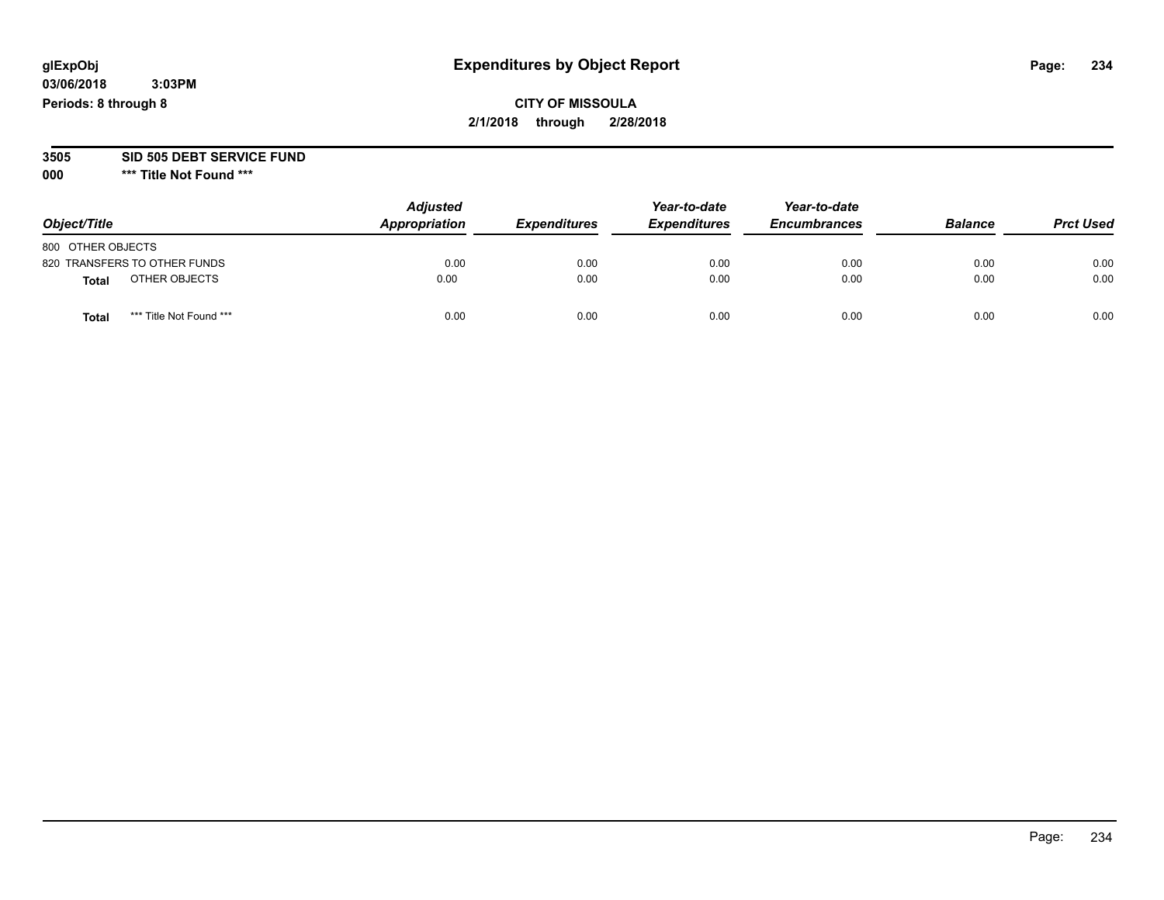## **CITY OF MISSOULA 2/1/2018 through 2/28/2018**

#### **3505 SID 505 DEBT SERVICE FUND**

| Object/Title                     | <b>Adjusted</b><br>Appropriation | <b>Expenditures</b> | Year-to-date<br><b>Expenditures</b> | Year-to-date<br><b>Encumbrances</b> | <b>Balance</b> | <b>Prct Used</b> |
|----------------------------------|----------------------------------|---------------------|-------------------------------------|-------------------------------------|----------------|------------------|
| 800 OTHER OBJECTS                |                                  |                     |                                     |                                     |                |                  |
| 820 TRANSFERS TO OTHER FUNDS     | 0.00                             | 0.00                | 0.00                                | 0.00                                | 0.00           | 0.00             |
| OTHER OBJECTS<br><b>Total</b>    | 0.00                             | 0.00                | 0.00                                | 0.00                                | 0.00           | 0.00             |
| *** Title Not Found ***<br>Total | 0.00                             | 0.00                | 0.00                                | 0.00                                | 0.00           | 0.00             |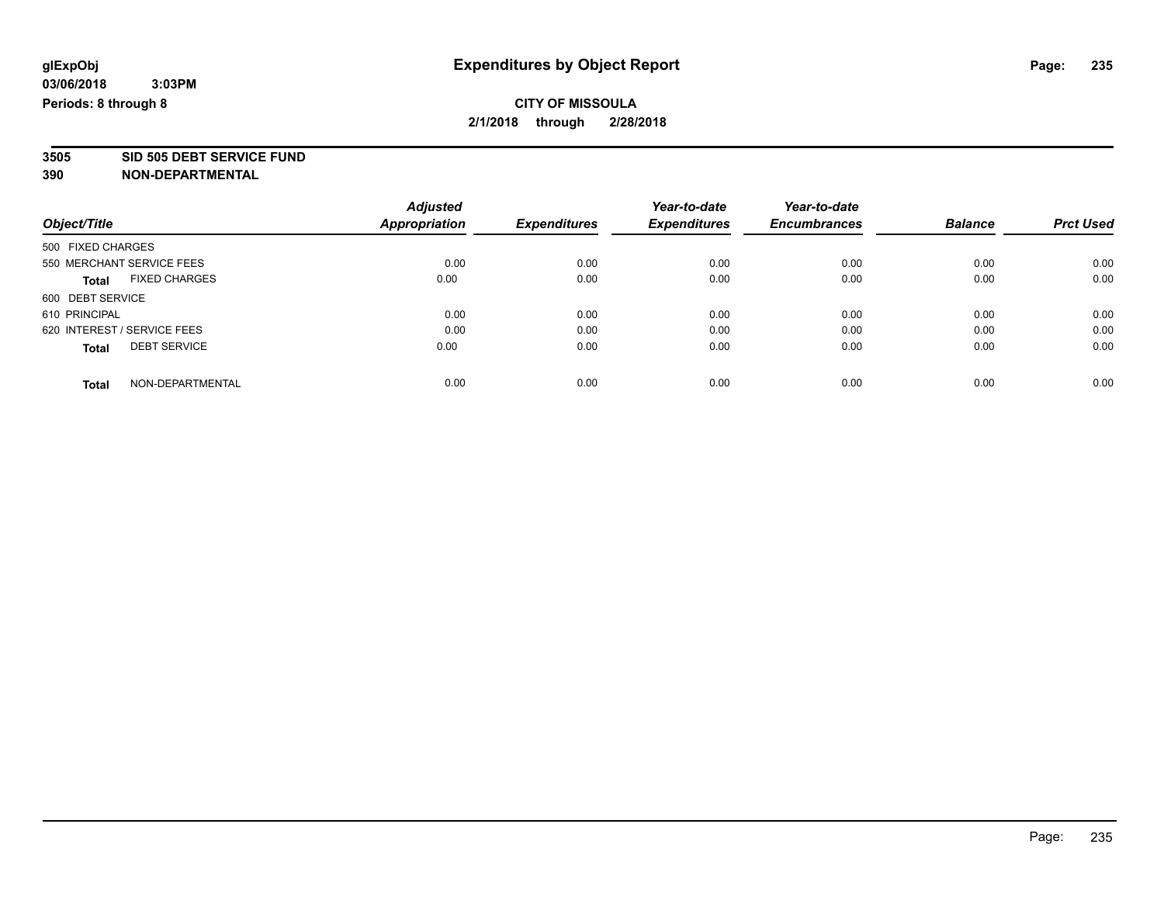**3505 SID 505 DEBT SERVICE FUND**

|                             |                           | <b>Adjusted</b>      |                     | Year-to-date        | Year-to-date        |                |                  |
|-----------------------------|---------------------------|----------------------|---------------------|---------------------|---------------------|----------------|------------------|
| Object/Title                |                           | <b>Appropriation</b> | <b>Expenditures</b> | <b>Expenditures</b> | <b>Encumbrances</b> | <b>Balance</b> | <b>Prct Used</b> |
| 500 FIXED CHARGES           |                           |                      |                     |                     |                     |                |                  |
|                             | 550 MERCHANT SERVICE FEES | 0.00                 | 0.00                | 0.00                | 0.00                | 0.00           | 0.00             |
| <b>Total</b>                | <b>FIXED CHARGES</b>      | 0.00                 | 0.00                | 0.00                | 0.00                | 0.00           | 0.00             |
| 600 DEBT SERVICE            |                           |                      |                     |                     |                     |                |                  |
| 610 PRINCIPAL               |                           | 0.00                 | 0.00                | 0.00                | 0.00                | 0.00           | 0.00             |
| 620 INTEREST / SERVICE FEES |                           | 0.00                 | 0.00                | 0.00                | 0.00                | 0.00           | 0.00             |
| <b>Total</b>                | <b>DEBT SERVICE</b>       | 0.00                 | 0.00                | 0.00                | 0.00                | 0.00           | 0.00             |
| <b>Total</b>                | NON-DEPARTMENTAL          | 0.00                 | 0.00                | 0.00                | 0.00                | 0.00           | 0.00             |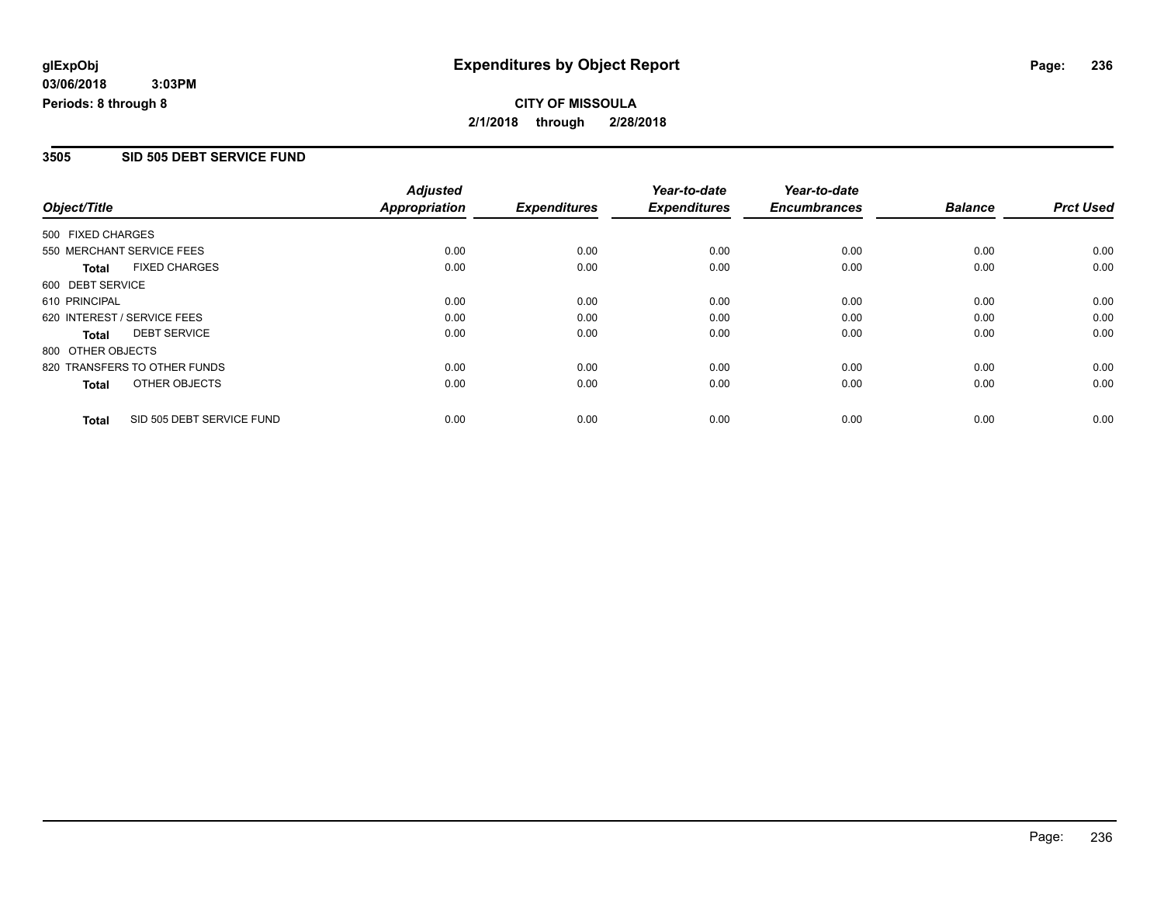#### **3505 SID 505 DEBT SERVICE FUND**

|                   |                              | <b>Adjusted</b>      |                     | Year-to-date        | Year-to-date        |                |                  |
|-------------------|------------------------------|----------------------|---------------------|---------------------|---------------------|----------------|------------------|
| Object/Title      |                              | <b>Appropriation</b> | <b>Expenditures</b> | <b>Expenditures</b> | <b>Encumbrances</b> | <b>Balance</b> | <b>Prct Used</b> |
| 500 FIXED CHARGES |                              |                      |                     |                     |                     |                |                  |
|                   | 550 MERCHANT SERVICE FEES    | 0.00                 | 0.00                | 0.00                | 0.00                | 0.00           | 0.00             |
| <b>Total</b>      | <b>FIXED CHARGES</b>         | 0.00                 | 0.00                | 0.00                | 0.00                | 0.00           | 0.00             |
| 600 DEBT SERVICE  |                              |                      |                     |                     |                     |                |                  |
| 610 PRINCIPAL     |                              | 0.00                 | 0.00                | 0.00                | 0.00                | 0.00           | 0.00             |
|                   | 620 INTEREST / SERVICE FEES  | 0.00                 | 0.00                | 0.00                | 0.00                | 0.00           | 0.00             |
| Total             | <b>DEBT SERVICE</b>          | 0.00                 | 0.00                | 0.00                | 0.00                | 0.00           | 0.00             |
| 800 OTHER OBJECTS |                              |                      |                     |                     |                     |                |                  |
|                   | 820 TRANSFERS TO OTHER FUNDS | 0.00                 | 0.00                | 0.00                | 0.00                | 0.00           | 0.00             |
| <b>Total</b>      | OTHER OBJECTS                | 0.00                 | 0.00                | 0.00                | 0.00                | 0.00           | 0.00             |
| <b>Total</b>      | SID 505 DEBT SERVICE FUND    | 0.00                 | 0.00                | 0.00                | 0.00                | 0.00           | 0.00             |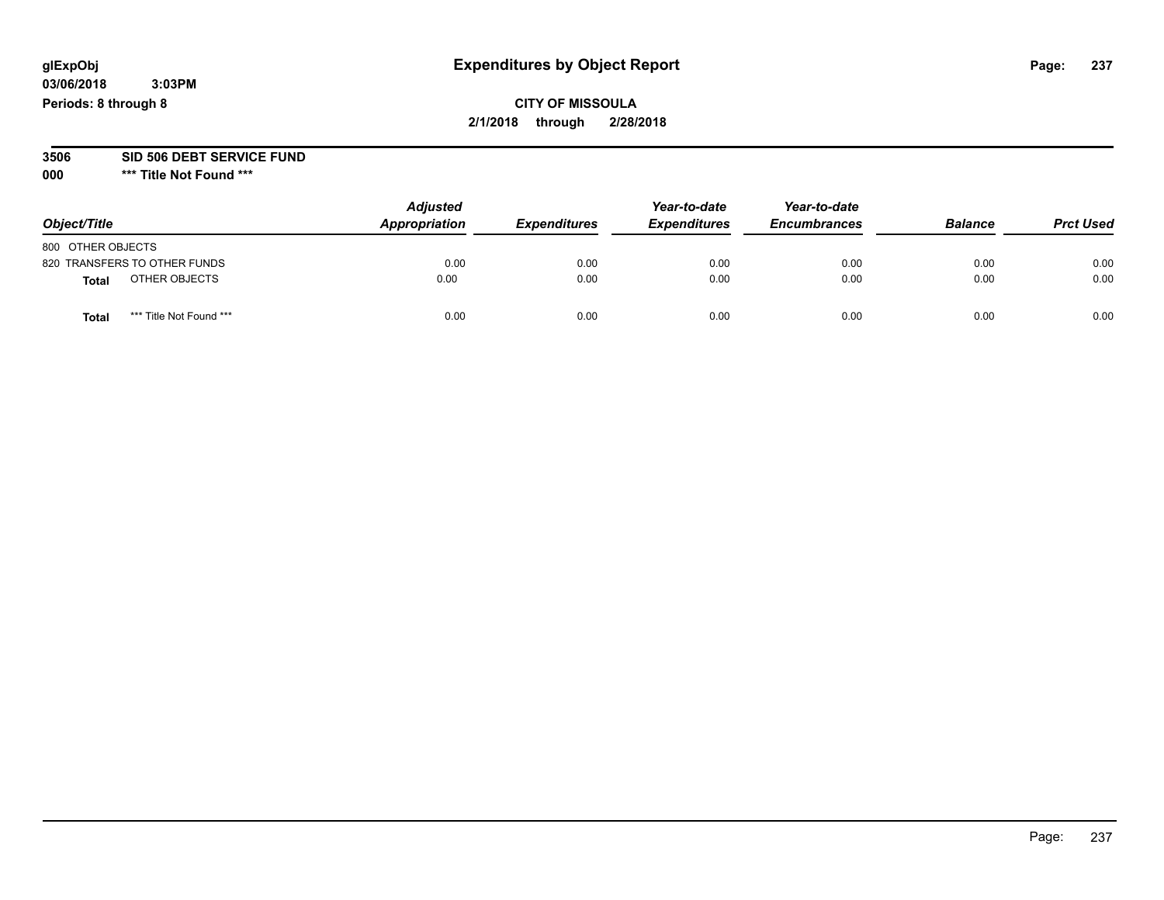## **CITY OF MISSOULA 2/1/2018 through 2/28/2018**

# **3506 SID 506 DEBT SERVICE FUND**

| Object/Title                    | <b>Adjusted</b><br>Appropriation | <b>Expenditures</b> | Year-to-date<br><b>Expenditures</b> | Year-to-date<br><b>Encumbrances</b> | <b>Balance</b> | <b>Prct Used</b> |
|---------------------------------|----------------------------------|---------------------|-------------------------------------|-------------------------------------|----------------|------------------|
| 800 OTHER OBJECTS               |                                  |                     |                                     |                                     |                |                  |
| 820 TRANSFERS TO OTHER FUNDS    | 0.00                             | 0.00                | 0.00                                | 0.00                                | 0.00           | 0.00             |
| OTHER OBJECTS<br>Total          | 0.00                             | 0.00                | 0.00                                | 0.00                                | 0.00           | 0.00             |
| *** Title Not Found ***<br>Tota | 0.00                             | 0.00                | 0.00                                | 0.00                                | 0.00           | 0.00             |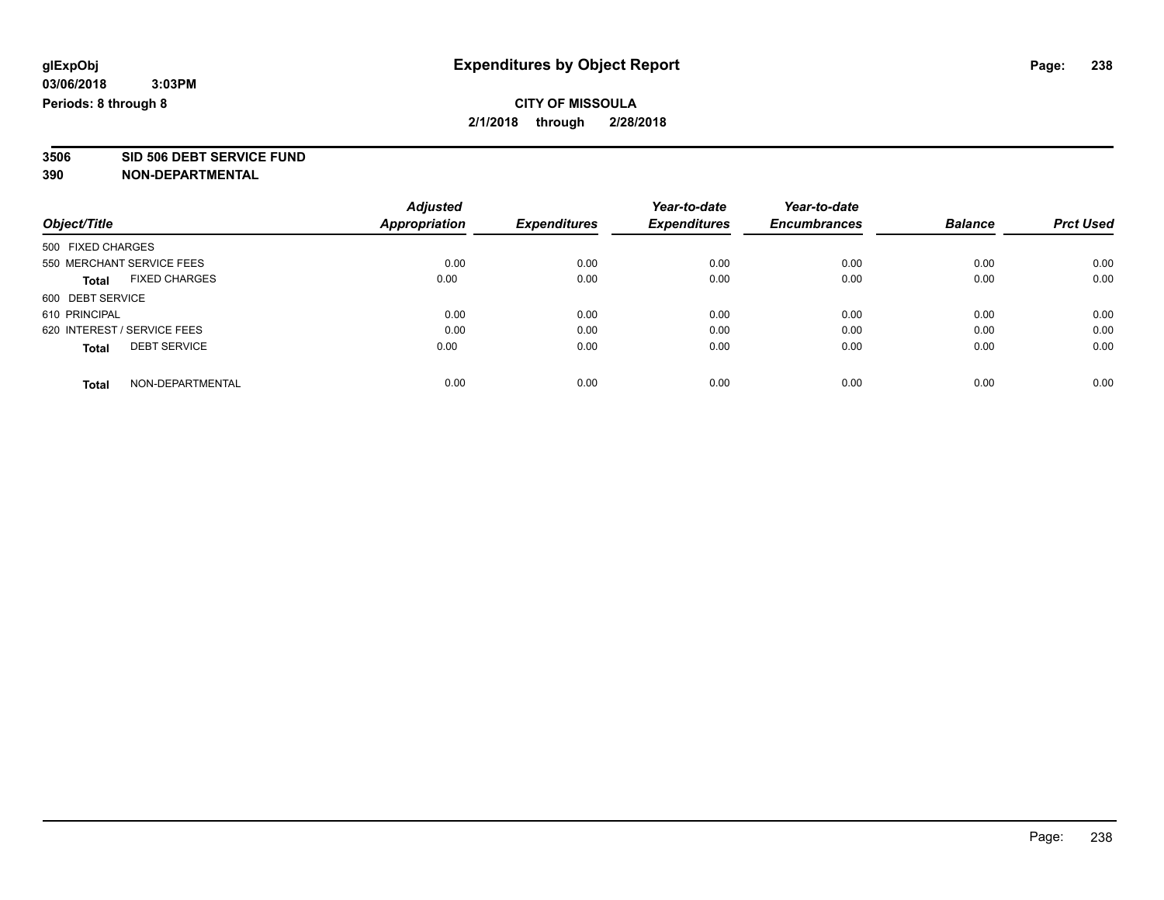**3506 SID 506 DEBT SERVICE FUND**

|                             |                           | <b>Adjusted</b>      |                     | Year-to-date        | Year-to-date        |                |                  |
|-----------------------------|---------------------------|----------------------|---------------------|---------------------|---------------------|----------------|------------------|
| Object/Title                |                           | <b>Appropriation</b> | <b>Expenditures</b> | <b>Expenditures</b> | <b>Encumbrances</b> | <b>Balance</b> | <b>Prct Used</b> |
| 500 FIXED CHARGES           |                           |                      |                     |                     |                     |                |                  |
|                             | 550 MERCHANT SERVICE FEES | 0.00                 | 0.00                | 0.00                | 0.00                | 0.00           | 0.00             |
| <b>Total</b>                | <b>FIXED CHARGES</b>      | 0.00                 | 0.00                | 0.00                | 0.00                | 0.00           | 0.00             |
| 600 DEBT SERVICE            |                           |                      |                     |                     |                     |                |                  |
| 610 PRINCIPAL               |                           | 0.00                 | 0.00                | 0.00                | 0.00                | 0.00           | 0.00             |
| 620 INTEREST / SERVICE FEES |                           | 0.00                 | 0.00                | 0.00                | 0.00                | 0.00           | 0.00             |
| <b>Total</b>                | <b>DEBT SERVICE</b>       | 0.00                 | 0.00                | 0.00                | 0.00                | 0.00           | 0.00             |
| <b>Total</b>                | NON-DEPARTMENTAL          | 0.00                 | 0.00                | 0.00                | 0.00                | 0.00           | 0.00             |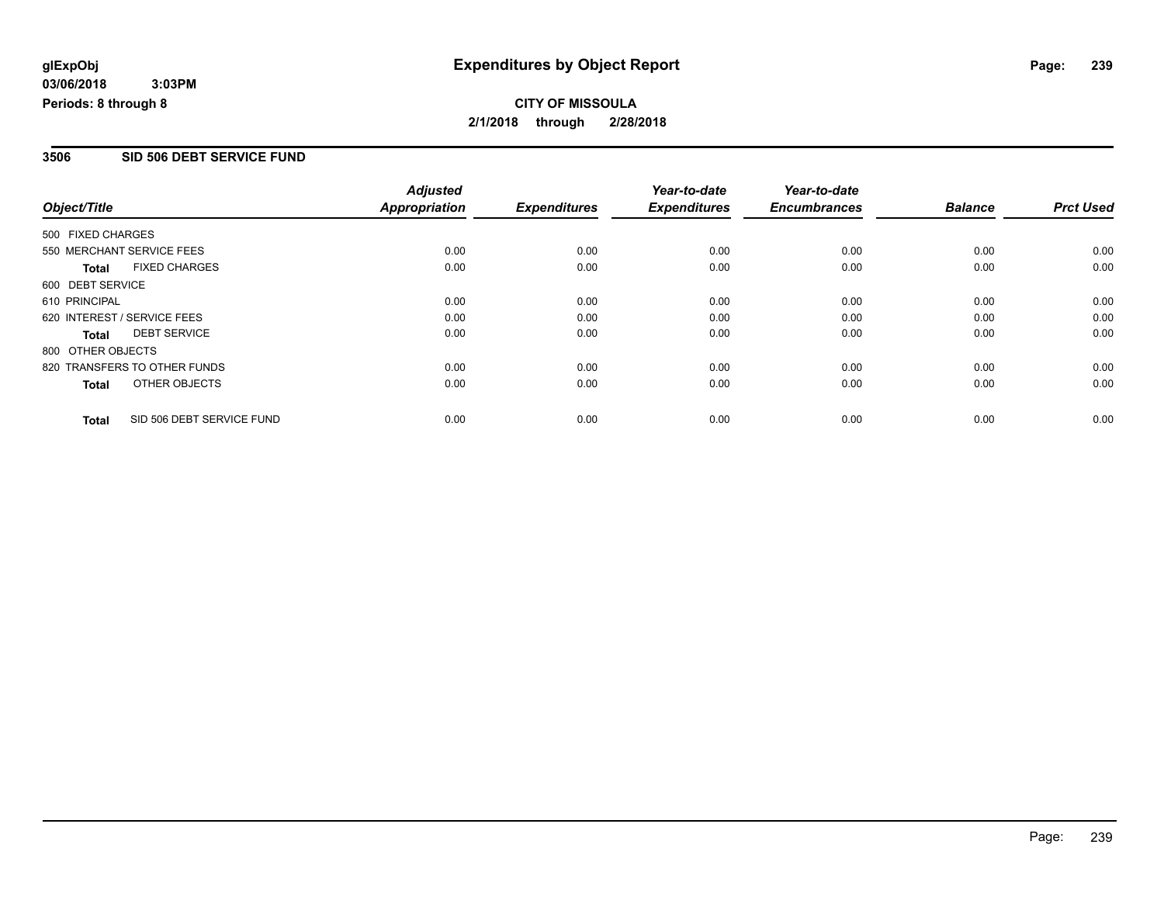#### **3506 SID 506 DEBT SERVICE FUND**

|                   |                              | <b>Adjusted</b>      |                     | Year-to-date        | Year-to-date        |                |                  |
|-------------------|------------------------------|----------------------|---------------------|---------------------|---------------------|----------------|------------------|
| Object/Title      |                              | <b>Appropriation</b> | <b>Expenditures</b> | <b>Expenditures</b> | <b>Encumbrances</b> | <b>Balance</b> | <b>Prct Used</b> |
| 500 FIXED CHARGES |                              |                      |                     |                     |                     |                |                  |
|                   | 550 MERCHANT SERVICE FEES    | 0.00                 | 0.00                | 0.00                | 0.00                | 0.00           | 0.00             |
| <b>Total</b>      | <b>FIXED CHARGES</b>         | 0.00                 | 0.00                | 0.00                | 0.00                | 0.00           | 0.00             |
| 600 DEBT SERVICE  |                              |                      |                     |                     |                     |                |                  |
| 610 PRINCIPAL     |                              | 0.00                 | 0.00                | 0.00                | 0.00                | 0.00           | 0.00             |
|                   | 620 INTEREST / SERVICE FEES  | 0.00                 | 0.00                | 0.00                | 0.00                | 0.00           | 0.00             |
| Total             | <b>DEBT SERVICE</b>          | 0.00                 | 0.00                | 0.00                | 0.00                | 0.00           | 0.00             |
| 800 OTHER OBJECTS |                              |                      |                     |                     |                     |                |                  |
|                   | 820 TRANSFERS TO OTHER FUNDS | 0.00                 | 0.00                | 0.00                | 0.00                | 0.00           | 0.00             |
| Total             | OTHER OBJECTS                | 0.00                 | 0.00                | 0.00                | 0.00                | 0.00           | 0.00             |
| <b>Total</b>      | SID 506 DEBT SERVICE FUND    | 0.00                 | 0.00                | 0.00                | 0.00                | 0.00           | 0.00             |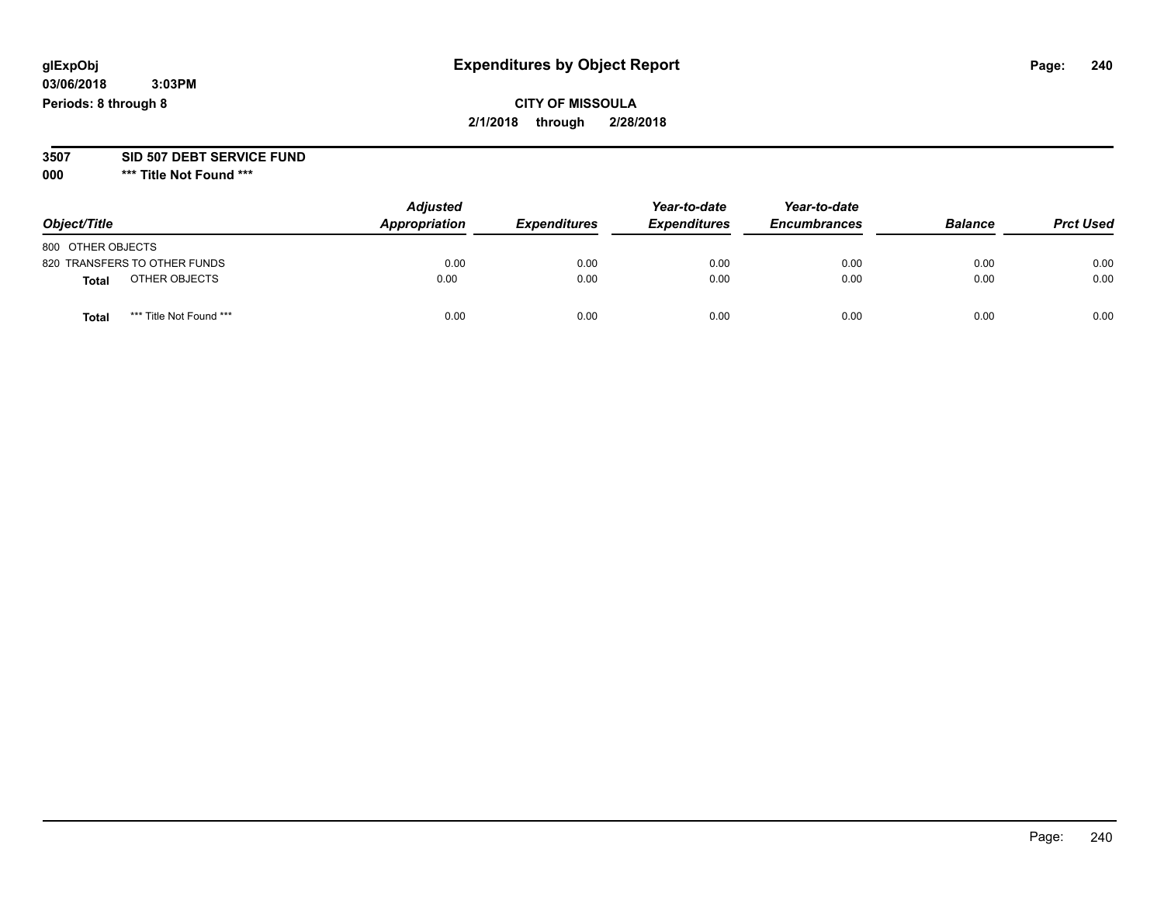## **CITY OF MISSOULA 2/1/2018 through 2/28/2018**

#### **3507 SID 507 DEBT SERVICE FUND**

| Object/Title                            | <b>Adjusted</b><br>Appropriation | <b>Expenditures</b> | Year-to-date<br><b>Expenditures</b> | Year-to-date<br><b>Encumbrances</b> | <b>Balance</b> | <b>Prct Used</b> |
|-----------------------------------------|----------------------------------|---------------------|-------------------------------------|-------------------------------------|----------------|------------------|
| 800 OTHER OBJECTS                       |                                  |                     |                                     |                                     |                |                  |
| 820 TRANSFERS TO OTHER FUNDS            | 0.00                             | 0.00                | 0.00                                | 0.00                                | 0.00           | 0.00             |
| OTHER OBJECTS<br>Total                  | 0.00                             | 0.00                | 0.00                                | 0.00                                | 0.00           | 0.00             |
| *** Title Not Found ***<br><b>Total</b> | 0.00                             | 0.00                | 0.00                                | 0.00                                | 0.00           | 0.00             |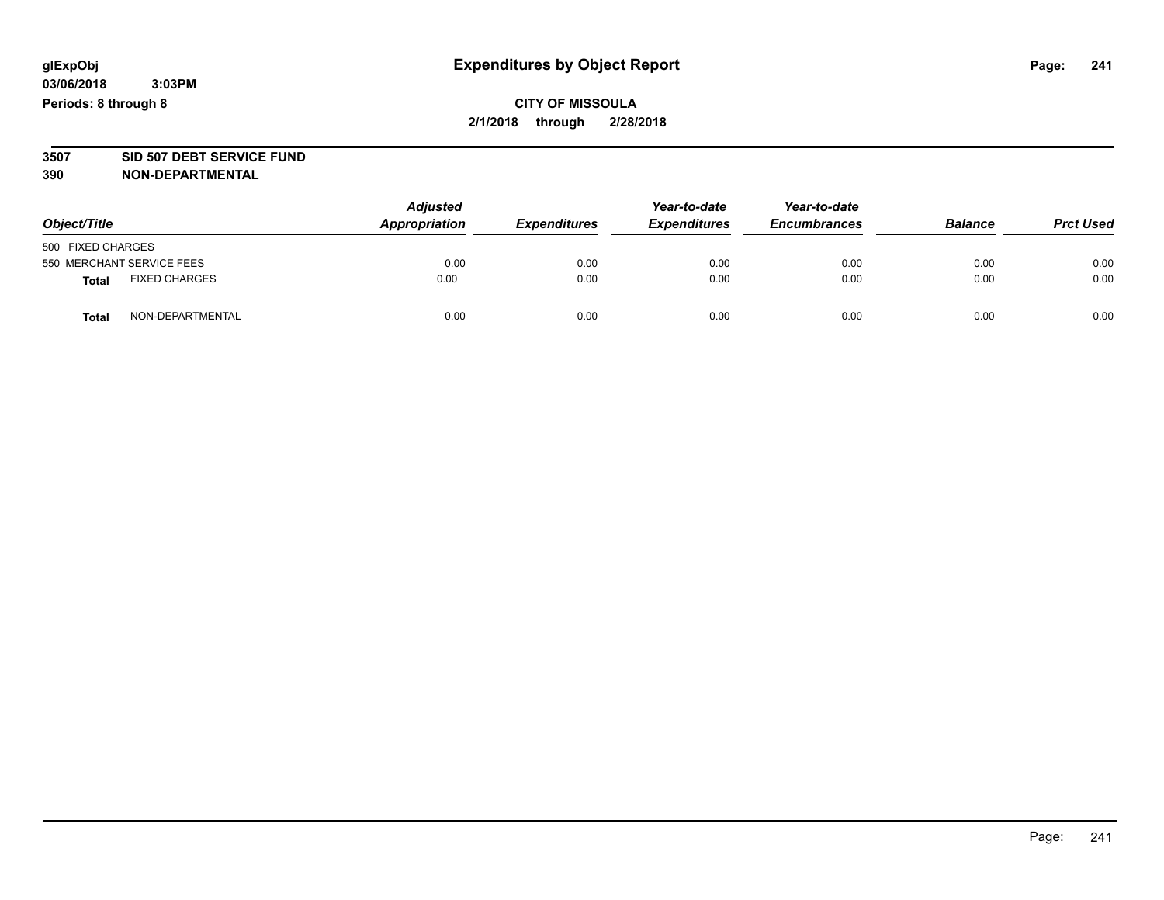## **CITY OF MISSOULA 2/1/2018 through 2/28/2018**

# **3507 SID 507 DEBT SERVICE FUND**

| Object/Title                         |                  | <b>Adjusted</b><br>Appropriation | <b>Expenditures</b> | Year-to-date<br><b>Expenditures</b> | Year-to-date<br><b>Encumbrances</b> | <b>Balance</b> | <b>Prct Used</b> |
|--------------------------------------|------------------|----------------------------------|---------------------|-------------------------------------|-------------------------------------|----------------|------------------|
| 500 FIXED CHARGES                    |                  |                                  |                     |                                     |                                     |                |                  |
| 550 MERCHANT SERVICE FEES            |                  | 0.00                             | 0.00                | 0.00                                | 0.00                                | 0.00           | 0.00             |
| <b>FIXED CHARGES</b><br><b>Total</b> |                  | 0.00                             | 0.00                | 0.00                                | 0.00                                | 0.00           | 0.00             |
| <b>Total</b>                         | NON-DEPARTMENTAL | 0.00                             | 0.00                | 0.00                                | 0.00                                | 0.00           | 0.00             |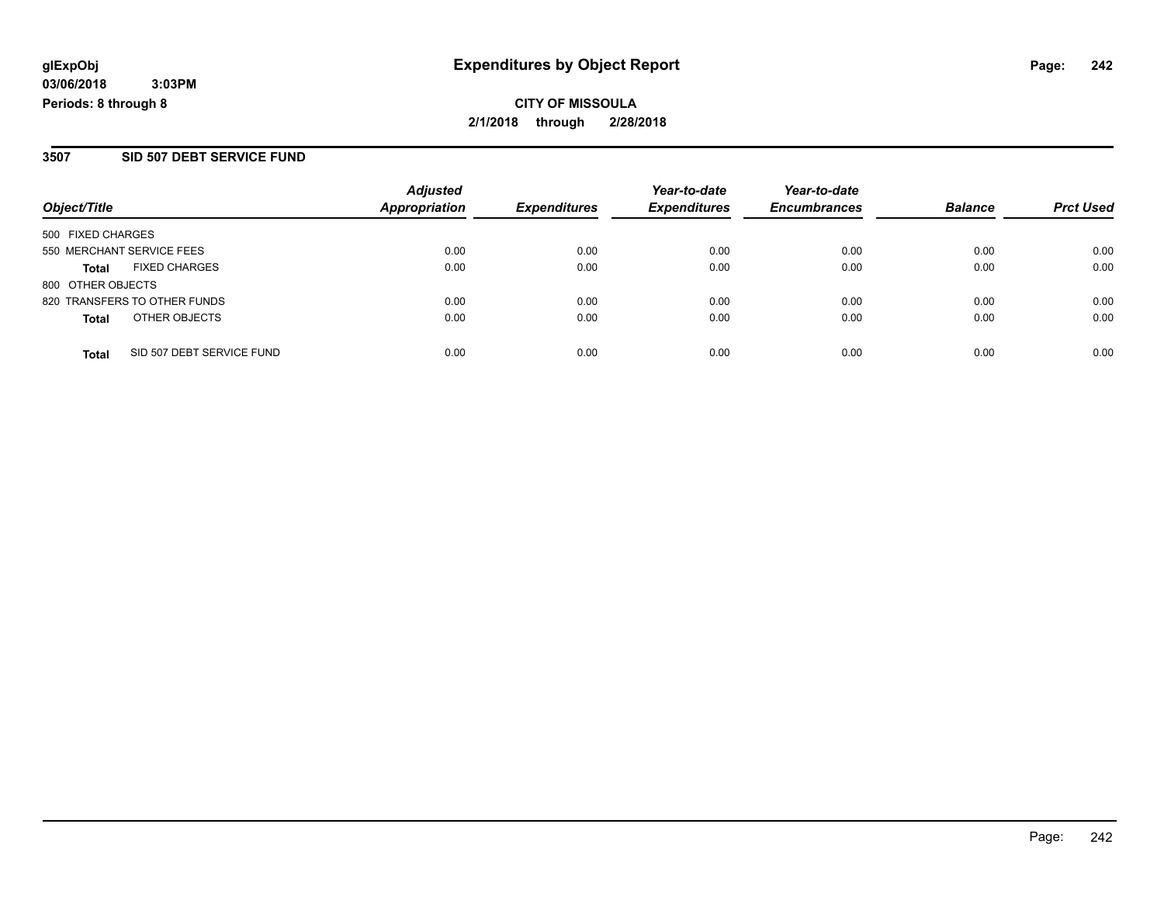**CITY OF MISSOULA 2/1/2018 through 2/28/2018**

#### **3507 SID 507 DEBT SERVICE FUND**

|                              | <b>Adjusted</b> |               | Year-to-date        | Year-to-date        |                     | <b>Prct Used</b> |
|------------------------------|-----------------|---------------|---------------------|---------------------|---------------------|------------------|
|                              |                 |               |                     |                     |                     |                  |
| 500 FIXED CHARGES            |                 |               |                     |                     |                     |                  |
| 550 MERCHANT SERVICE FEES    | 0.00            | 0.00          | 0.00                | 0.00                | 0.00                | 0.00             |
| <b>FIXED CHARGES</b>         | 0.00            | 0.00          | 0.00                | 0.00                | 0.00                | 0.00             |
| 800 OTHER OBJECTS            |                 |               |                     |                     |                     |                  |
| 820 TRANSFERS TO OTHER FUNDS | 0.00            | 0.00          | 0.00                | 0.00                | 0.00                | 0.00             |
| OTHER OBJECTS                | 0.00            | 0.00          | 0.00                | 0.00                | 0.00                | 0.00             |
| SID 507 DEBT SERVICE FUND    | 0.00            | 0.00          | 0.00                | 0.00                | 0.00                | 0.00             |
|                              |                 | Appropriation | <b>Expenditures</b> | <b>Expenditures</b> | <b>Encumbrances</b> | <b>Balance</b>   |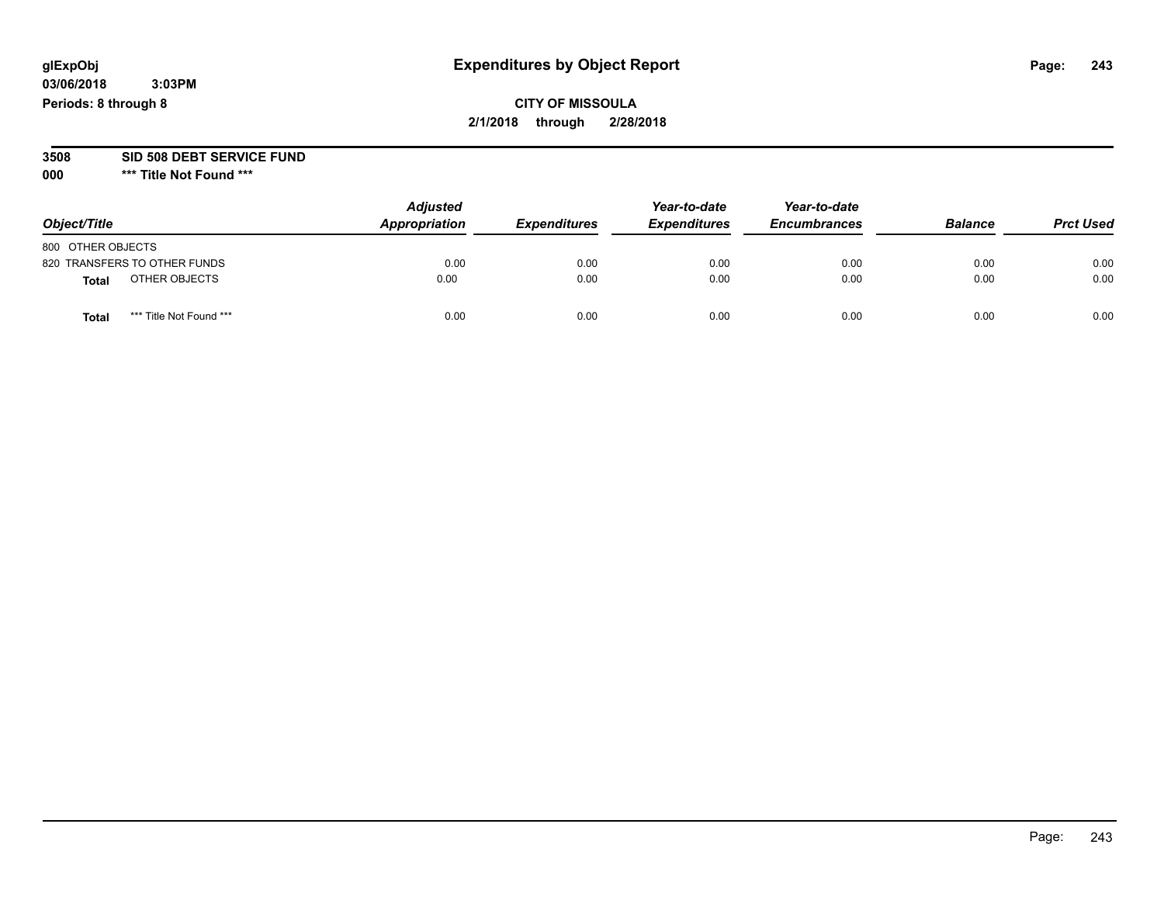## **CITY OF MISSOULA 2/1/2018 through 2/28/2018**

#### **3508 SID 508 DEBT SERVICE FUND**

| Object/Title                    | <b>Adjusted</b><br>Appropriation | <b>Expenditures</b> | Year-to-date<br><b>Expenditures</b> | Year-to-date<br><b>Encumbrances</b> | <b>Balance</b> | <b>Prct Used</b> |
|---------------------------------|----------------------------------|---------------------|-------------------------------------|-------------------------------------|----------------|------------------|
| 800 OTHER OBJECTS               |                                  |                     |                                     |                                     |                |                  |
| 820 TRANSFERS TO OTHER FUNDS    | 0.00                             | 0.00                | 0.00                                | 0.00                                | 0.00           | 0.00             |
| OTHER OBJECTS<br>Total          | 0.00                             | 0.00                | 0.00                                | 0.00                                | 0.00           | 0.00             |
| *** Title Not Found ***<br>Tota | 0.00                             | 0.00                | 0.00                                | 0.00                                | 0.00           | 0.00             |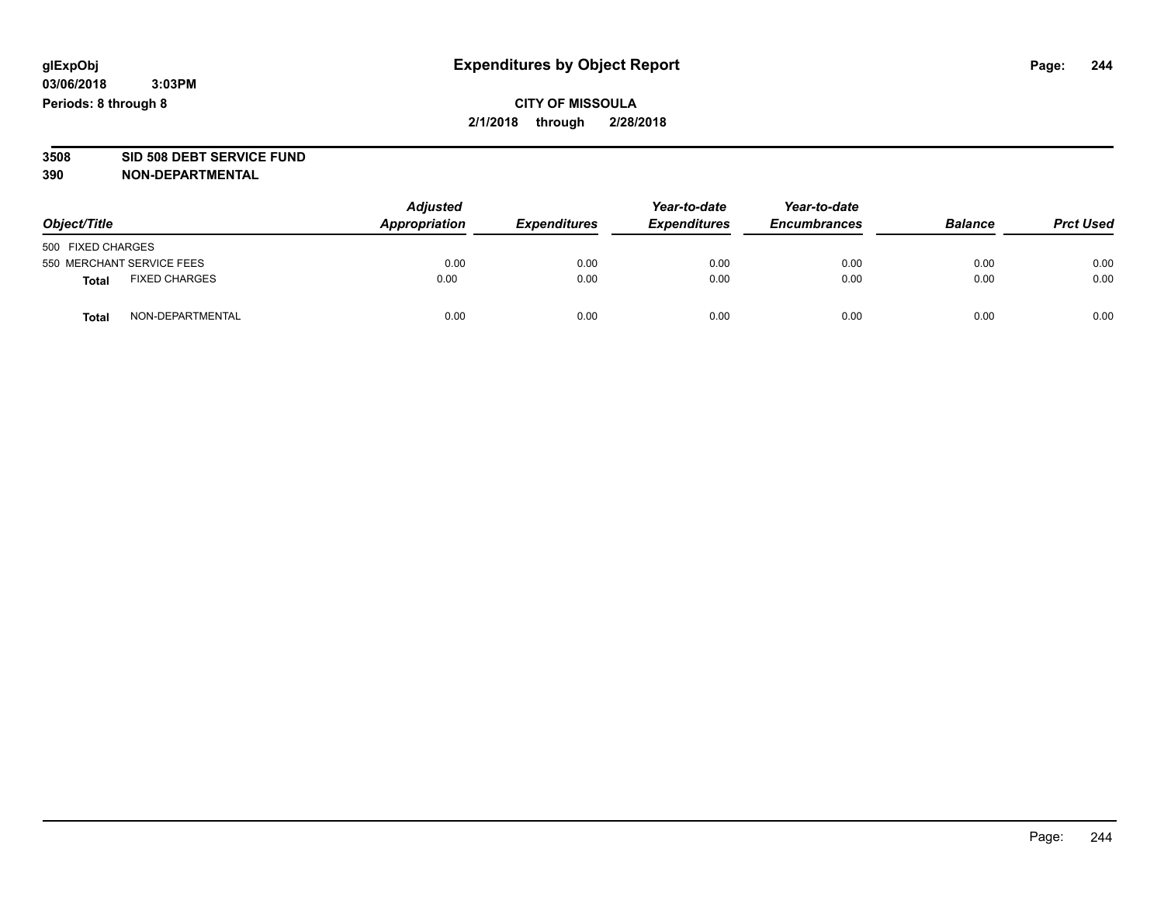# **3508 SID 508 DEBT SERVICE FUND**

| Object/Title                         |                  | <b>Adjusted</b><br>Appropriation | <b>Expenditures</b> | Year-to-date<br><b>Expenditures</b> | Year-to-date<br><b>Encumbrances</b> | <b>Balance</b> | <b>Prct Used</b> |
|--------------------------------------|------------------|----------------------------------|---------------------|-------------------------------------|-------------------------------------|----------------|------------------|
| 500 FIXED CHARGES                    |                  |                                  |                     |                                     |                                     |                |                  |
| 550 MERCHANT SERVICE FEES            |                  | 0.00                             | 0.00                | 0.00                                | 0.00                                | 0.00           | 0.00             |
| <b>FIXED CHARGES</b><br><b>Total</b> |                  | 0.00                             | 0.00                | 0.00                                | 0.00                                | 0.00           | 0.00             |
| <b>Total</b>                         | NON-DEPARTMENTAL | 0.00                             | 0.00                | 0.00                                | 0.00                                | 0.00           | 0.00             |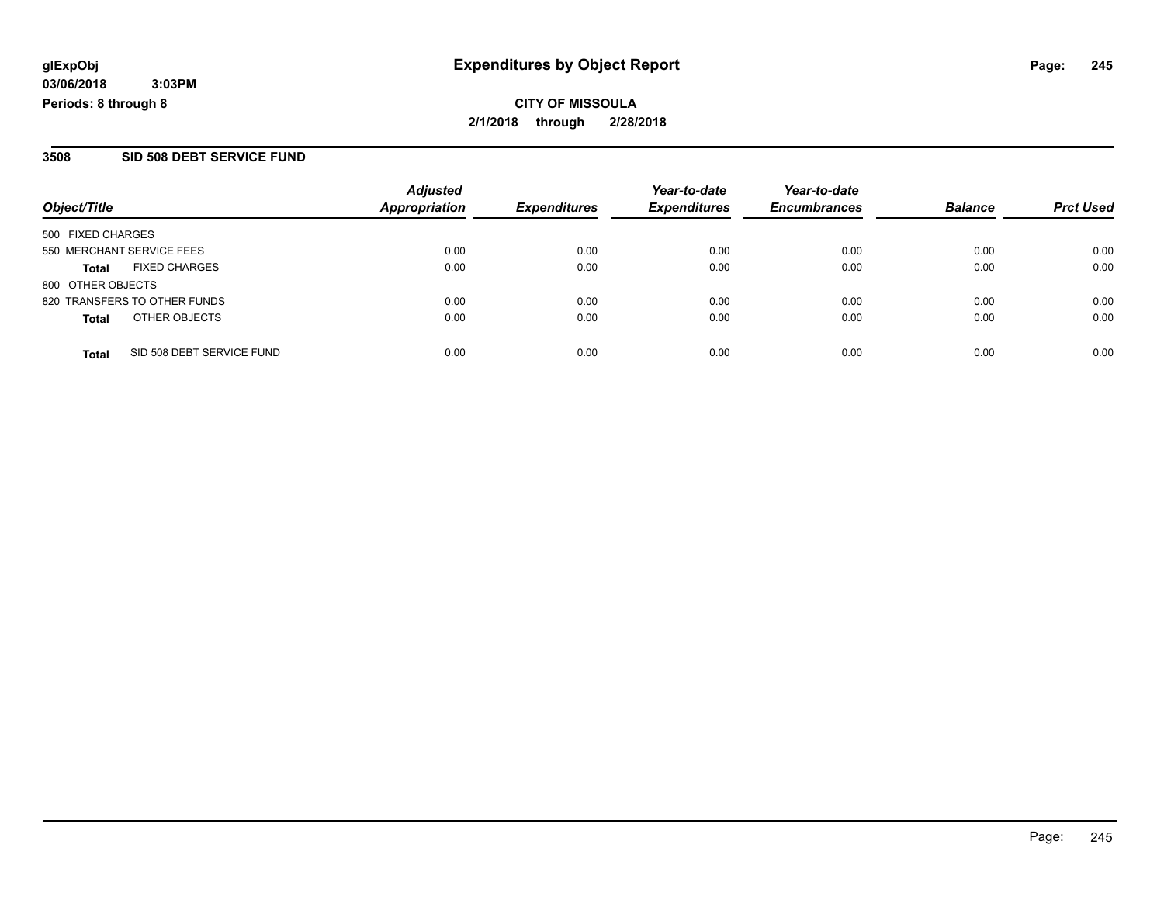**CITY OF MISSOULA 2/1/2018 through 2/28/2018**

#### **3508 SID 508 DEBT SERVICE FUND**

|      | <b>Expenditures</b>   | <b>Expenditures</b> | <b>Encumbrances</b> | <b>Balance</b> | <b>Prct Used</b> |
|------|-----------------------|---------------------|---------------------|----------------|------------------|
|      |                       |                     |                     |                |                  |
|      |                       |                     |                     |                |                  |
| 0.00 | 0.00                  | 0.00                | 0.00                | 0.00           | 0.00             |
| 0.00 | 0.00                  | 0.00                | 0.00                | 0.00           | 0.00             |
|      |                       |                     |                     |                |                  |
| 0.00 | 0.00                  | 0.00                | 0.00                | 0.00           | 0.00             |
| 0.00 | 0.00                  | 0.00                | 0.00                | 0.00           | 0.00             |
|      |                       |                     |                     |                | 0.00             |
|      | Appropriation<br>0.00 | 0.00                | 0.00                | 0.00           | 0.00             |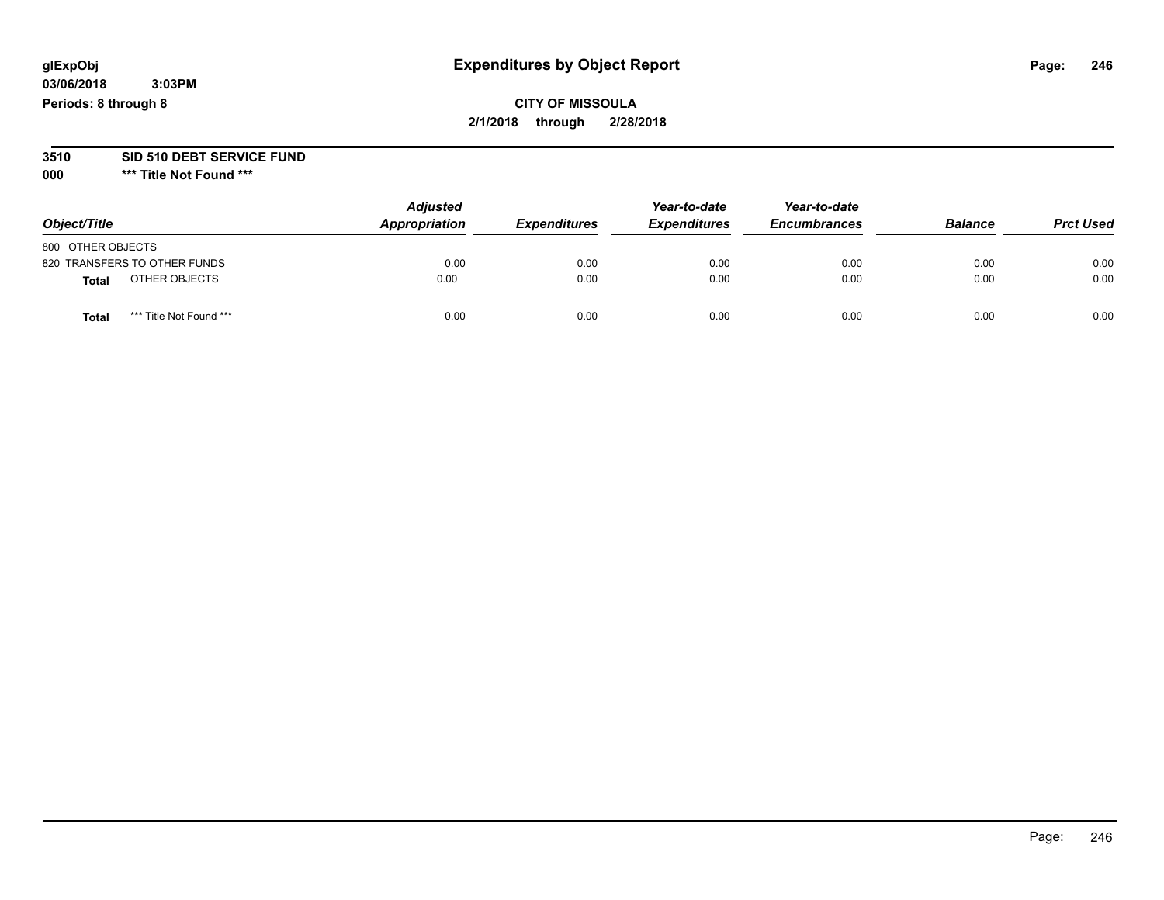## **CITY OF MISSOULA 2/1/2018 through 2/28/2018**

# **3510 SID 510 DEBT SERVICE FUND**

| Object/Title                     | <b>Adjusted</b><br>Appropriation | <b>Expenditures</b> | Year-to-date<br><b>Expenditures</b> | Year-to-date<br><b>Encumbrances</b> | <b>Balance</b> | <b>Prct Used</b> |
|----------------------------------|----------------------------------|---------------------|-------------------------------------|-------------------------------------|----------------|------------------|
| 800 OTHER OBJECTS                |                                  |                     |                                     |                                     |                |                  |
| 820 TRANSFERS TO OTHER FUNDS     | 0.00                             | 0.00                | 0.00                                | 0.00                                | 0.00           | 0.00             |
| OTHER OBJECTS<br><b>Total</b>    | 0.00                             | 0.00                | 0.00                                | 0.00                                | 0.00           | 0.00             |
| *** Title Not Found ***<br>Total | 0.00                             | 0.00                | 0.00                                | 0.00                                | 0.00           | 0.00             |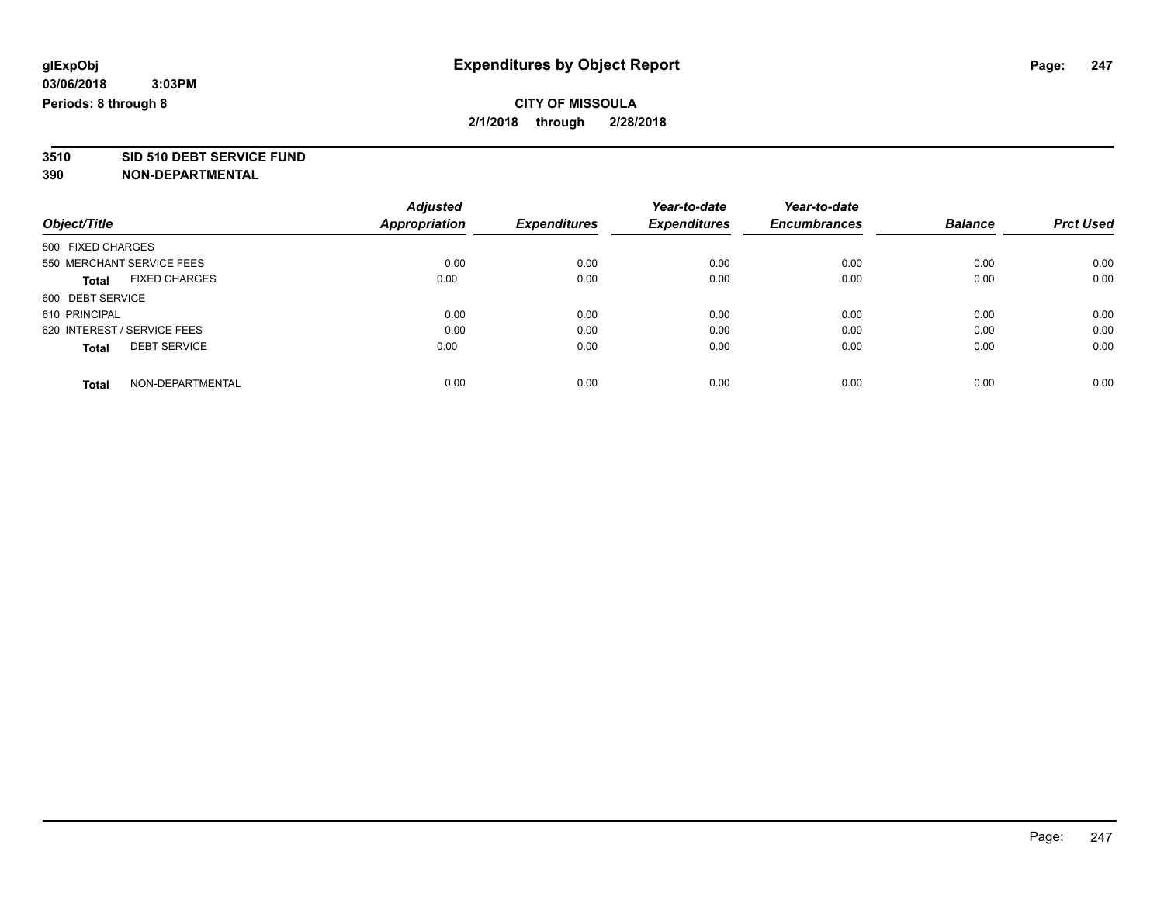# **3510 SID 510 DEBT SERVICE FUND**

|                                      | <b>Adjusted</b>      |                     | Year-to-date        | Year-to-date        |                |                  |
|--------------------------------------|----------------------|---------------------|---------------------|---------------------|----------------|------------------|
| Object/Title                         | <b>Appropriation</b> | <b>Expenditures</b> | <b>Expenditures</b> | <b>Encumbrances</b> | <b>Balance</b> | <b>Prct Used</b> |
| 500 FIXED CHARGES                    |                      |                     |                     |                     |                |                  |
| 550 MERCHANT SERVICE FEES            | 0.00                 | 0.00                | 0.00                | 0.00                | 0.00           | 0.00             |
| <b>FIXED CHARGES</b><br><b>Total</b> | 0.00                 | 0.00                | 0.00                | 0.00                | 0.00           | 0.00             |
| 600 DEBT SERVICE                     |                      |                     |                     |                     |                |                  |
| 610 PRINCIPAL                        | 0.00                 | 0.00                | 0.00                | 0.00                | 0.00           | 0.00             |
| 620 INTEREST / SERVICE FEES          | 0.00                 | 0.00                | 0.00                | 0.00                | 0.00           | 0.00             |
| <b>DEBT SERVICE</b><br><b>Total</b>  | 0.00                 | 0.00                | 0.00                | 0.00                | 0.00           | 0.00             |
| NON-DEPARTMENTAL<br><b>Total</b>     | 0.00                 | 0.00                | 0.00                | 0.00                | 0.00           | 0.00             |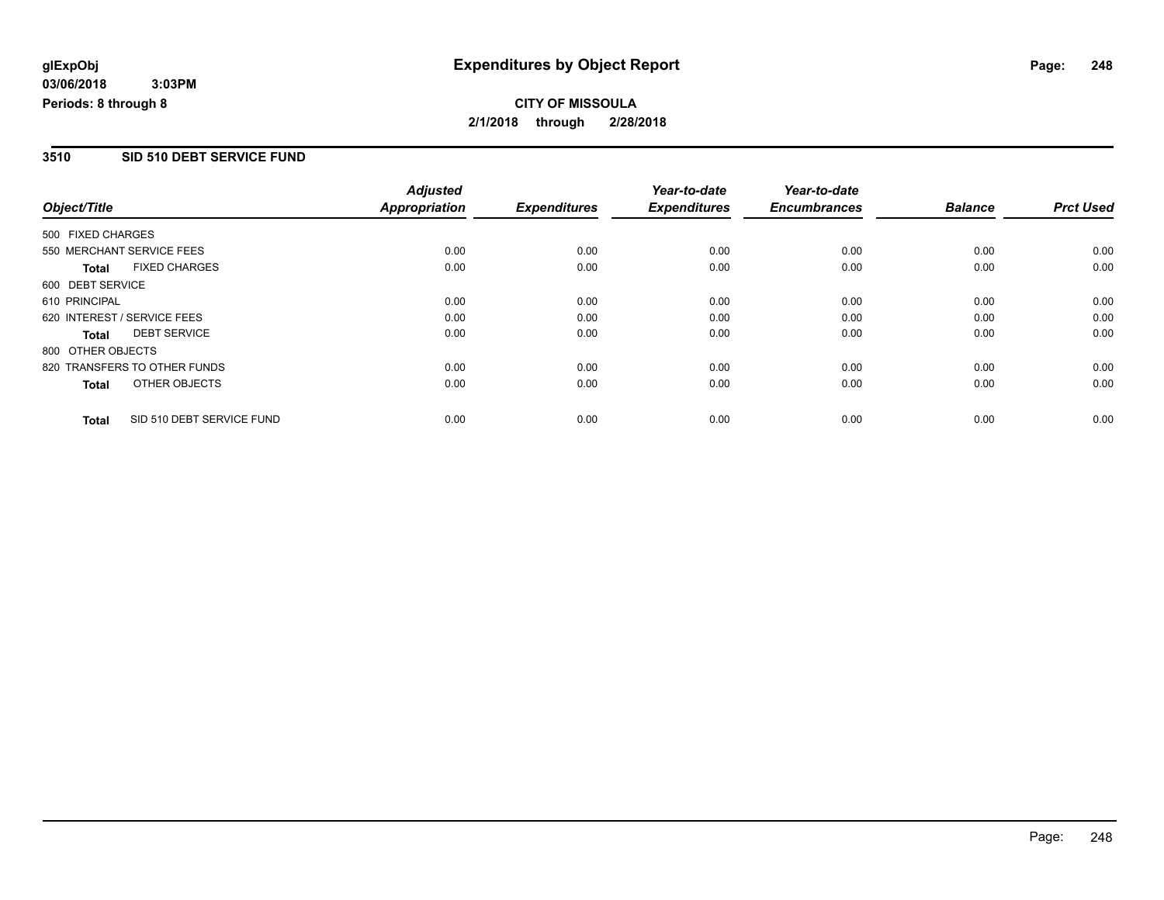#### **3510 SID 510 DEBT SERVICE FUND**

|                   |                              | <b>Adjusted</b>      |                     | Year-to-date        | Year-to-date        |                |                  |
|-------------------|------------------------------|----------------------|---------------------|---------------------|---------------------|----------------|------------------|
| Object/Title      |                              | <b>Appropriation</b> | <b>Expenditures</b> | <b>Expenditures</b> | <b>Encumbrances</b> | <b>Balance</b> | <b>Prct Used</b> |
| 500 FIXED CHARGES |                              |                      |                     |                     |                     |                |                  |
|                   | 550 MERCHANT SERVICE FEES    | 0.00                 | 0.00                | 0.00                | 0.00                | 0.00           | 0.00             |
| <b>Total</b>      | <b>FIXED CHARGES</b>         | 0.00                 | 0.00                | 0.00                | 0.00                | 0.00           | 0.00             |
| 600 DEBT SERVICE  |                              |                      |                     |                     |                     |                |                  |
| 610 PRINCIPAL     |                              | 0.00                 | 0.00                | 0.00                | 0.00                | 0.00           | 0.00             |
|                   | 620 INTEREST / SERVICE FEES  | 0.00                 | 0.00                | 0.00                | 0.00                | 0.00           | 0.00             |
| Total             | <b>DEBT SERVICE</b>          | 0.00                 | 0.00                | 0.00                | 0.00                | 0.00           | 0.00             |
| 800 OTHER OBJECTS |                              |                      |                     |                     |                     |                |                  |
|                   | 820 TRANSFERS TO OTHER FUNDS | 0.00                 | 0.00                | 0.00                | 0.00                | 0.00           | 0.00             |
| <b>Total</b>      | OTHER OBJECTS                | 0.00                 | 0.00                | 0.00                | 0.00                | 0.00           | 0.00             |
| <b>Total</b>      | SID 510 DEBT SERVICE FUND    | 0.00                 | 0.00                | 0.00                | 0.00                | 0.00           | 0.00             |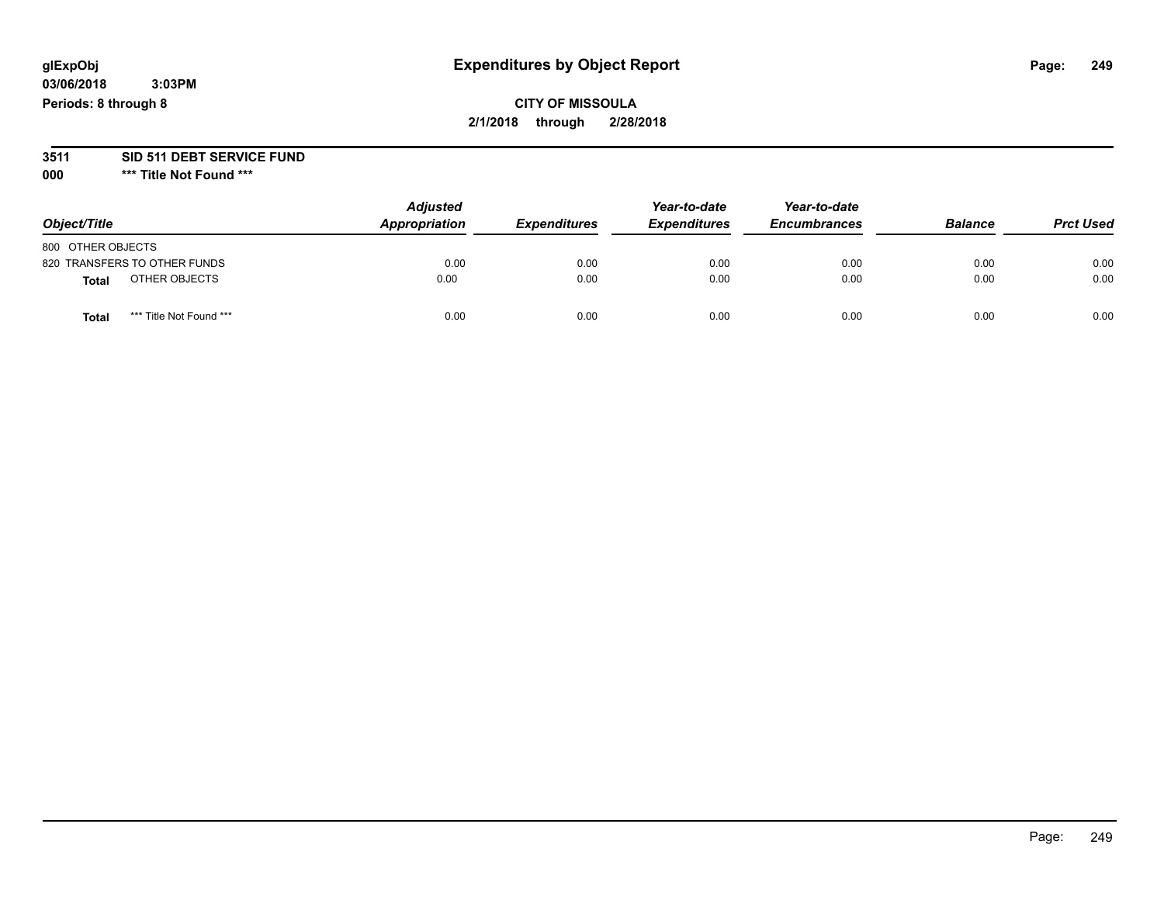## **CITY OF MISSOULA 2/1/2018 through 2/28/2018**

# **3511 SID 511 DEBT SERVICE FUND**

| Object/Title                     | <b>Adjusted</b><br>Appropriation | <b>Expenditures</b> | Year-to-date<br><b>Expenditures</b> | Year-to-date<br><b>Encumbrances</b> | <b>Balance</b> | <b>Prct Used</b> |
|----------------------------------|----------------------------------|---------------------|-------------------------------------|-------------------------------------|----------------|------------------|
| 800 OTHER OBJECTS                |                                  |                     |                                     |                                     |                |                  |
| 820 TRANSFERS TO OTHER FUNDS     | 0.00                             | 0.00                | 0.00                                | 0.00                                | 0.00           | 0.00             |
| OTHER OBJECTS<br><b>Total</b>    | 0.00                             | 0.00                | 0.00                                | 0.00                                | 0.00           | 0.00             |
| *** Title Not Found ***<br>Total | 0.00                             | 0.00                | 0.00                                | 0.00                                | 0.00           | 0.00             |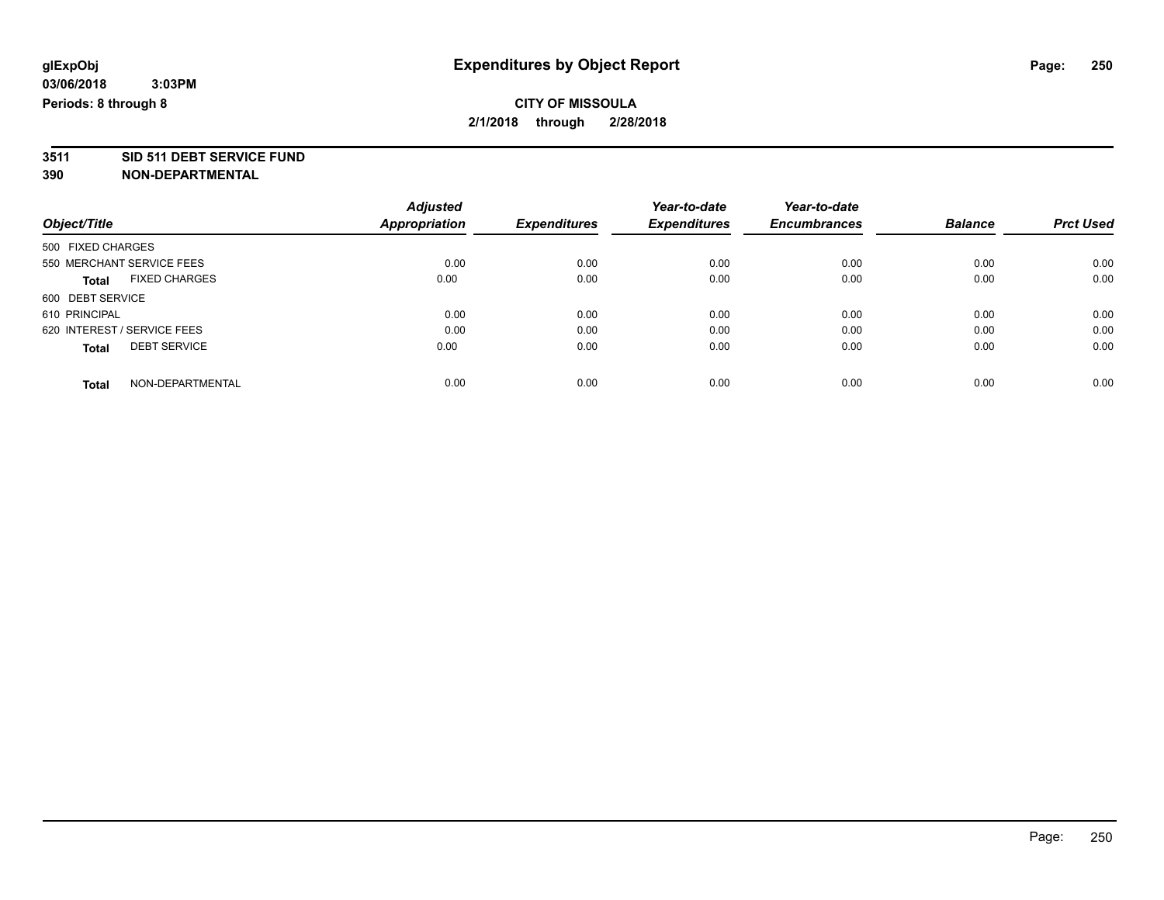# **3511 SID 511 DEBT SERVICE FUND**

|                             |                           | <b>Adjusted</b>      |                     | Year-to-date        | Year-to-date        |                |                  |
|-----------------------------|---------------------------|----------------------|---------------------|---------------------|---------------------|----------------|------------------|
| Object/Title                |                           | <b>Appropriation</b> | <b>Expenditures</b> | <b>Expenditures</b> | <b>Encumbrances</b> | <b>Balance</b> | <b>Prct Used</b> |
| 500 FIXED CHARGES           |                           |                      |                     |                     |                     |                |                  |
|                             | 550 MERCHANT SERVICE FEES | 0.00                 | 0.00                | 0.00                | 0.00                | 0.00           | 0.00             |
| <b>Total</b>                | <b>FIXED CHARGES</b>      | 0.00                 | 0.00                | 0.00                | 0.00                | 0.00           | 0.00             |
| 600 DEBT SERVICE            |                           |                      |                     |                     |                     |                |                  |
| 610 PRINCIPAL               |                           | 0.00                 | 0.00                | 0.00                | 0.00                | 0.00           | 0.00             |
| 620 INTEREST / SERVICE FEES |                           | 0.00                 | 0.00                | 0.00                | 0.00                | 0.00           | 0.00             |
| <b>Total</b>                | <b>DEBT SERVICE</b>       | 0.00                 | 0.00                | 0.00                | 0.00                | 0.00           | 0.00             |
| <b>Total</b>                | NON-DEPARTMENTAL          | 0.00                 | 0.00                | 0.00                | 0.00                | 0.00           | 0.00             |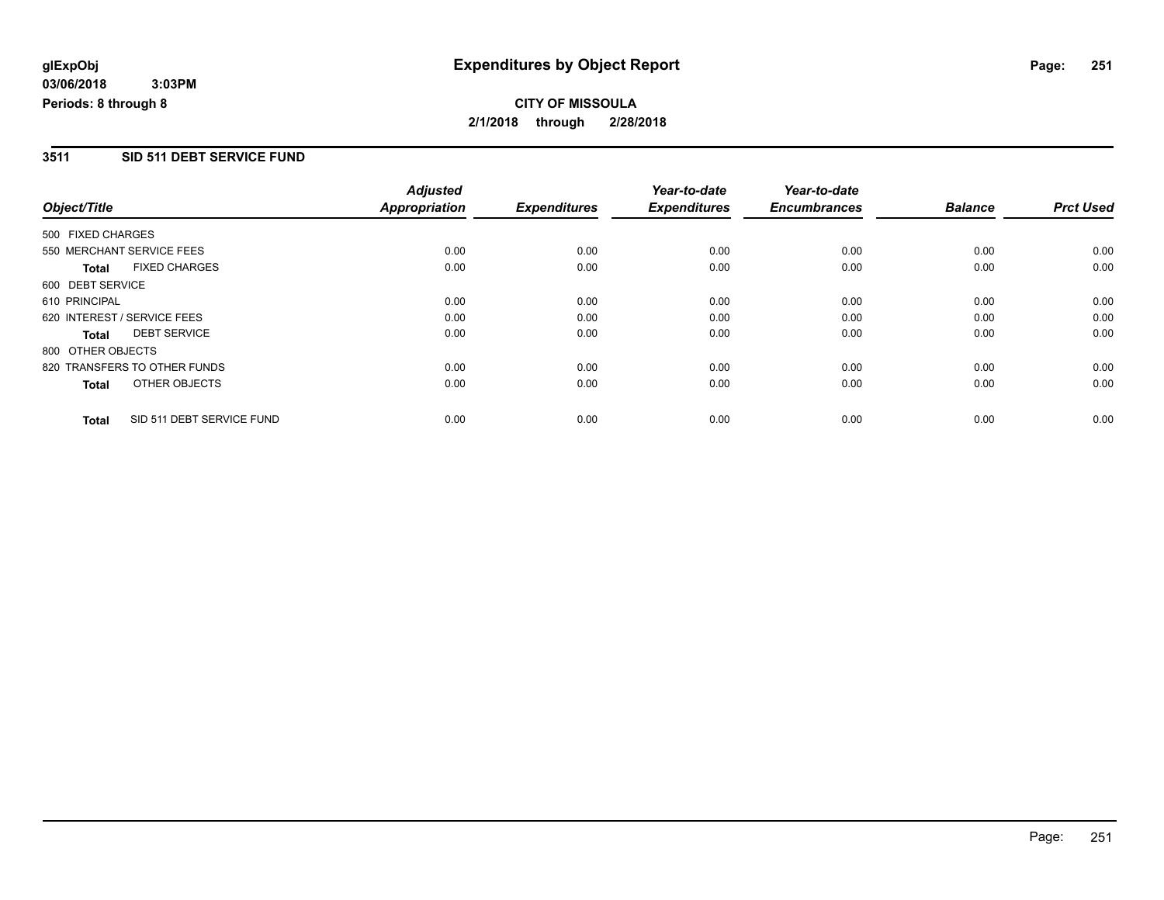#### **3511 SID 511 DEBT SERVICE FUND**

|                   |                              | <b>Adjusted</b>      |                     | Year-to-date        | Year-to-date        |                |                  |
|-------------------|------------------------------|----------------------|---------------------|---------------------|---------------------|----------------|------------------|
| Object/Title      |                              | <b>Appropriation</b> | <b>Expenditures</b> | <b>Expenditures</b> | <b>Encumbrances</b> | <b>Balance</b> | <b>Prct Used</b> |
| 500 FIXED CHARGES |                              |                      |                     |                     |                     |                |                  |
|                   | 550 MERCHANT SERVICE FEES    | 0.00                 | 0.00                | 0.00                | 0.00                | 0.00           | 0.00             |
| <b>Total</b>      | <b>FIXED CHARGES</b>         | 0.00                 | 0.00                | 0.00                | 0.00                | 0.00           | 0.00             |
| 600 DEBT SERVICE  |                              |                      |                     |                     |                     |                |                  |
| 610 PRINCIPAL     |                              | 0.00                 | 0.00                | 0.00                | 0.00                | 0.00           | 0.00             |
|                   | 620 INTEREST / SERVICE FEES  | 0.00                 | 0.00                | 0.00                | 0.00                | 0.00           | 0.00             |
| <b>Total</b>      | <b>DEBT SERVICE</b>          | 0.00                 | 0.00                | 0.00                | 0.00                | 0.00           | 0.00             |
| 800 OTHER OBJECTS |                              |                      |                     |                     |                     |                |                  |
|                   | 820 TRANSFERS TO OTHER FUNDS | 0.00                 | 0.00                | 0.00                | 0.00                | 0.00           | 0.00             |
| Total             | OTHER OBJECTS                | 0.00                 | 0.00                | 0.00                | 0.00                | 0.00           | 0.00             |
| <b>Total</b>      | SID 511 DEBT SERVICE FUND    | 0.00                 | 0.00                | 0.00                | 0.00                | 0.00           | 0.00             |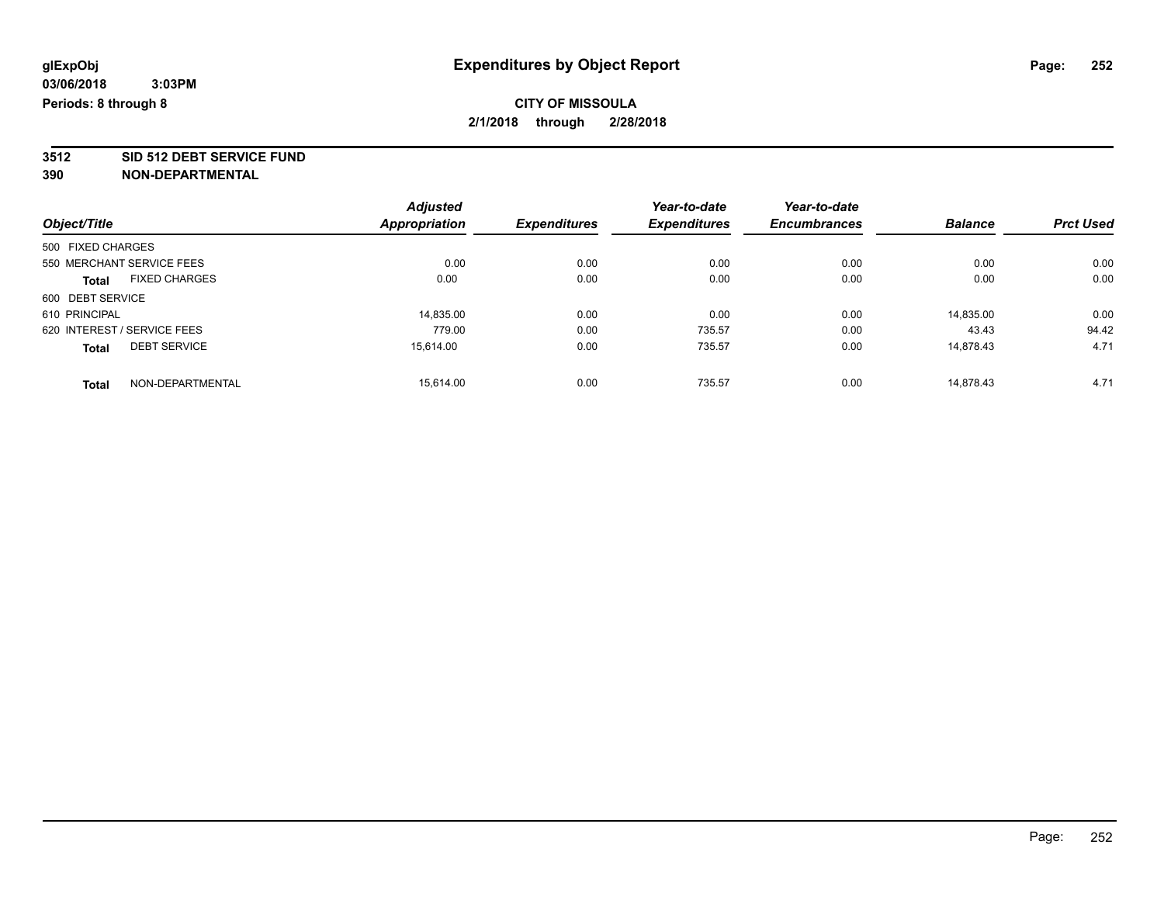**3512 SID 512 DEBT SERVICE FUND**

|                                      | <b>Adjusted</b> |                     | Year-to-date        | Year-to-date        |                |                  |
|--------------------------------------|-----------------|---------------------|---------------------|---------------------|----------------|------------------|
| Object/Title                         | Appropriation   | <b>Expenditures</b> | <b>Expenditures</b> | <b>Encumbrances</b> | <b>Balance</b> | <b>Prct Used</b> |
| 500 FIXED CHARGES                    |                 |                     |                     |                     |                |                  |
| 550 MERCHANT SERVICE FEES            | 0.00            | 0.00                | 0.00                | 0.00                | 0.00           | 0.00             |
| <b>FIXED CHARGES</b><br><b>Total</b> | 0.00            | 0.00                | 0.00                | 0.00                | 0.00           | 0.00             |
| 600 DEBT SERVICE                     |                 |                     |                     |                     |                |                  |
| 610 PRINCIPAL                        | 14,835.00       | 0.00                | 0.00                | 0.00                | 14.835.00      | 0.00             |
| 620 INTEREST / SERVICE FEES          | 779.00          | 0.00                | 735.57              | 0.00                | 43.43          | 94.42            |
| <b>DEBT SERVICE</b><br><b>Total</b>  | 15.614.00       | 0.00                | 735.57              | 0.00                | 14,878.43      | 4.71             |
| NON-DEPARTMENTAL<br><b>Total</b>     | 15.614.00       | 0.00                | 735.57              | 0.00                | 14.878.43      | 4.71             |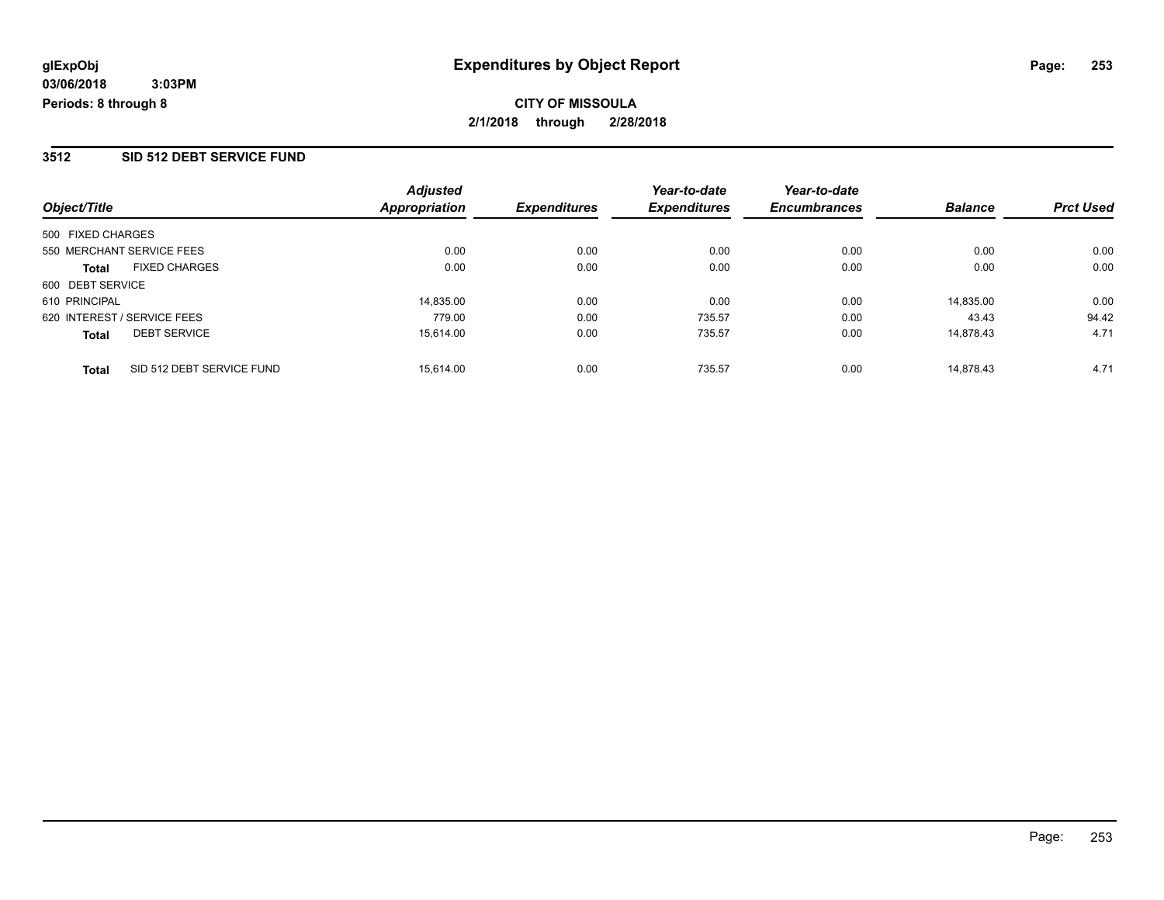#### **3512 SID 512 DEBT SERVICE FUND**

| Object/Title                              | <b>Adjusted</b><br>Appropriation | <b>Expenditures</b> | Year-to-date<br><b>Expenditures</b> | Year-to-date<br><b>Encumbrances</b> | <b>Balance</b> | <b>Prct Used</b> |
|-------------------------------------------|----------------------------------|---------------------|-------------------------------------|-------------------------------------|----------------|------------------|
|                                           |                                  |                     |                                     |                                     |                |                  |
| 500 FIXED CHARGES                         |                                  |                     |                                     |                                     |                |                  |
| 550 MERCHANT SERVICE FEES                 | 0.00                             | 0.00                | 0.00                                | 0.00                                | 0.00           | 0.00             |
| <b>FIXED CHARGES</b><br><b>Total</b>      | 0.00                             | 0.00                | 0.00                                | 0.00                                | 0.00           | 0.00             |
| 600 DEBT SERVICE                          |                                  |                     |                                     |                                     |                |                  |
| 610 PRINCIPAL                             | 14,835.00                        | 0.00                | 0.00                                | 0.00                                | 14.835.00      | 0.00             |
| 620 INTEREST / SERVICE FEES               | 779.00                           | 0.00                | 735.57                              | 0.00                                | 43.43          | 94.42            |
| <b>DEBT SERVICE</b><br><b>Total</b>       | 15.614.00                        | 0.00                | 735.57                              | 0.00                                | 14.878.43      | 4.71             |
| SID 512 DEBT SERVICE FUND<br><b>Total</b> | 15.614.00                        | 0.00                | 735.57                              | 0.00                                | 14.878.43      | 4.71             |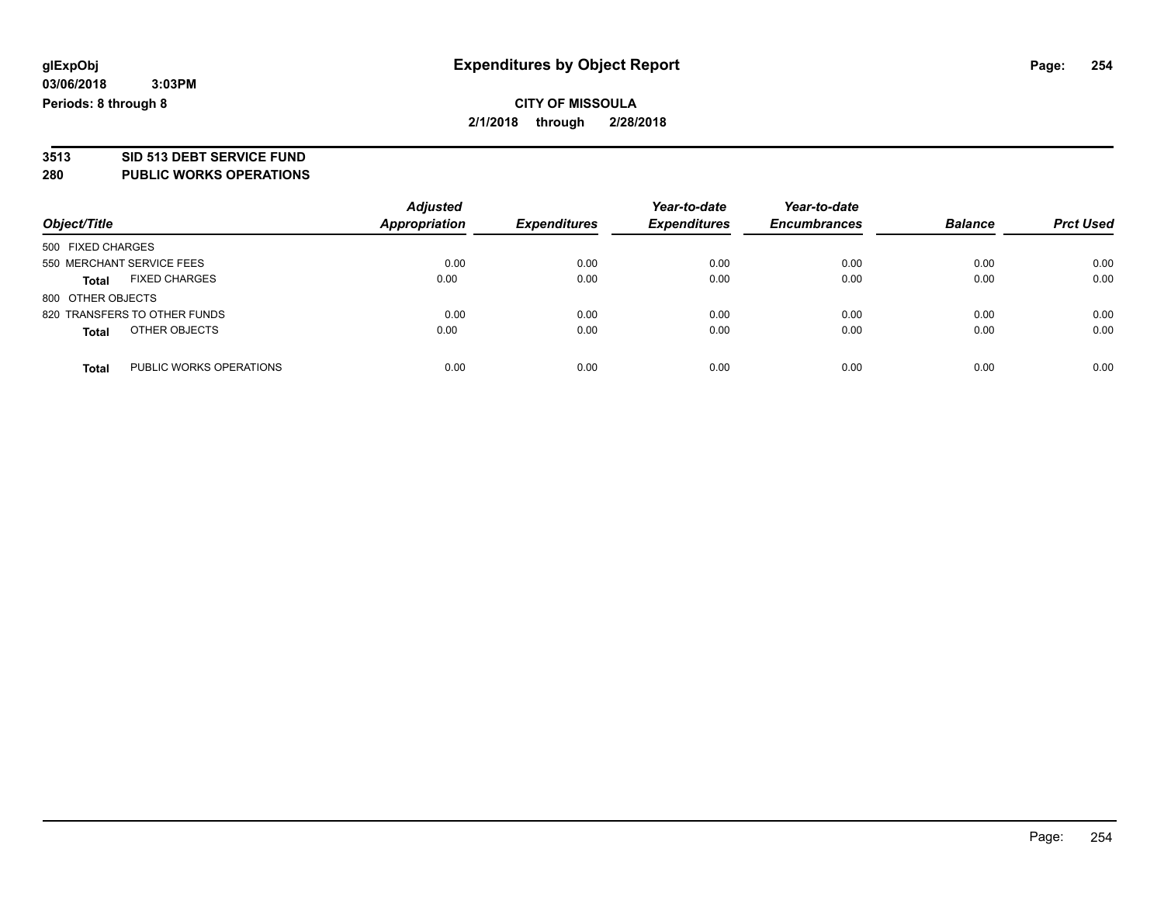**03/06/2018 3:03PM Periods: 8 through 8**

## **CITY OF MISSOULA 2/1/2018 through 2/28/2018**

# **3513 SID 513 DEBT SERVICE FUND**

#### **280 PUBLIC WORKS OPERATIONS**

| Object/Title                            | <b>Adjusted</b><br><b>Appropriation</b> | <b>Expenditures</b> | Year-to-date<br><b>Expenditures</b> | Year-to-date<br><b>Encumbrances</b> | <b>Balance</b> | <b>Prct Used</b> |
|-----------------------------------------|-----------------------------------------|---------------------|-------------------------------------|-------------------------------------|----------------|------------------|
| 500 FIXED CHARGES                       |                                         |                     |                                     |                                     |                |                  |
| 550 MERCHANT SERVICE FEES               | 0.00                                    | 0.00                | 0.00                                | 0.00                                | 0.00           | 0.00             |
| <b>FIXED CHARGES</b><br><b>Total</b>    | 0.00                                    | 0.00                | 0.00                                | 0.00                                | 0.00           | 0.00             |
| 800 OTHER OBJECTS                       |                                         |                     |                                     |                                     |                |                  |
| 820 TRANSFERS TO OTHER FUNDS            | 0.00                                    | 0.00                | 0.00                                | 0.00                                | 0.00           | 0.00             |
| OTHER OBJECTS<br><b>Total</b>           | 0.00                                    | 0.00                | 0.00                                | 0.00                                | 0.00           | 0.00             |
| PUBLIC WORKS OPERATIONS<br><b>Total</b> | 0.00                                    | 0.00                | 0.00                                | 0.00                                | 0.00           | 0.00             |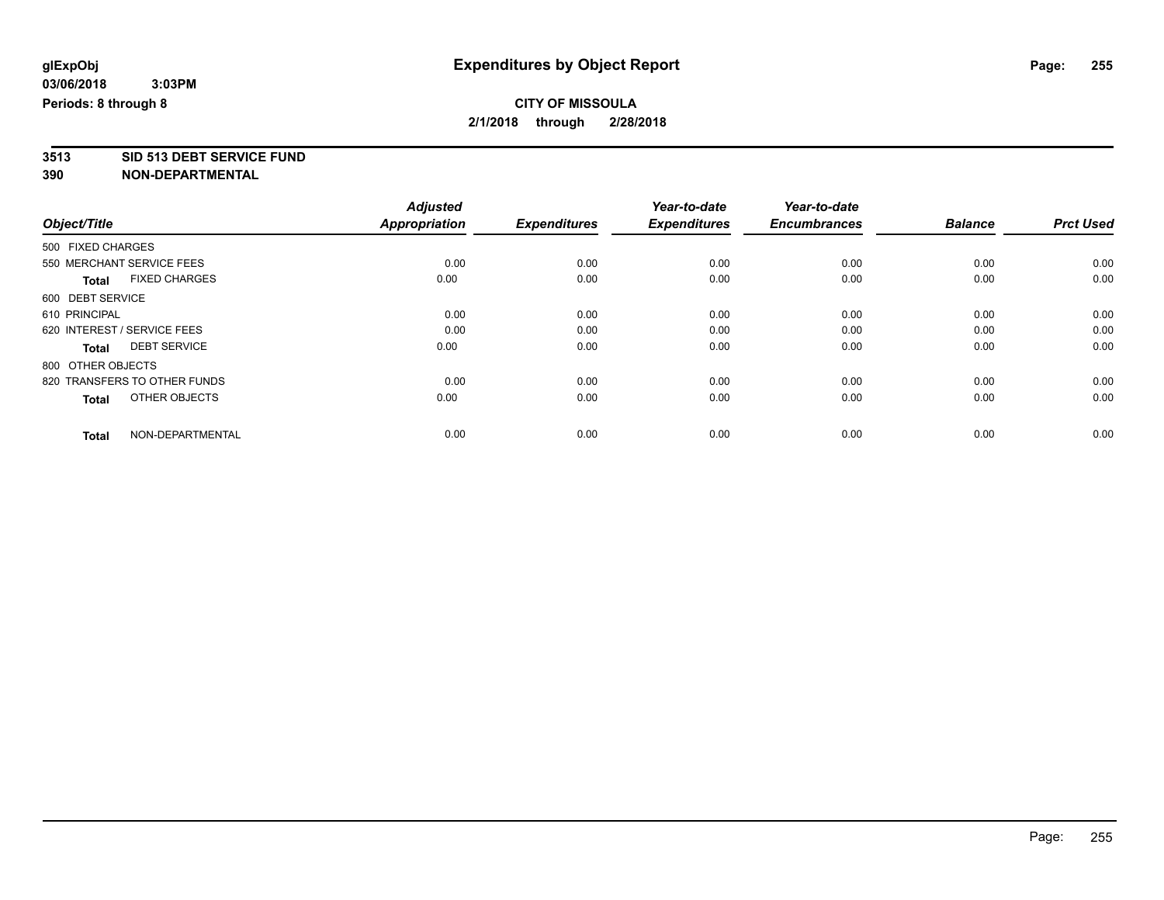**3513 SID 513 DEBT SERVICE FUND**

|                                      | <b>Adjusted</b><br><b>Appropriation</b> | <b>Expenditures</b> | Year-to-date<br><b>Expenditures</b> | Year-to-date<br><b>Encumbrances</b> | <b>Balance</b> | <b>Prct Used</b> |
|--------------------------------------|-----------------------------------------|---------------------|-------------------------------------|-------------------------------------|----------------|------------------|
| Object/Title                         |                                         |                     |                                     |                                     |                |                  |
| 500 FIXED CHARGES                    |                                         |                     |                                     |                                     |                |                  |
| 550 MERCHANT SERVICE FEES            | 0.00                                    | 0.00                | 0.00                                | 0.00                                | 0.00           | 0.00             |
| <b>FIXED CHARGES</b><br><b>Total</b> | 0.00                                    | 0.00                | 0.00                                | 0.00                                | 0.00           | 0.00             |
| 600 DEBT SERVICE                     |                                         |                     |                                     |                                     |                |                  |
| 610 PRINCIPAL                        | 0.00                                    | 0.00                | 0.00                                | 0.00                                | 0.00           | 0.00             |
| 620 INTEREST / SERVICE FEES          | 0.00                                    | 0.00                | 0.00                                | 0.00                                | 0.00           | 0.00             |
| <b>DEBT SERVICE</b><br><b>Total</b>  | 0.00                                    | 0.00                | 0.00                                | 0.00                                | 0.00           | 0.00             |
| 800 OTHER OBJECTS                    |                                         |                     |                                     |                                     |                |                  |
| 820 TRANSFERS TO OTHER FUNDS         | 0.00                                    | 0.00                | 0.00                                | 0.00                                | 0.00           | 0.00             |
| OTHER OBJECTS<br><b>Total</b>        | 0.00                                    | 0.00                | 0.00                                | 0.00                                | 0.00           | 0.00             |
|                                      |                                         |                     |                                     |                                     |                |                  |
| NON-DEPARTMENTAL<br><b>Total</b>     | 0.00                                    | 0.00                | 0.00                                | 0.00                                | 0.00           | 0.00             |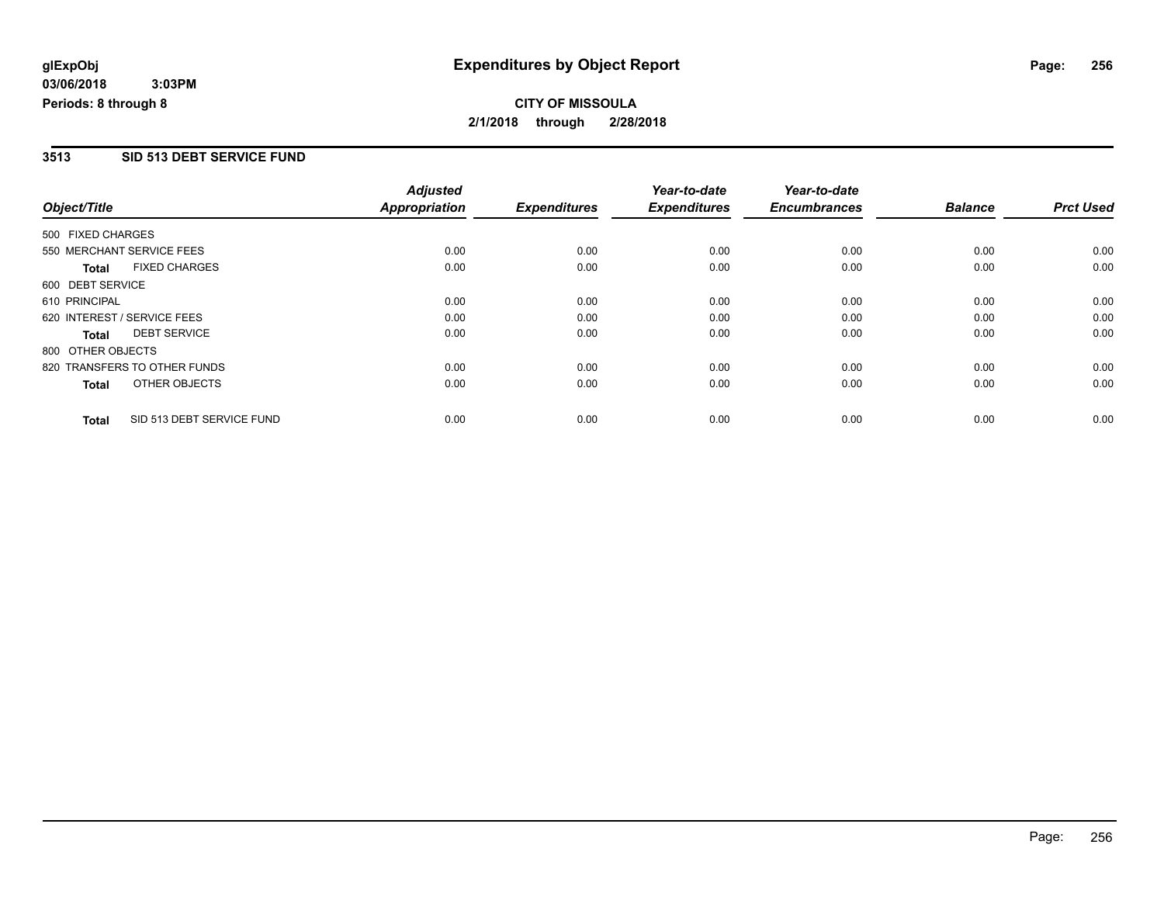#### **3513 SID 513 DEBT SERVICE FUND**

| Object/Title                 |                           | <b>Adjusted</b><br><b>Appropriation</b><br><b>Expenditures</b> | Year-to-date | Year-to-date        |                     |                |                  |
|------------------------------|---------------------------|----------------------------------------------------------------|--------------|---------------------|---------------------|----------------|------------------|
|                              |                           |                                                                |              | <b>Expenditures</b> | <b>Encumbrances</b> | <b>Balance</b> | <b>Prct Used</b> |
| 500 FIXED CHARGES            |                           |                                                                |              |                     |                     |                |                  |
| 550 MERCHANT SERVICE FEES    |                           | 0.00                                                           | 0.00         | 0.00                | 0.00                | 0.00           | 0.00             |
| <b>Total</b>                 | <b>FIXED CHARGES</b>      | 0.00                                                           | 0.00         | 0.00                | 0.00                | 0.00           | 0.00             |
| 600 DEBT SERVICE             |                           |                                                                |              |                     |                     |                |                  |
| 610 PRINCIPAL                |                           | 0.00                                                           | 0.00         | 0.00                | 0.00                | 0.00           | 0.00             |
| 620 INTEREST / SERVICE FEES  |                           | 0.00                                                           | 0.00         | 0.00                | 0.00                | 0.00           | 0.00             |
| <b>Total</b>                 | <b>DEBT SERVICE</b>       | 0.00                                                           | 0.00         | 0.00                | 0.00                | 0.00           | 0.00             |
| 800 OTHER OBJECTS            |                           |                                                                |              |                     |                     |                |                  |
| 820 TRANSFERS TO OTHER FUNDS |                           | 0.00                                                           | 0.00         | 0.00                | 0.00                | 0.00           | 0.00             |
| Total                        | OTHER OBJECTS             | 0.00                                                           | 0.00         | 0.00                | 0.00                | 0.00           | 0.00             |
| <b>Total</b>                 | SID 513 DEBT SERVICE FUND | 0.00                                                           | 0.00         | 0.00                | 0.00                | 0.00           | 0.00             |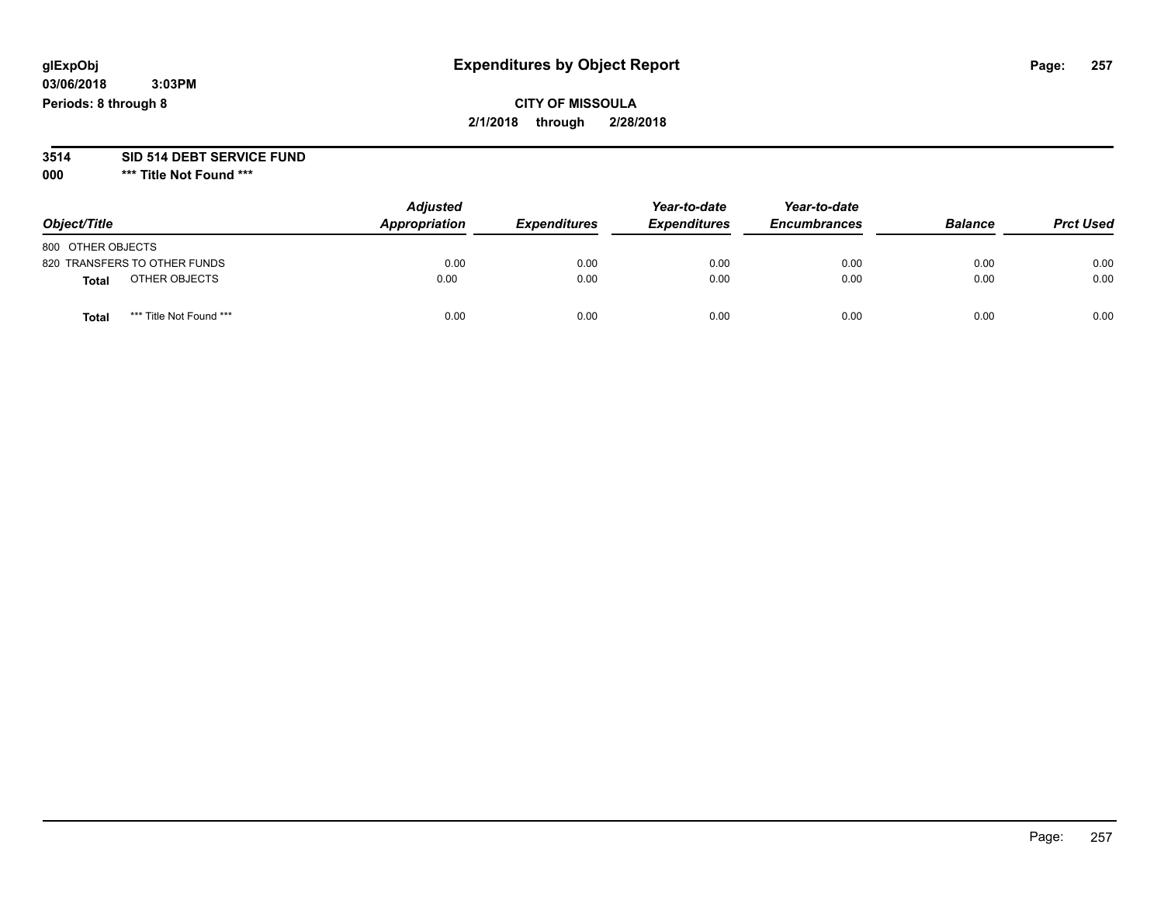#### **03/06/2018 3:03PM Periods: 8 through 8**

## **CITY OF MISSOULA 2/1/2018 through 2/28/2018**

# **3514 SID 514 DEBT SERVICE FUND**

**000 \*\*\* Title Not Found \*\*\***

| Object/Title                     | <b>Adjusted</b><br>Appropriation | <b>Expenditures</b> | Year-to-date<br><b>Expenditures</b> | Year-to-date<br><b>Encumbrances</b> | <b>Balance</b> | <b>Prct Used</b> |
|----------------------------------|----------------------------------|---------------------|-------------------------------------|-------------------------------------|----------------|------------------|
| 800 OTHER OBJECTS                |                                  |                     |                                     |                                     |                |                  |
| 820 TRANSFERS TO OTHER FUNDS     | 0.00                             | 0.00                | 0.00                                | 0.00                                | 0.00           | 0.00             |
| OTHER OBJECTS<br><b>Total</b>    | 0.00                             | 0.00                | 0.00                                | 0.00                                | 0.00           | 0.00             |
| *** Title Not Found ***<br>Total | 0.00                             | 0.00                | 0.00                                | 0.00                                | 0.00           | 0.00             |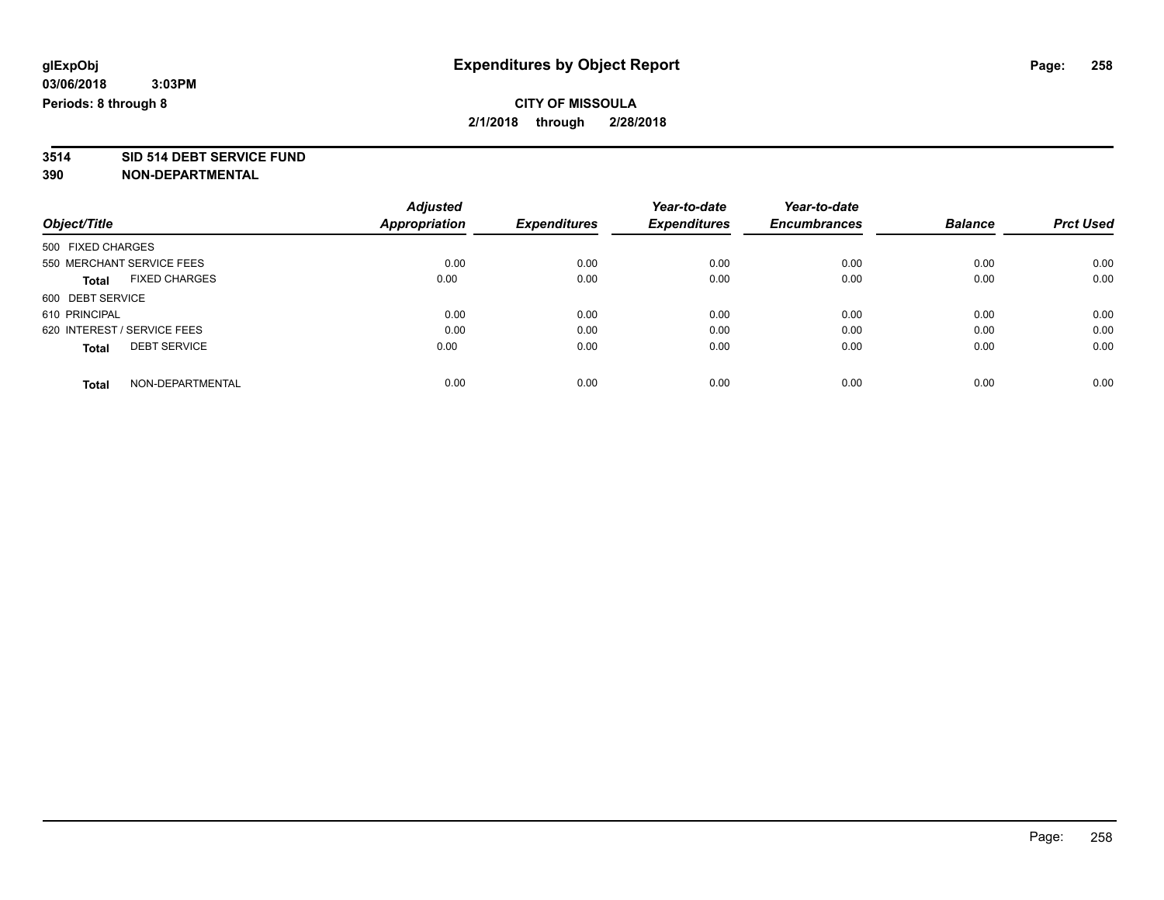# **3514 SID 514 DEBT SERVICE FUND**

|                                      | <b>Adjusted</b>      |                     | Year-to-date        | Year-to-date        |                |                  |
|--------------------------------------|----------------------|---------------------|---------------------|---------------------|----------------|------------------|
| Object/Title                         | <b>Appropriation</b> | <b>Expenditures</b> | <b>Expenditures</b> | <b>Encumbrances</b> | <b>Balance</b> | <b>Prct Used</b> |
| 500 FIXED CHARGES                    |                      |                     |                     |                     |                |                  |
| 550 MERCHANT SERVICE FEES            | 0.00                 | 0.00                | 0.00                | 0.00                | 0.00           | 0.00             |
| <b>FIXED CHARGES</b><br><b>Total</b> | 0.00                 | 0.00                | 0.00                | 0.00                | 0.00           | 0.00             |
| 600 DEBT SERVICE                     |                      |                     |                     |                     |                |                  |
| 610 PRINCIPAL                        | 0.00                 | 0.00                | 0.00                | 0.00                | 0.00           | 0.00             |
| 620 INTEREST / SERVICE FEES          | 0.00                 | 0.00                | 0.00                | 0.00                | 0.00           | 0.00             |
| <b>DEBT SERVICE</b><br><b>Total</b>  | 0.00                 | 0.00                | 0.00                | 0.00                | 0.00           | 0.00             |
| NON-DEPARTMENTAL<br><b>Total</b>     | 0.00                 | 0.00                | 0.00                | 0.00                | 0.00           | 0.00             |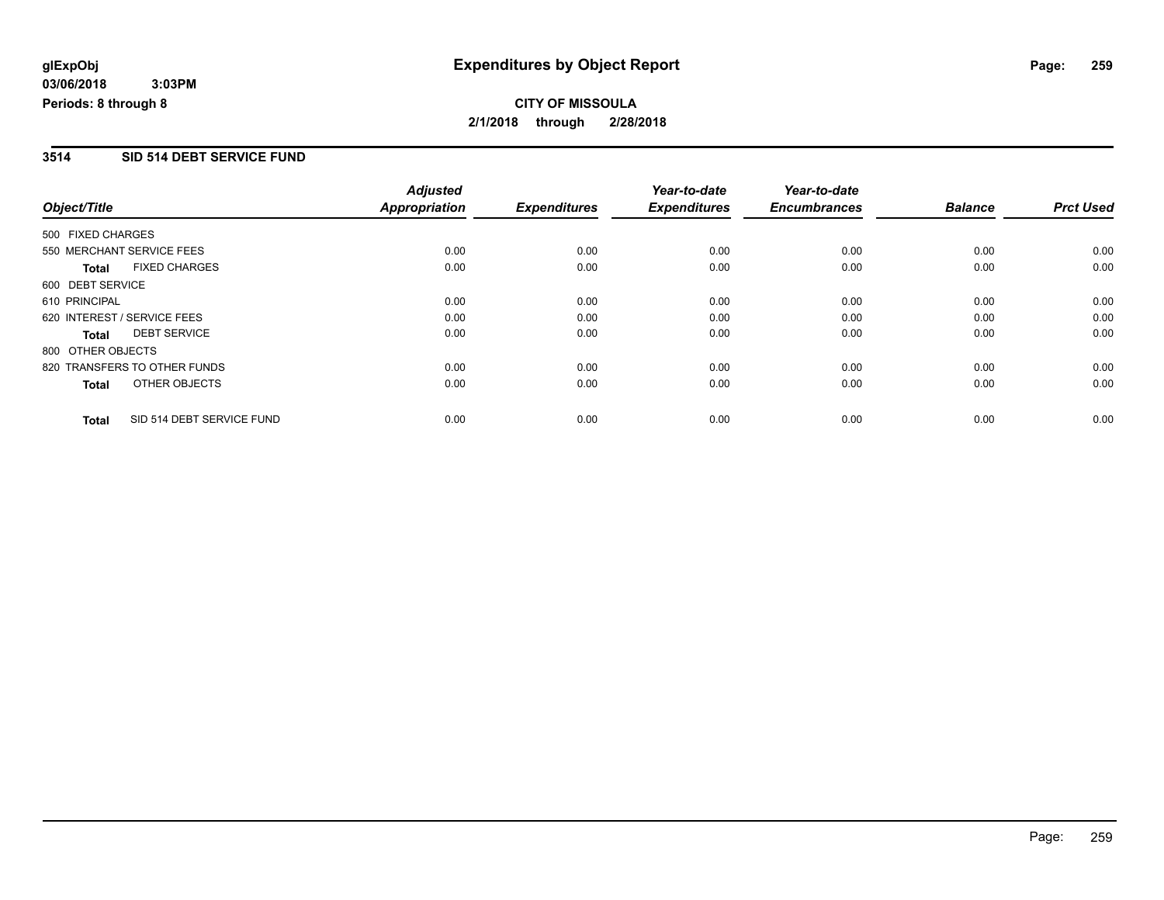#### **3514 SID 514 DEBT SERVICE FUND**

|                   |                              | <b>Adjusted</b>      |                     | Year-to-date        | Year-to-date        |                |                  |
|-------------------|------------------------------|----------------------|---------------------|---------------------|---------------------|----------------|------------------|
| Object/Title      |                              | <b>Appropriation</b> | <b>Expenditures</b> | <b>Expenditures</b> | <b>Encumbrances</b> | <b>Balance</b> | <b>Prct Used</b> |
| 500 FIXED CHARGES |                              |                      |                     |                     |                     |                |                  |
|                   | 550 MERCHANT SERVICE FEES    | 0.00                 | 0.00                | 0.00                | 0.00                | 0.00           | 0.00             |
| <b>Total</b>      | <b>FIXED CHARGES</b>         | 0.00                 | 0.00                | 0.00                | 0.00                | 0.00           | 0.00             |
| 600 DEBT SERVICE  |                              |                      |                     |                     |                     |                |                  |
| 610 PRINCIPAL     |                              | 0.00                 | 0.00                | 0.00                | 0.00                | 0.00           | 0.00             |
|                   | 620 INTEREST / SERVICE FEES  | 0.00                 | 0.00                | 0.00                | 0.00                | 0.00           | 0.00             |
| Total             | <b>DEBT SERVICE</b>          | 0.00                 | 0.00                | 0.00                | 0.00                | 0.00           | 0.00             |
| 800 OTHER OBJECTS |                              |                      |                     |                     |                     |                |                  |
|                   | 820 TRANSFERS TO OTHER FUNDS | 0.00                 | 0.00                | 0.00                | 0.00                | 0.00           | 0.00             |
| Total             | OTHER OBJECTS                | 0.00                 | 0.00                | 0.00                | 0.00                | 0.00           | 0.00             |
| <b>Total</b>      | SID 514 DEBT SERVICE FUND    | 0.00                 | 0.00                | 0.00                | 0.00                | 0.00           | 0.00             |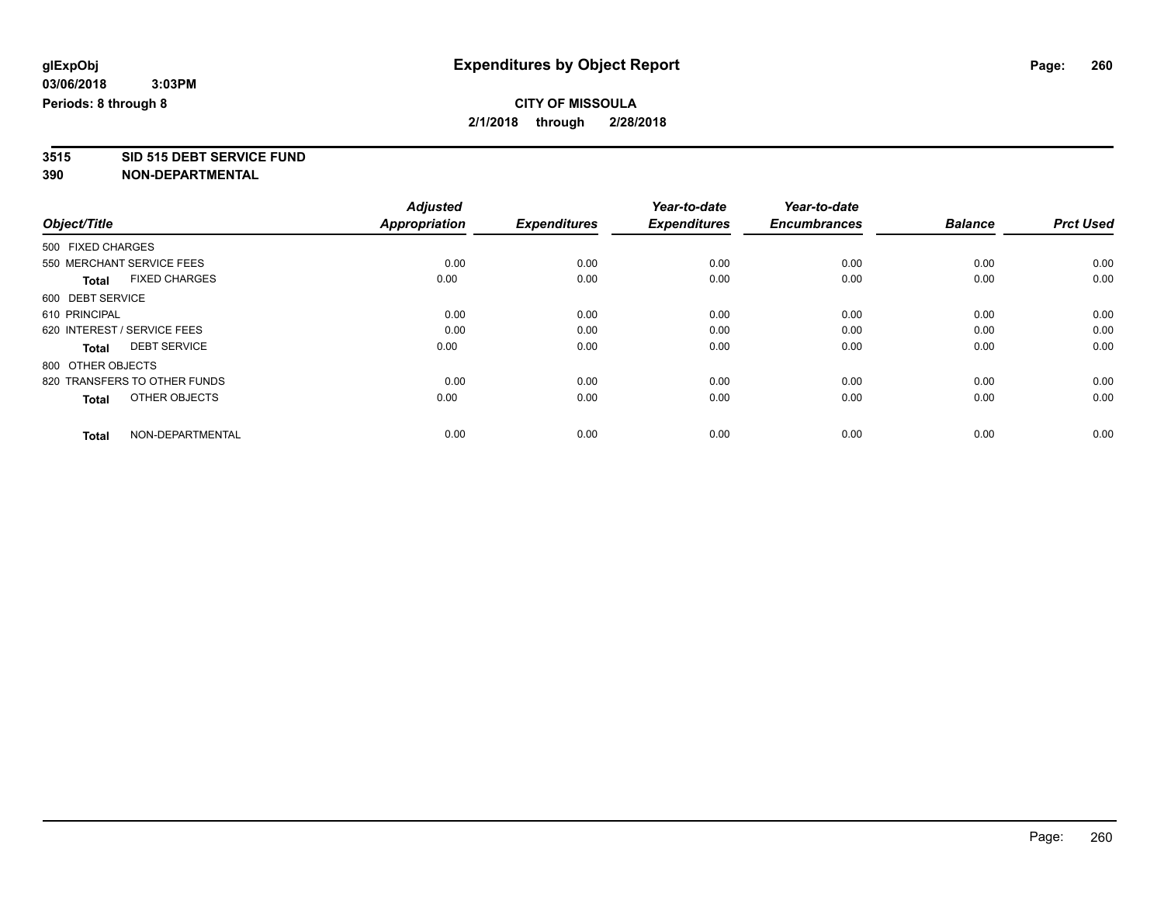# **3515 SID 515 DEBT SERVICE FUND**

|                                      | <b>Adjusted</b>      |                     | Year-to-date<br><b>Expenditures</b> | Year-to-date<br><b>Encumbrances</b> | <b>Balance</b> | <b>Prct Used</b> |
|--------------------------------------|----------------------|---------------------|-------------------------------------|-------------------------------------|----------------|------------------|
| Object/Title                         | <b>Appropriation</b> | <b>Expenditures</b> |                                     |                                     |                |                  |
| 500 FIXED CHARGES                    |                      |                     |                                     |                                     |                |                  |
| 550 MERCHANT SERVICE FEES            | 0.00                 | 0.00                | 0.00                                | 0.00                                | 0.00           | 0.00             |
| <b>FIXED CHARGES</b><br><b>Total</b> | 0.00                 | 0.00                | 0.00                                | 0.00                                | 0.00           | 0.00             |
| 600 DEBT SERVICE                     |                      |                     |                                     |                                     |                |                  |
| 610 PRINCIPAL                        | 0.00                 | 0.00                | 0.00                                | 0.00                                | 0.00           | 0.00             |
| 620 INTEREST / SERVICE FEES          | 0.00                 | 0.00                | 0.00                                | 0.00                                | 0.00           | 0.00             |
| <b>DEBT SERVICE</b><br><b>Total</b>  | 0.00                 | 0.00                | 0.00                                | 0.00                                | 0.00           | 0.00             |
| 800 OTHER OBJECTS                    |                      |                     |                                     |                                     |                |                  |
| 820 TRANSFERS TO OTHER FUNDS         | 0.00                 | 0.00                | 0.00                                | 0.00                                | 0.00           | 0.00             |
| OTHER OBJECTS<br><b>Total</b>        | 0.00                 | 0.00                | 0.00                                | 0.00                                | 0.00           | 0.00             |
|                                      |                      |                     |                                     |                                     |                |                  |
| NON-DEPARTMENTAL<br><b>Total</b>     | 0.00                 | 0.00                | 0.00                                | 0.00                                | 0.00           | 0.00             |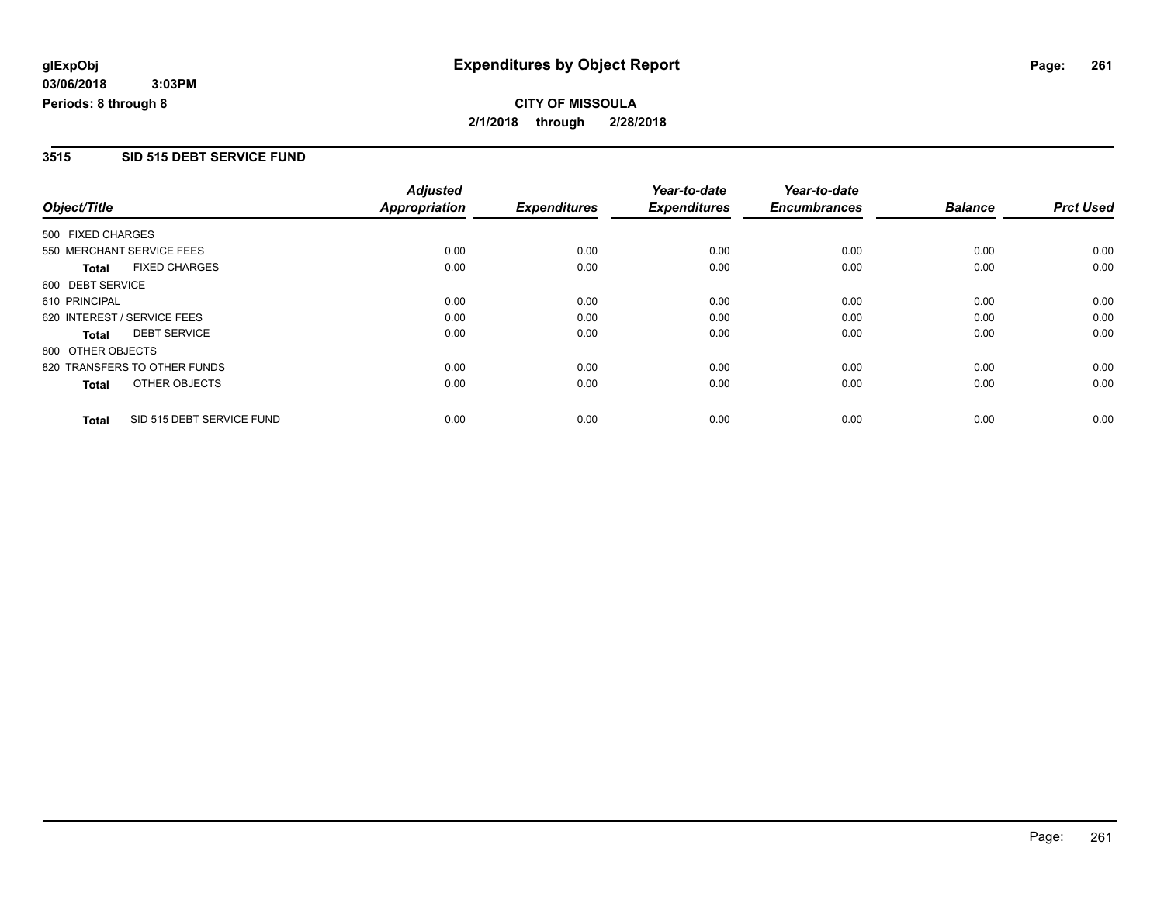#### **3515 SID 515 DEBT SERVICE FUND**

| Object/Title      |                              | <b>Adjusted</b>      |                     | Year-to-date        | Year-to-date        |                |                  |
|-------------------|------------------------------|----------------------|---------------------|---------------------|---------------------|----------------|------------------|
|                   |                              | <b>Appropriation</b> | <b>Expenditures</b> | <b>Expenditures</b> | <b>Encumbrances</b> | <b>Balance</b> | <b>Prct Used</b> |
| 500 FIXED CHARGES |                              |                      |                     |                     |                     |                |                  |
|                   | 550 MERCHANT SERVICE FEES    | 0.00                 | 0.00                | 0.00                | 0.00                | 0.00           | 0.00             |
| <b>Total</b>      | <b>FIXED CHARGES</b>         | 0.00                 | 0.00                | 0.00                | 0.00                | 0.00           | 0.00             |
| 600 DEBT SERVICE  |                              |                      |                     |                     |                     |                |                  |
| 610 PRINCIPAL     |                              | 0.00                 | 0.00                | 0.00                | 0.00                | 0.00           | 0.00             |
|                   | 620 INTEREST / SERVICE FEES  | 0.00                 | 0.00                | 0.00                | 0.00                | 0.00           | 0.00             |
| Total             | <b>DEBT SERVICE</b>          | 0.00                 | 0.00                | 0.00                | 0.00                | 0.00           | 0.00             |
| 800 OTHER OBJECTS |                              |                      |                     |                     |                     |                |                  |
|                   | 820 TRANSFERS TO OTHER FUNDS | 0.00                 | 0.00                | 0.00                | 0.00                | 0.00           | 0.00             |
| <b>Total</b>      | OTHER OBJECTS                | 0.00                 | 0.00                | 0.00                | 0.00                | 0.00           | 0.00             |
| <b>Total</b>      | SID 515 DEBT SERVICE FUND    | 0.00                 | 0.00                | 0.00                | 0.00                | 0.00           | 0.00             |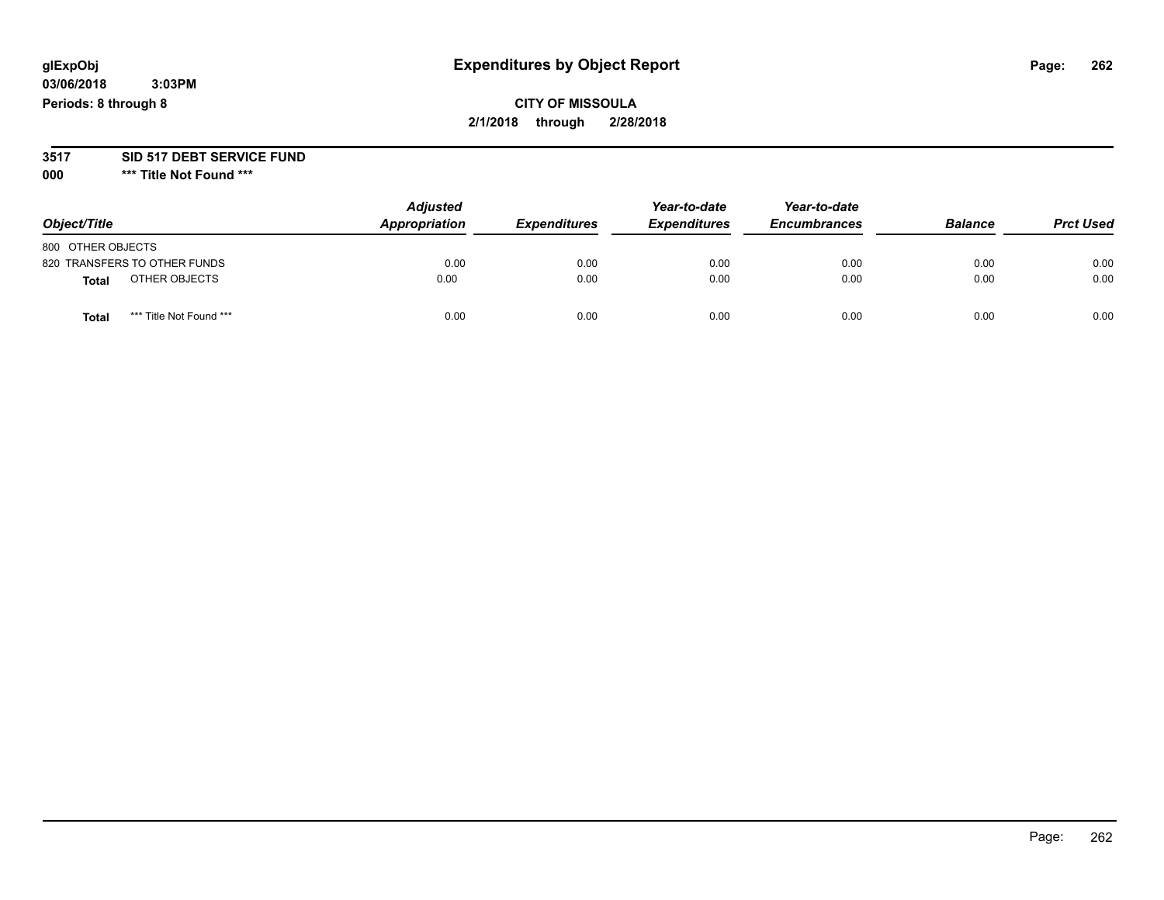#### **03/06/2018 3:03PM Periods: 8 through 8**

## **CITY OF MISSOULA 2/1/2018 through 2/28/2018**

#### **3517 SID 517 DEBT SERVICE FUND**

**000 \*\*\* Title Not Found \*\*\***

| Object/Title                            | <b>Adjusted</b><br>Appropriation | <b>Expenditures</b> | Year-to-date<br><b>Expenditures</b> | Year-to-date<br><b>Encumbrances</b> | <b>Balance</b> | <b>Prct Used</b> |
|-----------------------------------------|----------------------------------|---------------------|-------------------------------------|-------------------------------------|----------------|------------------|
| 800 OTHER OBJECTS                       |                                  |                     |                                     |                                     |                |                  |
| 820 TRANSFERS TO OTHER FUNDS            | 0.00                             | 0.00                | 0.00                                | 0.00                                | 0.00           | 0.00             |
| OTHER OBJECTS<br>Total                  | 0.00                             | 0.00                | 0.00                                | 0.00                                | 0.00           | 0.00             |
| *** Title Not Found ***<br><b>Total</b> | 0.00                             | 0.00                | 0.00                                | 0.00                                | 0.00           | 0.00             |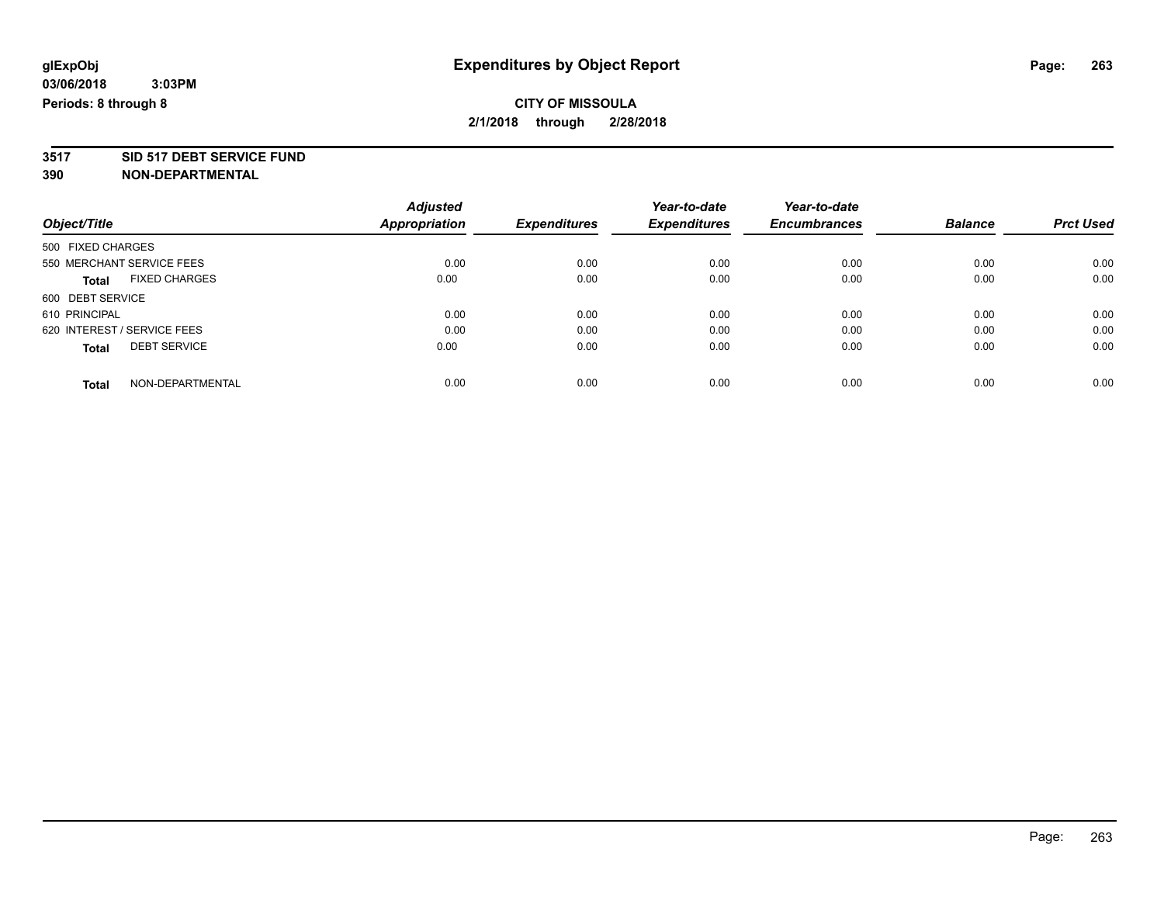**3517 SID 517 DEBT SERVICE FUND**

|                                      | <b>Adjusted</b> | <b>Expenditures</b> | Year-to-date        | Year-to-date        | <b>Balance</b> | <b>Prct Used</b> |
|--------------------------------------|-----------------|---------------------|---------------------|---------------------|----------------|------------------|
| Object/Title                         | Appropriation   |                     | <b>Expenditures</b> | <b>Encumbrances</b> |                |                  |
| 500 FIXED CHARGES                    |                 |                     |                     |                     |                |                  |
| 550 MERCHANT SERVICE FEES            | 0.00            | 0.00                | 0.00                | 0.00                | 0.00           | 0.00             |
| <b>FIXED CHARGES</b><br><b>Total</b> | 0.00            | 0.00                | 0.00                | 0.00                | 0.00           | 0.00             |
| 600 DEBT SERVICE                     |                 |                     |                     |                     |                |                  |
| 610 PRINCIPAL                        | 0.00            | 0.00                | 0.00                | 0.00                | 0.00           | 0.00             |
| 620 INTEREST / SERVICE FEES          | 0.00            | 0.00                | 0.00                | 0.00                | 0.00           | 0.00             |
| <b>DEBT SERVICE</b><br><b>Total</b>  | 0.00            | 0.00                | 0.00                | 0.00                | 0.00           | 0.00             |
| NON-DEPARTMENTAL<br><b>Total</b>     | 0.00            | 0.00                | 0.00                | 0.00                | 0.00           | 0.00             |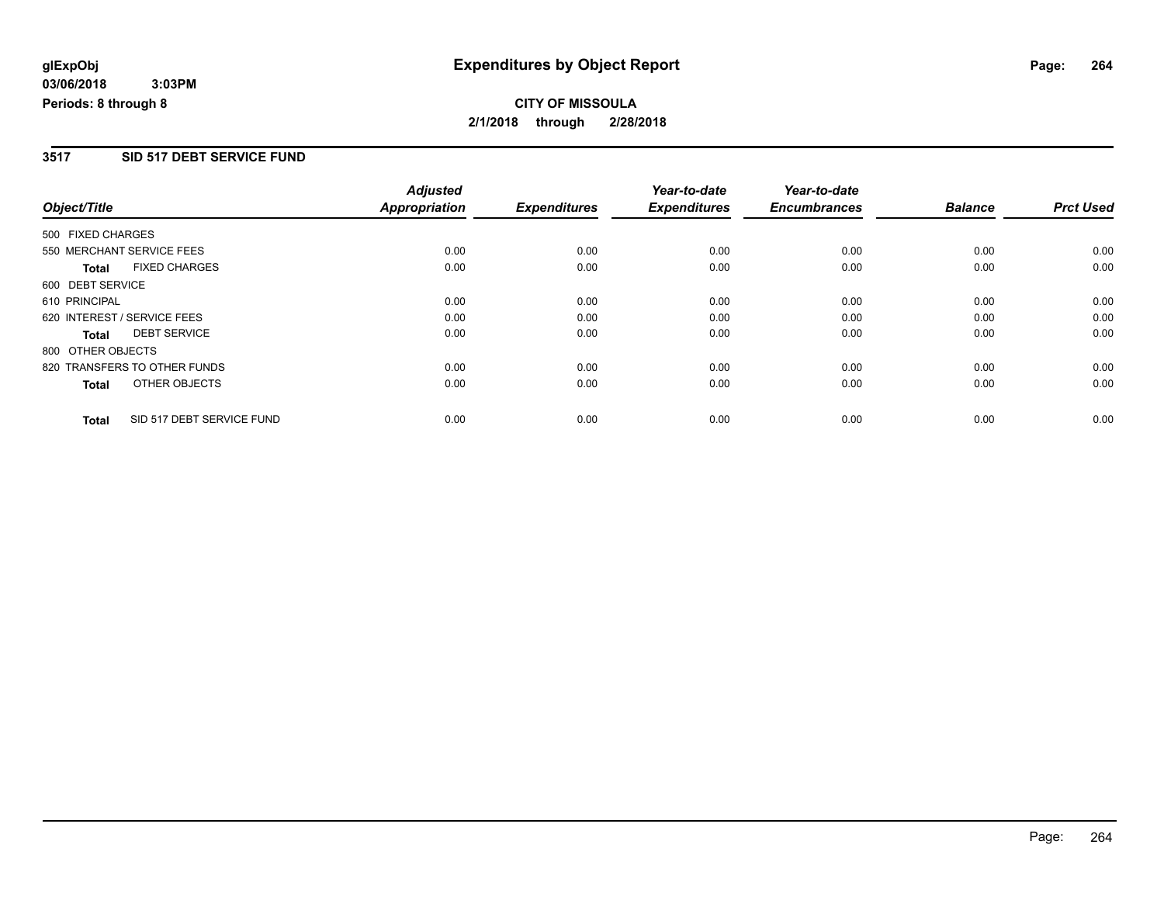#### **3517 SID 517 DEBT SERVICE FUND**

|                   |                              | <b>Adjusted</b>      |                     | Year-to-date        | Year-to-date        |                |                  |
|-------------------|------------------------------|----------------------|---------------------|---------------------|---------------------|----------------|------------------|
| Object/Title      |                              | <b>Appropriation</b> | <b>Expenditures</b> | <b>Expenditures</b> | <b>Encumbrances</b> | <b>Balance</b> | <b>Prct Used</b> |
| 500 FIXED CHARGES |                              |                      |                     |                     |                     |                |                  |
|                   | 550 MERCHANT SERVICE FEES    | 0.00                 | 0.00                | 0.00                | 0.00                | 0.00           | 0.00             |
| <b>Total</b>      | <b>FIXED CHARGES</b>         | 0.00                 | 0.00                | 0.00                | 0.00                | 0.00           | 0.00             |
| 600 DEBT SERVICE  |                              |                      |                     |                     |                     |                |                  |
| 610 PRINCIPAL     |                              | 0.00                 | 0.00                | 0.00                | 0.00                | 0.00           | 0.00             |
|                   | 620 INTEREST / SERVICE FEES  | 0.00                 | 0.00                | 0.00                | 0.00                | 0.00           | 0.00             |
| Total             | <b>DEBT SERVICE</b>          | 0.00                 | 0.00                | 0.00                | 0.00                | 0.00           | 0.00             |
| 800 OTHER OBJECTS |                              |                      |                     |                     |                     |                |                  |
|                   | 820 TRANSFERS TO OTHER FUNDS | 0.00                 | 0.00                | 0.00                | 0.00                | 0.00           | 0.00             |
| Total             | OTHER OBJECTS                | 0.00                 | 0.00                | 0.00                | 0.00                | 0.00           | 0.00             |
| <b>Total</b>      | SID 517 DEBT SERVICE FUND    | 0.00                 | 0.00                | 0.00                | 0.00                | 0.00           | 0.00             |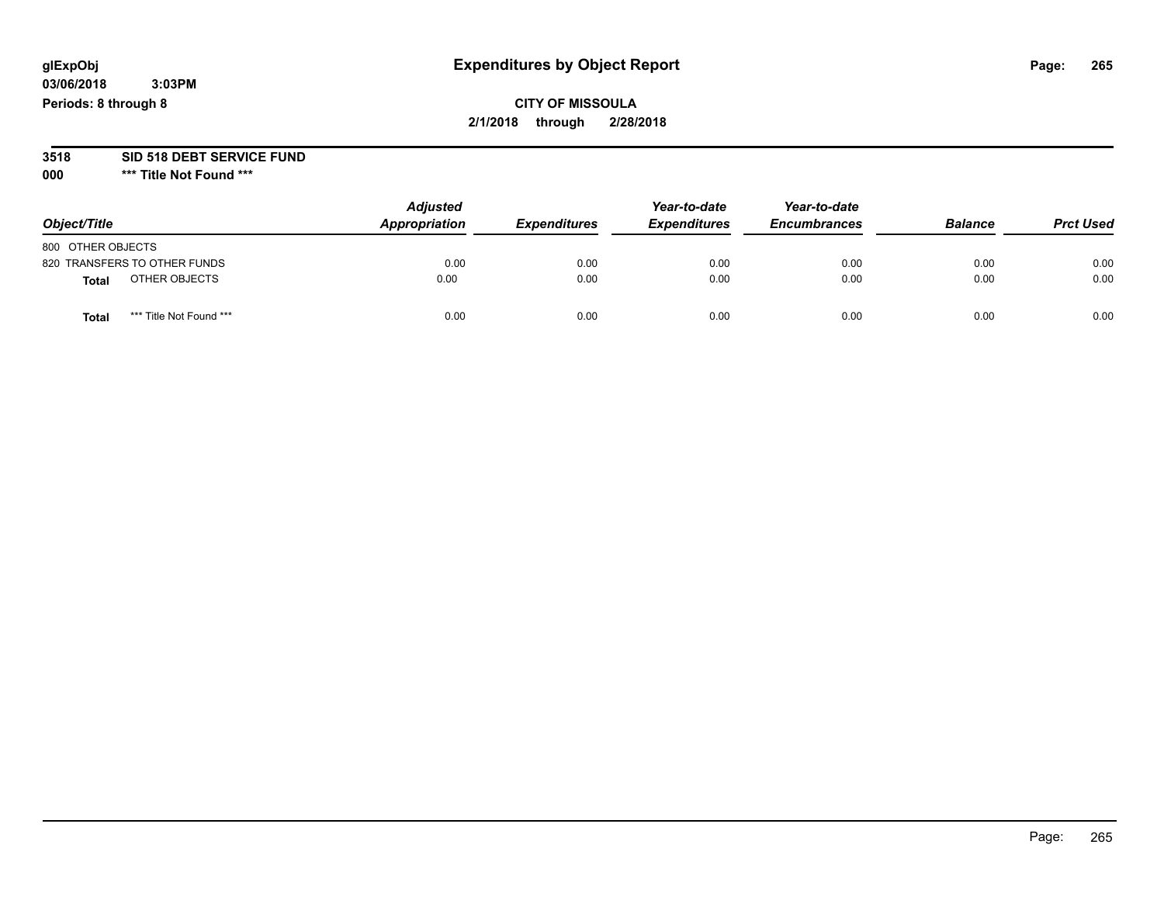#### **03/06/2018 3:03PM Periods: 8 through 8**

## **CITY OF MISSOULA 2/1/2018 through 2/28/2018**

# **3518 SID 518 DEBT SERVICE FUND**

**000 \*\*\* Title Not Found \*\*\***

|                                  | <b>Adjusted</b> |                     | Year-to-date        | Year-to-date        |                |                  |
|----------------------------------|-----------------|---------------------|---------------------|---------------------|----------------|------------------|
| Object/Title                     | Appropriation   | <b>Expenditures</b> | <b>Expenditures</b> | <b>Encumbrances</b> | <b>Balance</b> | <b>Prct Used</b> |
| 800 OTHER OBJECTS                |                 |                     |                     |                     |                |                  |
| 820 TRANSFERS TO OTHER FUNDS     | 0.00            | 0.00                | 0.00                | 0.00                | 0.00           | 0.00             |
| OTHER OBJECTS<br><b>Total</b>    | 0.00            | 0.00                | 0.00                | 0.00                | 0.00           | 0.00             |
| *** Title Not Found ***<br>Total | 0.00            | 0.00                | 0.00                | 0.00                | 0.00           | 0.00             |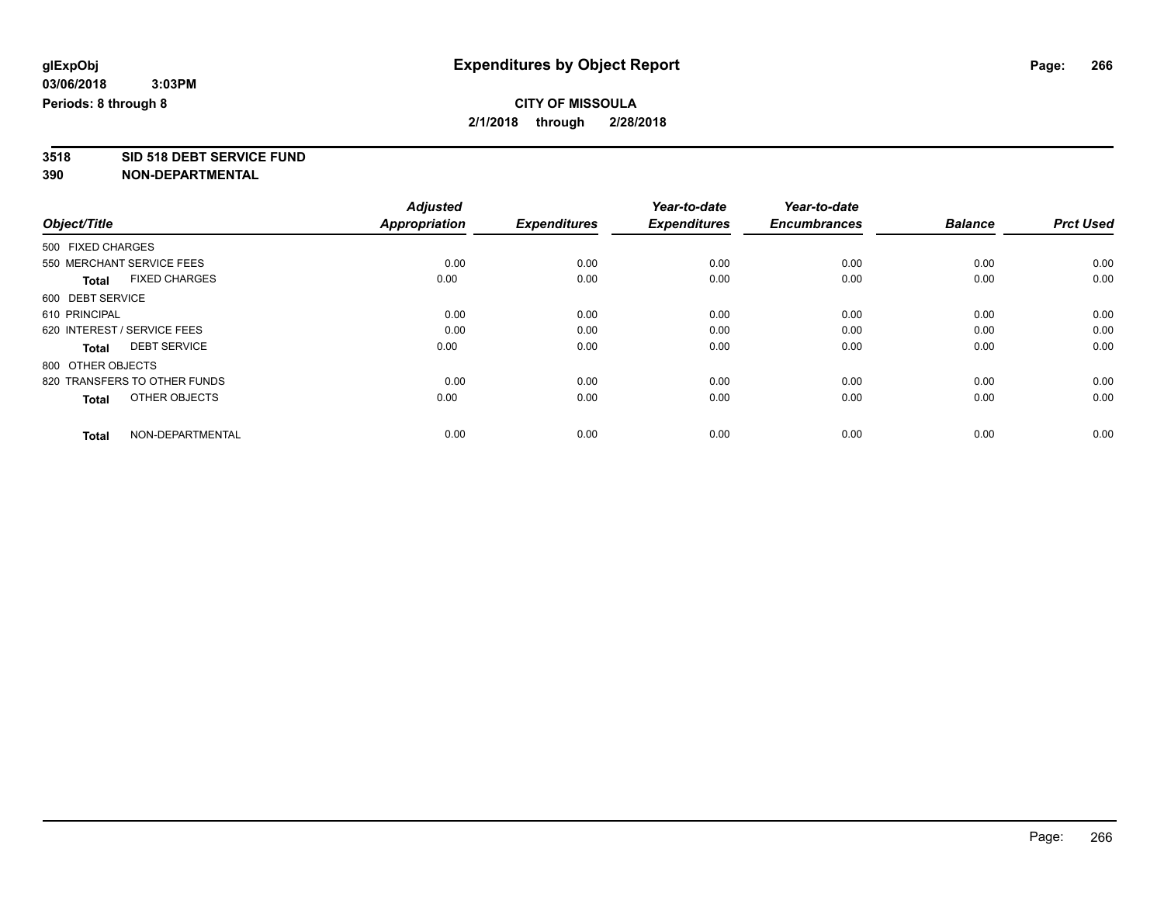**3518 SID 518 DEBT SERVICE FUND**

|                                      | <b>Adjusted</b><br><b>Appropriation</b> | <b>Expenditures</b> | Year-to-date<br><b>Expenditures</b> | Year-to-date<br><b>Encumbrances</b> | <b>Balance</b> | <b>Prct Used</b> |
|--------------------------------------|-----------------------------------------|---------------------|-------------------------------------|-------------------------------------|----------------|------------------|
| Object/Title                         |                                         |                     |                                     |                                     |                |                  |
| 500 FIXED CHARGES                    |                                         |                     |                                     |                                     |                |                  |
| 550 MERCHANT SERVICE FEES            | 0.00                                    | 0.00                | 0.00                                | 0.00                                | 0.00           | 0.00             |
| <b>FIXED CHARGES</b><br><b>Total</b> | 0.00                                    | 0.00                | 0.00                                | 0.00                                | 0.00           | 0.00             |
| 600 DEBT SERVICE                     |                                         |                     |                                     |                                     |                |                  |
| 610 PRINCIPAL                        | 0.00                                    | 0.00                | 0.00                                | 0.00                                | 0.00           | 0.00             |
| 620 INTEREST / SERVICE FEES          | 0.00                                    | 0.00                | 0.00                                | 0.00                                | 0.00           | 0.00             |
| <b>DEBT SERVICE</b><br><b>Total</b>  | 0.00                                    | 0.00                | 0.00                                | 0.00                                | 0.00           | 0.00             |
| 800 OTHER OBJECTS                    |                                         |                     |                                     |                                     |                |                  |
| 820 TRANSFERS TO OTHER FUNDS         | 0.00                                    | 0.00                | 0.00                                | 0.00                                | 0.00           | 0.00             |
| OTHER OBJECTS<br><b>Total</b>        | 0.00                                    | 0.00                | 0.00                                | 0.00                                | 0.00           | 0.00             |
|                                      |                                         |                     |                                     |                                     |                |                  |
| NON-DEPARTMENTAL<br><b>Total</b>     | 0.00                                    | 0.00                | 0.00                                | 0.00                                | 0.00           | 0.00             |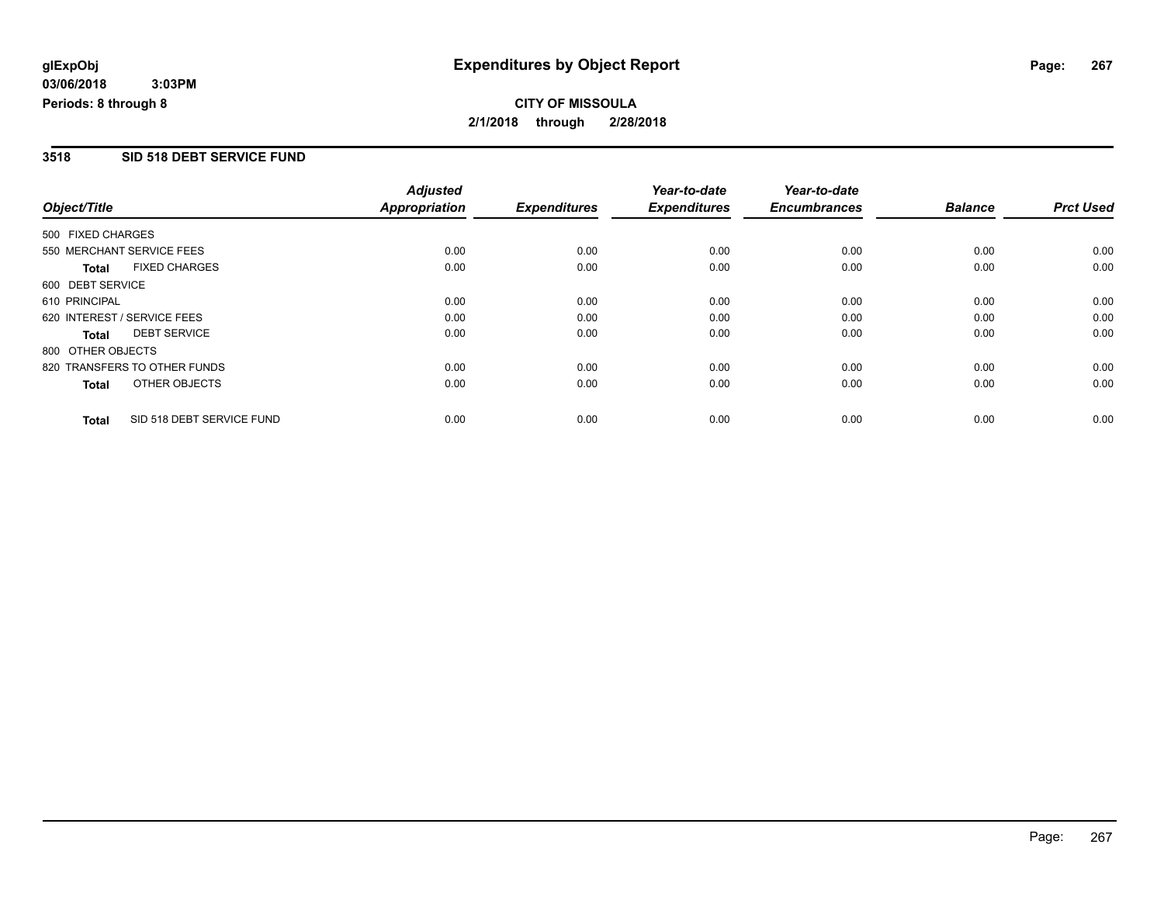#### **3518 SID 518 DEBT SERVICE FUND**

|                             |                              | <b>Adjusted</b>      |                     | Year-to-date        | Year-to-date        |                |                  |
|-----------------------------|------------------------------|----------------------|---------------------|---------------------|---------------------|----------------|------------------|
| Object/Title                |                              | <b>Appropriation</b> | <b>Expenditures</b> | <b>Expenditures</b> | <b>Encumbrances</b> | <b>Balance</b> | <b>Prct Used</b> |
| 500 FIXED CHARGES           |                              |                      |                     |                     |                     |                |                  |
|                             | 550 MERCHANT SERVICE FEES    | 0.00                 | 0.00                | 0.00                | 0.00                | 0.00           | 0.00             |
| <b>Total</b>                | <b>FIXED CHARGES</b>         | 0.00                 | 0.00                | 0.00                | 0.00                | 0.00           | 0.00             |
| 600 DEBT SERVICE            |                              |                      |                     |                     |                     |                |                  |
| 610 PRINCIPAL               |                              | 0.00                 | 0.00                | 0.00                | 0.00                | 0.00           | 0.00             |
| 620 INTEREST / SERVICE FEES |                              | 0.00                 | 0.00                | 0.00                | 0.00                | 0.00           | 0.00             |
| <b>Total</b>                | <b>DEBT SERVICE</b>          | 0.00                 | 0.00                | 0.00                | 0.00                | 0.00           | 0.00             |
| 800 OTHER OBJECTS           |                              |                      |                     |                     |                     |                |                  |
|                             | 820 TRANSFERS TO OTHER FUNDS | 0.00                 | 0.00                | 0.00                | 0.00                | 0.00           | 0.00             |
| Total                       | OTHER OBJECTS                | 0.00                 | 0.00                | 0.00                | 0.00                | 0.00           | 0.00             |
| <b>Total</b>                | SID 518 DEBT SERVICE FUND    | 0.00                 | 0.00                | 0.00                | 0.00                | 0.00           | 0.00             |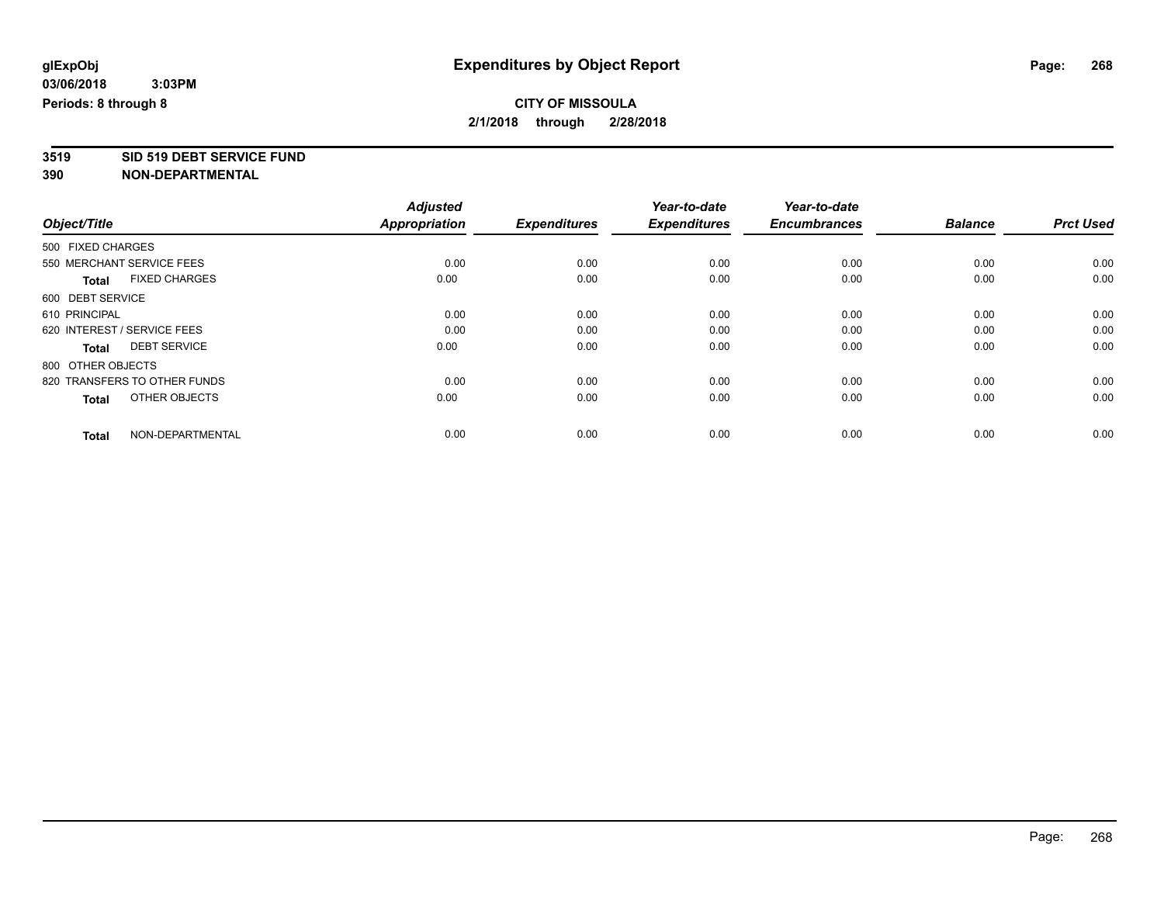# **3519 SID 519 DEBT SERVICE FUND**

|                                      | <b>Adjusted</b>      |                     | Year-to-date<br><b>Expenditures</b> | Year-to-date<br><b>Encumbrances</b> | <b>Balance</b> | <b>Prct Used</b> |
|--------------------------------------|----------------------|---------------------|-------------------------------------|-------------------------------------|----------------|------------------|
| Object/Title                         | <b>Appropriation</b> | <b>Expenditures</b> |                                     |                                     |                |                  |
| 500 FIXED CHARGES                    |                      |                     |                                     |                                     |                |                  |
| 550 MERCHANT SERVICE FEES            | 0.00                 | 0.00                | 0.00                                | 0.00                                | 0.00           | 0.00             |
| <b>FIXED CHARGES</b><br><b>Total</b> | 0.00                 | 0.00                | 0.00                                | 0.00                                | 0.00           | 0.00             |
| 600 DEBT SERVICE                     |                      |                     |                                     |                                     |                |                  |
| 610 PRINCIPAL                        | 0.00                 | 0.00                | 0.00                                | 0.00                                | 0.00           | 0.00             |
| 620 INTEREST / SERVICE FEES          | 0.00                 | 0.00                | 0.00                                | 0.00                                | 0.00           | 0.00             |
| <b>DEBT SERVICE</b><br><b>Total</b>  | 0.00                 | 0.00                | 0.00                                | 0.00                                | 0.00           | 0.00             |
| 800 OTHER OBJECTS                    |                      |                     |                                     |                                     |                |                  |
| 820 TRANSFERS TO OTHER FUNDS         | 0.00                 | 0.00                | 0.00                                | 0.00                                | 0.00           | 0.00             |
| OTHER OBJECTS<br><b>Total</b>        | 0.00                 | 0.00                | 0.00                                | 0.00                                | 0.00           | 0.00             |
|                                      |                      |                     |                                     |                                     |                |                  |
| NON-DEPARTMENTAL<br><b>Total</b>     | 0.00                 | 0.00                | 0.00                                | 0.00                                | 0.00           | 0.00             |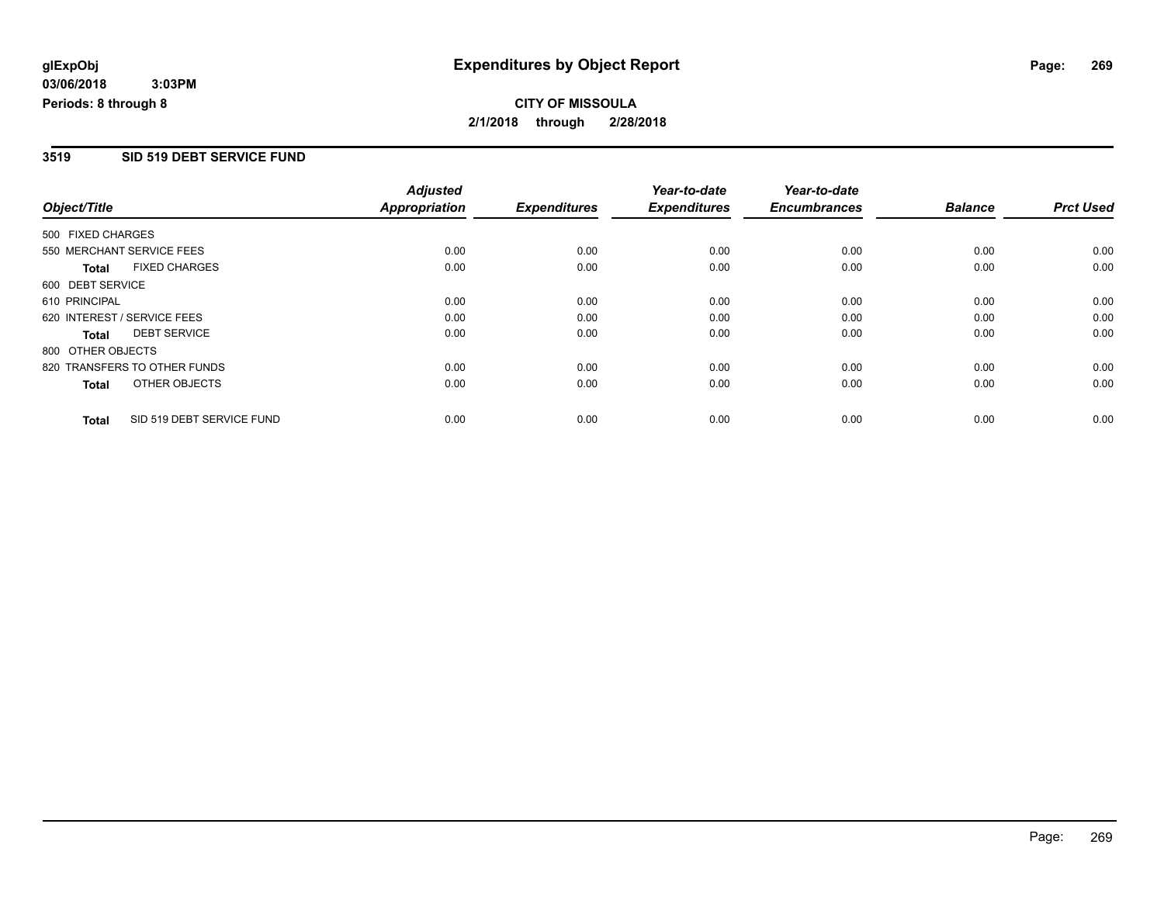#### **3519 SID 519 DEBT SERVICE FUND**

|                   |                              | <b>Adjusted</b>      |                     | Year-to-date        | Year-to-date        |                |                  |
|-------------------|------------------------------|----------------------|---------------------|---------------------|---------------------|----------------|------------------|
| Object/Title      |                              | <b>Appropriation</b> | <b>Expenditures</b> | <b>Expenditures</b> | <b>Encumbrances</b> | <b>Balance</b> | <b>Prct Used</b> |
| 500 FIXED CHARGES |                              |                      |                     |                     |                     |                |                  |
|                   | 550 MERCHANT SERVICE FEES    | 0.00                 | 0.00                | 0.00                | 0.00                | 0.00           | 0.00             |
| <b>Total</b>      | <b>FIXED CHARGES</b>         | 0.00                 | 0.00                | 0.00                | 0.00                | 0.00           | 0.00             |
| 600 DEBT SERVICE  |                              |                      |                     |                     |                     |                |                  |
| 610 PRINCIPAL     |                              | 0.00                 | 0.00                | 0.00                | 0.00                | 0.00           | 0.00             |
|                   | 620 INTEREST / SERVICE FEES  | 0.00                 | 0.00                | 0.00                | 0.00                | 0.00           | 0.00             |
| Total             | <b>DEBT SERVICE</b>          | 0.00                 | 0.00                | 0.00                | 0.00                | 0.00           | 0.00             |
| 800 OTHER OBJECTS |                              |                      |                     |                     |                     |                |                  |
|                   | 820 TRANSFERS TO OTHER FUNDS | 0.00                 | 0.00                | 0.00                | 0.00                | 0.00           | 0.00             |
| Total             | OTHER OBJECTS                | 0.00                 | 0.00                | 0.00                | 0.00                | 0.00           | 0.00             |
| <b>Total</b>      | SID 519 DEBT SERVICE FUND    | 0.00                 | 0.00                | 0.00                | 0.00                | 0.00           | 0.00             |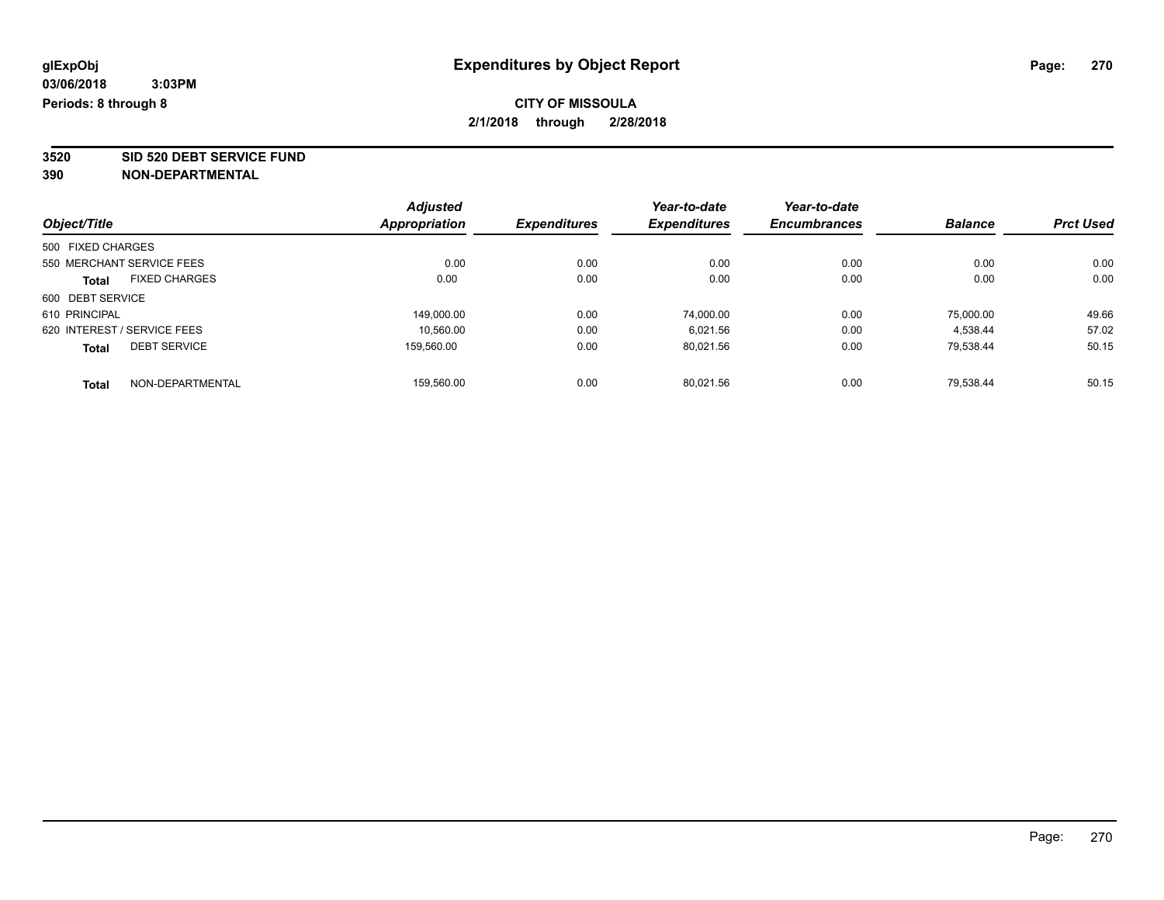**3520 SID 520 DEBT SERVICE FUND**

|                                      | <b>Adjusted</b>      | <b>Expenditures</b> | Year-to-date<br><b>Expenditures</b> | Year-to-date        | <b>Balance</b> |                  |
|--------------------------------------|----------------------|---------------------|-------------------------------------|---------------------|----------------|------------------|
| Object/Title                         | <b>Appropriation</b> |                     |                                     | <b>Encumbrances</b> |                | <b>Prct Used</b> |
| 500 FIXED CHARGES                    |                      |                     |                                     |                     |                |                  |
| 550 MERCHANT SERVICE FEES            | 0.00                 | 0.00                | 0.00                                | 0.00                | 0.00           | 0.00             |
| <b>FIXED CHARGES</b><br><b>Total</b> | 0.00                 | 0.00                | 0.00                                | 0.00                | 0.00           | 0.00             |
| 600 DEBT SERVICE                     |                      |                     |                                     |                     |                |                  |
| 610 PRINCIPAL                        | 149.000.00           | 0.00                | 74,000.00                           | 0.00                | 75,000.00      | 49.66            |
| 620 INTEREST / SERVICE FEES          | 10.560.00            | 0.00                | 6.021.56                            | 0.00                | 4.538.44       | 57.02            |
| <b>DEBT SERVICE</b><br><b>Total</b>  | 159.560.00           | 0.00                | 80,021.56                           | 0.00                | 79.538.44      | 50.15            |
| NON-DEPARTMENTAL<br><b>Total</b>     | 159.560.00           | 0.00                | 80.021.56                           | 0.00                | 79.538.44      | 50.15            |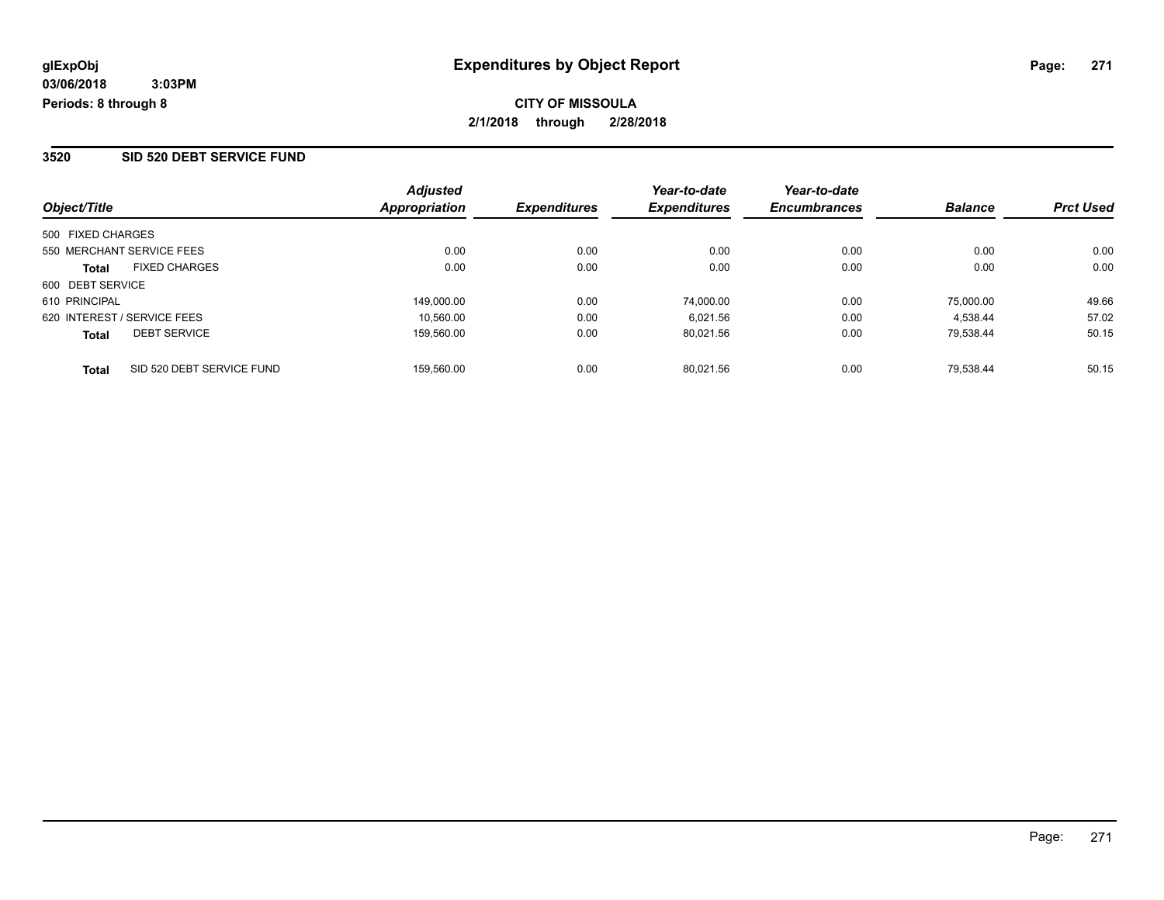#### **3520 SID 520 DEBT SERVICE FUND**

| Object/Title                              | <b>Adjusted</b><br>Appropriation | <b>Expenditures</b> | Year-to-date<br><b>Expenditures</b> | Year-to-date<br><b>Encumbrances</b> | <b>Balance</b> | <b>Prct Used</b> |
|-------------------------------------------|----------------------------------|---------------------|-------------------------------------|-------------------------------------|----------------|------------------|
| 500 FIXED CHARGES                         |                                  |                     |                                     |                                     |                |                  |
| 550 MERCHANT SERVICE FEES                 | 0.00                             | 0.00                | 0.00                                | 0.00                                | 0.00           | 0.00             |
| <b>FIXED CHARGES</b><br><b>Total</b>      | 0.00                             | 0.00                | 0.00                                | 0.00                                | 0.00           | 0.00             |
| 600 DEBT SERVICE                          |                                  |                     |                                     |                                     |                |                  |
| 610 PRINCIPAL                             | 149.000.00                       | 0.00                | 74,000.00                           | 0.00                                | 75,000.00      | 49.66            |
| 620 INTEREST / SERVICE FEES               | 10.560.00                        | 0.00                | 6.021.56                            | 0.00                                | 4.538.44       | 57.02            |
| <b>DEBT SERVICE</b><br><b>Total</b>       | 159.560.00                       | 0.00                | 80.021.56                           | 0.00                                | 79.538.44      | 50.15            |
| SID 520 DEBT SERVICE FUND<br><b>Total</b> | 159.560.00                       | 0.00                | 80.021.56                           | 0.00                                | 79.538.44      | 50.15            |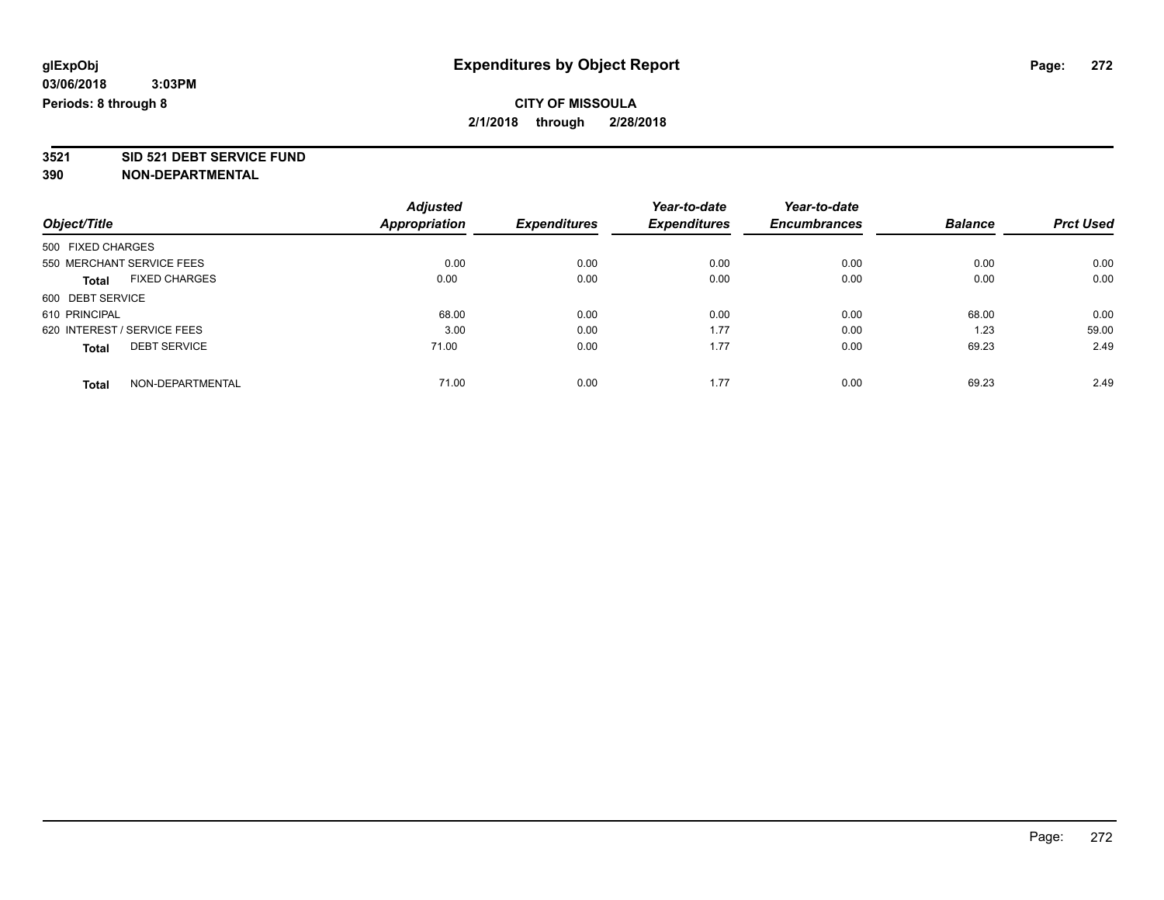**3521 SID 521 DEBT SERVICE FUND**

|                             |                           | <b>Adjusted</b> |                     | Year-to-date        | Year-to-date        |                |                  |
|-----------------------------|---------------------------|-----------------|---------------------|---------------------|---------------------|----------------|------------------|
| Object/Title                |                           | Appropriation   | <b>Expenditures</b> | <b>Expenditures</b> | <b>Encumbrances</b> | <b>Balance</b> | <b>Prct Used</b> |
| 500 FIXED CHARGES           |                           |                 |                     |                     |                     |                |                  |
|                             | 550 MERCHANT SERVICE FEES | 0.00            | 0.00                | 0.00                | 0.00                | 0.00           | 0.00             |
| <b>Total</b>                | <b>FIXED CHARGES</b>      | 0.00            | 0.00                | 0.00                | 0.00                | 0.00           | 0.00             |
| 600 DEBT SERVICE            |                           |                 |                     |                     |                     |                |                  |
| 610 PRINCIPAL               |                           | 68.00           | 0.00                | 0.00                | 0.00                | 68.00          | 0.00             |
| 620 INTEREST / SERVICE FEES |                           | 3.00            | 0.00                | 1.77                | 0.00                | 1.23           | 59.00            |
| <b>Total</b>                | <b>DEBT SERVICE</b>       | 71.00           | 0.00                | 1.77                | 0.00                | 69.23          | 2.49             |
| <b>Total</b>                | NON-DEPARTMENTAL          | 71.00           | 0.00                | 1.77                | 0.00                | 69.23          | 2.49             |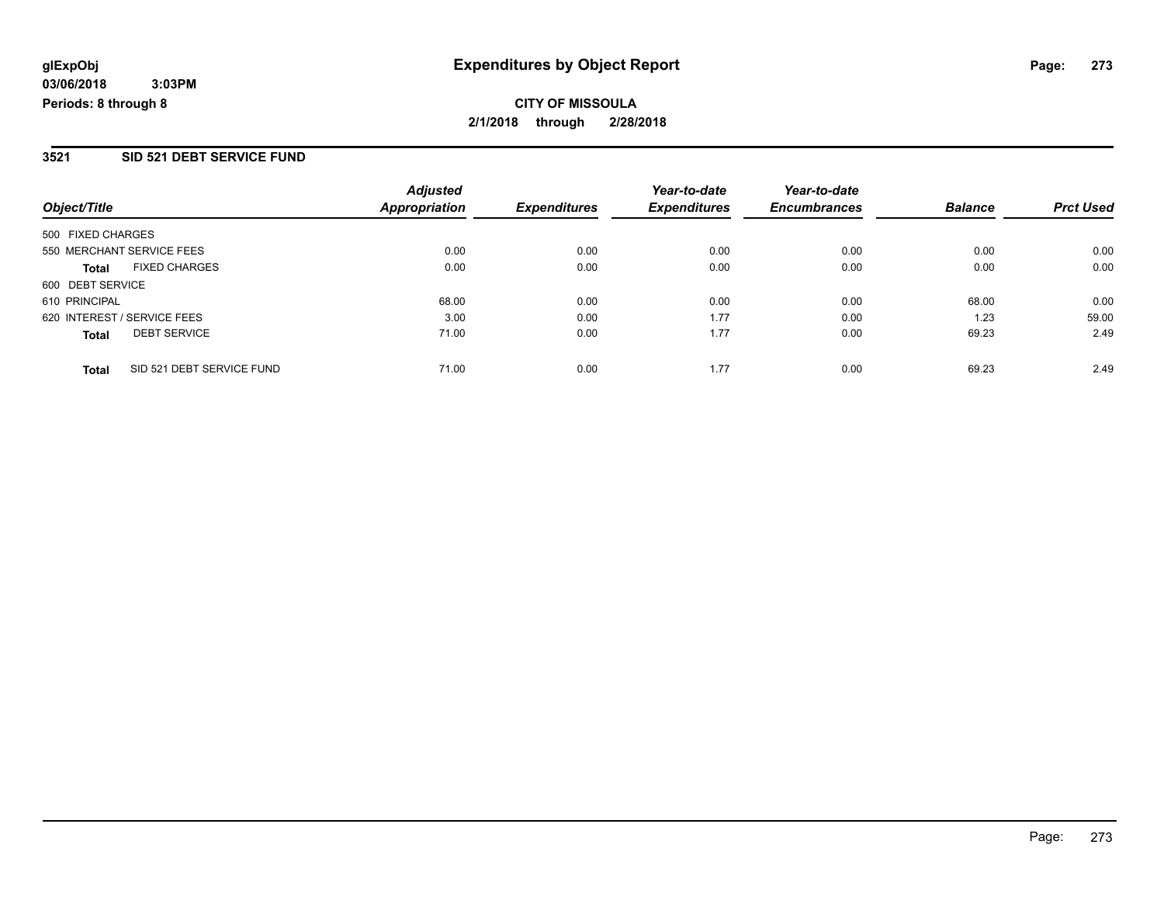**03/06/2018 3:03PM Periods: 8 through 8**

**CITY OF MISSOULA 2/1/2018 through 2/28/2018**

#### **3521 SID 521 DEBT SERVICE FUND**

|                                           | <b>Adjusted</b> |                     | Year-to-date        | Year-to-date        |                |                  |
|-------------------------------------------|-----------------|---------------------|---------------------|---------------------|----------------|------------------|
| Object/Title                              | Appropriation   | <b>Expenditures</b> | <b>Expenditures</b> | <b>Encumbrances</b> | <b>Balance</b> | <b>Prct Used</b> |
| 500 FIXED CHARGES                         |                 |                     |                     |                     |                |                  |
| 550 MERCHANT SERVICE FEES                 | 0.00            | 0.00                | 0.00                | 0.00                | 0.00           | 0.00             |
| <b>FIXED CHARGES</b><br><b>Total</b>      | 0.00            | 0.00                | 0.00                | 0.00                | 0.00           | 0.00             |
| 600 DEBT SERVICE                          |                 |                     |                     |                     |                |                  |
| 610 PRINCIPAL                             | 68.00           | 0.00                | 0.00                | 0.00                | 68.00          | 0.00             |
| 620 INTEREST / SERVICE FEES               | 3.00            | 0.00                | 1.77                | 0.00                | 1.23           | 59.00            |
| <b>DEBT SERVICE</b><br><b>Total</b>       | 71.00           | 0.00                | 1.77                | 0.00                | 69.23          | 2.49             |
| SID 521 DEBT SERVICE FUND<br><b>Total</b> | 71.00           | 0.00                | 1.77                | 0.00                | 69.23          | 2.49             |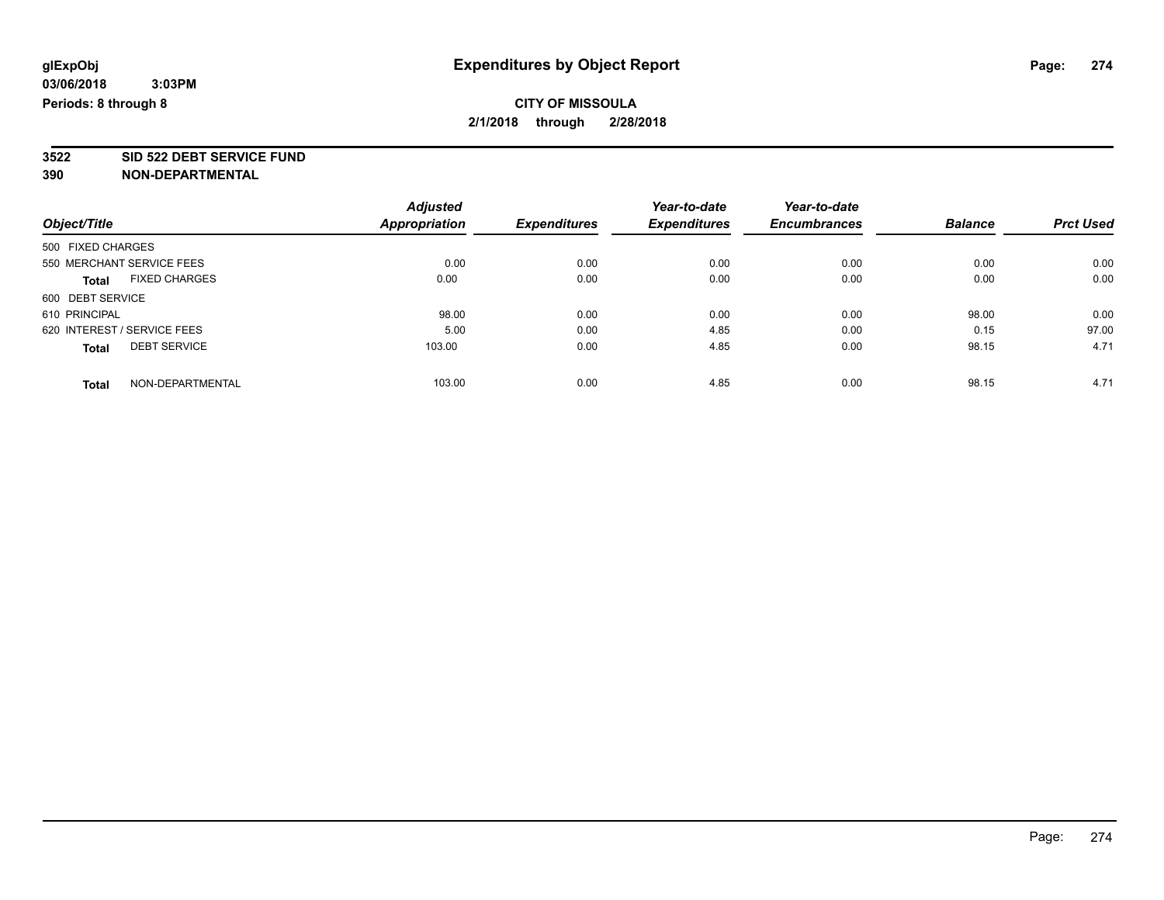**3522 SID 522 DEBT SERVICE FUND**

|                                      | <b>Adjusted</b> | <b>Expenditures</b> | Year-to-date<br><b>Expenditures</b> | Year-to-date        | <b>Balance</b> | <b>Prct Used</b> |
|--------------------------------------|-----------------|---------------------|-------------------------------------|---------------------|----------------|------------------|
| Object/Title                         | Appropriation   |                     |                                     | <b>Encumbrances</b> |                |                  |
| 500 FIXED CHARGES                    |                 |                     |                                     |                     |                |                  |
| 550 MERCHANT SERVICE FEES            | 0.00            | 0.00                | 0.00                                | 0.00                | 0.00           | 0.00             |
| <b>FIXED CHARGES</b><br><b>Total</b> | 0.00            | 0.00                | 0.00                                | 0.00                | 0.00           | 0.00             |
| 600 DEBT SERVICE                     |                 |                     |                                     |                     |                |                  |
| 610 PRINCIPAL                        | 98.00           | 0.00                | 0.00                                | 0.00                | 98.00          | 0.00             |
| 620 INTEREST / SERVICE FEES          | 5.00            | 0.00                | 4.85                                | 0.00                | 0.15           | 97.00            |
| <b>DEBT SERVICE</b><br><b>Total</b>  | 103.00          | 0.00                | 4.85                                | 0.00                | 98.15          | 4.71             |
| NON-DEPARTMENTAL<br><b>Total</b>     | 103.00          | 0.00                | 4.85                                | 0.00                | 98.15          | 4.71             |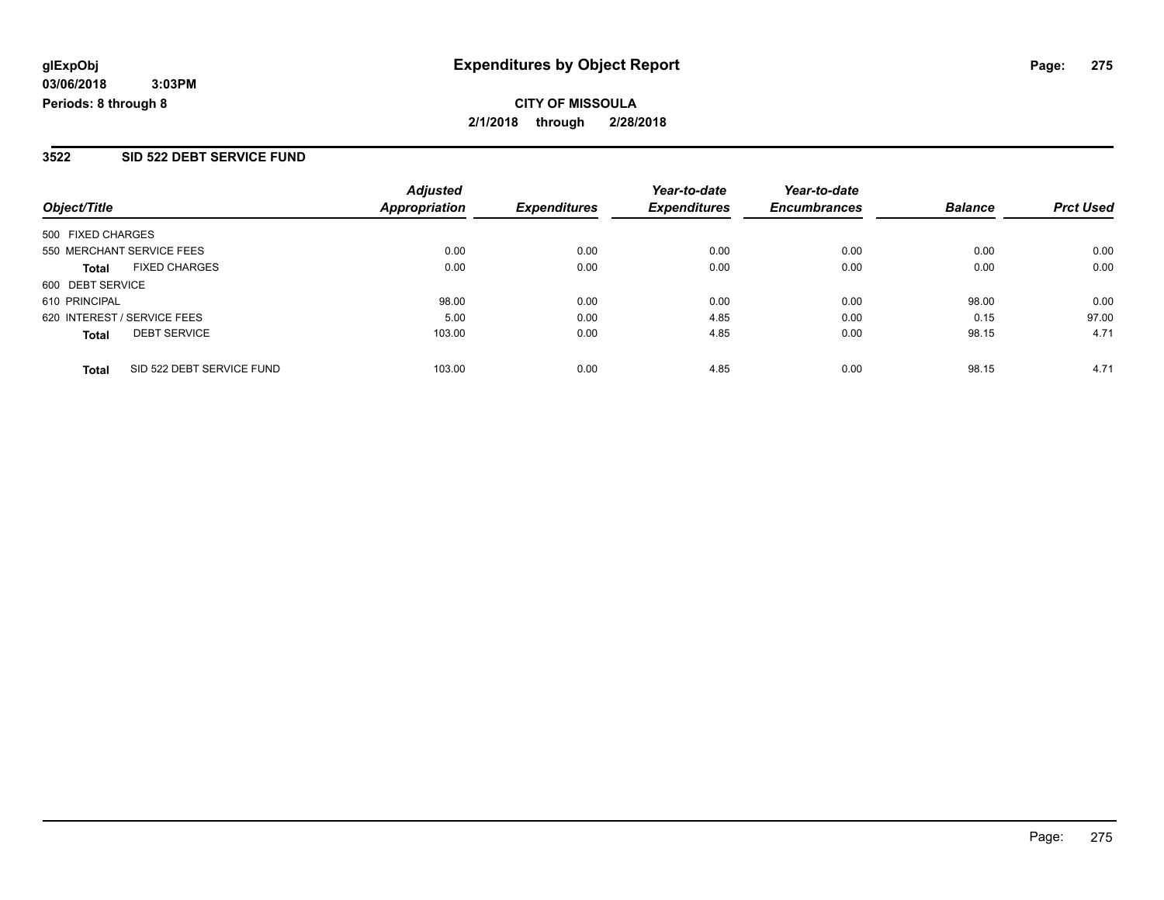#### **3522 SID 522 DEBT SERVICE FUND**

|                                           | <b>Adjusted</b>      |                     | Year-to-date        | Year-to-date        |                |                  |
|-------------------------------------------|----------------------|---------------------|---------------------|---------------------|----------------|------------------|
| Object/Title                              | <b>Appropriation</b> | <b>Expenditures</b> | <b>Expenditures</b> | <b>Encumbrances</b> | <b>Balance</b> | <b>Prct Used</b> |
| 500 FIXED CHARGES                         |                      |                     |                     |                     |                |                  |
| 550 MERCHANT SERVICE FEES                 | 0.00                 | 0.00                | 0.00                | 0.00                | 0.00           | 0.00             |
| <b>FIXED CHARGES</b><br><b>Total</b>      | 0.00                 | 0.00                | 0.00                | 0.00                | 0.00           | 0.00             |
| 600 DEBT SERVICE                          |                      |                     |                     |                     |                |                  |
| 610 PRINCIPAL                             | 98.00                | 0.00                | 0.00                | 0.00                | 98.00          | 0.00             |
| 620 INTEREST / SERVICE FEES               | 5.00                 | 0.00                | 4.85                | 0.00                | 0.15           | 97.00            |
| <b>DEBT SERVICE</b><br><b>Total</b>       | 103.00               | 0.00                | 4.85                | 0.00                | 98.15          | 4.71             |
| SID 522 DEBT SERVICE FUND<br><b>Total</b> | 103.00               | 0.00                | 4.85                | 0.00                | 98.15          | 4.71             |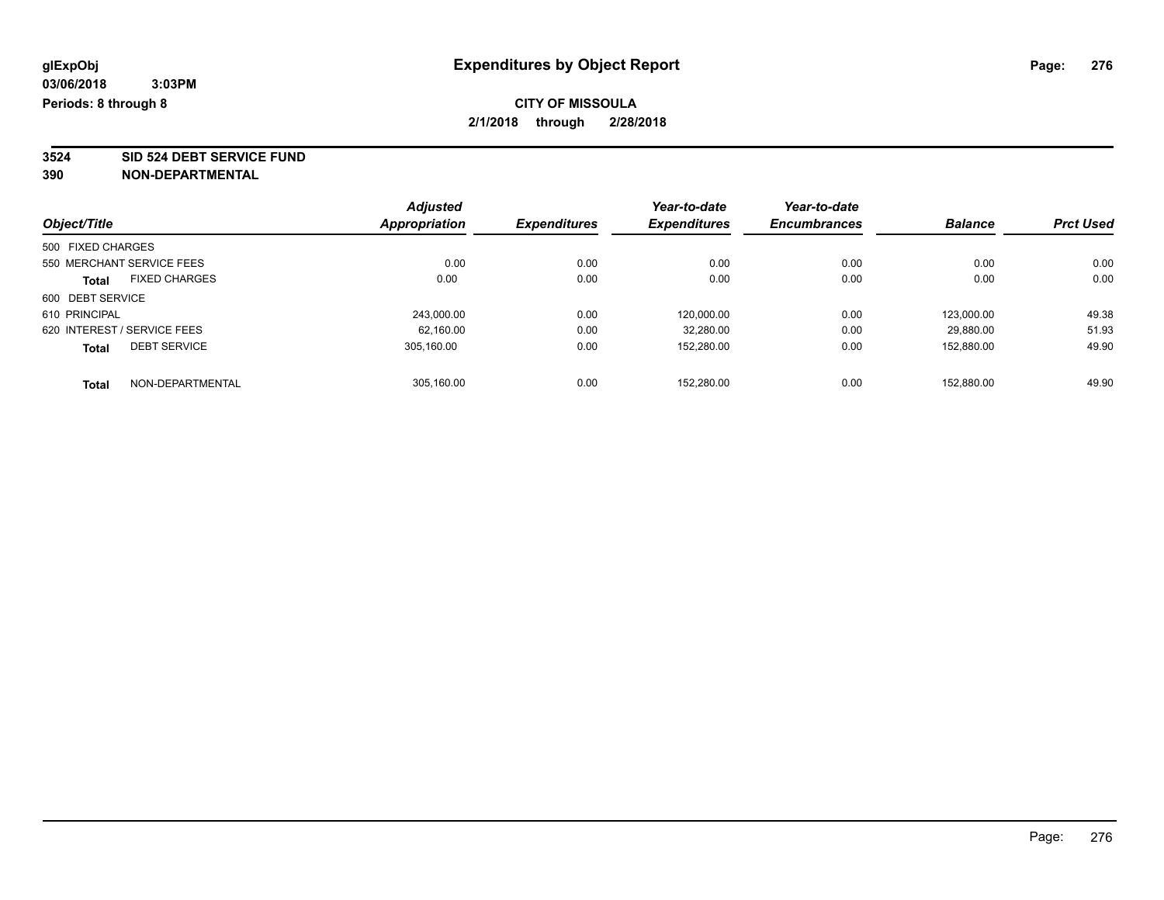**3524 SID 524 DEBT SERVICE FUND**

|                                      |  | <b>Adjusted</b> |                     | Year-to-date        | Year-to-date        |                |                  |
|--------------------------------------|--|-----------------|---------------------|---------------------|---------------------|----------------|------------------|
| Object/Title                         |  | Appropriation   | <b>Expenditures</b> | <b>Expenditures</b> | <b>Encumbrances</b> | <b>Balance</b> | <b>Prct Used</b> |
| 500 FIXED CHARGES                    |  |                 |                     |                     |                     |                |                  |
| 550 MERCHANT SERVICE FEES            |  | 0.00            | 0.00                | 0.00                | 0.00                | 0.00           | 0.00             |
| <b>FIXED CHARGES</b><br><b>Total</b> |  | 0.00            | 0.00                | 0.00                | 0.00                | 0.00           | 0.00             |
| 600 DEBT SERVICE                     |  |                 |                     |                     |                     |                |                  |
| 610 PRINCIPAL                        |  | 243,000.00      | 0.00                | 120,000.00          | 0.00                | 123.000.00     | 49.38            |
| 620 INTEREST / SERVICE FEES          |  | 62.160.00       | 0.00                | 32,280.00           | 0.00                | 29.880.00      | 51.93            |
| <b>DEBT SERVICE</b><br><b>Total</b>  |  | 305.160.00      | 0.00                | 152.280.00          | 0.00                | 152.880.00     | 49.90            |
| NON-DEPARTMENTAL<br><b>Total</b>     |  | 305.160.00      | 0.00                | 152.280.00          | 0.00                | 152.880.00     | 49.90            |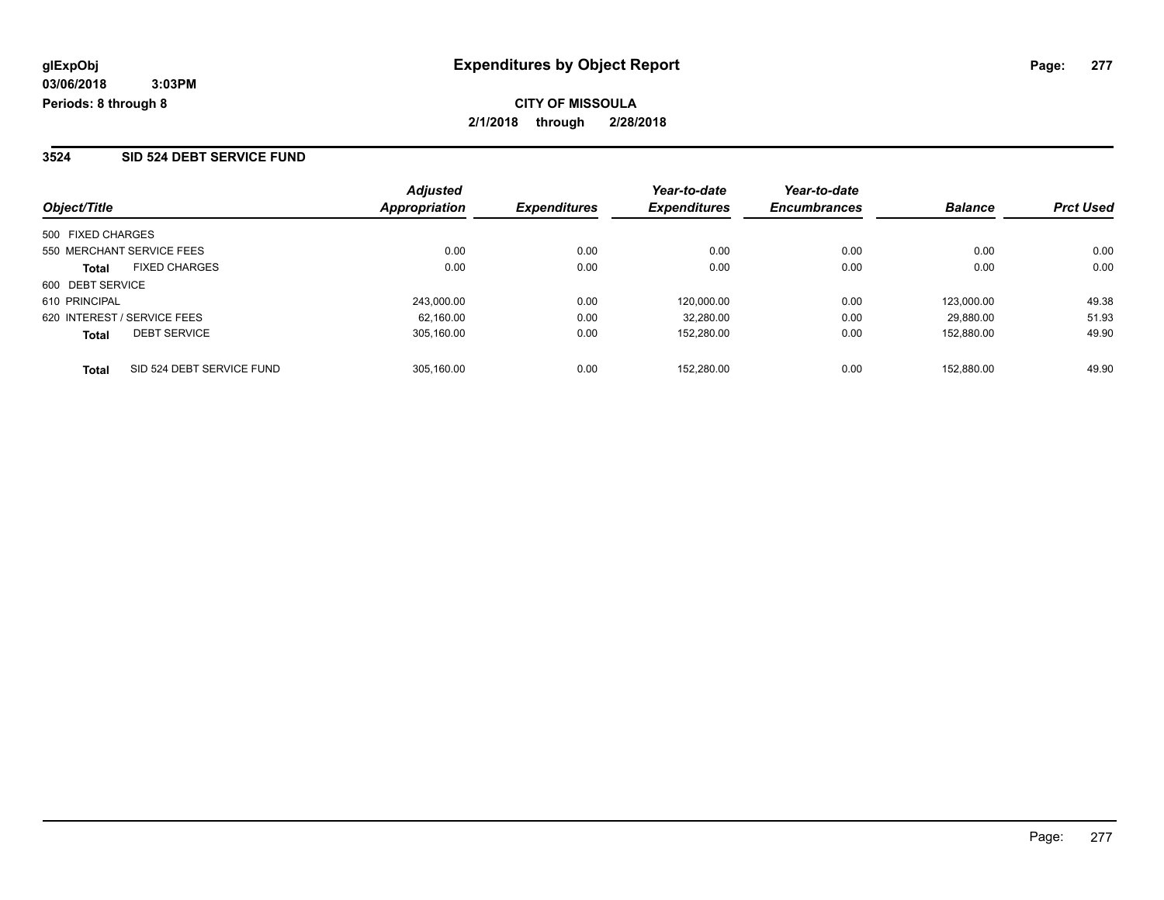#### **3524 SID 524 DEBT SERVICE FUND**

|                                           | <b>Adjusted</b> |                     | Year-to-date        | Year-to-date        |                |                  |
|-------------------------------------------|-----------------|---------------------|---------------------|---------------------|----------------|------------------|
| Object/Title                              | Appropriation   | <b>Expenditures</b> | <b>Expenditures</b> | <b>Encumbrances</b> | <b>Balance</b> | <b>Prct Used</b> |
| 500 FIXED CHARGES                         |                 |                     |                     |                     |                |                  |
| 550 MERCHANT SERVICE FEES                 | 0.00            | 0.00                | 0.00                | 0.00                | 0.00           | 0.00             |
| <b>FIXED CHARGES</b><br><b>Total</b>      | 0.00            | 0.00                | 0.00                | 0.00                | 0.00           | 0.00             |
| 600 DEBT SERVICE                          |                 |                     |                     |                     |                |                  |
| 610 PRINCIPAL                             | 243.000.00      | 0.00                | 120.000.00          | 0.00                | 123.000.00     | 49.38            |
| 620 INTEREST / SERVICE FEES               | 62.160.00       | 0.00                | 32,280.00           | 0.00                | 29.880.00      | 51.93            |
| <b>DEBT SERVICE</b><br><b>Total</b>       | 305.160.00      | 0.00                | 152.280.00          | 0.00                | 152.880.00     | 49.90            |
| SID 524 DEBT SERVICE FUND<br><b>Total</b> | 305.160.00      | 0.00                | 152.280.00          | 0.00                | 152.880.00     | 49.90            |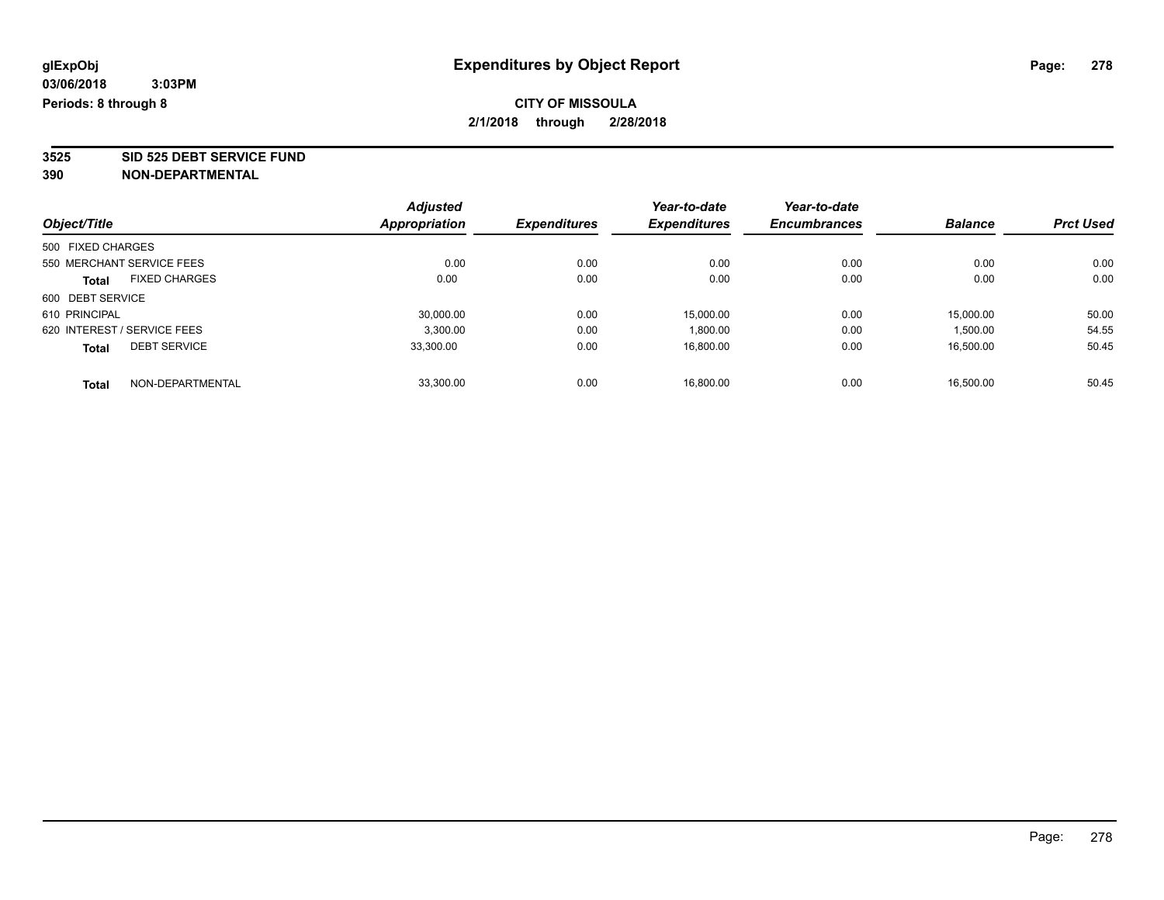**3525 SID 525 DEBT SERVICE FUND**

|                                      |  | <b>Adjusted</b> |                     | Year-to-date        | Year-to-date        |                |                  |
|--------------------------------------|--|-----------------|---------------------|---------------------|---------------------|----------------|------------------|
| Object/Title                         |  | Appropriation   | <b>Expenditures</b> | <b>Expenditures</b> | <b>Encumbrances</b> | <b>Balance</b> | <b>Prct Used</b> |
| 500 FIXED CHARGES                    |  |                 |                     |                     |                     |                |                  |
| 550 MERCHANT SERVICE FEES            |  | 0.00            | 0.00                | 0.00                | 0.00                | 0.00           | 0.00             |
| <b>FIXED CHARGES</b><br><b>Total</b> |  | 0.00            | 0.00                | 0.00                | 0.00                | 0.00           | 0.00             |
| 600 DEBT SERVICE                     |  |                 |                     |                     |                     |                |                  |
| 610 PRINCIPAL                        |  | 30,000.00       | 0.00                | 15,000.00           | 0.00                | 15,000.00      | 50.00            |
| 620 INTEREST / SERVICE FEES          |  | 3,300.00        | 0.00                | 1,800.00            | 0.00                | 1,500.00       | 54.55            |
| <b>DEBT SERVICE</b><br><b>Total</b>  |  | 33.300.00       | 0.00                | 16.800.00           | 0.00                | 16.500.00      | 50.45            |
| NON-DEPARTMENTAL<br><b>Total</b>     |  | 33.300.00       | 0.00                | 16.800.00           | 0.00                | 16.500.00      | 50.45            |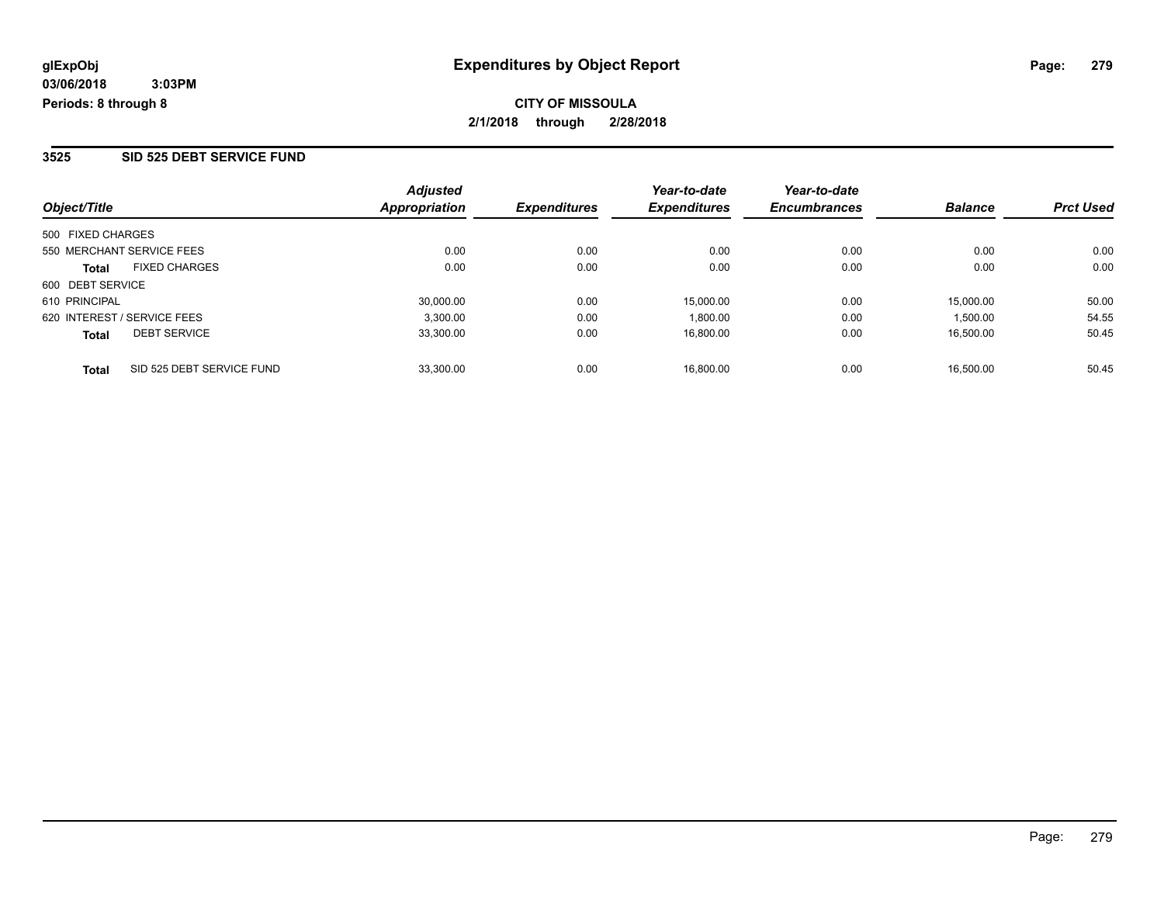#### **3525 SID 525 DEBT SERVICE FUND**

| Object/Title                              | <b>Adjusted</b><br>Appropriation | <b>Expenditures</b> | Year-to-date<br><b>Expenditures</b> | Year-to-date<br><b>Encumbrances</b> | <b>Balance</b> | <b>Prct Used</b> |
|-------------------------------------------|----------------------------------|---------------------|-------------------------------------|-------------------------------------|----------------|------------------|
| 500 FIXED CHARGES                         |                                  |                     |                                     |                                     |                |                  |
| 550 MERCHANT SERVICE FEES                 | 0.00                             | 0.00                | 0.00                                | 0.00                                | 0.00           | 0.00             |
| <b>FIXED CHARGES</b><br><b>Total</b>      | 0.00                             | 0.00                | 0.00                                | 0.00                                | 0.00           | 0.00             |
| 600 DEBT SERVICE                          |                                  |                     |                                     |                                     |                |                  |
| 610 PRINCIPAL                             | 30,000.00                        | 0.00                | 15,000.00                           | 0.00                                | 15,000.00      | 50.00            |
| 620 INTEREST / SERVICE FEES               | 3,300.00                         | 0.00                | 1,800.00                            | 0.00                                | 1,500.00       | 54.55            |
| <b>DEBT SERVICE</b><br><b>Total</b>       | 33,300.00                        | 0.00                | 16,800.00                           | 0.00                                | 16.500.00      | 50.45            |
| SID 525 DEBT SERVICE FUND<br><b>Total</b> | 33.300.00                        | 0.00                | 16.800.00                           | 0.00                                | 16.500.00      | 50.45            |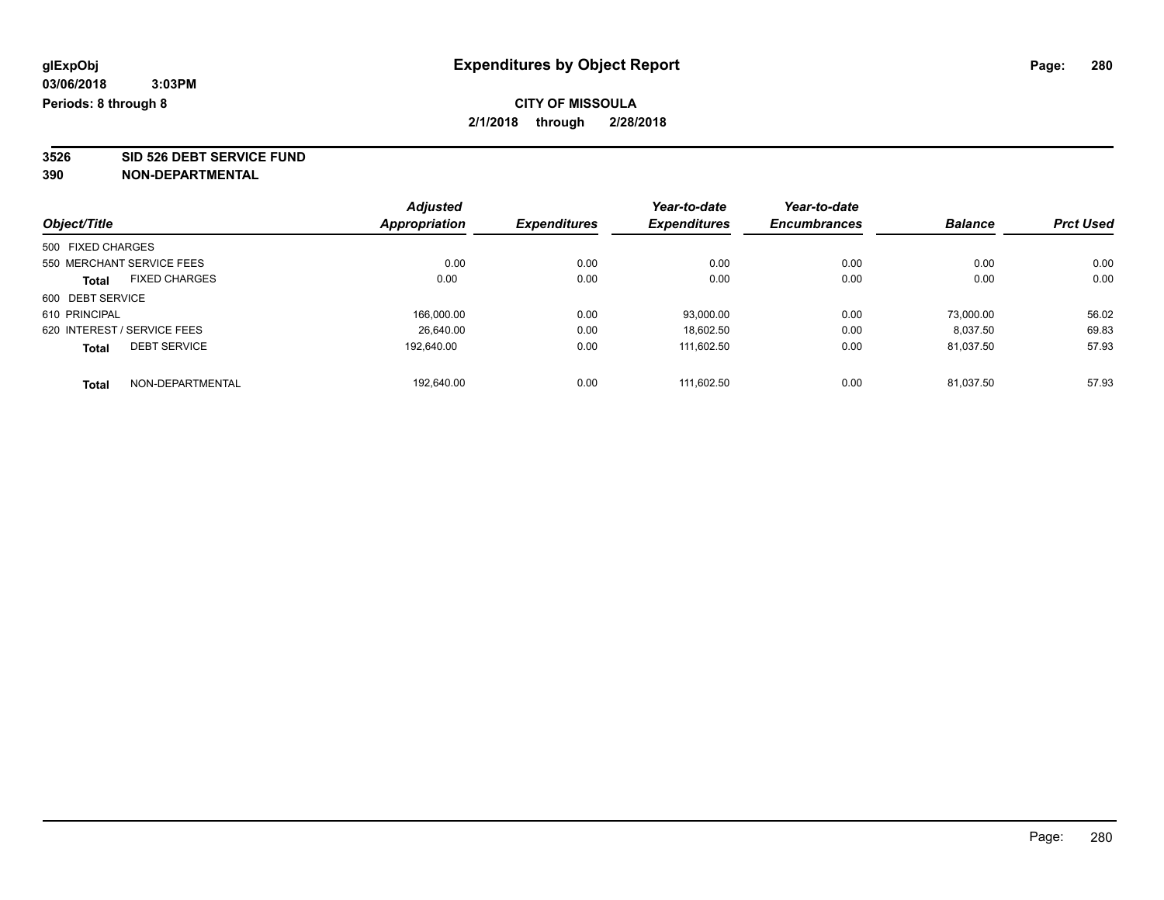**3526 SID 526 DEBT SERVICE FUND**

|                                      | <b>Adjusted</b>      |                     | Year-to-date        | Year-to-date        |                |                  |
|--------------------------------------|----------------------|---------------------|---------------------|---------------------|----------------|------------------|
| Object/Title                         | <b>Appropriation</b> | <b>Expenditures</b> | <b>Expenditures</b> | <b>Encumbrances</b> | <b>Balance</b> | <b>Prct Used</b> |
| 500 FIXED CHARGES                    |                      |                     |                     |                     |                |                  |
| 550 MERCHANT SERVICE FEES            | 0.00                 | 0.00                | 0.00                | 0.00                | 0.00           | 0.00             |
| <b>FIXED CHARGES</b><br><b>Total</b> | 0.00                 | 0.00                | 0.00                | 0.00                | 0.00           | 0.00             |
| 600 DEBT SERVICE                     |                      |                     |                     |                     |                |                  |
| 610 PRINCIPAL                        | 166.000.00           | 0.00                | 93.000.00           | 0.00                | 73.000.00      | 56.02            |
| 620 INTEREST / SERVICE FEES          | 26.640.00            | 0.00                | 18,602.50           | 0.00                | 8.037.50       | 69.83            |
| <b>DEBT SERVICE</b><br><b>Total</b>  | 192.640.00           | 0.00                | 111,602.50          | 0.00                | 81.037.50      | 57.93            |
| NON-DEPARTMENTAL<br><b>Total</b>     | 192.640.00           | 0.00                | 111.602.50          | 0.00                | 81.037.50      | 57.93            |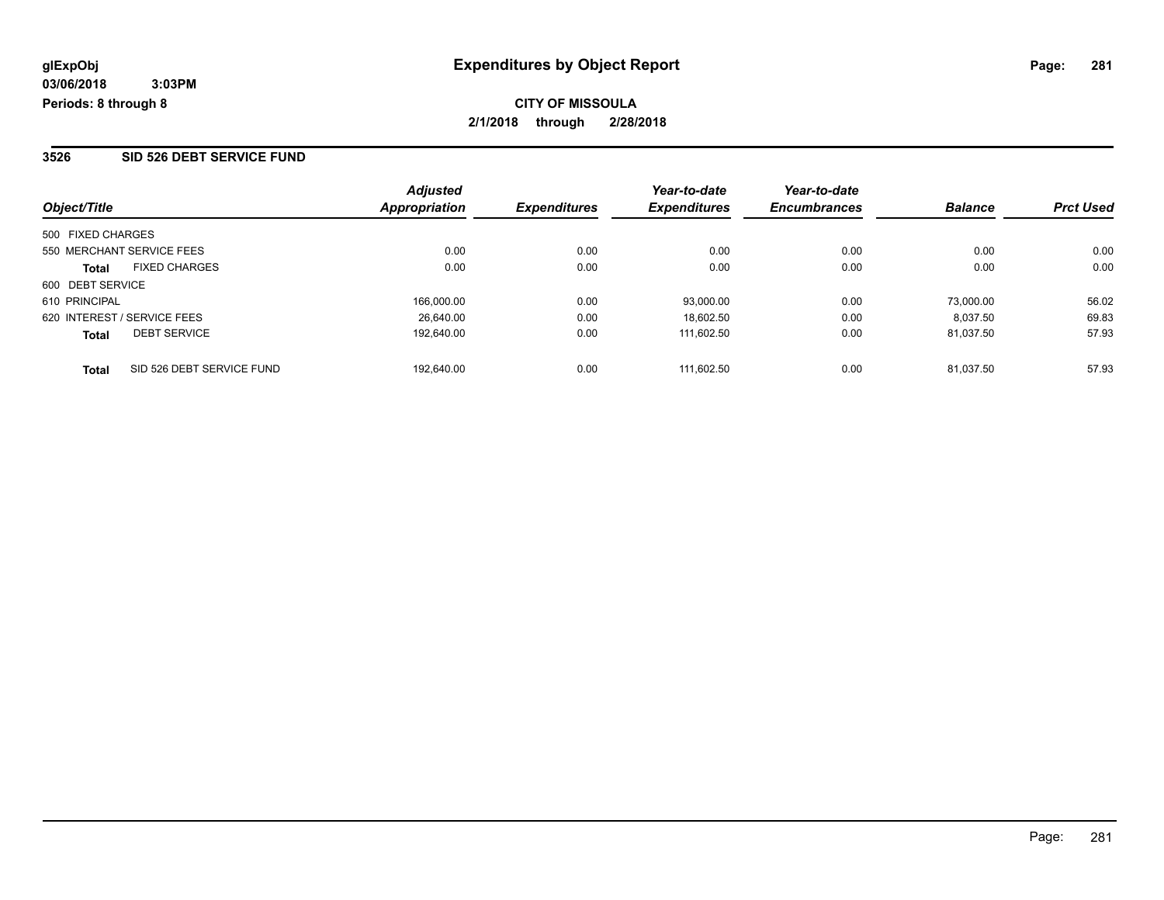#### **3526 SID 526 DEBT SERVICE FUND**

| Object/Title                              | <b>Adjusted</b><br>Appropriation | <b>Expenditures</b> | Year-to-date<br><b>Expenditures</b> | Year-to-date<br><b>Encumbrances</b> | <b>Balance</b> | <b>Prct Used</b> |
|-------------------------------------------|----------------------------------|---------------------|-------------------------------------|-------------------------------------|----------------|------------------|
| 500 FIXED CHARGES                         |                                  |                     |                                     |                                     |                |                  |
| 550 MERCHANT SERVICE FEES                 | 0.00                             | 0.00                | 0.00                                | 0.00                                | 0.00           | 0.00             |
| <b>FIXED CHARGES</b><br><b>Total</b>      | 0.00                             | 0.00                | 0.00                                | 0.00                                | 0.00           | 0.00             |
| 600 DEBT SERVICE                          |                                  |                     |                                     |                                     |                |                  |
| 610 PRINCIPAL                             | 166.000.00                       | 0.00                | 93,000.00                           | 0.00                                | 73.000.00      | 56.02            |
| 620 INTEREST / SERVICE FEES               | 26.640.00                        | 0.00                | 18.602.50                           | 0.00                                | 8.037.50       | 69.83            |
| <b>DEBT SERVICE</b><br><b>Total</b>       | 192.640.00                       | 0.00                | 111.602.50                          | 0.00                                | 81.037.50      | 57.93            |
| SID 526 DEBT SERVICE FUND<br><b>Total</b> | 192.640.00                       | 0.00                | 111.602.50                          | 0.00                                | 81.037.50      | 57.93            |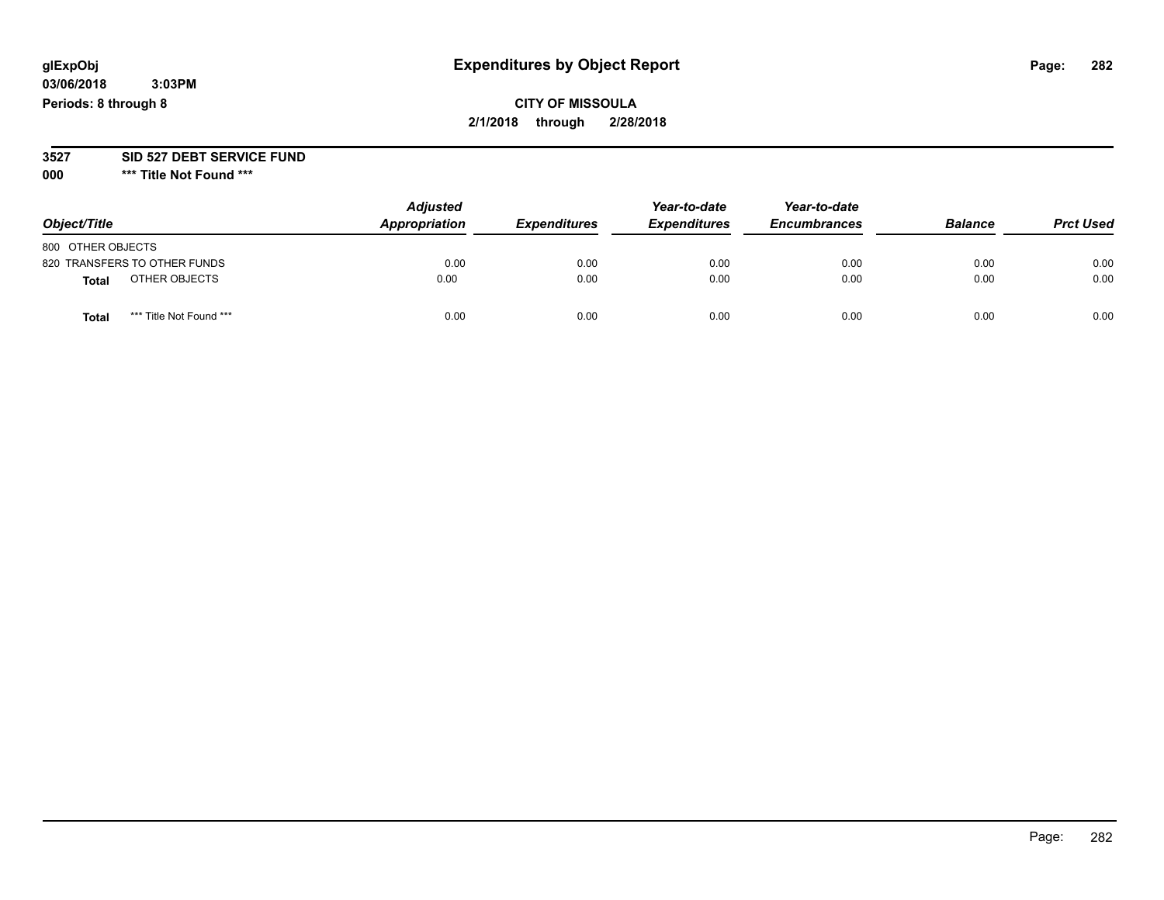#### **03/06/2018 3:03PM Periods: 8 through 8**

## **CITY OF MISSOULA 2/1/2018 through 2/28/2018**

#### **3527 SID 527 DEBT SERVICE FUND**

**000 \*\*\* Title Not Found \*\*\***

| Object/Title                     | <b>Adjusted</b><br>Appropriation | <b>Expenditures</b> | Year-to-date<br><b>Expenditures</b> | Year-to-date<br><b>Encumbrances</b> | <b>Balance</b> | <b>Prct Used</b> |
|----------------------------------|----------------------------------|---------------------|-------------------------------------|-------------------------------------|----------------|------------------|
| 800 OTHER OBJECTS                |                                  |                     |                                     |                                     |                |                  |
| 820 TRANSFERS TO OTHER FUNDS     | 0.00                             | 0.00                | 0.00                                | 0.00                                | 0.00           | 0.00             |
| OTHER OBJECTS<br><b>Total</b>    | 0.00                             | 0.00                | 0.00                                | 0.00                                | 0.00           | 0.00             |
| *** Title Not Found ***<br>Total | 0.00                             | 0.00                | 0.00                                | 0.00                                | 0.00           | 0.00             |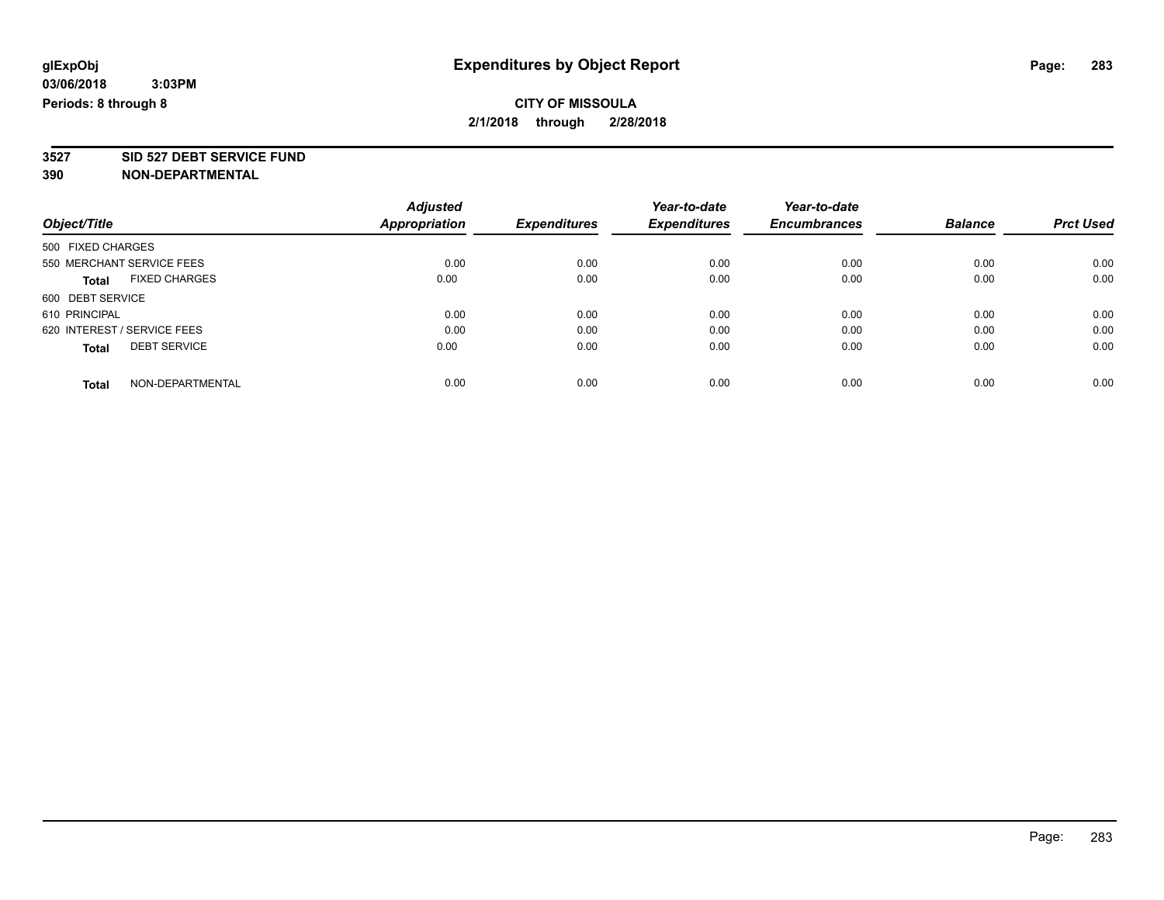**3527 SID 527 DEBT SERVICE FUND**

|                             |                           | <b>Adjusted</b> |                     | Year-to-date        | Year-to-date        |                |                  |
|-----------------------------|---------------------------|-----------------|---------------------|---------------------|---------------------|----------------|------------------|
| Object/Title                |                           | Appropriation   | <b>Expenditures</b> | <b>Expenditures</b> | <b>Encumbrances</b> | <b>Balance</b> | <b>Prct Used</b> |
| 500 FIXED CHARGES           |                           |                 |                     |                     |                     |                |                  |
|                             | 550 MERCHANT SERVICE FEES | 0.00            | 0.00                | 0.00                | 0.00                | 0.00           | 0.00             |
| <b>Total</b>                | <b>FIXED CHARGES</b>      | 0.00            | 0.00                | 0.00                | 0.00                | 0.00           | 0.00             |
| 600 DEBT SERVICE            |                           |                 |                     |                     |                     |                |                  |
| 610 PRINCIPAL               |                           | 0.00            | 0.00                | 0.00                | 0.00                | 0.00           | 0.00             |
| 620 INTEREST / SERVICE FEES |                           | 0.00            | 0.00                | 0.00                | 0.00                | 0.00           | 0.00             |
| <b>Total</b>                | <b>DEBT SERVICE</b>       | 0.00            | 0.00                | 0.00                | 0.00                | 0.00           | 0.00             |
| <b>Total</b>                | NON-DEPARTMENTAL          | 0.00            | 0.00                | 0.00                | 0.00                | 0.00           | 0.00             |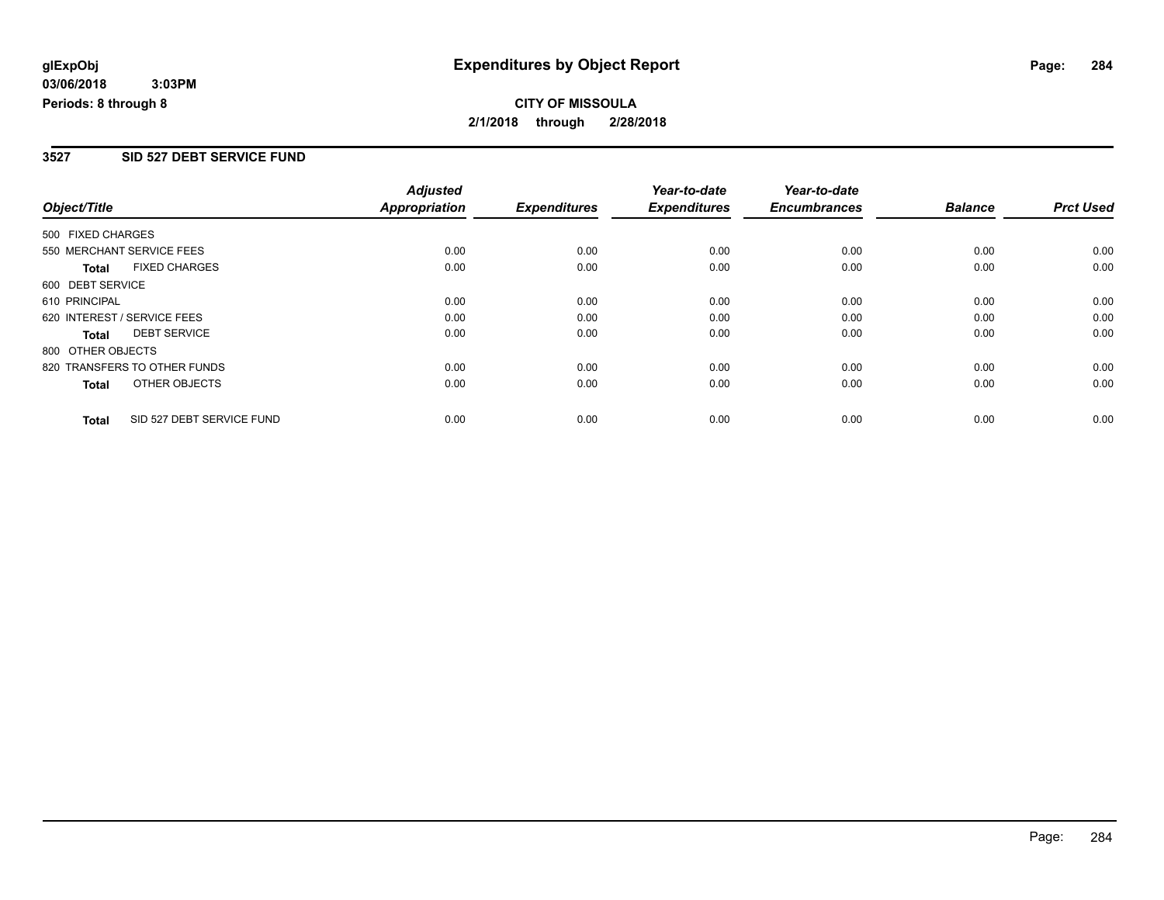#### **3527 SID 527 DEBT SERVICE FUND**

|                             |                              | <b>Adjusted</b>      |                     | Year-to-date        | Year-to-date        |                |                  |
|-----------------------------|------------------------------|----------------------|---------------------|---------------------|---------------------|----------------|------------------|
| Object/Title                |                              | <b>Appropriation</b> | <b>Expenditures</b> | <b>Expenditures</b> | <b>Encumbrances</b> | <b>Balance</b> | <b>Prct Used</b> |
| 500 FIXED CHARGES           |                              |                      |                     |                     |                     |                |                  |
|                             | 550 MERCHANT SERVICE FEES    | 0.00                 | 0.00                | 0.00                | 0.00                | 0.00           | 0.00             |
| <b>Total</b>                | <b>FIXED CHARGES</b>         | 0.00                 | 0.00                | 0.00                | 0.00                | 0.00           | 0.00             |
| 600 DEBT SERVICE            |                              |                      |                     |                     |                     |                |                  |
| 610 PRINCIPAL               |                              | 0.00                 | 0.00                | 0.00                | 0.00                | 0.00           | 0.00             |
| 620 INTEREST / SERVICE FEES |                              | 0.00                 | 0.00                | 0.00                | 0.00                | 0.00           | 0.00             |
| <b>Total</b>                | <b>DEBT SERVICE</b>          | 0.00                 | 0.00                | 0.00                | 0.00                | 0.00           | 0.00             |
| 800 OTHER OBJECTS           |                              |                      |                     |                     |                     |                |                  |
|                             | 820 TRANSFERS TO OTHER FUNDS | 0.00                 | 0.00                | 0.00                | 0.00                | 0.00           | 0.00             |
| Total                       | OTHER OBJECTS                | 0.00                 | 0.00                | 0.00                | 0.00                | 0.00           | 0.00             |
| <b>Total</b>                | SID 527 DEBT SERVICE FUND    | 0.00                 | 0.00                | 0.00                | 0.00                | 0.00           | 0.00             |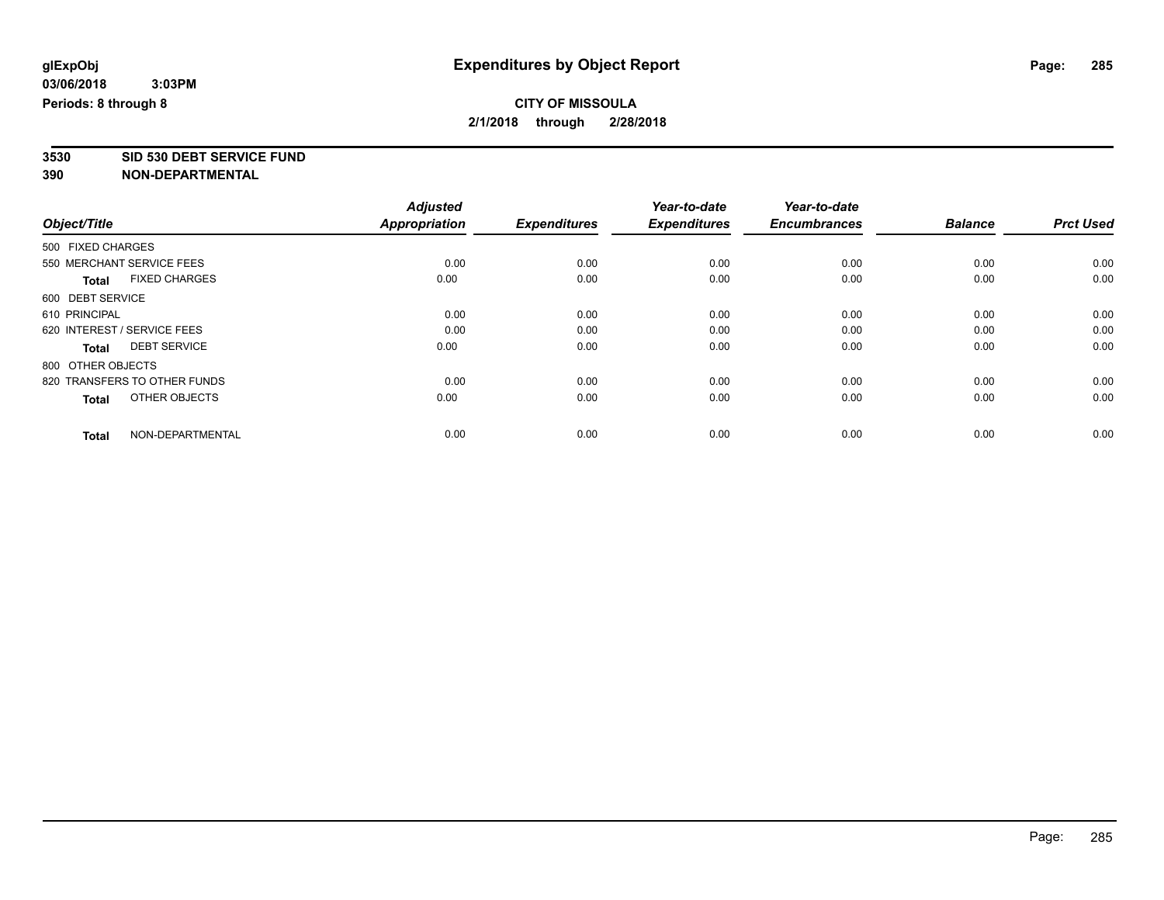# **3530 SID 530 DEBT SERVICE FUND**

|                                      | <b>Adjusted</b>      |                     | Year-to-date        | Year-to-date        |                |                  |
|--------------------------------------|----------------------|---------------------|---------------------|---------------------|----------------|------------------|
| Object/Title                         | <b>Appropriation</b> | <b>Expenditures</b> | <b>Expenditures</b> | <b>Encumbrances</b> | <b>Balance</b> | <b>Prct Used</b> |
| 500 FIXED CHARGES                    |                      |                     |                     |                     |                |                  |
| 550 MERCHANT SERVICE FEES            | 0.00                 | 0.00                | 0.00                | 0.00                | 0.00           | 0.00             |
| <b>FIXED CHARGES</b><br><b>Total</b> | 0.00                 | 0.00                | 0.00                | 0.00                | 0.00           | 0.00             |
| 600 DEBT SERVICE                     |                      |                     |                     |                     |                |                  |
| 610 PRINCIPAL                        | 0.00                 | 0.00                | 0.00                | 0.00                | 0.00           | 0.00             |
| 620 INTEREST / SERVICE FEES          | 0.00                 | 0.00                | 0.00                | 0.00                | 0.00           | 0.00             |
| <b>DEBT SERVICE</b><br><b>Total</b>  | 0.00                 | 0.00                | 0.00                | 0.00                | 0.00           | 0.00             |
| 800 OTHER OBJECTS                    |                      |                     |                     |                     |                |                  |
| 820 TRANSFERS TO OTHER FUNDS         | 0.00                 | 0.00                | 0.00                | 0.00                | 0.00           | 0.00             |
| OTHER OBJECTS<br><b>Total</b>        | 0.00                 | 0.00                | 0.00                | 0.00                | 0.00           | 0.00             |
|                                      |                      |                     |                     |                     |                |                  |
| NON-DEPARTMENTAL<br><b>Total</b>     | 0.00                 | 0.00                | 0.00                | 0.00                | 0.00           | 0.00             |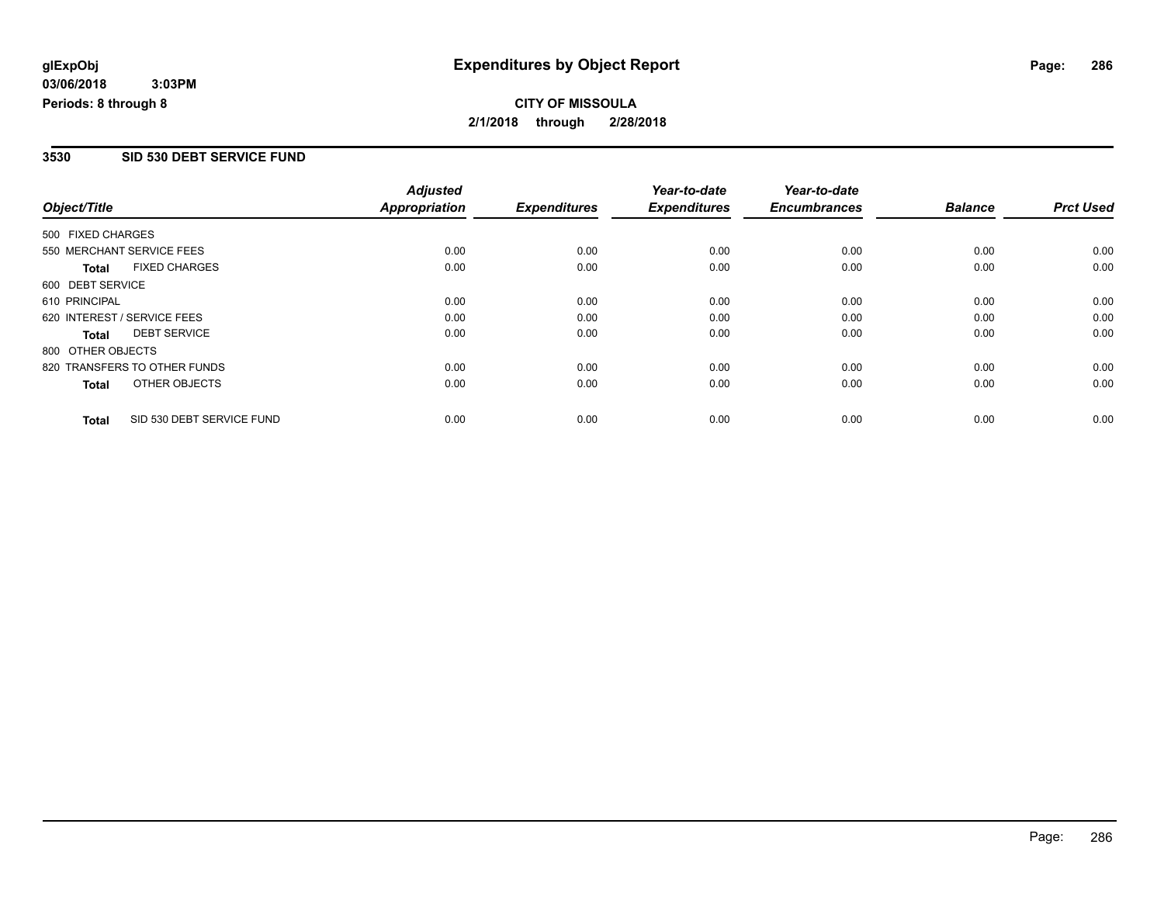#### **3530 SID 530 DEBT SERVICE FUND**

|                   |                              | <b>Adjusted</b>      |                     | Year-to-date        | Year-to-date        |                |                  |
|-------------------|------------------------------|----------------------|---------------------|---------------------|---------------------|----------------|------------------|
| Object/Title      |                              | <b>Appropriation</b> | <b>Expenditures</b> | <b>Expenditures</b> | <b>Encumbrances</b> | <b>Balance</b> | <b>Prct Used</b> |
| 500 FIXED CHARGES |                              |                      |                     |                     |                     |                |                  |
|                   | 550 MERCHANT SERVICE FEES    | 0.00                 | 0.00                | 0.00                | 0.00                | 0.00           | 0.00             |
| <b>Total</b>      | <b>FIXED CHARGES</b>         | 0.00                 | 0.00                | 0.00                | 0.00                | 0.00           | 0.00             |
| 600 DEBT SERVICE  |                              |                      |                     |                     |                     |                |                  |
| 610 PRINCIPAL     |                              | 0.00                 | 0.00                | 0.00                | 0.00                | 0.00           | 0.00             |
|                   | 620 INTEREST / SERVICE FEES  | 0.00                 | 0.00                | 0.00                | 0.00                | 0.00           | 0.00             |
| <b>Total</b>      | <b>DEBT SERVICE</b>          | 0.00                 | 0.00                | 0.00                | 0.00                | 0.00           | 0.00             |
| 800 OTHER OBJECTS |                              |                      |                     |                     |                     |                |                  |
|                   | 820 TRANSFERS TO OTHER FUNDS | 0.00                 | 0.00                | 0.00                | 0.00                | 0.00           | 0.00             |
| Total             | OTHER OBJECTS                | 0.00                 | 0.00                | 0.00                | 0.00                | 0.00           | 0.00             |
| <b>Total</b>      | SID 530 DEBT SERVICE FUND    | 0.00                 | 0.00                | 0.00                | 0.00                | 0.00           | 0.00             |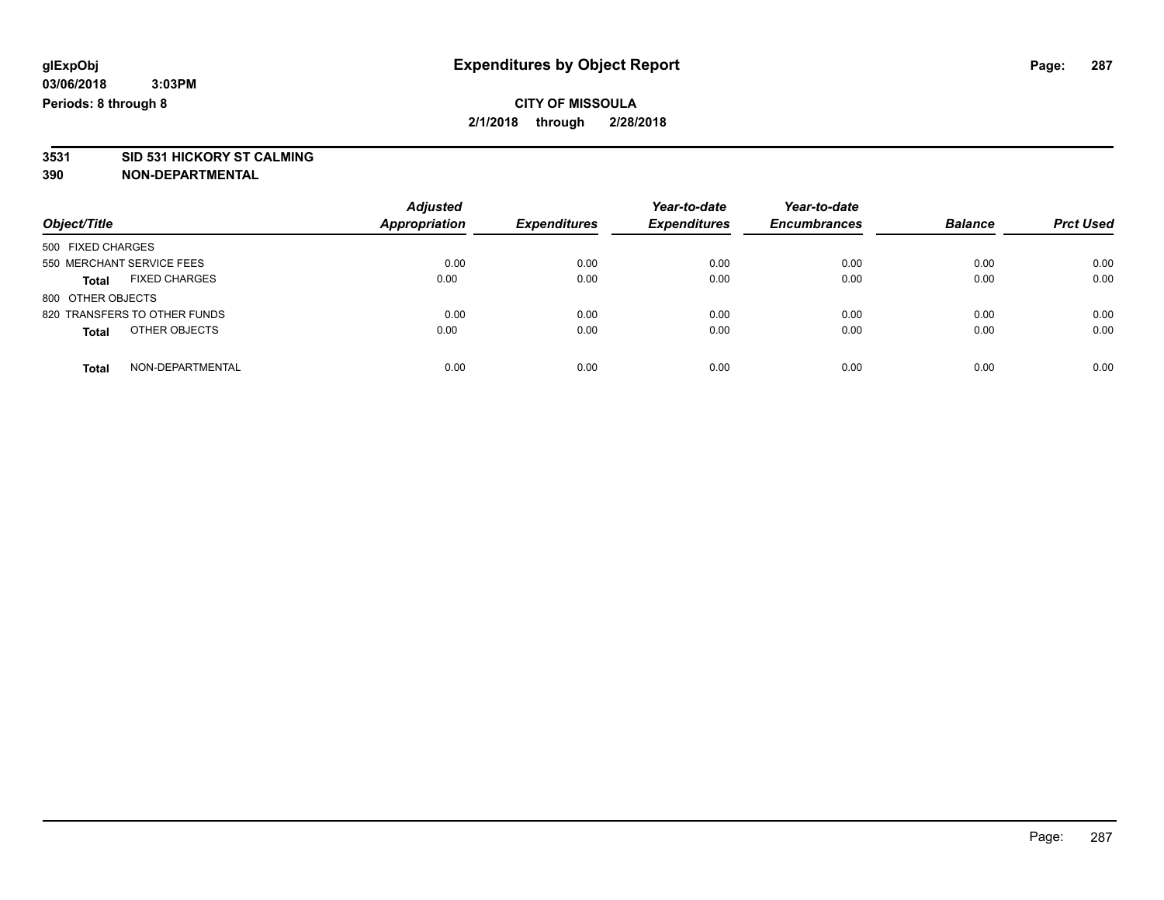# **3531 SID 531 HICKORY ST CALMING**

| Object/Title                         | <b>Adjusted</b><br><b>Appropriation</b> | <b>Expenditures</b> | Year-to-date<br><b>Expenditures</b> | Year-to-date<br><b>Encumbrances</b> | <b>Balance</b> | <b>Prct Used</b> |
|--------------------------------------|-----------------------------------------|---------------------|-------------------------------------|-------------------------------------|----------------|------------------|
| 500 FIXED CHARGES                    |                                         |                     |                                     |                                     |                |                  |
| 550 MERCHANT SERVICE FEES            | 0.00                                    | 0.00                | 0.00                                | 0.00                                | 0.00           | 0.00             |
| <b>FIXED CHARGES</b><br><b>Total</b> | 0.00                                    | 0.00                | 0.00                                | 0.00                                | 0.00           | 0.00             |
| 800 OTHER OBJECTS                    |                                         |                     |                                     |                                     |                |                  |
| 820 TRANSFERS TO OTHER FUNDS         | 0.00                                    | 0.00                | 0.00                                | 0.00                                | 0.00           | 0.00             |
| OTHER OBJECTS<br><b>Total</b>        | 0.00                                    | 0.00                | 0.00                                | 0.00                                | 0.00           | 0.00             |
| NON-DEPARTMENTAL<br>Total            | 0.00                                    | 0.00                | 0.00                                | 0.00                                | 0.00           | 0.00             |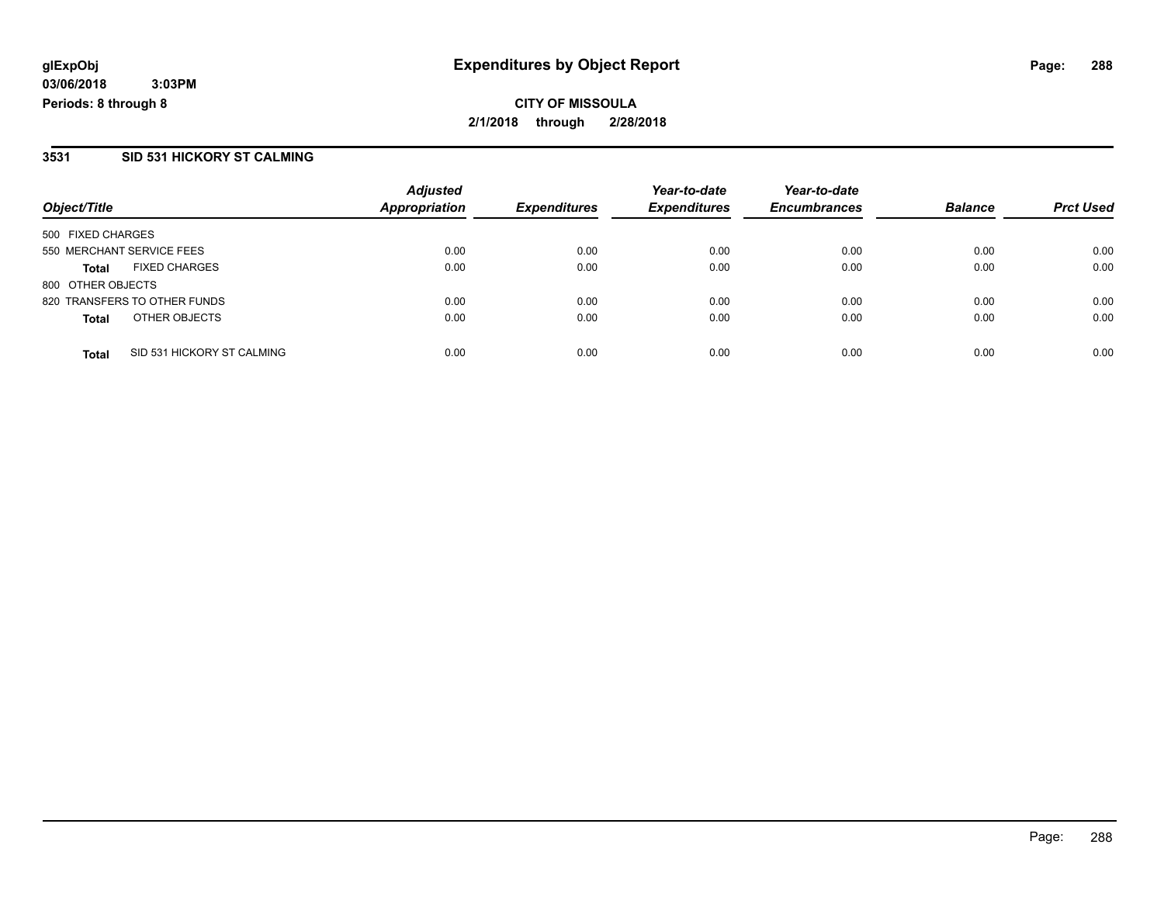**03/06/2018 3:03PM Periods: 8 through 8**

#### **3531 SID 531 HICKORY ST CALMING**

| Object/Title              |                              | <b>Adjusted</b><br><b>Appropriation</b> | <b>Expenditures</b> | Year-to-date<br><b>Expenditures</b> | Year-to-date        | <b>Balance</b> |                  |
|---------------------------|------------------------------|-----------------------------------------|---------------------|-------------------------------------|---------------------|----------------|------------------|
|                           |                              |                                         |                     |                                     | <b>Encumbrances</b> |                | <b>Prct Used</b> |
| 500 FIXED CHARGES         |                              |                                         |                     |                                     |                     |                |                  |
| 550 MERCHANT SERVICE FEES |                              | 0.00                                    | 0.00                | 0.00                                | 0.00                | 0.00           | 0.00             |
| <b>Total</b>              | <b>FIXED CHARGES</b>         | 0.00                                    | 0.00                | 0.00                                | 0.00                | 0.00           | 0.00             |
| 800 OTHER OBJECTS         |                              |                                         |                     |                                     |                     |                |                  |
|                           | 820 TRANSFERS TO OTHER FUNDS | 0.00                                    | 0.00                | 0.00                                | 0.00                | 0.00           | 0.00             |
| <b>Total</b>              | OTHER OBJECTS                | 0.00                                    | 0.00                | 0.00                                | 0.00                | 0.00           | 0.00             |
| <b>Total</b>              | SID 531 HICKORY ST CALMING   | 0.00                                    | 0.00                | 0.00                                | 0.00                | 0.00           | 0.00             |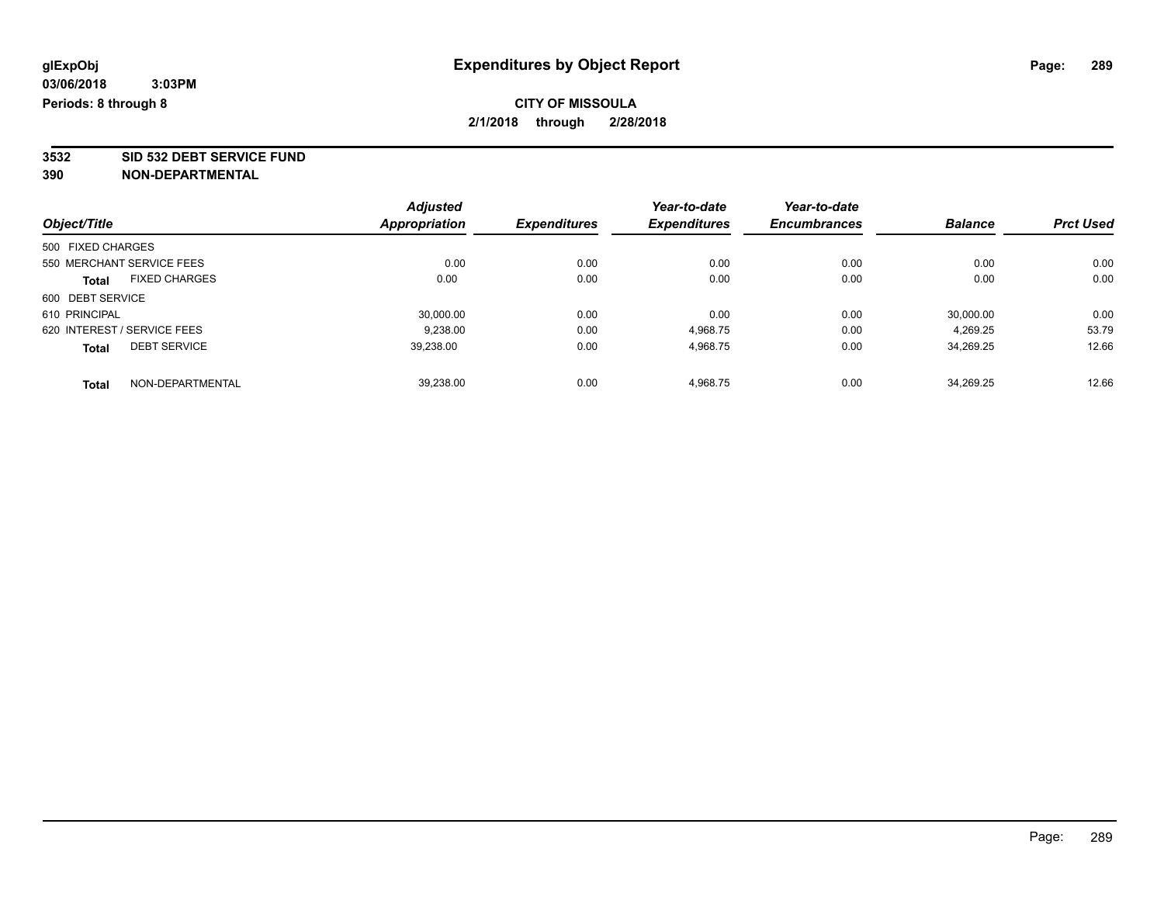**3532 SID 532 DEBT SERVICE FUND**

|                                     | <b>Adjusted</b> | <b>Expenditures</b> | Year-to-date<br><b>Expenditures</b> | Year-to-date        | <b>Balance</b> |                  |
|-------------------------------------|-----------------|---------------------|-------------------------------------|---------------------|----------------|------------------|
| Object/Title                        | Appropriation   |                     |                                     | <b>Encumbrances</b> |                | <b>Prct Used</b> |
| 500 FIXED CHARGES                   |                 |                     |                                     |                     |                |                  |
| 550 MERCHANT SERVICE FEES           | 0.00            | 0.00                | 0.00                                | 0.00                | 0.00           | 0.00             |
| <b>FIXED CHARGES</b><br>Total       | 0.00            | 0.00                | 0.00                                | 0.00                | 0.00           | 0.00             |
| 600 DEBT SERVICE                    |                 |                     |                                     |                     |                |                  |
| 610 PRINCIPAL                       | 30,000.00       | 0.00                | 0.00                                | 0.00                | 30,000.00      | 0.00             |
| 620 INTEREST / SERVICE FEES         | 9.238.00        | 0.00                | 4,968.75                            | 0.00                | 4.269.25       | 53.79            |
| <b>DEBT SERVICE</b><br><b>Total</b> | 39,238.00       | 0.00                | 4,968.75                            | 0.00                | 34,269.25      | 12.66            |
| NON-DEPARTMENTAL<br><b>Total</b>    | 39.238.00       | 0.00                | 4.968.75                            | 0.00                | 34.269.25      | 12.66            |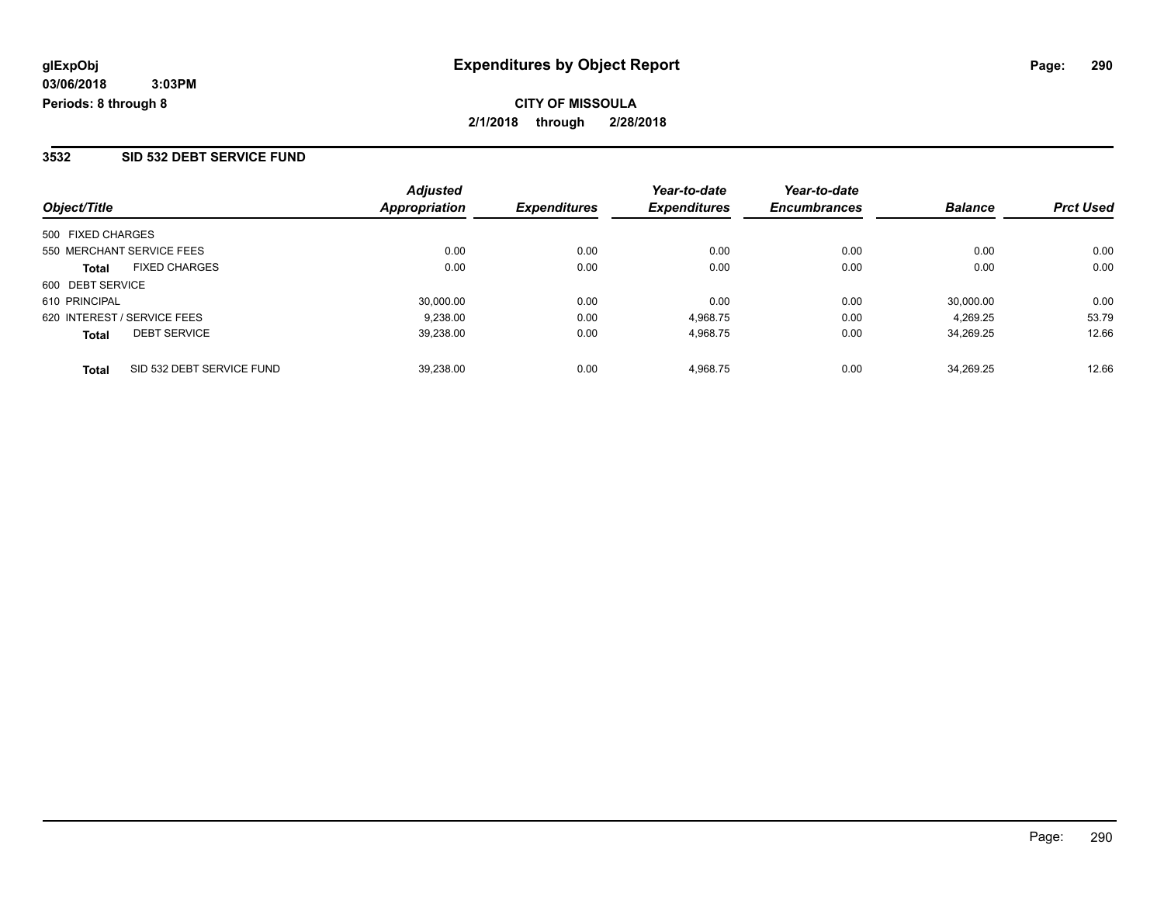#### **3532 SID 532 DEBT SERVICE FUND**

| Object/Title      |                             | <b>Adjusted</b><br>Appropriation | <b>Expenditures</b> | Year-to-date<br><b>Expenditures</b> | Year-to-date<br><b>Encumbrances</b> | <b>Balance</b> | <b>Prct Used</b> |
|-------------------|-----------------------------|----------------------------------|---------------------|-------------------------------------|-------------------------------------|----------------|------------------|
|                   |                             |                                  |                     |                                     |                                     |                |                  |
| 500 FIXED CHARGES |                             |                                  |                     |                                     |                                     |                |                  |
|                   | 550 MERCHANT SERVICE FEES   | 0.00                             | 0.00                | 0.00                                | 0.00                                | 0.00           | 0.00             |
| <b>Total</b>      | <b>FIXED CHARGES</b>        | 0.00                             | 0.00                | 0.00                                | 0.00                                | 0.00           | 0.00             |
| 600 DEBT SERVICE  |                             |                                  |                     |                                     |                                     |                |                  |
| 610 PRINCIPAL     |                             | 30.000.00                        | 0.00                | 0.00                                | 0.00                                | 30,000.00      | 0.00             |
|                   | 620 INTEREST / SERVICE FEES | 9.238.00                         | 0.00                | 4.968.75                            | 0.00                                | 4.269.25       | 53.79            |
| <b>Total</b>      | <b>DEBT SERVICE</b>         | 39,238.00                        | 0.00                | 4,968.75                            | 0.00                                | 34.269.25      | 12.66            |
| <b>Total</b>      | SID 532 DEBT SERVICE FUND   | 39.238.00                        | 0.00                | 4.968.75                            | 0.00                                | 34.269.25      | 12.66            |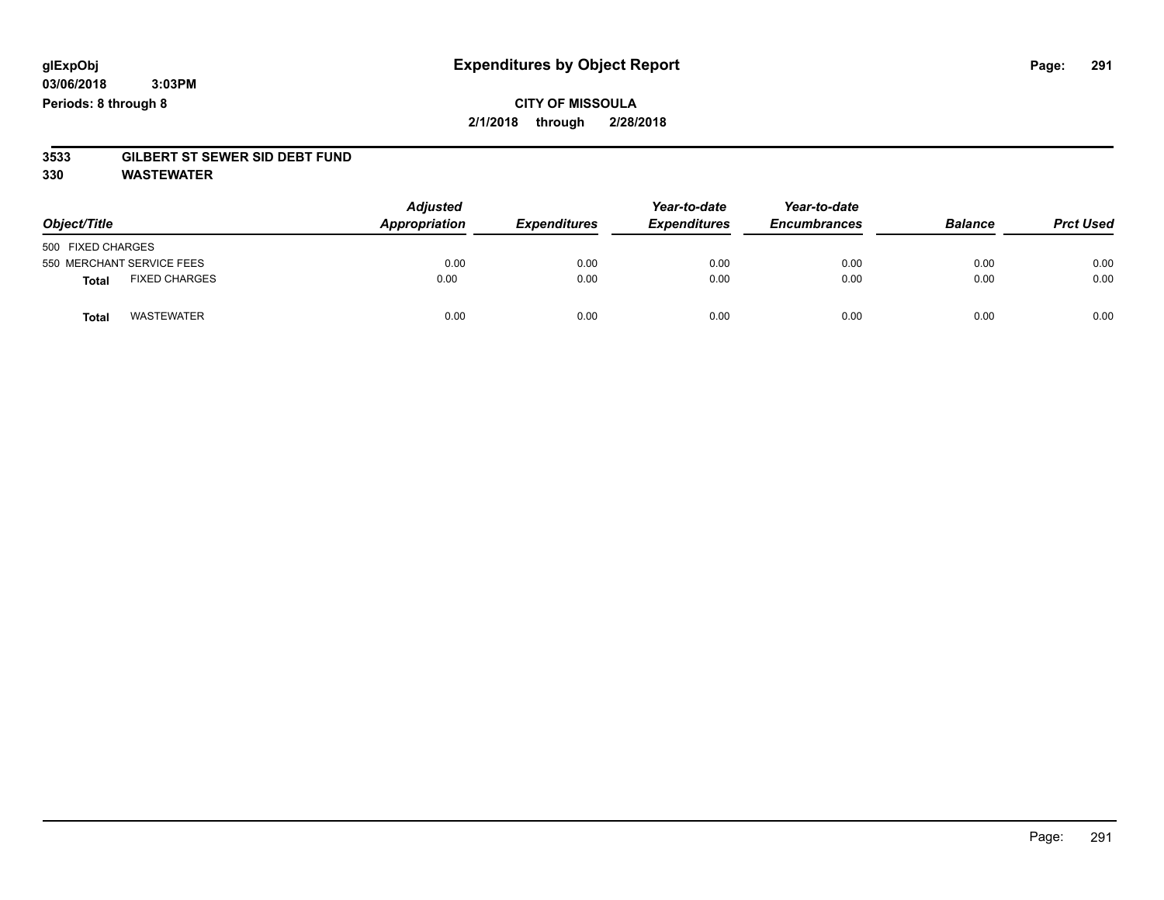### **CITY OF MISSOULA 2/1/2018 through 2/28/2018**

# **3533 GILBERT ST SEWER SID DEBT FUND**

**330 WASTEWATER**

| Object/Title                         | <b>Adjusted</b><br>Appropriation | <b>Expenditures</b> | Year-to-date<br><b>Expenditures</b> | Year-to-date<br><b>Encumbrances</b> | <b>Balance</b> | <b>Prct Used</b> |
|--------------------------------------|----------------------------------|---------------------|-------------------------------------|-------------------------------------|----------------|------------------|
| 500 FIXED CHARGES                    |                                  |                     |                                     |                                     |                |                  |
| 550 MERCHANT SERVICE FEES            | 0.00                             | 0.00                | 0.00                                | 0.00                                | 0.00           | 0.00             |
| <b>FIXED CHARGES</b><br><b>Total</b> | 0.00                             | 0.00                | 0.00                                | 0.00                                | 0.00           | 0.00             |
| <b>WASTEWATER</b><br>Total           | 0.00                             | 0.00                | 0.00                                | 0.00                                | 0.00           | 0.00             |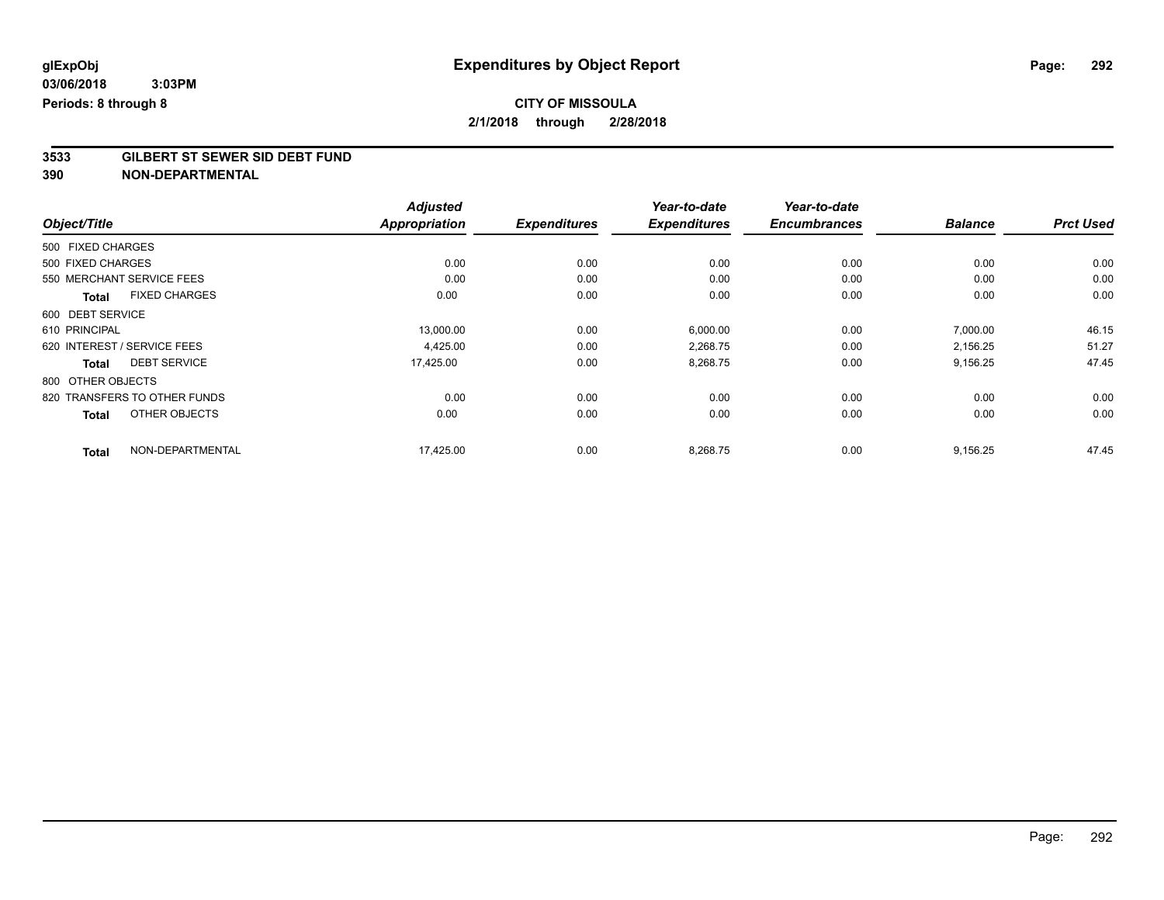# **3533 GILBERT ST SEWER SID DEBT FUND**

|                                      | <b>Adjusted</b>      |                     | Year-to-date        | Year-to-date        |                |                  |
|--------------------------------------|----------------------|---------------------|---------------------|---------------------|----------------|------------------|
| Object/Title                         | <b>Appropriation</b> | <b>Expenditures</b> | <b>Expenditures</b> | <b>Encumbrances</b> | <b>Balance</b> | <b>Prct Used</b> |
| 500 FIXED CHARGES                    |                      |                     |                     |                     |                |                  |
| 500 FIXED CHARGES                    | 0.00                 | 0.00                | 0.00                | 0.00                | 0.00           | 0.00             |
| 550 MERCHANT SERVICE FEES            | 0.00                 | 0.00                | 0.00                | 0.00                | 0.00           | 0.00             |
| <b>FIXED CHARGES</b><br><b>Total</b> | 0.00                 | 0.00                | 0.00                | 0.00                | 0.00           | 0.00             |
| 600 DEBT SERVICE                     |                      |                     |                     |                     |                |                  |
| 610 PRINCIPAL                        | 13,000.00            | 0.00                | 6,000.00            | 0.00                | 7,000.00       | 46.15            |
| 620 INTEREST / SERVICE FEES          | 4,425.00             | 0.00                | 2,268.75            | 0.00                | 2,156.25       | 51.27            |
| <b>DEBT SERVICE</b><br><b>Total</b>  | 17,425.00            | 0.00                | 8,268.75            | 0.00                | 9,156.25       | 47.45            |
| 800 OTHER OBJECTS                    |                      |                     |                     |                     |                |                  |
| 820 TRANSFERS TO OTHER FUNDS         | 0.00                 | 0.00                | 0.00                | 0.00                | 0.00           | 0.00             |
| OTHER OBJECTS<br><b>Total</b>        | 0.00                 | 0.00                | 0.00                | 0.00                | 0.00           | 0.00             |
| NON-DEPARTMENTAL<br><b>Total</b>     | 17,425.00            | 0.00                | 8,268.75            | 0.00                | 9,156.25       | 47.45            |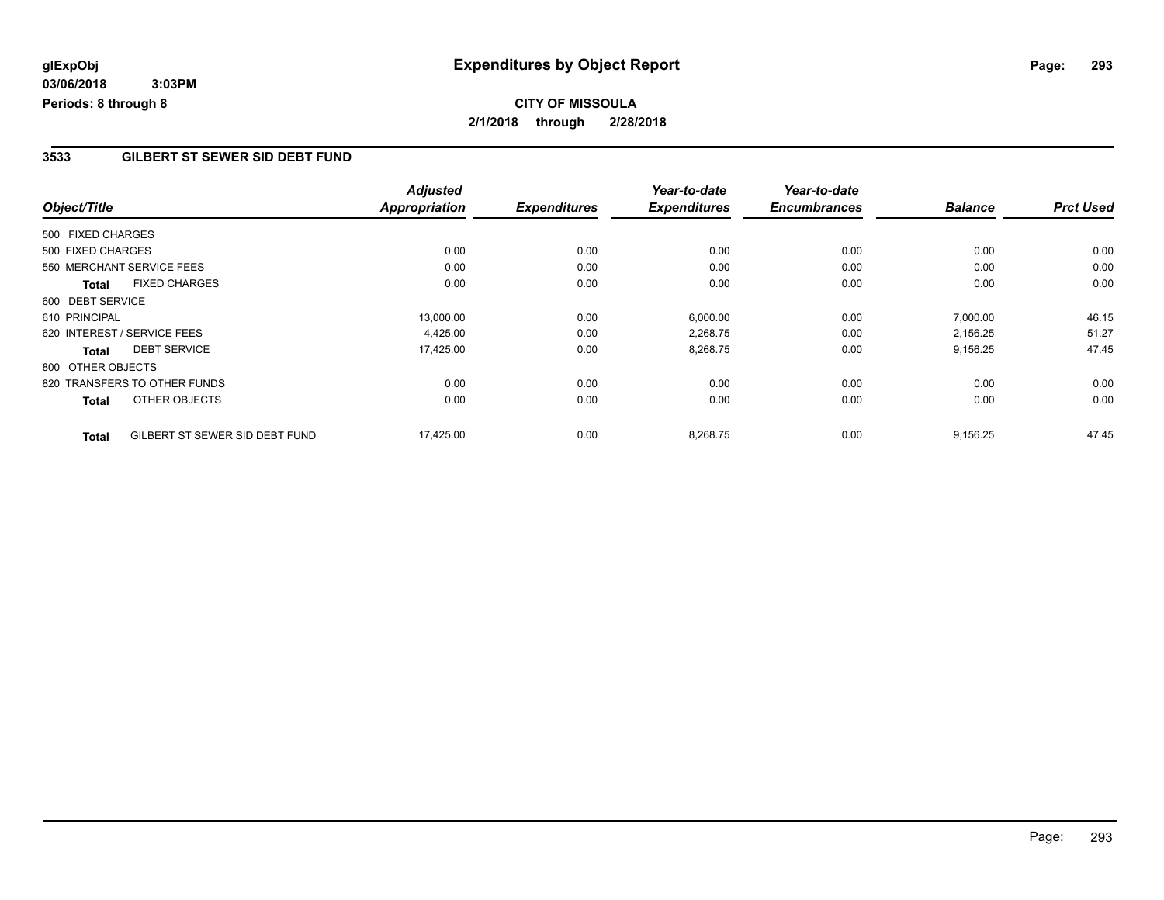# **CITY OF MISSOULA 2/1/2018 through 2/28/2018**

#### **3533 GILBERT ST SEWER SID DEBT FUND**

|                   |                                | <b>Adjusted</b>      |                     | Year-to-date        | Year-to-date        |                |                  |
|-------------------|--------------------------------|----------------------|---------------------|---------------------|---------------------|----------------|------------------|
| Object/Title      |                                | <b>Appropriation</b> | <b>Expenditures</b> | <b>Expenditures</b> | <b>Encumbrances</b> | <b>Balance</b> | <b>Prct Used</b> |
| 500 FIXED CHARGES |                                |                      |                     |                     |                     |                |                  |
| 500 FIXED CHARGES |                                | 0.00                 | 0.00                | 0.00                | 0.00                | 0.00           | 0.00             |
|                   | 550 MERCHANT SERVICE FEES      | 0.00                 | 0.00                | 0.00                | 0.00                | 0.00           | 0.00             |
| <b>Total</b>      | <b>FIXED CHARGES</b>           | 0.00                 | 0.00                | 0.00                | 0.00                | 0.00           | 0.00             |
| 600 DEBT SERVICE  |                                |                      |                     |                     |                     |                |                  |
| 610 PRINCIPAL     |                                | 13,000.00            | 0.00                | 6,000.00            | 0.00                | 7,000.00       | 46.15            |
|                   | 620 INTEREST / SERVICE FEES    | 4,425.00             | 0.00                | 2,268.75            | 0.00                | 2,156.25       | 51.27            |
| <b>Total</b>      | <b>DEBT SERVICE</b>            | 17,425.00            | 0.00                | 8,268.75            | 0.00                | 9,156.25       | 47.45            |
| 800 OTHER OBJECTS |                                |                      |                     |                     |                     |                |                  |
|                   | 820 TRANSFERS TO OTHER FUNDS   | 0.00                 | 0.00                | 0.00                | 0.00                | 0.00           | 0.00             |
| <b>Total</b>      | OTHER OBJECTS                  | 0.00                 | 0.00                | 0.00                | 0.00                | 0.00           | 0.00             |
| <b>Total</b>      | GILBERT ST SEWER SID DEBT FUND | 17,425.00            | 0.00                | 8,268.75            | 0.00                | 9,156.25       | 47.45            |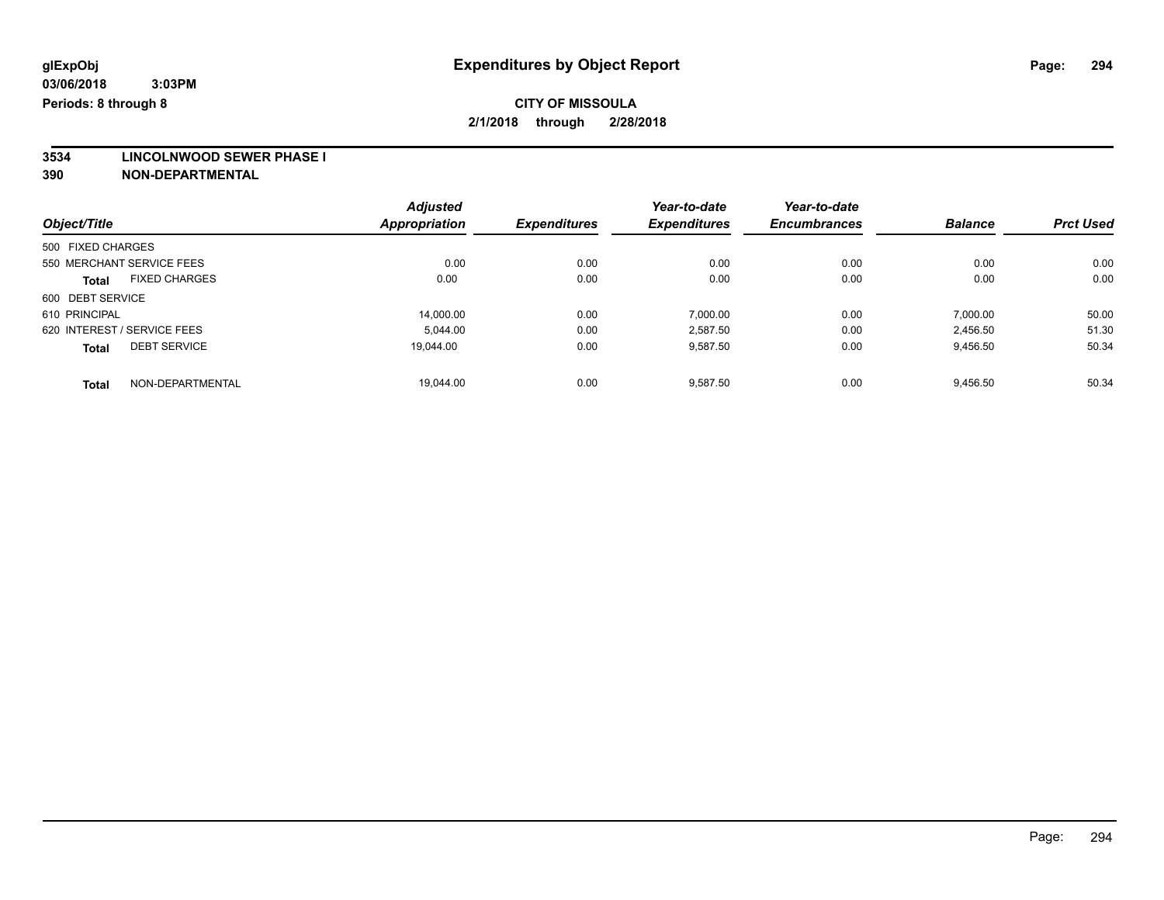**3534 LINCOLNWOOD SEWER PHASE I**

|                                      | <b>Adjusted</b>      |                     | Year-to-date        | Year-to-date        |                |                  |
|--------------------------------------|----------------------|---------------------|---------------------|---------------------|----------------|------------------|
| Object/Title                         | <b>Appropriation</b> | <b>Expenditures</b> | <b>Expenditures</b> | <b>Encumbrances</b> | <b>Balance</b> | <b>Prct Used</b> |
| 500 FIXED CHARGES                    |                      |                     |                     |                     |                |                  |
| 550 MERCHANT SERVICE FEES            | 0.00                 | 0.00                | 0.00                | 0.00                | 0.00           | 0.00             |
| <b>FIXED CHARGES</b><br><b>Total</b> | 0.00                 | 0.00                | 0.00                | 0.00                | 0.00           | 0.00             |
| 600 DEBT SERVICE                     |                      |                     |                     |                     |                |                  |
| 610 PRINCIPAL                        | 14.000.00            | 0.00                | 7.000.00            | 0.00                | 7.000.00       | 50.00            |
| 620 INTEREST / SERVICE FEES          | 5.044.00             | 0.00                | 2,587.50            | 0.00                | 2,456.50       | 51.30            |
| <b>DEBT SERVICE</b><br><b>Total</b>  | 19.044.00            | 0.00                | 9,587.50            | 0.00                | 9,456.50       | 50.34            |
| NON-DEPARTMENTAL<br><b>Total</b>     | 19.044.00            | 0.00                | 9.587.50            | 0.00                | 9.456.50       | 50.34            |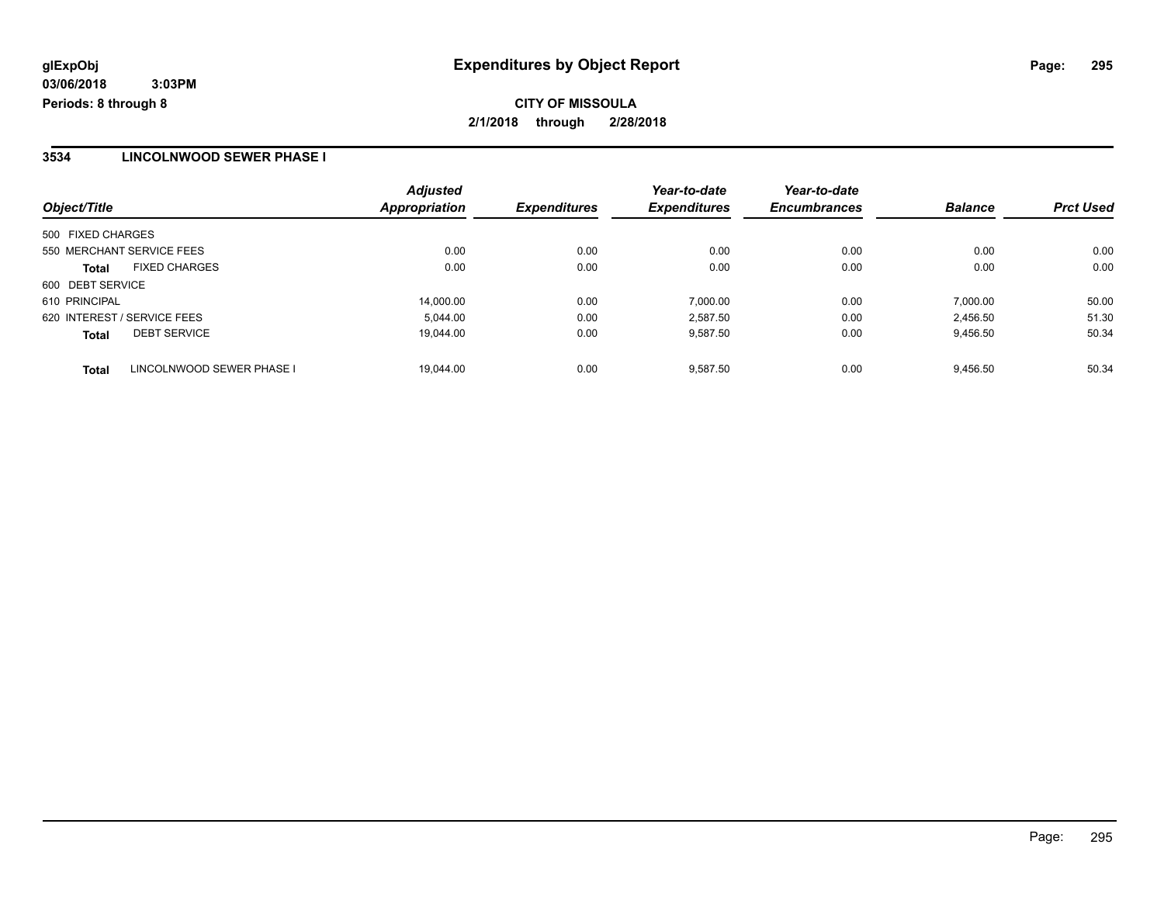#### **3534 LINCOLNWOOD SEWER PHASE I**

|                                           | <b>Adjusted</b>      |                     | Year-to-date        | Year-to-date        |                |                  |
|-------------------------------------------|----------------------|---------------------|---------------------|---------------------|----------------|------------------|
| Object/Title                              | <b>Appropriation</b> | <b>Expenditures</b> | <b>Expenditures</b> | <b>Encumbrances</b> | <b>Balance</b> | <b>Prct Used</b> |
| 500 FIXED CHARGES                         |                      |                     |                     |                     |                |                  |
| 550 MERCHANT SERVICE FEES                 | 0.00                 | 0.00                | 0.00                | 0.00                | 0.00           | 0.00             |
| <b>FIXED CHARGES</b><br><b>Total</b>      | 0.00                 | 0.00                | 0.00                | 0.00                | 0.00           | 0.00             |
| 600 DEBT SERVICE                          |                      |                     |                     |                     |                |                  |
| 610 PRINCIPAL                             | 14,000.00            | 0.00                | 7.000.00            | 0.00                | 7,000.00       | 50.00            |
| 620 INTEREST / SERVICE FEES               | 5.044.00             | 0.00                | 2.587.50            | 0.00                | 2.456.50       | 51.30            |
| <b>DEBT SERVICE</b><br><b>Total</b>       | 19.044.00            | 0.00                | 9.587.50            | 0.00                | 9,456.50       | 50.34            |
| LINCOLNWOOD SEWER PHASE I<br><b>Total</b> | 19.044.00            | 0.00                | 9.587.50            | 0.00                | 9.456.50       | 50.34            |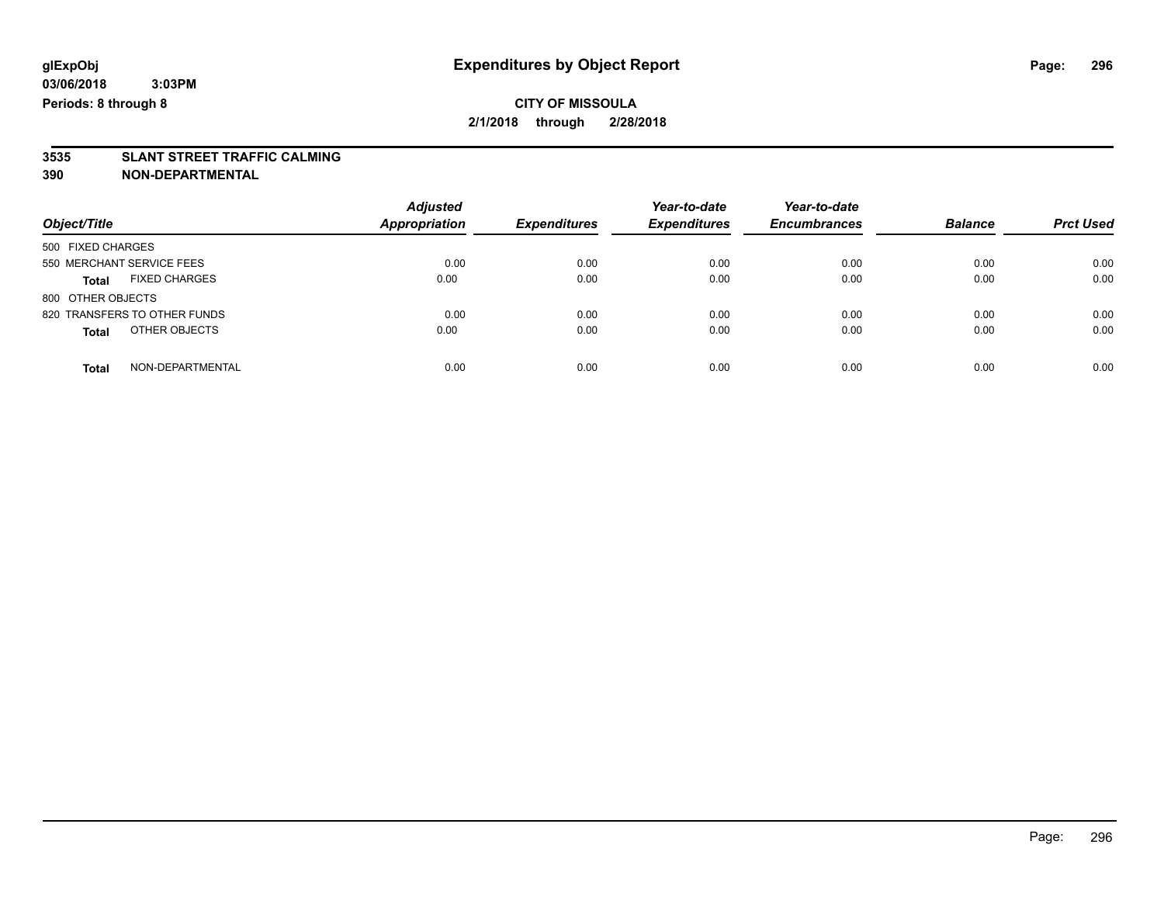# **3535 SLANT STREET TRAFFIC CALMING**

| Object/Title                         | <b>Adjusted</b><br><b>Appropriation</b> | <b>Expenditures</b> | Year-to-date<br><b>Expenditures</b> | Year-to-date<br><b>Encumbrances</b> | <b>Balance</b> | <b>Prct Used</b> |
|--------------------------------------|-----------------------------------------|---------------------|-------------------------------------|-------------------------------------|----------------|------------------|
| 500 FIXED CHARGES                    |                                         |                     |                                     |                                     |                |                  |
| 550 MERCHANT SERVICE FEES            | 0.00                                    | 0.00                | 0.00                                | 0.00                                | 0.00           | 0.00             |
| <b>FIXED CHARGES</b><br><b>Total</b> | 0.00                                    | 0.00                | 0.00                                | 0.00                                | 0.00           | 0.00             |
| 800 OTHER OBJECTS                    |                                         |                     |                                     |                                     |                |                  |
| 820 TRANSFERS TO OTHER FUNDS         | 0.00                                    | 0.00                | 0.00                                | 0.00                                | 0.00           | 0.00             |
| OTHER OBJECTS<br><b>Total</b>        | 0.00                                    | 0.00                | 0.00                                | 0.00                                | 0.00           | 0.00             |
| NON-DEPARTMENTAL<br>Total            | 0.00                                    | 0.00                | 0.00                                | 0.00                                | 0.00           | 0.00             |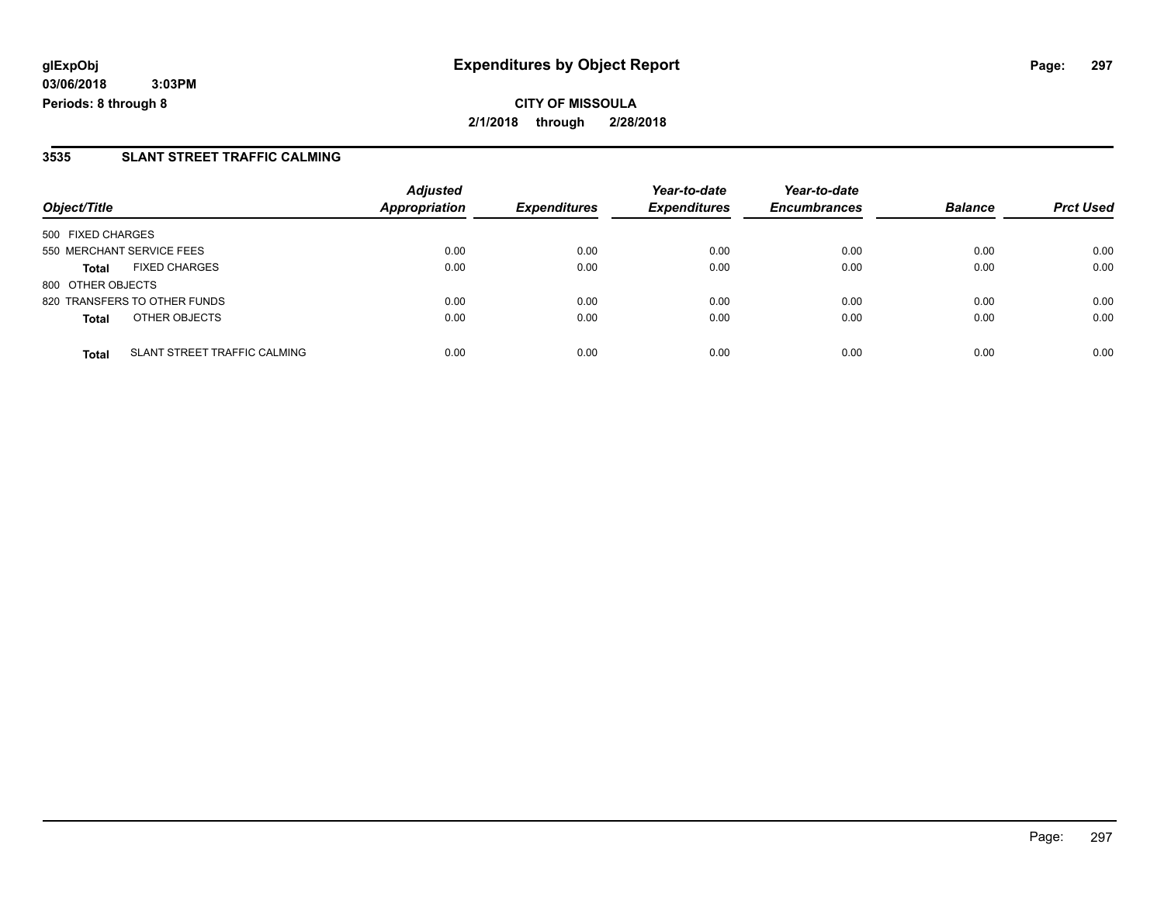**CITY OF MISSOULA 2/1/2018 through 2/28/2018**

#### **3535 SLANT STREET TRAFFIC CALMING**

|                              |                                     | <b>Adjusted</b>      |                     | Year-to-date        | Year-to-date        |                |                  |
|------------------------------|-------------------------------------|----------------------|---------------------|---------------------|---------------------|----------------|------------------|
| Object/Title                 |                                     | <b>Appropriation</b> | <b>Expenditures</b> | <b>Expenditures</b> | <b>Encumbrances</b> | <b>Balance</b> | <b>Prct Used</b> |
| 500 FIXED CHARGES            |                                     |                      |                     |                     |                     |                |                  |
| 550 MERCHANT SERVICE FEES    |                                     | 0.00                 | 0.00                | 0.00                | 0.00                | 0.00           | 0.00             |
| <b>Total</b>                 | <b>FIXED CHARGES</b>                | 0.00                 | 0.00                | 0.00                | 0.00                | 0.00           | 0.00             |
| 800 OTHER OBJECTS            |                                     |                      |                     |                     |                     |                |                  |
| 820 TRANSFERS TO OTHER FUNDS |                                     | 0.00                 | 0.00                | 0.00                | 0.00                | 0.00           | 0.00             |
| <b>Total</b>                 | OTHER OBJECTS                       | 0.00                 | 0.00                | 0.00                | 0.00                | 0.00           | 0.00             |
| <b>Total</b>                 | <b>SLANT STREET TRAFFIC CALMING</b> | 0.00                 | 0.00                | 0.00                | 0.00                | 0.00           | 0.00             |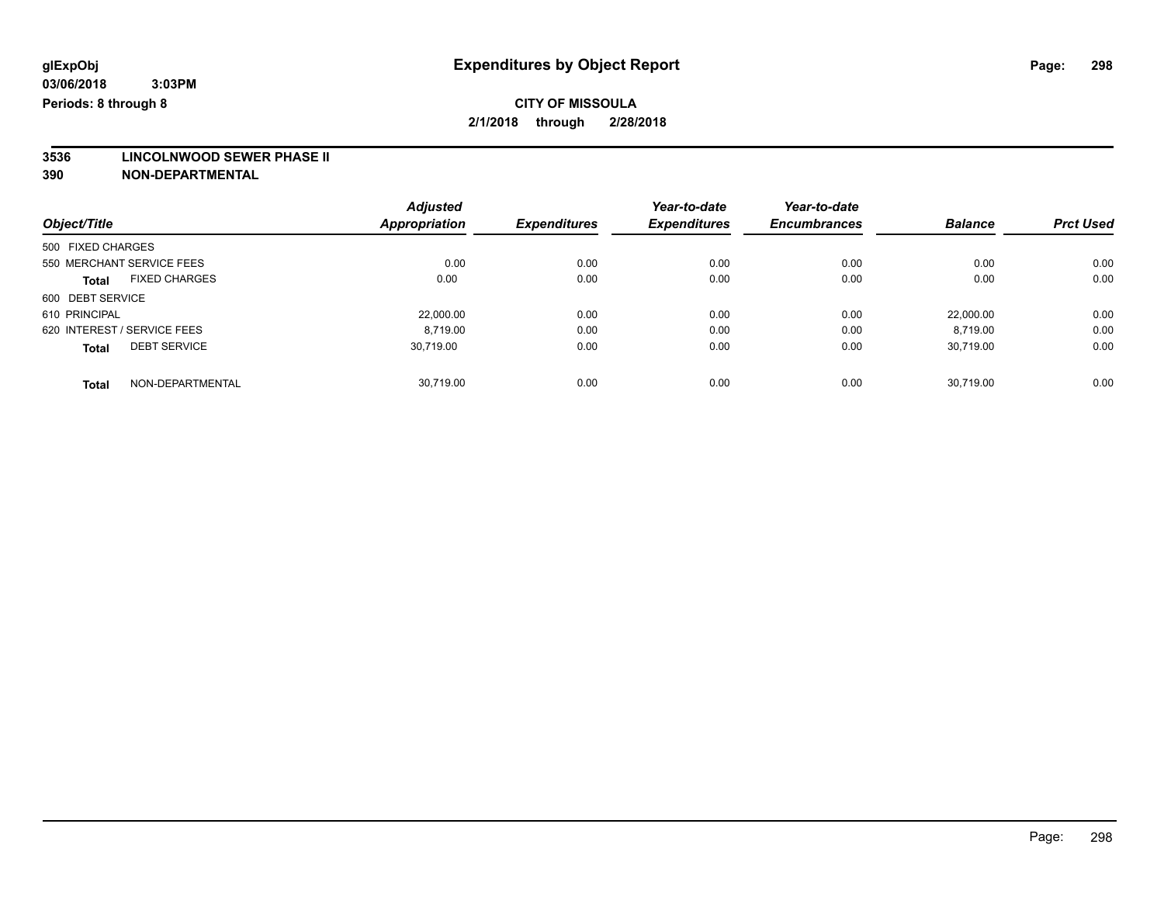**3536 LINCOLNWOOD SEWER PHASE II**

|                                      | <b>Adjusted</b>      |                     | Year-to-date        | Year-to-date        |                |                  |
|--------------------------------------|----------------------|---------------------|---------------------|---------------------|----------------|------------------|
| Object/Title                         | <b>Appropriation</b> | <b>Expenditures</b> | <b>Expenditures</b> | <b>Encumbrances</b> | <b>Balance</b> | <b>Prct Used</b> |
| 500 FIXED CHARGES                    |                      |                     |                     |                     |                |                  |
| 550 MERCHANT SERVICE FEES            | 0.00                 | 0.00                | 0.00                | 0.00                | 0.00           | 0.00             |
| <b>FIXED CHARGES</b><br><b>Total</b> | 0.00                 | 0.00                | 0.00                | 0.00                | 0.00           | 0.00             |
| 600 DEBT SERVICE                     |                      |                     |                     |                     |                |                  |
| 610 PRINCIPAL                        | 22.000.00            | 0.00                | 0.00                | 0.00                | 22.000.00      | 0.00             |
| 620 INTEREST / SERVICE FEES          | 8.719.00             | 0.00                | 0.00                | 0.00                | 8,719.00       | 0.00             |
| <b>DEBT SERVICE</b><br><b>Total</b>  | 30.719.00            | 0.00                | 0.00                | 0.00                | 30,719.00      | 0.00             |
| NON-DEPARTMENTAL<br><b>Total</b>     | 30.719.00            | 0.00                | 0.00                | 0.00                | 30.719.00      | 0.00             |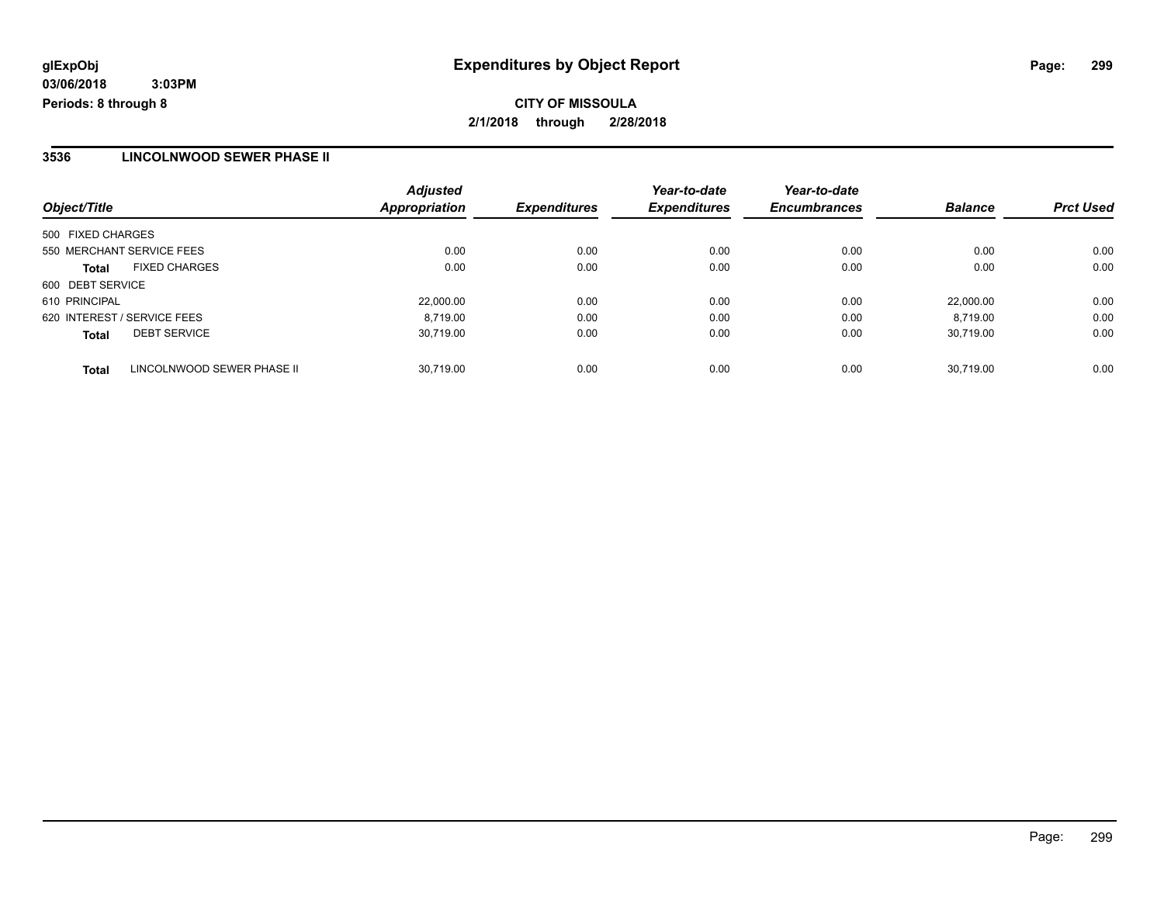#### **3536 LINCOLNWOOD SEWER PHASE II**

| Object/Title                               | <b>Adjusted</b><br><b>Appropriation</b> | <b>Expenditures</b> | Year-to-date<br><b>Expenditures</b> | Year-to-date<br><b>Encumbrances</b> | <b>Balance</b> | <b>Prct Used</b> |
|--------------------------------------------|-----------------------------------------|---------------------|-------------------------------------|-------------------------------------|----------------|------------------|
| 500 FIXED CHARGES                          |                                         |                     |                                     |                                     |                |                  |
| 550 MERCHANT SERVICE FEES                  | 0.00                                    | 0.00                | 0.00                                | 0.00                                | 0.00           | 0.00             |
| <b>FIXED CHARGES</b><br><b>Total</b>       | 0.00                                    | 0.00                | 0.00                                | 0.00                                | 0.00           | 0.00             |
| 600 DEBT SERVICE                           |                                         |                     |                                     |                                     |                |                  |
| 610 PRINCIPAL                              | 22,000.00                               | 0.00                | 0.00                                | 0.00                                | 22.000.00      | 0.00             |
| 620 INTEREST / SERVICE FEES                | 8.719.00                                | 0.00                | 0.00                                | 0.00                                | 8.719.00       | 0.00             |
| <b>DEBT SERVICE</b><br><b>Total</b>        | 30.719.00                               | 0.00                | 0.00                                | 0.00                                | 30.719.00      | 0.00             |
| LINCOLNWOOD SEWER PHASE II<br><b>Total</b> | 30.719.00                               | 0.00                | 0.00                                | 0.00                                | 30.719.00      | 0.00             |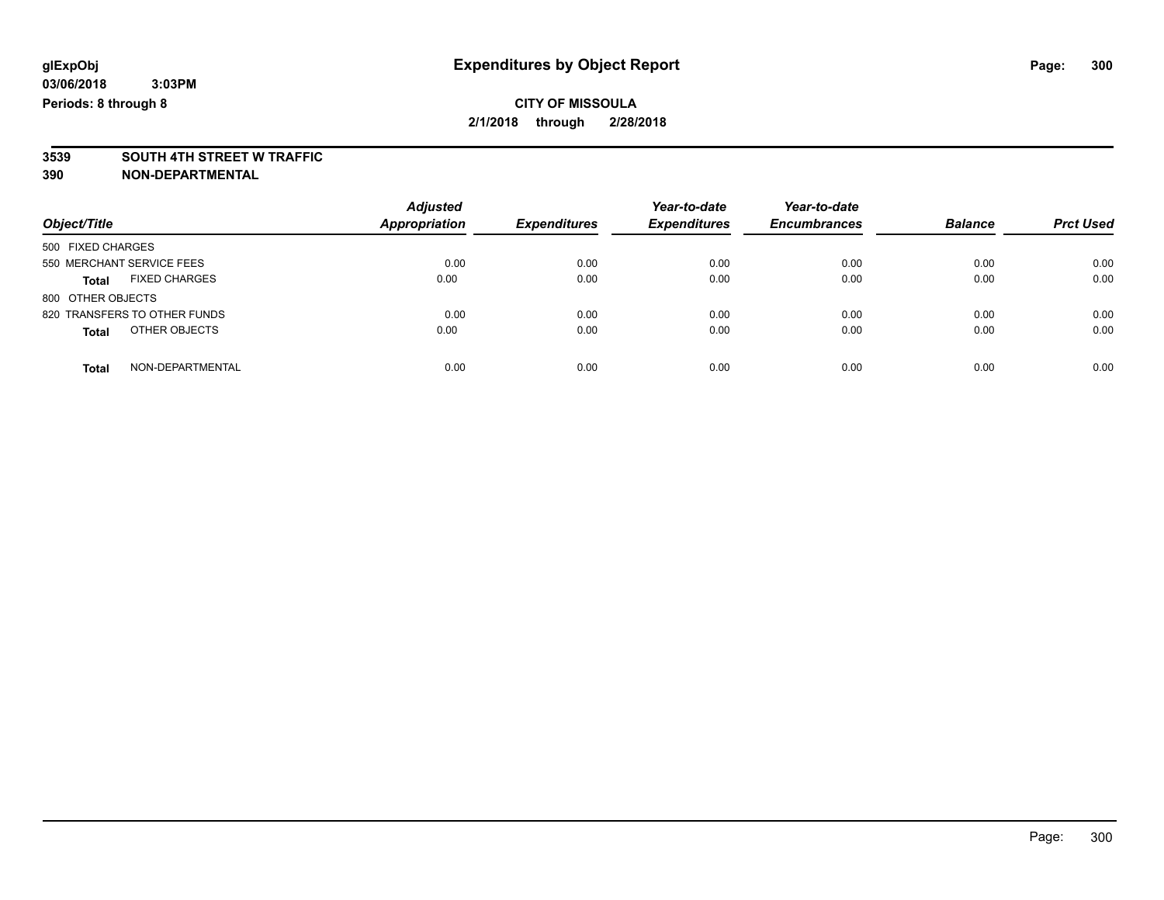# **3539 SOUTH 4TH STREET W TRAFFIC**

|                                      | <b>Adjusted</b>      |                     | Year-to-date        | Year-to-date        |                |                  |
|--------------------------------------|----------------------|---------------------|---------------------|---------------------|----------------|------------------|
| Object/Title                         | <b>Appropriation</b> | <b>Expenditures</b> | <b>Expenditures</b> | <b>Encumbrances</b> | <b>Balance</b> | <b>Prct Used</b> |
| 500 FIXED CHARGES                    |                      |                     |                     |                     |                |                  |
| 550 MERCHANT SERVICE FEES            | 0.00                 | 0.00                | 0.00                | 0.00                | 0.00           | 0.00             |
| <b>FIXED CHARGES</b><br><b>Total</b> | 0.00                 | 0.00                | 0.00                | 0.00                | 0.00           | 0.00             |
| 800 OTHER OBJECTS                    |                      |                     |                     |                     |                |                  |
| 820 TRANSFERS TO OTHER FUNDS         | 0.00                 | 0.00                | 0.00                | 0.00                | 0.00           | 0.00             |
| OTHER OBJECTS<br><b>Total</b>        | 0.00                 | 0.00                | 0.00                | 0.00                | 0.00           | 0.00             |
| NON-DEPARTMENTAL<br>Total            | 0.00                 | 0.00                | 0.00                | 0.00                | 0.00           | 0.00             |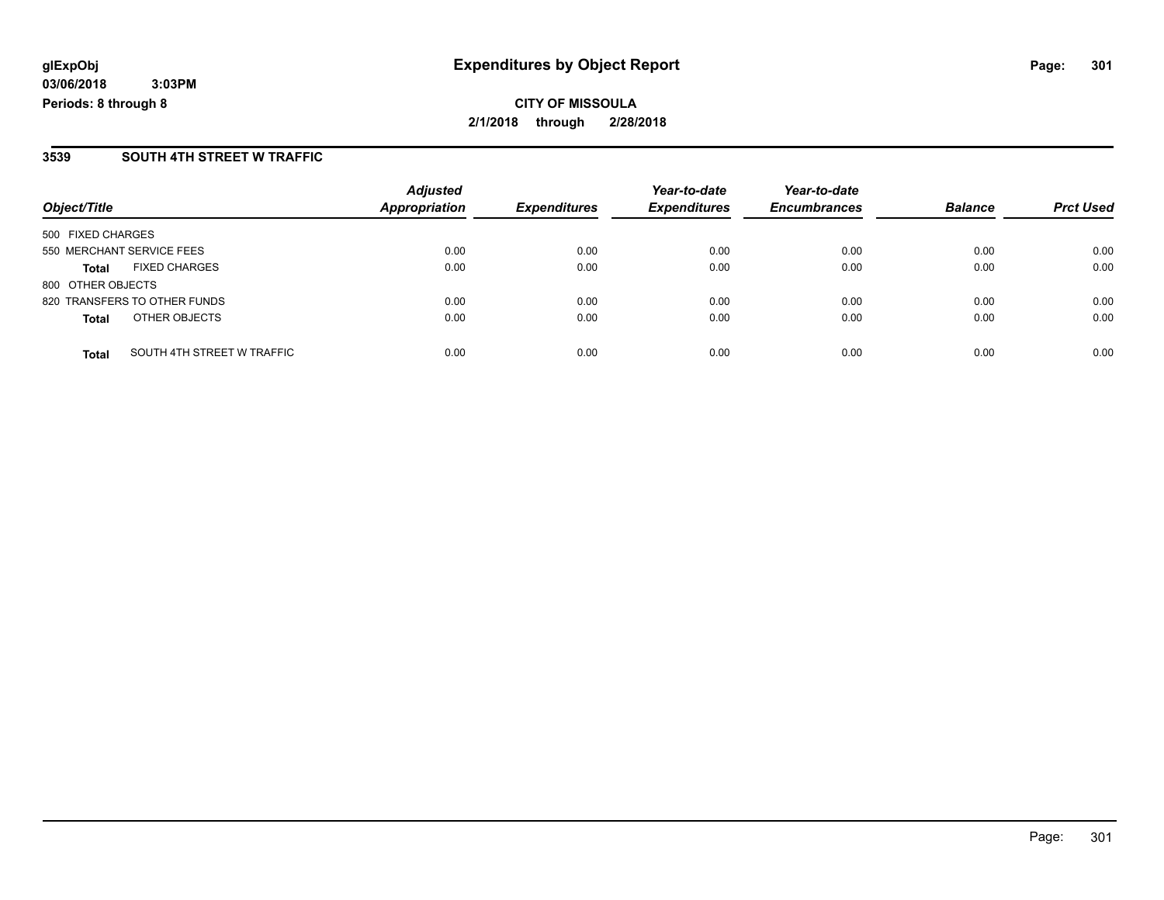#### **3539 SOUTH 4TH STREET W TRAFFIC**

| Object/Title                               | <b>Adjusted</b><br><b>Appropriation</b> | <b>Expenditures</b> | Year-to-date<br><b>Expenditures</b> | Year-to-date<br><b>Encumbrances</b> | <b>Balance</b> | <b>Prct Used</b> |
|--------------------------------------------|-----------------------------------------|---------------------|-------------------------------------|-------------------------------------|----------------|------------------|
|                                            |                                         |                     |                                     |                                     |                |                  |
| 500 FIXED CHARGES                          |                                         |                     |                                     |                                     |                |                  |
| 550 MERCHANT SERVICE FEES                  | 0.00                                    | 0.00                | 0.00                                | 0.00                                | 0.00           | 0.00             |
| <b>FIXED CHARGES</b><br><b>Total</b>       | 0.00                                    | 0.00                | 0.00                                | 0.00                                | 0.00           | 0.00             |
| 800 OTHER OBJECTS                          |                                         |                     |                                     |                                     |                |                  |
| 820 TRANSFERS TO OTHER FUNDS               | 0.00                                    | 0.00                | 0.00                                | 0.00                                | 0.00           | 0.00             |
| OTHER OBJECTS<br><b>Total</b>              | 0.00                                    | 0.00                | 0.00                                | 0.00                                | 0.00           | 0.00             |
|                                            |                                         |                     |                                     |                                     |                |                  |
| SOUTH 4TH STREET W TRAFFIC<br><b>Total</b> | 0.00                                    | 0.00                | 0.00                                | 0.00                                | 0.00           | 0.00             |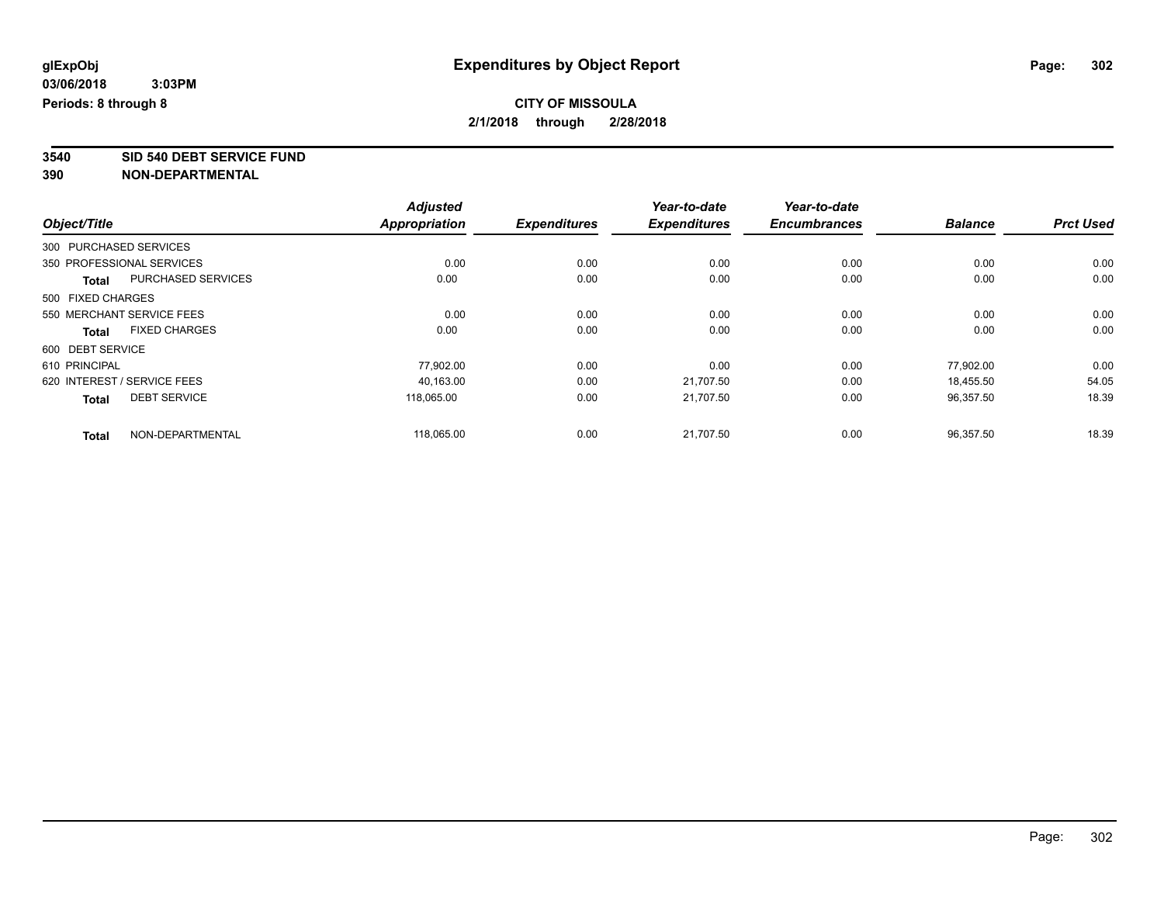**3540 SID 540 DEBT SERVICE FUND**

|                   |                             | <b>Adjusted</b>      |                     | Year-to-date        | Year-to-date        |                |                  |
|-------------------|-----------------------------|----------------------|---------------------|---------------------|---------------------|----------------|------------------|
| Object/Title      |                             | <b>Appropriation</b> | <b>Expenditures</b> | <b>Expenditures</b> | <b>Encumbrances</b> | <b>Balance</b> | <b>Prct Used</b> |
|                   | 300 PURCHASED SERVICES      |                      |                     |                     |                     |                |                  |
|                   | 350 PROFESSIONAL SERVICES   | 0.00                 | 0.00                | 0.00                | 0.00                | 0.00           | 0.00             |
| <b>Total</b>      | PURCHASED SERVICES          | 0.00                 | 0.00                | 0.00                | 0.00                | 0.00           | 0.00             |
| 500 FIXED CHARGES |                             |                      |                     |                     |                     |                |                  |
|                   | 550 MERCHANT SERVICE FEES   | 0.00                 | 0.00                | 0.00                | 0.00                | 0.00           | 0.00             |
| <b>Total</b>      | <b>FIXED CHARGES</b>        | 0.00                 | 0.00                | 0.00                | 0.00                | 0.00           | 0.00             |
| 600 DEBT SERVICE  |                             |                      |                     |                     |                     |                |                  |
| 610 PRINCIPAL     |                             | 77.902.00            | 0.00                | 0.00                | 0.00                | 77.902.00      | 0.00             |
|                   | 620 INTEREST / SERVICE FEES | 40,163.00            | 0.00                | 21,707.50           | 0.00                | 18,455.50      | 54.05            |
| <b>Total</b>      | <b>DEBT SERVICE</b>         | 118.065.00           | 0.00                | 21.707.50           | 0.00                | 96,357.50      | 18.39            |
| <b>Total</b>      | NON-DEPARTMENTAL            | 118,065.00           | 0.00                | 21,707.50           | 0.00                | 96,357.50      | 18.39            |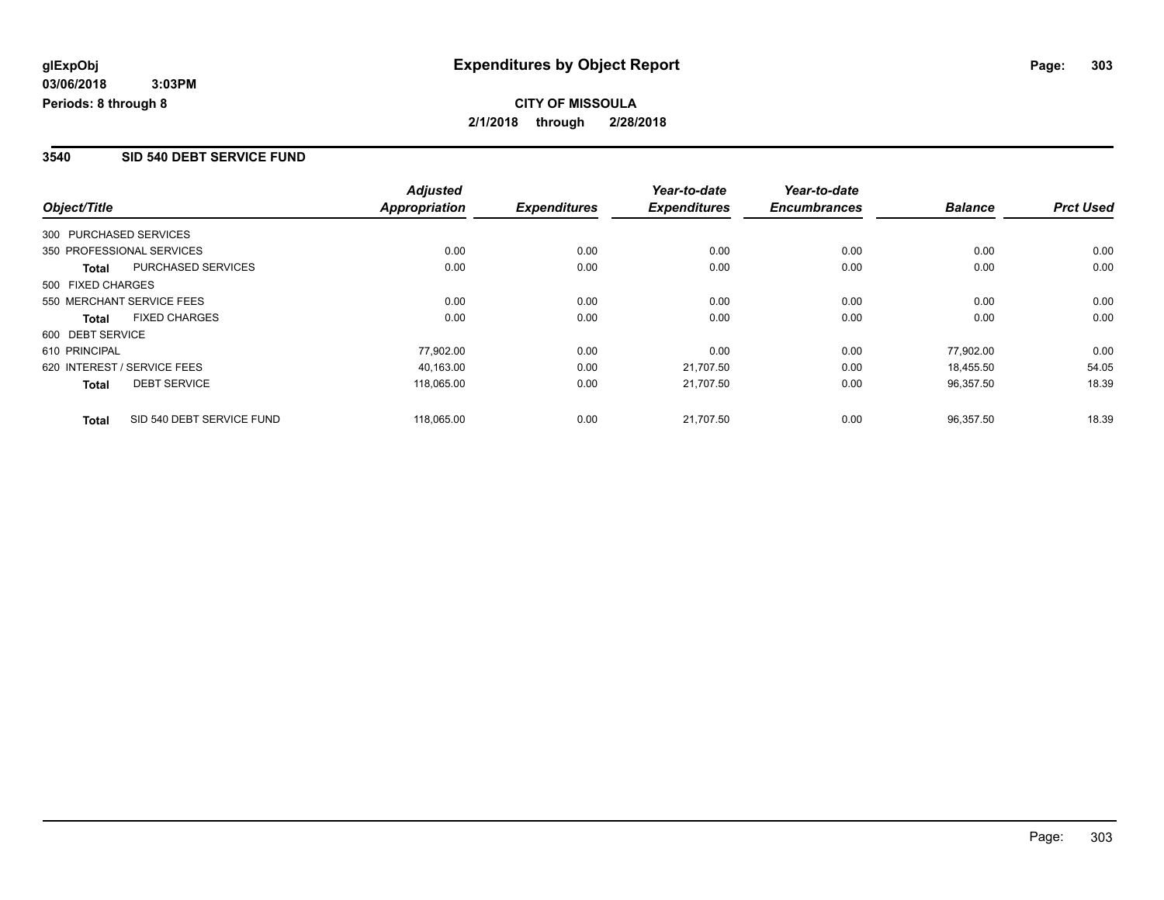#### **3540 SID 540 DEBT SERVICE FUND**

|                        |                             | <b>Adjusted</b>      |                     | Year-to-date        | Year-to-date        |                |                  |
|------------------------|-----------------------------|----------------------|---------------------|---------------------|---------------------|----------------|------------------|
| Object/Title           |                             | <b>Appropriation</b> | <b>Expenditures</b> | <b>Expenditures</b> | <b>Encumbrances</b> | <b>Balance</b> | <b>Prct Used</b> |
| 300 PURCHASED SERVICES |                             |                      |                     |                     |                     |                |                  |
|                        | 350 PROFESSIONAL SERVICES   | 0.00                 | 0.00                | 0.00                | 0.00                | 0.00           | 0.00             |
| Total                  | PURCHASED SERVICES          | 0.00                 | 0.00                | 0.00                | 0.00                | 0.00           | 0.00             |
| 500 FIXED CHARGES      |                             |                      |                     |                     |                     |                |                  |
|                        | 550 MERCHANT SERVICE FEES   | 0.00                 | 0.00                | 0.00                | 0.00                | 0.00           | 0.00             |
| Total                  | <b>FIXED CHARGES</b>        | 0.00                 | 0.00                | 0.00                | 0.00                | 0.00           | 0.00             |
| 600 DEBT SERVICE       |                             |                      |                     |                     |                     |                |                  |
| 610 PRINCIPAL          |                             | 77,902.00            | 0.00                | 0.00                | 0.00                | 77.902.00      | 0.00             |
|                        | 620 INTEREST / SERVICE FEES | 40,163.00            | 0.00                | 21,707.50           | 0.00                | 18.455.50      | 54.05            |
| <b>Total</b>           | <b>DEBT SERVICE</b>         | 118,065.00           | 0.00                | 21,707.50           | 0.00                | 96,357.50      | 18.39            |
| <b>Total</b>           | SID 540 DEBT SERVICE FUND   | 118,065.00           | 0.00                | 21.707.50           | 0.00                | 96.357.50      | 18.39            |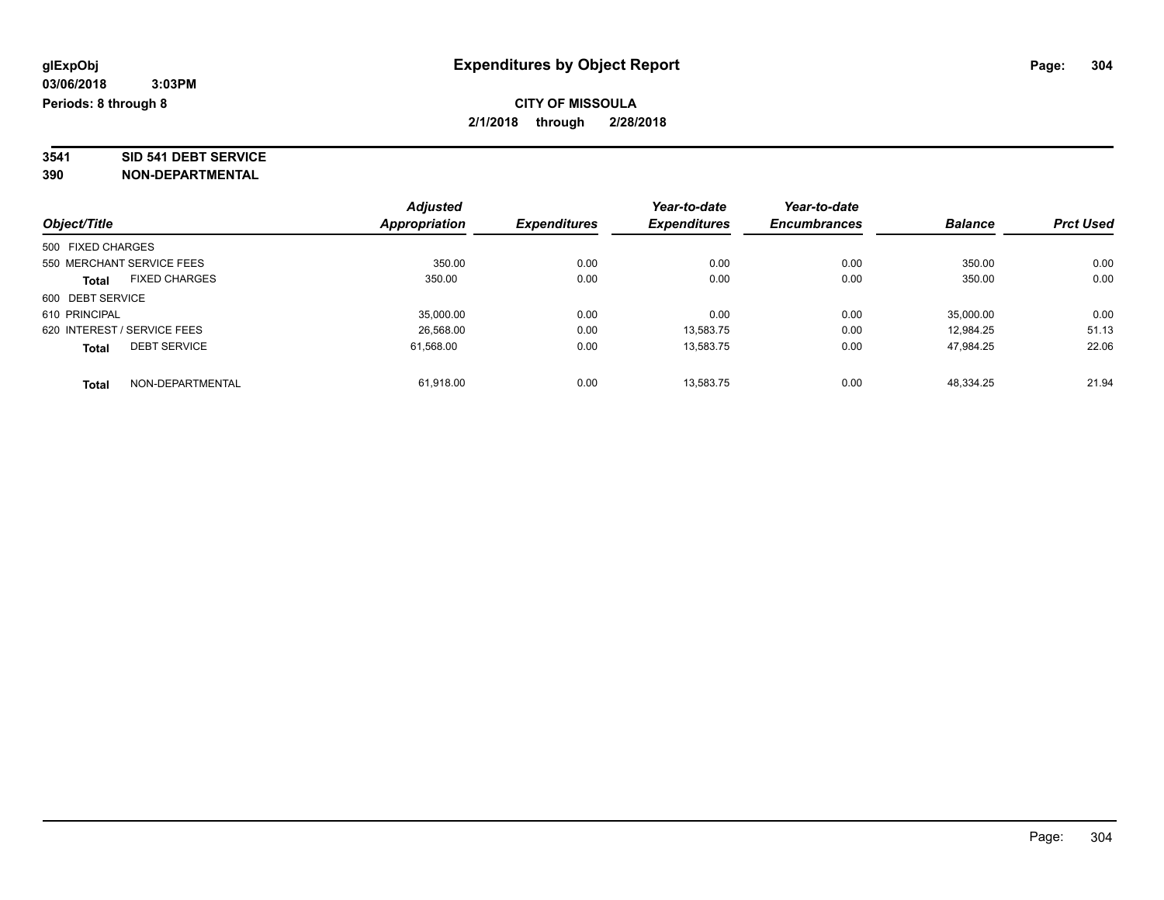# **3541 SID 541 DEBT SERVICE**

|                             |                      | <b>Adjusted</b> |                     | Year-to-date        | Year-to-date        |                |                  |
|-----------------------------|----------------------|-----------------|---------------------|---------------------|---------------------|----------------|------------------|
| Object/Title                |                      | Appropriation   | <b>Expenditures</b> | <b>Expenditures</b> | <b>Encumbrances</b> | <b>Balance</b> | <b>Prct Used</b> |
| 500 FIXED CHARGES           |                      |                 |                     |                     |                     |                |                  |
| 550 MERCHANT SERVICE FEES   |                      | 350.00          | 0.00                | 0.00                | 0.00                | 350.00         | 0.00             |
| <b>Total</b>                | <b>FIXED CHARGES</b> | 350.00          | 0.00                | 0.00                | 0.00                | 350.00         | 0.00             |
| 600 DEBT SERVICE            |                      |                 |                     |                     |                     |                |                  |
| 610 PRINCIPAL               |                      | 35,000.00       | 0.00                | 0.00                | 0.00                | 35,000.00      | 0.00             |
| 620 INTEREST / SERVICE FEES |                      | 26,568.00       | 0.00                | 13,583.75           | 0.00                | 12.984.25      | 51.13            |
| <b>Total</b>                | <b>DEBT SERVICE</b>  | 61.568.00       | 0.00                | 13.583.75           | 0.00                | 47.984.25      | 22.06            |
| <b>Total</b>                | NON-DEPARTMENTAL     | 61,918.00       | 0.00                | 13.583.75           | 0.00                | 48.334.25      | 21.94            |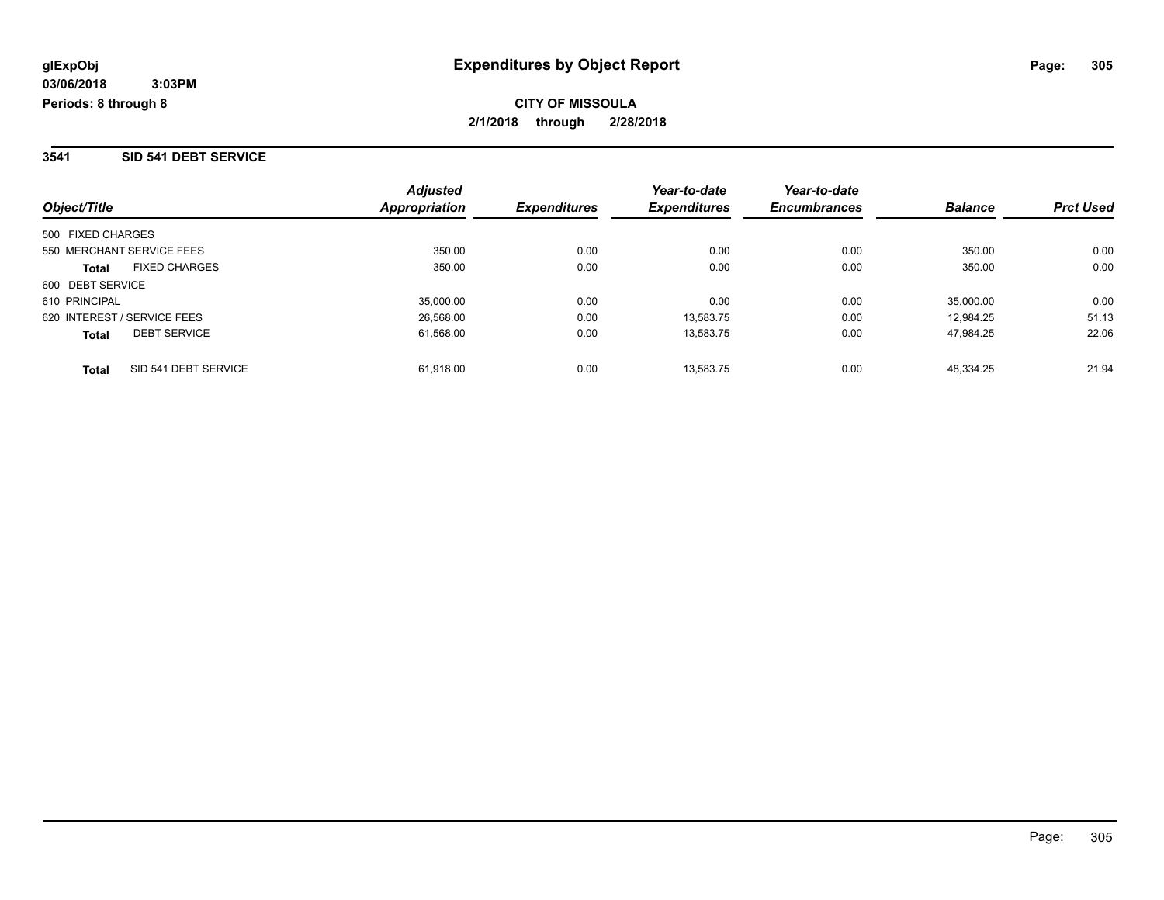#### **3541 SID 541 DEBT SERVICE**

| Object/Title                         | <b>Adjusted</b><br>Appropriation | <b>Expenditures</b> | Year-to-date<br><b>Expenditures</b> | Year-to-date<br><b>Encumbrances</b> | <b>Balance</b> | <b>Prct Used</b> |
|--------------------------------------|----------------------------------|---------------------|-------------------------------------|-------------------------------------|----------------|------------------|
| 500 FIXED CHARGES                    |                                  |                     |                                     |                                     |                |                  |
| 550 MERCHANT SERVICE FEES            | 350.00                           | 0.00                | 0.00                                | 0.00                                | 350.00         | 0.00             |
| <b>FIXED CHARGES</b><br><b>Total</b> | 350.00                           | 0.00                | 0.00                                | 0.00                                | 350.00         | 0.00             |
| 600 DEBT SERVICE                     |                                  |                     |                                     |                                     |                |                  |
| 610 PRINCIPAL                        | 35,000.00                        | 0.00                | 0.00                                | 0.00                                | 35,000.00      | 0.00             |
| 620 INTEREST / SERVICE FEES          | 26,568.00                        | 0.00                | 13.583.75                           | 0.00                                | 12.984.25      | 51.13            |
| <b>DEBT SERVICE</b><br><b>Total</b>  | 61,568.00                        | 0.00                | 13,583.75                           | 0.00                                | 47.984.25      | 22.06            |
| SID 541 DEBT SERVICE<br><b>Total</b> | 61.918.00                        | 0.00                | 13.583.75                           | 0.00                                | 48.334.25      | 21.94            |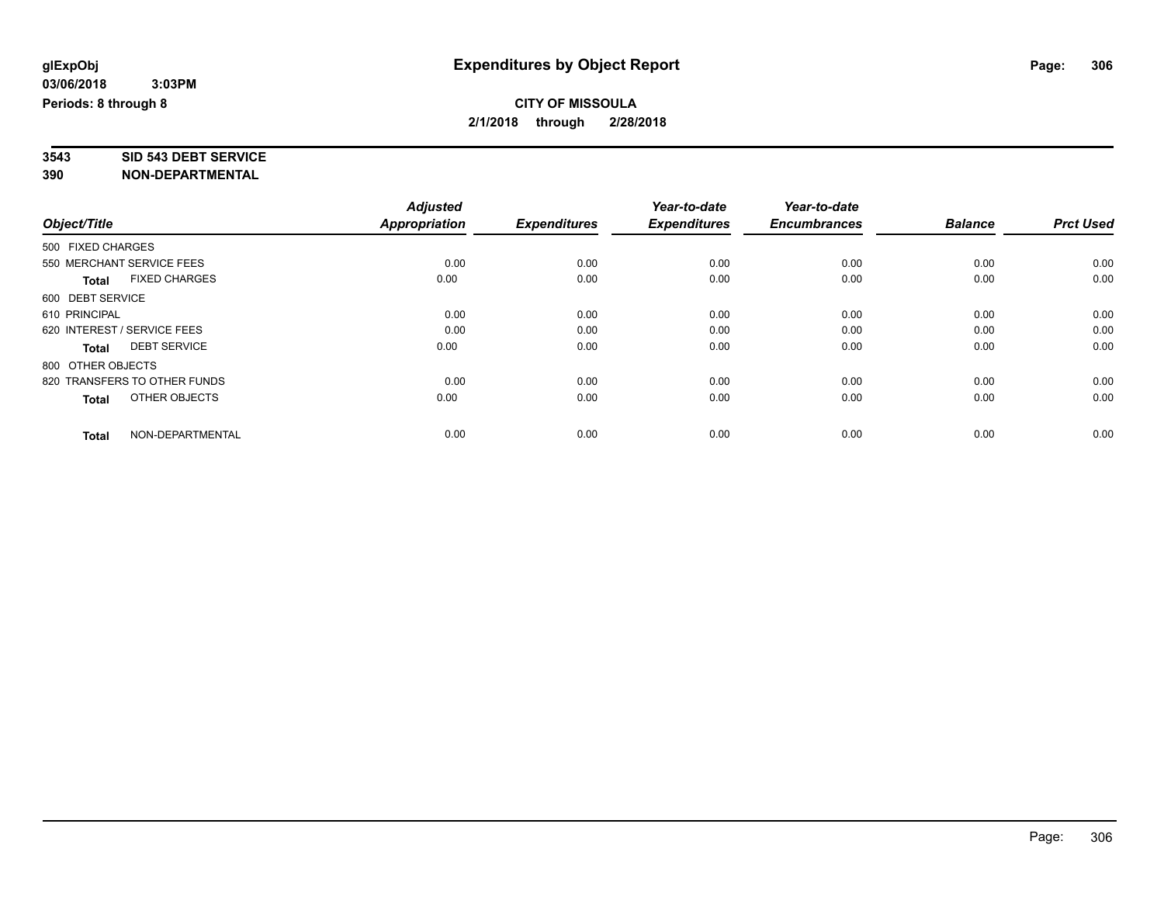# **3543 SID 543 DEBT SERVICE**

|                                      | <b>Adjusted</b> |                     | Year-to-date        | Year-to-date        |                |                  |
|--------------------------------------|-----------------|---------------------|---------------------|---------------------|----------------|------------------|
| Object/Title                         | Appropriation   | <b>Expenditures</b> | <b>Expenditures</b> | <b>Encumbrances</b> | <b>Balance</b> | <b>Prct Used</b> |
| 500 FIXED CHARGES                    |                 |                     |                     |                     |                |                  |
| 550 MERCHANT SERVICE FEES            | 0.00            | 0.00                | 0.00                | 0.00                | 0.00           | 0.00             |
| <b>FIXED CHARGES</b><br><b>Total</b> | 0.00            | 0.00                | 0.00                | 0.00                | 0.00           | 0.00             |
| 600 DEBT SERVICE                     |                 |                     |                     |                     |                |                  |
| 610 PRINCIPAL                        | 0.00            | 0.00                | 0.00                | 0.00                | 0.00           | 0.00             |
| 620 INTEREST / SERVICE FEES          | 0.00            | 0.00                | 0.00                | 0.00                | 0.00           | 0.00             |
| <b>DEBT SERVICE</b><br><b>Total</b>  | 0.00            | 0.00                | 0.00                | 0.00                | 0.00           | 0.00             |
| 800 OTHER OBJECTS                    |                 |                     |                     |                     |                |                  |
| 820 TRANSFERS TO OTHER FUNDS         | 0.00            | 0.00                | 0.00                | 0.00                | 0.00           | 0.00             |
| OTHER OBJECTS<br>Total               | 0.00            | 0.00                | 0.00                | 0.00                | 0.00           | 0.00             |
|                                      |                 |                     |                     |                     |                |                  |
| NON-DEPARTMENTAL<br><b>Total</b>     | 0.00            | 0.00                | 0.00                | 0.00                | 0.00           | 0.00             |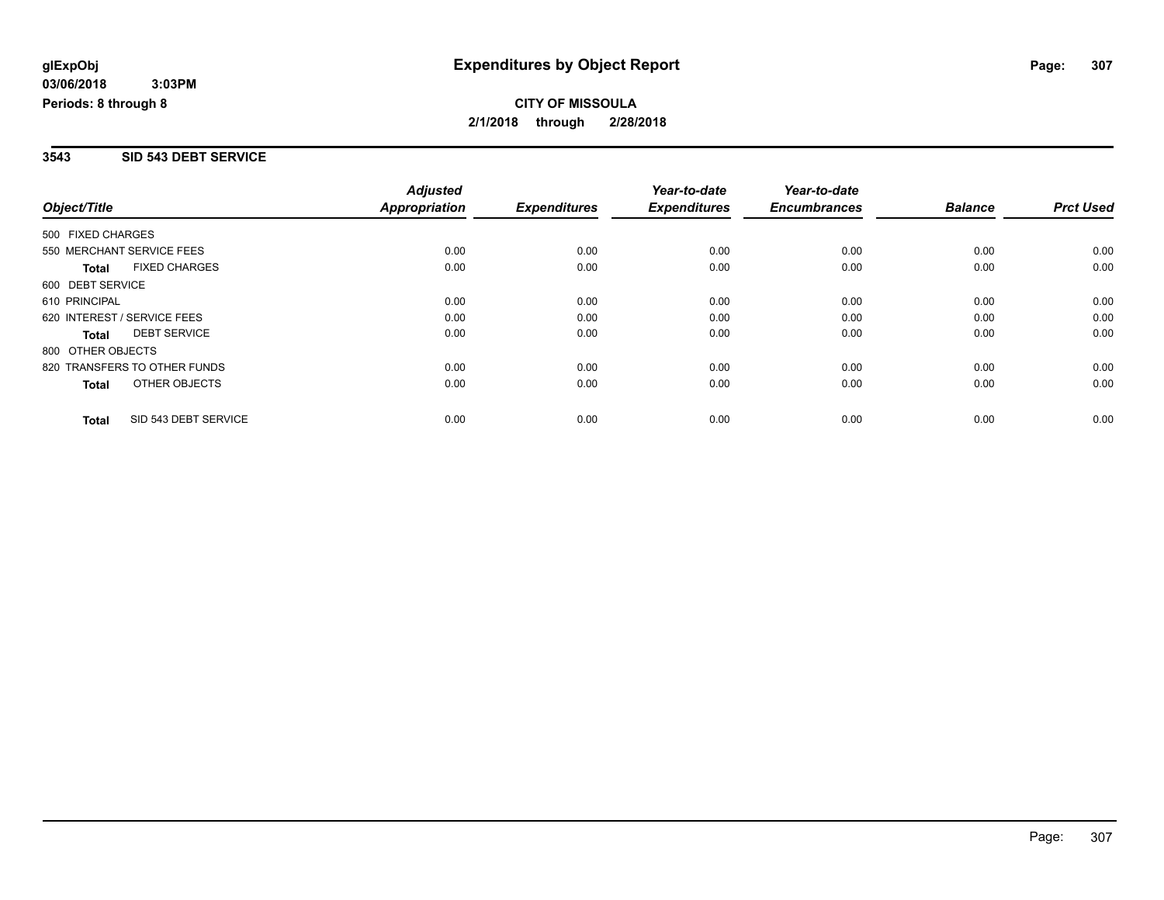#### **3543 SID 543 DEBT SERVICE**

|                              |                      | <b>Adjusted</b>      |                     | Year-to-date        | Year-to-date        |                |                  |
|------------------------------|----------------------|----------------------|---------------------|---------------------|---------------------|----------------|------------------|
| Object/Title                 |                      | <b>Appropriation</b> | <b>Expenditures</b> | <b>Expenditures</b> | <b>Encumbrances</b> | <b>Balance</b> | <b>Prct Used</b> |
| 500 FIXED CHARGES            |                      |                      |                     |                     |                     |                |                  |
| 550 MERCHANT SERVICE FEES    |                      | 0.00                 | 0.00                | 0.00                | 0.00                | 0.00           | 0.00             |
| <b>Total</b>                 | <b>FIXED CHARGES</b> | 0.00                 | 0.00                | 0.00                | 0.00                | 0.00           | 0.00             |
| 600 DEBT SERVICE             |                      |                      |                     |                     |                     |                |                  |
| 610 PRINCIPAL                |                      | 0.00                 | 0.00                | 0.00                | 0.00                | 0.00           | 0.00             |
| 620 INTEREST / SERVICE FEES  |                      | 0.00                 | 0.00                | 0.00                | 0.00                | 0.00           | 0.00             |
| <b>Total</b>                 | <b>DEBT SERVICE</b>  | 0.00                 | 0.00                | 0.00                | 0.00                | 0.00           | 0.00             |
| 800 OTHER OBJECTS            |                      |                      |                     |                     |                     |                |                  |
| 820 TRANSFERS TO OTHER FUNDS |                      | 0.00                 | 0.00                | 0.00                | 0.00                | 0.00           | 0.00             |
| Total                        | OTHER OBJECTS        | 0.00                 | 0.00                | 0.00                | 0.00                | 0.00           | 0.00             |
| <b>Total</b>                 | SID 543 DEBT SERVICE | 0.00                 | 0.00                | 0.00                | 0.00                | 0.00           | 0.00             |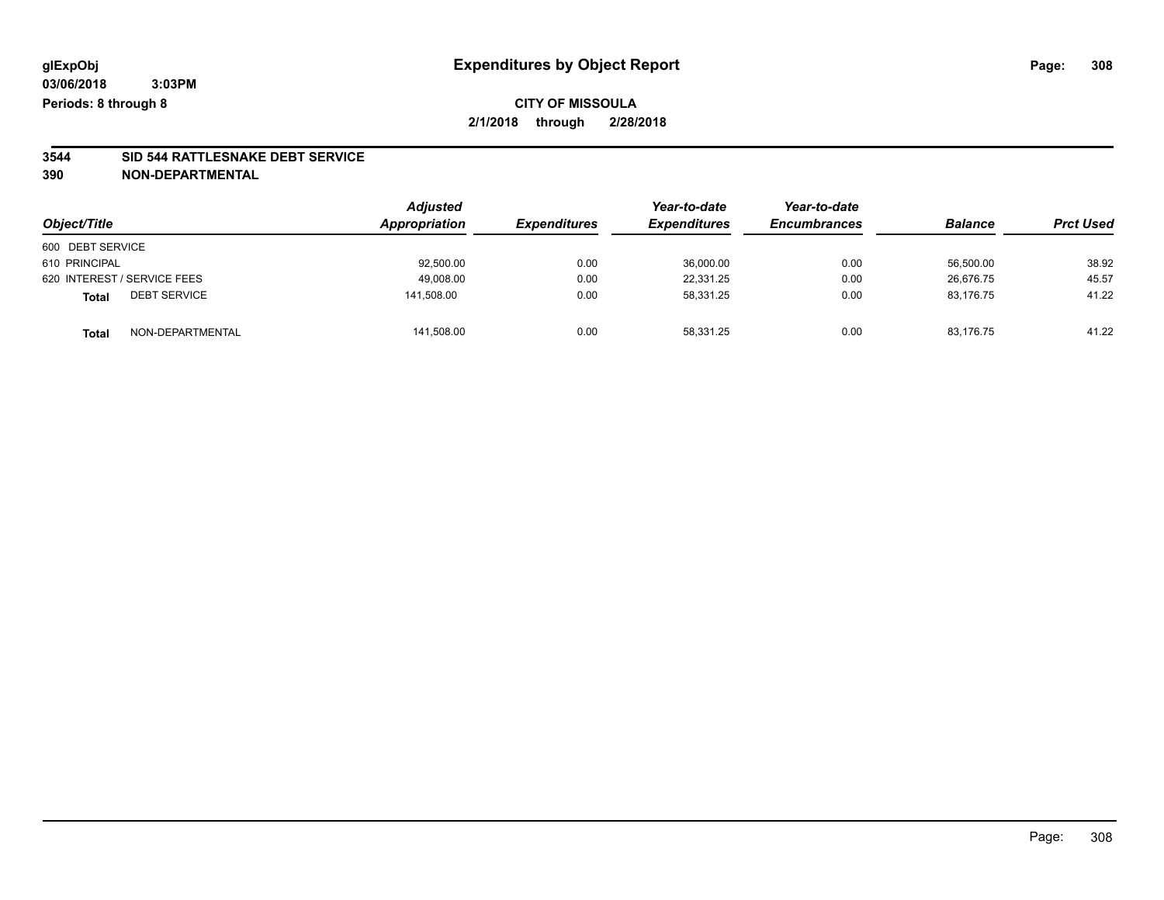# **3544 SID 544 RATTLESNAKE DEBT SERVICE**

|                                     | <b>Adjusted</b> |                     | Year-to-date        | Year-to-date        | <b>Balance</b> |                  |
|-------------------------------------|-----------------|---------------------|---------------------|---------------------|----------------|------------------|
| Object/Title                        | Appropriation   | <b>Expenditures</b> | <b>Expenditures</b> | <b>Encumbrances</b> |                | <b>Prct Used</b> |
| 600 DEBT SERVICE                    |                 |                     |                     |                     |                |                  |
| 610 PRINCIPAL                       | 92,500.00       | 0.00                | 36,000.00           | 0.00                | 56,500.00      | 38.92            |
| 620 INTEREST / SERVICE FEES         | 49,008.00       | 0.00                | 22.331.25           | 0.00                | 26.676.75      | 45.57            |
| <b>DEBT SERVICE</b><br><b>Total</b> | 141.508.00      | 0.00                | 58.331.25           | 0.00                | 83.176.75      | 41.22            |
| NON-DEPARTMENTAL<br><b>Total</b>    | 141,508.00      | 0.00                | 58.331.25           | 0.00                | 83,176.75      | 41.22            |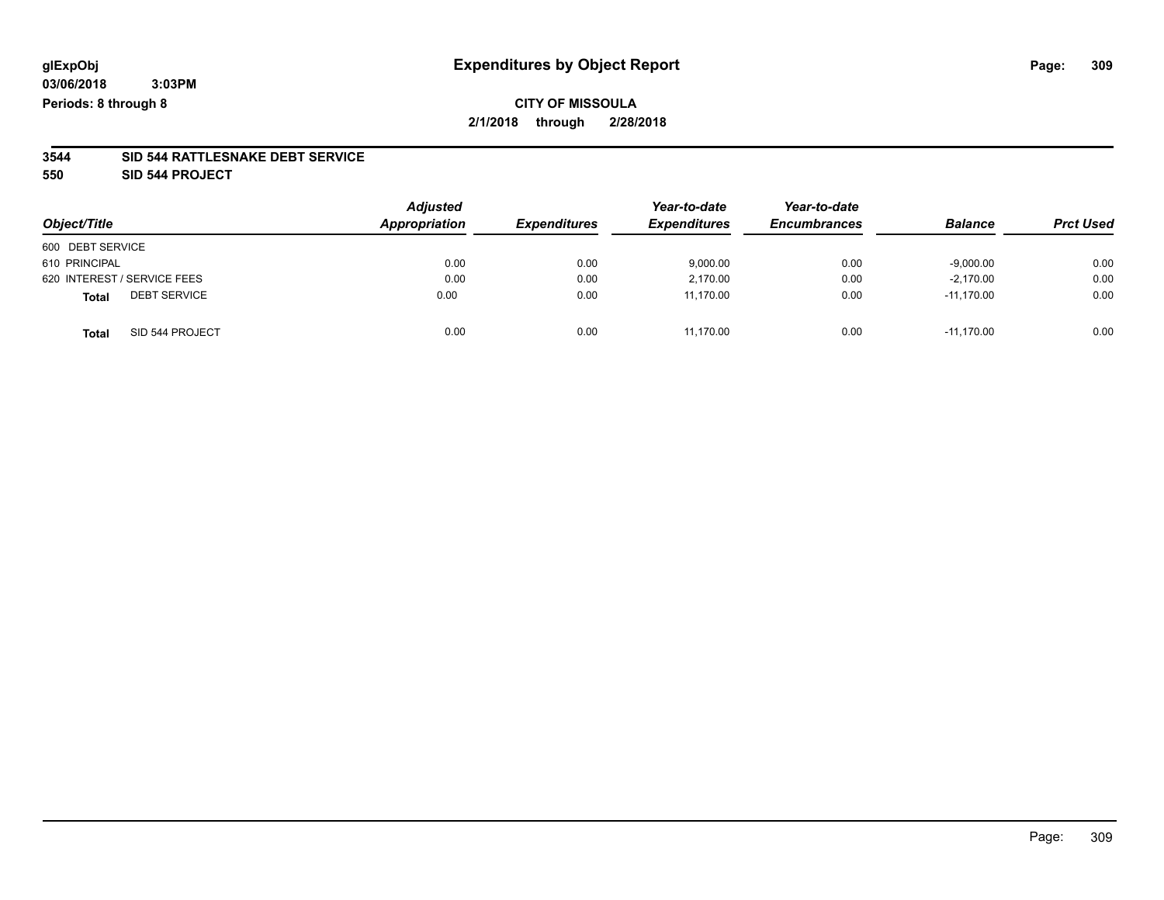### **CITY OF MISSOULA 2/1/2018 through 2/28/2018**

#### **3544 SID 544 RATTLESNAKE DEBT SERVICE**

**550 SID 544 PROJECT**

| Object/Title                        | <b>Adjusted</b><br>Appropriation | <b>Expenditures</b> | Year-to-date<br><b>Expenditures</b> | Year-to-date<br><b>Encumbrances</b> | <b>Balance</b> | <b>Prct Used</b> |
|-------------------------------------|----------------------------------|---------------------|-------------------------------------|-------------------------------------|----------------|------------------|
| 600 DEBT SERVICE                    |                                  |                     |                                     |                                     |                |                  |
| 610 PRINCIPAL                       | 0.00                             | 0.00                | 9,000.00                            | 0.00                                | $-9,000.00$    | 0.00             |
| 620 INTEREST / SERVICE FEES         | 0.00                             | 0.00                | 2,170.00                            | 0.00                                | $-2,170.00$    | 0.00             |
| <b>DEBT SERVICE</b><br><b>Total</b> | 0.00                             | 0.00                | 11.170.00                           | 0.00                                | $-11.170.00$   | 0.00             |
| SID 544 PROJECT<br><b>Total</b>     | 0.00                             | 0.00                | 11,170.00                           | 0.00                                | $-11.170.00$   | 0.00             |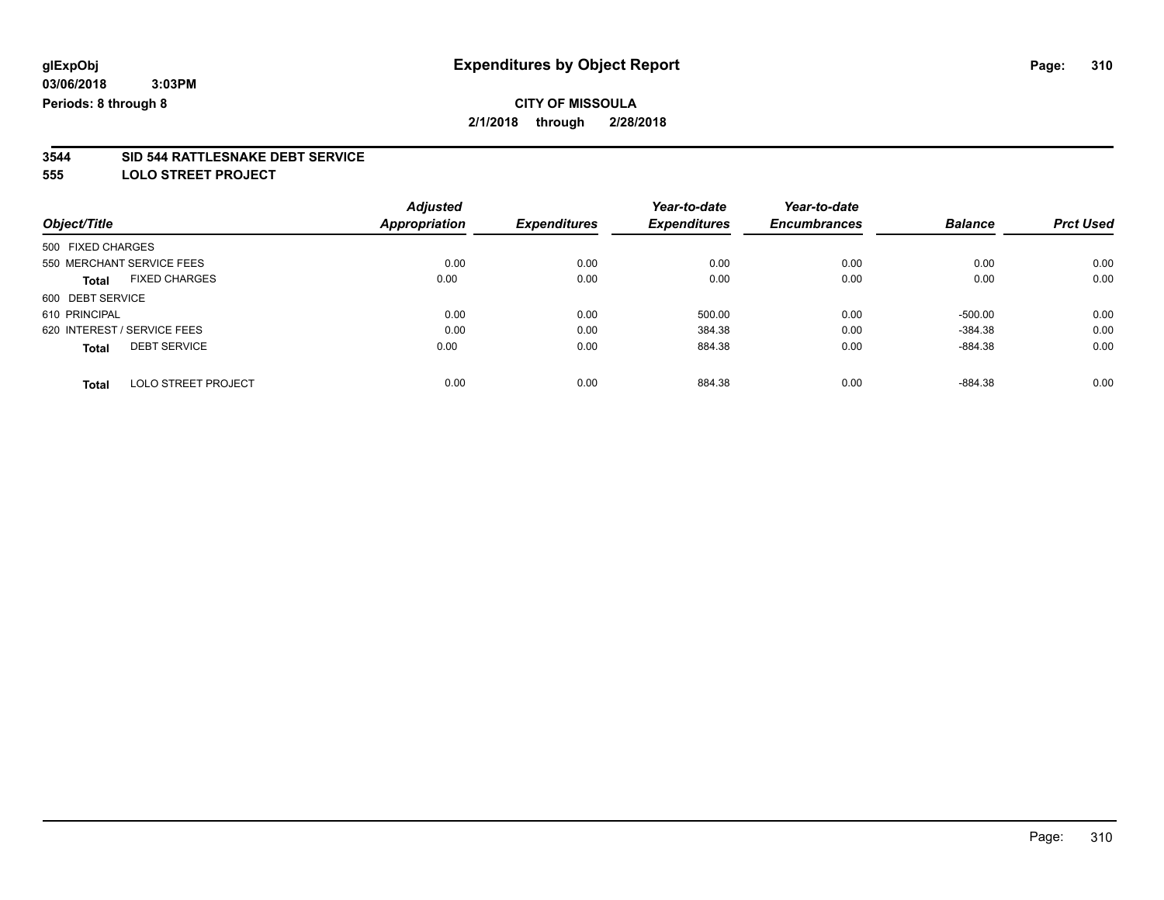# **3544 SID 544 RATTLESNAKE DEBT SERVICE**

**555 LOLO STREET PROJECT**

|                   |                             | <b>Adjusted</b>      |                     | Year-to-date        | Year-to-date        |                |                  |
|-------------------|-----------------------------|----------------------|---------------------|---------------------|---------------------|----------------|------------------|
| Object/Title      |                             | <b>Appropriation</b> | <b>Expenditures</b> | <b>Expenditures</b> | <b>Encumbrances</b> | <b>Balance</b> | <b>Prct Used</b> |
| 500 FIXED CHARGES |                             |                      |                     |                     |                     |                |                  |
|                   | 550 MERCHANT SERVICE FEES   | 0.00                 | 0.00                | 0.00                | 0.00                | 0.00           | 0.00             |
| Total             | <b>FIXED CHARGES</b>        | 0.00                 | 0.00                | 0.00                | 0.00                | 0.00           | 0.00             |
| 600 DEBT SERVICE  |                             |                      |                     |                     |                     |                |                  |
| 610 PRINCIPAL     |                             | 0.00                 | 0.00                | 500.00              | 0.00                | $-500.00$      | 0.00             |
|                   | 620 INTEREST / SERVICE FEES | 0.00                 | 0.00                | 384.38              | 0.00                | $-384.38$      | 0.00             |
| <b>Total</b>      | <b>DEBT SERVICE</b>         | 0.00                 | 0.00                | 884.38              | 0.00                | $-884.38$      | 0.00             |
| <b>Total</b>      | LOLO STREET PROJECT         | 0.00                 | 0.00                | 884.38              | 0.00                | $-884.38$      | 0.00             |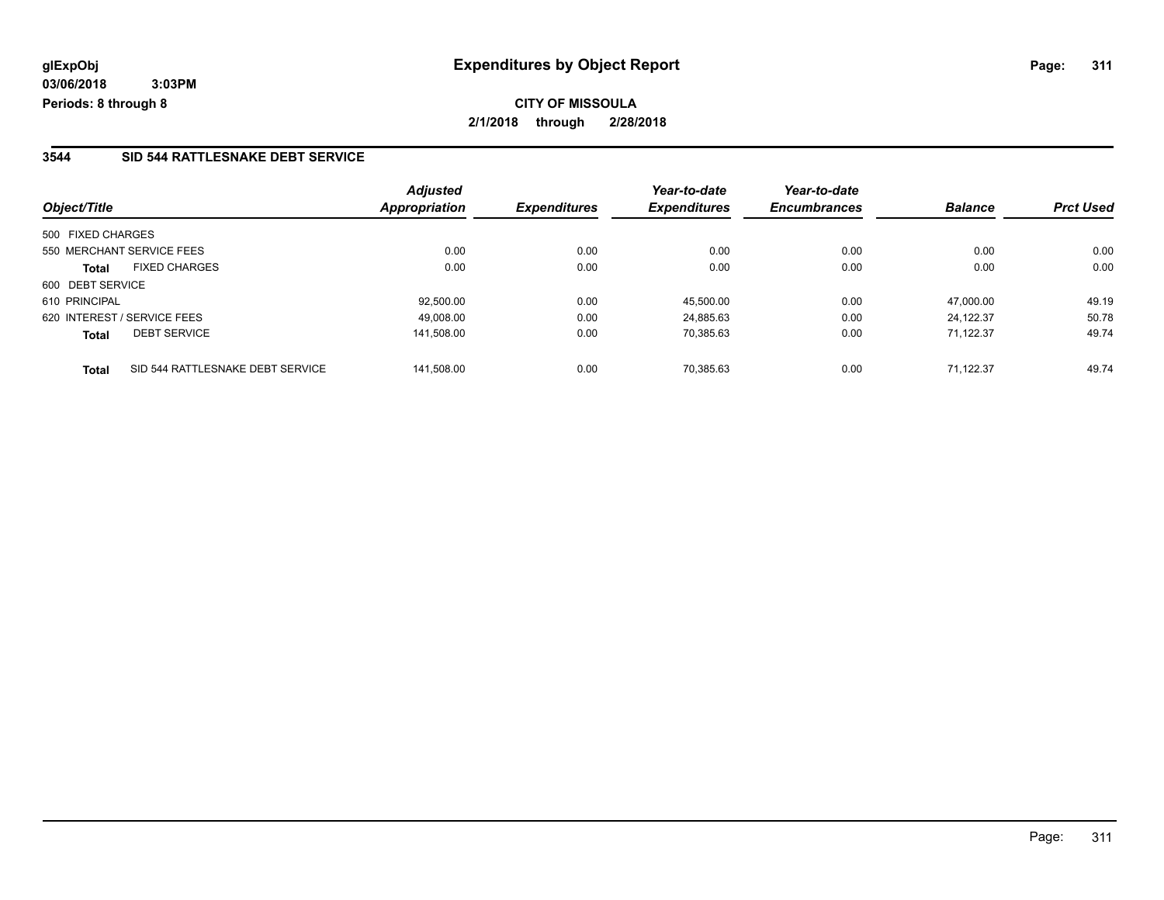#### **3544 SID 544 RATTLESNAKE DEBT SERVICE**

|                   |                                  | <b>Adjusted</b> |                     | Year-to-date        | Year-to-date        |                |                  |
|-------------------|----------------------------------|-----------------|---------------------|---------------------|---------------------|----------------|------------------|
| Object/Title      |                                  | Appropriation   | <b>Expenditures</b> | <b>Expenditures</b> | <b>Encumbrances</b> | <b>Balance</b> | <b>Prct Used</b> |
| 500 FIXED CHARGES |                                  |                 |                     |                     |                     |                |                  |
|                   | 550 MERCHANT SERVICE FEES        | 0.00            | 0.00                | 0.00                | 0.00                | 0.00           | 0.00             |
| <b>Total</b>      | <b>FIXED CHARGES</b>             | 0.00            | 0.00                | 0.00                | 0.00                | 0.00           | 0.00             |
| 600 DEBT SERVICE  |                                  |                 |                     |                     |                     |                |                  |
| 610 PRINCIPAL     |                                  | 92.500.00       | 0.00                | 45.500.00           | 0.00                | 47.000.00      | 49.19            |
|                   | 620 INTEREST / SERVICE FEES      | 49.008.00       | 0.00                | 24,885.63           | 0.00                | 24.122.37      | 50.78            |
| <b>Total</b>      | <b>DEBT SERVICE</b>              | 141.508.00      | 0.00                | 70,385.63           | 0.00                | 71.122.37      | 49.74            |
| <b>Total</b>      | SID 544 RATTLESNAKE DEBT SERVICE | 141.508.00      | 0.00                | 70.385.63           | 0.00                | 71.122.37      | 49.74            |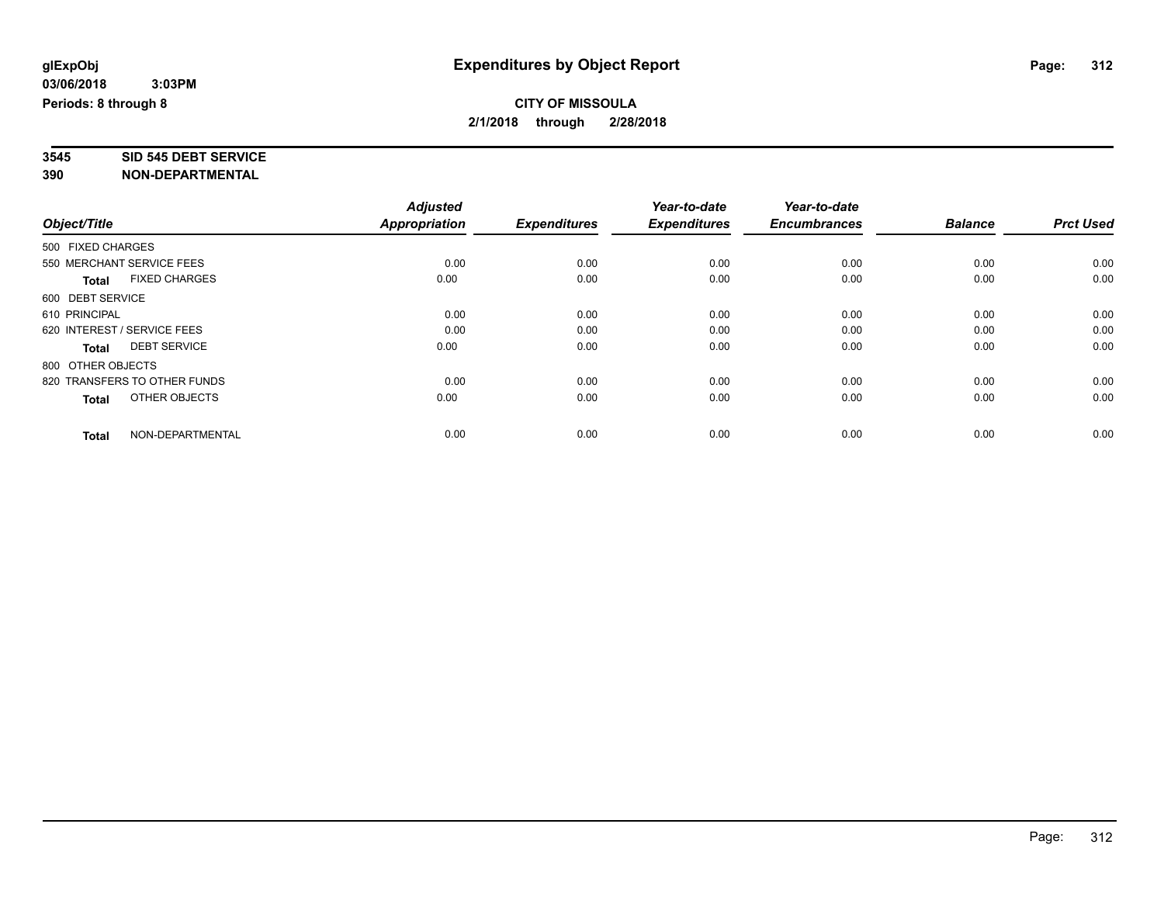# **3545 SID 545 DEBT SERVICE**

|                                     |                      | <b>Adjusted</b> |                     | Year-to-date        | Year-to-date        |                |                  |
|-------------------------------------|----------------------|-----------------|---------------------|---------------------|---------------------|----------------|------------------|
| Object/Title                        |                      | Appropriation   | <b>Expenditures</b> | <b>Expenditures</b> | <b>Encumbrances</b> | <b>Balance</b> | <b>Prct Used</b> |
| 500 FIXED CHARGES                   |                      |                 |                     |                     |                     |                |                  |
| 550 MERCHANT SERVICE FEES           |                      | 0.00            | 0.00                | 0.00                | 0.00                | 0.00           | 0.00             |
| <b>Total</b>                        | <b>FIXED CHARGES</b> | 0.00            | 0.00                | 0.00                | 0.00                | 0.00           | 0.00             |
| 600 DEBT SERVICE                    |                      |                 |                     |                     |                     |                |                  |
| 610 PRINCIPAL                       |                      | 0.00            | 0.00                | 0.00                | 0.00                | 0.00           | 0.00             |
| 620 INTEREST / SERVICE FEES         |                      | 0.00            | 0.00                | 0.00                | 0.00                | 0.00           | 0.00             |
| <b>DEBT SERVICE</b><br><b>Total</b> |                      | 0.00            | 0.00                | 0.00                | 0.00                | 0.00           | 0.00             |
| 800 OTHER OBJECTS                   |                      |                 |                     |                     |                     |                |                  |
| 820 TRANSFERS TO OTHER FUNDS        |                      | 0.00            | 0.00                | 0.00                | 0.00                | 0.00           | 0.00             |
| Total                               | OTHER OBJECTS        | 0.00            | 0.00                | 0.00                | 0.00                | 0.00           | 0.00             |
|                                     |                      |                 |                     |                     |                     |                |                  |
| <b>Total</b>                        | NON-DEPARTMENTAL     | 0.00            | 0.00                | 0.00                | 0.00                | 0.00           | 0.00             |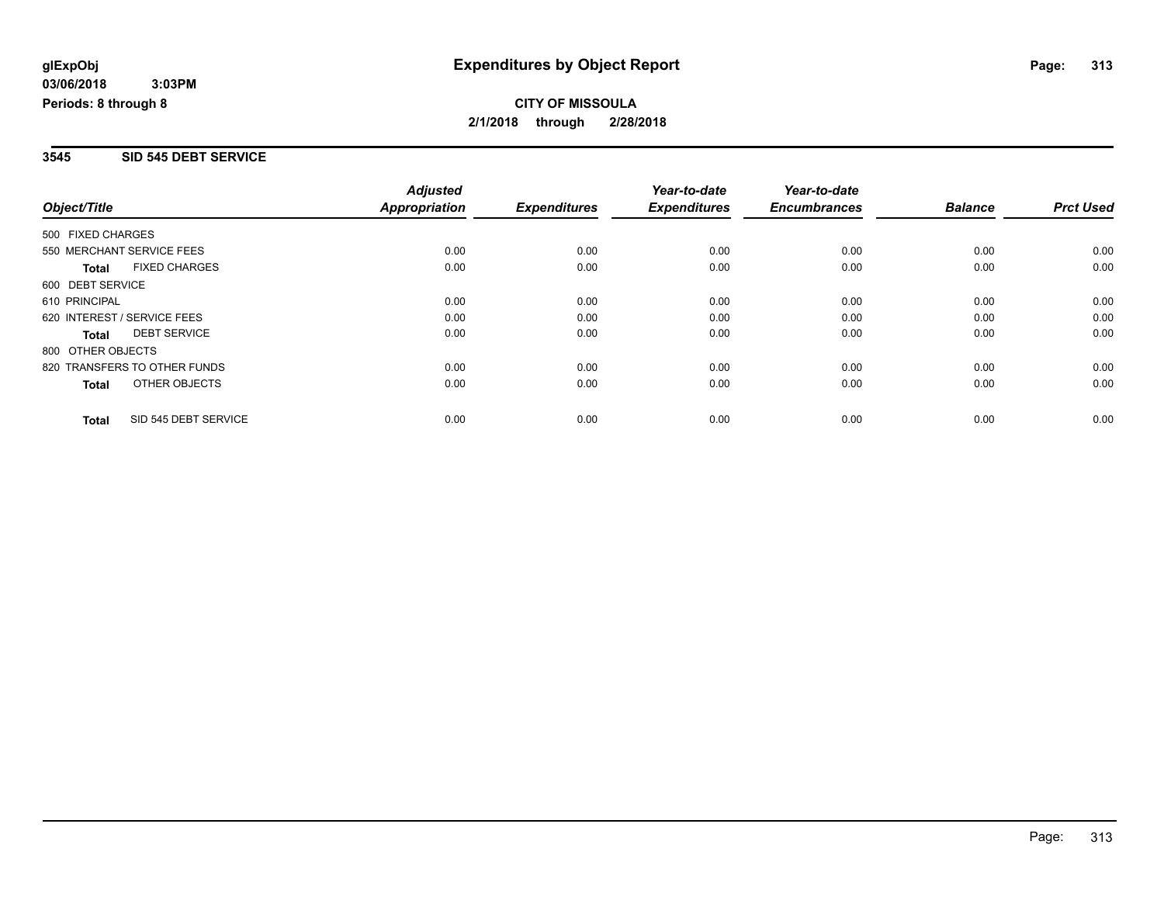#### **3545 SID 545 DEBT SERVICE**

|                              |                      | <b>Adjusted</b>      |                     | Year-to-date        | Year-to-date        |                |                  |
|------------------------------|----------------------|----------------------|---------------------|---------------------|---------------------|----------------|------------------|
| Object/Title                 |                      | <b>Appropriation</b> | <b>Expenditures</b> | <b>Expenditures</b> | <b>Encumbrances</b> | <b>Balance</b> | <b>Prct Used</b> |
| 500 FIXED CHARGES            |                      |                      |                     |                     |                     |                |                  |
| 550 MERCHANT SERVICE FEES    |                      | 0.00                 | 0.00                | 0.00                | 0.00                | 0.00           | 0.00             |
| <b>Total</b>                 | <b>FIXED CHARGES</b> | 0.00                 | 0.00                | 0.00                | 0.00                | 0.00           | 0.00             |
| 600 DEBT SERVICE             |                      |                      |                     |                     |                     |                |                  |
| 610 PRINCIPAL                |                      | 0.00                 | 0.00                | 0.00                | 0.00                | 0.00           | 0.00             |
| 620 INTEREST / SERVICE FEES  |                      | 0.00                 | 0.00                | 0.00                | 0.00                | 0.00           | 0.00             |
| <b>Total</b>                 | <b>DEBT SERVICE</b>  | 0.00                 | 0.00                | 0.00                | 0.00                | 0.00           | 0.00             |
| 800 OTHER OBJECTS            |                      |                      |                     |                     |                     |                |                  |
| 820 TRANSFERS TO OTHER FUNDS |                      | 0.00                 | 0.00                | 0.00                | 0.00                | 0.00           | 0.00             |
| Total                        | OTHER OBJECTS        | 0.00                 | 0.00                | 0.00                | 0.00                | 0.00           | 0.00             |
| <b>Total</b>                 | SID 545 DEBT SERVICE | 0.00                 | 0.00                | 0.00                | 0.00                | 0.00           | 0.00             |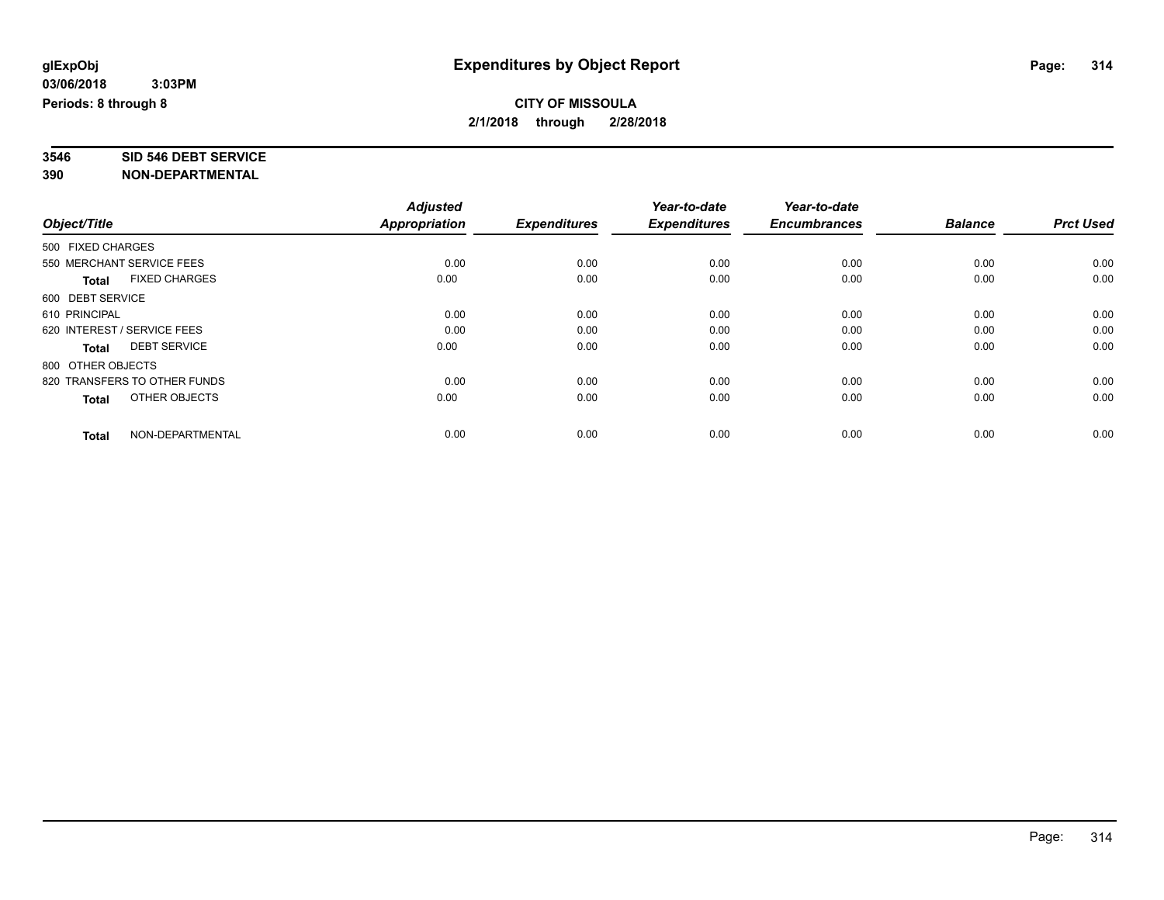# **3546 SID 546 DEBT SERVICE**

|                                      | <b>Adjusted</b> |                     | Year-to-date        | Year-to-date        |                |                  |
|--------------------------------------|-----------------|---------------------|---------------------|---------------------|----------------|------------------|
| Object/Title                         | Appropriation   | <b>Expenditures</b> | <b>Expenditures</b> | <b>Encumbrances</b> | <b>Balance</b> | <b>Prct Used</b> |
| 500 FIXED CHARGES                    |                 |                     |                     |                     |                |                  |
| 550 MERCHANT SERVICE FEES            | 0.00            | 0.00                | 0.00                | 0.00                | 0.00           | 0.00             |
| <b>FIXED CHARGES</b><br><b>Total</b> | 0.00            | 0.00                | 0.00                | 0.00                | 0.00           | 0.00             |
| 600 DEBT SERVICE                     |                 |                     |                     |                     |                |                  |
| 610 PRINCIPAL                        | 0.00            | 0.00                | 0.00                | 0.00                | 0.00           | 0.00             |
| 620 INTEREST / SERVICE FEES          | 0.00            | 0.00                | 0.00                | 0.00                | 0.00           | 0.00             |
| <b>DEBT SERVICE</b><br><b>Total</b>  | 0.00            | 0.00                | 0.00                | 0.00                | 0.00           | 0.00             |
| 800 OTHER OBJECTS                    |                 |                     |                     |                     |                |                  |
| 820 TRANSFERS TO OTHER FUNDS         | 0.00            | 0.00                | 0.00                | 0.00                | 0.00           | 0.00             |
| OTHER OBJECTS<br><b>Total</b>        | 0.00            | 0.00                | 0.00                | 0.00                | 0.00           | 0.00             |
|                                      |                 |                     |                     |                     |                |                  |
| NON-DEPARTMENTAL<br><b>Total</b>     | 0.00            | 0.00                | 0.00                | 0.00                | 0.00           | 0.00             |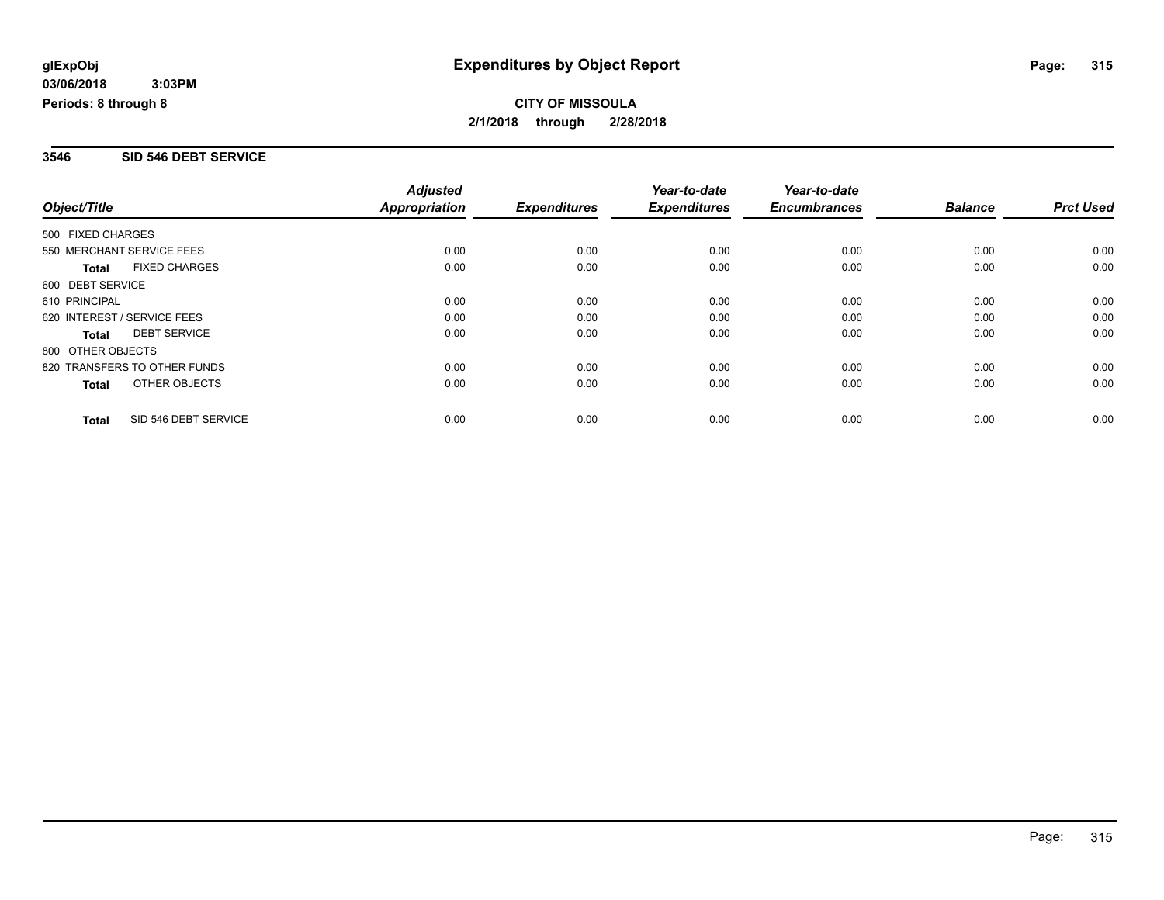#### **3546 SID 546 DEBT SERVICE**

|                              |                      | <b>Adjusted</b>      |                     | Year-to-date        | Year-to-date        |                |                  |
|------------------------------|----------------------|----------------------|---------------------|---------------------|---------------------|----------------|------------------|
| Object/Title                 |                      | <b>Appropriation</b> | <b>Expenditures</b> | <b>Expenditures</b> | <b>Encumbrances</b> | <b>Balance</b> | <b>Prct Used</b> |
| 500 FIXED CHARGES            |                      |                      |                     |                     |                     |                |                  |
| 550 MERCHANT SERVICE FEES    |                      | 0.00                 | 0.00                | 0.00                | 0.00                | 0.00           | 0.00             |
| <b>Total</b>                 | <b>FIXED CHARGES</b> | 0.00                 | 0.00                | 0.00                | 0.00                | 0.00           | 0.00             |
| 600 DEBT SERVICE             |                      |                      |                     |                     |                     |                |                  |
| 610 PRINCIPAL                |                      | 0.00                 | 0.00                | 0.00                | 0.00                | 0.00           | 0.00             |
| 620 INTEREST / SERVICE FEES  |                      | 0.00                 | 0.00                | 0.00                | 0.00                | 0.00           | 0.00             |
| <b>Total</b>                 | <b>DEBT SERVICE</b>  | 0.00                 | 0.00                | 0.00                | 0.00                | 0.00           | 0.00             |
| 800 OTHER OBJECTS            |                      |                      |                     |                     |                     |                |                  |
| 820 TRANSFERS TO OTHER FUNDS |                      | 0.00                 | 0.00                | 0.00                | 0.00                | 0.00           | 0.00             |
| Total                        | OTHER OBJECTS        | 0.00                 | 0.00                | 0.00                | 0.00                | 0.00           | 0.00             |
| <b>Total</b>                 | SID 546 DEBT SERVICE | 0.00                 | 0.00                | 0.00                | 0.00                | 0.00           | 0.00             |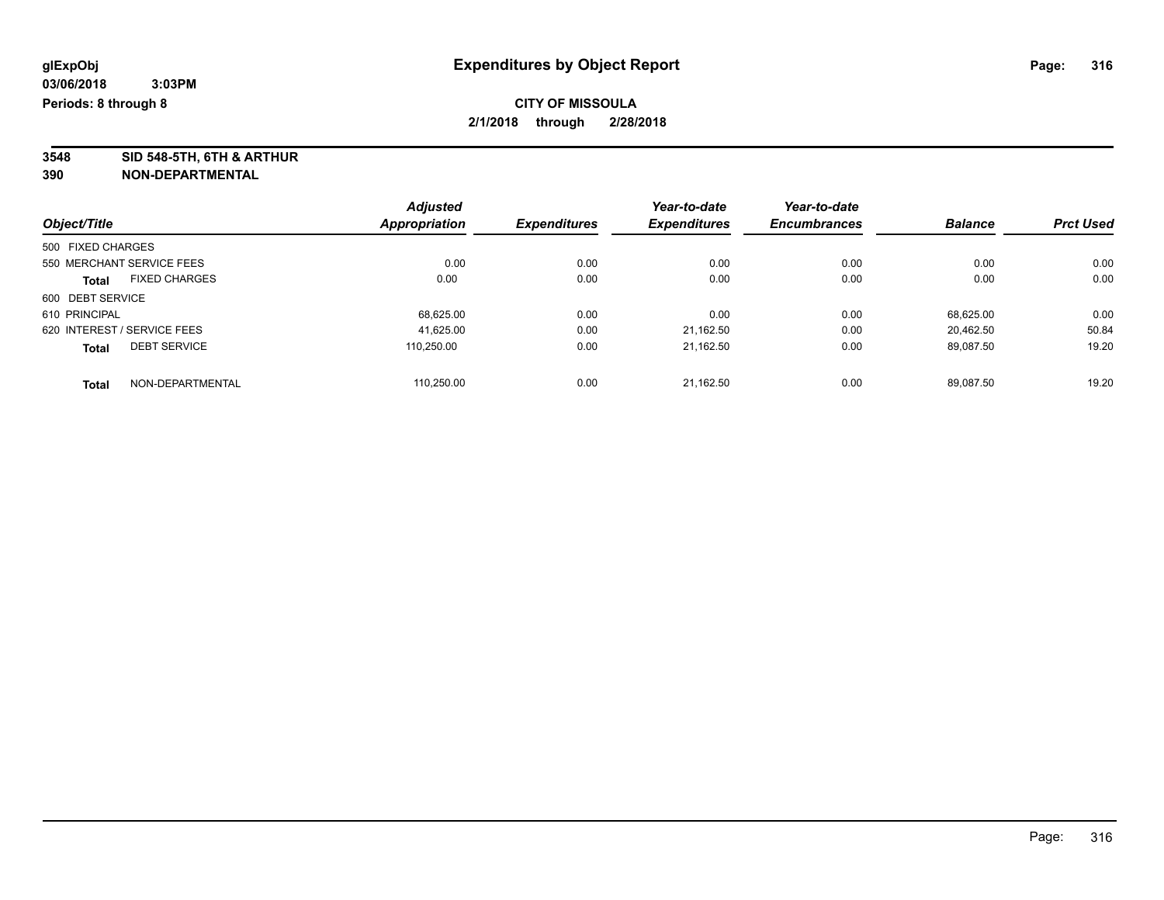**3548 SID 548-5TH, 6TH & ARTHUR**

|                                      | <b>Adjusted</b> |                     | Year-to-date        | Year-to-date<br><b>Encumbrances</b> | <b>Balance</b> | <b>Prct Used</b> |
|--------------------------------------|-----------------|---------------------|---------------------|-------------------------------------|----------------|------------------|
| Object/Title                         | Appropriation   | <b>Expenditures</b> | <b>Expenditures</b> |                                     |                |                  |
| 500 FIXED CHARGES                    |                 |                     |                     |                                     |                |                  |
| 550 MERCHANT SERVICE FEES            | 0.00            | 0.00                | 0.00                | 0.00                                | 0.00           | 0.00             |
| <b>FIXED CHARGES</b><br><b>Total</b> | 0.00            | 0.00                | 0.00                | 0.00                                | 0.00           | 0.00             |
| 600 DEBT SERVICE                     |                 |                     |                     |                                     |                |                  |
| 610 PRINCIPAL                        | 68,625.00       | 0.00                | 0.00                | 0.00                                | 68.625.00      | 0.00             |
| 620 INTEREST / SERVICE FEES          | 41.625.00       | 0.00                | 21,162.50           | 0.00                                | 20.462.50      | 50.84            |
| <b>DEBT SERVICE</b><br><b>Total</b>  | 110.250.00      | 0.00                | 21.162.50           | 0.00                                | 89.087.50      | 19.20            |
| NON-DEPARTMENTAL<br><b>Total</b>     | 110.250.00      | 0.00                | 21.162.50           | 0.00                                | 89.087.50      | 19.20            |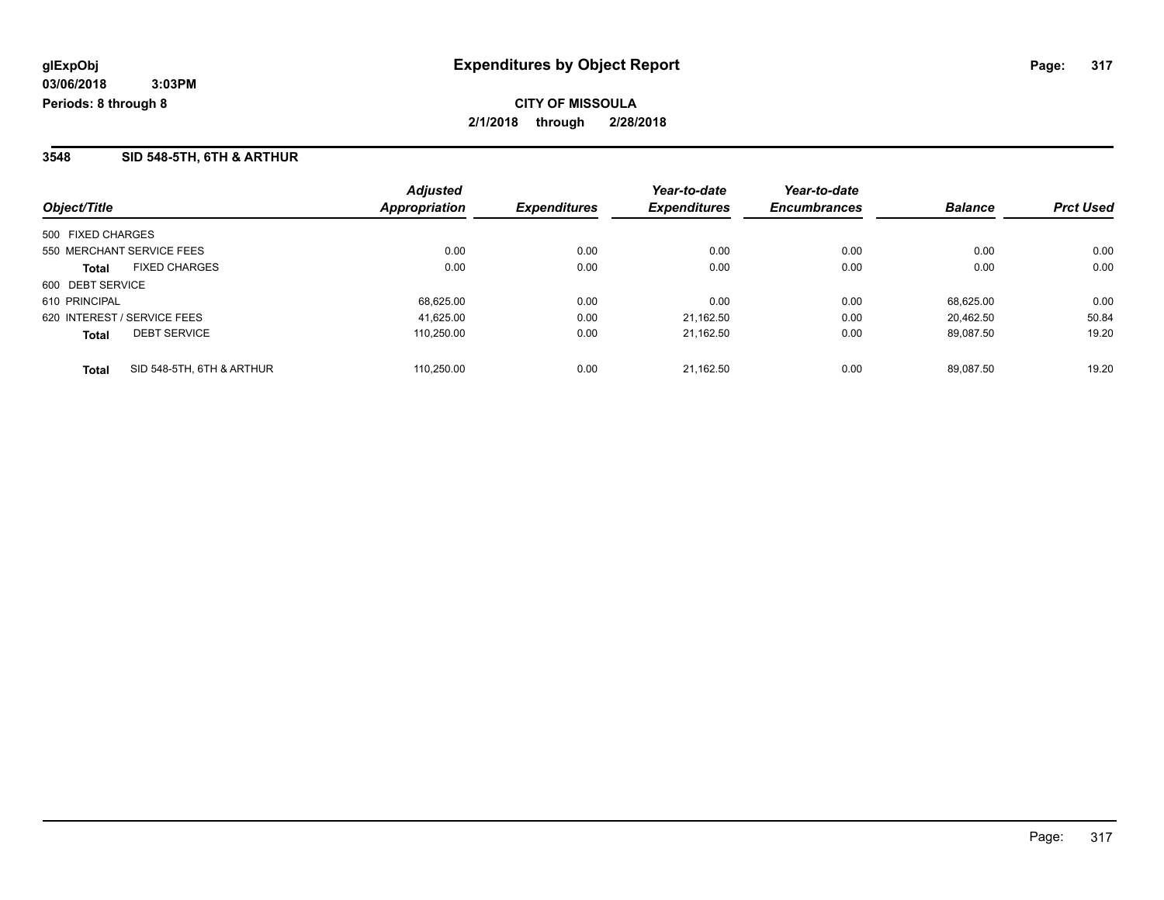### **3548 SID 548-5TH, 6TH & ARTHUR**

| Object/Title                              | <b>Adjusted</b><br><b>Appropriation</b> | <b>Expenditures</b> | Year-to-date<br><b>Expenditures</b> | Year-to-date<br><b>Encumbrances</b> | <b>Balance</b> | <b>Prct Used</b> |
|-------------------------------------------|-----------------------------------------|---------------------|-------------------------------------|-------------------------------------|----------------|------------------|
|                                           |                                         |                     |                                     |                                     |                |                  |
| 500 FIXED CHARGES                         |                                         |                     |                                     |                                     |                |                  |
| 550 MERCHANT SERVICE FEES                 | 0.00                                    | 0.00                | 0.00                                | 0.00                                | 0.00           | 0.00             |
| <b>FIXED CHARGES</b><br>Total             | 0.00                                    | 0.00                | 0.00                                | 0.00                                | 0.00           | 0.00             |
| 600 DEBT SERVICE                          |                                         |                     |                                     |                                     |                |                  |
| 610 PRINCIPAL                             | 68,625.00                               | 0.00                | 0.00                                | 0.00                                | 68.625.00      | 0.00             |
| 620 INTEREST / SERVICE FEES               | 41.625.00                               | 0.00                | 21.162.50                           | 0.00                                | 20.462.50      | 50.84            |
| <b>DEBT SERVICE</b><br><b>Total</b>       | 110.250.00                              | 0.00                | 21.162.50                           | 0.00                                | 89.087.50      | 19.20            |
| SID 548-5TH, 6TH & ARTHUR<br><b>Total</b> | 110.250.00                              | 0.00                | 21.162.50                           | 0.00                                | 89.087.50      | 19.20            |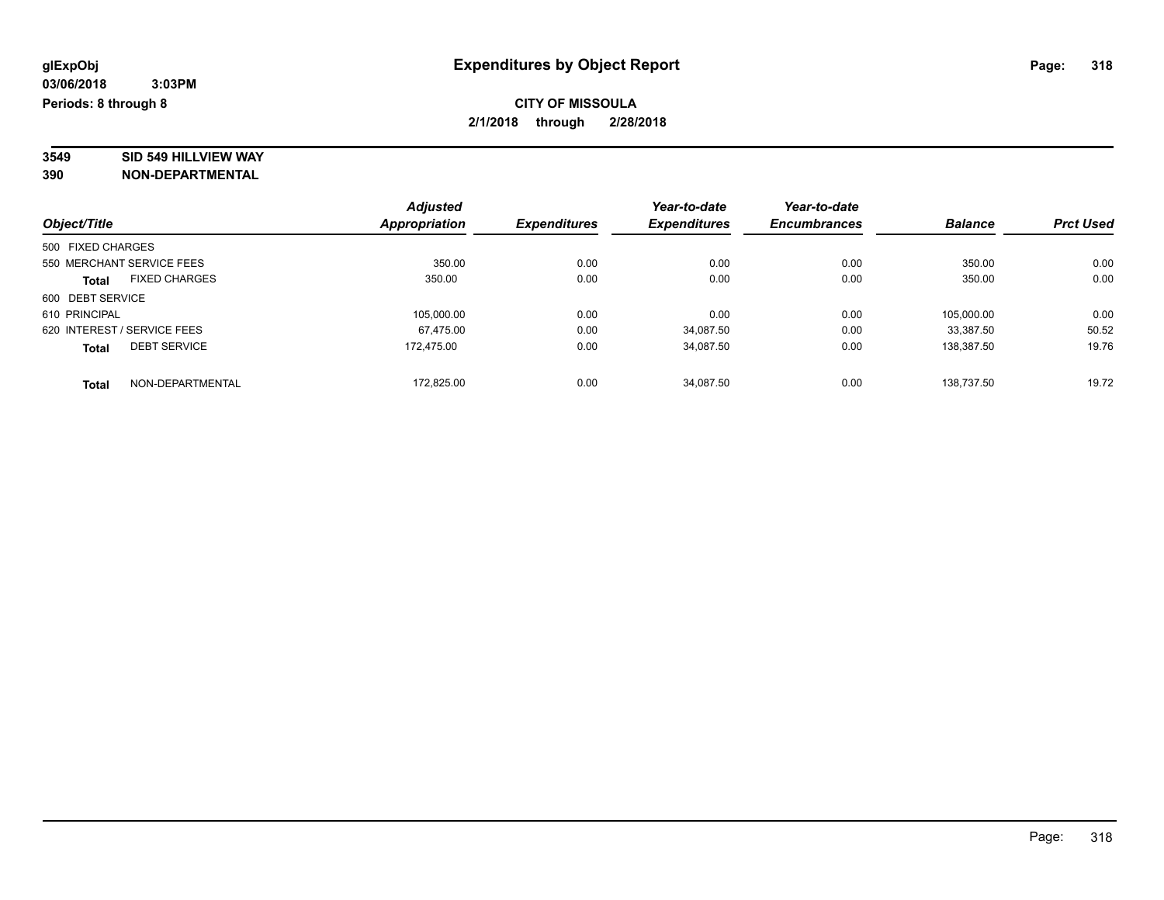# **3549 SID 549 HILLVIEW WAY**

|                                      | <b>Adjusted</b> |                     | Year-to-date        | Year-to-date        |                |                  |
|--------------------------------------|-----------------|---------------------|---------------------|---------------------|----------------|------------------|
| Object/Title                         | Appropriation   | <b>Expenditures</b> | <b>Expenditures</b> | <b>Encumbrances</b> | <b>Balance</b> | <b>Prct Used</b> |
| 500 FIXED CHARGES                    |                 |                     |                     |                     |                |                  |
| 550 MERCHANT SERVICE FEES            | 350.00          | 0.00                | 0.00                | 0.00                | 350.00         | 0.00             |
| <b>FIXED CHARGES</b><br><b>Total</b> | 350.00          | 0.00                | 0.00                | 0.00                | 350.00         | 0.00             |
| 600 DEBT SERVICE                     |                 |                     |                     |                     |                |                  |
| 610 PRINCIPAL                        | 105,000.00      | 0.00                | 0.00                | 0.00                | 105.000.00     | 0.00             |
| 620 INTEREST / SERVICE FEES          | 67,475.00       | 0.00                | 34,087.50           | 0.00                | 33.387.50      | 50.52            |
| <b>DEBT SERVICE</b><br><b>Total</b>  | 172.475.00      | 0.00                | 34,087.50           | 0.00                | 138.387.50     | 19.76            |
| NON-DEPARTMENTAL<br><b>Total</b>     | 172.825.00      | 0.00                | 34.087.50           | 0.00                | 138.737.50     | 19.72            |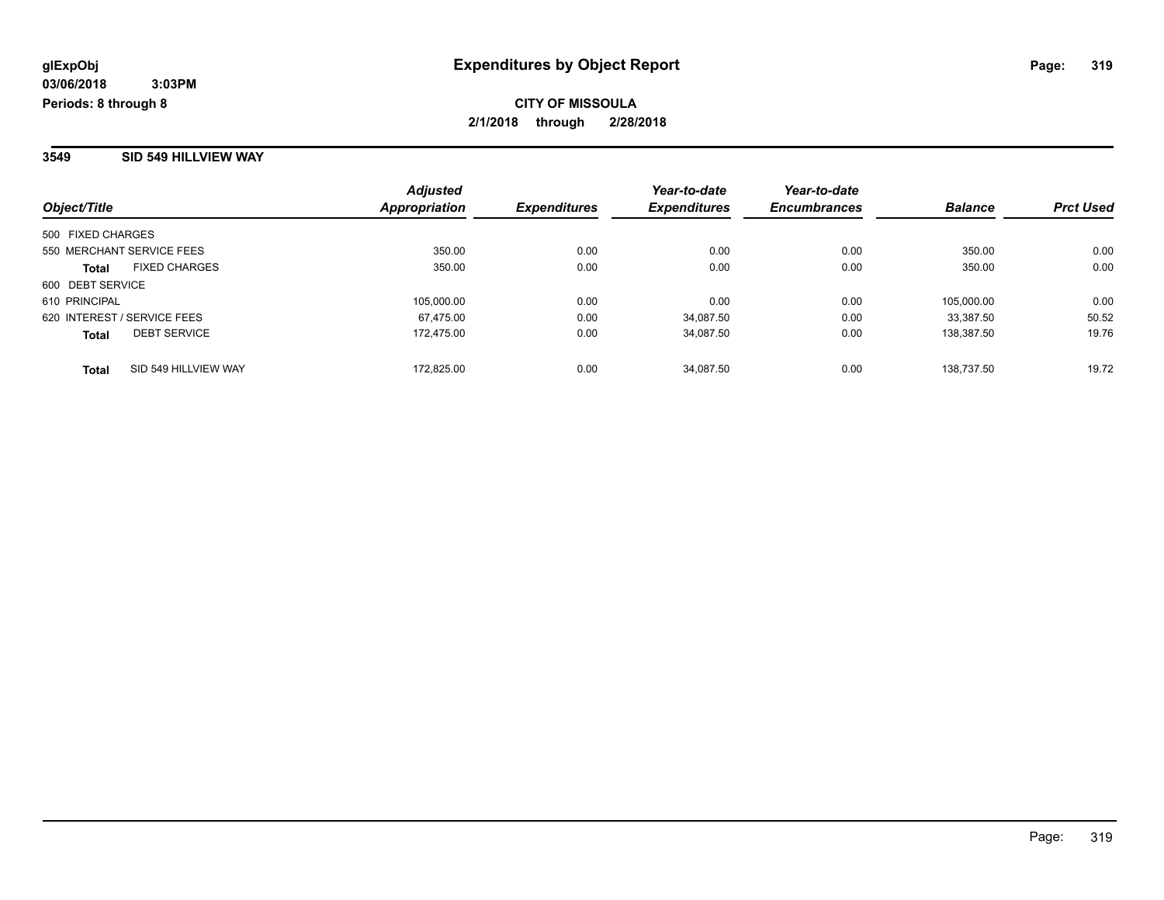#### **3549 SID 549 HILLVIEW WAY**

| Object/Title                         | <b>Adjusted</b><br>Appropriation | <b>Expenditures</b> | Year-to-date<br><b>Expenditures</b> | Year-to-date<br><b>Encumbrances</b> | <b>Balance</b> | <b>Prct Used</b> |
|--------------------------------------|----------------------------------|---------------------|-------------------------------------|-------------------------------------|----------------|------------------|
|                                      |                                  |                     |                                     |                                     |                |                  |
| 500 FIXED CHARGES                    |                                  |                     |                                     |                                     |                |                  |
| 550 MERCHANT SERVICE FEES            | 350.00                           | 0.00                | 0.00                                | 0.00                                | 350.00         | 0.00             |
| <b>FIXED CHARGES</b><br><b>Total</b> | 350.00                           | 0.00                | 0.00                                | 0.00                                | 350.00         | 0.00             |
| 600 DEBT SERVICE                     |                                  |                     |                                     |                                     |                |                  |
| 610 PRINCIPAL                        | 105.000.00                       | 0.00                | 0.00                                | 0.00                                | 105.000.00     | 0.00             |
| 620 INTEREST / SERVICE FEES          | 67.475.00                        | 0.00                | 34.087.50                           | 0.00                                | 33,387.50      | 50.52            |
| <b>DEBT SERVICE</b><br><b>Total</b>  | 172.475.00                       | 0.00                | 34,087.50                           | 0.00                                | 138,387.50     | 19.76            |
| SID 549 HILLVIEW WAY<br>Total        | 172.825.00                       | 0.00                | 34.087.50                           | 0.00                                | 138.737.50     | 19.72            |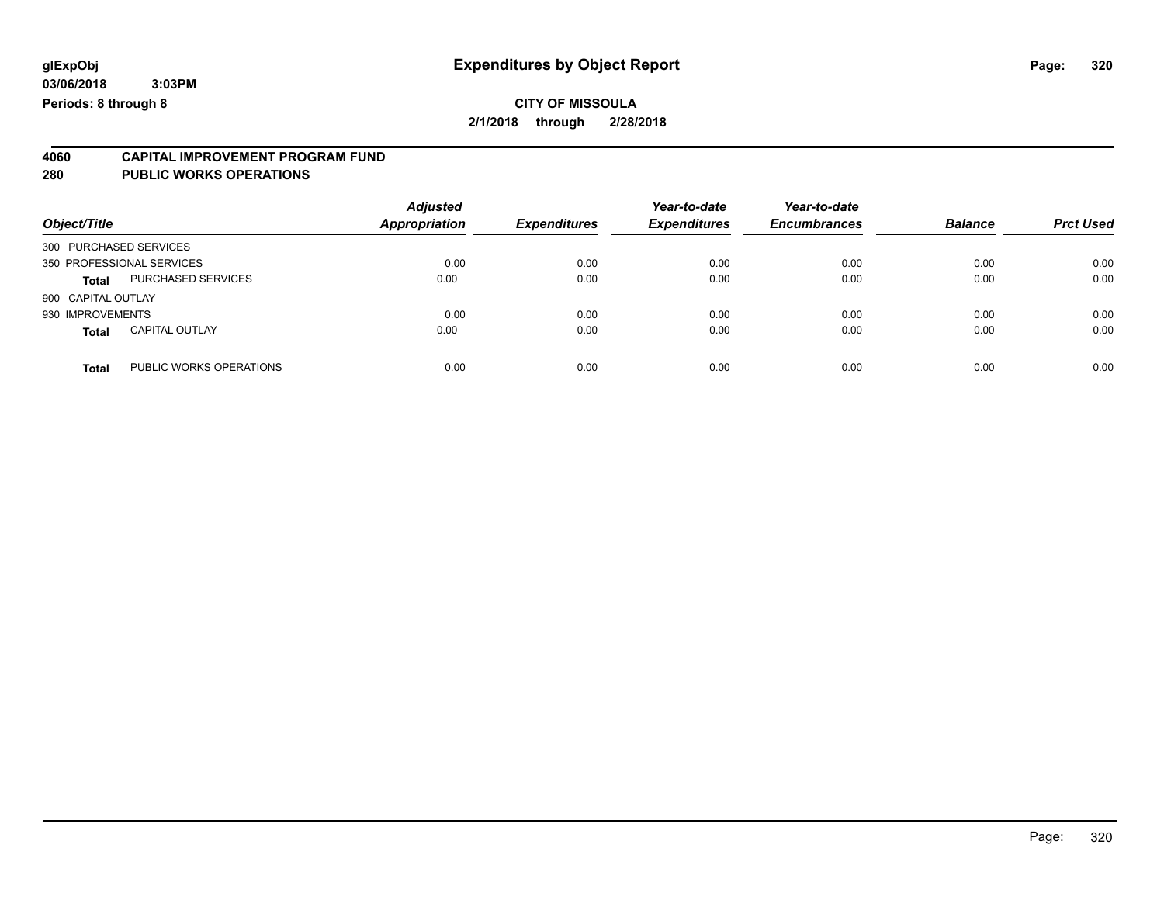#### **CITY OF MISSOULA 2/1/2018 through 2/28/2018**

# **4060 CAPITAL IMPROVEMENT PROGRAM FUND**

#### **280 PUBLIC WORKS OPERATIONS**

| Object/Title                            | <b>Adjusted</b><br>Appropriation | <b>Expenditures</b> | Year-to-date<br><b>Expenditures</b> | Year-to-date<br><b>Encumbrances</b> | <b>Balance</b> | <b>Prct Used</b> |
|-----------------------------------------|----------------------------------|---------------------|-------------------------------------|-------------------------------------|----------------|------------------|
| 300 PURCHASED SERVICES                  |                                  |                     |                                     |                                     |                |                  |
| 350 PROFESSIONAL SERVICES               | 0.00                             | 0.00                | 0.00                                | 0.00                                | 0.00           | 0.00             |
| <b>PURCHASED SERVICES</b><br>Total      | 0.00                             | 0.00                | 0.00                                | 0.00                                | 0.00           | 0.00             |
| 900 CAPITAL OUTLAY                      |                                  |                     |                                     |                                     |                |                  |
| 930 IMPROVEMENTS                        | 0.00                             | 0.00                | 0.00                                | 0.00                                | 0.00           | 0.00             |
| <b>CAPITAL OUTLAY</b><br><b>Total</b>   | 0.00                             | 0.00                | 0.00                                | 0.00                                | 0.00           | 0.00             |
| PUBLIC WORKS OPERATIONS<br><b>Total</b> | 0.00                             | 0.00                | 0.00                                | 0.00                                | 0.00           | 0.00             |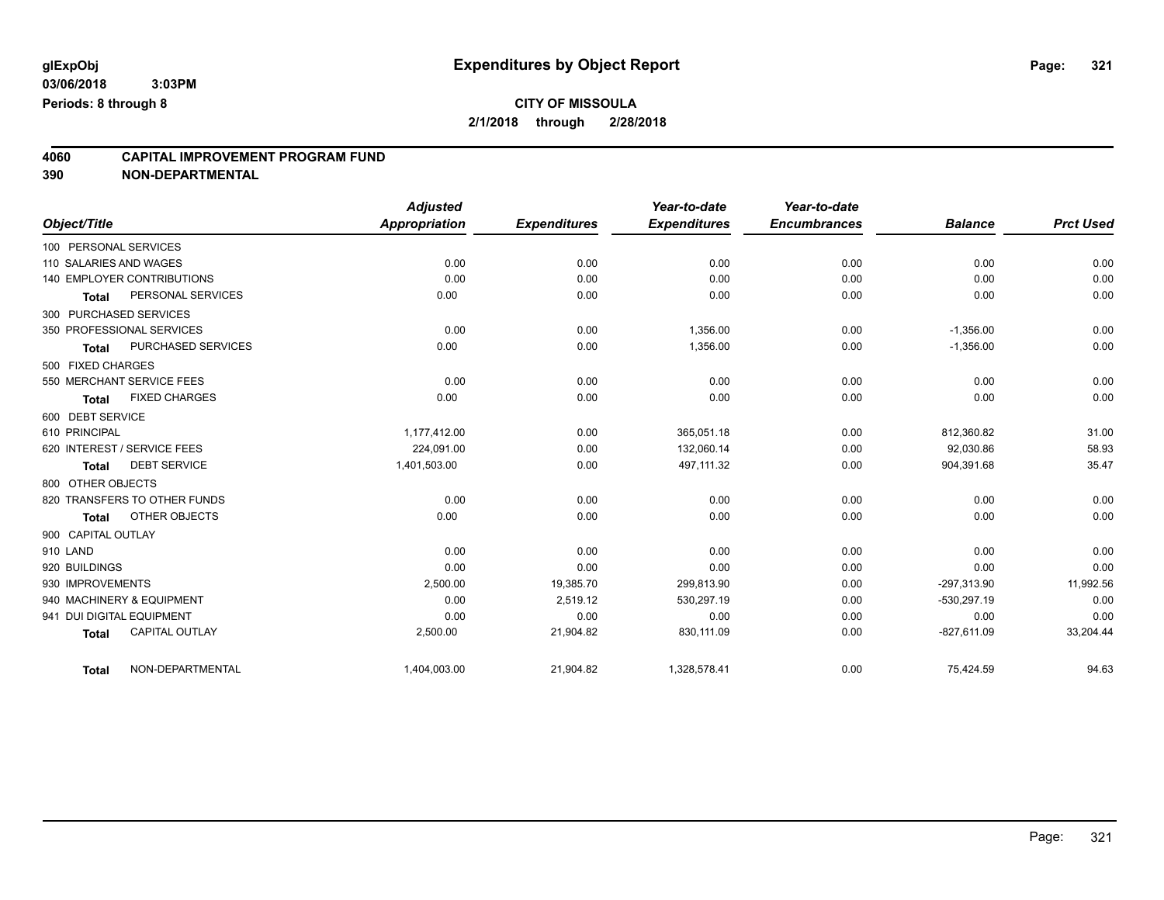# **4060 CAPITAL IMPROVEMENT PROGRAM FUND**

|                                       | <b>Adjusted</b> |                     | Year-to-date        | Year-to-date        |                |                  |
|---------------------------------------|-----------------|---------------------|---------------------|---------------------|----------------|------------------|
| Object/Title                          | Appropriation   | <b>Expenditures</b> | <b>Expenditures</b> | <b>Encumbrances</b> | <b>Balance</b> | <b>Prct Used</b> |
| 100 PERSONAL SERVICES                 |                 |                     |                     |                     |                |                  |
| 110 SALARIES AND WAGES                | 0.00            | 0.00                | 0.00                | 0.00                | 0.00           | 0.00             |
| 140 EMPLOYER CONTRIBUTIONS            | 0.00            | 0.00                | 0.00                | 0.00                | 0.00           | 0.00             |
| PERSONAL SERVICES<br><b>Total</b>     | 0.00            | 0.00                | 0.00                | 0.00                | 0.00           | 0.00             |
| 300 PURCHASED SERVICES                |                 |                     |                     |                     |                |                  |
| 350 PROFESSIONAL SERVICES             | 0.00            | 0.00                | 1,356.00            | 0.00                | $-1,356.00$    | 0.00             |
| PURCHASED SERVICES<br><b>Total</b>    | 0.00            | 0.00                | 1,356.00            | 0.00                | $-1,356.00$    | 0.00             |
| 500 FIXED CHARGES                     |                 |                     |                     |                     |                |                  |
| 550 MERCHANT SERVICE FEES             | 0.00            | 0.00                | 0.00                | 0.00                | 0.00           | 0.00             |
| <b>FIXED CHARGES</b><br><b>Total</b>  | 0.00            | 0.00                | 0.00                | 0.00                | 0.00           | 0.00             |
| 600 DEBT SERVICE                      |                 |                     |                     |                     |                |                  |
| 610 PRINCIPAL                         | 1,177,412.00    | 0.00                | 365,051.18          | 0.00                | 812,360.82     | 31.00            |
| 620 INTEREST / SERVICE FEES           | 224.091.00      | 0.00                | 132.060.14          | 0.00                | 92,030.86      | 58.93            |
| <b>DEBT SERVICE</b><br><b>Total</b>   | 1,401,503.00    | 0.00                | 497,111.32          | 0.00                | 904,391.68     | 35.47            |
| 800 OTHER OBJECTS                     |                 |                     |                     |                     |                |                  |
| 820 TRANSFERS TO OTHER FUNDS          | 0.00            | 0.00                | 0.00                | 0.00                | 0.00           | 0.00             |
| OTHER OBJECTS<br><b>Total</b>         | 0.00            | 0.00                | 0.00                | 0.00                | 0.00           | 0.00             |
| 900 CAPITAL OUTLAY                    |                 |                     |                     |                     |                |                  |
| 910 LAND                              | 0.00            | 0.00                | 0.00                | 0.00                | 0.00           | 0.00             |
| 920 BUILDINGS                         | 0.00            | 0.00                | 0.00                | 0.00                | 0.00           | 0.00             |
| 930 IMPROVEMENTS                      | 2,500.00        | 19,385.70           | 299,813.90          | 0.00                | $-297,313.90$  | 11,992.56        |
| 940 MACHINERY & EQUIPMENT             | 0.00            | 2,519.12            | 530,297.19          | 0.00                | $-530,297.19$  | 0.00             |
| 941 DUI DIGITAL EQUIPMENT             | 0.00            | 0.00                | 0.00                | 0.00                | 0.00           | 0.00             |
| <b>CAPITAL OUTLAY</b><br><b>Total</b> | 2,500.00        | 21,904.82           | 830,111.09          | 0.00                | $-827,611.09$  | 33,204.44        |
| NON-DEPARTMENTAL<br><b>Total</b>      | 1,404,003.00    | 21,904.82           | 1,328,578.41        | 0.00                | 75,424.59      | 94.63            |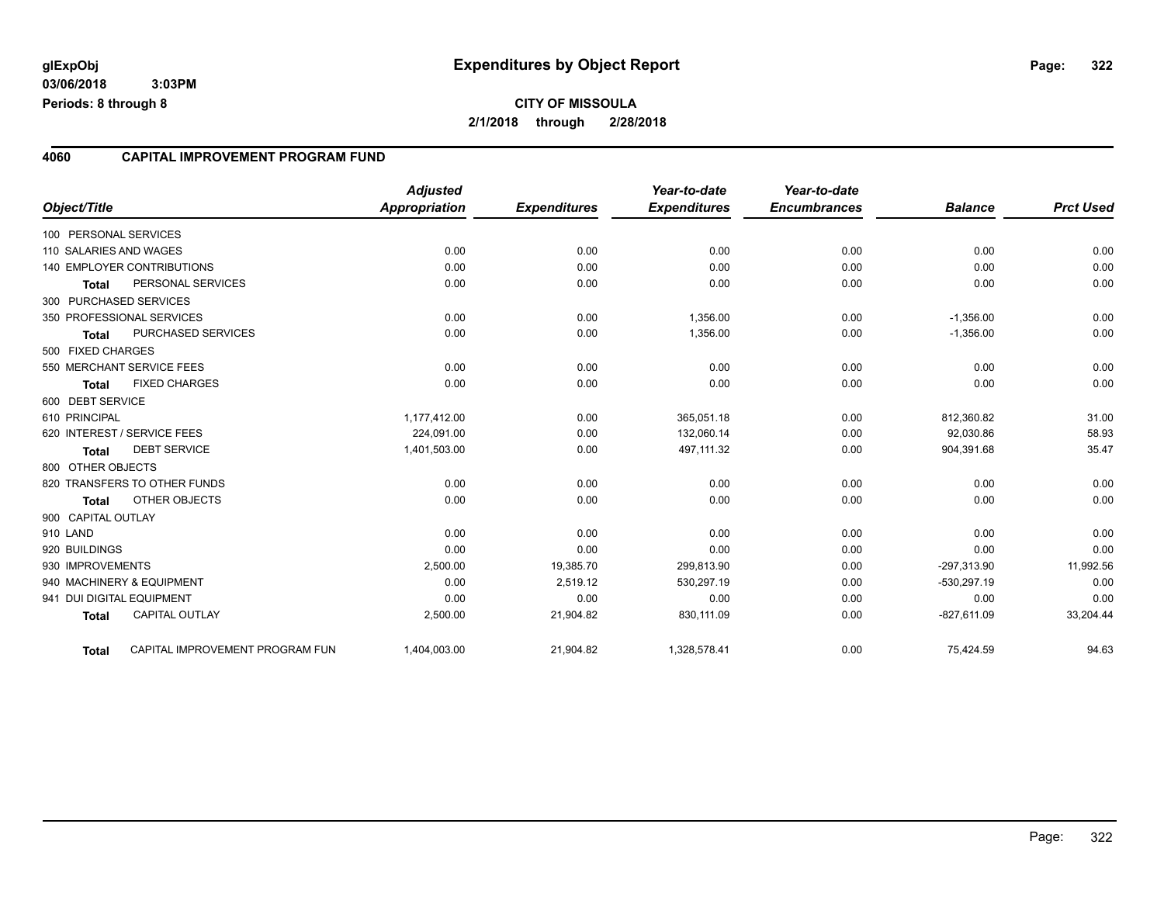#### **4060 CAPITAL IMPROVEMENT PROGRAM FUND**

|                        |                                 | <b>Adjusted</b> |                     | Year-to-date        | Year-to-date        |                |                  |
|------------------------|---------------------------------|-----------------|---------------------|---------------------|---------------------|----------------|------------------|
| Object/Title           |                                 | Appropriation   | <b>Expenditures</b> | <b>Expenditures</b> | <b>Encumbrances</b> | <b>Balance</b> | <b>Prct Used</b> |
| 100 PERSONAL SERVICES  |                                 |                 |                     |                     |                     |                |                  |
| 110 SALARIES AND WAGES |                                 | 0.00            | 0.00                | 0.00                | 0.00                | 0.00           | 0.00             |
|                        | 140 EMPLOYER CONTRIBUTIONS      | 0.00            | 0.00                | 0.00                | 0.00                | 0.00           | 0.00             |
| <b>Total</b>           | PERSONAL SERVICES               | 0.00            | 0.00                | 0.00                | 0.00                | 0.00           | 0.00             |
|                        | 300 PURCHASED SERVICES          |                 |                     |                     |                     |                |                  |
|                        | 350 PROFESSIONAL SERVICES       | 0.00            | 0.00                | 1,356.00            | 0.00                | $-1,356.00$    | 0.00             |
| <b>Total</b>           | PURCHASED SERVICES              | 0.00            | 0.00                | 1,356.00            | 0.00                | $-1,356.00$    | 0.00             |
| 500 FIXED CHARGES      |                                 |                 |                     |                     |                     |                |                  |
|                        | 550 MERCHANT SERVICE FEES       | 0.00            | 0.00                | 0.00                | 0.00                | 0.00           | 0.00             |
| <b>Total</b>           | <b>FIXED CHARGES</b>            | 0.00            | 0.00                | 0.00                | 0.00                | 0.00           | 0.00             |
| 600 DEBT SERVICE       |                                 |                 |                     |                     |                     |                |                  |
| 610 PRINCIPAL          |                                 | 1,177,412.00    | 0.00                | 365,051.18          | 0.00                | 812,360.82     | 31.00            |
|                        | 620 INTEREST / SERVICE FEES     | 224,091.00      | 0.00                | 132,060.14          | 0.00                | 92,030.86      | 58.93            |
| <b>Total</b>           | <b>DEBT SERVICE</b>             | 1,401,503.00    | 0.00                | 497,111.32          | 0.00                | 904,391.68     | 35.47            |
| 800 OTHER OBJECTS      |                                 |                 |                     |                     |                     |                |                  |
|                        | 820 TRANSFERS TO OTHER FUNDS    | 0.00            | 0.00                | 0.00                | 0.00                | 0.00           | 0.00             |
| <b>Total</b>           | OTHER OBJECTS                   | 0.00            | 0.00                | 0.00                | 0.00                | 0.00           | 0.00             |
| 900 CAPITAL OUTLAY     |                                 |                 |                     |                     |                     |                |                  |
| 910 LAND               |                                 | 0.00            | 0.00                | 0.00                | 0.00                | 0.00           | 0.00             |
| 920 BUILDINGS          |                                 | 0.00            | 0.00                | 0.00                | 0.00                | 0.00           | 0.00             |
| 930 IMPROVEMENTS       |                                 | 2,500.00        | 19,385.70           | 299,813.90          | 0.00                | $-297,313.90$  | 11,992.56        |
|                        | 940 MACHINERY & EQUIPMENT       | 0.00            | 2,519.12            | 530,297.19          | 0.00                | $-530,297.19$  | 0.00             |
|                        | 941 DUI DIGITAL EQUIPMENT       | 0.00            | 0.00                | 0.00                | 0.00                | 0.00           | 0.00             |
| <b>Total</b>           | <b>CAPITAL OUTLAY</b>           | 2,500.00        | 21,904.82           | 830,111.09          | 0.00                | $-827,611.09$  | 33,204.44        |
| <b>Total</b>           | CAPITAL IMPROVEMENT PROGRAM FUN | 1,404,003.00    | 21,904.82           | 1,328,578.41        | 0.00                | 75,424.59      | 94.63            |

Page: 322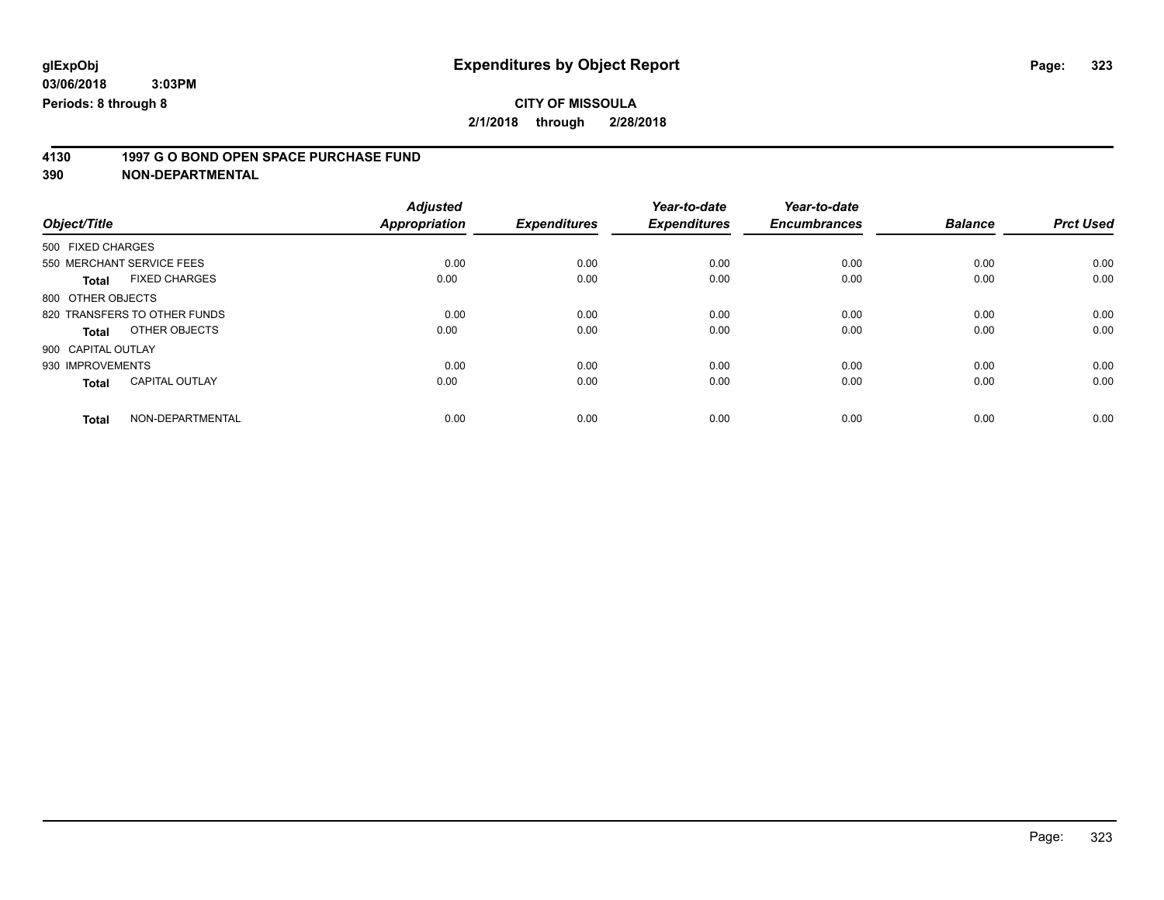# **CITY OF MISSOULA**

**2/1/2018 through 2/28/2018**

# **4130 1997 G O BOND OPEN SPACE PURCHASE FUND**

|                                       | <b>Adjusted</b>      |                     | Year-to-date        | Year-to-date        |                |                  |
|---------------------------------------|----------------------|---------------------|---------------------|---------------------|----------------|------------------|
| Object/Title                          | <b>Appropriation</b> | <b>Expenditures</b> | <b>Expenditures</b> | <b>Encumbrances</b> | <b>Balance</b> | <b>Prct Used</b> |
| 500 FIXED CHARGES                     |                      |                     |                     |                     |                |                  |
| 550 MERCHANT SERVICE FEES             | 0.00                 | 0.00                | 0.00                | 0.00                | 0.00           | 0.00             |
| <b>FIXED CHARGES</b><br><b>Total</b>  | 0.00                 | 0.00                | 0.00                | 0.00                | 0.00           | 0.00             |
| 800 OTHER OBJECTS                     |                      |                     |                     |                     |                |                  |
| 820 TRANSFERS TO OTHER FUNDS          | 0.00                 | 0.00                | 0.00                | 0.00                | 0.00           | 0.00             |
| OTHER OBJECTS<br>Total                | 0.00                 | 0.00                | 0.00                | 0.00                | 0.00           | 0.00             |
| 900 CAPITAL OUTLAY                    |                      |                     |                     |                     |                |                  |
| 930 IMPROVEMENTS                      | 0.00                 | 0.00                | 0.00                | 0.00                | 0.00           | 0.00             |
| <b>CAPITAL OUTLAY</b><br><b>Total</b> | 0.00                 | 0.00                | 0.00                | 0.00                | 0.00           | 0.00             |
| NON-DEPARTMENTAL<br><b>Total</b>      | 0.00                 | 0.00                | 0.00                | 0.00                | 0.00           | 0.00             |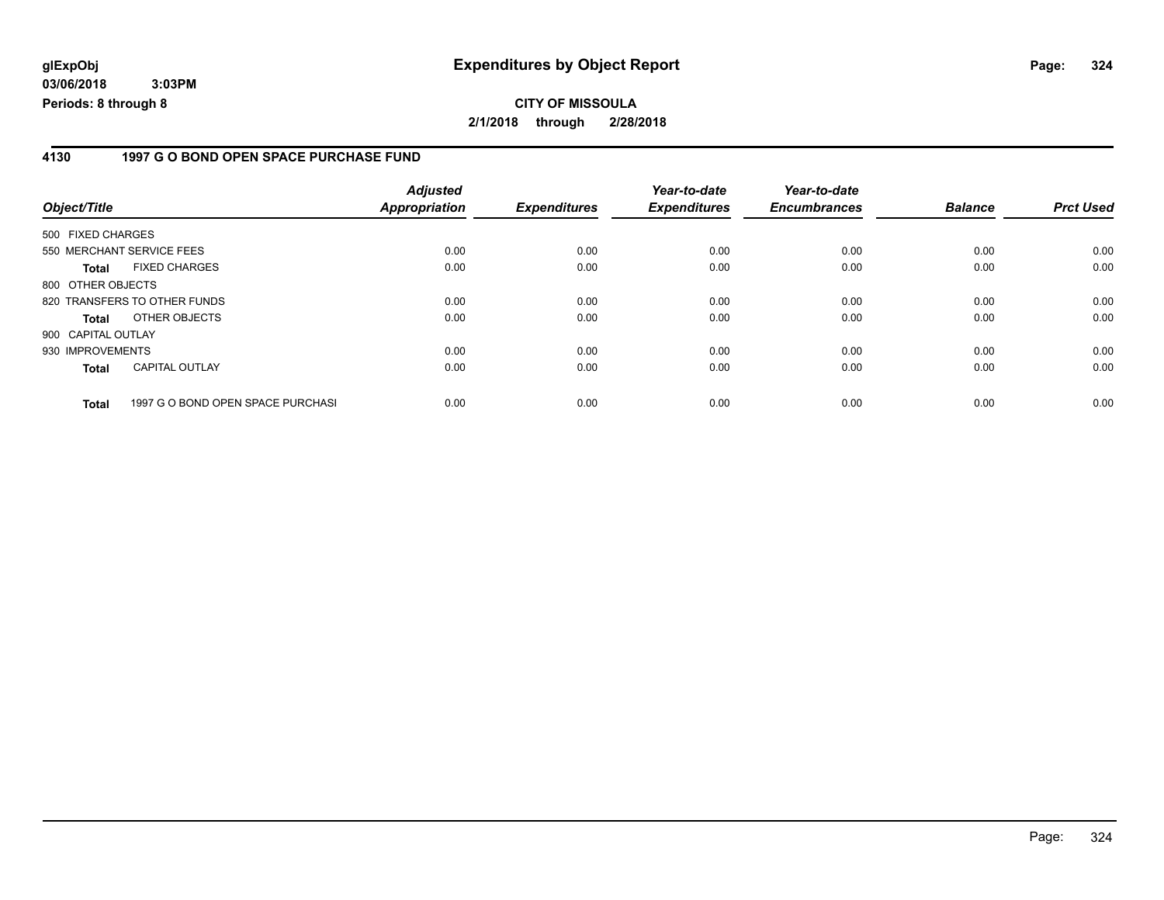#### **4130 1997 G O BOND OPEN SPACE PURCHASE FUND**

| Object/Title                 |                                   | <b>Adjusted</b><br>Appropriation | <b>Expenditures</b> | Year-to-date<br><b>Expenditures</b> | Year-to-date<br><b>Encumbrances</b> | <b>Balance</b> | <b>Prct Used</b> |
|------------------------------|-----------------------------------|----------------------------------|---------------------|-------------------------------------|-------------------------------------|----------------|------------------|
| 500 FIXED CHARGES            |                                   |                                  |                     |                                     |                                     |                |                  |
| 550 MERCHANT SERVICE FEES    |                                   | 0.00                             | 0.00                | 0.00                                | 0.00                                | 0.00           | 0.00             |
| <b>Total</b>                 | <b>FIXED CHARGES</b>              | 0.00                             | 0.00                | 0.00                                | 0.00                                | 0.00           | 0.00             |
| 800 OTHER OBJECTS            |                                   |                                  |                     |                                     |                                     |                |                  |
| 820 TRANSFERS TO OTHER FUNDS |                                   | 0.00                             | 0.00                | 0.00                                | 0.00                                | 0.00           | 0.00             |
| <b>Total</b>                 | OTHER OBJECTS                     | 0.00                             | 0.00                | 0.00                                | 0.00                                | 0.00           | 0.00             |
| 900 CAPITAL OUTLAY           |                                   |                                  |                     |                                     |                                     |                |                  |
| 930 IMPROVEMENTS             |                                   | 0.00                             | 0.00                | 0.00                                | 0.00                                | 0.00           | 0.00             |
| <b>Total</b>                 | <b>CAPITAL OUTLAY</b>             | 0.00                             | 0.00                | 0.00                                | 0.00                                | 0.00           | 0.00             |
| <b>Total</b>                 | 1997 G O BOND OPEN SPACE PURCHASI | 0.00                             | 0.00                | 0.00                                | 0.00                                | 0.00           | 0.00             |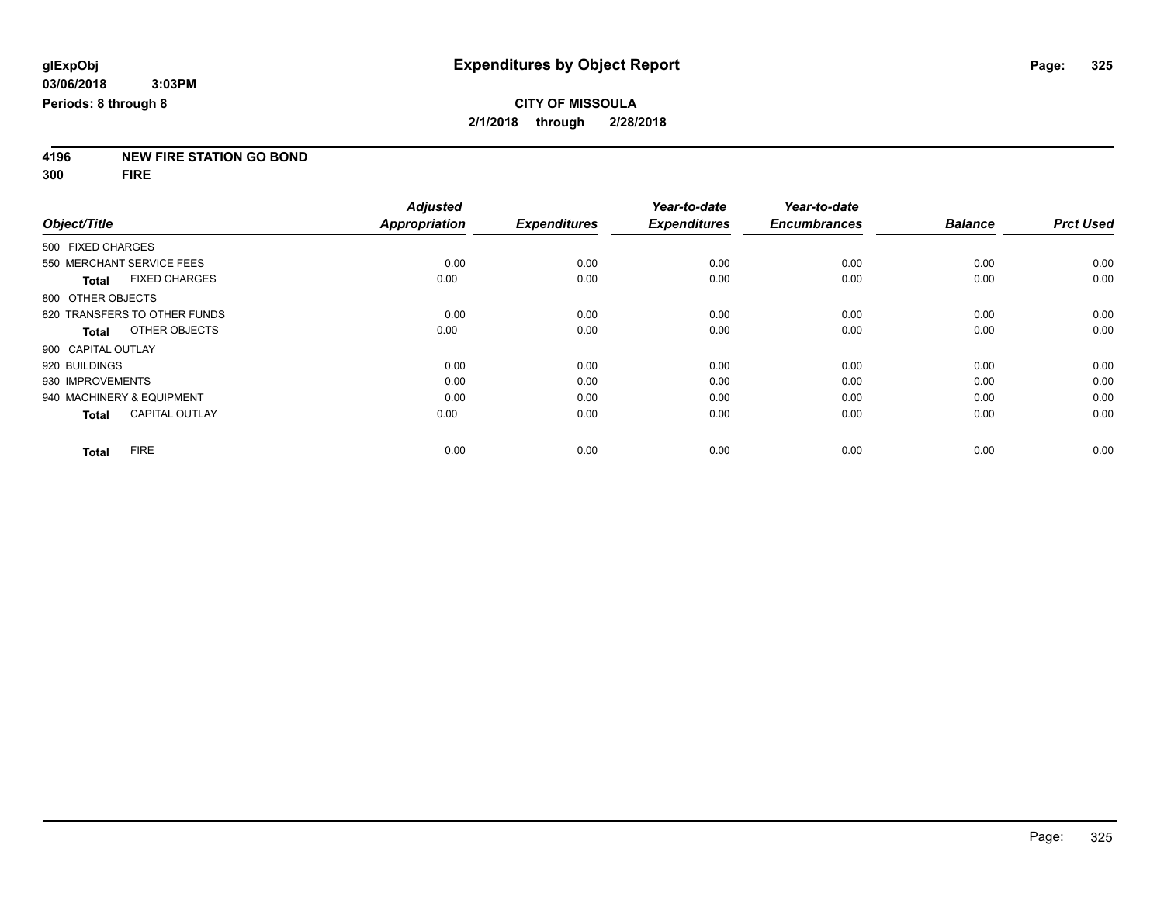# **4196 NEW FIRE STATION GO BOND**

**300 FIRE**

|                              |                       | <b>Adjusted</b>      |                     | Year-to-date        | Year-to-date        |                |                  |
|------------------------------|-----------------------|----------------------|---------------------|---------------------|---------------------|----------------|------------------|
| Object/Title                 |                       | <b>Appropriation</b> | <b>Expenditures</b> | <b>Expenditures</b> | <b>Encumbrances</b> | <b>Balance</b> | <b>Prct Used</b> |
| 500 FIXED CHARGES            |                       |                      |                     |                     |                     |                |                  |
| 550 MERCHANT SERVICE FEES    |                       | 0.00                 | 0.00                | 0.00                | 0.00                | 0.00           | 0.00             |
| <b>Total</b>                 | <b>FIXED CHARGES</b>  | 0.00                 | 0.00                | 0.00                | 0.00                | 0.00           | 0.00             |
| 800 OTHER OBJECTS            |                       |                      |                     |                     |                     |                |                  |
| 820 TRANSFERS TO OTHER FUNDS |                       | 0.00                 | 0.00                | 0.00                | 0.00                | 0.00           | 0.00             |
| <b>Total</b>                 | OTHER OBJECTS         | 0.00                 | 0.00                | 0.00                | 0.00                | 0.00           | 0.00             |
| 900 CAPITAL OUTLAY           |                       |                      |                     |                     |                     |                |                  |
| 920 BUILDINGS                |                       | 0.00                 | 0.00                | 0.00                | 0.00                | 0.00           | 0.00             |
| 930 IMPROVEMENTS             |                       | 0.00                 | 0.00                | 0.00                | 0.00                | 0.00           | 0.00             |
| 940 MACHINERY & EQUIPMENT    |                       | 0.00                 | 0.00                | 0.00                | 0.00                | 0.00           | 0.00             |
| <b>Total</b>                 | <b>CAPITAL OUTLAY</b> | 0.00                 | 0.00                | 0.00                | 0.00                | 0.00           | 0.00             |
| <b>FIRE</b><br>Total         |                       | 0.00                 | 0.00                | 0.00                | 0.00                | 0.00           | 0.00             |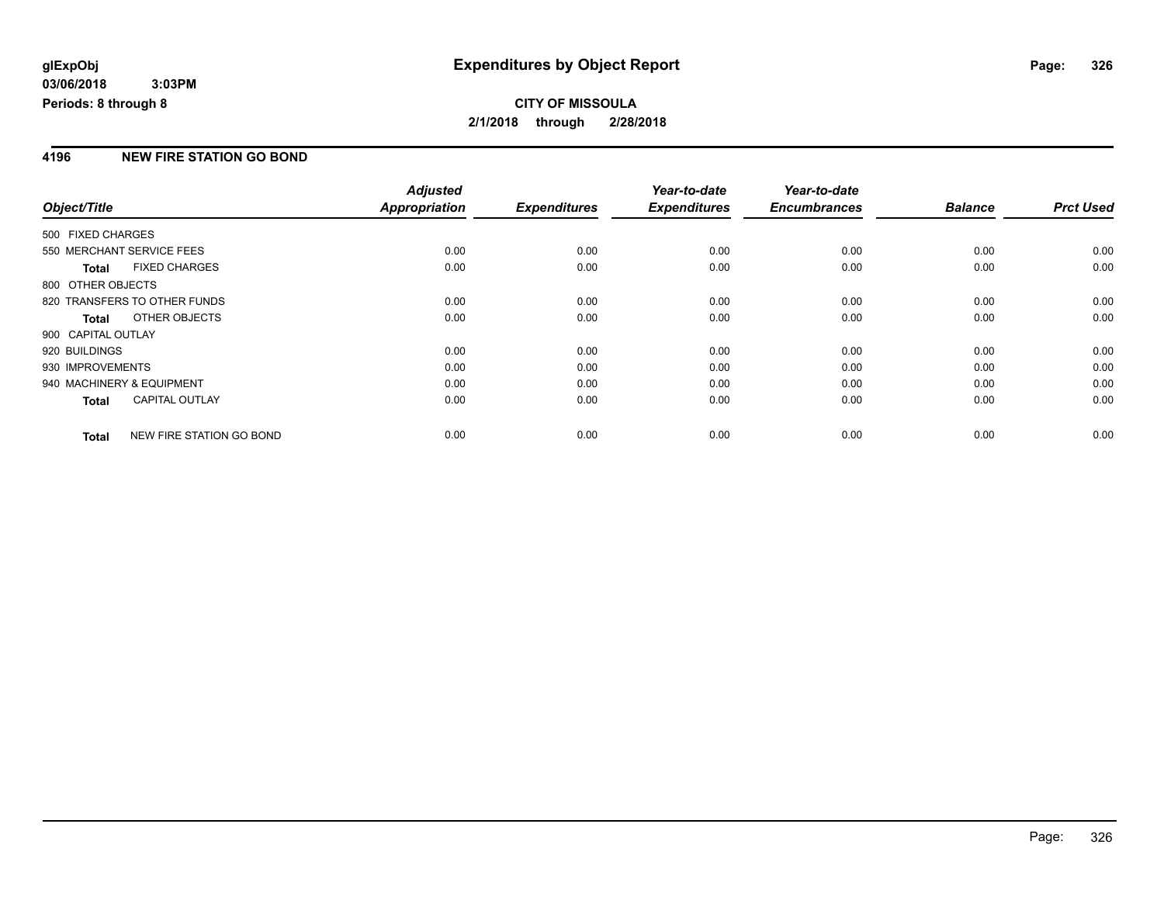### **4196 NEW FIRE STATION GO BOND**

|                    |                              | <b>Adjusted</b>      |                     | Year-to-date        | Year-to-date        |                |                  |
|--------------------|------------------------------|----------------------|---------------------|---------------------|---------------------|----------------|------------------|
| Object/Title       |                              | <b>Appropriation</b> | <b>Expenditures</b> | <b>Expenditures</b> | <b>Encumbrances</b> | <b>Balance</b> | <b>Prct Used</b> |
| 500 FIXED CHARGES  |                              |                      |                     |                     |                     |                |                  |
|                    | 550 MERCHANT SERVICE FEES    | 0.00                 | 0.00                | 0.00                | 0.00                | 0.00           | 0.00             |
| <b>Total</b>       | <b>FIXED CHARGES</b>         | 0.00                 | 0.00                | 0.00                | 0.00                | 0.00           | 0.00             |
| 800 OTHER OBJECTS  |                              |                      |                     |                     |                     |                |                  |
|                    | 820 TRANSFERS TO OTHER FUNDS | 0.00                 | 0.00                | 0.00                | 0.00                | 0.00           | 0.00             |
| Total              | OTHER OBJECTS                | 0.00                 | 0.00                | 0.00                | 0.00                | 0.00           | 0.00             |
| 900 CAPITAL OUTLAY |                              |                      |                     |                     |                     |                |                  |
| 920 BUILDINGS      |                              | 0.00                 | 0.00                | 0.00                | 0.00                | 0.00           | 0.00             |
| 930 IMPROVEMENTS   |                              | 0.00                 | 0.00                | 0.00                | 0.00                | 0.00           | 0.00             |
|                    | 940 MACHINERY & EQUIPMENT    | 0.00                 | 0.00                | 0.00                | 0.00                | 0.00           | 0.00             |
| <b>Total</b>       | <b>CAPITAL OUTLAY</b>        | 0.00                 | 0.00                | 0.00                | 0.00                | 0.00           | 0.00             |
| <b>Total</b>       | NEW FIRE STATION GO BOND     | 0.00                 | 0.00                | 0.00                | 0.00                | 0.00           | 0.00             |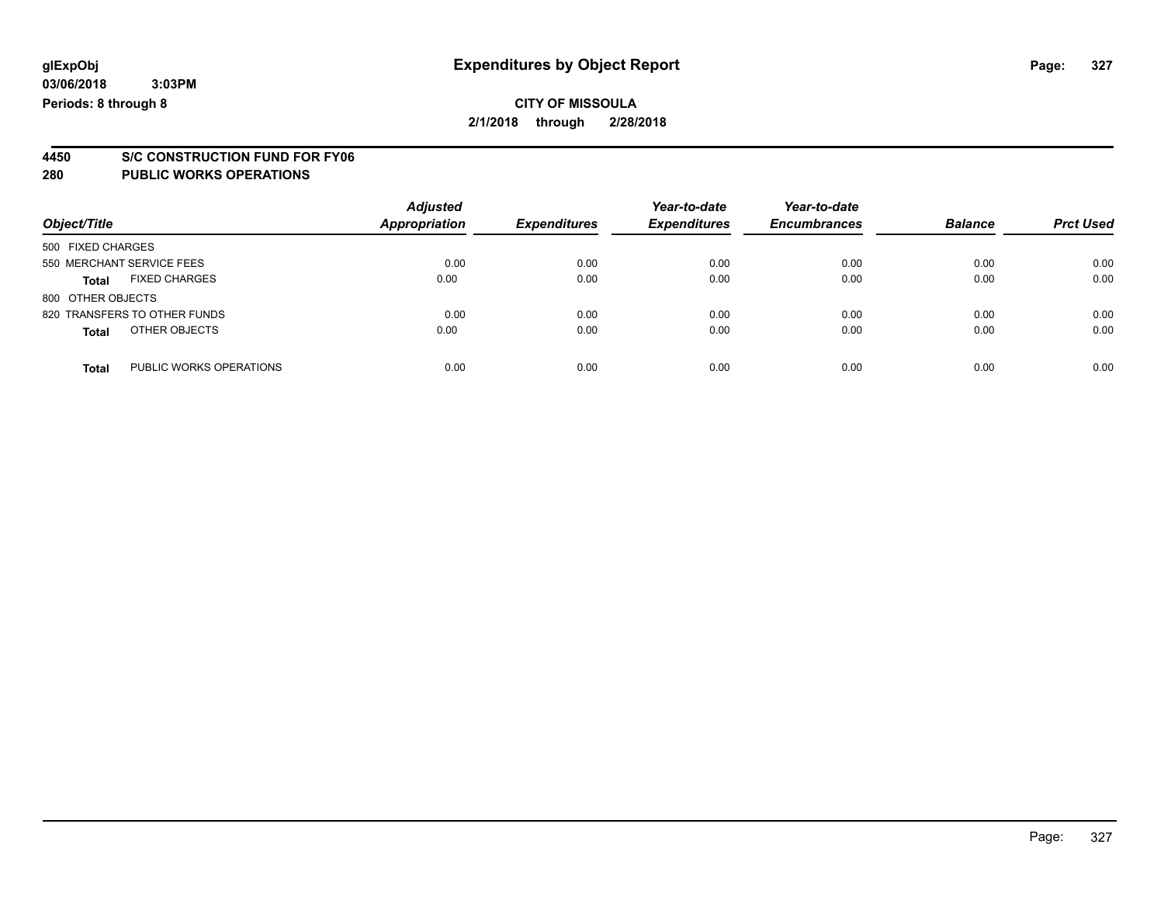# **4450 S/C CONSTRUCTION FUND FOR FY06**

| Object/Title                            | <b>Adjusted</b><br>Appropriation | <b>Expenditures</b> | Year-to-date<br><b>Expenditures</b> | Year-to-date<br><b>Encumbrances</b> | <b>Balance</b> | <b>Prct Used</b> |
|-----------------------------------------|----------------------------------|---------------------|-------------------------------------|-------------------------------------|----------------|------------------|
| 500 FIXED CHARGES                       |                                  |                     |                                     |                                     |                |                  |
| 550 MERCHANT SERVICE FEES               | 0.00                             | 0.00                | 0.00                                | 0.00                                | 0.00           | 0.00             |
| <b>FIXED CHARGES</b><br><b>Total</b>    | 0.00                             | 0.00                | 0.00                                | 0.00                                | 0.00           | 0.00             |
| 800 OTHER OBJECTS                       |                                  |                     |                                     |                                     |                |                  |
| 820 TRANSFERS TO OTHER FUNDS            | 0.00                             | 0.00                | 0.00                                | 0.00                                | 0.00           | 0.00             |
| OTHER OBJECTS<br><b>Total</b>           | 0.00                             | 0.00                | 0.00                                | 0.00                                | 0.00           | 0.00             |
| PUBLIC WORKS OPERATIONS<br><b>Total</b> | 0.00                             | 0.00                | 0.00                                | 0.00                                | 0.00           | 0.00             |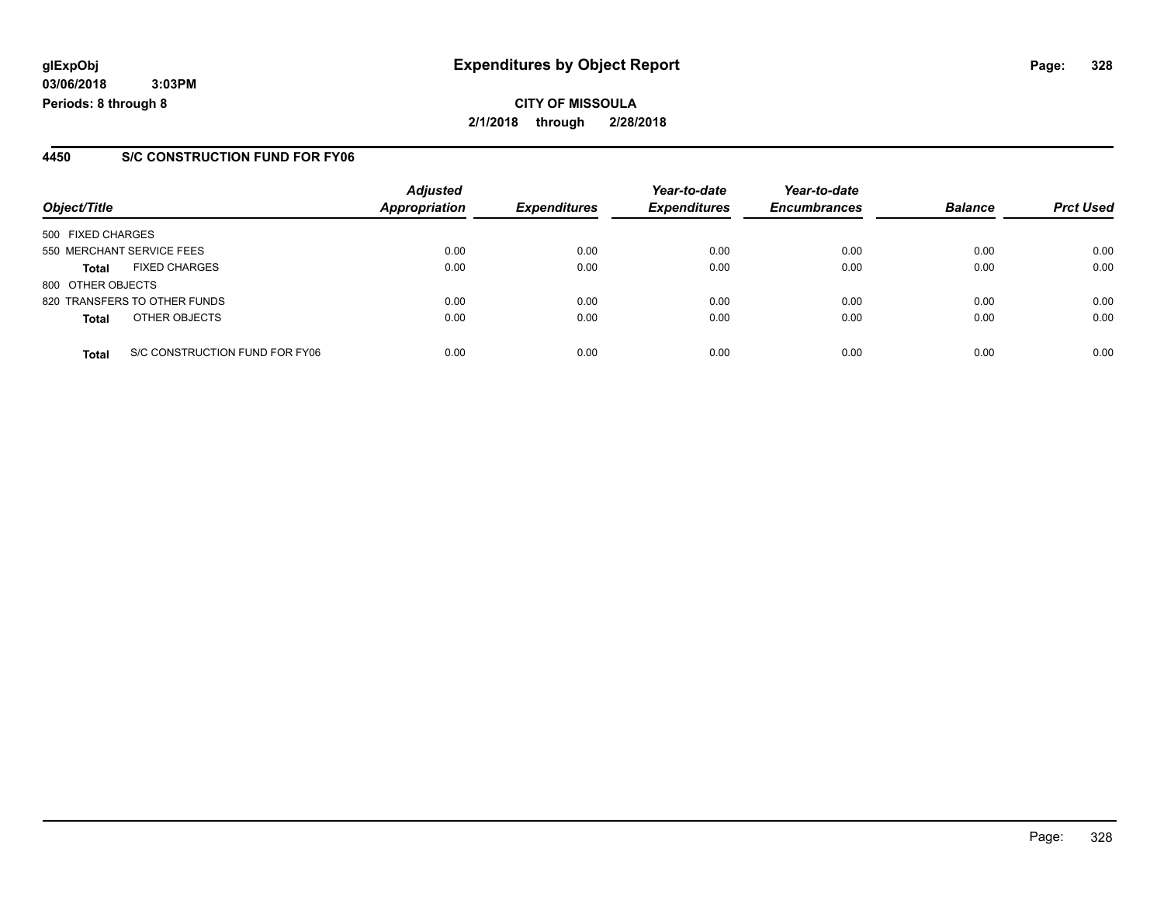**CITY OF MISSOULA 2/1/2018 through 2/28/2018**

#### **4450 S/C CONSTRUCTION FUND FOR FY06**

|                   |                                | <b>Adjusted</b> |                     | Year-to-date        | Year-to-date        |                |                  |
|-------------------|--------------------------------|-----------------|---------------------|---------------------|---------------------|----------------|------------------|
| Object/Title      |                                | Appropriation   | <b>Expenditures</b> | <b>Expenditures</b> | <b>Encumbrances</b> | <b>Balance</b> | <b>Prct Used</b> |
| 500 FIXED CHARGES |                                |                 |                     |                     |                     |                |                  |
|                   | 550 MERCHANT SERVICE FEES      | 0.00            | 0.00                | 0.00                | 0.00                | 0.00           | 0.00             |
| <b>Total</b>      | <b>FIXED CHARGES</b>           | 0.00            | 0.00                | 0.00                | 0.00                | 0.00           | 0.00             |
| 800 OTHER OBJECTS |                                |                 |                     |                     |                     |                |                  |
|                   | 820 TRANSFERS TO OTHER FUNDS   | 0.00            | 0.00                | 0.00                | 0.00                | 0.00           | 0.00             |
| <b>Total</b>      | OTHER OBJECTS                  | 0.00            | 0.00                | 0.00                | 0.00                | 0.00           | 0.00             |
| <b>Total</b>      | S/C CONSTRUCTION FUND FOR FY06 | 0.00            | 0.00                | 0.00                | 0.00                | 0.00           | 0.00             |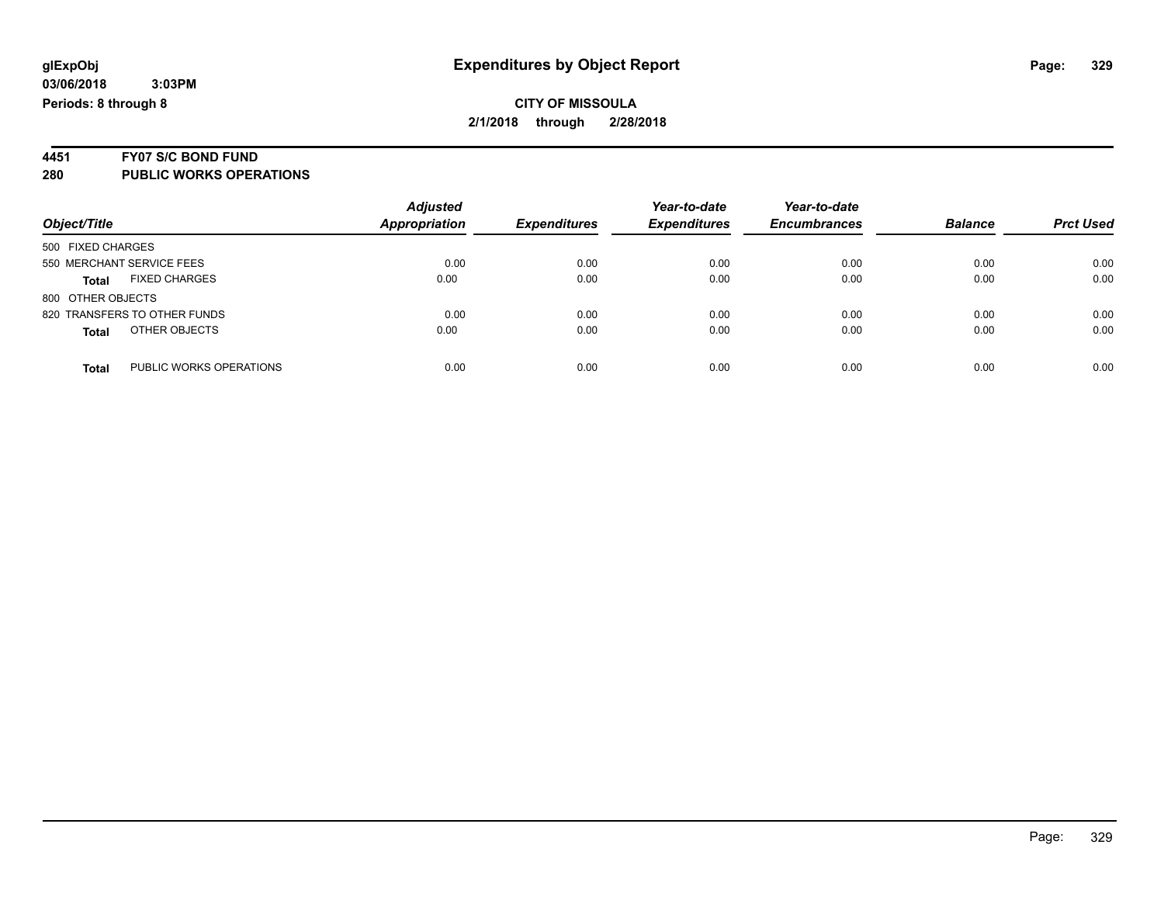# **4451 FY07 S/C BOND FUND**

| Object/Title                            | <b>Adjusted</b><br><b>Appropriation</b> | <b>Expenditures</b> | Year-to-date<br><b>Expenditures</b> | Year-to-date<br><b>Encumbrances</b> | <b>Balance</b> | <b>Prct Used</b> |
|-----------------------------------------|-----------------------------------------|---------------------|-------------------------------------|-------------------------------------|----------------|------------------|
| 500 FIXED CHARGES                       |                                         |                     |                                     |                                     |                |                  |
| 550 MERCHANT SERVICE FEES               | 0.00                                    | 0.00                | 0.00                                | 0.00                                | 0.00           | 0.00             |
| <b>FIXED CHARGES</b><br><b>Total</b>    | 0.00                                    | 0.00                | 0.00                                | 0.00                                | 0.00           | 0.00             |
| 800 OTHER OBJECTS                       |                                         |                     |                                     |                                     |                |                  |
| 820 TRANSFERS TO OTHER FUNDS            | 0.00                                    | 0.00                | 0.00                                | 0.00                                | 0.00           | 0.00             |
| OTHER OBJECTS<br><b>Total</b>           | 0.00                                    | 0.00                | 0.00                                | 0.00                                | 0.00           | 0.00             |
| PUBLIC WORKS OPERATIONS<br><b>Total</b> | 0.00                                    | 0.00                | 0.00                                | 0.00                                | 0.00           | 0.00             |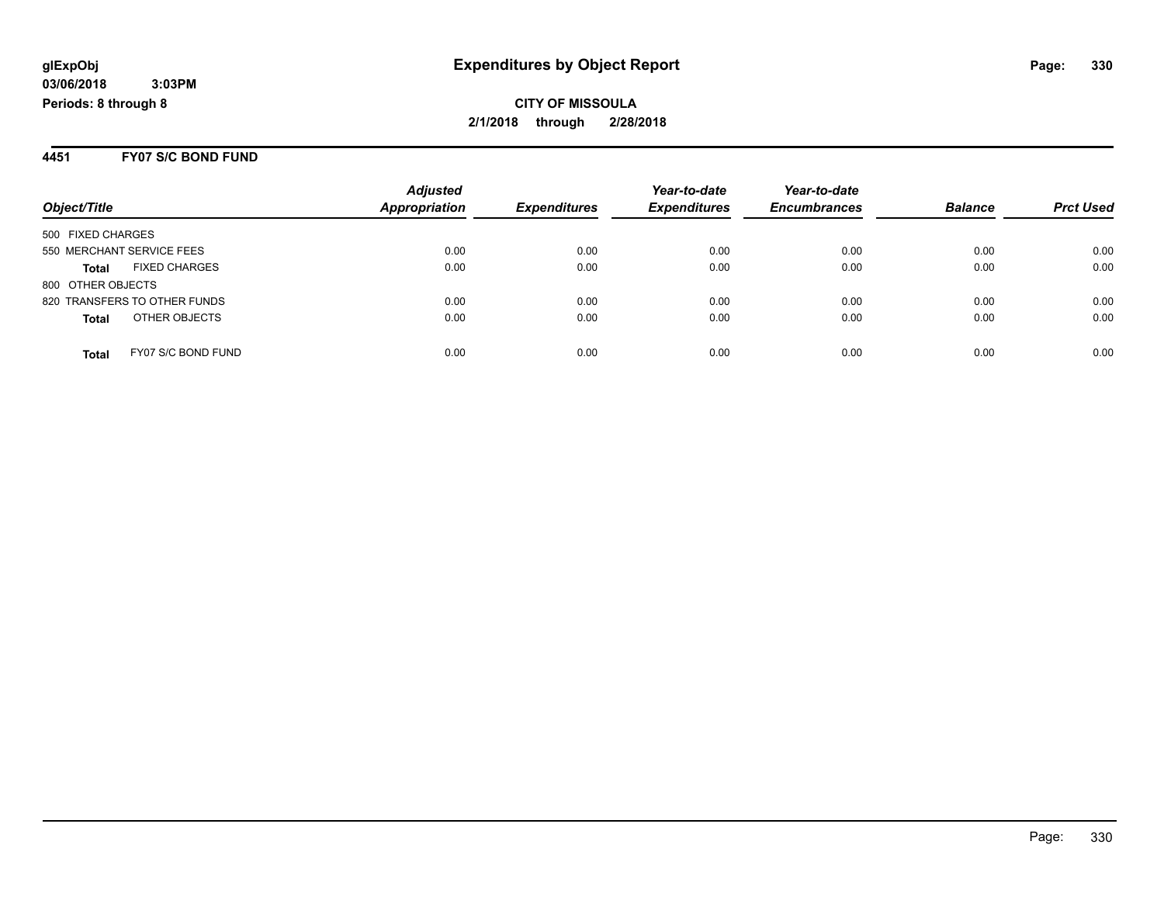#### **4451 FY07 S/C BOND FUND**

|                                    | <b>Adjusted</b>      |                     | Year-to-date        | Year-to-date        |                |                  |
|------------------------------------|----------------------|---------------------|---------------------|---------------------|----------------|------------------|
| Object/Title                       | <b>Appropriation</b> | <b>Expenditures</b> | <b>Expenditures</b> | <b>Encumbrances</b> | <b>Balance</b> | <b>Prct Used</b> |
| 500 FIXED CHARGES                  |                      |                     |                     |                     |                |                  |
| 550 MERCHANT SERVICE FEES          | 0.00                 | 0.00                | 0.00                | 0.00                | 0.00           | 0.00             |
| <b>FIXED CHARGES</b><br>Total      | 0.00                 | 0.00                | 0.00                | 0.00                | 0.00           | 0.00             |
| 800 OTHER OBJECTS                  |                      |                     |                     |                     |                |                  |
| 820 TRANSFERS TO OTHER FUNDS       | 0.00                 | 0.00                | 0.00                | 0.00                | 0.00           | 0.00             |
| OTHER OBJECTS<br><b>Total</b>      | 0.00                 | 0.00                | 0.00                | 0.00                | 0.00           | 0.00             |
| FY07 S/C BOND FUND<br><b>Total</b> | 0.00                 | 0.00                | 0.00                | 0.00                | 0.00           | 0.00             |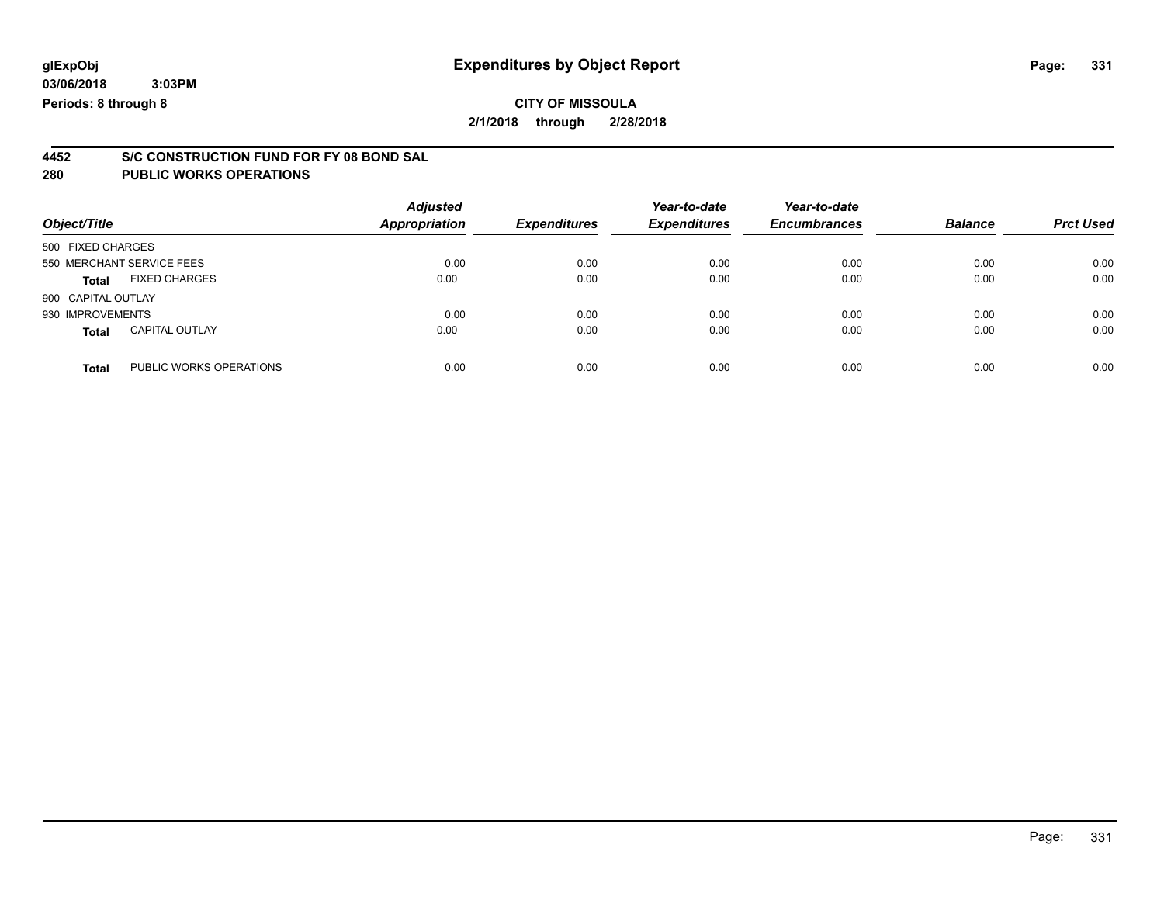### **CITY OF MISSOULA 2/1/2018 through 2/28/2018**

# **4452 S/C CONSTRUCTION FUND FOR FY 08 BOND SAL**

| Object/Title       |                           | <b>Adjusted</b><br><b>Appropriation</b> | <b>Expenditures</b> | Year-to-date<br><b>Expenditures</b> | Year-to-date<br><b>Encumbrances</b> | <b>Balance</b> | <b>Prct Used</b> |
|--------------------|---------------------------|-----------------------------------------|---------------------|-------------------------------------|-------------------------------------|----------------|------------------|
| 500 FIXED CHARGES  |                           |                                         |                     |                                     |                                     |                |                  |
|                    | 550 MERCHANT SERVICE FEES | 0.00                                    | 0.00                | 0.00                                | 0.00                                | 0.00           | 0.00             |
| Total              | <b>FIXED CHARGES</b>      | 0.00                                    | 0.00                | 0.00                                | 0.00                                | 0.00           | 0.00             |
| 900 CAPITAL OUTLAY |                           |                                         |                     |                                     |                                     |                |                  |
| 930 IMPROVEMENTS   |                           | 0.00                                    | 0.00                | 0.00                                | 0.00                                | 0.00           | 0.00             |
| <b>Total</b>       | <b>CAPITAL OUTLAY</b>     | 0.00                                    | 0.00                | 0.00                                | 0.00                                | 0.00           | 0.00             |
| <b>Total</b>       | PUBLIC WORKS OPERATIONS   | 0.00                                    | 0.00                | 0.00                                | 0.00                                | 0.00           | 0.00             |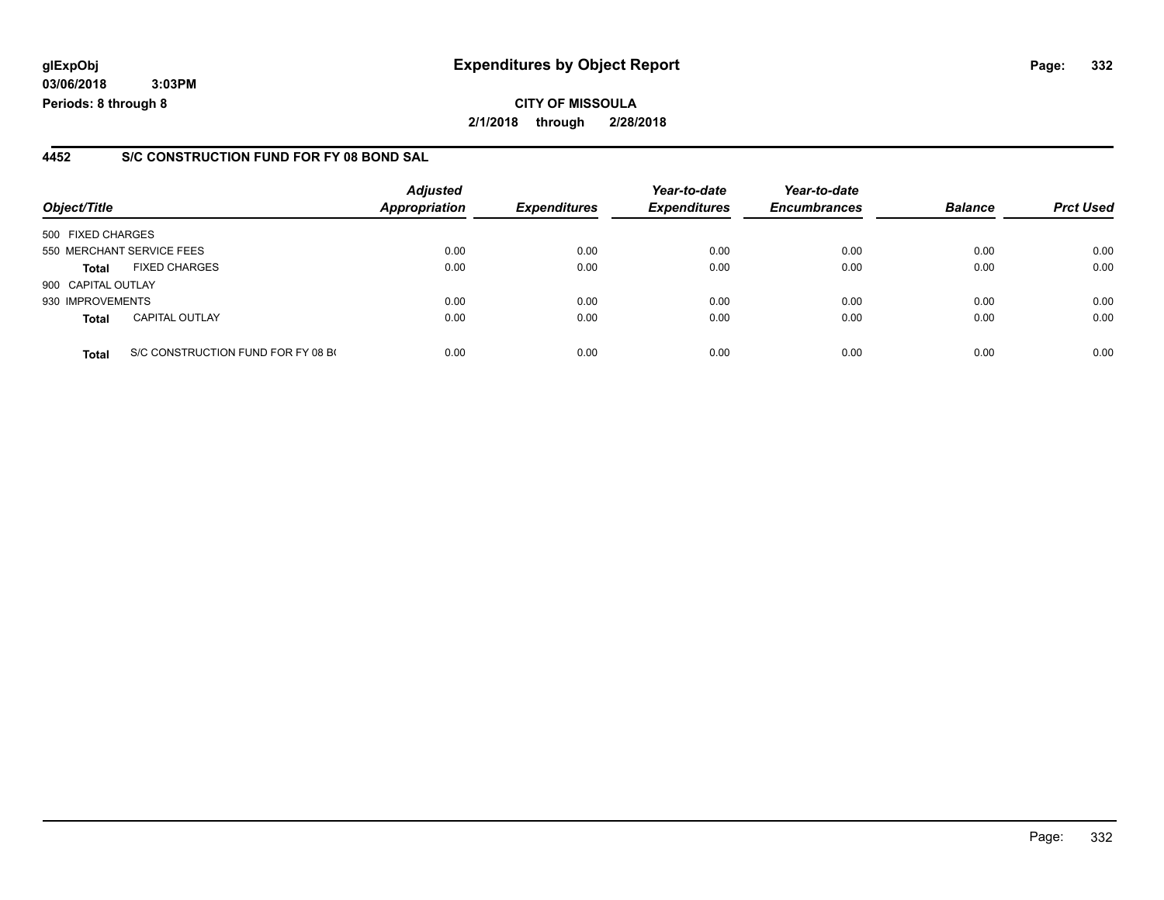### **glExpObj Expenditures by Object Report Page: 332**

**03/06/2018 3:03PM Periods: 8 through 8**

#### **4452 S/C CONSTRUCTION FUND FOR FY 08 BOND SAL**

| Object/Title              |                                    | <b>Adjusted</b><br><b>Appropriation</b> | <b>Expenditures</b> | Year-to-date<br><b>Expenditures</b> | Year-to-date<br><b>Encumbrances</b> | <b>Balance</b> | <b>Prct Used</b> |
|---------------------------|------------------------------------|-----------------------------------------|---------------------|-------------------------------------|-------------------------------------|----------------|------------------|
| 500 FIXED CHARGES         |                                    |                                         |                     |                                     |                                     |                |                  |
| 550 MERCHANT SERVICE FEES |                                    | 0.00                                    | 0.00                | 0.00                                | 0.00                                | 0.00           | 0.00             |
| <b>Total</b>              | <b>FIXED CHARGES</b>               | 0.00                                    | 0.00                | 0.00                                | 0.00                                | 0.00           | 0.00             |
| 900 CAPITAL OUTLAY        |                                    |                                         |                     |                                     |                                     |                |                  |
| 930 IMPROVEMENTS          |                                    | 0.00                                    | 0.00                | 0.00                                | 0.00                                | 0.00           | 0.00             |
| <b>Total</b>              | <b>CAPITAL OUTLAY</b>              | 0.00                                    | 0.00                | 0.00                                | 0.00                                | 0.00           | 0.00             |
| <b>Total</b>              | S/C CONSTRUCTION FUND FOR FY 08 BO | 0.00                                    | 0.00                | 0.00                                | 0.00                                | 0.00           | 0.00             |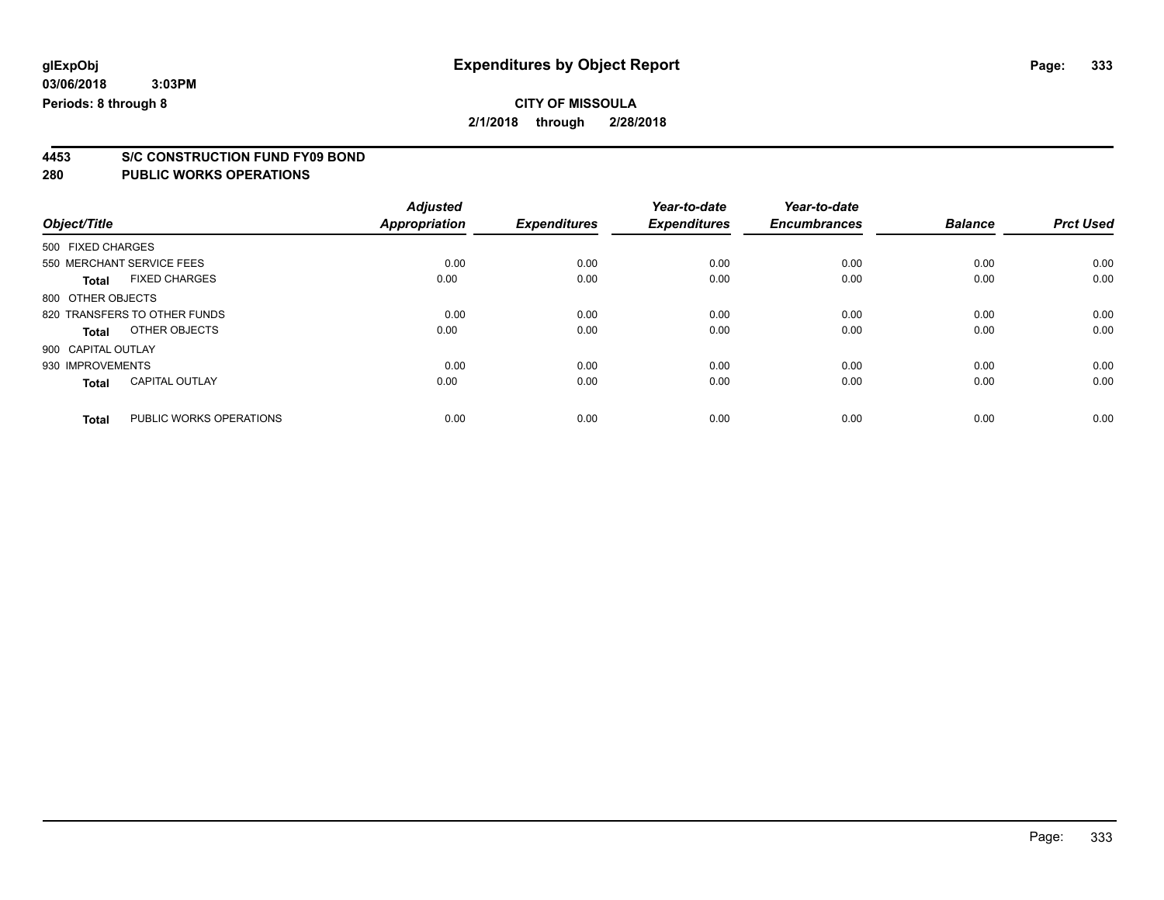**4453 S/C CONSTRUCTION FUND FY09 BOND**

|                    |                              | <b>Adjusted</b>      |                     | Year-to-date        | Year-to-date        |                |                  |
|--------------------|------------------------------|----------------------|---------------------|---------------------|---------------------|----------------|------------------|
| Object/Title       |                              | <b>Appropriation</b> | <b>Expenditures</b> | <b>Expenditures</b> | <b>Encumbrances</b> | <b>Balance</b> | <b>Prct Used</b> |
| 500 FIXED CHARGES  |                              |                      |                     |                     |                     |                |                  |
|                    | 550 MERCHANT SERVICE FEES    | 0.00                 | 0.00                | 0.00                | 0.00                | 0.00           | 0.00             |
| <b>Total</b>       | <b>FIXED CHARGES</b>         | 0.00                 | 0.00                | 0.00                | 0.00                | 0.00           | 0.00             |
| 800 OTHER OBJECTS  |                              |                      |                     |                     |                     |                |                  |
|                    | 820 TRANSFERS TO OTHER FUNDS | 0.00                 | 0.00                | 0.00                | 0.00                | 0.00           | 0.00             |
| <b>Total</b>       | OTHER OBJECTS                | 0.00                 | 0.00                | 0.00                | 0.00                | 0.00           | 0.00             |
| 900 CAPITAL OUTLAY |                              |                      |                     |                     |                     |                |                  |
| 930 IMPROVEMENTS   |                              | 0.00                 | 0.00                | 0.00                | 0.00                | 0.00           | 0.00             |
| <b>Total</b>       | <b>CAPITAL OUTLAY</b>        | 0.00                 | 0.00                | 0.00                | 0.00                | 0.00           | 0.00             |
| <b>Total</b>       | PUBLIC WORKS OPERATIONS      | 0.00                 | 0.00                | 0.00                | 0.00                | 0.00           | 0.00             |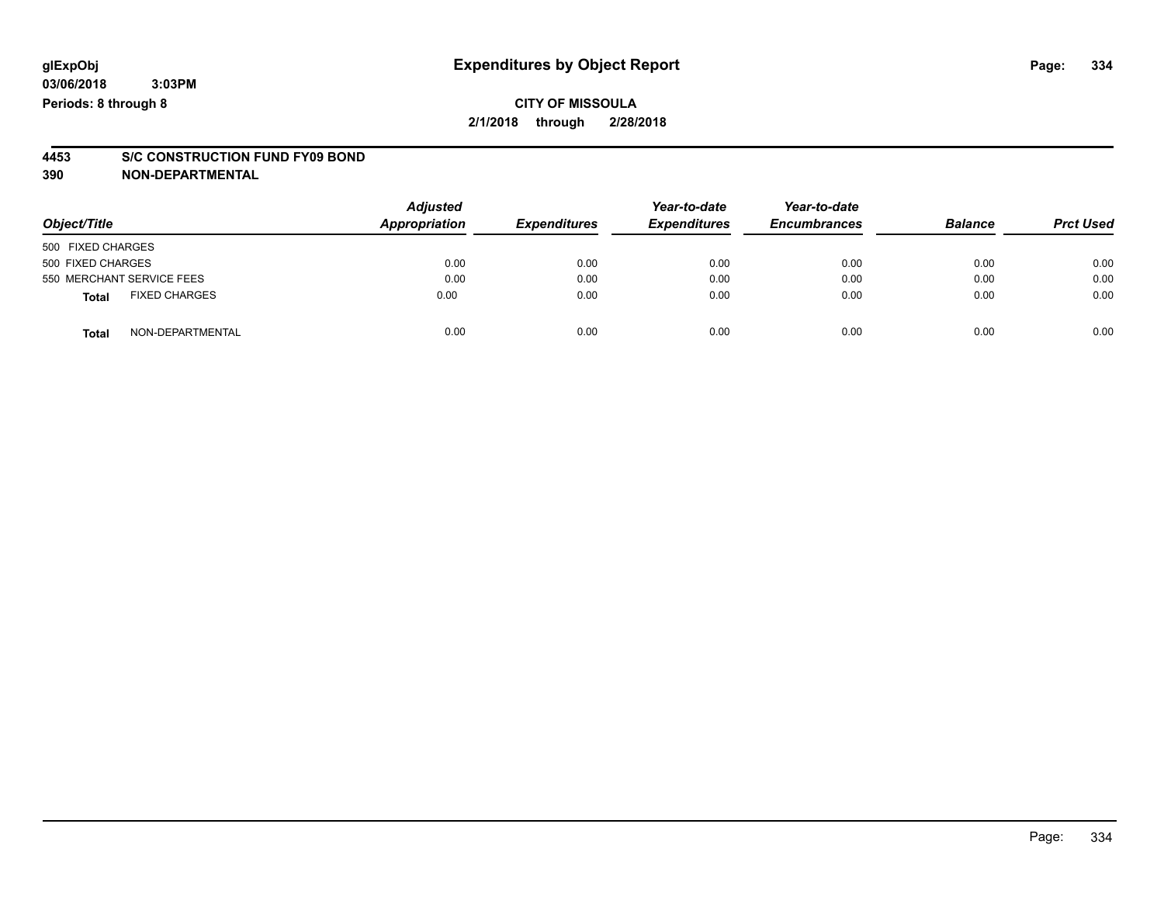### **CITY OF MISSOULA 2/1/2018 through 2/28/2018**

# **4453 S/C CONSTRUCTION FUND FY09 BOND**

**390 NON-DEPARTMENTAL**

| Object/Title              |                      | <b>Adjusted</b><br><b>Appropriation</b> | <b>Expenditures</b> | Year-to-date<br><b>Expenditures</b> | Year-to-date<br><b>Encumbrances</b> | <b>Balance</b> | <b>Prct Used</b> |
|---------------------------|----------------------|-----------------------------------------|---------------------|-------------------------------------|-------------------------------------|----------------|------------------|
| 500 FIXED CHARGES         |                      |                                         |                     |                                     |                                     |                |                  |
| 500 FIXED CHARGES         |                      | 0.00                                    | 0.00                | 0.00                                | 0.00                                | 0.00           | 0.00             |
| 550 MERCHANT SERVICE FEES |                      | 0.00                                    | 0.00                | 0.00                                | 0.00                                | 0.00           | 0.00             |
| <b>Total</b>              | <b>FIXED CHARGES</b> | 0.00                                    | 0.00                | 0.00                                | 0.00                                | 0.00           | 0.00             |
| <b>Total</b>              | NON-DEPARTMENTAL     | 0.00                                    | 0.00                | 0.00                                | 0.00                                | 0.00           | 0.00             |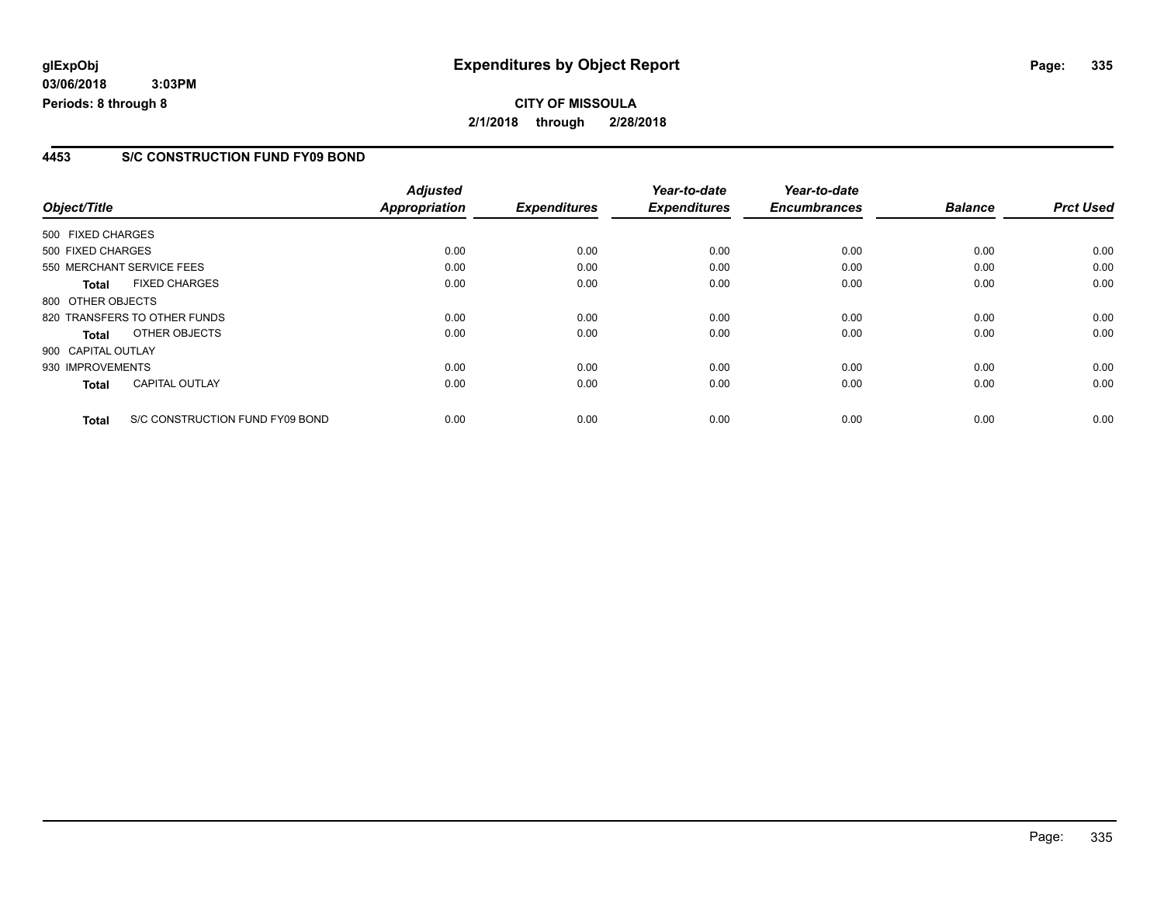#### **4453 S/C CONSTRUCTION FUND FY09 BOND**

|                    |                                 | <b>Adjusted</b>      |                     | Year-to-date        | Year-to-date        |                |                  |
|--------------------|---------------------------------|----------------------|---------------------|---------------------|---------------------|----------------|------------------|
| Object/Title       |                                 | <b>Appropriation</b> | <b>Expenditures</b> | <b>Expenditures</b> | <b>Encumbrances</b> | <b>Balance</b> | <b>Prct Used</b> |
| 500 FIXED CHARGES  |                                 |                      |                     |                     |                     |                |                  |
| 500 FIXED CHARGES  |                                 | 0.00                 | 0.00                | 0.00                | 0.00                | 0.00           | 0.00             |
|                    | 550 MERCHANT SERVICE FEES       | 0.00                 | 0.00                | 0.00                | 0.00                | 0.00           | 0.00             |
| <b>Total</b>       | <b>FIXED CHARGES</b>            | 0.00                 | 0.00                | 0.00                | 0.00                | 0.00           | 0.00             |
| 800 OTHER OBJECTS  |                                 |                      |                     |                     |                     |                |                  |
|                    | 820 TRANSFERS TO OTHER FUNDS    | 0.00                 | 0.00                | 0.00                | 0.00                | 0.00           | 0.00             |
| Total              | OTHER OBJECTS                   | 0.00                 | 0.00                | 0.00                | 0.00                | 0.00           | 0.00             |
| 900 CAPITAL OUTLAY |                                 |                      |                     |                     |                     |                |                  |
| 930 IMPROVEMENTS   |                                 | 0.00                 | 0.00                | 0.00                | 0.00                | 0.00           | 0.00             |
| <b>Total</b>       | <b>CAPITAL OUTLAY</b>           | 0.00                 | 0.00                | 0.00                | 0.00                | 0.00           | 0.00             |
| <b>Total</b>       | S/C CONSTRUCTION FUND FY09 BOND | 0.00                 | 0.00                | 0.00                | 0.00                | 0.00           | 0.00             |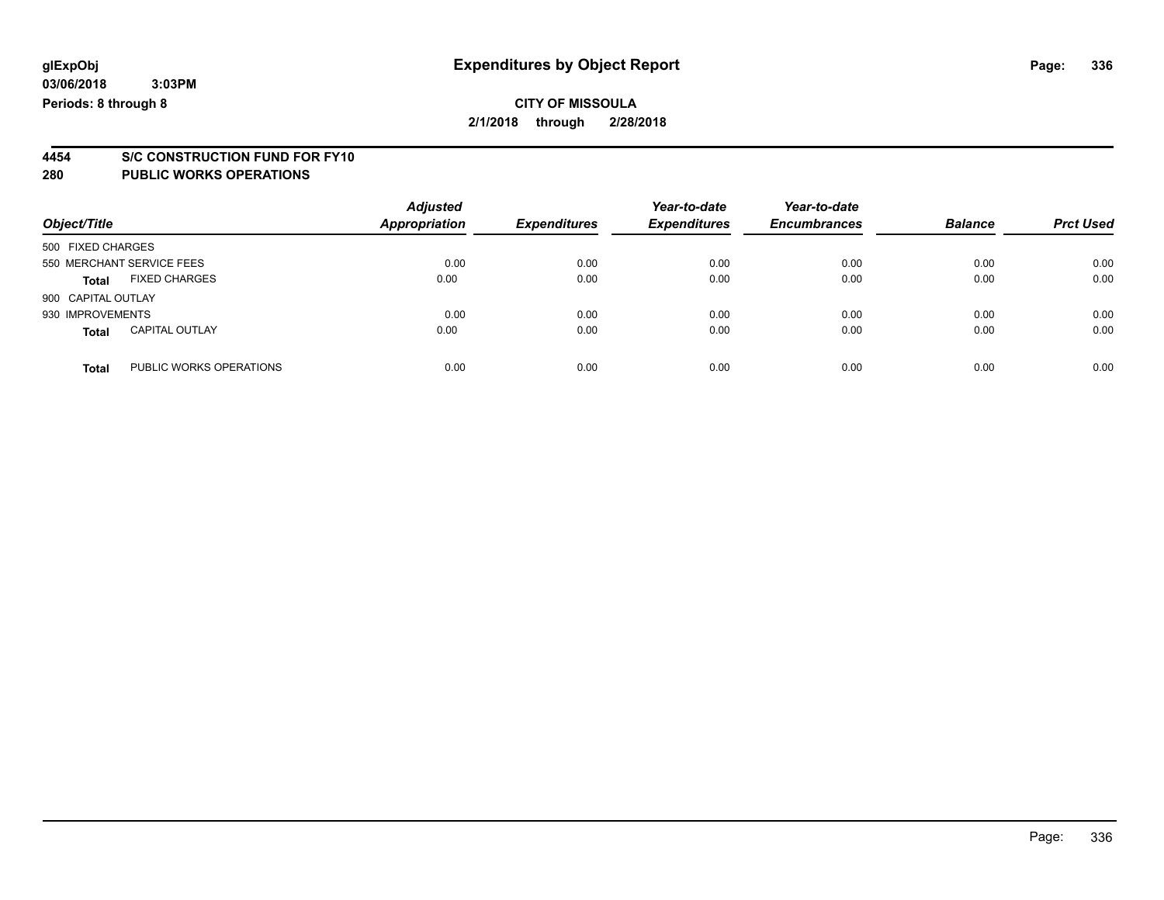# **4454 S/C CONSTRUCTION FUND FOR FY10**

| Object/Title       |                           | <b>Adjusted</b><br><b>Appropriation</b> | <b>Expenditures</b> | Year-to-date<br><b>Expenditures</b> | Year-to-date<br><b>Encumbrances</b> | <b>Balance</b> | <b>Prct Used</b> |
|--------------------|---------------------------|-----------------------------------------|---------------------|-------------------------------------|-------------------------------------|----------------|------------------|
| 500 FIXED CHARGES  |                           |                                         |                     |                                     |                                     |                |                  |
|                    | 550 MERCHANT SERVICE FEES | 0.00                                    | 0.00                | 0.00                                | 0.00                                | 0.00           | 0.00             |
| <b>Total</b>       | <b>FIXED CHARGES</b>      | 0.00                                    | 0.00                | 0.00                                | 0.00                                | 0.00           | 0.00             |
| 900 CAPITAL OUTLAY |                           |                                         |                     |                                     |                                     |                |                  |
| 930 IMPROVEMENTS   |                           | 0.00                                    | 0.00                | 0.00                                | 0.00                                | 0.00           | 0.00             |
| <b>Total</b>       | <b>CAPITAL OUTLAY</b>     | 0.00                                    | 0.00                | 0.00                                | 0.00                                | 0.00           | 0.00             |
| <b>Total</b>       | PUBLIC WORKS OPERATIONS   | 0.00                                    | 0.00                | 0.00                                | 0.00                                | 0.00           | 0.00             |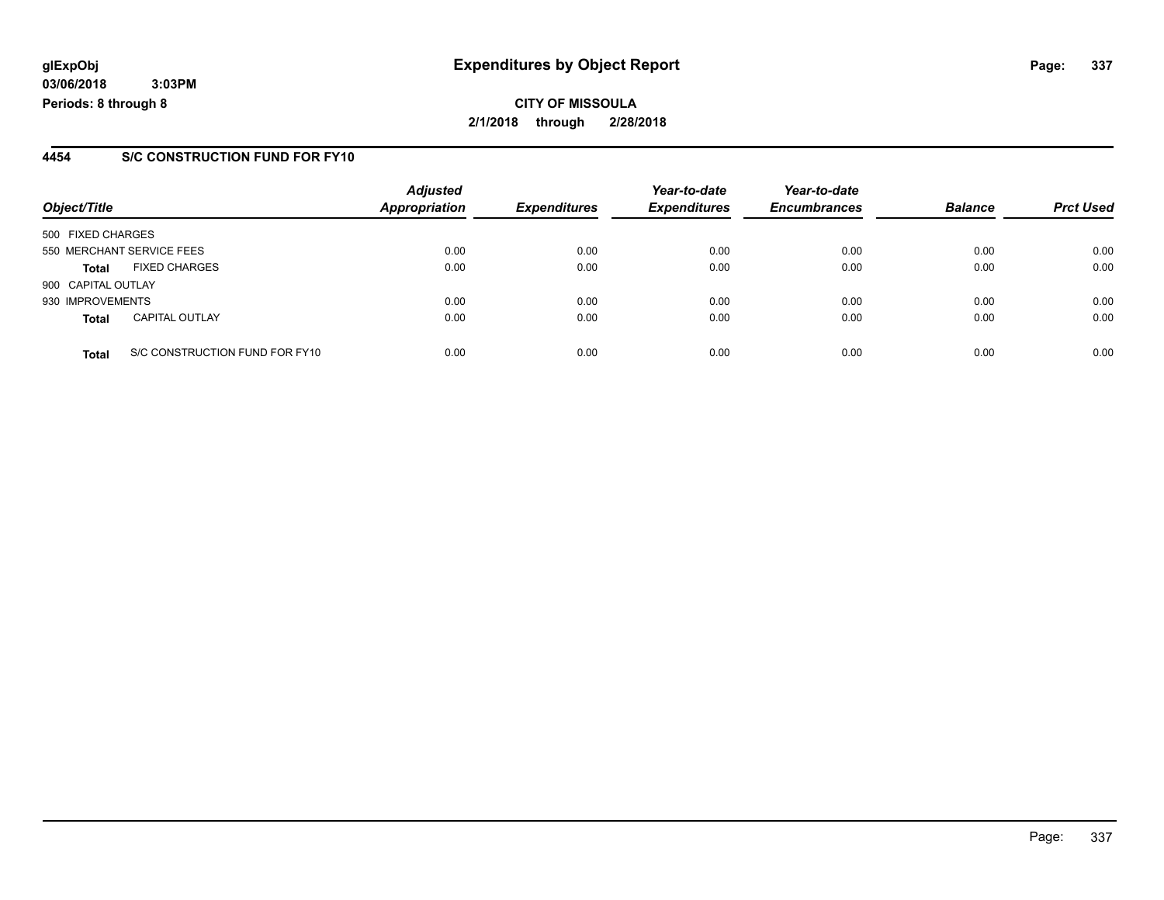**CITY OF MISSOULA 2/1/2018 through 2/28/2018**

#### **4454 S/C CONSTRUCTION FUND FOR FY10**

|                    |                                | <b>Adjusted</b>      |                     | Year-to-date        | Year-to-date        |                |                  |
|--------------------|--------------------------------|----------------------|---------------------|---------------------|---------------------|----------------|------------------|
| Object/Title       |                                | <b>Appropriation</b> | <b>Expenditures</b> | <b>Expenditures</b> | <b>Encumbrances</b> | <b>Balance</b> | <b>Prct Used</b> |
| 500 FIXED CHARGES  |                                |                      |                     |                     |                     |                |                  |
|                    | 550 MERCHANT SERVICE FEES      | 0.00                 | 0.00                | 0.00                | 0.00                | 0.00           | 0.00             |
| <b>Total</b>       | <b>FIXED CHARGES</b>           | 0.00                 | 0.00                | 0.00                | 0.00                | 0.00           | 0.00             |
| 900 CAPITAL OUTLAY |                                |                      |                     |                     |                     |                |                  |
| 930 IMPROVEMENTS   |                                | 0.00                 | 0.00                | 0.00                | 0.00                | 0.00           | 0.00             |
| <b>Total</b>       | <b>CAPITAL OUTLAY</b>          | 0.00                 | 0.00                | 0.00                | 0.00                | 0.00           | 0.00             |
| <b>Total</b>       | S/C CONSTRUCTION FUND FOR FY10 | 0.00                 | 0.00                | 0.00                | 0.00                | 0.00           | 0.00             |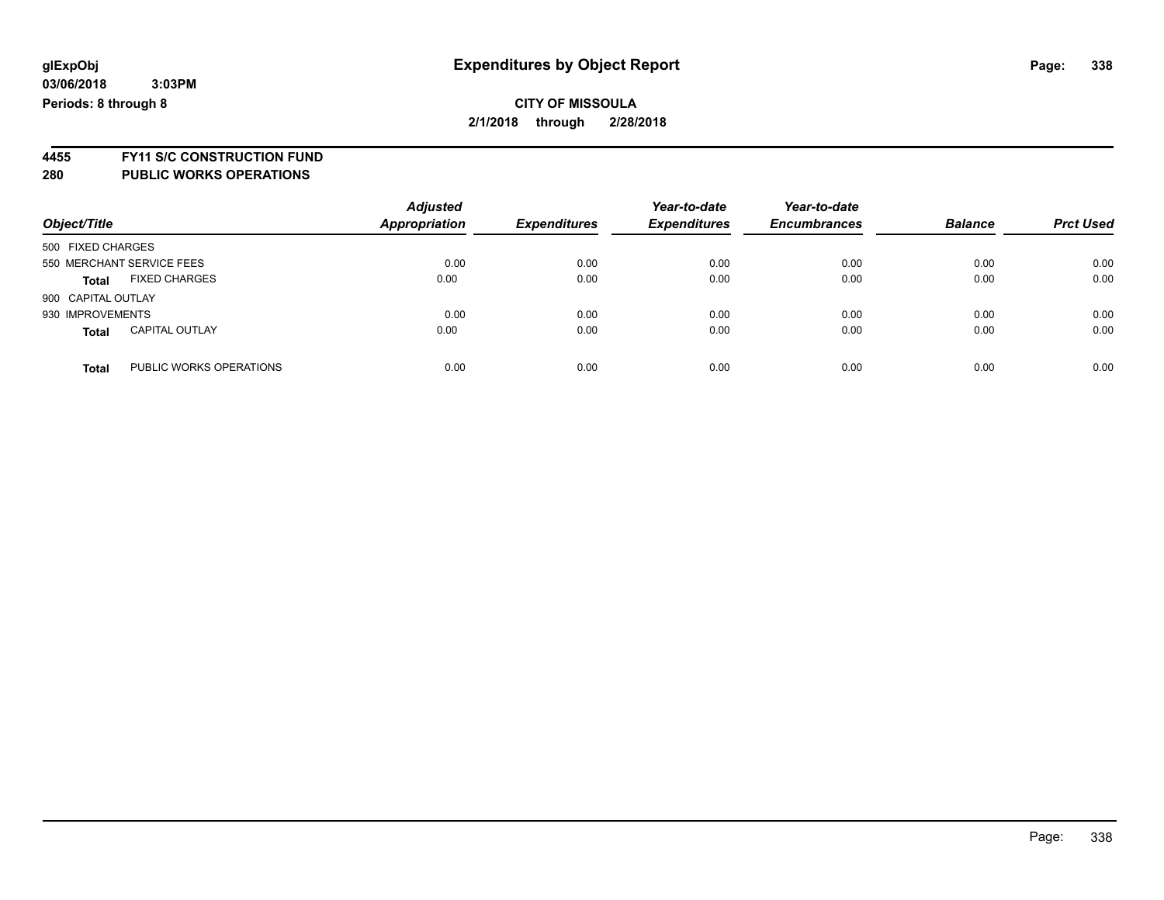### **CITY OF MISSOULA 2/1/2018 through 2/28/2018**

**4455 FY11 S/C CONSTRUCTION FUND 280 PUBLIC WORKS OPERATIONS**

|                                         | <b>Adjusted</b>      |                     | Year-to-date        | Year-to-date        |                |                  |
|-----------------------------------------|----------------------|---------------------|---------------------|---------------------|----------------|------------------|
| Object/Title                            | <b>Appropriation</b> | <b>Expenditures</b> | <b>Expenditures</b> | <b>Encumbrances</b> | <b>Balance</b> | <b>Prct Used</b> |
| 500 FIXED CHARGES                       |                      |                     |                     |                     |                |                  |
| 550 MERCHANT SERVICE FEES               | 0.00                 | 0.00                | 0.00                | 0.00                | 0.00           | 0.00             |
| <b>FIXED CHARGES</b><br><b>Total</b>    | 0.00                 | 0.00                | 0.00                | 0.00                | 0.00           | 0.00             |
| 900 CAPITAL OUTLAY                      |                      |                     |                     |                     |                |                  |
| 930 IMPROVEMENTS                        | 0.00                 | 0.00                | 0.00                | 0.00                | 0.00           | 0.00             |
| <b>CAPITAL OUTLAY</b><br><b>Total</b>   | 0.00                 | 0.00                | 0.00                | 0.00                | 0.00           | 0.00             |
| PUBLIC WORKS OPERATIONS<br><b>Total</b> | 0.00                 | 0.00                | 0.00                | 0.00                | 0.00           | 0.00             |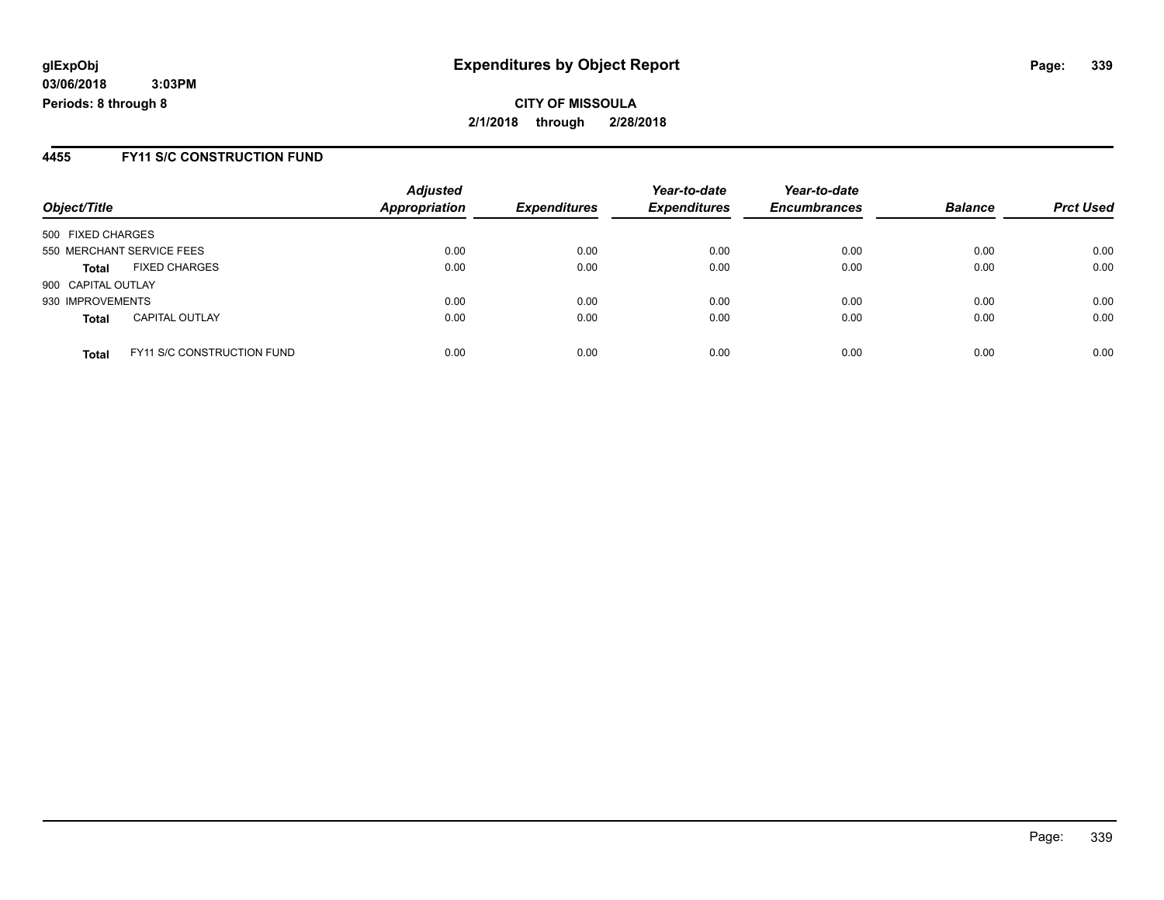**CITY OF MISSOULA 2/1/2018 through 2/28/2018**

#### **4455 FY11 S/C CONSTRUCTION FUND**

| Object/Title       |                                   | <b>Adjusted</b><br><b>Appropriation</b> | <b>Expenditures</b> | Year-to-date<br><b>Expenditures</b> | Year-to-date<br><b>Encumbrances</b> | <b>Balance</b> | <b>Prct Used</b> |
|--------------------|-----------------------------------|-----------------------------------------|---------------------|-------------------------------------|-------------------------------------|----------------|------------------|
| 500 FIXED CHARGES  |                                   |                                         |                     |                                     |                                     |                |                  |
|                    | 550 MERCHANT SERVICE FEES         | 0.00                                    | 0.00                | 0.00                                | 0.00                                | 0.00           | 0.00             |
| <b>Total</b>       | <b>FIXED CHARGES</b>              | 0.00                                    | 0.00                | 0.00                                | 0.00                                | 0.00           | 0.00             |
| 900 CAPITAL OUTLAY |                                   |                                         |                     |                                     |                                     |                |                  |
| 930 IMPROVEMENTS   |                                   | 0.00                                    | 0.00                | 0.00                                | 0.00                                | 0.00           | 0.00             |
| <b>Total</b>       | <b>CAPITAL OUTLAY</b>             | 0.00                                    | 0.00                | 0.00                                | 0.00                                | 0.00           | 0.00             |
| <b>Total</b>       | <b>FY11 S/C CONSTRUCTION FUND</b> | 0.00                                    | 0.00                | 0.00                                | 0.00                                | 0.00           | 0.00             |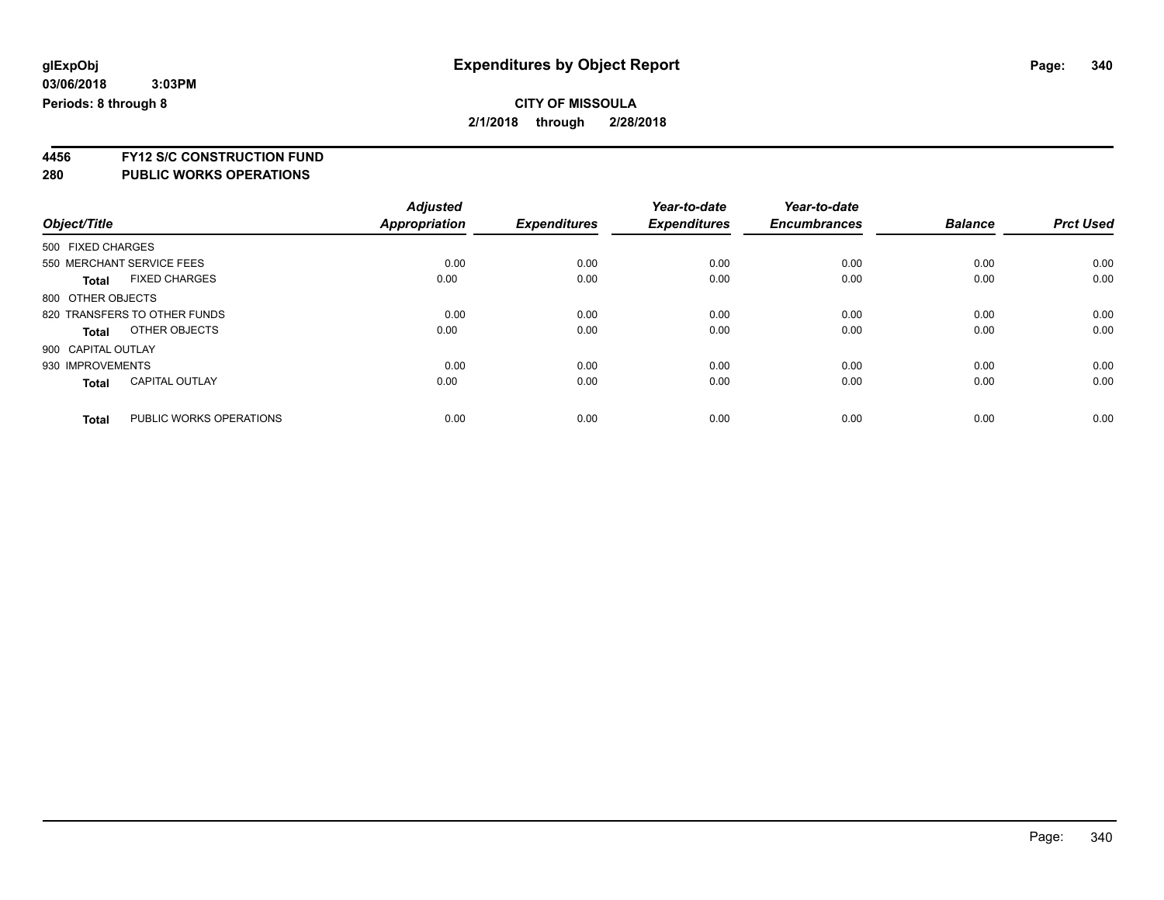**4456 FY12 S/C CONSTRUCTION FUND**

| Object/Title |                                         | <b>Adjusted</b><br>Appropriation | <b>Expenditures</b> | Year-to-date<br><b>Expenditures</b> | Year-to-date<br><b>Encumbrances</b> | <b>Balance</b> | <b>Prct Used</b> |
|--------------|-----------------------------------------|----------------------------------|---------------------|-------------------------------------|-------------------------------------|----------------|------------------|
|              |                                         |                                  |                     |                                     |                                     |                |                  |
|              | 500 FIXED CHARGES                       |                                  |                     |                                     |                                     |                |                  |
|              | 550 MERCHANT SERVICE FEES               | 0.00                             | 0.00                | 0.00                                | 0.00                                | 0.00           | 0.00             |
|              | <b>FIXED CHARGES</b><br><b>Total</b>    | 0.00                             | 0.00                | 0.00                                | 0.00                                | 0.00           | 0.00             |
|              | 800 OTHER OBJECTS                       |                                  |                     |                                     |                                     |                |                  |
|              | 820 TRANSFERS TO OTHER FUNDS            | 0.00                             | 0.00                | 0.00                                | 0.00                                | 0.00           | 0.00             |
|              | OTHER OBJECTS<br>Total                  | 0.00                             | 0.00                | 0.00                                | 0.00                                | 0.00           | 0.00             |
|              | 900 CAPITAL OUTLAY                      |                                  |                     |                                     |                                     |                |                  |
|              | 930 IMPROVEMENTS                        | 0.00                             | 0.00                | 0.00                                | 0.00                                | 0.00           | 0.00             |
|              | <b>CAPITAL OUTLAY</b><br><b>Total</b>   | 0.00                             | 0.00                | 0.00                                | 0.00                                | 0.00           | 0.00             |
|              | PUBLIC WORKS OPERATIONS<br><b>Total</b> | 0.00                             | 0.00                | 0.00                                | 0.00                                | 0.00           | 0.00             |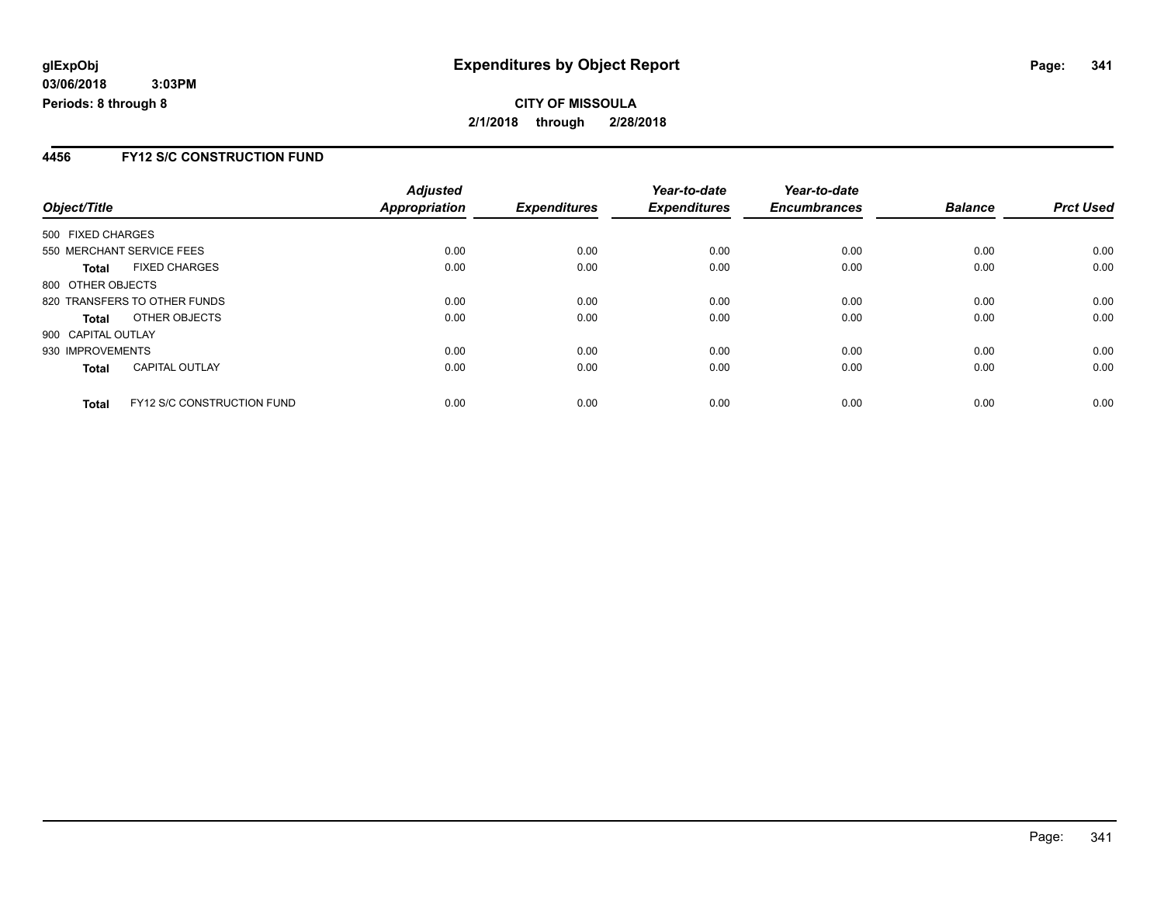### **4456 FY12 S/C CONSTRUCTION FUND**

|                    |                                   | <b>Adjusted</b>      |                     | Year-to-date        | Year-to-date        |                |                  |
|--------------------|-----------------------------------|----------------------|---------------------|---------------------|---------------------|----------------|------------------|
| Object/Title       |                                   | <b>Appropriation</b> | <b>Expenditures</b> | <b>Expenditures</b> | <b>Encumbrances</b> | <b>Balance</b> | <b>Prct Used</b> |
| 500 FIXED CHARGES  |                                   |                      |                     |                     |                     |                |                  |
|                    | 550 MERCHANT SERVICE FEES         | 0.00                 | 0.00                | 0.00                | 0.00                | 0.00           | 0.00             |
| <b>Total</b>       | <b>FIXED CHARGES</b>              | 0.00                 | 0.00                | 0.00                | 0.00                | 0.00           | 0.00             |
| 800 OTHER OBJECTS  |                                   |                      |                     |                     |                     |                |                  |
|                    | 820 TRANSFERS TO OTHER FUNDS      | 0.00                 | 0.00                | 0.00                | 0.00                | 0.00           | 0.00             |
| Total              | OTHER OBJECTS                     | 0.00                 | 0.00                | 0.00                | 0.00                | 0.00           | 0.00             |
| 900 CAPITAL OUTLAY |                                   |                      |                     |                     |                     |                |                  |
| 930 IMPROVEMENTS   |                                   | 0.00                 | 0.00                | 0.00                | 0.00                | 0.00           | 0.00             |
| <b>Total</b>       | <b>CAPITAL OUTLAY</b>             | 0.00                 | 0.00                | 0.00                | 0.00                | 0.00           | 0.00             |
| <b>Total</b>       | <b>FY12 S/C CONSTRUCTION FUND</b> | 0.00                 | 0.00                | 0.00                | 0.00                | 0.00           | 0.00             |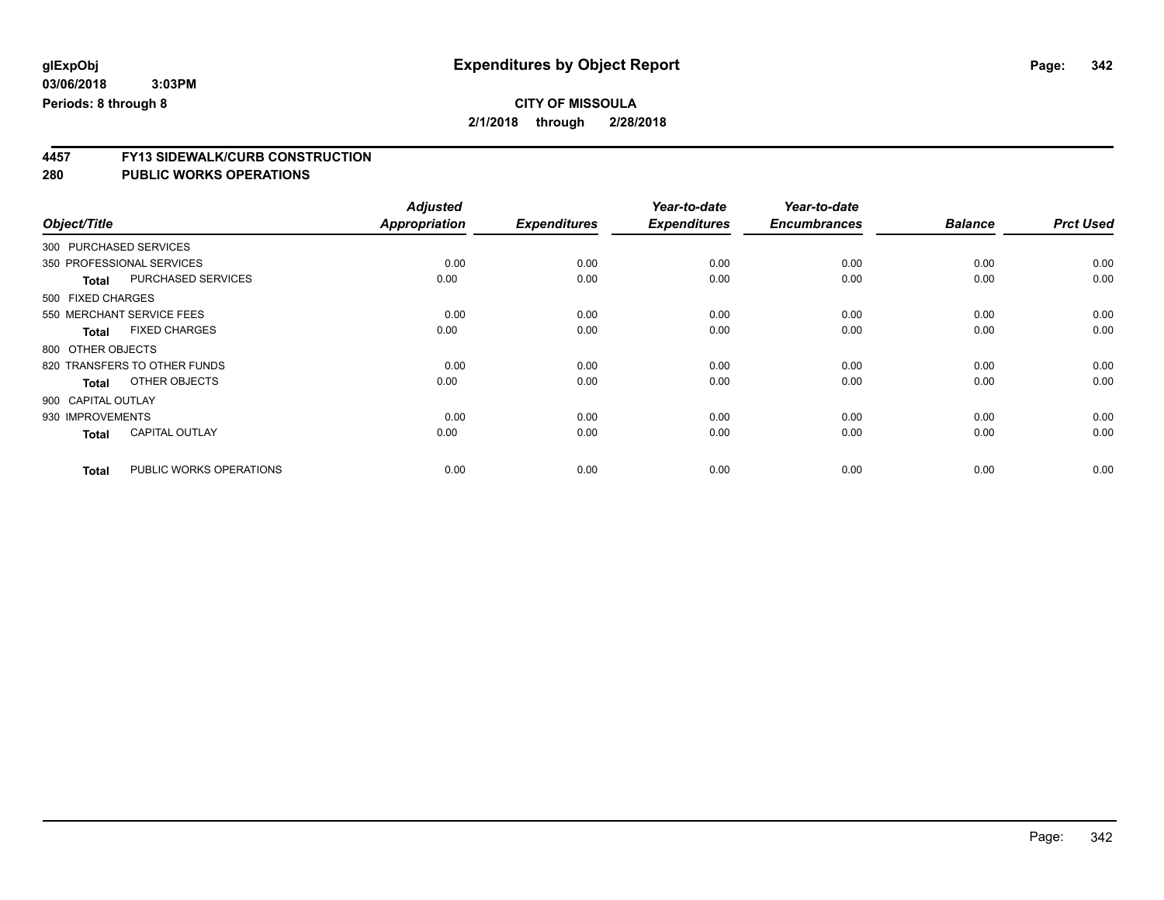### **CITY OF MISSOULA 2/1/2018 through 2/28/2018**

**4457 FY13 SIDEWALK/CURB CONSTRUCTION**

|                        |                              | <b>Adjusted</b>      |                     | Year-to-date        | Year-to-date        |                |                  |
|------------------------|------------------------------|----------------------|---------------------|---------------------|---------------------|----------------|------------------|
| Object/Title           |                              | <b>Appropriation</b> | <b>Expenditures</b> | <b>Expenditures</b> | <b>Encumbrances</b> | <b>Balance</b> | <b>Prct Used</b> |
| 300 PURCHASED SERVICES |                              |                      |                     |                     |                     |                |                  |
|                        | 350 PROFESSIONAL SERVICES    | 0.00                 | 0.00                | 0.00                | 0.00                | 0.00           | 0.00             |
| <b>Total</b>           | PURCHASED SERVICES           | 0.00                 | 0.00                | 0.00                | 0.00                | 0.00           | 0.00             |
| 500 FIXED CHARGES      |                              |                      |                     |                     |                     |                |                  |
|                        | 550 MERCHANT SERVICE FEES    | 0.00                 | 0.00                | 0.00                | 0.00                | 0.00           | 0.00             |
| <b>Total</b>           | <b>FIXED CHARGES</b>         | 0.00                 | 0.00                | 0.00                | 0.00                | 0.00           | 0.00             |
| 800 OTHER OBJECTS      |                              |                      |                     |                     |                     |                |                  |
|                        | 820 TRANSFERS TO OTHER FUNDS | 0.00                 | 0.00                | 0.00                | 0.00                | 0.00           | 0.00             |
| <b>Total</b>           | OTHER OBJECTS                | 0.00                 | 0.00                | 0.00                | 0.00                | 0.00           | 0.00             |
| 900 CAPITAL OUTLAY     |                              |                      |                     |                     |                     |                |                  |
| 930 IMPROVEMENTS       |                              | 0.00                 | 0.00                | 0.00                | 0.00                | 0.00           | 0.00             |
| <b>Total</b>           | <b>CAPITAL OUTLAY</b>        | 0.00                 | 0.00                | 0.00                | 0.00                | 0.00           | 0.00             |
| <b>Total</b>           | PUBLIC WORKS OPERATIONS      | 0.00                 | 0.00                | 0.00                | 0.00                | 0.00           | 0.00             |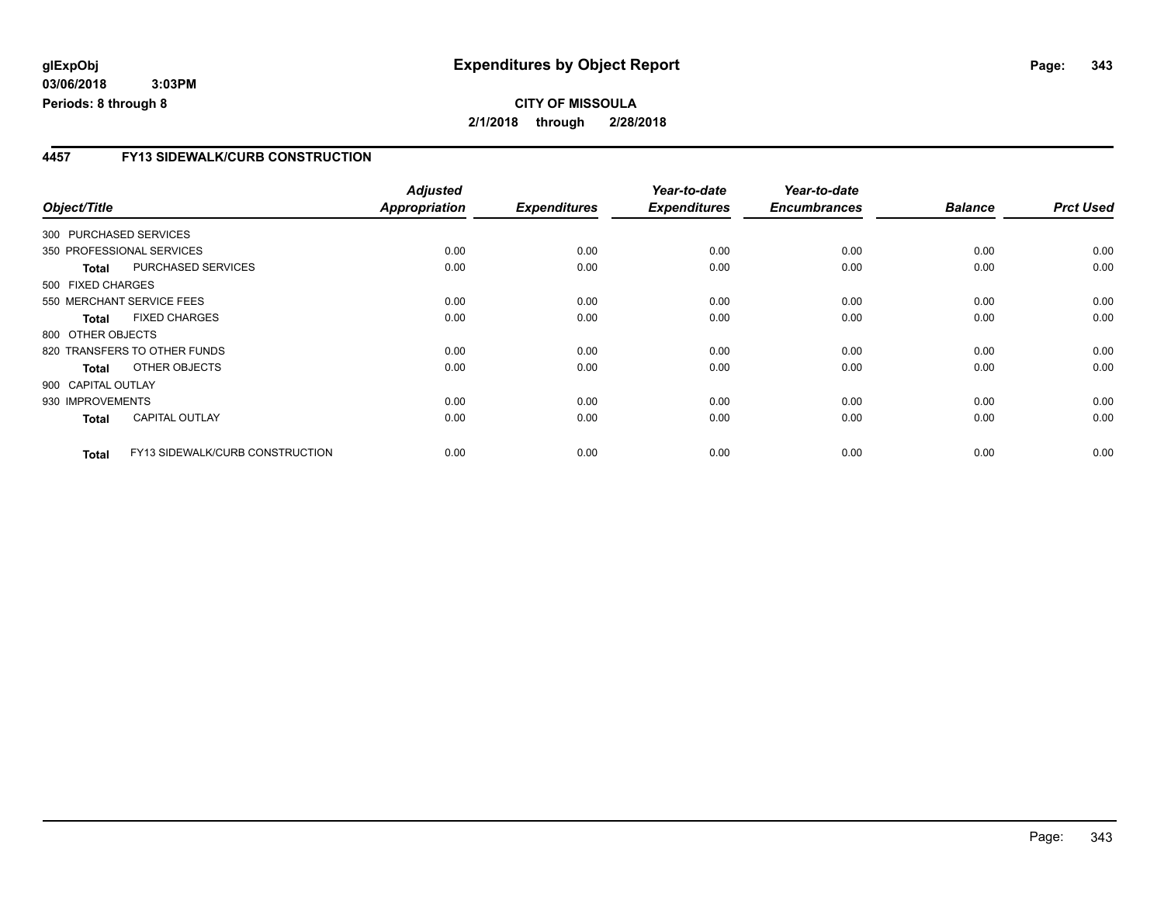### **4457 FY13 SIDEWALK/CURB CONSTRUCTION**

|                    |                                 | <b>Adjusted</b>      |                     | Year-to-date        | Year-to-date        |                |                  |
|--------------------|---------------------------------|----------------------|---------------------|---------------------|---------------------|----------------|------------------|
| Object/Title       |                                 | <b>Appropriation</b> | <b>Expenditures</b> | <b>Expenditures</b> | <b>Encumbrances</b> | <b>Balance</b> | <b>Prct Used</b> |
|                    | 300 PURCHASED SERVICES          |                      |                     |                     |                     |                |                  |
|                    | 350 PROFESSIONAL SERVICES       | 0.00                 | 0.00                | 0.00                | 0.00                | 0.00           | 0.00             |
| <b>Total</b>       | PURCHASED SERVICES              | 0.00                 | 0.00                | 0.00                | 0.00                | 0.00           | 0.00             |
| 500 FIXED CHARGES  |                                 |                      |                     |                     |                     |                |                  |
|                    | 550 MERCHANT SERVICE FEES       | 0.00                 | 0.00                | 0.00                | 0.00                | 0.00           | 0.00             |
| <b>Total</b>       | <b>FIXED CHARGES</b>            | 0.00                 | 0.00                | 0.00                | 0.00                | 0.00           | 0.00             |
| 800 OTHER OBJECTS  |                                 |                      |                     |                     |                     |                |                  |
|                    | 820 TRANSFERS TO OTHER FUNDS    | 0.00                 | 0.00                | 0.00                | 0.00                | 0.00           | 0.00             |
| Total              | OTHER OBJECTS                   | 0.00                 | 0.00                | 0.00                | 0.00                | 0.00           | 0.00             |
| 900 CAPITAL OUTLAY |                                 |                      |                     |                     |                     |                |                  |
| 930 IMPROVEMENTS   |                                 | 0.00                 | 0.00                | 0.00                | 0.00                | 0.00           | 0.00             |
| <b>Total</b>       | <b>CAPITAL OUTLAY</b>           | 0.00                 | 0.00                | 0.00                | 0.00                | 0.00           | 0.00             |
| <b>Total</b>       | FY13 SIDEWALK/CURB CONSTRUCTION | 0.00                 | 0.00                | 0.00                | 0.00                | 0.00           | 0.00             |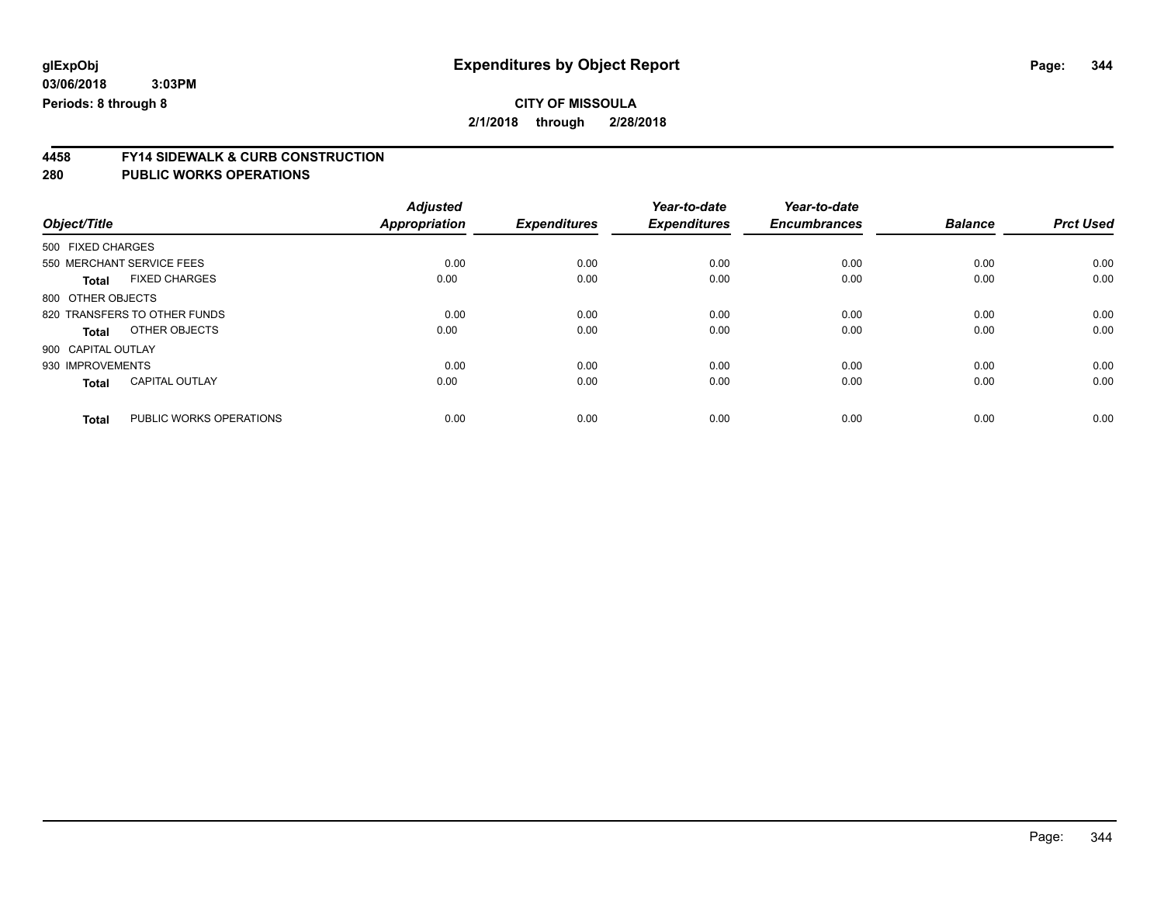# **4458 FY14 SIDEWALK & CURB CONSTRUCTION**

| Object/Title       |                              | <b>Adjusted</b><br><b>Appropriation</b> | <b>Expenditures</b> | Year-to-date<br><b>Expenditures</b> | Year-to-date<br><b>Encumbrances</b> | <b>Balance</b> | <b>Prct Used</b> |
|--------------------|------------------------------|-----------------------------------------|---------------------|-------------------------------------|-------------------------------------|----------------|------------------|
| 500 FIXED CHARGES  |                              |                                         |                     |                                     |                                     |                |                  |
|                    | 550 MERCHANT SERVICE FEES    | 0.00                                    | 0.00                | 0.00                                | 0.00                                | 0.00           | 0.00             |
| <b>Total</b>       | <b>FIXED CHARGES</b>         | 0.00                                    | 0.00                | 0.00                                | 0.00                                | 0.00           | 0.00             |
| 800 OTHER OBJECTS  |                              |                                         |                     |                                     |                                     |                |                  |
|                    | 820 TRANSFERS TO OTHER FUNDS | 0.00                                    | 0.00                | 0.00                                | 0.00                                | 0.00           | 0.00             |
| <b>Total</b>       | OTHER OBJECTS                | 0.00                                    | 0.00                | 0.00                                | 0.00                                | 0.00           | 0.00             |
| 900 CAPITAL OUTLAY |                              |                                         |                     |                                     |                                     |                |                  |
| 930 IMPROVEMENTS   |                              | 0.00                                    | 0.00                | 0.00                                | 0.00                                | 0.00           | 0.00             |
| <b>Total</b>       | <b>CAPITAL OUTLAY</b>        | 0.00                                    | 0.00                | 0.00                                | 0.00                                | 0.00           | 0.00             |
| <b>Total</b>       | PUBLIC WORKS OPERATIONS      | 0.00                                    | 0.00                | 0.00                                | 0.00                                | 0.00           | 0.00             |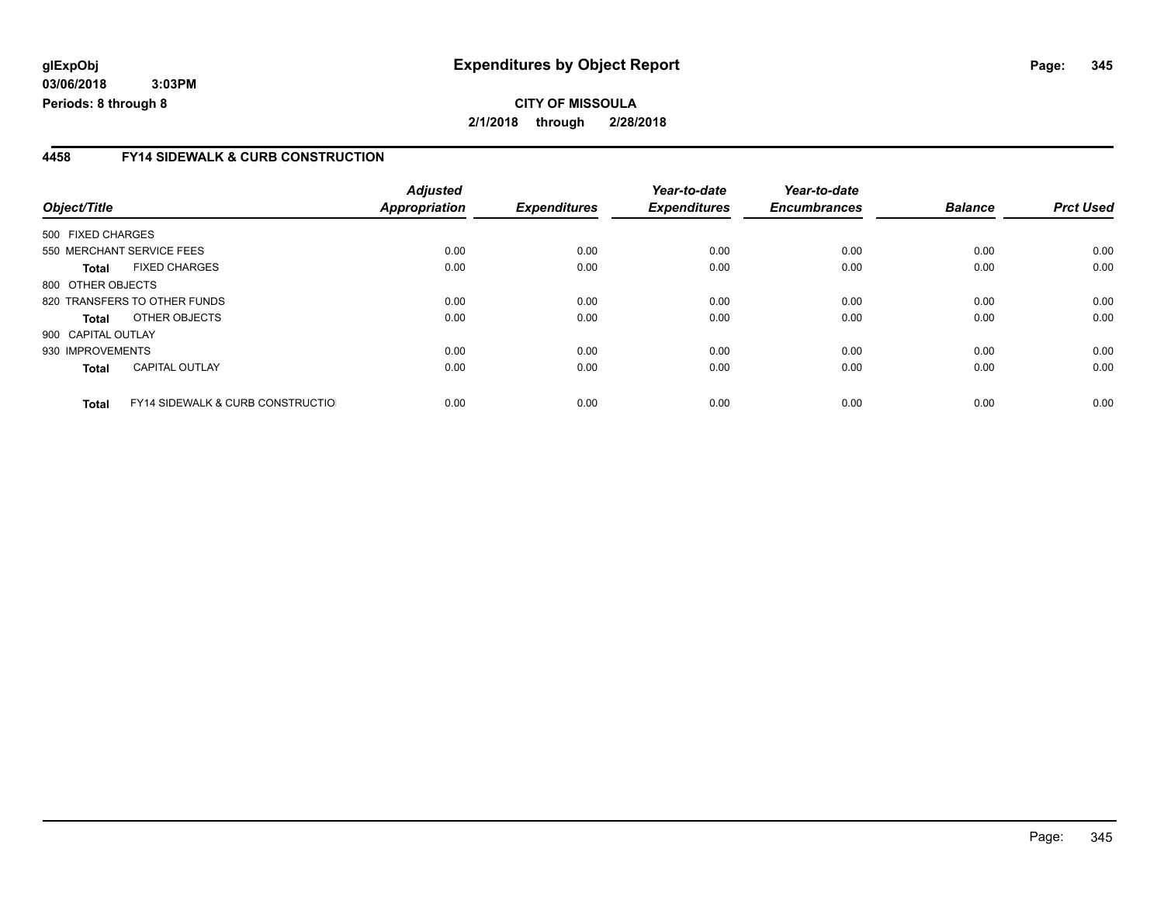**CITY OF MISSOULA 2/1/2018 through 2/28/2018**

#### **4458 FY14 SIDEWALK & CURB CONSTRUCTION**

|                    |                                              | <b>Adjusted</b>      |                     | Year-to-date        | Year-to-date        |                |                  |
|--------------------|----------------------------------------------|----------------------|---------------------|---------------------|---------------------|----------------|------------------|
| Object/Title       |                                              | <b>Appropriation</b> | <b>Expenditures</b> | <b>Expenditures</b> | <b>Encumbrances</b> | <b>Balance</b> | <b>Prct Used</b> |
| 500 FIXED CHARGES  |                                              |                      |                     |                     |                     |                |                  |
|                    | 550 MERCHANT SERVICE FEES                    | 0.00                 | 0.00                | 0.00                | 0.00                | 0.00           | 0.00             |
| Total              | <b>FIXED CHARGES</b>                         | 0.00                 | 0.00                | 0.00                | 0.00                | 0.00           | 0.00             |
| 800 OTHER OBJECTS  |                                              |                      |                     |                     |                     |                |                  |
|                    | 820 TRANSFERS TO OTHER FUNDS                 | 0.00                 | 0.00                | 0.00                | 0.00                | 0.00           | 0.00             |
| Total              | OTHER OBJECTS                                | 0.00                 | 0.00                | 0.00                | 0.00                | 0.00           | 0.00             |
| 900 CAPITAL OUTLAY |                                              |                      |                     |                     |                     |                |                  |
| 930 IMPROVEMENTS   |                                              | 0.00                 | 0.00                | 0.00                | 0.00                | 0.00           | 0.00             |
| <b>Total</b>       | <b>CAPITAL OUTLAY</b>                        | 0.00                 | 0.00                | 0.00                | 0.00                | 0.00           | 0.00             |
| <b>Total</b>       | <b>FY14 SIDEWALK &amp; CURB CONSTRUCTIOL</b> | 0.00                 | 0.00                | 0.00                | 0.00                | 0.00           | 0.00             |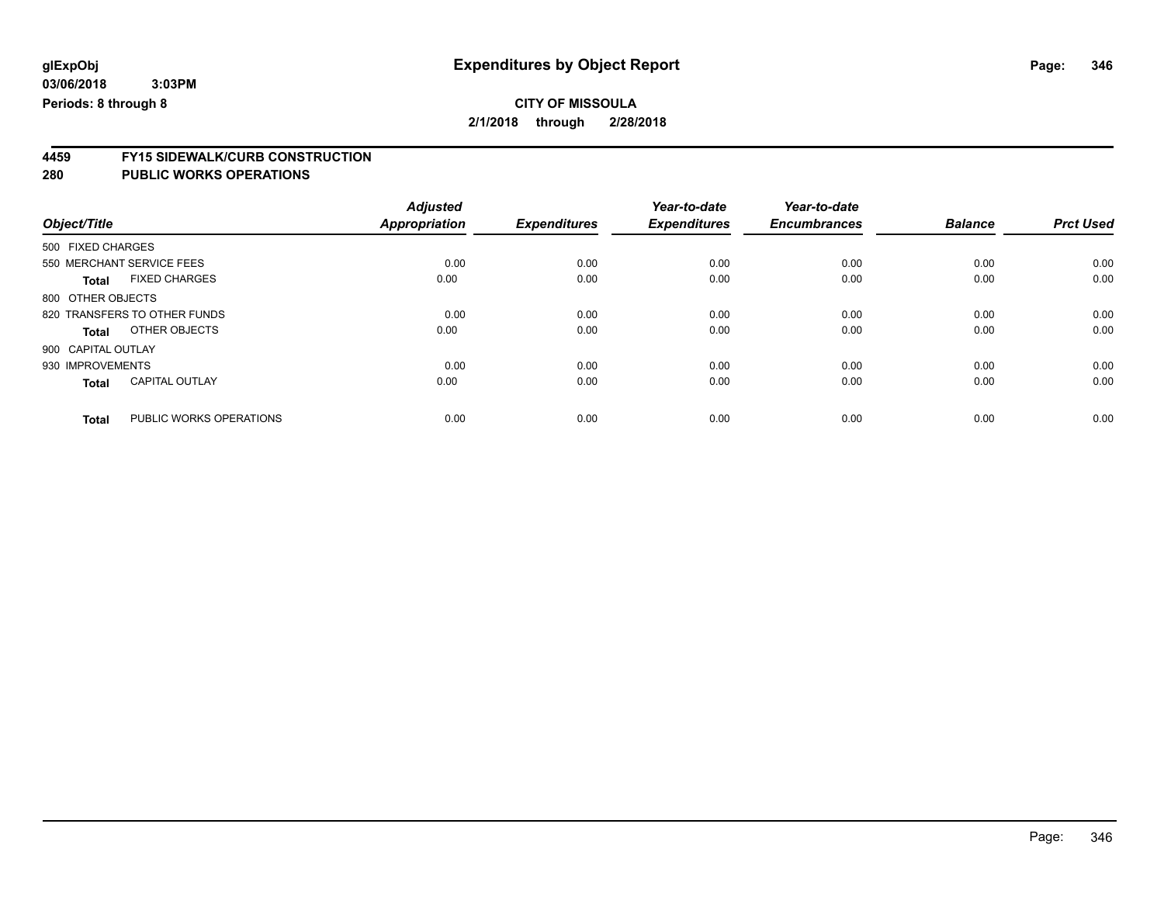### **CITY OF MISSOULA 2/1/2018 through 2/28/2018**

**4459 FY15 SIDEWALK/CURB CONSTRUCTION**

|                                         | <b>Adjusted</b>      |                     | Year-to-date        | Year-to-date        |                |                  |
|-----------------------------------------|----------------------|---------------------|---------------------|---------------------|----------------|------------------|
| Object/Title                            | <b>Appropriation</b> | <b>Expenditures</b> | <b>Expenditures</b> | <b>Encumbrances</b> | <b>Balance</b> | <b>Prct Used</b> |
| 500 FIXED CHARGES                       |                      |                     |                     |                     |                |                  |
| 550 MERCHANT SERVICE FEES               | 0.00                 | 0.00                | 0.00                | 0.00                | 0.00           | 0.00             |
| <b>FIXED CHARGES</b><br><b>Total</b>    | 0.00                 | 0.00                | 0.00                | 0.00                | 0.00           | 0.00             |
| 800 OTHER OBJECTS                       |                      |                     |                     |                     |                |                  |
| 820 TRANSFERS TO OTHER FUNDS            | 0.00                 | 0.00                | 0.00                | 0.00                | 0.00           | 0.00             |
| OTHER OBJECTS<br>Total                  | 0.00                 | 0.00                | 0.00                | 0.00                | 0.00           | 0.00             |
| 900 CAPITAL OUTLAY                      |                      |                     |                     |                     |                |                  |
| 930 IMPROVEMENTS                        | 0.00                 | 0.00                | 0.00                | 0.00                | 0.00           | 0.00             |
| <b>CAPITAL OUTLAY</b><br><b>Total</b>   | 0.00                 | 0.00                | 0.00                | 0.00                | 0.00           | 0.00             |
| PUBLIC WORKS OPERATIONS<br><b>Total</b> | 0.00                 | 0.00                | 0.00                | 0.00                | 0.00           | 0.00             |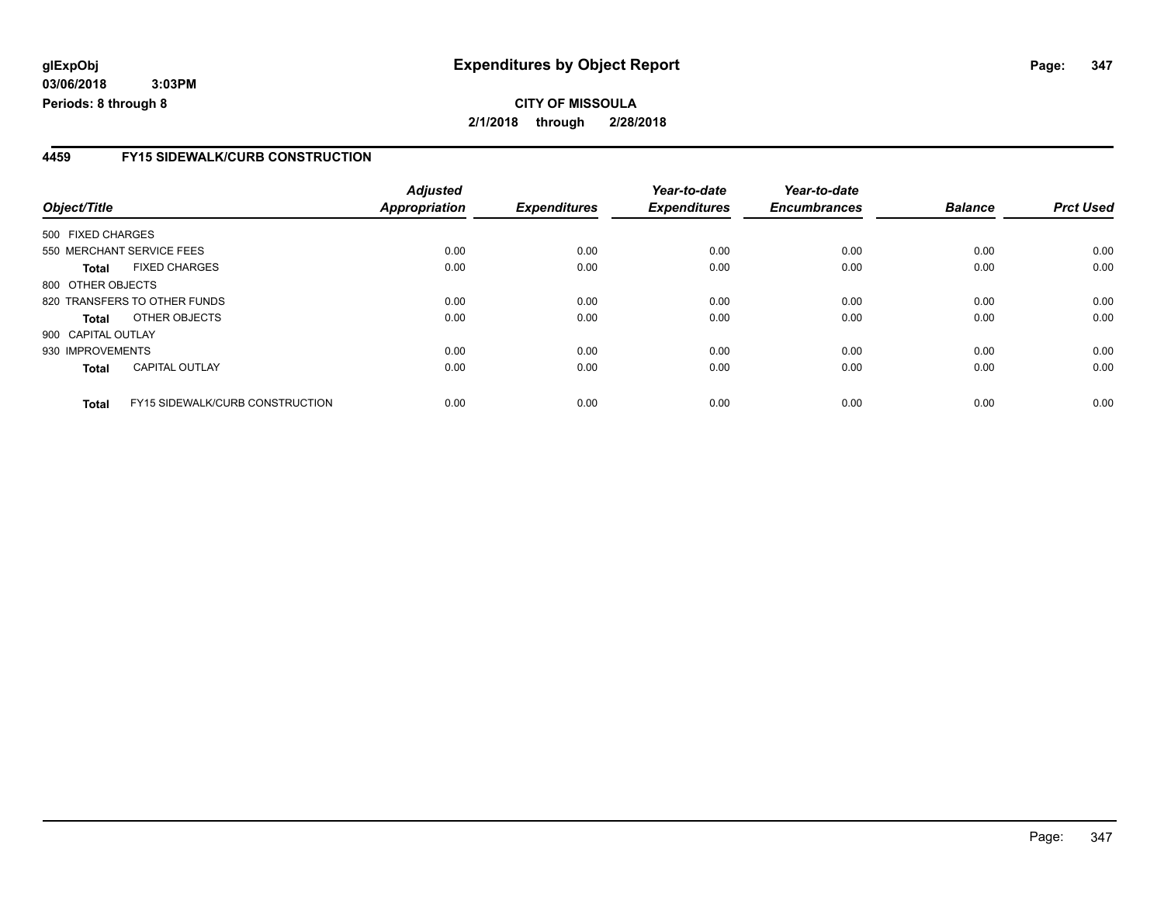### **4459 FY15 SIDEWALK/CURB CONSTRUCTION**

| Object/Title               |                                        | <b>Adjusted</b><br>Appropriation | <b>Expenditures</b> | Year-to-date<br><b>Expenditures</b> | Year-to-date<br><b>Encumbrances</b> | <b>Balance</b> | <b>Prct Used</b> |
|----------------------------|----------------------------------------|----------------------------------|---------------------|-------------------------------------|-------------------------------------|----------------|------------------|
| 500 FIXED CHARGES          |                                        |                                  |                     |                                     |                                     |                |                  |
|                            | 550 MERCHANT SERVICE FEES              | 0.00                             | 0.00                | 0.00                                | 0.00                                | 0.00           | 0.00             |
|                            | <b>FIXED CHARGES</b>                   | 0.00                             | 0.00                | 0.00                                | 0.00                                | 0.00           | 0.00             |
| Total<br>800 OTHER OBJECTS |                                        |                                  |                     |                                     |                                     |                |                  |
|                            | 820 TRANSFERS TO OTHER FUNDS           | 0.00                             | 0.00                | 0.00                                | 0.00                                | 0.00           | 0.00             |
| Total                      | OTHER OBJECTS                          | 0.00                             | 0.00                | 0.00                                | 0.00                                | 0.00           | 0.00             |
| 900 CAPITAL OUTLAY         |                                        |                                  |                     |                                     |                                     |                |                  |
| 930 IMPROVEMENTS           |                                        | 0.00                             | 0.00                | 0.00                                | 0.00                                | 0.00           | 0.00             |
| <b>Total</b>               | <b>CAPITAL OUTLAY</b>                  | 0.00                             | 0.00                | 0.00                                | 0.00                                | 0.00           | 0.00             |
| <b>Total</b>               | <b>FY15 SIDEWALK/CURB CONSTRUCTION</b> | 0.00                             | 0.00                | 0.00                                | 0.00                                | 0.00           | 0.00             |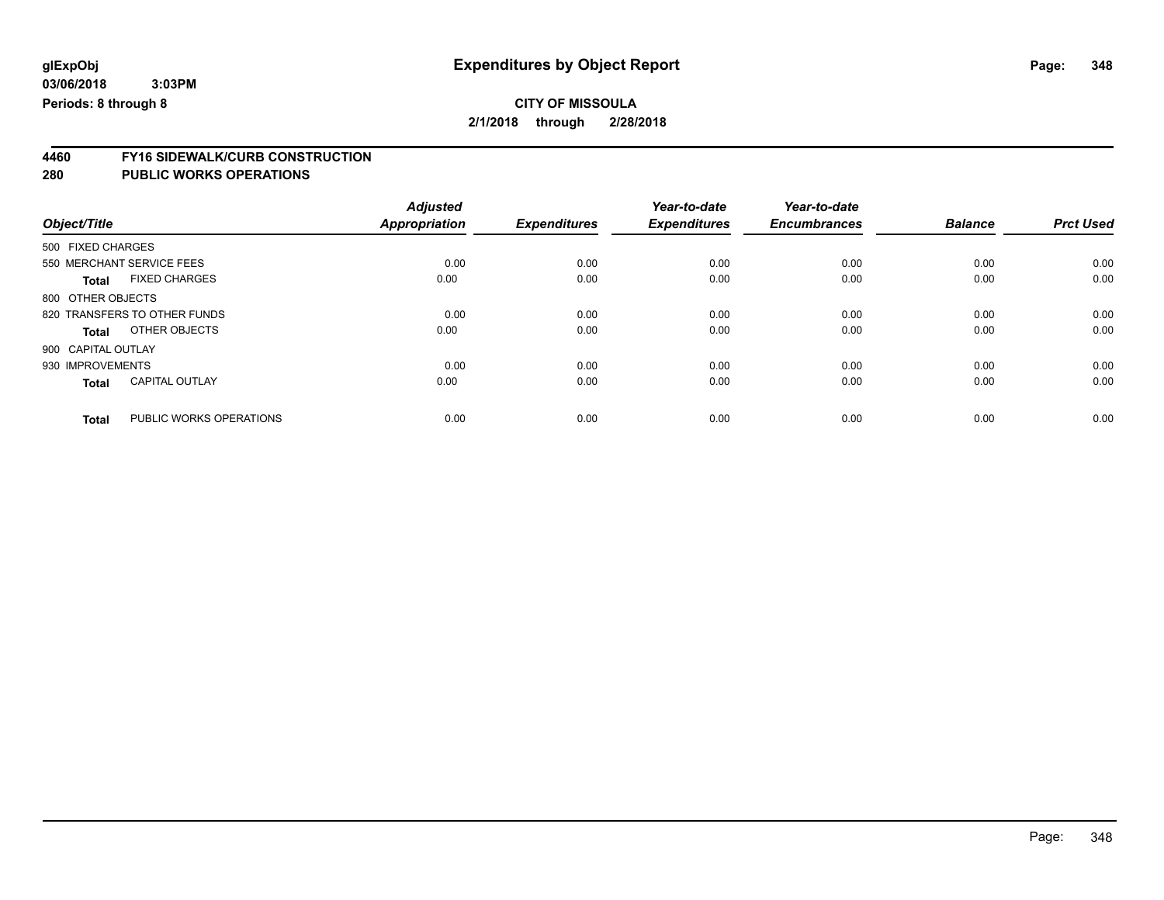### **CITY OF MISSOULA 2/1/2018 through 2/28/2018**

**4460 FY16 SIDEWALK/CURB CONSTRUCTION**

**280 PUBLIC WORKS OPERATIONS**

|                    |                              | <b>Adjusted</b>      |                     | Year-to-date        | Year-to-date        |                |                  |
|--------------------|------------------------------|----------------------|---------------------|---------------------|---------------------|----------------|------------------|
| Object/Title       |                              | <b>Appropriation</b> | <b>Expenditures</b> | <b>Expenditures</b> | <b>Encumbrances</b> | <b>Balance</b> | <b>Prct Used</b> |
| 500 FIXED CHARGES  |                              |                      |                     |                     |                     |                |                  |
|                    | 550 MERCHANT SERVICE FEES    | 0.00                 | 0.00                | 0.00                | 0.00                | 0.00           | 0.00             |
| <b>Total</b>       | <b>FIXED CHARGES</b>         | 0.00                 | 0.00                | 0.00                | 0.00                | 0.00           | 0.00             |
| 800 OTHER OBJECTS  |                              |                      |                     |                     |                     |                |                  |
|                    | 820 TRANSFERS TO OTHER FUNDS | 0.00                 | 0.00                | 0.00                | 0.00                | 0.00           | 0.00             |
| <b>Total</b>       | OTHER OBJECTS                | 0.00                 | 0.00                | 0.00                | 0.00                | 0.00           | 0.00             |
| 900 CAPITAL OUTLAY |                              |                      |                     |                     |                     |                |                  |
| 930 IMPROVEMENTS   |                              | 0.00                 | 0.00                | 0.00                | 0.00                | 0.00           | 0.00             |
| <b>Total</b>       | <b>CAPITAL OUTLAY</b>        | 0.00                 | 0.00                | 0.00                | 0.00                | 0.00           | 0.00             |
| <b>Total</b>       | PUBLIC WORKS OPERATIONS      | 0.00                 | 0.00                | 0.00                | 0.00                | 0.00           | 0.00             |

Page: 348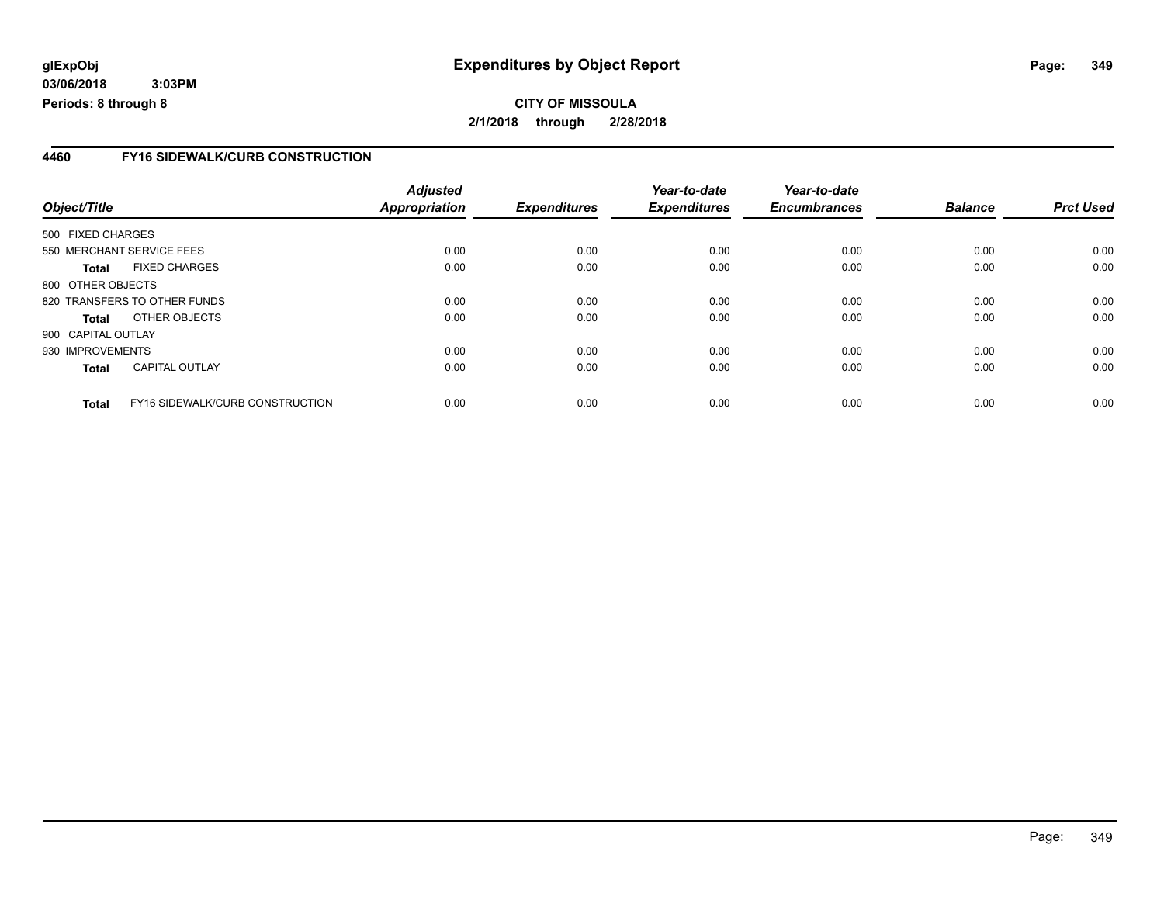### **4460 FY16 SIDEWALK/CURB CONSTRUCTION**

| Object/Title       |                                 | <b>Adjusted</b><br><b>Appropriation</b> | <b>Expenditures</b> | Year-to-date<br><b>Expenditures</b> | Year-to-date<br><b>Encumbrances</b> | <b>Balance</b> | <b>Prct Used</b> |
|--------------------|---------------------------------|-----------------------------------------|---------------------|-------------------------------------|-------------------------------------|----------------|------------------|
| 500 FIXED CHARGES  |                                 |                                         |                     |                                     |                                     |                |                  |
|                    |                                 |                                         |                     |                                     |                                     |                |                  |
|                    | 550 MERCHANT SERVICE FEES       | 0.00                                    | 0.00                | 0.00                                | 0.00                                | 0.00           | 0.00             |
| Total              | <b>FIXED CHARGES</b>            | 0.00                                    | 0.00                | 0.00                                | 0.00                                | 0.00           | 0.00             |
| 800 OTHER OBJECTS  |                                 |                                         |                     |                                     |                                     |                |                  |
|                    | 820 TRANSFERS TO OTHER FUNDS    | 0.00                                    | 0.00                | 0.00                                | 0.00                                | 0.00           | 0.00             |
| Total              | OTHER OBJECTS                   | 0.00                                    | 0.00                | 0.00                                | 0.00                                | 0.00           | 0.00             |
| 900 CAPITAL OUTLAY |                                 |                                         |                     |                                     |                                     |                |                  |
| 930 IMPROVEMENTS   |                                 | 0.00                                    | 0.00                | 0.00                                | 0.00                                | 0.00           | 0.00             |
| <b>Total</b>       | <b>CAPITAL OUTLAY</b>           | 0.00                                    | 0.00                | 0.00                                | 0.00                                | 0.00           | 0.00             |
| <b>Total</b>       | FY16 SIDEWALK/CURB CONSTRUCTION | 0.00                                    | 0.00                | 0.00                                | 0.00                                | 0.00           | 0.00             |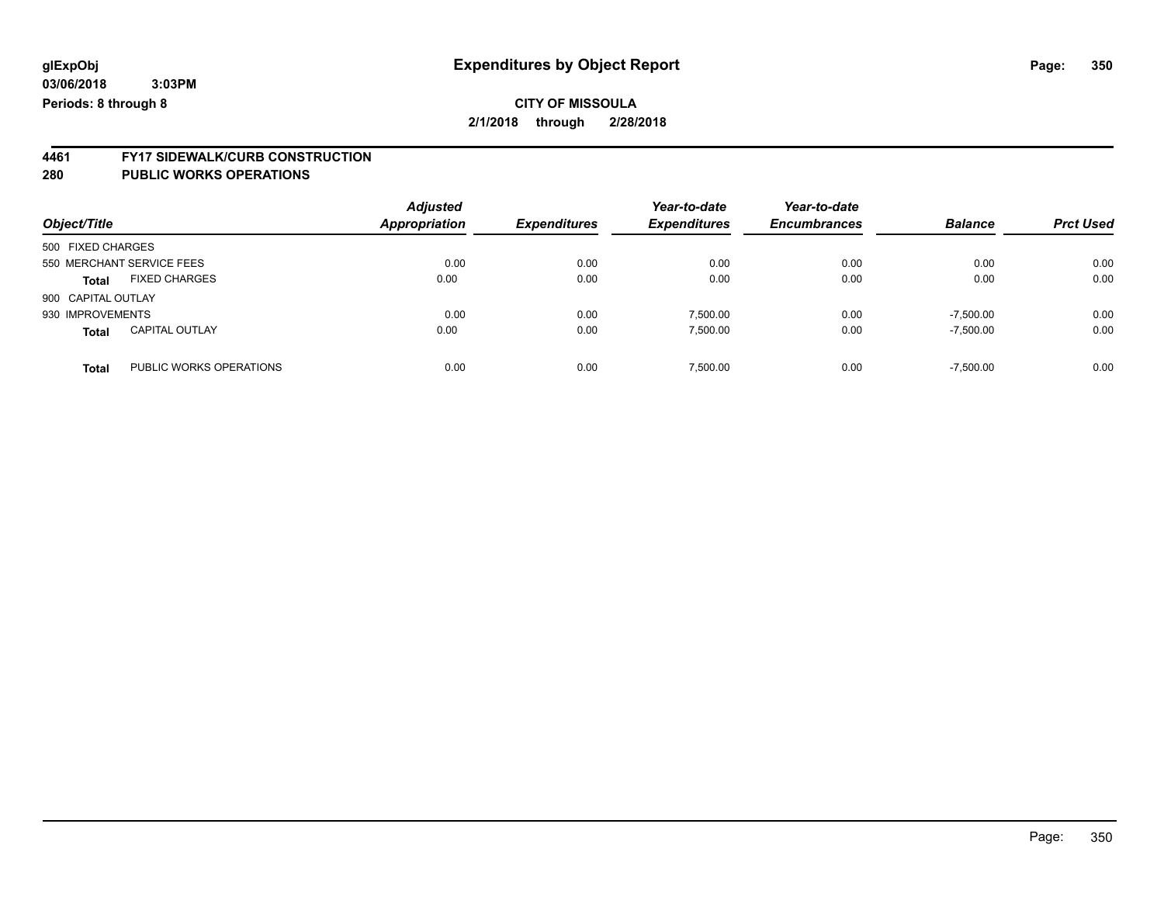# **4461 FY17 SIDEWALK/CURB CONSTRUCTION**

#### **280 PUBLIC WORKS OPERATIONS**

| Object/Title       |                           | <b>Adjusted</b><br><b>Appropriation</b> | <b>Expenditures</b> | Year-to-date<br><b>Expenditures</b> | Year-to-date<br><b>Encumbrances</b> | <b>Balance</b> | <b>Prct Used</b> |
|--------------------|---------------------------|-----------------------------------------|---------------------|-------------------------------------|-------------------------------------|----------------|------------------|
| 500 FIXED CHARGES  |                           |                                         |                     |                                     |                                     |                |                  |
|                    | 550 MERCHANT SERVICE FEES | 0.00                                    | 0.00                | 0.00                                | 0.00                                | 0.00           | 0.00             |
| <b>Total</b>       | <b>FIXED CHARGES</b>      | 0.00                                    | 0.00                | 0.00                                | 0.00                                | 0.00           | 0.00             |
| 900 CAPITAL OUTLAY |                           |                                         |                     |                                     |                                     |                |                  |
| 930 IMPROVEMENTS   |                           | 0.00                                    | 0.00                | 7.500.00                            | 0.00                                | $-7,500.00$    | 0.00             |
| <b>Total</b>       | <b>CAPITAL OUTLAY</b>     | 0.00                                    | 0.00                | 7.500.00                            | 0.00                                | $-7,500.00$    | 0.00             |
| <b>Total</b>       | PUBLIC WORKS OPERATIONS   | 0.00                                    | 0.00                | 7.500.00                            | 0.00                                | $-7,500.00$    | 0.00             |

Page: 350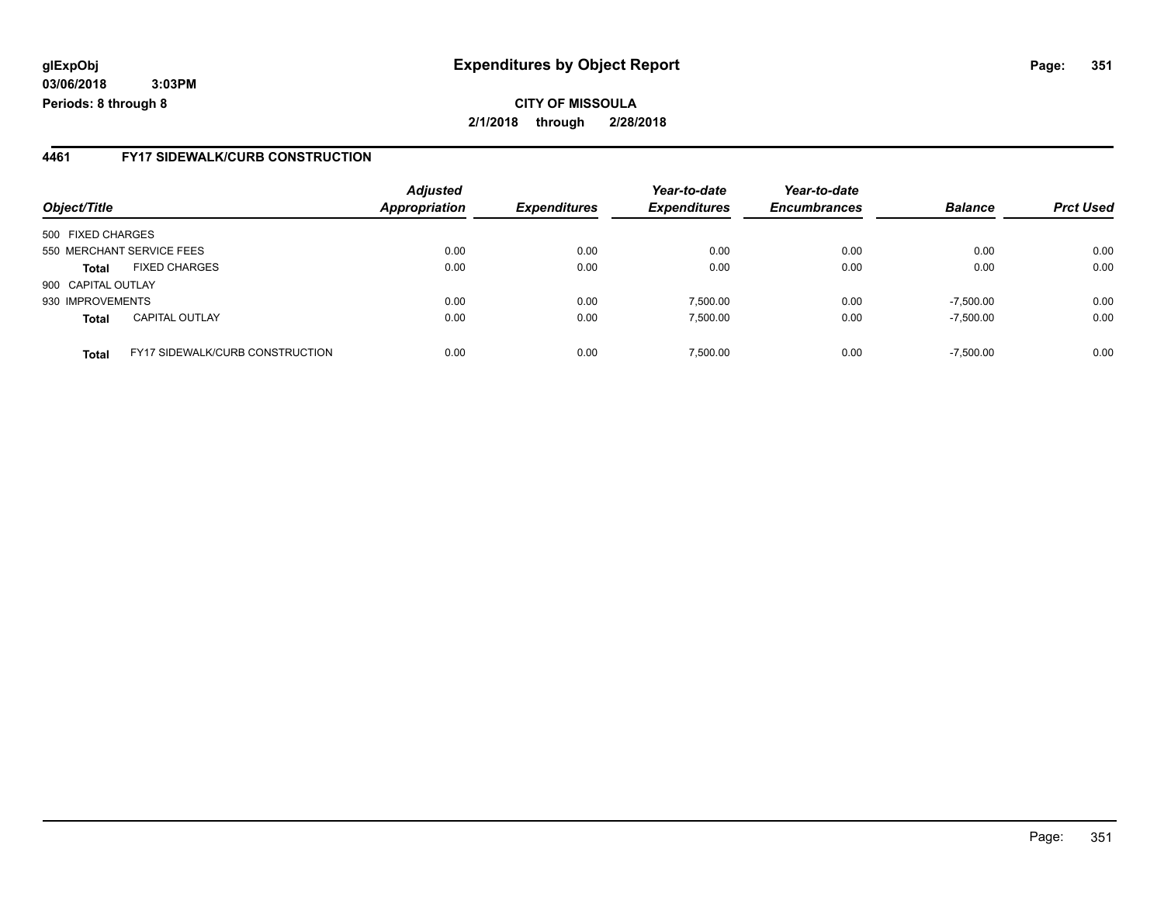**CITY OF MISSOULA 2/1/2018 through 2/28/2018**

#### **4461 FY17 SIDEWALK/CURB CONSTRUCTION**

| Object/Title       |                                        | <b>Adjusted</b>      |                     | Year-to-date        | Year-to-date<br><b>Encumbrances</b> | <b>Balance</b> |                  |
|--------------------|----------------------------------------|----------------------|---------------------|---------------------|-------------------------------------|----------------|------------------|
|                    |                                        | <b>Appropriation</b> | <b>Expenditures</b> | <b>Expenditures</b> |                                     |                | <b>Prct Used</b> |
| 500 FIXED CHARGES  |                                        |                      |                     |                     |                                     |                |                  |
|                    | 550 MERCHANT SERVICE FEES              | 0.00                 | 0.00                | 0.00                | 0.00                                | 0.00           | 0.00             |
| <b>Total</b>       | <b>FIXED CHARGES</b>                   | 0.00                 | 0.00                | 0.00                | 0.00                                | 0.00           | 0.00             |
| 900 CAPITAL OUTLAY |                                        |                      |                     |                     |                                     |                |                  |
| 930 IMPROVEMENTS   |                                        | 0.00                 | 0.00                | 7,500.00            | 0.00                                | $-7,500.00$    | 0.00             |
| <b>Total</b>       | <b>CAPITAL OUTLAY</b>                  | 0.00                 | 0.00                | 7.500.00            | 0.00                                | $-7,500.00$    | 0.00             |
| <b>Total</b>       | <b>FY17 SIDEWALK/CURB CONSTRUCTION</b> | 0.00                 | 0.00                | 7,500.00            | 0.00                                | $-7,500.00$    | 0.00             |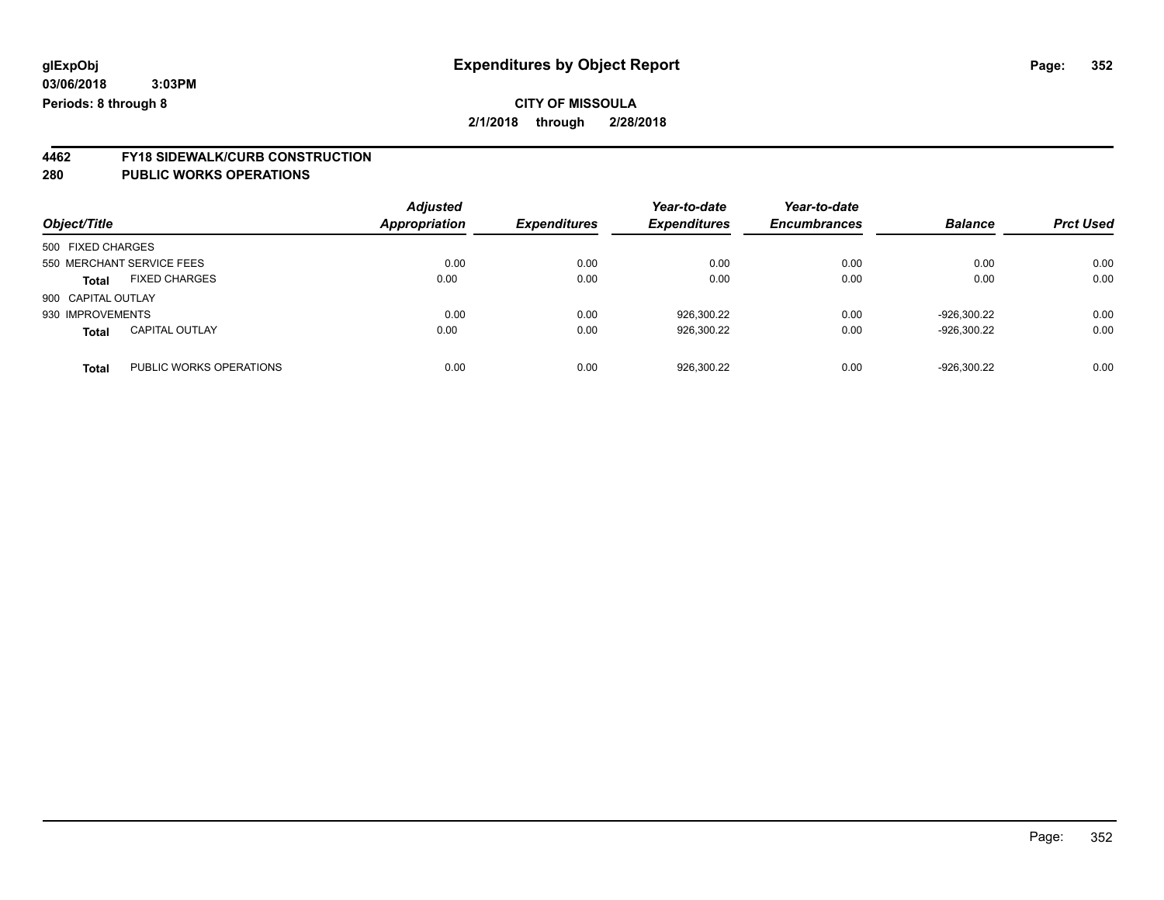### **CITY OF MISSOULA 2/1/2018 through 2/28/2018**

# **4462 FY18 SIDEWALK/CURB CONSTRUCTION**

| Object/Title       |                           | <b>Adjusted</b><br>Appropriation | <b>Expenditures</b> | Year-to-date<br><b>Expenditures</b> | Year-to-date<br><b>Encumbrances</b> | <b>Balance</b> | <b>Prct Used</b> |
|--------------------|---------------------------|----------------------------------|---------------------|-------------------------------------|-------------------------------------|----------------|------------------|
| 500 FIXED CHARGES  |                           |                                  |                     |                                     |                                     |                |                  |
|                    | 550 MERCHANT SERVICE FEES | 0.00                             | 0.00                | 0.00                                | 0.00                                | 0.00           | 0.00             |
| <b>Total</b>       | <b>FIXED CHARGES</b>      | 0.00                             | 0.00                | 0.00                                | 0.00                                | 0.00           | 0.00             |
| 900 CAPITAL OUTLAY |                           |                                  |                     |                                     |                                     |                |                  |
| 930 IMPROVEMENTS   |                           | 0.00                             | 0.00                | 926.300.22                          | 0.00                                | -926.300.22    | 0.00             |
| <b>Total</b>       | <b>CAPITAL OUTLAY</b>     | 0.00                             | 0.00                | 926,300.22                          | 0.00                                | -926.300.22    | 0.00             |
| <b>Total</b>       | PUBLIC WORKS OPERATIONS   | 0.00                             | 0.00                | 926,300.22                          | 0.00                                | -926.300.22    | 0.00             |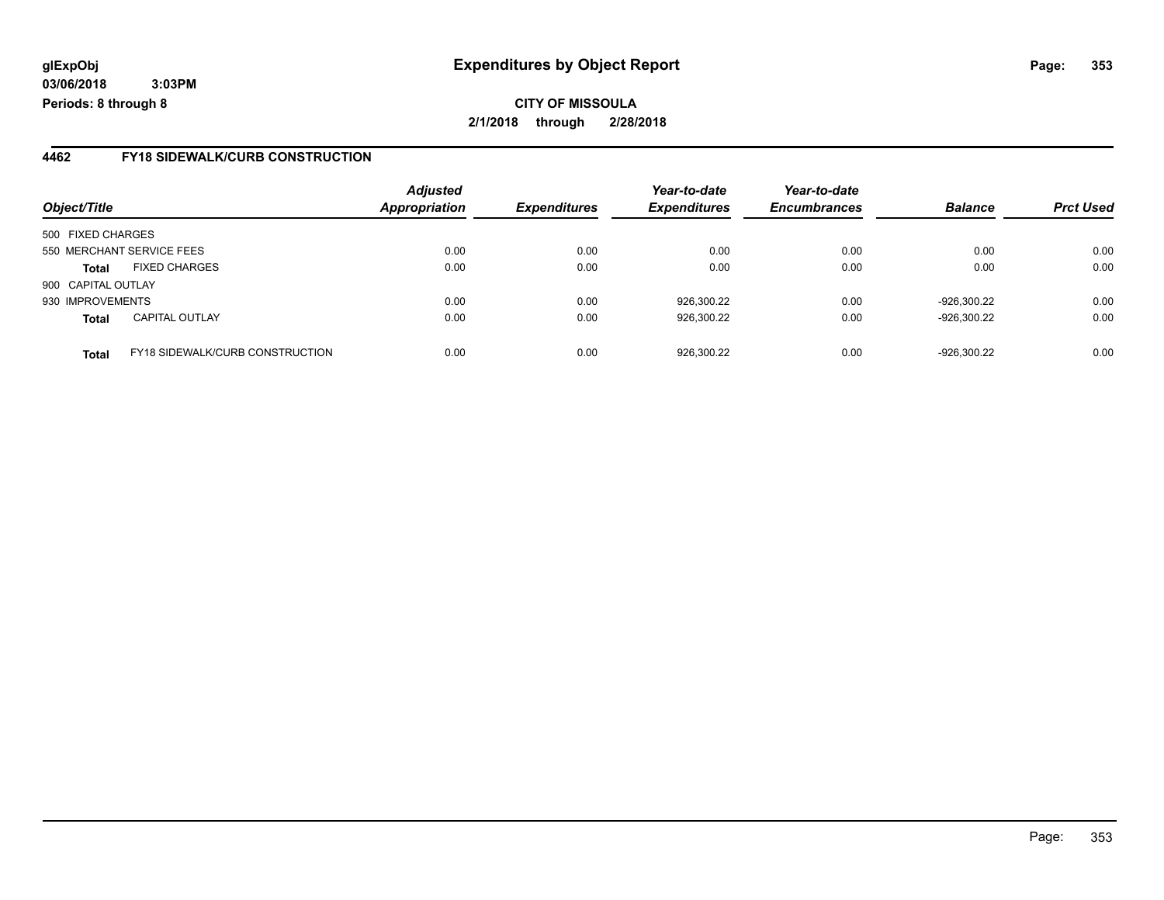**CITY OF MISSOULA 2/1/2018 through 2/28/2018**

#### **4462 FY18 SIDEWALK/CURB CONSTRUCTION**

| Object/Title       |                                 | <b>Adjusted</b>      |                     | Year-to-date        | Year-to-date<br><b>Encumbrances</b> | <b>Balance</b> |                  |
|--------------------|---------------------------------|----------------------|---------------------|---------------------|-------------------------------------|----------------|------------------|
|                    |                                 | <b>Appropriation</b> | <b>Expenditures</b> | <b>Expenditures</b> |                                     |                | <b>Prct Used</b> |
| 500 FIXED CHARGES  |                                 |                      |                     |                     |                                     |                |                  |
|                    | 550 MERCHANT SERVICE FEES       | 0.00                 | 0.00                | 0.00                | 0.00                                | 0.00           | 0.00             |
| <b>Total</b>       | <b>FIXED CHARGES</b>            | 0.00                 | 0.00                | 0.00                | 0.00                                | 0.00           | 0.00             |
| 900 CAPITAL OUTLAY |                                 |                      |                     |                     |                                     |                |                  |
| 930 IMPROVEMENTS   |                                 | 0.00                 | 0.00                | 926,300.22          | 0.00                                | -926,300.22    | 0.00             |
| <b>Total</b>       | <b>CAPITAL OUTLAY</b>           | 0.00                 | 0.00                | 926,300.22          | 0.00                                | -926,300.22    | 0.00             |
| <b>Total</b>       | FY18 SIDEWALK/CURB CONSTRUCTION | 0.00                 | 0.00                | 926,300.22          | 0.00                                | -926,300.22    | 0.00             |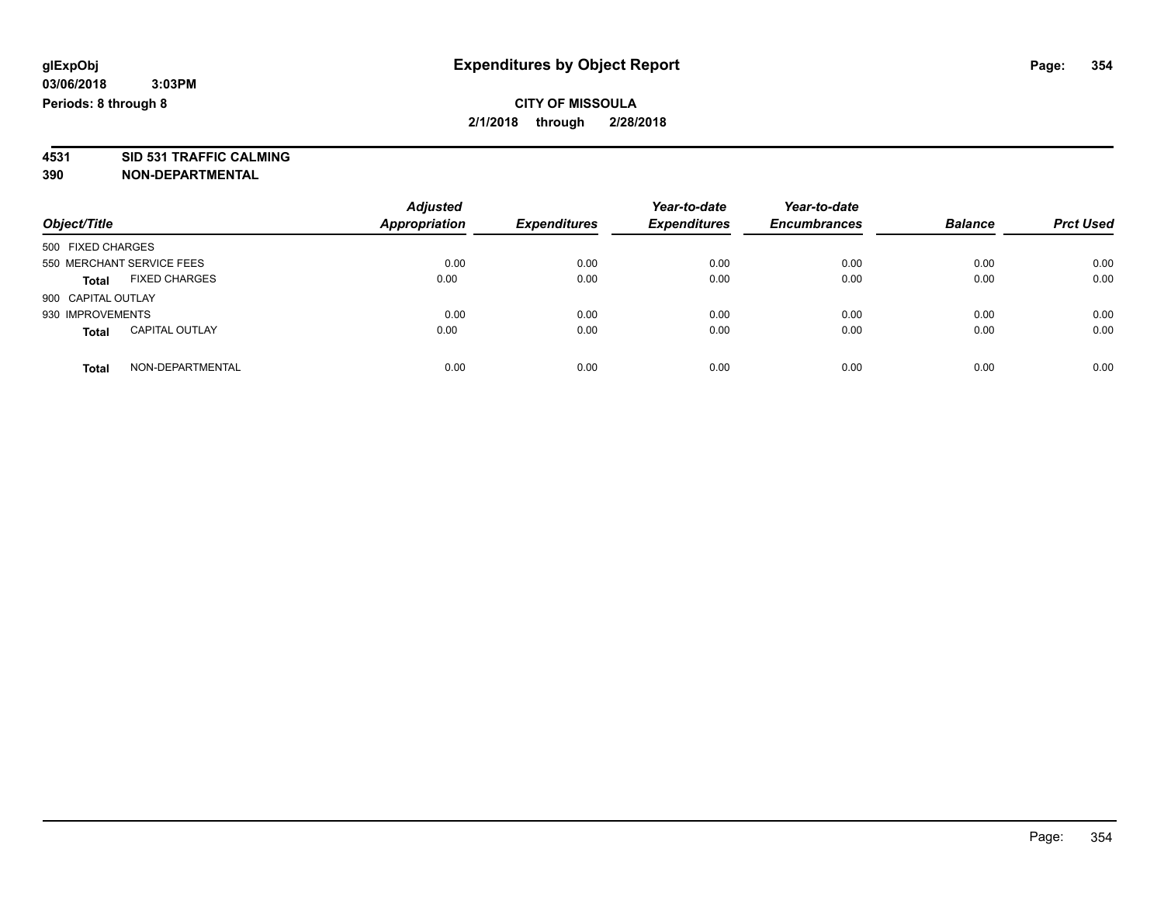**4531 SID 531 TRAFFIC CALMING 390 NON-DEPARTMENTAL**

| Object/Title                          | <b>Adjusted</b><br><b>Appropriation</b> | <b>Expenditures</b> | Year-to-date<br><b>Expenditures</b> | Year-to-date<br><b>Encumbrances</b> | <b>Balance</b> | <b>Prct Used</b> |
|---------------------------------------|-----------------------------------------|---------------------|-------------------------------------|-------------------------------------|----------------|------------------|
| 500 FIXED CHARGES                     |                                         |                     |                                     |                                     |                |                  |
| 550 MERCHANT SERVICE FEES             | 0.00                                    | 0.00                | 0.00                                | 0.00                                | 0.00           | 0.00             |
| <b>FIXED CHARGES</b><br><b>Total</b>  | 0.00                                    | 0.00                | 0.00                                | 0.00                                | 0.00           | 0.00             |
| 900 CAPITAL OUTLAY                    |                                         |                     |                                     |                                     |                |                  |
| 930 IMPROVEMENTS                      | 0.00                                    | 0.00                | 0.00                                | 0.00                                | 0.00           | 0.00             |
| <b>CAPITAL OUTLAY</b><br><b>Total</b> | 0.00                                    | 0.00                | 0.00                                | 0.00                                | 0.00           | 0.00             |
| NON-DEPARTMENTAL<br>Total             | 0.00                                    | 0.00                | 0.00                                | 0.00                                | 0.00           | 0.00             |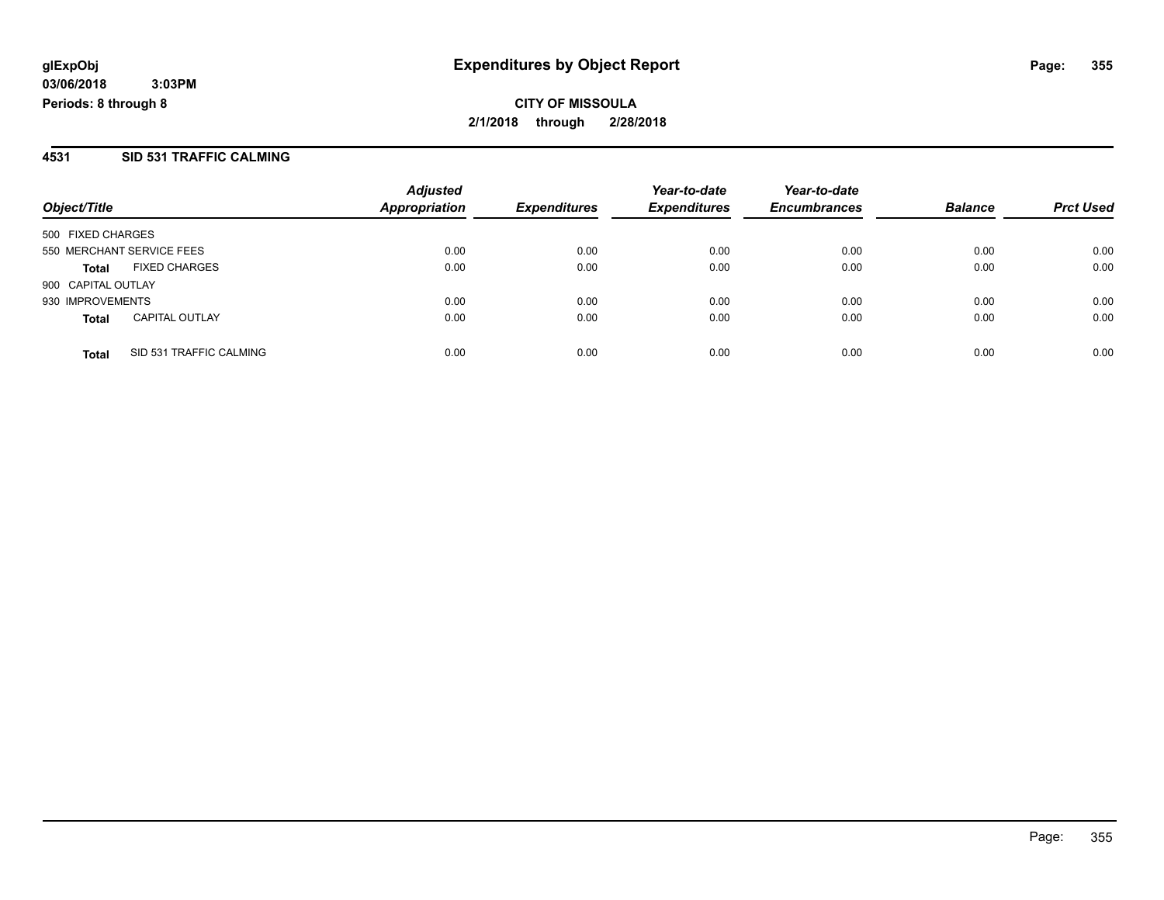#### **4531 SID 531 TRAFFIC CALMING**

|                    |                           | <b>Adjusted</b>      |                     | Year-to-date        | Year-to-date        |                |                  |
|--------------------|---------------------------|----------------------|---------------------|---------------------|---------------------|----------------|------------------|
| Object/Title       |                           | <b>Appropriation</b> | <b>Expenditures</b> | <b>Expenditures</b> | <b>Encumbrances</b> | <b>Balance</b> | <b>Prct Used</b> |
| 500 FIXED CHARGES  |                           |                      |                     |                     |                     |                |                  |
|                    | 550 MERCHANT SERVICE FEES | 0.00                 | 0.00                | 0.00                | 0.00                | 0.00           | 0.00             |
| Total              | <b>FIXED CHARGES</b>      | 0.00                 | 0.00                | 0.00                | 0.00                | 0.00           | 0.00             |
| 900 CAPITAL OUTLAY |                           |                      |                     |                     |                     |                |                  |
| 930 IMPROVEMENTS   |                           | 0.00                 | 0.00                | 0.00                | 0.00                | 0.00           | 0.00             |
| <b>Total</b>       | <b>CAPITAL OUTLAY</b>     | 0.00                 | 0.00                | 0.00                | 0.00                | 0.00           | 0.00             |
| <b>Total</b>       | SID 531 TRAFFIC CALMING   | 0.00                 | 0.00                | 0.00                | 0.00                | 0.00           | 0.00             |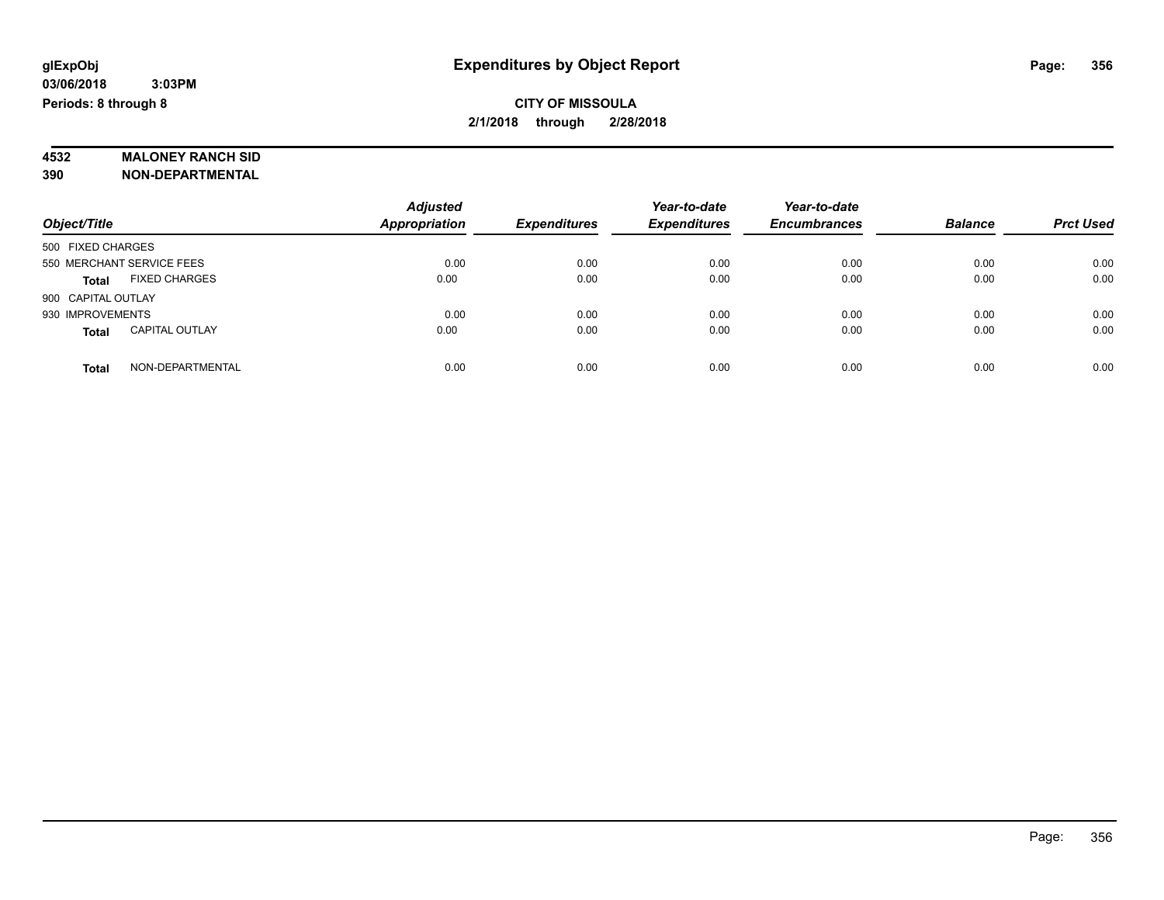# **4532 MALONEY RANCH SID**

**390 NON-DEPARTMENTAL**

|                                       | <b>Adjusted</b>      |                     | Year-to-date        | Year-to-date        |                |                  |
|---------------------------------------|----------------------|---------------------|---------------------|---------------------|----------------|------------------|
| Object/Title                          | <b>Appropriation</b> | <b>Expenditures</b> | <b>Expenditures</b> | <b>Encumbrances</b> | <b>Balance</b> | <b>Prct Used</b> |
| 500 FIXED CHARGES                     |                      |                     |                     |                     |                |                  |
| 550 MERCHANT SERVICE FEES             | 0.00                 | 0.00                | 0.00                | 0.00                | 0.00           | 0.00             |
| <b>FIXED CHARGES</b><br>Total         | 0.00                 | 0.00                | 0.00                | 0.00                | 0.00           | 0.00             |
| 900 CAPITAL OUTLAY                    |                      |                     |                     |                     |                |                  |
| 930 IMPROVEMENTS                      | 0.00                 | 0.00                | 0.00                | 0.00                | 0.00           | 0.00             |
| <b>CAPITAL OUTLAY</b><br><b>Total</b> | 0.00                 | 0.00                | 0.00                | 0.00                | 0.00           | 0.00             |
| NON-DEPARTMENTAL<br><b>Total</b>      | 0.00                 | 0.00                | 0.00                | 0.00                | 0.00           | 0.00             |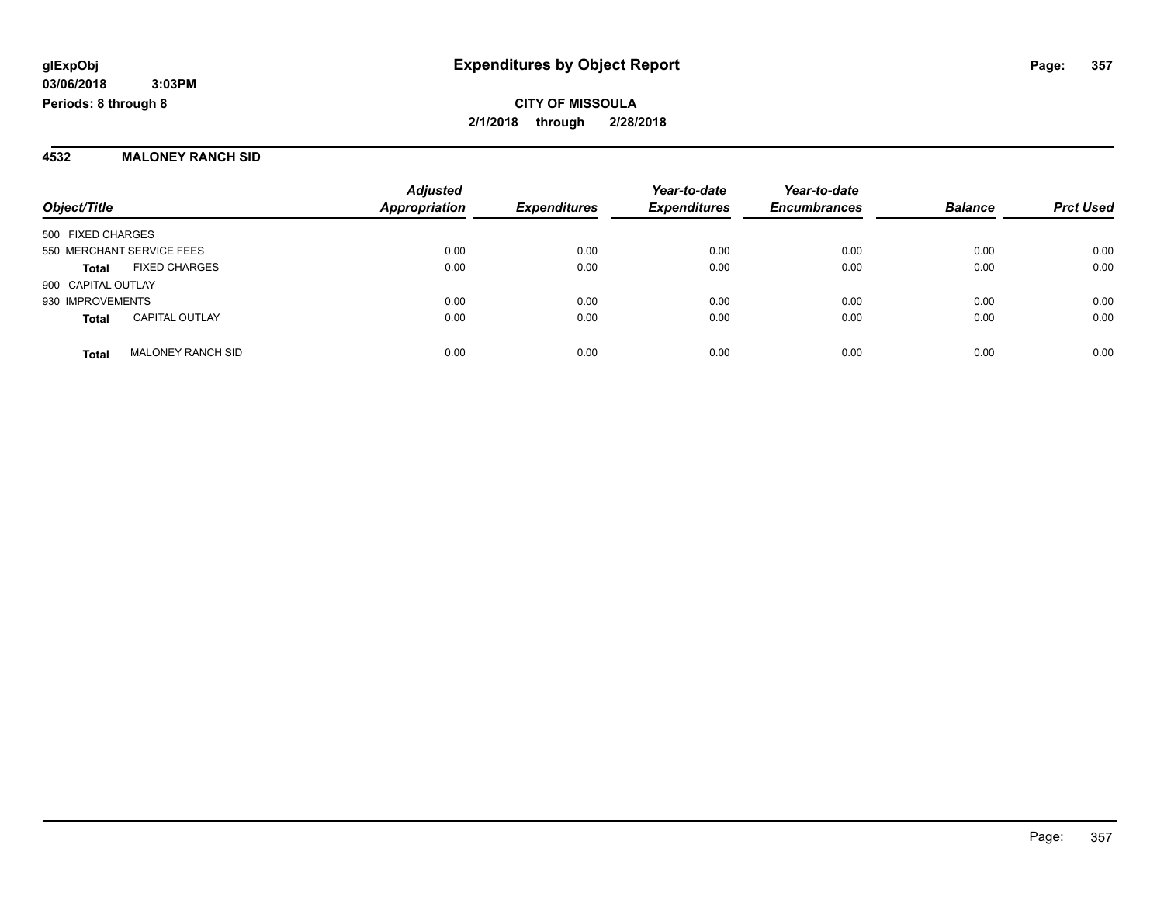#### **4532 MALONEY RANCH SID**

| Object/Title              |                          | <b>Adjusted</b><br><b>Appropriation</b> | <b>Expenditures</b> | Year-to-date<br><b>Expenditures</b> | Year-to-date<br><b>Encumbrances</b> | <b>Balance</b> | <b>Prct Used</b> |
|---------------------------|--------------------------|-----------------------------------------|---------------------|-------------------------------------|-------------------------------------|----------------|------------------|
| 500 FIXED CHARGES         |                          |                                         |                     |                                     |                                     |                |                  |
| 550 MERCHANT SERVICE FEES |                          | 0.00                                    | 0.00                | 0.00                                | 0.00                                | 0.00           | 0.00             |
| <b>Total</b>              | <b>FIXED CHARGES</b>     | 0.00                                    | 0.00                | 0.00                                | 0.00                                | 0.00           | 0.00             |
| 900 CAPITAL OUTLAY        |                          |                                         |                     |                                     |                                     |                |                  |
| 930 IMPROVEMENTS          |                          | 0.00                                    | 0.00                | 0.00                                | 0.00                                | 0.00           | 0.00             |
| <b>Total</b>              | <b>CAPITAL OUTLAY</b>    | 0.00                                    | 0.00                | 0.00                                | 0.00                                | 0.00           | 0.00             |
| <b>Total</b>              | <b>MALONEY RANCH SID</b> | 0.00                                    | 0.00                | 0.00                                | 0.00                                | 0.00           | 0.00             |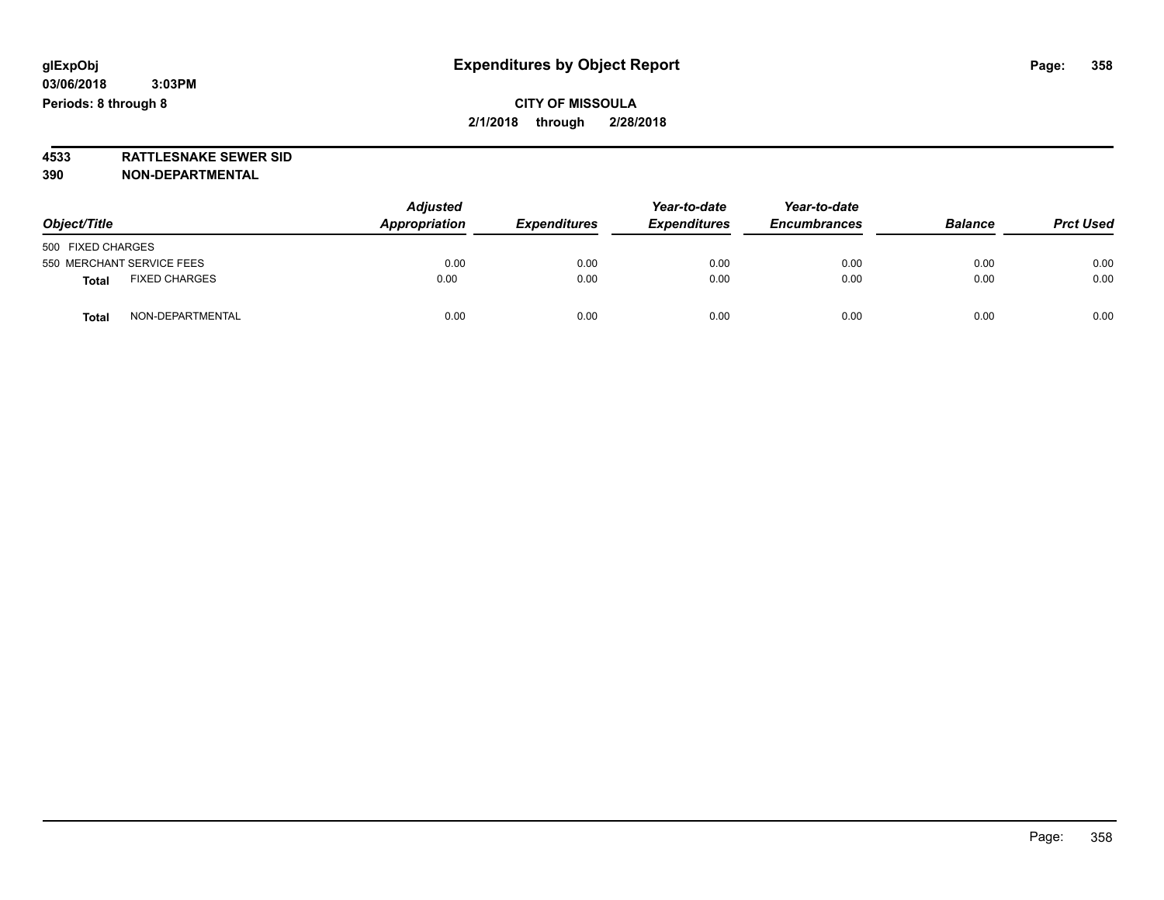**4533 RATTLESNAKE SEWER SID 390 NON-DEPARTMENTAL**

| Object/Title                         | <b>Adjusted</b><br>Appropriation | <b>Expenditures</b> | Year-to-date<br><b>Expenditures</b> | Year-to-date<br><b>Encumbrances</b> | <b>Balance</b> | <b>Prct Used</b> |
|--------------------------------------|----------------------------------|---------------------|-------------------------------------|-------------------------------------|----------------|------------------|
| 500 FIXED CHARGES                    |                                  |                     |                                     |                                     |                |                  |
| 550 MERCHANT SERVICE FEES            | 0.00                             | 0.00                | 0.00                                | 0.00                                | 0.00           | 0.00             |
| <b>FIXED CHARGES</b><br><b>Total</b> | 0.00                             | 0.00                | 0.00                                | 0.00                                | 0.00           | 0.00             |
| NON-DEPARTMENTAL<br><b>Total</b>     | 0.00                             | 0.00                | 0.00                                | 0.00                                | 0.00           | 0.00             |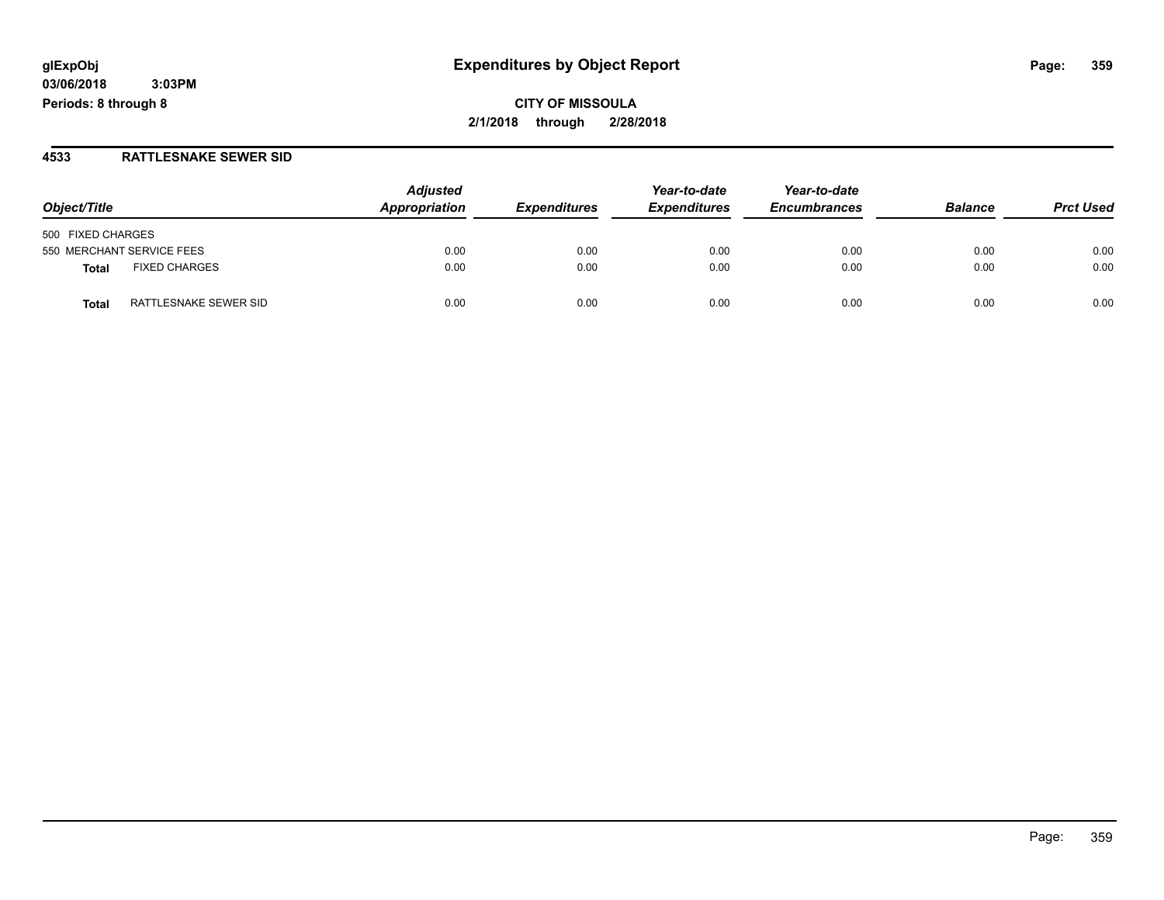# **glExpObj Expenditures by Object Report Page: 359**

**03/06/2018 3:03PM Periods: 8 through 8**

#### **4533 RATTLESNAKE SEWER SID**

| Object/Title                         | <b>Adjusted</b><br>Appropriation | <b>Expenditures</b> | Year-to-date<br><b>Expenditures</b> | Year-to-date<br><b>Encumbrances</b> | <b>Balance</b> | <b>Prct Used</b> |
|--------------------------------------|----------------------------------|---------------------|-------------------------------------|-------------------------------------|----------------|------------------|
| 500 FIXED CHARGES                    |                                  |                     |                                     |                                     |                |                  |
| 550 MERCHANT SERVICE FEES            | 0.00                             | 0.00                | 0.00                                | 0.00                                | 0.00           | 0.00             |
| <b>FIXED CHARGES</b><br><b>Total</b> | 0.00                             | 0.00                | 0.00                                | 0.00                                | 0.00           | 0.00             |
| RATTLESNAKE SEWER SID<br>Total       | 0.00                             | 0.00                | 0.00                                | 0.00                                | 0.00           | 0.00             |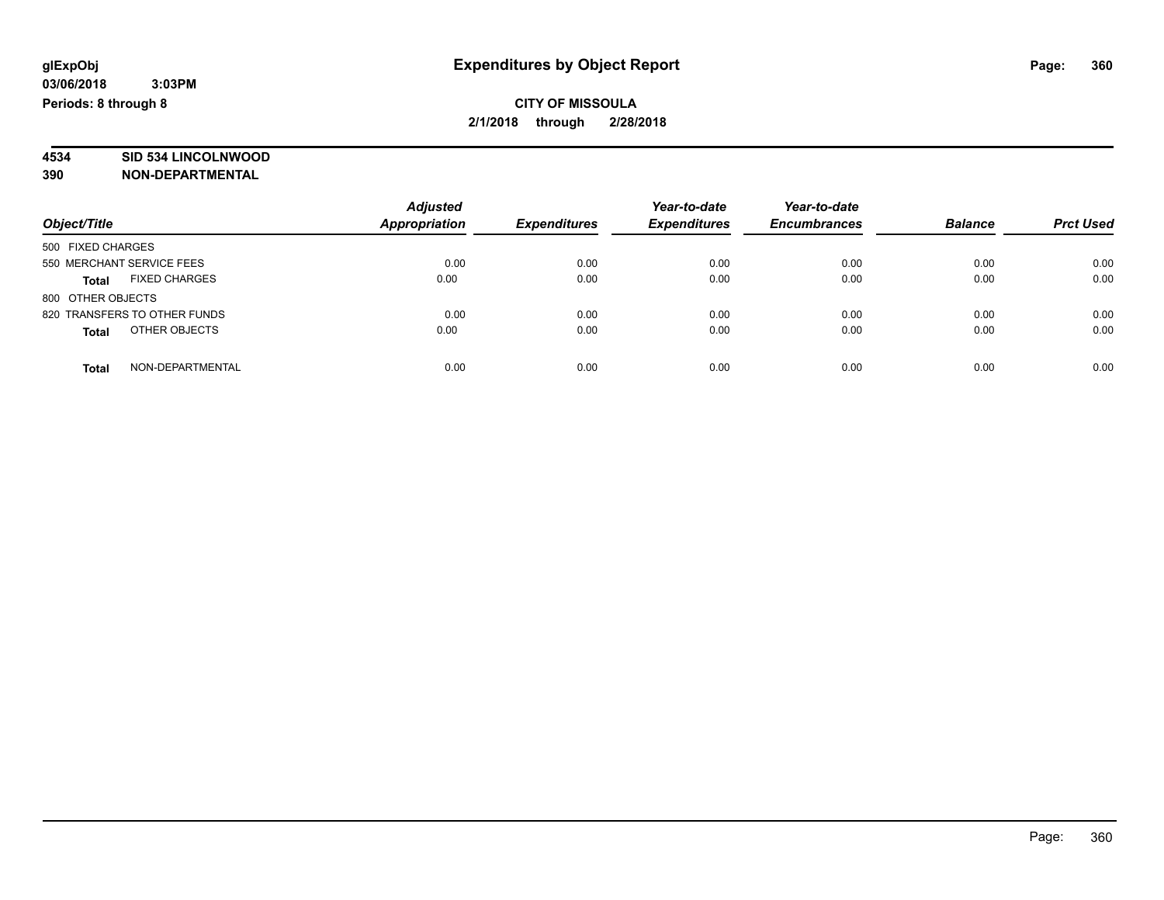# **4534 SID 534 LINCOLNWOOD**

**390 NON-DEPARTMENTAL**

|                                      | <b>Adjusted</b>      |                     | Year-to-date        | Year-to-date        |                |                  |
|--------------------------------------|----------------------|---------------------|---------------------|---------------------|----------------|------------------|
| Object/Title                         | <b>Appropriation</b> | <b>Expenditures</b> | <b>Expenditures</b> | <b>Encumbrances</b> | <b>Balance</b> | <b>Prct Used</b> |
| 500 FIXED CHARGES                    |                      |                     |                     |                     |                |                  |
| 550 MERCHANT SERVICE FEES            | 0.00                 | 0.00                | 0.00                | 0.00                | 0.00           | 0.00             |
| <b>FIXED CHARGES</b><br><b>Total</b> | 0.00                 | 0.00                | 0.00                | 0.00                | 0.00           | 0.00             |
| 800 OTHER OBJECTS                    |                      |                     |                     |                     |                |                  |
| 820 TRANSFERS TO OTHER FUNDS         | 0.00                 | 0.00                | 0.00                | 0.00                | 0.00           | 0.00             |
| OTHER OBJECTS<br><b>Total</b>        | 0.00                 | 0.00                | 0.00                | 0.00                | 0.00           | 0.00             |
| NON-DEPARTMENTAL<br>Total            | 0.00                 | 0.00                | 0.00                | 0.00                | 0.00           | 0.00             |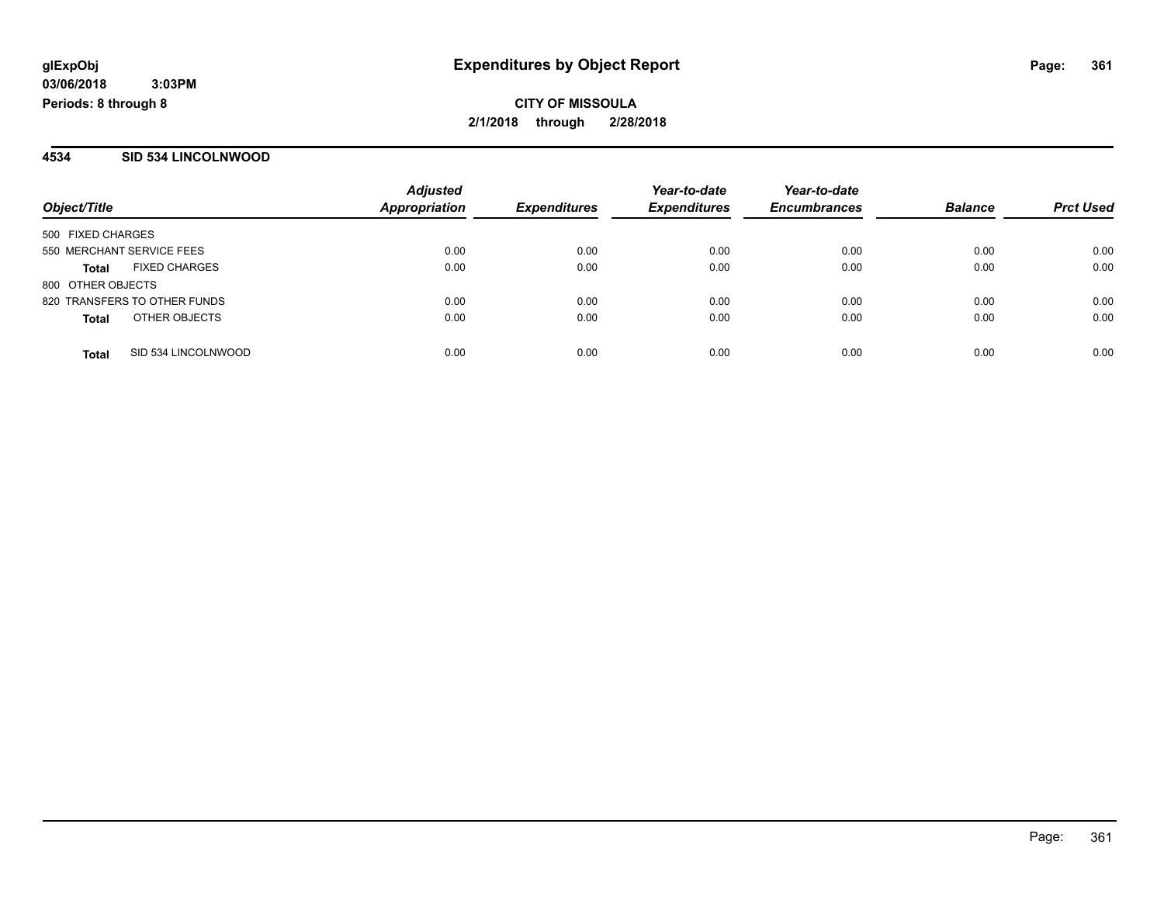#### **4534 SID 534 LINCOLNWOOD**

|                           |                              | <b>Adjusted</b>      |                     | Year-to-date        | Year-to-date        |                |                  |
|---------------------------|------------------------------|----------------------|---------------------|---------------------|---------------------|----------------|------------------|
| Object/Title              |                              | <b>Appropriation</b> | <b>Expenditures</b> | <b>Expenditures</b> | <b>Encumbrances</b> | <b>Balance</b> | <b>Prct Used</b> |
| 500 FIXED CHARGES         |                              |                      |                     |                     |                     |                |                  |
| 550 MERCHANT SERVICE FEES |                              | 0.00                 | 0.00                | 0.00                | 0.00                | 0.00           | 0.00             |
| Total                     | <b>FIXED CHARGES</b>         | 0.00                 | 0.00                | 0.00                | 0.00                | 0.00           | 0.00             |
| 800 OTHER OBJECTS         |                              |                      |                     |                     |                     |                |                  |
|                           | 820 TRANSFERS TO OTHER FUNDS | 0.00                 | 0.00                | 0.00                | 0.00                | 0.00           | 0.00             |
| <b>Total</b>              | OTHER OBJECTS                | 0.00                 | 0.00                | 0.00                | 0.00                | 0.00           | 0.00             |
| <b>Total</b>              | SID 534 LINCOLNWOOD          | 0.00                 | 0.00                | 0.00                | 0.00                | 0.00           | 0.00             |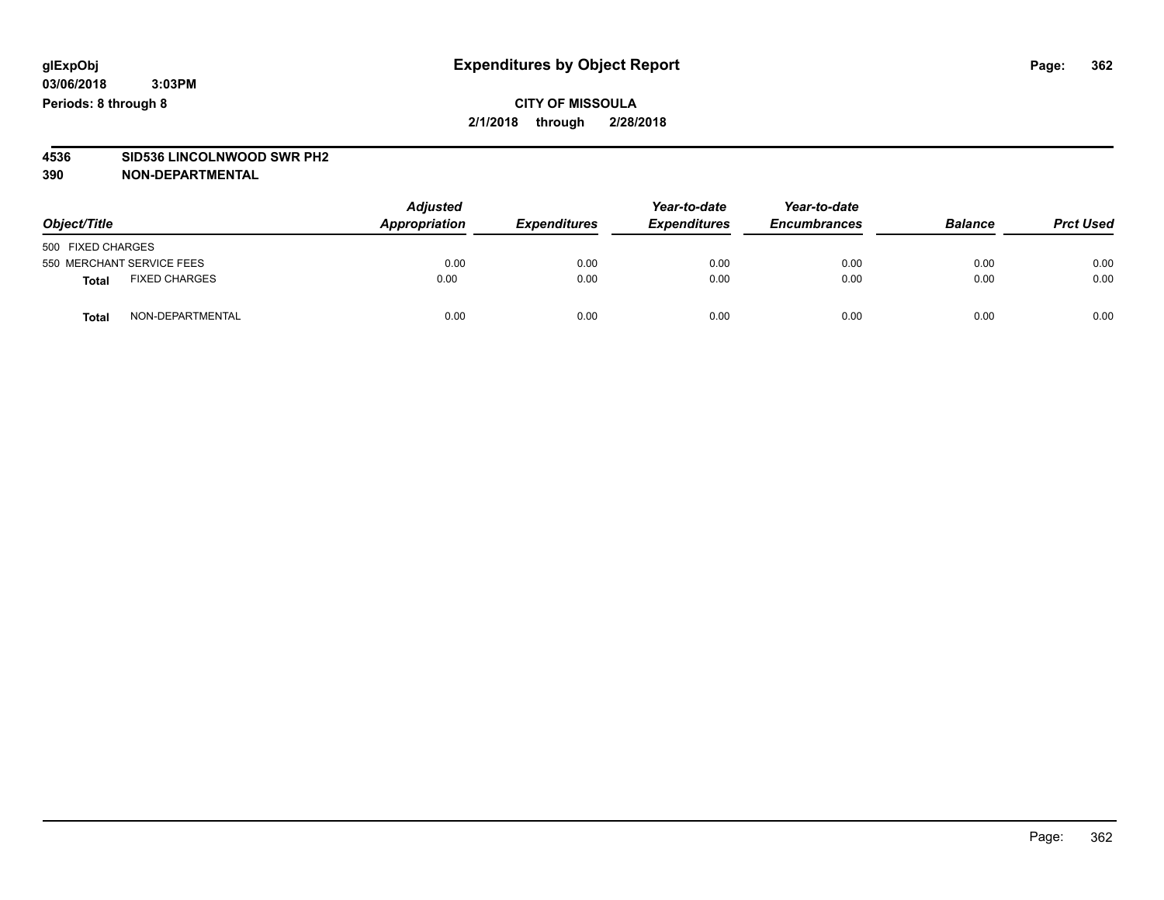# **4536 SID536 LINCOLNWOOD SWR PH2**

| Object/Title                         | <b>Adjusted</b><br>Appropriation | <b>Expenditures</b> | Year-to-date<br><b>Expenditures</b> | Year-to-date<br><b>Encumbrances</b> | <b>Balance</b> | <b>Prct Used</b> |
|--------------------------------------|----------------------------------|---------------------|-------------------------------------|-------------------------------------|----------------|------------------|
| 500 FIXED CHARGES                    |                                  |                     |                                     |                                     |                |                  |
| 550 MERCHANT SERVICE FEES            | 0.00                             | 0.00                | 0.00                                | 0.00                                | 0.00           | 0.00             |
| <b>FIXED CHARGES</b><br><b>Total</b> | 0.00                             | 0.00                | 0.00                                | 0.00                                | 0.00           | 0.00             |
| NON-DEPARTMENTAL<br><b>Total</b>     | 0.00                             | 0.00                | 0.00                                | 0.00                                | 0.00           | 0.00             |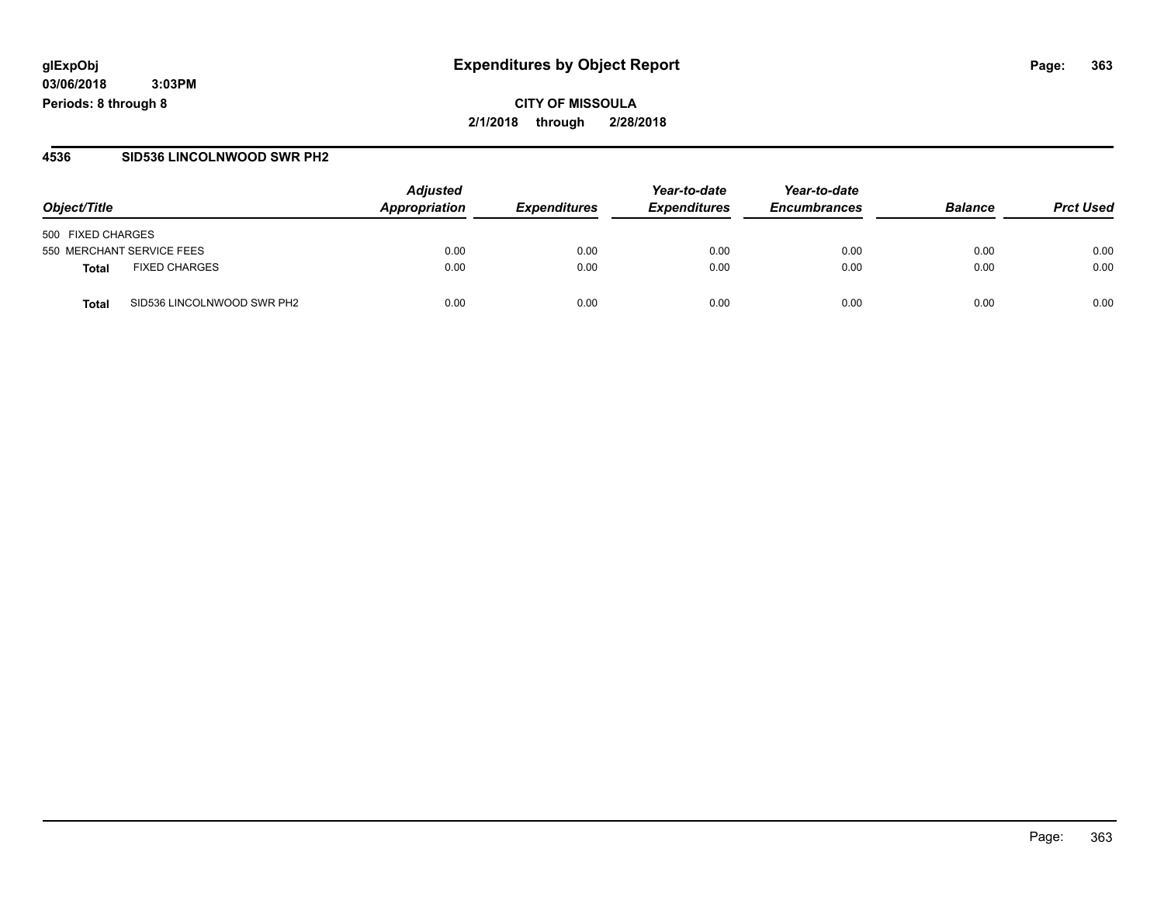**CITY OF MISSOULA 2/1/2018 through 2/28/2018**

#### **4536 SID536 LINCOLNWOOD SWR PH2**

|                                     | <b>Adjusted</b> |                     | Year-to-date               | Year-to-date        | <b>Balance</b> | <b>Prct Used</b> |
|-------------------------------------|-----------------|---------------------|----------------------------|---------------------|----------------|------------------|
| Object/Title                        | Appropriation   | <b>Expenditures</b> | <i><b>Expenditures</b></i> | <b>Encumbrances</b> |                |                  |
| 500 FIXED CHARGES                   |                 |                     |                            |                     |                |                  |
| 550 MERCHANT SERVICE FEES           | 0.00            | 0.00                | 0.00                       | 0.00                | 0.00           | 0.00             |
| <b>FIXED CHARGES</b><br>Total       | 0.00            | 0.00                | 0.00                       | 0.00                | 0.00           | 0.00             |
| SID536 LINCOLNWOOD SWR PH2<br>Total | 0.00            | 0.00                | 0.00                       | 0.00                | 0.00           | 0.00             |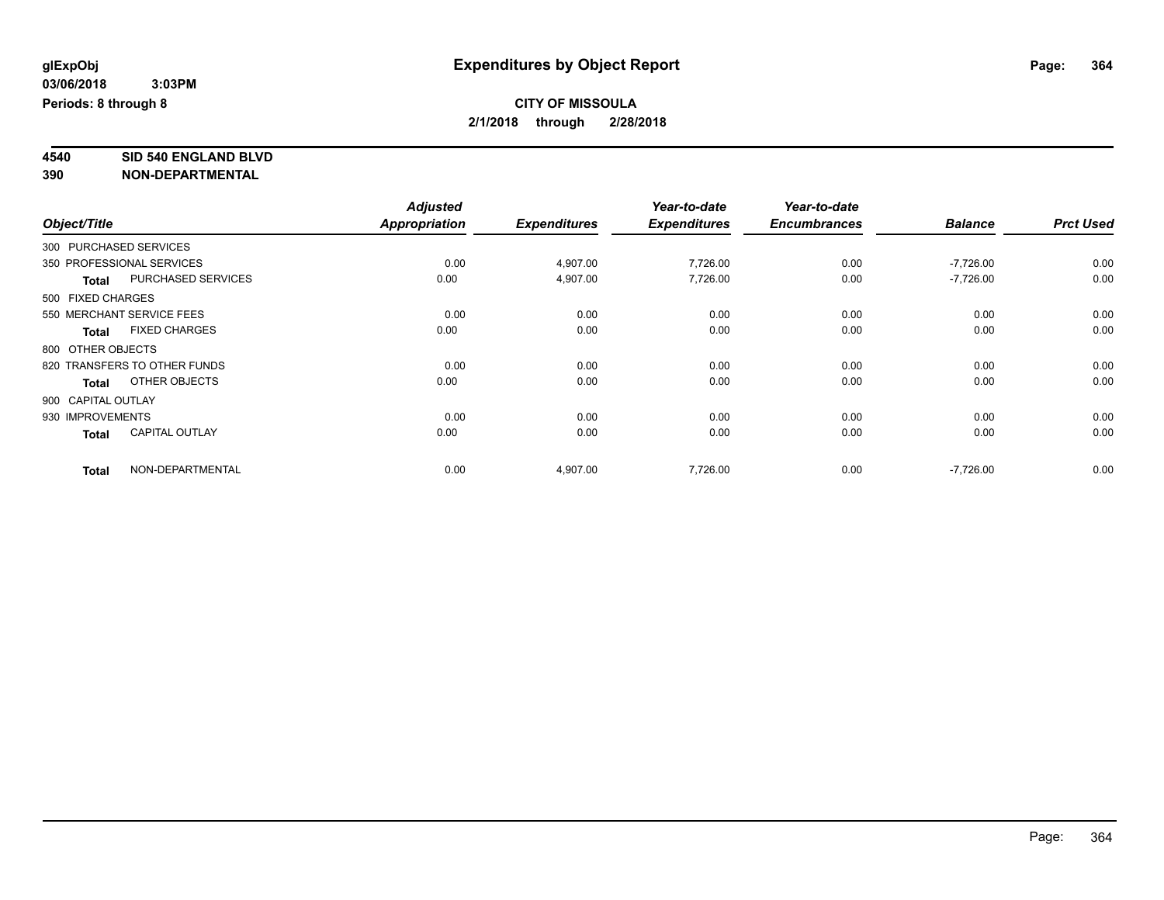# **4540 SID 540 ENGLAND BLVD**

|                        |                              | <b>Adjusted</b> |                     | Year-to-date        | Year-to-date        |                |                  |
|------------------------|------------------------------|-----------------|---------------------|---------------------|---------------------|----------------|------------------|
| Object/Title           |                              | Appropriation   | <b>Expenditures</b> | <b>Expenditures</b> | <b>Encumbrances</b> | <b>Balance</b> | <b>Prct Used</b> |
| 300 PURCHASED SERVICES |                              |                 |                     |                     |                     |                |                  |
|                        | 350 PROFESSIONAL SERVICES    | 0.00            | 4,907.00            | 7,726.00            | 0.00                | $-7,726.00$    | 0.00             |
| <b>Total</b>           | <b>PURCHASED SERVICES</b>    | 0.00            | 4,907.00            | 7,726.00            | 0.00                | $-7,726.00$    | 0.00             |
| 500 FIXED CHARGES      |                              |                 |                     |                     |                     |                |                  |
|                        | 550 MERCHANT SERVICE FEES    | 0.00            | 0.00                | 0.00                | 0.00                | 0.00           | 0.00             |
| <b>Total</b>           | <b>FIXED CHARGES</b>         | 0.00            | 0.00                | 0.00                | 0.00                | 0.00           | 0.00             |
| 800 OTHER OBJECTS      |                              |                 |                     |                     |                     |                |                  |
|                        | 820 TRANSFERS TO OTHER FUNDS | 0.00            | 0.00                | 0.00                | 0.00                | 0.00           | 0.00             |
| <b>Total</b>           | OTHER OBJECTS                | 0.00            | 0.00                | 0.00                | 0.00                | 0.00           | 0.00             |
| 900 CAPITAL OUTLAY     |                              |                 |                     |                     |                     |                |                  |
| 930 IMPROVEMENTS       |                              | 0.00            | 0.00                | 0.00                | 0.00                | 0.00           | 0.00             |
| <b>Total</b>           | <b>CAPITAL OUTLAY</b>        | 0.00            | 0.00                | 0.00                | 0.00                | 0.00           | 0.00             |
| <b>Total</b>           | NON-DEPARTMENTAL             | 0.00            | 4,907.00            | 7,726.00            | 0.00                | $-7,726.00$    | 0.00             |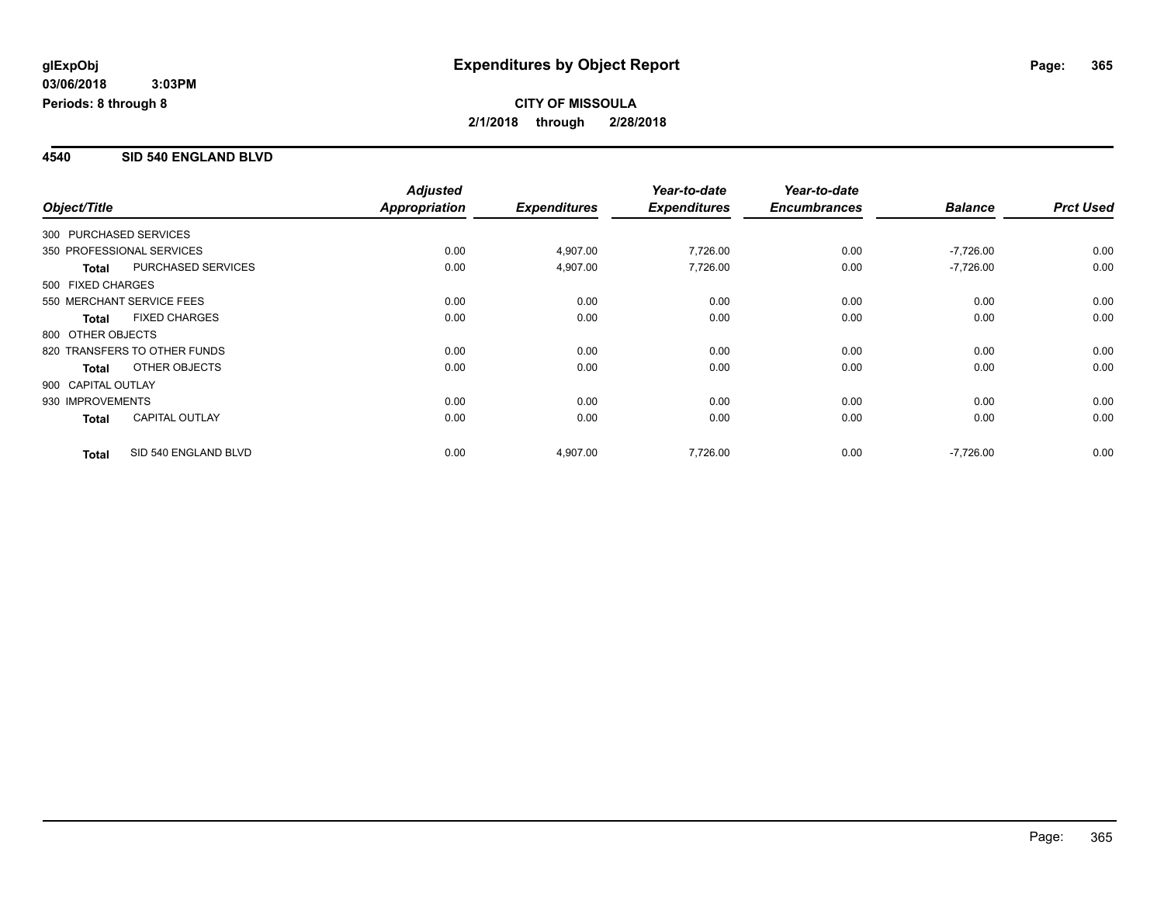#### **4540 SID 540 ENGLAND BLVD**

|                        |                              | <b>Adjusted</b> |                     | Year-to-date        | Year-to-date        |                |                  |
|------------------------|------------------------------|-----------------|---------------------|---------------------|---------------------|----------------|------------------|
| Object/Title           |                              | Appropriation   | <b>Expenditures</b> | <b>Expenditures</b> | <b>Encumbrances</b> | <b>Balance</b> | <b>Prct Used</b> |
| 300 PURCHASED SERVICES |                              |                 |                     |                     |                     |                |                  |
|                        | 350 PROFESSIONAL SERVICES    | 0.00            | 4,907.00            | 7,726.00            | 0.00                | $-7,726.00$    | 0.00             |
| <b>Total</b>           | PURCHASED SERVICES           | 0.00            | 4,907.00            | 7,726.00            | 0.00                | $-7,726.00$    | 0.00             |
| 500 FIXED CHARGES      |                              |                 |                     |                     |                     |                |                  |
|                        | 550 MERCHANT SERVICE FEES    | 0.00            | 0.00                | 0.00                | 0.00                | 0.00           | 0.00             |
| <b>Total</b>           | <b>FIXED CHARGES</b>         | 0.00            | 0.00                | 0.00                | 0.00                | 0.00           | 0.00             |
| 800 OTHER OBJECTS      |                              |                 |                     |                     |                     |                |                  |
|                        | 820 TRANSFERS TO OTHER FUNDS | 0.00            | 0.00                | 0.00                | 0.00                | 0.00           | 0.00             |
| <b>Total</b>           | OTHER OBJECTS                | 0.00            | 0.00                | 0.00                | 0.00                | 0.00           | 0.00             |
| 900 CAPITAL OUTLAY     |                              |                 |                     |                     |                     |                |                  |
| 930 IMPROVEMENTS       |                              | 0.00            | 0.00                | 0.00                | 0.00                | 0.00           | 0.00             |
| <b>Total</b>           | <b>CAPITAL OUTLAY</b>        | 0.00            | 0.00                | 0.00                | 0.00                | 0.00           | 0.00             |
| <b>Total</b>           | SID 540 ENGLAND BLVD         | 0.00            | 4,907.00            | 7,726.00            | 0.00                | $-7,726.00$    | 0.00             |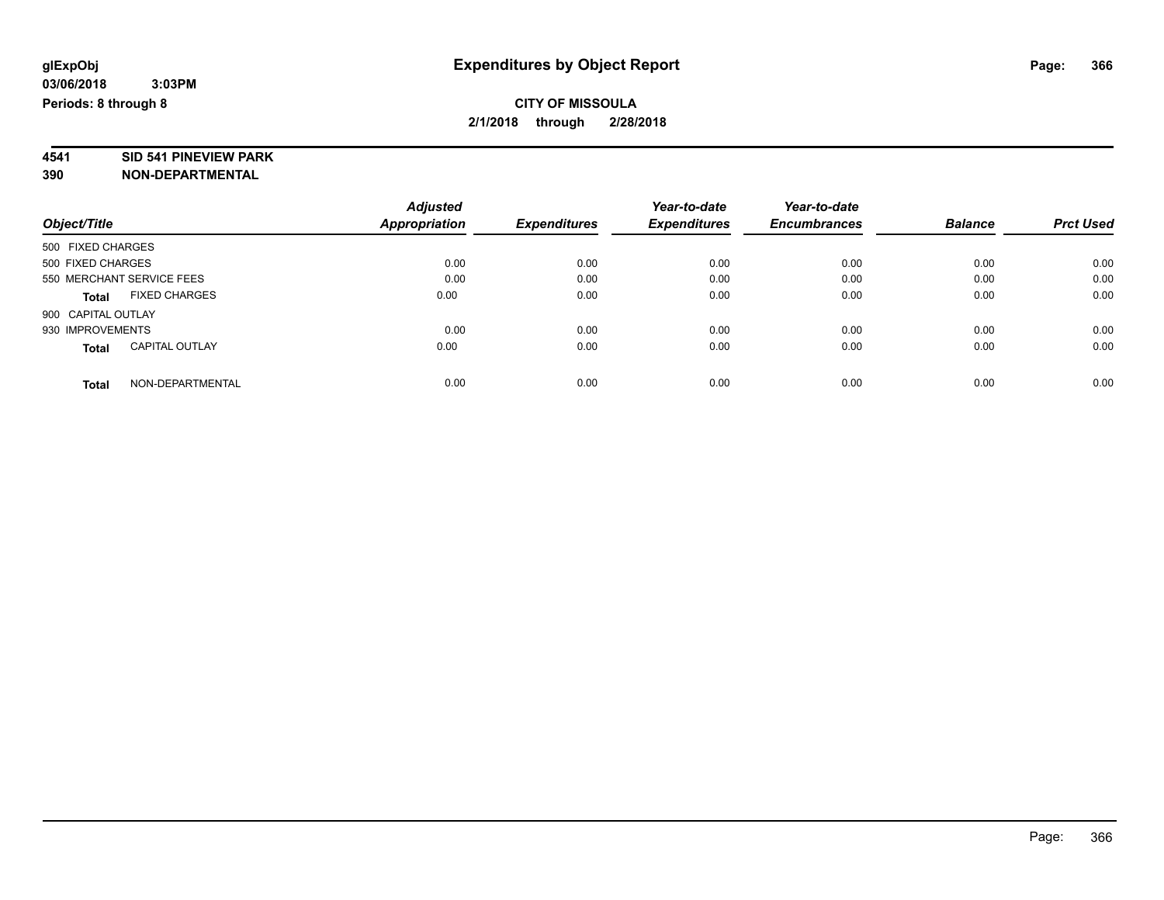# **4541 SID 541 PINEVIEW PARK**

|                                       | <b>Adjusted</b> | <b>Expenditures</b> | Year-to-date<br><b>Expenditures</b> | Year-to-date<br><b>Encumbrances</b> | <b>Balance</b> | <b>Prct Used</b> |
|---------------------------------------|-----------------|---------------------|-------------------------------------|-------------------------------------|----------------|------------------|
| Object/Title                          | Appropriation   |                     |                                     |                                     |                |                  |
| 500 FIXED CHARGES                     |                 |                     |                                     |                                     |                |                  |
| 500 FIXED CHARGES                     | 0.00            | 0.00                | 0.00                                | 0.00                                | 0.00           | 0.00             |
| 550 MERCHANT SERVICE FEES             | 0.00            | 0.00                | 0.00                                | 0.00                                | 0.00           | 0.00             |
| <b>FIXED CHARGES</b><br><b>Total</b>  | 0.00            | 0.00                | 0.00                                | 0.00                                | 0.00           | 0.00             |
| 900 CAPITAL OUTLAY                    |                 |                     |                                     |                                     |                |                  |
| 930 IMPROVEMENTS                      | 0.00            | 0.00                | 0.00                                | 0.00                                | 0.00           | 0.00             |
| <b>CAPITAL OUTLAY</b><br><b>Total</b> | 0.00            | 0.00                | 0.00                                | 0.00                                | 0.00           | 0.00             |
| NON-DEPARTMENTAL<br><b>Total</b>      | 0.00            | 0.00                | 0.00                                | 0.00                                | 0.00           | 0.00             |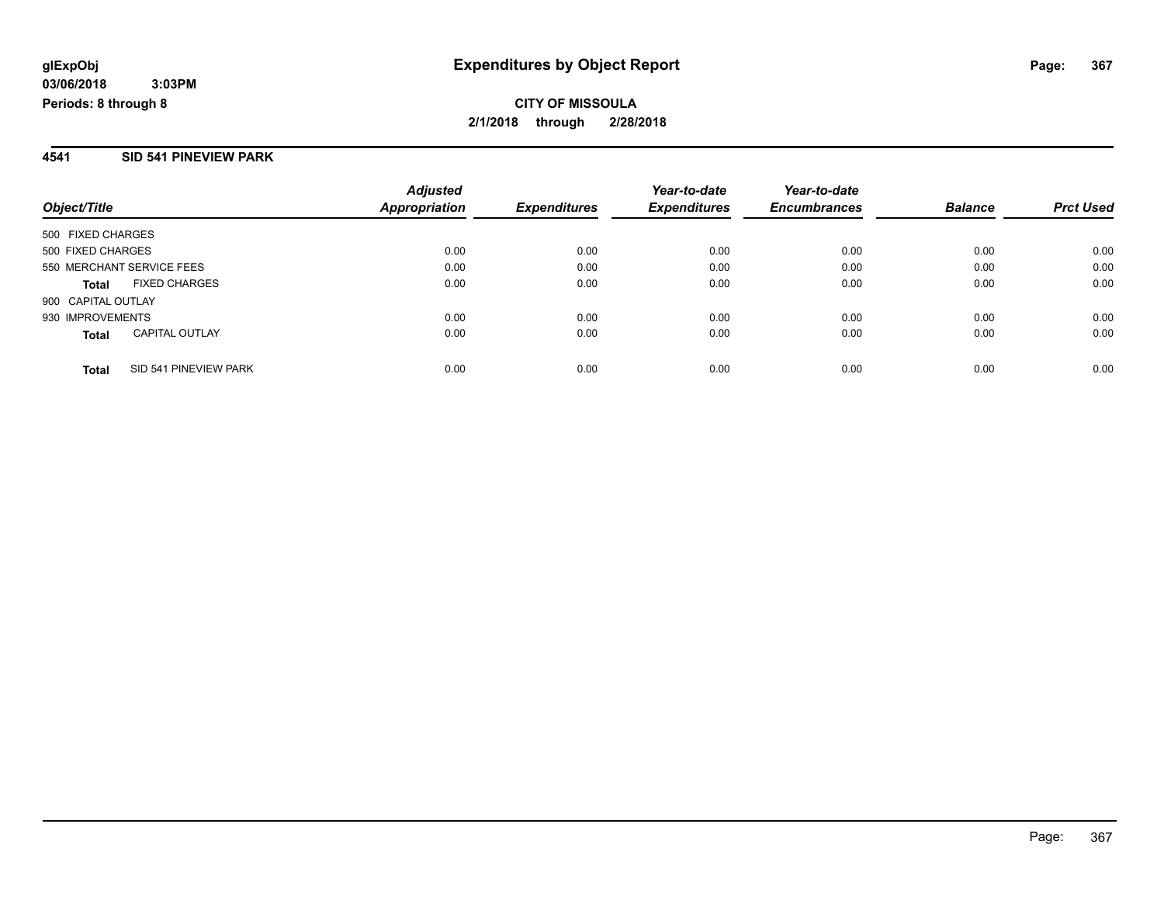#### **4541 SID 541 PINEVIEW PARK**

| Object/Title                          | <b>Adjusted</b><br>Appropriation | <b>Expenditures</b> | Year-to-date<br><b>Expenditures</b> | Year-to-date<br><b>Encumbrances</b> | <b>Balance</b> | <b>Prct Used</b> |
|---------------------------------------|----------------------------------|---------------------|-------------------------------------|-------------------------------------|----------------|------------------|
| 500 FIXED CHARGES                     |                                  |                     |                                     |                                     |                |                  |
| 500 FIXED CHARGES                     | 0.00                             | 0.00                | 0.00                                | 0.00                                | 0.00           | 0.00             |
| 550 MERCHANT SERVICE FEES             | 0.00                             | 0.00                | 0.00                                | 0.00                                | 0.00           | 0.00             |
| <b>FIXED CHARGES</b><br><b>Total</b>  | 0.00                             | 0.00                | 0.00                                | 0.00                                | 0.00           | 0.00             |
| 900 CAPITAL OUTLAY                    |                                  |                     |                                     |                                     |                |                  |
| 930 IMPROVEMENTS                      | 0.00                             | 0.00                | 0.00                                | 0.00                                | 0.00           | 0.00             |
| <b>CAPITAL OUTLAY</b><br><b>Total</b> | 0.00                             | 0.00                | 0.00                                | 0.00                                | 0.00           | 0.00             |
| SID 541 PINEVIEW PARK<br><b>Total</b> | 0.00                             | 0.00                | 0.00                                | 0.00                                | 0.00           | 0.00             |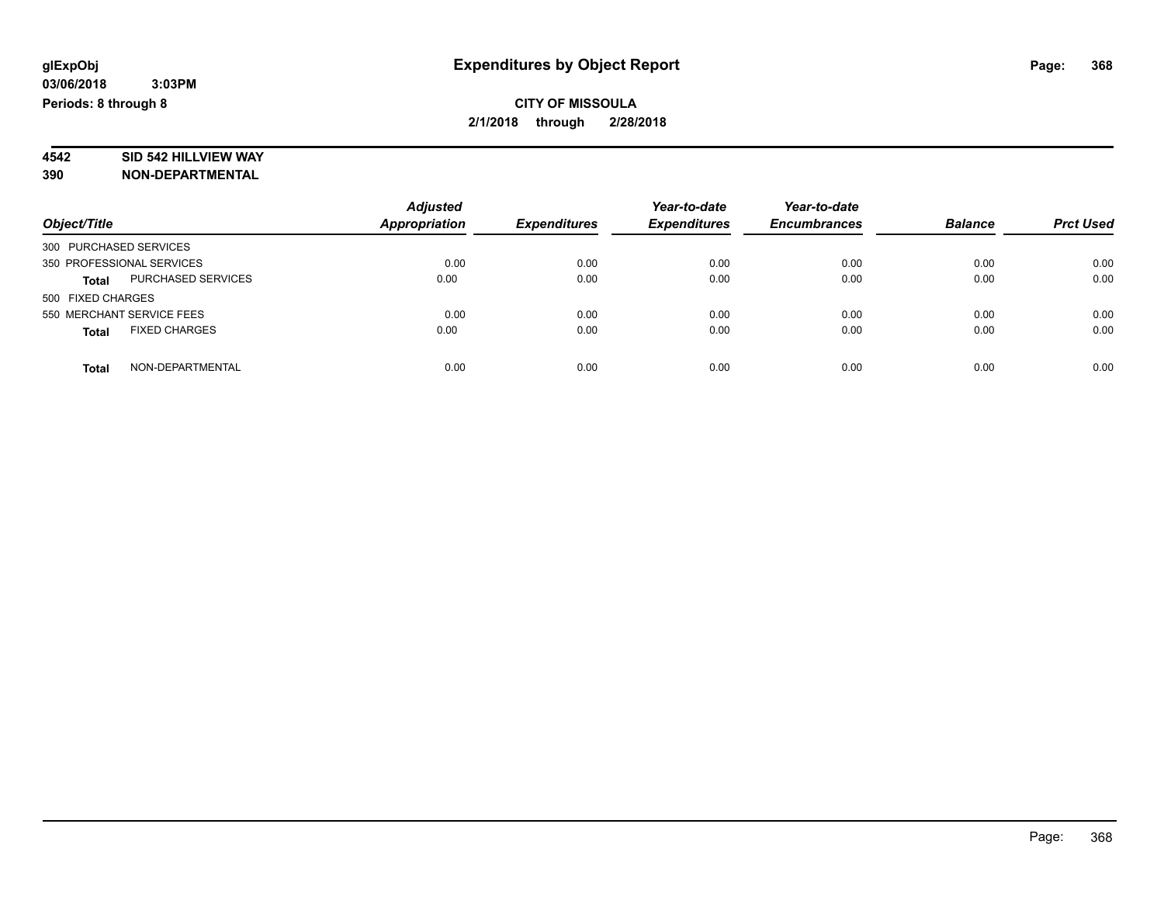# **4542 SID 542 HILLVIEW WAY**

|                                      | <b>Adjusted</b>      |                     | Year-to-date        | Year-to-date        |                |                  |
|--------------------------------------|----------------------|---------------------|---------------------|---------------------|----------------|------------------|
| Object/Title                         | <b>Appropriation</b> | <b>Expenditures</b> | <b>Expenditures</b> | <b>Encumbrances</b> | <b>Balance</b> | <b>Prct Used</b> |
| 300 PURCHASED SERVICES               |                      |                     |                     |                     |                |                  |
| 350 PROFESSIONAL SERVICES            | 0.00                 | 0.00                | 0.00                | 0.00                | 0.00           | 0.00             |
| PURCHASED SERVICES<br><b>Total</b>   | 0.00                 | 0.00                | 0.00                | 0.00                | 0.00           | 0.00             |
| 500 FIXED CHARGES                    |                      |                     |                     |                     |                |                  |
| 550 MERCHANT SERVICE FEES            | 0.00                 | 0.00                | 0.00                | 0.00                | 0.00           | 0.00             |
| <b>FIXED CHARGES</b><br><b>Total</b> | 0.00                 | 0.00                | 0.00                | 0.00                | 0.00           | 0.00             |
| NON-DEPARTMENTAL<br><b>Total</b>     | 0.00                 | 0.00                | 0.00                | 0.00                | 0.00           | 0.00             |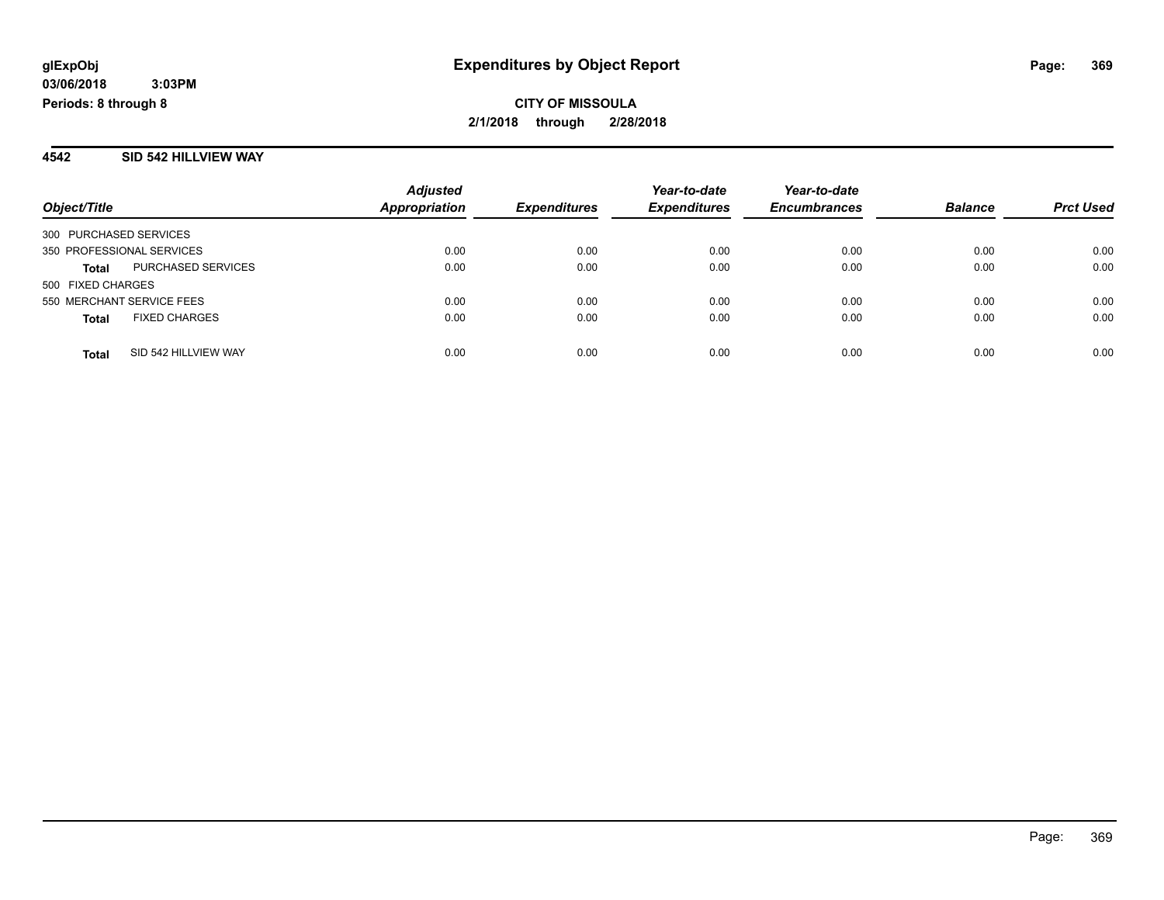#### **4542 SID 542 HILLVIEW WAY**

| Object/Title           |                           | <b>Adjusted</b><br><b>Appropriation</b> | <b>Expenditures</b> | Year-to-date<br><b>Expenditures</b> | Year-to-date<br><b>Encumbrances</b> | <b>Balance</b> | <b>Prct Used</b> |
|------------------------|---------------------------|-----------------------------------------|---------------------|-------------------------------------|-------------------------------------|----------------|------------------|
| 300 PURCHASED SERVICES |                           |                                         |                     |                                     |                                     |                |                  |
|                        | 350 PROFESSIONAL SERVICES | 0.00                                    | 0.00                | 0.00                                | 0.00                                | 0.00           | 0.00             |
| <b>Total</b>           | PURCHASED SERVICES        | 0.00                                    | 0.00                | 0.00                                | 0.00                                | 0.00           | 0.00             |
| 500 FIXED CHARGES      |                           |                                         |                     |                                     |                                     |                |                  |
|                        | 550 MERCHANT SERVICE FEES | 0.00                                    | 0.00                | 0.00                                | 0.00                                | 0.00           | 0.00             |
| <b>Total</b>           | <b>FIXED CHARGES</b>      | 0.00                                    | 0.00                | 0.00                                | 0.00                                | 0.00           | 0.00             |
| <b>Total</b>           | SID 542 HILLVIEW WAY      | 0.00                                    | 0.00                | 0.00                                | 0.00                                | 0.00           | 0.00             |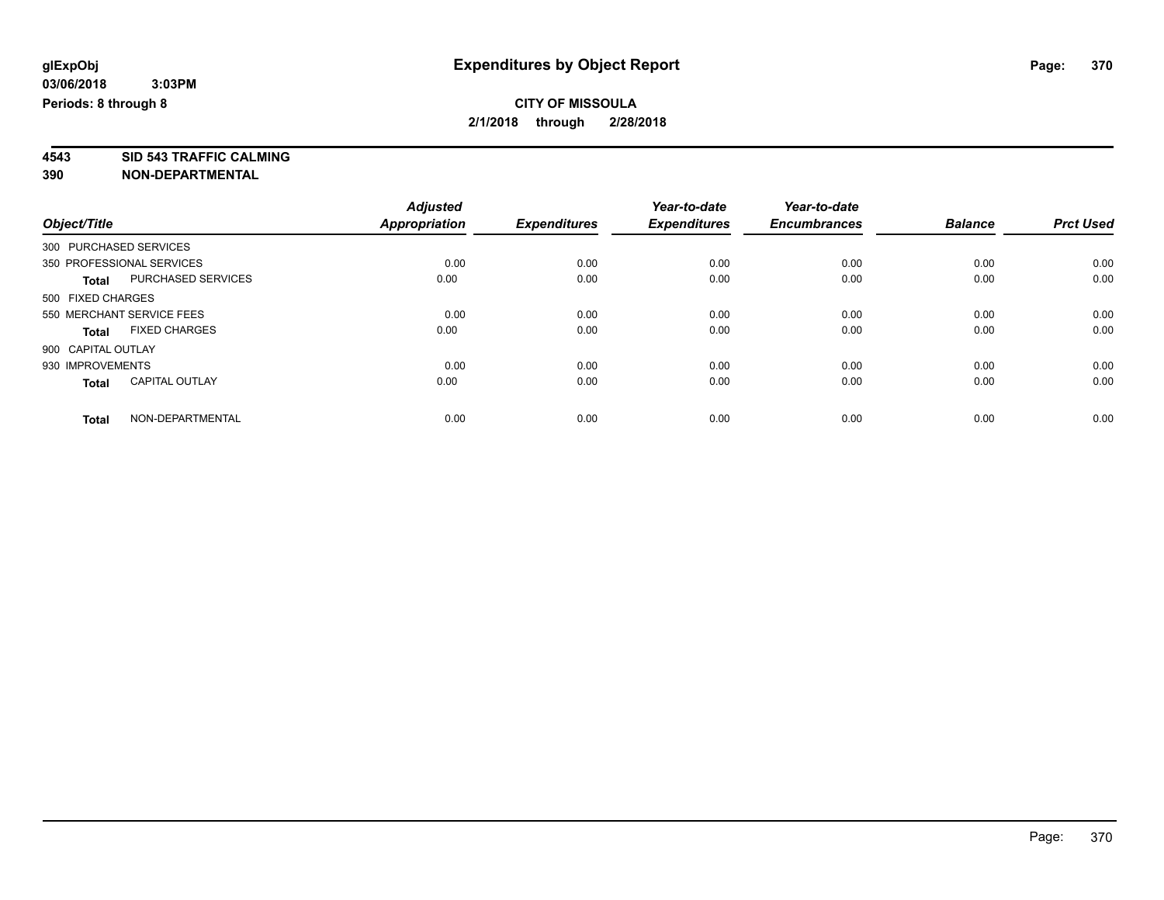**4543 SID 543 TRAFFIC CALMING 390 NON-DEPARTMENTAL**

|                                       | <b>Adjusted</b>      |                     | Year-to-date        | Year-to-date        |                |                  |
|---------------------------------------|----------------------|---------------------|---------------------|---------------------|----------------|------------------|
| Object/Title                          | <b>Appropriation</b> | <b>Expenditures</b> | <b>Expenditures</b> | <b>Encumbrances</b> | <b>Balance</b> | <b>Prct Used</b> |
| 300 PURCHASED SERVICES                |                      |                     |                     |                     |                |                  |
| 350 PROFESSIONAL SERVICES             | 0.00                 | 0.00                | 0.00                | 0.00                | 0.00           | 0.00             |
| PURCHASED SERVICES<br>Total           | 0.00                 | 0.00                | 0.00                | 0.00                | 0.00           | 0.00             |
| 500 FIXED CHARGES                     |                      |                     |                     |                     |                |                  |
| 550 MERCHANT SERVICE FEES             | 0.00                 | 0.00                | 0.00                | 0.00                | 0.00           | 0.00             |
| <b>FIXED CHARGES</b><br><b>Total</b>  | 0.00                 | 0.00                | 0.00                | 0.00                | 0.00           | 0.00             |
| 900 CAPITAL OUTLAY                    |                      |                     |                     |                     |                |                  |
| 930 IMPROVEMENTS                      | 0.00                 | 0.00                | 0.00                | 0.00                | 0.00           | 0.00             |
| <b>CAPITAL OUTLAY</b><br><b>Total</b> | 0.00                 | 0.00                | 0.00                | 0.00                | 0.00           | 0.00             |
| NON-DEPARTMENTAL<br><b>Total</b>      | 0.00                 | 0.00                | 0.00                | 0.00                | 0.00           | 0.00             |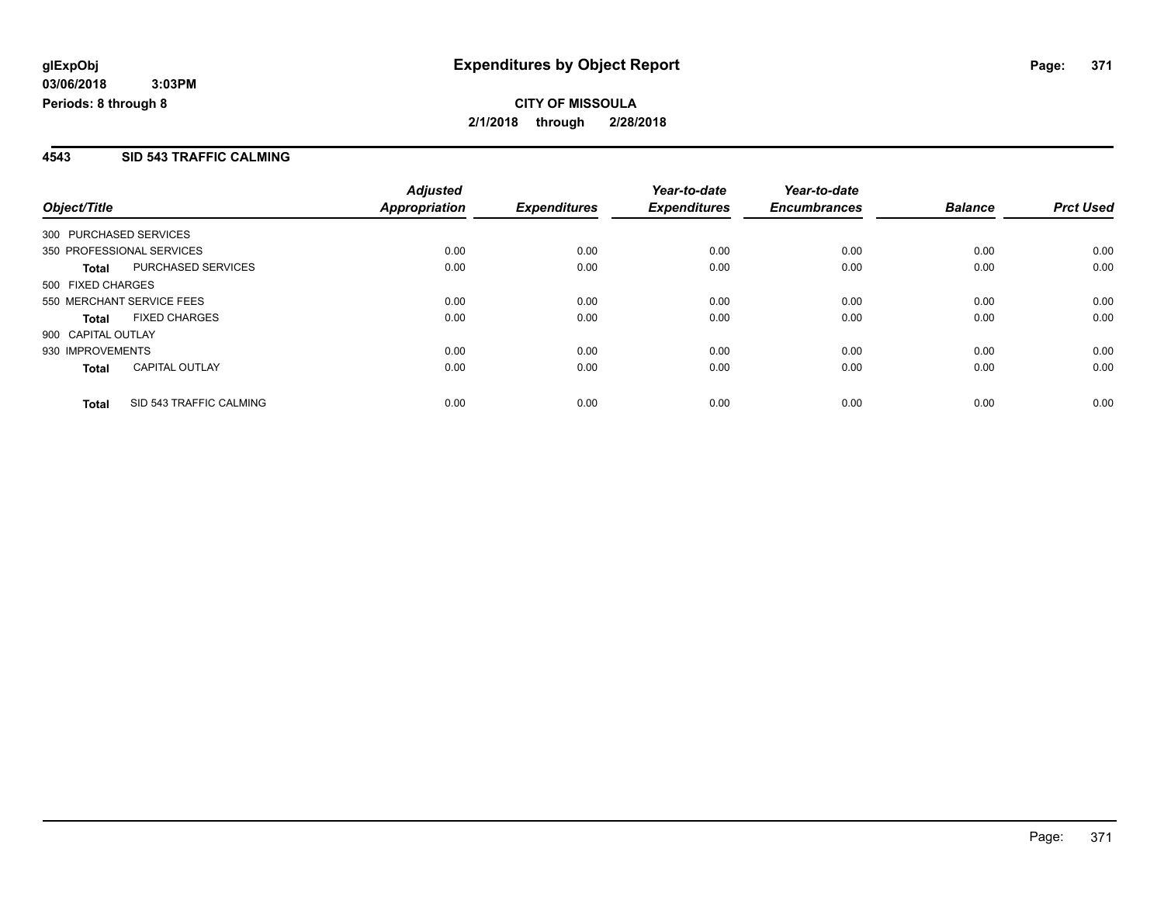#### **4543 SID 543 TRAFFIC CALMING**

|                                           | <b>Adjusted</b> |                     | Year-to-date        | Year-to-date        |                |                  |
|-------------------------------------------|-----------------|---------------------|---------------------|---------------------|----------------|------------------|
| Object/Title                              | Appropriation   | <b>Expenditures</b> | <b>Expenditures</b> | <b>Encumbrances</b> | <b>Balance</b> | <b>Prct Used</b> |
| 300 PURCHASED SERVICES                    |                 |                     |                     |                     |                |                  |
| 350 PROFESSIONAL SERVICES                 | 0.00            | 0.00                | 0.00                | 0.00                | 0.00           | 0.00             |
| <b>PURCHASED SERVICES</b><br><b>Total</b> | 0.00            | 0.00                | 0.00                | 0.00                | 0.00           | 0.00             |
| 500 FIXED CHARGES                         |                 |                     |                     |                     |                |                  |
| 550 MERCHANT SERVICE FEES                 | 0.00            | 0.00                | 0.00                | 0.00                | 0.00           | 0.00             |
| <b>FIXED CHARGES</b><br>Total             | 0.00            | 0.00                | 0.00                | 0.00                | 0.00           | 0.00             |
| 900 CAPITAL OUTLAY                        |                 |                     |                     |                     |                |                  |
| 930 IMPROVEMENTS                          | 0.00            | 0.00                | 0.00                | 0.00                | 0.00           | 0.00             |
| <b>CAPITAL OUTLAY</b><br><b>Total</b>     | 0.00            | 0.00                | 0.00                | 0.00                | 0.00           | 0.00             |
| SID 543 TRAFFIC CALMING<br><b>Total</b>   | 0.00            | 0.00                | 0.00                | 0.00                | 0.00           | 0.00             |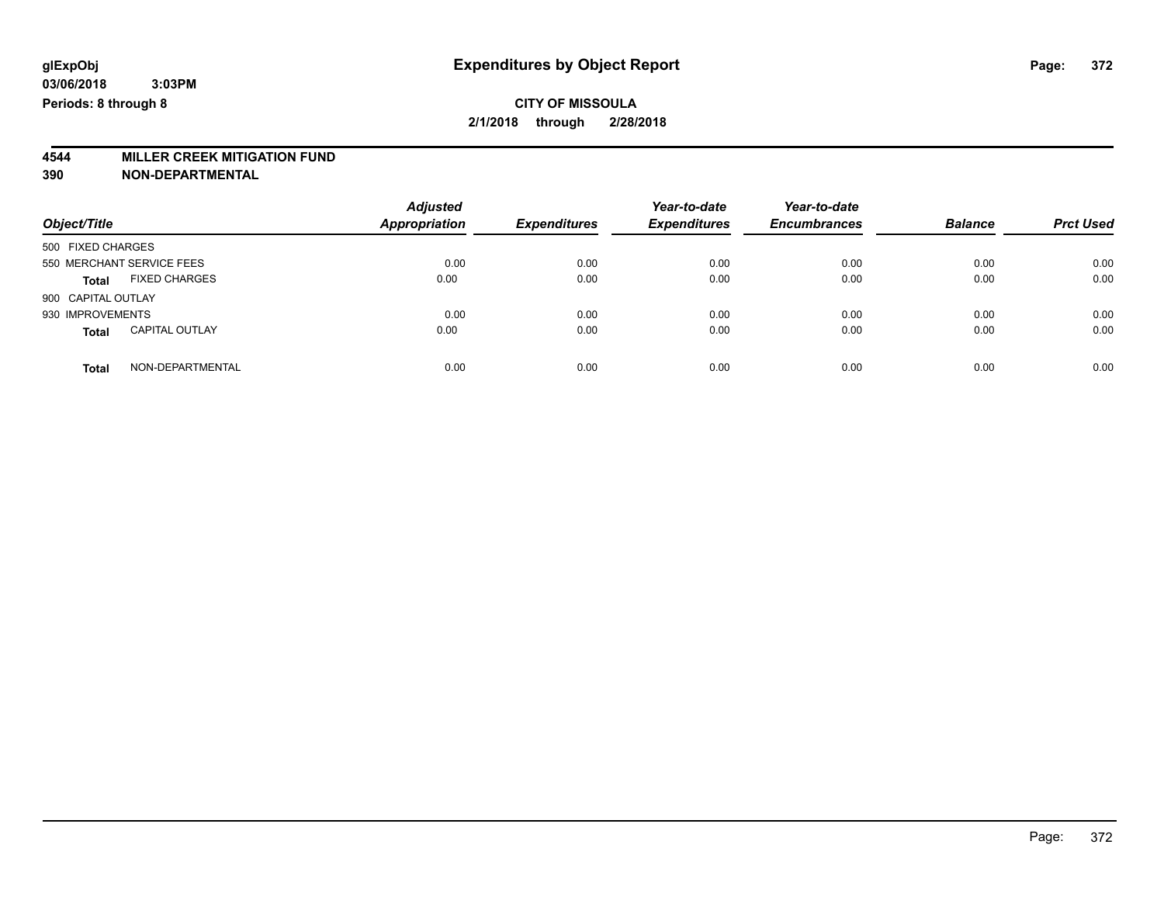# **4544 MILLER CREEK MITIGATION FUND**

| Object/Title                          | <b>Adjusted</b><br><b>Appropriation</b> | <b>Expenditures</b> | Year-to-date<br><b>Expenditures</b> | Year-to-date<br><b>Encumbrances</b> | <b>Balance</b> | <b>Prct Used</b> |
|---------------------------------------|-----------------------------------------|---------------------|-------------------------------------|-------------------------------------|----------------|------------------|
| 500 FIXED CHARGES                     |                                         |                     |                                     |                                     |                |                  |
| 550 MERCHANT SERVICE FEES             | 0.00                                    | 0.00                | 0.00                                | 0.00                                | 0.00           | 0.00             |
| <b>FIXED CHARGES</b><br><b>Total</b>  | 0.00                                    | 0.00                | 0.00                                | 0.00                                | 0.00           | 0.00             |
| 900 CAPITAL OUTLAY                    |                                         |                     |                                     |                                     |                |                  |
| 930 IMPROVEMENTS                      | 0.00                                    | 0.00                | 0.00                                | 0.00                                | 0.00           | 0.00             |
| <b>CAPITAL OUTLAY</b><br><b>Total</b> | 0.00                                    | 0.00                | 0.00                                | 0.00                                | 0.00           | 0.00             |
| NON-DEPARTMENTAL<br>Total             | 0.00                                    | 0.00                | 0.00                                | 0.00                                | 0.00           | 0.00             |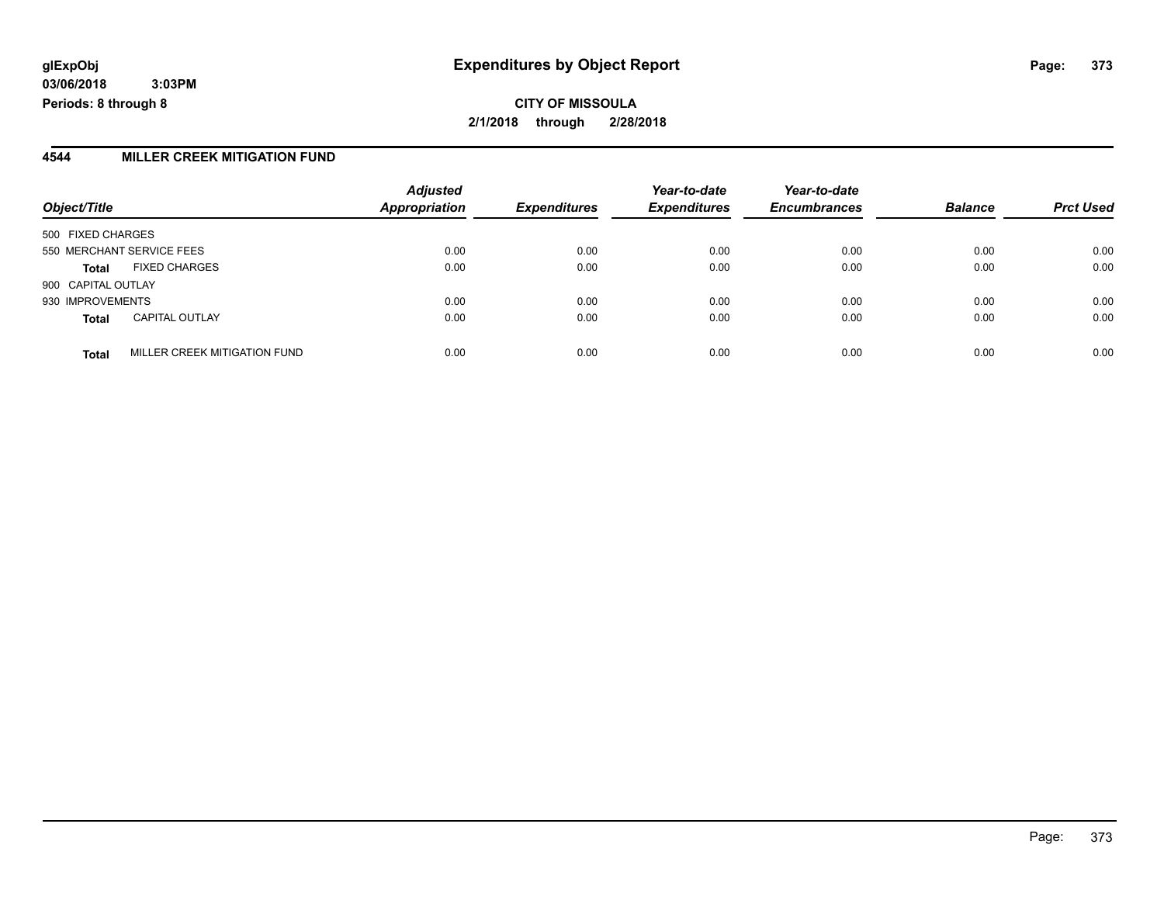**CITY OF MISSOULA 2/1/2018 through 2/28/2018**

#### **4544 MILLER CREEK MITIGATION FUND**

| Object/Title       |                              | <b>Adjusted</b><br><b>Appropriation</b> | <b>Expenditures</b> | Year-to-date<br><b>Expenditures</b> | Year-to-date<br><b>Encumbrances</b> | <b>Balance</b> | <b>Prct Used</b> |
|--------------------|------------------------------|-----------------------------------------|---------------------|-------------------------------------|-------------------------------------|----------------|------------------|
| 500 FIXED CHARGES  |                              |                                         |                     |                                     |                                     |                |                  |
|                    | 550 MERCHANT SERVICE FEES    | 0.00                                    | 0.00                | 0.00                                | 0.00                                | 0.00           | 0.00             |
| <b>Total</b>       | <b>FIXED CHARGES</b>         | 0.00                                    | 0.00                | 0.00                                | 0.00                                | 0.00           | 0.00             |
| 900 CAPITAL OUTLAY |                              |                                         |                     |                                     |                                     |                |                  |
| 930 IMPROVEMENTS   |                              | 0.00                                    | 0.00                | 0.00                                | 0.00                                | 0.00           | 0.00             |
| <b>Total</b>       | <b>CAPITAL OUTLAY</b>        | 0.00                                    | 0.00                | 0.00                                | 0.00                                | 0.00           | 0.00             |
| <b>Total</b>       | MILLER CREEK MITIGATION FUND | 0.00                                    | 0.00                | 0.00                                | 0.00                                | 0.00           | 0.00             |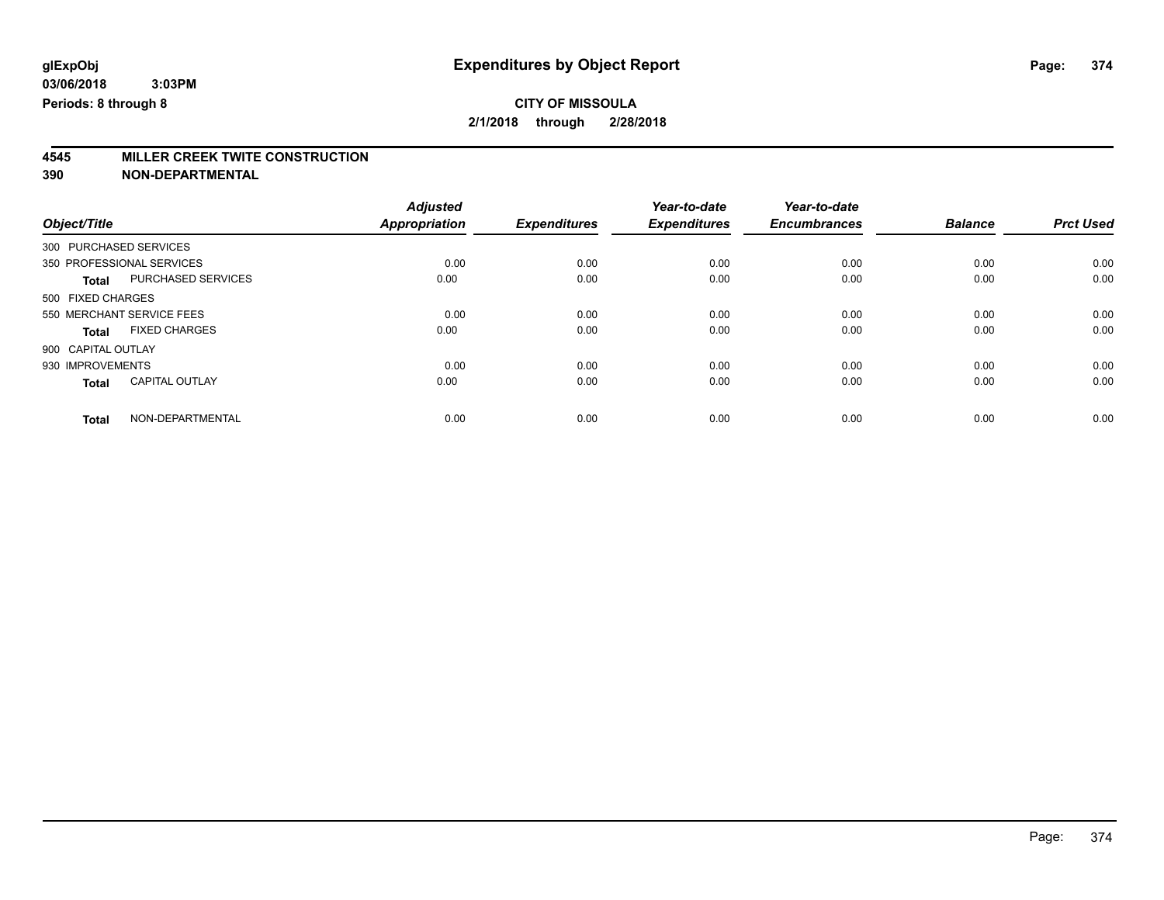# **4545 MILLER CREEK TWITE CONSTRUCTION**

|                        |                           | <b>Adjusted</b> |                     | Year-to-date        | Year-to-date        |                |                  |
|------------------------|---------------------------|-----------------|---------------------|---------------------|---------------------|----------------|------------------|
| Object/Title           |                           | Appropriation   | <b>Expenditures</b> | <b>Expenditures</b> | <b>Encumbrances</b> | <b>Balance</b> | <b>Prct Used</b> |
| 300 PURCHASED SERVICES |                           |                 |                     |                     |                     |                |                  |
|                        | 350 PROFESSIONAL SERVICES | 0.00            | 0.00                | 0.00                | 0.00                | 0.00           | 0.00             |
| <b>Total</b>           | PURCHASED SERVICES        | 0.00            | 0.00                | 0.00                | 0.00                | 0.00           | 0.00             |
| 500 FIXED CHARGES      |                           |                 |                     |                     |                     |                |                  |
|                        | 550 MERCHANT SERVICE FEES | 0.00            | 0.00                | 0.00                | 0.00                | 0.00           | 0.00             |
| <b>Total</b>           | <b>FIXED CHARGES</b>      | 0.00            | 0.00                | 0.00                | 0.00                | 0.00           | 0.00             |
| 900 CAPITAL OUTLAY     |                           |                 |                     |                     |                     |                |                  |
| 930 IMPROVEMENTS       |                           | 0.00            | 0.00                | 0.00                | 0.00                | 0.00           | 0.00             |
| <b>Total</b>           | <b>CAPITAL OUTLAY</b>     | 0.00            | 0.00                | 0.00                | 0.00                | 0.00           | 0.00             |
| <b>Total</b>           | NON-DEPARTMENTAL          | 0.00            | 0.00                | 0.00                | 0.00                | 0.00           | 0.00             |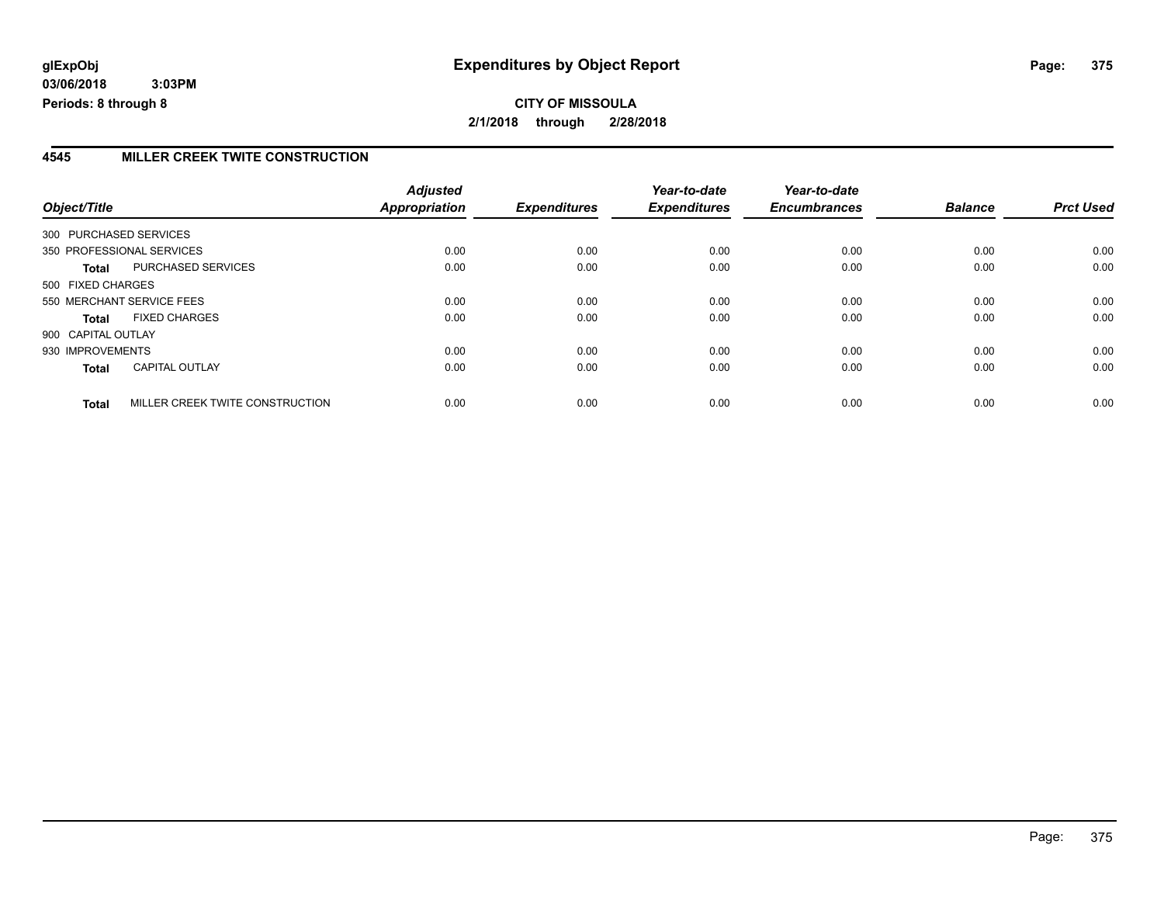#### **4545 MILLER CREEK TWITE CONSTRUCTION**

| Object/Title           |                                 | <b>Adjusted</b><br>Appropriation | <b>Expenditures</b> | Year-to-date<br><b>Expenditures</b> | Year-to-date<br><b>Encumbrances</b> | <b>Balance</b> | <b>Prct Used</b> |
|------------------------|---------------------------------|----------------------------------|---------------------|-------------------------------------|-------------------------------------|----------------|------------------|
| 300 PURCHASED SERVICES |                                 |                                  |                     |                                     |                                     |                |                  |
|                        |                                 |                                  |                     |                                     |                                     |                |                  |
|                        | 350 PROFESSIONAL SERVICES       | 0.00                             | 0.00                | 0.00                                | 0.00                                | 0.00           | 0.00             |
| Total                  | PURCHASED SERVICES              | 0.00                             | 0.00                | 0.00                                | 0.00                                | 0.00           | 0.00             |
| 500 FIXED CHARGES      |                                 |                                  |                     |                                     |                                     |                |                  |
|                        | 550 MERCHANT SERVICE FEES       | 0.00                             | 0.00                | 0.00                                | 0.00                                | 0.00           | 0.00             |
| <b>Total</b>           | <b>FIXED CHARGES</b>            | 0.00                             | 0.00                | 0.00                                | 0.00                                | 0.00           | 0.00             |
| 900 CAPITAL OUTLAY     |                                 |                                  |                     |                                     |                                     |                |                  |
| 930 IMPROVEMENTS       |                                 | 0.00                             | 0.00                | 0.00                                | 0.00                                | 0.00           | 0.00             |
| <b>Total</b>           | <b>CAPITAL OUTLAY</b>           | 0.00                             | 0.00                | 0.00                                | 0.00                                | 0.00           | 0.00             |
| <b>Total</b>           | MILLER CREEK TWITE CONSTRUCTION | 0.00                             | 0.00                | 0.00                                | 0.00                                | 0.00           | 0.00             |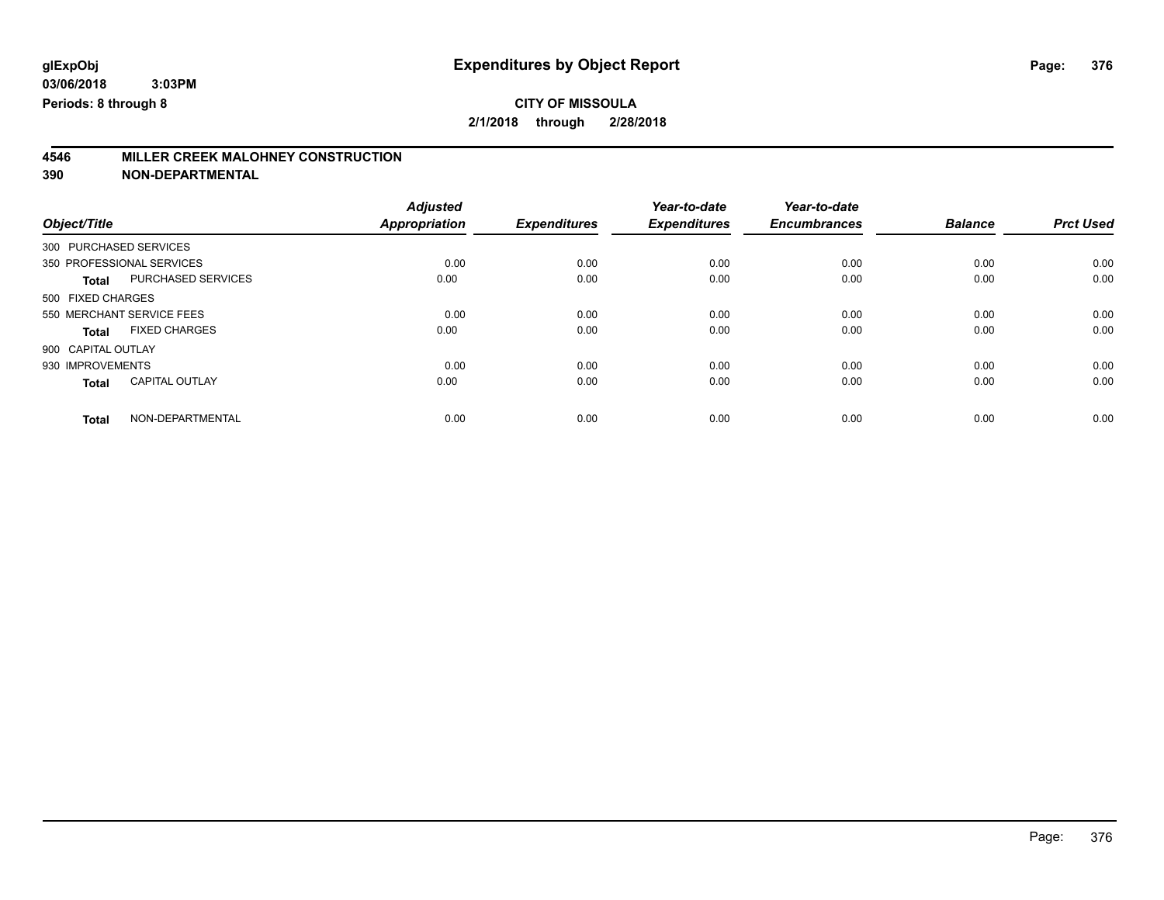**2/1/2018 through 2/28/2018**

# **4546 MILLER CREEK MALOHNEY CONSTRUCTION**

|                        |                           | <b>Adjusted</b>      |                     | Year-to-date        | Year-to-date        |                |                  |
|------------------------|---------------------------|----------------------|---------------------|---------------------|---------------------|----------------|------------------|
| Object/Title           |                           | <b>Appropriation</b> | <b>Expenditures</b> | <b>Expenditures</b> | <b>Encumbrances</b> | <b>Balance</b> | <b>Prct Used</b> |
| 300 PURCHASED SERVICES |                           |                      |                     |                     |                     |                |                  |
|                        | 350 PROFESSIONAL SERVICES | 0.00                 | 0.00                | 0.00                | 0.00                | 0.00           | 0.00             |
| <b>Total</b>           | PURCHASED SERVICES        | 0.00                 | 0.00                | 0.00                | 0.00                | 0.00           | 0.00             |
| 500 FIXED CHARGES      |                           |                      |                     |                     |                     |                |                  |
|                        | 550 MERCHANT SERVICE FEES | 0.00                 | 0.00                | 0.00                | 0.00                | 0.00           | 0.00             |
| Total                  | <b>FIXED CHARGES</b>      | 0.00                 | 0.00                | 0.00                | 0.00                | 0.00           | 0.00             |
| 900 CAPITAL OUTLAY     |                           |                      |                     |                     |                     |                |                  |
| 930 IMPROVEMENTS       |                           | 0.00                 | 0.00                | 0.00                | 0.00                | 0.00           | 0.00             |
| <b>Total</b>           | <b>CAPITAL OUTLAY</b>     | 0.00                 | 0.00                | 0.00                | 0.00                | 0.00           | 0.00             |
| <b>Total</b>           | NON-DEPARTMENTAL          | 0.00                 | 0.00                | 0.00                | 0.00                | 0.00           | 0.00             |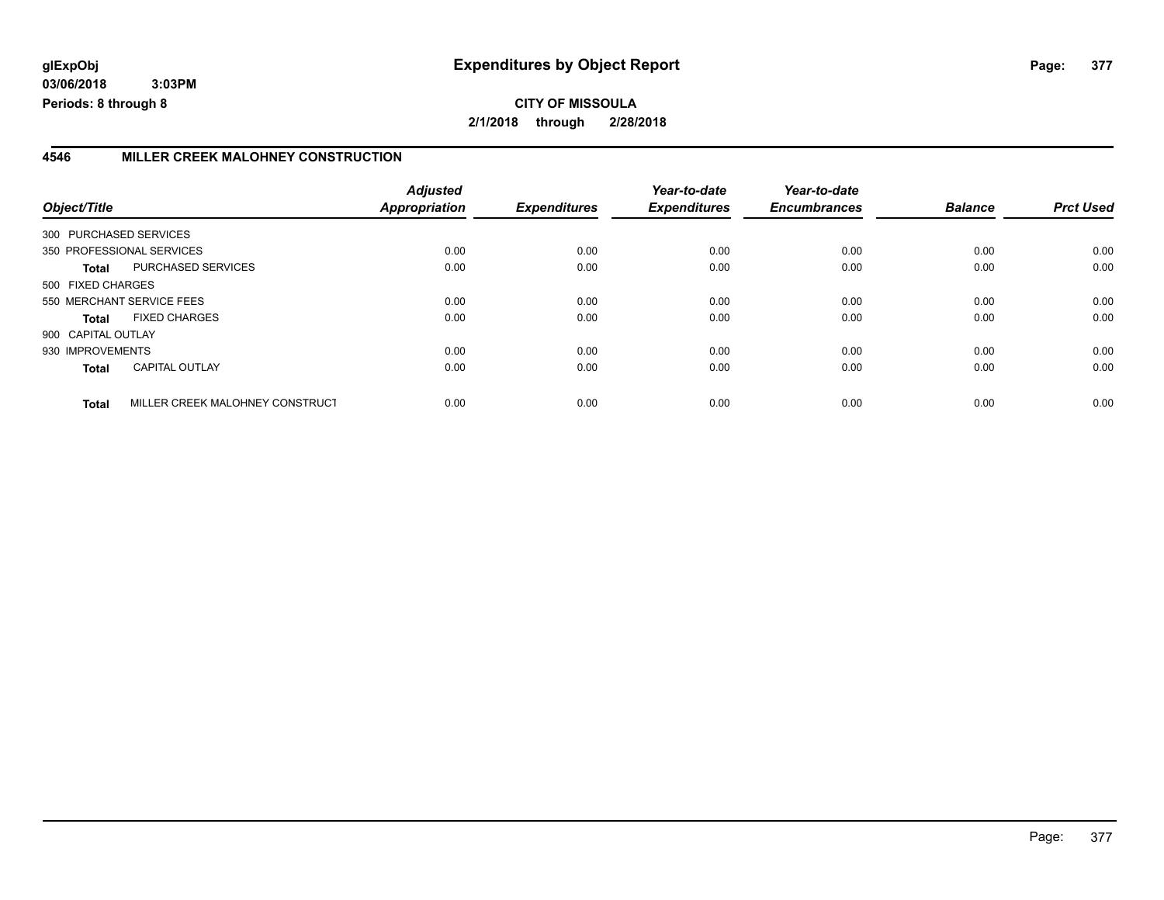### **4546 MILLER CREEK MALOHNEY CONSTRUCTION**

|                        |                                 | <b>Adjusted</b> |                     | Year-to-date        | Year-to-date        |                |                  |
|------------------------|---------------------------------|-----------------|---------------------|---------------------|---------------------|----------------|------------------|
| Object/Title           |                                 | Appropriation   | <b>Expenditures</b> | <b>Expenditures</b> | <b>Encumbrances</b> | <b>Balance</b> | <b>Prct Used</b> |
| 300 PURCHASED SERVICES |                                 |                 |                     |                     |                     |                |                  |
|                        | 350 PROFESSIONAL SERVICES       | 0.00            | 0.00                | 0.00                | 0.00                | 0.00           | 0.00             |
| Total                  | PURCHASED SERVICES              | 0.00            | 0.00                | 0.00                | 0.00                | 0.00           | 0.00             |
| 500 FIXED CHARGES      |                                 |                 |                     |                     |                     |                |                  |
|                        | 550 MERCHANT SERVICE FEES       | 0.00            | 0.00                | 0.00                | 0.00                | 0.00           | 0.00             |
| Total                  | <b>FIXED CHARGES</b>            | 0.00            | 0.00                | 0.00                | 0.00                | 0.00           | 0.00             |
| 900 CAPITAL OUTLAY     |                                 |                 |                     |                     |                     |                |                  |
| 930 IMPROVEMENTS       |                                 | 0.00            | 0.00                | 0.00                | 0.00                | 0.00           | 0.00             |
| <b>Total</b>           | <b>CAPITAL OUTLAY</b>           | 0.00            | 0.00                | 0.00                | 0.00                | 0.00           | 0.00             |
| <b>Total</b>           | MILLER CREEK MALOHNEY CONSTRUCT | 0.00            | 0.00                | 0.00                | 0.00                | 0.00           | 0.00             |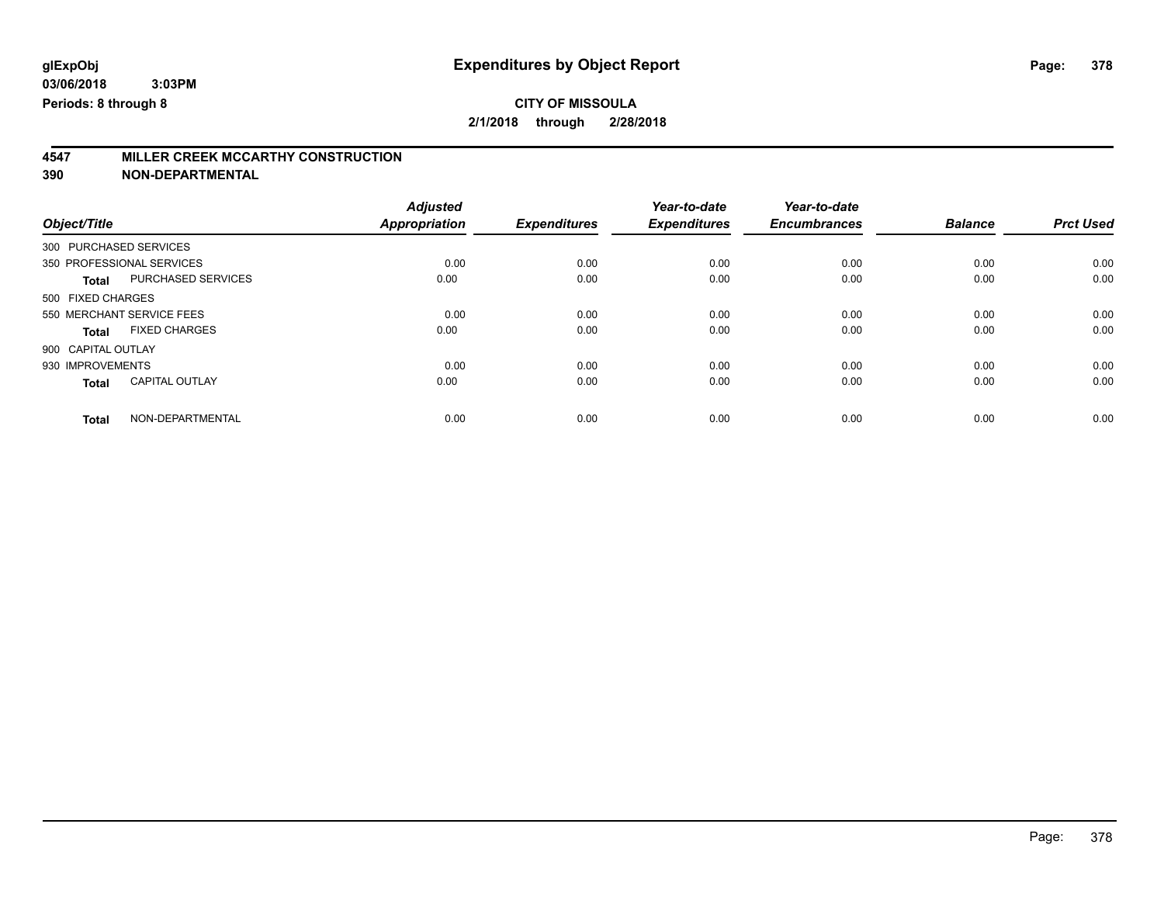**2/1/2018 through 2/28/2018**

# **4547 MILLER CREEK MCCARTHY CONSTRUCTION**

|                        |                           | <b>Adjusted</b> |                     | Year-to-date        | Year-to-date        |                |                  |
|------------------------|---------------------------|-----------------|---------------------|---------------------|---------------------|----------------|------------------|
| Object/Title           |                           | Appropriation   | <b>Expenditures</b> | <b>Expenditures</b> | <b>Encumbrances</b> | <b>Balance</b> | <b>Prct Used</b> |
| 300 PURCHASED SERVICES |                           |                 |                     |                     |                     |                |                  |
|                        | 350 PROFESSIONAL SERVICES | 0.00            | 0.00                | 0.00                | 0.00                | 0.00           | 0.00             |
| <b>Total</b>           | PURCHASED SERVICES        | 0.00            | 0.00                | 0.00                | 0.00                | 0.00           | 0.00             |
| 500 FIXED CHARGES      |                           |                 |                     |                     |                     |                |                  |
|                        | 550 MERCHANT SERVICE FEES | 0.00            | 0.00                | 0.00                | 0.00                | 0.00           | 0.00             |
| Total                  | <b>FIXED CHARGES</b>      | 0.00            | 0.00                | 0.00                | 0.00                | 0.00           | 0.00             |
| 900 CAPITAL OUTLAY     |                           |                 |                     |                     |                     |                |                  |
| 930 IMPROVEMENTS       |                           | 0.00            | 0.00                | 0.00                | 0.00                | 0.00           | 0.00             |
| <b>Total</b>           | <b>CAPITAL OUTLAY</b>     | 0.00            | 0.00                | 0.00                | 0.00                | 0.00           | 0.00             |
| <b>Total</b>           | NON-DEPARTMENTAL          | 0.00            | 0.00                | 0.00                | 0.00                | 0.00           | 0.00             |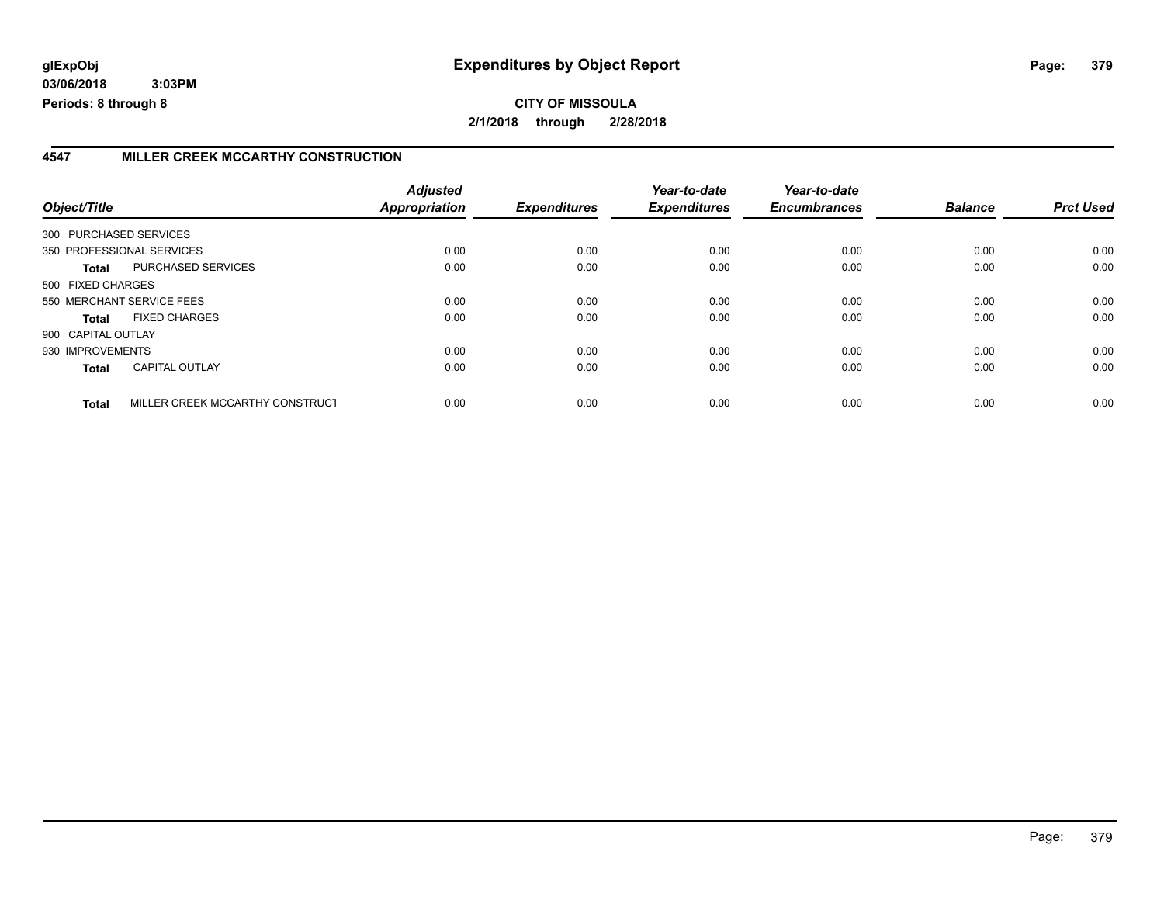### **4547 MILLER CREEK MCCARTHY CONSTRUCTION**

|                        |                                 | <b>Adjusted</b> |                     | Year-to-date        | Year-to-date        |                |                  |
|------------------------|---------------------------------|-----------------|---------------------|---------------------|---------------------|----------------|------------------|
| Object/Title           |                                 | Appropriation   | <b>Expenditures</b> | <b>Expenditures</b> | <b>Encumbrances</b> | <b>Balance</b> | <b>Prct Used</b> |
| 300 PURCHASED SERVICES |                                 |                 |                     |                     |                     |                |                  |
|                        | 350 PROFESSIONAL SERVICES       | 0.00            | 0.00                | 0.00                | 0.00                | 0.00           | 0.00             |
| Total                  | PURCHASED SERVICES              | 0.00            | 0.00                | 0.00                | 0.00                | 0.00           | 0.00             |
| 500 FIXED CHARGES      |                                 |                 |                     |                     |                     |                |                  |
|                        | 550 MERCHANT SERVICE FEES       | 0.00            | 0.00                | 0.00                | 0.00                | 0.00           | 0.00             |
| Total                  | <b>FIXED CHARGES</b>            | 0.00            | 0.00                | 0.00                | 0.00                | 0.00           | 0.00             |
| 900 CAPITAL OUTLAY     |                                 |                 |                     |                     |                     |                |                  |
| 930 IMPROVEMENTS       |                                 | 0.00            | 0.00                | 0.00                | 0.00                | 0.00           | 0.00             |
| <b>Total</b>           | <b>CAPITAL OUTLAY</b>           | 0.00            | 0.00                | 0.00                | 0.00                | 0.00           | 0.00             |
| <b>Total</b>           | MILLER CREEK MCCARTHY CONSTRUCT | 0.00            | 0.00                | 0.00                | 0.00                | 0.00           | 0.00             |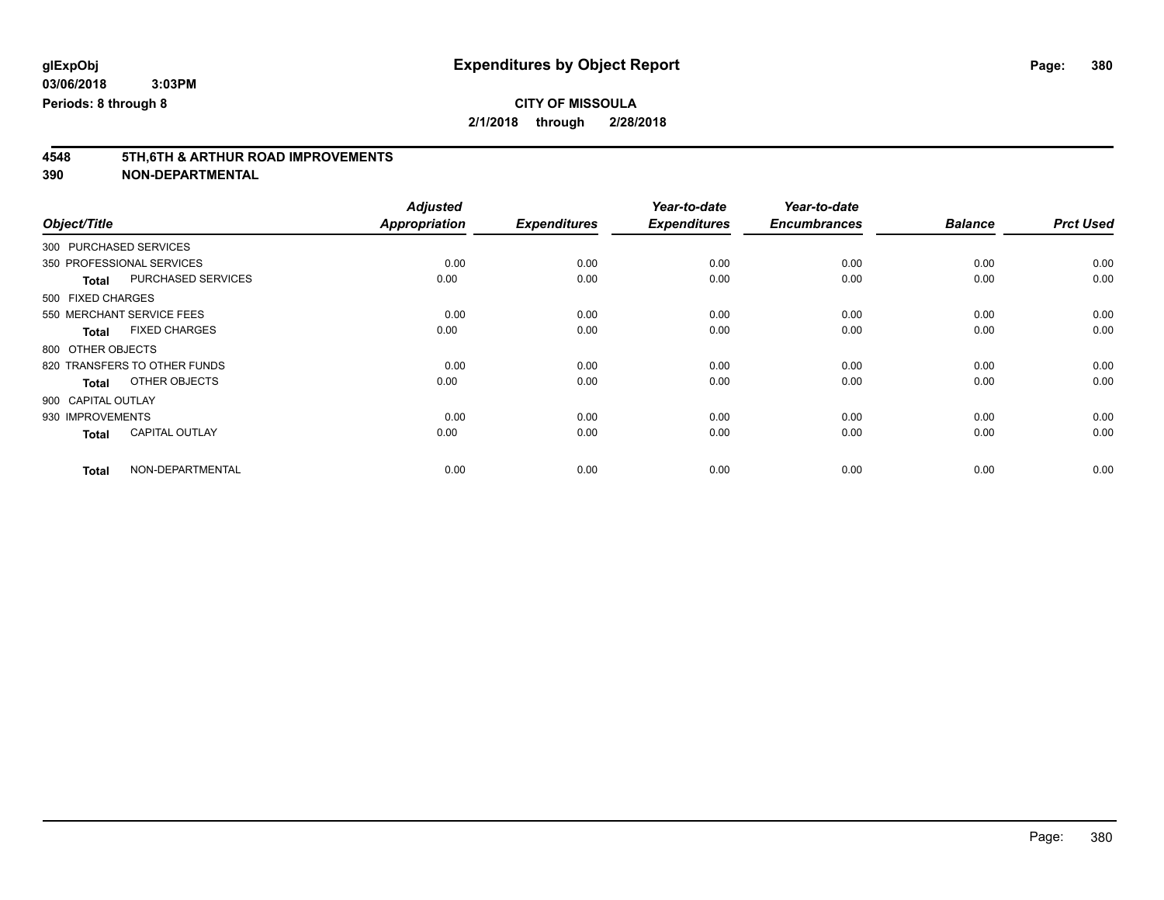**2/1/2018 through 2/28/2018**

# **4548 5TH,6TH & ARTHUR ROAD IMPROVEMENTS**

|                        |                              | <b>Adjusted</b> |                     | Year-to-date        | Year-to-date        |                |                  |
|------------------------|------------------------------|-----------------|---------------------|---------------------|---------------------|----------------|------------------|
| Object/Title           |                              | Appropriation   | <b>Expenditures</b> | <b>Expenditures</b> | <b>Encumbrances</b> | <b>Balance</b> | <b>Prct Used</b> |
| 300 PURCHASED SERVICES |                              |                 |                     |                     |                     |                |                  |
|                        | 350 PROFESSIONAL SERVICES    | 0.00            | 0.00                | 0.00                | 0.00                | 0.00           | 0.00             |
| <b>Total</b>           | PURCHASED SERVICES           | 0.00            | 0.00                | 0.00                | 0.00                | 0.00           | 0.00             |
| 500 FIXED CHARGES      |                              |                 |                     |                     |                     |                |                  |
|                        | 550 MERCHANT SERVICE FEES    | 0.00            | 0.00                | 0.00                | 0.00                | 0.00           | 0.00             |
| <b>Total</b>           | <b>FIXED CHARGES</b>         | 0.00            | 0.00                | 0.00                | 0.00                | 0.00           | 0.00             |
| 800 OTHER OBJECTS      |                              |                 |                     |                     |                     |                |                  |
|                        | 820 TRANSFERS TO OTHER FUNDS | 0.00            | 0.00                | 0.00                | 0.00                | 0.00           | 0.00             |
| <b>Total</b>           | OTHER OBJECTS                | 0.00            | 0.00                | 0.00                | 0.00                | 0.00           | 0.00             |
| 900 CAPITAL OUTLAY     |                              |                 |                     |                     |                     |                |                  |
| 930 IMPROVEMENTS       |                              | 0.00            | 0.00                | 0.00                | 0.00                | 0.00           | 0.00             |
| <b>Total</b>           | <b>CAPITAL OUTLAY</b>        | 0.00            | 0.00                | 0.00                | 0.00                | 0.00           | 0.00             |
| <b>Total</b>           | NON-DEPARTMENTAL             | 0.00            | 0.00                | 0.00                | 0.00                | 0.00           | 0.00             |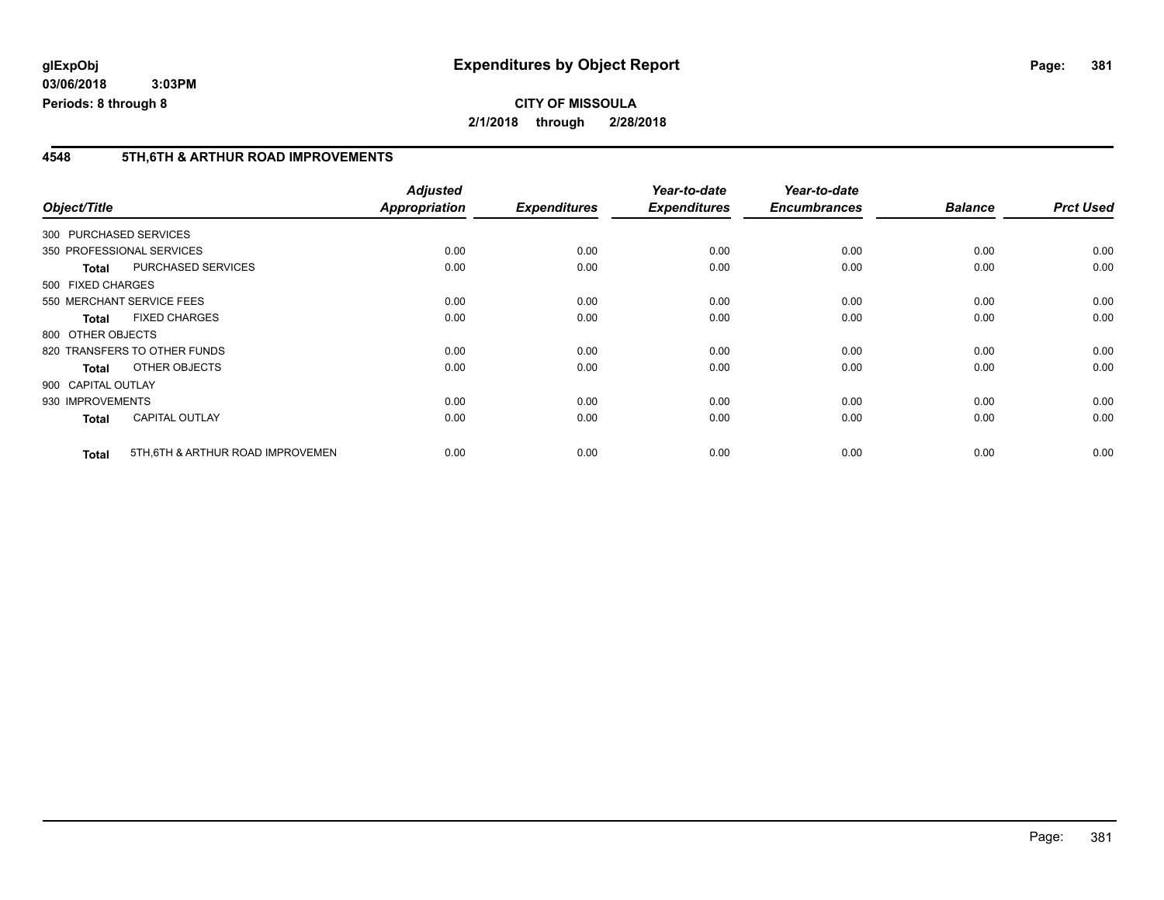#### **4548 5TH,6TH & ARTHUR ROAD IMPROVEMENTS**

|                    |                                   | <b>Adjusted</b> |                     | Year-to-date        | Year-to-date        |                |                  |
|--------------------|-----------------------------------|-----------------|---------------------|---------------------|---------------------|----------------|------------------|
| Object/Title       |                                   | Appropriation   | <b>Expenditures</b> | <b>Expenditures</b> | <b>Encumbrances</b> | <b>Balance</b> | <b>Prct Used</b> |
|                    | 300 PURCHASED SERVICES            |                 |                     |                     |                     |                |                  |
|                    | 350 PROFESSIONAL SERVICES         | 0.00            | 0.00                | 0.00                | 0.00                | 0.00           | 0.00             |
| <b>Total</b>       | <b>PURCHASED SERVICES</b>         | 0.00            | 0.00                | 0.00                | 0.00                | 0.00           | 0.00             |
| 500 FIXED CHARGES  |                                   |                 |                     |                     |                     |                |                  |
|                    | 550 MERCHANT SERVICE FEES         | 0.00            | 0.00                | 0.00                | 0.00                | 0.00           | 0.00             |
| <b>Total</b>       | <b>FIXED CHARGES</b>              | 0.00            | 0.00                | 0.00                | 0.00                | 0.00           | 0.00             |
| 800 OTHER OBJECTS  |                                   |                 |                     |                     |                     |                |                  |
|                    | 820 TRANSFERS TO OTHER FUNDS      | 0.00            | 0.00                | 0.00                | 0.00                | 0.00           | 0.00             |
| <b>Total</b>       | OTHER OBJECTS                     | 0.00            | 0.00                | 0.00                | 0.00                | 0.00           | 0.00             |
| 900 CAPITAL OUTLAY |                                   |                 |                     |                     |                     |                |                  |
| 930 IMPROVEMENTS   |                                   | 0.00            | 0.00                | 0.00                | 0.00                | 0.00           | 0.00             |
| <b>Total</b>       | <b>CAPITAL OUTLAY</b>             | 0.00            | 0.00                | 0.00                | 0.00                | 0.00           | 0.00             |
| <b>Total</b>       | 5TH, 6TH & ARTHUR ROAD IMPROVEMEN | 0.00            | 0.00                | 0.00                | 0.00                | 0.00           | 0.00             |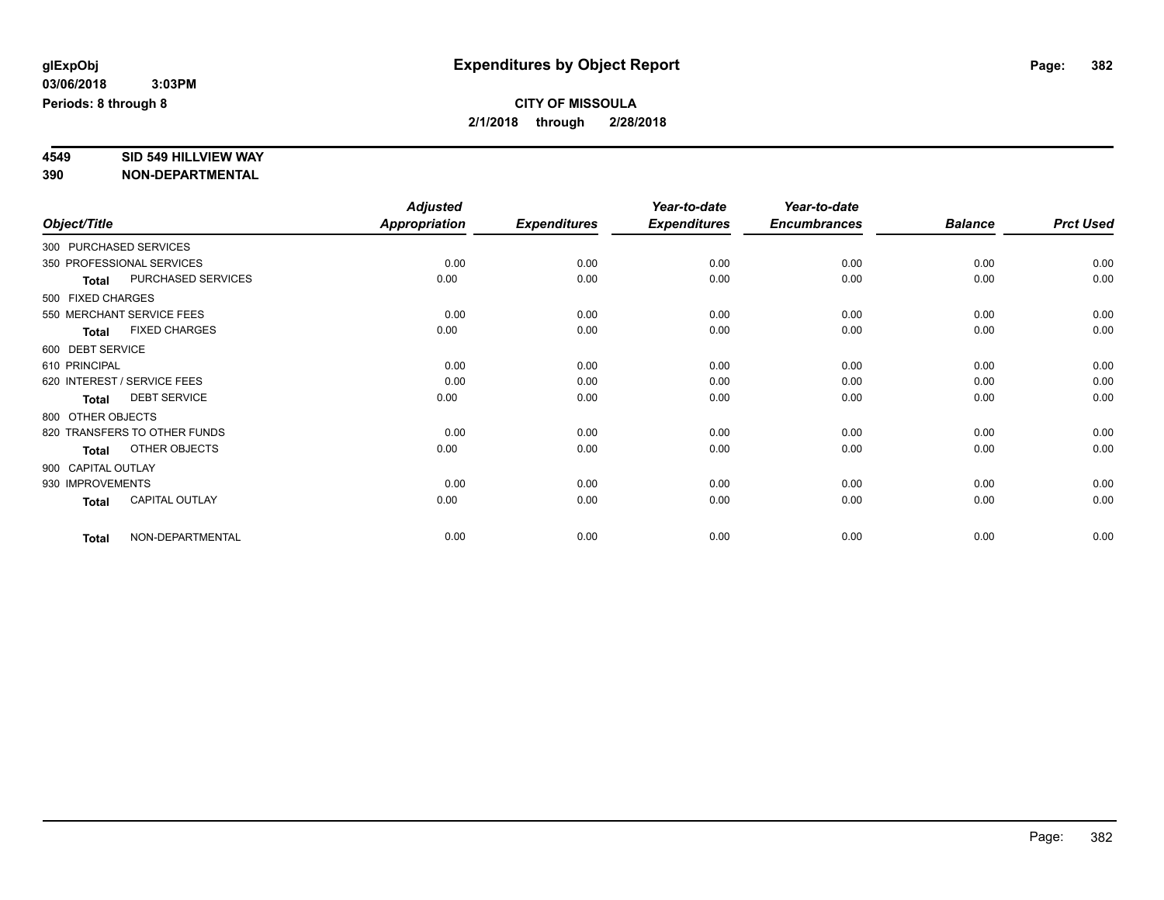# **4549 SID 549 HILLVIEW WAY**

|                    |                              | <b>Adjusted</b> |                     | Year-to-date        | Year-to-date        |                |                  |
|--------------------|------------------------------|-----------------|---------------------|---------------------|---------------------|----------------|------------------|
| Object/Title       |                              | Appropriation   | <b>Expenditures</b> | <b>Expenditures</b> | <b>Encumbrances</b> | <b>Balance</b> | <b>Prct Used</b> |
|                    | 300 PURCHASED SERVICES       |                 |                     |                     |                     |                |                  |
|                    | 350 PROFESSIONAL SERVICES    | 0.00            | 0.00                | 0.00                | 0.00                | 0.00           | 0.00             |
| <b>Total</b>       | PURCHASED SERVICES           | 0.00            | 0.00                | 0.00                | 0.00                | 0.00           | 0.00             |
| 500 FIXED CHARGES  |                              |                 |                     |                     |                     |                |                  |
|                    | 550 MERCHANT SERVICE FEES    | 0.00            | 0.00                | 0.00                | 0.00                | 0.00           | 0.00             |
| <b>Total</b>       | <b>FIXED CHARGES</b>         | 0.00            | 0.00                | 0.00                | 0.00                | 0.00           | 0.00             |
| 600 DEBT SERVICE   |                              |                 |                     |                     |                     |                |                  |
| 610 PRINCIPAL      |                              | 0.00            | 0.00                | 0.00                | 0.00                | 0.00           | 0.00             |
|                    | 620 INTEREST / SERVICE FEES  | 0.00            | 0.00                | 0.00                | 0.00                | 0.00           | 0.00             |
| <b>Total</b>       | <b>DEBT SERVICE</b>          | 0.00            | 0.00                | 0.00                | 0.00                | 0.00           | 0.00             |
| 800 OTHER OBJECTS  |                              |                 |                     |                     |                     |                |                  |
|                    | 820 TRANSFERS TO OTHER FUNDS | 0.00            | 0.00                | 0.00                | 0.00                | 0.00           | 0.00             |
| <b>Total</b>       | OTHER OBJECTS                | 0.00            | 0.00                | 0.00                | 0.00                | 0.00           | 0.00             |
| 900 CAPITAL OUTLAY |                              |                 |                     |                     |                     |                |                  |
| 930 IMPROVEMENTS   |                              | 0.00            | 0.00                | 0.00                | 0.00                | 0.00           | 0.00             |
| <b>Total</b>       | CAPITAL OUTLAY               | 0.00            | 0.00                | 0.00                | 0.00                | 0.00           | 0.00             |
| <b>Total</b>       | NON-DEPARTMENTAL             | 0.00            | 0.00                | 0.00                | 0.00                | 0.00           | 0.00             |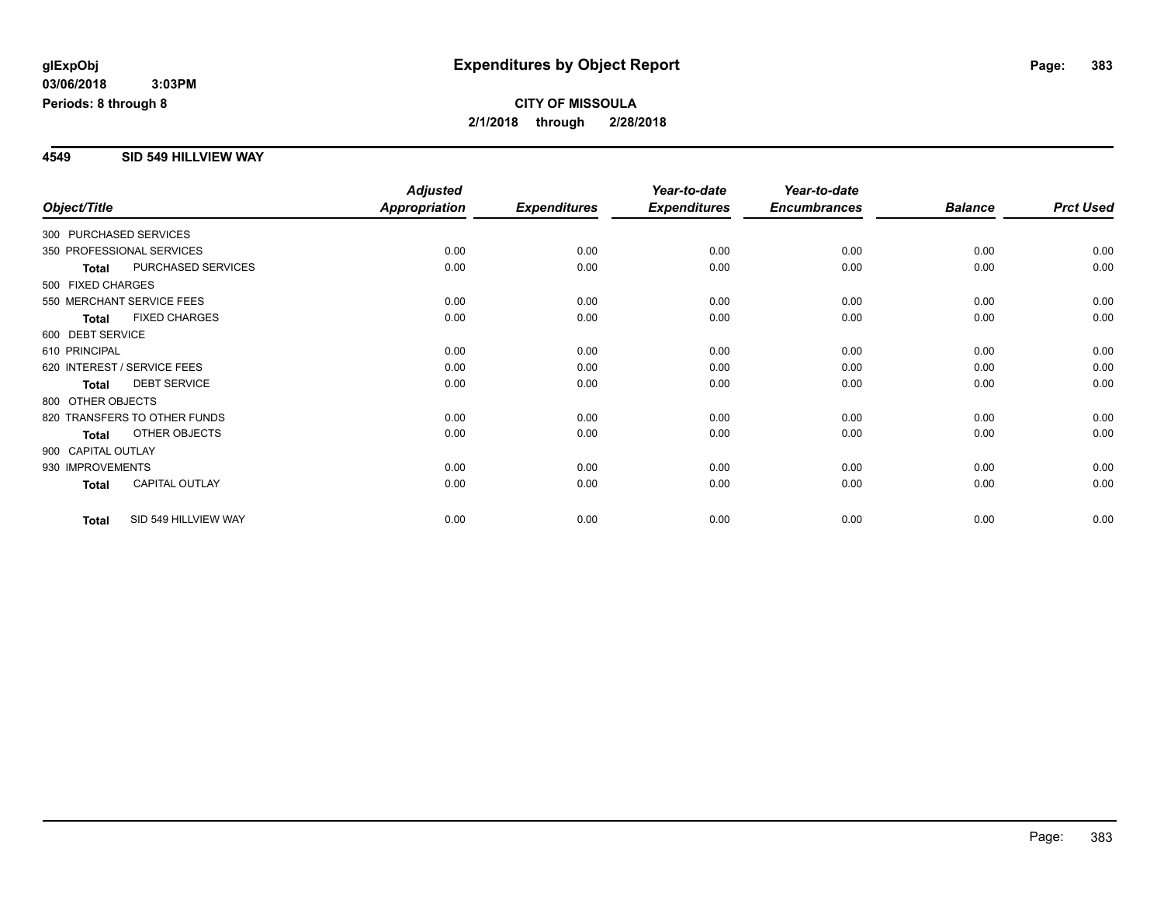#### **4549 SID 549 HILLVIEW WAY**

|                                       | <b>Adjusted</b>      |                     | Year-to-date        | Year-to-date        |                |                  |
|---------------------------------------|----------------------|---------------------|---------------------|---------------------|----------------|------------------|
| Object/Title                          | <b>Appropriation</b> | <b>Expenditures</b> | <b>Expenditures</b> | <b>Encumbrances</b> | <b>Balance</b> | <b>Prct Used</b> |
| 300 PURCHASED SERVICES                |                      |                     |                     |                     |                |                  |
| 350 PROFESSIONAL SERVICES             | 0.00                 | 0.00                | 0.00                | 0.00                | 0.00           | 0.00             |
| PURCHASED SERVICES<br><b>Total</b>    | 0.00                 | 0.00                | 0.00                | 0.00                | 0.00           | 0.00             |
| 500 FIXED CHARGES                     |                      |                     |                     |                     |                |                  |
| 550 MERCHANT SERVICE FEES             | 0.00                 | 0.00                | 0.00                | 0.00                | 0.00           | 0.00             |
| <b>FIXED CHARGES</b><br><b>Total</b>  | 0.00                 | 0.00                | 0.00                | 0.00                | 0.00           | 0.00             |
| 600 DEBT SERVICE                      |                      |                     |                     |                     |                |                  |
| 610 PRINCIPAL                         | 0.00                 | 0.00                | 0.00                | 0.00                | 0.00           | 0.00             |
| 620 INTEREST / SERVICE FEES           | 0.00                 | 0.00                | 0.00                | 0.00                | 0.00           | 0.00             |
| <b>DEBT SERVICE</b><br><b>Total</b>   | 0.00                 | 0.00                | 0.00                | 0.00                | 0.00           | 0.00             |
| 800 OTHER OBJECTS                     |                      |                     |                     |                     |                |                  |
| 820 TRANSFERS TO OTHER FUNDS          | 0.00                 | 0.00                | 0.00                | 0.00                | 0.00           | 0.00             |
| OTHER OBJECTS<br><b>Total</b>         | 0.00                 | 0.00                | 0.00                | 0.00                | 0.00           | 0.00             |
| 900 CAPITAL OUTLAY                    |                      |                     |                     |                     |                |                  |
| 930 IMPROVEMENTS                      | 0.00                 | 0.00                | 0.00                | 0.00                | 0.00           | 0.00             |
| <b>CAPITAL OUTLAY</b><br><b>Total</b> | 0.00                 | 0.00                | 0.00                | 0.00                | 0.00           | 0.00             |
|                                       |                      |                     |                     |                     |                |                  |
| SID 549 HILLVIEW WAY<br><b>Total</b>  | 0.00                 | 0.00                | 0.00                | 0.00                | 0.00           | 0.00             |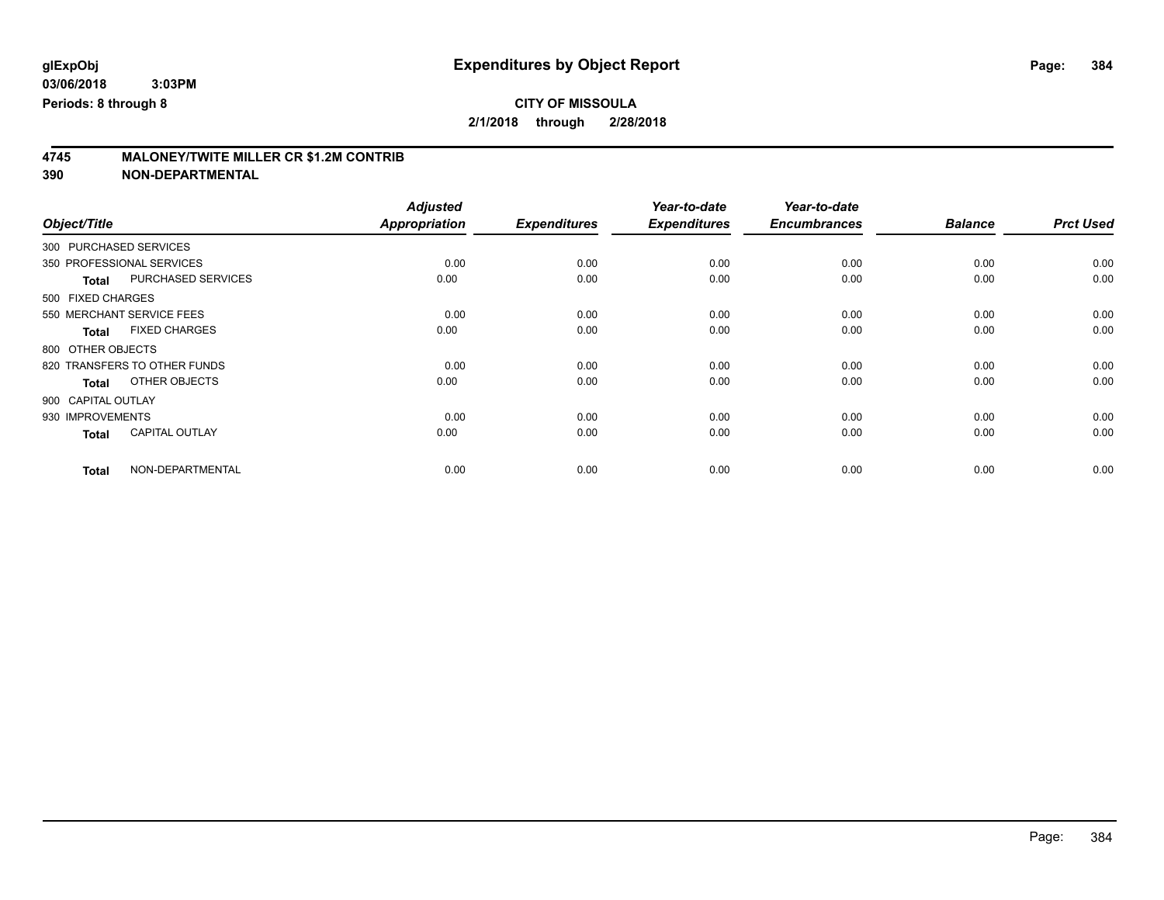**2/1/2018 through 2/28/2018**

# **4745 MALONEY/TWITE MILLER CR \$1.2M CONTRIB**

|                        |                              | <b>Adjusted</b> |                     | Year-to-date        | Year-to-date        |                |                  |
|------------------------|------------------------------|-----------------|---------------------|---------------------|---------------------|----------------|------------------|
| Object/Title           |                              | Appropriation   | <b>Expenditures</b> | <b>Expenditures</b> | <b>Encumbrances</b> | <b>Balance</b> | <b>Prct Used</b> |
| 300 PURCHASED SERVICES |                              |                 |                     |                     |                     |                |                  |
|                        | 350 PROFESSIONAL SERVICES    | 0.00            | 0.00                | 0.00                | 0.00                | 0.00           | 0.00             |
| <b>Total</b>           | PURCHASED SERVICES           | 0.00            | 0.00                | 0.00                | 0.00                | 0.00           | 0.00             |
| 500 FIXED CHARGES      |                              |                 |                     |                     |                     |                |                  |
|                        | 550 MERCHANT SERVICE FEES    | 0.00            | 0.00                | 0.00                | 0.00                | 0.00           | 0.00             |
| <b>Total</b>           | <b>FIXED CHARGES</b>         | 0.00            | 0.00                | 0.00                | 0.00                | 0.00           | 0.00             |
| 800 OTHER OBJECTS      |                              |                 |                     |                     |                     |                |                  |
|                        | 820 TRANSFERS TO OTHER FUNDS | 0.00            | 0.00                | 0.00                | 0.00                | 0.00           | 0.00             |
| <b>Total</b>           | OTHER OBJECTS                | 0.00            | 0.00                | 0.00                | 0.00                | 0.00           | 0.00             |
| 900 CAPITAL OUTLAY     |                              |                 |                     |                     |                     |                |                  |
| 930 IMPROVEMENTS       |                              | 0.00            | 0.00                | 0.00                | 0.00                | 0.00           | 0.00             |
| <b>Total</b>           | <b>CAPITAL OUTLAY</b>        | 0.00            | 0.00                | 0.00                | 0.00                | 0.00           | 0.00             |
| <b>Total</b>           | NON-DEPARTMENTAL             | 0.00            | 0.00                | 0.00                | 0.00                | 0.00           | 0.00             |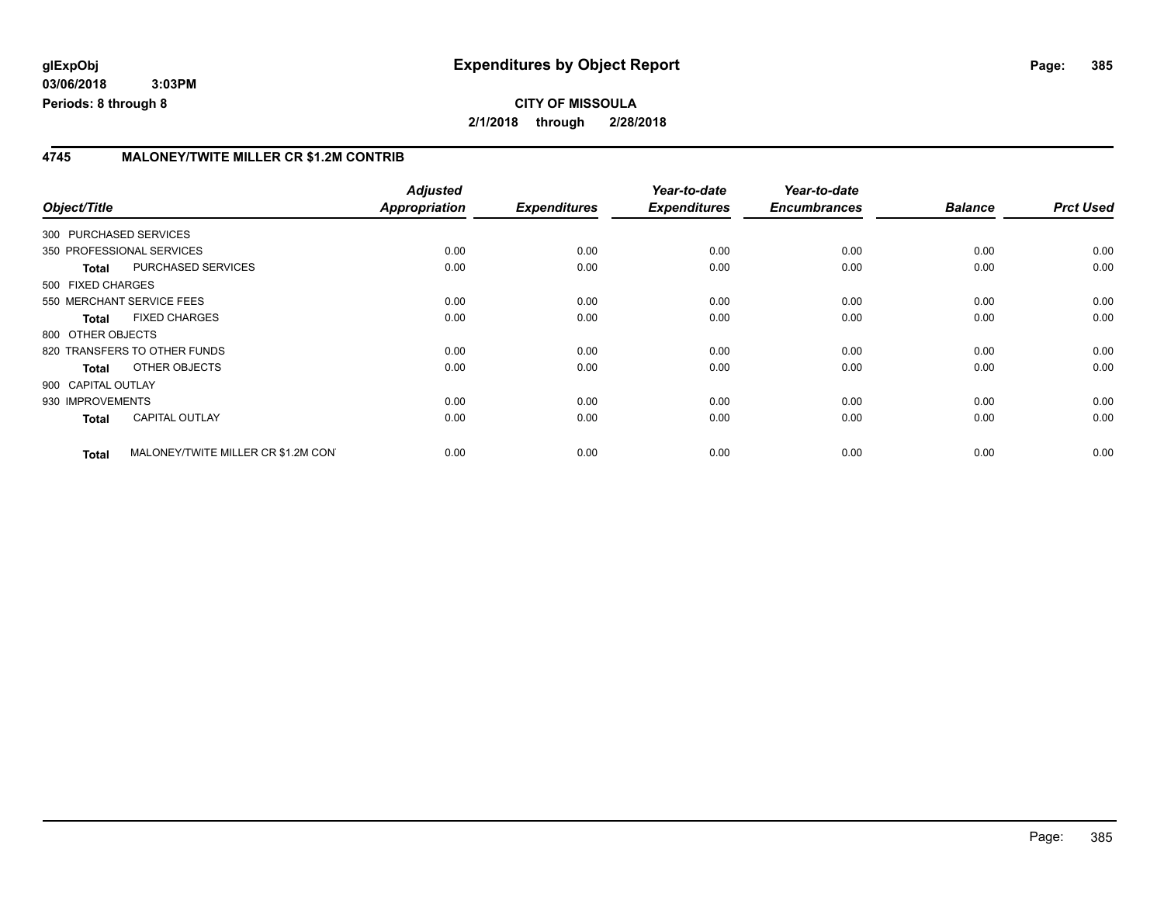#### **4745 MALONEY/TWITE MILLER CR \$1.2M CONTRIB**

| Object/Title       |                                     | <b>Adjusted</b><br>Appropriation | <b>Expenditures</b> | Year-to-date<br><b>Expenditures</b> | Year-to-date<br><b>Encumbrances</b> | <b>Balance</b> | <b>Prct Used</b> |
|--------------------|-------------------------------------|----------------------------------|---------------------|-------------------------------------|-------------------------------------|----------------|------------------|
|                    | 300 PURCHASED SERVICES              |                                  |                     |                                     |                                     |                |                  |
|                    | 350 PROFESSIONAL SERVICES           | 0.00                             | 0.00                | 0.00                                | 0.00                                | 0.00           | 0.00             |
| <b>Total</b>       | PURCHASED SERVICES                  | 0.00                             | 0.00                | 0.00                                | 0.00                                | 0.00           | 0.00             |
| 500 FIXED CHARGES  |                                     |                                  |                     |                                     |                                     |                |                  |
|                    | 550 MERCHANT SERVICE FEES           | 0.00                             | 0.00                | 0.00                                | 0.00                                | 0.00           | 0.00             |
| <b>Total</b>       | <b>FIXED CHARGES</b>                | 0.00                             | 0.00                | 0.00                                | 0.00                                | 0.00           | 0.00             |
| 800 OTHER OBJECTS  |                                     |                                  |                     |                                     |                                     |                |                  |
|                    | 820 TRANSFERS TO OTHER FUNDS        | 0.00                             | 0.00                | 0.00                                | 0.00                                | 0.00           | 0.00             |
| <b>Total</b>       | OTHER OBJECTS                       | 0.00                             | 0.00                | 0.00                                | 0.00                                | 0.00           | 0.00             |
| 900 CAPITAL OUTLAY |                                     |                                  |                     |                                     |                                     |                |                  |
| 930 IMPROVEMENTS   |                                     | 0.00                             | 0.00                | 0.00                                | 0.00                                | 0.00           | 0.00             |
| <b>Total</b>       | <b>CAPITAL OUTLAY</b>               | 0.00                             | 0.00                | 0.00                                | 0.00                                | 0.00           | 0.00             |
| <b>Total</b>       | MALONEY/TWITE MILLER CR \$1.2M CON' | 0.00                             | 0.00                | 0.00                                | 0.00                                | 0.00           | 0.00             |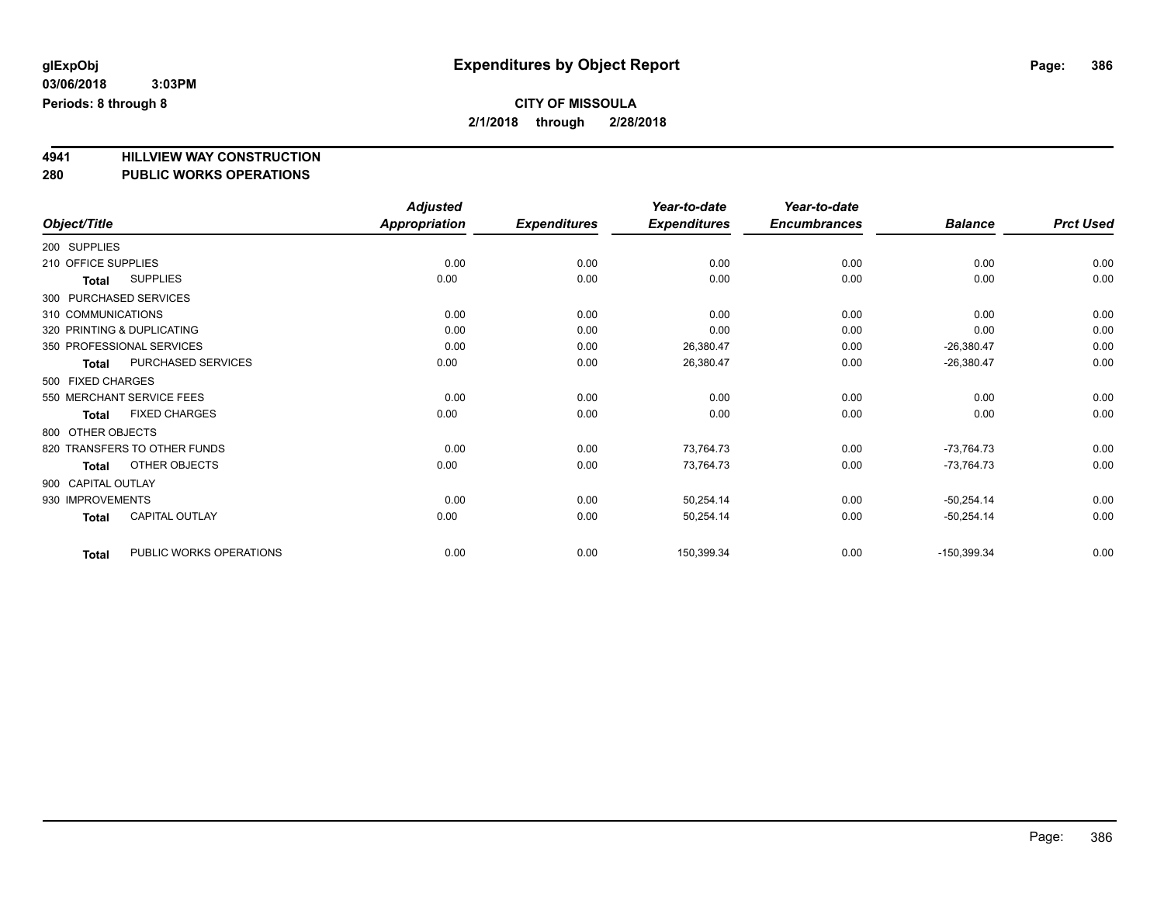**4941 HILLVIEW WAY CONSTRUCTION 280 PUBLIC WORKS OPERATIONS**

| Object/Title                            | <b>Adjusted</b><br><b>Appropriation</b> | <b>Expenditures</b> | Year-to-date<br><b>Expenditures</b> | Year-to-date<br><b>Encumbrances</b> | <b>Balance</b> | <b>Prct Used</b> |
|-----------------------------------------|-----------------------------------------|---------------------|-------------------------------------|-------------------------------------|----------------|------------------|
|                                         |                                         |                     |                                     |                                     |                |                  |
| 200 SUPPLIES                            |                                         |                     |                                     |                                     |                |                  |
| 210 OFFICE SUPPLIES                     | 0.00                                    | 0.00                | 0.00                                | 0.00                                | 0.00           | 0.00             |
| <b>SUPPLIES</b><br>Total                | 0.00                                    | 0.00                | 0.00                                | 0.00                                | 0.00           | 0.00             |
| 300 PURCHASED SERVICES                  |                                         |                     |                                     |                                     |                |                  |
| 310 COMMUNICATIONS                      | 0.00                                    | 0.00                | 0.00                                | 0.00                                | 0.00           | 0.00             |
| 320 PRINTING & DUPLICATING              | 0.00                                    | 0.00                | 0.00                                | 0.00                                | 0.00           | 0.00             |
| 350 PROFESSIONAL SERVICES               | 0.00                                    | 0.00                | 26,380.47                           | 0.00                                | $-26,380.47$   | 0.00             |
| PURCHASED SERVICES<br><b>Total</b>      | 0.00                                    | 0.00                | 26,380.47                           | 0.00                                | $-26,380.47$   | 0.00             |
| 500 FIXED CHARGES                       |                                         |                     |                                     |                                     |                |                  |
| 550 MERCHANT SERVICE FEES               | 0.00                                    | 0.00                | 0.00                                | 0.00                                | 0.00           | 0.00             |
| <b>FIXED CHARGES</b><br><b>Total</b>    | 0.00                                    | 0.00                | 0.00                                | 0.00                                | 0.00           | 0.00             |
| 800 OTHER OBJECTS                       |                                         |                     |                                     |                                     |                |                  |
| 820 TRANSFERS TO OTHER FUNDS            | 0.00                                    | 0.00                | 73,764.73                           | 0.00                                | $-73,764.73$   | 0.00             |
| OTHER OBJECTS<br><b>Total</b>           | 0.00                                    | 0.00                | 73,764.73                           | 0.00                                | $-73,764.73$   | 0.00             |
| 900 CAPITAL OUTLAY                      |                                         |                     |                                     |                                     |                |                  |
| 930 IMPROVEMENTS                        | 0.00                                    | 0.00                | 50,254.14                           | 0.00                                | $-50,254.14$   | 0.00             |
| <b>CAPITAL OUTLAY</b><br><b>Total</b>   | 0.00                                    | 0.00                | 50,254.14                           | 0.00                                | $-50,254.14$   | 0.00             |
| PUBLIC WORKS OPERATIONS<br><b>Total</b> | 0.00                                    | 0.00                | 150,399.34                          | 0.00                                | $-150,399.34$  | 0.00             |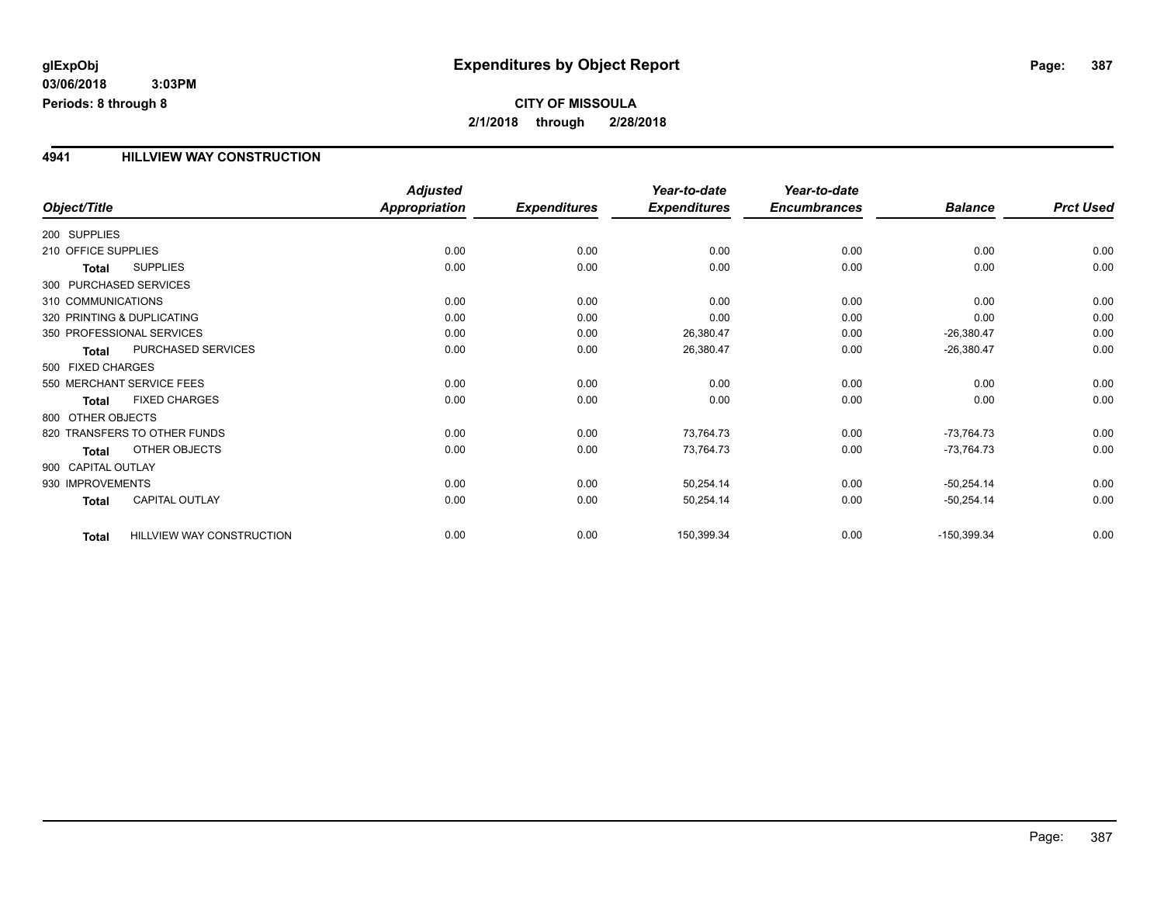#### **4941 HILLVIEW WAY CONSTRUCTION**

|                     |                              | <b>Adjusted</b>      |                     | Year-to-date        | Year-to-date        |                |                  |
|---------------------|------------------------------|----------------------|---------------------|---------------------|---------------------|----------------|------------------|
| Object/Title        |                              | <b>Appropriation</b> | <b>Expenditures</b> | <b>Expenditures</b> | <b>Encumbrances</b> | <b>Balance</b> | <b>Prct Used</b> |
| 200 SUPPLIES        |                              |                      |                     |                     |                     |                |                  |
| 210 OFFICE SUPPLIES |                              | 0.00                 | 0.00                | 0.00                | 0.00                | 0.00           | 0.00             |
| Total               | <b>SUPPLIES</b>              | 0.00                 | 0.00                | 0.00                | 0.00                | 0.00           | 0.00             |
|                     | 300 PURCHASED SERVICES       |                      |                     |                     |                     |                |                  |
| 310 COMMUNICATIONS  |                              | 0.00                 | 0.00                | 0.00                | 0.00                | 0.00           | 0.00             |
|                     | 320 PRINTING & DUPLICATING   | 0.00                 | 0.00                | 0.00                | 0.00                | 0.00           | 0.00             |
|                     | 350 PROFESSIONAL SERVICES    | 0.00                 | 0.00                | 26,380.47           | 0.00                | $-26,380.47$   | 0.00             |
| <b>Total</b>        | PURCHASED SERVICES           | 0.00                 | 0.00                | 26,380.47           | 0.00                | $-26,380.47$   | 0.00             |
| 500 FIXED CHARGES   |                              |                      |                     |                     |                     |                |                  |
|                     | 550 MERCHANT SERVICE FEES    | 0.00                 | 0.00                | 0.00                | 0.00                | 0.00           | 0.00             |
| <b>Total</b>        | <b>FIXED CHARGES</b>         | 0.00                 | 0.00                | 0.00                | 0.00                | 0.00           | 0.00             |
| 800 OTHER OBJECTS   |                              |                      |                     |                     |                     |                |                  |
|                     | 820 TRANSFERS TO OTHER FUNDS | 0.00                 | 0.00                | 73,764.73           | 0.00                | $-73,764.73$   | 0.00             |
| Total               | OTHER OBJECTS                | 0.00                 | 0.00                | 73,764.73           | 0.00                | $-73,764.73$   | 0.00             |
| 900 CAPITAL OUTLAY  |                              |                      |                     |                     |                     |                |                  |
| 930 IMPROVEMENTS    |                              | 0.00                 | 0.00                | 50,254.14           | 0.00                | $-50,254.14$   | 0.00             |
| <b>Total</b>        | <b>CAPITAL OUTLAY</b>        | 0.00                 | 0.00                | 50,254.14           | 0.00                | $-50,254.14$   | 0.00             |
| <b>Total</b>        | HILLVIEW WAY CONSTRUCTION    | 0.00                 | 0.00                | 150,399.34          | 0.00                | $-150,399.34$  | 0.00             |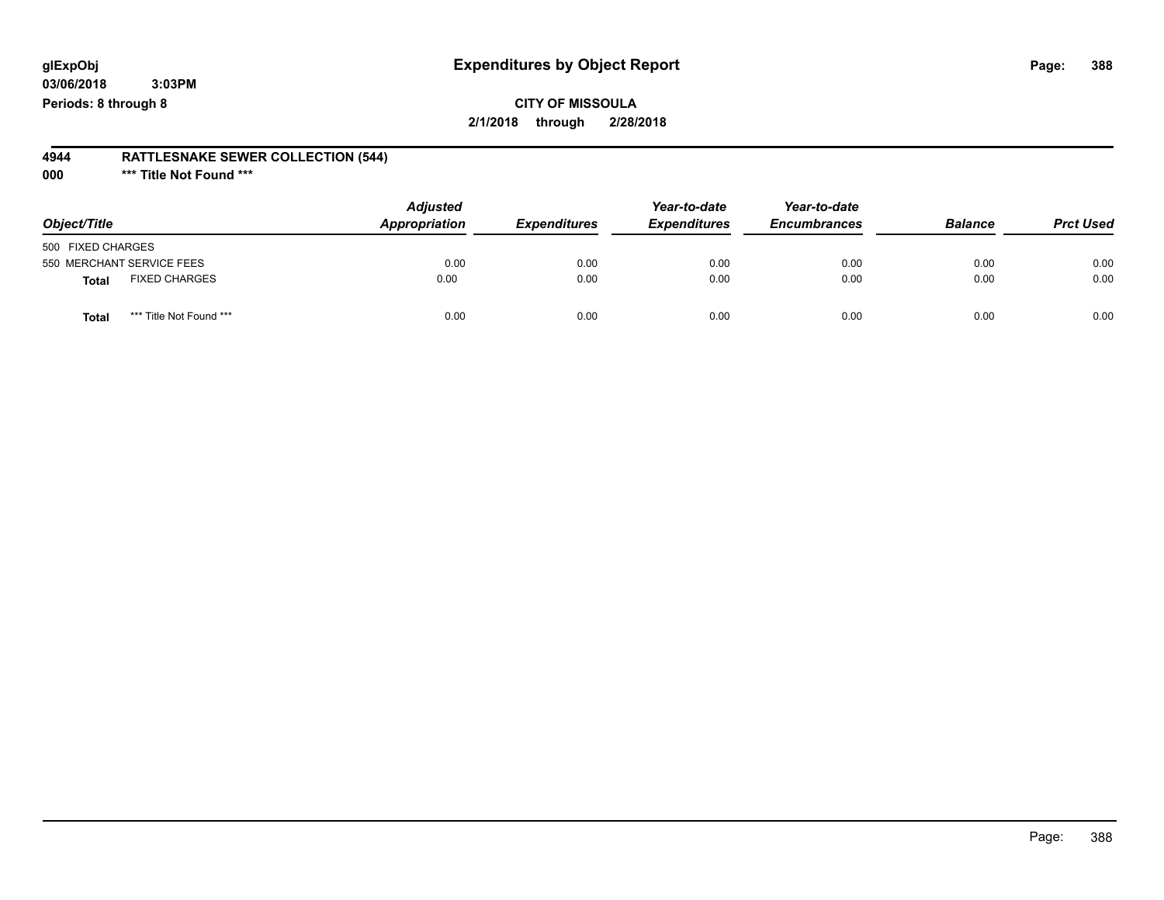### **CITY OF MISSOULA 2/1/2018 through 2/28/2018**

#### **4944 RATTLESNAKE SEWER COLLECTION (544)**

**000 \*\*\* Title Not Found \*\*\***

| Object/Title                         | <b>Adjusted</b><br>Appropriation | <b>Expenditures</b> | Year-to-date<br><b>Expenditures</b> | Year-to-date<br><b>Encumbrances</b> | <b>Balance</b> | <b>Prct Used</b> |
|--------------------------------------|----------------------------------|---------------------|-------------------------------------|-------------------------------------|----------------|------------------|
| 500 FIXED CHARGES                    |                                  |                     |                                     |                                     |                |                  |
| 550 MERCHANT SERVICE FEES            | 0.00                             | 0.00                | 0.00                                | 0.00                                | 0.00           | 0.00             |
| <b>FIXED CHARGES</b><br><b>Total</b> | 0.00                             | 0.00                | 0.00                                | 0.00                                | 0.00           | 0.00             |
| *** Title Not Found ***<br>Total     | 0.00                             | 0.00                | 0.00                                | 0.00                                | 0.00           | 0.00             |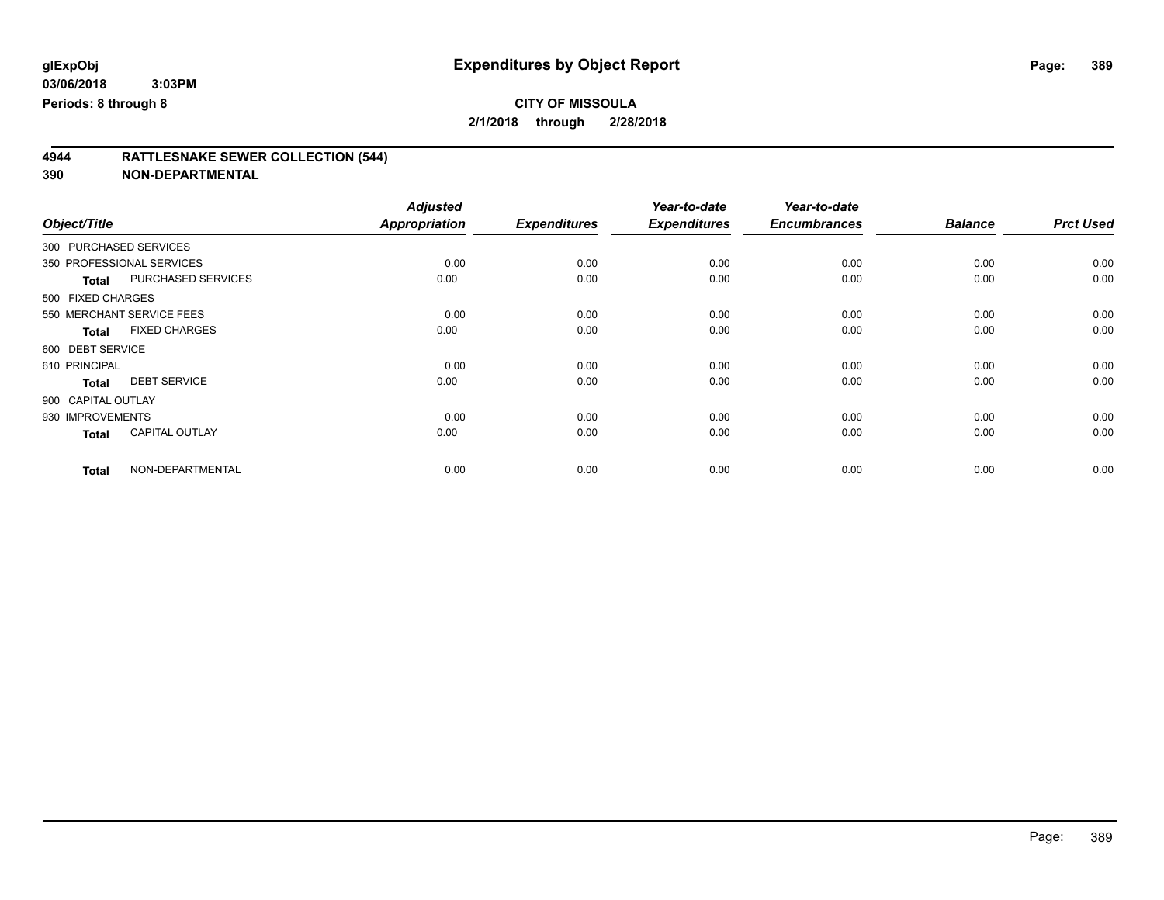**2/1/2018 through 2/28/2018**

# **4944 RATTLESNAKE SEWER COLLECTION (544)**

|                    |                           | <b>Adjusted</b>      |                     | Year-to-date        | Year-to-date        |                |                  |
|--------------------|---------------------------|----------------------|---------------------|---------------------|---------------------|----------------|------------------|
| Object/Title       |                           | <b>Appropriation</b> | <b>Expenditures</b> | <b>Expenditures</b> | <b>Encumbrances</b> | <b>Balance</b> | <b>Prct Used</b> |
|                    | 300 PURCHASED SERVICES    |                      |                     |                     |                     |                |                  |
|                    | 350 PROFESSIONAL SERVICES | 0.00                 | 0.00                | 0.00                | 0.00                | 0.00           | 0.00             |
| <b>Total</b>       | PURCHASED SERVICES        | 0.00                 | 0.00                | 0.00                | 0.00                | 0.00           | 0.00             |
| 500 FIXED CHARGES  |                           |                      |                     |                     |                     |                |                  |
|                    | 550 MERCHANT SERVICE FEES | 0.00                 | 0.00                | 0.00                | 0.00                | 0.00           | 0.00             |
| <b>Total</b>       | <b>FIXED CHARGES</b>      | 0.00                 | 0.00                | 0.00                | 0.00                | 0.00           | 0.00             |
| 600 DEBT SERVICE   |                           |                      |                     |                     |                     |                |                  |
| 610 PRINCIPAL      |                           | 0.00                 | 0.00                | 0.00                | 0.00                | 0.00           | 0.00             |
| <b>Total</b>       | <b>DEBT SERVICE</b>       | 0.00                 | 0.00                | 0.00                | 0.00                | 0.00           | 0.00             |
| 900 CAPITAL OUTLAY |                           |                      |                     |                     |                     |                |                  |
| 930 IMPROVEMENTS   |                           | 0.00                 | 0.00                | 0.00                | 0.00                | 0.00           | 0.00             |
| <b>Total</b>       | <b>CAPITAL OUTLAY</b>     | 0.00                 | 0.00                | 0.00                | 0.00                | 0.00           | 0.00             |
| <b>Total</b>       | NON-DEPARTMENTAL          | 0.00                 | 0.00                | 0.00                | 0.00                | 0.00           | 0.00             |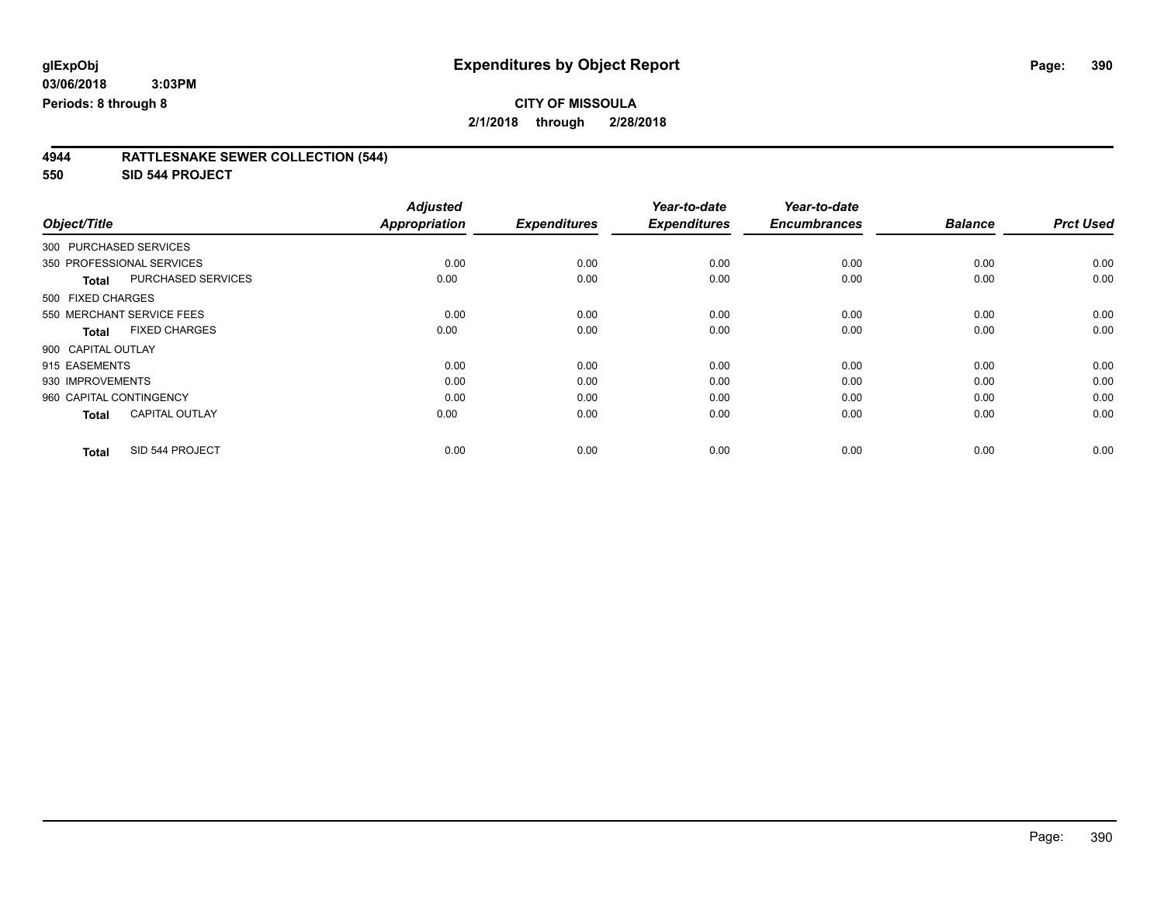**2/1/2018 through 2/28/2018**

| 4944 | <b>RATTLESNAKE SEWER COLLECTION (544)</b> |  |
|------|-------------------------------------------|--|
|      |                                           |  |

**550 SID 544 PROJECT**

|                                           | <b>Adjusted</b>      |                     | Year-to-date        | Year-to-date        |                |                  |
|-------------------------------------------|----------------------|---------------------|---------------------|---------------------|----------------|------------------|
| Object/Title                              | <b>Appropriation</b> | <b>Expenditures</b> | <b>Expenditures</b> | <b>Encumbrances</b> | <b>Balance</b> | <b>Prct Used</b> |
| 300 PURCHASED SERVICES                    |                      |                     |                     |                     |                |                  |
| 350 PROFESSIONAL SERVICES                 | 0.00                 | 0.00                | 0.00                | 0.00                | 0.00           | 0.00             |
| <b>PURCHASED SERVICES</b><br><b>Total</b> | 0.00                 | 0.00                | 0.00                | 0.00                | 0.00           | 0.00             |
| 500 FIXED CHARGES                         |                      |                     |                     |                     |                |                  |
| 550 MERCHANT SERVICE FEES                 | 0.00                 | 0.00                | 0.00                | 0.00                | 0.00           | 0.00             |
| <b>FIXED CHARGES</b><br><b>Total</b>      | 0.00                 | 0.00                | 0.00                | 0.00                | 0.00           | 0.00             |
| 900 CAPITAL OUTLAY                        |                      |                     |                     |                     |                |                  |
| 915 EASEMENTS                             | 0.00                 | 0.00                | 0.00                | 0.00                | 0.00           | 0.00             |
| 930 IMPROVEMENTS                          | 0.00                 | 0.00                | 0.00                | 0.00                | 0.00           | 0.00             |
| 960 CAPITAL CONTINGENCY                   | 0.00                 | 0.00                | 0.00                | 0.00                | 0.00           | 0.00             |
| <b>CAPITAL OUTLAY</b><br><b>Total</b>     | 0.00                 | 0.00                | 0.00                | 0.00                | 0.00           | 0.00             |
| SID 544 PROJECT<br><b>Total</b>           | 0.00                 | 0.00                | 0.00                | 0.00                | 0.00           | 0.00             |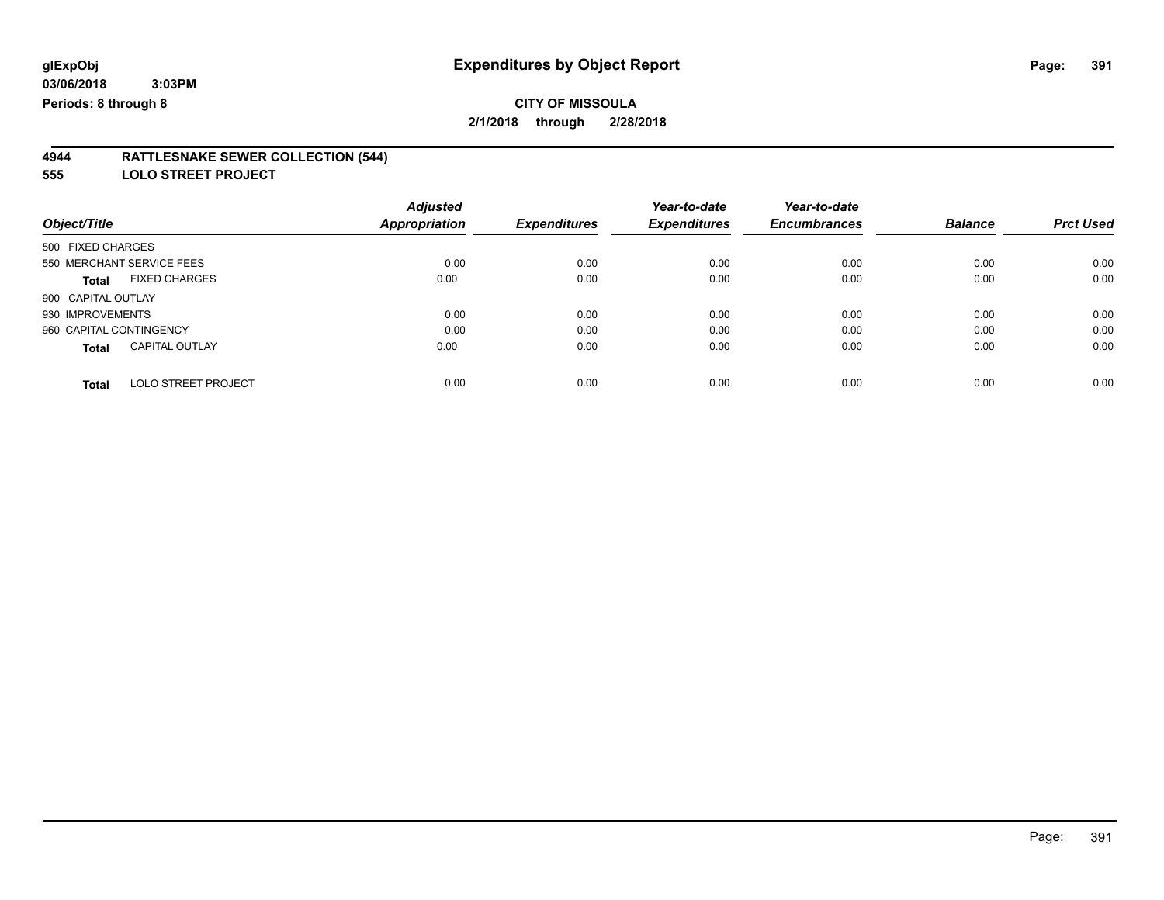**2/1/2018 through 2/28/2018**

#### **4944 RATTLESNAKE SEWER COLLECTION (544)**

**555 LOLO STREET PROJECT**

|                                            | <b>Adjusted</b>      |                     | Year-to-date        | Year-to-date        |                |                  |
|--------------------------------------------|----------------------|---------------------|---------------------|---------------------|----------------|------------------|
| Object/Title                               | <b>Appropriation</b> | <b>Expenditures</b> | <b>Expenditures</b> | <b>Encumbrances</b> | <b>Balance</b> | <b>Prct Used</b> |
| 500 FIXED CHARGES                          |                      |                     |                     |                     |                |                  |
| 550 MERCHANT SERVICE FEES                  | 0.00                 | 0.00                | 0.00                | 0.00                | 0.00           | 0.00             |
| <b>FIXED CHARGES</b><br><b>Total</b>       | 0.00                 | 0.00                | 0.00                | 0.00                | 0.00           | 0.00             |
| 900 CAPITAL OUTLAY                         |                      |                     |                     |                     |                |                  |
| 930 IMPROVEMENTS                           | 0.00                 | 0.00                | 0.00                | 0.00                | 0.00           | 0.00             |
| 960 CAPITAL CONTINGENCY                    | 0.00                 | 0.00                | 0.00                | 0.00                | 0.00           | 0.00             |
| <b>CAPITAL OUTLAY</b><br><b>Total</b>      | 0.00                 | 0.00                | 0.00                | 0.00                | 0.00           | 0.00             |
| <b>LOLO STREET PROJECT</b><br><b>Total</b> | 0.00                 | 0.00                | 0.00                | 0.00                | 0.00           | 0.00             |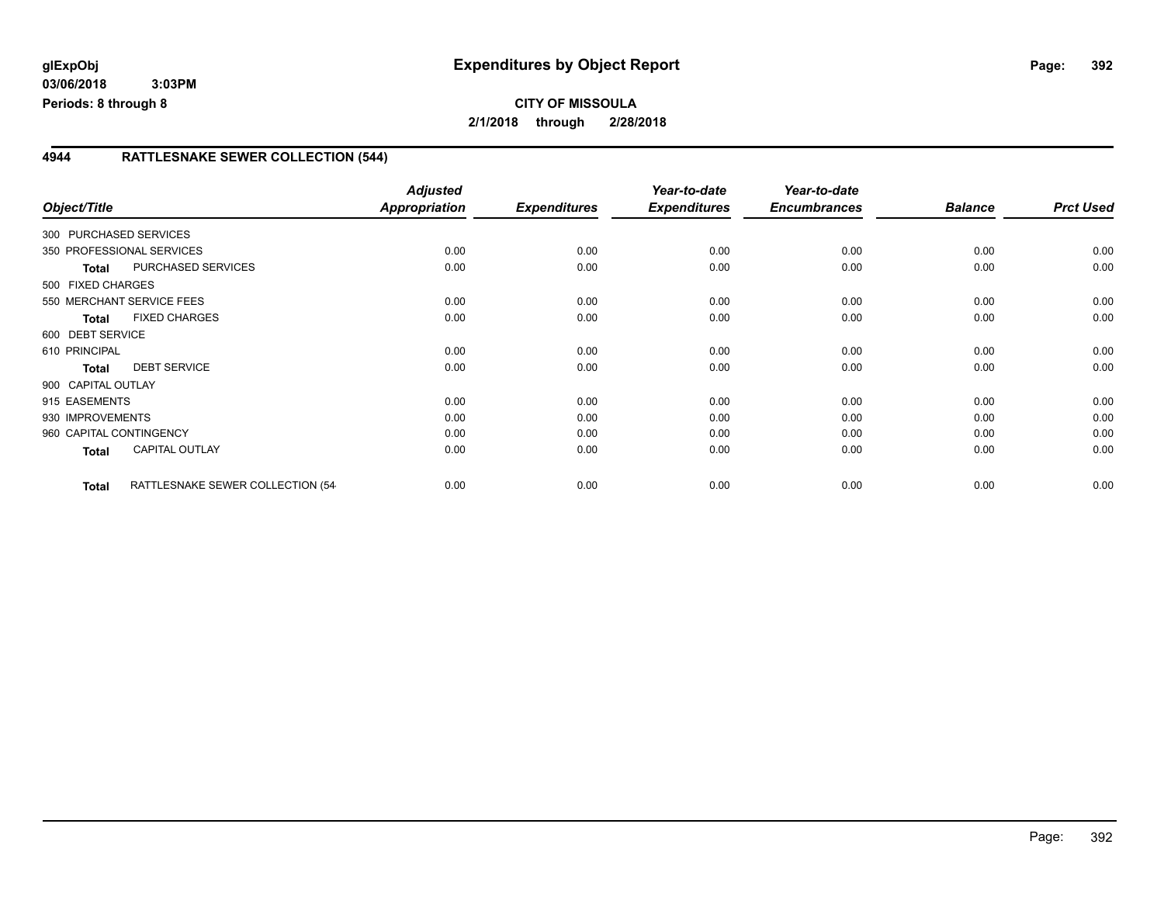#### **4944 RATTLESNAKE SEWER COLLECTION (544)**

| Object/Title            |                                   | <b>Adjusted</b><br><b>Appropriation</b> | <b>Expenditures</b> | Year-to-date<br><b>Expenditures</b> | Year-to-date<br><b>Encumbrances</b> | <b>Balance</b> | <b>Prct Used</b> |
|-------------------------|-----------------------------------|-----------------------------------------|---------------------|-------------------------------------|-------------------------------------|----------------|------------------|
| 300 PURCHASED SERVICES  |                                   |                                         |                     |                                     |                                     |                |                  |
|                         | 350 PROFESSIONAL SERVICES         | 0.00                                    | 0.00                | 0.00                                | 0.00                                | 0.00           | 0.00             |
| <b>Total</b>            | PURCHASED SERVICES                | 0.00                                    | 0.00                | 0.00                                | 0.00                                | 0.00           | 0.00             |
| 500 FIXED CHARGES       |                                   |                                         |                     |                                     |                                     |                |                  |
|                         | 550 MERCHANT SERVICE FEES         | 0.00                                    | 0.00                | 0.00                                | 0.00                                | 0.00           | 0.00             |
| <b>Total</b>            | <b>FIXED CHARGES</b>              | 0.00                                    | 0.00                | 0.00                                | 0.00                                | 0.00           | 0.00             |
| 600 DEBT SERVICE        |                                   |                                         |                     |                                     |                                     |                |                  |
| 610 PRINCIPAL           |                                   | 0.00                                    | 0.00                | 0.00                                | 0.00                                | 0.00           | 0.00             |
| <b>Total</b>            | <b>DEBT SERVICE</b>               | 0.00                                    | 0.00                | 0.00                                | 0.00                                | 0.00           | 0.00             |
| 900 CAPITAL OUTLAY      |                                   |                                         |                     |                                     |                                     |                |                  |
| 915 EASEMENTS           |                                   | 0.00                                    | 0.00                | 0.00                                | 0.00                                | 0.00           | 0.00             |
| 930 IMPROVEMENTS        |                                   | 0.00                                    | 0.00                | 0.00                                | 0.00                                | 0.00           | 0.00             |
| 960 CAPITAL CONTINGENCY |                                   | 0.00                                    | 0.00                | 0.00                                | 0.00                                | 0.00           | 0.00             |
| Total                   | <b>CAPITAL OUTLAY</b>             | 0.00                                    | 0.00                | 0.00                                | 0.00                                | 0.00           | 0.00             |
|                         |                                   |                                         |                     |                                     |                                     |                |                  |
| <b>Total</b>            | RATTLESNAKE SEWER COLLECTION (54- | 0.00                                    | 0.00                | 0.00                                | 0.00                                | 0.00           | 0.00             |

Page: 392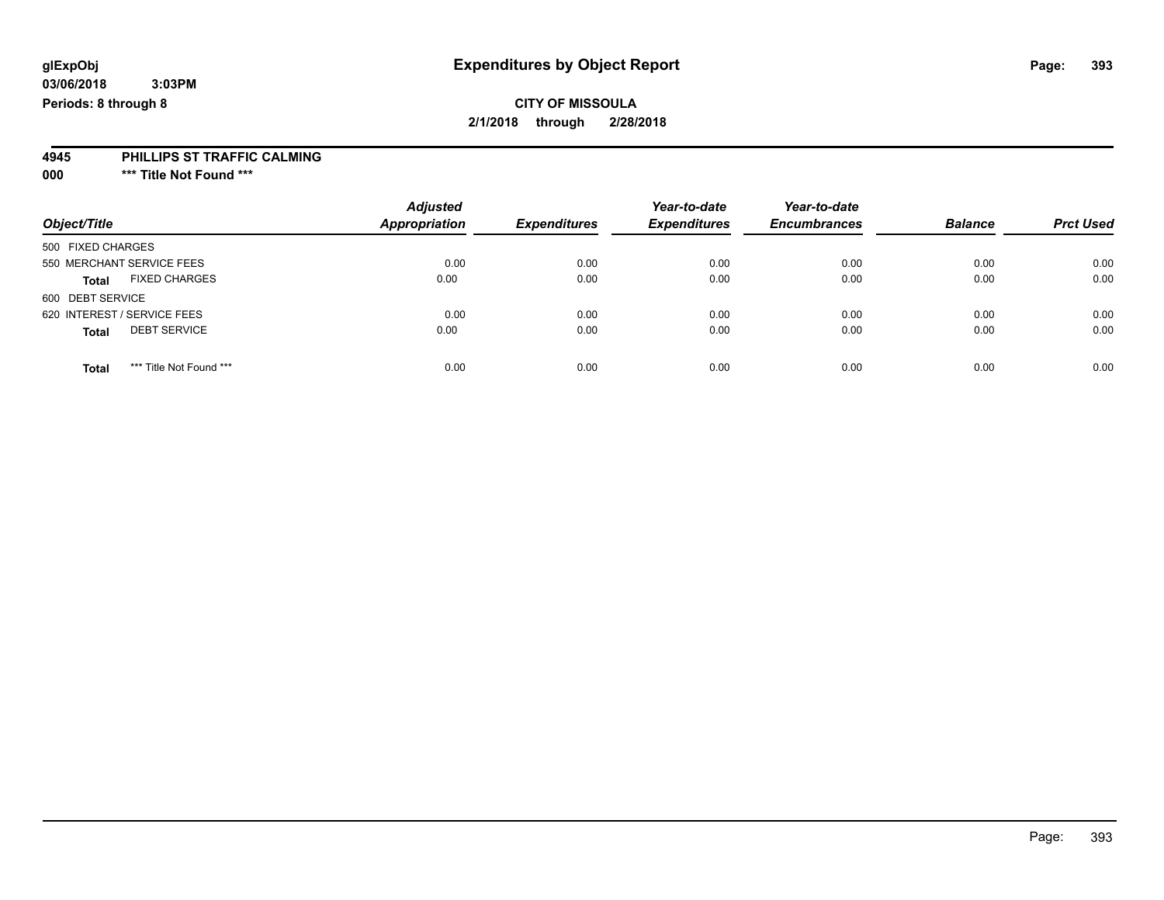### **CITY OF MISSOULA 2/1/2018 through 2/28/2018**

#### **4945 PHILLIPS ST TRAFFIC CALMING**

**000 \*\*\* Title Not Found \*\*\***

|                                         | <b>Adjusted</b>      |                     | Year-to-date        | Year-to-date        |                |                  |
|-----------------------------------------|----------------------|---------------------|---------------------|---------------------|----------------|------------------|
| Object/Title                            | <b>Appropriation</b> | <b>Expenditures</b> | <b>Expenditures</b> | <b>Encumbrances</b> | <b>Balance</b> | <b>Prct Used</b> |
| 500 FIXED CHARGES                       |                      |                     |                     |                     |                |                  |
| 550 MERCHANT SERVICE FEES               | 0.00                 | 0.00                | 0.00                | 0.00                | 0.00           | 0.00             |
| <b>FIXED CHARGES</b><br><b>Total</b>    | 0.00                 | 0.00                | 0.00                | 0.00                | 0.00           | 0.00             |
| 600 DEBT SERVICE                        |                      |                     |                     |                     |                |                  |
| 620 INTEREST / SERVICE FEES             | 0.00                 | 0.00                | 0.00                | 0.00                | 0.00           | 0.00             |
| <b>DEBT SERVICE</b><br><b>Total</b>     | 0.00                 | 0.00                | 0.00                | 0.00                | 0.00           | 0.00             |
| *** Title Not Found ***<br><b>Total</b> | 0.00                 | 0.00                | 0.00                | 0.00                | 0.00           | 0.00             |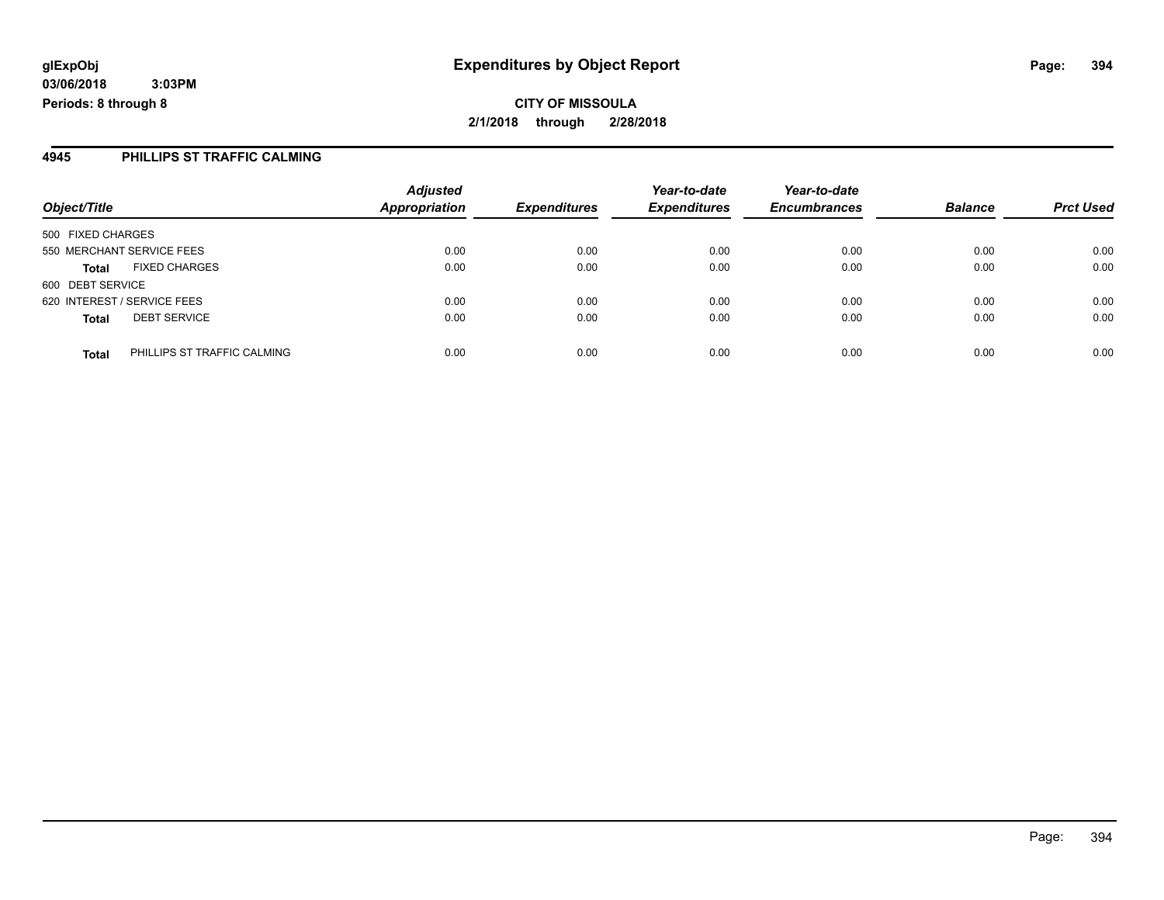**CITY OF MISSOULA 2/1/2018 through 2/28/2018**

#### **4945 PHILLIPS ST TRAFFIC CALMING**

| Object/Title                |                             | <b>Adjusted</b>      |                     | Year-to-date        | Year-to-date        | <b>Balance</b> |                  |
|-----------------------------|-----------------------------|----------------------|---------------------|---------------------|---------------------|----------------|------------------|
|                             |                             | <b>Appropriation</b> | <b>Expenditures</b> | <b>Expenditures</b> | <b>Encumbrances</b> |                | <b>Prct Used</b> |
| 500 FIXED CHARGES           |                             |                      |                     |                     |                     |                |                  |
| 550 MERCHANT SERVICE FEES   |                             | 0.00                 | 0.00                | 0.00                | 0.00                | 0.00           | 0.00             |
| <b>Total</b>                | <b>FIXED CHARGES</b>        | 0.00                 | 0.00                | 0.00                | 0.00                | 0.00           | 0.00             |
| 600 DEBT SERVICE            |                             |                      |                     |                     |                     |                |                  |
| 620 INTEREST / SERVICE FEES |                             | 0.00                 | 0.00                | 0.00                | 0.00                | 0.00           | 0.00             |
| <b>Total</b>                | <b>DEBT SERVICE</b>         | 0.00                 | 0.00                | 0.00                | 0.00                | 0.00           | 0.00             |
| <b>Total</b>                | PHILLIPS ST TRAFFIC CALMING | 0.00                 | 0.00                | 0.00                | 0.00                | 0.00           | 0.00             |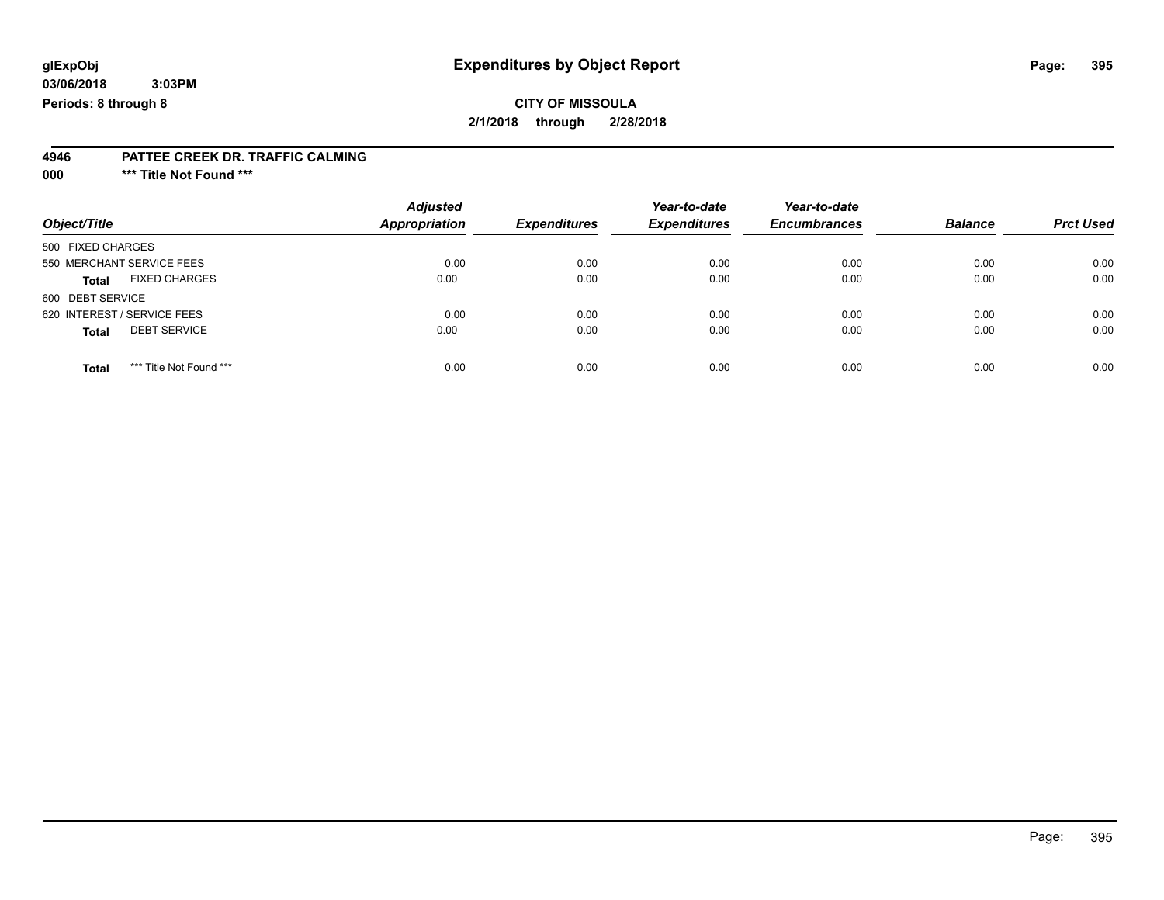### **CITY OF MISSOULA 2/1/2018 through 2/28/2018**

#### **4946 PATTEE CREEK DR. TRAFFIC CALMING**

**000 \*\*\* Title Not Found \*\*\***

| Object/Title                            | <b>Adjusted</b><br><b>Appropriation</b> | <b>Expenditures</b> | Year-to-date<br><b>Expenditures</b> | Year-to-date<br><b>Encumbrances</b> | <b>Balance</b> | <b>Prct Used</b> |
|-----------------------------------------|-----------------------------------------|---------------------|-------------------------------------|-------------------------------------|----------------|------------------|
| 500 FIXED CHARGES                       |                                         |                     |                                     |                                     |                |                  |
| 550 MERCHANT SERVICE FEES               | 0.00                                    | 0.00                | 0.00                                | 0.00                                | 0.00           | 0.00             |
| <b>FIXED CHARGES</b><br><b>Total</b>    | 0.00                                    | 0.00                | 0.00                                | 0.00                                | 0.00           | 0.00             |
| 600 DEBT SERVICE                        |                                         |                     |                                     |                                     |                |                  |
| 620 INTEREST / SERVICE FEES             | 0.00                                    | 0.00                | 0.00                                | 0.00                                | 0.00           | 0.00             |
| <b>DEBT SERVICE</b><br><b>Total</b>     | 0.00                                    | 0.00                | 0.00                                | 0.00                                | 0.00           | 0.00             |
| *** Title Not Found ***<br><b>Total</b> | 0.00                                    | 0.00                | 0.00                                | 0.00                                | 0.00           | 0.00             |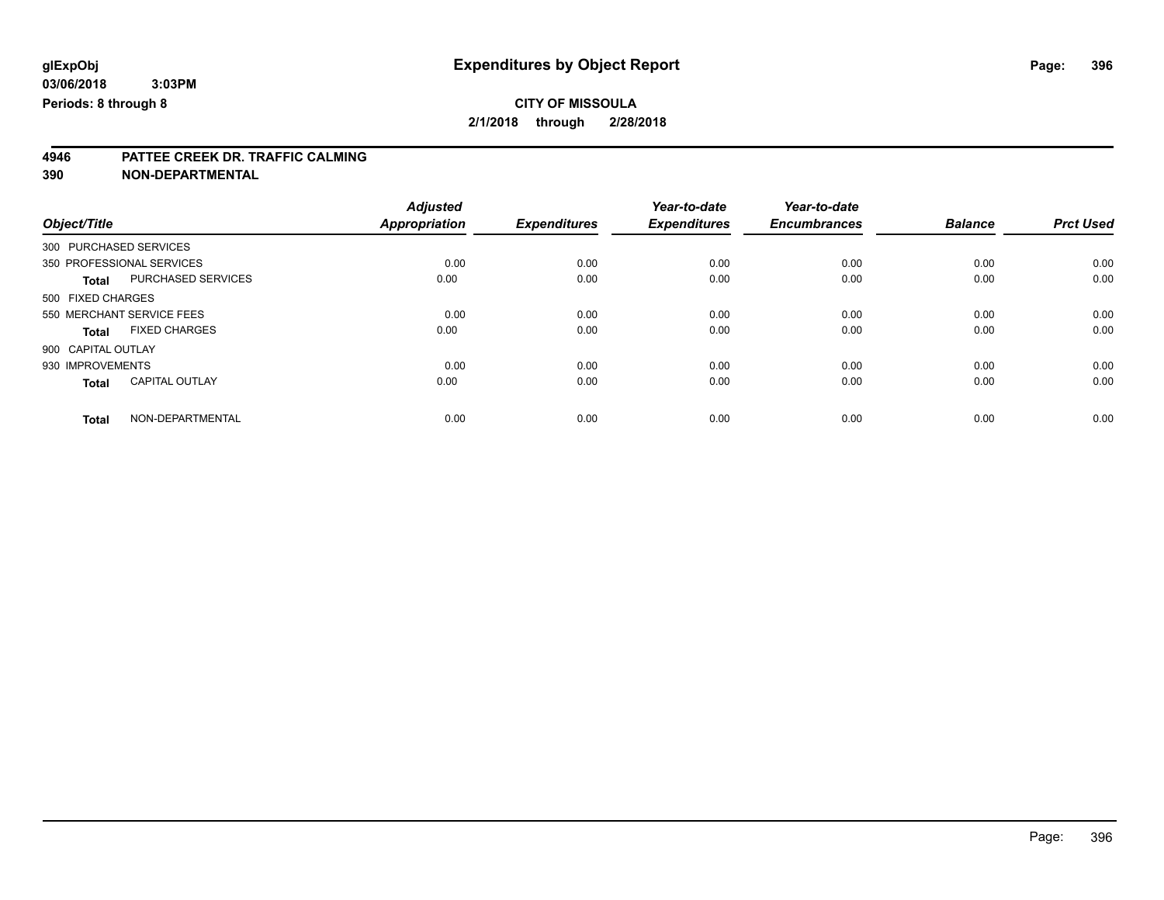# **4946 PATTEE CREEK DR. TRAFFIC CALMING**

| Object/Title                          | <b>Adjusted</b><br><b>Appropriation</b> | <b>Expenditures</b> | Year-to-date<br><b>Expenditures</b> | Year-to-date<br><b>Encumbrances</b> | <b>Balance</b> | <b>Prct Used</b> |
|---------------------------------------|-----------------------------------------|---------------------|-------------------------------------|-------------------------------------|----------------|------------------|
|                                       |                                         |                     |                                     |                                     |                |                  |
| 350 PROFESSIONAL SERVICES             | 0.00                                    | 0.00                | 0.00                                | 0.00                                | 0.00           | 0.00             |
| PURCHASED SERVICES<br><b>Total</b>    | 0.00                                    | 0.00                | 0.00                                | 0.00                                | 0.00           | 0.00             |
| 500 FIXED CHARGES                     |                                         |                     |                                     |                                     |                |                  |
| 550 MERCHANT SERVICE FEES             | 0.00                                    | 0.00                | 0.00                                | 0.00                                | 0.00           | 0.00             |
| <b>FIXED CHARGES</b><br><b>Total</b>  | 0.00                                    | 0.00                | 0.00                                | 0.00                                | 0.00           | 0.00             |
| 900 CAPITAL OUTLAY                    |                                         |                     |                                     |                                     |                |                  |
| 930 IMPROVEMENTS                      | 0.00                                    | 0.00                | 0.00                                | 0.00                                | 0.00           | 0.00             |
| <b>CAPITAL OUTLAY</b><br><b>Total</b> | 0.00                                    | 0.00                | 0.00                                | 0.00                                | 0.00           | 0.00             |
|                                       |                                         |                     |                                     |                                     |                |                  |
| NON-DEPARTMENTAL<br><b>Total</b>      | 0.00                                    | 0.00                | 0.00                                | 0.00                                | 0.00           | 0.00             |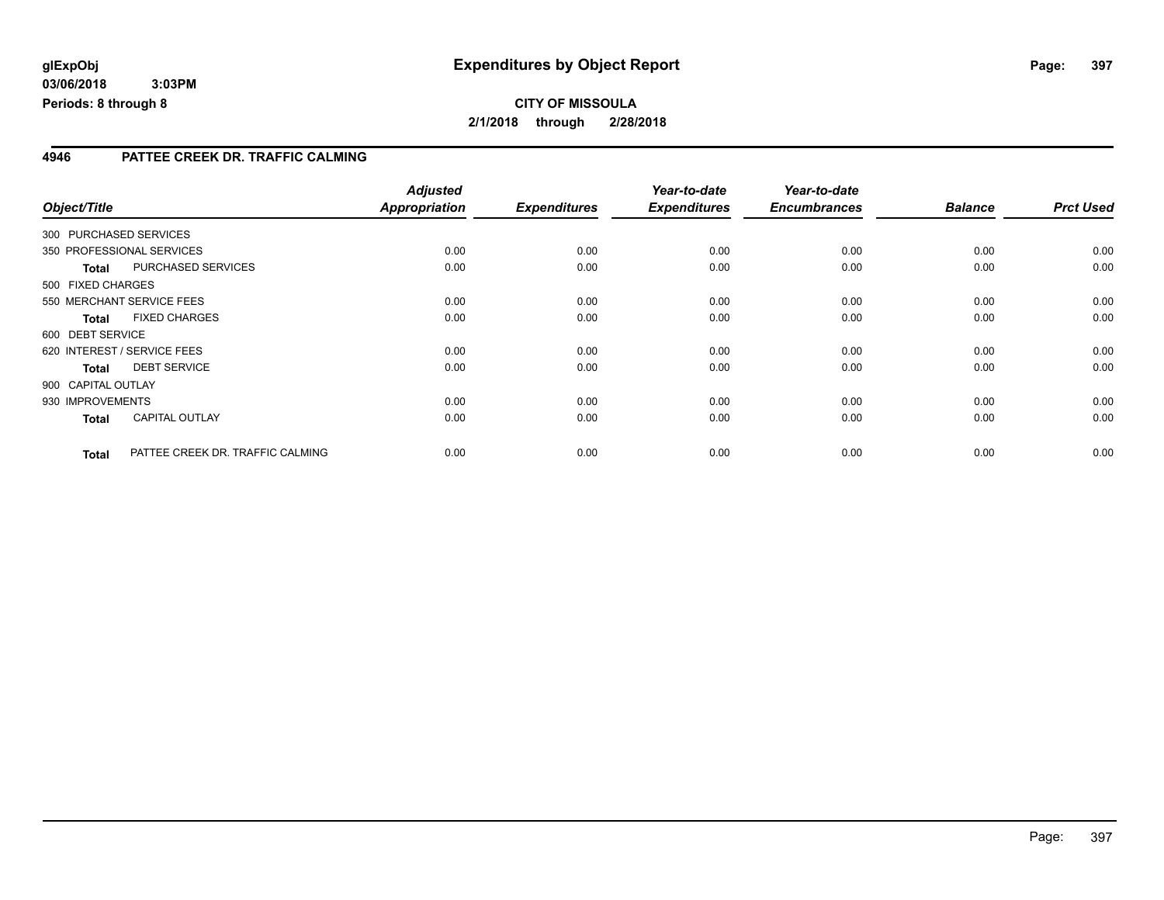**03/06/2018 3:03PM Periods: 8 through 8**

#### **4946 PATTEE CREEK DR. TRAFFIC CALMING**

|                    |                                  | <b>Adjusted</b>      |                     | Year-to-date        | Year-to-date        |                |                  |
|--------------------|----------------------------------|----------------------|---------------------|---------------------|---------------------|----------------|------------------|
| Object/Title       |                                  | <b>Appropriation</b> | <b>Expenditures</b> | <b>Expenditures</b> | <b>Encumbrances</b> | <b>Balance</b> | <b>Prct Used</b> |
|                    | 300 PURCHASED SERVICES           |                      |                     |                     |                     |                |                  |
|                    | 350 PROFESSIONAL SERVICES        | 0.00                 | 0.00                | 0.00                | 0.00                | 0.00           | 0.00             |
| <b>Total</b>       | PURCHASED SERVICES               | 0.00                 | 0.00                | 0.00                | 0.00                | 0.00           | 0.00             |
| 500 FIXED CHARGES  |                                  |                      |                     |                     |                     |                |                  |
|                    | 550 MERCHANT SERVICE FEES        | 0.00                 | 0.00                | 0.00                | 0.00                | 0.00           | 0.00             |
| <b>Total</b>       | <b>FIXED CHARGES</b>             | 0.00                 | 0.00                | 0.00                | 0.00                | 0.00           | 0.00             |
| 600 DEBT SERVICE   |                                  |                      |                     |                     |                     |                |                  |
|                    | 620 INTEREST / SERVICE FEES      | 0.00                 | 0.00                | 0.00                | 0.00                | 0.00           | 0.00             |
| <b>Total</b>       | <b>DEBT SERVICE</b>              | 0.00                 | 0.00                | 0.00                | 0.00                | 0.00           | 0.00             |
| 900 CAPITAL OUTLAY |                                  |                      |                     |                     |                     |                |                  |
| 930 IMPROVEMENTS   |                                  | 0.00                 | 0.00                | 0.00                | 0.00                | 0.00           | 0.00             |
| <b>Total</b>       | <b>CAPITAL OUTLAY</b>            | 0.00                 | 0.00                | 0.00                | 0.00                | 0.00           | 0.00             |
| <b>Total</b>       | PATTEE CREEK DR. TRAFFIC CALMING | 0.00                 | 0.00                | 0.00                | 0.00                | 0.00           | 0.00             |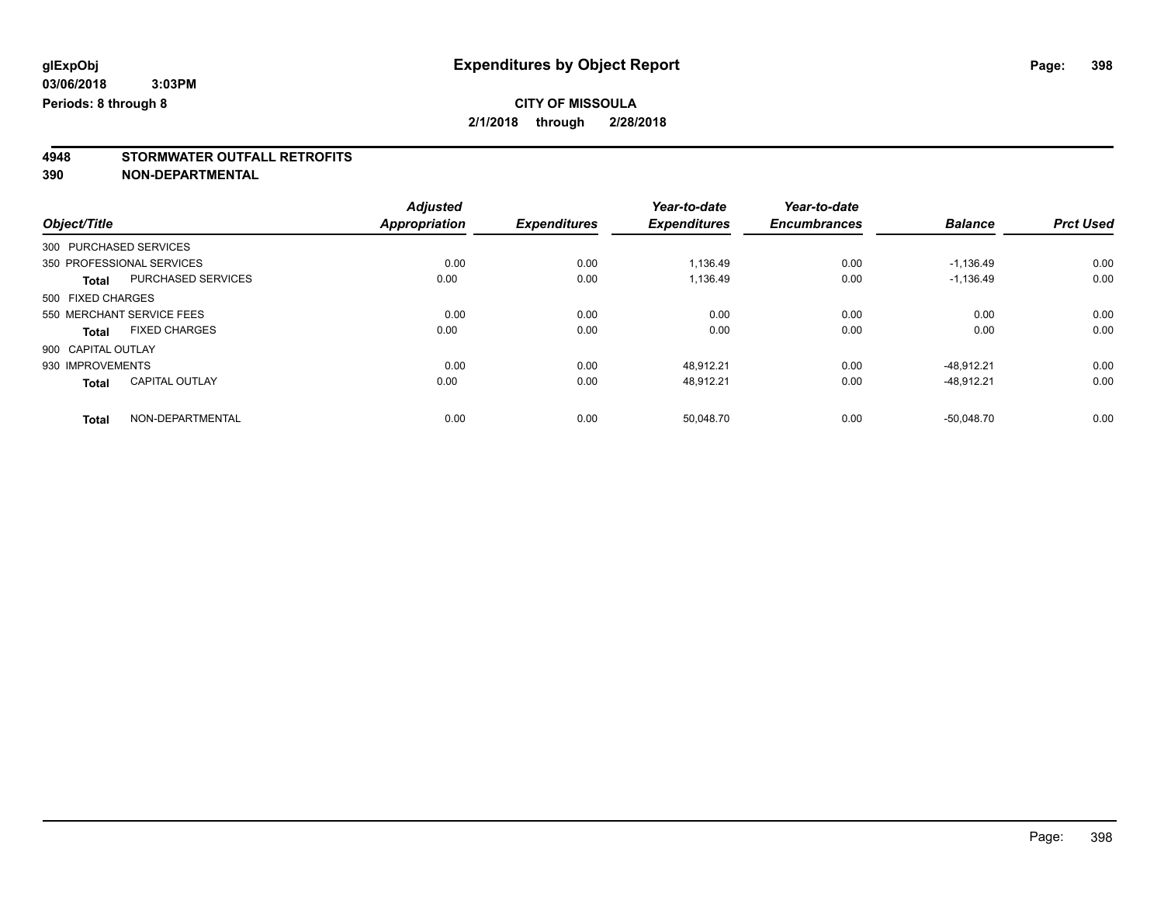# **4948 STORMWATER OUTFALL RETROFITS**

**390 NON-DEPARTMENTAL**

|                                       | <b>Adjusted</b>      |                     | Year-to-date        | Year-to-date        |                |                  |
|---------------------------------------|----------------------|---------------------|---------------------|---------------------|----------------|------------------|
| Object/Title                          | <b>Appropriation</b> | <b>Expenditures</b> | <b>Expenditures</b> | <b>Encumbrances</b> | <b>Balance</b> | <b>Prct Used</b> |
| 300 PURCHASED SERVICES                |                      |                     |                     |                     |                |                  |
| 350 PROFESSIONAL SERVICES             | 0.00                 | 0.00                | 1,136.49            | 0.00                | $-1,136.49$    | 0.00             |
| PURCHASED SERVICES<br><b>Total</b>    | 0.00                 | 0.00                | 1.136.49            | 0.00                | $-1.136.49$    | 0.00             |
| 500 FIXED CHARGES                     |                      |                     |                     |                     |                |                  |
| 550 MERCHANT SERVICE FEES             | 0.00                 | 0.00                | 0.00                | 0.00                | 0.00           | 0.00             |
| <b>FIXED CHARGES</b><br>Total         | 0.00                 | 0.00                | 0.00                | 0.00                | 0.00           | 0.00             |
| 900 CAPITAL OUTLAY                    |                      |                     |                     |                     |                |                  |
| 930 IMPROVEMENTS                      | 0.00                 | 0.00                | 48.912.21           | 0.00                | $-48.912.21$   | 0.00             |
| <b>CAPITAL OUTLAY</b><br><b>Total</b> | 0.00                 | 0.00                | 48,912.21           | 0.00                | $-48,912.21$   | 0.00             |
| NON-DEPARTMENTAL<br><b>Total</b>      | 0.00                 | 0.00                | 50.048.70           | 0.00                | $-50.048.70$   | 0.00             |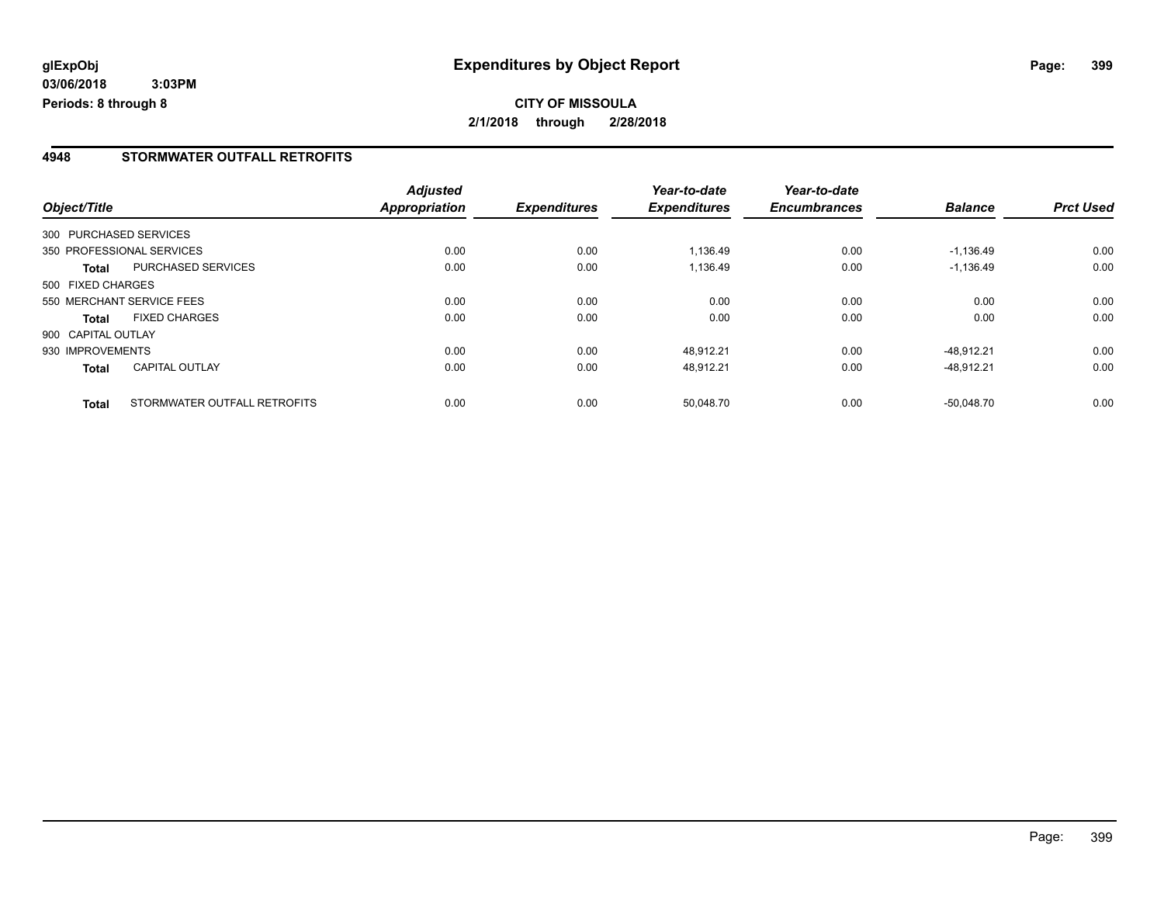**03/06/2018 3:03PM Periods: 8 through 8**

#### **4948 STORMWATER OUTFALL RETROFITS**

|                    |                              | <b>Adjusted</b> |                     | Year-to-date        | Year-to-date        |                |                  |
|--------------------|------------------------------|-----------------|---------------------|---------------------|---------------------|----------------|------------------|
| Object/Title       |                              | Appropriation   | <b>Expenditures</b> | <b>Expenditures</b> | <b>Encumbrances</b> | <b>Balance</b> | <b>Prct Used</b> |
|                    | 300 PURCHASED SERVICES       |                 |                     |                     |                     |                |                  |
|                    | 350 PROFESSIONAL SERVICES    | 0.00            | 0.00                | 1,136.49            | 0.00                | $-1,136.49$    | 0.00             |
| Total              | <b>PURCHASED SERVICES</b>    | 0.00            | 0.00                | 1,136.49            | 0.00                | $-1,136.49$    | 0.00             |
| 500 FIXED CHARGES  |                              |                 |                     |                     |                     |                |                  |
|                    | 550 MERCHANT SERVICE FEES    | 0.00            | 0.00                | 0.00                | 0.00                | 0.00           | 0.00             |
| <b>Total</b>       | <b>FIXED CHARGES</b>         | 0.00            | 0.00                | 0.00                | 0.00                | 0.00           | 0.00             |
| 900 CAPITAL OUTLAY |                              |                 |                     |                     |                     |                |                  |
| 930 IMPROVEMENTS   |                              | 0.00            | 0.00                | 48,912.21           | 0.00                | $-48.912.21$   | 0.00             |
| <b>Total</b>       | <b>CAPITAL OUTLAY</b>        | 0.00            | 0.00                | 48.912.21           | 0.00                | $-48.912.21$   | 0.00             |
| <b>Total</b>       | STORMWATER OUTFALL RETROFITS | 0.00            | 0.00                | 50,048.70           | 0.00                | $-50.048.70$   | 0.00             |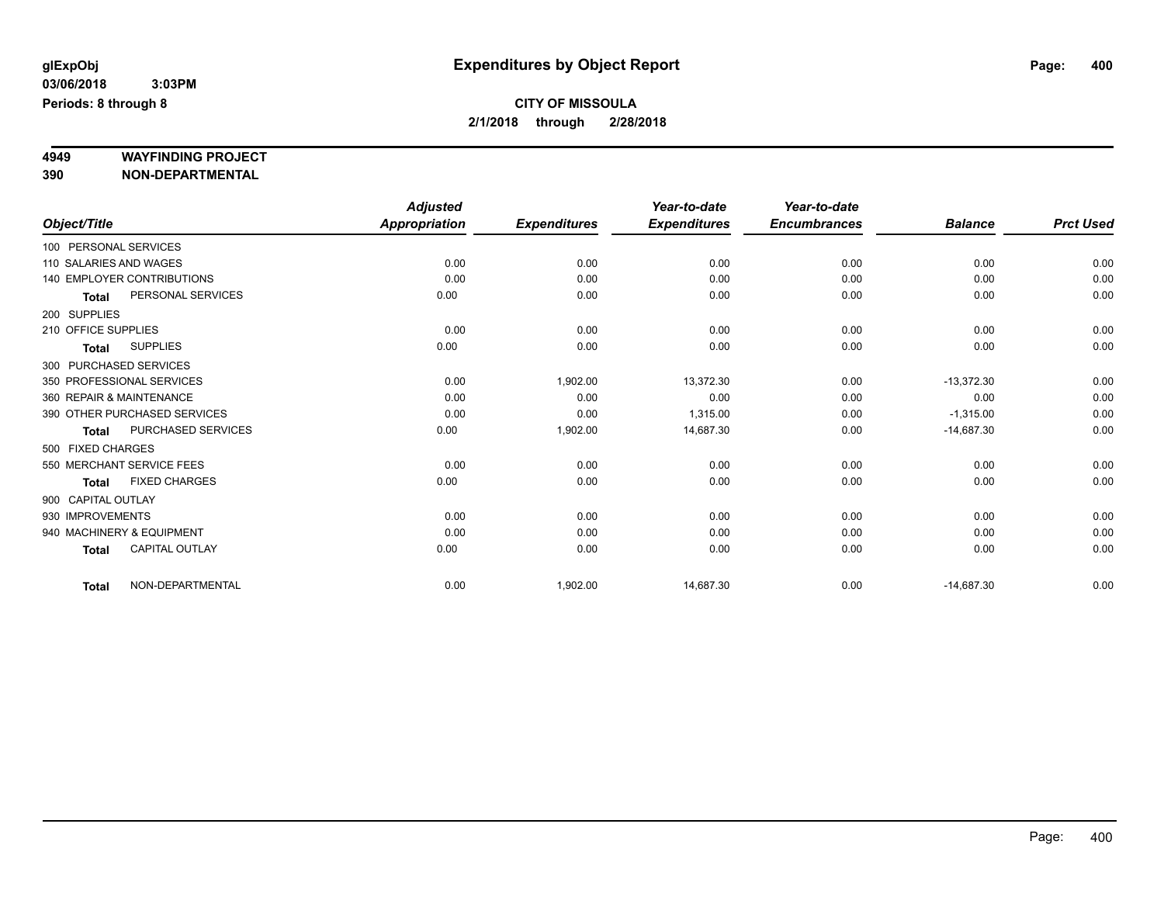# **4949 WAYFINDING PROJECT**

**390 NON-DEPARTMENTAL**

|                     |                                   | <b>Adjusted</b>      |                     | Year-to-date        | Year-to-date        |                |                  |
|---------------------|-----------------------------------|----------------------|---------------------|---------------------|---------------------|----------------|------------------|
| Object/Title        |                                   | <b>Appropriation</b> | <b>Expenditures</b> | <b>Expenditures</b> | <b>Encumbrances</b> | <b>Balance</b> | <b>Prct Used</b> |
|                     | 100 PERSONAL SERVICES             |                      |                     |                     |                     |                |                  |
|                     | 110 SALARIES AND WAGES            | 0.00                 | 0.00                | 0.00                | 0.00                | 0.00           | 0.00             |
|                     | <b>140 EMPLOYER CONTRIBUTIONS</b> | 0.00                 | 0.00                | 0.00                | 0.00                | 0.00           | 0.00             |
| <b>Total</b>        | PERSONAL SERVICES                 | 0.00                 | 0.00                | 0.00                | 0.00                | 0.00           | 0.00             |
| 200 SUPPLIES        |                                   |                      |                     |                     |                     |                |                  |
| 210 OFFICE SUPPLIES |                                   | 0.00                 | 0.00                | 0.00                | 0.00                | 0.00           | 0.00             |
| <b>Total</b>        | <b>SUPPLIES</b>                   | 0.00                 | 0.00                | 0.00                | 0.00                | 0.00           | 0.00             |
|                     | 300 PURCHASED SERVICES            |                      |                     |                     |                     |                |                  |
|                     | 350 PROFESSIONAL SERVICES         | 0.00                 | 1,902.00            | 13,372.30           | 0.00                | $-13,372.30$   | 0.00             |
|                     | 360 REPAIR & MAINTENANCE          | 0.00                 | 0.00                | 0.00                | 0.00                | 0.00           | 0.00             |
|                     | 390 OTHER PURCHASED SERVICES      | 0.00                 | 0.00                | 1,315.00            | 0.00                | $-1,315.00$    | 0.00             |
| <b>Total</b>        | PURCHASED SERVICES                | 0.00                 | 1,902.00            | 14,687.30           | 0.00                | $-14,687.30$   | 0.00             |
| 500 FIXED CHARGES   |                                   |                      |                     |                     |                     |                |                  |
|                     | 550 MERCHANT SERVICE FEES         | 0.00                 | 0.00                | 0.00                | 0.00                | 0.00           | 0.00             |
| <b>Total</b>        | <b>FIXED CHARGES</b>              | 0.00                 | 0.00                | 0.00                | 0.00                | 0.00           | 0.00             |
| 900 CAPITAL OUTLAY  |                                   |                      |                     |                     |                     |                |                  |
| 930 IMPROVEMENTS    |                                   | 0.00                 | 0.00                | 0.00                | 0.00                | 0.00           | 0.00             |
|                     | 940 MACHINERY & EQUIPMENT         | 0.00                 | 0.00                | 0.00                | 0.00                | 0.00           | 0.00             |
| <b>Total</b>        | <b>CAPITAL OUTLAY</b>             | 0.00                 | 0.00                | 0.00                | 0.00                | 0.00           | 0.00             |
| <b>Total</b>        | NON-DEPARTMENTAL                  | 0.00                 | 1,902.00            | 14,687.30           | 0.00                | $-14,687.30$   | 0.00             |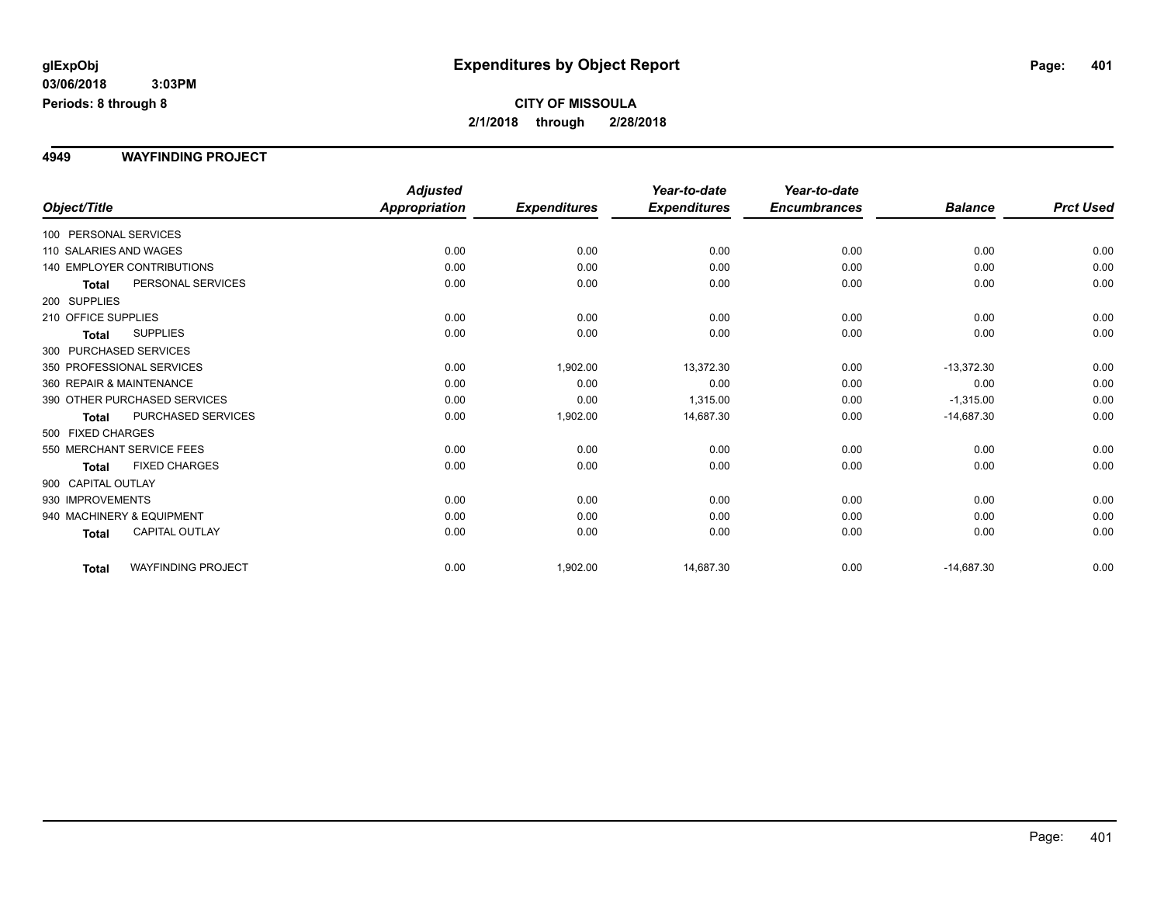#### **4949 WAYFINDING PROJECT**

|                           |                                   | <b>Adjusted</b> |                     | Year-to-date        | Year-to-date        |                |                  |
|---------------------------|-----------------------------------|-----------------|---------------------|---------------------|---------------------|----------------|------------------|
| Object/Title              |                                   | Appropriation   | <b>Expenditures</b> | <b>Expenditures</b> | <b>Encumbrances</b> | <b>Balance</b> | <b>Prct Used</b> |
| 100 PERSONAL SERVICES     |                                   |                 |                     |                     |                     |                |                  |
| 110 SALARIES AND WAGES    |                                   | 0.00            | 0.00                | 0.00                | 0.00                | 0.00           | 0.00             |
|                           | <b>140 EMPLOYER CONTRIBUTIONS</b> | 0.00            | 0.00                | 0.00                | 0.00                | 0.00           | 0.00             |
| <b>Total</b>              | PERSONAL SERVICES                 | 0.00            | 0.00                | 0.00                | 0.00                | 0.00           | 0.00             |
| 200 SUPPLIES              |                                   |                 |                     |                     |                     |                |                  |
| 210 OFFICE SUPPLIES       |                                   | 0.00            | 0.00                | 0.00                | 0.00                | 0.00           | 0.00             |
| <b>Total</b>              | <b>SUPPLIES</b>                   | 0.00            | 0.00                | 0.00                | 0.00                | 0.00           | 0.00             |
| 300 PURCHASED SERVICES    |                                   |                 |                     |                     |                     |                |                  |
| 350 PROFESSIONAL SERVICES |                                   | 0.00            | 1,902.00            | 13,372.30           | 0.00                | $-13,372.30$   | 0.00             |
| 360 REPAIR & MAINTENANCE  |                                   | 0.00            | 0.00                | 0.00                | 0.00                | 0.00           | 0.00             |
|                           | 390 OTHER PURCHASED SERVICES      | 0.00            | 0.00                | 1,315.00            | 0.00                | $-1,315.00$    | 0.00             |
| <b>Total</b>              | PURCHASED SERVICES                | 0.00            | 1,902.00            | 14,687.30           | 0.00                | $-14,687.30$   | 0.00             |
| 500 FIXED CHARGES         |                                   |                 |                     |                     |                     |                |                  |
|                           | 550 MERCHANT SERVICE FEES         | 0.00            | 0.00                | 0.00                | 0.00                | 0.00           | 0.00             |
| <b>Total</b>              | <b>FIXED CHARGES</b>              | 0.00            | 0.00                | 0.00                | 0.00                | 0.00           | 0.00             |
| 900 CAPITAL OUTLAY        |                                   |                 |                     |                     |                     |                |                  |
| 930 IMPROVEMENTS          |                                   | 0.00            | 0.00                | 0.00                | 0.00                | 0.00           | 0.00             |
|                           | 940 MACHINERY & EQUIPMENT         | 0.00            | 0.00                | 0.00                | 0.00                | 0.00           | 0.00             |
| <b>Total</b>              | CAPITAL OUTLAY                    | 0.00            | 0.00                | 0.00                | 0.00                | 0.00           | 0.00             |
| <b>Total</b>              | <b>WAYFINDING PROJECT</b>         | 0.00            | 1,902.00            | 14,687.30           | 0.00                | $-14,687.30$   | 0.00             |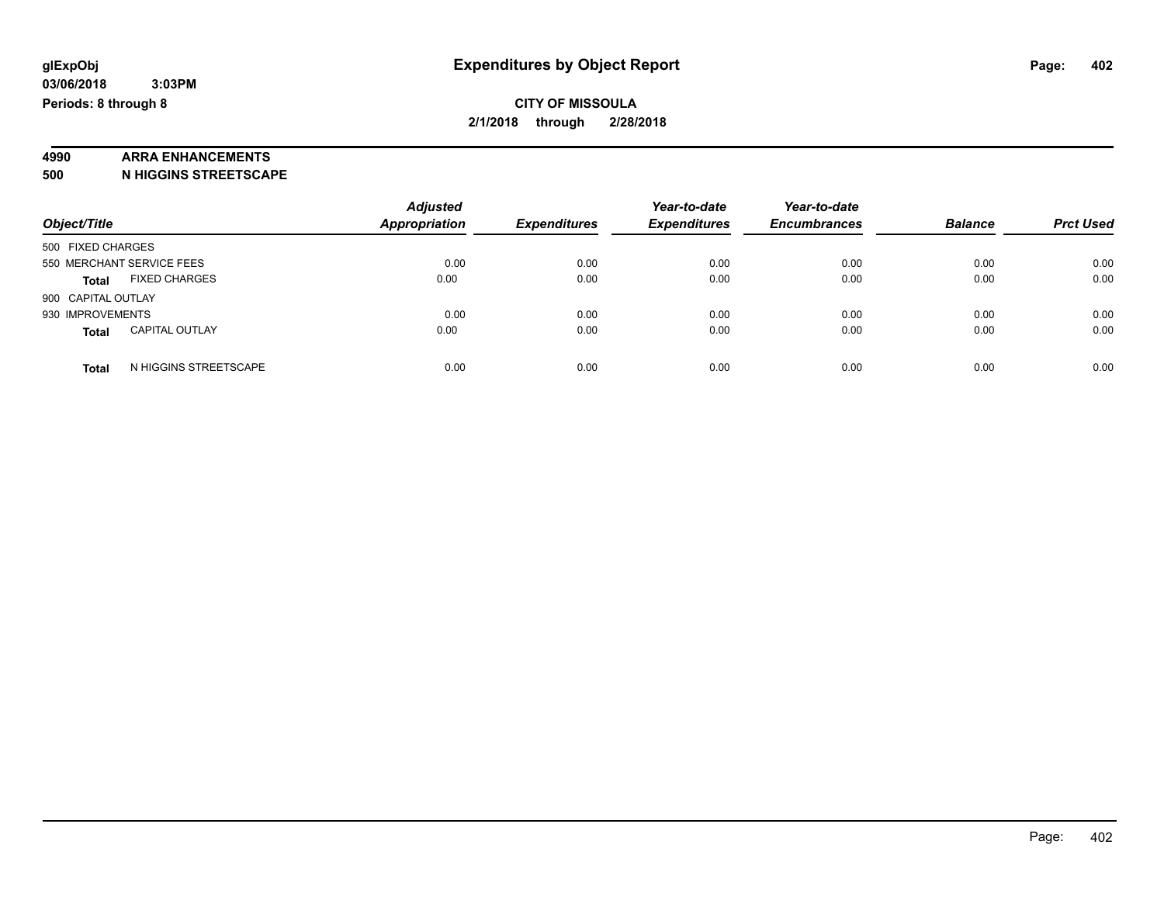# **4990 ARRA ENHANCEMENTS**

**500 N HIGGINS STREETSCAPE**

| Object/Title                          | <b>Adjusted</b><br><b>Appropriation</b> | <b>Expenditures</b> | Year-to-date<br><b>Expenditures</b> | Year-to-date<br><b>Encumbrances</b> | <b>Balance</b> | <b>Prct Used</b> |
|---------------------------------------|-----------------------------------------|---------------------|-------------------------------------|-------------------------------------|----------------|------------------|
| 500 FIXED CHARGES                     |                                         |                     |                                     |                                     |                |                  |
| 550 MERCHANT SERVICE FEES             | 0.00                                    | 0.00                | 0.00                                | 0.00                                | 0.00           | 0.00             |
| <b>FIXED CHARGES</b><br><b>Total</b>  | 0.00                                    | 0.00                | 0.00                                | 0.00                                | 0.00           | 0.00             |
| 900 CAPITAL OUTLAY                    |                                         |                     |                                     |                                     |                |                  |
| 930 IMPROVEMENTS                      | 0.00                                    | 0.00                | 0.00                                | 0.00                                | 0.00           | 0.00             |
| <b>CAPITAL OUTLAY</b><br><b>Total</b> | 0.00                                    | 0.00                | 0.00                                | 0.00                                | 0.00           | 0.00             |
| N HIGGINS STREETSCAPE<br><b>Total</b> | 0.00                                    | 0.00                | 0.00                                | 0.00                                | 0.00           | 0.00             |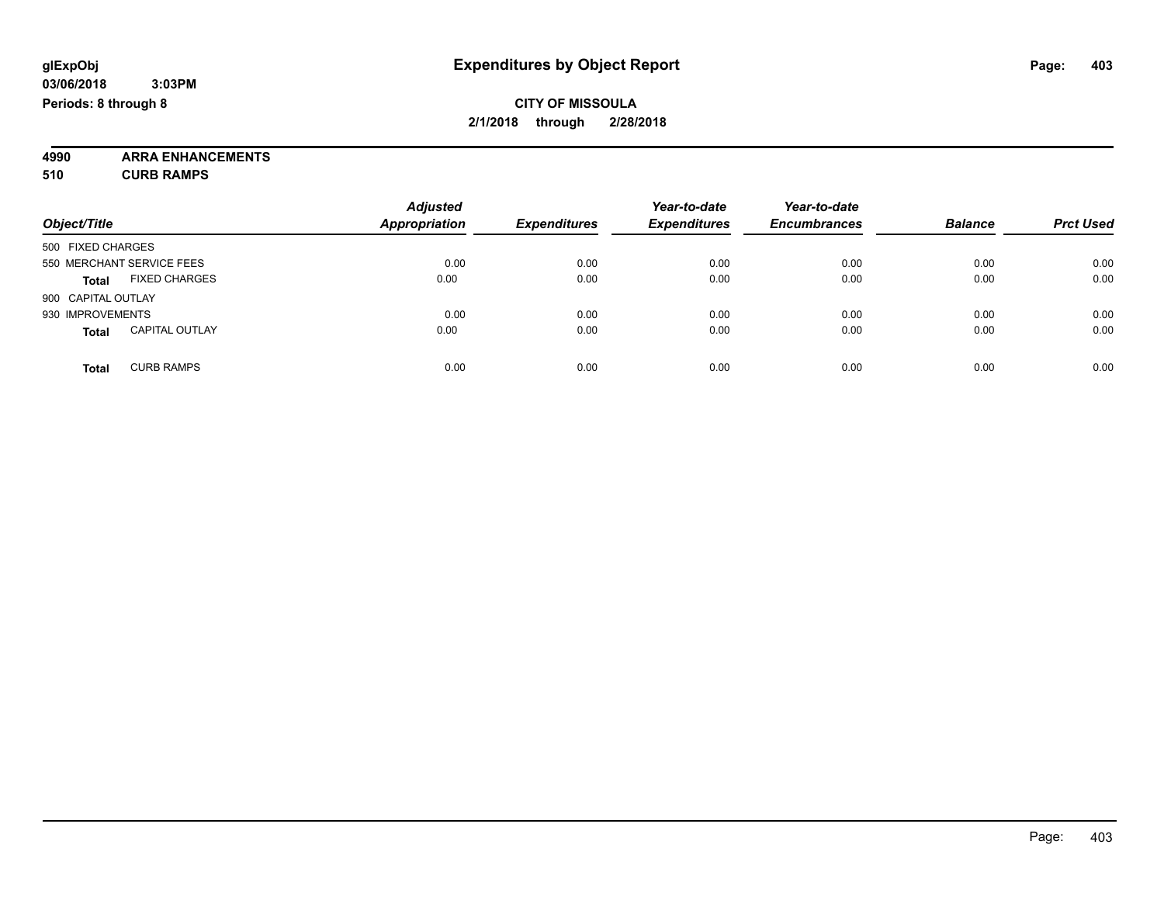**4990 ARRA ENHANCEMENTS 510 CURB RAMPS**

| Object/Title                          | <b>Adjusted</b><br><b>Appropriation</b> | <b>Expenditures</b> | Year-to-date<br><b>Expenditures</b> | Year-to-date<br><b>Encumbrances</b> | <b>Balance</b> | <b>Prct Used</b> |
|---------------------------------------|-----------------------------------------|---------------------|-------------------------------------|-------------------------------------|----------------|------------------|
| 500 FIXED CHARGES                     |                                         |                     |                                     |                                     |                |                  |
| 550 MERCHANT SERVICE FEES             | 0.00                                    | 0.00                | 0.00                                | 0.00                                | 0.00           | 0.00             |
| <b>FIXED CHARGES</b><br><b>Total</b>  | 0.00                                    | 0.00                | 0.00                                | 0.00                                | 0.00           | 0.00             |
| 900 CAPITAL OUTLAY                    |                                         |                     |                                     |                                     |                |                  |
| 930 IMPROVEMENTS                      | 0.00                                    | 0.00                | 0.00                                | 0.00                                | 0.00           | 0.00             |
| <b>CAPITAL OUTLAY</b><br><b>Total</b> | 0.00                                    | 0.00                | 0.00                                | 0.00                                | 0.00           | 0.00             |
| <b>CURB RAMPS</b><br><b>Total</b>     | 0.00                                    | 0.00                | 0.00                                | 0.00                                | 0.00           | 0.00             |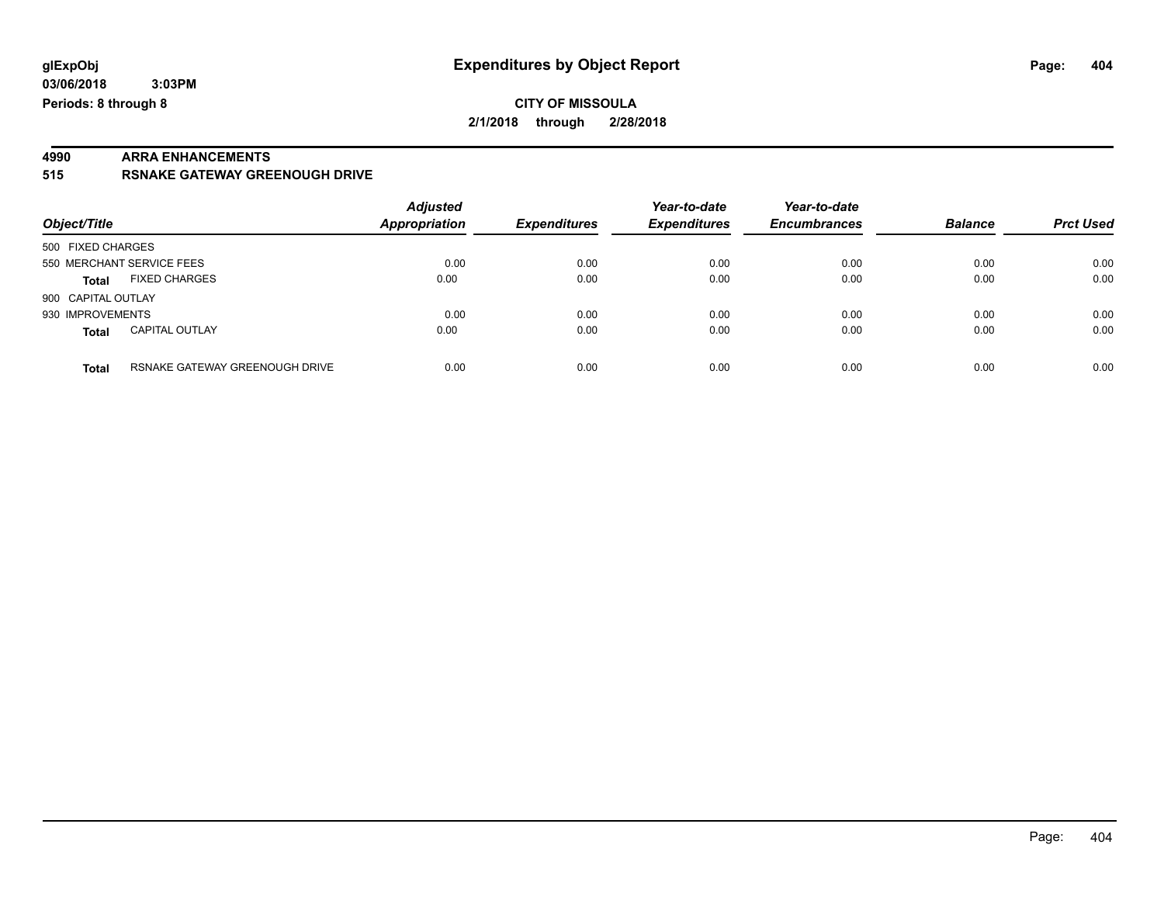**03/06/2018 3:03PM Periods: 8 through 8**

### **CITY OF MISSOULA 2/1/2018 through 2/28/2018**

# **4990 ARRA ENHANCEMENTS**

#### **515 RSNAKE GATEWAY GREENOUGH DRIVE**

| Object/Title              |                                | <b>Adjusted</b><br><b>Appropriation</b><br><b>Expenditures</b> |      | Year-to-date<br><b>Expenditures</b> | Year-to-date<br><b>Encumbrances</b> | <b>Balance</b> | <b>Prct Used</b> |
|---------------------------|--------------------------------|----------------------------------------------------------------|------|-------------------------------------|-------------------------------------|----------------|------------------|
| 500 FIXED CHARGES         |                                |                                                                |      |                                     |                                     |                |                  |
| 550 MERCHANT SERVICE FEES |                                | 0.00                                                           | 0.00 | 0.00                                | 0.00                                | 0.00           | 0.00             |
| <b>Total</b>              | <b>FIXED CHARGES</b>           | 0.00                                                           | 0.00 | 0.00                                | 0.00                                | 0.00           | 0.00             |
| 900 CAPITAL OUTLAY        |                                |                                                                |      |                                     |                                     |                |                  |
| 930 IMPROVEMENTS          |                                | 0.00                                                           | 0.00 | 0.00                                | 0.00                                | 0.00           | 0.00             |
| Total                     | <b>CAPITAL OUTLAY</b>          | 0.00                                                           | 0.00 | 0.00                                | 0.00                                | 0.00           | 0.00             |
| <b>Total</b>              | RSNAKE GATEWAY GREENOUGH DRIVE | 0.00                                                           | 0.00 | 0.00                                | 0.00                                | 0.00           | 0.00             |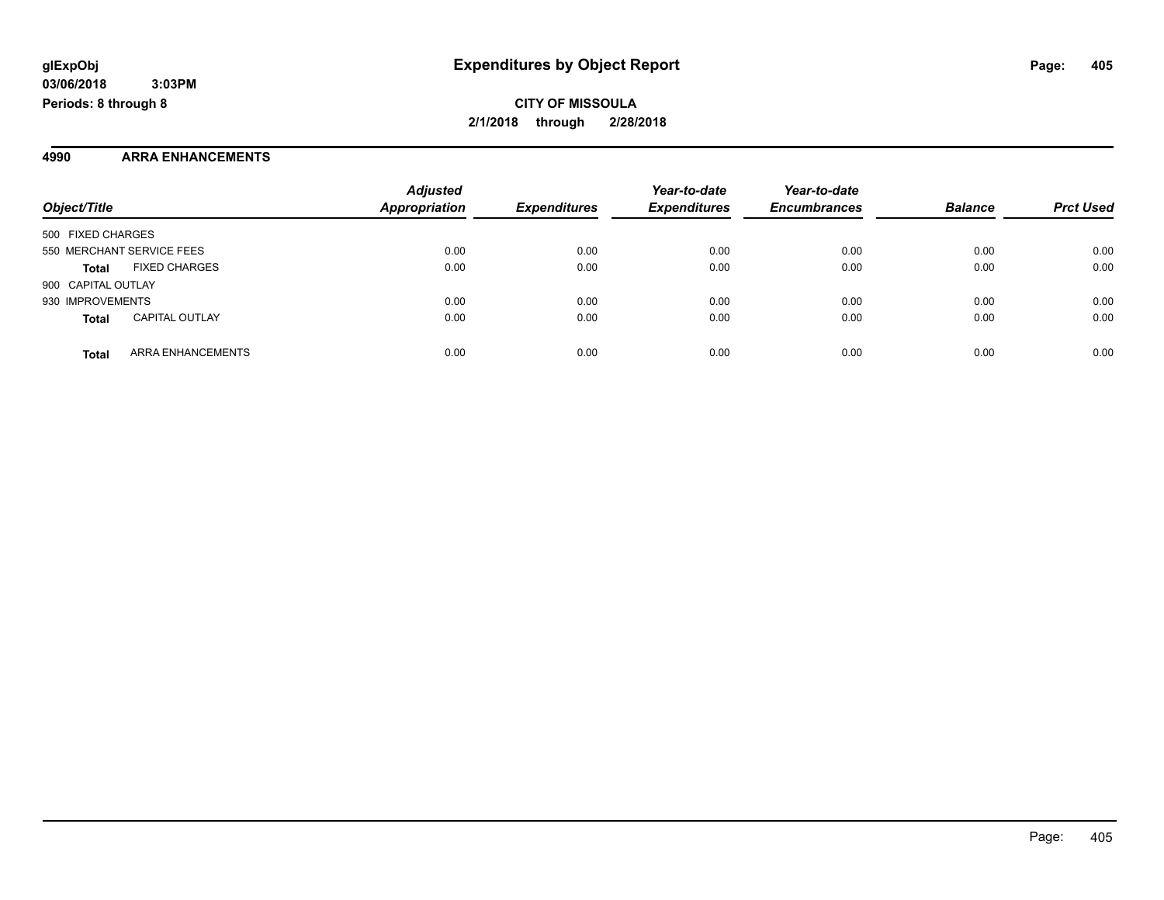#### **4990 ARRA ENHANCEMENTS**

| Object/Title              |                          | <b>Adjusted</b><br><b>Appropriation</b> | <b>Expenditures</b> | Year-to-date<br><b>Expenditures</b> | Year-to-date<br><b>Encumbrances</b> | <b>Balance</b> | <b>Prct Used</b> |
|---------------------------|--------------------------|-----------------------------------------|---------------------|-------------------------------------|-------------------------------------|----------------|------------------|
| 500 FIXED CHARGES         |                          |                                         |                     |                                     |                                     |                |                  |
| 550 MERCHANT SERVICE FEES |                          | 0.00                                    | 0.00                | 0.00                                | 0.00                                | 0.00           | 0.00             |
| <b>Total</b>              | <b>FIXED CHARGES</b>     | 0.00                                    | 0.00                | 0.00                                | 0.00                                | 0.00           | 0.00             |
| 900 CAPITAL OUTLAY        |                          |                                         |                     |                                     |                                     |                |                  |
| 930 IMPROVEMENTS          |                          | 0.00                                    | 0.00                | 0.00                                | 0.00                                | 0.00           | 0.00             |
| <b>Total</b>              | <b>CAPITAL OUTLAY</b>    | 0.00                                    | 0.00                | 0.00                                | 0.00                                | 0.00           | 0.00             |
| <b>Total</b>              | <b>ARRA ENHANCEMENTS</b> | 0.00                                    | 0.00                | 0.00                                | 0.00                                | 0.00           | 0.00             |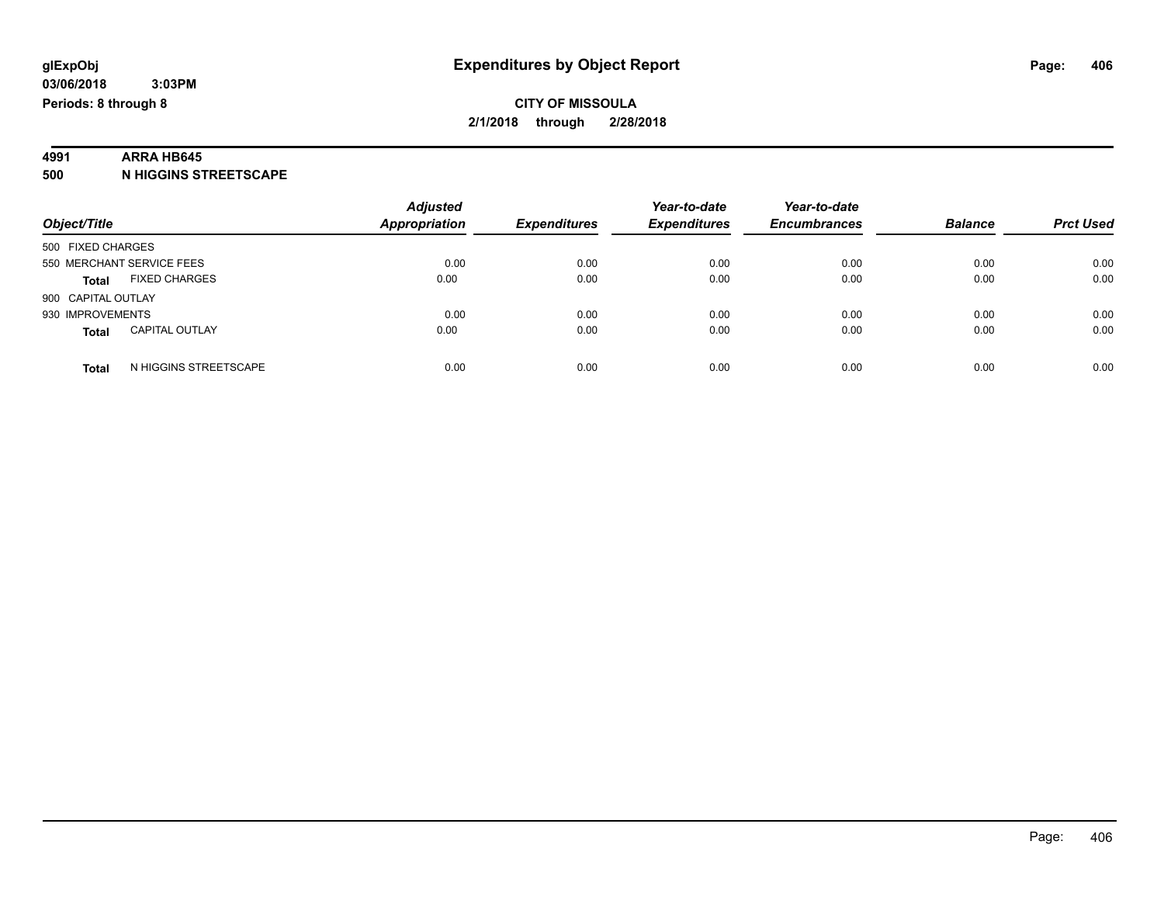# **4991 ARRA HB645**

**500 N HIGGINS STREETSCAPE**

| Object/Title                          | <b>Adjusted</b><br><b>Appropriation</b><br><b>Expenditures</b> | Year-to-date<br><b>Expenditures</b> | Year-to-date<br><b>Encumbrances</b> | <b>Balance</b> | <b>Prct Used</b> |      |
|---------------------------------------|----------------------------------------------------------------|-------------------------------------|-------------------------------------|----------------|------------------|------|
| 500 FIXED CHARGES                     |                                                                |                                     |                                     |                |                  |      |
| 550 MERCHANT SERVICE FEES             | 0.00                                                           | 0.00                                | 0.00                                | 0.00           | 0.00             | 0.00 |
| <b>FIXED CHARGES</b><br><b>Total</b>  | 0.00                                                           | 0.00                                | 0.00                                | 0.00           | 0.00             | 0.00 |
| 900 CAPITAL OUTLAY                    |                                                                |                                     |                                     |                |                  |      |
| 930 IMPROVEMENTS                      | 0.00                                                           | 0.00                                | 0.00                                | 0.00           | 0.00             | 0.00 |
| <b>CAPITAL OUTLAY</b><br><b>Total</b> | 0.00                                                           | 0.00                                | 0.00                                | 0.00           | 0.00             | 0.00 |
| N HIGGINS STREETSCAPE<br>Total        | 0.00                                                           | 0.00                                | 0.00                                | 0.00           | 0.00             | 0.00 |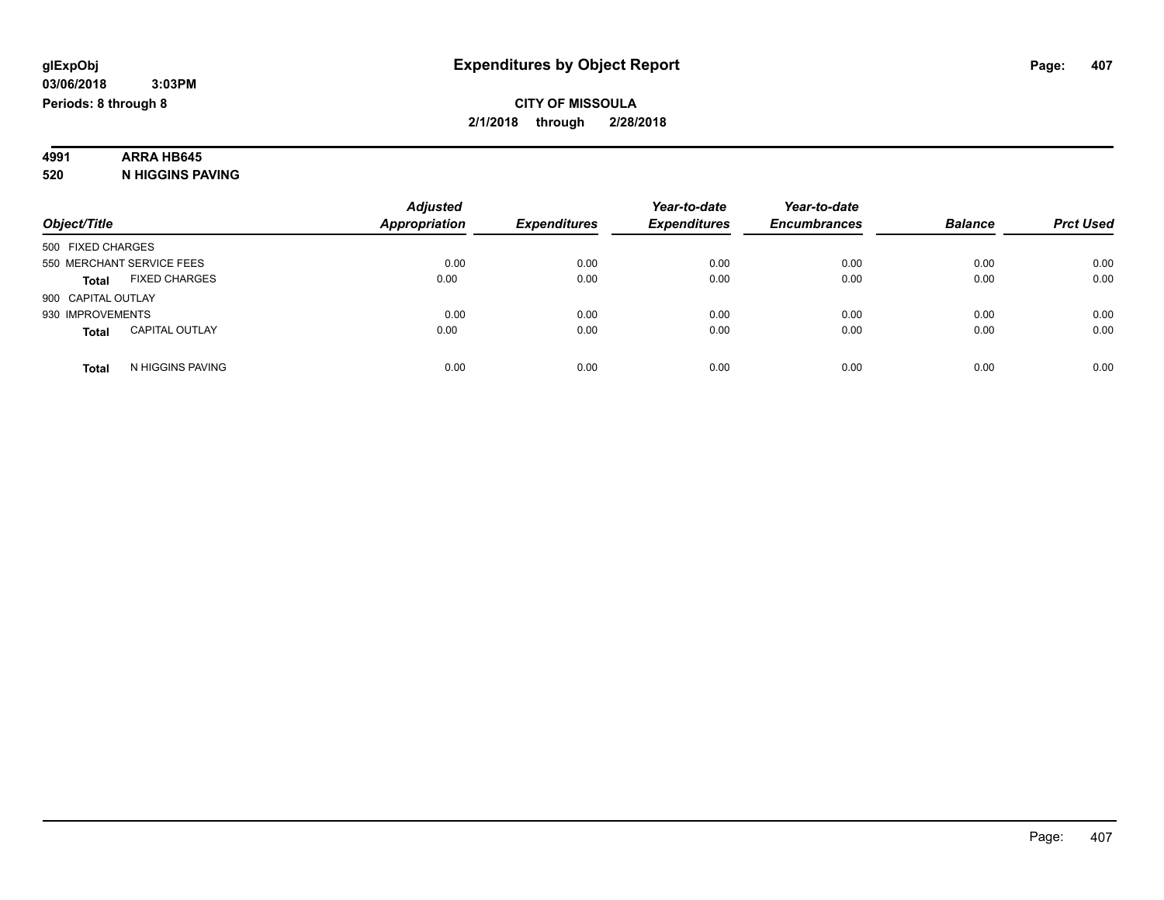# **4991 ARRA HB645**

**520 N HIGGINS PAVING**

|                                       | <b>Adjusted</b>      |                     | Year-to-date        | Year-to-date        |                |                  |
|---------------------------------------|----------------------|---------------------|---------------------|---------------------|----------------|------------------|
| Object/Title                          | <b>Appropriation</b> | <b>Expenditures</b> | <b>Expenditures</b> | <b>Encumbrances</b> | <b>Balance</b> | <b>Prct Used</b> |
| 500 FIXED CHARGES                     |                      |                     |                     |                     |                |                  |
| 550 MERCHANT SERVICE FEES             | 0.00                 | 0.00                | 0.00                | 0.00                | 0.00           | 0.00             |
| <b>FIXED CHARGES</b><br><b>Total</b>  | 0.00                 | 0.00                | 0.00                | 0.00                | 0.00           | 0.00             |
| 900 CAPITAL OUTLAY                    |                      |                     |                     |                     |                |                  |
| 930 IMPROVEMENTS                      | 0.00                 | 0.00                | 0.00                | 0.00                | 0.00           | 0.00             |
| <b>CAPITAL OUTLAY</b><br><b>Total</b> | 0.00                 | 0.00                | 0.00                | 0.00                | 0.00           | 0.00             |
| N HIGGINS PAVING<br>Total             | 0.00                 | 0.00                | 0.00                | 0.00                | 0.00           | 0.00             |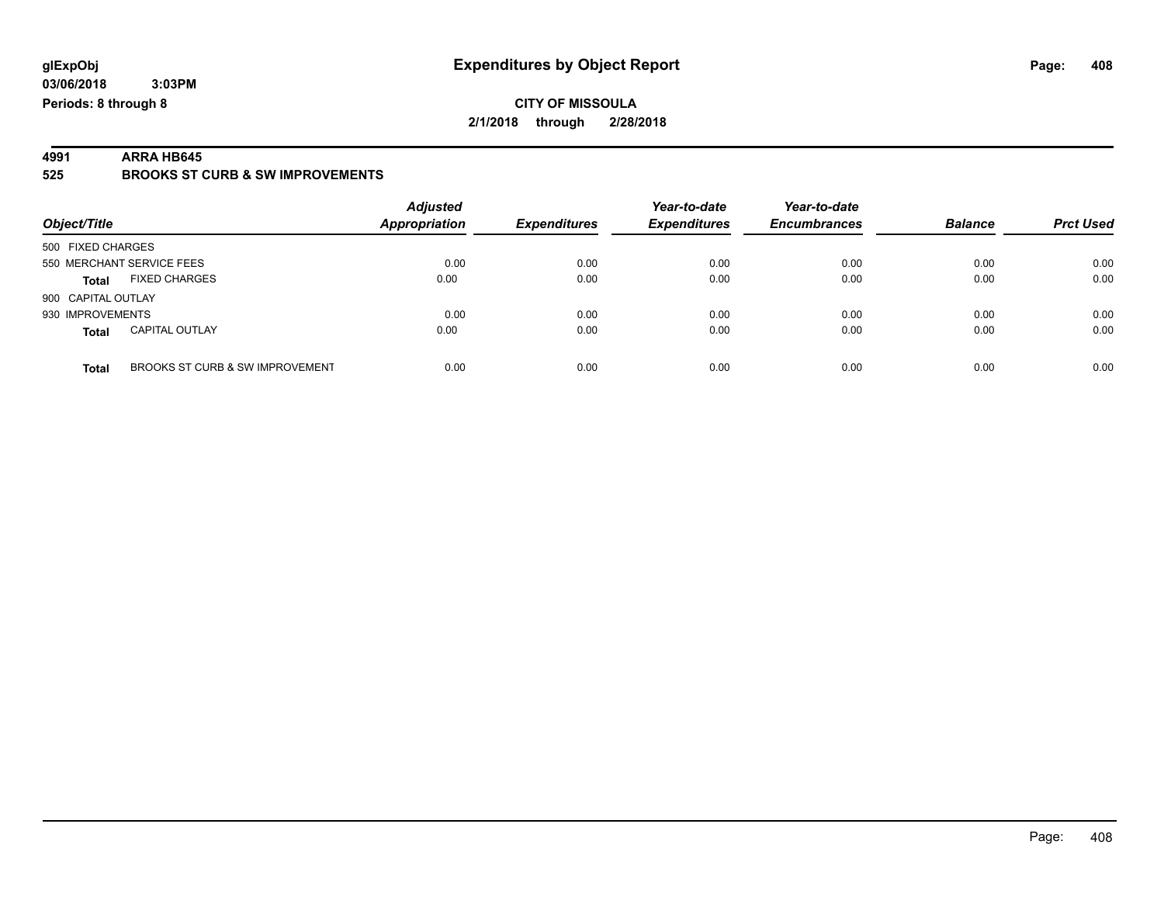**Periods: 8 through 8**

**CITY OF MISSOULA 2/1/2018 through 2/28/2018**

**4991 ARRA HB645 525 BROOKS ST CURB & SW IMPROVEMENTS**

| Object/Title              |                                 | <b>Adjusted</b><br><b>Appropriation</b> | <b>Expenditures</b> | Year-to-date<br><b>Expenditures</b> | Year-to-date<br><b>Encumbrances</b> | <b>Balance</b> | <b>Prct Used</b> |
|---------------------------|---------------------------------|-----------------------------------------|---------------------|-------------------------------------|-------------------------------------|----------------|------------------|
| 500 FIXED CHARGES         |                                 |                                         |                     |                                     |                                     |                |                  |
| 550 MERCHANT SERVICE FEES |                                 | 0.00                                    | 0.00                | 0.00                                | 0.00                                | 0.00           | 0.00             |
| <b>Total</b>              | <b>FIXED CHARGES</b>            | 0.00                                    | 0.00                | 0.00                                | 0.00                                | 0.00           | 0.00             |
| 900 CAPITAL OUTLAY        |                                 |                                         |                     |                                     |                                     |                |                  |
| 930 IMPROVEMENTS          |                                 | 0.00                                    | 0.00                | 0.00                                | 0.00                                | 0.00           | 0.00             |
| <b>Total</b>              | <b>CAPITAL OUTLAY</b>           | 0.00                                    | 0.00                | 0.00                                | 0.00                                | 0.00           | 0.00             |
| <b>Total</b>              | BROOKS ST CURB & SW IMPROVEMENT | 0.00                                    | 0.00                | 0.00                                | 0.00                                | 0.00           | 0.00             |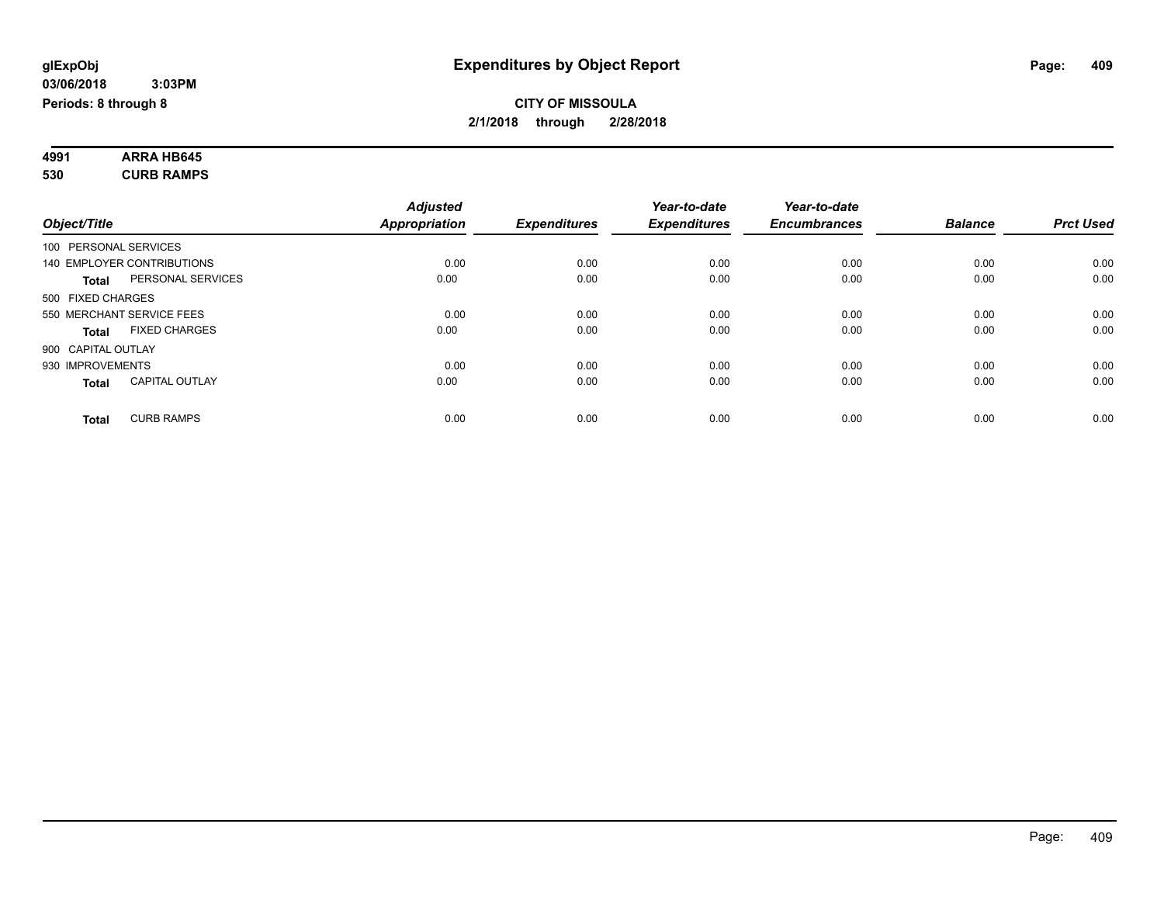#### **4991 ARRA HB645 530 CURB RAMPS**

|                                       | <b>Adjusted</b> |                     | Year-to-date        | Year-to-date        |                |                  |
|---------------------------------------|-----------------|---------------------|---------------------|---------------------|----------------|------------------|
| Object/Title                          | Appropriation   | <b>Expenditures</b> | <b>Expenditures</b> | <b>Encumbrances</b> | <b>Balance</b> | <b>Prct Used</b> |
| 100 PERSONAL SERVICES                 |                 |                     |                     |                     |                |                  |
| 140 EMPLOYER CONTRIBUTIONS            | 0.00            | 0.00                | 0.00                | 0.00                | 0.00           | 0.00             |
| PERSONAL SERVICES<br><b>Total</b>     | 0.00            | 0.00                | 0.00                | 0.00                | 0.00           | 0.00             |
| 500 FIXED CHARGES                     |                 |                     |                     |                     |                |                  |
| 550 MERCHANT SERVICE FEES             | 0.00            | 0.00                | 0.00                | 0.00                | 0.00           | 0.00             |
| <b>FIXED CHARGES</b><br>Total         | 0.00            | 0.00                | 0.00                | 0.00                | 0.00           | 0.00             |
| 900 CAPITAL OUTLAY                    |                 |                     |                     |                     |                |                  |
| 930 IMPROVEMENTS                      | 0.00            | 0.00                | 0.00                | 0.00                | 0.00           | 0.00             |
| <b>CAPITAL OUTLAY</b><br><b>Total</b> | 0.00            | 0.00                | 0.00                | 0.00                | 0.00           | 0.00             |
| <b>CURB RAMPS</b><br><b>Total</b>     | 0.00            | 0.00                | 0.00                | 0.00                | 0.00           | 0.00             |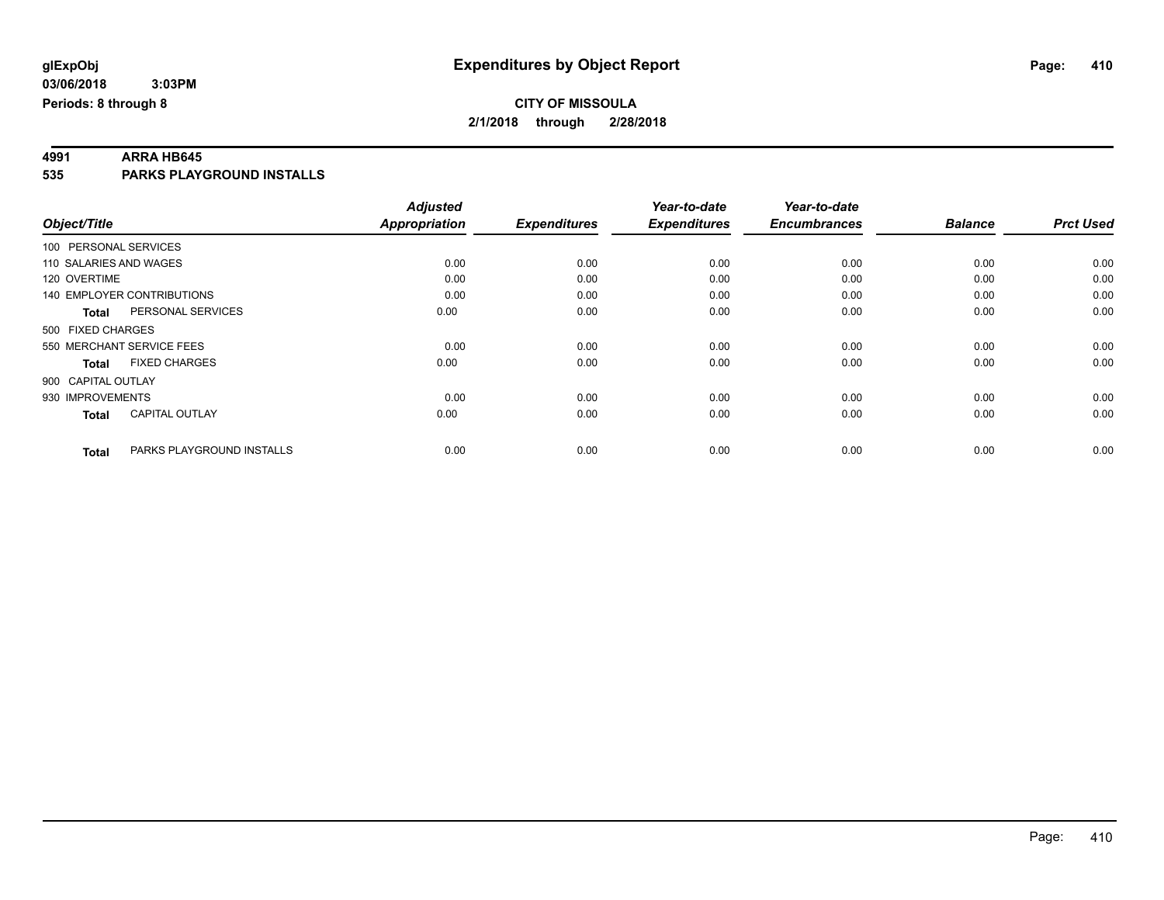**4991 ARRA HB645 535 PARKS PLAYGROUND INSTALLS**

|                        |                                   | <b>Adjusted</b>      |                     | Year-to-date        | Year-to-date        |                |                  |
|------------------------|-----------------------------------|----------------------|---------------------|---------------------|---------------------|----------------|------------------|
| Object/Title           |                                   | <b>Appropriation</b> | <b>Expenditures</b> | <b>Expenditures</b> | <b>Encumbrances</b> | <b>Balance</b> | <b>Prct Used</b> |
| 100 PERSONAL SERVICES  |                                   |                      |                     |                     |                     |                |                  |
| 110 SALARIES AND WAGES |                                   | 0.00                 | 0.00                | 0.00                | 0.00                | 0.00           | 0.00             |
| 120 OVERTIME           |                                   | 0.00                 | 0.00                | 0.00                | 0.00                | 0.00           | 0.00             |
|                        | <b>140 EMPLOYER CONTRIBUTIONS</b> | 0.00                 | 0.00                | 0.00                | 0.00                | 0.00           | 0.00             |
| <b>Total</b>           | PERSONAL SERVICES                 | 0.00                 | 0.00                | 0.00                | 0.00                | 0.00           | 0.00             |
| 500 FIXED CHARGES      |                                   |                      |                     |                     |                     |                |                  |
|                        | 550 MERCHANT SERVICE FEES         | 0.00                 | 0.00                | 0.00                | 0.00                | 0.00           | 0.00             |
| <b>Total</b>           | <b>FIXED CHARGES</b>              | 0.00                 | 0.00                | 0.00                | 0.00                | 0.00           | 0.00             |
| 900 CAPITAL OUTLAY     |                                   |                      |                     |                     |                     |                |                  |
| 930 IMPROVEMENTS       |                                   | 0.00                 | 0.00                | 0.00                | 0.00                | 0.00           | 0.00             |
| <b>Total</b>           | <b>CAPITAL OUTLAY</b>             | 0.00                 | 0.00                | 0.00                | 0.00                | 0.00           | 0.00             |
| <b>Total</b>           | PARKS PLAYGROUND INSTALLS         | 0.00                 | 0.00                | 0.00                | 0.00                | 0.00           | 0.00             |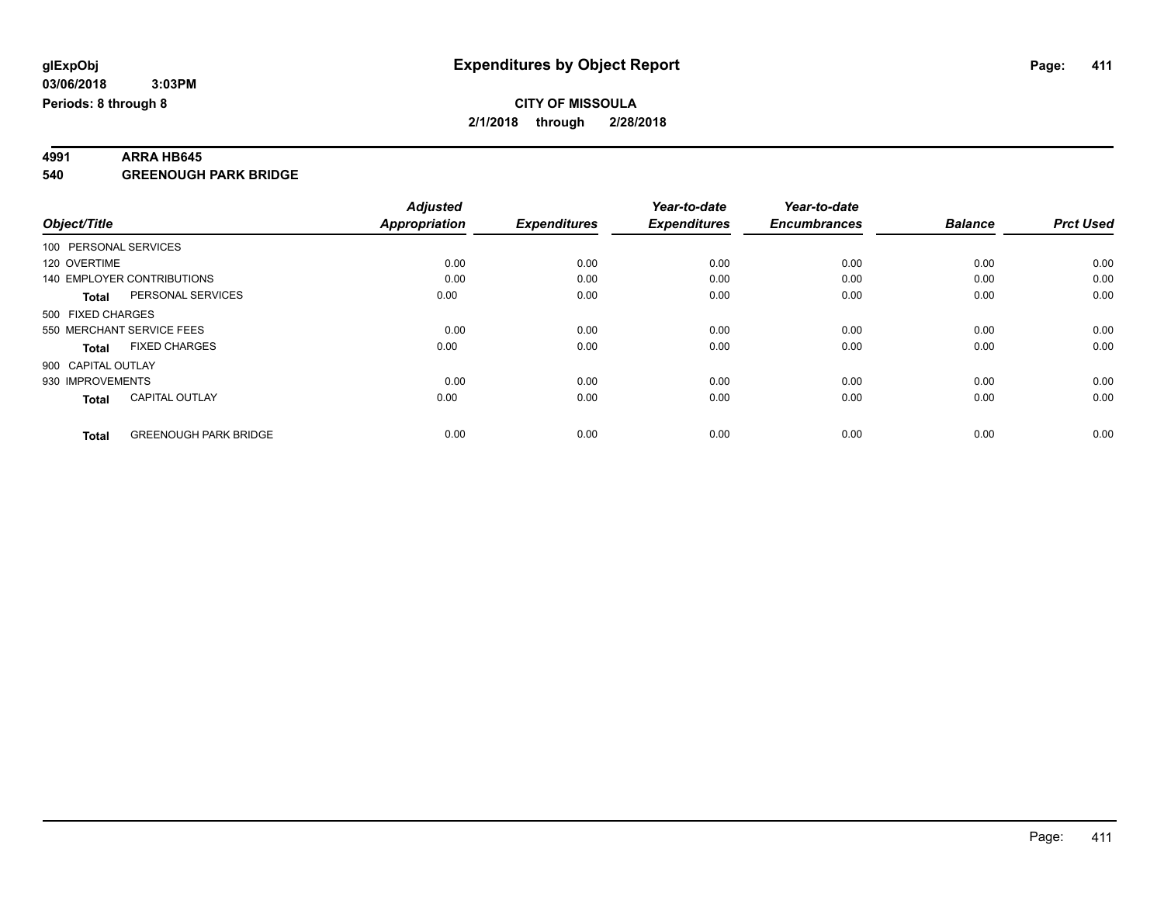**4991 ARRA HB645 540 GREENOUGH PARK BRIDGE**

|                                              | <b>Adjusted</b>      |                     | Year-to-date        | Year-to-date        |                |                  |
|----------------------------------------------|----------------------|---------------------|---------------------|---------------------|----------------|------------------|
| Object/Title                                 | <b>Appropriation</b> | <b>Expenditures</b> | <b>Expenditures</b> | <b>Encumbrances</b> | <b>Balance</b> | <b>Prct Used</b> |
| 100 PERSONAL SERVICES                        |                      |                     |                     |                     |                |                  |
| 120 OVERTIME                                 | 0.00                 | 0.00                | 0.00                | 0.00                | 0.00           | 0.00             |
| 140 EMPLOYER CONTRIBUTIONS                   | 0.00                 | 0.00                | 0.00                | 0.00                | 0.00           | 0.00             |
| PERSONAL SERVICES<br><b>Total</b>            | 0.00                 | 0.00                | 0.00                | 0.00                | 0.00           | 0.00             |
| 500 FIXED CHARGES                            |                      |                     |                     |                     |                |                  |
| 550 MERCHANT SERVICE FEES                    | 0.00                 | 0.00                | 0.00                | 0.00                | 0.00           | 0.00             |
| <b>FIXED CHARGES</b><br><b>Total</b>         | 0.00                 | 0.00                | 0.00                | 0.00                | 0.00           | 0.00             |
| 900 CAPITAL OUTLAY                           |                      |                     |                     |                     |                |                  |
| 930 IMPROVEMENTS                             | 0.00                 | 0.00                | 0.00                | 0.00                | 0.00           | 0.00             |
| <b>CAPITAL OUTLAY</b><br><b>Total</b>        | 0.00                 | 0.00                | 0.00                | 0.00                | 0.00           | 0.00             |
| <b>GREENOUGH PARK BRIDGE</b><br><b>Total</b> | 0.00                 | 0.00                | 0.00                | 0.00                | 0.00           | 0.00             |
|                                              |                      |                     |                     |                     |                |                  |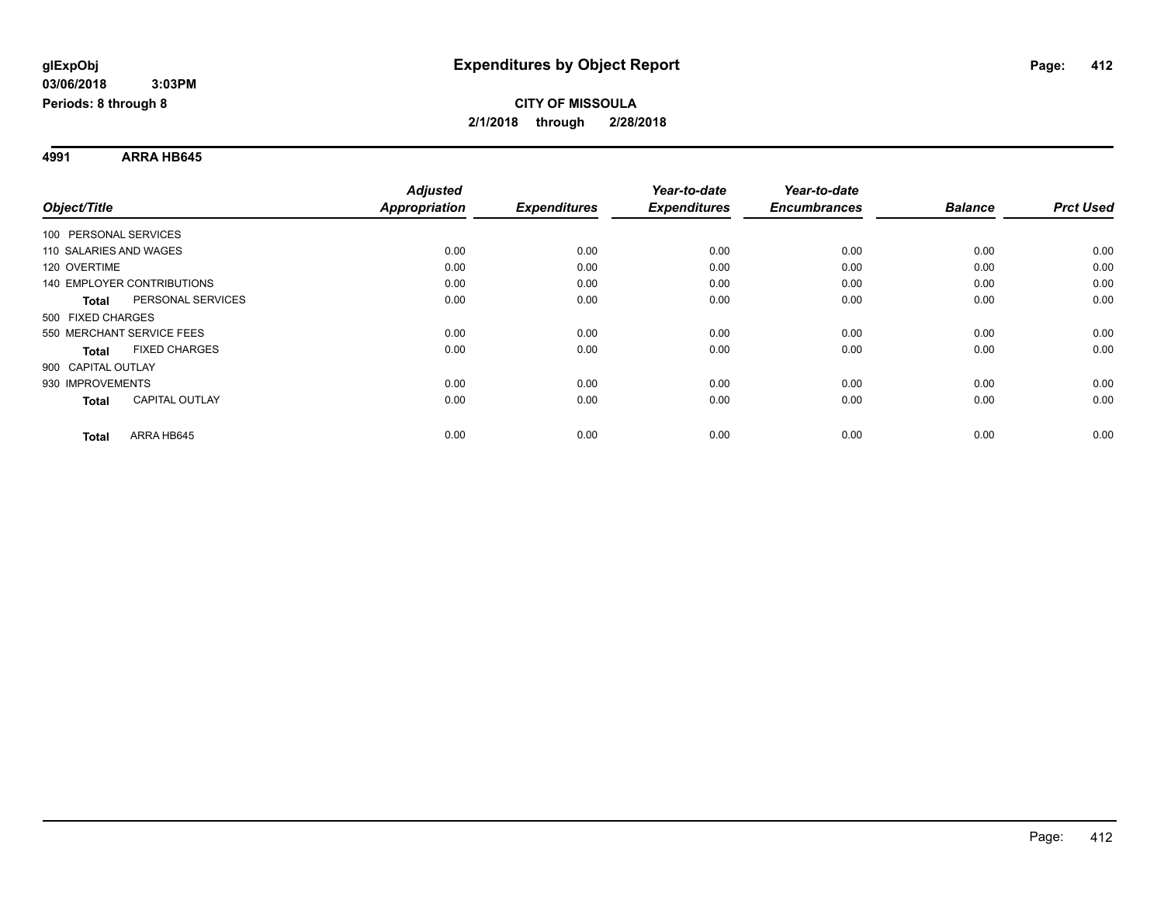**4991 ARRA HB645**

|                                   |                       | <b>Adjusted</b>      |                     | Year-to-date        | Year-to-date        |                |                  |
|-----------------------------------|-----------------------|----------------------|---------------------|---------------------|---------------------|----------------|------------------|
| Object/Title                      |                       | <b>Appropriation</b> | <b>Expenditures</b> | <b>Expenditures</b> | <b>Encumbrances</b> | <b>Balance</b> | <b>Prct Used</b> |
| 100 PERSONAL SERVICES             |                       |                      |                     |                     |                     |                |                  |
| 110 SALARIES AND WAGES            |                       | 0.00                 | 0.00                | 0.00                | 0.00                | 0.00           | 0.00             |
| 120 OVERTIME                      |                       | 0.00                 | 0.00                | 0.00                | 0.00                | 0.00           | 0.00             |
| <b>140 EMPLOYER CONTRIBUTIONS</b> |                       | 0.00                 | 0.00                | 0.00                | 0.00                | 0.00           | 0.00             |
| <b>Total</b>                      | PERSONAL SERVICES     | 0.00                 | 0.00                | 0.00                | 0.00                | 0.00           | 0.00             |
| 500 FIXED CHARGES                 |                       |                      |                     |                     |                     |                |                  |
| 550 MERCHANT SERVICE FEES         |                       | 0.00                 | 0.00                | 0.00                | 0.00                | 0.00           | 0.00             |
| <b>Total</b>                      | <b>FIXED CHARGES</b>  | 0.00                 | 0.00                | 0.00                | 0.00                | 0.00           | 0.00             |
| 900 CAPITAL OUTLAY                |                       |                      |                     |                     |                     |                |                  |
| 930 IMPROVEMENTS                  |                       | 0.00                 | 0.00                | 0.00                | 0.00                | 0.00           | 0.00             |
| <b>Total</b>                      | <b>CAPITAL OUTLAY</b> | 0.00                 | 0.00                | 0.00                | 0.00                | 0.00           | 0.00             |
| <b>Total</b>                      | ARRA HB645            | 0.00                 | 0.00                | 0.00                | 0.00                | 0.00           | 0.00             |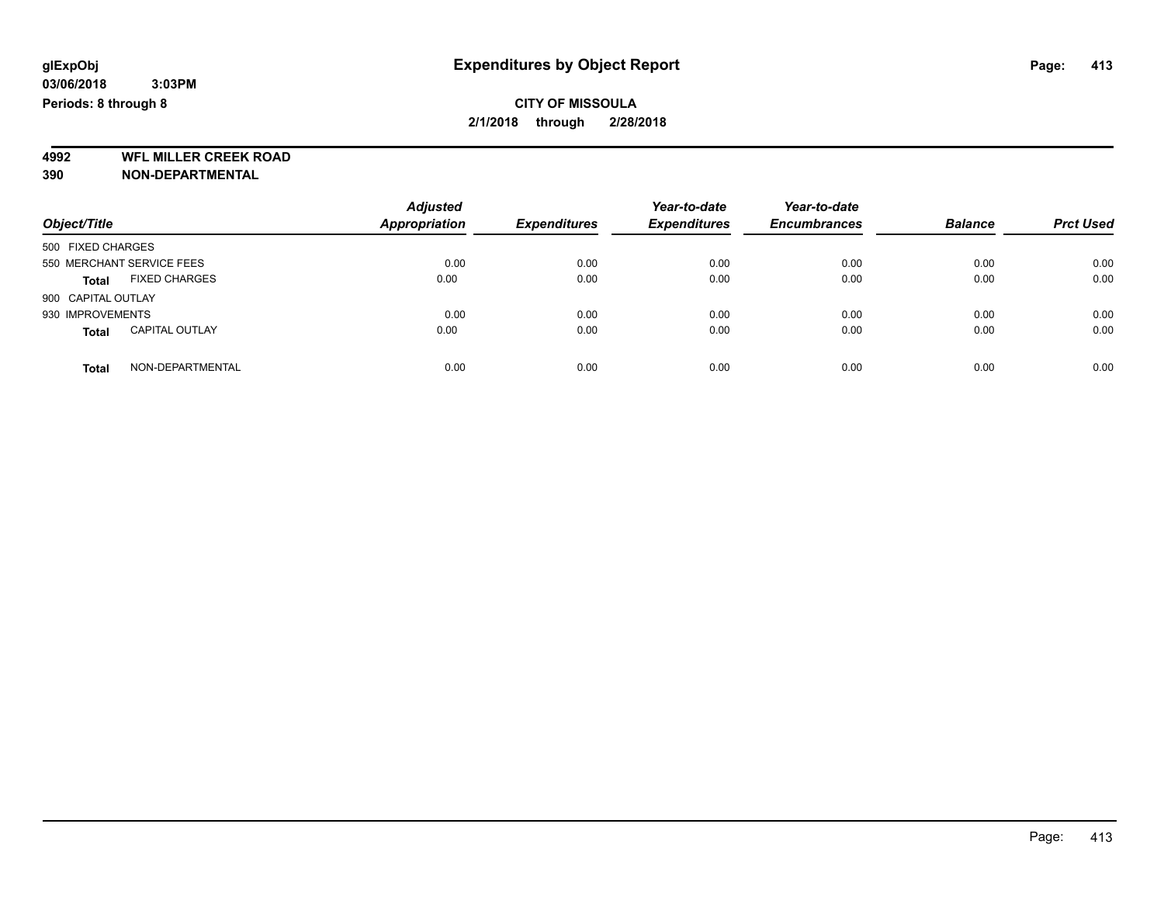**4992 WFL MILLER CREEK ROAD 390 NON-DEPARTMENTAL**

| Object/Title                          | <b>Adjusted</b><br><b>Appropriation</b> | <b>Expenditures</b> | Year-to-date<br><b>Expenditures</b> | Year-to-date<br><b>Encumbrances</b> | <b>Balance</b> | <b>Prct Used</b> |
|---------------------------------------|-----------------------------------------|---------------------|-------------------------------------|-------------------------------------|----------------|------------------|
| 500 FIXED CHARGES                     |                                         |                     |                                     |                                     |                |                  |
| 550 MERCHANT SERVICE FEES             | 0.00                                    | 0.00                | 0.00                                | 0.00                                | 0.00           | 0.00             |
| <b>FIXED CHARGES</b><br><b>Total</b>  | 0.00                                    | 0.00                | 0.00                                | 0.00                                | 0.00           | 0.00             |
| 900 CAPITAL OUTLAY                    |                                         |                     |                                     |                                     |                |                  |
| 930 IMPROVEMENTS                      | 0.00                                    | 0.00                | 0.00                                | 0.00                                | 0.00           | 0.00             |
| <b>CAPITAL OUTLAY</b><br><b>Total</b> | 0.00                                    | 0.00                | 0.00                                | 0.00                                | 0.00           | 0.00             |
| NON-DEPARTMENTAL<br><b>Total</b>      | 0.00                                    | 0.00                | 0.00                                | 0.00                                | 0.00           | 0.00             |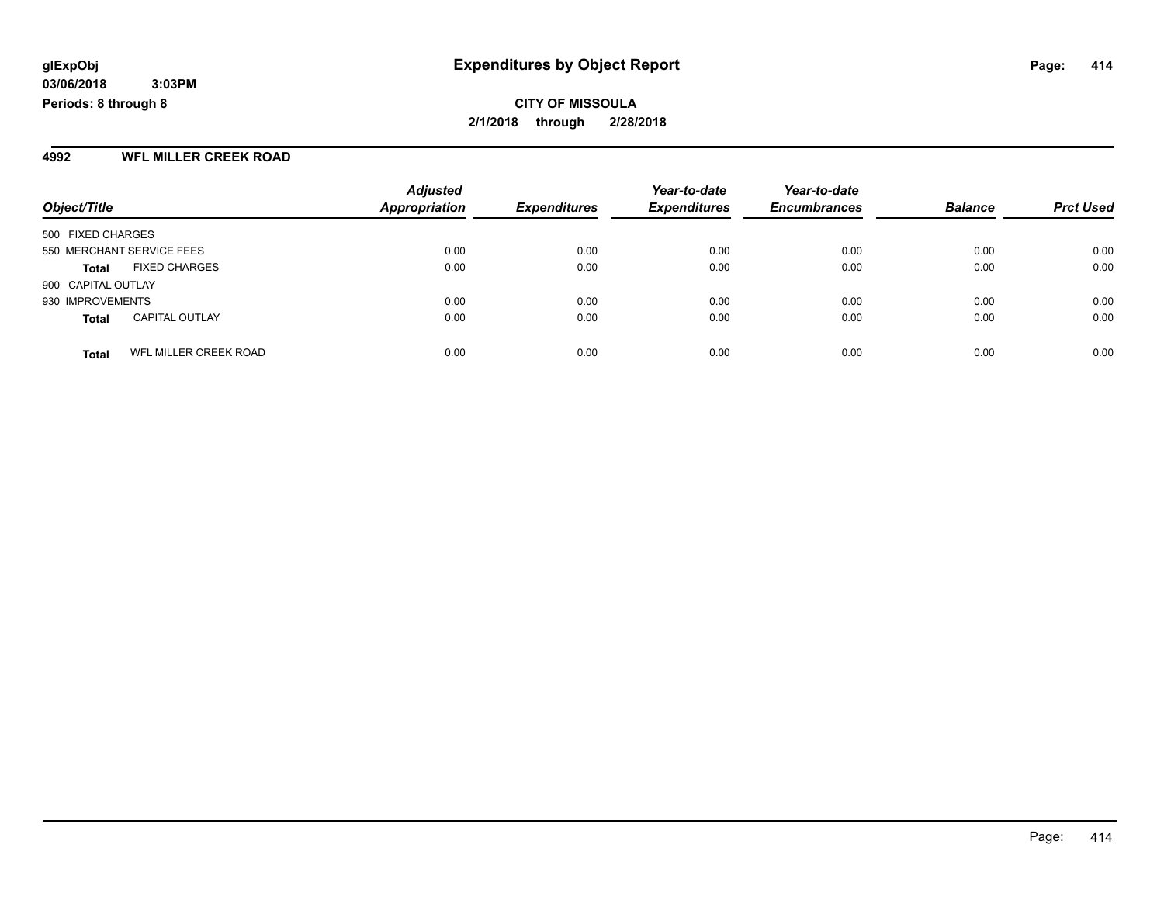#### **4992 WFL MILLER CREEK ROAD**

|                           |                       | <b>Adjusted</b>      |                     | Year-to-date        | Year-to-date        |                |                  |
|---------------------------|-----------------------|----------------------|---------------------|---------------------|---------------------|----------------|------------------|
| Object/Title              |                       | <b>Appropriation</b> | <b>Expenditures</b> | <b>Expenditures</b> | <b>Encumbrances</b> | <b>Balance</b> | <b>Prct Used</b> |
| 500 FIXED CHARGES         |                       |                      |                     |                     |                     |                |                  |
| 550 MERCHANT SERVICE FEES |                       | 0.00                 | 0.00                | 0.00                | 0.00                | 0.00           | 0.00             |
| <b>Total</b>              | <b>FIXED CHARGES</b>  | 0.00                 | 0.00                | 0.00                | 0.00                | 0.00           | 0.00             |
| 900 CAPITAL OUTLAY        |                       |                      |                     |                     |                     |                |                  |
| 930 IMPROVEMENTS          |                       | 0.00                 | 0.00                | 0.00                | 0.00                | 0.00           | 0.00             |
| <b>Total</b>              | <b>CAPITAL OUTLAY</b> | 0.00                 | 0.00                | 0.00                | 0.00                | 0.00           | 0.00             |
| <b>Total</b>              | WFL MILLER CREEK ROAD | 0.00                 | 0.00                | 0.00                | 0.00                | 0.00           | 0.00             |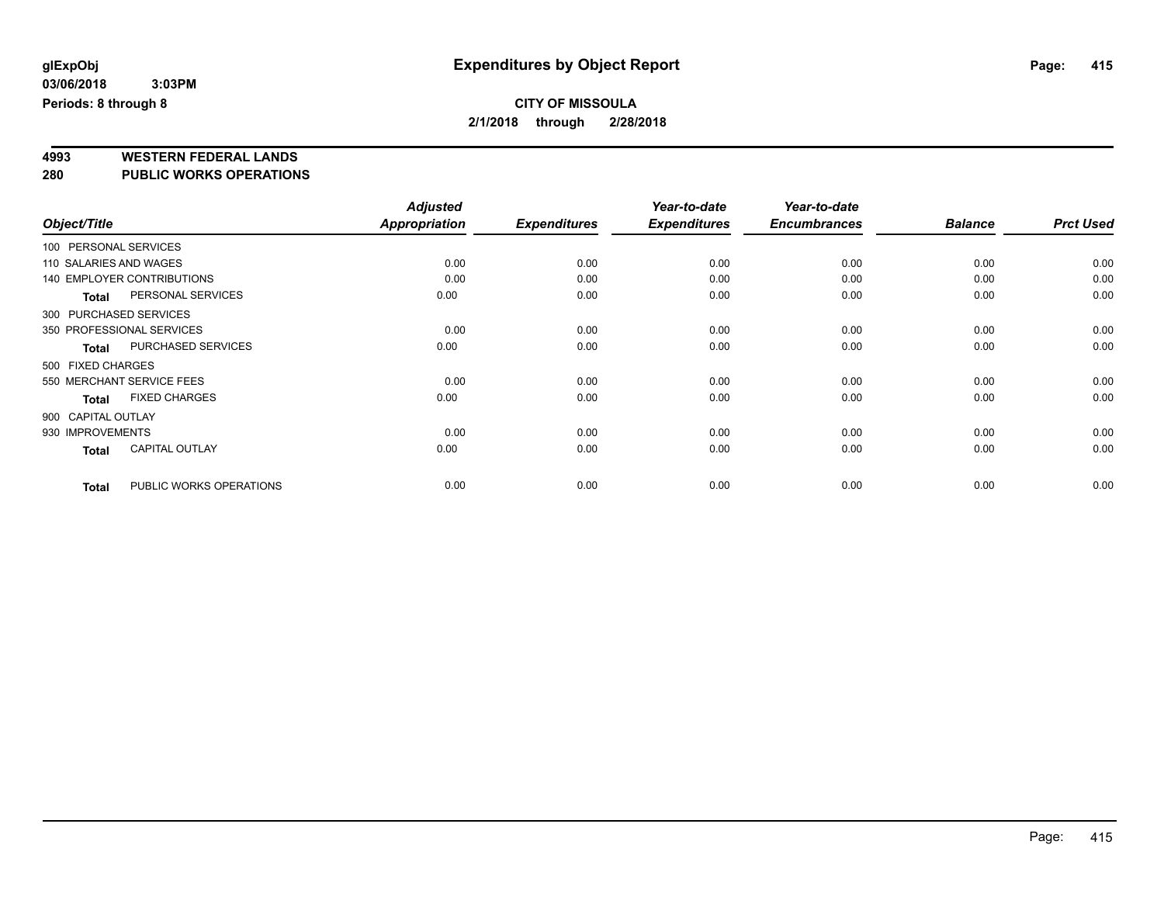# **4993 WESTERN FEDERAL LANDS**

**280 PUBLIC WORKS OPERATIONS**

|                        |                                   | <b>Adjusted</b>      |                     | Year-to-date        | Year-to-date        |                |                  |
|------------------------|-----------------------------------|----------------------|---------------------|---------------------|---------------------|----------------|------------------|
| Object/Title           |                                   | <b>Appropriation</b> | <b>Expenditures</b> | <b>Expenditures</b> | <b>Encumbrances</b> | <b>Balance</b> | <b>Prct Used</b> |
| 100 PERSONAL SERVICES  |                                   |                      |                     |                     |                     |                |                  |
| 110 SALARIES AND WAGES |                                   | 0.00                 | 0.00                | 0.00                | 0.00                | 0.00           | 0.00             |
|                        | <b>140 EMPLOYER CONTRIBUTIONS</b> | 0.00                 | 0.00                | 0.00                | 0.00                | 0.00           | 0.00             |
| <b>Total</b>           | PERSONAL SERVICES                 | 0.00                 | 0.00                | 0.00                | 0.00                | 0.00           | 0.00             |
| 300 PURCHASED SERVICES |                                   |                      |                     |                     |                     |                |                  |
|                        | 350 PROFESSIONAL SERVICES         | 0.00                 | 0.00                | 0.00                | 0.00                | 0.00           | 0.00             |
| Total                  | <b>PURCHASED SERVICES</b>         | 0.00                 | 0.00                | 0.00                | 0.00                | 0.00           | 0.00             |
| 500 FIXED CHARGES      |                                   |                      |                     |                     |                     |                |                  |
|                        | 550 MERCHANT SERVICE FEES         | 0.00                 | 0.00                | 0.00                | 0.00                | 0.00           | 0.00             |
| <b>Total</b>           | <b>FIXED CHARGES</b>              | 0.00                 | 0.00                | 0.00                | 0.00                | 0.00           | 0.00             |
| 900 CAPITAL OUTLAY     |                                   |                      |                     |                     |                     |                |                  |
| 930 IMPROVEMENTS       |                                   | 0.00                 | 0.00                | 0.00                | 0.00                | 0.00           | 0.00             |
| <b>Total</b>           | <b>CAPITAL OUTLAY</b>             | 0.00                 | 0.00                | 0.00                | 0.00                | 0.00           | 0.00             |
| <b>Total</b>           | PUBLIC WORKS OPERATIONS           | 0.00                 | 0.00                | 0.00                | 0.00                | 0.00           | 0.00             |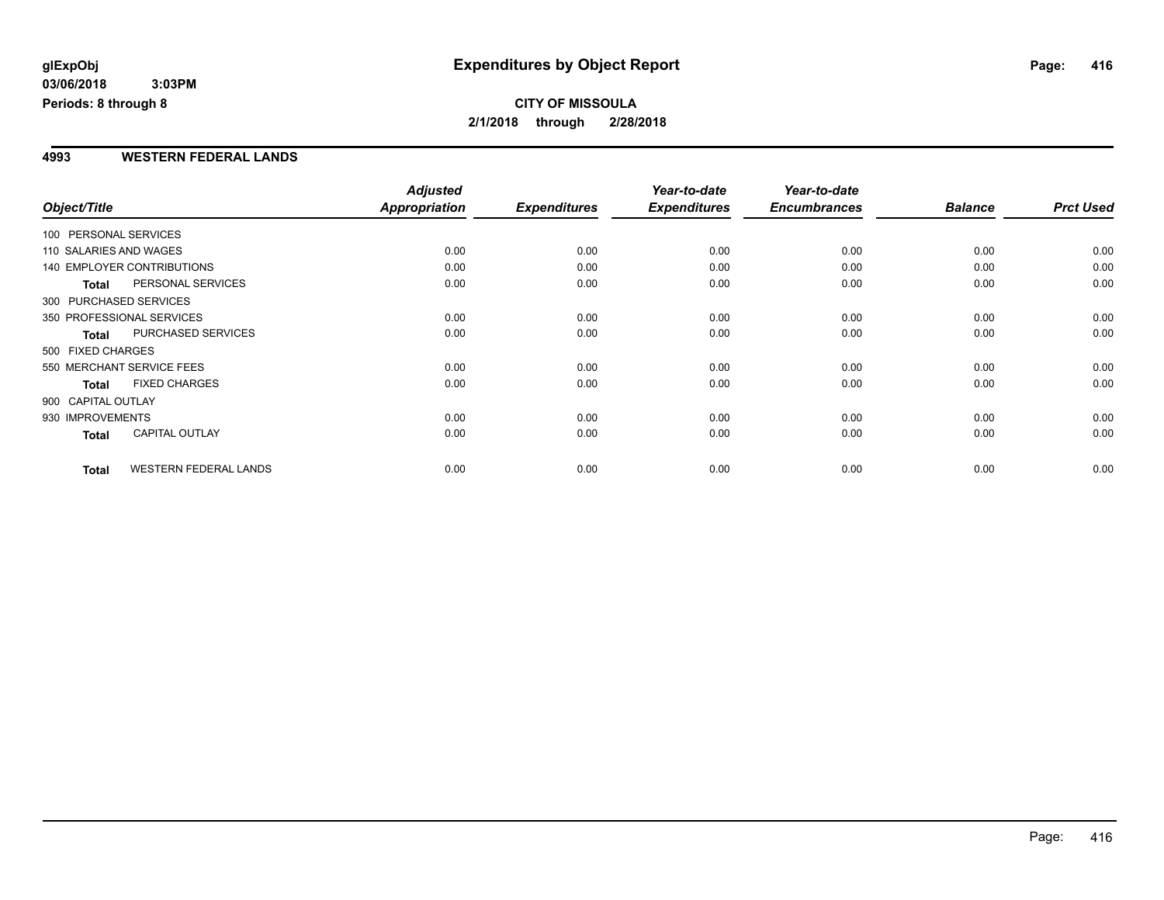#### **4993 WESTERN FEDERAL LANDS**

|                        |                              | <b>Adjusted</b>      |                     | Year-to-date        | Year-to-date        |                |                  |
|------------------------|------------------------------|----------------------|---------------------|---------------------|---------------------|----------------|------------------|
| Object/Title           |                              | <b>Appropriation</b> | <b>Expenditures</b> | <b>Expenditures</b> | <b>Encumbrances</b> | <b>Balance</b> | <b>Prct Used</b> |
| 100 PERSONAL SERVICES  |                              |                      |                     |                     |                     |                |                  |
| 110 SALARIES AND WAGES |                              | 0.00                 | 0.00                | 0.00                | 0.00                | 0.00           | 0.00             |
|                        | 140 EMPLOYER CONTRIBUTIONS   | 0.00                 | 0.00                | 0.00                | 0.00                | 0.00           | 0.00             |
| <b>Total</b>           | PERSONAL SERVICES            | 0.00                 | 0.00                | 0.00                | 0.00                | 0.00           | 0.00             |
|                        | 300 PURCHASED SERVICES       |                      |                     |                     |                     |                |                  |
|                        | 350 PROFESSIONAL SERVICES    | 0.00                 | 0.00                | 0.00                | 0.00                | 0.00           | 0.00             |
| <b>Total</b>           | PURCHASED SERVICES           | 0.00                 | 0.00                | 0.00                | 0.00                | 0.00           | 0.00             |
| 500 FIXED CHARGES      |                              |                      |                     |                     |                     |                |                  |
|                        | 550 MERCHANT SERVICE FEES    | 0.00                 | 0.00                | 0.00                | 0.00                | 0.00           | 0.00             |
| <b>Total</b>           | <b>FIXED CHARGES</b>         | 0.00                 | 0.00                | 0.00                | 0.00                | 0.00           | 0.00             |
| 900 CAPITAL OUTLAY     |                              |                      |                     |                     |                     |                |                  |
| 930 IMPROVEMENTS       |                              | 0.00                 | 0.00                | 0.00                | 0.00                | 0.00           | 0.00             |
| Total                  | <b>CAPITAL OUTLAY</b>        | 0.00                 | 0.00                | 0.00                | 0.00                | 0.00           | 0.00             |
| <b>Total</b>           | <b>WESTERN FEDERAL LANDS</b> | 0.00                 | 0.00                | 0.00                | 0.00                | 0.00           | 0.00             |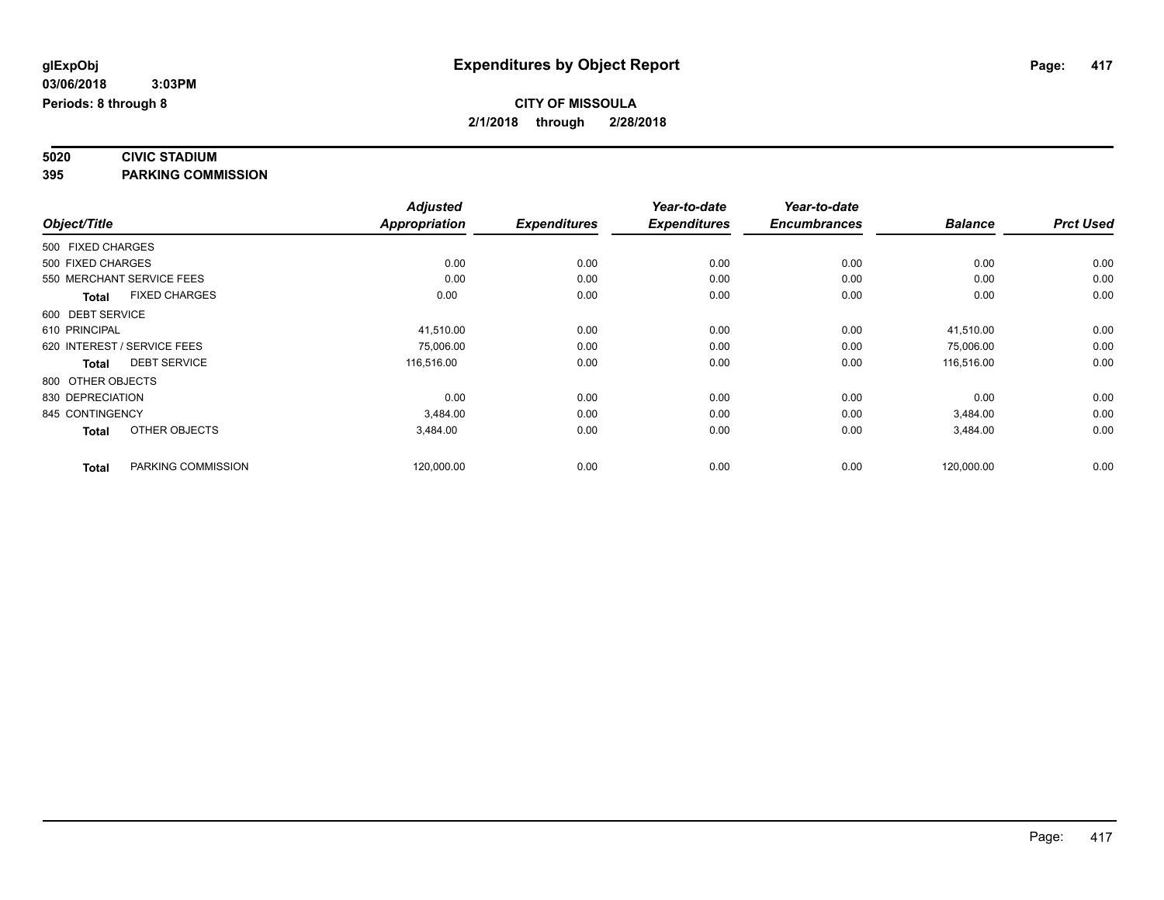# **5020 CIVIC STADIUM**

**395 PARKING COMMISSION**

|                   |                             | <b>Adjusted</b>      |                     | Year-to-date        | Year-to-date        |                |                  |
|-------------------|-----------------------------|----------------------|---------------------|---------------------|---------------------|----------------|------------------|
| Object/Title      |                             | <b>Appropriation</b> | <b>Expenditures</b> | <b>Expenditures</b> | <b>Encumbrances</b> | <b>Balance</b> | <b>Prct Used</b> |
| 500 FIXED CHARGES |                             |                      |                     |                     |                     |                |                  |
| 500 FIXED CHARGES |                             | 0.00                 | 0.00                | 0.00                | 0.00                | 0.00           | 0.00             |
|                   | 550 MERCHANT SERVICE FEES   | 0.00                 | 0.00                | 0.00                | 0.00                | 0.00           | 0.00             |
| <b>Total</b>      | <b>FIXED CHARGES</b>        | 0.00                 | 0.00                | 0.00                | 0.00                | 0.00           | 0.00             |
| 600 DEBT SERVICE  |                             |                      |                     |                     |                     |                |                  |
| 610 PRINCIPAL     |                             | 41,510.00            | 0.00                | 0.00                | 0.00                | 41,510.00      | 0.00             |
|                   | 620 INTEREST / SERVICE FEES | 75,006.00            | 0.00                | 0.00                | 0.00                | 75,006.00      | 0.00             |
| <b>Total</b>      | <b>DEBT SERVICE</b>         | 116,516.00           | 0.00                | 0.00                | 0.00                | 116,516.00     | 0.00             |
| 800 OTHER OBJECTS |                             |                      |                     |                     |                     |                |                  |
| 830 DEPRECIATION  |                             | 0.00                 | 0.00                | 0.00                | 0.00                | 0.00           | 0.00             |
| 845 CONTINGENCY   |                             | 3,484.00             | 0.00                | 0.00                | 0.00                | 3,484.00       | 0.00             |
| <b>Total</b>      | OTHER OBJECTS               | 3,484.00             | 0.00                | 0.00                | 0.00                | 3,484.00       | 0.00             |
| <b>Total</b>      | PARKING COMMISSION          | 120,000.00           | 0.00                | 0.00                | 0.00                | 120,000.00     | 0.00             |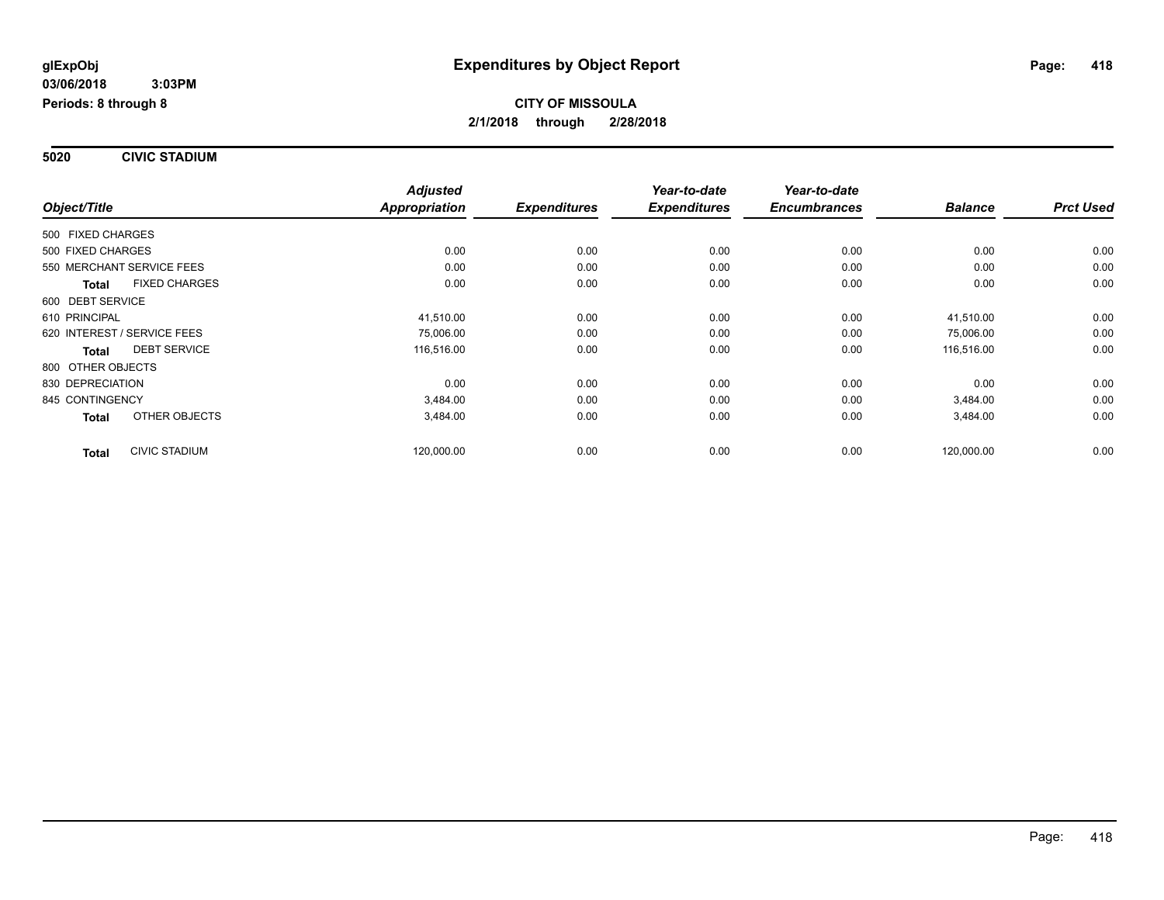**5020 CIVIC STADIUM**

|                                      | <b>Adjusted</b> |                     | Year-to-date        | Year-to-date        |                |                  |
|--------------------------------------|-----------------|---------------------|---------------------|---------------------|----------------|------------------|
| Object/Title                         | Appropriation   | <b>Expenditures</b> | <b>Expenditures</b> | <b>Encumbrances</b> | <b>Balance</b> | <b>Prct Used</b> |
| 500 FIXED CHARGES                    |                 |                     |                     |                     |                |                  |
| 500 FIXED CHARGES                    | 0.00            | 0.00                | 0.00                | 0.00                | 0.00           | 0.00             |
| 550 MERCHANT SERVICE FEES            | 0.00            | 0.00                | 0.00                | 0.00                | 0.00           | 0.00             |
| <b>FIXED CHARGES</b><br><b>Total</b> | 0.00            | 0.00                | 0.00                | 0.00                | 0.00           | 0.00             |
| 600 DEBT SERVICE                     |                 |                     |                     |                     |                |                  |
| 610 PRINCIPAL                        | 41,510.00       | 0.00                | 0.00                | 0.00                | 41,510.00      | 0.00             |
| 620 INTEREST / SERVICE FEES          | 75,006.00       | 0.00                | 0.00                | 0.00                | 75,006.00      | 0.00             |
| <b>DEBT SERVICE</b><br><b>Total</b>  | 116,516.00      | 0.00                | 0.00                | 0.00                | 116,516.00     | 0.00             |
| 800 OTHER OBJECTS                    |                 |                     |                     |                     |                |                  |
| 830 DEPRECIATION                     | 0.00            | 0.00                | 0.00                | 0.00                | 0.00           | 0.00             |
| 845 CONTINGENCY                      | 3,484.00        | 0.00                | 0.00                | 0.00                | 3,484.00       | 0.00             |
| OTHER OBJECTS<br><b>Total</b>        | 3,484.00        | 0.00                | 0.00                | 0.00                | 3,484.00       | 0.00             |
| <b>CIVIC STADIUM</b><br><b>Total</b> | 120,000.00      | 0.00                | 0.00                | 0.00                | 120,000.00     | 0.00             |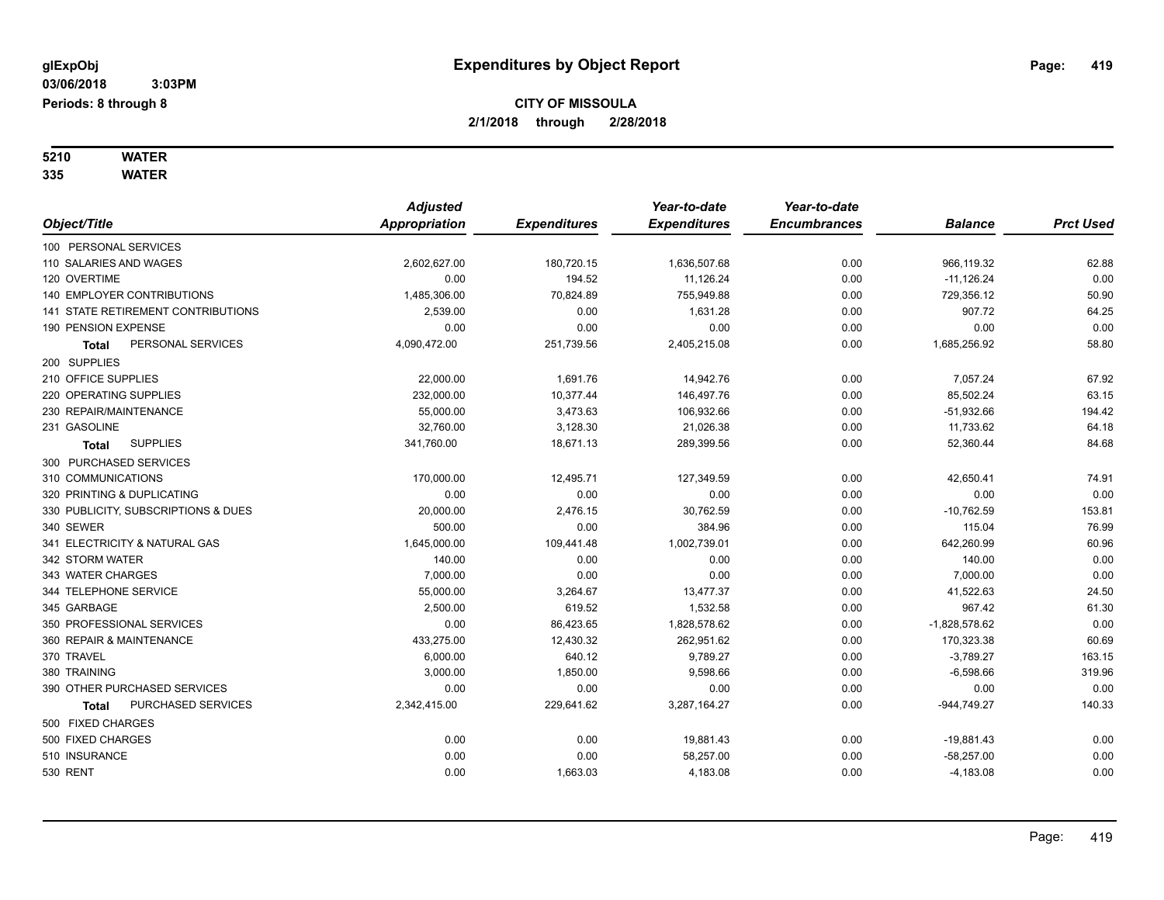# **5210 WATER**

**335 WATER**

|                                     | <b>Adjusted</b> |                     | Year-to-date        | Year-to-date        |                 |                  |
|-------------------------------------|-----------------|---------------------|---------------------|---------------------|-----------------|------------------|
| Object/Title                        | Appropriation   | <b>Expenditures</b> | <b>Expenditures</b> | <b>Encumbrances</b> | <b>Balance</b>  | <b>Prct Used</b> |
| 100 PERSONAL SERVICES               |                 |                     |                     |                     |                 |                  |
| 110 SALARIES AND WAGES              | 2,602,627.00    | 180,720.15          | 1,636,507.68        | 0.00                | 966,119.32      | 62.88            |
| 120 OVERTIME                        | 0.00            | 194.52              | 11,126.24           | 0.00                | $-11,126.24$    | 0.00             |
| <b>140 EMPLOYER CONTRIBUTIONS</b>   | 1,485,306.00    | 70,824.89           | 755,949.88          | 0.00                | 729,356.12      | 50.90            |
| 141 STATE RETIREMENT CONTRIBUTIONS  | 2,539.00        | 0.00                | 1,631.28            | 0.00                | 907.72          | 64.25            |
| 190 PENSION EXPENSE                 | 0.00            | 0.00                | 0.00                | 0.00                | 0.00            | 0.00             |
| PERSONAL SERVICES<br>Total          | 4,090,472.00    | 251,739.56          | 2,405,215.08        | 0.00                | 1,685,256.92    | 58.80            |
| 200 SUPPLIES                        |                 |                     |                     |                     |                 |                  |
| 210 OFFICE SUPPLIES                 | 22,000.00       | 1,691.76            | 14,942.76           | 0.00                | 7,057.24        | 67.92            |
| 220 OPERATING SUPPLIES              | 232,000.00      | 10,377.44           | 146,497.76          | 0.00                | 85,502.24       | 63.15            |
| 230 REPAIR/MAINTENANCE              | 55,000.00       | 3,473.63            | 106,932.66          | 0.00                | $-51,932.66$    | 194.42           |
| 231 GASOLINE                        | 32,760.00       | 3,128.30            | 21,026.38           | 0.00                | 11,733.62       | 64.18            |
| <b>SUPPLIES</b><br><b>Total</b>     | 341,760.00      | 18,671.13           | 289,399.56          | 0.00                | 52,360.44       | 84.68            |
| 300 PURCHASED SERVICES              |                 |                     |                     |                     |                 |                  |
| 310 COMMUNICATIONS                  | 170,000.00      | 12,495.71           | 127,349.59          | 0.00                | 42,650.41       | 74.91            |
| 320 PRINTING & DUPLICATING          | 0.00            | 0.00                | 0.00                | 0.00                | 0.00            | 0.00             |
| 330 PUBLICITY, SUBSCRIPTIONS & DUES | 20,000.00       | 2,476.15            | 30,762.59           | 0.00                | $-10,762.59$    | 153.81           |
| 340 SEWER                           | 500.00          | 0.00                | 384.96              | 0.00                | 115.04          | 76.99            |
| 341 ELECTRICITY & NATURAL GAS       | 1,645,000.00    | 109,441.48          | 1,002,739.01        | 0.00                | 642,260.99      | 60.96            |
| 342 STORM WATER                     | 140.00          | 0.00                | 0.00                | 0.00                | 140.00          | 0.00             |
| 343 WATER CHARGES                   | 7,000.00        | 0.00                | 0.00                | 0.00                | 7,000.00        | 0.00             |
| 344 TELEPHONE SERVICE               | 55,000.00       | 3,264.67            | 13,477.37           | 0.00                | 41,522.63       | 24.50            |
| 345 GARBAGE                         | 2,500.00        | 619.52              | 1,532.58            | 0.00                | 967.42          | 61.30            |
| 350 PROFESSIONAL SERVICES           | 0.00            | 86,423.65           | 1,828,578.62        | 0.00                | $-1,828,578.62$ | 0.00             |
| 360 REPAIR & MAINTENANCE            | 433,275.00      | 12,430.32           | 262,951.62          | 0.00                | 170,323.38      | 60.69            |
| 370 TRAVEL                          | 6,000.00        | 640.12              | 9,789.27            | 0.00                | $-3,789.27$     | 163.15           |
| 380 TRAINING                        | 3,000.00        | 1,850.00            | 9,598.66            | 0.00                | $-6,598.66$     | 319.96           |
| 390 OTHER PURCHASED SERVICES        | 0.00            | 0.00                | 0.00                | 0.00                | 0.00            | 0.00             |
| PURCHASED SERVICES<br><b>Total</b>  | 2,342,415.00    | 229,641.62          | 3,287,164.27        | 0.00                | $-944,749.27$   | 140.33           |
| 500 FIXED CHARGES                   |                 |                     |                     |                     |                 |                  |
| 500 FIXED CHARGES                   | 0.00            | 0.00                | 19,881.43           | 0.00                | $-19,881.43$    | 0.00             |
| 510 INSURANCE                       | 0.00            | 0.00                | 58,257.00           | 0.00                | $-58,257.00$    | 0.00             |
| <b>530 RENT</b>                     | 0.00            | 1,663.03            | 4,183.08            | 0.00                | $-4,183.08$     | 0.00             |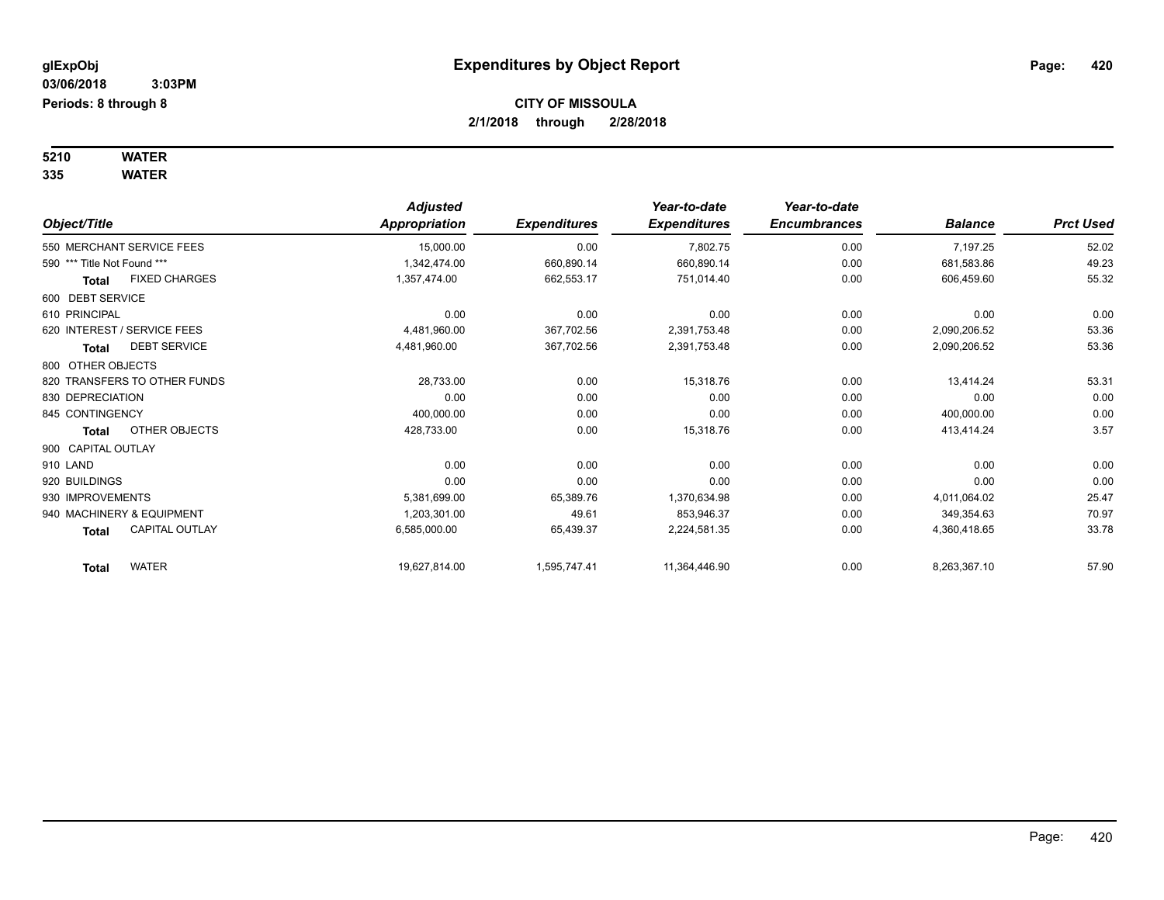#### **5210 WATER 335 WATER**

|                                       | <b>Adjusted</b> |                     | Year-to-date        | Year-to-date        |                |                  |
|---------------------------------------|-----------------|---------------------|---------------------|---------------------|----------------|------------------|
| Object/Title                          | Appropriation   | <b>Expenditures</b> | <b>Expenditures</b> | <b>Encumbrances</b> | <b>Balance</b> | <b>Prct Used</b> |
| 550 MERCHANT SERVICE FEES             | 15,000.00       | 0.00                | 7,802.75            | 0.00                | 7,197.25       | 52.02            |
| 590 *** Title Not Found ***           | 1,342,474.00    | 660,890.14          | 660,890.14          | 0.00                | 681,583.86     | 49.23            |
| <b>FIXED CHARGES</b><br>Total         | 1,357,474.00    | 662,553.17          | 751,014.40          | 0.00                | 606,459.60     | 55.32            |
| 600 DEBT SERVICE                      |                 |                     |                     |                     |                |                  |
| 610 PRINCIPAL                         | 0.00            | 0.00                | 0.00                | 0.00                | 0.00           | 0.00             |
| 620 INTEREST / SERVICE FEES           | 4,481,960.00    | 367,702.56          | 2,391,753.48        | 0.00                | 2,090,206.52   | 53.36            |
| <b>DEBT SERVICE</b><br>Total          | 4,481,960.00    | 367,702.56          | 2,391,753.48        | 0.00                | 2,090,206.52   | 53.36            |
| 800 OTHER OBJECTS                     |                 |                     |                     |                     |                |                  |
| 820 TRANSFERS TO OTHER FUNDS          | 28,733.00       | 0.00                | 15,318.76           | 0.00                | 13,414.24      | 53.31            |
| 830 DEPRECIATION                      | 0.00            | 0.00                | 0.00                | 0.00                | 0.00           | 0.00             |
| 845 CONTINGENCY                       | 400,000.00      | 0.00                | 0.00                | 0.00                | 400,000.00     | 0.00             |
| OTHER OBJECTS<br><b>Total</b>         | 428,733.00      | 0.00                | 15,318.76           | 0.00                | 413,414.24     | 3.57             |
| 900 CAPITAL OUTLAY                    |                 |                     |                     |                     |                |                  |
| 910 LAND                              | 0.00            | 0.00                | 0.00                | 0.00                | 0.00           | 0.00             |
| 920 BUILDINGS                         | 0.00            | 0.00                | 0.00                | 0.00                | 0.00           | 0.00             |
| 930 IMPROVEMENTS                      | 5,381,699.00    | 65,389.76           | 1,370,634.98        | 0.00                | 4,011,064.02   | 25.47            |
| 940 MACHINERY & EQUIPMENT             | 1,203,301.00    | 49.61               | 853,946.37          | 0.00                | 349,354.63     | 70.97            |
| <b>CAPITAL OUTLAY</b><br><b>Total</b> | 6,585,000.00    | 65,439.37           | 2,224,581.35        | 0.00                | 4,360,418.65   | 33.78            |
| <b>WATER</b><br><b>Total</b>          | 19,627,814.00   | 1,595,747.41        | 11,364,446.90       | 0.00                | 8,263,367.10   | 57.90            |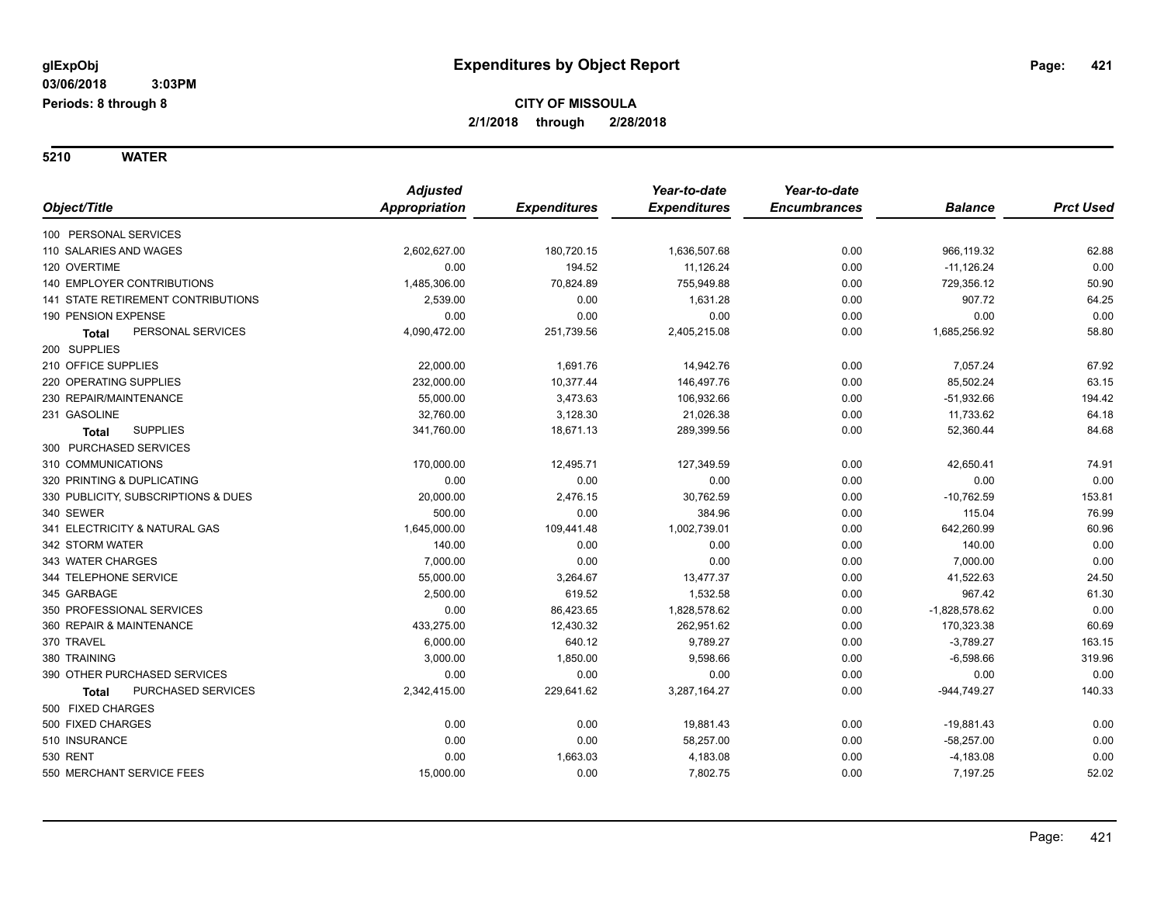**5210 WATER**

|                                     | <b>Adjusted</b> |                     | Year-to-date        | Year-to-date        |                 |                  |
|-------------------------------------|-----------------|---------------------|---------------------|---------------------|-----------------|------------------|
| Object/Title                        | Appropriation   | <b>Expenditures</b> | <b>Expenditures</b> | <b>Encumbrances</b> | <b>Balance</b>  | <b>Prct Used</b> |
| 100 PERSONAL SERVICES               |                 |                     |                     |                     |                 |                  |
| 110 SALARIES AND WAGES              | 2,602,627.00    | 180,720.15          | 1,636,507.68        | 0.00                | 966,119.32      | 62.88            |
| 120 OVERTIME                        | 0.00            | 194.52              | 11,126.24           | 0.00                | $-11,126.24$    | 0.00             |
| 140 EMPLOYER CONTRIBUTIONS          | 1,485,306.00    | 70,824.89           | 755,949.88          | 0.00                | 729,356.12      | 50.90            |
| 141 STATE RETIREMENT CONTRIBUTIONS  | 2,539.00        | 0.00                | 1,631.28            | 0.00                | 907.72          | 64.25            |
| 190 PENSION EXPENSE                 | 0.00            | 0.00                | 0.00                | 0.00                | 0.00            | 0.00             |
| PERSONAL SERVICES<br><b>Total</b>   | 4,090,472.00    | 251,739.56          | 2,405,215.08        | 0.00                | 1,685,256.92    | 58.80            |
| 200 SUPPLIES                        |                 |                     |                     |                     |                 |                  |
| 210 OFFICE SUPPLIES                 | 22,000.00       | 1,691.76            | 14,942.76           | 0.00                | 7,057.24        | 67.92            |
| 220 OPERATING SUPPLIES              | 232,000.00      | 10,377.44           | 146,497.76          | 0.00                | 85,502.24       | 63.15            |
| 230 REPAIR/MAINTENANCE              | 55,000.00       | 3,473.63            | 106,932.66          | 0.00                | $-51,932.66$    | 194.42           |
| 231 GASOLINE                        | 32,760.00       | 3,128.30            | 21,026.38           | 0.00                | 11,733.62       | 64.18            |
| <b>SUPPLIES</b><br><b>Total</b>     | 341,760.00      | 18,671.13           | 289,399.56          | 0.00                | 52,360.44       | 84.68            |
| 300 PURCHASED SERVICES              |                 |                     |                     |                     |                 |                  |
| 310 COMMUNICATIONS                  | 170,000.00      | 12,495.71           | 127,349.59          | 0.00                | 42,650.41       | 74.91            |
| 320 PRINTING & DUPLICATING          | 0.00            | 0.00                | 0.00                | 0.00                | 0.00            | 0.00             |
| 330 PUBLICITY, SUBSCRIPTIONS & DUES | 20,000.00       | 2,476.15            | 30,762.59           | 0.00                | $-10,762.59$    | 153.81           |
| 340 SEWER                           | 500.00          | 0.00                | 384.96              | 0.00                | 115.04          | 76.99            |
| 341 ELECTRICITY & NATURAL GAS       | 1,645,000.00    | 109,441.48          | 1,002,739.01        | 0.00                | 642,260.99      | 60.96            |
| 342 STORM WATER                     | 140.00          | 0.00                | 0.00                | 0.00                | 140.00          | 0.00             |
| 343 WATER CHARGES                   | 7,000.00        | 0.00                | 0.00                | 0.00                | 7,000.00        | 0.00             |
| 344 TELEPHONE SERVICE               | 55,000.00       | 3,264.67            | 13,477.37           | 0.00                | 41,522.63       | 24.50            |
| 345 GARBAGE                         | 2,500.00        | 619.52              | 1,532.58            | 0.00                | 967.42          | 61.30            |
| 350 PROFESSIONAL SERVICES           | 0.00            | 86,423.65           | 1,828,578.62        | 0.00                | $-1,828,578.62$ | 0.00             |
| 360 REPAIR & MAINTENANCE            | 433,275.00      | 12,430.32           | 262,951.62          | 0.00                | 170,323.38      | 60.69            |
| 370 TRAVEL                          | 6,000.00        | 640.12              | 9,789.27            | 0.00                | $-3,789.27$     | 163.15           |
| 380 TRAINING                        | 3,000.00        | 1,850.00            | 9,598.66            | 0.00                | $-6,598.66$     | 319.96           |
| 390 OTHER PURCHASED SERVICES        | 0.00            | 0.00                | 0.00                | 0.00                | 0.00            | 0.00             |
| PURCHASED SERVICES<br>Total         | 2,342,415.00    | 229,641.62          | 3,287,164.27        | 0.00                | $-944,749.27$   | 140.33           |
| 500 FIXED CHARGES                   |                 |                     |                     |                     |                 |                  |
| 500 FIXED CHARGES                   | 0.00            | 0.00                | 19,881.43           | 0.00                | $-19,881.43$    | 0.00             |
| 510 INSURANCE                       | 0.00            | 0.00                | 58,257.00           | 0.00                | $-58,257.00$    | 0.00             |
| 530 RENT                            | 0.00            | 1,663.03            | 4,183.08            | 0.00                | $-4,183.08$     | 0.00             |
| 550 MERCHANT SERVICE FEES           | 15,000.00       | 0.00                | 7,802.75            | 0.00                | 7,197.25        | 52.02            |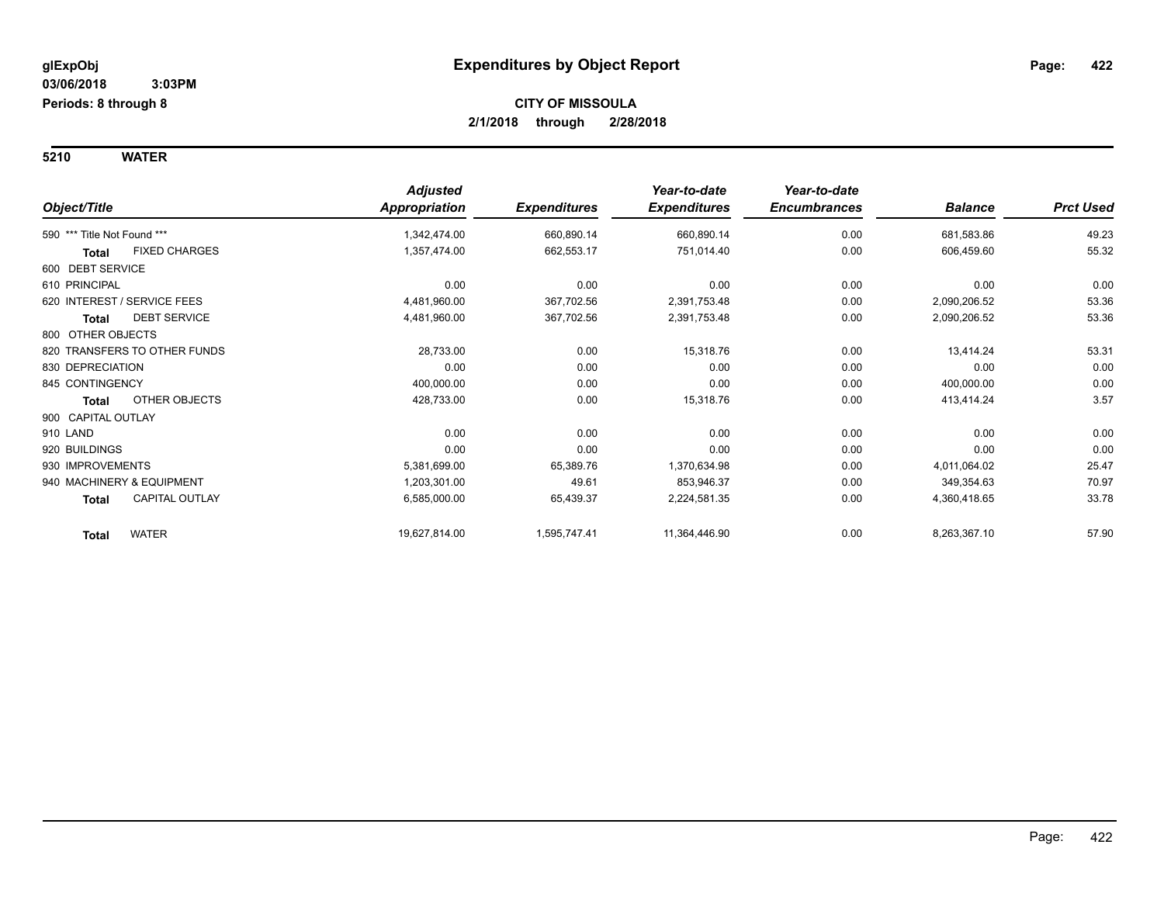**5210 WATER**

| Object/Title                          | <b>Adjusted</b><br>Appropriation | <b>Expenditures</b> | Year-to-date<br><b>Expenditures</b> | Year-to-date<br><b>Encumbrances</b> | <b>Balance</b> | <b>Prct Used</b> |
|---------------------------------------|----------------------------------|---------------------|-------------------------------------|-------------------------------------|----------------|------------------|
| 590 *** Title Not Found ***           | 1,342,474.00                     | 660,890.14          | 660,890.14                          | 0.00                                | 681,583.86     | 49.23            |
| <b>FIXED CHARGES</b><br><b>Total</b>  | 1,357,474.00                     | 662,553.17          | 751,014.40                          | 0.00                                | 606,459.60     | 55.32            |
| 600 DEBT SERVICE                      |                                  |                     |                                     |                                     |                |                  |
| 610 PRINCIPAL                         | 0.00                             | 0.00                | 0.00                                | 0.00                                | 0.00           | 0.00             |
| 620 INTEREST / SERVICE FEES           | 4,481,960.00                     | 367,702.56          | 2,391,753.48                        | 0.00                                | 2,090,206.52   | 53.36            |
| <b>DEBT SERVICE</b><br><b>Total</b>   | 4,481,960.00                     | 367,702.56          | 2,391,753.48                        | 0.00                                | 2,090,206.52   | 53.36            |
| 800 OTHER OBJECTS                     |                                  |                     |                                     |                                     |                |                  |
| 820 TRANSFERS TO OTHER FUNDS          | 28,733.00                        | 0.00                | 15,318.76                           | 0.00                                | 13,414.24      | 53.31            |
| 830 DEPRECIATION                      | 0.00                             | 0.00                | 0.00                                | 0.00                                | 0.00           | 0.00             |
| 845 CONTINGENCY                       | 400,000.00                       | 0.00                | 0.00                                | 0.00                                | 400,000.00     | 0.00             |
| <b>OTHER OBJECTS</b><br><b>Total</b>  | 428,733.00                       | 0.00                | 15,318.76                           | 0.00                                | 413,414.24     | 3.57             |
| 900 CAPITAL OUTLAY                    |                                  |                     |                                     |                                     |                |                  |
| 910 LAND                              | 0.00                             | 0.00                | 0.00                                | 0.00                                | 0.00           | 0.00             |
| 920 BUILDINGS                         | 0.00                             | 0.00                | 0.00                                | 0.00                                | 0.00           | 0.00             |
| 930 IMPROVEMENTS                      | 5,381,699.00                     | 65,389.76           | 1,370,634.98                        | 0.00                                | 4,011,064.02   | 25.47            |
| 940 MACHINERY & EQUIPMENT             | 1,203,301.00                     | 49.61               | 853,946.37                          | 0.00                                | 349,354.63     | 70.97            |
| <b>CAPITAL OUTLAY</b><br><b>Total</b> | 6,585,000.00                     | 65,439.37           | 2,224,581.35                        | 0.00                                | 4,360,418.65   | 33.78            |
| <b>WATER</b><br><b>Total</b>          | 19,627,814.00                    | 1,595,747.41        | 11,364,446.90                       | 0.00                                | 8,263,367.10   | 57.90            |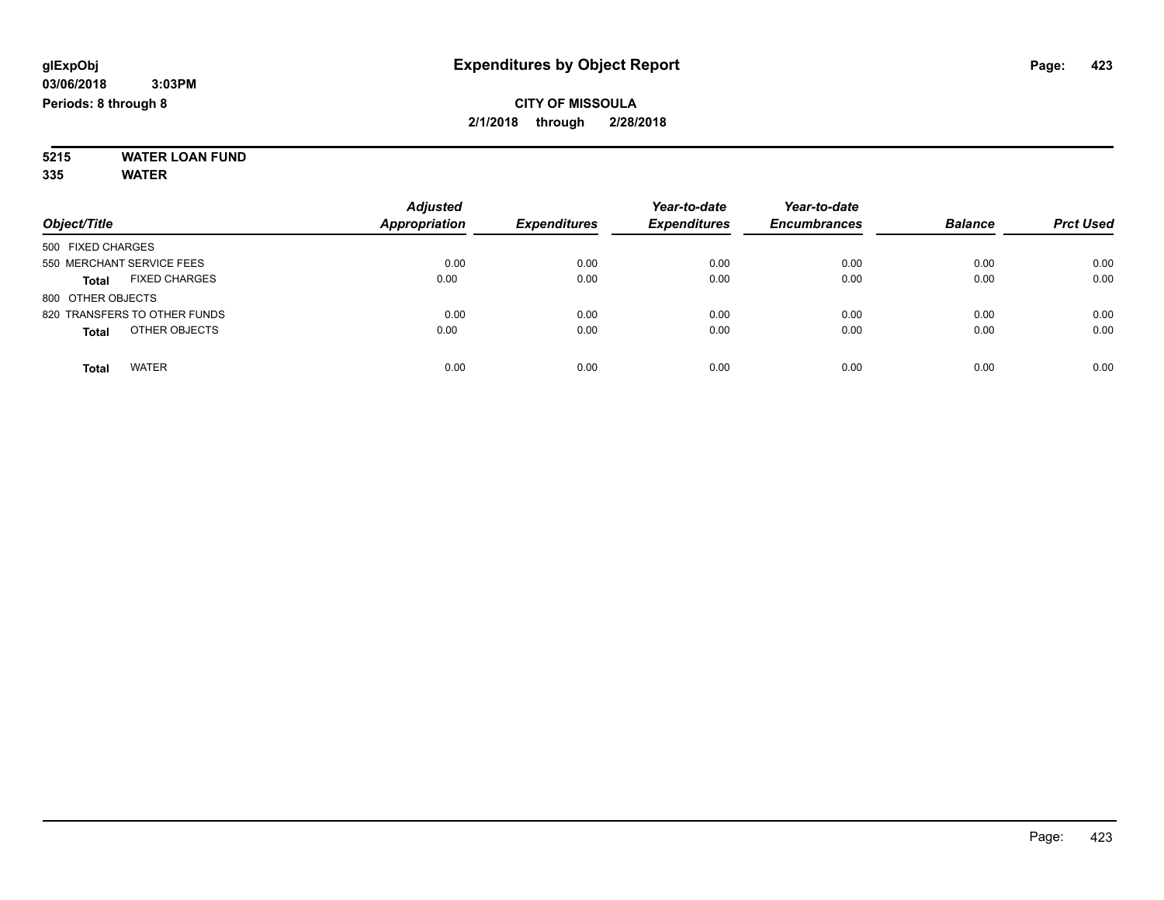#### **5215 WATER LOAN FUND 335 WATER**

|                                      | <b>Adjusted</b>      |                     | Year-to-date        | Year-to-date        |                |                  |
|--------------------------------------|----------------------|---------------------|---------------------|---------------------|----------------|------------------|
| Object/Title                         | <b>Appropriation</b> | <b>Expenditures</b> | <b>Expenditures</b> | <b>Encumbrances</b> | <b>Balance</b> | <b>Prct Used</b> |
| 500 FIXED CHARGES                    |                      |                     |                     |                     |                |                  |
| 550 MERCHANT SERVICE FEES            | 0.00                 | 0.00                | 0.00                | 0.00                | 0.00           | 0.00             |
| <b>FIXED CHARGES</b><br><b>Total</b> | 0.00                 | 0.00                | 0.00                | 0.00                | 0.00           | 0.00             |
| 800 OTHER OBJECTS                    |                      |                     |                     |                     |                |                  |
| 820 TRANSFERS TO OTHER FUNDS         | 0.00                 | 0.00                | 0.00                | 0.00                | 0.00           | 0.00             |
| OTHER OBJECTS<br><b>Total</b>        | 0.00                 | 0.00                | 0.00                | 0.00                | 0.00           | 0.00             |
| <b>WATER</b><br>Total                | 0.00                 | 0.00                | 0.00                | 0.00                | 0.00           | 0.00             |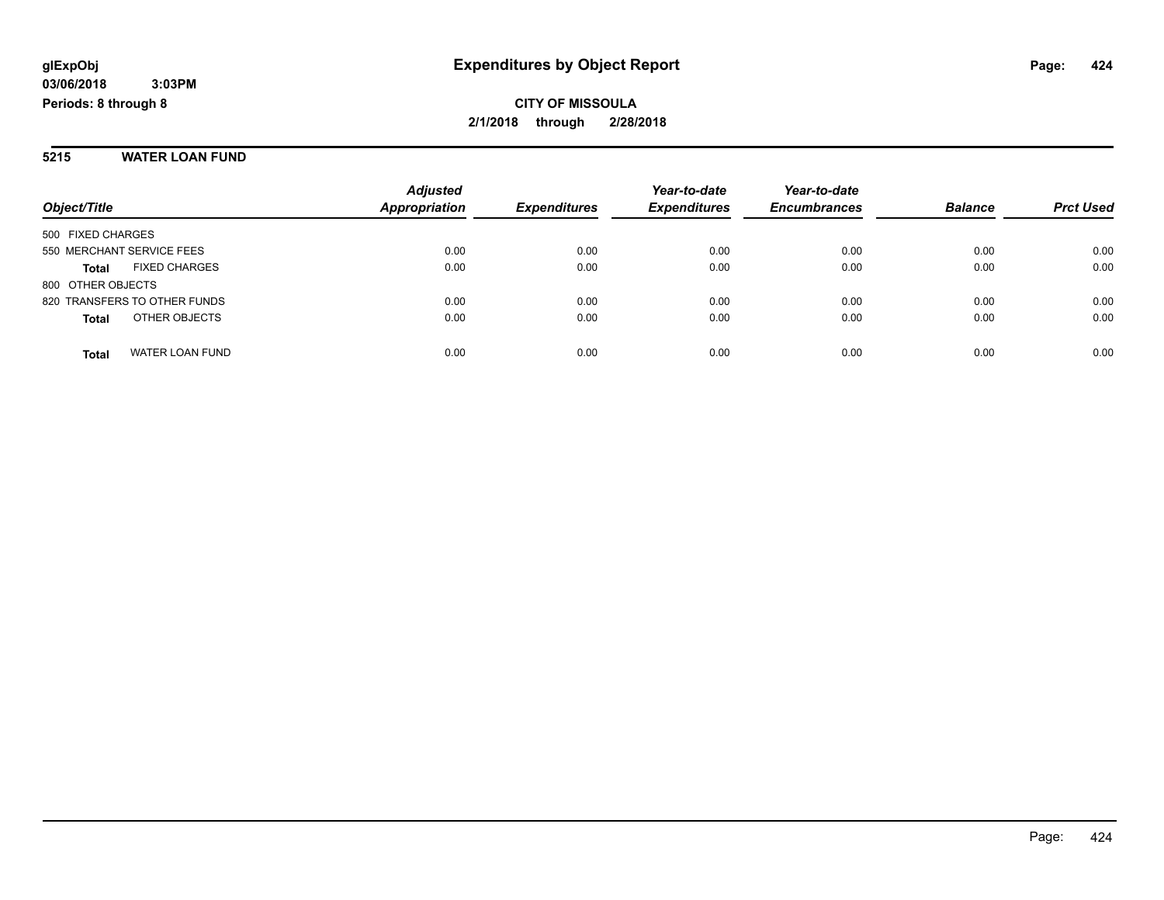#### **5215 WATER LOAN FUND**

|                                      | <b>Adjusted</b> |                     | Year-to-date        | Year-to-date        |                |                  |
|--------------------------------------|-----------------|---------------------|---------------------|---------------------|----------------|------------------|
| Object/Title                         | Appropriation   | <b>Expenditures</b> | <b>Expenditures</b> | <b>Encumbrances</b> | <b>Balance</b> | <b>Prct Used</b> |
| 500 FIXED CHARGES                    |                 |                     |                     |                     |                |                  |
| 550 MERCHANT SERVICE FEES            | 0.00            | 0.00                | 0.00                | 0.00                | 0.00           | 0.00             |
| <b>FIXED CHARGES</b><br><b>Total</b> | 0.00            | 0.00                | 0.00                | 0.00                | 0.00           | 0.00             |
| 800 OTHER OBJECTS                    |                 |                     |                     |                     |                |                  |
| 820 TRANSFERS TO OTHER FUNDS         | 0.00            | 0.00                | 0.00                | 0.00                | 0.00           | 0.00             |
| OTHER OBJECTS<br><b>Total</b>        | 0.00            | 0.00                | 0.00                | 0.00                | 0.00           | 0.00             |
| WATER LOAN FUND<br><b>Total</b>      | 0.00            | 0.00                | 0.00                | 0.00                | 0.00           | 0.00             |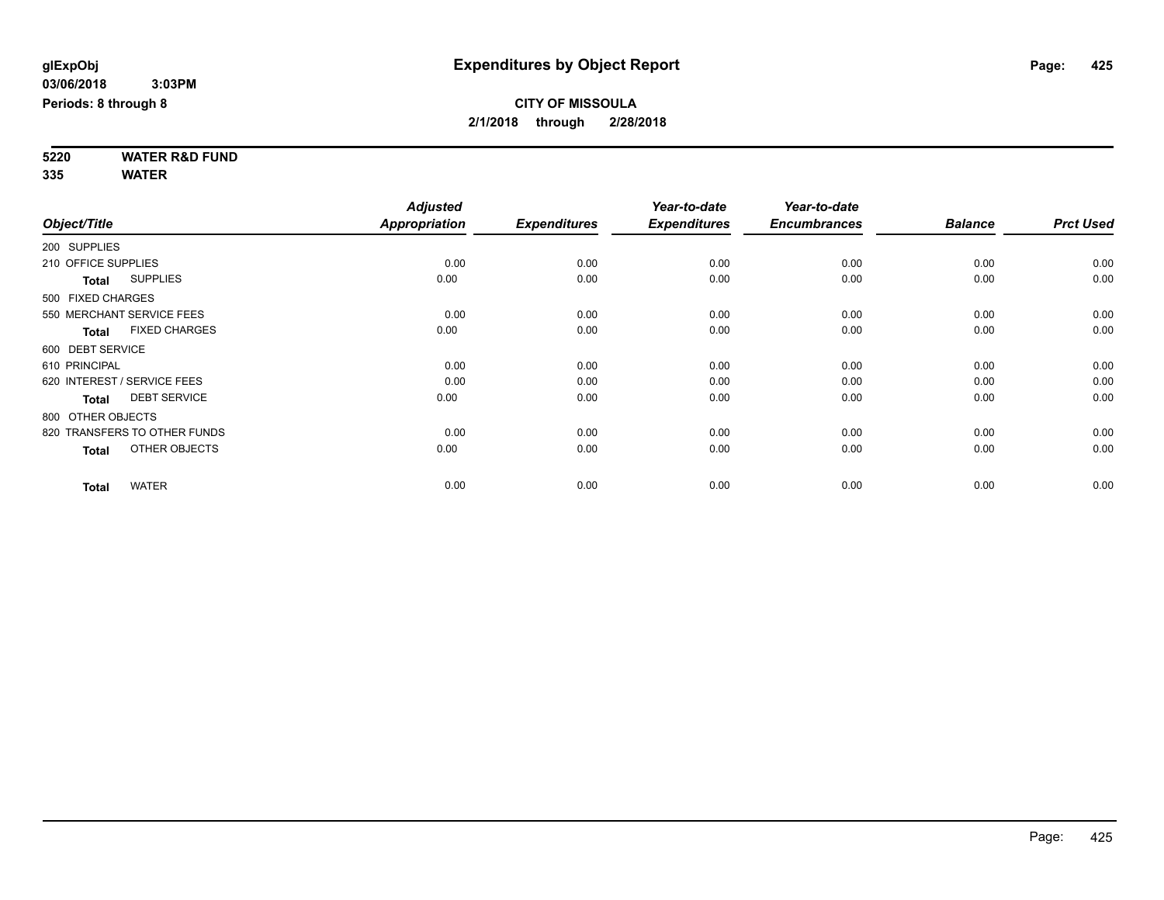**5220 WATER R&D FUND 335 WATER**

|                     |                              | <b>Adjusted</b>      |                     | Year-to-date        | Year-to-date        |                |                  |
|---------------------|------------------------------|----------------------|---------------------|---------------------|---------------------|----------------|------------------|
| Object/Title        |                              | <b>Appropriation</b> | <b>Expenditures</b> | <b>Expenditures</b> | <b>Encumbrances</b> | <b>Balance</b> | <b>Prct Used</b> |
| 200 SUPPLIES        |                              |                      |                     |                     |                     |                |                  |
| 210 OFFICE SUPPLIES |                              | 0.00                 | 0.00                | 0.00                | 0.00                | 0.00           | 0.00             |
| <b>Total</b>        | <b>SUPPLIES</b>              | 0.00                 | 0.00                | 0.00                | 0.00                | 0.00           | 0.00             |
| 500 FIXED CHARGES   |                              |                      |                     |                     |                     |                |                  |
|                     | 550 MERCHANT SERVICE FEES    | 0.00                 | 0.00                | 0.00                | 0.00                | 0.00           | 0.00             |
| <b>Total</b>        | <b>FIXED CHARGES</b>         | 0.00                 | 0.00                | 0.00                | 0.00                | 0.00           | 0.00             |
| 600 DEBT SERVICE    |                              |                      |                     |                     |                     |                |                  |
| 610 PRINCIPAL       |                              | 0.00                 | 0.00                | 0.00                | 0.00                | 0.00           | 0.00             |
|                     | 620 INTEREST / SERVICE FEES  | 0.00                 | 0.00                | 0.00                | 0.00                | 0.00           | 0.00             |
| <b>Total</b>        | <b>DEBT SERVICE</b>          | 0.00                 | 0.00                | 0.00                | 0.00                | 0.00           | 0.00             |
| 800 OTHER OBJECTS   |                              |                      |                     |                     |                     |                |                  |
|                     | 820 TRANSFERS TO OTHER FUNDS | 0.00                 | 0.00                | 0.00                | 0.00                | 0.00           | 0.00             |
| <b>Total</b>        | OTHER OBJECTS                | 0.00                 | 0.00                | 0.00                | 0.00                | 0.00           | 0.00             |
| <b>Total</b>        | <b>WATER</b>                 | 0.00                 | 0.00                | 0.00                | 0.00                | 0.00           | 0.00             |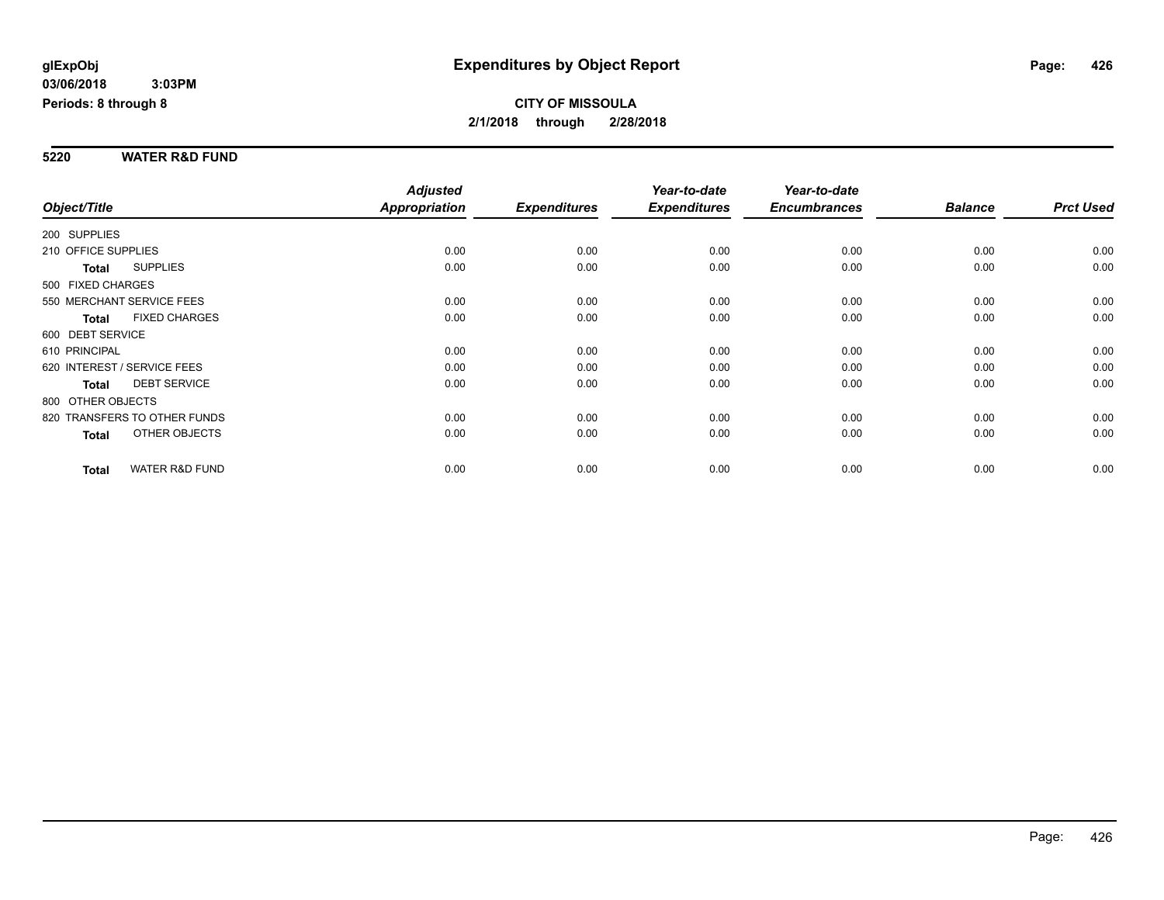#### **5220 WATER R&D FUND**

|                             |                              | <b>Adjusted</b>      |                     | Year-to-date        | Year-to-date        |                |                  |
|-----------------------------|------------------------------|----------------------|---------------------|---------------------|---------------------|----------------|------------------|
| Object/Title                |                              | <b>Appropriation</b> | <b>Expenditures</b> | <b>Expenditures</b> | <b>Encumbrances</b> | <b>Balance</b> | <b>Prct Used</b> |
| 200 SUPPLIES                |                              |                      |                     |                     |                     |                |                  |
| 210 OFFICE SUPPLIES         |                              | 0.00                 | 0.00                | 0.00                | 0.00                | 0.00           | 0.00             |
| Total                       | <b>SUPPLIES</b>              | 0.00                 | 0.00                | 0.00                | 0.00                | 0.00           | 0.00             |
| 500 FIXED CHARGES           |                              |                      |                     |                     |                     |                |                  |
| 550 MERCHANT SERVICE FEES   |                              | 0.00                 | 0.00                | 0.00                | 0.00                | 0.00           | 0.00             |
| <b>Total</b>                | <b>FIXED CHARGES</b>         | 0.00                 | 0.00                | 0.00                | 0.00                | 0.00           | 0.00             |
| 600 DEBT SERVICE            |                              |                      |                     |                     |                     |                |                  |
| 610 PRINCIPAL               |                              | 0.00                 | 0.00                | 0.00                | 0.00                | 0.00           | 0.00             |
| 620 INTEREST / SERVICE FEES |                              | 0.00                 | 0.00                | 0.00                | 0.00                | 0.00           | 0.00             |
| <b>Total</b>                | <b>DEBT SERVICE</b>          | 0.00                 | 0.00                | 0.00                | 0.00                | 0.00           | 0.00             |
| 800 OTHER OBJECTS           |                              |                      |                     |                     |                     |                |                  |
|                             | 820 TRANSFERS TO OTHER FUNDS | 0.00                 | 0.00                | 0.00                | 0.00                | 0.00           | 0.00             |
| Total                       | <b>OTHER OBJECTS</b>         | 0.00                 | 0.00                | 0.00                | 0.00                | 0.00           | 0.00             |
| <b>Total</b>                | <b>WATER R&amp;D FUND</b>    | 0.00                 | 0.00                | 0.00                | 0.00                | 0.00           | 0.00             |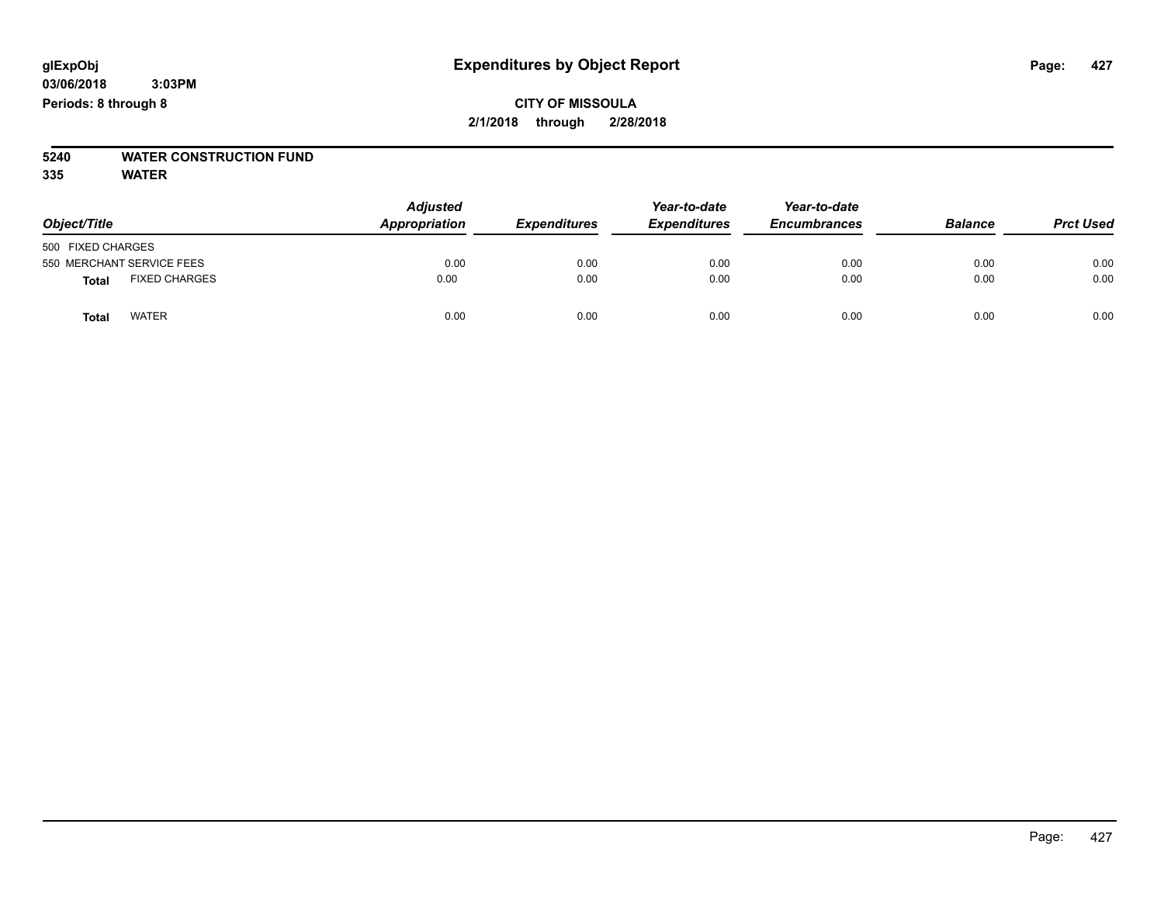# **5240 WATER CONSTRUCTION FUND**

**335 WATER**

| Object/Title                         | <b>Adjusted</b><br>Appropriation | <b>Expenditures</b> | Year-to-date<br><b>Expenditures</b> | Year-to-date<br><b>Encumbrances</b> | <b>Balance</b> | <b>Prct Used</b> |
|--------------------------------------|----------------------------------|---------------------|-------------------------------------|-------------------------------------|----------------|------------------|
| 500 FIXED CHARGES                    |                                  |                     |                                     |                                     |                |                  |
| 550 MERCHANT SERVICE FEES            | 0.00                             | 0.00                | 0.00                                | 0.00                                | 0.00           | 0.00             |
| <b>FIXED CHARGES</b><br><b>Total</b> | 0.00                             | 0.00                | 0.00                                | 0.00                                | 0.00           | 0.00             |
| <b>WATER</b><br>Total                | 0.00                             | 0.00                | 0.00                                | 0.00                                | 0.00           | 0.00             |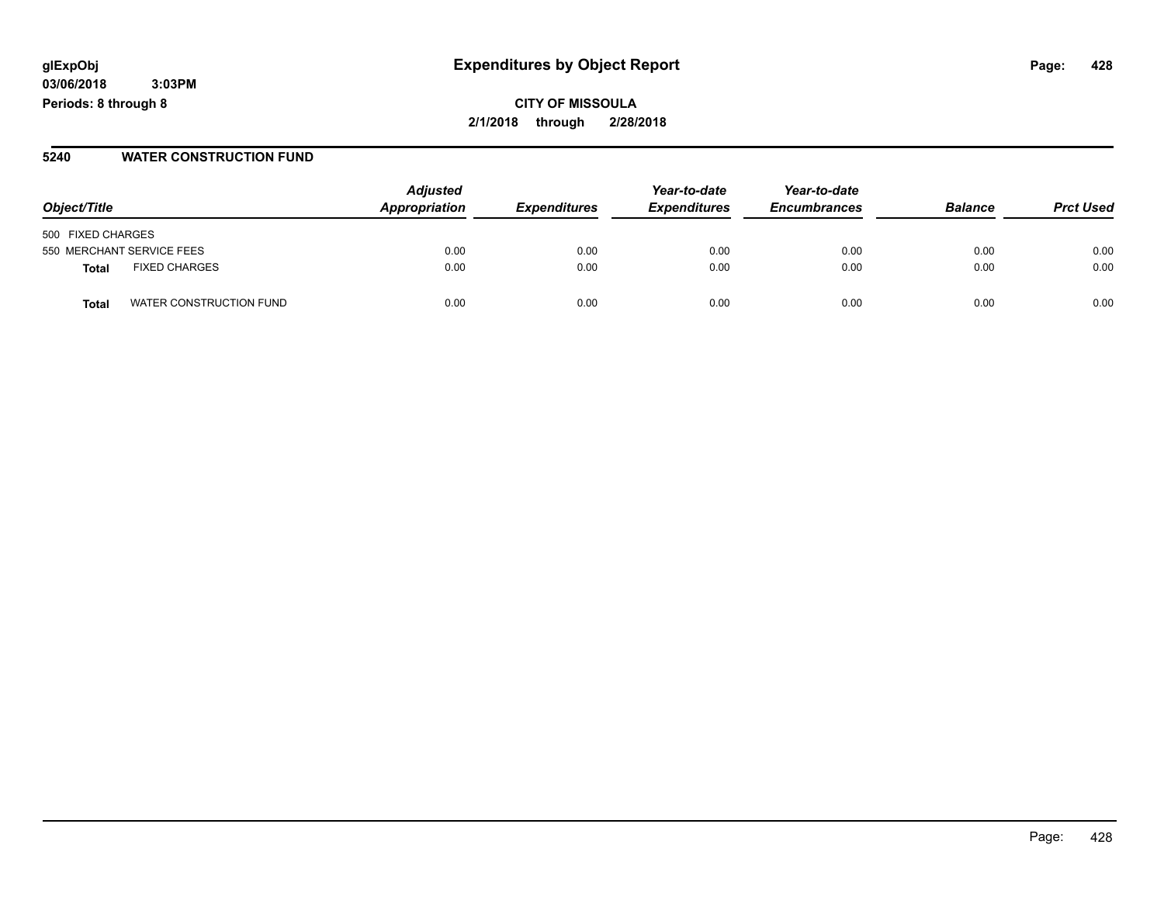**03/06/2018 3:03PM Periods: 8 through 8**

#### **5240 WATER CONSTRUCTION FUND**

| Object/Title                            | <b>Adjusted</b><br>Appropriation | <b>Expenditures</b> | Year-to-date<br><b>Expenditures</b> | Year-to-date<br><b>Encumbrances</b> | <b>Balance</b> | <b>Prct Used</b> |
|-----------------------------------------|----------------------------------|---------------------|-------------------------------------|-------------------------------------|----------------|------------------|
| 500 FIXED CHARGES                       |                                  |                     |                                     |                                     |                |                  |
| 550 MERCHANT SERVICE FEES               | 0.00                             | 0.00                | 0.00                                | 0.00                                | 0.00           | 0.00             |
| <b>FIXED CHARGES</b><br><b>Total</b>    | 0.00                             | 0.00                | 0.00                                | 0.00                                | 0.00           | 0.00             |
| WATER CONSTRUCTION FUND<br><b>Total</b> | 0.00                             | 0.00                | 0.00                                | 0.00                                | 0.00           | 0.00             |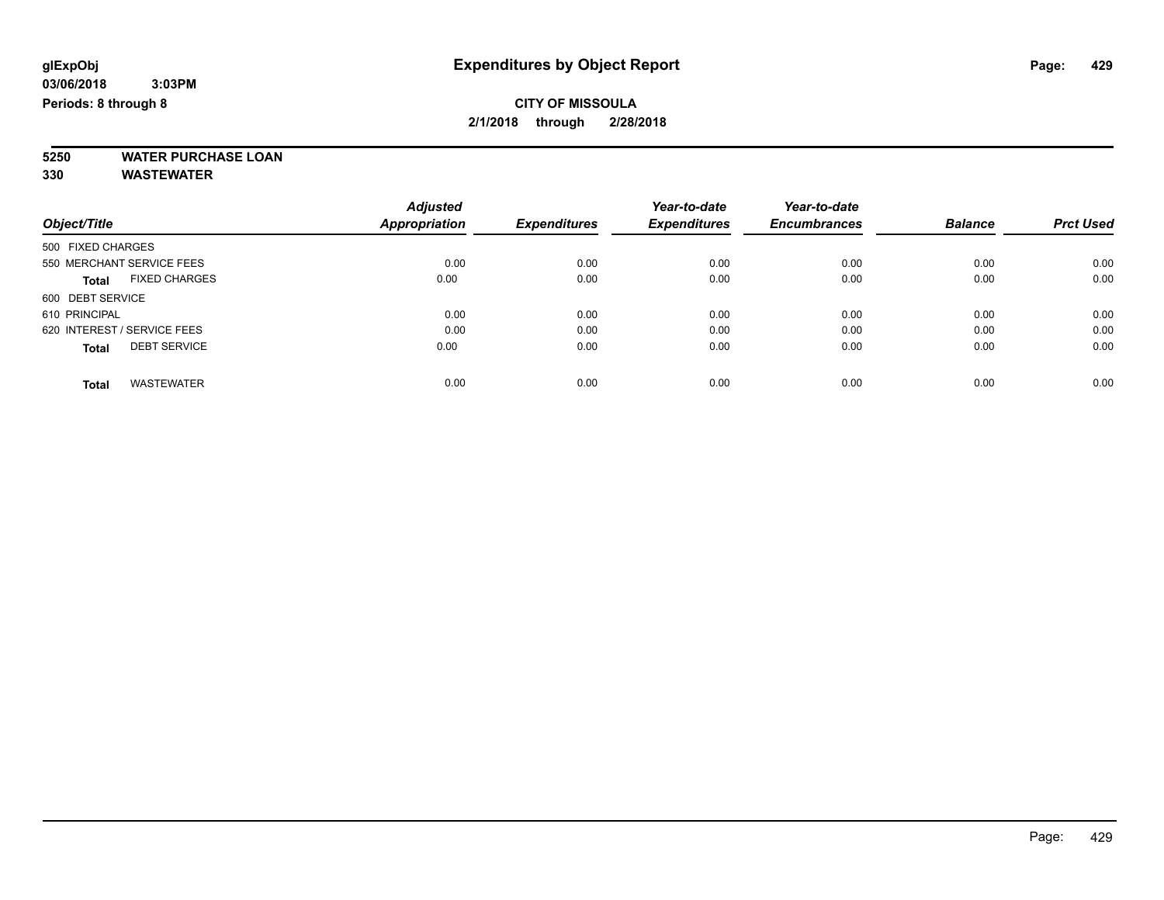**5250 WATER PURCHASE LOAN**

**330 WASTEWATER**

|                                      | <b>Adjusted</b> | <b>Expenditures</b> | Year-to-date        | Year-to-date        | <b>Balance</b> | <b>Prct Used</b> |
|--------------------------------------|-----------------|---------------------|---------------------|---------------------|----------------|------------------|
| Object/Title                         | Appropriation   |                     | <b>Expenditures</b> | <b>Encumbrances</b> |                |                  |
| 500 FIXED CHARGES                    |                 |                     |                     |                     |                |                  |
| 550 MERCHANT SERVICE FEES            | 0.00            | 0.00                | 0.00                | 0.00                | 0.00           | 0.00             |
| <b>FIXED CHARGES</b><br><b>Total</b> | 0.00            | 0.00                | 0.00                | 0.00                | 0.00           | 0.00             |
| 600 DEBT SERVICE                     |                 |                     |                     |                     |                |                  |
| 610 PRINCIPAL                        | 0.00            | 0.00                | 0.00                | 0.00                | 0.00           | 0.00             |
| 620 INTEREST / SERVICE FEES          | 0.00            | 0.00                | 0.00                | 0.00                | 0.00           | 0.00             |
| <b>DEBT SERVICE</b><br><b>Total</b>  | 0.00            | 0.00                | 0.00                | 0.00                | 0.00           | 0.00             |
| <b>WASTEWATER</b><br><b>Total</b>    | 0.00            | 0.00                | 0.00                | 0.00                | 0.00           | 0.00             |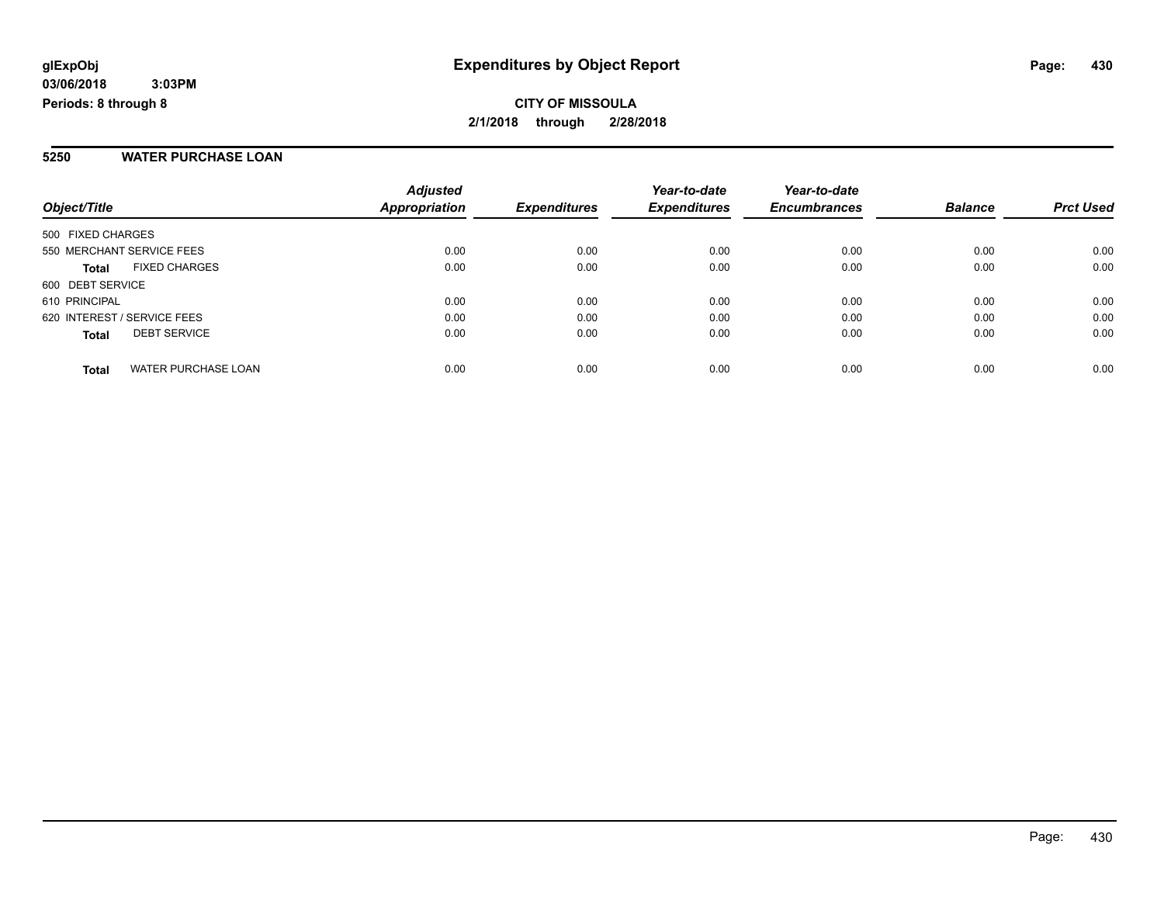#### **5250 WATER PURCHASE LOAN**

| Object/Title                               | <b>Adjusted</b><br><b>Appropriation</b> | <b>Expenditures</b> | Year-to-date<br><b>Expenditures</b> | Year-to-date<br><b>Encumbrances</b> | <b>Balance</b> | <b>Prct Used</b> |
|--------------------------------------------|-----------------------------------------|---------------------|-------------------------------------|-------------------------------------|----------------|------------------|
| 500 FIXED CHARGES                          |                                         |                     |                                     |                                     |                |                  |
| 550 MERCHANT SERVICE FEES                  | 0.00                                    | 0.00                | 0.00                                | 0.00                                | 0.00           | 0.00             |
| <b>FIXED CHARGES</b><br><b>Total</b>       | 0.00                                    | 0.00                | 0.00                                | 0.00                                | 0.00           | 0.00             |
| 600 DEBT SERVICE                           |                                         |                     |                                     |                                     |                |                  |
| 610 PRINCIPAL                              | 0.00                                    | 0.00                | 0.00                                | 0.00                                | 0.00           | 0.00             |
| 620 INTEREST / SERVICE FEES                | 0.00                                    | 0.00                | 0.00                                | 0.00                                | 0.00           | 0.00             |
| <b>DEBT SERVICE</b><br><b>Total</b>        | 0.00                                    | 0.00                | 0.00                                | 0.00                                | 0.00           | 0.00             |
| <b>WATER PURCHASE LOAN</b><br><b>Total</b> | 0.00                                    | 0.00                | 0.00                                | 0.00                                | 0.00           | 0.00             |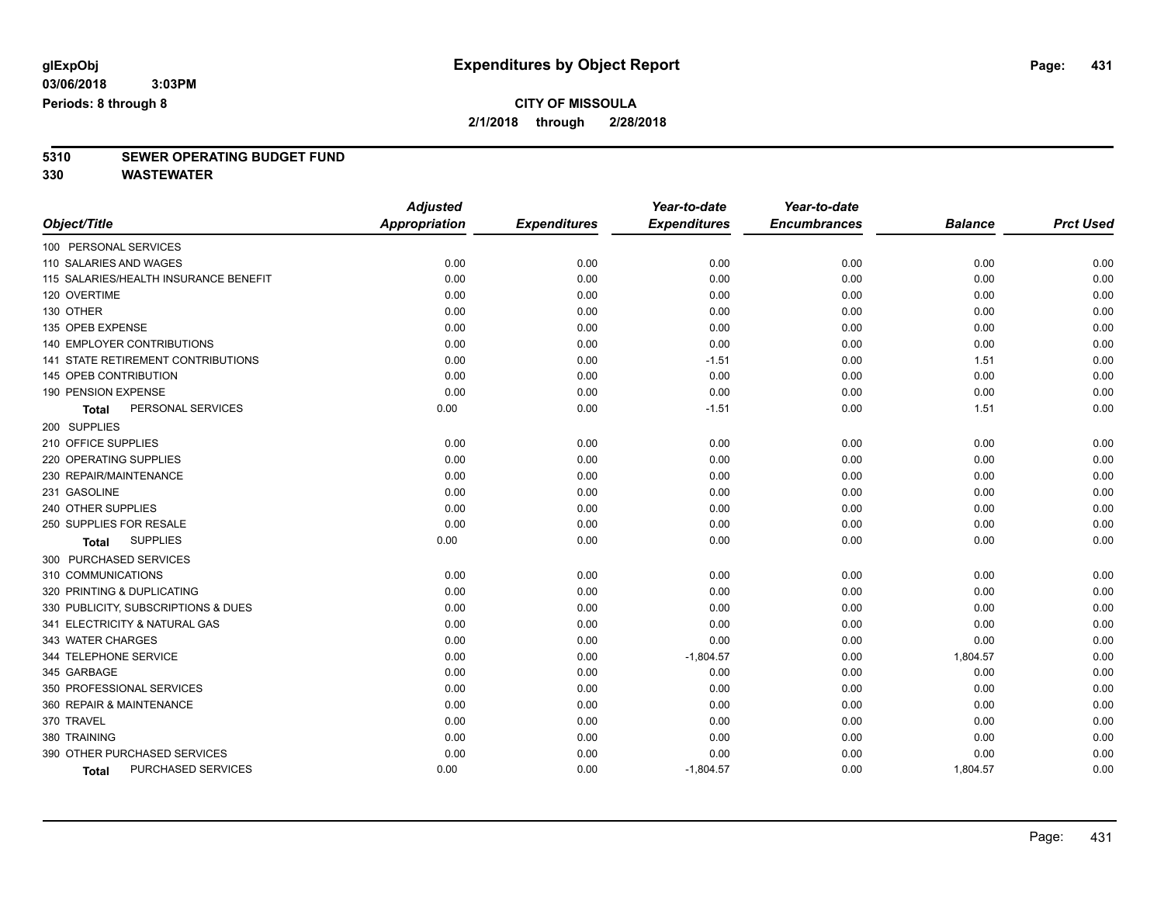# **5310 SEWER OPERATING BUDGET FUND**

**330 WASTEWATER**

|                                           | <b>Adjusted</b>      |                     | Year-to-date        | Year-to-date        |                |                  |
|-------------------------------------------|----------------------|---------------------|---------------------|---------------------|----------------|------------------|
| Object/Title                              | <b>Appropriation</b> | <b>Expenditures</b> | <b>Expenditures</b> | <b>Encumbrances</b> | <b>Balance</b> | <b>Prct Used</b> |
| 100 PERSONAL SERVICES                     |                      |                     |                     |                     |                |                  |
| 110 SALARIES AND WAGES                    | 0.00                 | 0.00                | 0.00                | 0.00                | 0.00           | 0.00             |
| 115 SALARIES/HEALTH INSURANCE BENEFIT     | 0.00                 | 0.00                | 0.00                | 0.00                | 0.00           | 0.00             |
| 120 OVERTIME                              | 0.00                 | 0.00                | 0.00                | 0.00                | 0.00           | 0.00             |
| 130 OTHER                                 | 0.00                 | 0.00                | 0.00                | 0.00                | 0.00           | 0.00             |
| 135 OPEB EXPENSE                          | 0.00                 | 0.00                | 0.00                | 0.00                | 0.00           | 0.00             |
| <b>140 EMPLOYER CONTRIBUTIONS</b>         | 0.00                 | 0.00                | 0.00                | 0.00                | 0.00           | 0.00             |
| <b>141 STATE RETIREMENT CONTRIBUTIONS</b> | 0.00                 | 0.00                | $-1.51$             | 0.00                | 1.51           | 0.00             |
| 145 OPEB CONTRIBUTION                     | 0.00                 | 0.00                | 0.00                | 0.00                | 0.00           | 0.00             |
| 190 PENSION EXPENSE                       | 0.00                 | 0.00                | 0.00                | 0.00                | 0.00           | 0.00             |
| PERSONAL SERVICES<br><b>Total</b>         | 0.00                 | 0.00                | $-1.51$             | 0.00                | 1.51           | 0.00             |
| 200 SUPPLIES                              |                      |                     |                     |                     |                |                  |
| 210 OFFICE SUPPLIES                       | 0.00                 | 0.00                | 0.00                | 0.00                | 0.00           | 0.00             |
| 220 OPERATING SUPPLIES                    | 0.00                 | 0.00                | 0.00                | 0.00                | 0.00           | 0.00             |
| 230 REPAIR/MAINTENANCE                    | 0.00                 | 0.00                | 0.00                | 0.00                | 0.00           | 0.00             |
| 231 GASOLINE                              | 0.00                 | 0.00                | 0.00                | 0.00                | 0.00           | 0.00             |
| 240 OTHER SUPPLIES                        | 0.00                 | 0.00                | 0.00                | 0.00                | 0.00           | 0.00             |
| 250 SUPPLIES FOR RESALE                   | 0.00                 | 0.00                | 0.00                | 0.00                | 0.00           | 0.00             |
| <b>SUPPLIES</b><br><b>Total</b>           | 0.00                 | 0.00                | 0.00                | 0.00                | 0.00           | 0.00             |
| 300 PURCHASED SERVICES                    |                      |                     |                     |                     |                |                  |
| 310 COMMUNICATIONS                        | 0.00                 | 0.00                | 0.00                | 0.00                | 0.00           | 0.00             |
| 320 PRINTING & DUPLICATING                | 0.00                 | 0.00                | 0.00                | 0.00                | 0.00           | 0.00             |
| 330 PUBLICITY, SUBSCRIPTIONS & DUES       | 0.00                 | 0.00                | 0.00                | 0.00                | 0.00           | 0.00             |
| 341 ELECTRICITY & NATURAL GAS             | 0.00                 | 0.00                | 0.00                | 0.00                | 0.00           | 0.00             |
| 343 WATER CHARGES                         | 0.00                 | 0.00                | 0.00                | 0.00                | 0.00           | 0.00             |
| 344 TELEPHONE SERVICE                     | 0.00                 | 0.00                | $-1,804.57$         | 0.00                | 1,804.57       | 0.00             |
| 345 GARBAGE                               | 0.00                 | 0.00                | 0.00                | 0.00                | 0.00           | 0.00             |
| 350 PROFESSIONAL SERVICES                 | 0.00                 | 0.00                | 0.00                | 0.00                | 0.00           | 0.00             |
| 360 REPAIR & MAINTENANCE                  | 0.00                 | 0.00                | 0.00                | 0.00                | 0.00           | 0.00             |
| 370 TRAVEL                                | 0.00                 | 0.00                | 0.00                | 0.00                | 0.00           | 0.00             |
| 380 TRAINING                              | 0.00                 | 0.00                | 0.00                | 0.00                | 0.00           | 0.00             |
| 390 OTHER PURCHASED SERVICES              | 0.00                 | 0.00                | 0.00                | 0.00                | 0.00           | 0.00             |
| PURCHASED SERVICES<br><b>Total</b>        | 0.00                 | 0.00                | $-1,804.57$         | 0.00                | 1,804.57       | 0.00             |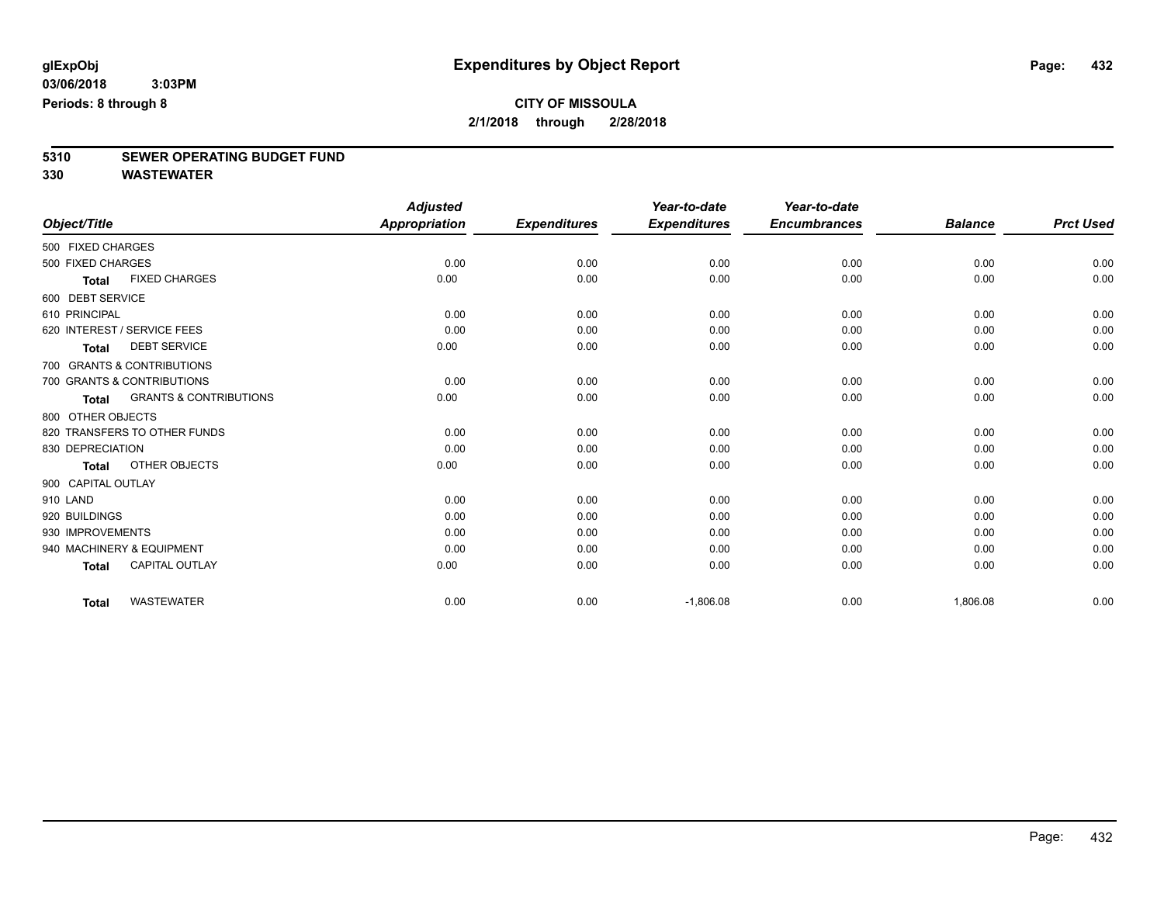# **5310 SEWER OPERATING BUDGET FUND**

**330 WASTEWATER**

|                                                   | <b>Adjusted</b>      |                     | Year-to-date        | Year-to-date        |                |                  |
|---------------------------------------------------|----------------------|---------------------|---------------------|---------------------|----------------|------------------|
| Object/Title                                      | <b>Appropriation</b> | <b>Expenditures</b> | <b>Expenditures</b> | <b>Encumbrances</b> | <b>Balance</b> | <b>Prct Used</b> |
| 500 FIXED CHARGES                                 |                      |                     |                     |                     |                |                  |
| 500 FIXED CHARGES                                 | 0.00                 | 0.00                | 0.00                | 0.00                | 0.00           | 0.00             |
| <b>FIXED CHARGES</b><br><b>Total</b>              | 0.00                 | 0.00                | 0.00                | 0.00                | 0.00           | 0.00             |
| 600 DEBT SERVICE                                  |                      |                     |                     |                     |                |                  |
| 610 PRINCIPAL                                     | 0.00                 | 0.00                | 0.00                | 0.00                | 0.00           | 0.00             |
| 620 INTEREST / SERVICE FEES                       | 0.00                 | 0.00                | 0.00                | 0.00                | 0.00           | 0.00             |
| <b>DEBT SERVICE</b><br><b>Total</b>               | 0.00                 | 0.00                | 0.00                | 0.00                | 0.00           | 0.00             |
| 700 GRANTS & CONTRIBUTIONS                        |                      |                     |                     |                     |                |                  |
| 700 GRANTS & CONTRIBUTIONS                        | 0.00                 | 0.00                | 0.00                | 0.00                | 0.00           | 0.00             |
| <b>GRANTS &amp; CONTRIBUTIONS</b><br><b>Total</b> | 0.00                 | 0.00                | 0.00                | 0.00                | 0.00           | 0.00             |
| 800 OTHER OBJECTS                                 |                      |                     |                     |                     |                |                  |
| 820 TRANSFERS TO OTHER FUNDS                      | 0.00                 | 0.00                | 0.00                | 0.00                | 0.00           | 0.00             |
| 830 DEPRECIATION                                  | 0.00                 | 0.00                | 0.00                | 0.00                | 0.00           | 0.00             |
| OTHER OBJECTS<br><b>Total</b>                     | 0.00                 | 0.00                | 0.00                | 0.00                | 0.00           | 0.00             |
| 900 CAPITAL OUTLAY                                |                      |                     |                     |                     |                |                  |
| 910 LAND                                          | 0.00                 | 0.00                | 0.00                | 0.00                | 0.00           | 0.00             |
| 920 BUILDINGS                                     | 0.00                 | 0.00                | 0.00                | 0.00                | 0.00           | 0.00             |
| 930 IMPROVEMENTS                                  | 0.00                 | 0.00                | 0.00                | 0.00                | 0.00           | 0.00             |
| 940 MACHINERY & EQUIPMENT                         | 0.00                 | 0.00                | 0.00                | 0.00                | 0.00           | 0.00             |
| <b>CAPITAL OUTLAY</b><br><b>Total</b>             | 0.00                 | 0.00                | 0.00                | 0.00                | 0.00           | 0.00             |
| <b>WASTEWATER</b><br><b>Total</b>                 | 0.00                 | 0.00                | $-1,806.08$         | 0.00                | 1,806.08       | 0.00             |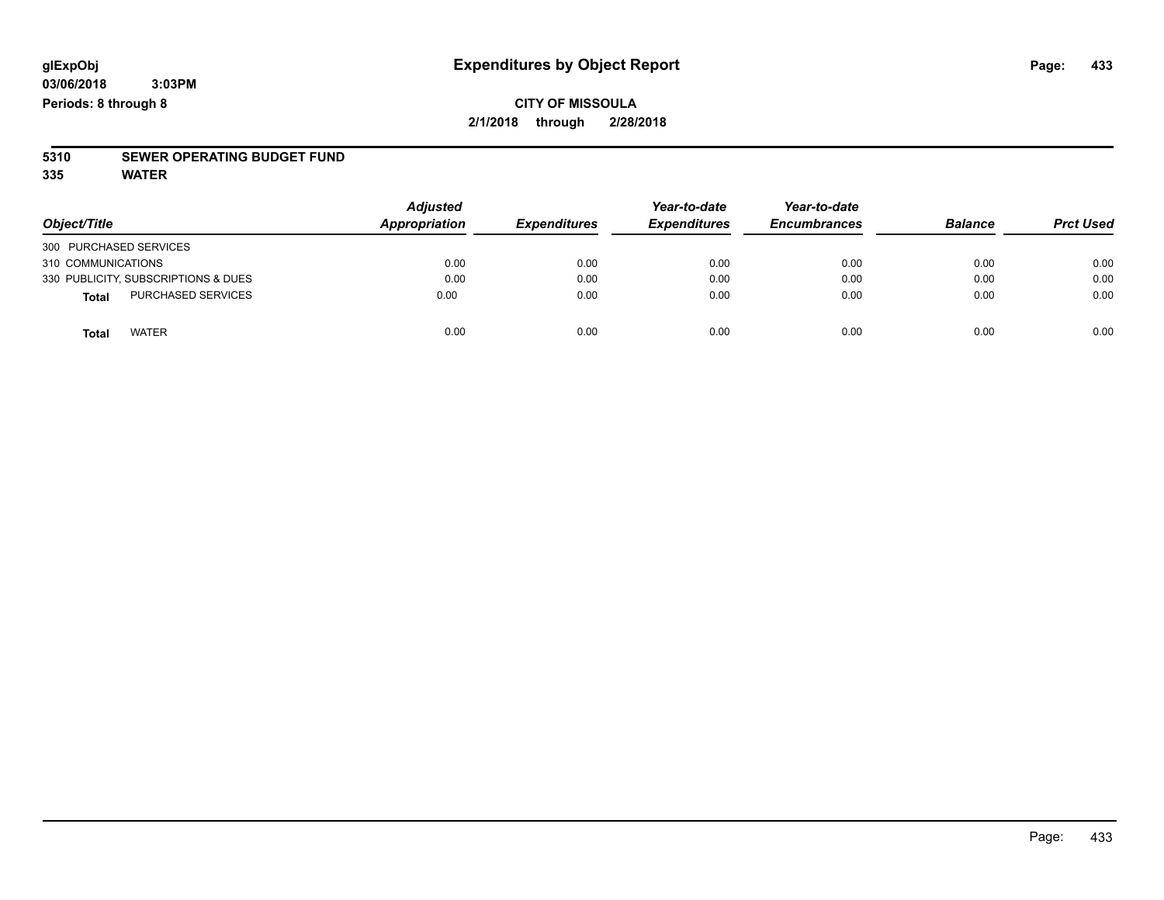### **CITY OF MISSOULA 2/1/2018 through 2/28/2018**

# **5310 SEWER OPERATING BUDGET FUND**

**335 WATER**

| Object/Title                        | <b>Adjusted</b>      | <b>Expenditures</b> | Year-to-date        | Year-to-date<br><b>Encumbrances</b> | <b>Balance</b> | <b>Prct Used</b> |
|-------------------------------------|----------------------|---------------------|---------------------|-------------------------------------|----------------|------------------|
|                                     | <b>Appropriation</b> |                     | <b>Expenditures</b> |                                     |                |                  |
| 300 PURCHASED SERVICES              |                      |                     |                     |                                     |                |                  |
| 310 COMMUNICATIONS                  | 0.00                 | 0.00                | 0.00                | 0.00                                | 0.00           | 0.00             |
| 330 PUBLICITY, SUBSCRIPTIONS & DUES | 0.00                 | 0.00                | 0.00                | 0.00                                | 0.00           | 0.00             |
| PURCHASED SERVICES<br><b>Total</b>  | 0.00                 | 0.00                | 0.00                | 0.00                                | 0.00           | 0.00             |
| <b>WATER</b><br>Total               | 0.00                 | 0.00                | 0.00                | 0.00                                | 0.00           | 0.00             |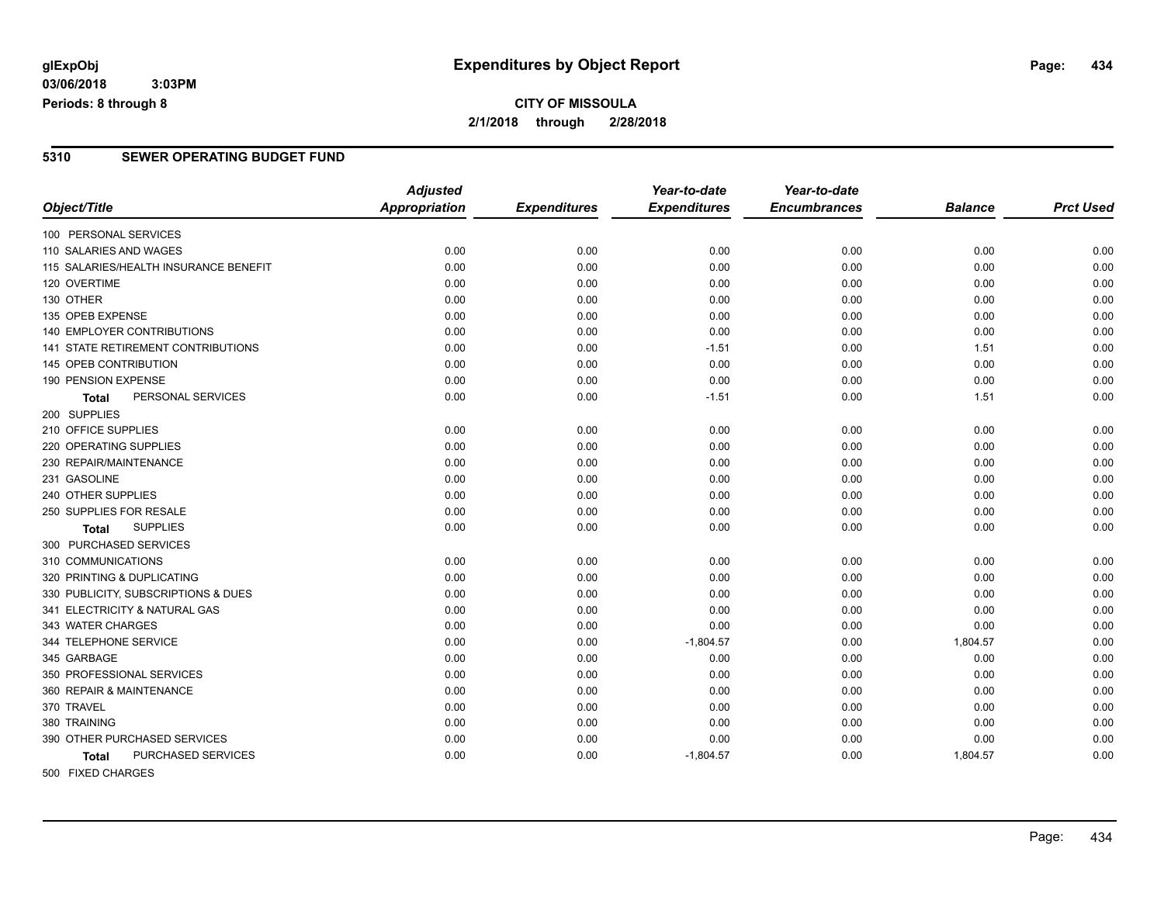**03/06/2018 3:03PM Periods: 8 through 8**

#### **5310 SEWER OPERATING BUDGET FUND**

|                                           | <b>Adjusted</b>      |                     | Year-to-date        | Year-to-date        |                |                  |
|-------------------------------------------|----------------------|---------------------|---------------------|---------------------|----------------|------------------|
| Object/Title                              | <b>Appropriation</b> | <b>Expenditures</b> | <b>Expenditures</b> | <b>Encumbrances</b> | <b>Balance</b> | <b>Prct Used</b> |
| 100 PERSONAL SERVICES                     |                      |                     |                     |                     |                |                  |
| 110 SALARIES AND WAGES                    | 0.00                 | 0.00                | 0.00                | 0.00                | 0.00           | 0.00             |
| 115 SALARIES/HEALTH INSURANCE BENEFIT     | 0.00                 | 0.00                | 0.00                | 0.00                | 0.00           | 0.00             |
| 120 OVERTIME                              | 0.00                 | 0.00                | 0.00                | 0.00                | 0.00           | 0.00             |
| 130 OTHER                                 | 0.00                 | 0.00                | 0.00                | 0.00                | 0.00           | 0.00             |
| 135 OPEB EXPENSE                          | 0.00                 | 0.00                | 0.00                | 0.00                | 0.00           | 0.00             |
| <b>140 EMPLOYER CONTRIBUTIONS</b>         | 0.00                 | 0.00                | 0.00                | 0.00                | 0.00           | 0.00             |
| 141 STATE RETIREMENT CONTRIBUTIONS        | 0.00                 | 0.00                | $-1.51$             | 0.00                | 1.51           | 0.00             |
| 145 OPEB CONTRIBUTION                     | 0.00                 | 0.00                | 0.00                | 0.00                | 0.00           | 0.00             |
| 190 PENSION EXPENSE                       | 0.00                 | 0.00                | 0.00                | 0.00                | 0.00           | 0.00             |
| PERSONAL SERVICES<br><b>Total</b>         | 0.00                 | 0.00                | $-1.51$             | 0.00                | 1.51           | 0.00             |
| 200 SUPPLIES                              |                      |                     |                     |                     |                |                  |
| 210 OFFICE SUPPLIES                       | 0.00                 | 0.00                | 0.00                | 0.00                | 0.00           | 0.00             |
| 220 OPERATING SUPPLIES                    | 0.00                 | 0.00                | 0.00                | 0.00                | 0.00           | 0.00             |
| 230 REPAIR/MAINTENANCE                    | 0.00                 | 0.00                | 0.00                | 0.00                | 0.00           | 0.00             |
| 231 GASOLINE                              | 0.00                 | 0.00                | 0.00                | 0.00                | 0.00           | 0.00             |
| 240 OTHER SUPPLIES                        | 0.00                 | 0.00                | 0.00                | 0.00                | 0.00           | 0.00             |
| 250 SUPPLIES FOR RESALE                   | 0.00                 | 0.00                | 0.00                | 0.00                | 0.00           | 0.00             |
| <b>SUPPLIES</b><br>Total                  | 0.00                 | 0.00                | 0.00                | 0.00                | 0.00           | 0.00             |
| 300 PURCHASED SERVICES                    |                      |                     |                     |                     |                |                  |
| 310 COMMUNICATIONS                        | 0.00                 | 0.00                | 0.00                | 0.00                | 0.00           | 0.00             |
| 320 PRINTING & DUPLICATING                | 0.00                 | 0.00                | 0.00                | 0.00                | 0.00           | 0.00             |
| 330 PUBLICITY, SUBSCRIPTIONS & DUES       | 0.00                 | 0.00                | 0.00                | 0.00                | 0.00           | 0.00             |
| 341 ELECTRICITY & NATURAL GAS             | 0.00                 | 0.00                | 0.00                | 0.00                | 0.00           | 0.00             |
| 343 WATER CHARGES                         | 0.00                 | 0.00                | 0.00                | 0.00                | 0.00           | 0.00             |
| 344 TELEPHONE SERVICE                     | 0.00                 | 0.00                | $-1,804.57$         | 0.00                | 1,804.57       | 0.00             |
| 345 GARBAGE                               | 0.00                 | 0.00                | 0.00                | 0.00                | 0.00           | 0.00             |
| 350 PROFESSIONAL SERVICES                 | 0.00                 | 0.00                | 0.00                | 0.00                | 0.00           | 0.00             |
| 360 REPAIR & MAINTENANCE                  | 0.00                 | 0.00                | 0.00                | 0.00                | 0.00           | 0.00             |
| 370 TRAVEL                                | 0.00                 | 0.00                | 0.00                | 0.00                | 0.00           | 0.00             |
| 380 TRAINING                              | 0.00                 | 0.00                | 0.00                | 0.00                | 0.00           | 0.00             |
| 390 OTHER PURCHASED SERVICES              | 0.00                 | 0.00                | 0.00                | 0.00                | 0.00           | 0.00             |
| <b>PURCHASED SERVICES</b><br><b>Total</b> | 0.00                 | 0.00                | $-1,804.57$         | 0.00                | 1,804.57       | 0.00             |
| FOR FIVED OURDOED                         |                      |                     |                     |                     |                |                  |

500 FIXED CHARGES

Page: 434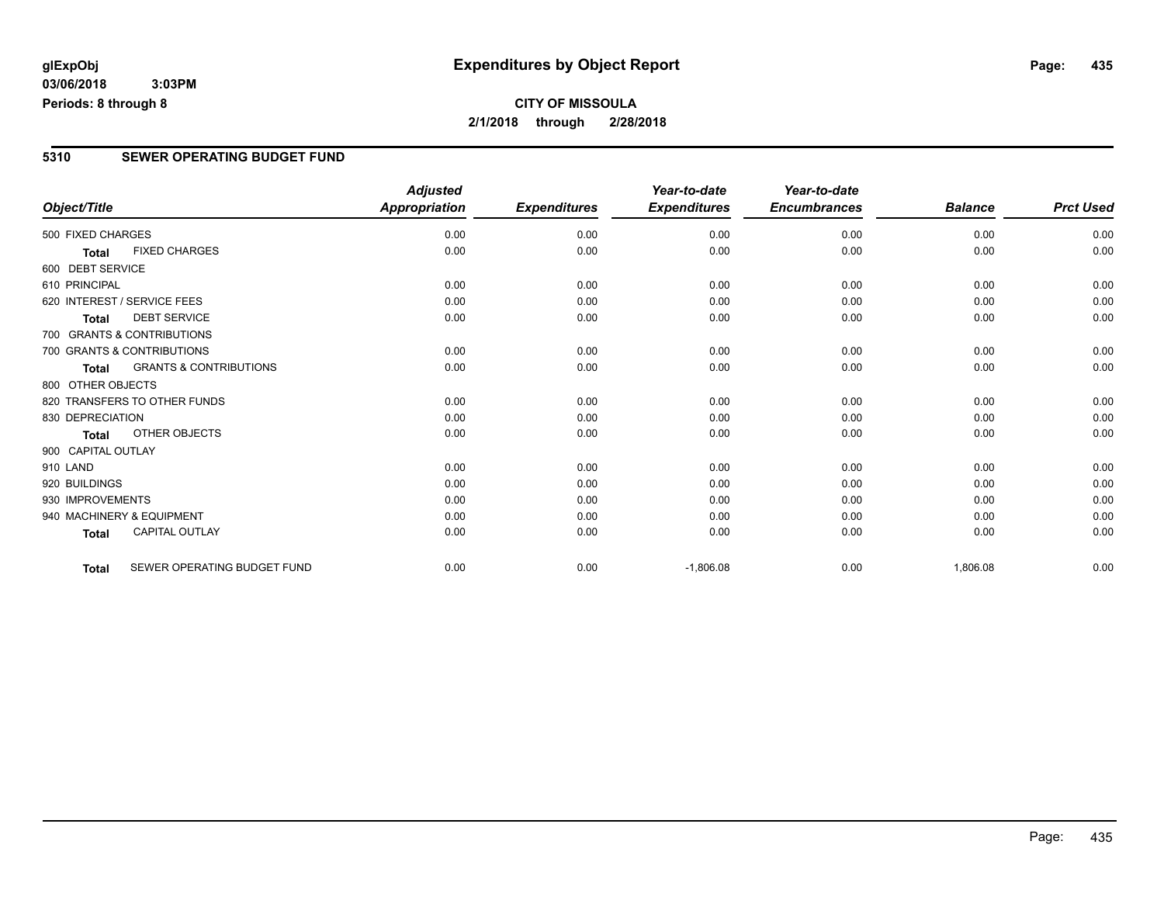**03/06/2018 3:03PM Periods: 8 through 8**

## **CITY OF MISSOULA 2/1/2018 through 2/28/2018**

#### **5310 SEWER OPERATING BUDGET FUND**

|                    |                                   | <b>Adjusted</b>      |                     | Year-to-date        | Year-to-date        |                |                  |
|--------------------|-----------------------------------|----------------------|---------------------|---------------------|---------------------|----------------|------------------|
| Object/Title       |                                   | <b>Appropriation</b> | <b>Expenditures</b> | <b>Expenditures</b> | <b>Encumbrances</b> | <b>Balance</b> | <b>Prct Used</b> |
| 500 FIXED CHARGES  |                                   | 0.00                 | 0.00                | 0.00                | 0.00                | 0.00           | 0.00             |
| <b>Total</b>       | <b>FIXED CHARGES</b>              | 0.00                 | 0.00                | 0.00                | 0.00                | 0.00           | 0.00             |
| 600 DEBT SERVICE   |                                   |                      |                     |                     |                     |                |                  |
| 610 PRINCIPAL      |                                   | 0.00                 | 0.00                | 0.00                | 0.00                | 0.00           | 0.00             |
|                    | 620 INTEREST / SERVICE FEES       | 0.00                 | 0.00                | 0.00                | 0.00                | 0.00           | 0.00             |
| <b>Total</b>       | <b>DEBT SERVICE</b>               | 0.00                 | 0.00                | 0.00                | 0.00                | 0.00           | 0.00             |
|                    | 700 GRANTS & CONTRIBUTIONS        |                      |                     |                     |                     |                |                  |
|                    | 700 GRANTS & CONTRIBUTIONS        | 0.00                 | 0.00                | 0.00                | 0.00                | 0.00           | 0.00             |
| <b>Total</b>       | <b>GRANTS &amp; CONTRIBUTIONS</b> | 0.00                 | 0.00                | 0.00                | 0.00                | 0.00           | 0.00             |
| 800 OTHER OBJECTS  |                                   |                      |                     |                     |                     |                |                  |
|                    | 820 TRANSFERS TO OTHER FUNDS      | 0.00                 | 0.00                | 0.00                | 0.00                | 0.00           | 0.00             |
| 830 DEPRECIATION   |                                   | 0.00                 | 0.00                | 0.00                | 0.00                | 0.00           | 0.00             |
| Total              | OTHER OBJECTS                     | 0.00                 | 0.00                | 0.00                | 0.00                | 0.00           | 0.00             |
| 900 CAPITAL OUTLAY |                                   |                      |                     |                     |                     |                |                  |
| 910 LAND           |                                   | 0.00                 | 0.00                | 0.00                | 0.00                | 0.00           | 0.00             |
| 920 BUILDINGS      |                                   | 0.00                 | 0.00                | 0.00                | 0.00                | 0.00           | 0.00             |
| 930 IMPROVEMENTS   |                                   | 0.00                 | 0.00                | 0.00                | 0.00                | 0.00           | 0.00             |
|                    | 940 MACHINERY & EQUIPMENT         | 0.00                 | 0.00                | 0.00                | 0.00                | 0.00           | 0.00             |
| <b>Total</b>       | <b>CAPITAL OUTLAY</b>             | 0.00                 | 0.00                | 0.00                | 0.00                | 0.00           | 0.00             |
| <b>Total</b>       | SEWER OPERATING BUDGET FUND       | 0.00                 | 0.00                | $-1,806.08$         | 0.00                | 1,806.08       | 0.00             |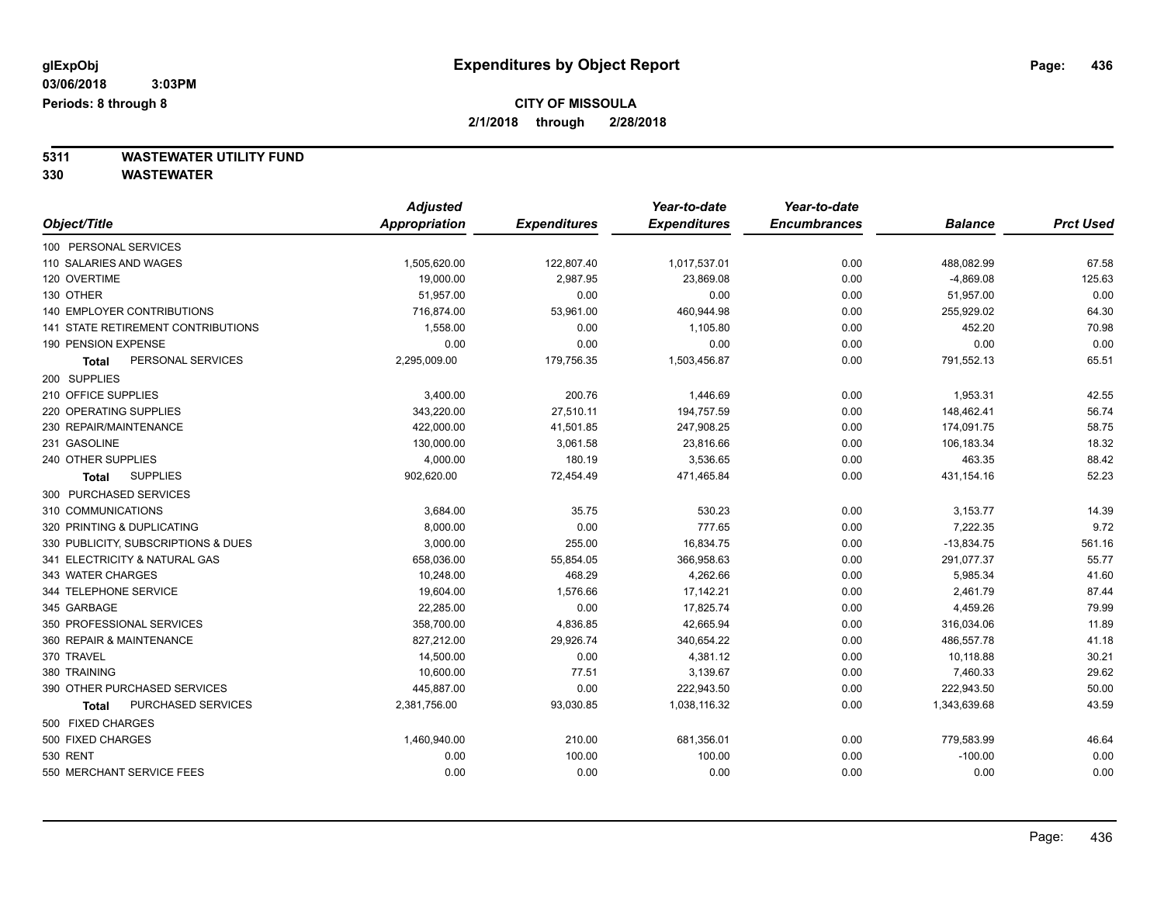## **CITY OF MISSOULA**

**2/1/2018 through 2/28/2018**

# **5311 WASTEWATER UTILITY FUND**

|                                     | <b>Adjusted</b> |                     | Year-to-date        | Year-to-date        |                |                  |
|-------------------------------------|-----------------|---------------------|---------------------|---------------------|----------------|------------------|
| Object/Title                        | Appropriation   | <b>Expenditures</b> | <b>Expenditures</b> | <b>Encumbrances</b> | <b>Balance</b> | <b>Prct Used</b> |
| 100 PERSONAL SERVICES               |                 |                     |                     |                     |                |                  |
| 110 SALARIES AND WAGES              | 1,505,620.00    | 122,807.40          | 1,017,537.01        | 0.00                | 488,082.99     | 67.58            |
| 120 OVERTIME                        | 19,000.00       | 2,987.95            | 23,869.08           | 0.00                | $-4,869.08$    | 125.63           |
| 130 OTHER                           | 51,957.00       | 0.00                | 0.00                | 0.00                | 51,957.00      | 0.00             |
| 140 EMPLOYER CONTRIBUTIONS          | 716,874.00      | 53,961.00           | 460,944.98          | 0.00                | 255,929.02     | 64.30            |
| 141 STATE RETIREMENT CONTRIBUTIONS  | 1,558.00        | 0.00                | 1,105.80            | 0.00                | 452.20         | 70.98            |
| 190 PENSION EXPENSE                 | 0.00            | 0.00                | 0.00                | 0.00                | 0.00           | 0.00             |
| PERSONAL SERVICES<br>Total          | 2,295,009.00    | 179,756.35          | 1,503,456.87        | 0.00                | 791,552.13     | 65.51            |
| 200 SUPPLIES                        |                 |                     |                     |                     |                |                  |
| 210 OFFICE SUPPLIES                 | 3,400.00        | 200.76              | 1,446.69            | 0.00                | 1,953.31       | 42.55            |
| 220 OPERATING SUPPLIES              | 343,220.00      | 27,510.11           | 194,757.59          | 0.00                | 148,462.41     | 56.74            |
| 230 REPAIR/MAINTENANCE              | 422,000.00      | 41,501.85           | 247,908.25          | 0.00                | 174,091.75     | 58.75            |
| 231 GASOLINE                        | 130,000.00      | 3,061.58            | 23,816.66           | 0.00                | 106,183.34     | 18.32            |
| 240 OTHER SUPPLIES                  | 4,000.00        | 180.19              | 3,536.65            | 0.00                | 463.35         | 88.42            |
| <b>SUPPLIES</b><br>Total            | 902,620.00      | 72,454.49           | 471,465.84          | 0.00                | 431,154.16     | 52.23            |
| 300 PURCHASED SERVICES              |                 |                     |                     |                     |                |                  |
| 310 COMMUNICATIONS                  | 3,684.00        | 35.75               | 530.23              | 0.00                | 3,153.77       | 14.39            |
| 320 PRINTING & DUPLICATING          | 8,000.00        | 0.00                | 777.65              | 0.00                | 7,222.35       | 9.72             |
| 330 PUBLICITY, SUBSCRIPTIONS & DUES | 3,000.00        | 255.00              | 16,834.75           | 0.00                | $-13,834.75$   | 561.16           |
| 341 ELECTRICITY & NATURAL GAS       | 658,036.00      | 55,854.05           | 366,958.63          | 0.00                | 291,077.37     | 55.77            |
| 343 WATER CHARGES                   | 10,248.00       | 468.29              | 4,262.66            | 0.00                | 5,985.34       | 41.60            |
| 344 TELEPHONE SERVICE               | 19,604.00       | 1,576.66            | 17,142.21           | 0.00                | 2,461.79       | 87.44            |
| 345 GARBAGE                         | 22,285.00       | 0.00                | 17,825.74           | 0.00                | 4,459.26       | 79.99            |
| 350 PROFESSIONAL SERVICES           | 358,700.00      | 4,836.85            | 42,665.94           | 0.00                | 316,034.06     | 11.89            |
| 360 REPAIR & MAINTENANCE            | 827,212.00      | 29,926.74           | 340,654.22          | 0.00                | 486,557.78     | 41.18            |
| 370 TRAVEL                          | 14,500.00       | 0.00                | 4,381.12            | 0.00                | 10,118.88      | 30.21            |
| 380 TRAINING                        | 10,600.00       | 77.51               | 3,139.67            | 0.00                | 7,460.33       | 29.62            |
| 390 OTHER PURCHASED SERVICES        | 445,887.00      | 0.00                | 222,943.50          | 0.00                | 222,943.50     | 50.00            |
| PURCHASED SERVICES<br>Total         | 2,381,756.00    | 93,030.85           | 1,038,116.32        | 0.00                | 1,343,639.68   | 43.59            |
| 500 FIXED CHARGES                   |                 |                     |                     |                     |                |                  |
| 500 FIXED CHARGES                   | 1,460,940.00    | 210.00              | 681,356.01          | 0.00                | 779,583.99     | 46.64            |
| 530 RENT                            | 0.00            | 100.00              | 100.00              | 0.00                | $-100.00$      | 0.00             |
| 550 MERCHANT SERVICE FEES           | 0.00            | 0.00                | 0.00                | 0.00                | 0.00           | 0.00             |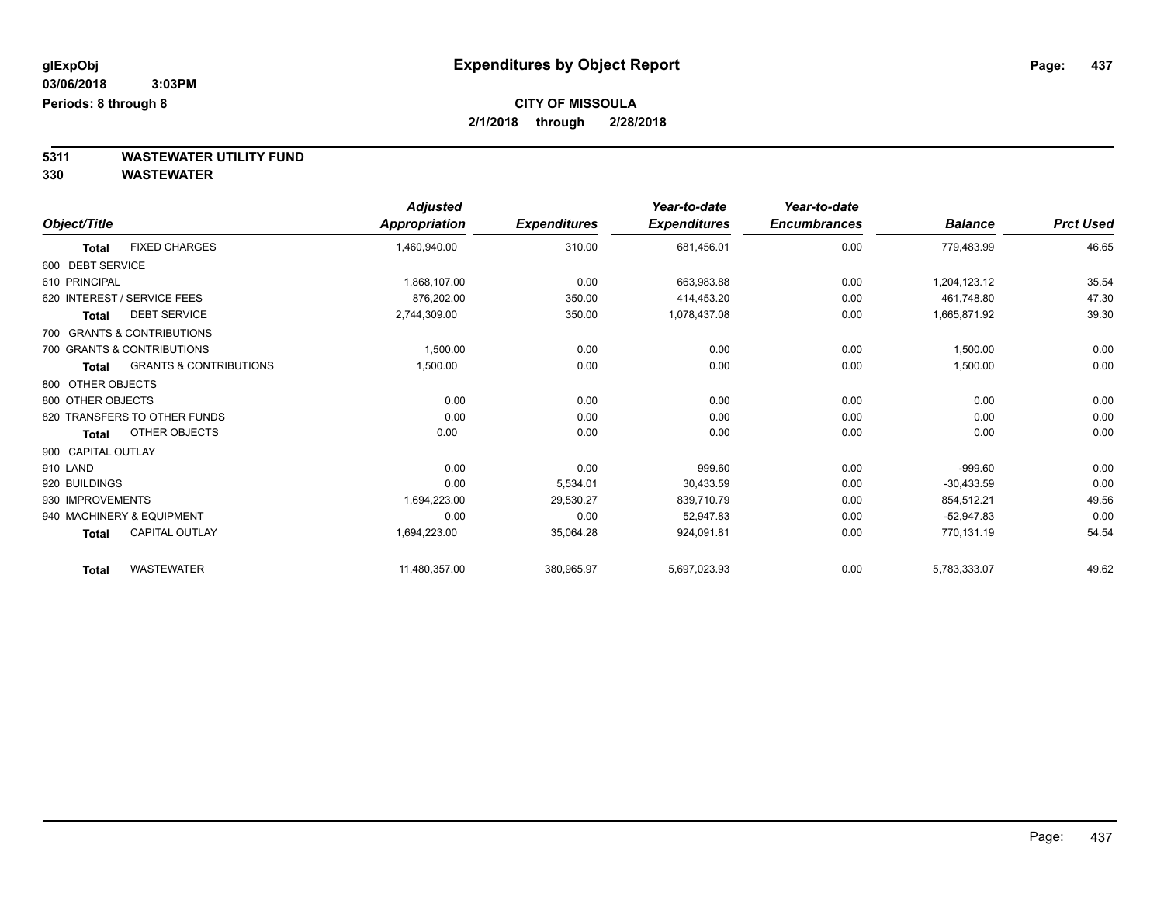# **CITY OF MISSOULA**

**2/1/2018 through 2/28/2018**

**5311 WASTEWATER UTILITY FUND**

|                    |                                   | <b>Adjusted</b> |                     | Year-to-date        | Year-to-date        |                |                  |
|--------------------|-----------------------------------|-----------------|---------------------|---------------------|---------------------|----------------|------------------|
| Object/Title       |                                   | Appropriation   | <b>Expenditures</b> | <b>Expenditures</b> | <b>Encumbrances</b> | <b>Balance</b> | <b>Prct Used</b> |
| <b>Total</b>       | <b>FIXED CHARGES</b>              | 1,460,940.00    | 310.00              | 681,456.01          | 0.00                | 779,483.99     | 46.65            |
| 600 DEBT SERVICE   |                                   |                 |                     |                     |                     |                |                  |
| 610 PRINCIPAL      |                                   | 1,868,107.00    | 0.00                | 663,983.88          | 0.00                | 1,204,123.12   | 35.54            |
|                    | 620 INTEREST / SERVICE FEES       | 876,202.00      | 350.00              | 414,453.20          | 0.00                | 461,748.80     | 47.30            |
| <b>Total</b>       | <b>DEBT SERVICE</b>               | 2,744,309.00    | 350.00              | 1,078,437.08        | 0.00                | 1,665,871.92   | 39.30            |
|                    | 700 GRANTS & CONTRIBUTIONS        |                 |                     |                     |                     |                |                  |
|                    | 700 GRANTS & CONTRIBUTIONS        | 1,500.00        | 0.00                | 0.00                | 0.00                | 1,500.00       | 0.00             |
| <b>Total</b>       | <b>GRANTS &amp; CONTRIBUTIONS</b> | 1,500.00        | 0.00                | 0.00                | 0.00                | 1,500.00       | 0.00             |
| 800 OTHER OBJECTS  |                                   |                 |                     |                     |                     |                |                  |
| 800 OTHER OBJECTS  |                                   | 0.00            | 0.00                | 0.00                | 0.00                | 0.00           | 0.00             |
|                    | 820 TRANSFERS TO OTHER FUNDS      | 0.00            | 0.00                | 0.00                | 0.00                | 0.00           | 0.00             |
| <b>Total</b>       | OTHER OBJECTS                     | 0.00            | 0.00                | 0.00                | 0.00                | 0.00           | 0.00             |
| 900 CAPITAL OUTLAY |                                   |                 |                     |                     |                     |                |                  |
| 910 LAND           |                                   | 0.00            | 0.00                | 999.60              | 0.00                | $-999.60$      | 0.00             |
| 920 BUILDINGS      |                                   | 0.00            | 5,534.01            | 30,433.59           | 0.00                | $-30.433.59$   | 0.00             |
| 930 IMPROVEMENTS   |                                   | 1,694,223.00    | 29,530.27           | 839,710.79          | 0.00                | 854,512.21     | 49.56            |
|                    | 940 MACHINERY & EQUIPMENT         | 0.00            | 0.00                | 52,947.83           | 0.00                | $-52,947.83$   | 0.00             |
| <b>Total</b>       | <b>CAPITAL OUTLAY</b>             | 1,694,223.00    | 35,064.28           | 924,091.81          | 0.00                | 770,131.19     | 54.54            |
| <b>Total</b>       | <b>WASTEWATER</b>                 | 11,480,357.00   | 380,965.97          | 5,697,023.93        | 0.00                | 5,783,333.07   | 49.62            |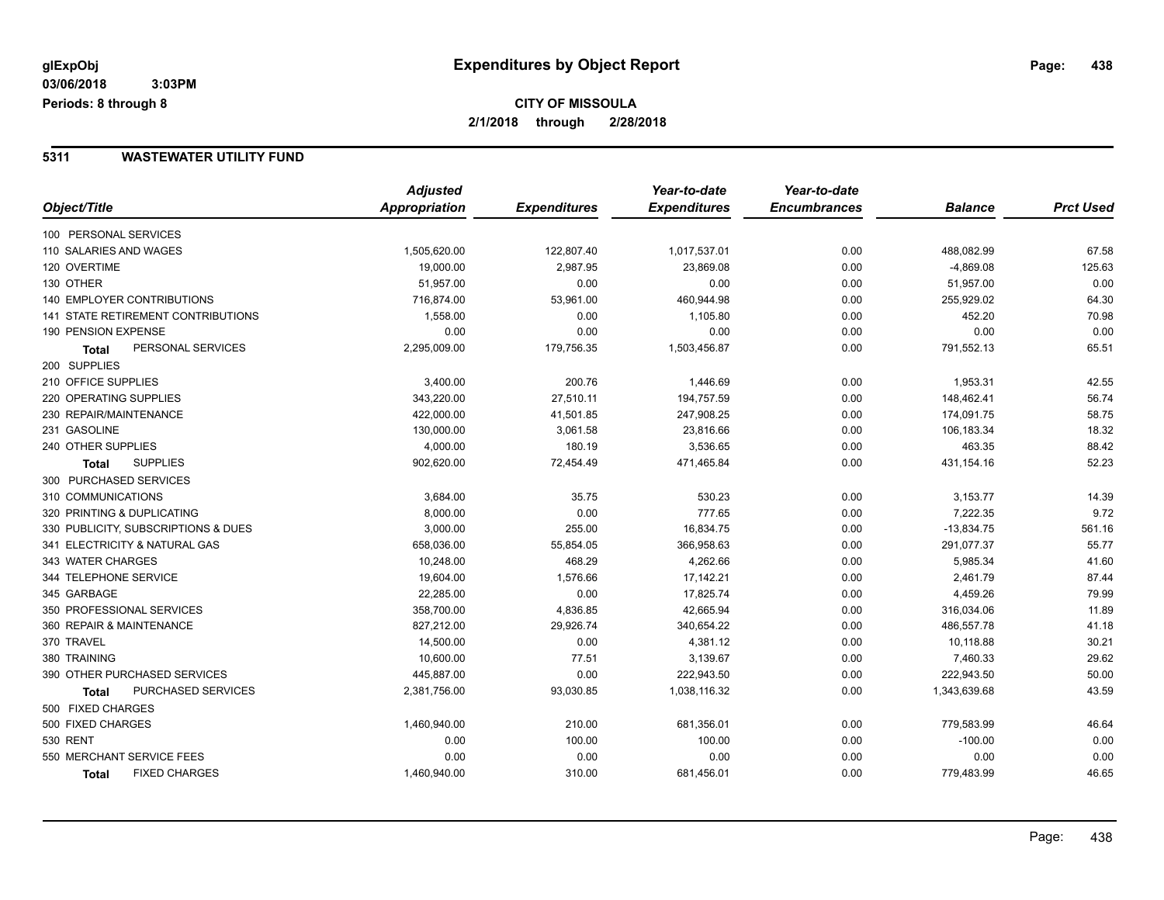#### **5311 WASTEWATER UTILITY FUND**

|                                      | <b>Adjusted</b> |                     | Year-to-date        | Year-to-date        |                |                  |
|--------------------------------------|-----------------|---------------------|---------------------|---------------------|----------------|------------------|
| Object/Title                         | Appropriation   | <b>Expenditures</b> | <b>Expenditures</b> | <b>Encumbrances</b> | <b>Balance</b> | <b>Prct Used</b> |
| 100 PERSONAL SERVICES                |                 |                     |                     |                     |                |                  |
| 110 SALARIES AND WAGES               | 1,505,620.00    | 122,807.40          | 1,017,537.01        | 0.00                | 488,082.99     | 67.58            |
| 120 OVERTIME                         | 19,000.00       | 2,987.95            | 23,869.08           | 0.00                | $-4,869.08$    | 125.63           |
| 130 OTHER                            | 51,957.00       | 0.00                | 0.00                | 0.00                | 51,957.00      | 0.00             |
| <b>140 EMPLOYER CONTRIBUTIONS</b>    | 716,874.00      | 53,961.00           | 460,944.98          | 0.00                | 255,929.02     | 64.30            |
| 141 STATE RETIREMENT CONTRIBUTIONS   | 1,558.00        | 0.00                | 1,105.80            | 0.00                | 452.20         | 70.98            |
| 190 PENSION EXPENSE                  | 0.00            | 0.00                | 0.00                | 0.00                | 0.00           | 0.00             |
| PERSONAL SERVICES<br>Total           | 2,295,009.00    | 179,756.35          | 1,503,456.87        | 0.00                | 791,552.13     | 65.51            |
| 200 SUPPLIES                         |                 |                     |                     |                     |                |                  |
| 210 OFFICE SUPPLIES                  | 3,400.00        | 200.76              | 1,446.69            | 0.00                | 1,953.31       | 42.55            |
| <b>220 OPERATING SUPPLIES</b>        | 343,220.00      | 27,510.11           | 194,757.59          | 0.00                | 148,462.41     | 56.74            |
| 230 REPAIR/MAINTENANCE               | 422,000.00      | 41,501.85           | 247,908.25          | 0.00                | 174,091.75     | 58.75            |
| 231 GASOLINE                         | 130,000.00      | 3,061.58            | 23,816.66           | 0.00                | 106,183.34     | 18.32            |
| 240 OTHER SUPPLIES                   | 4,000.00        | 180.19              | 3,536.65            | 0.00                | 463.35         | 88.42            |
| <b>SUPPLIES</b><br><b>Total</b>      | 902,620.00      | 72,454.49           | 471,465.84          | 0.00                | 431,154.16     | 52.23            |
| 300 PURCHASED SERVICES               |                 |                     |                     |                     |                |                  |
| 310 COMMUNICATIONS                   | 3,684.00        | 35.75               | 530.23              | 0.00                | 3,153.77       | 14.39            |
| 320 PRINTING & DUPLICATING           | 8,000.00        | 0.00                | 777.65              | 0.00                | 7,222.35       | 9.72             |
| 330 PUBLICITY, SUBSCRIPTIONS & DUES  | 3,000.00        | 255.00              | 16,834.75           | 0.00                | $-13,834.75$   | 561.16           |
| 341 ELECTRICITY & NATURAL GAS        | 658,036.00      | 55,854.05           | 366,958.63          | 0.00                | 291,077.37     | 55.77            |
| 343 WATER CHARGES                    | 10,248.00       | 468.29              | 4,262.66            | 0.00                | 5,985.34       | 41.60            |
| 344 TELEPHONE SERVICE                | 19,604.00       | 1,576.66            | 17,142.21           | 0.00                | 2,461.79       | 87.44            |
| 345 GARBAGE                          | 22,285.00       | 0.00                | 17,825.74           | 0.00                | 4,459.26       | 79.99            |
| 350 PROFESSIONAL SERVICES            | 358,700.00      | 4,836.85            | 42,665.94           | 0.00                | 316,034.06     | 11.89            |
| 360 REPAIR & MAINTENANCE             | 827,212.00      | 29,926.74           | 340,654.22          | 0.00                | 486,557.78     | 41.18            |
| 370 TRAVEL                           | 14,500.00       | 0.00                | 4,381.12            | 0.00                | 10,118.88      | 30.21            |
| 380 TRAINING                         | 10,600.00       | 77.51               | 3,139.67            | 0.00                | 7,460.33       | 29.62            |
| 390 OTHER PURCHASED SERVICES         | 445,887.00      | 0.00                | 222,943.50          | 0.00                | 222,943.50     | 50.00            |
| PURCHASED SERVICES<br>Total          | 2,381,756.00    | 93,030.85           | 1,038,116.32        | 0.00                | 1,343,639.68   | 43.59            |
| 500 FIXED CHARGES                    |                 |                     |                     |                     |                |                  |
| 500 FIXED CHARGES                    | 1,460,940.00    | 210.00              | 681,356.01          | 0.00                | 779,583.99     | 46.64            |
| 530 RENT                             | 0.00            | 100.00              | 100.00              | 0.00                | $-100.00$      | 0.00             |
| 550 MERCHANT SERVICE FEES            | 0.00            | 0.00                | 0.00                | 0.00                | 0.00           | 0.00             |
| <b>FIXED CHARGES</b><br><b>Total</b> | 1,460,940.00    | 310.00              | 681,456.01          | 0.00                | 779,483.99     | 46.65            |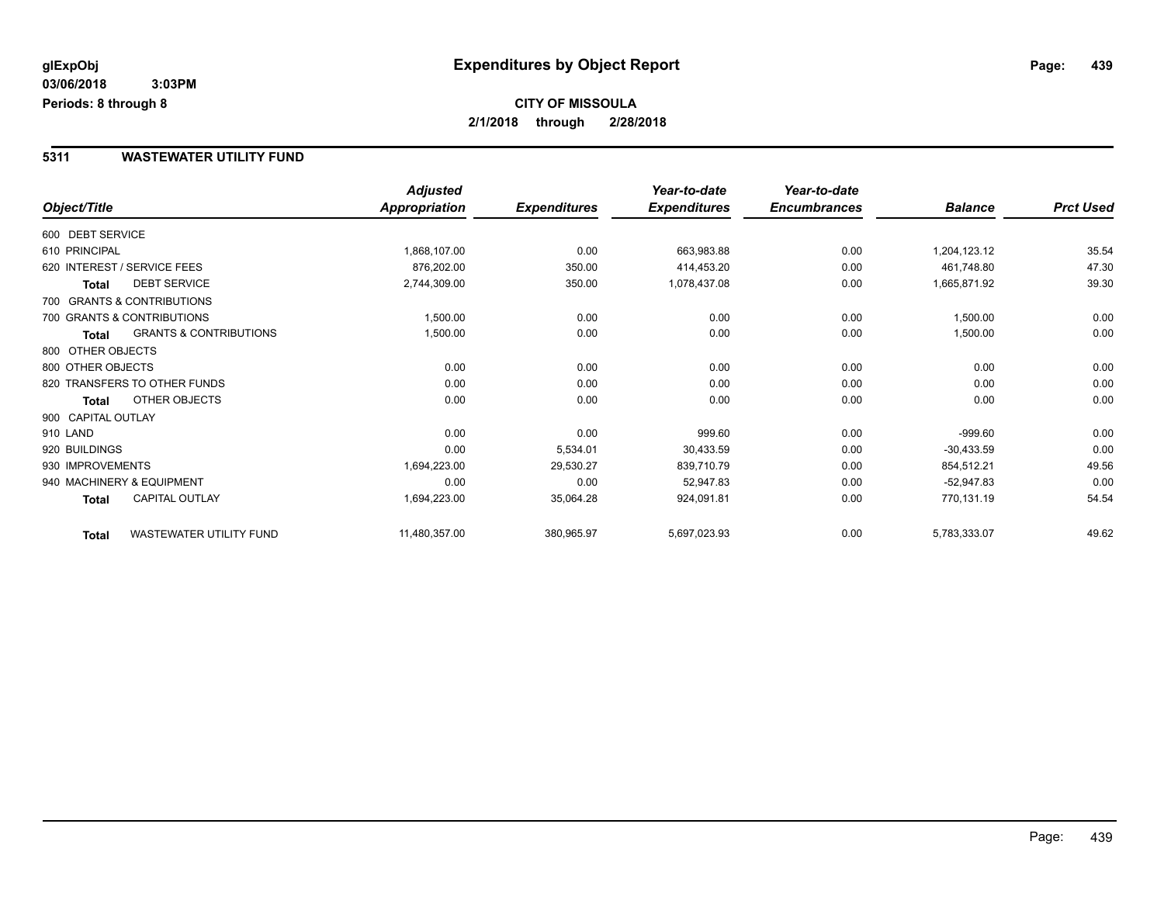#### **5311 WASTEWATER UTILITY FUND**

|                    |                                   | <b>Adjusted</b> |                     | Year-to-date        | Year-to-date        |                |                  |
|--------------------|-----------------------------------|-----------------|---------------------|---------------------|---------------------|----------------|------------------|
| Object/Title       |                                   | Appropriation   | <b>Expenditures</b> | <b>Expenditures</b> | <b>Encumbrances</b> | <b>Balance</b> | <b>Prct Used</b> |
| 600 DEBT SERVICE   |                                   |                 |                     |                     |                     |                |                  |
| 610 PRINCIPAL      |                                   | 1,868,107.00    | 0.00                | 663,983.88          | 0.00                | 1,204,123.12   | 35.54            |
|                    | 620 INTEREST / SERVICE FEES       | 876,202.00      | 350.00              | 414,453.20          | 0.00                | 461,748.80     | 47.30            |
| <b>Total</b>       | <b>DEBT SERVICE</b>               | 2,744,309.00    | 350.00              | 1,078,437.08        | 0.00                | 1,665,871.92   | 39.30            |
|                    | 700 GRANTS & CONTRIBUTIONS        |                 |                     |                     |                     |                |                  |
|                    | 700 GRANTS & CONTRIBUTIONS        | 1,500.00        | 0.00                | 0.00                | 0.00                | 1,500.00       | 0.00             |
| <b>Total</b>       | <b>GRANTS &amp; CONTRIBUTIONS</b> | 1,500.00        | 0.00                | 0.00                | 0.00                | 1,500.00       | 0.00             |
| 800 OTHER OBJECTS  |                                   |                 |                     |                     |                     |                |                  |
| 800 OTHER OBJECTS  |                                   | 0.00            | 0.00                | 0.00                | 0.00                | 0.00           | 0.00             |
|                    | 820 TRANSFERS TO OTHER FUNDS      | 0.00            | 0.00                | 0.00                | 0.00                | 0.00           | 0.00             |
| Total              | OTHER OBJECTS                     | 0.00            | 0.00                | 0.00                | 0.00                | 0.00           | 0.00             |
| 900 CAPITAL OUTLAY |                                   |                 |                     |                     |                     |                |                  |
| 910 LAND           |                                   | 0.00            | 0.00                | 999.60              | 0.00                | $-999.60$      | 0.00             |
| 920 BUILDINGS      |                                   | 0.00            | 5,534.01            | 30,433.59           | 0.00                | $-30,433.59$   | 0.00             |
| 930 IMPROVEMENTS   |                                   | 1,694,223.00    | 29,530.27           | 839,710.79          | 0.00                | 854,512.21     | 49.56            |
|                    | 940 MACHINERY & EQUIPMENT         | 0.00            | 0.00                | 52,947.83           | 0.00                | $-52,947.83$   | 0.00             |
| Total              | <b>CAPITAL OUTLAY</b>             | 1,694,223.00    | 35,064.28           | 924,091.81          | 0.00                | 770,131.19     | 54.54            |
| <b>Total</b>       | WASTEWATER UTILITY FUND           | 11,480,357.00   | 380,965.97          | 5,697,023.93        | 0.00                | 5,783,333.07   | 49.62            |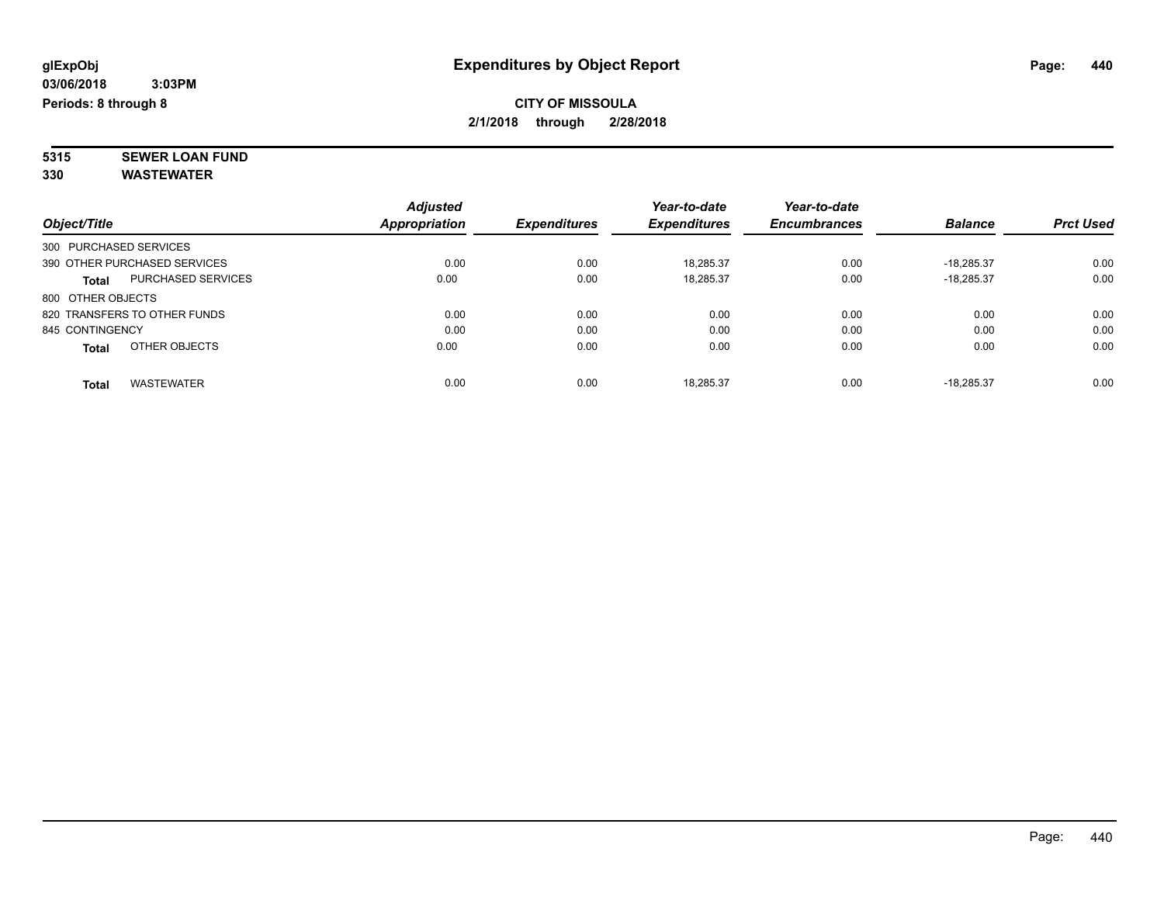**5315 SEWER LOAN FUND 330 WASTEWATER**

|                        |                              | <b>Adjusted</b> |                     | Year-to-date        | Year-to-date        |                |                  |
|------------------------|------------------------------|-----------------|---------------------|---------------------|---------------------|----------------|------------------|
| Object/Title           |                              | Appropriation   | <b>Expenditures</b> | <b>Expenditures</b> | <b>Encumbrances</b> | <b>Balance</b> | <b>Prct Used</b> |
| 300 PURCHASED SERVICES |                              |                 |                     |                     |                     |                |                  |
|                        | 390 OTHER PURCHASED SERVICES | 0.00            | 0.00                | 18.285.37           | 0.00                | $-18.285.37$   | 0.00             |
| <b>Total</b>           | <b>PURCHASED SERVICES</b>    | 0.00            | 0.00                | 18,285.37           | 0.00                | $-18.285.37$   | 0.00             |
| 800 OTHER OBJECTS      |                              |                 |                     |                     |                     |                |                  |
|                        | 820 TRANSFERS TO OTHER FUNDS | 0.00            | 0.00                | 0.00                | 0.00                | 0.00           | 0.00             |
| 845 CONTINGENCY        |                              | 0.00            | 0.00                | 0.00                | 0.00                | 0.00           | 0.00             |
| <b>Total</b>           | OTHER OBJECTS                | 0.00            | 0.00                | 0.00                | 0.00                | 0.00           | 0.00             |
| <b>Total</b>           | <b>WASTEWATER</b>            | 0.00            | 0.00                | 18.285.37           | 0.00                | $-18.285.37$   | 0.00             |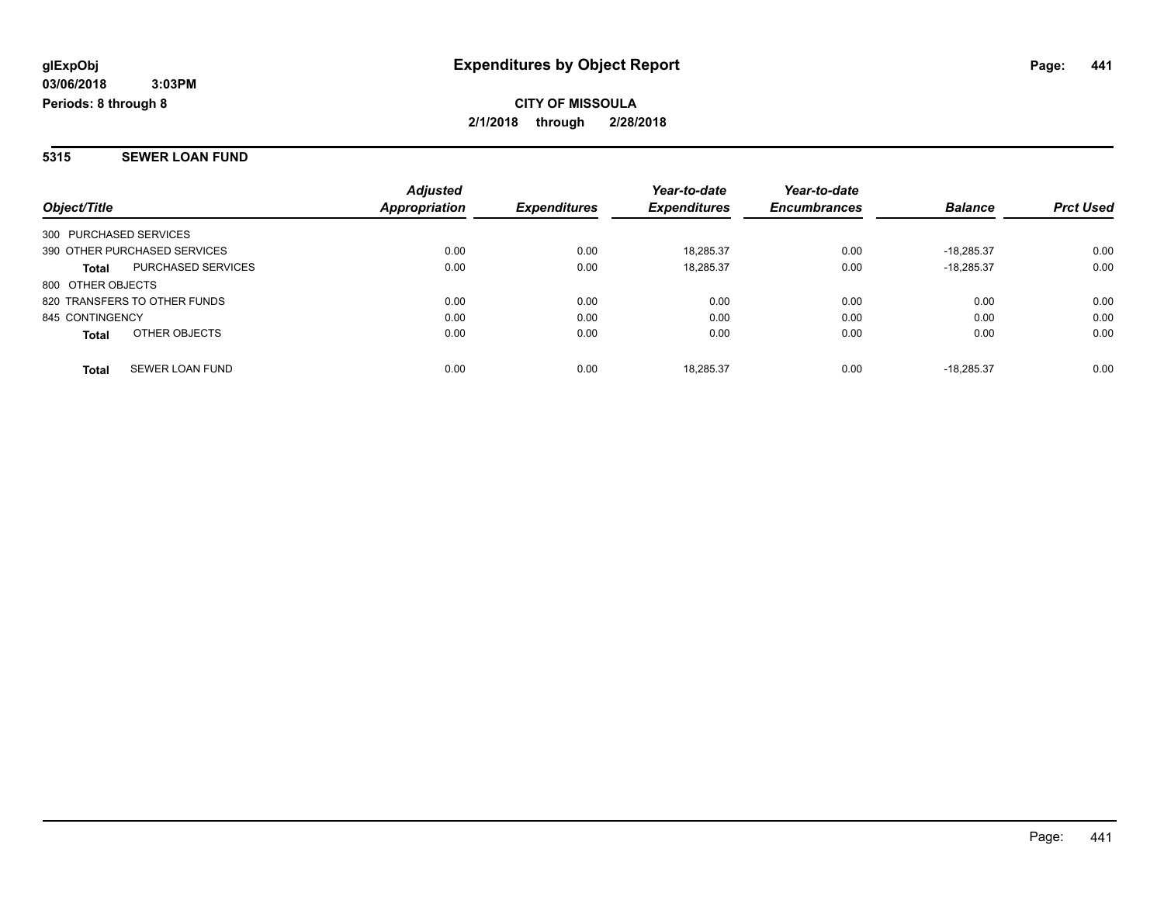#### **5315 SEWER LOAN FUND**

|                                        | <b>Adjusted</b> |                     | Year-to-date        | Year-to-date        |                |                  |
|----------------------------------------|-----------------|---------------------|---------------------|---------------------|----------------|------------------|
| Object/Title                           | Appropriation   | <b>Expenditures</b> | <b>Expenditures</b> | <b>Encumbrances</b> | <b>Balance</b> | <b>Prct Used</b> |
| 300 PURCHASED SERVICES                 |                 |                     |                     |                     |                |                  |
| 390 OTHER PURCHASED SERVICES           | 0.00            | 0.00                | 18.285.37           | 0.00                | $-18.285.37$   | 0.00             |
| PURCHASED SERVICES<br><b>Total</b>     | 0.00            | 0.00                | 18,285.37           | 0.00                | $-18.285.37$   | 0.00             |
| 800 OTHER OBJECTS                      |                 |                     |                     |                     |                |                  |
| 820 TRANSFERS TO OTHER FUNDS           | 0.00            | 0.00                | 0.00                | 0.00                | 0.00           | 0.00             |
| 845 CONTINGENCY                        | 0.00            | 0.00                | 0.00                | 0.00                | 0.00           | 0.00             |
| OTHER OBJECTS<br><b>Total</b>          | 0.00            | 0.00                | 0.00                | 0.00                | 0.00           | 0.00             |
| <b>SEWER LOAN FUND</b><br><b>Total</b> | 0.00            | 0.00                | 18.285.37           | 0.00                | $-18.285.37$   | 0.00             |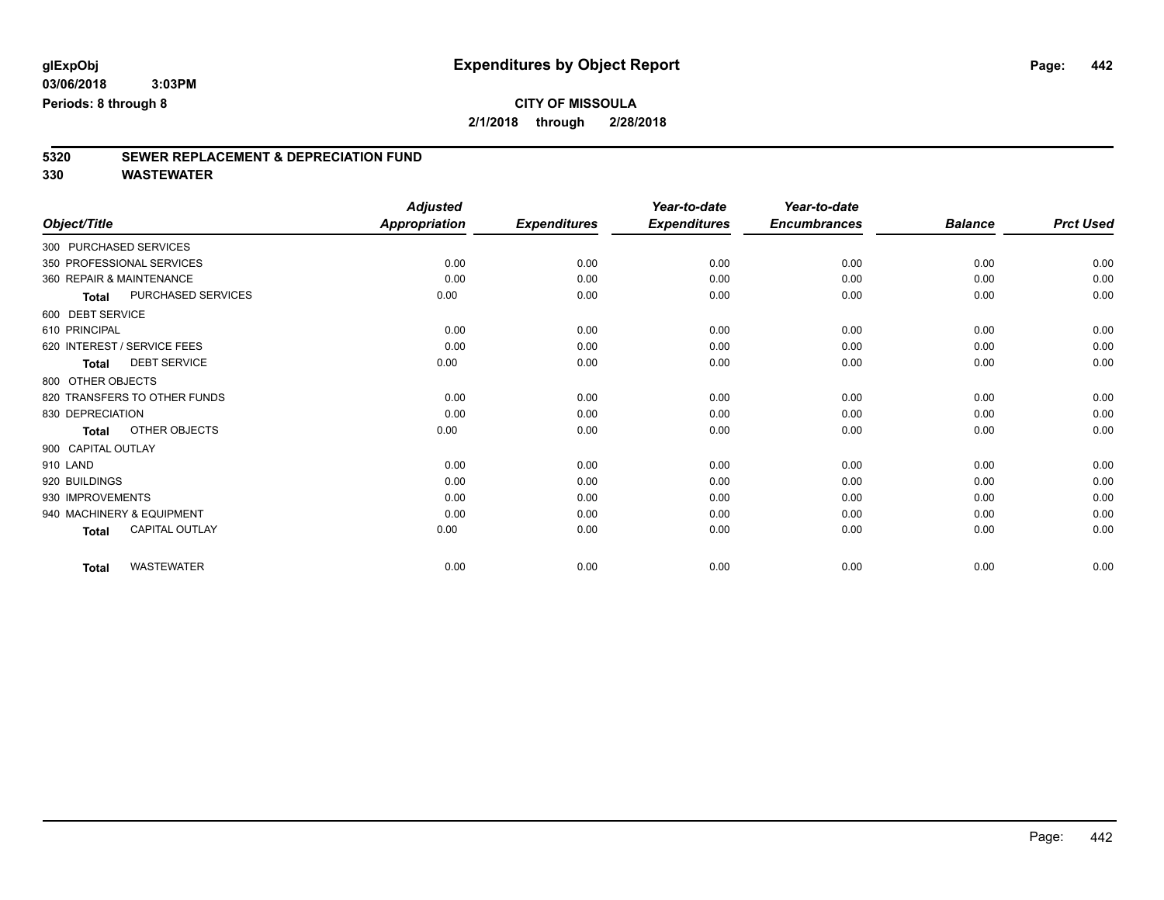## **CITY OF MISSOULA**

**2/1/2018 through 2/28/2018**

# **5320 SEWER REPLACEMENT & DEPRECIATION FUND**

|                          |                              | <b>Adjusted</b>      |                     | Year-to-date        | Year-to-date        |                |                  |
|--------------------------|------------------------------|----------------------|---------------------|---------------------|---------------------|----------------|------------------|
| Object/Title             |                              | <b>Appropriation</b> | <b>Expenditures</b> | <b>Expenditures</b> | <b>Encumbrances</b> | <b>Balance</b> | <b>Prct Used</b> |
| 300 PURCHASED SERVICES   |                              |                      |                     |                     |                     |                |                  |
|                          | 350 PROFESSIONAL SERVICES    | 0.00                 | 0.00                | 0.00                | 0.00                | 0.00           | 0.00             |
| 360 REPAIR & MAINTENANCE |                              | 0.00                 | 0.00                | 0.00                | 0.00                | 0.00           | 0.00             |
| <b>Total</b>             | PURCHASED SERVICES           | 0.00                 | 0.00                | 0.00                | 0.00                | 0.00           | 0.00             |
| 600 DEBT SERVICE         |                              |                      |                     |                     |                     |                |                  |
| 610 PRINCIPAL            |                              | 0.00                 | 0.00                | 0.00                | 0.00                | 0.00           | 0.00             |
|                          | 620 INTEREST / SERVICE FEES  | 0.00                 | 0.00                | 0.00                | 0.00                | 0.00           | 0.00             |
| <b>Total</b>             | <b>DEBT SERVICE</b>          | 0.00                 | 0.00                | 0.00                | 0.00                | 0.00           | 0.00             |
| 800 OTHER OBJECTS        |                              |                      |                     |                     |                     |                |                  |
|                          | 820 TRANSFERS TO OTHER FUNDS | 0.00                 | 0.00                | 0.00                | 0.00                | 0.00           | 0.00             |
| 830 DEPRECIATION         |                              | 0.00                 | 0.00                | 0.00                | 0.00                | 0.00           | 0.00             |
| <b>Total</b>             | OTHER OBJECTS                | 0.00                 | 0.00                | 0.00                | 0.00                | 0.00           | 0.00             |
| 900 CAPITAL OUTLAY       |                              |                      |                     |                     |                     |                |                  |
| 910 LAND                 |                              | 0.00                 | 0.00                | 0.00                | 0.00                | 0.00           | 0.00             |
| 920 BUILDINGS            |                              | 0.00                 | 0.00                | 0.00                | 0.00                | 0.00           | 0.00             |
| 930 IMPROVEMENTS         |                              | 0.00                 | 0.00                | 0.00                | 0.00                | 0.00           | 0.00             |
|                          | 940 MACHINERY & EQUIPMENT    | 0.00                 | 0.00                | 0.00                | 0.00                | 0.00           | 0.00             |
| Total                    | <b>CAPITAL OUTLAY</b>        | 0.00                 | 0.00                | 0.00                | 0.00                | 0.00           | 0.00             |
| <b>Total</b>             | <b>WASTEWATER</b>            | 0.00                 | 0.00                | 0.00                | 0.00                | 0.00           | 0.00             |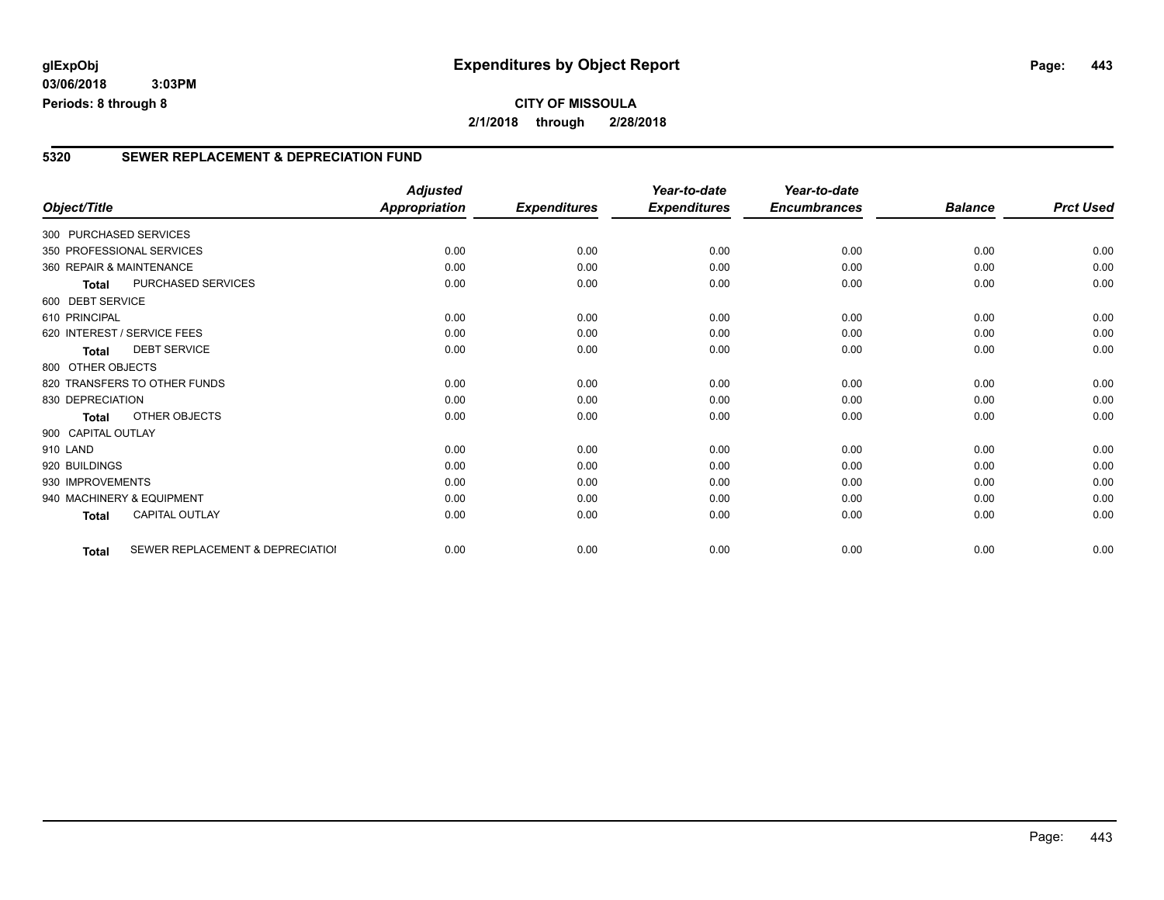#### **5320 SEWER REPLACEMENT & DEPRECIATION FUND**

|                        |                                  | <b>Adjusted</b>      |                     | Year-to-date        | Year-to-date        |                |                  |
|------------------------|----------------------------------|----------------------|---------------------|---------------------|---------------------|----------------|------------------|
| Object/Title           |                                  | <b>Appropriation</b> | <b>Expenditures</b> | <b>Expenditures</b> | <b>Encumbrances</b> | <b>Balance</b> | <b>Prct Used</b> |
| 300 PURCHASED SERVICES |                                  |                      |                     |                     |                     |                |                  |
|                        | 350 PROFESSIONAL SERVICES        | 0.00                 | 0.00                | 0.00                | 0.00                | 0.00           | 0.00             |
|                        | 360 REPAIR & MAINTENANCE         | 0.00                 | 0.00                | 0.00                | 0.00                | 0.00           | 0.00             |
| Total                  | PURCHASED SERVICES               | 0.00                 | 0.00                | 0.00                | 0.00                | 0.00           | 0.00             |
| 600 DEBT SERVICE       |                                  |                      |                     |                     |                     |                |                  |
| 610 PRINCIPAL          |                                  | 0.00                 | 0.00                | 0.00                | 0.00                | 0.00           | 0.00             |
|                        | 620 INTEREST / SERVICE FEES      | 0.00                 | 0.00                | 0.00                | 0.00                | 0.00           | 0.00             |
| <b>Total</b>           | <b>DEBT SERVICE</b>              | 0.00                 | 0.00                | 0.00                | 0.00                | 0.00           | 0.00             |
| 800 OTHER OBJECTS      |                                  |                      |                     |                     |                     |                |                  |
|                        | 820 TRANSFERS TO OTHER FUNDS     | 0.00                 | 0.00                | 0.00                | 0.00                | 0.00           | 0.00             |
| 830 DEPRECIATION       |                                  | 0.00                 | 0.00                | 0.00                | 0.00                | 0.00           | 0.00             |
| Total                  | OTHER OBJECTS                    | 0.00                 | 0.00                | 0.00                | 0.00                | 0.00           | 0.00             |
| 900 CAPITAL OUTLAY     |                                  |                      |                     |                     |                     |                |                  |
| 910 LAND               |                                  | 0.00                 | 0.00                | 0.00                | 0.00                | 0.00           | 0.00             |
| 920 BUILDINGS          |                                  | 0.00                 | 0.00                | 0.00                | 0.00                | 0.00           | 0.00             |
| 930 IMPROVEMENTS       |                                  | 0.00                 | 0.00                | 0.00                | 0.00                | 0.00           | 0.00             |
|                        | 940 MACHINERY & EQUIPMENT        | 0.00                 | 0.00                | 0.00                | 0.00                | 0.00           | 0.00             |
| <b>Total</b>           | CAPITAL OUTLAY                   | 0.00                 | 0.00                | 0.00                | 0.00                | 0.00           | 0.00             |
| Total                  | SEWER REPLACEMENT & DEPRECIATION | 0.00                 | 0.00                | 0.00                | 0.00                | 0.00           | 0.00             |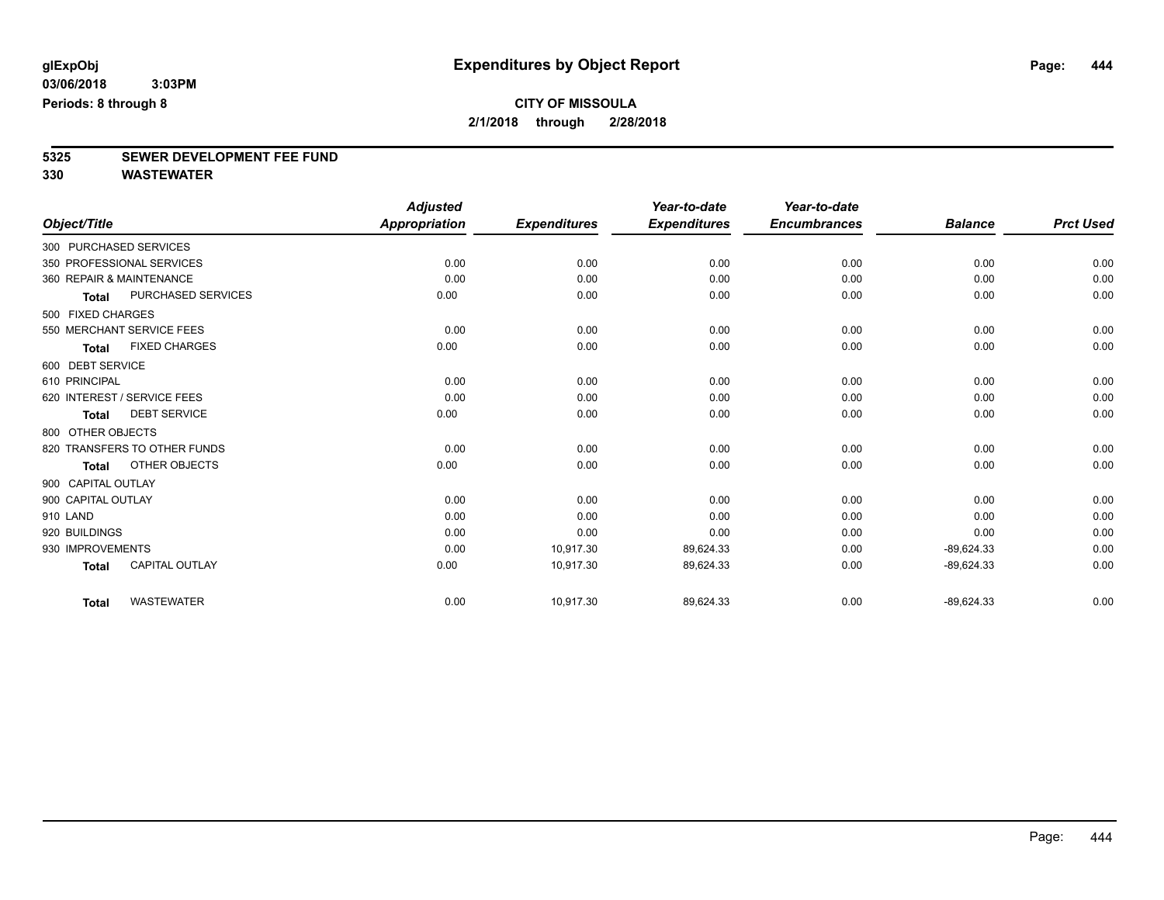# **5325 SEWER DEVELOPMENT FEE FUND**

|                          |                              | <b>Adjusted</b>      |                     | Year-to-date        | Year-to-date        |                |                  |
|--------------------------|------------------------------|----------------------|---------------------|---------------------|---------------------|----------------|------------------|
| Object/Title             |                              | <b>Appropriation</b> | <b>Expenditures</b> | <b>Expenditures</b> | <b>Encumbrances</b> | <b>Balance</b> | <b>Prct Used</b> |
| 300 PURCHASED SERVICES   |                              |                      |                     |                     |                     |                |                  |
|                          | 350 PROFESSIONAL SERVICES    | 0.00                 | 0.00                | 0.00                | 0.00                | 0.00           | 0.00             |
| 360 REPAIR & MAINTENANCE |                              | 0.00                 | 0.00                | 0.00                | 0.00                | 0.00           | 0.00             |
| <b>Total</b>             | <b>PURCHASED SERVICES</b>    | 0.00                 | 0.00                | 0.00                | 0.00                | 0.00           | 0.00             |
| 500 FIXED CHARGES        |                              |                      |                     |                     |                     |                |                  |
|                          | 550 MERCHANT SERVICE FEES    | 0.00                 | 0.00                | 0.00                | 0.00                | 0.00           | 0.00             |
| <b>Total</b>             | <b>FIXED CHARGES</b>         | 0.00                 | 0.00                | 0.00                | 0.00                | 0.00           | 0.00             |
| 600 DEBT SERVICE         |                              |                      |                     |                     |                     |                |                  |
| 610 PRINCIPAL            |                              | 0.00                 | 0.00                | 0.00                | 0.00                | 0.00           | 0.00             |
|                          | 620 INTEREST / SERVICE FEES  | 0.00                 | 0.00                | 0.00                | 0.00                | 0.00           | 0.00             |
| <b>Total</b>             | <b>DEBT SERVICE</b>          | 0.00                 | 0.00                | 0.00                | 0.00                | 0.00           | 0.00             |
| 800 OTHER OBJECTS        |                              |                      |                     |                     |                     |                |                  |
|                          | 820 TRANSFERS TO OTHER FUNDS | 0.00                 | 0.00                | 0.00                | 0.00                | 0.00           | 0.00             |
| <b>Total</b>             | OTHER OBJECTS                | 0.00                 | 0.00                | 0.00                | 0.00                | 0.00           | 0.00             |
| 900 CAPITAL OUTLAY       |                              |                      |                     |                     |                     |                |                  |
| 900 CAPITAL OUTLAY       |                              | 0.00                 | 0.00                | 0.00                | 0.00                | 0.00           | 0.00             |
| 910 LAND                 |                              | 0.00                 | 0.00                | 0.00                | 0.00                | 0.00           | 0.00             |
| 920 BUILDINGS            |                              | 0.00                 | 0.00                | 0.00                | 0.00                | 0.00           | 0.00             |
| 930 IMPROVEMENTS         |                              | 0.00                 | 10,917.30           | 89,624.33           | 0.00                | $-89,624.33$   | 0.00             |
| <b>Total</b>             | <b>CAPITAL OUTLAY</b>        | 0.00                 | 10,917.30           | 89,624.33           | 0.00                | $-89,624.33$   | 0.00             |
| <b>Total</b>             | <b>WASTEWATER</b>            | 0.00                 | 10,917.30           | 89,624.33           | 0.00                | $-89,624.33$   | 0.00             |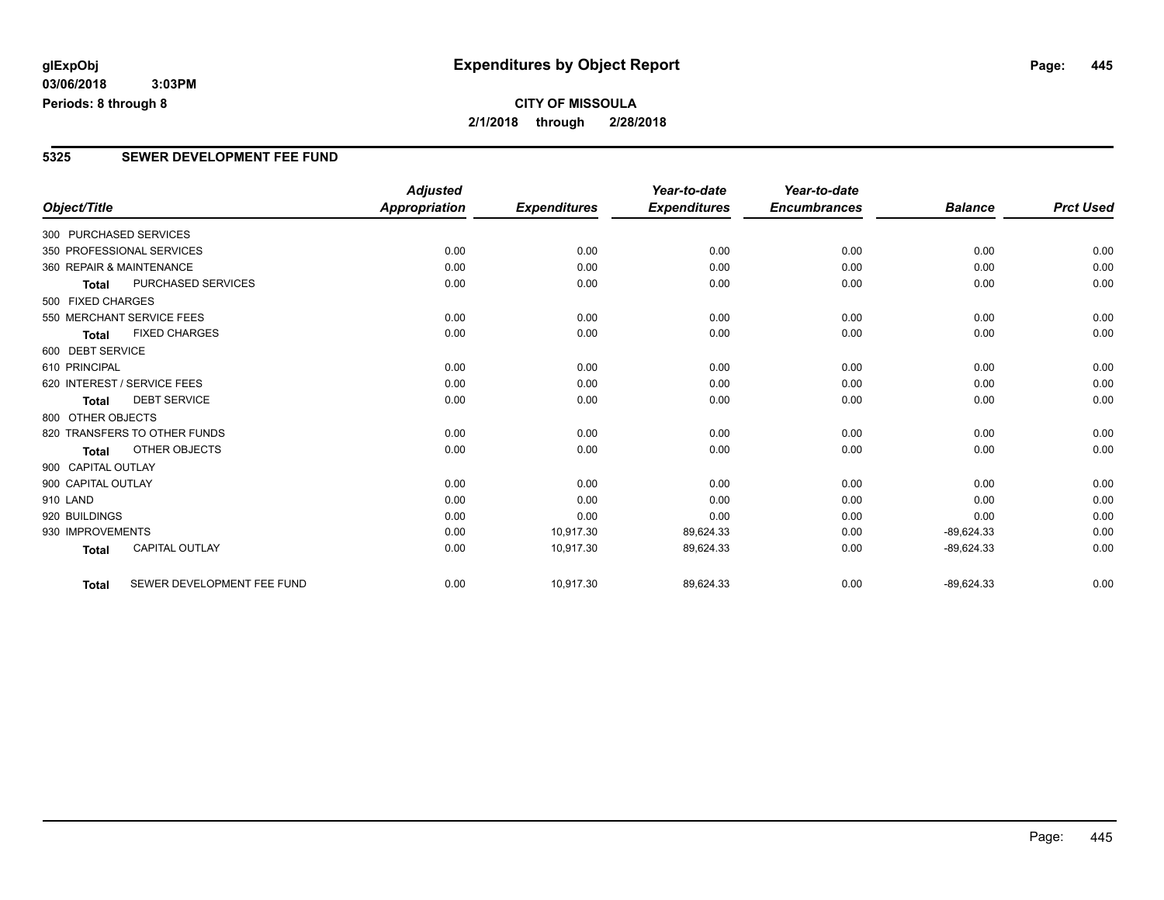## **CITY OF MISSOULA 2/1/2018 through 2/28/2018**

#### **5325 SEWER DEVELOPMENT FEE FUND**

|                          |                              | <b>Adjusted</b>      |                     | Year-to-date        | Year-to-date        |                |                  |
|--------------------------|------------------------------|----------------------|---------------------|---------------------|---------------------|----------------|------------------|
| Object/Title             |                              | <b>Appropriation</b> | <b>Expenditures</b> | <b>Expenditures</b> | <b>Encumbrances</b> | <b>Balance</b> | <b>Prct Used</b> |
| 300 PURCHASED SERVICES   |                              |                      |                     |                     |                     |                |                  |
|                          | 350 PROFESSIONAL SERVICES    | 0.00                 | 0.00                | 0.00                | 0.00                | 0.00           | 0.00             |
| 360 REPAIR & MAINTENANCE |                              | 0.00                 | 0.00                | 0.00                | 0.00                | 0.00           | 0.00             |
| Total                    | PURCHASED SERVICES           | 0.00                 | 0.00                | 0.00                | 0.00                | 0.00           | 0.00             |
| 500 FIXED CHARGES        |                              |                      |                     |                     |                     |                |                  |
|                          | 550 MERCHANT SERVICE FEES    | 0.00                 | 0.00                | 0.00                | 0.00                | 0.00           | 0.00             |
| <b>Total</b>             | <b>FIXED CHARGES</b>         | 0.00                 | 0.00                | 0.00                | 0.00                | 0.00           | 0.00             |
| 600 DEBT SERVICE         |                              |                      |                     |                     |                     |                |                  |
| 610 PRINCIPAL            |                              | 0.00                 | 0.00                | 0.00                | 0.00                | 0.00           | 0.00             |
|                          | 620 INTEREST / SERVICE FEES  | 0.00                 | 0.00                | 0.00                | 0.00                | 0.00           | 0.00             |
| <b>Total</b>             | <b>DEBT SERVICE</b>          | 0.00                 | 0.00                | 0.00                | 0.00                | 0.00           | 0.00             |
| 800 OTHER OBJECTS        |                              |                      |                     |                     |                     |                |                  |
|                          | 820 TRANSFERS TO OTHER FUNDS | 0.00                 | 0.00                | 0.00                | 0.00                | 0.00           | 0.00             |
| <b>Total</b>             | OTHER OBJECTS                | 0.00                 | 0.00                | 0.00                | 0.00                | 0.00           | 0.00             |
| 900 CAPITAL OUTLAY       |                              |                      |                     |                     |                     |                |                  |
| 900 CAPITAL OUTLAY       |                              | 0.00                 | 0.00                | 0.00                | 0.00                | 0.00           | 0.00             |
| 910 LAND                 |                              | 0.00                 | 0.00                | 0.00                | 0.00                | 0.00           | 0.00             |
| 920 BUILDINGS            |                              | 0.00                 | 0.00                | 0.00                | 0.00                | 0.00           | 0.00             |
| 930 IMPROVEMENTS         |                              | 0.00                 | 10,917.30           | 89,624.33           | 0.00                | $-89,624.33$   | 0.00             |
| <b>Total</b>             | <b>CAPITAL OUTLAY</b>        | 0.00                 | 10,917.30           | 89,624.33           | 0.00                | $-89,624.33$   | 0.00             |
| <b>Total</b>             | SEWER DEVELOPMENT FEE FUND   | 0.00                 | 10,917.30           | 89,624.33           | 0.00                | $-89,624.33$   | 0.00             |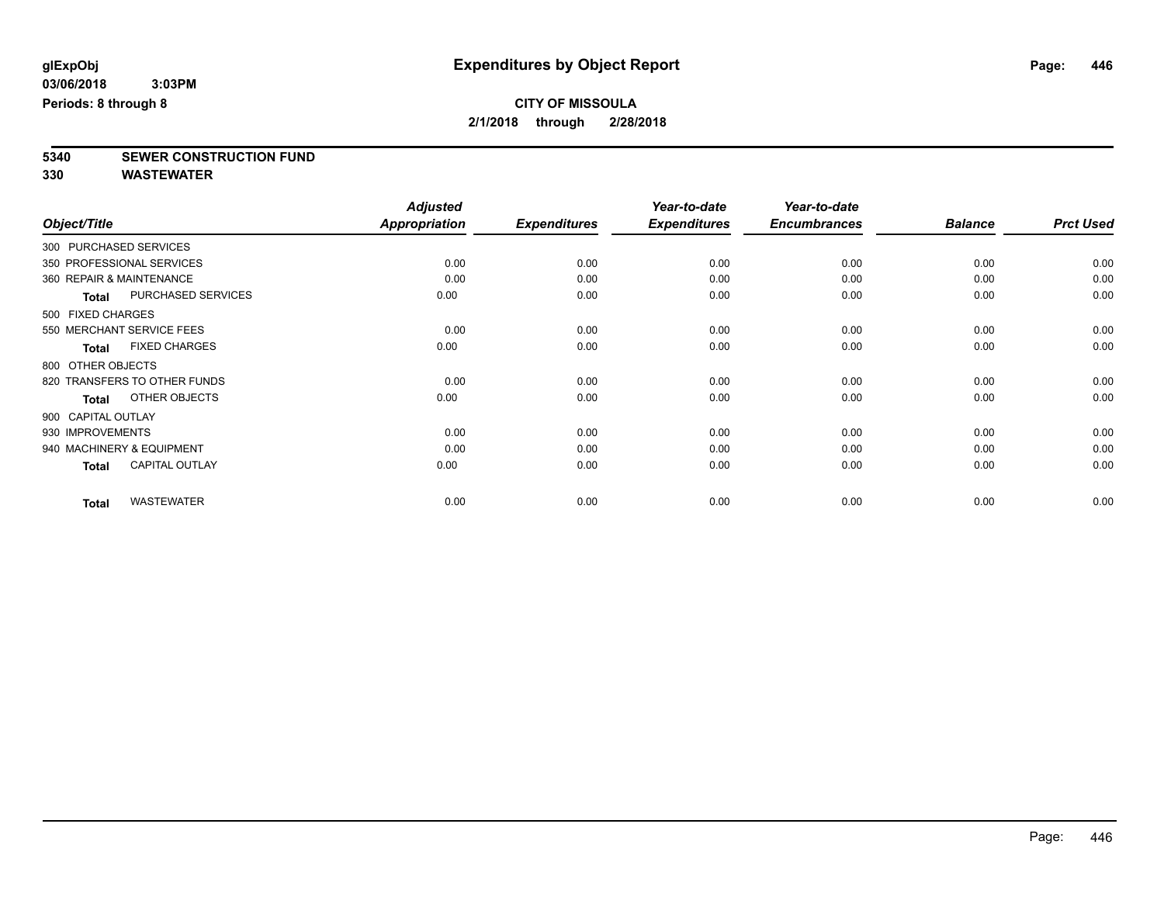# **5340 SEWER CONSTRUCTION FUND**

|                        |                              | <b>Adjusted</b>      |                     | Year-to-date        | Year-to-date        |                |                  |
|------------------------|------------------------------|----------------------|---------------------|---------------------|---------------------|----------------|------------------|
| Object/Title           |                              | <b>Appropriation</b> | <b>Expenditures</b> | <b>Expenditures</b> | <b>Encumbrances</b> | <b>Balance</b> | <b>Prct Used</b> |
| 300 PURCHASED SERVICES |                              |                      |                     |                     |                     |                |                  |
|                        | 350 PROFESSIONAL SERVICES    | 0.00                 | 0.00                | 0.00                | 0.00                | 0.00           | 0.00             |
|                        | 360 REPAIR & MAINTENANCE     | 0.00                 | 0.00                | 0.00                | 0.00                | 0.00           | 0.00             |
| <b>Total</b>           | PURCHASED SERVICES           | 0.00                 | 0.00                | 0.00                | 0.00                | 0.00           | 0.00             |
| 500 FIXED CHARGES      |                              |                      |                     |                     |                     |                |                  |
|                        | 550 MERCHANT SERVICE FEES    | 0.00                 | 0.00                | 0.00                | 0.00                | 0.00           | 0.00             |
| <b>Total</b>           | <b>FIXED CHARGES</b>         | 0.00                 | 0.00                | 0.00                | 0.00                | 0.00           | 0.00             |
| 800 OTHER OBJECTS      |                              |                      |                     |                     |                     |                |                  |
|                        | 820 TRANSFERS TO OTHER FUNDS | 0.00                 | 0.00                | 0.00                | 0.00                | 0.00           | 0.00             |
| <b>Total</b>           | OTHER OBJECTS                | 0.00                 | 0.00                | 0.00                | 0.00                | 0.00           | 0.00             |
| 900 CAPITAL OUTLAY     |                              |                      |                     |                     |                     |                |                  |
| 930 IMPROVEMENTS       |                              | 0.00                 | 0.00                | 0.00                | 0.00                | 0.00           | 0.00             |
|                        | 940 MACHINERY & EQUIPMENT    | 0.00                 | 0.00                | 0.00                | 0.00                | 0.00           | 0.00             |
| <b>Total</b>           | <b>CAPITAL OUTLAY</b>        | 0.00                 | 0.00                | 0.00                | 0.00                | 0.00           | 0.00             |
| <b>Total</b>           | <b>WASTEWATER</b>            | 0.00                 | 0.00                | 0.00                | 0.00                | 0.00           | 0.00             |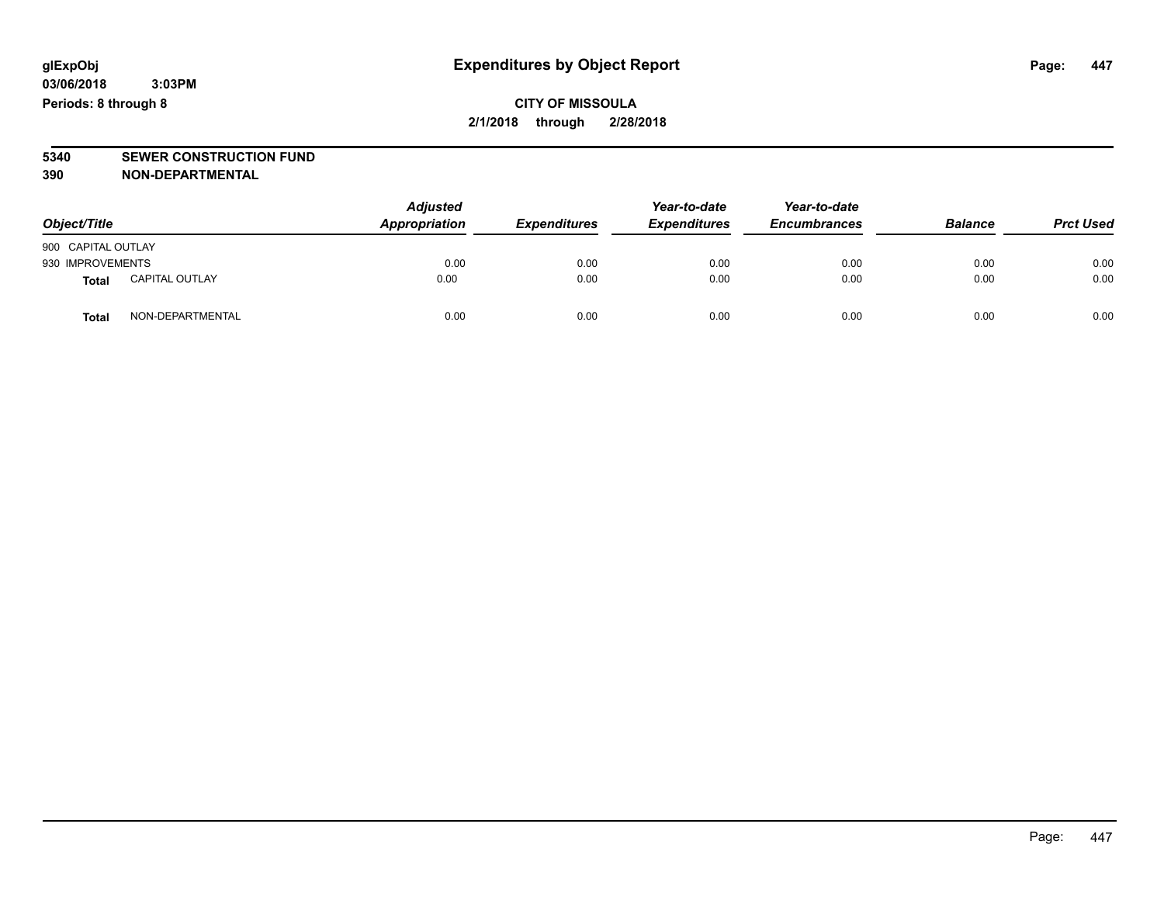**CITY OF MISSOULA 2/1/2018 through 2/28/2018**

# **5340 SEWER CONSTRUCTION FUND**

**390 NON-DEPARTMENTAL**

| Object/Title       |                       | <b>Adjusted</b><br>Appropriation | <b>Expenditures</b> | Year-to-date<br><b>Expenditures</b> | Year-to-date<br><b>Encumbrances</b> | <b>Balance</b> | <b>Prct Used</b> |
|--------------------|-----------------------|----------------------------------|---------------------|-------------------------------------|-------------------------------------|----------------|------------------|
| 900 CAPITAL OUTLAY |                       |                                  |                     |                                     |                                     |                |                  |
| 930 IMPROVEMENTS   |                       | 0.00                             | 0.00                | 0.00                                | 0.00                                | 0.00           | 0.00             |
| <b>Total</b>       | <b>CAPITAL OUTLAY</b> | 0.00                             | 0.00                | 0.00                                | 0.00                                | 0.00           | 0.00             |
| Total              | NON-DEPARTMENTAL      | 0.00                             | 0.00                | 0.00                                | 0.00                                | 0.00           | 0.00             |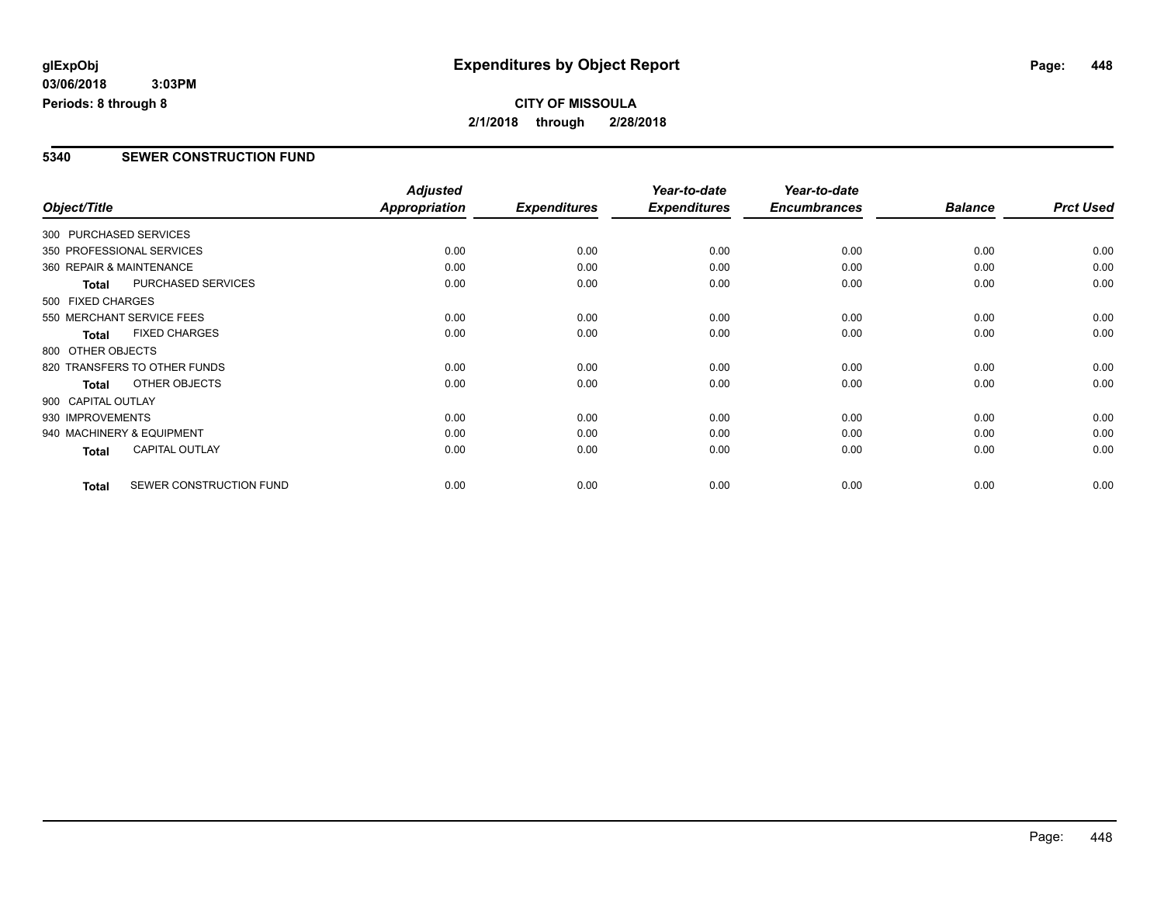## **CITY OF MISSOULA 2/1/2018 through 2/28/2018**

#### **5340 SEWER CONSTRUCTION FUND**

|                           |                              | <b>Adjusted</b>      |                     | Year-to-date        | Year-to-date        |                |                  |
|---------------------------|------------------------------|----------------------|---------------------|---------------------|---------------------|----------------|------------------|
| Object/Title              |                              | <b>Appropriation</b> | <b>Expenditures</b> | <b>Expenditures</b> | <b>Encumbrances</b> | <b>Balance</b> | <b>Prct Used</b> |
| 300 PURCHASED SERVICES    |                              |                      |                     |                     |                     |                |                  |
|                           | 350 PROFESSIONAL SERVICES    | 0.00                 | 0.00                | 0.00                | 0.00                | 0.00           | 0.00             |
| 360 REPAIR & MAINTENANCE  |                              | 0.00                 | 0.00                | 0.00                | 0.00                | 0.00           | 0.00             |
| <b>Total</b>              | PURCHASED SERVICES           | 0.00                 | 0.00                | 0.00                | 0.00                | 0.00           | 0.00             |
| 500 FIXED CHARGES         |                              |                      |                     |                     |                     |                |                  |
|                           | 550 MERCHANT SERVICE FEES    | 0.00                 | 0.00                | 0.00                | 0.00                | 0.00           | 0.00             |
| <b>Total</b>              | <b>FIXED CHARGES</b>         | 0.00                 | 0.00                | 0.00                | 0.00                | 0.00           | 0.00             |
| 800 OTHER OBJECTS         |                              |                      |                     |                     |                     |                |                  |
|                           | 820 TRANSFERS TO OTHER FUNDS | 0.00                 | 0.00                | 0.00                | 0.00                | 0.00           | 0.00             |
| <b>Total</b>              | OTHER OBJECTS                | 0.00                 | 0.00                | 0.00                | 0.00                | 0.00           | 0.00             |
| 900 CAPITAL OUTLAY        |                              |                      |                     |                     |                     |                |                  |
| 930 IMPROVEMENTS          |                              | 0.00                 | 0.00                | 0.00                | 0.00                | 0.00           | 0.00             |
| 940 MACHINERY & EQUIPMENT |                              | 0.00                 | 0.00                | 0.00                | 0.00                | 0.00           | 0.00             |
| <b>Total</b>              | <b>CAPITAL OUTLAY</b>        | 0.00                 | 0.00                | 0.00                | 0.00                | 0.00           | 0.00             |
| <b>Total</b>              | SEWER CONSTRUCTION FUND      | 0.00                 | 0.00                | 0.00                | 0.00                | 0.00           | 0.00             |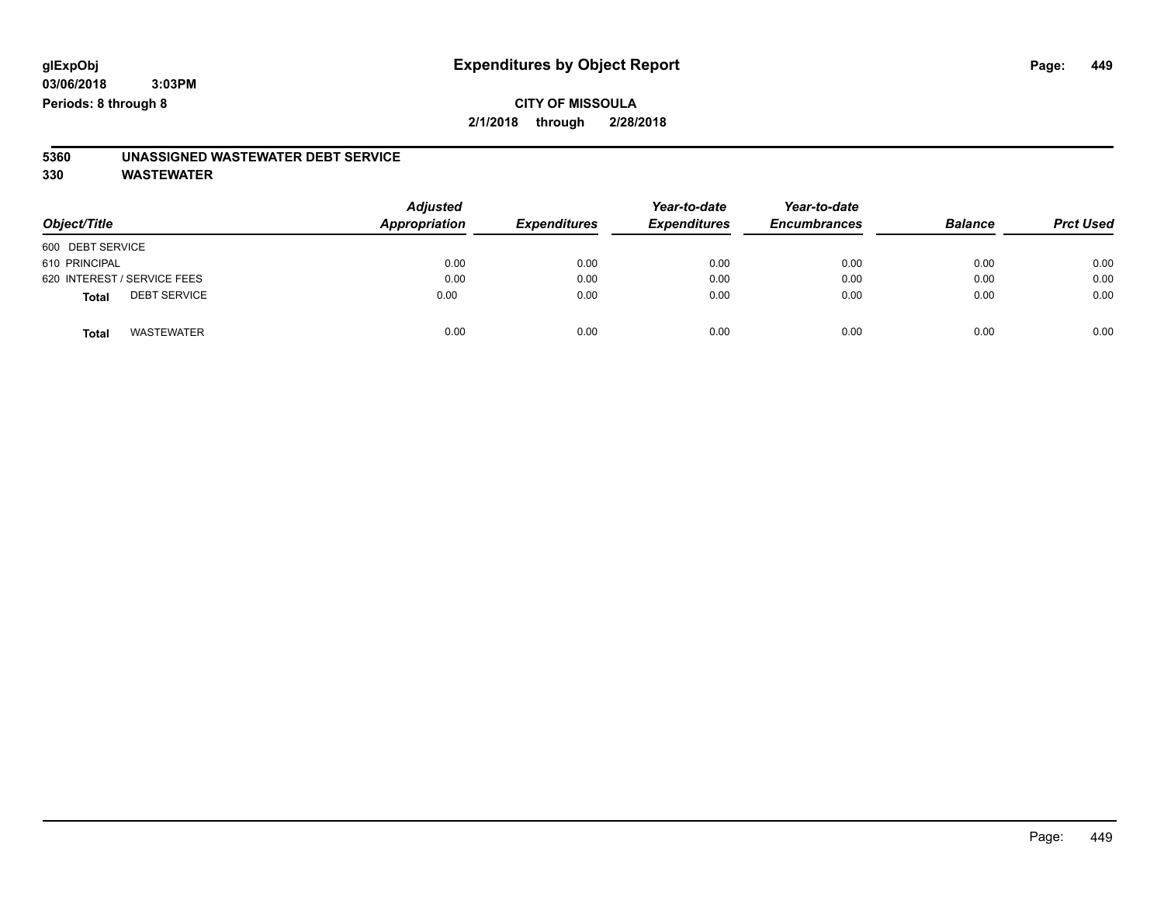### **CITY OF MISSOULA 2/1/2018 through 2/28/2018**

# **5360 UNASSIGNED WASTEWATER DEBT SERVICE**

| Object/Title                        | <b>Adjusted</b><br>Appropriation | <b>Expenditures</b> | Year-to-date<br><b>Expenditures</b> | Year-to-date<br><b>Encumbrances</b> | <b>Balance</b> | <b>Prct Used</b> |
|-------------------------------------|----------------------------------|---------------------|-------------------------------------|-------------------------------------|----------------|------------------|
| 600 DEBT SERVICE                    |                                  |                     |                                     |                                     |                |                  |
| 610 PRINCIPAL                       | 0.00                             | 0.00                | 0.00                                | 0.00                                | 0.00           | 0.00             |
| 620 INTEREST / SERVICE FEES         | 0.00                             | 0.00                | 0.00                                | 0.00                                | 0.00           | 0.00             |
| <b>DEBT SERVICE</b><br><b>Total</b> | 0.00                             | 0.00                | 0.00                                | 0.00                                | 0.00           | 0.00             |
| <b>WASTEWATER</b><br><b>Total</b>   | 0.00                             | 0.00                | 0.00                                | 0.00                                | 0.00           | 0.00             |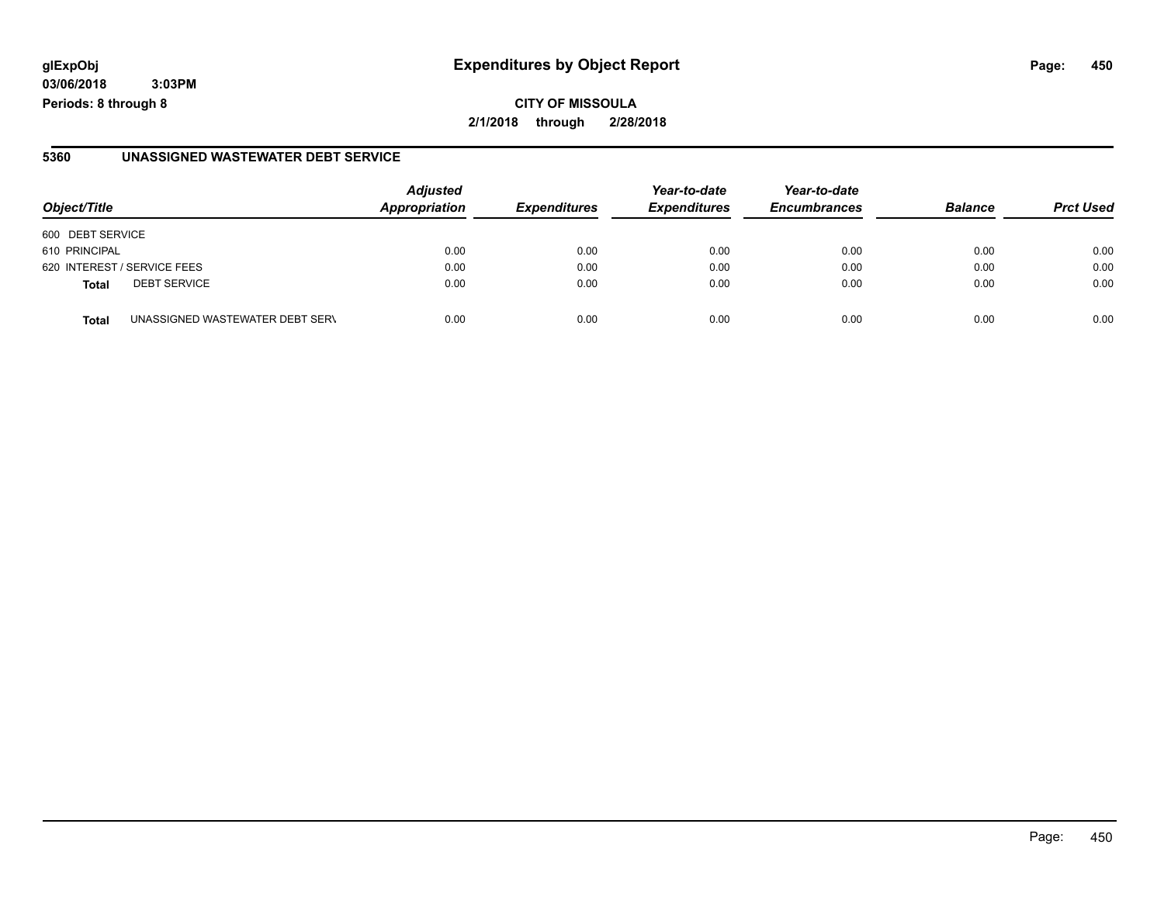**03/06/2018 3:03PM**

#### **5360 UNASSIGNED WASTEWATER DEBT SERVICE**

| Object/Title                                    | <b>Adjusted</b><br>Appropriation | <b>Expenditures</b> | Year-to-date<br><b>Expenditures</b> | Year-to-date<br><b>Encumbrances</b> | <b>Balance</b> | <b>Prct Used</b> |
|-------------------------------------------------|----------------------------------|---------------------|-------------------------------------|-------------------------------------|----------------|------------------|
| 600 DEBT SERVICE                                |                                  |                     |                                     |                                     |                |                  |
| 610 PRINCIPAL                                   | 0.00                             | 0.00                | 0.00                                | 0.00                                | 0.00           | 0.00             |
| 620 INTEREST / SERVICE FEES                     | 0.00                             | 0.00                | 0.00                                | 0.00                                | 0.00           | 0.00             |
| <b>DEBT SERVICE</b><br><b>Total</b>             | 0.00                             | 0.00                | 0.00                                | 0.00                                | 0.00           | 0.00             |
| UNASSIGNED WASTEWATER DEBT SERV<br><b>Total</b> | 0.00                             | 0.00                | 0.00                                | 0.00                                | 0.00           | 0.00             |

**Periods: 8 through 8**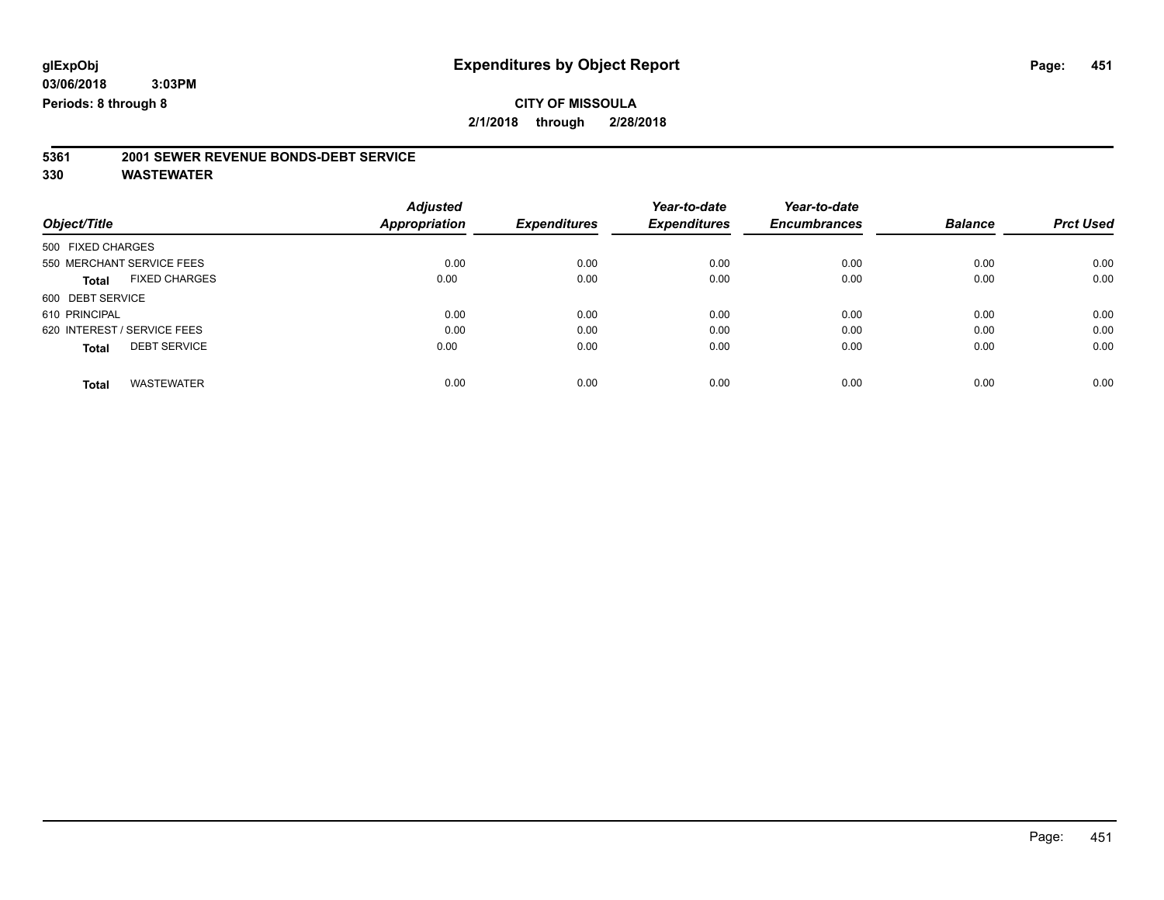## **CITY OF MISSOULA**

**2/1/2018 through 2/28/2018**

# **5361 2001 SEWER REVENUE BONDS-DEBT SERVICE**

|                                      | <b>Adjusted</b> |                     | Year-to-date        | Year-to-date        |                |                  |
|--------------------------------------|-----------------|---------------------|---------------------|---------------------|----------------|------------------|
| Object/Title                         | Appropriation   | <b>Expenditures</b> | <b>Expenditures</b> | <b>Encumbrances</b> | <b>Balance</b> | <b>Prct Used</b> |
| 500 FIXED CHARGES                    |                 |                     |                     |                     |                |                  |
| 550 MERCHANT SERVICE FEES            | 0.00            | 0.00                | 0.00                | 0.00                | 0.00           | 0.00             |
| <b>FIXED CHARGES</b><br><b>Total</b> | 0.00            | 0.00                | 0.00                | 0.00                | 0.00           | 0.00             |
| 600 DEBT SERVICE                     |                 |                     |                     |                     |                |                  |
| 610 PRINCIPAL                        | 0.00            | 0.00                | 0.00                | 0.00                | 0.00           | 0.00             |
| 620 INTEREST / SERVICE FEES          | 0.00            | 0.00                | 0.00                | 0.00                | 0.00           | 0.00             |
| <b>DEBT SERVICE</b><br><b>Total</b>  | 0.00            | 0.00                | 0.00                | 0.00                | 0.00           | 0.00             |
|                                      |                 |                     |                     |                     |                |                  |
| <b>WASTEWATER</b><br><b>Total</b>    | 0.00            | 0.00                | 0.00                | 0.00                | 0.00           | 0.00             |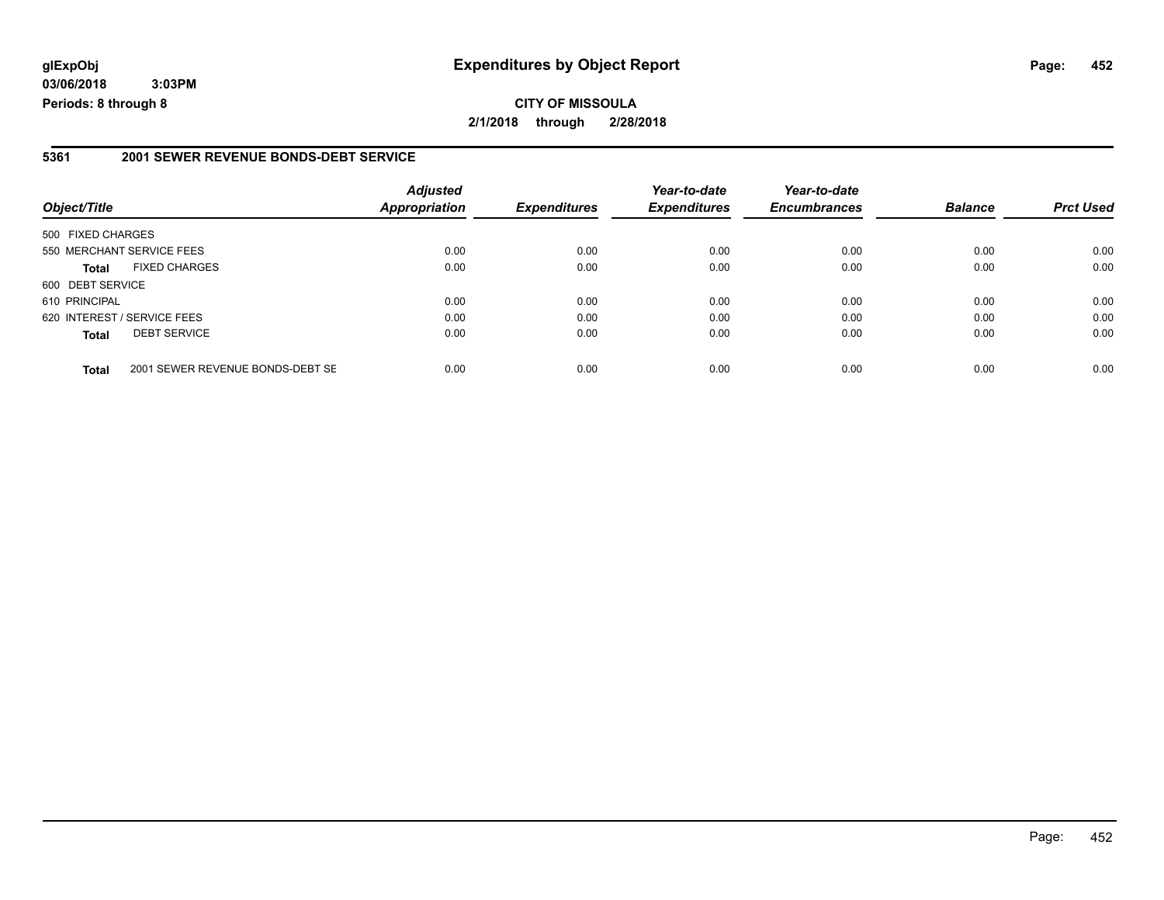**03/06/2018 3:03PM Periods: 8 through 8**

#### **5361 2001 SEWER REVENUE BONDS-DEBT SERVICE**

| Object/Title      |                                  | <b>Adjusted</b><br><b>Appropriation</b> | <b>Expenditures</b> | Year-to-date<br><b>Expenditures</b> | Year-to-date<br><b>Encumbrances</b> | <b>Balance</b> | <b>Prct Used</b> |
|-------------------|----------------------------------|-----------------------------------------|---------------------|-------------------------------------|-------------------------------------|----------------|------------------|
| 500 FIXED CHARGES |                                  |                                         |                     |                                     |                                     |                |                  |
|                   | 550 MERCHANT SERVICE FEES        | 0.00                                    | 0.00                | 0.00                                | 0.00                                | 0.00           | 0.00             |
| <b>Total</b>      | <b>FIXED CHARGES</b>             | 0.00                                    | 0.00                | 0.00                                | 0.00                                | 0.00           | 0.00             |
| 600 DEBT SERVICE  |                                  |                                         |                     |                                     |                                     |                |                  |
| 610 PRINCIPAL     |                                  | 0.00                                    | 0.00                | 0.00                                | 0.00                                | 0.00           | 0.00             |
|                   | 620 INTEREST / SERVICE FEES      | 0.00                                    | 0.00                | 0.00                                | 0.00                                | 0.00           | 0.00             |
| <b>Total</b>      | <b>DEBT SERVICE</b>              | 0.00                                    | 0.00                | 0.00                                | 0.00                                | 0.00           | 0.00             |
| <b>Total</b>      | 2001 SEWER REVENUE BONDS-DEBT SE | 0.00                                    | 0.00                | 0.00                                | 0.00                                | 0.00           | 0.00             |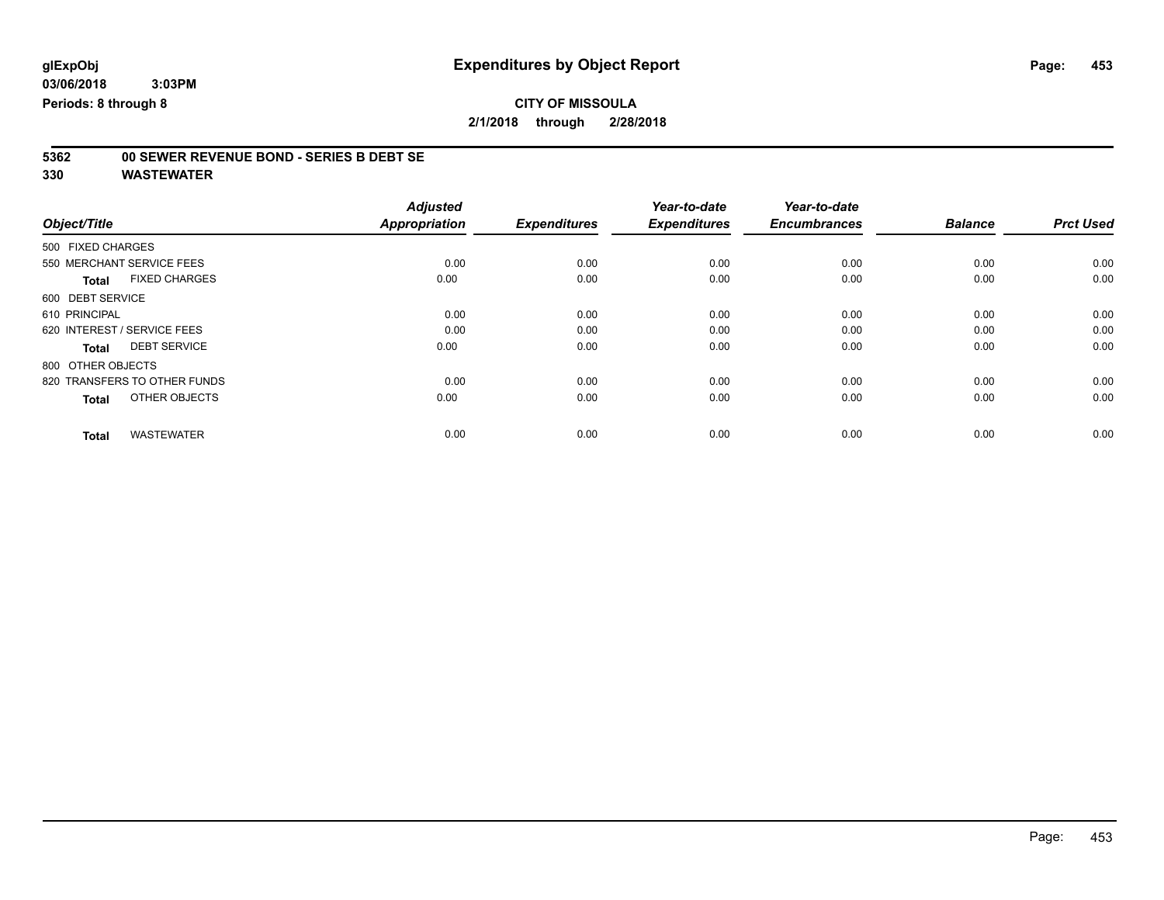### **CITY OF MISSOULA 2/1/2018 through 2/28/2018**

# **5362 00 SEWER REVENUE BOND - SERIES B DEBT SE**

|                                      | <b>Adjusted</b>      |                     | Year-to-date        | Year-to-date        |                |                  |
|--------------------------------------|----------------------|---------------------|---------------------|---------------------|----------------|------------------|
| Object/Title                         | <b>Appropriation</b> | <b>Expenditures</b> | <b>Expenditures</b> | <b>Encumbrances</b> | <b>Balance</b> | <b>Prct Used</b> |
| 500 FIXED CHARGES                    |                      |                     |                     |                     |                |                  |
| 550 MERCHANT SERVICE FEES            | 0.00                 | 0.00                | 0.00                | 0.00                | 0.00           | 0.00             |
| <b>FIXED CHARGES</b><br><b>Total</b> | 0.00                 | 0.00                | 0.00                | 0.00                | 0.00           | 0.00             |
| 600 DEBT SERVICE                     |                      |                     |                     |                     |                |                  |
| 610 PRINCIPAL                        | 0.00                 | 0.00                | 0.00                | 0.00                | 0.00           | 0.00             |
| 620 INTEREST / SERVICE FEES          | 0.00                 | 0.00                | 0.00                | 0.00                | 0.00           | 0.00             |
| <b>DEBT SERVICE</b><br><b>Total</b>  | 0.00                 | 0.00                | 0.00                | 0.00                | 0.00           | 0.00             |
| 800 OTHER OBJECTS                    |                      |                     |                     |                     |                |                  |
| 820 TRANSFERS TO OTHER FUNDS         | 0.00                 | 0.00                | 0.00                | 0.00                | 0.00           | 0.00             |
| OTHER OBJECTS<br><b>Total</b>        | 0.00                 | 0.00                | 0.00                | 0.00                | 0.00           | 0.00             |
|                                      |                      |                     |                     |                     |                |                  |
| <b>WASTEWATER</b><br><b>Total</b>    | 0.00                 | 0.00                | 0.00                | 0.00                | 0.00           | 0.00             |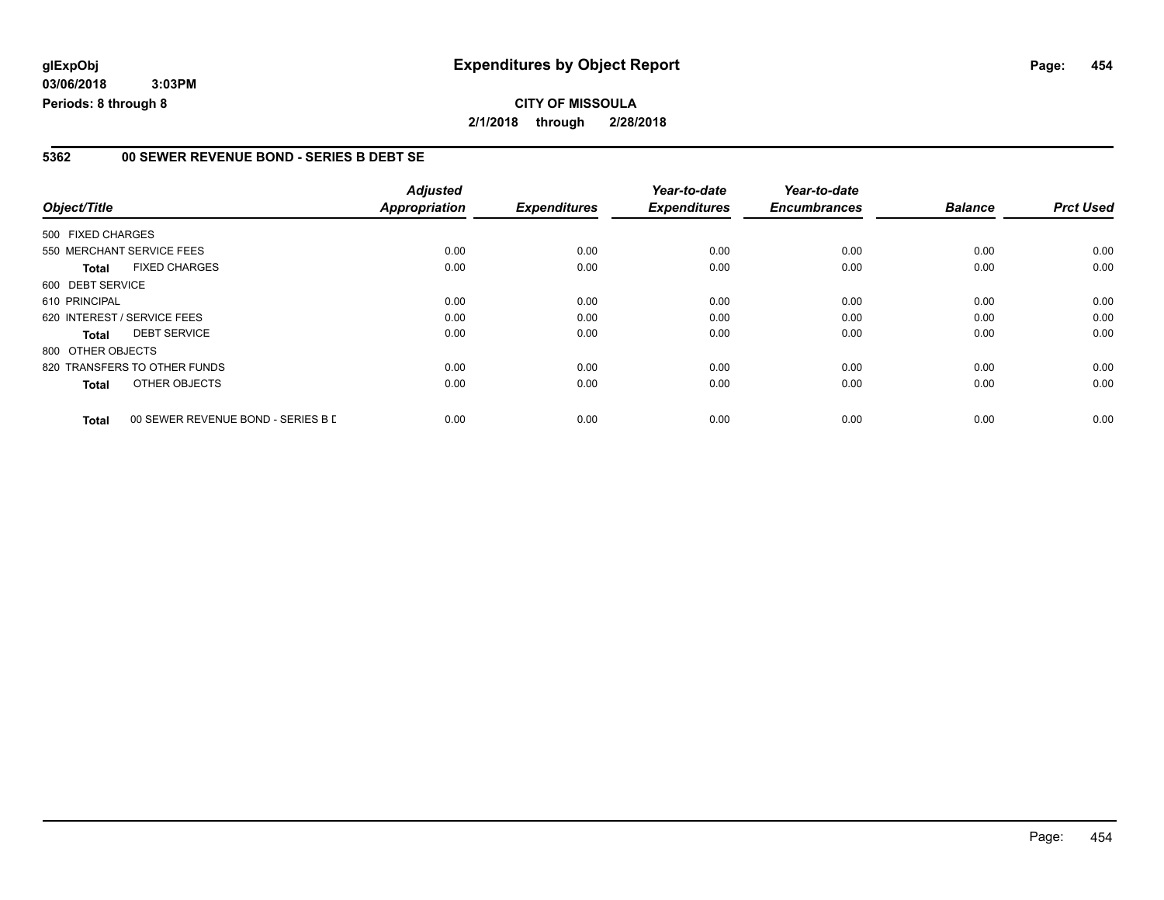#### **5362 00 SEWER REVENUE BOND - SERIES B DEBT SE**

|                   |                                    | <b>Adjusted</b>      |                     | Year-to-date        | Year-to-date        |                |                  |
|-------------------|------------------------------------|----------------------|---------------------|---------------------|---------------------|----------------|------------------|
| Object/Title      |                                    | <b>Appropriation</b> | <b>Expenditures</b> | <b>Expenditures</b> | <b>Encumbrances</b> | <b>Balance</b> | <b>Prct Used</b> |
| 500 FIXED CHARGES |                                    |                      |                     |                     |                     |                |                  |
|                   | 550 MERCHANT SERVICE FEES          | 0.00                 | 0.00                | 0.00                | 0.00                | 0.00           | 0.00             |
| <b>Total</b>      | <b>FIXED CHARGES</b>               | 0.00                 | 0.00                | 0.00                | 0.00                | 0.00           | 0.00             |
| 600 DEBT SERVICE  |                                    |                      |                     |                     |                     |                |                  |
| 610 PRINCIPAL     |                                    | 0.00                 | 0.00                | 0.00                | 0.00                | 0.00           | 0.00             |
|                   | 620 INTEREST / SERVICE FEES        | 0.00                 | 0.00                | 0.00                | 0.00                | 0.00           | 0.00             |
| <b>Total</b>      | <b>DEBT SERVICE</b>                | 0.00                 | 0.00                | 0.00                | 0.00                | 0.00           | 0.00             |
| 800 OTHER OBJECTS |                                    |                      |                     |                     |                     |                |                  |
|                   | 820 TRANSFERS TO OTHER FUNDS       | 0.00                 | 0.00                | 0.00                | 0.00                | 0.00           | 0.00             |
| <b>Total</b>      | OTHER OBJECTS                      | 0.00                 | 0.00                | 0.00                | 0.00                | 0.00           | 0.00             |
| <b>Total</b>      | 00 SEWER REVENUE BOND - SERIES B D | 0.00                 | 0.00                | 0.00                | 0.00                | 0.00           | 0.00             |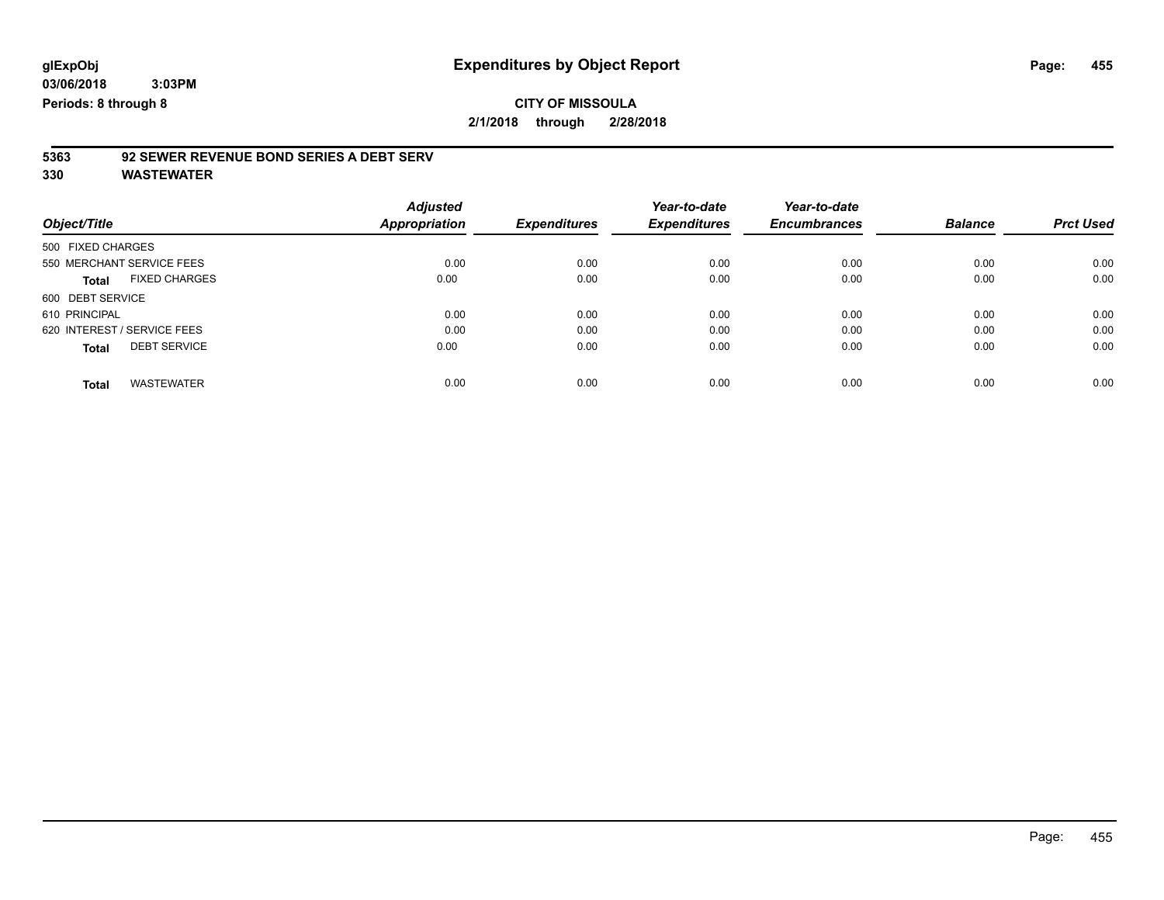# **CITY OF MISSOULA**

**2/1/2018 through 2/28/2018**

# **5363 92 SEWER REVENUE BOND SERIES A DEBT SERV**

| Object/Title                         | <b>Adjusted</b><br>Appropriation | <b>Expenditures</b> | Year-to-date<br><b>Expenditures</b> | Year-to-date<br><b>Encumbrances</b> | <b>Balance</b> | <b>Prct Used</b> |
|--------------------------------------|----------------------------------|---------------------|-------------------------------------|-------------------------------------|----------------|------------------|
|                                      |                                  |                     |                                     |                                     |                |                  |
| 500 FIXED CHARGES                    |                                  |                     |                                     |                                     |                |                  |
| 550 MERCHANT SERVICE FEES            | 0.00                             | 0.00                | 0.00                                | 0.00                                | 0.00           | 0.00             |
| <b>FIXED CHARGES</b><br><b>Total</b> | 0.00                             | 0.00                | 0.00                                | 0.00                                | 0.00           | 0.00             |
| 600 DEBT SERVICE                     |                                  |                     |                                     |                                     |                |                  |
| 610 PRINCIPAL                        | 0.00                             | 0.00                | 0.00                                | 0.00                                | 0.00           | 0.00             |
| 620 INTEREST / SERVICE FEES          | 0.00                             | 0.00                | 0.00                                | 0.00                                | 0.00           | 0.00             |
| <b>DEBT SERVICE</b><br><b>Total</b>  | 0.00                             | 0.00                | 0.00                                | 0.00                                | 0.00           | 0.00             |
| <b>WASTEWATER</b><br>Total           | 0.00                             | 0.00                | 0.00                                | 0.00                                | 0.00           | 0.00             |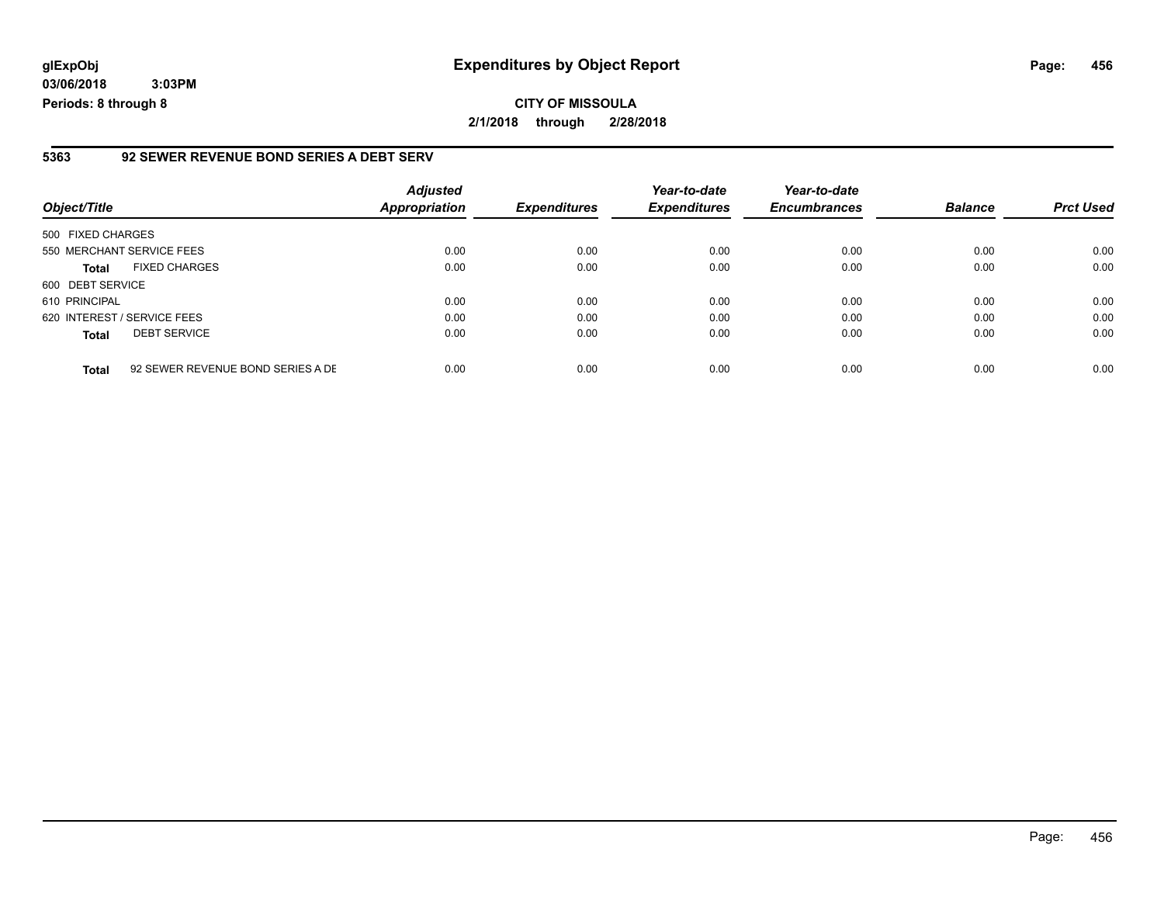**03/06/2018 3:03PM Periods: 8 through 8**

#### **5363 92 SEWER REVENUE BOND SERIES A DEBT SERV**

| Object/Title                |                                   | <b>Adjusted</b><br><b>Appropriation</b> | <b>Expenditures</b> | Year-to-date<br><b>Expenditures</b> | Year-to-date<br><b>Encumbrances</b> | <b>Balance</b> | <b>Prct Used</b> |
|-----------------------------|-----------------------------------|-----------------------------------------|---------------------|-------------------------------------|-------------------------------------|----------------|------------------|
| 500 FIXED CHARGES           |                                   |                                         |                     |                                     |                                     |                |                  |
| 550 MERCHANT SERVICE FEES   |                                   | 0.00                                    | 0.00                | 0.00                                | 0.00                                | 0.00           | 0.00             |
| <b>Total</b>                | <b>FIXED CHARGES</b>              | 0.00                                    | 0.00                | 0.00                                | 0.00                                | 0.00           | 0.00             |
| 600 DEBT SERVICE            |                                   |                                         |                     |                                     |                                     |                |                  |
| 610 PRINCIPAL               |                                   | 0.00                                    | 0.00                | 0.00                                | 0.00                                | 0.00           | 0.00             |
| 620 INTEREST / SERVICE FEES |                                   | 0.00                                    | 0.00                | 0.00                                | 0.00                                | 0.00           | 0.00             |
| <b>Total</b>                | <b>DEBT SERVICE</b>               | 0.00                                    | 0.00                | 0.00                                | 0.00                                | 0.00           | 0.00             |
| <b>Total</b>                | 92 SEWER REVENUE BOND SERIES A DE | 0.00                                    | 0.00                | 0.00                                | 0.00                                | 0.00           | 0.00             |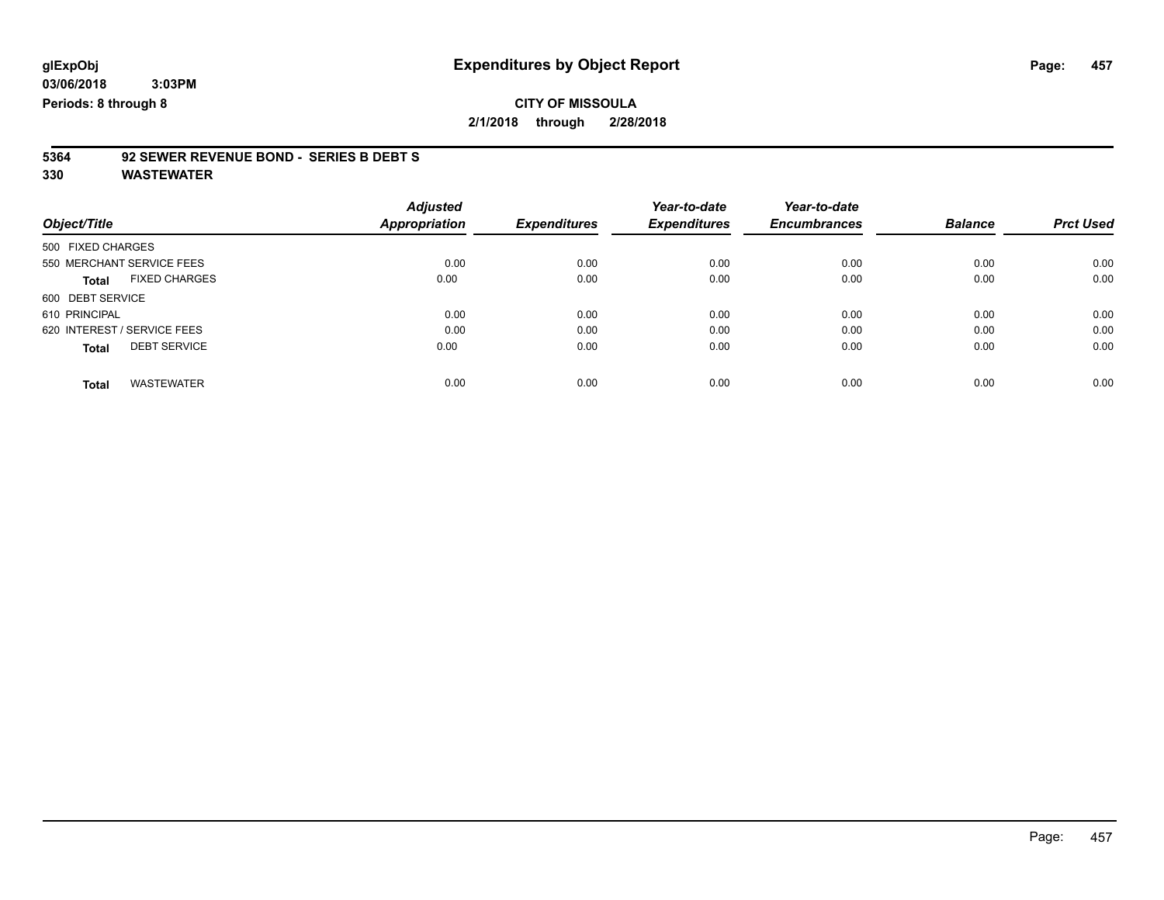### **CITY OF MISSOULA 2/1/2018 through 2/28/2018**

# **5364 92 SEWER REVENUE BOND - SERIES B DEBT S**

| Object/Title                         | <b>Adjusted</b><br>Appropriation | <b>Expenditures</b> | Year-to-date<br><b>Expenditures</b> | Year-to-date<br><b>Encumbrances</b> | <b>Balance</b> | <b>Prct Used</b> |
|--------------------------------------|----------------------------------|---------------------|-------------------------------------|-------------------------------------|----------------|------------------|
|                                      |                                  |                     |                                     |                                     |                |                  |
| 500 FIXED CHARGES                    |                                  |                     |                                     |                                     |                |                  |
| 550 MERCHANT SERVICE FEES            | 0.00                             | 0.00                | 0.00                                | 0.00                                | 0.00           | 0.00             |
| <b>FIXED CHARGES</b><br><b>Total</b> | 0.00                             | 0.00                | 0.00                                | 0.00                                | 0.00           | 0.00             |
| 600 DEBT SERVICE                     |                                  |                     |                                     |                                     |                |                  |
| 610 PRINCIPAL                        | 0.00                             | 0.00                | 0.00                                | 0.00                                | 0.00           | 0.00             |
| 620 INTEREST / SERVICE FEES          | 0.00                             | 0.00                | 0.00                                | 0.00                                | 0.00           | 0.00             |
| <b>DEBT SERVICE</b><br><b>Total</b>  | 0.00                             | 0.00                | 0.00                                | 0.00                                | 0.00           | 0.00             |
| <b>WASTEWATER</b><br>Total           | 0.00                             | 0.00                | 0.00                                | 0.00                                | 0.00           | 0.00             |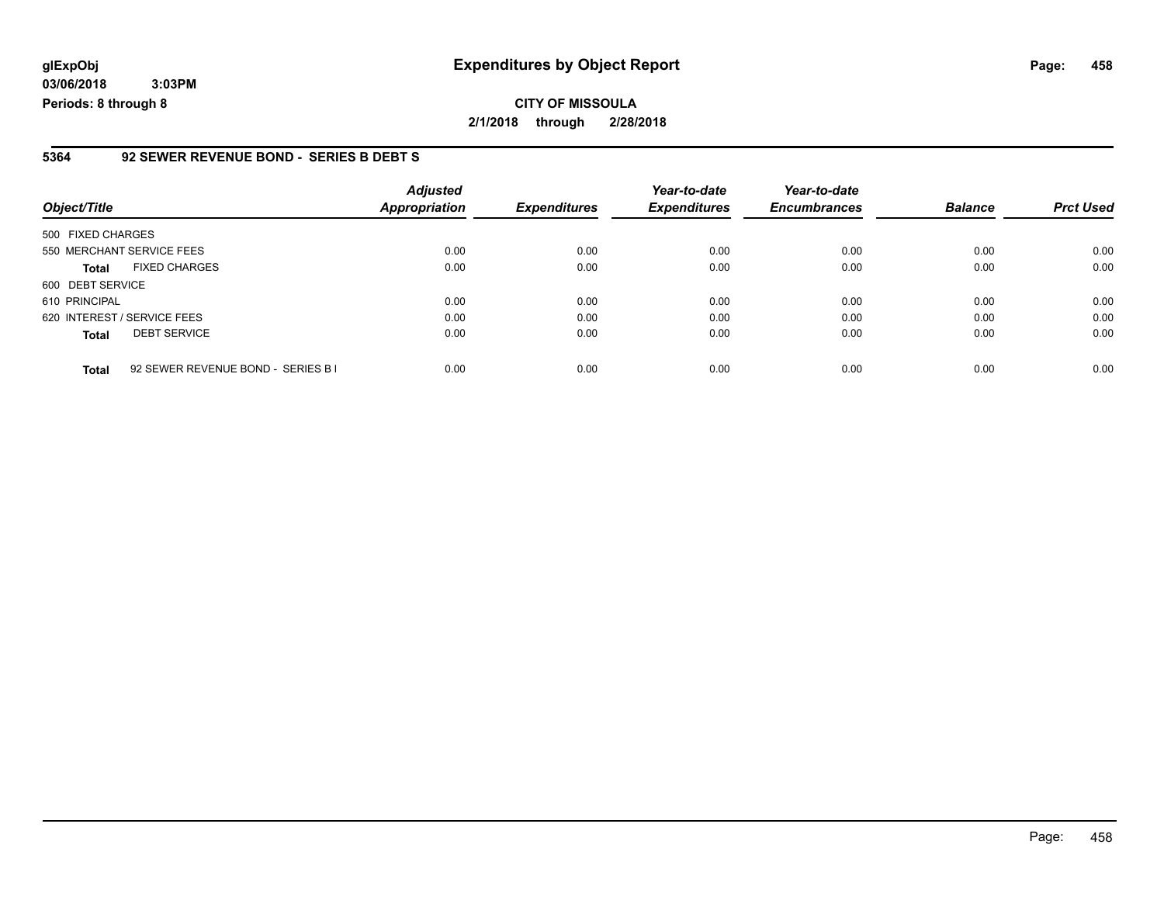**03/06/2018 3:03PM Periods: 8 through 8**

#### **5364 92 SEWER REVENUE BOND - SERIES B DEBT S**

| Object/Title                |                                    | <b>Adjusted</b><br><b>Appropriation</b> | <b>Expenditures</b> | Year-to-date<br><b>Expenditures</b> | Year-to-date<br><b>Encumbrances</b> | <b>Balance</b> | <b>Prct Used</b> |
|-----------------------------|------------------------------------|-----------------------------------------|---------------------|-------------------------------------|-------------------------------------|----------------|------------------|
| 500 FIXED CHARGES           |                                    |                                         |                     |                                     |                                     |                |                  |
| 550 MERCHANT SERVICE FEES   |                                    | 0.00                                    | 0.00                | 0.00                                | 0.00                                | 0.00           | 0.00             |
| <b>Total</b>                | <b>FIXED CHARGES</b>               | 0.00                                    | 0.00                | 0.00                                | 0.00                                | 0.00           | 0.00             |
| 600 DEBT SERVICE            |                                    |                                         |                     |                                     |                                     |                |                  |
| 610 PRINCIPAL               |                                    | 0.00                                    | 0.00                | 0.00                                | 0.00                                | 0.00           | 0.00             |
| 620 INTEREST / SERVICE FEES |                                    | 0.00                                    | 0.00                | 0.00                                | 0.00                                | 0.00           | 0.00             |
| <b>Total</b>                | <b>DEBT SERVICE</b>                | 0.00                                    | 0.00                | 0.00                                | 0.00                                | 0.00           | 0.00             |
| <b>Total</b>                | 92 SEWER REVENUE BOND - SERIES B I | 0.00                                    | 0.00                | 0.00                                | 0.00                                | 0.00           | 0.00             |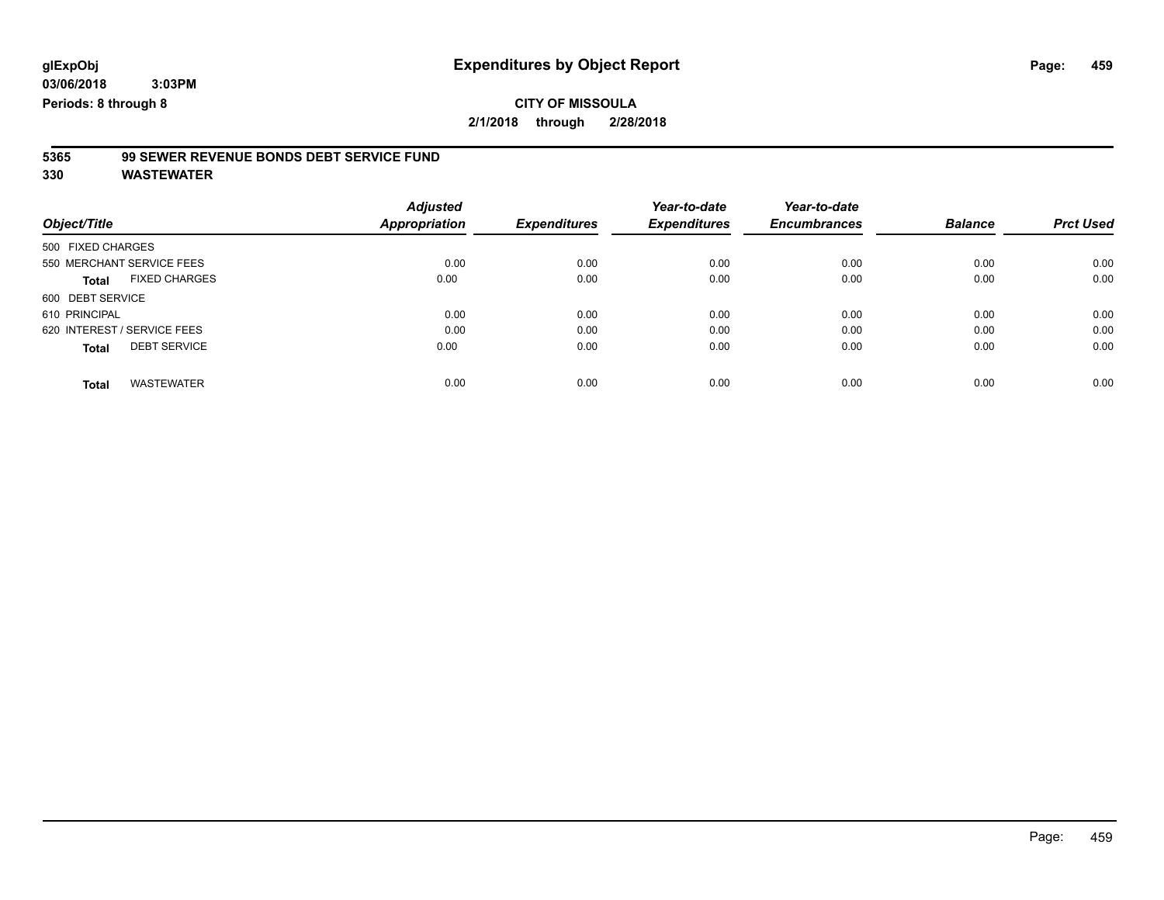## **CITY OF MISSOULA**

**2/1/2018 through 2/28/2018**

# **5365 99 SEWER REVENUE BONDS DEBT SERVICE FUND**

| Object/Title                         | <b>Adjusted</b><br>Appropriation | <b>Expenditures</b> | Year-to-date<br><b>Expenditures</b> | Year-to-date<br><b>Encumbrances</b> | <b>Balance</b> | <b>Prct Used</b> |
|--------------------------------------|----------------------------------|---------------------|-------------------------------------|-------------------------------------|----------------|------------------|
| 500 FIXED CHARGES                    |                                  |                     |                                     |                                     |                |                  |
| 550 MERCHANT SERVICE FEES            | 0.00                             | 0.00                | 0.00                                | 0.00                                | 0.00           | 0.00             |
| <b>FIXED CHARGES</b><br><b>Total</b> | 0.00                             | 0.00                | 0.00                                | 0.00                                | 0.00           | 0.00             |
| 600 DEBT SERVICE                     |                                  |                     |                                     |                                     |                |                  |
| 610 PRINCIPAL                        | 0.00                             | 0.00                | 0.00                                | 0.00                                | 0.00           | 0.00             |
| 620 INTEREST / SERVICE FEES          | 0.00                             | 0.00                | 0.00                                | 0.00                                | 0.00           | 0.00             |
| <b>DEBT SERVICE</b><br><b>Total</b>  | 0.00                             | 0.00                | 0.00                                | 0.00                                | 0.00           | 0.00             |
| <b>WASTEWATER</b><br><b>Total</b>    | 0.00                             | 0.00                | 0.00                                | 0.00                                | 0.00           | 0.00             |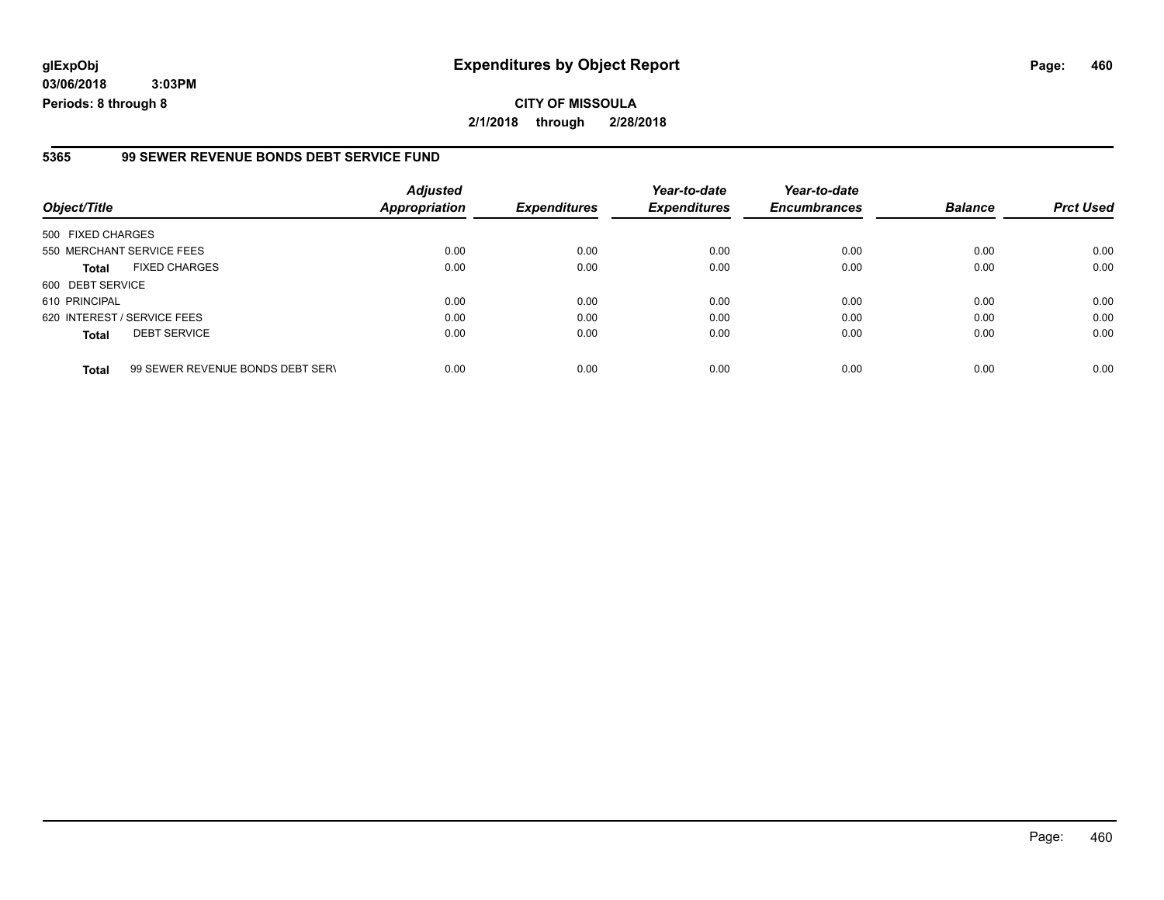**03/06/2018 3:03PM Periods: 8 through 8**

#### **5365 99 SEWER REVENUE BONDS DEBT SERVICE FUND**

| Object/Title                |                                  | <b>Adjusted</b><br><b>Appropriation</b> | <b>Expenditures</b> | Year-to-date<br><b>Expenditures</b> | Year-to-date<br><b>Encumbrances</b> | <b>Balance</b> | <b>Prct Used</b> |
|-----------------------------|----------------------------------|-----------------------------------------|---------------------|-------------------------------------|-------------------------------------|----------------|------------------|
| 500 FIXED CHARGES           |                                  |                                         |                     |                                     |                                     |                |                  |
| 550 MERCHANT SERVICE FEES   |                                  | 0.00                                    | 0.00                | 0.00                                | 0.00                                | 0.00           | 0.00             |
| <b>Total</b>                | <b>FIXED CHARGES</b>             | 0.00                                    | 0.00                | 0.00                                | 0.00                                | 0.00           | 0.00             |
| 600 DEBT SERVICE            |                                  |                                         |                     |                                     |                                     |                |                  |
| 610 PRINCIPAL               |                                  | 0.00                                    | 0.00                | 0.00                                | 0.00                                | 0.00           | 0.00             |
| 620 INTEREST / SERVICE FEES |                                  | 0.00                                    | 0.00                | 0.00                                | 0.00                                | 0.00           | 0.00             |
| <b>Total</b>                | <b>DEBT SERVICE</b>              | 0.00                                    | 0.00                | 0.00                                | 0.00                                | 0.00           | 0.00             |
| <b>Total</b>                | 99 SEWER REVENUE BONDS DEBT SERV | 0.00                                    | 0.00                | 0.00                                | 0.00                                | 0.00           | 0.00             |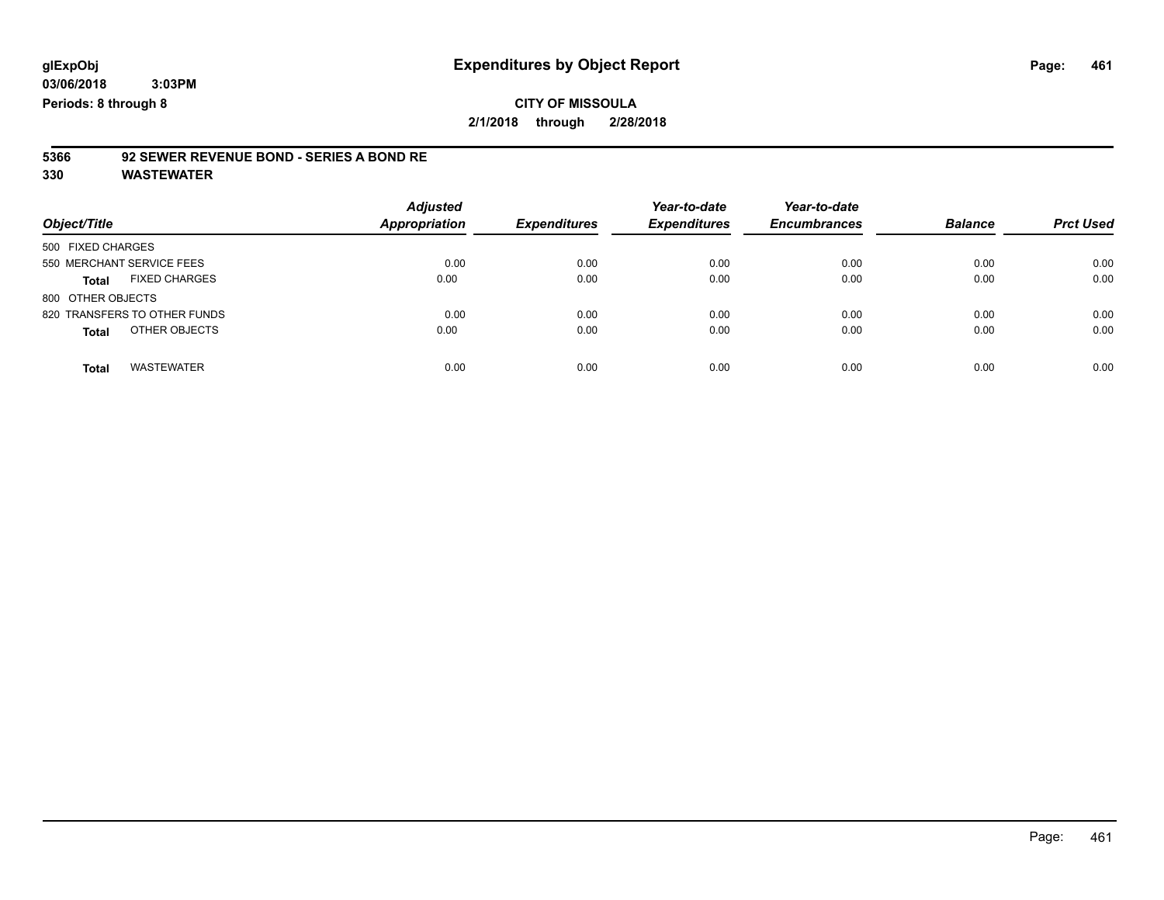### **CITY OF MISSOULA 2/1/2018 through 2/28/2018**

# **5366 92 SEWER REVENUE BOND - SERIES A BOND RE**

| Object/Title                         | <b>Adjusted</b><br>Appropriation | <b>Expenditures</b> | Year-to-date<br><b>Expenditures</b> | Year-to-date<br><b>Encumbrances</b> | <b>Balance</b> | <b>Prct Used</b> |
|--------------------------------------|----------------------------------|---------------------|-------------------------------------|-------------------------------------|----------------|------------------|
| 500 FIXED CHARGES                    |                                  |                     |                                     |                                     |                |                  |
| 550 MERCHANT SERVICE FEES            | 0.00                             | 0.00                | 0.00                                | 0.00                                | 0.00           | 0.00             |
| <b>FIXED CHARGES</b><br><b>Total</b> | 0.00                             | 0.00                | 0.00                                | 0.00                                | 0.00           | 0.00             |
| 800 OTHER OBJECTS                    |                                  |                     |                                     |                                     |                |                  |
| 820 TRANSFERS TO OTHER FUNDS         | 0.00                             | 0.00                | 0.00                                | 0.00                                | 0.00           | 0.00             |
| OTHER OBJECTS<br><b>Total</b>        | 0.00                             | 0.00                | 0.00                                | 0.00                                | 0.00           | 0.00             |
| <b>WASTEWATER</b><br><b>Total</b>    | 0.00                             | 0.00                | 0.00                                | 0.00                                | 0.00           | 0.00             |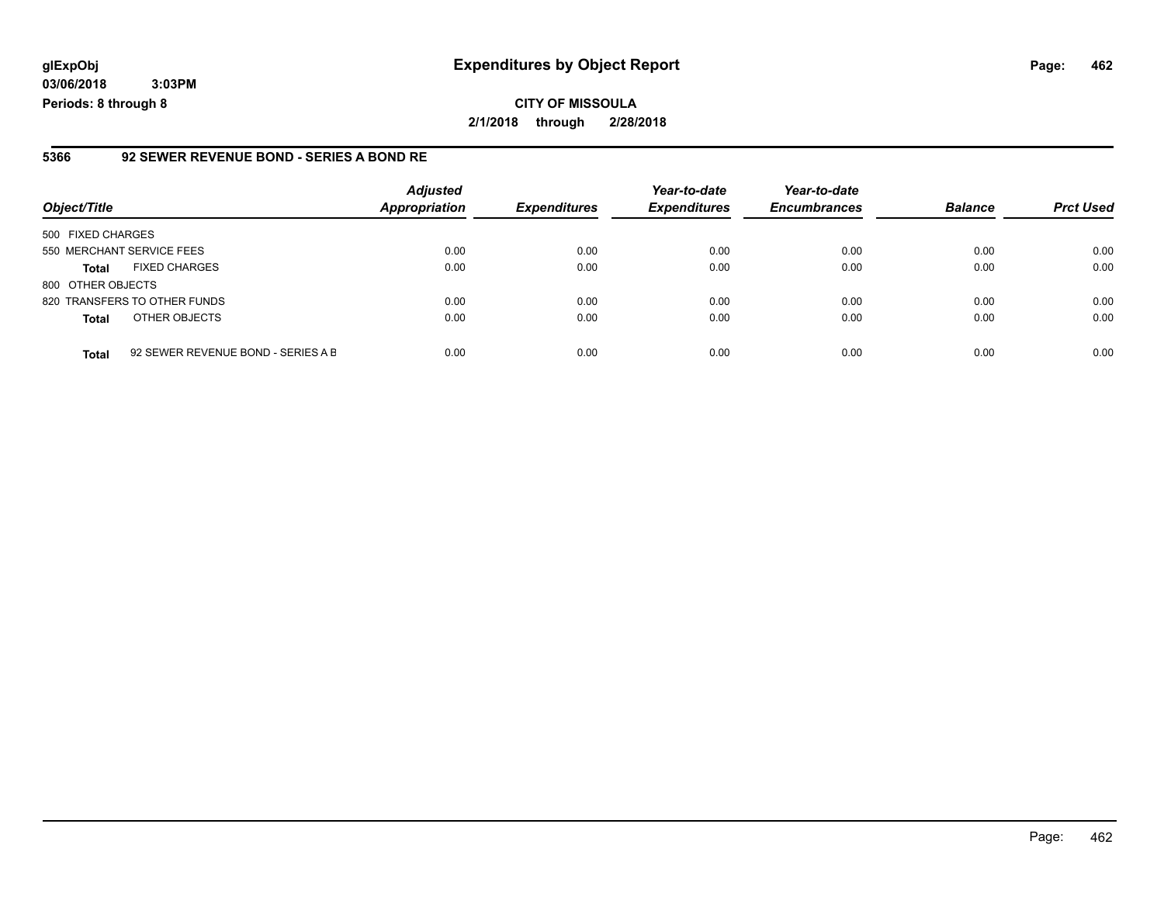**03/06/2018 3:03PM Periods: 8 through 8**

#### **5366 92 SEWER REVENUE BOND - SERIES A BOND RE**

| Object/Title              |                                    | <b>Adjusted</b><br><b>Appropriation</b> | <b>Expenditures</b> | Year-to-date<br><b>Expenditures</b> | Year-to-date<br><b>Encumbrances</b> | <b>Balance</b> | <b>Prct Used</b> |
|---------------------------|------------------------------------|-----------------------------------------|---------------------|-------------------------------------|-------------------------------------|----------------|------------------|
| 500 FIXED CHARGES         |                                    |                                         |                     |                                     |                                     |                |                  |
| 550 MERCHANT SERVICE FEES |                                    | 0.00                                    | 0.00                | 0.00                                | 0.00                                | 0.00           | 0.00             |
| <b>Total</b>              | <b>FIXED CHARGES</b>               | 0.00                                    | 0.00                | 0.00                                | 0.00                                | 0.00           | 0.00             |
| 800 OTHER OBJECTS         |                                    |                                         |                     |                                     |                                     |                |                  |
|                           | 820 TRANSFERS TO OTHER FUNDS       | 0.00                                    | 0.00                | 0.00                                | 0.00                                | 0.00           | 0.00             |
| <b>Total</b>              | OTHER OBJECTS                      | 0.00                                    | 0.00                | 0.00                                | 0.00                                | 0.00           | 0.00             |
| <b>Total</b>              | 92 SEWER REVENUE BOND - SERIES A B | 0.00                                    | 0.00                | 0.00                                | 0.00                                | 0.00           | 0.00             |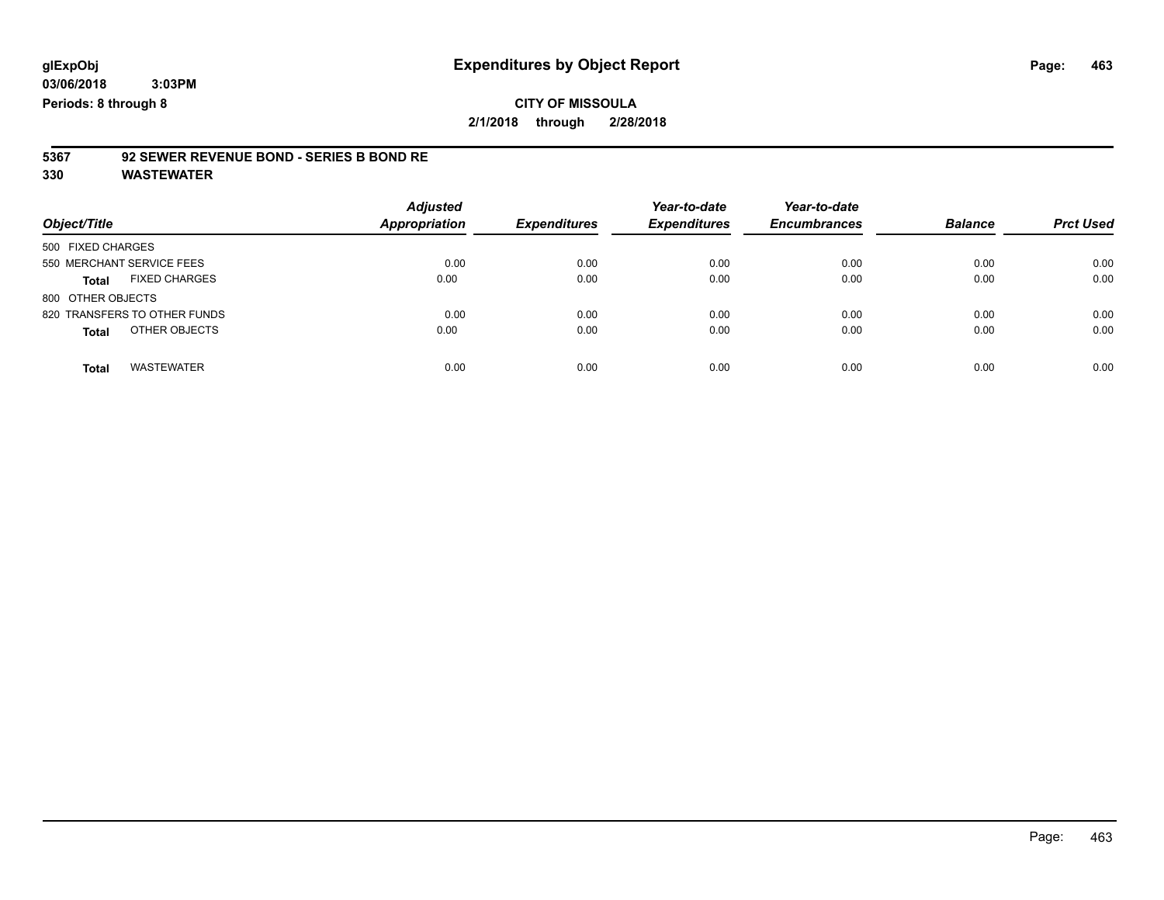### **CITY OF MISSOULA 2/1/2018 through 2/28/2018**

# **5367 92 SEWER REVENUE BOND - SERIES B BOND RE**

| Object/Title                  | <b>Adjusted</b><br><b>Appropriation</b> | <b>Expenditures</b> | Year-to-date<br><b>Expenditures</b> | Year-to-date<br><b>Encumbrances</b> | <b>Balance</b> | <b>Prct Used</b> |
|-------------------------------|-----------------------------------------|---------------------|-------------------------------------|-------------------------------------|----------------|------------------|
| 500 FIXED CHARGES             |                                         |                     |                                     |                                     |                |                  |
| 550 MERCHANT SERVICE FEES     | 0.00                                    | 0.00                | 0.00                                | 0.00                                | 0.00           | 0.00             |
| <b>FIXED CHARGES</b><br>Total | 0.00                                    | 0.00                | 0.00                                | 0.00                                | 0.00           | 0.00             |
| 800 OTHER OBJECTS             |                                         |                     |                                     |                                     |                |                  |
| 820 TRANSFERS TO OTHER FUNDS  | 0.00                                    | 0.00                | 0.00                                | 0.00                                | 0.00           | 0.00             |
| OTHER OBJECTS<br><b>Total</b> | 0.00                                    | 0.00                | 0.00                                | 0.00                                | 0.00           | 0.00             |
| <b>WASTEWATER</b><br>Total    | 0.00                                    | 0.00                | 0.00                                | 0.00                                | 0.00           | 0.00             |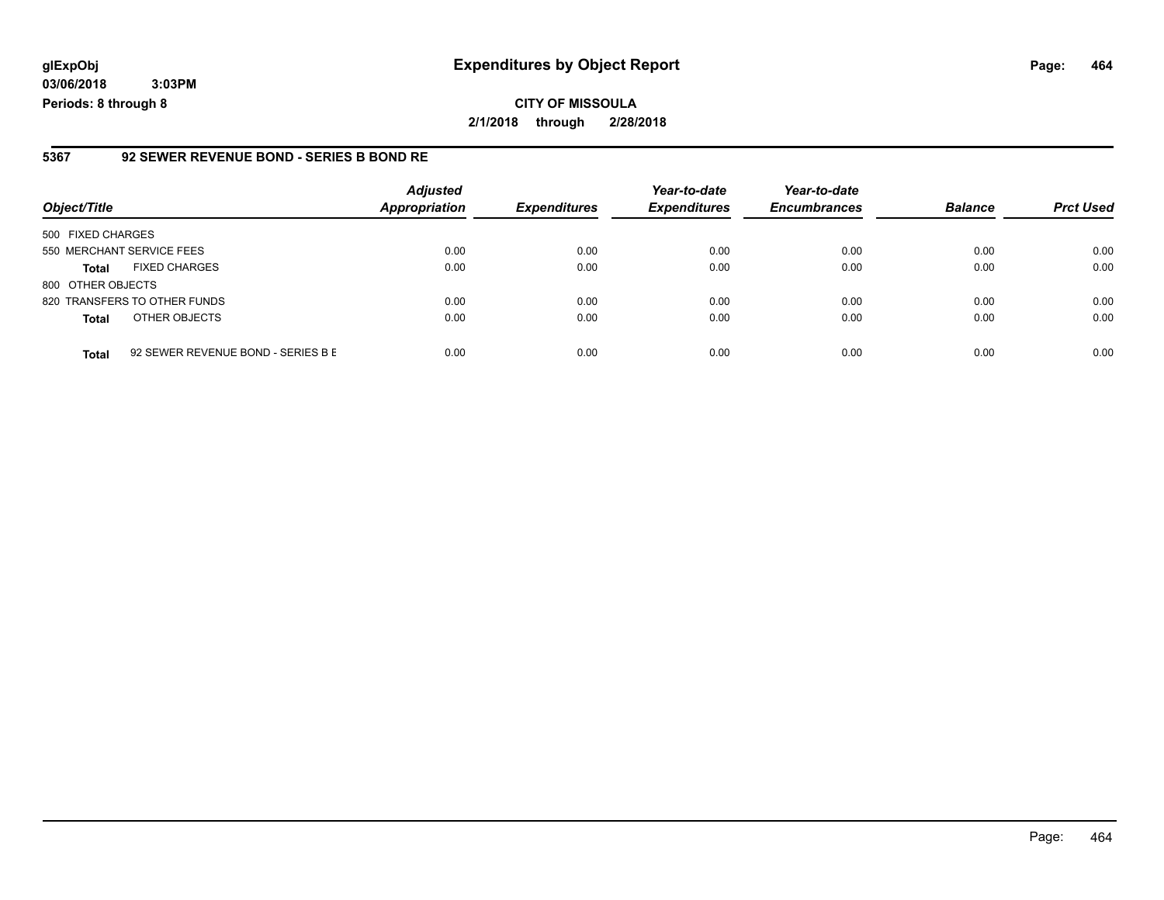**03/06/2018 3:03PM Periods: 8 through 8**

#### **5367 92 SEWER REVENUE BOND - SERIES B BOND RE**

| Object/Title              |                                    | <b>Adjusted</b><br><b>Appropriation</b> | <b>Expenditures</b> | Year-to-date<br><b>Expenditures</b> | Year-to-date<br><b>Encumbrances</b> | <b>Balance</b> | <b>Prct Used</b> |
|---------------------------|------------------------------------|-----------------------------------------|---------------------|-------------------------------------|-------------------------------------|----------------|------------------|
| 500 FIXED CHARGES         |                                    |                                         |                     |                                     |                                     |                |                  |
| 550 MERCHANT SERVICE FEES |                                    | 0.00                                    | 0.00                | 0.00                                | 0.00                                | 0.00           | 0.00             |
| <b>Total</b>              | <b>FIXED CHARGES</b>               | 0.00                                    | 0.00                | 0.00                                | 0.00                                | 0.00           | 0.00             |
| 800 OTHER OBJECTS         |                                    |                                         |                     |                                     |                                     |                |                  |
|                           | 820 TRANSFERS TO OTHER FUNDS       | 0.00                                    | 0.00                | 0.00                                | 0.00                                | 0.00           | 0.00             |
| <b>Total</b>              | OTHER OBJECTS                      | 0.00                                    | 0.00                | 0.00                                | 0.00                                | 0.00           | 0.00             |
| <b>Total</b>              | 92 SEWER REVENUE BOND - SERIES B E | 0.00                                    | 0.00                | 0.00                                | 0.00                                | 0.00           | 0.00             |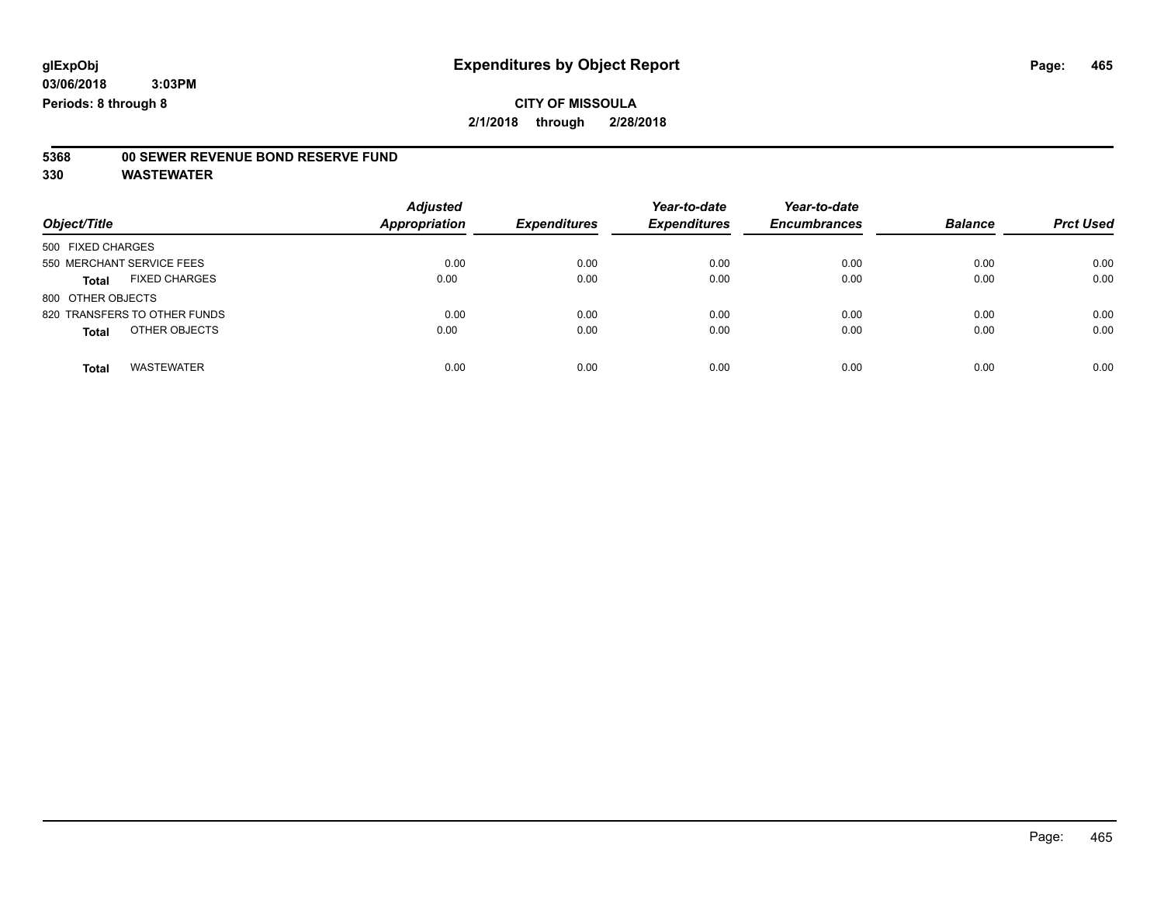# **5368 00 SEWER REVENUE BOND RESERVE FUND**

| Object/Title                         | <b>Adjusted</b><br><b>Appropriation</b> | <b>Expenditures</b> | Year-to-date<br><b>Expenditures</b> | Year-to-date<br><b>Encumbrances</b> | <b>Balance</b> | <b>Prct Used</b> |
|--------------------------------------|-----------------------------------------|---------------------|-------------------------------------|-------------------------------------|----------------|------------------|
| 500 FIXED CHARGES                    |                                         |                     |                                     |                                     |                |                  |
| 550 MERCHANT SERVICE FEES            | 0.00                                    | 0.00                | 0.00                                | 0.00                                | 0.00           | 0.00             |
| <b>FIXED CHARGES</b><br><b>Total</b> | 0.00                                    | 0.00                | 0.00                                | 0.00                                | 0.00           | 0.00             |
| 800 OTHER OBJECTS                    |                                         |                     |                                     |                                     |                |                  |
| 820 TRANSFERS TO OTHER FUNDS         | 0.00                                    | 0.00                | 0.00                                | 0.00                                | 0.00           | 0.00             |
| OTHER OBJECTS<br><b>Total</b>        | 0.00                                    | 0.00                | 0.00                                | 0.00                                | 0.00           | 0.00             |
| <b>WASTEWATER</b><br><b>Total</b>    | 0.00                                    | 0.00                | 0.00                                | 0.00                                | 0.00           | 0.00             |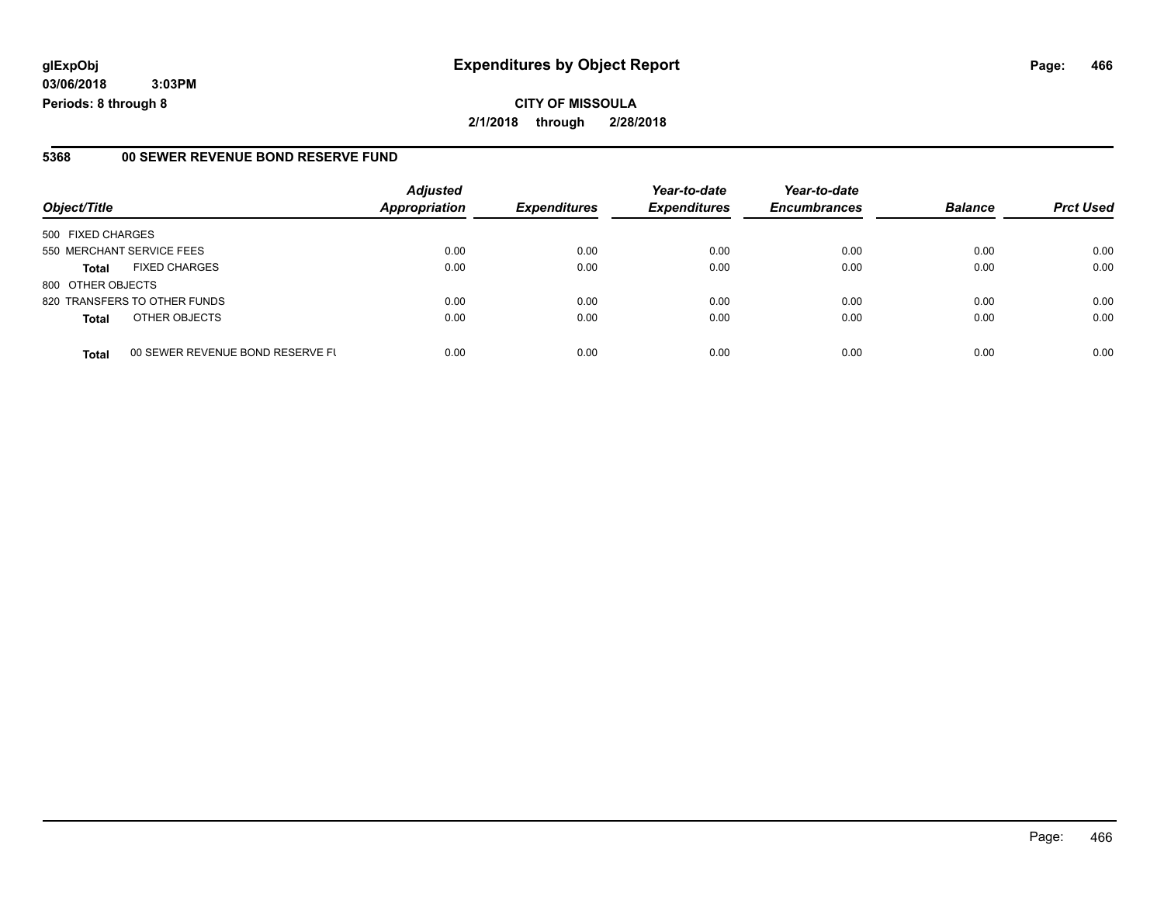**CITY OF MISSOULA 2/1/2018 through 2/28/2018**

#### **5368 00 SEWER REVENUE BOND RESERVE FUND**

|                           |                                  | <b>Adjusted</b>      |                     | Year-to-date        | Year-to-date        |                |                  |
|---------------------------|----------------------------------|----------------------|---------------------|---------------------|---------------------|----------------|------------------|
| Object/Title              |                                  | <b>Appropriation</b> | <b>Expenditures</b> | <b>Expenditures</b> | <b>Encumbrances</b> | <b>Balance</b> | <b>Prct Used</b> |
| 500 FIXED CHARGES         |                                  |                      |                     |                     |                     |                |                  |
| 550 MERCHANT SERVICE FEES |                                  | 0.00                 | 0.00                | 0.00                | 0.00                | 0.00           | 0.00             |
| <b>Total</b>              | <b>FIXED CHARGES</b>             | 0.00                 | 0.00                | 0.00                | 0.00                | 0.00           | 0.00             |
| 800 OTHER OBJECTS         |                                  |                      |                     |                     |                     |                |                  |
|                           | 820 TRANSFERS TO OTHER FUNDS     | 0.00                 | 0.00                | 0.00                | 0.00                | 0.00           | 0.00             |
| <b>Total</b>              | OTHER OBJECTS                    | 0.00                 | 0.00                | 0.00                | 0.00                | 0.00           | 0.00             |
| <b>Total</b>              | 00 SEWER REVENUE BOND RESERVE FL | 0.00                 | 0.00                | 0.00                | 0.00                | 0.00           | 0.00             |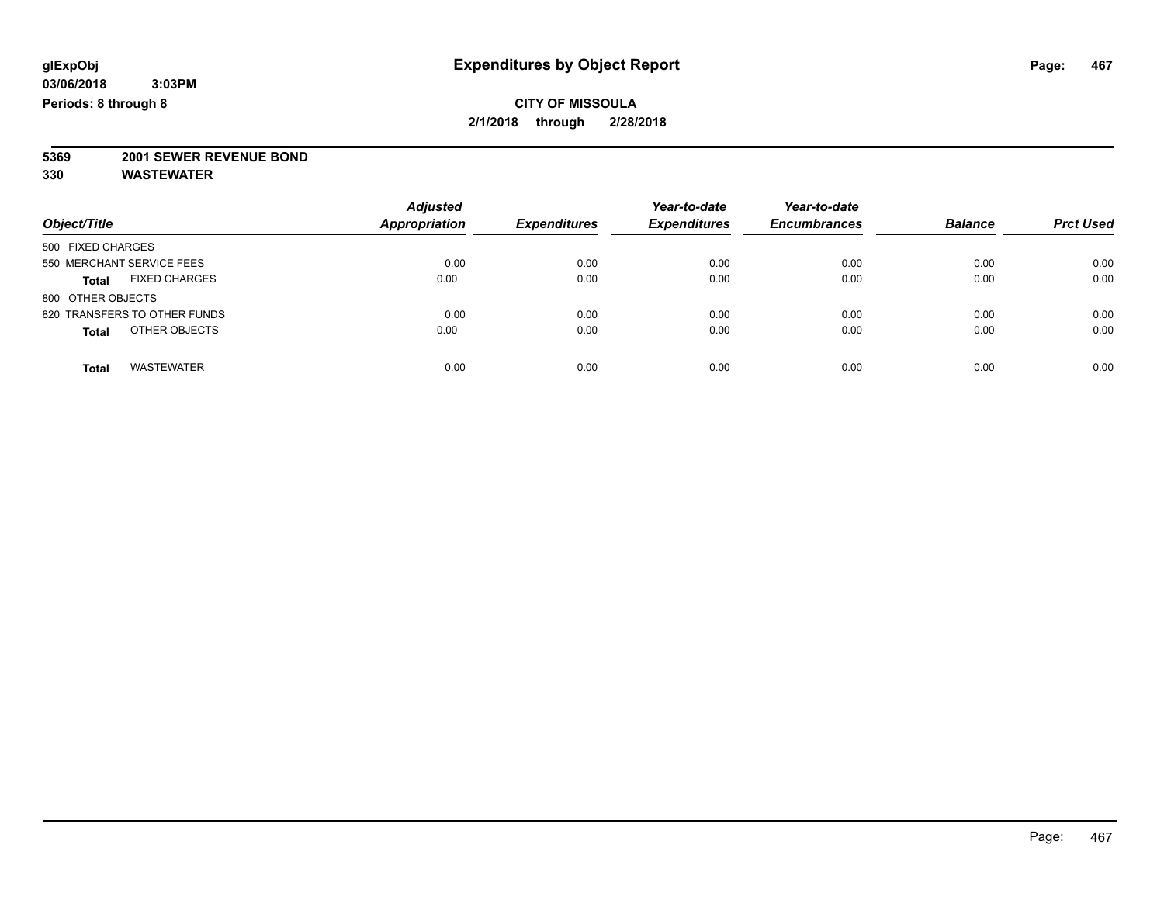# **5369 2001 SEWER REVENUE BOND**

| Object/Title                         | <b>Adjusted</b><br><b>Appropriation</b> | <b>Expenditures</b> | Year-to-date<br><b>Expenditures</b> | Year-to-date<br><b>Encumbrances</b> | <b>Balance</b> | <b>Prct Used</b> |
|--------------------------------------|-----------------------------------------|---------------------|-------------------------------------|-------------------------------------|----------------|------------------|
| 500 FIXED CHARGES                    |                                         |                     |                                     |                                     |                |                  |
| 550 MERCHANT SERVICE FEES            | 0.00                                    | 0.00                | 0.00                                | 0.00                                | 0.00           | 0.00             |
| <b>FIXED CHARGES</b><br><b>Total</b> | 0.00                                    | 0.00                | 0.00                                | 0.00                                | 0.00           | 0.00             |
| 800 OTHER OBJECTS                    |                                         |                     |                                     |                                     |                |                  |
| 820 TRANSFERS TO OTHER FUNDS         | 0.00                                    | 0.00                | 0.00                                | 0.00                                | 0.00           | 0.00             |
| OTHER OBJECTS<br><b>Total</b>        | 0.00                                    | 0.00                | 0.00                                | 0.00                                | 0.00           | 0.00             |
| <b>WASTEWATER</b><br>Total           | 0.00                                    | 0.00                | 0.00                                | 0.00                                | 0.00           | 0.00             |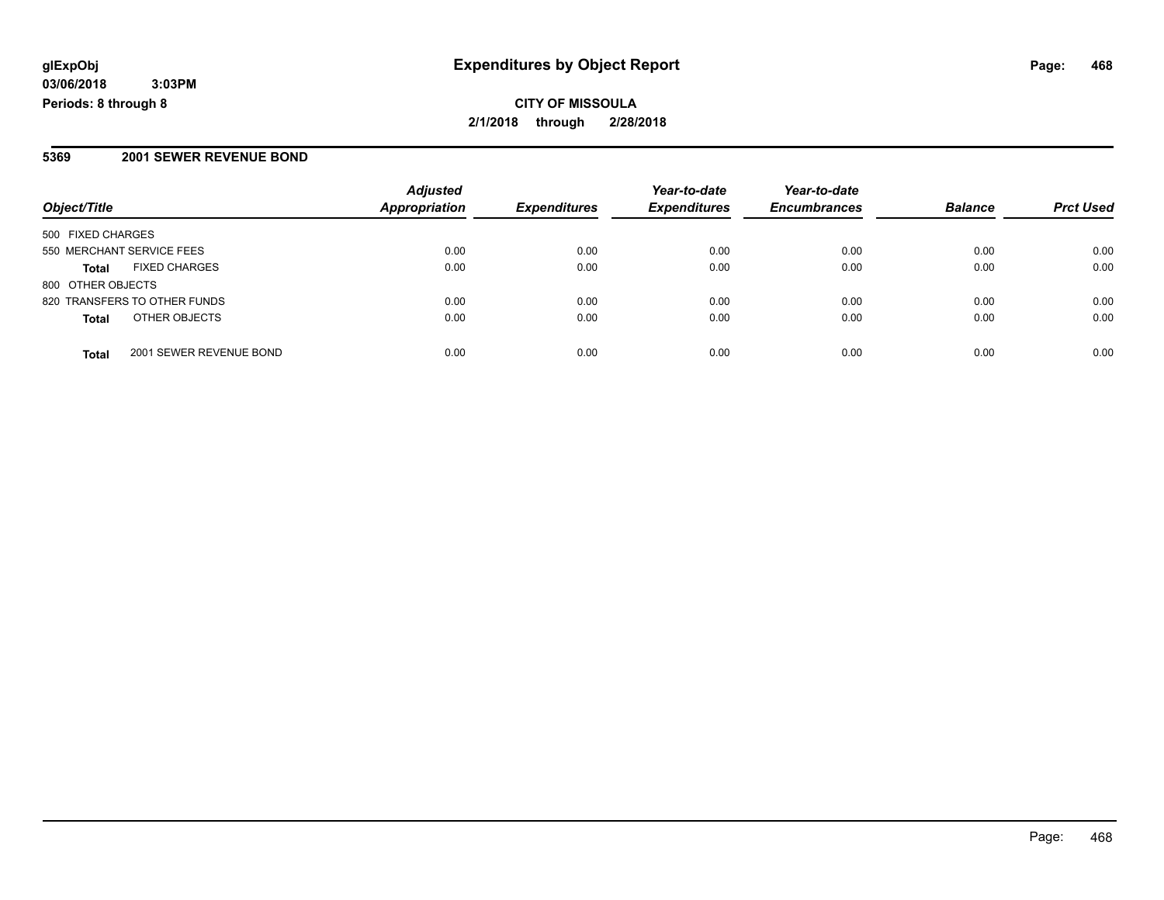**CITY OF MISSOULA 2/1/2018 through 2/28/2018**

#### **5369 2001 SEWER REVENUE BOND**

|                                         | <b>Adjusted</b>      |                     | Year-to-date        | Year-to-date        |                |                  |
|-----------------------------------------|----------------------|---------------------|---------------------|---------------------|----------------|------------------|
| Object/Title                            | <b>Appropriation</b> | <b>Expenditures</b> | <b>Expenditures</b> | <b>Encumbrances</b> | <b>Balance</b> | <b>Prct Used</b> |
| 500 FIXED CHARGES                       |                      |                     |                     |                     |                |                  |
| 550 MERCHANT SERVICE FEES               | 0.00                 | 0.00                | 0.00                | 0.00                | 0.00           | 0.00             |
| <b>FIXED CHARGES</b><br><b>Total</b>    | 0.00                 | 0.00                | 0.00                | 0.00                | 0.00           | 0.00             |
| 800 OTHER OBJECTS                       |                      |                     |                     |                     |                |                  |
| 820 TRANSFERS TO OTHER FUNDS            | 0.00                 | 0.00                | 0.00                | 0.00                | 0.00           | 0.00             |
| OTHER OBJECTS<br><b>Total</b>           | 0.00                 | 0.00                | 0.00                | 0.00                | 0.00           | 0.00             |
| 2001 SEWER REVENUE BOND<br><b>Total</b> | 0.00                 | 0.00                | 0.00                | 0.00                | 0.00           | 0.00             |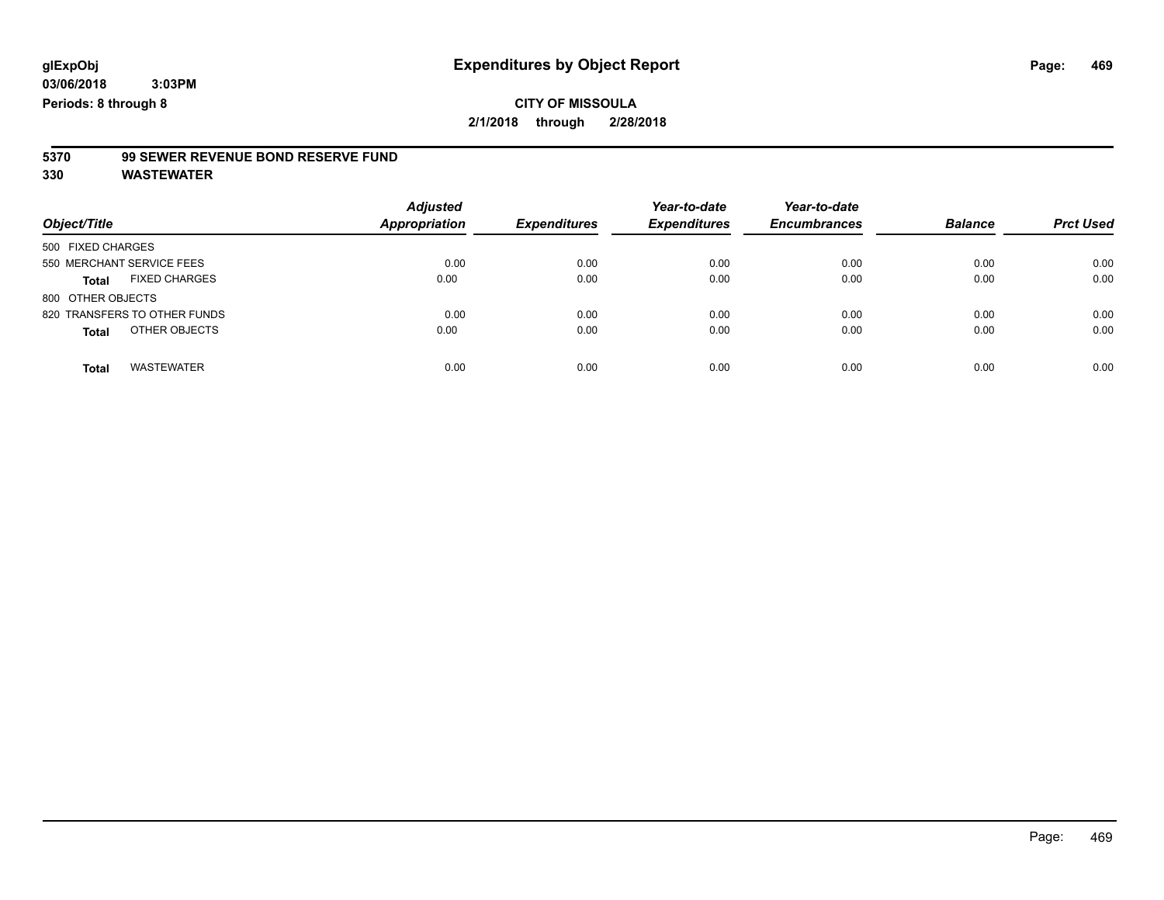# **5370 99 SEWER REVENUE BOND RESERVE FUND**

| Object/Title                         | <b>Adjusted</b><br><b>Appropriation</b> | <b>Expenditures</b> | Year-to-date<br><b>Expenditures</b> | Year-to-date<br><b>Encumbrances</b> | <b>Balance</b> | <b>Prct Used</b> |
|--------------------------------------|-----------------------------------------|---------------------|-------------------------------------|-------------------------------------|----------------|------------------|
| 500 FIXED CHARGES                    |                                         |                     |                                     |                                     |                |                  |
| 550 MERCHANT SERVICE FEES            | 0.00                                    | 0.00                | 0.00                                | 0.00                                | 0.00           | 0.00             |
| <b>FIXED CHARGES</b><br><b>Total</b> | 0.00                                    | 0.00                | 0.00                                | 0.00                                | 0.00           | 0.00             |
| 800 OTHER OBJECTS                    |                                         |                     |                                     |                                     |                |                  |
| 820 TRANSFERS TO OTHER FUNDS         | 0.00                                    | 0.00                | 0.00                                | 0.00                                | 0.00           | 0.00             |
| OTHER OBJECTS<br><b>Total</b>        | 0.00                                    | 0.00                | 0.00                                | 0.00                                | 0.00           | 0.00             |
| <b>WASTEWATER</b><br><b>Total</b>    | 0.00                                    | 0.00                | 0.00                                | 0.00                                | 0.00           | 0.00             |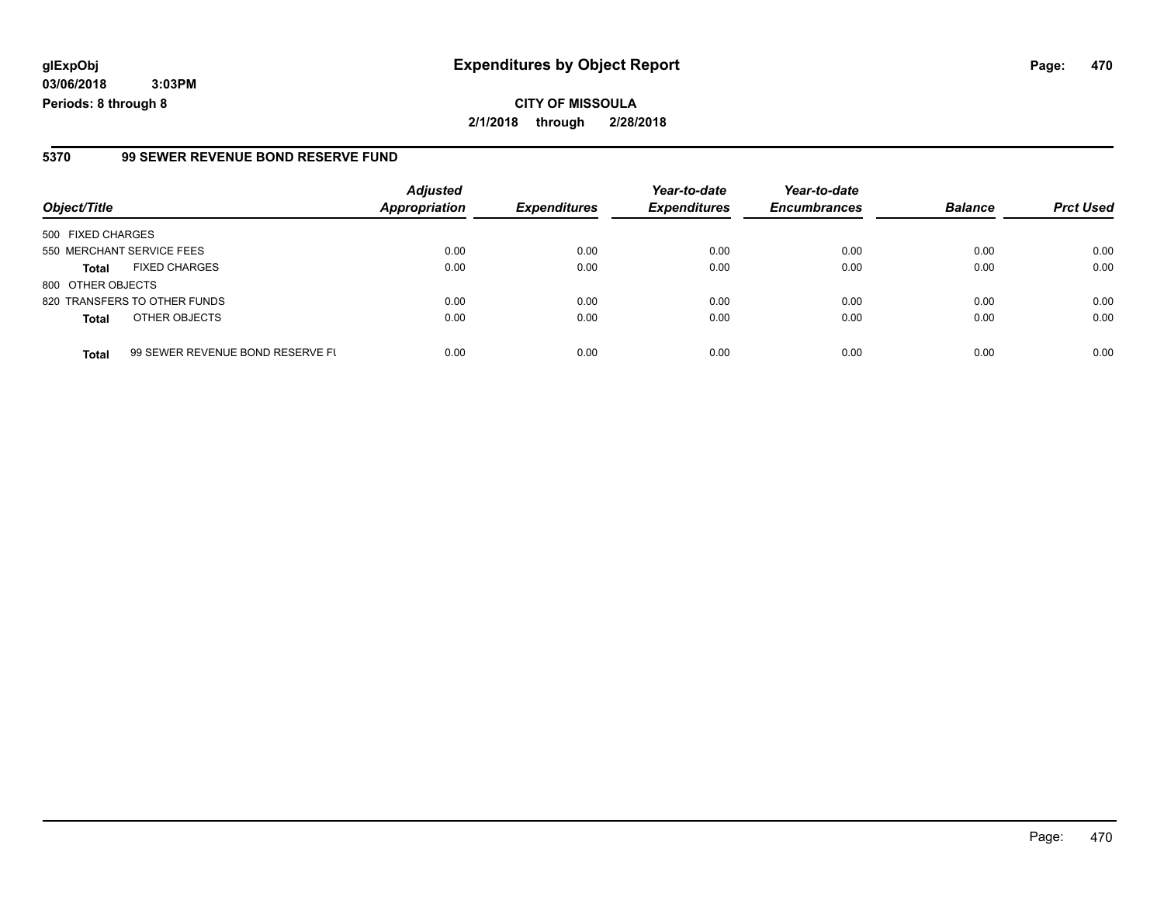**CITY OF MISSOULA 2/1/2018 through 2/28/2018**

#### **5370 99 SEWER REVENUE BOND RESERVE FUND**

| Object/Title              |                                  | <b>Adjusted</b><br><b>Appropriation</b> | <b>Expenditures</b> | Year-to-date<br><b>Expenditures</b> | Year-to-date        | <b>Balance</b> | <b>Prct Used</b> |
|---------------------------|----------------------------------|-----------------------------------------|---------------------|-------------------------------------|---------------------|----------------|------------------|
|                           |                                  |                                         |                     |                                     | <b>Encumbrances</b> |                |                  |
| 500 FIXED CHARGES         |                                  |                                         |                     |                                     |                     |                |                  |
| 550 MERCHANT SERVICE FEES |                                  | 0.00                                    | 0.00                | 0.00                                | 0.00                | 0.00           | 0.00             |
| <b>Total</b>              | <b>FIXED CHARGES</b>             | 0.00                                    | 0.00                | 0.00                                | 0.00                | 0.00           | 0.00             |
| 800 OTHER OBJECTS         |                                  |                                         |                     |                                     |                     |                |                  |
|                           | 820 TRANSFERS TO OTHER FUNDS     | 0.00                                    | 0.00                | 0.00                                | 0.00                | 0.00           | 0.00             |
| <b>Total</b>              | OTHER OBJECTS                    | 0.00                                    | 0.00                | 0.00                                | 0.00                | 0.00           | 0.00             |
| <b>Total</b>              | 99 SEWER REVENUE BOND RESERVE FL | 0.00                                    | 0.00                | 0.00                                | 0.00                | 0.00           | 0.00             |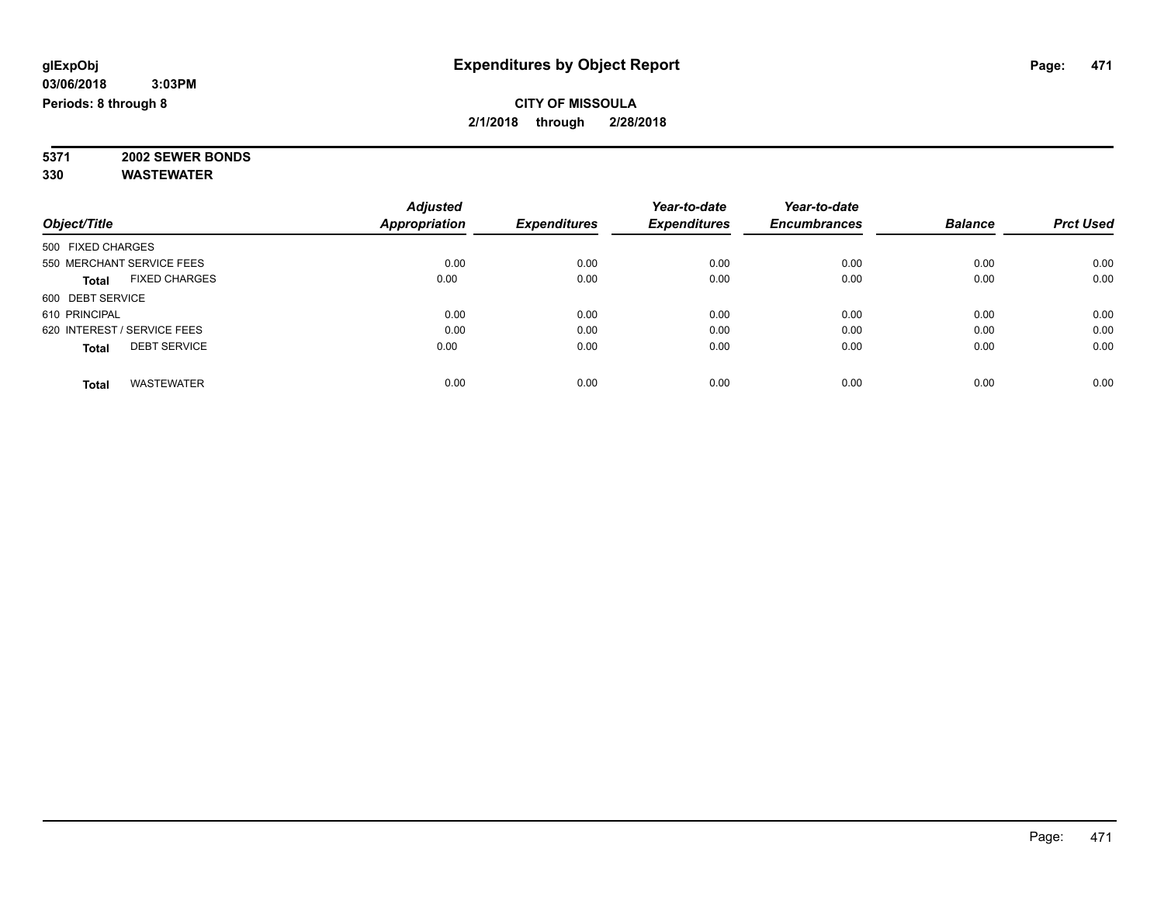**5371 2002 SEWER BONDS 330 WASTEWATER**

|                   |                             | <b>Adjusted</b>      |                     | Year-to-date        | Year-to-date        |                |                  |
|-------------------|-----------------------------|----------------------|---------------------|---------------------|---------------------|----------------|------------------|
| Object/Title      |                             | <b>Appropriation</b> | <b>Expenditures</b> | <b>Expenditures</b> | <b>Encumbrances</b> | <b>Balance</b> | <b>Prct Used</b> |
| 500 FIXED CHARGES |                             |                      |                     |                     |                     |                |                  |
|                   | 550 MERCHANT SERVICE FEES   | 0.00                 | 0.00                | 0.00                | 0.00                | 0.00           | 0.00             |
| Total             | <b>FIXED CHARGES</b>        | 0.00                 | 0.00                | 0.00                | 0.00                | 0.00           | 0.00             |
| 600 DEBT SERVICE  |                             |                      |                     |                     |                     |                |                  |
| 610 PRINCIPAL     |                             | 0.00                 | 0.00                | 0.00                | 0.00                | 0.00           | 0.00             |
|                   | 620 INTEREST / SERVICE FEES | 0.00                 | 0.00                | 0.00                | 0.00                | 0.00           | 0.00             |
| <b>Total</b>      | <b>DEBT SERVICE</b>         | 0.00                 | 0.00                | 0.00                | 0.00                | 0.00           | 0.00             |
| <b>Total</b>      | <b>WASTEWATER</b>           | 0.00                 | 0.00                | 0.00                | 0.00                | 0.00           | 0.00             |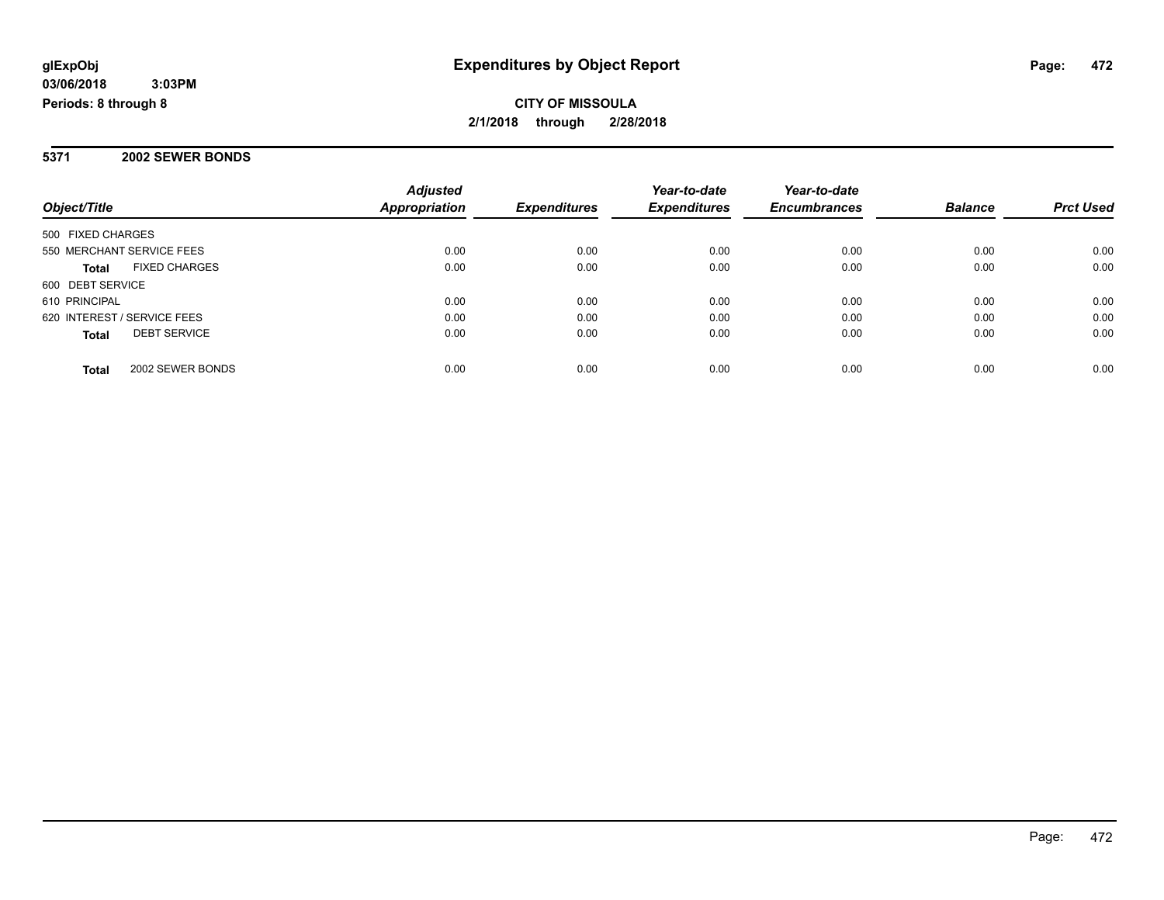**Periods: 8 through 8**

### **CITY OF MISSOULA 2/1/2018 through 2/28/2018**

### **5371 2002 SEWER BONDS**

| Object/Title                         | <b>Adjusted</b><br>Appropriation | <b>Expenditures</b> | Year-to-date<br><b>Expenditures</b> | Year-to-date<br><b>Encumbrances</b> | <b>Balance</b> | <b>Prct Used</b> |
|--------------------------------------|----------------------------------|---------------------|-------------------------------------|-------------------------------------|----------------|------------------|
|                                      |                                  |                     |                                     |                                     |                |                  |
| 500 FIXED CHARGES                    |                                  |                     |                                     |                                     |                |                  |
| 550 MERCHANT SERVICE FEES            | 0.00                             | 0.00                | 0.00                                | 0.00                                | 0.00           | 0.00             |
| <b>FIXED CHARGES</b><br><b>Total</b> | 0.00                             | 0.00                | 0.00                                | 0.00                                | 0.00           | 0.00             |
| 600 DEBT SERVICE                     |                                  |                     |                                     |                                     |                |                  |
| 610 PRINCIPAL                        | 0.00                             | 0.00                | 0.00                                | 0.00                                | 0.00           | 0.00             |
| 620 INTEREST / SERVICE FEES          | 0.00                             | 0.00                | 0.00                                | 0.00                                | 0.00           | 0.00             |
| <b>DEBT SERVICE</b><br><b>Total</b>  | 0.00                             | 0.00                | 0.00                                | 0.00                                | 0.00           | 0.00             |
| 2002 SEWER BONDS<br><b>Total</b>     | 0.00                             | 0.00                | 0.00                                | 0.00                                | 0.00           | 0.00             |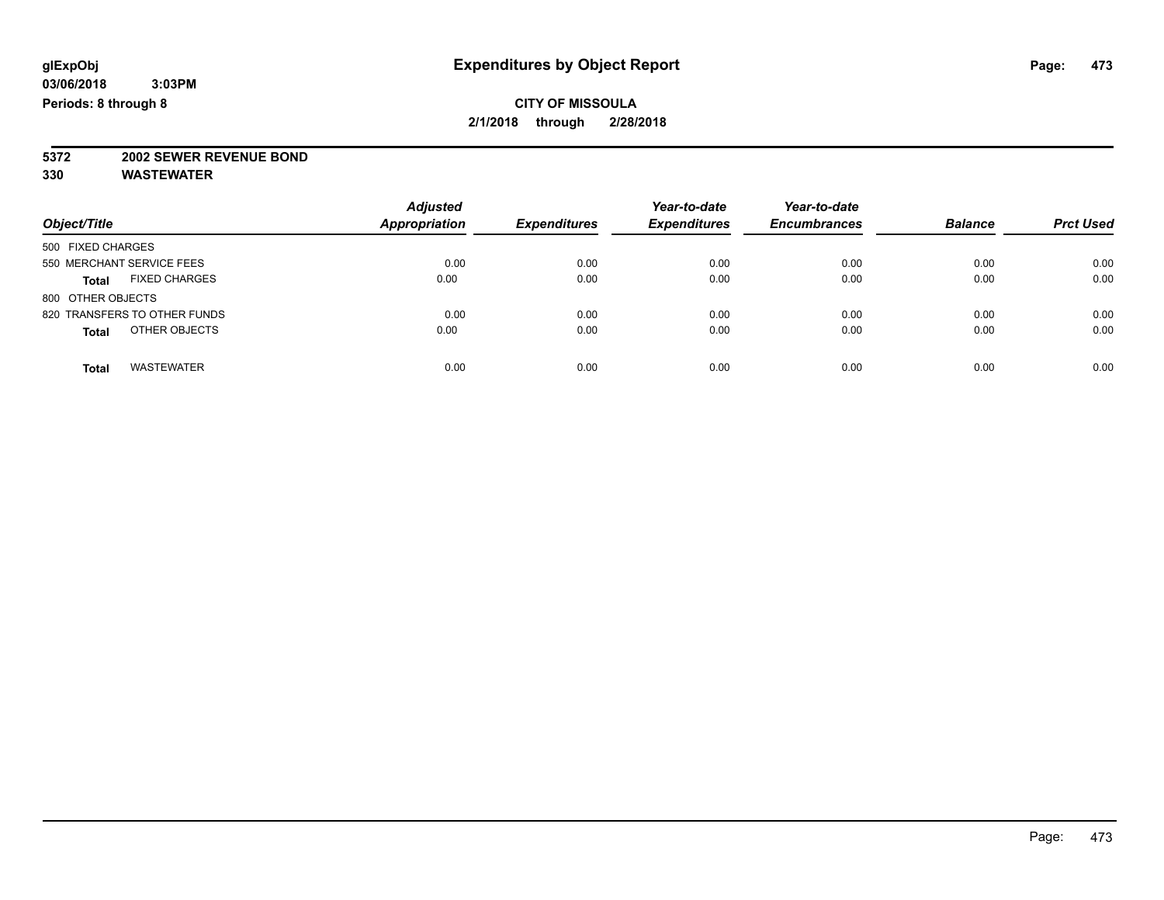# **5372 2002 SEWER REVENUE BOND**

| Object/Title                         | <b>Adjusted</b><br><b>Appropriation</b> | <b>Expenditures</b> | Year-to-date<br><b>Expenditures</b> | Year-to-date<br><b>Encumbrances</b> | <b>Balance</b> | <b>Prct Used</b> |
|--------------------------------------|-----------------------------------------|---------------------|-------------------------------------|-------------------------------------|----------------|------------------|
| 500 FIXED CHARGES                    |                                         |                     |                                     |                                     |                |                  |
| 550 MERCHANT SERVICE FEES            | 0.00                                    | 0.00                | 0.00                                | 0.00                                | 0.00           | 0.00             |
| <b>FIXED CHARGES</b><br><b>Total</b> | 0.00                                    | 0.00                | 0.00                                | 0.00                                | 0.00           | 0.00             |
| 800 OTHER OBJECTS                    |                                         |                     |                                     |                                     |                |                  |
| 820 TRANSFERS TO OTHER FUNDS         | 0.00                                    | 0.00                | 0.00                                | 0.00                                | 0.00           | 0.00             |
| OTHER OBJECTS<br><b>Total</b>        | 0.00                                    | 0.00                | 0.00                                | 0.00                                | 0.00           | 0.00             |
|                                      |                                         |                     |                                     |                                     |                |                  |
| <b>WASTEWATER</b><br>Total           | 0.00                                    | 0.00                | 0.00                                | 0.00                                | 0.00           | 0.00             |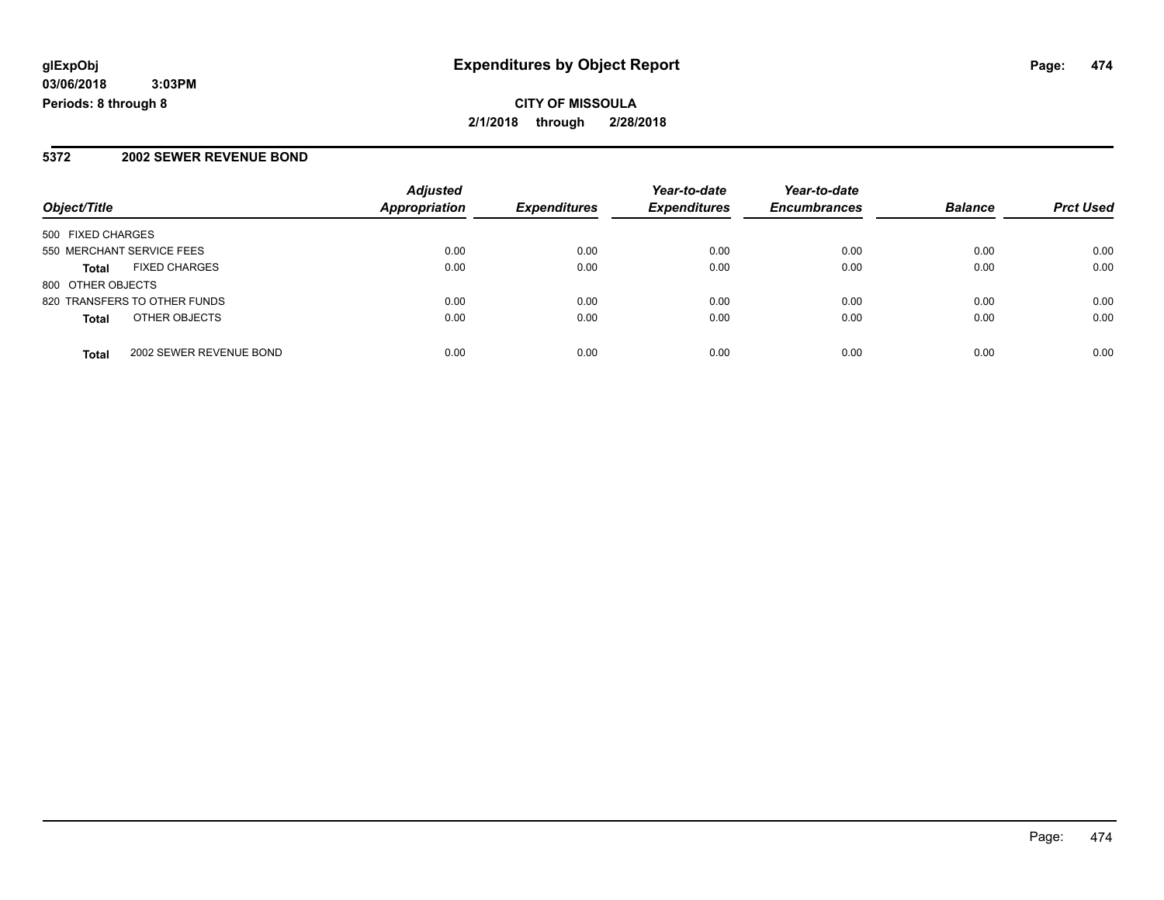**CITY OF MISSOULA 2/1/2018 through 2/28/2018**

### **5372 2002 SEWER REVENUE BOND**

|                              |                         | <b>Adjusted</b>      |                     | Year-to-date        | Year-to-date        |                |                  |
|------------------------------|-------------------------|----------------------|---------------------|---------------------|---------------------|----------------|------------------|
| Object/Title                 |                         | <b>Appropriation</b> | <b>Expenditures</b> | <b>Expenditures</b> | <b>Encumbrances</b> | <b>Balance</b> | <b>Prct Used</b> |
| 500 FIXED CHARGES            |                         |                      |                     |                     |                     |                |                  |
| 550 MERCHANT SERVICE FEES    |                         | 0.00                 | 0.00                | 0.00                | 0.00                | 0.00           | 0.00             |
| <b>Total</b>                 | <b>FIXED CHARGES</b>    | 0.00                 | 0.00                | 0.00                | 0.00                | 0.00           | 0.00             |
| 800 OTHER OBJECTS            |                         |                      |                     |                     |                     |                |                  |
| 820 TRANSFERS TO OTHER FUNDS |                         | 0.00                 | 0.00                | 0.00                | 0.00                | 0.00           | 0.00             |
| <b>Total</b>                 | OTHER OBJECTS           | 0.00                 | 0.00                | 0.00                | 0.00                | 0.00           | 0.00             |
| <b>Total</b>                 | 2002 SEWER REVENUE BOND | 0.00                 | 0.00                | 0.00                | 0.00                | 0.00           | 0.00             |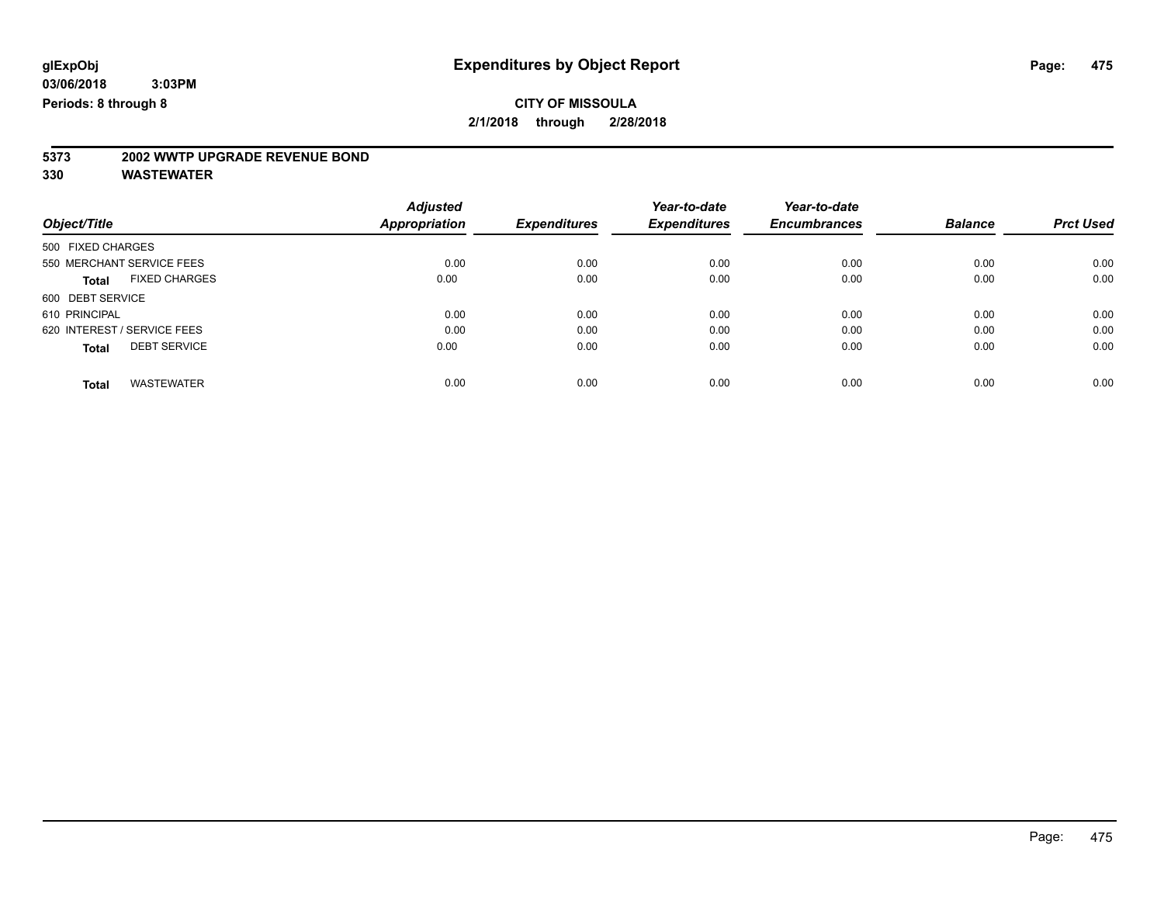# **5373 2002 WWTP UPGRADE REVENUE BOND**

|                                      | <b>Adjusted</b>      |                     | Year-to-date        | Year-to-date        |                |                  |
|--------------------------------------|----------------------|---------------------|---------------------|---------------------|----------------|------------------|
| Object/Title                         | <b>Appropriation</b> | <b>Expenditures</b> | <b>Expenditures</b> | <b>Encumbrances</b> | <b>Balance</b> | <b>Prct Used</b> |
| 500 FIXED CHARGES                    |                      |                     |                     |                     |                |                  |
| 550 MERCHANT SERVICE FEES            | 0.00                 | 0.00                | 0.00                | 0.00                | 0.00           | 0.00             |
| <b>FIXED CHARGES</b><br><b>Total</b> | 0.00                 | 0.00                | 0.00                | 0.00                | 0.00           | 0.00             |
| 600 DEBT SERVICE                     |                      |                     |                     |                     |                |                  |
| 610 PRINCIPAL                        | 0.00                 | 0.00                | 0.00                | 0.00                | 0.00           | 0.00             |
| 620 INTEREST / SERVICE FEES          | 0.00                 | 0.00                | 0.00                | 0.00                | 0.00           | 0.00             |
| <b>DEBT SERVICE</b><br><b>Total</b>  | 0.00                 | 0.00                | 0.00                | 0.00                | 0.00           | 0.00             |
| <b>WASTEWATER</b><br><b>Total</b>    | 0.00                 | 0.00                | 0.00                | 0.00                | 0.00           | 0.00             |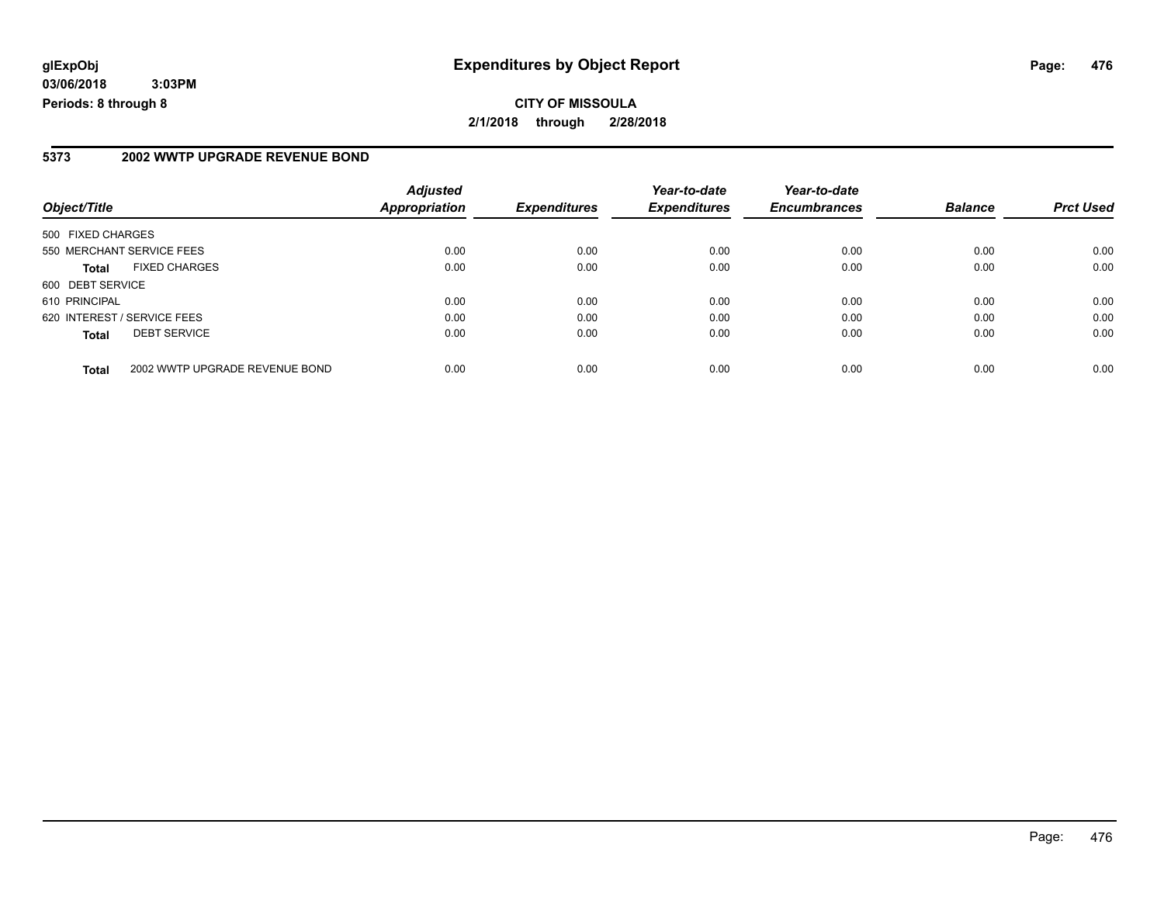**CITY OF MISSOULA 2/1/2018 through 2/28/2018**

#### **5373 2002 WWTP UPGRADE REVENUE BOND**

| Object/Title                |                                | <b>Adjusted</b><br><b>Appropriation</b> | <b>Expenditures</b> | Year-to-date<br><b>Expenditures</b> | Year-to-date<br><b>Encumbrances</b> | <b>Balance</b> | <b>Prct Used</b> |
|-----------------------------|--------------------------------|-----------------------------------------|---------------------|-------------------------------------|-------------------------------------|----------------|------------------|
| 500 FIXED CHARGES           |                                |                                         |                     |                                     |                                     |                |                  |
| 550 MERCHANT SERVICE FEES   |                                | 0.00                                    | 0.00                | 0.00                                | 0.00                                | 0.00           | 0.00             |
| <b>Total</b>                | <b>FIXED CHARGES</b>           | 0.00                                    | 0.00                | 0.00                                | 0.00                                | 0.00           | 0.00             |
| 600 DEBT SERVICE            |                                |                                         |                     |                                     |                                     |                |                  |
| 610 PRINCIPAL               |                                | 0.00                                    | 0.00                | 0.00                                | 0.00                                | 0.00           | 0.00             |
| 620 INTEREST / SERVICE FEES |                                | 0.00                                    | 0.00                | 0.00                                | 0.00                                | 0.00           | 0.00             |
| <b>Total</b>                | <b>DEBT SERVICE</b>            | 0.00                                    | 0.00                | 0.00                                | 0.00                                | 0.00           | 0.00             |
| <b>Total</b>                | 2002 WWTP UPGRADE REVENUE BOND | 0.00                                    | 0.00                | 0.00                                | 0.00                                | 0.00           | 0.00             |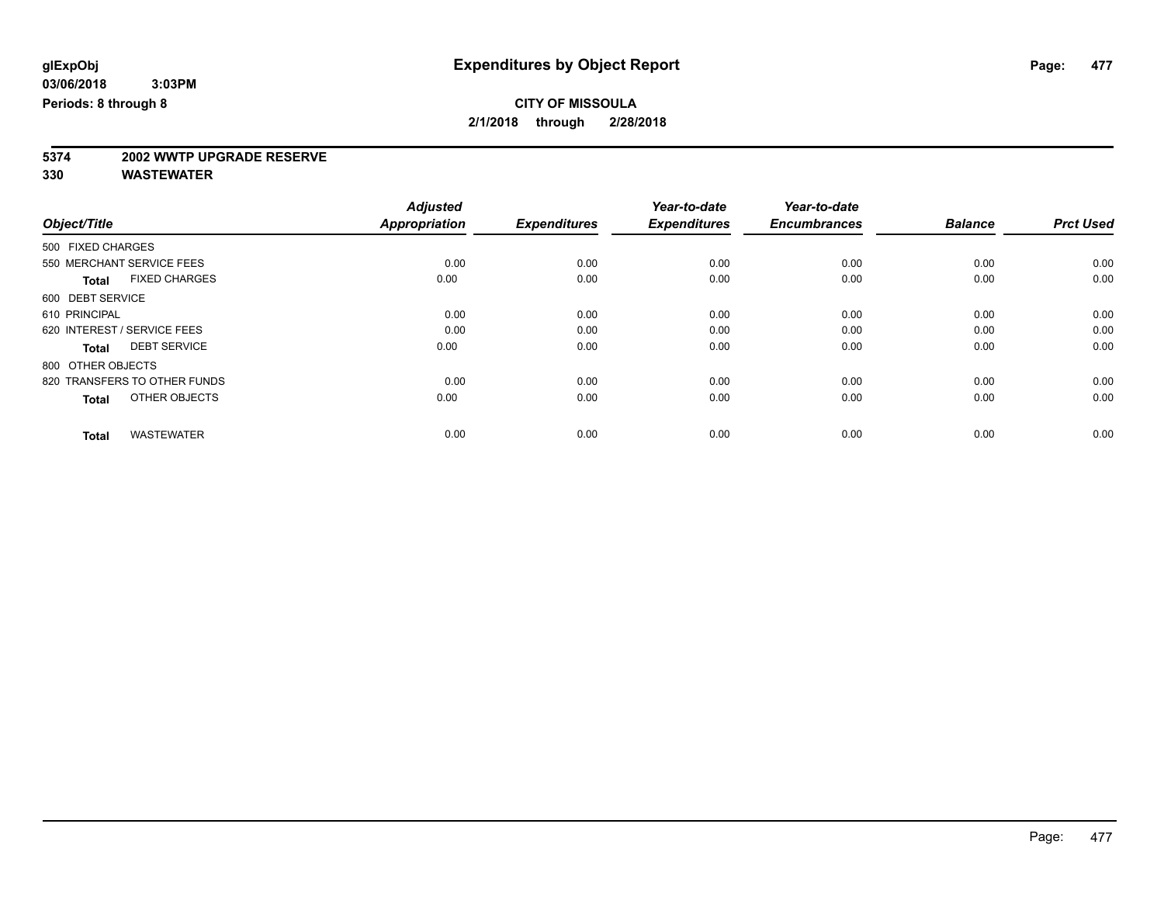# **5374 2002 WWTP UPGRADE RESERVE**

|                                      | <b>Adjusted</b><br><b>Appropriation</b> | <b>Expenditures</b> | Year-to-date<br><b>Expenditures</b> | Year-to-date<br><b>Encumbrances</b> | <b>Balance</b> | <b>Prct Used</b> |
|--------------------------------------|-----------------------------------------|---------------------|-------------------------------------|-------------------------------------|----------------|------------------|
| Object/Title                         |                                         |                     |                                     |                                     |                |                  |
| 500 FIXED CHARGES                    |                                         |                     |                                     |                                     |                |                  |
| 550 MERCHANT SERVICE FEES            | 0.00                                    | 0.00                | 0.00                                | 0.00                                | 0.00           | 0.00             |
| <b>FIXED CHARGES</b><br><b>Total</b> | 0.00                                    | 0.00                | 0.00                                | 0.00                                | 0.00           | 0.00             |
| 600 DEBT SERVICE                     |                                         |                     |                                     |                                     |                |                  |
| 610 PRINCIPAL                        | 0.00                                    | 0.00                | 0.00                                | 0.00                                | 0.00           | 0.00             |
| 620 INTEREST / SERVICE FEES          | 0.00                                    | 0.00                | 0.00                                | 0.00                                | 0.00           | 0.00             |
| <b>DEBT SERVICE</b><br><b>Total</b>  | 0.00                                    | 0.00                | 0.00                                | 0.00                                | 0.00           | 0.00             |
| 800 OTHER OBJECTS                    |                                         |                     |                                     |                                     |                |                  |
| 820 TRANSFERS TO OTHER FUNDS         | 0.00                                    | 0.00                | 0.00                                | 0.00                                | 0.00           | 0.00             |
| OTHER OBJECTS<br><b>Total</b>        | 0.00                                    | 0.00                | 0.00                                | 0.00                                | 0.00           | 0.00             |
|                                      |                                         |                     |                                     |                                     |                |                  |
| <b>WASTEWATER</b><br><b>Total</b>    | 0.00                                    | 0.00                | 0.00                                | 0.00                                | 0.00           | 0.00             |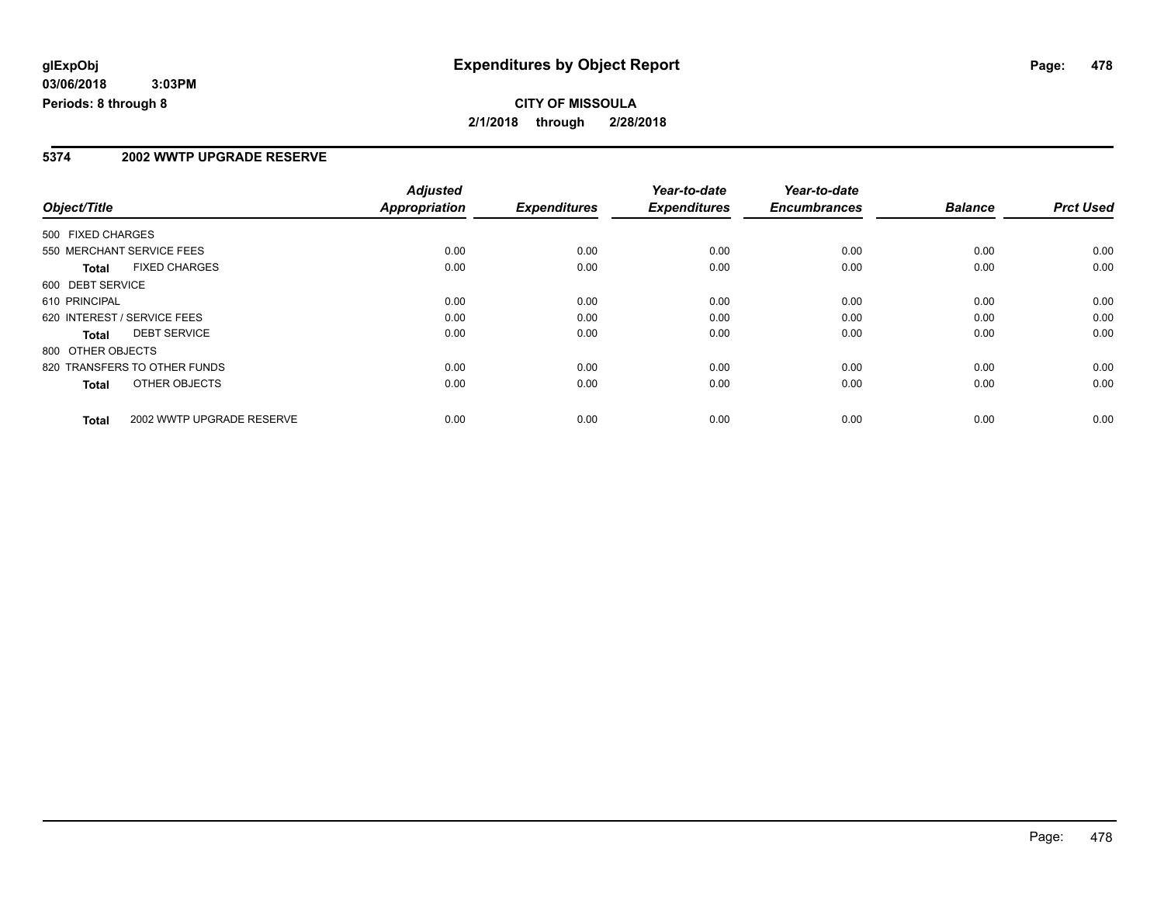#### **5374 2002 WWTP UPGRADE RESERVE**

|                   |                              | <b>Adjusted</b> |                     | Year-to-date        | Year-to-date        |                |                  |
|-------------------|------------------------------|-----------------|---------------------|---------------------|---------------------|----------------|------------------|
| Object/Title      |                              | Appropriation   | <b>Expenditures</b> | <b>Expenditures</b> | <b>Encumbrances</b> | <b>Balance</b> | <b>Prct Used</b> |
| 500 FIXED CHARGES |                              |                 |                     |                     |                     |                |                  |
|                   | 550 MERCHANT SERVICE FEES    | 0.00            | 0.00                | 0.00                | 0.00                | 0.00           | 0.00             |
| <b>Total</b>      | <b>FIXED CHARGES</b>         | 0.00            | 0.00                | 0.00                | 0.00                | 0.00           | 0.00             |
| 600 DEBT SERVICE  |                              |                 |                     |                     |                     |                |                  |
| 610 PRINCIPAL     |                              | 0.00            | 0.00                | 0.00                | 0.00                | 0.00           | 0.00             |
|                   | 620 INTEREST / SERVICE FEES  | 0.00            | 0.00                | 0.00                | 0.00                | 0.00           | 0.00             |
| Total             | <b>DEBT SERVICE</b>          | 0.00            | 0.00                | 0.00                | 0.00                | 0.00           | 0.00             |
| 800 OTHER OBJECTS |                              |                 |                     |                     |                     |                |                  |
|                   | 820 TRANSFERS TO OTHER FUNDS | 0.00            | 0.00                | 0.00                | 0.00                | 0.00           | 0.00             |
| <b>Total</b>      | OTHER OBJECTS                | 0.00            | 0.00                | 0.00                | 0.00                | 0.00           | 0.00             |
| <b>Total</b>      | 2002 WWTP UPGRADE RESERVE    | 0.00            | 0.00                | 0.00                | 0.00                | 0.00           | 0.00             |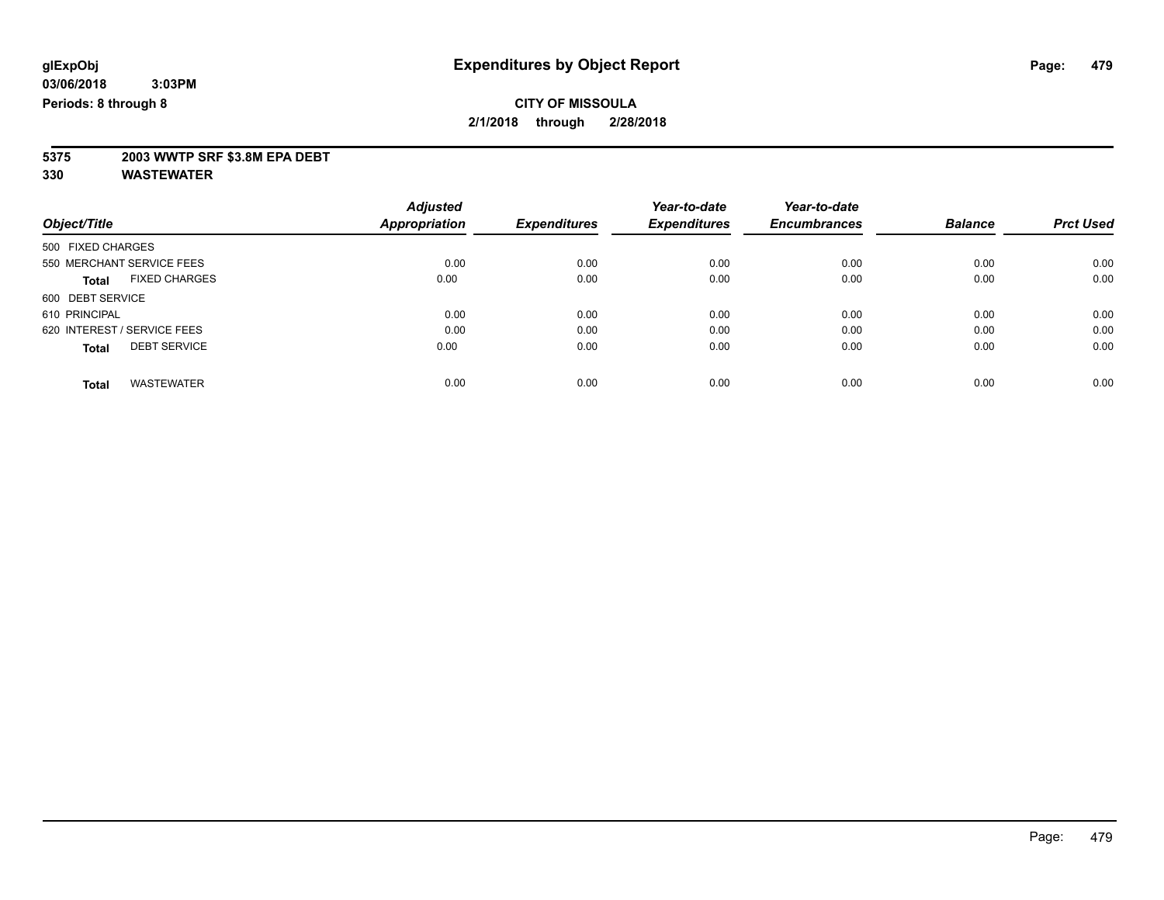# **5375 2003 WWTP SRF \$3.8M EPA DEBT**

|                                      | <b>Adjusted</b>      |                     | Year-to-date        | Year-to-date        |                | <b>Prct Used</b> |
|--------------------------------------|----------------------|---------------------|---------------------|---------------------|----------------|------------------|
| Object/Title                         | <b>Appropriation</b> | <b>Expenditures</b> | <b>Expenditures</b> | <b>Encumbrances</b> | <b>Balance</b> |                  |
| 500 FIXED CHARGES                    |                      |                     |                     |                     |                |                  |
| 550 MERCHANT SERVICE FEES            | 0.00                 | 0.00                | 0.00                | 0.00                | 0.00           | 0.00             |
| <b>FIXED CHARGES</b><br><b>Total</b> | 0.00                 | 0.00                | 0.00                | 0.00                | 0.00           | 0.00             |
| 600 DEBT SERVICE                     |                      |                     |                     |                     |                |                  |
| 610 PRINCIPAL                        | 0.00                 | 0.00                | 0.00                | 0.00                | 0.00           | 0.00             |
| 620 INTEREST / SERVICE FEES          | 0.00                 | 0.00                | 0.00                | 0.00                | 0.00           | 0.00             |
| <b>DEBT SERVICE</b><br><b>Total</b>  | 0.00                 | 0.00                | 0.00                | 0.00                | 0.00           | 0.00             |
| <b>WASTEWATER</b><br><b>Total</b>    | 0.00                 | 0.00                | 0.00                | 0.00                | 0.00           | 0.00             |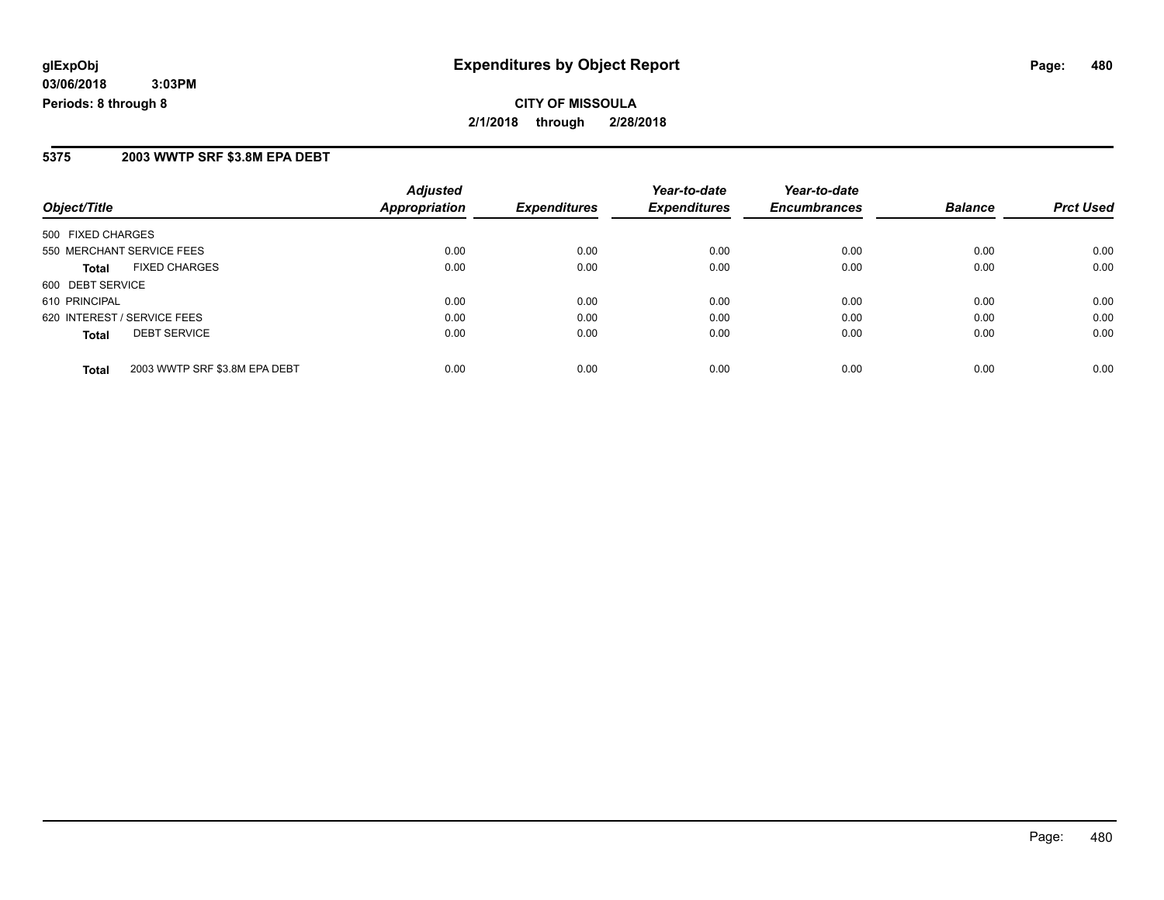#### **5375 2003 WWTP SRF \$3.8M EPA DEBT**

| Object/Title                                  | <b>Adjusted</b><br><b>Appropriation</b> | <b>Expenditures</b> | Year-to-date<br><b>Expenditures</b> | Year-to-date<br><b>Encumbrances</b> | <b>Balance</b> | <b>Prct Used</b> |
|-----------------------------------------------|-----------------------------------------|---------------------|-------------------------------------|-------------------------------------|----------------|------------------|
| 500 FIXED CHARGES                             |                                         |                     |                                     |                                     |                |                  |
| 550 MERCHANT SERVICE FEES                     | 0.00                                    | 0.00                | 0.00                                | 0.00                                | 0.00           | 0.00             |
| <b>FIXED CHARGES</b><br><b>Total</b>          | 0.00                                    | 0.00                | 0.00                                | 0.00                                | 0.00           | 0.00             |
| 600 DEBT SERVICE                              |                                         |                     |                                     |                                     |                |                  |
| 610 PRINCIPAL                                 | 0.00                                    | 0.00                | 0.00                                | 0.00                                | 0.00           | 0.00             |
| 620 INTEREST / SERVICE FEES                   | 0.00                                    | 0.00                | 0.00                                | 0.00                                | 0.00           | 0.00             |
| <b>DEBT SERVICE</b><br><b>Total</b>           | 0.00                                    | 0.00                | 0.00                                | 0.00                                | 0.00           | 0.00             |
| 2003 WWTP SRF \$3.8M EPA DEBT<br><b>Total</b> | 0.00                                    | 0.00                | 0.00                                | 0.00                                | 0.00           | 0.00             |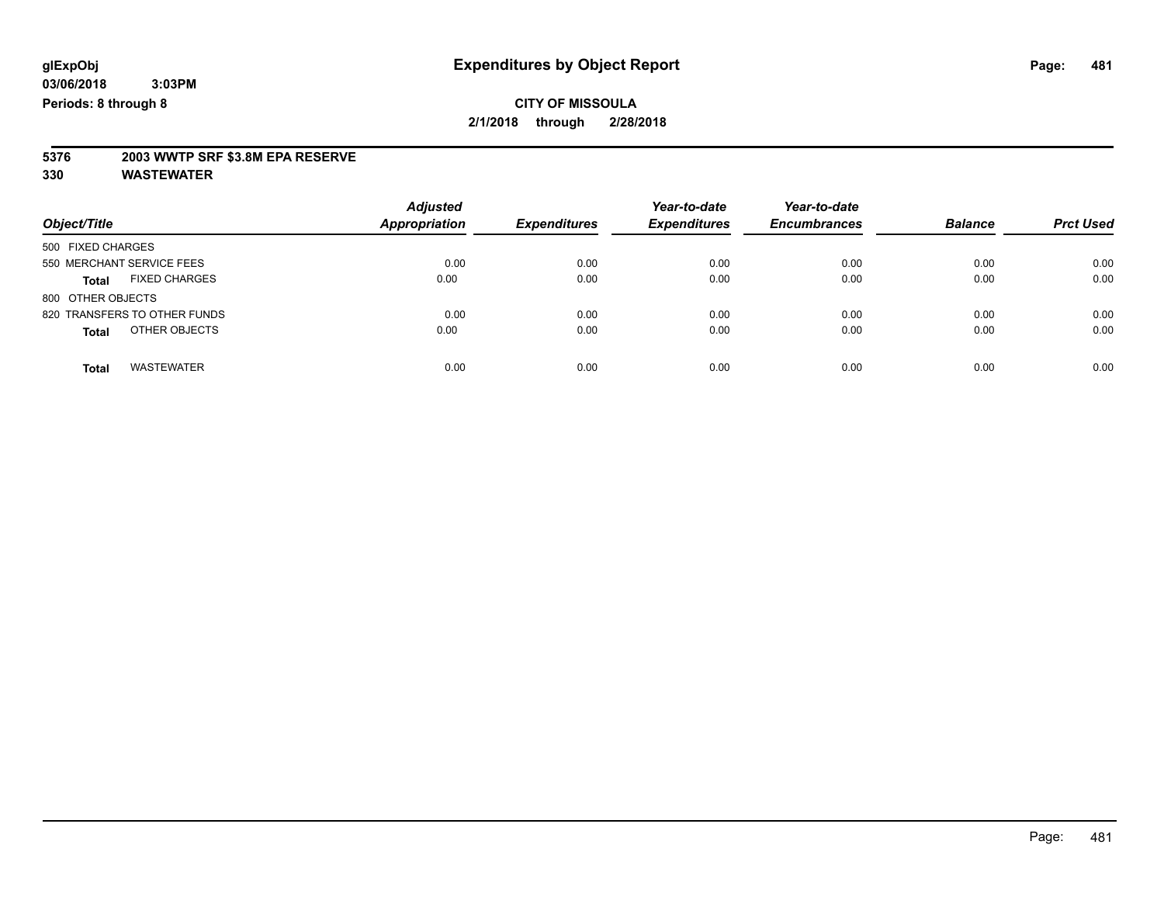# **5376 2003 WWTP SRF \$3.8M EPA RESERVE**

| Object/Title                         | <b>Adjusted</b><br><b>Appropriation</b> | <b>Expenditures</b> | Year-to-date<br><b>Expenditures</b> | Year-to-date<br><b>Encumbrances</b> | <b>Balance</b> | <b>Prct Used</b> |
|--------------------------------------|-----------------------------------------|---------------------|-------------------------------------|-------------------------------------|----------------|------------------|
| 500 FIXED CHARGES                    |                                         |                     |                                     |                                     |                |                  |
| 550 MERCHANT SERVICE FEES            | 0.00                                    | 0.00                | 0.00                                | 0.00                                | 0.00           | 0.00             |
| <b>FIXED CHARGES</b><br><b>Total</b> | 0.00                                    | 0.00                | 0.00                                | 0.00                                | 0.00           | 0.00             |
| 800 OTHER OBJECTS                    |                                         |                     |                                     |                                     |                |                  |
| 820 TRANSFERS TO OTHER FUNDS         | 0.00                                    | 0.00                | 0.00                                | 0.00                                | 0.00           | 0.00             |
| OTHER OBJECTS<br><b>Total</b>        | 0.00                                    | 0.00                | 0.00                                | 0.00                                | 0.00           | 0.00             |
| <b>WASTEWATER</b><br><b>Total</b>    | 0.00                                    | 0.00                | 0.00                                | 0.00                                | 0.00           | 0.00             |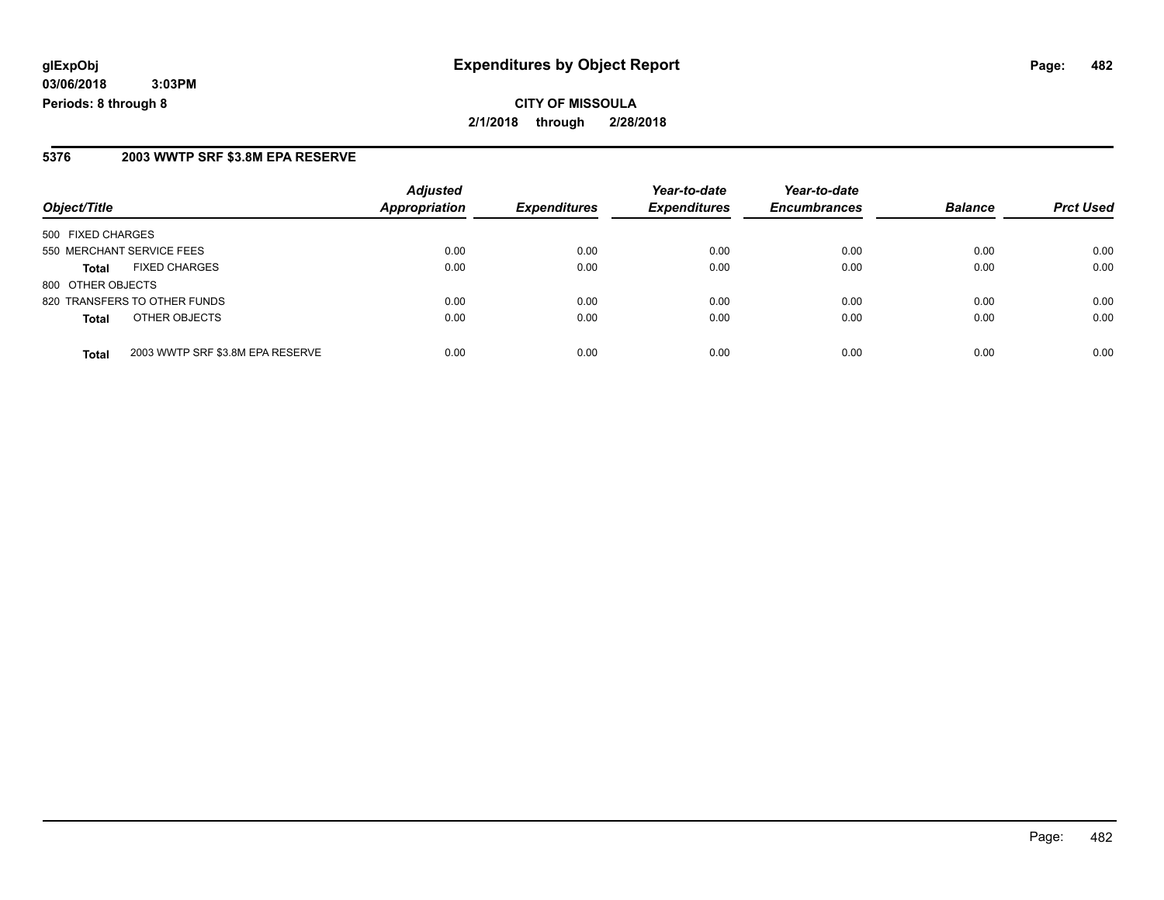**CITY OF MISSOULA 2/1/2018 through 2/28/2018**

#### **5376 2003 WWTP SRF \$3.8M EPA RESERVE**

| Object/Title                         |                                  | <b>Adjusted</b><br><b>Appropriation</b> | <b>Expenditures</b> | Year-to-date<br><b>Expenditures</b> | Year-to-date<br><b>Encumbrances</b> | <b>Balance</b> | <b>Prct Used</b> |
|--------------------------------------|----------------------------------|-----------------------------------------|---------------------|-------------------------------------|-------------------------------------|----------------|------------------|
| 500 FIXED CHARGES                    |                                  |                                         |                     |                                     |                                     |                |                  |
| 550 MERCHANT SERVICE FEES            |                                  | 0.00                                    | 0.00                | 0.00                                | 0.00                                | 0.00           | 0.00             |
| <b>FIXED CHARGES</b><br><b>Total</b> |                                  | 0.00                                    | 0.00                | 0.00                                | 0.00                                | 0.00           | 0.00             |
| 800 OTHER OBJECTS                    |                                  |                                         |                     |                                     |                                     |                |                  |
| 820 TRANSFERS TO OTHER FUNDS         |                                  | 0.00                                    | 0.00                | 0.00                                | 0.00                                | 0.00           | 0.00             |
| OTHER OBJECTS<br><b>Total</b>        |                                  | 0.00                                    | 0.00                | 0.00                                | 0.00                                | 0.00           | 0.00             |
| <b>Total</b>                         | 2003 WWTP SRF \$3.8M EPA RESERVE | 0.00                                    | 0.00                | 0.00                                | 0.00                                | 0.00           | 0.00             |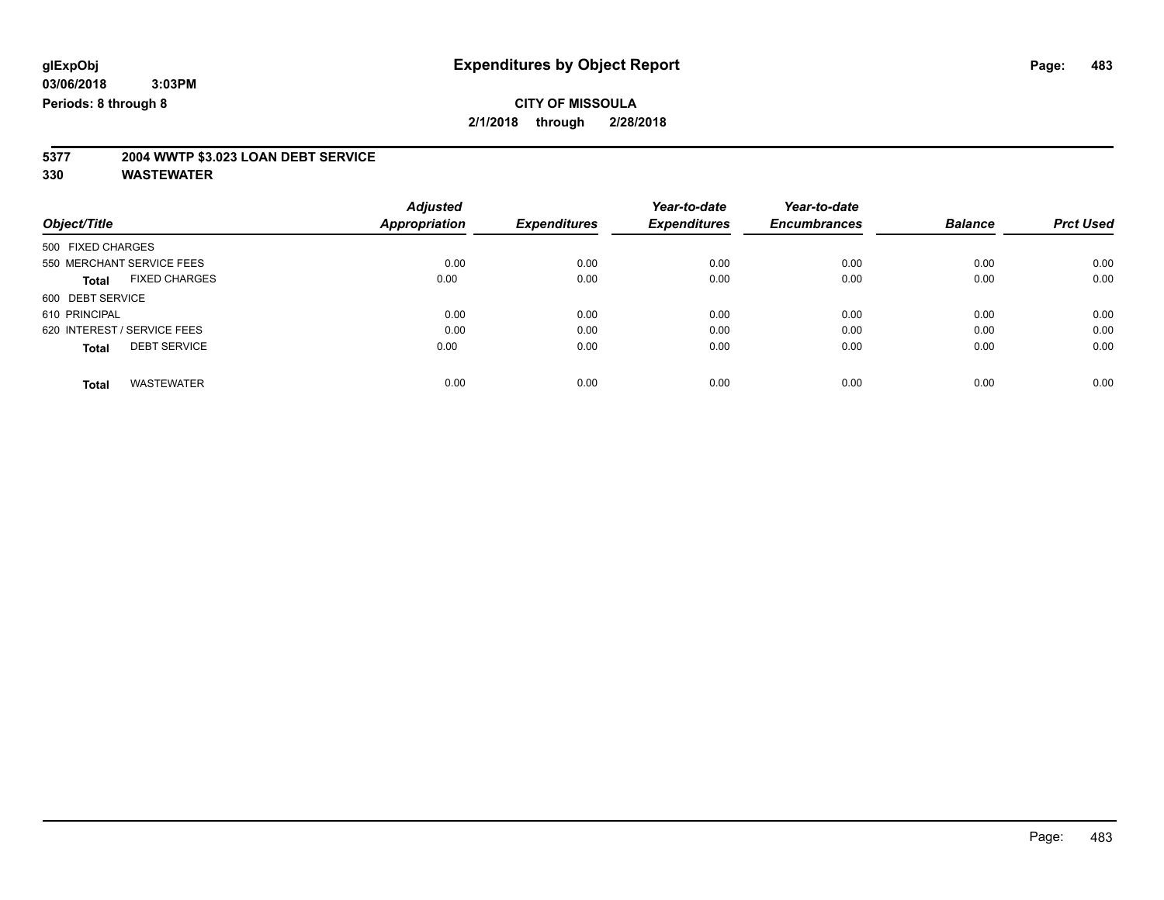# **5377 2004 WWTP \$3.023 LOAN DEBT SERVICE**

|                                      | <b>Adjusted</b>      | <b>Expenditures</b> | Year-to-date<br><b>Expenditures</b> | Year-to-date        | <b>Balance</b> | <b>Prct Used</b> |
|--------------------------------------|----------------------|---------------------|-------------------------------------|---------------------|----------------|------------------|
| Object/Title                         | <b>Appropriation</b> |                     |                                     | <b>Encumbrances</b> |                |                  |
| 500 FIXED CHARGES                    |                      |                     |                                     |                     |                |                  |
| 550 MERCHANT SERVICE FEES            | 0.00                 | 0.00                | 0.00                                | 0.00                | 0.00           | 0.00             |
| <b>FIXED CHARGES</b><br><b>Total</b> | 0.00                 | 0.00                | 0.00                                | 0.00                | 0.00           | 0.00             |
| 600 DEBT SERVICE                     |                      |                     |                                     |                     |                |                  |
| 610 PRINCIPAL                        | 0.00                 | 0.00                | 0.00                                | 0.00                | 0.00           | 0.00             |
| 620 INTEREST / SERVICE FEES          | 0.00                 | 0.00                | 0.00                                | 0.00                | 0.00           | 0.00             |
| <b>DEBT SERVICE</b><br><b>Total</b>  | 0.00                 | 0.00                | 0.00                                | 0.00                | 0.00           | 0.00             |
| <b>WASTEWATER</b><br>Total           | 0.00                 | 0.00                | 0.00                                | 0.00                | 0.00           | 0.00             |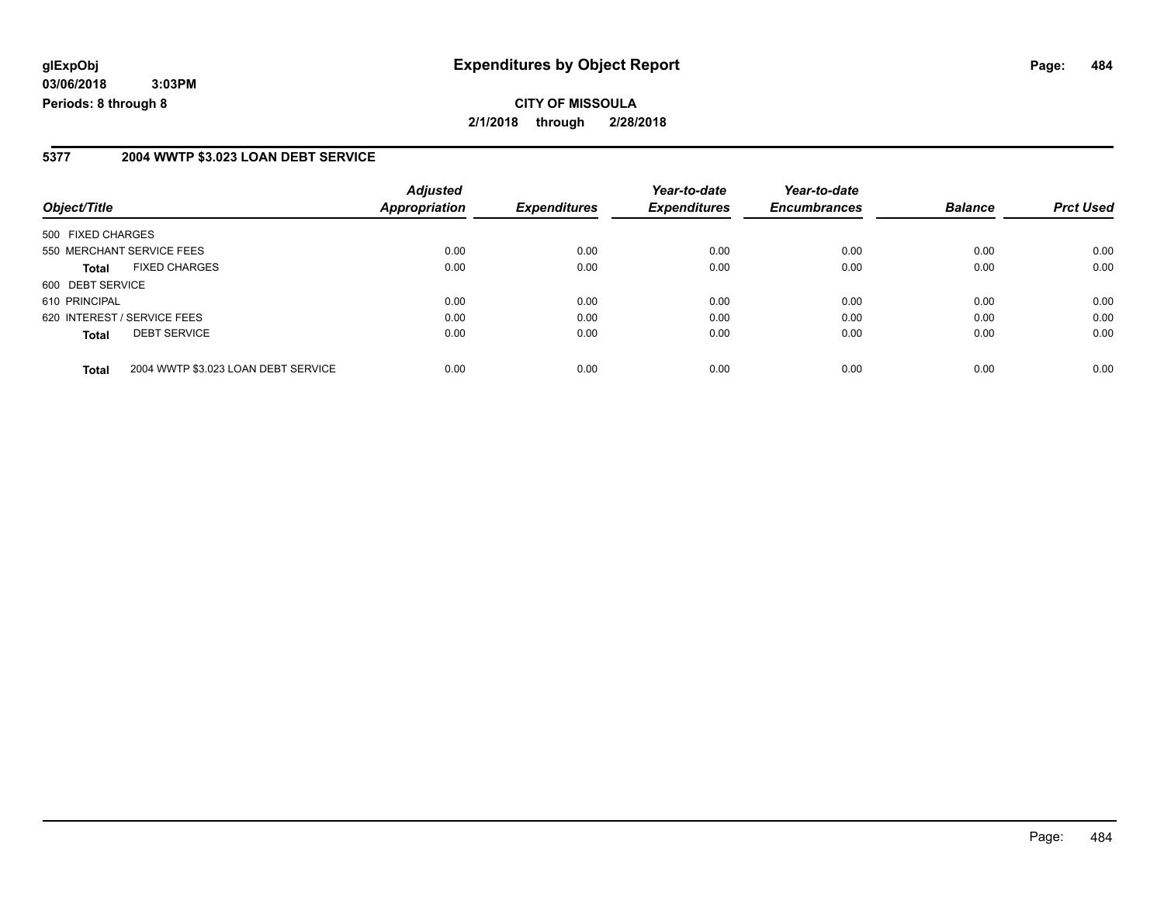**CITY OF MISSOULA 2/1/2018 through 2/28/2018**

#### **5377 2004 WWTP \$3.023 LOAN DEBT SERVICE**

| Object/Title                                        | <b>Adjusted</b><br><b>Appropriation</b> | <b>Expenditures</b> | Year-to-date<br><b>Expenditures</b> | Year-to-date<br><b>Encumbrances</b> | <b>Balance</b> | <b>Prct Used</b> |
|-----------------------------------------------------|-----------------------------------------|---------------------|-------------------------------------|-------------------------------------|----------------|------------------|
| 500 FIXED CHARGES                                   |                                         |                     |                                     |                                     |                |                  |
| 550 MERCHANT SERVICE FEES                           | 0.00                                    | 0.00                | 0.00                                | 0.00                                | 0.00           | 0.00             |
| <b>FIXED CHARGES</b><br><b>Total</b>                | 0.00                                    | 0.00                | 0.00                                | 0.00                                | 0.00           | 0.00             |
| 600 DEBT SERVICE                                    |                                         |                     |                                     |                                     |                |                  |
| 610 PRINCIPAL                                       | 0.00                                    | 0.00                | 0.00                                | 0.00                                | 0.00           | 0.00             |
| 620 INTEREST / SERVICE FEES                         | 0.00                                    | 0.00                | 0.00                                | 0.00                                | 0.00           | 0.00             |
| <b>DEBT SERVICE</b><br><b>Total</b>                 | 0.00                                    | 0.00                | 0.00                                | 0.00                                | 0.00           | 0.00             |
| 2004 WWTP \$3.023 LOAN DEBT SERVICE<br><b>Total</b> | 0.00                                    | 0.00                | 0.00                                | 0.00                                | 0.00           | 0.00             |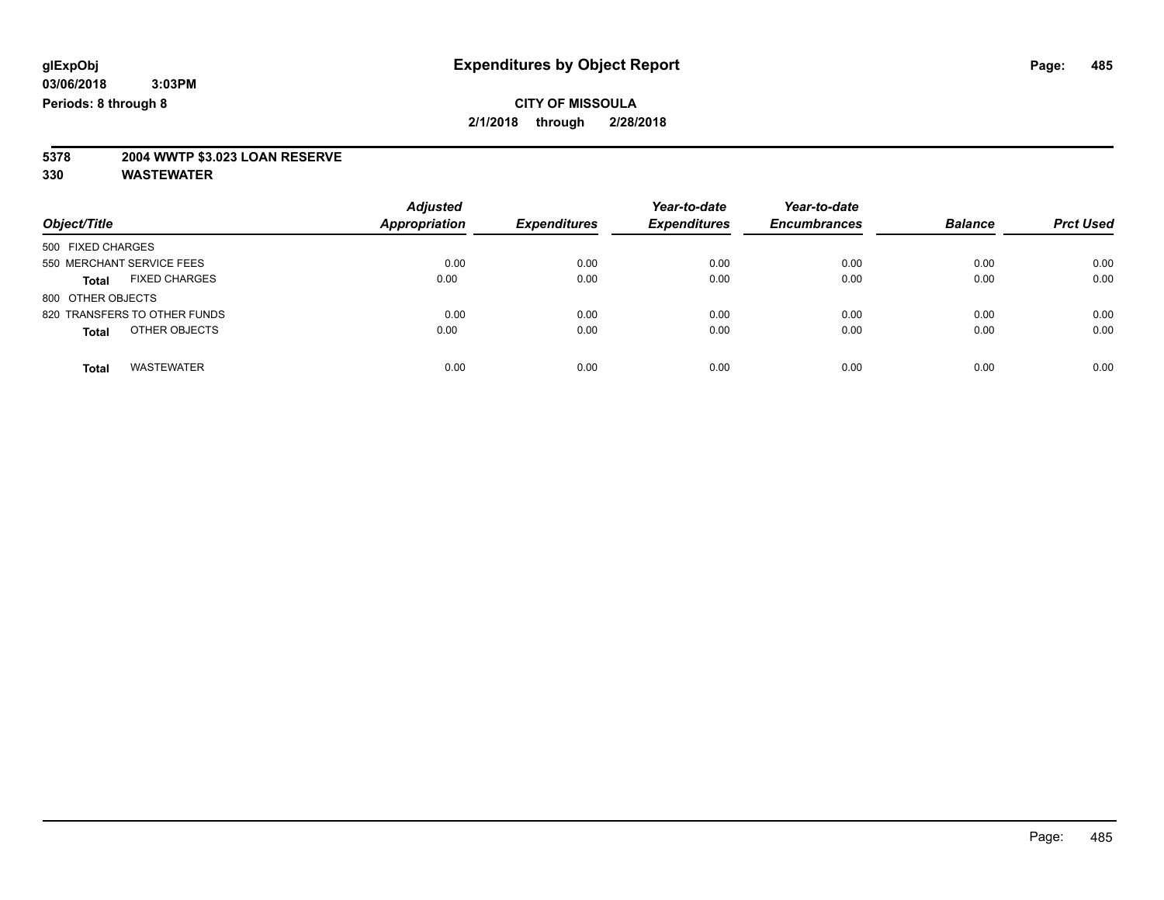# **5378 2004 WWTP \$3.023 LOAN RESERVE**

| Object/Title                  | <b>Adjusted</b><br>Appropriation | <b>Expenditures</b> | Year-to-date<br><b>Expenditures</b> | Year-to-date<br><b>Encumbrances</b> | <b>Balance</b> | <b>Prct Used</b> |
|-------------------------------|----------------------------------|---------------------|-------------------------------------|-------------------------------------|----------------|------------------|
| 500 FIXED CHARGES             |                                  |                     |                                     |                                     |                |                  |
| 550 MERCHANT SERVICE FEES     | 0.00                             | 0.00                | 0.00                                | 0.00                                | 0.00           | 0.00             |
| <b>FIXED CHARGES</b><br>Total | 0.00                             | 0.00                | 0.00                                | 0.00                                | 0.00           | 0.00             |
| 800 OTHER OBJECTS             |                                  |                     |                                     |                                     |                |                  |
| 820 TRANSFERS TO OTHER FUNDS  | 0.00                             | 0.00                | 0.00                                | 0.00                                | 0.00           | 0.00             |
| OTHER OBJECTS<br><b>Total</b> | 0.00                             | 0.00                | 0.00                                | 0.00                                | 0.00           | 0.00             |
| <b>WASTEWATER</b><br>Total    | 0.00                             | 0.00                | 0.00                                | 0.00                                | 0.00           | 0.00             |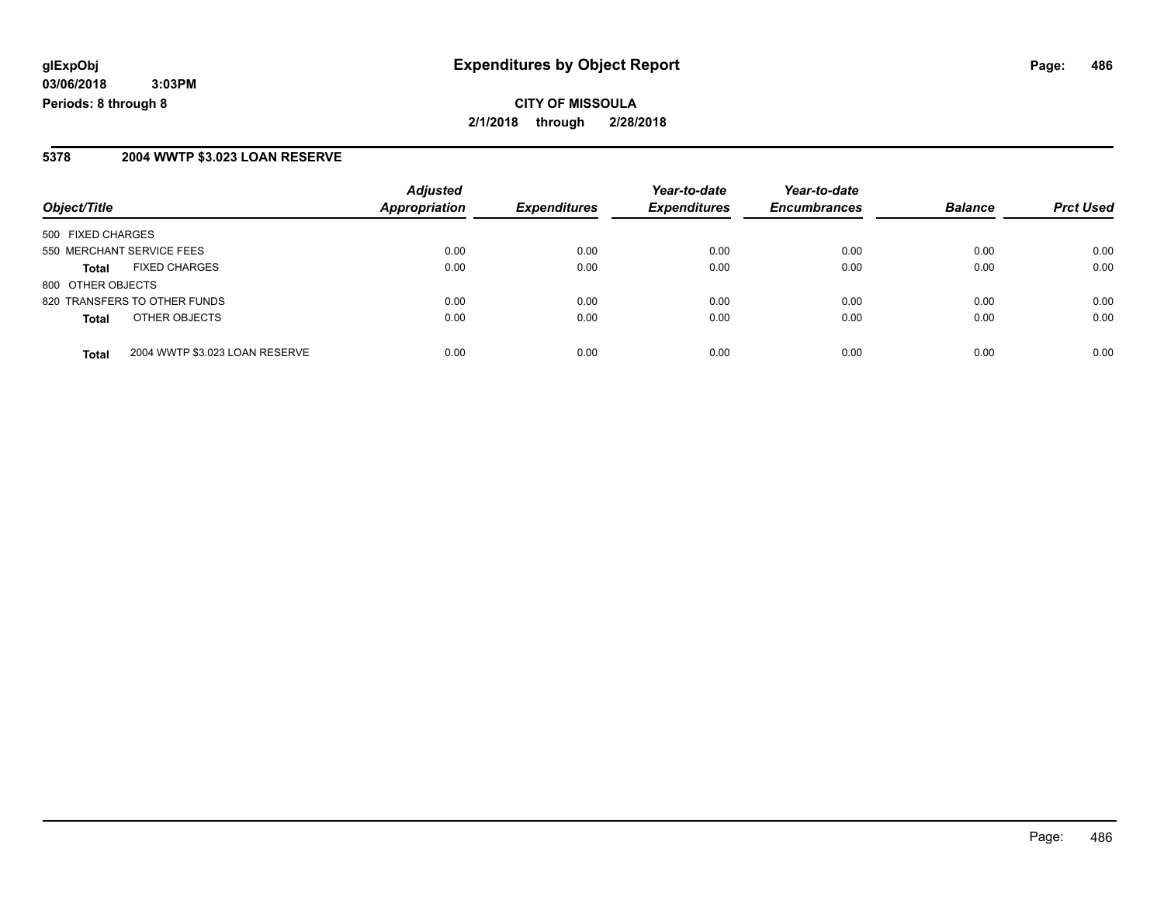#### **5378 2004 WWTP \$3.023 LOAN RESERVE**

| Object/Title                 |                                | <b>Adjusted</b><br><b>Appropriation</b> | <b>Expenditures</b> | Year-to-date        | Year-to-date<br><b>Encumbrances</b> |                | <b>Prct Used</b> |
|------------------------------|--------------------------------|-----------------------------------------|---------------------|---------------------|-------------------------------------|----------------|------------------|
|                              |                                |                                         |                     | <b>Expenditures</b> |                                     | <b>Balance</b> |                  |
| 500 FIXED CHARGES            |                                |                                         |                     |                     |                                     |                |                  |
| 550 MERCHANT SERVICE FEES    |                                | 0.00                                    | 0.00                | 0.00                | 0.00                                | 0.00           | 0.00             |
| Total                        | <b>FIXED CHARGES</b>           | 0.00                                    | 0.00                | 0.00                | 0.00                                | 0.00           | 0.00             |
| 800 OTHER OBJECTS            |                                |                                         |                     |                     |                                     |                |                  |
| 820 TRANSFERS TO OTHER FUNDS |                                | 0.00                                    | 0.00                | 0.00                | 0.00                                | 0.00           | 0.00             |
| <b>Total</b>                 | OTHER OBJECTS                  | 0.00                                    | 0.00                | 0.00                | 0.00                                | 0.00           | 0.00             |
| <b>Total</b>                 | 2004 WWTP \$3.023 LOAN RESERVE | 0.00                                    | 0.00                | 0.00                | 0.00                                | 0.00           | 0.00             |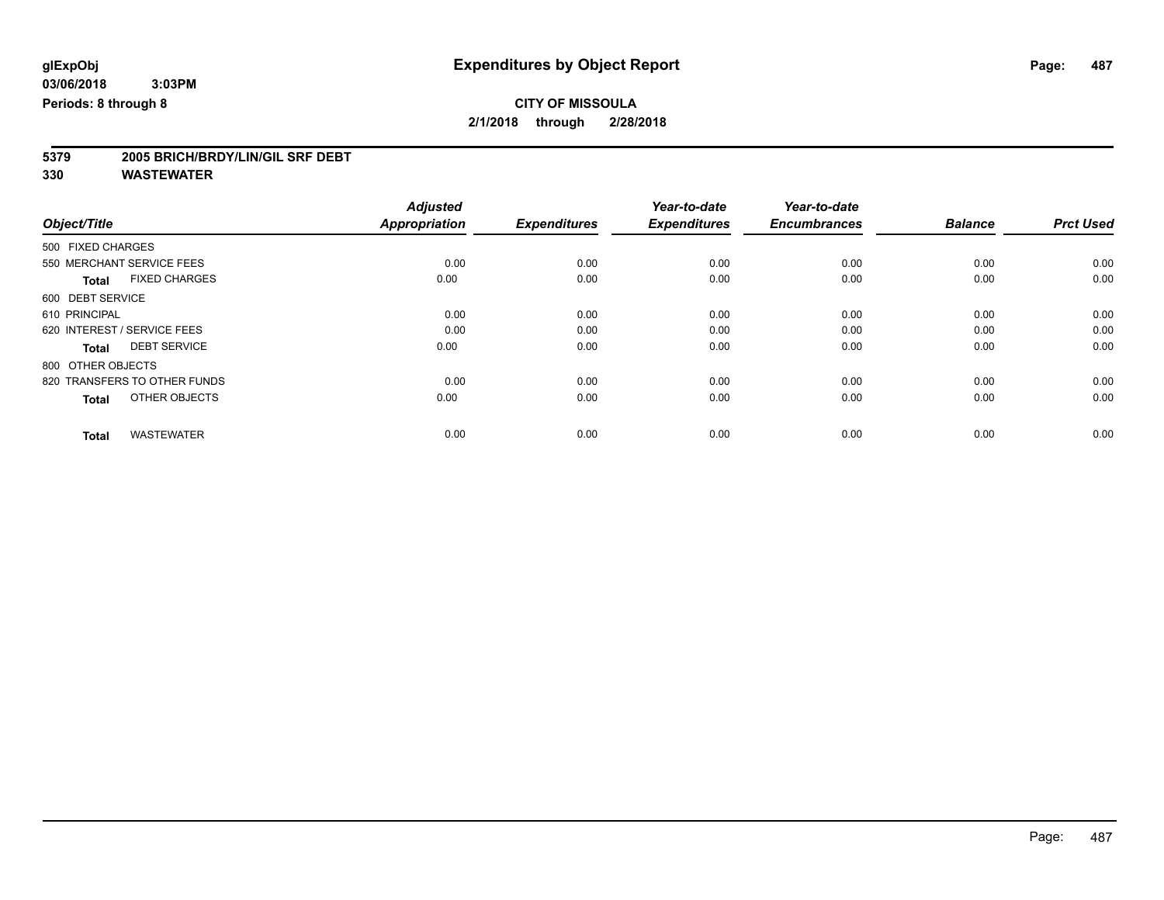# **5379 2005 BRICH/BRDY/LIN/GIL SRF DEBT**

|                                      | <b>Adjusted</b><br><b>Appropriation</b> | <b>Expenditures</b> | Year-to-date<br><b>Expenditures</b> | Year-to-date<br><b>Encumbrances</b> | <b>Balance</b> |                  |
|--------------------------------------|-----------------------------------------|---------------------|-------------------------------------|-------------------------------------|----------------|------------------|
| Object/Title                         |                                         |                     |                                     |                                     |                | <b>Prct Used</b> |
| 500 FIXED CHARGES                    |                                         |                     |                                     |                                     |                |                  |
| 550 MERCHANT SERVICE FEES            | 0.00                                    | 0.00                | 0.00                                | 0.00                                | 0.00           | 0.00             |
| <b>FIXED CHARGES</b><br><b>Total</b> | 0.00                                    | 0.00                | 0.00                                | 0.00                                | 0.00           | 0.00             |
| 600 DEBT SERVICE                     |                                         |                     |                                     |                                     |                |                  |
| 610 PRINCIPAL                        | 0.00                                    | 0.00                | 0.00                                | 0.00                                | 0.00           | 0.00             |
| 620 INTEREST / SERVICE FEES          | 0.00                                    | 0.00                | 0.00                                | 0.00                                | 0.00           | 0.00             |
| <b>DEBT SERVICE</b><br><b>Total</b>  | 0.00                                    | 0.00                | 0.00                                | 0.00                                | 0.00           | 0.00             |
| 800 OTHER OBJECTS                    |                                         |                     |                                     |                                     |                |                  |
| 820 TRANSFERS TO OTHER FUNDS         | 0.00                                    | 0.00                | 0.00                                | 0.00                                | 0.00           | 0.00             |
| OTHER OBJECTS<br><b>Total</b>        | 0.00                                    | 0.00                | 0.00                                | 0.00                                | 0.00           | 0.00             |
|                                      |                                         |                     |                                     |                                     |                |                  |
| <b>WASTEWATER</b><br><b>Total</b>    | 0.00                                    | 0.00                | 0.00                                | 0.00                                | 0.00           | 0.00             |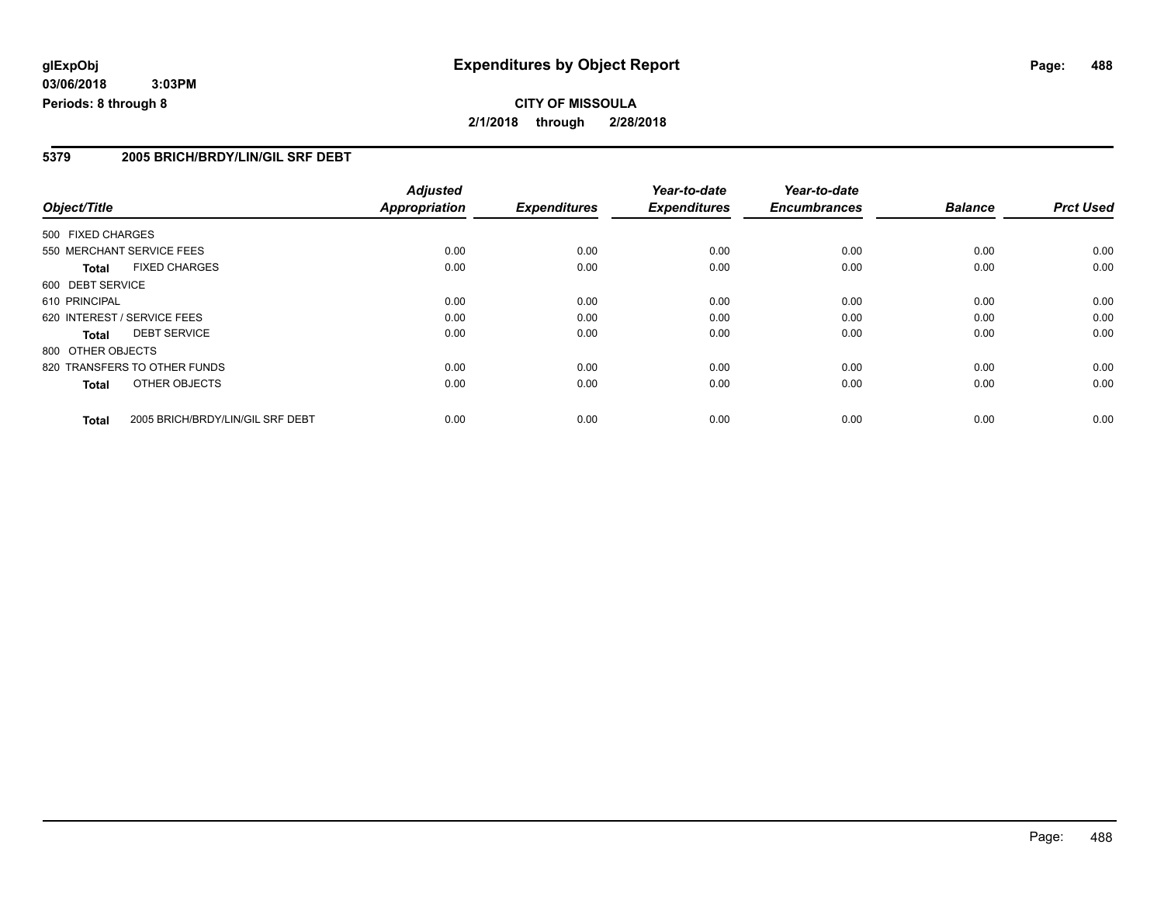#### **5379 2005 BRICH/BRDY/LIN/GIL SRF DEBT**

|                   |                                  | <b>Adjusted</b>      |                     | Year-to-date        | Year-to-date        |                |                  |
|-------------------|----------------------------------|----------------------|---------------------|---------------------|---------------------|----------------|------------------|
| Object/Title      |                                  | <b>Appropriation</b> | <b>Expenditures</b> | <b>Expenditures</b> | <b>Encumbrances</b> | <b>Balance</b> | <b>Prct Used</b> |
| 500 FIXED CHARGES |                                  |                      |                     |                     |                     |                |                  |
|                   | 550 MERCHANT SERVICE FEES        | 0.00                 | 0.00                | 0.00                | 0.00                | 0.00           | 0.00             |
| <b>Total</b>      | <b>FIXED CHARGES</b>             | 0.00                 | 0.00                | 0.00                | 0.00                | 0.00           | 0.00             |
| 600 DEBT SERVICE  |                                  |                      |                     |                     |                     |                |                  |
| 610 PRINCIPAL     |                                  | 0.00                 | 0.00                | 0.00                | 0.00                | 0.00           | 0.00             |
|                   | 620 INTEREST / SERVICE FEES      | 0.00                 | 0.00                | 0.00                | 0.00                | 0.00           | 0.00             |
| Total             | <b>DEBT SERVICE</b>              | 0.00                 | 0.00                | 0.00                | 0.00                | 0.00           | 0.00             |
| 800 OTHER OBJECTS |                                  |                      |                     |                     |                     |                |                  |
|                   | 820 TRANSFERS TO OTHER FUNDS     | 0.00                 | 0.00                | 0.00                | 0.00                | 0.00           | 0.00             |
| <b>Total</b>      | OTHER OBJECTS                    | 0.00                 | 0.00                | 0.00                | 0.00                | 0.00           | 0.00             |
| <b>Total</b>      | 2005 BRICH/BRDY/LIN/GIL SRF DEBT | 0.00                 | 0.00                | 0.00                | 0.00                | 0.00           | 0.00             |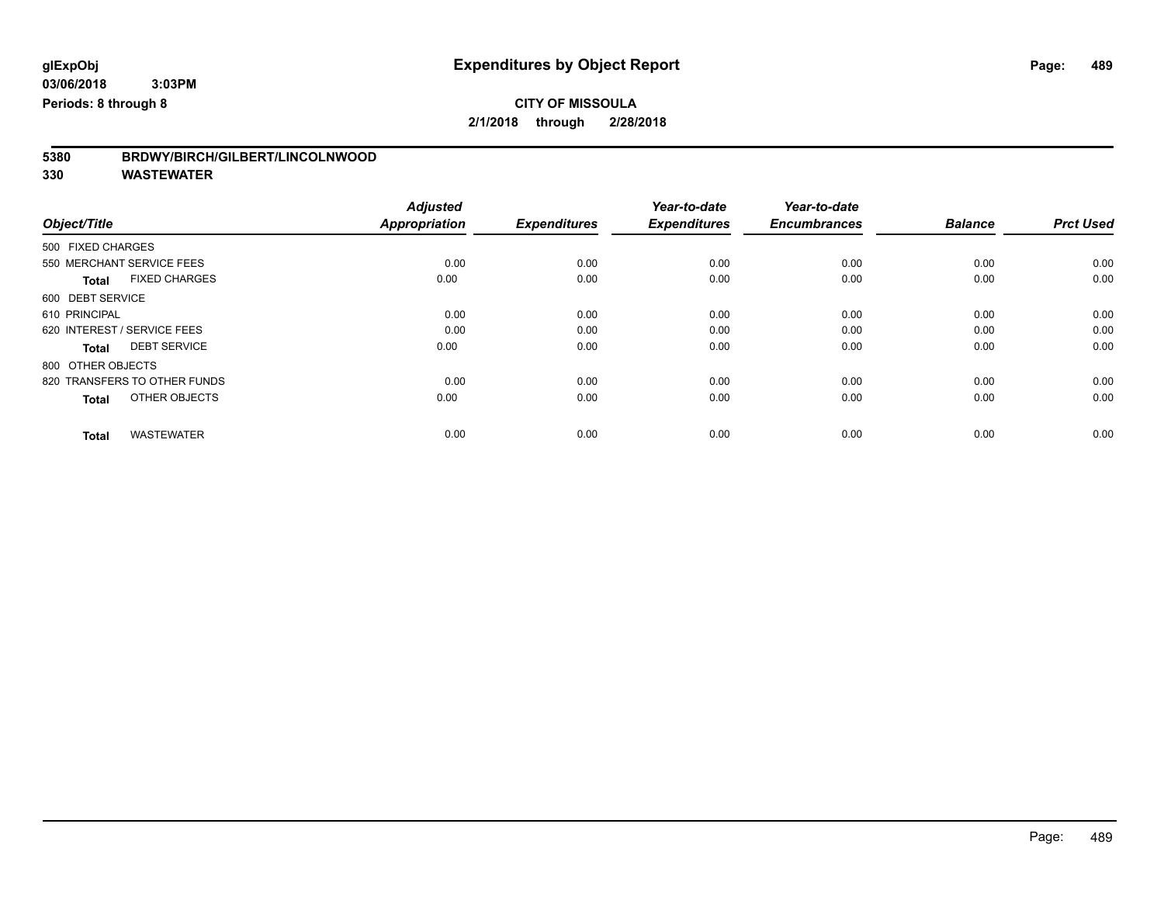**5380 BRDWY/BIRCH/GILBERT/LINCOLNWOOD**

|                                      | <b>Adjusted</b>      |                     | Year-to-date        | Year-to-date        |                |                  |
|--------------------------------------|----------------------|---------------------|---------------------|---------------------|----------------|------------------|
| Object/Title                         | <b>Appropriation</b> | <b>Expenditures</b> | <b>Expenditures</b> | <b>Encumbrances</b> | <b>Balance</b> | <b>Prct Used</b> |
| 500 FIXED CHARGES                    |                      |                     |                     |                     |                |                  |
| 550 MERCHANT SERVICE FEES            | 0.00                 | 0.00                | 0.00                | 0.00                | 0.00           | 0.00             |
| <b>FIXED CHARGES</b><br><b>Total</b> | 0.00                 | 0.00                | 0.00                | 0.00                | 0.00           | 0.00             |
| 600 DEBT SERVICE                     |                      |                     |                     |                     |                |                  |
| 610 PRINCIPAL                        | 0.00                 | 0.00                | 0.00                | 0.00                | 0.00           | 0.00             |
| 620 INTEREST / SERVICE FEES          | 0.00                 | 0.00                | 0.00                | 0.00                | 0.00           | 0.00             |
| <b>DEBT SERVICE</b><br><b>Total</b>  | 0.00                 | 0.00                | 0.00                | 0.00                | 0.00           | 0.00             |
| 800 OTHER OBJECTS                    |                      |                     |                     |                     |                |                  |
| 820 TRANSFERS TO OTHER FUNDS         | 0.00                 | 0.00                | 0.00                | 0.00                | 0.00           | 0.00             |
| OTHER OBJECTS<br><b>Total</b>        | 0.00                 | 0.00                | 0.00                | 0.00                | 0.00           | 0.00             |
|                                      |                      |                     |                     |                     |                |                  |
| <b>WASTEWATER</b><br><b>Total</b>    | 0.00                 | 0.00                | 0.00                | 0.00                | 0.00           | 0.00             |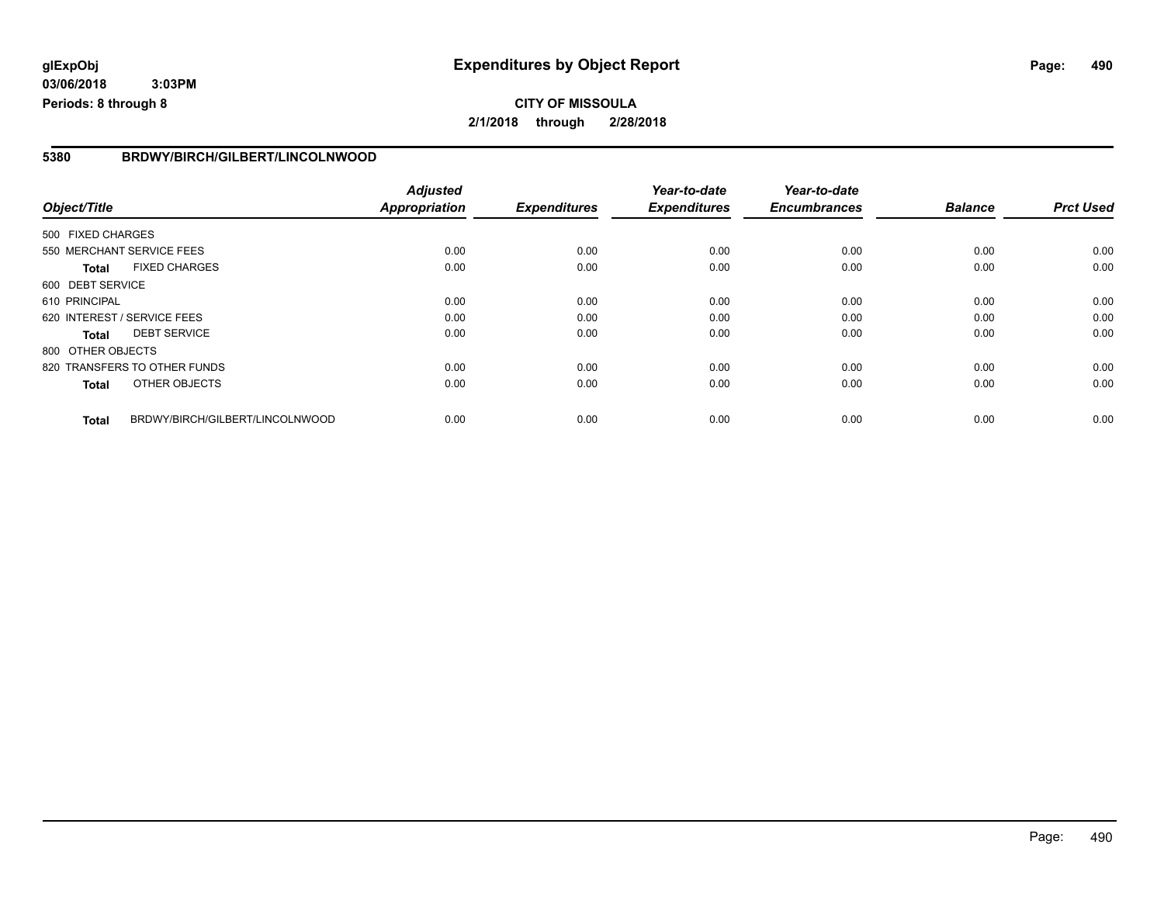#### **5380 BRDWY/BIRCH/GILBERT/LINCOLNWOOD**

| Object/Title      |                                 | <b>Adjusted</b>      |                     | Year-to-date        | Year-to-date        |                |                  |
|-------------------|---------------------------------|----------------------|---------------------|---------------------|---------------------|----------------|------------------|
|                   |                                 | <b>Appropriation</b> | <b>Expenditures</b> | <b>Expenditures</b> | <b>Encumbrances</b> | <b>Balance</b> | <b>Prct Used</b> |
| 500 FIXED CHARGES |                                 |                      |                     |                     |                     |                |                  |
|                   | 550 MERCHANT SERVICE FEES       | 0.00                 | 0.00                | 0.00                | 0.00                | 0.00           | 0.00             |
| <b>Total</b>      | <b>FIXED CHARGES</b>            | 0.00                 | 0.00                | 0.00                | 0.00                | 0.00           | 0.00             |
| 600 DEBT SERVICE  |                                 |                      |                     |                     |                     |                |                  |
| 610 PRINCIPAL     |                                 | 0.00                 | 0.00                | 0.00                | 0.00                | 0.00           | 0.00             |
|                   | 620 INTEREST / SERVICE FEES     | 0.00                 | 0.00                | 0.00                | 0.00                | 0.00           | 0.00             |
| <b>Total</b>      | <b>DEBT SERVICE</b>             | 0.00                 | 0.00                | 0.00                | 0.00                | 0.00           | 0.00             |
| 800 OTHER OBJECTS |                                 |                      |                     |                     |                     |                |                  |
|                   | 820 TRANSFERS TO OTHER FUNDS    | 0.00                 | 0.00                | 0.00                | 0.00                | 0.00           | 0.00             |
| <b>Total</b>      | OTHER OBJECTS                   | 0.00                 | 0.00                | 0.00                | 0.00                | 0.00           | 0.00             |
| <b>Total</b>      | BRDWY/BIRCH/GILBERT/LINCOLNWOOD | 0.00                 | 0.00                | 0.00                | 0.00                | 0.00           | 0.00             |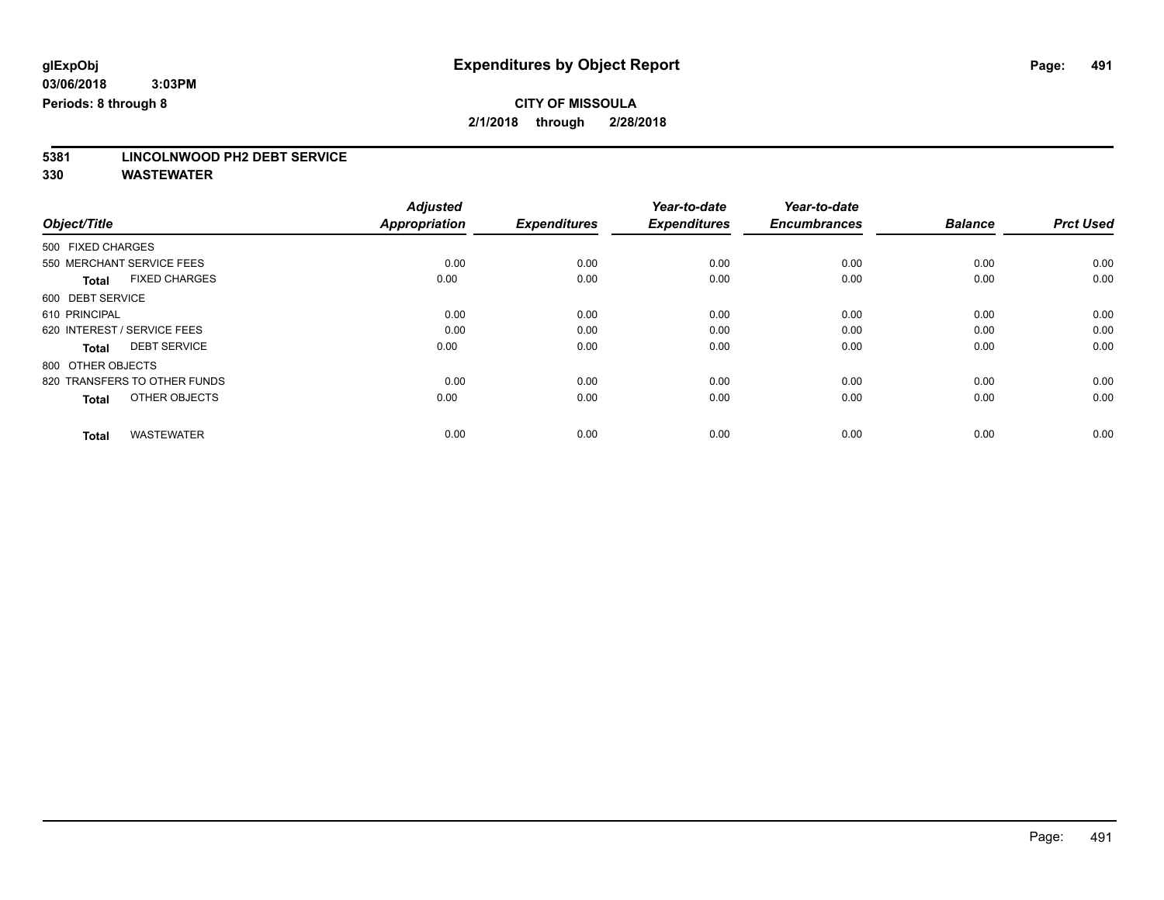# **5381 LINCOLNWOOD PH2 DEBT SERVICE**

|                                      | <b>Adjusted</b><br><b>Appropriation</b> | <b>Expenditures</b> | Year-to-date<br><b>Expenditures</b> | Year-to-date<br><b>Encumbrances</b> | <b>Balance</b> | <b>Prct Used</b> |
|--------------------------------------|-----------------------------------------|---------------------|-------------------------------------|-------------------------------------|----------------|------------------|
| Object/Title                         |                                         |                     |                                     |                                     |                |                  |
| 500 FIXED CHARGES                    |                                         |                     |                                     |                                     |                |                  |
| 550 MERCHANT SERVICE FEES            | 0.00                                    | 0.00                | 0.00                                | 0.00                                | 0.00           | 0.00             |
| <b>FIXED CHARGES</b><br><b>Total</b> | 0.00                                    | 0.00                | 0.00                                | 0.00                                | 0.00           | 0.00             |
| 600 DEBT SERVICE                     |                                         |                     |                                     |                                     |                |                  |
| 610 PRINCIPAL                        | 0.00                                    | 0.00                | 0.00                                | 0.00                                | 0.00           | 0.00             |
| 620 INTEREST / SERVICE FEES          | 0.00                                    | 0.00                | 0.00                                | 0.00                                | 0.00           | 0.00             |
| <b>DEBT SERVICE</b><br><b>Total</b>  | 0.00                                    | 0.00                | 0.00                                | 0.00                                | 0.00           | 0.00             |
| 800 OTHER OBJECTS                    |                                         |                     |                                     |                                     |                |                  |
| 820 TRANSFERS TO OTHER FUNDS         | 0.00                                    | 0.00                | 0.00                                | 0.00                                | 0.00           | 0.00             |
| OTHER OBJECTS<br><b>Total</b>        | 0.00                                    | 0.00                | 0.00                                | 0.00                                | 0.00           | 0.00             |
|                                      |                                         |                     |                                     |                                     |                |                  |
| <b>WASTEWATER</b><br><b>Total</b>    | 0.00                                    | 0.00                | 0.00                                | 0.00                                | 0.00           | 0.00             |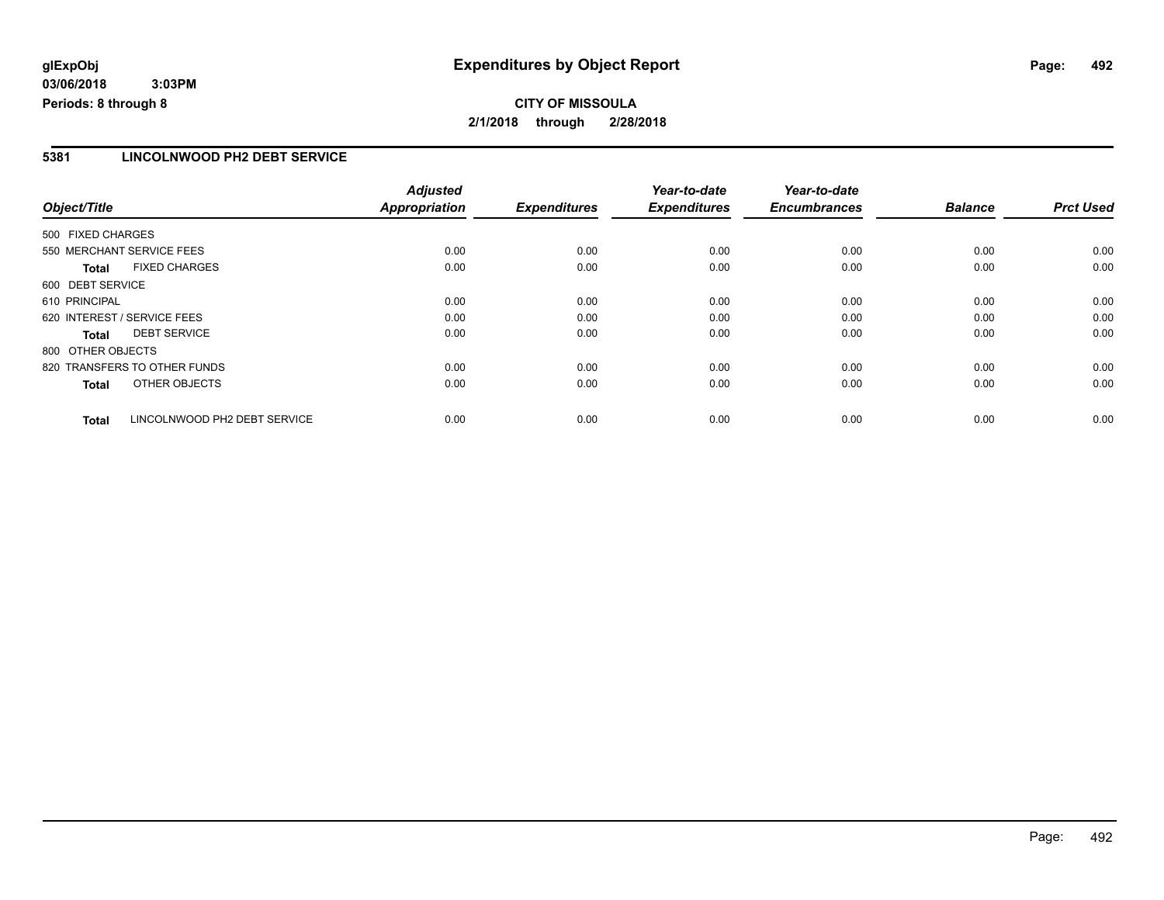## **CITY OF MISSOULA 2/1/2018 through 2/28/2018**

#### **5381 LINCOLNWOOD PH2 DEBT SERVICE**

|                             |                              | <b>Adjusted</b>      |                     | Year-to-date        | Year-to-date        |                |                  |
|-----------------------------|------------------------------|----------------------|---------------------|---------------------|---------------------|----------------|------------------|
| Object/Title                |                              | <b>Appropriation</b> | <b>Expenditures</b> | <b>Expenditures</b> | <b>Encumbrances</b> | <b>Balance</b> | <b>Prct Used</b> |
| 500 FIXED CHARGES           |                              |                      |                     |                     |                     |                |                  |
| 550 MERCHANT SERVICE FEES   |                              | 0.00                 | 0.00                | 0.00                | 0.00                | 0.00           | 0.00             |
| <b>Total</b>                | <b>FIXED CHARGES</b>         | 0.00                 | 0.00                | 0.00                | 0.00                | 0.00           | 0.00             |
| 600 DEBT SERVICE            |                              |                      |                     |                     |                     |                |                  |
| 610 PRINCIPAL               |                              | 0.00                 | 0.00                | 0.00                | 0.00                | 0.00           | 0.00             |
| 620 INTEREST / SERVICE FEES |                              | 0.00                 | 0.00                | 0.00                | 0.00                | 0.00           | 0.00             |
| Total                       | <b>DEBT SERVICE</b>          | 0.00                 | 0.00                | 0.00                | 0.00                | 0.00           | 0.00             |
| 800 OTHER OBJECTS           |                              |                      |                     |                     |                     |                |                  |
|                             | 820 TRANSFERS TO OTHER FUNDS | 0.00                 | 0.00                | 0.00                | 0.00                | 0.00           | 0.00             |
| <b>Total</b>                | OTHER OBJECTS                | 0.00                 | 0.00                | 0.00                | 0.00                | 0.00           | 0.00             |
| <b>Total</b>                | LINCOLNWOOD PH2 DEBT SERVICE | 0.00                 | 0.00                | 0.00                | 0.00                | 0.00           | 0.00             |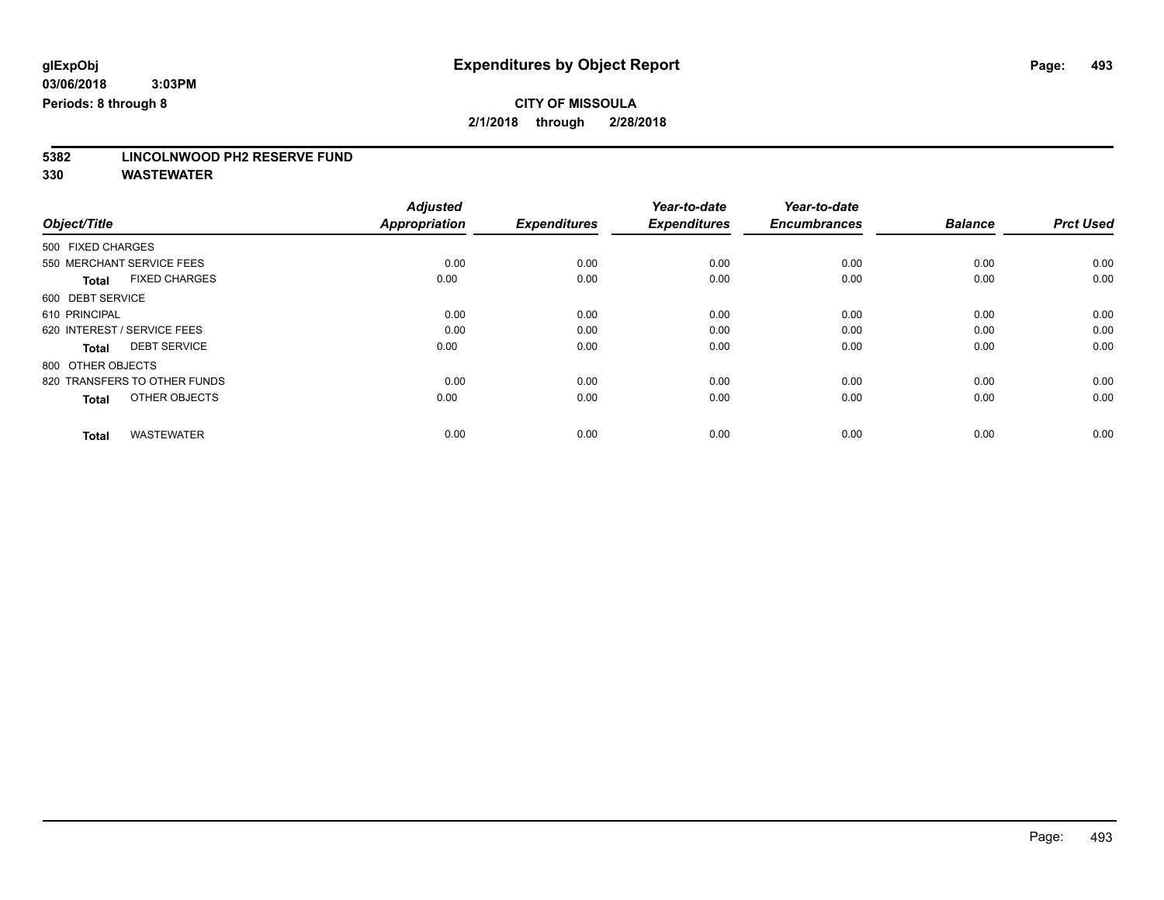# **5382 LINCOLNWOOD PH2 RESERVE FUND**

|                                      | <b>Adjusted</b> |                     | Year-to-date        | Year-to-date        |                |                  |
|--------------------------------------|-----------------|---------------------|---------------------|---------------------|----------------|------------------|
| Object/Title                         | Appropriation   | <b>Expenditures</b> | <b>Expenditures</b> | <b>Encumbrances</b> | <b>Balance</b> | <b>Prct Used</b> |
| 500 FIXED CHARGES                    |                 |                     |                     |                     |                |                  |
| 550 MERCHANT SERVICE FEES            | 0.00            | 0.00                | 0.00                | 0.00                | 0.00           | 0.00             |
| <b>FIXED CHARGES</b><br><b>Total</b> | 0.00            | 0.00                | 0.00                | 0.00                | 0.00           | 0.00             |
| 600 DEBT SERVICE                     |                 |                     |                     |                     |                |                  |
| 610 PRINCIPAL                        | 0.00            | 0.00                | 0.00                | 0.00                | 0.00           | 0.00             |
| 620 INTEREST / SERVICE FEES          | 0.00            | 0.00                | 0.00                | 0.00                | 0.00           | 0.00             |
| <b>DEBT SERVICE</b><br><b>Total</b>  | 0.00            | 0.00                | 0.00                | 0.00                | 0.00           | 0.00             |
| 800 OTHER OBJECTS                    |                 |                     |                     |                     |                |                  |
| 820 TRANSFERS TO OTHER FUNDS         | 0.00            | 0.00                | 0.00                | 0.00                | 0.00           | 0.00             |
| OTHER OBJECTS<br><b>Total</b>        | 0.00            | 0.00                | 0.00                | 0.00                | 0.00           | 0.00             |
|                                      |                 |                     |                     |                     |                |                  |
| <b>WASTEWATER</b><br><b>Total</b>    | 0.00            | 0.00                | 0.00                | 0.00                | 0.00           | 0.00             |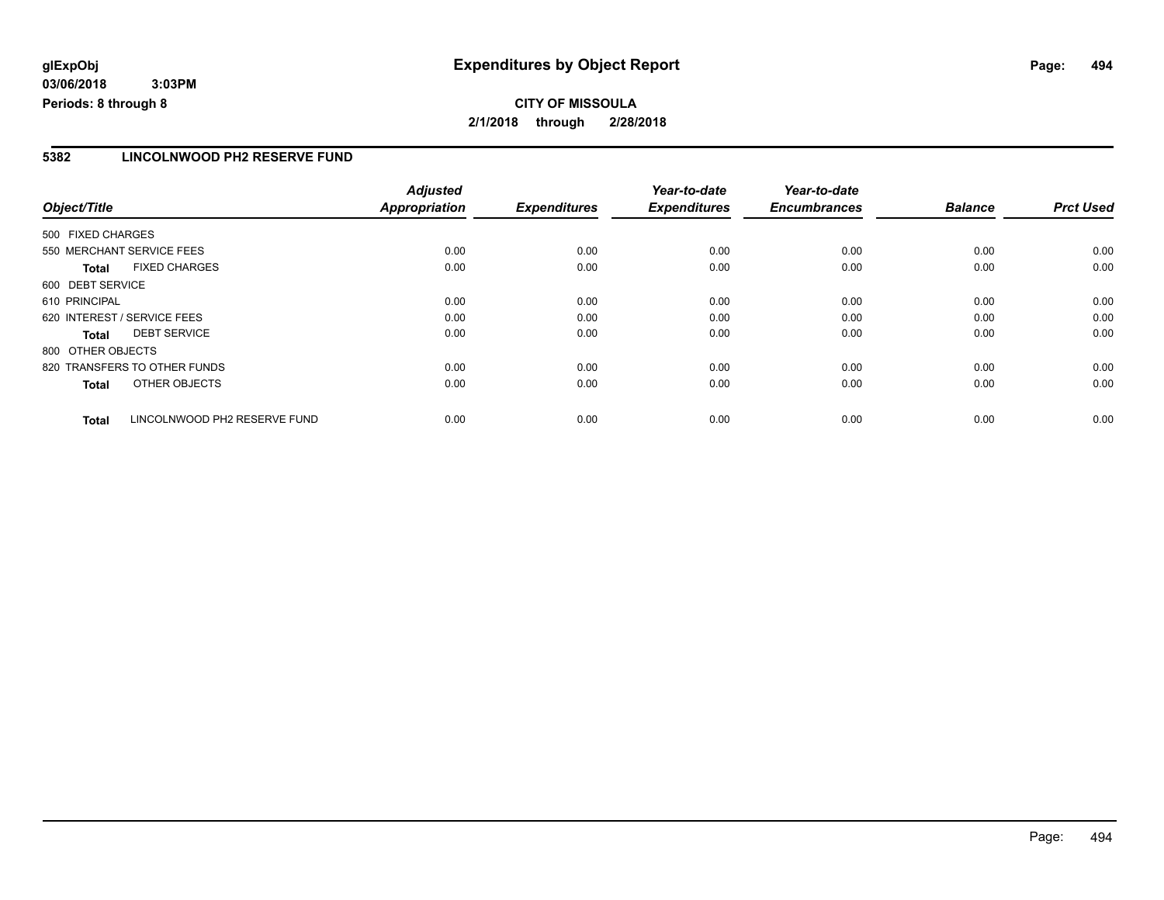## **CITY OF MISSOULA 2/1/2018 through 2/28/2018**

#### **5382 LINCOLNWOOD PH2 RESERVE FUND**

|                   |                              | <b>Adjusted</b>      |                     | Year-to-date        | Year-to-date        |                |                  |
|-------------------|------------------------------|----------------------|---------------------|---------------------|---------------------|----------------|------------------|
| Object/Title      |                              | <b>Appropriation</b> | <b>Expenditures</b> | <b>Expenditures</b> | <b>Encumbrances</b> | <b>Balance</b> | <b>Prct Used</b> |
| 500 FIXED CHARGES |                              |                      |                     |                     |                     |                |                  |
|                   | 550 MERCHANT SERVICE FEES    | 0.00                 | 0.00                | 0.00                | 0.00                | 0.00           | 0.00             |
| <b>Total</b>      | <b>FIXED CHARGES</b>         | 0.00                 | 0.00                | 0.00                | 0.00                | 0.00           | 0.00             |
| 600 DEBT SERVICE  |                              |                      |                     |                     |                     |                |                  |
| 610 PRINCIPAL     |                              | 0.00                 | 0.00                | 0.00                | 0.00                | 0.00           | 0.00             |
|                   | 620 INTEREST / SERVICE FEES  | 0.00                 | 0.00                | 0.00                | 0.00                | 0.00           | 0.00             |
| <b>Total</b>      | <b>DEBT SERVICE</b>          | 0.00                 | 0.00                | 0.00                | 0.00                | 0.00           | 0.00             |
| 800 OTHER OBJECTS |                              |                      |                     |                     |                     |                |                  |
|                   | 820 TRANSFERS TO OTHER FUNDS | 0.00                 | 0.00                | 0.00                | 0.00                | 0.00           | 0.00             |
| <b>Total</b>      | OTHER OBJECTS                | 0.00                 | 0.00                | 0.00                | 0.00                | 0.00           | 0.00             |
| <b>Total</b>      | LINCOLNWOOD PH2 RESERVE FUND | 0.00                 | 0.00                | 0.00                | 0.00                | 0.00           | 0.00             |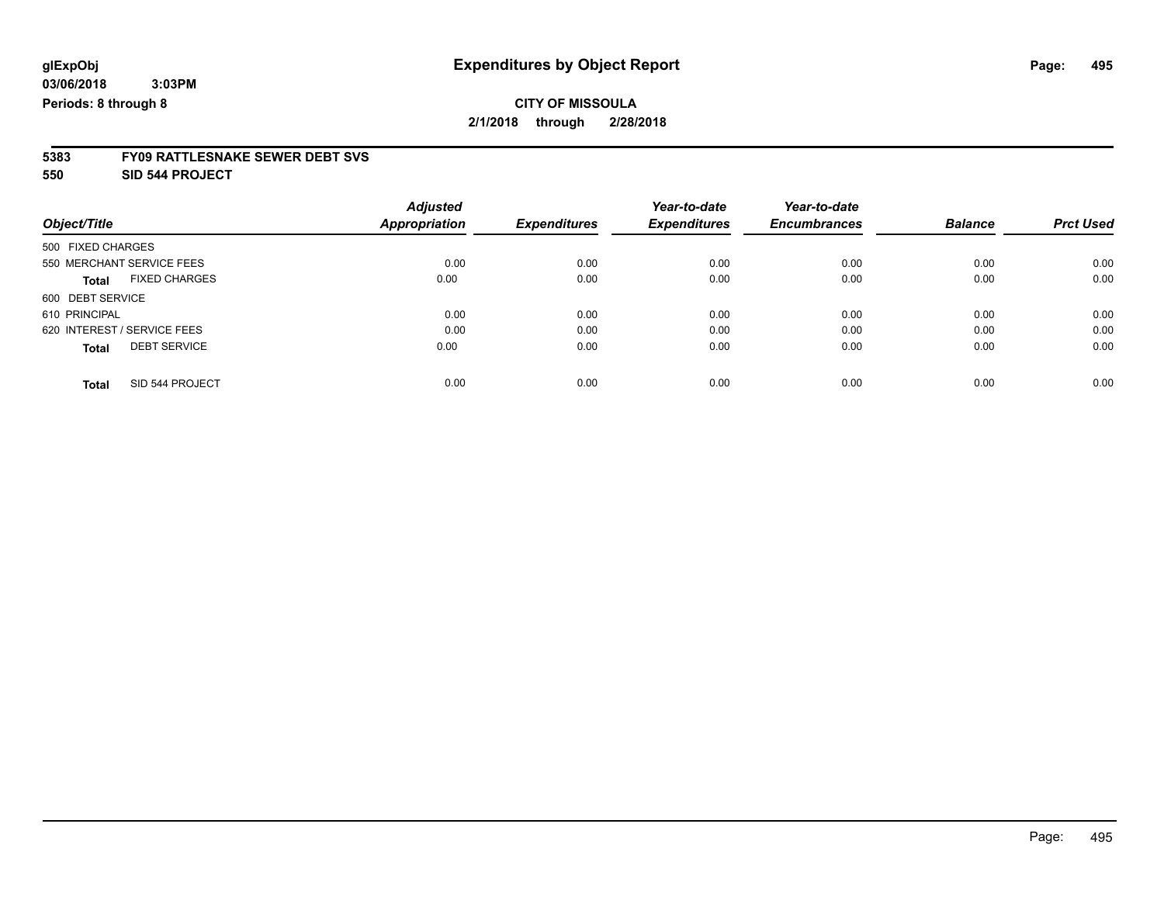# **CITY OF MISSOULA**

**2/1/2018 through 2/28/2018**

# **5383 FY09 RATTLESNAKE SEWER DEBT SVS**

**550 SID 544 PROJECT**

|                                      | <b>Adjusted</b>      |                     | Year-to-date        | Year-to-date        |                |                  |
|--------------------------------------|----------------------|---------------------|---------------------|---------------------|----------------|------------------|
| Object/Title                         | <b>Appropriation</b> | <b>Expenditures</b> | <b>Expenditures</b> | <b>Encumbrances</b> | <b>Balance</b> | <b>Prct Used</b> |
| 500 FIXED CHARGES                    |                      |                     |                     |                     |                |                  |
| 550 MERCHANT SERVICE FEES            | 0.00                 | 0.00                | 0.00                | 0.00                | 0.00           | 0.00             |
| <b>FIXED CHARGES</b><br><b>Total</b> | 0.00                 | 0.00                | 0.00                | 0.00                | 0.00           | 0.00             |
| 600 DEBT SERVICE                     |                      |                     |                     |                     |                |                  |
| 610 PRINCIPAL                        | 0.00                 | 0.00                | 0.00                | 0.00                | 0.00           | 0.00             |
| 620 INTEREST / SERVICE FEES          | 0.00                 | 0.00                | 0.00                | 0.00                | 0.00           | 0.00             |
| <b>DEBT SERVICE</b><br><b>Total</b>  | 0.00                 | 0.00                | 0.00                | 0.00                | 0.00           | 0.00             |
| SID 544 PROJECT<br><b>Total</b>      | 0.00                 | 0.00                | 0.00                | 0.00                | 0.00           | 0.00             |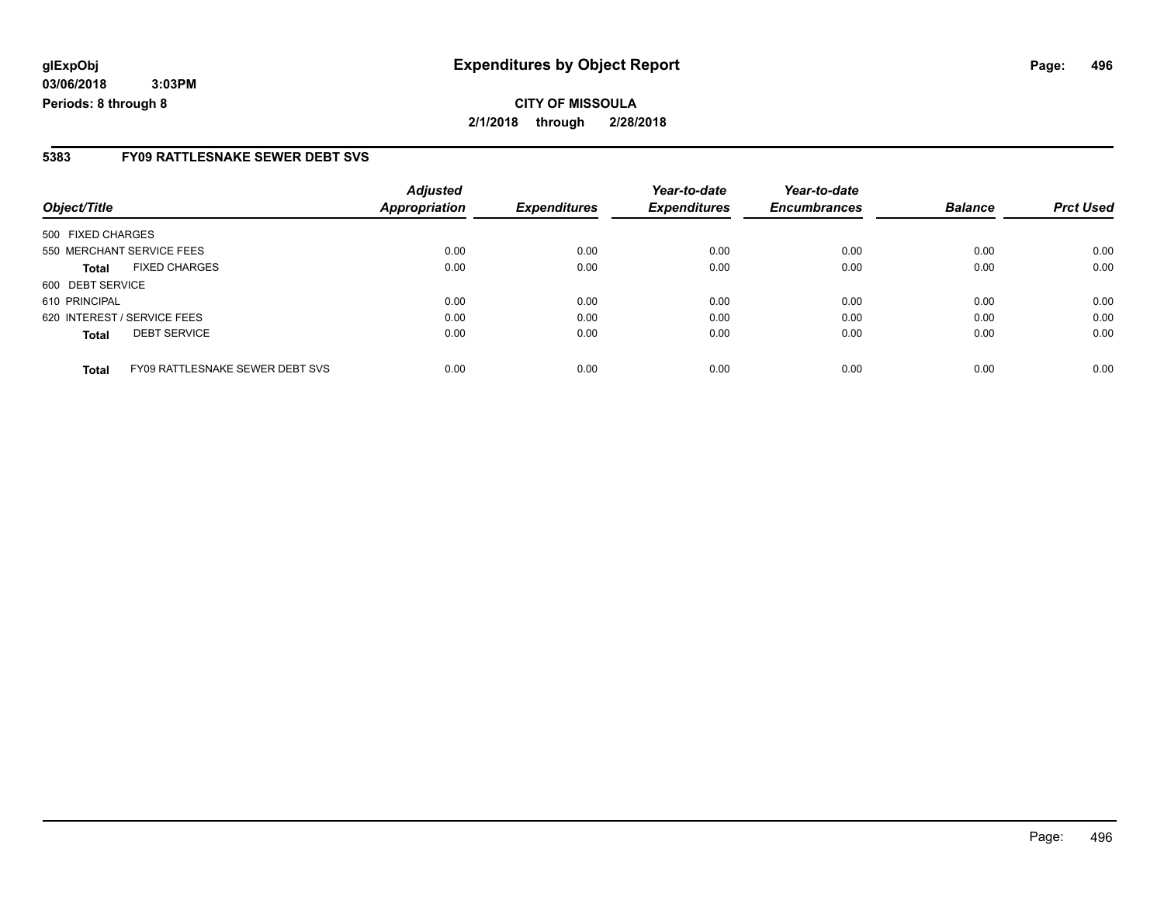#### **5383 FY09 RATTLESNAKE SEWER DEBT SVS**

| Object/Title      |                                 | <b>Adjusted</b><br><b>Appropriation</b> | <b>Expenditures</b> | Year-to-date<br><b>Expenditures</b> | Year-to-date<br><b>Encumbrances</b> | <b>Balance</b> | <b>Prct Used</b> |
|-------------------|---------------------------------|-----------------------------------------|---------------------|-------------------------------------|-------------------------------------|----------------|------------------|
| 500 FIXED CHARGES |                                 |                                         |                     |                                     |                                     |                |                  |
|                   | 550 MERCHANT SERVICE FEES       | 0.00                                    | 0.00                | 0.00                                | 0.00                                | 0.00           | 0.00             |
| <b>Total</b>      | <b>FIXED CHARGES</b>            | 0.00                                    | 0.00                | 0.00                                | 0.00                                | 0.00           | 0.00             |
| 600 DEBT SERVICE  |                                 |                                         |                     |                                     |                                     |                |                  |
| 610 PRINCIPAL     |                                 | 0.00                                    | 0.00                | 0.00                                | 0.00                                | 0.00           | 0.00             |
|                   | 620 INTEREST / SERVICE FEES     | 0.00                                    | 0.00                | 0.00                                | 0.00                                | 0.00           | 0.00             |
| <b>Total</b>      | <b>DEBT SERVICE</b>             | 0.00                                    | 0.00                | 0.00                                | 0.00                                | 0.00           | 0.00             |
| <b>Total</b>      | FY09 RATTLESNAKE SEWER DEBT SVS | 0.00                                    | 0.00                | 0.00                                | 0.00                                | 0.00           | 0.00             |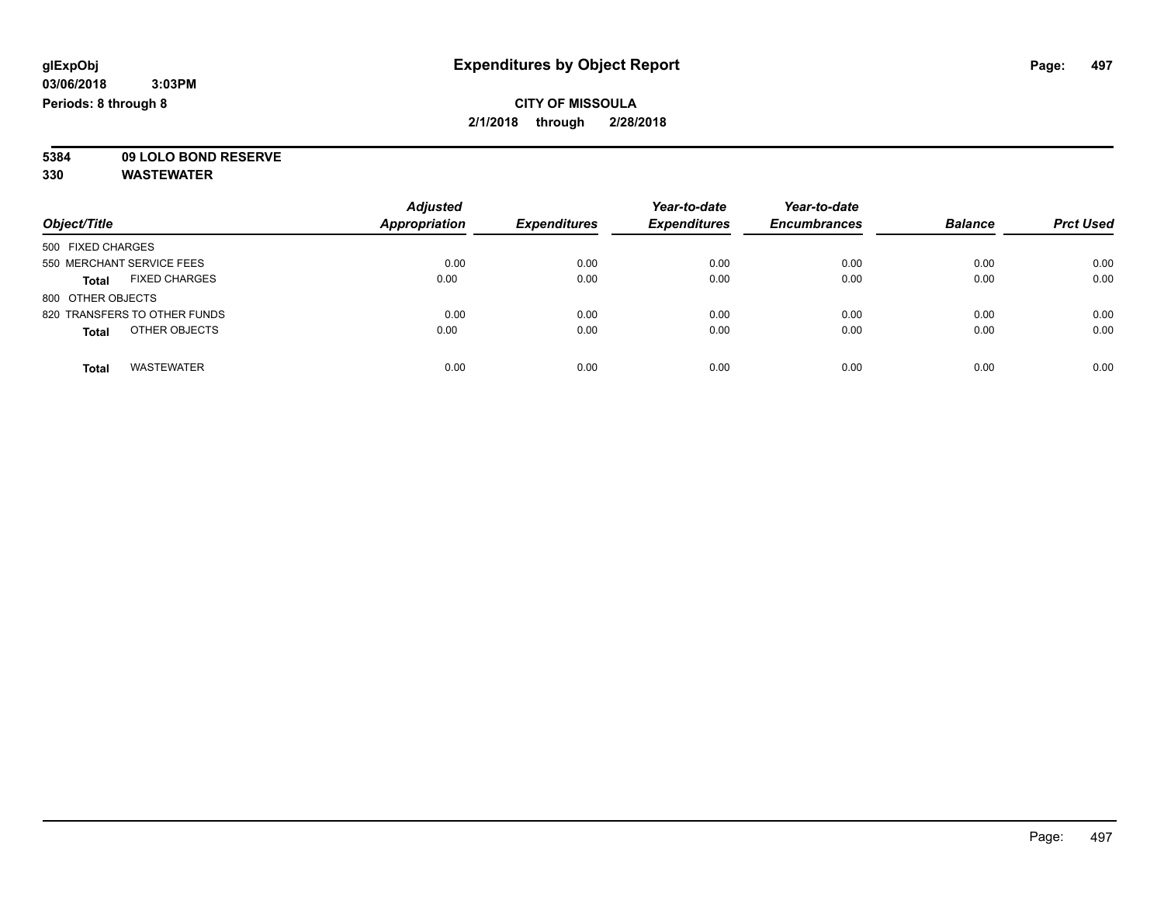**5384 09 LOLO BOND RESERVE**

|                                      | <b>Adjusted</b>      |                     | Year-to-date        | Year-to-date        |                |                  |
|--------------------------------------|----------------------|---------------------|---------------------|---------------------|----------------|------------------|
| Object/Title                         | <b>Appropriation</b> | <b>Expenditures</b> | <b>Expenditures</b> | <b>Encumbrances</b> | <b>Balance</b> | <b>Prct Used</b> |
| 500 FIXED CHARGES                    |                      |                     |                     |                     |                |                  |
| 550 MERCHANT SERVICE FEES            | 0.00                 | 0.00                | 0.00                | 0.00                | 0.00           | 0.00             |
| <b>FIXED CHARGES</b><br><b>Total</b> | 0.00                 | 0.00                | 0.00                | 0.00                | 0.00           | 0.00             |
| 800 OTHER OBJECTS                    |                      |                     |                     |                     |                |                  |
| 820 TRANSFERS TO OTHER FUNDS         | 0.00                 | 0.00                | 0.00                | 0.00                | 0.00           | 0.00             |
| OTHER OBJECTS<br><b>Total</b>        | 0.00                 | 0.00                | 0.00                | 0.00                | 0.00           | 0.00             |
| <b>WASTEWATER</b><br><b>Total</b>    | 0.00                 | 0.00                | 0.00                | 0.00                | 0.00           | 0.00             |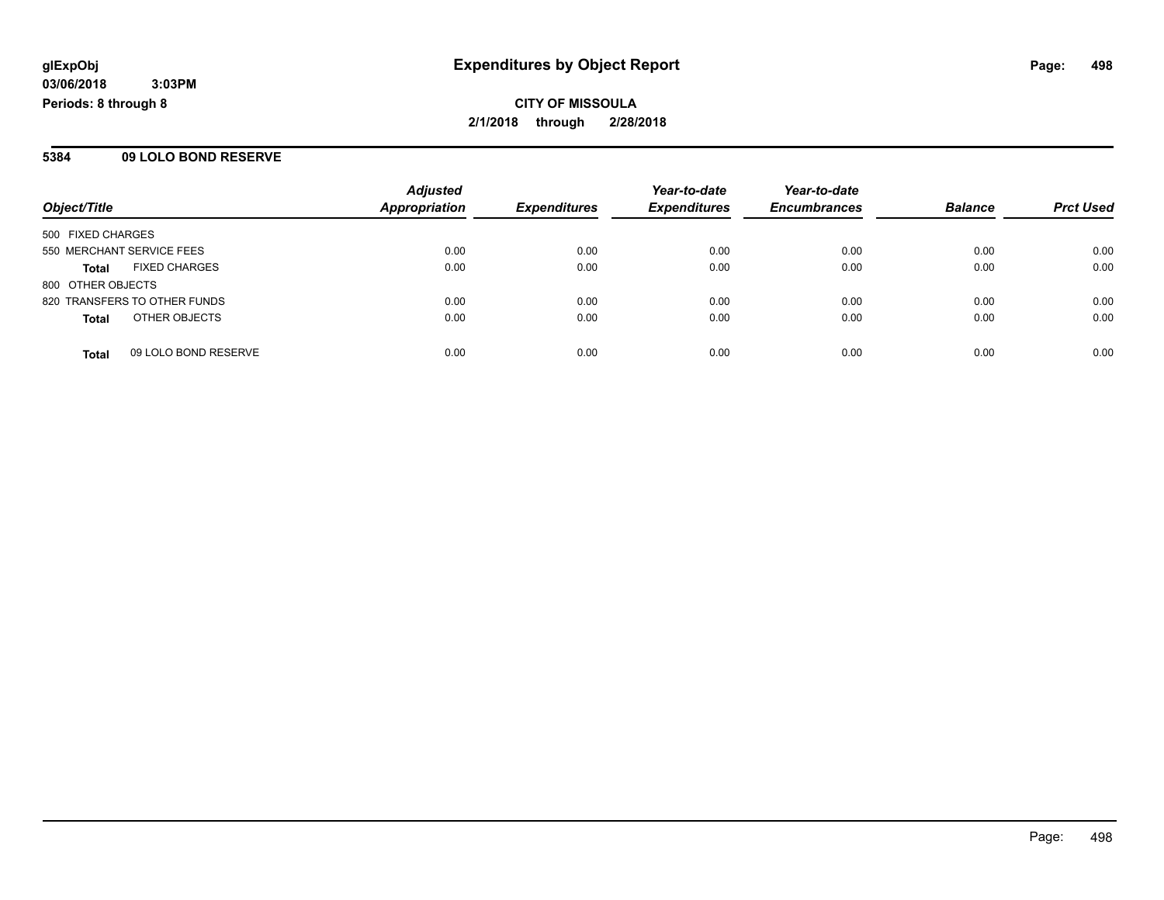#### **5384 09 LOLO BOND RESERVE**

|                                      | <b>Adjusted</b>      |                     | Year-to-date        | Year-to-date        |                |                  |
|--------------------------------------|----------------------|---------------------|---------------------|---------------------|----------------|------------------|
| Object/Title                         | <b>Appropriation</b> | <b>Expenditures</b> | <b>Expenditures</b> | <b>Encumbrances</b> | <b>Balance</b> | <b>Prct Used</b> |
| 500 FIXED CHARGES                    |                      |                     |                     |                     |                |                  |
| 550 MERCHANT SERVICE FEES            | 0.00                 | 0.00                | 0.00                | 0.00                | 0.00           | 0.00             |
| <b>FIXED CHARGES</b><br><b>Total</b> | 0.00                 | 0.00                | 0.00                | 0.00                | 0.00           | 0.00             |
| 800 OTHER OBJECTS                    |                      |                     |                     |                     |                |                  |
| 820 TRANSFERS TO OTHER FUNDS         | 0.00                 | 0.00                | 0.00                | 0.00                | 0.00           | 0.00             |
| OTHER OBJECTS<br><b>Total</b>        | 0.00                 | 0.00                | 0.00                | 0.00                | 0.00           | 0.00             |
| 09 LOLO BOND RESERVE<br><b>Total</b> | 0.00                 | 0.00                | 0.00                | 0.00                | 0.00           | 0.00             |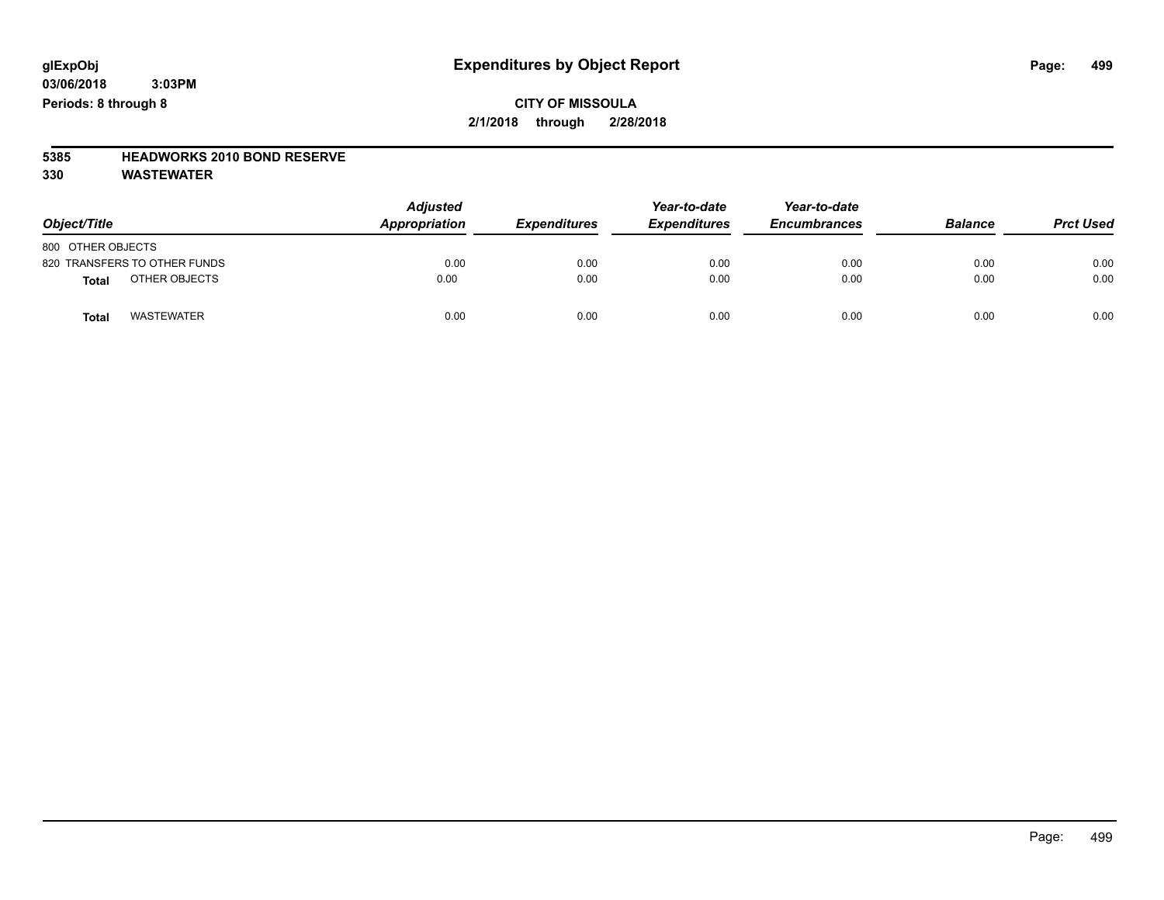### **CITY OF MISSOULA 2/1/2018 through 2/28/2018**

# **5385 HEADWORKS 2010 BOND RESERVE**

| Object/Title                      | <b>Adjusted</b><br><b>Appropriation</b> | <b>Expenditures</b> | Year-to-date<br><b>Expenditures</b> | Year-to-date<br><b>Encumbrances</b> | <b>Balance</b> | <b>Prct Used</b> |
|-----------------------------------|-----------------------------------------|---------------------|-------------------------------------|-------------------------------------|----------------|------------------|
| 800 OTHER OBJECTS                 |                                         |                     |                                     |                                     |                |                  |
| 820 TRANSFERS TO OTHER FUNDS      | 0.00                                    | 0.00                | 0.00                                | 0.00                                | 0.00           | 0.00             |
| OTHER OBJECTS<br><b>Total</b>     | 0.00                                    | 0.00                | 0.00                                | 0.00                                | 0.00           | 0.00             |
| <b>WASTEWATER</b><br><b>Total</b> | 0.00                                    | 0.00                | 0.00                                | 0.00                                | 0.00           | 0.00             |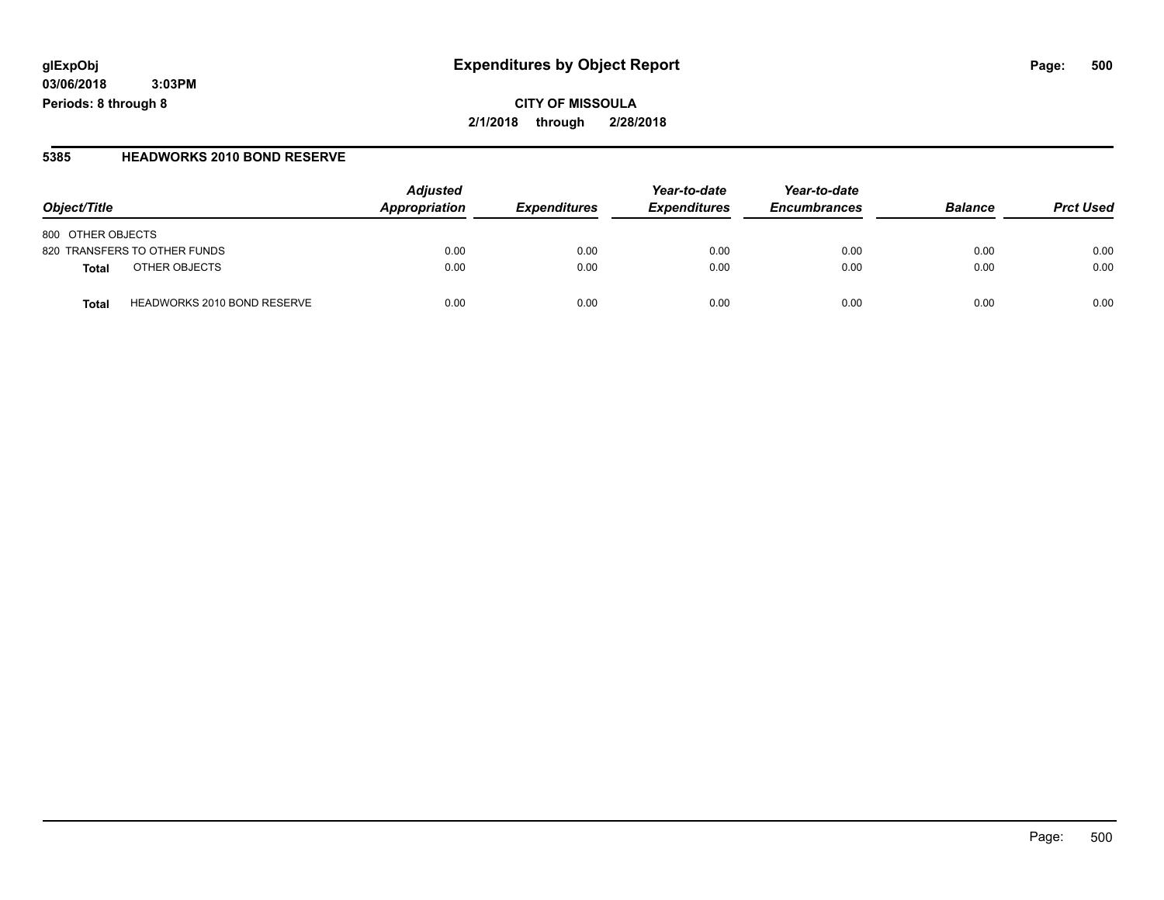### **glExpObj Expenditures by Object Report Page: 500**

**03/06/2018 3:03PM Periods: 8 through 8**

#### **5385 HEADWORKS 2010 BOND RESERVE**

| Object/Title                                | <b>Adjusted</b><br>Appropriation | <b>Expenditures</b> | Year-to-date<br><b>Expenditures</b> | Year-to-date<br><b>Encumbrances</b> | <b>Balance</b> | <b>Prct Used</b> |
|---------------------------------------------|----------------------------------|---------------------|-------------------------------------|-------------------------------------|----------------|------------------|
| 800 OTHER OBJECTS                           |                                  |                     |                                     |                                     |                |                  |
| 820 TRANSFERS TO OTHER FUNDS                | 0.00                             | 0.00                | 0.00                                | 0.00                                | 0.00           | 0.00             |
| OTHER OBJECTS<br><b>Total</b>               | 0.00                             | 0.00                | 0.00                                | 0.00                                | 0.00           | 0.00             |
| <b>HEADWORKS 2010 BOND RESERVE</b><br>Total | 0.00                             | 0.00                | 0.00                                | 0.00                                | 0.00           | 0.00             |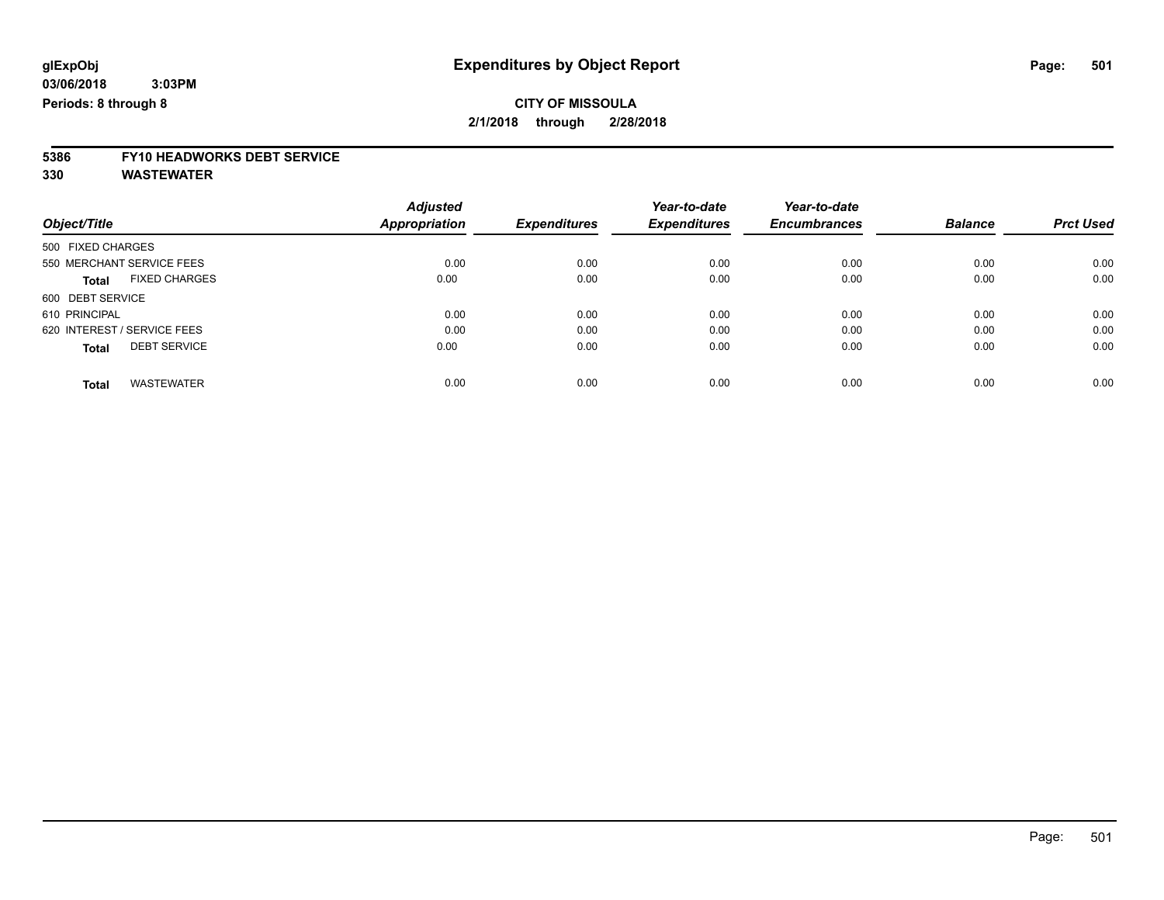# **5386 FY10 HEADWORKS DEBT SERVICE**

|                                      | <b>Adjusted</b><br>Appropriation | <b>Expenditures</b> | Year-to-date<br><b>Expenditures</b> | Year-to-date        | <b>Balance</b> | <b>Prct Used</b> |
|--------------------------------------|----------------------------------|---------------------|-------------------------------------|---------------------|----------------|------------------|
| Object/Title                         |                                  |                     |                                     | <b>Encumbrances</b> |                |                  |
| 500 FIXED CHARGES                    |                                  |                     |                                     |                     |                |                  |
| 550 MERCHANT SERVICE FEES            | 0.00                             | 0.00                | 0.00                                | 0.00                | 0.00           | 0.00             |
| <b>FIXED CHARGES</b><br><b>Total</b> | 0.00                             | 0.00                | 0.00                                | 0.00                | 0.00           | 0.00             |
| 600 DEBT SERVICE                     |                                  |                     |                                     |                     |                |                  |
| 610 PRINCIPAL                        | 0.00                             | 0.00                | 0.00                                | 0.00                | 0.00           | 0.00             |
| 620 INTEREST / SERVICE FEES          | 0.00                             | 0.00                | 0.00                                | 0.00                | 0.00           | 0.00             |
| <b>DEBT SERVICE</b><br><b>Total</b>  | 0.00                             | 0.00                | 0.00                                | 0.00                | 0.00           | 0.00             |
| <b>WASTEWATER</b><br><b>Total</b>    | 0.00                             | 0.00                | 0.00                                | 0.00                | 0.00           | 0.00             |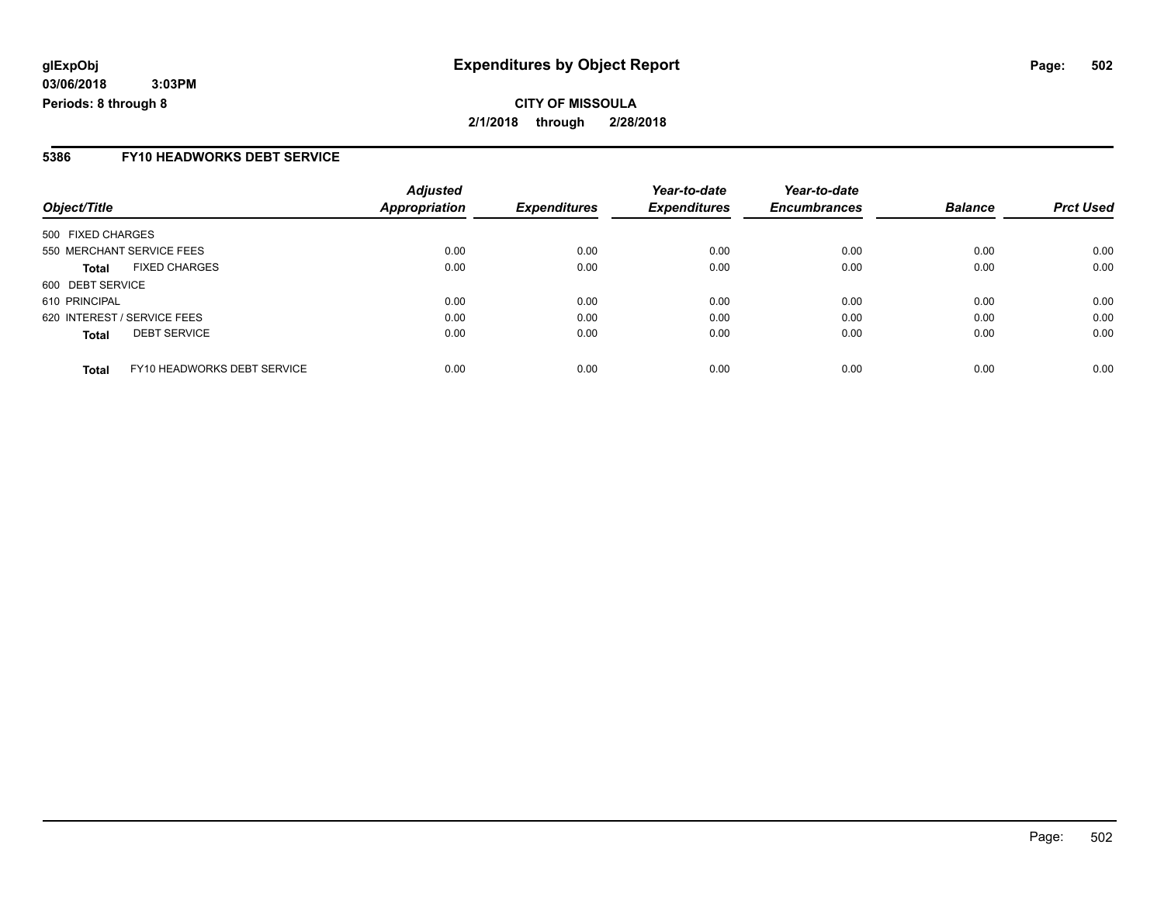**CITY OF MISSOULA 2/1/2018 through 2/28/2018**

#### **5386 FY10 HEADWORKS DEBT SERVICE**

|                                             | <b>Adjusted</b> |                     | Year-to-date        | Year-to-date        |                |                  |
|---------------------------------------------|-----------------|---------------------|---------------------|---------------------|----------------|------------------|
| Object/Title                                | Appropriation   | <b>Expenditures</b> | <b>Expenditures</b> | <b>Encumbrances</b> | <b>Balance</b> | <b>Prct Used</b> |
| 500 FIXED CHARGES                           |                 |                     |                     |                     |                |                  |
| 550 MERCHANT SERVICE FEES                   | 0.00            | 0.00                | 0.00                | 0.00                | 0.00           | 0.00             |
| <b>FIXED CHARGES</b><br><b>Total</b>        | 0.00            | 0.00                | 0.00                | 0.00                | 0.00           | 0.00             |
| 600 DEBT SERVICE                            |                 |                     |                     |                     |                |                  |
| 610 PRINCIPAL                               | 0.00            | 0.00                | 0.00                | 0.00                | 0.00           | 0.00             |
| 620 INTEREST / SERVICE FEES                 | 0.00            | 0.00                | 0.00                | 0.00                | 0.00           | 0.00             |
| <b>DEBT SERVICE</b><br><b>Total</b>         | 0.00            | 0.00                | 0.00                | 0.00                | 0.00           | 0.00             |
| FY10 HEADWORKS DEBT SERVICE<br><b>Total</b> | 0.00            | 0.00                | 0.00                | 0.00                | 0.00           | 0.00             |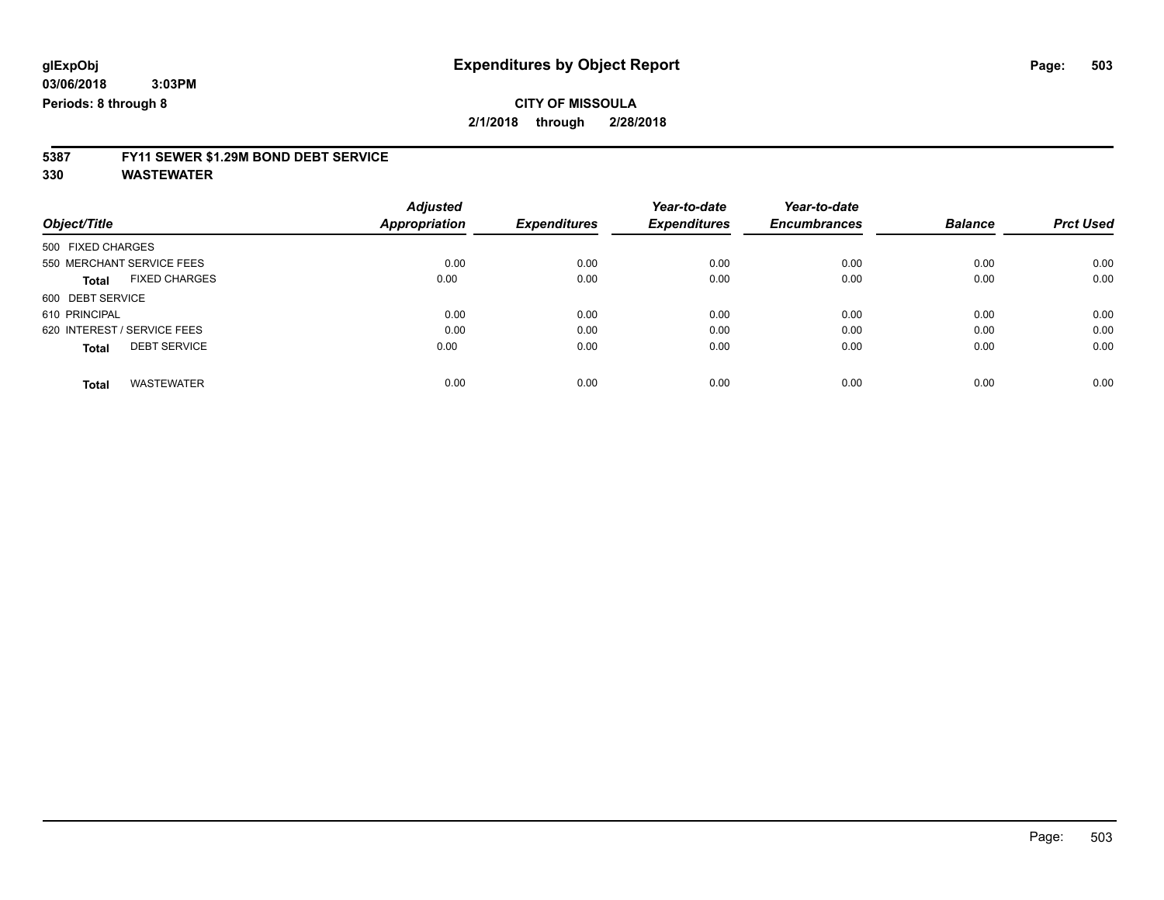# **5387 FY11 SEWER \$1.29M BOND DEBT SERVICE**

|                                      | <b>Adjusted</b>      |                     | Year-to-date        | Year-to-date        |                |                  |
|--------------------------------------|----------------------|---------------------|---------------------|---------------------|----------------|------------------|
| Object/Title                         | <b>Appropriation</b> | <b>Expenditures</b> | <b>Expenditures</b> | <b>Encumbrances</b> | <b>Balance</b> | <b>Prct Used</b> |
| 500 FIXED CHARGES                    |                      |                     |                     |                     |                |                  |
| 550 MERCHANT SERVICE FEES            | 0.00                 | 0.00                | 0.00                | 0.00                | 0.00           | 0.00             |
| <b>FIXED CHARGES</b><br><b>Total</b> | 0.00                 | 0.00                | 0.00                | 0.00                | 0.00           | 0.00             |
| 600 DEBT SERVICE                     |                      |                     |                     |                     |                |                  |
| 610 PRINCIPAL                        | 0.00                 | 0.00                | 0.00                | 0.00                | 0.00           | 0.00             |
| 620 INTEREST / SERVICE FEES          | 0.00                 | 0.00                | 0.00                | 0.00                | 0.00           | 0.00             |
| <b>DEBT SERVICE</b><br><b>Total</b>  | 0.00                 | 0.00                | 0.00                | 0.00                | 0.00           | 0.00             |
| <b>WASTEWATER</b><br>Total           | 0.00                 | 0.00                | 0.00                | 0.00                | 0.00           | 0.00             |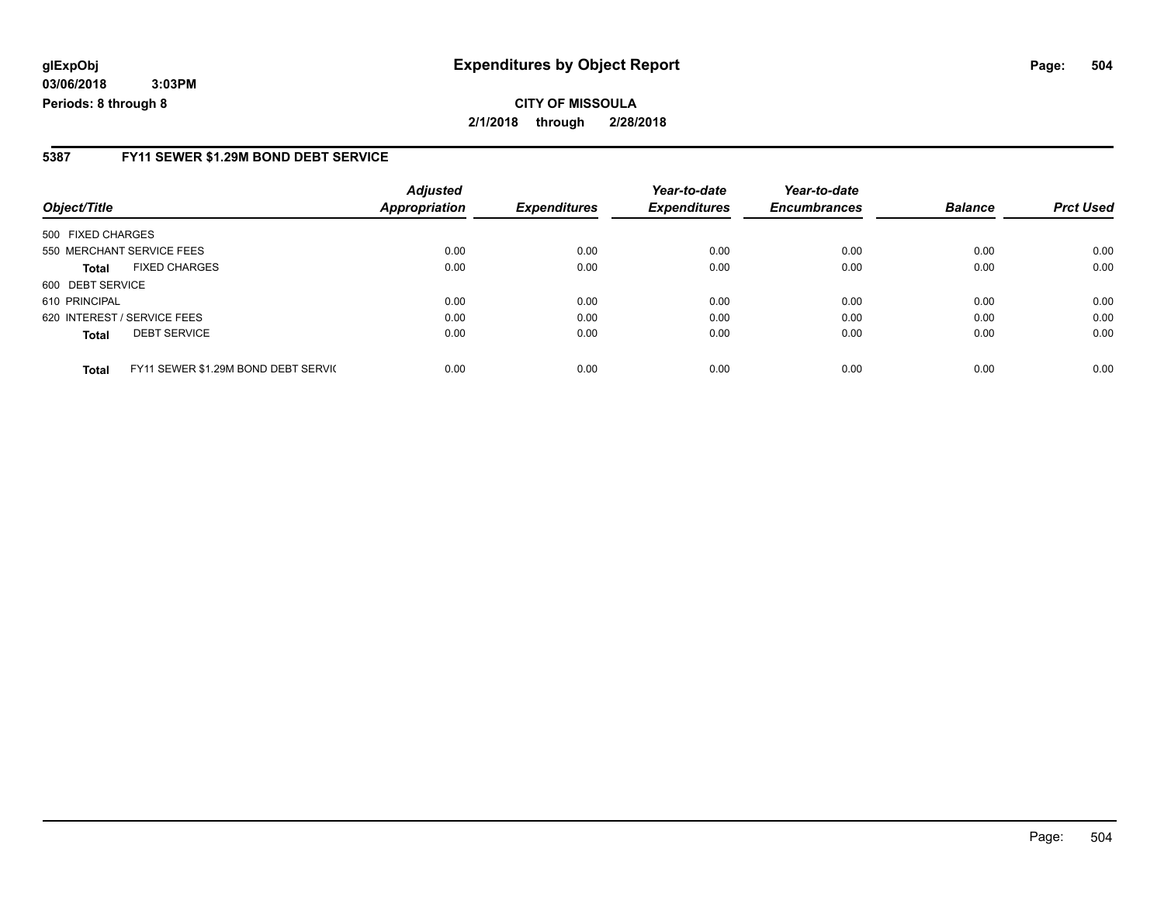## **glExpObj Expenditures by Object Report Page: 504**

**03/06/2018 3:03PM Periods: 8 through 8**

#### **5387 FY11 SEWER \$1.29M BOND DEBT SERVICE**

| Object/Title      |                                     | <b>Adjusted</b><br><b>Appropriation</b> | <b>Expenditures</b> | Year-to-date<br><b>Expenditures</b> | Year-to-date<br><b>Encumbrances</b> | <b>Balance</b> | <b>Prct Used</b> |
|-------------------|-------------------------------------|-----------------------------------------|---------------------|-------------------------------------|-------------------------------------|----------------|------------------|
|                   |                                     |                                         |                     |                                     |                                     |                |                  |
| 500 FIXED CHARGES |                                     |                                         |                     |                                     |                                     |                |                  |
|                   | 550 MERCHANT SERVICE FEES           | 0.00                                    | 0.00                | 0.00                                | 0.00                                | 0.00           | 0.00             |
| Total             | <b>FIXED CHARGES</b>                | 0.00                                    | 0.00                | 0.00                                | 0.00                                | 0.00           | 0.00             |
| 600 DEBT SERVICE  |                                     |                                         |                     |                                     |                                     |                |                  |
| 610 PRINCIPAL     |                                     | 0.00                                    | 0.00                | 0.00                                | 0.00                                | 0.00           | 0.00             |
|                   | 620 INTEREST / SERVICE FEES         | 0.00                                    | 0.00                | 0.00                                | 0.00                                | 0.00           | 0.00             |
| <b>Total</b>      | <b>DEBT SERVICE</b>                 | 0.00                                    | 0.00                | 0.00                                | 0.00                                | 0.00           | 0.00             |
| <b>Total</b>      | FY11 SEWER \$1.29M BOND DEBT SERVIC | 0.00                                    | 0.00                | 0.00                                | 0.00                                | 0.00           | 0.00             |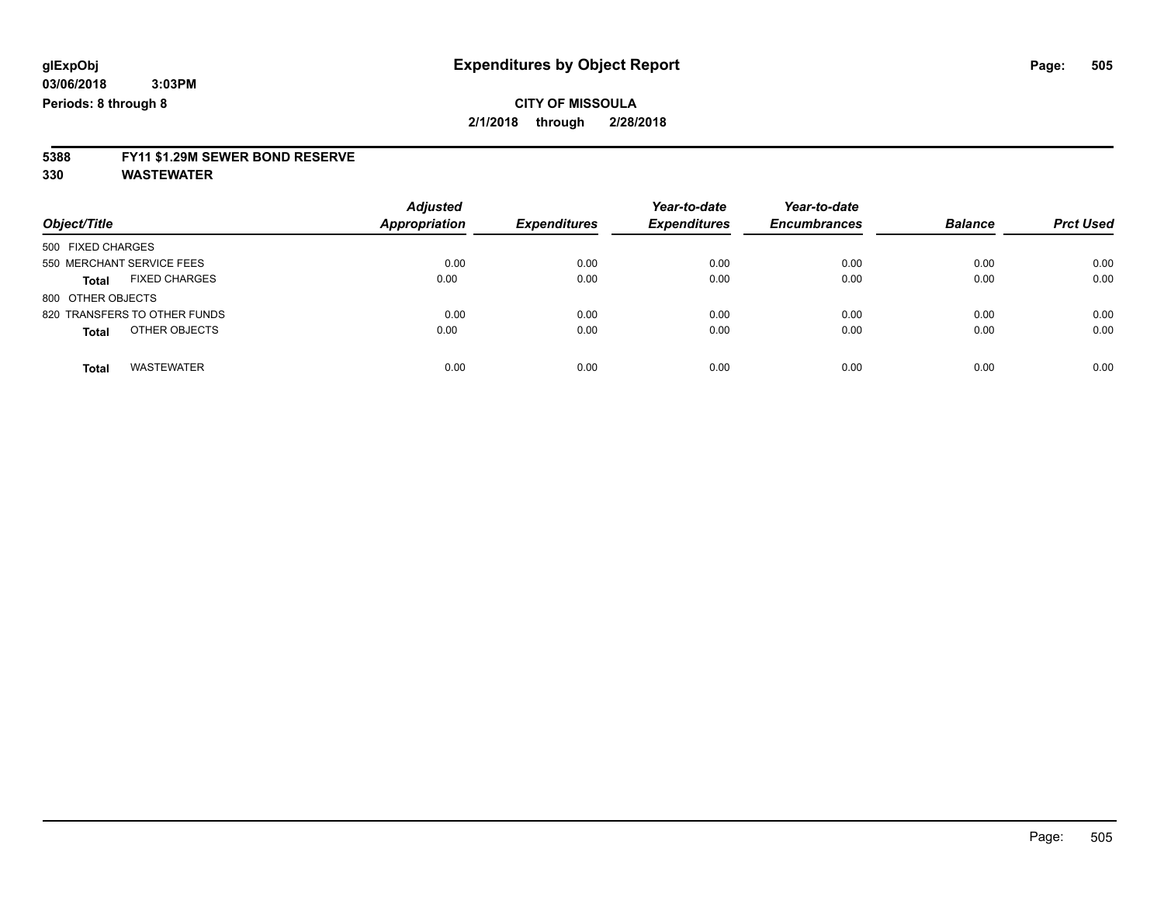# **5388 FY11 \$1.29M SEWER BOND RESERVE**

**330 WASTEWATER**

| Object/Title                         | <b>Adjusted</b><br><b>Appropriation</b> | <b>Expenditures</b> | Year-to-date<br><b>Expenditures</b> | Year-to-date<br><b>Encumbrances</b> | <b>Balance</b> | <b>Prct Used</b> |
|--------------------------------------|-----------------------------------------|---------------------|-------------------------------------|-------------------------------------|----------------|------------------|
| 500 FIXED CHARGES                    |                                         |                     |                                     |                                     |                |                  |
| 550 MERCHANT SERVICE FEES            | 0.00                                    | 0.00                | 0.00                                | 0.00                                | 0.00           | 0.00             |
| <b>FIXED CHARGES</b><br><b>Total</b> | 0.00                                    | 0.00                | 0.00                                | 0.00                                | 0.00           | 0.00             |
| 800 OTHER OBJECTS                    |                                         |                     |                                     |                                     |                |                  |
| 820 TRANSFERS TO OTHER FUNDS         | 0.00                                    | 0.00                | 0.00                                | 0.00                                | 0.00           | 0.00             |
| OTHER OBJECTS<br><b>Total</b>        | 0.00                                    | 0.00                | 0.00                                | 0.00                                | 0.00           | 0.00             |
|                                      |                                         |                     |                                     |                                     |                |                  |
| <b>WASTEWATER</b><br>Total           | 0.00                                    | 0.00                | 0.00                                | 0.00                                | 0.00           | 0.00             |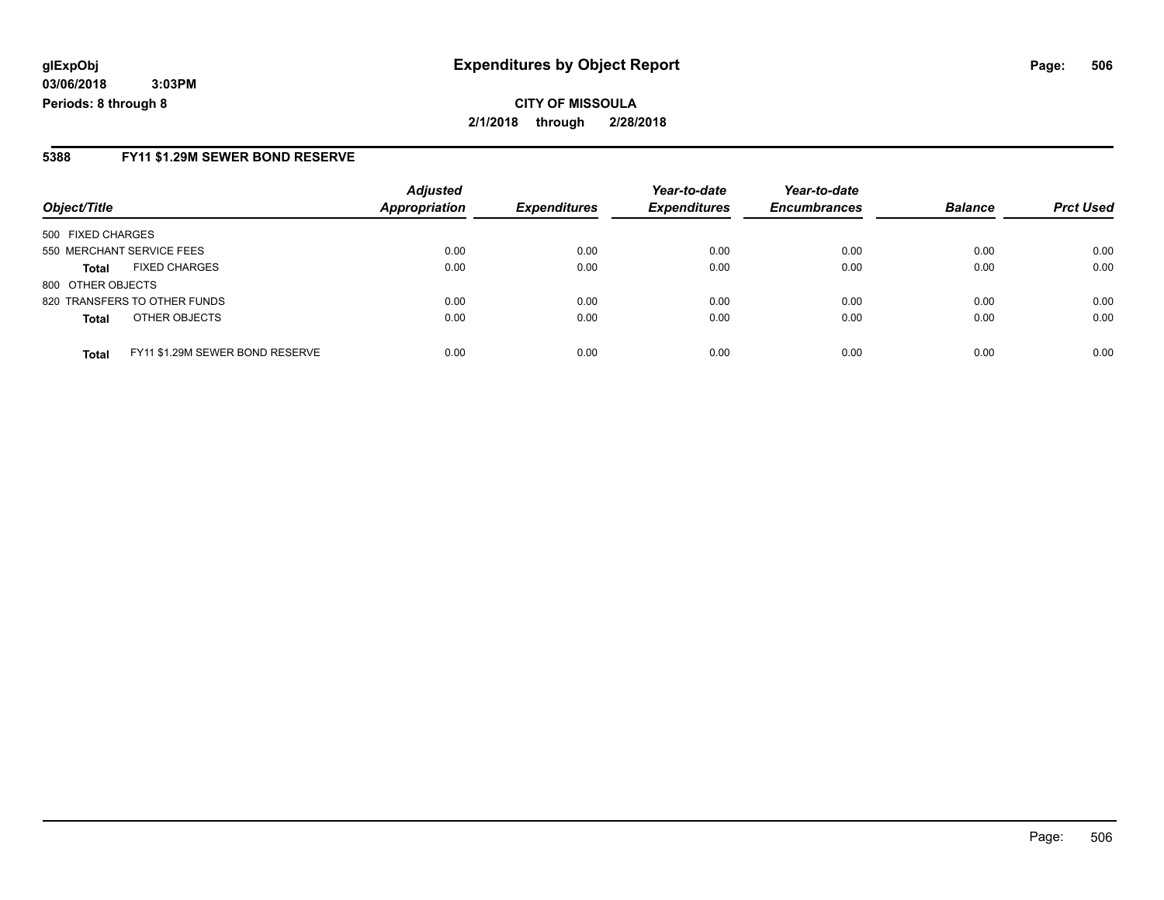#### **5388 FY11 \$1.29M SEWER BOND RESERVE**

| Object/Title              |                                 | <b>Adjusted</b><br><b>Appropriation</b> | <b>Expenditures</b> | Year-to-date<br><b>Expenditures</b> | Year-to-date        | <b>Balance</b> | <b>Prct Used</b> |
|---------------------------|---------------------------------|-----------------------------------------|---------------------|-------------------------------------|---------------------|----------------|------------------|
|                           |                                 |                                         |                     |                                     | <b>Encumbrances</b> |                |                  |
| 500 FIXED CHARGES         |                                 |                                         |                     |                                     |                     |                |                  |
| 550 MERCHANT SERVICE FEES |                                 | 0.00                                    | 0.00                | 0.00                                | 0.00                | 0.00           | 0.00             |
| <b>Total</b>              | <b>FIXED CHARGES</b>            | 0.00                                    | 0.00                | 0.00                                | 0.00                | 0.00           | 0.00             |
| 800 OTHER OBJECTS         |                                 |                                         |                     |                                     |                     |                |                  |
|                           | 820 TRANSFERS TO OTHER FUNDS    | 0.00                                    | 0.00                | 0.00                                | 0.00                | 0.00           | 0.00             |
| <b>Total</b>              | OTHER OBJECTS                   | 0.00                                    | 0.00                | 0.00                                | 0.00                | 0.00           | 0.00             |
| <b>Total</b>              | FY11 \$1.29M SEWER BOND RESERVE | 0.00                                    | 0.00                | 0.00                                | 0.00                | 0.00           | 0.00             |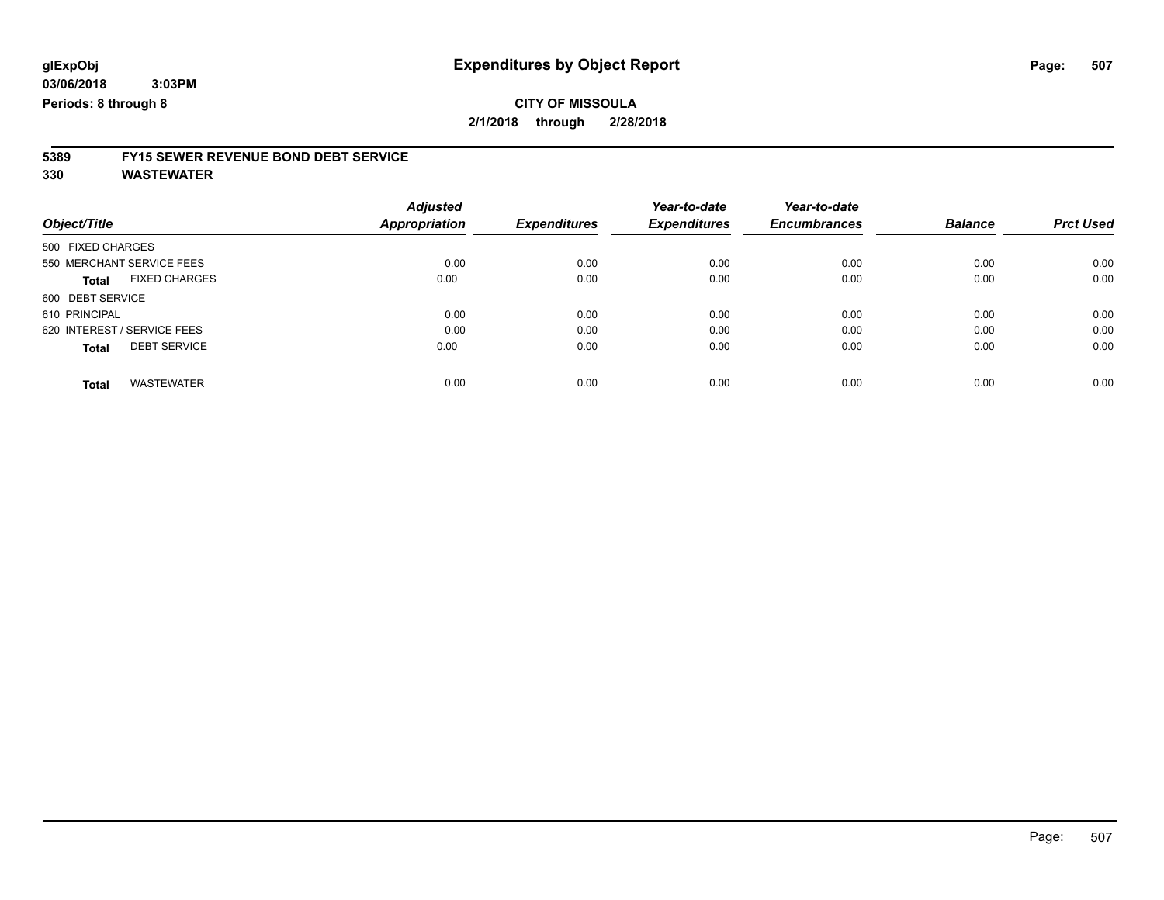#### **CITY OF MISSOULA 2/1/2018 through 2/28/2018**

# **5389 FY15 SEWER REVENUE BOND DEBT SERVICE**

**330 WASTEWATER**

|                                      | <b>Adjusted</b> |                     | Year-to-date        | Year-to-date        |                |                  |
|--------------------------------------|-----------------|---------------------|---------------------|---------------------|----------------|------------------|
| Object/Title                         | Appropriation   | <b>Expenditures</b> | <b>Expenditures</b> | <b>Encumbrances</b> | <b>Balance</b> | <b>Prct Used</b> |
| 500 FIXED CHARGES                    |                 |                     |                     |                     |                |                  |
| 550 MERCHANT SERVICE FEES            | 0.00            | 0.00                | 0.00                | 0.00                | 0.00           | 0.00             |
| <b>FIXED CHARGES</b><br><b>Total</b> | 0.00            | 0.00                | 0.00                | 0.00                | 0.00           | 0.00             |
| 600 DEBT SERVICE                     |                 |                     |                     |                     |                |                  |
| 610 PRINCIPAL                        | 0.00            | 0.00                | 0.00                | 0.00                | 0.00           | 0.00             |
| 620 INTEREST / SERVICE FEES          | 0.00            | 0.00                | 0.00                | 0.00                | 0.00           | 0.00             |
| <b>DEBT SERVICE</b><br><b>Total</b>  | 0.00            | 0.00                | 0.00                | 0.00                | 0.00           | 0.00             |
|                                      |                 |                     |                     |                     |                |                  |
| <b>WASTEWATER</b><br>Total           | 0.00            | 0.00                | 0.00                | 0.00                | 0.00           | 0.00             |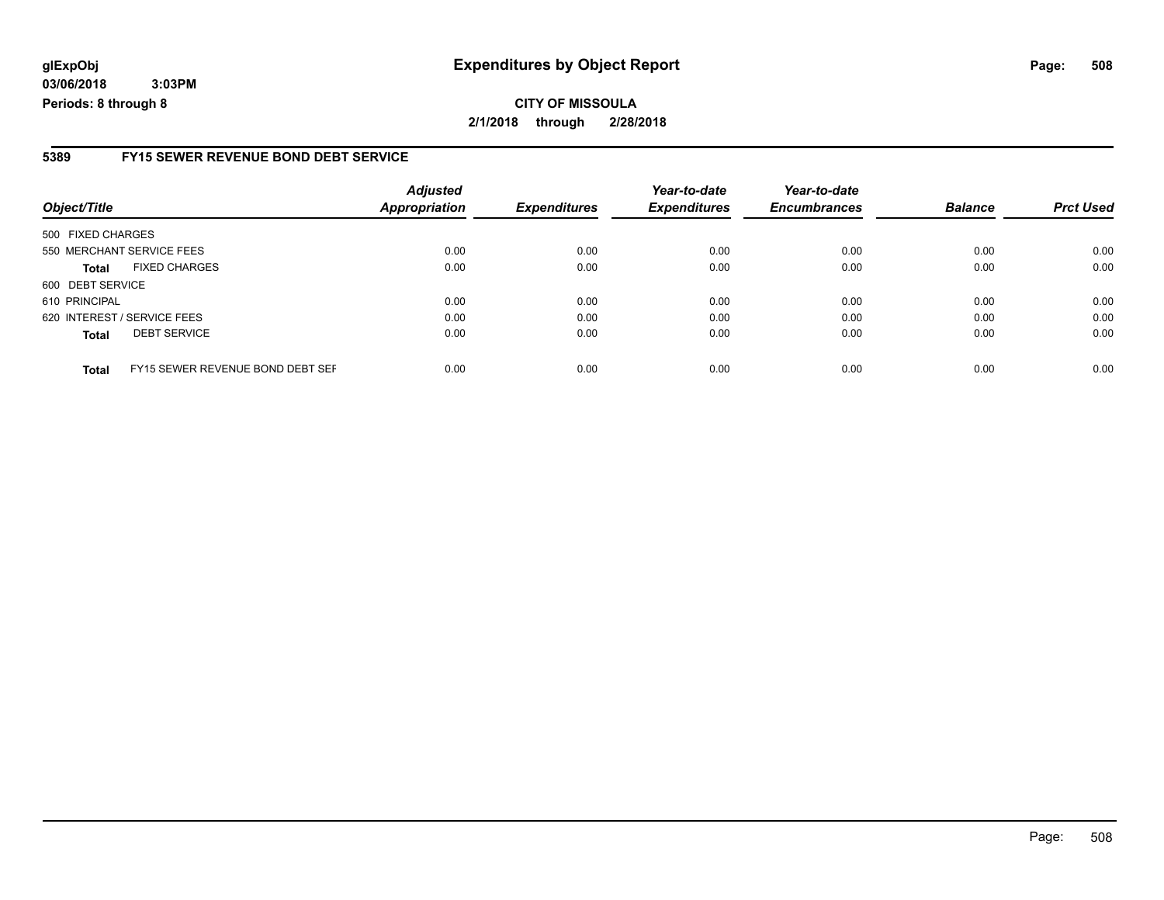### **glExpObj Expenditures by Object Report Page: 508**

**03/06/2018 3:03PM Periods: 8 through 8**

#### **5389 FY15 SEWER REVENUE BOND DEBT SERVICE**

| Object/Title                |                                  | <b>Adjusted</b><br><b>Appropriation</b> | <b>Expenditures</b> | Year-to-date<br><b>Expenditures</b> | Year-to-date<br><b>Encumbrances</b> | <b>Balance</b> | <b>Prct Used</b> |
|-----------------------------|----------------------------------|-----------------------------------------|---------------------|-------------------------------------|-------------------------------------|----------------|------------------|
| 500 FIXED CHARGES           |                                  |                                         |                     |                                     |                                     |                |                  |
| 550 MERCHANT SERVICE FEES   |                                  | 0.00                                    | 0.00                | 0.00                                | 0.00                                | 0.00           | 0.00             |
| <b>Total</b>                | <b>FIXED CHARGES</b>             | 0.00                                    | 0.00                | 0.00                                | 0.00                                | 0.00           | 0.00             |
| 600 DEBT SERVICE            |                                  |                                         |                     |                                     |                                     |                |                  |
| 610 PRINCIPAL               |                                  | 0.00                                    | 0.00                | 0.00                                | 0.00                                | 0.00           | 0.00             |
| 620 INTEREST / SERVICE FEES |                                  | 0.00                                    | 0.00                | 0.00                                | 0.00                                | 0.00           | 0.00             |
| <b>Total</b>                | <b>DEBT SERVICE</b>              | 0.00                                    | 0.00                | 0.00                                | 0.00                                | 0.00           | 0.00             |
| <b>Total</b>                | FY15 SEWER REVENUE BOND DEBT SEF | 0.00                                    | 0.00                | 0.00                                | 0.00                                | 0.00           | 0.00             |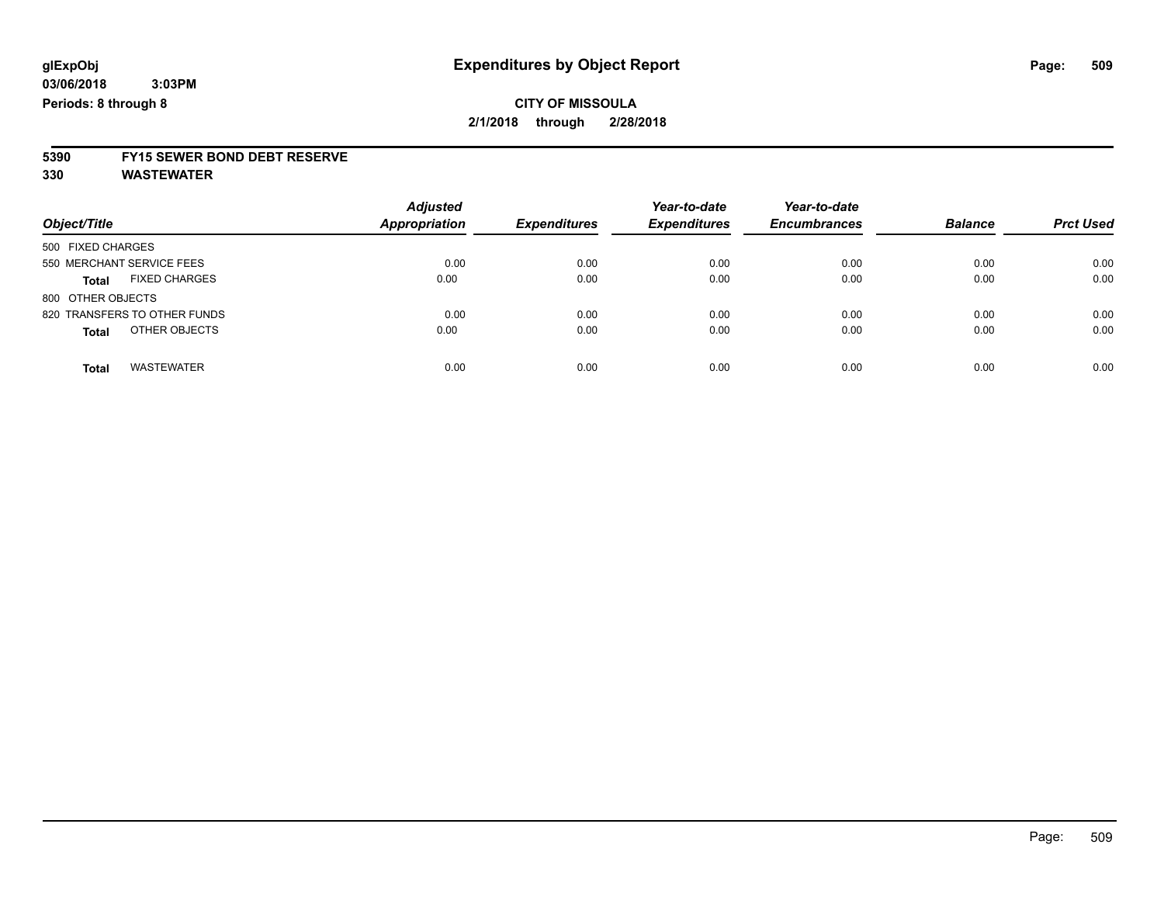# **5390 FY15 SEWER BOND DEBT RESERVE**

**330 WASTEWATER**

| Object/Title                         | <b>Adjusted</b><br><b>Appropriation</b> | <b>Expenditures</b> | Year-to-date<br><b>Expenditures</b> | Year-to-date<br><b>Encumbrances</b> | <b>Balance</b> | <b>Prct Used</b> |
|--------------------------------------|-----------------------------------------|---------------------|-------------------------------------|-------------------------------------|----------------|------------------|
| 500 FIXED CHARGES                    |                                         |                     |                                     |                                     |                |                  |
| 550 MERCHANT SERVICE FEES            | 0.00                                    | 0.00                | 0.00                                | 0.00                                | 0.00           | 0.00             |
| <b>FIXED CHARGES</b><br><b>Total</b> | 0.00                                    | 0.00                | 0.00                                | 0.00                                | 0.00           | 0.00             |
| 800 OTHER OBJECTS                    |                                         |                     |                                     |                                     |                |                  |
| 820 TRANSFERS TO OTHER FUNDS         | 0.00                                    | 0.00                | 0.00                                | 0.00                                | 0.00           | 0.00             |
| OTHER OBJECTS<br><b>Total</b>        | 0.00                                    | 0.00                | 0.00                                | 0.00                                | 0.00           | 0.00             |
| <b>WASTEWATER</b><br>Total           | 0.00                                    | 0.00                | 0.00                                | 0.00                                | 0.00           | 0.00             |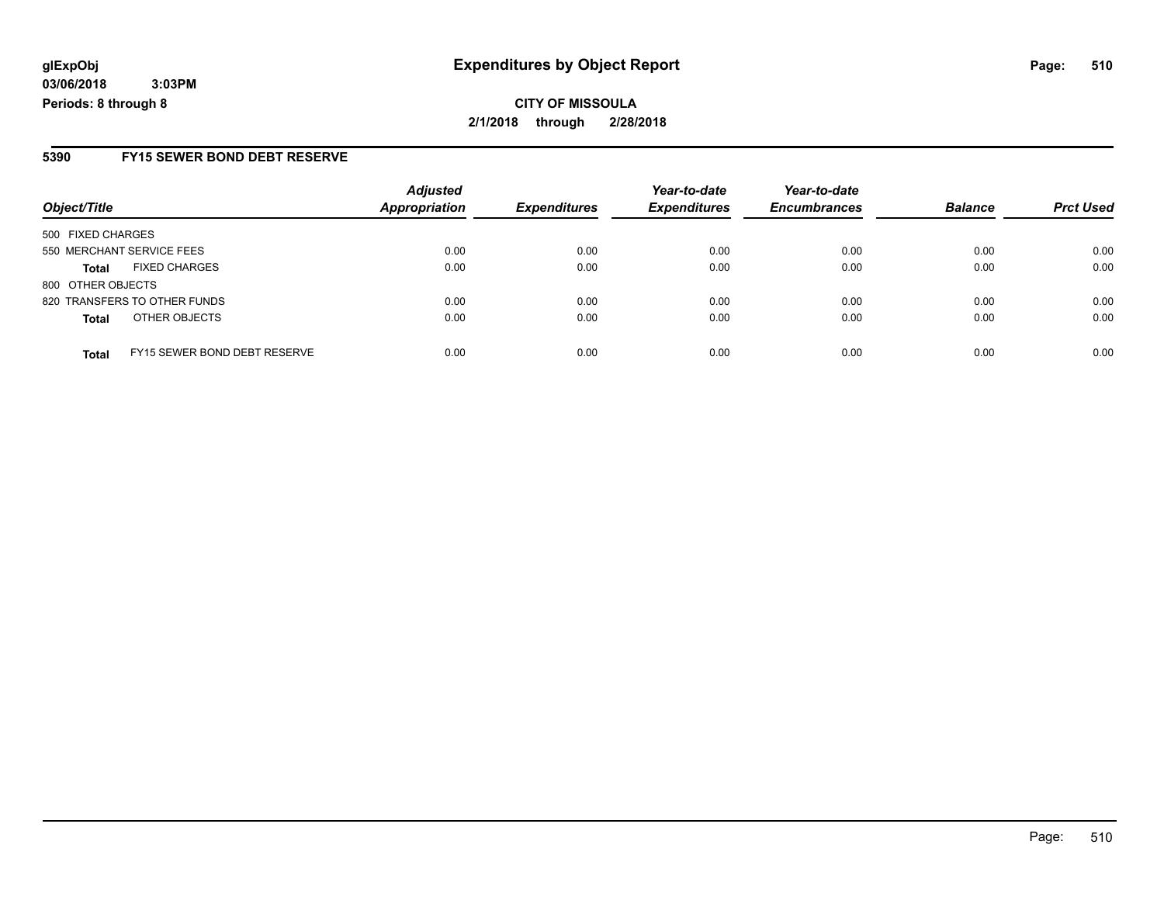**CITY OF MISSOULA 2/1/2018 through 2/28/2018**

#### **5390 FY15 SEWER BOND DEBT RESERVE**

| Object/Title              |                                     | <b>Adjusted</b> | <b>Expenditures</b> | Year-to-date<br><b>Expenditures</b> | Year-to-date        | <b>Balance</b> | <b>Prct Used</b> |
|---------------------------|-------------------------------------|-----------------|---------------------|-------------------------------------|---------------------|----------------|------------------|
|                           |                                     | Appropriation   |                     |                                     | <b>Encumbrances</b> |                |                  |
| 500 FIXED CHARGES         |                                     |                 |                     |                                     |                     |                |                  |
| 550 MERCHANT SERVICE FEES |                                     | 0.00            | 0.00                | 0.00                                | 0.00                | 0.00           | 0.00             |
| <b>Total</b>              | <b>FIXED CHARGES</b>                | 0.00            | 0.00                | 0.00                                | 0.00                | 0.00           | 0.00             |
| 800 OTHER OBJECTS         |                                     |                 |                     |                                     |                     |                |                  |
|                           | 820 TRANSFERS TO OTHER FUNDS        | 0.00            | 0.00                | 0.00                                | 0.00                | 0.00           | 0.00             |
| <b>Total</b>              | OTHER OBJECTS                       | 0.00            | 0.00                | 0.00                                | 0.00                | 0.00           | 0.00             |
| <b>Total</b>              | <b>FY15 SEWER BOND DEBT RESERVE</b> | 0.00            | 0.00                | 0.00                                | 0.00                | 0.00           | 0.00             |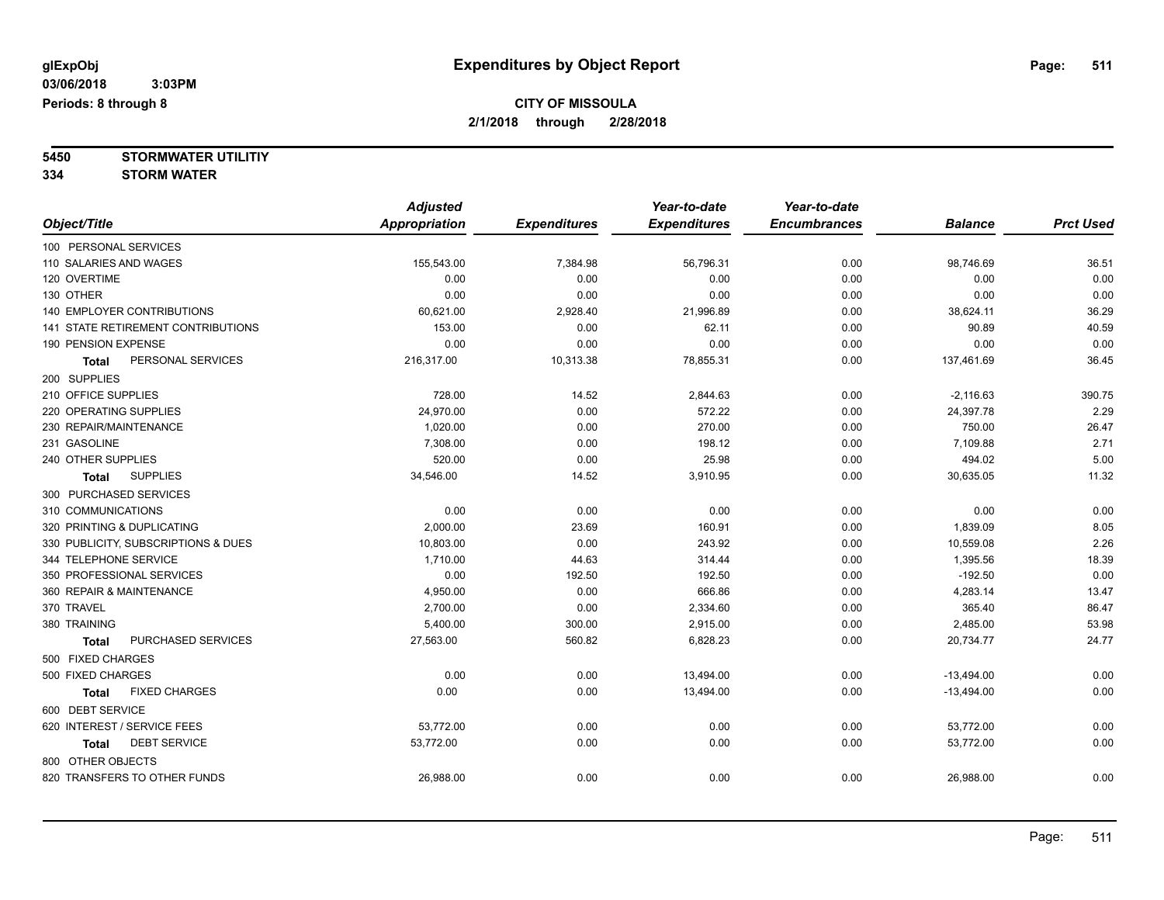**5450 STORMWATER UTILITIY**

**334 STORM WATER**

|                                           | <b>Adjusted</b>      |                     | Year-to-date        | Year-to-date        |                |                  |
|-------------------------------------------|----------------------|---------------------|---------------------|---------------------|----------------|------------------|
| Object/Title                              | <b>Appropriation</b> | <b>Expenditures</b> | <b>Expenditures</b> | <b>Encumbrances</b> | <b>Balance</b> | <b>Prct Used</b> |
| 100 PERSONAL SERVICES                     |                      |                     |                     |                     |                |                  |
| 110 SALARIES AND WAGES                    | 155,543.00           | 7,384.98            | 56,796.31           | 0.00                | 98,746.69      | 36.51            |
| 120 OVERTIME                              | 0.00                 | 0.00                | 0.00                | 0.00                | 0.00           | 0.00             |
| 130 OTHER                                 | 0.00                 | 0.00                | 0.00                | 0.00                | 0.00           | 0.00             |
| <b>140 EMPLOYER CONTRIBUTIONS</b>         | 60,621.00            | 2,928.40            | 21,996.89           | 0.00                | 38,624.11      | 36.29            |
| <b>141 STATE RETIREMENT CONTRIBUTIONS</b> | 153.00               | 0.00                | 62.11               | 0.00                | 90.89          | 40.59            |
| 190 PENSION EXPENSE                       | 0.00                 | 0.00                | 0.00                | 0.00                | 0.00           | 0.00             |
| PERSONAL SERVICES<br><b>Total</b>         | 216,317.00           | 10,313.38           | 78,855.31           | 0.00                | 137,461.69     | 36.45            |
| 200 SUPPLIES                              |                      |                     |                     |                     |                |                  |
| 210 OFFICE SUPPLIES                       | 728.00               | 14.52               | 2,844.63            | 0.00                | $-2,116.63$    | 390.75           |
| 220 OPERATING SUPPLIES                    | 24,970.00            | 0.00                | 572.22              | 0.00                | 24,397.78      | 2.29             |
| 230 REPAIR/MAINTENANCE                    | 1,020.00             | 0.00                | 270.00              | 0.00                | 750.00         | 26.47            |
| 231 GASOLINE                              | 7,308.00             | 0.00                | 198.12              | 0.00                | 7,109.88       | 2.71             |
| 240 OTHER SUPPLIES                        | 520.00               | 0.00                | 25.98               | 0.00                | 494.02         | 5.00             |
| <b>SUPPLIES</b><br><b>Total</b>           | 34,546.00            | 14.52               | 3,910.95            | 0.00                | 30,635.05      | 11.32            |
| 300 PURCHASED SERVICES                    |                      |                     |                     |                     |                |                  |
| 310 COMMUNICATIONS                        | 0.00                 | 0.00                | 0.00                | 0.00                | 0.00           | 0.00             |
| 320 PRINTING & DUPLICATING                | 2,000.00             | 23.69               | 160.91              | 0.00                | 1,839.09       | 8.05             |
| 330 PUBLICITY, SUBSCRIPTIONS & DUES       | 10,803.00            | 0.00                | 243.92              | 0.00                | 10,559.08      | 2.26             |
| 344 TELEPHONE SERVICE                     | 1,710.00             | 44.63               | 314.44              | 0.00                | 1,395.56       | 18.39            |
| 350 PROFESSIONAL SERVICES                 | 0.00                 | 192.50              | 192.50              | 0.00                | $-192.50$      | 0.00             |
| 360 REPAIR & MAINTENANCE                  | 4,950.00             | 0.00                | 666.86              | 0.00                | 4,283.14       | 13.47            |
| 370 TRAVEL                                | 2,700.00             | 0.00                | 2,334.60            | 0.00                | 365.40         | 86.47            |
| 380 TRAINING                              | 5,400.00             | 300.00              | 2,915.00            | 0.00                | 2,485.00       | 53.98            |
| PURCHASED SERVICES<br><b>Total</b>        | 27,563.00            | 560.82              | 6,828.23            | 0.00                | 20,734.77      | 24.77            |
| 500 FIXED CHARGES                         |                      |                     |                     |                     |                |                  |
| 500 FIXED CHARGES                         | 0.00                 | 0.00                | 13,494.00           | 0.00                | $-13,494.00$   | 0.00             |
| <b>FIXED CHARGES</b><br><b>Total</b>      | 0.00                 | 0.00                | 13,494.00           | 0.00                | $-13,494.00$   | 0.00             |
| 600 DEBT SERVICE                          |                      |                     |                     |                     |                |                  |
| 620 INTEREST / SERVICE FEES               | 53,772.00            | 0.00                | 0.00                | 0.00                | 53,772.00      | 0.00             |
| <b>DEBT SERVICE</b><br><b>Total</b>       | 53,772.00            | 0.00                | 0.00                | 0.00                | 53,772.00      | 0.00             |
| 800 OTHER OBJECTS                         |                      |                     |                     |                     |                |                  |
| 820 TRANSFERS TO OTHER FUNDS              | 26,988.00            | 0.00                | 0.00                | 0.00                | 26,988.00      | 0.00             |
|                                           |                      |                     |                     |                     |                |                  |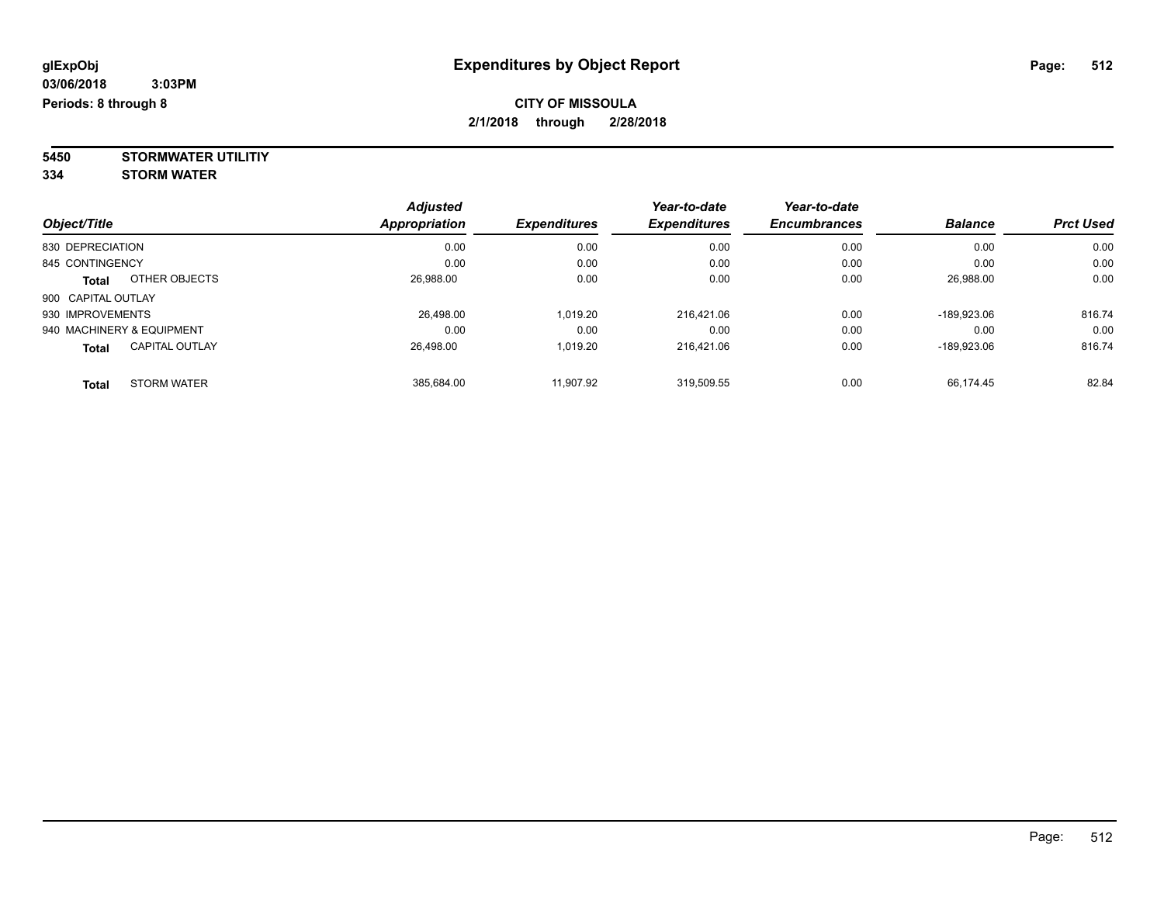**5450 STORMWATER UTILITIY 334 STORM WATER**

| Object/Title                          | <b>Adjusted</b><br>Appropriation | <b>Expenditures</b> | Year-to-date<br><b>Expenditures</b> | Year-to-date<br><b>Encumbrances</b> | <b>Balance</b> | <b>Prct Used</b> |
|---------------------------------------|----------------------------------|---------------------|-------------------------------------|-------------------------------------|----------------|------------------|
| 830 DEPRECIATION                      | 0.00                             | 0.00                | 0.00                                | 0.00                                | 0.00           | 0.00             |
| 845 CONTINGENCY                       | 0.00                             | 0.00                | 0.00                                | 0.00                                | 0.00           | 0.00             |
| OTHER OBJECTS<br><b>Total</b>         | 26.988.00                        | 0.00                | 0.00                                | 0.00                                | 26,988.00      | 0.00             |
| 900 CAPITAL OUTLAY                    |                                  |                     |                                     |                                     |                |                  |
| 930 IMPROVEMENTS                      | 26.498.00                        | 1.019.20            | 216.421.06                          | 0.00                                | -189.923.06    | 816.74           |
| 940 MACHINERY & EQUIPMENT             | 0.00                             | 0.00                | 0.00                                | 0.00                                | 0.00           | 0.00             |
| <b>CAPITAL OUTLAY</b><br><b>Total</b> | 26.498.00                        | 1,019.20            | 216.421.06                          | 0.00                                | -189.923.06    | 816.74           |
| <b>STORM WATER</b><br><b>Total</b>    | 385.684.00                       | 11.907.92           | 319,509.55                          | 0.00                                | 66.174.45      | 82.84            |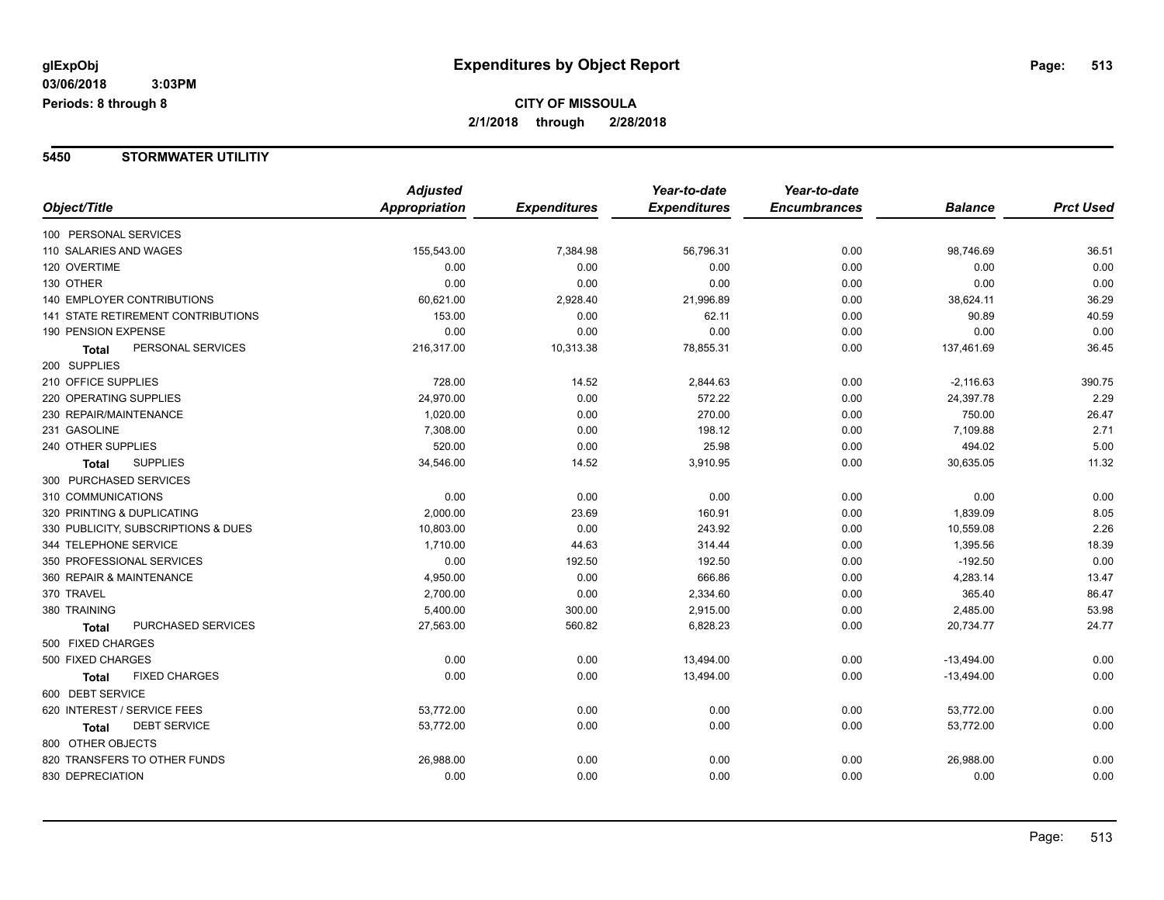#### **5450 STORMWATER UTILITIY**

|                                     | <b>Adjusted</b> |                     | Year-to-date        | Year-to-date        |                |                  |
|-------------------------------------|-----------------|---------------------|---------------------|---------------------|----------------|------------------|
| Object/Title                        | Appropriation   | <b>Expenditures</b> | <b>Expenditures</b> | <b>Encumbrances</b> | <b>Balance</b> | <b>Prct Used</b> |
| 100 PERSONAL SERVICES               |                 |                     |                     |                     |                |                  |
| 110 SALARIES AND WAGES              | 155,543.00      | 7,384.98            | 56,796.31           | 0.00                | 98,746.69      | 36.51            |
| 120 OVERTIME                        | 0.00            | 0.00                | 0.00                | 0.00                | 0.00           | 0.00             |
| 130 OTHER                           | 0.00            | 0.00                | 0.00                | 0.00                | 0.00           | 0.00             |
| 140 EMPLOYER CONTRIBUTIONS          | 60,621.00       | 2,928.40            | 21,996.89           | 0.00                | 38,624.11      | 36.29            |
| 141 STATE RETIREMENT CONTRIBUTIONS  | 153.00          | 0.00                | 62.11               | 0.00                | 90.89          | 40.59            |
| 190 PENSION EXPENSE                 | 0.00            | 0.00                | 0.00                | 0.00                | 0.00           | 0.00             |
| PERSONAL SERVICES<br>Total          | 216,317.00      | 10,313.38           | 78,855.31           | 0.00                | 137,461.69     | 36.45            |
| 200 SUPPLIES                        |                 |                     |                     |                     |                |                  |
| 210 OFFICE SUPPLIES                 | 728.00          | 14.52               | 2,844.63            | 0.00                | $-2,116.63$    | 390.75           |
| <b>220 OPERATING SUPPLIES</b>       | 24,970.00       | 0.00                | 572.22              | 0.00                | 24,397.78      | 2.29             |
| 230 REPAIR/MAINTENANCE              | 1,020.00        | 0.00                | 270.00              | 0.00                | 750.00         | 26.47            |
| 231 GASOLINE                        | 7,308.00        | 0.00                | 198.12              | 0.00                | 7,109.88       | 2.71             |
| 240 OTHER SUPPLIES                  | 520.00          | 0.00                | 25.98               | 0.00                | 494.02         | 5.00             |
| <b>SUPPLIES</b><br><b>Total</b>     | 34,546.00       | 14.52               | 3,910.95            | 0.00                | 30,635.05      | 11.32            |
| 300 PURCHASED SERVICES              |                 |                     |                     |                     |                |                  |
| 310 COMMUNICATIONS                  | 0.00            | 0.00                | 0.00                | 0.00                | 0.00           | 0.00             |
| 320 PRINTING & DUPLICATING          | 2,000.00        | 23.69               | 160.91              | 0.00                | 1,839.09       | 8.05             |
| 330 PUBLICITY, SUBSCRIPTIONS & DUES | 10,803.00       | 0.00                | 243.92              | 0.00                | 10,559.08      | 2.26             |
| 344 TELEPHONE SERVICE               | 1,710.00        | 44.63               | 314.44              | 0.00                | 1,395.56       | 18.39            |
| 350 PROFESSIONAL SERVICES           | 0.00            | 192.50              | 192.50              | 0.00                | $-192.50$      | 0.00             |
| 360 REPAIR & MAINTENANCE            | 4,950.00        | 0.00                | 666.86              | 0.00                | 4,283.14       | 13.47            |
| 370 TRAVEL                          | 2,700.00        | 0.00                | 2,334.60            | 0.00                | 365.40         | 86.47            |
| 380 TRAINING                        | 5,400.00        | 300.00              | 2,915.00            | 0.00                | 2,485.00       | 53.98            |
| PURCHASED SERVICES<br><b>Total</b>  | 27,563.00       | 560.82              | 6,828.23            | 0.00                | 20,734.77      | 24.77            |
| 500 FIXED CHARGES                   |                 |                     |                     |                     |                |                  |
| 500 FIXED CHARGES                   | 0.00            | 0.00                | 13,494.00           | 0.00                | $-13,494.00$   | 0.00             |
| <b>FIXED CHARGES</b><br>Total       | 0.00            | 0.00                | 13,494.00           | 0.00                | $-13,494.00$   | 0.00             |
| 600 DEBT SERVICE                    |                 |                     |                     |                     |                |                  |
| 620 INTEREST / SERVICE FEES         | 53,772.00       | 0.00                | 0.00                | 0.00                | 53,772.00      | 0.00             |
| <b>DEBT SERVICE</b><br><b>Total</b> | 53,772.00       | 0.00                | 0.00                | 0.00                | 53,772.00      | 0.00             |
| 800 OTHER OBJECTS                   |                 |                     |                     |                     |                |                  |
| 820 TRANSFERS TO OTHER FUNDS        | 26,988.00       | 0.00                | 0.00                | 0.00                | 26,988.00      | 0.00             |
| 830 DEPRECIATION                    | 0.00            | 0.00                | 0.00                | 0.00                | 0.00           | 0.00             |
|                                     |                 |                     |                     |                     |                |                  |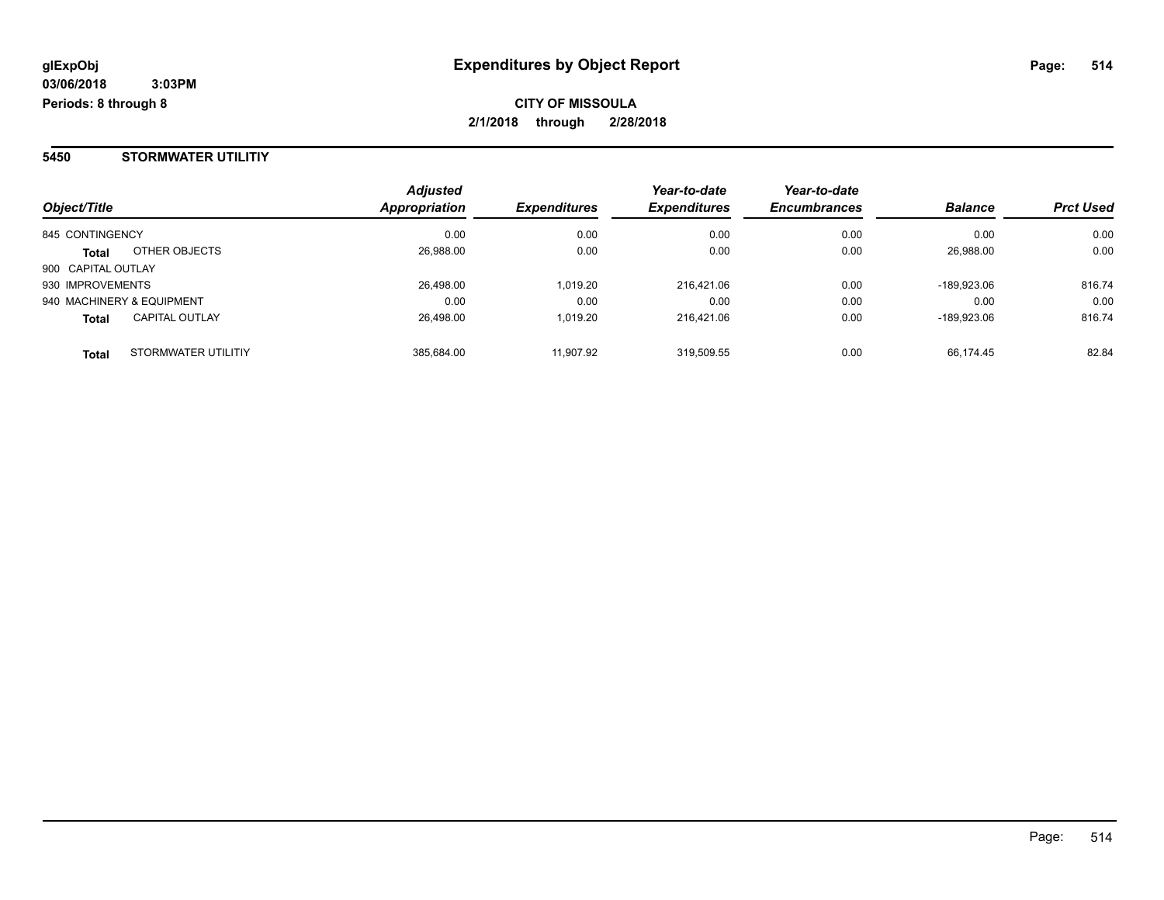#### **5450 STORMWATER UTILITIY**

| Object/Title                          | <b>Adjusted</b><br><b>Appropriation</b> | <b>Expenditures</b> | Year-to-date<br><b>Expenditures</b> | Year-to-date<br><b>Encumbrances</b> | <b>Balance</b> | <b>Prct Used</b> |
|---------------------------------------|-----------------------------------------|---------------------|-------------------------------------|-------------------------------------|----------------|------------------|
| 845 CONTINGENCY                       | 0.00                                    | 0.00                | 0.00                                | 0.00                                | 0.00           | 0.00             |
| OTHER OBJECTS<br><b>Total</b>         | 26,988.00                               | 0.00                | 0.00                                | 0.00                                | 26.988.00      | 0.00             |
| 900 CAPITAL OUTLAY                    |                                         |                     |                                     |                                     |                |                  |
| 930 IMPROVEMENTS                      | 26,498.00                               | 1,019.20            | 216,421.06                          | 0.00                                | -189,923.06    | 816.74           |
| 940 MACHINERY & EQUIPMENT             | 0.00                                    | 0.00                | 0.00                                | 0.00                                | 0.00           | 0.00             |
| <b>CAPITAL OUTLAY</b><br><b>Total</b> | 26.498.00                               | 1.019.20            | 216.421.06                          | 0.00                                | -189.923.06    | 816.74           |
| STORMWATER UTILITIY<br><b>Total</b>   | 385.684.00                              | 11.907.92           | 319,509.55                          | 0.00                                | 66.174.45      | 82.84            |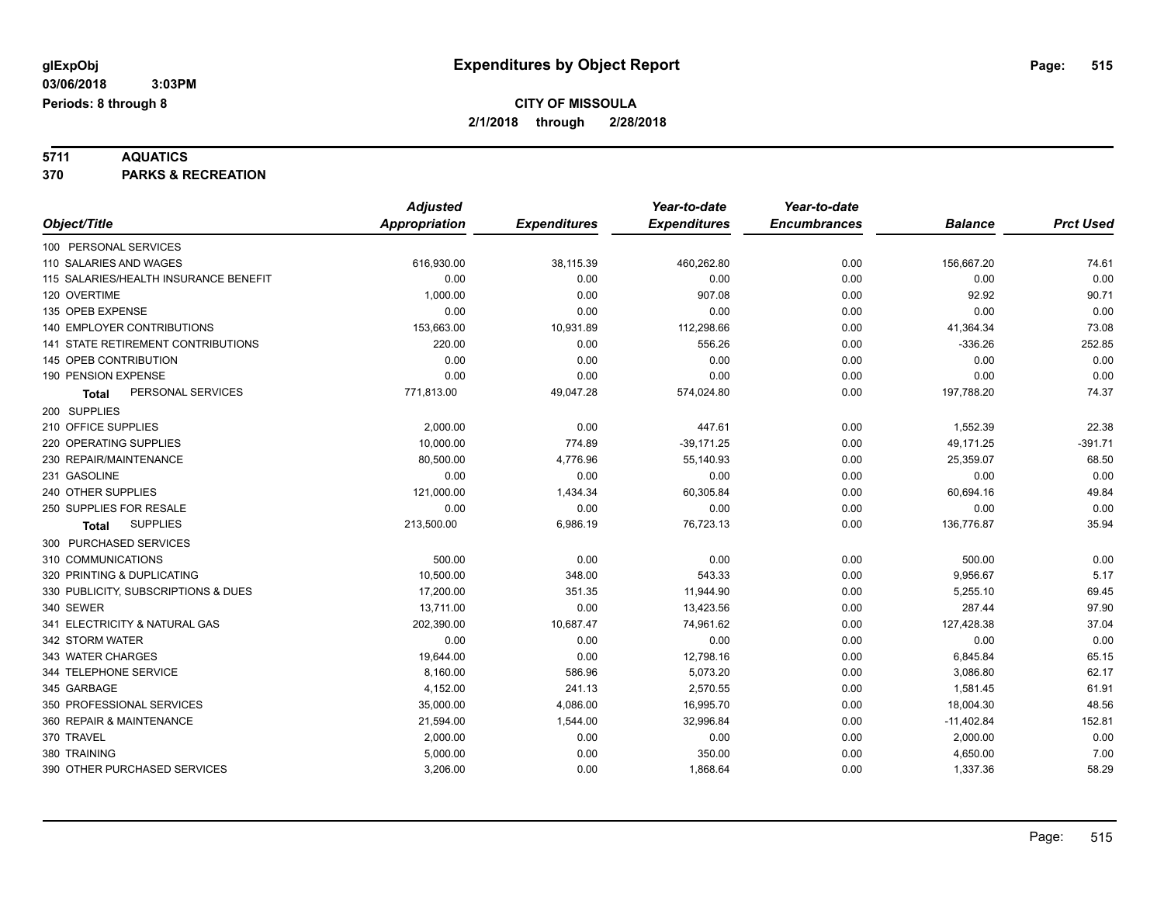**5711 AQUATICS 370 PARKS & RECREATION**

|                                       | <b>Adjusted</b>      |                     | Year-to-date        | Year-to-date        |                |                  |
|---------------------------------------|----------------------|---------------------|---------------------|---------------------|----------------|------------------|
| Object/Title                          | <b>Appropriation</b> | <b>Expenditures</b> | <b>Expenditures</b> | <b>Encumbrances</b> | <b>Balance</b> | <b>Prct Used</b> |
| 100 PERSONAL SERVICES                 |                      |                     |                     |                     |                |                  |
| 110 SALARIES AND WAGES                | 616,930.00           | 38,115.39           | 460,262.80          | 0.00                | 156,667.20     | 74.61            |
| 115 SALARIES/HEALTH INSURANCE BENEFIT | 0.00                 | 0.00                | 0.00                | 0.00                | 0.00           | 0.00             |
| 120 OVERTIME                          | 1,000.00             | 0.00                | 907.08              | 0.00                | 92.92          | 90.71            |
| 135 OPEB EXPENSE                      | 0.00                 | 0.00                | 0.00                | 0.00                | 0.00           | 0.00             |
| 140 EMPLOYER CONTRIBUTIONS            | 153,663.00           | 10,931.89           | 112,298.66          | 0.00                | 41,364.34      | 73.08            |
| 141 STATE RETIREMENT CONTRIBUTIONS    | 220.00               | 0.00                | 556.26              | 0.00                | $-336.26$      | 252.85           |
| 145 OPEB CONTRIBUTION                 | 0.00                 | 0.00                | 0.00                | 0.00                | 0.00           | 0.00             |
| 190 PENSION EXPENSE                   | 0.00                 | 0.00                | 0.00                | 0.00                | 0.00           | 0.00             |
| PERSONAL SERVICES<br><b>Total</b>     | 771,813.00           | 49,047.28           | 574,024.80          | 0.00                | 197,788.20     | 74.37            |
| 200 SUPPLIES                          |                      |                     |                     |                     |                |                  |
| 210 OFFICE SUPPLIES                   | 2,000.00             | 0.00                | 447.61              | 0.00                | 1,552.39       | 22.38            |
| 220 OPERATING SUPPLIES                | 10,000.00            | 774.89              | $-39,171.25$        | 0.00                | 49,171.25      | $-391.71$        |
| 230 REPAIR/MAINTENANCE                | 80.500.00            | 4,776.96            | 55,140.93           | 0.00                | 25,359.07      | 68.50            |
| 231 GASOLINE                          | 0.00                 | 0.00                | 0.00                | 0.00                | 0.00           | 0.00             |
| 240 OTHER SUPPLIES                    | 121,000.00           | 1,434.34            | 60,305.84           | 0.00                | 60,694.16      | 49.84            |
| 250 SUPPLIES FOR RESALE               | 0.00                 | 0.00                | 0.00                | 0.00                | 0.00           | 0.00             |
| <b>SUPPLIES</b><br>Total              | 213,500.00           | 6,986.19            | 76,723.13           | 0.00                | 136,776.87     | 35.94            |
| 300 PURCHASED SERVICES                |                      |                     |                     |                     |                |                  |
| 310 COMMUNICATIONS                    | 500.00               | 0.00                | 0.00                | 0.00                | 500.00         | 0.00             |
| 320 PRINTING & DUPLICATING            | 10,500.00            | 348.00              | 543.33              | 0.00                | 9,956.67       | 5.17             |
| 330 PUBLICITY, SUBSCRIPTIONS & DUES   | 17,200.00            | 351.35              | 11,944.90           | 0.00                | 5,255.10       | 69.45            |
| 340 SEWER                             | 13,711.00            | 0.00                | 13,423.56           | 0.00                | 287.44         | 97.90            |
| 341 ELECTRICITY & NATURAL GAS         | 202,390.00           | 10,687.47           | 74,961.62           | 0.00                | 127,428.38     | 37.04            |
| 342 STORM WATER                       | 0.00                 | 0.00                | 0.00                | 0.00                | 0.00           | 0.00             |
| 343 WATER CHARGES                     | 19,644.00            | 0.00                | 12,798.16           | 0.00                | 6,845.84       | 65.15            |
| 344 TELEPHONE SERVICE                 | 8,160.00             | 586.96              | 5,073.20            | 0.00                | 3,086.80       | 62.17            |
| 345 GARBAGE                           | 4,152.00             | 241.13              | 2,570.55            | 0.00                | 1,581.45       | 61.91            |
| 350 PROFESSIONAL SERVICES             | 35,000.00            | 4,086.00            | 16,995.70           | 0.00                | 18,004.30      | 48.56            |
| 360 REPAIR & MAINTENANCE              | 21,594.00            | 1,544.00            | 32,996.84           | 0.00                | $-11,402.84$   | 152.81           |
| 370 TRAVEL                            | 2,000.00             | 0.00                | 0.00                | 0.00                | 2,000.00       | 0.00             |
| 380 TRAINING                          | 5,000.00             | 0.00                | 350.00              | 0.00                | 4,650.00       | 7.00             |
| 390 OTHER PURCHASED SERVICES          | 3,206.00             | 0.00                | 1,868.64            | 0.00                | 1,337.36       | 58.29            |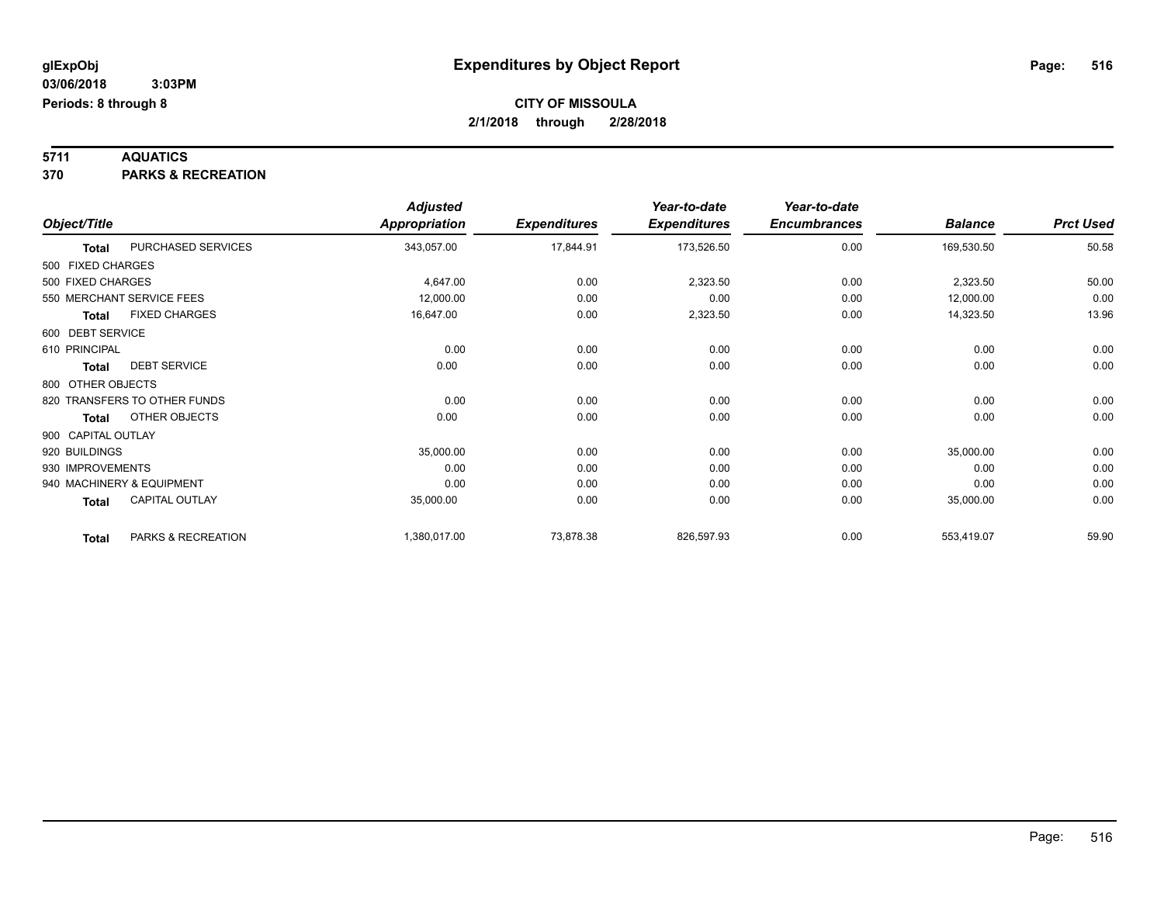**5711 AQUATICS 370 PARKS & RECREATION**

|                    |                              | <b>Adjusted</b>      |                     | Year-to-date        | Year-to-date        |                |                  |
|--------------------|------------------------------|----------------------|---------------------|---------------------|---------------------|----------------|------------------|
| Object/Title       |                              | <b>Appropriation</b> | <b>Expenditures</b> | <b>Expenditures</b> | <b>Encumbrances</b> | <b>Balance</b> | <b>Prct Used</b> |
| <b>Total</b>       | PURCHASED SERVICES           | 343,057.00           | 17,844.91           | 173,526.50          | 0.00                | 169,530.50     | 50.58            |
| 500 FIXED CHARGES  |                              |                      |                     |                     |                     |                |                  |
| 500 FIXED CHARGES  |                              | 4,647.00             | 0.00                | 2,323.50            | 0.00                | 2,323.50       | 50.00            |
|                    | 550 MERCHANT SERVICE FEES    | 12,000.00            | 0.00                | 0.00                | 0.00                | 12,000.00      | 0.00             |
| <b>Total</b>       | <b>FIXED CHARGES</b>         | 16,647.00            | 0.00                | 2,323.50            | 0.00                | 14,323.50      | 13.96            |
| 600 DEBT SERVICE   |                              |                      |                     |                     |                     |                |                  |
| 610 PRINCIPAL      |                              | 0.00                 | 0.00                | 0.00                | 0.00                | 0.00           | 0.00             |
| <b>Total</b>       | <b>DEBT SERVICE</b>          | 0.00                 | 0.00                | 0.00                | 0.00                | 0.00           | 0.00             |
| 800 OTHER OBJECTS  |                              |                      |                     |                     |                     |                |                  |
|                    | 820 TRANSFERS TO OTHER FUNDS | 0.00                 | 0.00                | 0.00                | 0.00                | 0.00           | 0.00             |
| <b>Total</b>       | OTHER OBJECTS                | 0.00                 | 0.00                | 0.00                | 0.00                | 0.00           | 0.00             |
| 900 CAPITAL OUTLAY |                              |                      |                     |                     |                     |                |                  |
| 920 BUILDINGS      |                              | 35,000.00            | 0.00                | 0.00                | 0.00                | 35,000.00      | 0.00             |
| 930 IMPROVEMENTS   |                              | 0.00                 | 0.00                | 0.00                | 0.00                | 0.00           | 0.00             |
|                    | 940 MACHINERY & EQUIPMENT    | 0.00                 | 0.00                | 0.00                | 0.00                | 0.00           | 0.00             |
| <b>Total</b>       | <b>CAPITAL OUTLAY</b>        | 35,000.00            | 0.00                | 0.00                | 0.00                | 35,000.00      | 0.00             |
| <b>Total</b>       | PARKS & RECREATION           | 1,380,017.00         | 73,878.38           | 826,597.93          | 0.00                | 553,419.07     | 59.90            |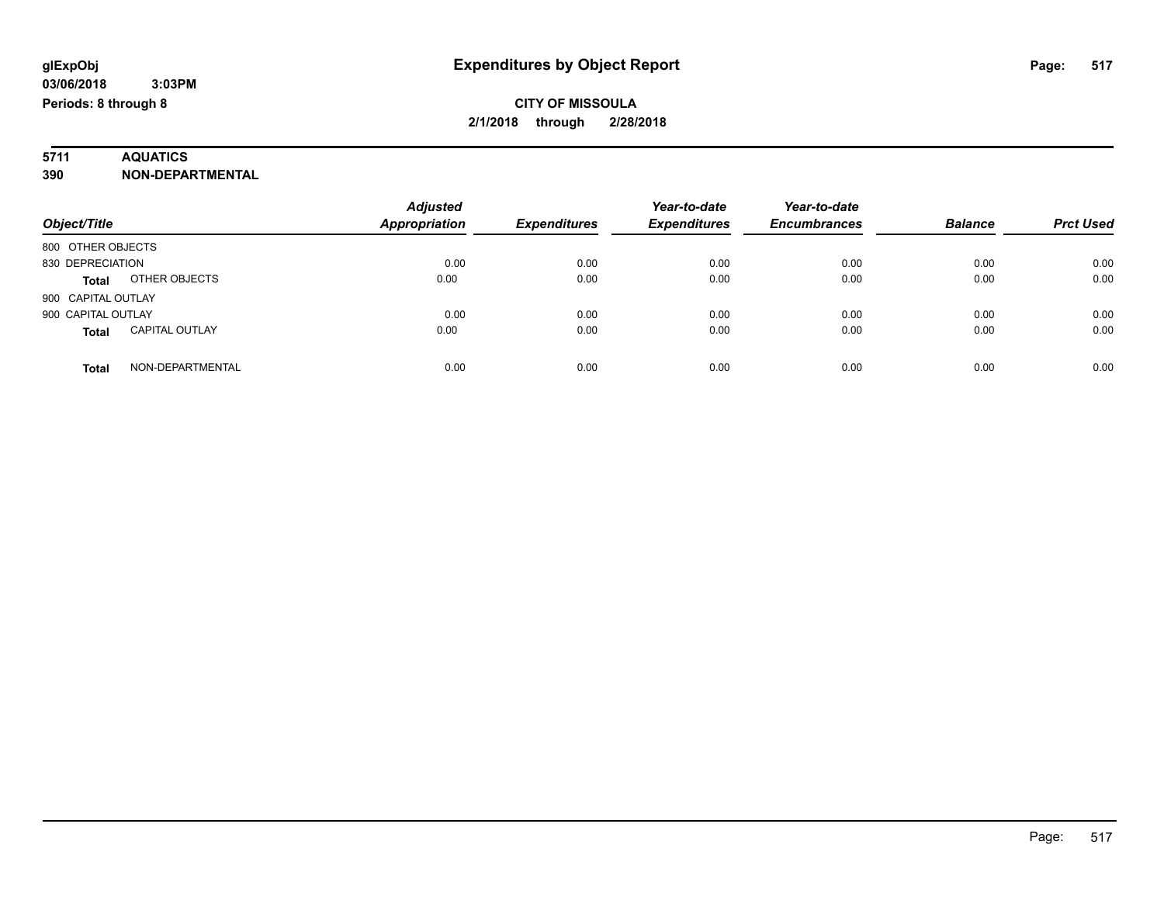# **5711 AQUATICS**

#### **390 NON-DEPARTMENTAL**

| Object/Title                          | <b>Adjusted</b><br>Appropriation | <b>Expenditures</b> | Year-to-date<br><b>Expenditures</b> | Year-to-date<br><b>Encumbrances</b> | <b>Balance</b> | <b>Prct Used</b> |
|---------------------------------------|----------------------------------|---------------------|-------------------------------------|-------------------------------------|----------------|------------------|
| 800 OTHER OBJECTS                     |                                  |                     |                                     |                                     |                |                  |
| 830 DEPRECIATION                      | 0.00                             | 0.00                | 0.00                                | 0.00                                | 0.00           | 0.00             |
| OTHER OBJECTS<br><b>Total</b>         | 0.00                             | 0.00                | 0.00                                | 0.00                                | 0.00           | 0.00             |
| 900 CAPITAL OUTLAY                    |                                  |                     |                                     |                                     |                |                  |
| 900 CAPITAL OUTLAY                    | 0.00                             | 0.00                | 0.00                                | 0.00                                | 0.00           | 0.00             |
| <b>CAPITAL OUTLAY</b><br><b>Total</b> | 0.00                             | 0.00                | 0.00                                | 0.00                                | 0.00           | 0.00             |
| NON-DEPARTMENTAL<br>Total             | 0.00                             | 0.00                | 0.00                                | 0.00                                | 0.00           | 0.00             |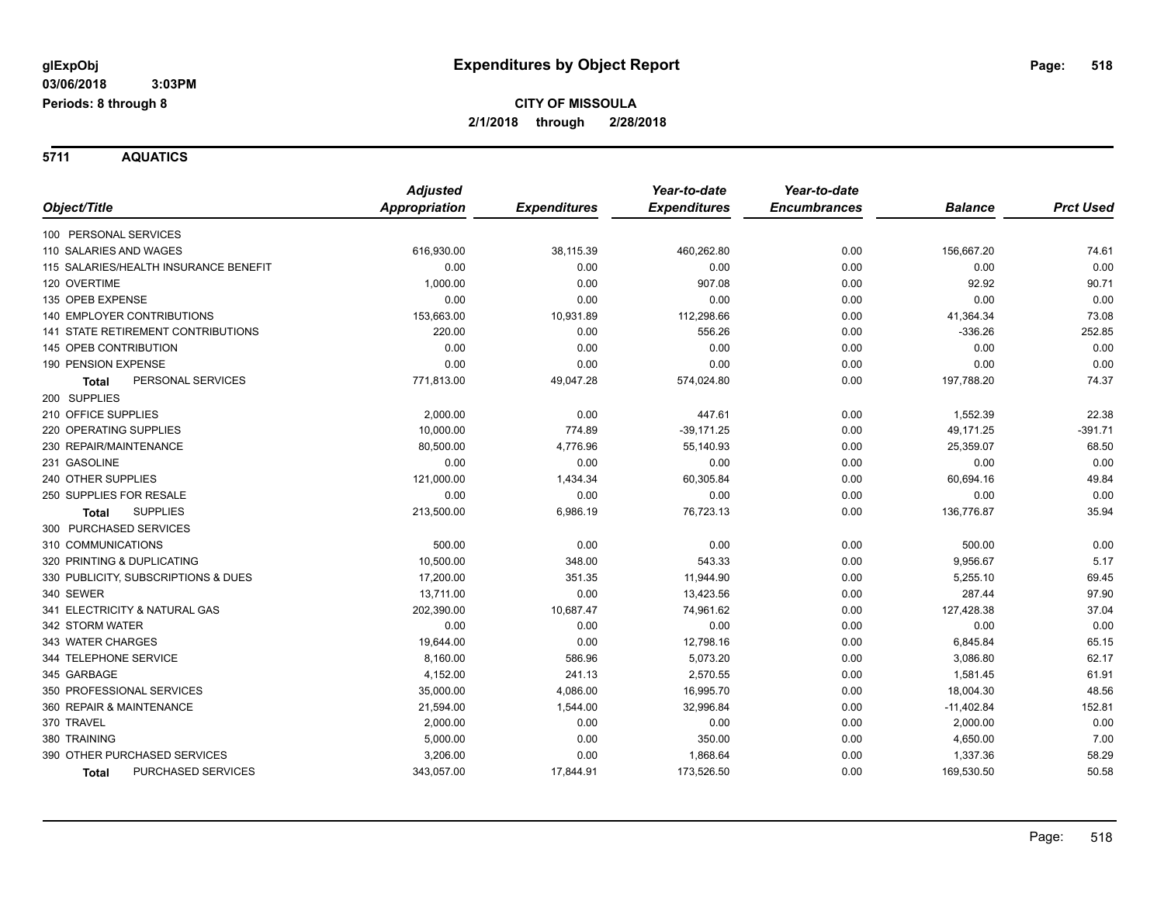**5711 AQUATICS**

|                                       | <b>Adjusted</b> |                     | Year-to-date        | Year-to-date        |                |                  |
|---------------------------------------|-----------------|---------------------|---------------------|---------------------|----------------|------------------|
| Object/Title                          | Appropriation   | <b>Expenditures</b> | <b>Expenditures</b> | <b>Encumbrances</b> | <b>Balance</b> | <b>Prct Used</b> |
| 100 PERSONAL SERVICES                 |                 |                     |                     |                     |                |                  |
| 110 SALARIES AND WAGES                | 616,930.00      | 38,115.39           | 460,262.80          | 0.00                | 156,667.20     | 74.61            |
| 115 SALARIES/HEALTH INSURANCE BENEFIT | 0.00            | 0.00                | 0.00                | 0.00                | 0.00           | 0.00             |
| 120 OVERTIME                          | 1,000.00        | 0.00                | 907.08              | 0.00                | 92.92          | 90.71            |
| 135 OPEB EXPENSE                      | 0.00            | 0.00                | 0.00                | 0.00                | 0.00           | 0.00             |
| <b>140 EMPLOYER CONTRIBUTIONS</b>     | 153,663.00      | 10,931.89           | 112,298.66          | 0.00                | 41,364.34      | 73.08            |
| 141 STATE RETIREMENT CONTRIBUTIONS    | 220.00          | 0.00                | 556.26              | 0.00                | $-336.26$      | 252.85           |
| <b>145 OPEB CONTRIBUTION</b>          | 0.00            | 0.00                | 0.00                | 0.00                | 0.00           | 0.00             |
| 190 PENSION EXPENSE                   | 0.00            | 0.00                | 0.00                | 0.00                | 0.00           | 0.00             |
| PERSONAL SERVICES<br><b>Total</b>     | 771,813.00      | 49,047.28           | 574,024.80          | 0.00                | 197,788.20     | 74.37            |
| 200 SUPPLIES                          |                 |                     |                     |                     |                |                  |
| 210 OFFICE SUPPLIES                   | 2,000.00        | 0.00                | 447.61              | 0.00                | 1,552.39       | 22.38            |
| 220 OPERATING SUPPLIES                | 10,000.00       | 774.89              | $-39,171.25$        | 0.00                | 49,171.25      | $-391.71$        |
| 230 REPAIR/MAINTENANCE                | 80,500.00       | 4,776.96            | 55,140.93           | 0.00                | 25,359.07      | 68.50            |
| 231 GASOLINE                          | 0.00            | 0.00                | 0.00                | 0.00                | 0.00           | 0.00             |
| 240 OTHER SUPPLIES                    | 121,000.00      | 1,434.34            | 60,305.84           | 0.00                | 60,694.16      | 49.84            |
| 250 SUPPLIES FOR RESALE               | 0.00            | 0.00                | 0.00                | 0.00                | 0.00           | 0.00             |
| <b>SUPPLIES</b><br><b>Total</b>       | 213,500.00      | 6,986.19            | 76,723.13           | 0.00                | 136,776.87     | 35.94            |
| 300 PURCHASED SERVICES                |                 |                     |                     |                     |                |                  |
| 310 COMMUNICATIONS                    | 500.00          | 0.00                | 0.00                | 0.00                | 500.00         | 0.00             |
| 320 PRINTING & DUPLICATING            | 10,500.00       | 348.00              | 543.33              | 0.00                | 9,956.67       | 5.17             |
| 330 PUBLICITY, SUBSCRIPTIONS & DUES   | 17,200.00       | 351.35              | 11,944.90           | 0.00                | 5,255.10       | 69.45            |
| 340 SEWER                             | 13,711.00       | 0.00                | 13,423.56           | 0.00                | 287.44         | 97.90            |
| 341 ELECTRICITY & NATURAL GAS         | 202,390.00      | 10,687.47           | 74,961.62           | 0.00                | 127,428.38     | 37.04            |
| 342 STORM WATER                       | 0.00            | 0.00                | 0.00                | 0.00                | 0.00           | 0.00             |
| 343 WATER CHARGES                     | 19,644.00       | 0.00                | 12,798.16           | 0.00                | 6,845.84       | 65.15            |
| 344 TELEPHONE SERVICE                 | 8,160.00        | 586.96              | 5,073.20            | 0.00                | 3,086.80       | 62.17            |
| 345 GARBAGE                           | 4,152.00        | 241.13              | 2,570.55            | 0.00                | 1,581.45       | 61.91            |
| 350 PROFESSIONAL SERVICES             | 35,000.00       | 4,086.00            | 16,995.70           | 0.00                | 18,004.30      | 48.56            |
| 360 REPAIR & MAINTENANCE              | 21,594.00       | 1,544.00            | 32,996.84           | 0.00                | $-11,402.84$   | 152.81           |
| 370 TRAVEL                            | 2,000.00        | 0.00                | 0.00                | 0.00                | 2,000.00       | 0.00             |
| 380 TRAINING                          | 5,000.00        | 0.00                | 350.00              | 0.00                | 4,650.00       | 7.00             |
| 390 OTHER PURCHASED SERVICES          | 3,206.00        | 0.00                | 1,868.64            | 0.00                | 1,337.36       | 58.29            |
| PURCHASED SERVICES<br><b>Total</b>    | 343,057.00      | 17,844.91           | 173,526.50          | 0.00                | 169,530.50     | 50.58            |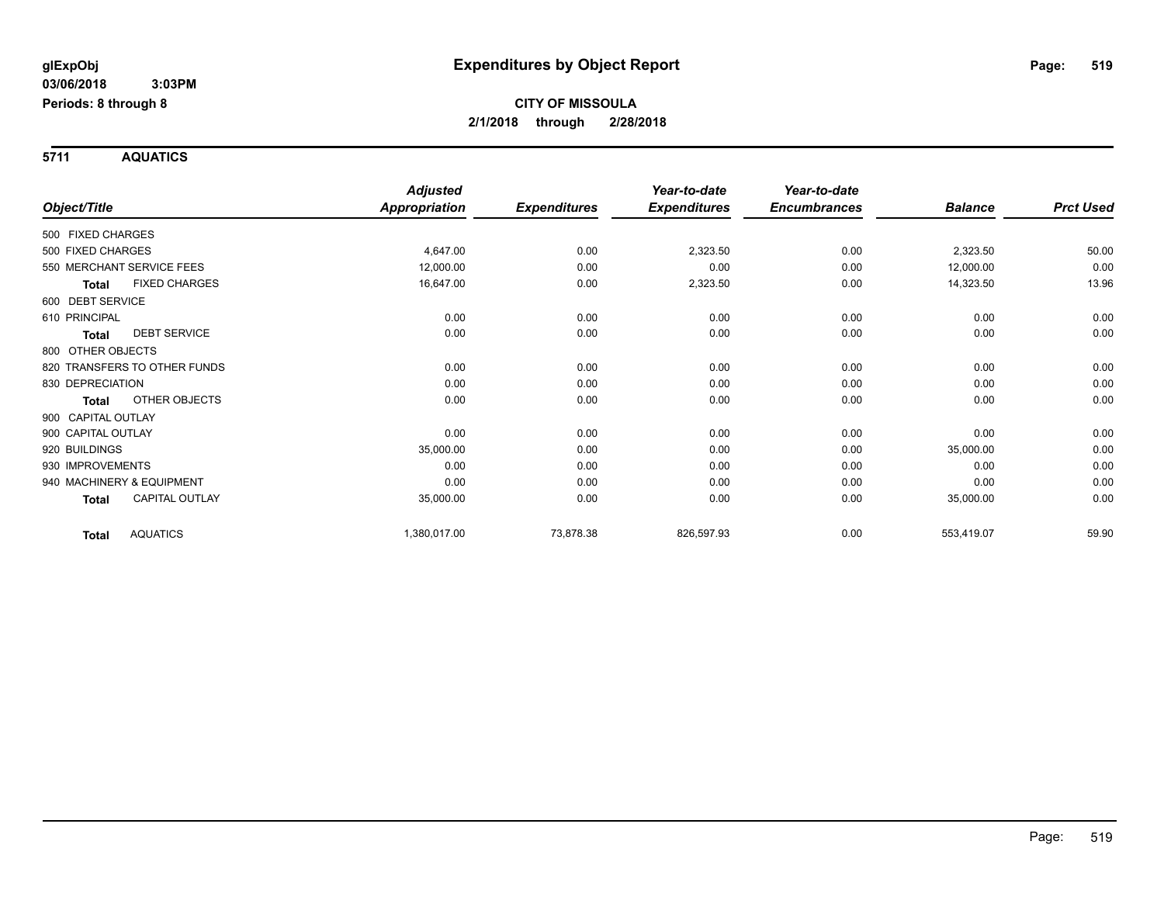**5711 AQUATICS**

|                           |                              | <b>Adjusted</b>      |                     | Year-to-date        | Year-to-date        |                |                  |
|---------------------------|------------------------------|----------------------|---------------------|---------------------|---------------------|----------------|------------------|
| Object/Title              |                              | <b>Appropriation</b> | <b>Expenditures</b> | <b>Expenditures</b> | <b>Encumbrances</b> | <b>Balance</b> | <b>Prct Used</b> |
| 500 FIXED CHARGES         |                              |                      |                     |                     |                     |                |                  |
| 500 FIXED CHARGES         |                              | 4,647.00             | 0.00                | 2,323.50            | 0.00                | 2,323.50       | 50.00            |
| 550 MERCHANT SERVICE FEES |                              | 12,000.00            | 0.00                | 0.00                | 0.00                | 12,000.00      | 0.00             |
| <b>Total</b>              | <b>FIXED CHARGES</b>         | 16,647.00            | 0.00                | 2,323.50            | 0.00                | 14,323.50      | 13.96            |
| 600 DEBT SERVICE          |                              |                      |                     |                     |                     |                |                  |
| 610 PRINCIPAL             |                              | 0.00                 | 0.00                | 0.00                | 0.00                | 0.00           | 0.00             |
| <b>Total</b>              | <b>DEBT SERVICE</b>          | 0.00                 | 0.00                | 0.00                | 0.00                | 0.00           | 0.00             |
| 800 OTHER OBJECTS         |                              |                      |                     |                     |                     |                |                  |
|                           | 820 TRANSFERS TO OTHER FUNDS | 0.00                 | 0.00                | 0.00                | 0.00                | 0.00           | 0.00             |
| 830 DEPRECIATION          |                              | 0.00                 | 0.00                | 0.00                | 0.00                | 0.00           | 0.00             |
| <b>Total</b>              | <b>OTHER OBJECTS</b>         | 0.00                 | 0.00                | 0.00                | 0.00                | 0.00           | 0.00             |
| 900 CAPITAL OUTLAY        |                              |                      |                     |                     |                     |                |                  |
| 900 CAPITAL OUTLAY        |                              | 0.00                 | 0.00                | 0.00                | 0.00                | 0.00           | 0.00             |
| 920 BUILDINGS             |                              | 35,000.00            | 0.00                | 0.00                | 0.00                | 35,000.00      | 0.00             |
| 930 IMPROVEMENTS          |                              | 0.00                 | 0.00                | 0.00                | 0.00                | 0.00           | 0.00             |
| 940 MACHINERY & EQUIPMENT |                              | 0.00                 | 0.00                | 0.00                | 0.00                | 0.00           | 0.00             |
| Total                     | <b>CAPITAL OUTLAY</b>        | 35,000.00            | 0.00                | 0.00                | 0.00                | 35,000.00      | 0.00             |
| <b>Total</b>              | <b>AQUATICS</b>              | 1,380,017.00         | 73,878.38           | 826,597.93          | 0.00                | 553,419.07     | 59.90            |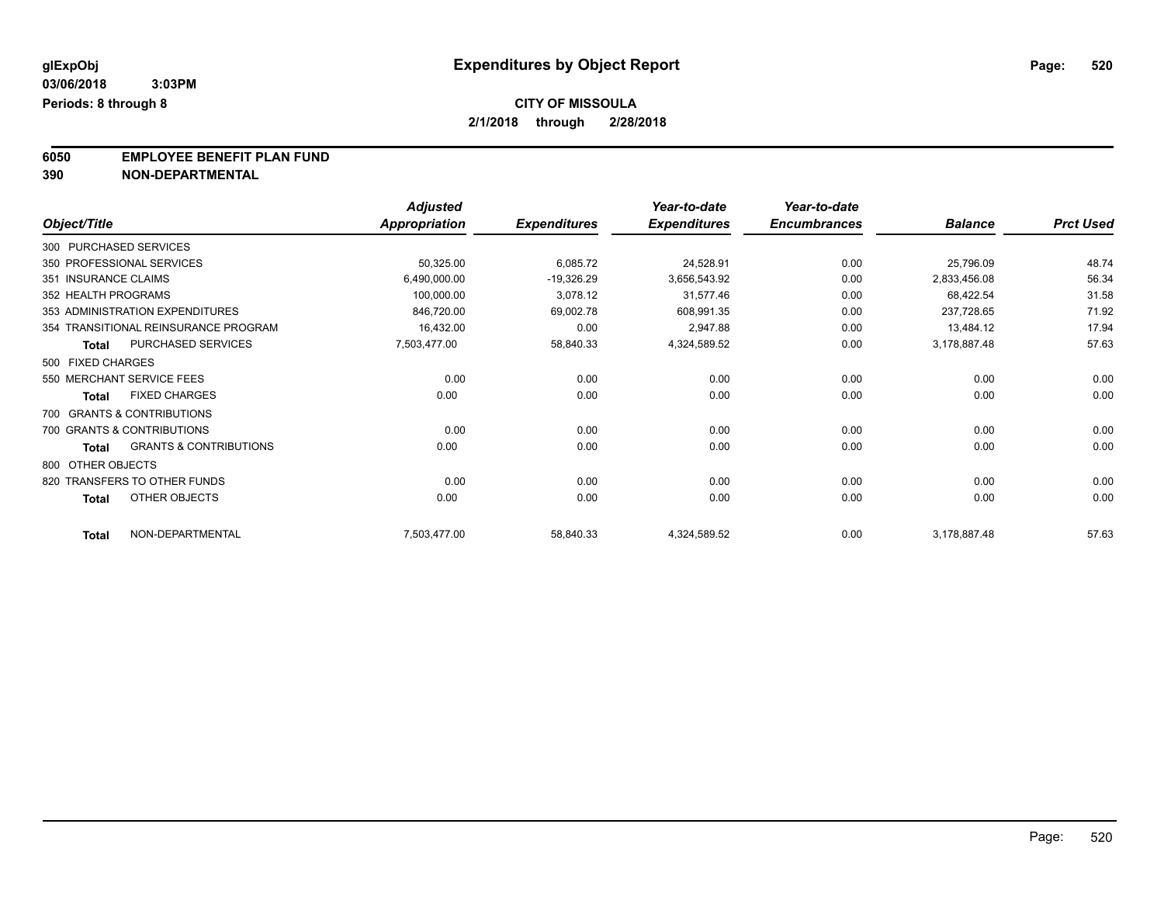**6050 EMPLOYEE BENEFIT PLAN FUND**<br>390 NON-DEPARTMENTAL

**390 NON-DEPARTMENTAL**

|                      |                                      | <b>Adjusted</b> |                     | Year-to-date        | Year-to-date        |                |                  |
|----------------------|--------------------------------------|-----------------|---------------------|---------------------|---------------------|----------------|------------------|
| Object/Title         |                                      | Appropriation   | <b>Expenditures</b> | <b>Expenditures</b> | <b>Encumbrances</b> | <b>Balance</b> | <b>Prct Used</b> |
|                      | 300 PURCHASED SERVICES               |                 |                     |                     |                     |                |                  |
|                      | 350 PROFESSIONAL SERVICES            | 50,325.00       | 6,085.72            | 24,528.91           | 0.00                | 25,796.09      | 48.74            |
| 351 INSURANCE CLAIMS |                                      | 6,490,000.00    | $-19,326.29$        | 3,656,543.92        | 0.00                | 2,833,456.08   | 56.34            |
| 352 HEALTH PROGRAMS  |                                      | 100,000.00      | 3,078.12            | 31,577.46           | 0.00                | 68,422.54      | 31.58            |
|                      | 353 ADMINISTRATION EXPENDITURES      | 846,720.00      | 69,002.78           | 608,991.35          | 0.00                | 237,728.65     | 71.92            |
|                      | 354 TRANSITIONAL REINSURANCE PROGRAM | 16,432.00       | 0.00                | 2,947.88            | 0.00                | 13,484.12      | 17.94            |
| <b>Total</b>         | PURCHASED SERVICES                   | 7,503,477.00    | 58,840.33           | 4,324,589.52        | 0.00                | 3,178,887.48   | 57.63            |
| 500 FIXED CHARGES    |                                      |                 |                     |                     |                     |                |                  |
|                      | 550 MERCHANT SERVICE FEES            | 0.00            | 0.00                | 0.00                | 0.00                | 0.00           | 0.00             |
| Total                | <b>FIXED CHARGES</b>                 | 0.00            | 0.00                | 0.00                | 0.00                | 0.00           | 0.00             |
|                      | 700 GRANTS & CONTRIBUTIONS           |                 |                     |                     |                     |                |                  |
|                      | 700 GRANTS & CONTRIBUTIONS           | 0.00            | 0.00                | 0.00                | 0.00                | 0.00           | 0.00             |
| <b>Total</b>         | <b>GRANTS &amp; CONTRIBUTIONS</b>    | 0.00            | 0.00                | 0.00                | 0.00                | 0.00           | 0.00             |
| 800 OTHER OBJECTS    |                                      |                 |                     |                     |                     |                |                  |
|                      | 820 TRANSFERS TO OTHER FUNDS         | 0.00            | 0.00                | 0.00                | 0.00                | 0.00           | 0.00             |
| <b>Total</b>         | OTHER OBJECTS                        | 0.00            | 0.00                | 0.00                | 0.00                | 0.00           | 0.00             |
| <b>Total</b>         | NON-DEPARTMENTAL                     | 7,503,477.00    | 58,840.33           | 4,324,589.52        | 0.00                | 3,178,887.48   | 57.63            |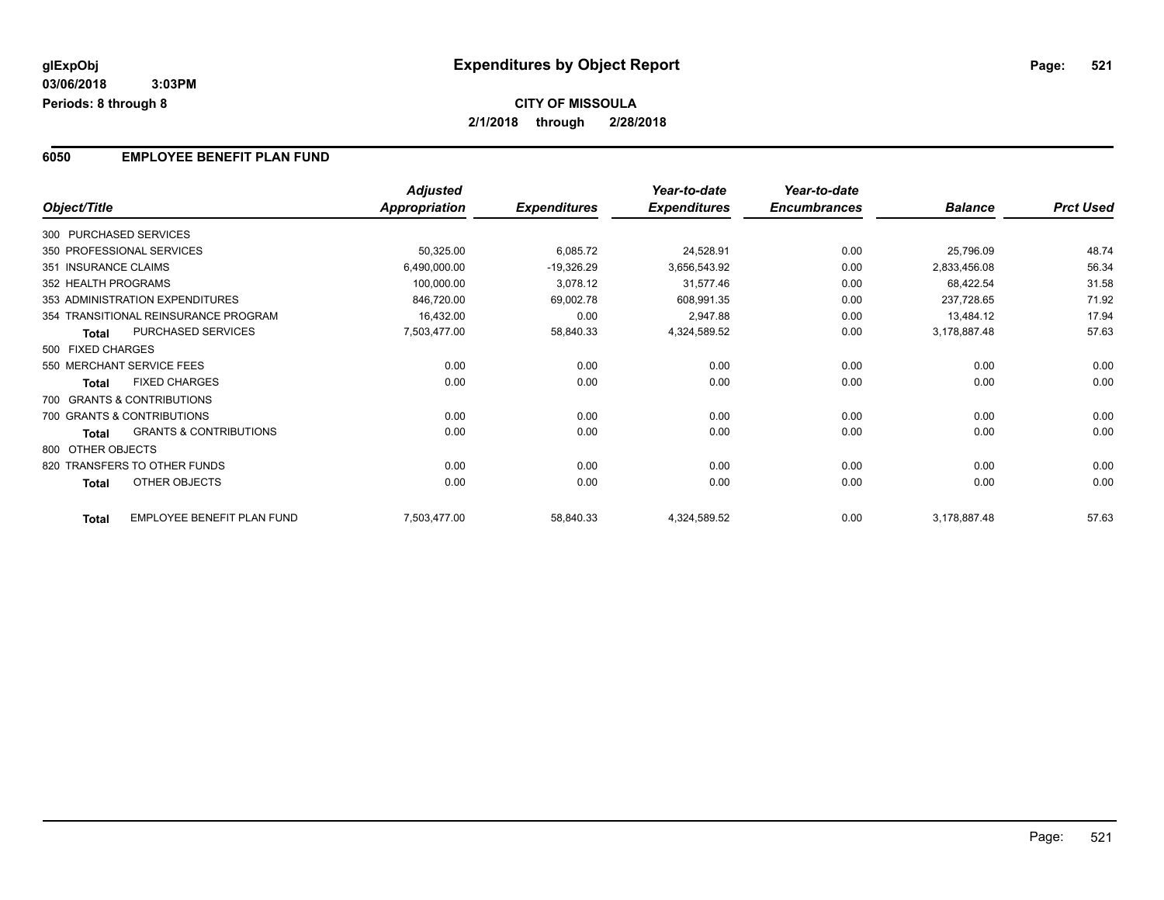#### **6050 EMPLOYEE BENEFIT PLAN FUND**

|                      |                                      | <b>Adjusted</b>      |                     | Year-to-date        | Year-to-date        |                |                  |
|----------------------|--------------------------------------|----------------------|---------------------|---------------------|---------------------|----------------|------------------|
| Object/Title         |                                      | <b>Appropriation</b> | <b>Expenditures</b> | <b>Expenditures</b> | <b>Encumbrances</b> | <b>Balance</b> | <b>Prct Used</b> |
|                      | 300 PURCHASED SERVICES               |                      |                     |                     |                     |                |                  |
|                      | 350 PROFESSIONAL SERVICES            | 50,325.00            | 6,085.72            | 24,528.91           | 0.00                | 25,796.09      | 48.74            |
| 351 INSURANCE CLAIMS |                                      | 6,490,000.00         | $-19,326.29$        | 3,656,543.92        | 0.00                | 2,833,456.08   | 56.34            |
| 352 HEALTH PROGRAMS  |                                      | 100,000.00           | 3,078.12            | 31,577.46           | 0.00                | 68,422.54      | 31.58            |
|                      | 353 ADMINISTRATION EXPENDITURES      | 846,720.00           | 69,002.78           | 608,991.35          | 0.00                | 237,728.65     | 71.92            |
|                      | 354 TRANSITIONAL REINSURANCE PROGRAM | 16,432.00            | 0.00                | 2,947.88            | 0.00                | 13,484.12      | 17.94            |
| <b>Total</b>         | PURCHASED SERVICES                   | 7,503,477.00         | 58,840.33           | 4,324,589.52        | 0.00                | 3,178,887.48   | 57.63            |
| 500 FIXED CHARGES    |                                      |                      |                     |                     |                     |                |                  |
|                      | 550 MERCHANT SERVICE FEES            | 0.00                 | 0.00                | 0.00                | 0.00                | 0.00           | 0.00             |
| <b>Total</b>         | <b>FIXED CHARGES</b>                 | 0.00                 | 0.00                | 0.00                | 0.00                | 0.00           | 0.00             |
|                      | 700 GRANTS & CONTRIBUTIONS           |                      |                     |                     |                     |                |                  |
|                      | 700 GRANTS & CONTRIBUTIONS           | 0.00                 | 0.00                | 0.00                | 0.00                | 0.00           | 0.00             |
| <b>Total</b>         | <b>GRANTS &amp; CONTRIBUTIONS</b>    | 0.00                 | 0.00                | 0.00                | 0.00                | 0.00           | 0.00             |
| 800 OTHER OBJECTS    |                                      |                      |                     |                     |                     |                |                  |
|                      | 820 TRANSFERS TO OTHER FUNDS         | 0.00                 | 0.00                | 0.00                | 0.00                | 0.00           | 0.00             |
| <b>Total</b>         | OTHER OBJECTS                        | 0.00                 | 0.00                | 0.00                | 0.00                | 0.00           | 0.00             |
| <b>Total</b>         | <b>EMPLOYEE BENEFIT PLAN FUND</b>    | 7,503,477.00         | 58,840.33           | 4,324,589.52        | 0.00                | 3,178,887.48   | 57.63            |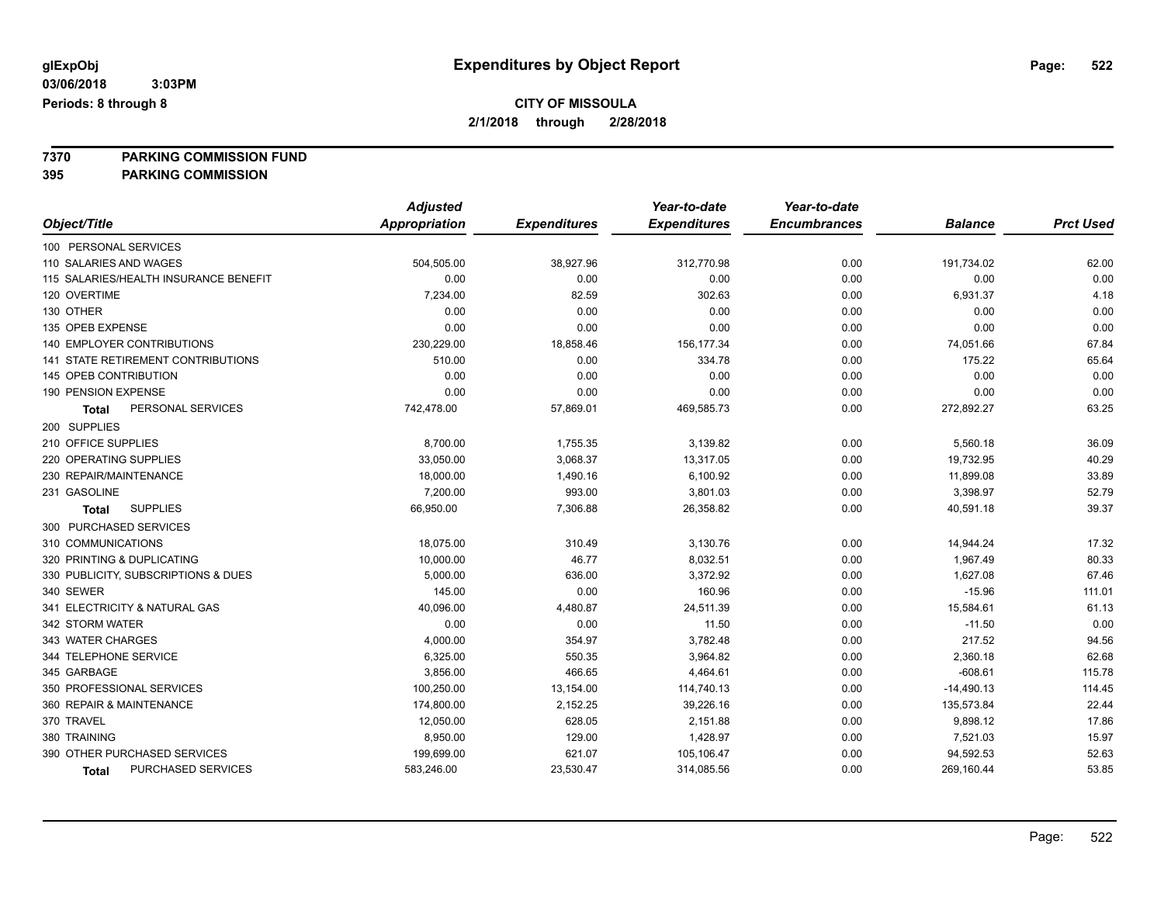### **CITY OF MISSOULA**

**2/1/2018 through 2/28/2018**

**7370 PARKING COMMISSION FUND**

**395 PARKING COMMISSION**

|                                           | <b>Adjusted</b>      |                     | Year-to-date        | Year-to-date        |                |                  |
|-------------------------------------------|----------------------|---------------------|---------------------|---------------------|----------------|------------------|
| Object/Title                              | <b>Appropriation</b> | <b>Expenditures</b> | <b>Expenditures</b> | <b>Encumbrances</b> | <b>Balance</b> | <b>Prct Used</b> |
| 100 PERSONAL SERVICES                     |                      |                     |                     |                     |                |                  |
| 110 SALARIES AND WAGES                    | 504,505.00           | 38,927.96           | 312,770.98          | 0.00                | 191,734.02     | 62.00            |
| 115 SALARIES/HEALTH INSURANCE BENEFIT     | 0.00                 | 0.00                | 0.00                | 0.00                | 0.00           | 0.00             |
| 120 OVERTIME                              | 7,234.00             | 82.59               | 302.63              | 0.00                | 6,931.37       | 4.18             |
| 130 OTHER                                 | 0.00                 | 0.00                | 0.00                | 0.00                | 0.00           | 0.00             |
| 135 OPEB EXPENSE                          | 0.00                 | 0.00                | 0.00                | 0.00                | 0.00           | 0.00             |
| 140 EMPLOYER CONTRIBUTIONS                | 230,229.00           | 18,858.46           | 156, 177.34         | 0.00                | 74,051.66      | 67.84            |
| <b>141 STATE RETIREMENT CONTRIBUTIONS</b> | 510.00               | 0.00                | 334.78              | 0.00                | 175.22         | 65.64            |
| 145 OPEB CONTRIBUTION                     | 0.00                 | 0.00                | 0.00                | 0.00                | 0.00           | 0.00             |
| 190 PENSION EXPENSE                       | 0.00                 | 0.00                | 0.00                | 0.00                | 0.00           | 0.00             |
| PERSONAL SERVICES<br>Total                | 742,478.00           | 57,869.01           | 469,585.73          | 0.00                | 272,892.27     | 63.25            |
| 200 SUPPLIES                              |                      |                     |                     |                     |                |                  |
| 210 OFFICE SUPPLIES                       | 8,700.00             | 1,755.35            | 3,139.82            | 0.00                | 5,560.18       | 36.09            |
| 220 OPERATING SUPPLIES                    | 33,050.00            | 3,068.37            | 13,317.05           | 0.00                | 19,732.95      | 40.29            |
| 230 REPAIR/MAINTENANCE                    | 18,000.00            | 1,490.16            | 6,100.92            | 0.00                | 11,899.08      | 33.89            |
| 231 GASOLINE                              | 7,200.00             | 993.00              | 3,801.03            | 0.00                | 3,398.97       | 52.79            |
| <b>SUPPLIES</b><br>Total                  | 66,950.00            | 7,306.88            | 26,358.82           | 0.00                | 40,591.18      | 39.37            |
| 300 PURCHASED SERVICES                    |                      |                     |                     |                     |                |                  |
| 310 COMMUNICATIONS                        | 18,075.00            | 310.49              | 3,130.76            | 0.00                | 14,944.24      | 17.32            |
| 320 PRINTING & DUPLICATING                | 10,000.00            | 46.77               | 8,032.51            | 0.00                | 1,967.49       | 80.33            |
| 330 PUBLICITY, SUBSCRIPTIONS & DUES       | 5,000.00             | 636.00              | 3,372.92            | 0.00                | 1,627.08       | 67.46            |
| 340 SEWER                                 | 145.00               | 0.00                | 160.96              | 0.00                | $-15.96$       | 111.01           |
| 341 ELECTRICITY & NATURAL GAS             | 40,096.00            | 4,480.87            | 24,511.39           | 0.00                | 15,584.61      | 61.13            |
| 342 STORM WATER                           | 0.00                 | 0.00                | 11.50               | 0.00                | $-11.50$       | 0.00             |
| 343 WATER CHARGES                         | 4,000.00             | 354.97              | 3,782.48            | 0.00                | 217.52         | 94.56            |
| 344 TELEPHONE SERVICE                     | 6,325.00             | 550.35              | 3,964.82            | 0.00                | 2,360.18       | 62.68            |
| 345 GARBAGE                               | 3,856.00             | 466.65              | 4,464.61            | 0.00                | $-608.61$      | 115.78           |
| 350 PROFESSIONAL SERVICES                 | 100,250.00           | 13,154.00           | 114,740.13          | 0.00                | $-14,490.13$   | 114.45           |
| 360 REPAIR & MAINTENANCE                  | 174,800.00           | 2,152.25            | 39,226.16           | 0.00                | 135,573.84     | 22.44            |
| 370 TRAVEL                                | 12,050.00            | 628.05              | 2,151.88            | 0.00                | 9,898.12       | 17.86            |
| 380 TRAINING                              | 8,950.00             | 129.00              | 1,428.97            | 0.00                | 7,521.03       | 15.97            |
| 390 OTHER PURCHASED SERVICES              | 199,699.00           | 621.07              | 105,106.47          | 0.00                | 94,592.53      | 52.63            |
| <b>PURCHASED SERVICES</b><br><b>Total</b> | 583,246.00           | 23,530.47           | 314,085.56          | 0.00                | 269,160.44     | 53.85            |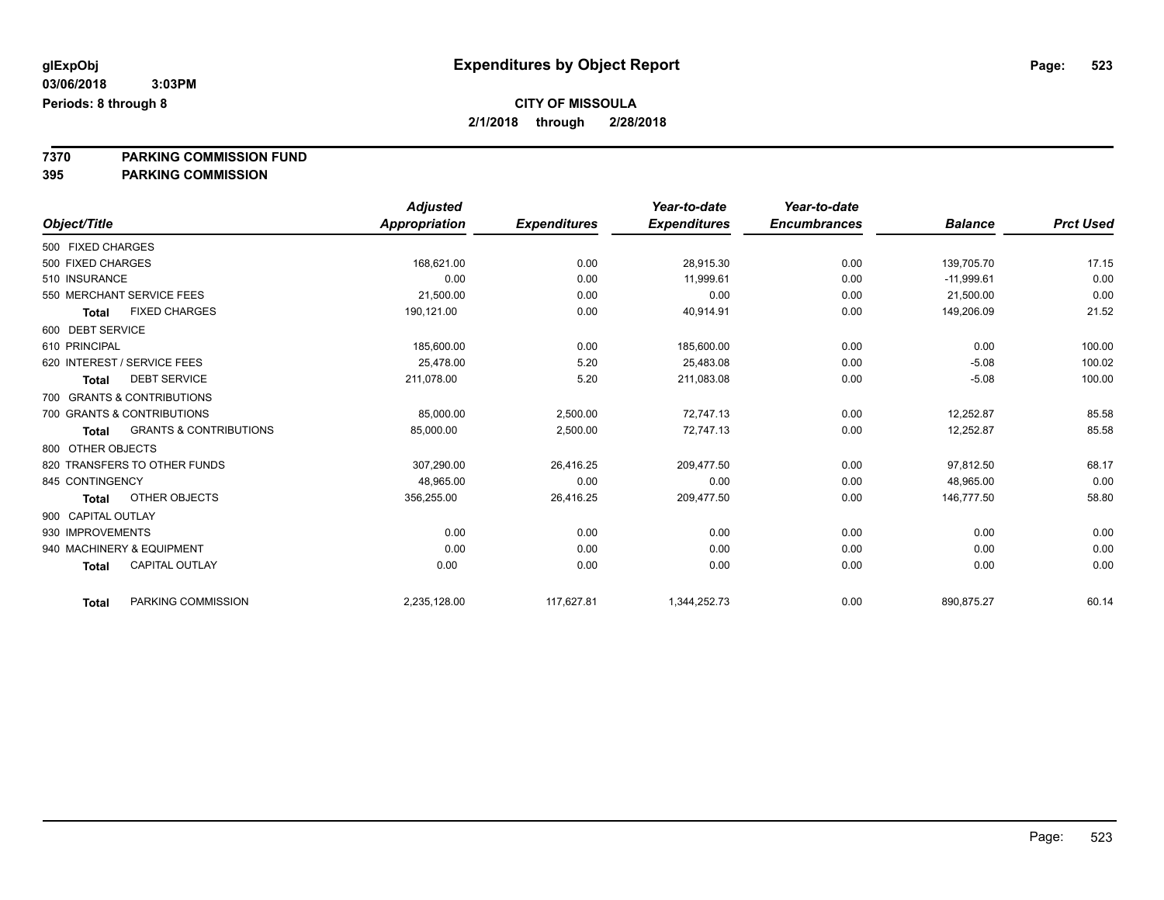### **CITY OF MISSOULA**

**2/1/2018 through 2/28/2018**

**7370 PARKING COMMISSION FUND**

**395 PARKING COMMISSION**

|                    |                                   | <b>Adjusted</b> |                     | Year-to-date        | Year-to-date        |                |                  |
|--------------------|-----------------------------------|-----------------|---------------------|---------------------|---------------------|----------------|------------------|
| Object/Title       |                                   | Appropriation   | <b>Expenditures</b> | <b>Expenditures</b> | <b>Encumbrances</b> | <b>Balance</b> | <b>Prct Used</b> |
| 500 FIXED CHARGES  |                                   |                 |                     |                     |                     |                |                  |
| 500 FIXED CHARGES  |                                   | 168,621.00      | 0.00                | 28,915.30           | 0.00                | 139,705.70     | 17.15            |
| 510 INSURANCE      |                                   | 0.00            | 0.00                | 11,999.61           | 0.00                | $-11,999.61$   | 0.00             |
|                    | 550 MERCHANT SERVICE FEES         | 21,500.00       | 0.00                | 0.00                | 0.00                | 21,500.00      | 0.00             |
| <b>Total</b>       | <b>FIXED CHARGES</b>              | 190.121.00      | 0.00                | 40,914.91           | 0.00                | 149,206.09     | 21.52            |
| 600 DEBT SERVICE   |                                   |                 |                     |                     |                     |                |                  |
| 610 PRINCIPAL      |                                   | 185,600.00      | 0.00                | 185,600.00          | 0.00                | 0.00           | 100.00           |
|                    | 620 INTEREST / SERVICE FEES       | 25,478.00       | 5.20                | 25,483.08           | 0.00                | $-5.08$        | 100.02           |
| <b>Total</b>       | <b>DEBT SERVICE</b>               | 211,078.00      | 5.20                | 211,083.08          | 0.00                | $-5.08$        | 100.00           |
|                    | 700 GRANTS & CONTRIBUTIONS        |                 |                     |                     |                     |                |                  |
|                    | 700 GRANTS & CONTRIBUTIONS        | 85,000.00       | 2,500.00            | 72,747.13           | 0.00                | 12,252.87      | 85.58            |
| <b>Total</b>       | <b>GRANTS &amp; CONTRIBUTIONS</b> | 85,000.00       | 2,500.00            | 72.747.13           | 0.00                | 12,252.87      | 85.58            |
| 800 OTHER OBJECTS  |                                   |                 |                     |                     |                     |                |                  |
|                    | 820 TRANSFERS TO OTHER FUNDS      | 307,290.00      | 26,416.25           | 209,477.50          | 0.00                | 97,812.50      | 68.17            |
| 845 CONTINGENCY    |                                   | 48,965.00       | 0.00                | 0.00                | 0.00                | 48,965.00      | 0.00             |
| <b>Total</b>       | OTHER OBJECTS                     | 356,255.00      | 26,416.25           | 209,477.50          | 0.00                | 146,777.50     | 58.80            |
| 900 CAPITAL OUTLAY |                                   |                 |                     |                     |                     |                |                  |
| 930 IMPROVEMENTS   |                                   | 0.00            | 0.00                | 0.00                | 0.00                | 0.00           | 0.00             |
|                    | 940 MACHINERY & EQUIPMENT         | 0.00            | 0.00                | 0.00                | 0.00                | 0.00           | 0.00             |
| <b>Total</b>       | <b>CAPITAL OUTLAY</b>             | 0.00            | 0.00                | 0.00                | 0.00                | 0.00           | 0.00             |
| <b>Total</b>       | PARKING COMMISSION                | 2,235,128.00    | 117,627.81          | 1,344,252.73        | 0.00                | 890,875.27     | 60.14            |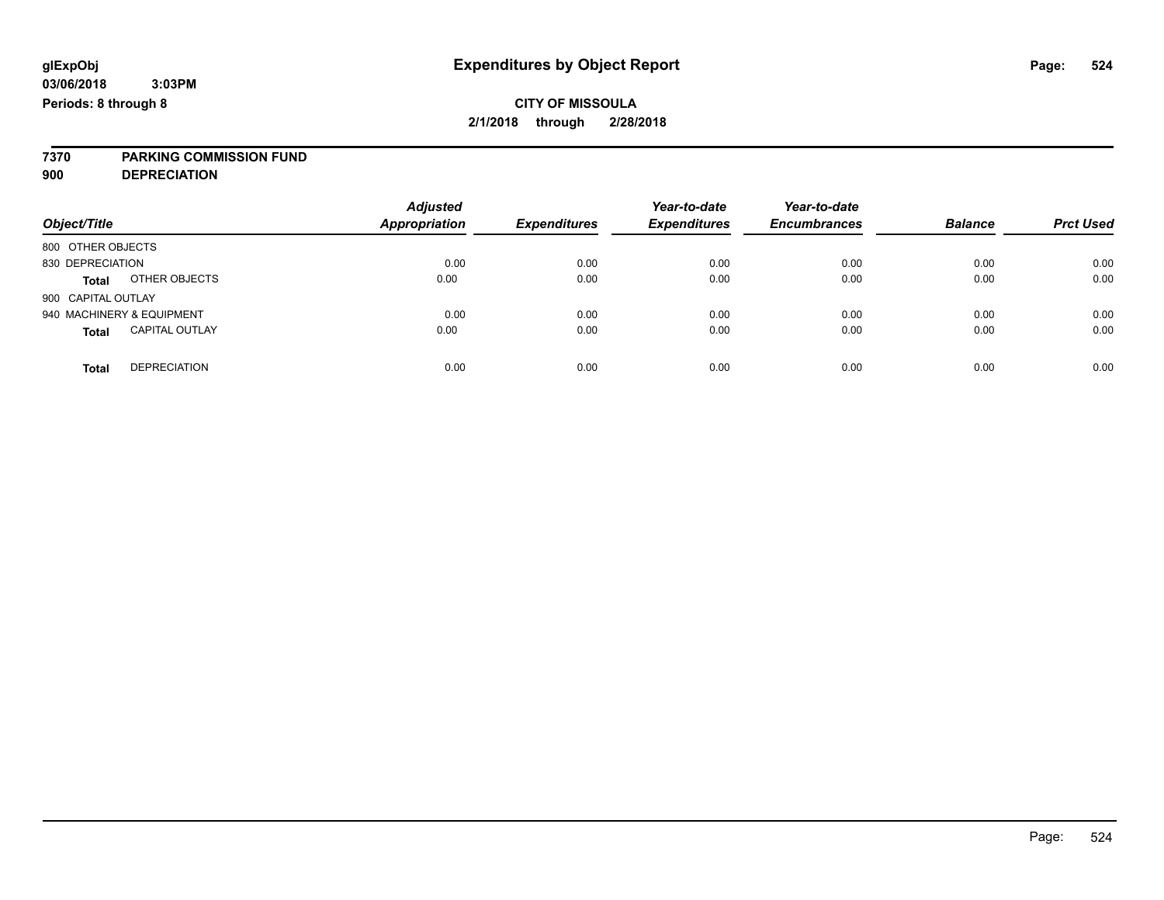# **7370 PARKING COMMISSION FUND**

**900 DEPRECIATION**

| Object/Title                          | <b>Adjusted</b><br><b>Appropriation</b> | <b>Expenditures</b> | Year-to-date<br><b>Expenditures</b> | Year-to-date<br><b>Encumbrances</b> | <b>Balance</b> | <b>Prct Used</b> |
|---------------------------------------|-----------------------------------------|---------------------|-------------------------------------|-------------------------------------|----------------|------------------|
| 800 OTHER OBJECTS                     |                                         |                     |                                     |                                     |                |                  |
| 830 DEPRECIATION                      | 0.00                                    | 0.00                | 0.00                                | 0.00                                | 0.00           | 0.00             |
| OTHER OBJECTS<br><b>Total</b>         | 0.00                                    | 0.00                | 0.00                                | 0.00                                | 0.00           | 0.00             |
| 900 CAPITAL OUTLAY                    |                                         |                     |                                     |                                     |                |                  |
| 940 MACHINERY & EQUIPMENT             | 0.00                                    | 0.00                | 0.00                                | 0.00                                | 0.00           | 0.00             |
| <b>CAPITAL OUTLAY</b><br><b>Total</b> | 0.00                                    | 0.00                | 0.00                                | 0.00                                | 0.00           | 0.00             |
|                                       |                                         |                     |                                     |                                     |                |                  |
| <b>DEPRECIATION</b><br>Total          | 0.00                                    | 0.00                | 0.00                                | 0.00                                | 0.00           | 0.00             |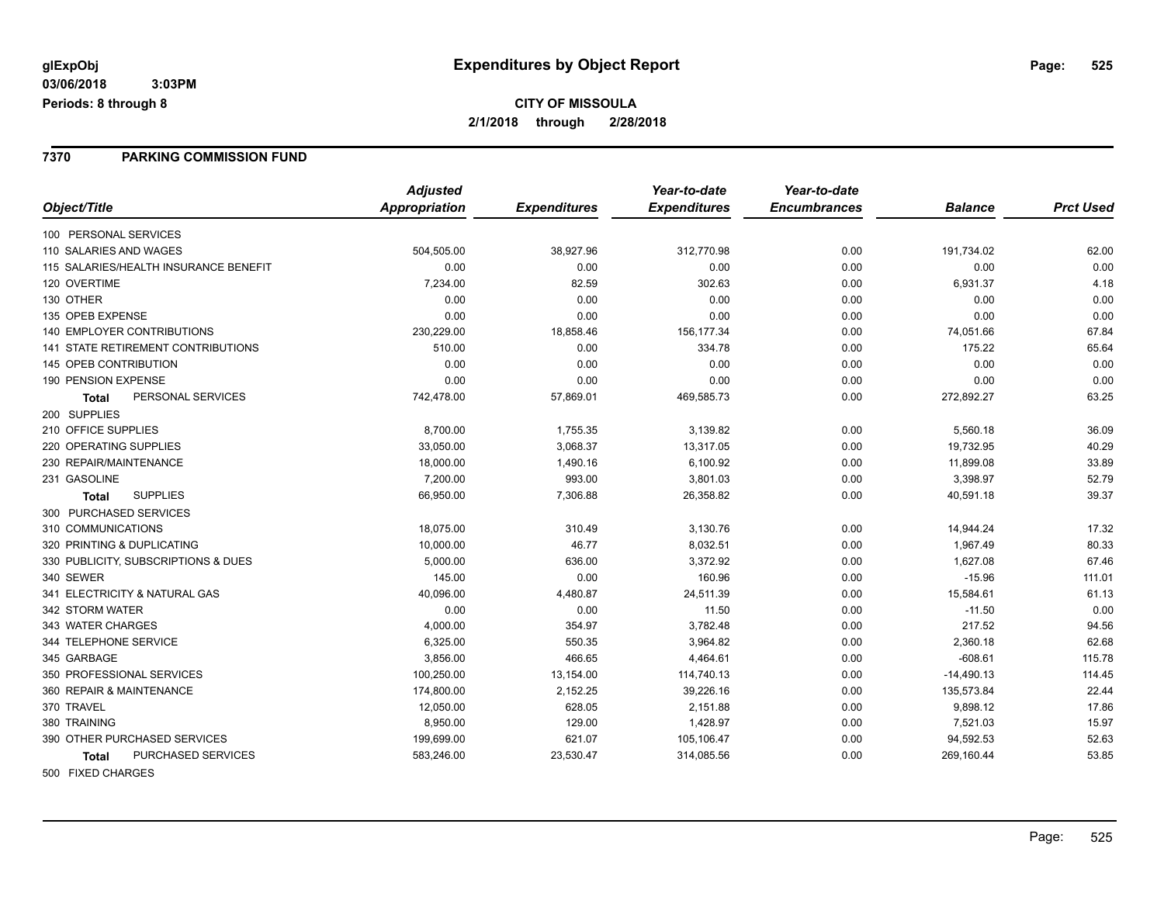#### **7370 PARKING COMMISSION FUND**

|                                           | <b>Adjusted</b> |                     | Year-to-date        | Year-to-date        |                |                  |
|-------------------------------------------|-----------------|---------------------|---------------------|---------------------|----------------|------------------|
| Object/Title                              | Appropriation   | <b>Expenditures</b> | <b>Expenditures</b> | <b>Encumbrances</b> | <b>Balance</b> | <b>Prct Used</b> |
| 100 PERSONAL SERVICES                     |                 |                     |                     |                     |                |                  |
| 110 SALARIES AND WAGES                    | 504,505.00      | 38,927.96           | 312,770.98          | 0.00                | 191,734.02     | 62.00            |
| 115 SALARIES/HEALTH INSURANCE BENEFIT     | 0.00            | 0.00                | 0.00                | 0.00                | 0.00           | 0.00             |
| 120 OVERTIME                              | 7,234.00        | 82.59               | 302.63              | 0.00                | 6,931.37       | 4.18             |
| 130 OTHER                                 | 0.00            | 0.00                | 0.00                | 0.00                | 0.00           | 0.00             |
| 135 OPEB EXPENSE                          | 0.00            | 0.00                | 0.00                | 0.00                | 0.00           | 0.00             |
| <b>140 EMPLOYER CONTRIBUTIONS</b>         | 230,229.00      | 18,858.46           | 156, 177.34         | 0.00                | 74,051.66      | 67.84            |
| 141 STATE RETIREMENT CONTRIBUTIONS        | 510.00          | 0.00                | 334.78              | 0.00                | 175.22         | 65.64            |
| <b>145 OPEB CONTRIBUTION</b>              | 0.00            | 0.00                | 0.00                | 0.00                | 0.00           | 0.00             |
| 190 PENSION EXPENSE                       | 0.00            | 0.00                | 0.00                | 0.00                | 0.00           | 0.00             |
| PERSONAL SERVICES<br><b>Total</b>         | 742,478.00      | 57,869.01           | 469,585.73          | 0.00                | 272,892.27     | 63.25            |
| 200 SUPPLIES                              |                 |                     |                     |                     |                |                  |
| 210 OFFICE SUPPLIES                       | 8,700.00        | 1,755.35            | 3,139.82            | 0.00                | 5,560.18       | 36.09            |
| 220 OPERATING SUPPLIES                    | 33,050.00       | 3,068.37            | 13,317.05           | 0.00                | 19,732.95      | 40.29            |
| 230 REPAIR/MAINTENANCE                    | 18,000.00       | 1,490.16            | 6,100.92            | 0.00                | 11,899.08      | 33.89            |
| 231 GASOLINE                              | 7,200.00        | 993.00              | 3,801.03            | 0.00                | 3,398.97       | 52.79            |
| <b>SUPPLIES</b><br>Total                  | 66,950.00       | 7,306.88            | 26,358.82           | 0.00                | 40,591.18      | 39.37            |
| 300 PURCHASED SERVICES                    |                 |                     |                     |                     |                |                  |
| 310 COMMUNICATIONS                        | 18,075.00       | 310.49              | 3,130.76            | 0.00                | 14,944.24      | 17.32            |
| 320 PRINTING & DUPLICATING                | 10,000.00       | 46.77               | 8,032.51            | 0.00                | 1,967.49       | 80.33            |
| 330 PUBLICITY, SUBSCRIPTIONS & DUES       | 5,000.00        | 636.00              | 3,372.92            | 0.00                | 1,627.08       | 67.46            |
| 340 SEWER                                 | 145.00          | 0.00                | 160.96              | 0.00                | $-15.96$       | 111.01           |
| 341 ELECTRICITY & NATURAL GAS             | 40,096.00       | 4,480.87            | 24,511.39           | 0.00                | 15,584.61      | 61.13            |
| 342 STORM WATER                           | 0.00            | 0.00                | 11.50               | 0.00                | $-11.50$       | 0.00             |
| 343 WATER CHARGES                         | 4,000.00        | 354.97              | 3,782.48            | 0.00                | 217.52         | 94.56            |
| 344 TELEPHONE SERVICE                     | 6,325.00        | 550.35              | 3,964.82            | 0.00                | 2,360.18       | 62.68            |
| 345 GARBAGE                               | 3,856.00        | 466.65              | 4,464.61            | 0.00                | $-608.61$      | 115.78           |
| 350 PROFESSIONAL SERVICES                 | 100,250.00      | 13,154.00           | 114,740.13          | 0.00                | $-14,490.13$   | 114.45           |
| 360 REPAIR & MAINTENANCE                  | 174,800.00      | 2,152.25            | 39,226.16           | 0.00                | 135,573.84     | 22.44            |
| 370 TRAVEL                                | 12,050.00       | 628.05              | 2,151.88            | 0.00                | 9,898.12       | 17.86            |
| 380 TRAINING                              | 8,950.00        | 129.00              | 1,428.97            | 0.00                | 7,521.03       | 15.97            |
| 390 OTHER PURCHASED SERVICES              | 199,699.00      | 621.07              | 105,106.47          | 0.00                | 94,592.53      | 52.63            |
| <b>PURCHASED SERVICES</b><br><b>Total</b> | 583,246.00      | 23,530.47           | 314,085.56          | 0.00                | 269,160.44     | 53.85            |
|                                           |                 |                     |                     |                     |                |                  |

500 FIXED CHARGES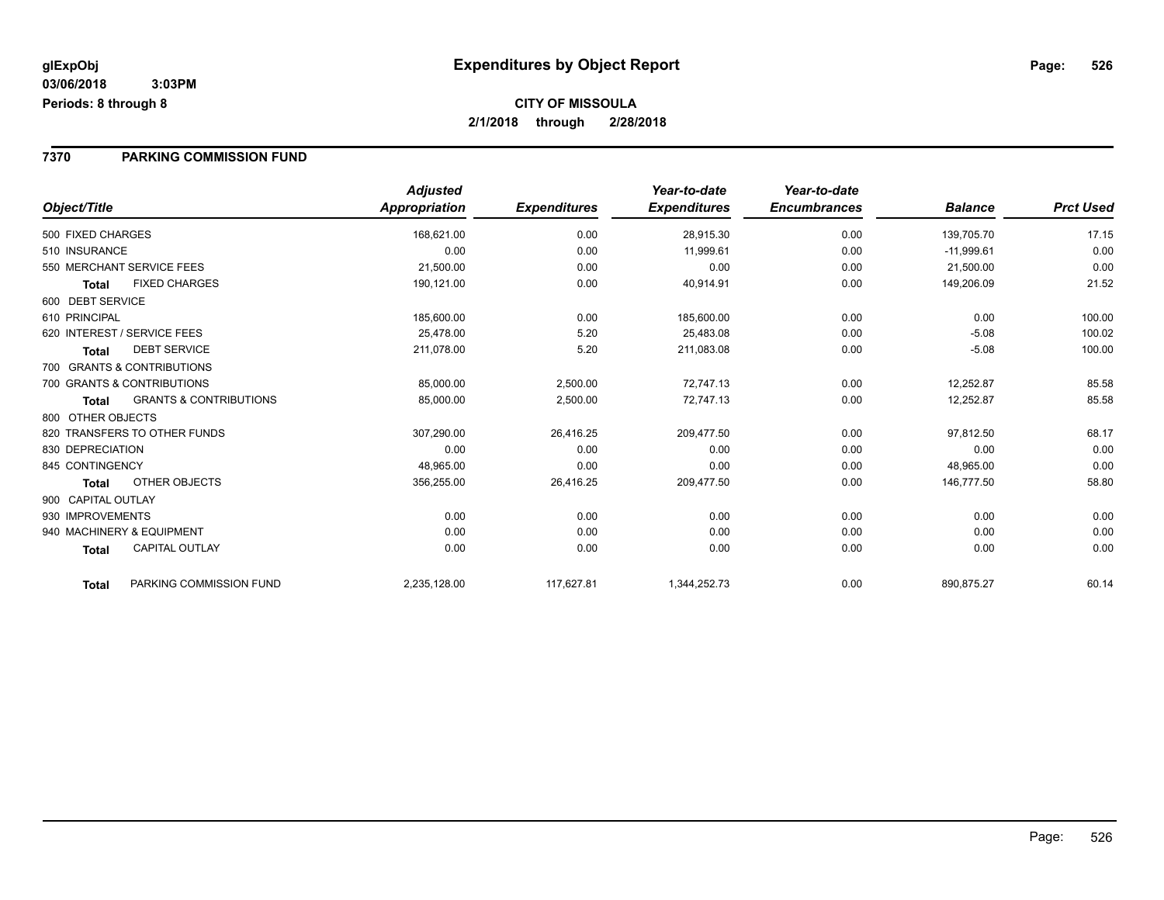#### **7370 PARKING COMMISSION FUND**

|                             |                                   | <b>Adjusted</b>      |                     | Year-to-date        | Year-to-date        |                |                  |
|-----------------------------|-----------------------------------|----------------------|---------------------|---------------------|---------------------|----------------|------------------|
| Object/Title                |                                   | <b>Appropriation</b> | <b>Expenditures</b> | <b>Expenditures</b> | <b>Encumbrances</b> | <b>Balance</b> | <b>Prct Used</b> |
| 500 FIXED CHARGES           |                                   | 168,621.00           | 0.00                | 28,915.30           | 0.00                | 139,705.70     | 17.15            |
| 510 INSURANCE               |                                   | 0.00                 | 0.00                | 11,999.61           | 0.00                | $-11,999.61$   | 0.00             |
| 550 MERCHANT SERVICE FEES   |                                   | 21,500.00            | 0.00                | 0.00                | 0.00                | 21,500.00      | 0.00             |
| <b>Total</b>                | <b>FIXED CHARGES</b>              | 190,121.00           | 0.00                | 40,914.91           | 0.00                | 149,206.09     | 21.52            |
| 600 DEBT SERVICE            |                                   |                      |                     |                     |                     |                |                  |
| 610 PRINCIPAL               |                                   | 185,600.00           | 0.00                | 185,600.00          | 0.00                | 0.00           | 100.00           |
| 620 INTEREST / SERVICE FEES |                                   | 25,478.00            | 5.20                | 25,483.08           | 0.00                | $-5.08$        | 100.02           |
| <b>Total</b>                | <b>DEBT SERVICE</b>               | 211,078.00           | 5.20                | 211,083.08          | 0.00                | $-5.08$        | 100.00           |
|                             | 700 GRANTS & CONTRIBUTIONS        |                      |                     |                     |                     |                |                  |
| 700 GRANTS & CONTRIBUTIONS  |                                   | 85,000.00            | 2,500.00            | 72,747.13           | 0.00                | 12,252.87      | 85.58            |
| <b>Total</b>                | <b>GRANTS &amp; CONTRIBUTIONS</b> | 85,000.00            | 2,500.00            | 72,747.13           | 0.00                | 12,252.87      | 85.58            |
| 800 OTHER OBJECTS           |                                   |                      |                     |                     |                     |                |                  |
|                             | 820 TRANSFERS TO OTHER FUNDS      | 307,290.00           | 26,416.25           | 209,477.50          | 0.00                | 97,812.50      | 68.17            |
| 830 DEPRECIATION            |                                   | 0.00                 | 0.00                | 0.00                | 0.00                | 0.00           | 0.00             |
| 845 CONTINGENCY             |                                   | 48,965.00            | 0.00                | 0.00                | 0.00                | 48,965.00      | 0.00             |
| Total                       | OTHER OBJECTS                     | 356,255.00           | 26,416.25           | 209,477.50          | 0.00                | 146,777.50     | 58.80            |
| 900 CAPITAL OUTLAY          |                                   |                      |                     |                     |                     |                |                  |
| 930 IMPROVEMENTS            |                                   | 0.00                 | 0.00                | 0.00                | 0.00                | 0.00           | 0.00             |
| 940 MACHINERY & EQUIPMENT   |                                   | 0.00                 | 0.00                | 0.00                | 0.00                | 0.00           | 0.00             |
| <b>Total</b>                | <b>CAPITAL OUTLAY</b>             | 0.00                 | 0.00                | 0.00                | 0.00                | 0.00           | 0.00             |
| <b>Total</b>                | PARKING COMMISSION FUND           | 2,235,128.00         | 117,627.81          | 1,344,252.73        | 0.00                | 890,875.27     | 60.14            |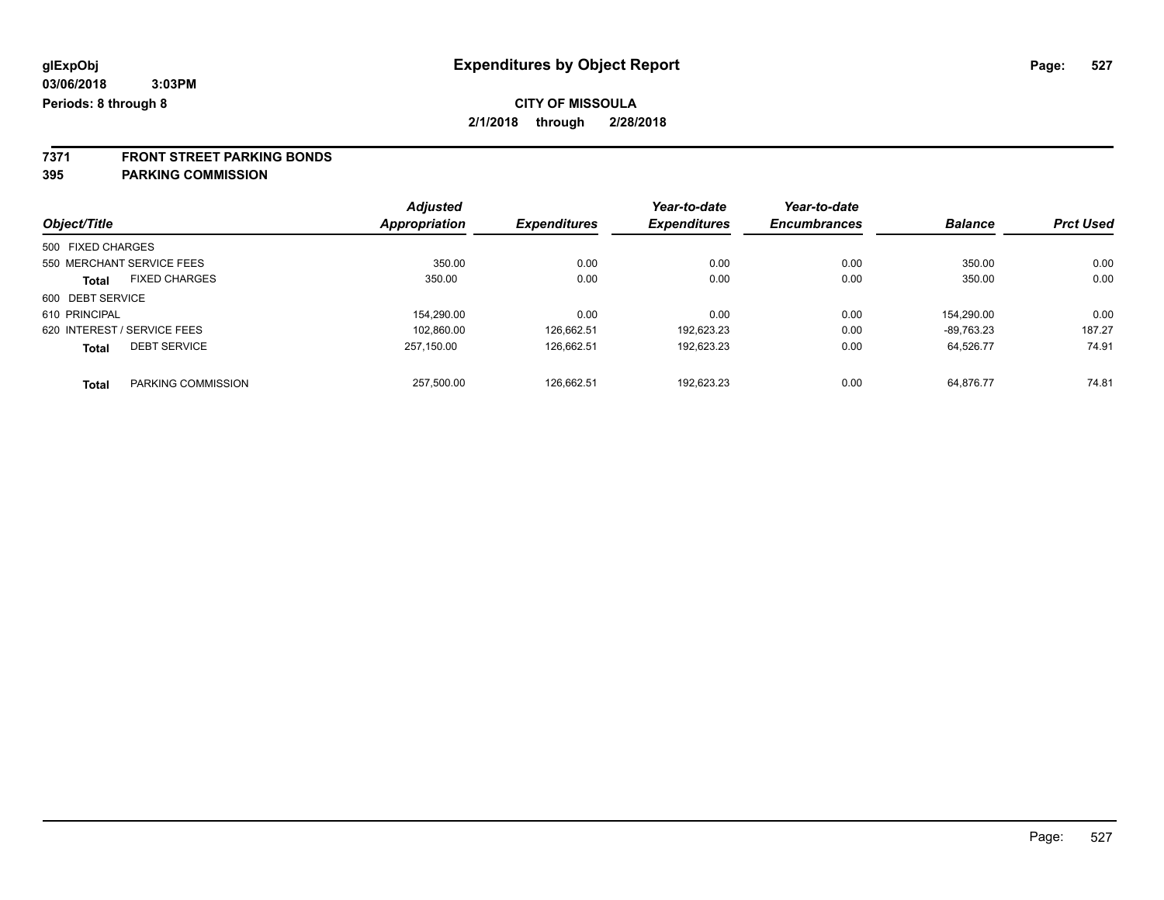# **7371 FRONT STREET PARKING BONDS**

#### **395 PARKING COMMISSION**

|                   |                             | <b>Adjusted</b> |                     | Year-to-date        | Year-to-date        |                |                  |
|-------------------|-----------------------------|-----------------|---------------------|---------------------|---------------------|----------------|------------------|
| Object/Title      |                             | Appropriation   | <b>Expenditures</b> | <b>Expenditures</b> | <b>Encumbrances</b> | <b>Balance</b> | <b>Prct Used</b> |
| 500 FIXED CHARGES |                             |                 |                     |                     |                     |                |                  |
|                   | 550 MERCHANT SERVICE FEES   | 350.00          | 0.00                | 0.00                | 0.00                | 350.00         | 0.00             |
| Total             | <b>FIXED CHARGES</b>        | 350.00          | 0.00                | 0.00                | 0.00                | 350.00         | 0.00             |
| 600 DEBT SERVICE  |                             |                 |                     |                     |                     |                |                  |
| 610 PRINCIPAL     |                             | 154.290.00      | 0.00                | 0.00                | 0.00                | 154.290.00     | 0.00             |
|                   | 620 INTEREST / SERVICE FEES | 102.860.00      | 126.662.51          | 192.623.23          | 0.00                | -89.763.23     | 187.27           |
| <b>Total</b>      | <b>DEBT SERVICE</b>         | 257.150.00      | 126,662.51          | 192,623.23          | 0.00                | 64,526.77      | 74.91            |
| <b>Total</b>      | PARKING COMMISSION          | 257.500.00      | 126.662.51          | 192.623.23          | 0.00                | 64.876.77      | 74.81            |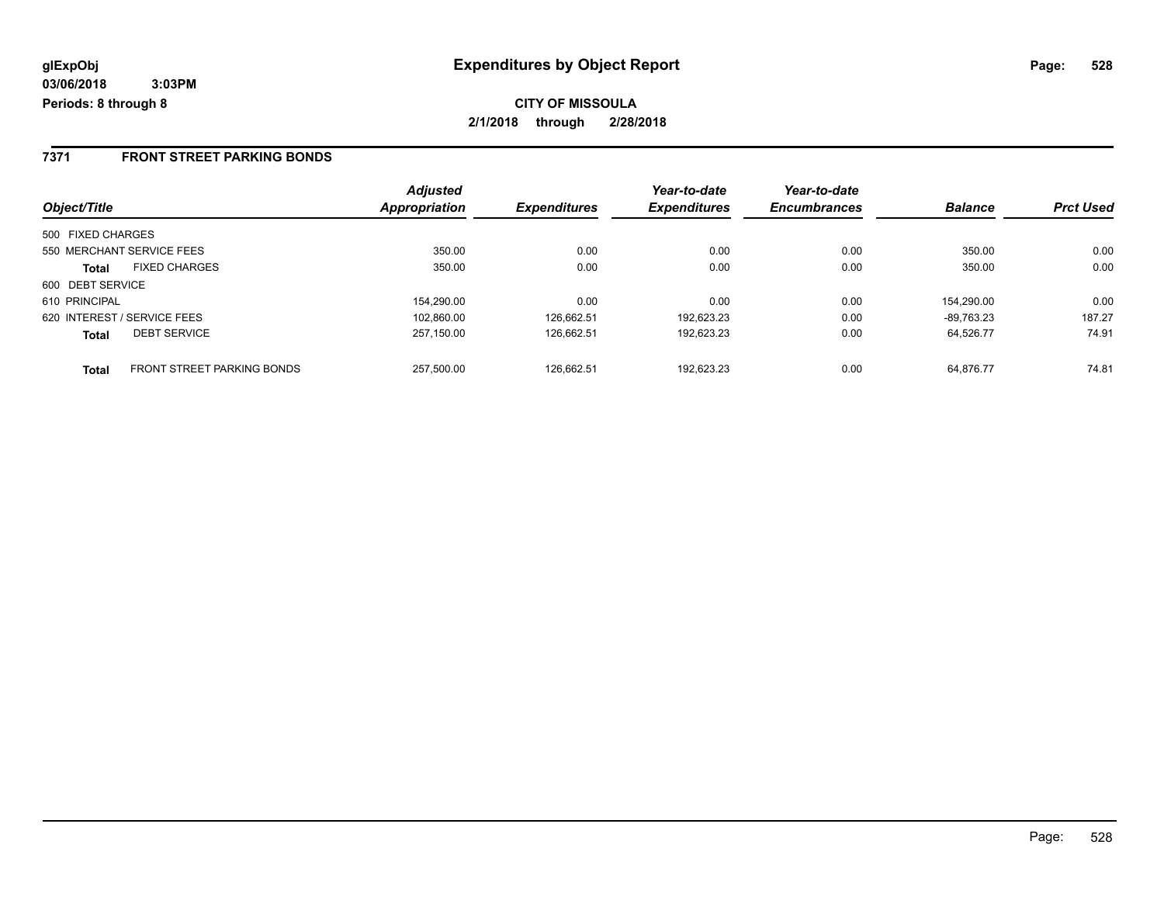#### **7371 FRONT STREET PARKING BONDS**

|                                                   | <b>Adjusted</b> |                     | Year-to-date        | Year-to-date        |                |                  |
|---------------------------------------------------|-----------------|---------------------|---------------------|---------------------|----------------|------------------|
| Object/Title                                      | Appropriation   | <b>Expenditures</b> | <b>Expenditures</b> | <b>Encumbrances</b> | <b>Balance</b> | <b>Prct Used</b> |
| 500 FIXED CHARGES                                 |                 |                     |                     |                     |                |                  |
| 550 MERCHANT SERVICE FEES                         | 350.00          | 0.00                | 0.00                | 0.00                | 350.00         | 0.00             |
| <b>FIXED CHARGES</b><br>Total                     | 350.00          | 0.00                | 0.00                | 0.00                | 350.00         | 0.00             |
| 600 DEBT SERVICE                                  |                 |                     |                     |                     |                |                  |
| 610 PRINCIPAL                                     | 154.290.00      | 0.00                | 0.00                | 0.00                | 154.290.00     | 0.00             |
| 620 INTEREST / SERVICE FEES                       | 102,860.00      | 126.662.51          | 192.623.23          | 0.00                | $-89.763.23$   | 187.27           |
| <b>DEBT SERVICE</b><br><b>Total</b>               | 257.150.00      | 126.662.51          | 192.623.23          | 0.00                | 64.526.77      | 74.91            |
| <b>FRONT STREET PARKING BONDS</b><br><b>Total</b> | 257.500.00      | 126.662.51          | 192.623.23          | 0.00                | 64.876.77      | 74.81            |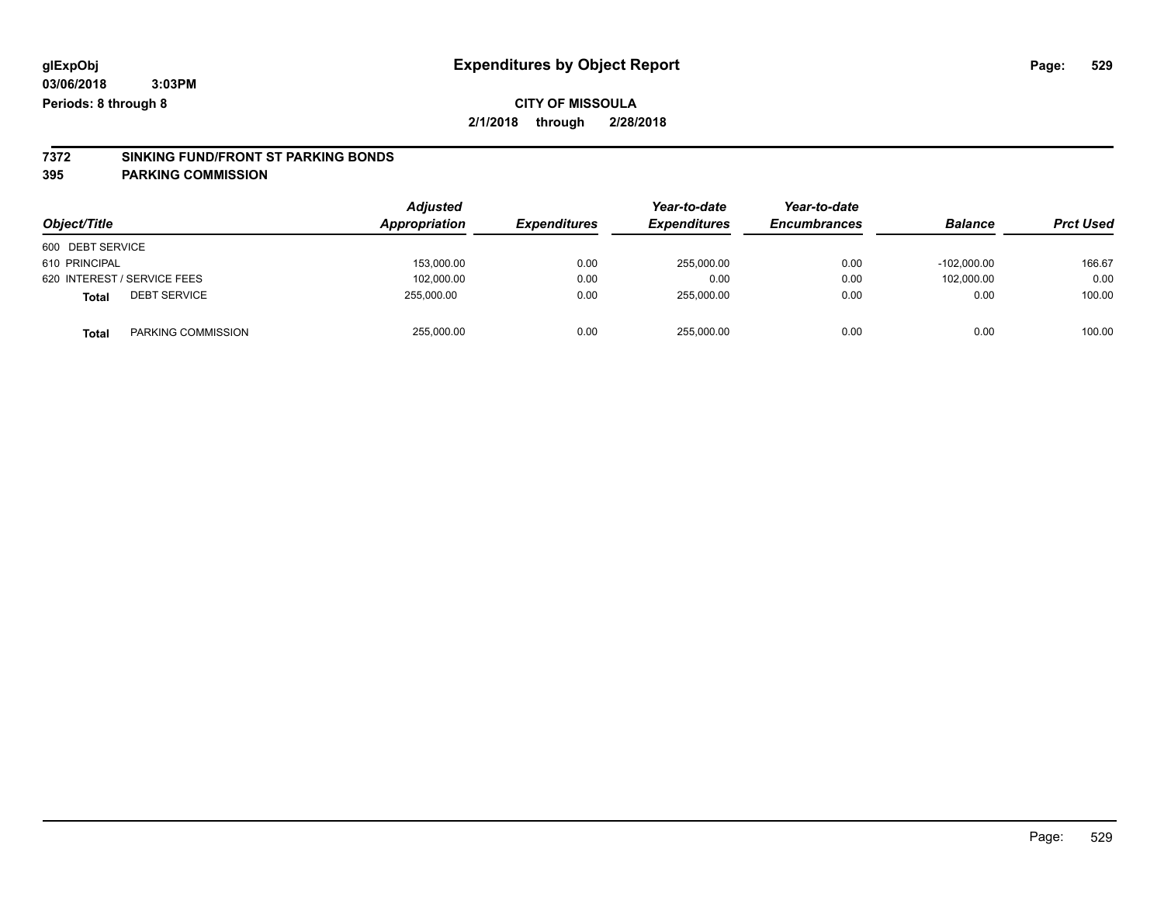### **CITY OF MISSOULA**

**2/1/2018 through 2/28/2018**

# **7372 SINKING FUND/FRONT ST PARKING BONDS**

**395 PARKING COMMISSION**

|                              | <b>Adjusted</b><br>Appropriation | <b>Expenditures</b> | Year-to-date        | Year-to-date        | <b>Balance</b> |                  |
|------------------------------|----------------------------------|---------------------|---------------------|---------------------|----------------|------------------|
| Object/Title                 |                                  |                     | <b>Expenditures</b> | <b>Encumbrances</b> |                | <b>Prct Used</b> |
| 600 DEBT SERVICE             |                                  |                     |                     |                     |                |                  |
| 610 PRINCIPAL                | 153,000.00                       | 0.00                | 255,000.00          | 0.00                | $-102.000.00$  | 166.67           |
| 620 INTEREST / SERVICE FEES  | 102,000.00                       | 0.00                | 0.00                | 0.00                | 102.000.00     | 0.00             |
| <b>DEBT SERVICE</b><br>Total | 255.000.00                       | 0.00                | 255.000.00          | 0.00                | 0.00           | 100.00           |
| PARKING COMMISSION<br>Total  | 255,000.00                       | 0.00                | 255,000.00          | 0.00                | 0.00           | 100.00           |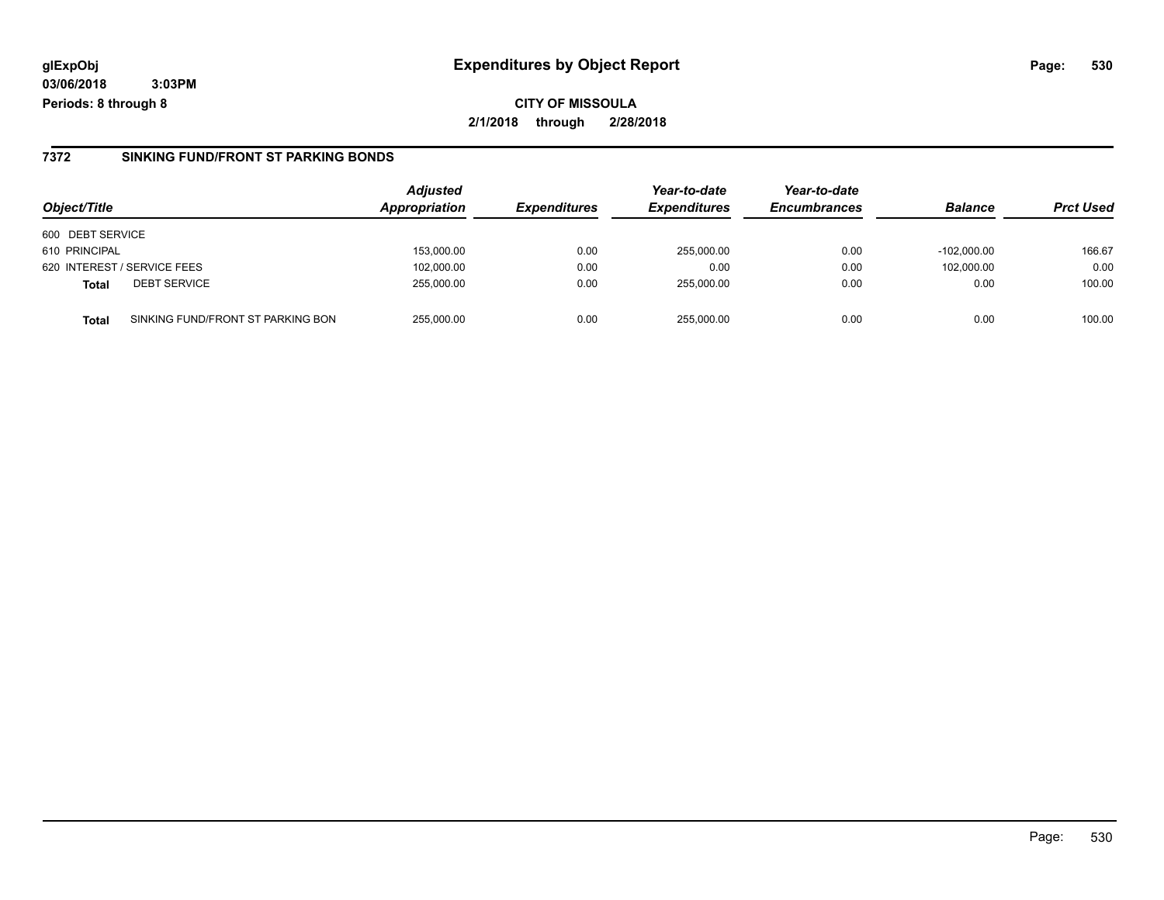**CITY OF MISSOULA 2/1/2018 through 2/28/2018**

#### **7372 SINKING FUND/FRONT ST PARKING BONDS**

| Object/Title                        |                                   | <b>Adjusted</b><br>Appropriation | <b>Expenditures</b> | Year-to-date<br><b>Expenditures</b> | Year-to-date<br><b>Encumbrances</b> | <b>Balance</b> | <b>Prct Used</b> |
|-------------------------------------|-----------------------------------|----------------------------------|---------------------|-------------------------------------|-------------------------------------|----------------|------------------|
| 600 DEBT SERVICE                    |                                   |                                  |                     |                                     |                                     |                |                  |
| 610 PRINCIPAL                       |                                   | 153,000.00                       | 0.00                | 255,000.00                          | 0.00                                | $-102.000.00$  | 166.67           |
| 620 INTEREST / SERVICE FEES         |                                   | 102,000.00                       | 0.00                | 0.00                                | 0.00                                | 102.000.00     | 0.00             |
| <b>DEBT SERVICE</b><br><b>Total</b> |                                   | 255,000.00                       | 0.00                | 255,000.00                          | 0.00                                | 0.00           | 100.00           |
| <b>Total</b>                        | SINKING FUND/FRONT ST PARKING BON | 255,000.00                       | 0.00                | 255.000.00                          | 0.00                                | 0.00           | 100.00           |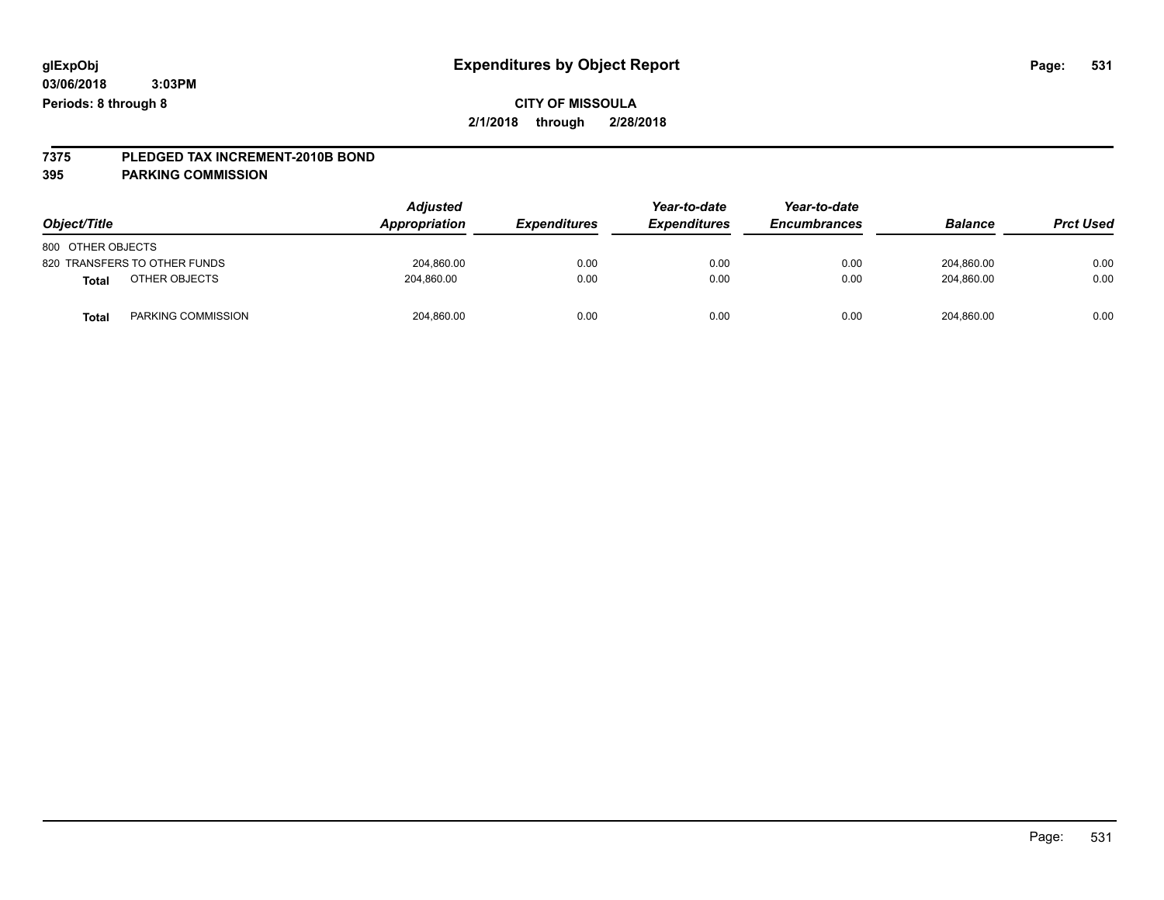# **7375 PLEDGED TAX INCREMENT-2010B BOND**

#### **395 PARKING COMMISSION**

| Object/Title      |                              | <b>Adjusted</b><br>Appropriation | <b>Expenditures</b> | Year-to-date<br><b>Expenditures</b> | Year-to-date<br><b>Encumbrances</b> | <b>Balance</b> | <b>Prct Used</b> |
|-------------------|------------------------------|----------------------------------|---------------------|-------------------------------------|-------------------------------------|----------------|------------------|
| 800 OTHER OBJECTS |                              |                                  |                     |                                     |                                     |                |                  |
|                   | 820 TRANSFERS TO OTHER FUNDS | 204,860.00                       | 0.00                | 0.00                                | 0.00                                | 204,860.00     | 0.00             |
| <b>Total</b>      | OTHER OBJECTS                | 204,860.00                       | 0.00                | 0.00                                | 0.00                                | 204,860.00     | 0.00             |
| Total             | PARKING COMMISSION           | 204,860.00                       | 0.00                | 0.00                                | 0.00                                | 204,860.00     | 0.00             |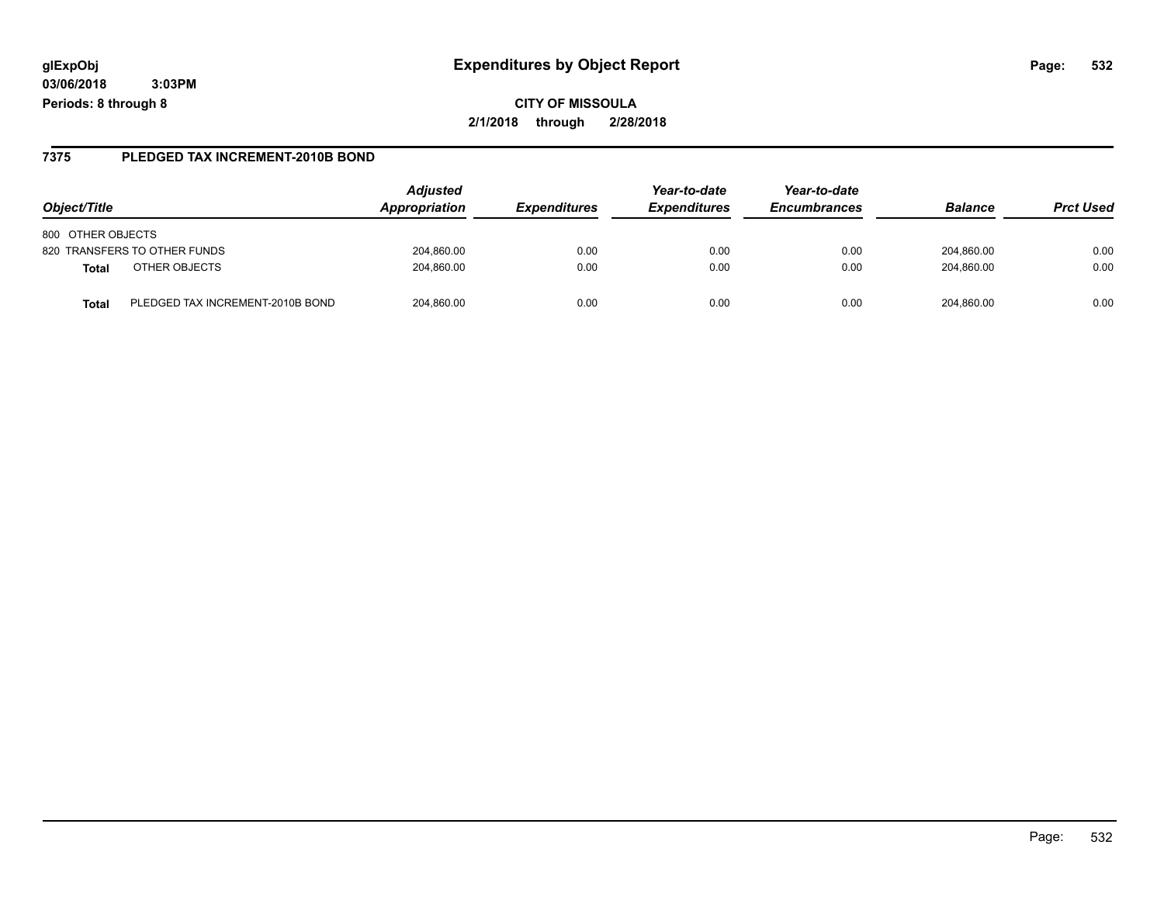#### **7375 PLEDGED TAX INCREMENT-2010B BOND**

| Object/Title                              | <b>Adjusted</b><br>Appropriation | <i><b>Expenditures</b></i> | Year-to-date<br><b>Expenditures</b> | Year-to-date<br><b>Encumbrances</b> | <b>Balance</b> | <b>Prct Used</b> |
|-------------------------------------------|----------------------------------|----------------------------|-------------------------------------|-------------------------------------|----------------|------------------|
| 800 OTHER OBJECTS                         |                                  |                            |                                     |                                     |                |                  |
| 820 TRANSFERS TO OTHER FUNDS              | 204,860.00                       | 0.00                       | 0.00                                | 0.00                                | 204,860.00     | 0.00             |
| OTHER OBJECTS<br>Total                    | 204,860.00                       | 0.00                       | 0.00                                | 0.00                                | 204.860.00     | 0.00             |
| PLEDGED TAX INCREMENT-2010B BOND<br>Total | 204.860.00                       | 0.00                       | 0.00                                | 0.00                                | 204.860.00     | 0.00             |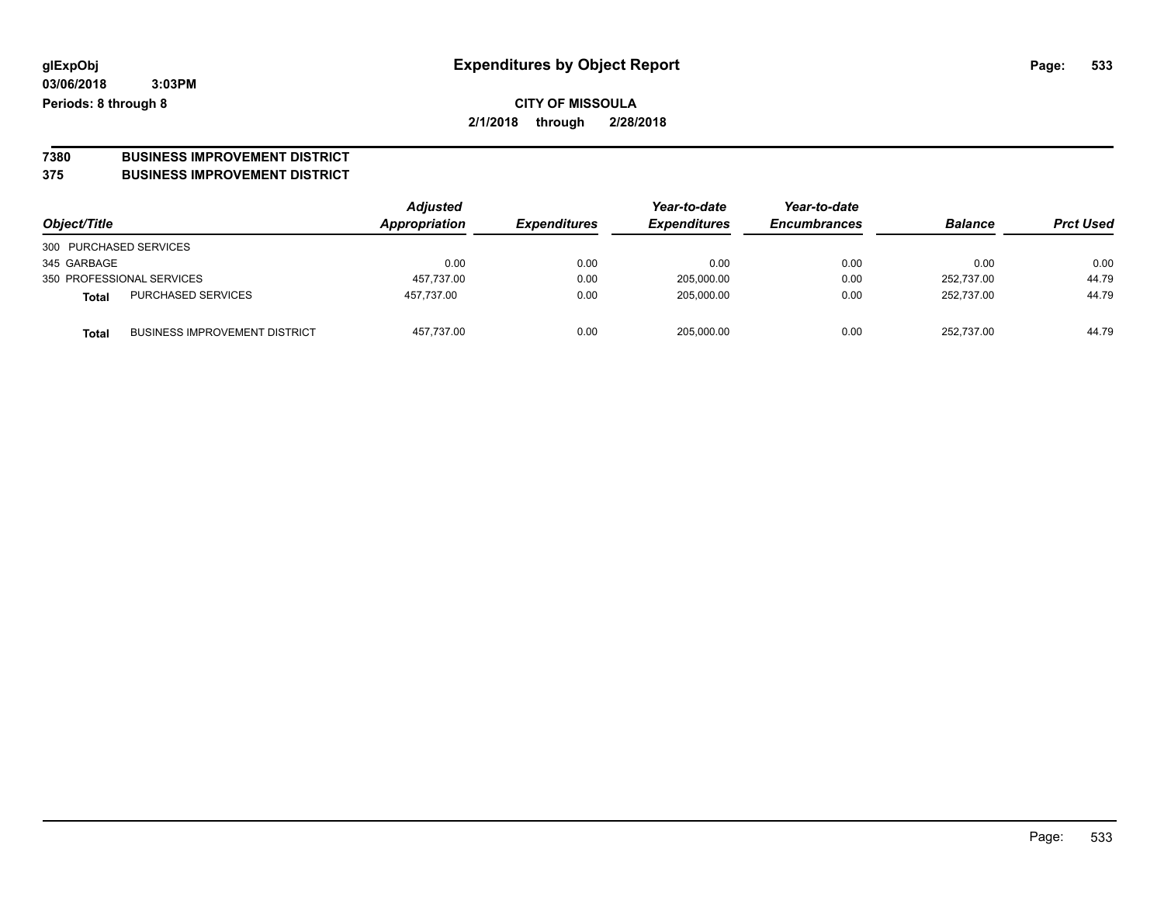# **7380 BUSINESS IMPROVEMENT DISTRICT**

#### **375 BUSINESS IMPROVEMENT DISTRICT**

| Object/Title                                         | Adjusted<br>Appropriation | <b>Expenditures</b> | Year-to-date<br><b>Expenditures</b> | Year-to-date<br><b>Encumbrances</b> | <b>Balance</b> | <b>Prct Used</b> |
|------------------------------------------------------|---------------------------|---------------------|-------------------------------------|-------------------------------------|----------------|------------------|
| 300 PURCHASED SERVICES                               |                           |                     |                                     |                                     |                |                  |
| 345 GARBAGE                                          | 0.00                      | 0.00                | 0.00                                | 0.00                                | 0.00           | 0.00             |
| 350 PROFESSIONAL SERVICES                            | 457,737.00                | 0.00                | 205,000.00                          | 0.00                                | 252.737.00     | 44.79            |
| <b>PURCHASED SERVICES</b><br><b>Total</b>            | 457.737.00                | 0.00                | 205,000.00                          | 0.00                                | 252.737.00     | 44.79            |
| <b>BUSINESS IMPROVEMENT DISTRICT</b><br><b>Total</b> | 457,737.00                | 0.00                | 205.000.00                          | 0.00                                | 252.737.00     | 44.79            |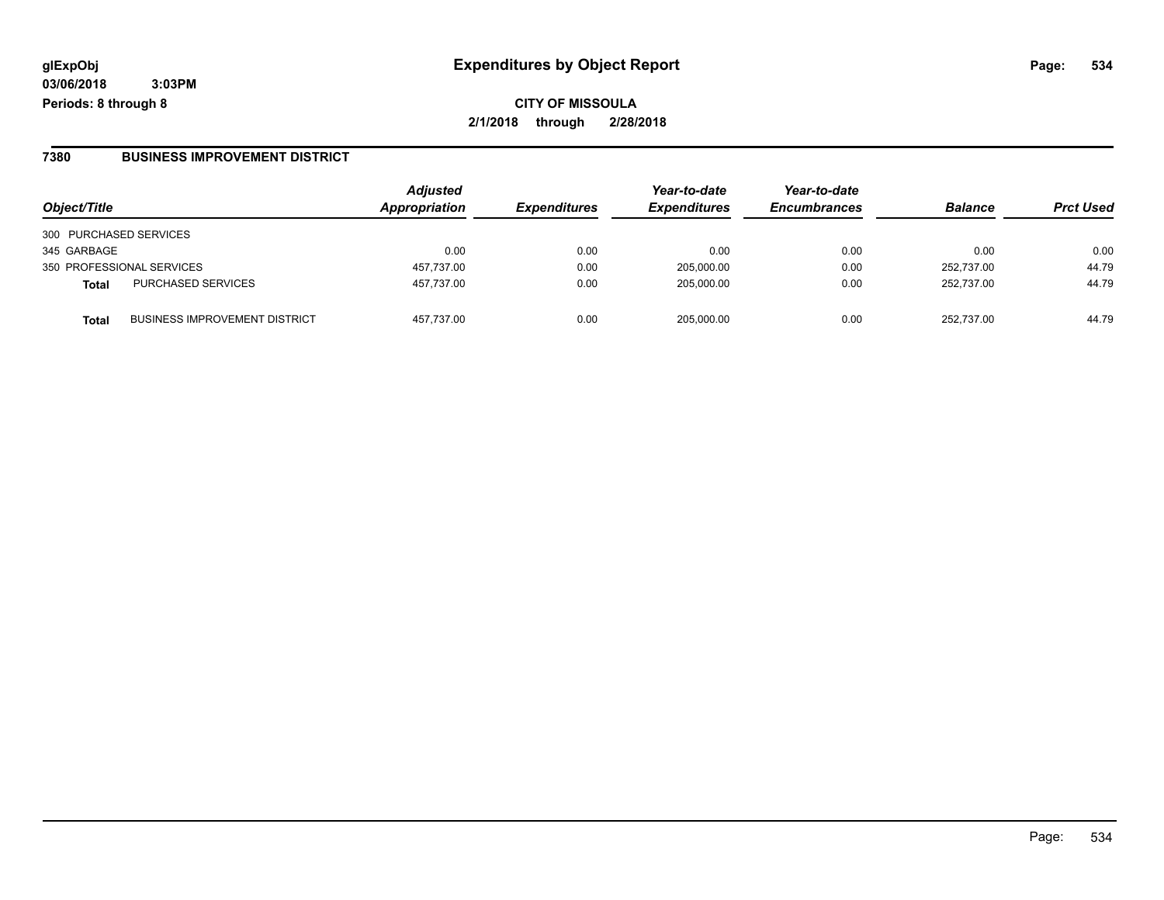**CITY OF MISSOULA 2/1/2018 through 2/28/2018**

#### **7380 BUSINESS IMPROVEMENT DISTRICT**

| Object/Title              |                                      | <b>Adjusted</b><br>Appropriation | <b>Expenditures</b> | Year-to-date<br><b>Expenditures</b> | Year-to-date<br><b>Encumbrances</b> | <b>Balance</b> | <b>Prct Used</b> |
|---------------------------|--------------------------------------|----------------------------------|---------------------|-------------------------------------|-------------------------------------|----------------|------------------|
| 300 PURCHASED SERVICES    |                                      |                                  |                     |                                     |                                     |                |                  |
| 345 GARBAGE               |                                      | 0.00                             | 0.00                | 0.00                                | 0.00                                | 0.00           | 0.00             |
| 350 PROFESSIONAL SERVICES |                                      | 457,737.00                       | 0.00                | 205,000.00                          | 0.00                                | 252,737.00     | 44.79            |
| <b>Total</b>              | <b>PURCHASED SERVICES</b>            | 457,737.00                       | 0.00                | 205.000.00                          | 0.00                                | 252.737.00     | 44.79            |
| Total                     | <b>BUSINESS IMPROVEMENT DISTRICT</b> | 457.737.00                       | 0.00                | 205.000.00                          | 0.00                                | 252.737.00     | 44.79            |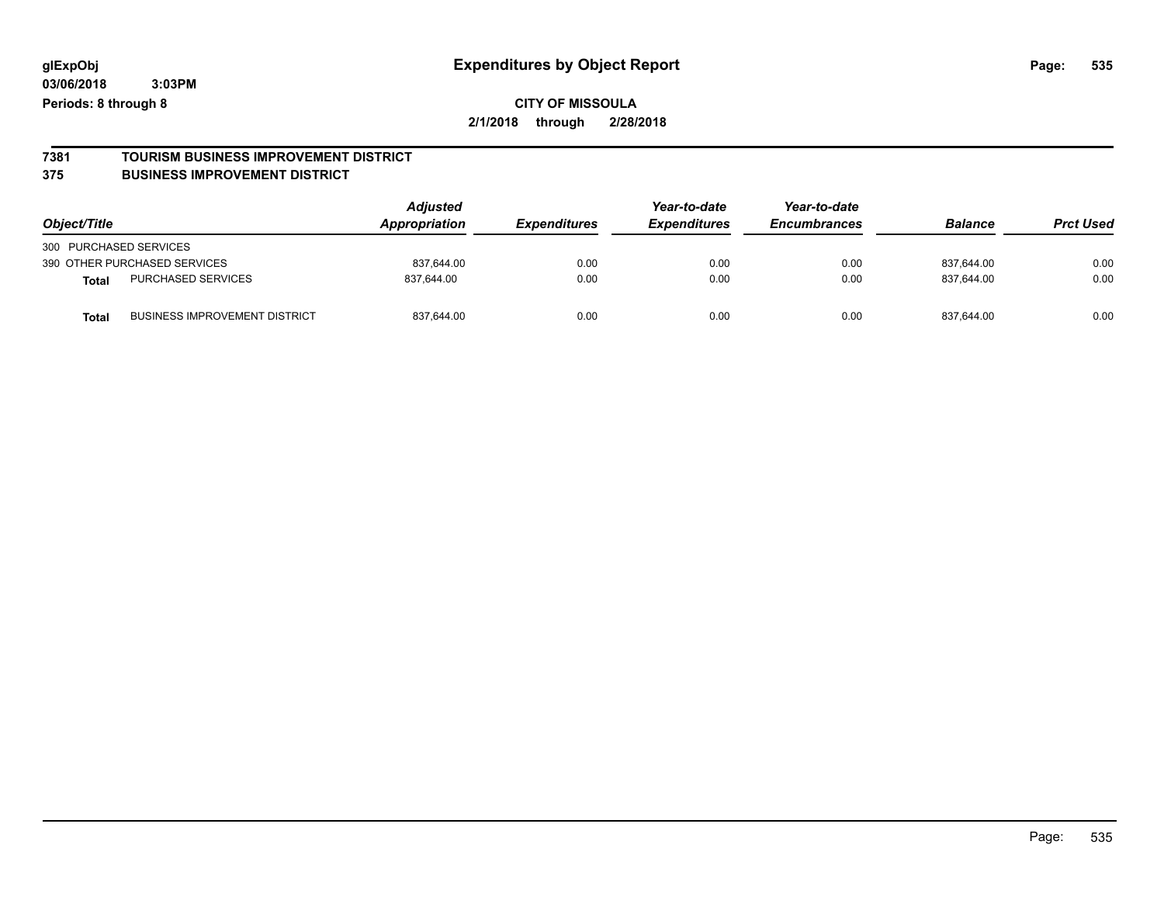**CITY OF MISSOULA 2/1/2018 through 2/28/2018**

### **7381 TOURISM BUSINESS IMPROVEMENT DISTRICT**

#### **375 BUSINESS IMPROVEMENT DISTRICT**

| Object/Title                                  | <b>Adjusted</b><br>Appropriation | <b>Expenditures</b> | Year-to-date<br><b>Expenditures</b> | Year-to-date<br><b>Encumbrances</b> | <b>Balance</b> | <b>Prct Used</b> |
|-----------------------------------------------|----------------------------------|---------------------|-------------------------------------|-------------------------------------|----------------|------------------|
| 300 PURCHASED SERVICES                        |                                  |                     |                                     |                                     |                |                  |
| 390 OTHER PURCHASED SERVICES                  | 837,644.00                       | 0.00                | 0.00                                | 0.00                                | 837.644.00     | 0.00             |
| <b>PURCHASED SERVICES</b><br><b>Total</b>     | 837.644.00                       | 0.00                | 0.00                                | 0.00                                | 837.644.00     | 0.00             |
| <b>BUSINESS IMPROVEMENT DISTRICT</b><br>Total | 837,644.00                       | 0.00                | 0.00                                | 0.00                                | 837,644.00     | 0.00             |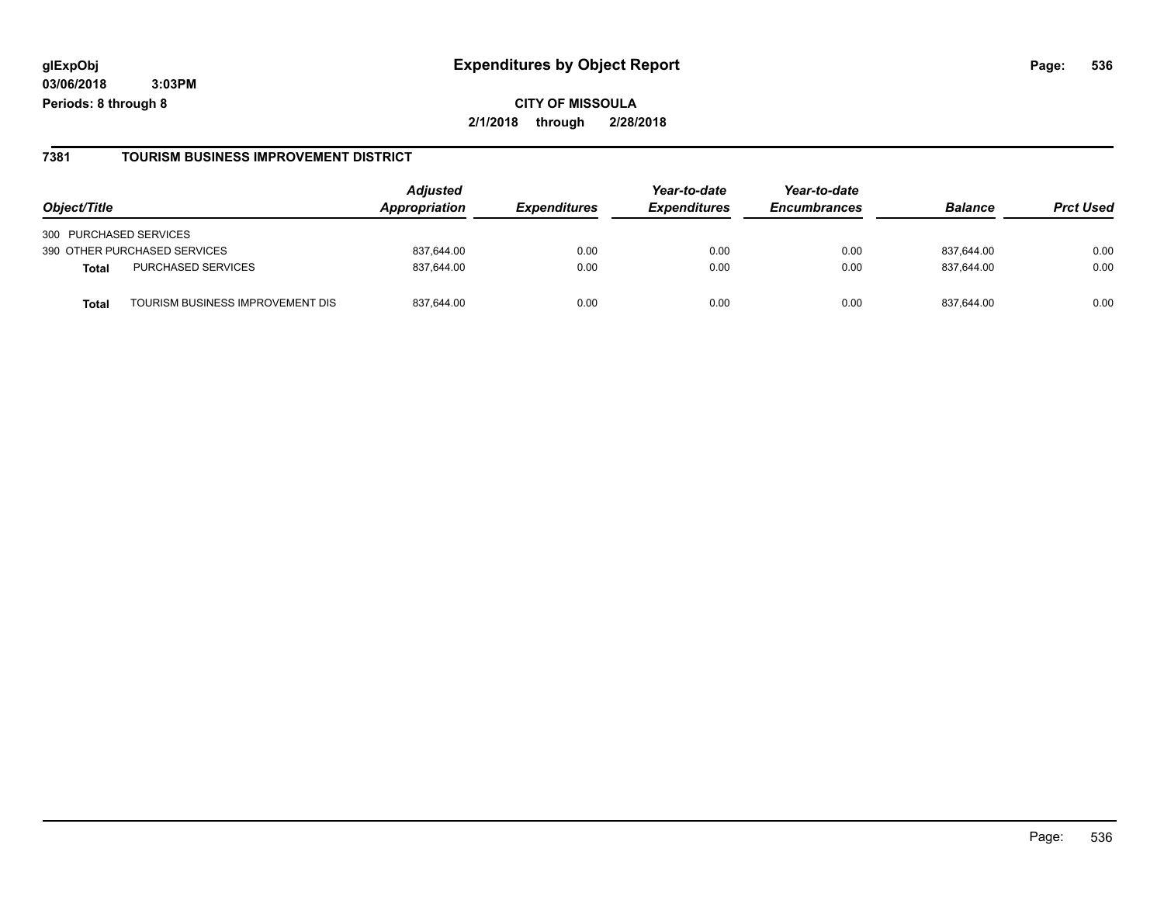#### **7381 TOURISM BUSINESS IMPROVEMENT DISTRICT**

| Object/Title                             | <b>Adjusted</b><br><b>Appropriation</b> | <i><b>Expenditures</b></i> | Year-to-date<br><b>Expenditures</b> | Year-to-date<br><b>Encumbrances</b> | <b>Balance</b> | <b>Prct Used</b> |
|------------------------------------------|-----------------------------------------|----------------------------|-------------------------------------|-------------------------------------|----------------|------------------|
| 300 PURCHASED SERVICES                   |                                         |                            |                                     |                                     |                |                  |
| 390 OTHER PURCHASED SERVICES             | 837,644.00                              | 0.00                       | 0.00                                | 0.00                                | 837,644.00     | 0.00             |
| PURCHASED SERVICES<br><b>Total</b>       | 837,644.00                              | 0.00                       | 0.00                                | 0.00                                | 837,644.00     | 0.00             |
| TOURISM BUSINESS IMPROVEMENT DIS<br>Tota | 837.644.00                              | 0.00                       | 0.00                                | 0.00                                | 837.644.00     | 0.00             |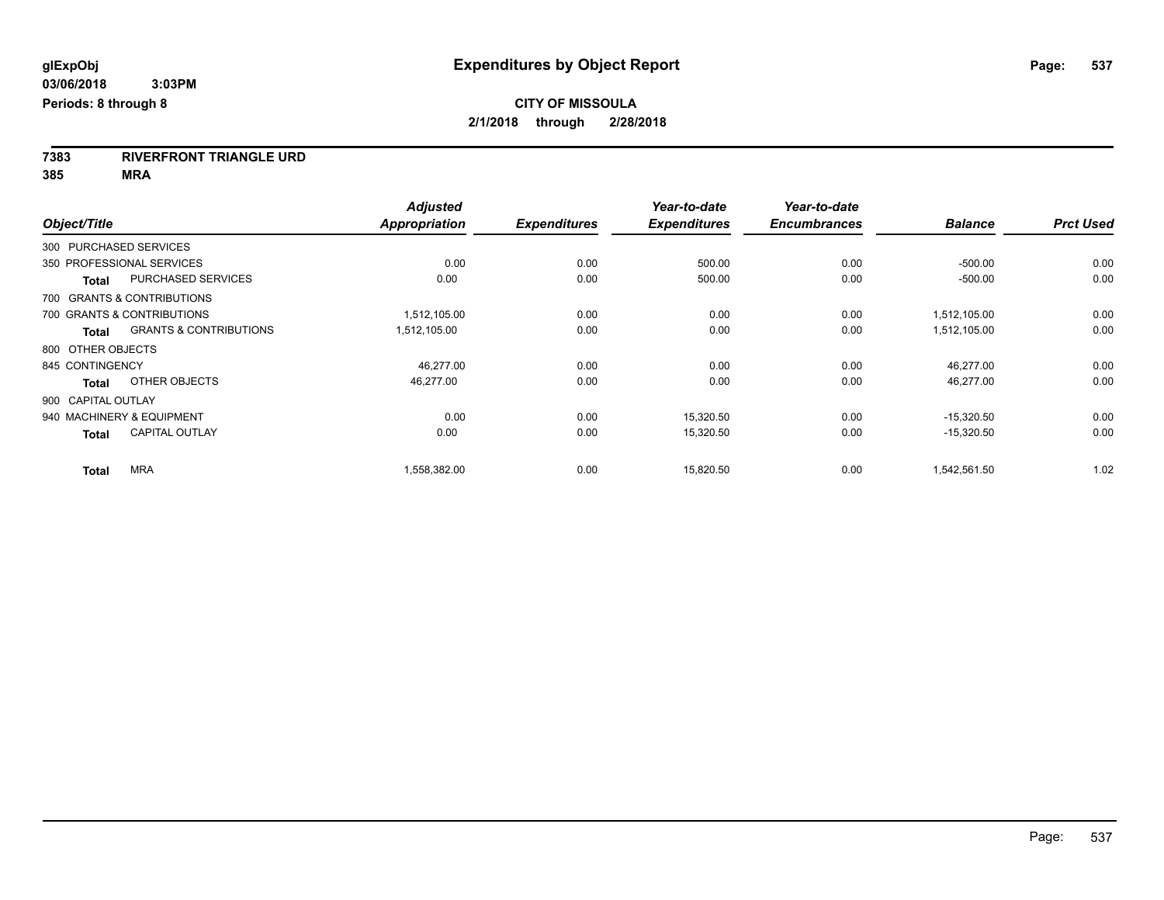**7383 RIVERFRONT TRIANGLE URD**

**385 MRA**

| Object/Title       |                                   | <b>Adjusted</b><br><b>Appropriation</b> | <b>Expenditures</b> | Year-to-date<br><b>Expenditures</b> | Year-to-date<br><b>Encumbrances</b> | <b>Balance</b> | <b>Prct Used</b> |
|--------------------|-----------------------------------|-----------------------------------------|---------------------|-------------------------------------|-------------------------------------|----------------|------------------|
|                    |                                   |                                         |                     |                                     |                                     |                |                  |
|                    | 300 PURCHASED SERVICES            |                                         |                     |                                     |                                     |                |                  |
|                    | 350 PROFESSIONAL SERVICES         | 0.00                                    | 0.00                | 500.00                              | 0.00                                | $-500.00$      | 0.00             |
| <b>Total</b>       | <b>PURCHASED SERVICES</b>         | 0.00                                    | 0.00                | 500.00                              | 0.00                                | $-500.00$      | 0.00             |
|                    | 700 GRANTS & CONTRIBUTIONS        |                                         |                     |                                     |                                     |                |                  |
|                    | 700 GRANTS & CONTRIBUTIONS        | 1,512,105.00                            | 0.00                | 0.00                                | 0.00                                | 1,512,105.00   | 0.00             |
| <b>Total</b>       | <b>GRANTS &amp; CONTRIBUTIONS</b> | 1,512,105.00                            | 0.00                | 0.00                                | 0.00                                | 1,512,105.00   | 0.00             |
| 800 OTHER OBJECTS  |                                   |                                         |                     |                                     |                                     |                |                  |
| 845 CONTINGENCY    |                                   | 46,277.00                               | 0.00                | 0.00                                | 0.00                                | 46.277.00      | 0.00             |
| <b>Total</b>       | OTHER OBJECTS                     | 46,277.00                               | 0.00                | 0.00                                | 0.00                                | 46,277.00      | 0.00             |
| 900 CAPITAL OUTLAY |                                   |                                         |                     |                                     |                                     |                |                  |
|                    | 940 MACHINERY & EQUIPMENT         | 0.00                                    | 0.00                | 15,320.50                           | 0.00                                | $-15,320.50$   | 0.00             |
| <b>Total</b>       | <b>CAPITAL OUTLAY</b>             | 0.00                                    | 0.00                | 15,320.50                           | 0.00                                | $-15,320.50$   | 0.00             |
| <b>Total</b>       | <b>MRA</b>                        | 1,558,382.00                            | 0.00                | 15,820.50                           | 0.00                                | 1,542,561.50   | 1.02             |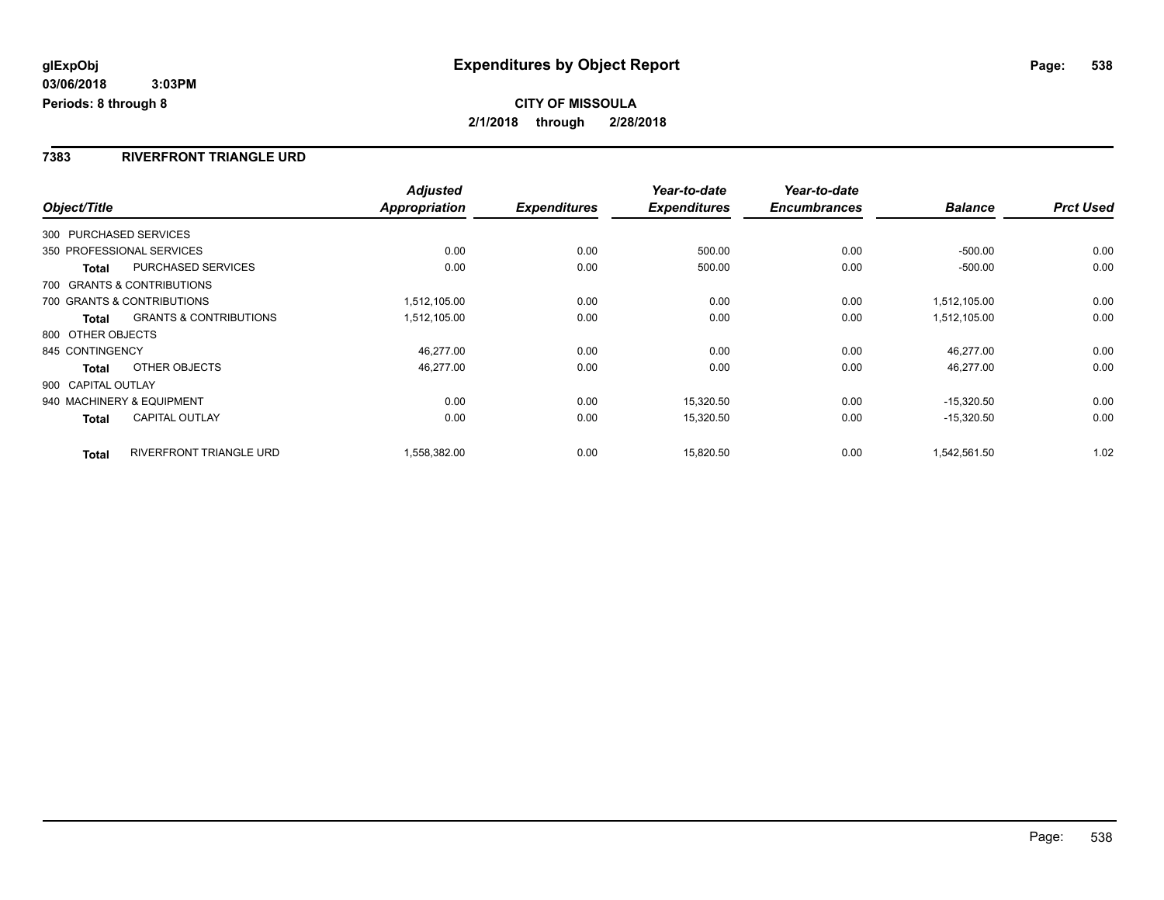#### **7383 RIVERFRONT TRIANGLE URD**

|                    |                                   | <b>Adjusted</b> |                     | Year-to-date        | Year-to-date        |                |                  |
|--------------------|-----------------------------------|-----------------|---------------------|---------------------|---------------------|----------------|------------------|
| Object/Title       |                                   | Appropriation   | <b>Expenditures</b> | <b>Expenditures</b> | <b>Encumbrances</b> | <b>Balance</b> | <b>Prct Used</b> |
|                    | 300 PURCHASED SERVICES            |                 |                     |                     |                     |                |                  |
|                    | 350 PROFESSIONAL SERVICES         | 0.00            | 0.00                | 500.00              | 0.00                | $-500.00$      | 0.00             |
| <b>Total</b>       | PURCHASED SERVICES                | 0.00            | 0.00                | 500.00              | 0.00                | $-500.00$      | 0.00             |
|                    | 700 GRANTS & CONTRIBUTIONS        |                 |                     |                     |                     |                |                  |
|                    | 700 GRANTS & CONTRIBUTIONS        | 1,512,105.00    | 0.00                | 0.00                | 0.00                | 1.512.105.00   | 0.00             |
| Total              | <b>GRANTS &amp; CONTRIBUTIONS</b> | 1,512,105.00    | 0.00                | 0.00                | 0.00                | 1,512,105.00   | 0.00             |
| 800 OTHER OBJECTS  |                                   |                 |                     |                     |                     |                |                  |
| 845 CONTINGENCY    |                                   | 46,277.00       | 0.00                | 0.00                | 0.00                | 46,277.00      | 0.00             |
| Total              | OTHER OBJECTS                     | 46,277.00       | 0.00                | 0.00                | 0.00                | 46,277.00      | 0.00             |
| 900 CAPITAL OUTLAY |                                   |                 |                     |                     |                     |                |                  |
|                    | 940 MACHINERY & EQUIPMENT         | 0.00            | 0.00                | 15,320.50           | 0.00                | $-15,320.50$   | 0.00             |
| Total              | <b>CAPITAL OUTLAY</b>             | 0.00            | 0.00                | 15,320.50           | 0.00                | $-15,320.50$   | 0.00             |
| <b>Total</b>       | <b>RIVERFRONT TRIANGLE URD</b>    | 1,558,382.00    | 0.00                | 15,820.50           | 0.00                | 1,542,561.50   | 1.02             |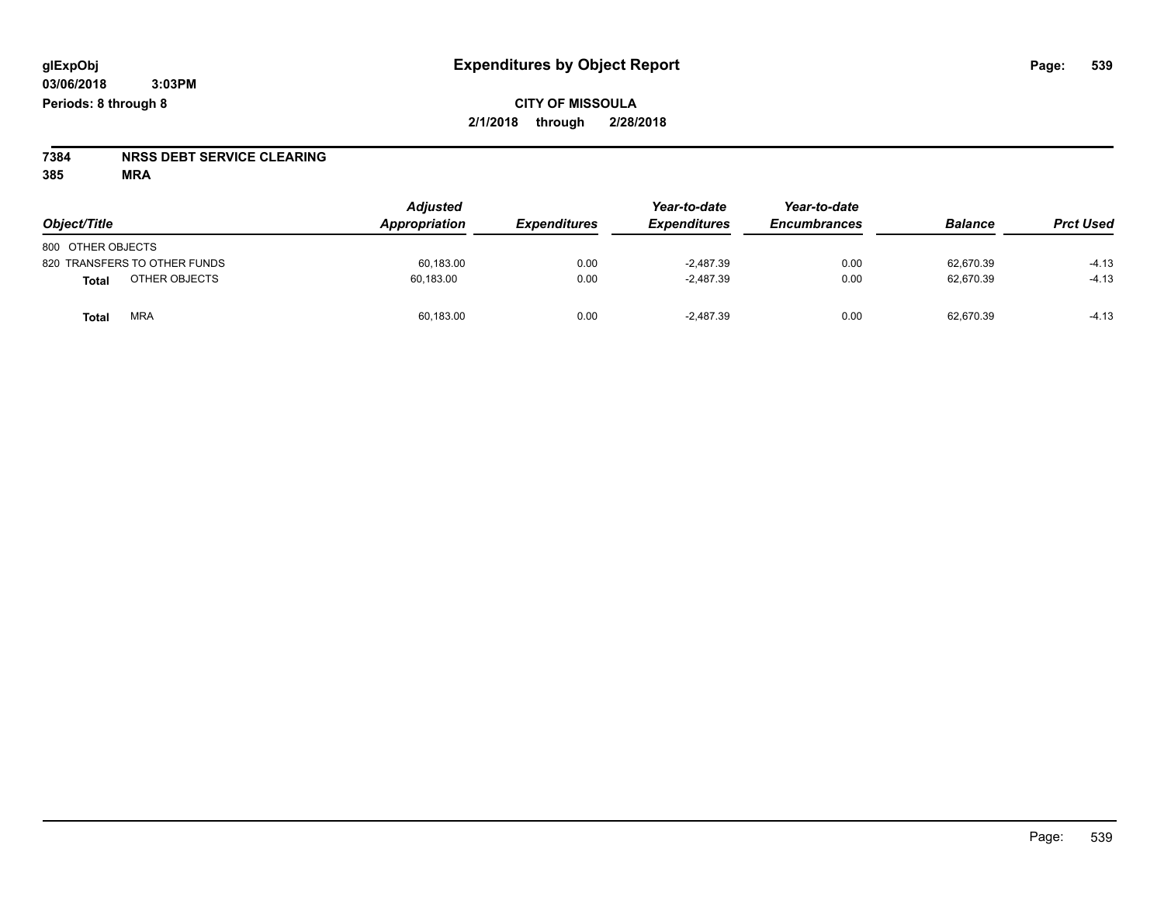# **7384 NRSS DEBT SERVICE CLEARING**

**385 MRA**

| Object/Title                 | <b>Adjusted</b><br>Appropriation | <b>Expenditures</b> | Year-to-date<br><b>Expenditures</b> | Year-to-date<br><b>Encumbrances</b> | <b>Balance</b> | <b>Prct Used</b> |
|------------------------------|----------------------------------|---------------------|-------------------------------------|-------------------------------------|----------------|------------------|
| 800 OTHER OBJECTS            |                                  |                     |                                     |                                     |                |                  |
| 820 TRANSFERS TO OTHER FUNDS | 60,183.00                        | 0.00                | $-2,487.39$                         | 0.00                                | 62,670.39      | $-4.13$          |
| OTHER OBJECTS<br>Total       | 60,183.00                        | 0.00                | $-2.487.39$                         | 0.00                                | 62,670.39      | $-4.13$          |
| <b>MRA</b><br>Total          | 60,183.00                        | 0.00                | $-2,487.39$                         | 0.00                                | 62,670.39      | $-4.13$          |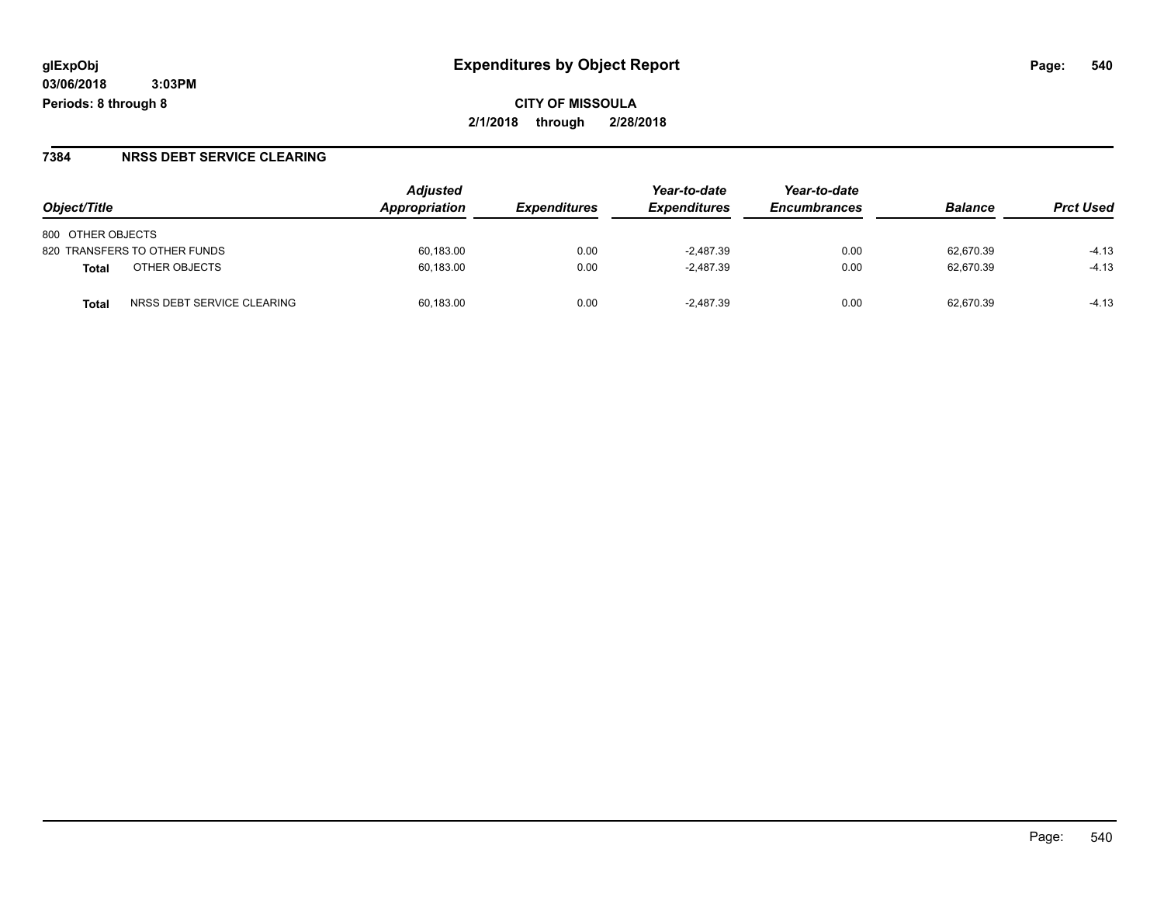#### **7384 NRSS DEBT SERVICE CLEARING**

|                                            | <b>Adjusted</b><br>Appropriation |                            | Year-to-date        | Year-to-date        | <b>Balance</b> | <b>Prct Used</b> |
|--------------------------------------------|----------------------------------|----------------------------|---------------------|---------------------|----------------|------------------|
| Object/Title                               |                                  | <i><b>Expenditures</b></i> | <b>Expenditures</b> | <b>Encumbrances</b> |                |                  |
| 800 OTHER OBJECTS                          |                                  |                            |                     |                     |                |                  |
| 820 TRANSFERS TO OTHER FUNDS               | 60,183.00                        | 0.00                       | $-2.487.39$         | 0.00                | 62.670.39      | $-4.13$          |
| OTHER OBJECTS<br>Total                     | 60,183.00                        | 0.00                       | $-2.487.39$         | 0.00                | 62.670.39      | $-4.13$          |
| NRSS DEBT SERVICE CLEARING<br><b>Total</b> | 60.183.00                        | 0.00                       | $-2.487.39$         | 0.00                | 62.670.39      | $-4.13$          |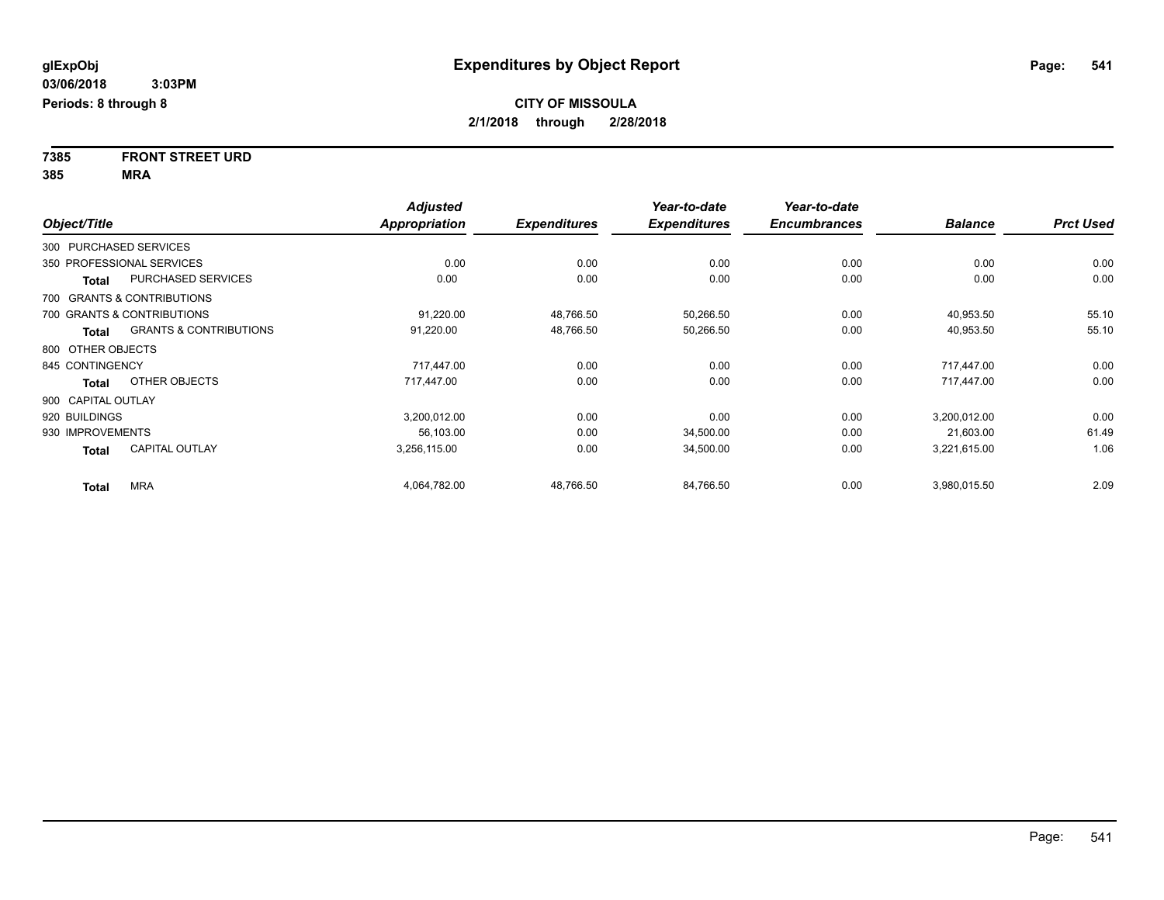**7385 FRONT STREET URD 385 MRA**

|                        |                                   | <b>Adjusted</b>      |                     | Year-to-date        | Year-to-date        |                |                  |
|------------------------|-----------------------------------|----------------------|---------------------|---------------------|---------------------|----------------|------------------|
| Object/Title           |                                   | <b>Appropriation</b> | <b>Expenditures</b> | <b>Expenditures</b> | <b>Encumbrances</b> | <b>Balance</b> | <b>Prct Used</b> |
| 300 PURCHASED SERVICES |                                   |                      |                     |                     |                     |                |                  |
|                        | 350 PROFESSIONAL SERVICES         | 0.00                 | 0.00                | 0.00                | 0.00                | 0.00           | 0.00             |
| <b>Total</b>           | <b>PURCHASED SERVICES</b>         | 0.00                 | 0.00                | 0.00                | 0.00                | 0.00           | 0.00             |
|                        | 700 GRANTS & CONTRIBUTIONS        |                      |                     |                     |                     |                |                  |
|                        | 700 GRANTS & CONTRIBUTIONS        | 91,220.00            | 48,766.50           | 50,266.50           | 0.00                | 40,953.50      | 55.10            |
| Total                  | <b>GRANTS &amp; CONTRIBUTIONS</b> | 91,220.00            | 48,766.50           | 50,266.50           | 0.00                | 40,953.50      | 55.10            |
| 800 OTHER OBJECTS      |                                   |                      |                     |                     |                     |                |                  |
| 845 CONTINGENCY        |                                   | 717.447.00           | 0.00                | 0.00                | 0.00                | 717.447.00     | 0.00             |
| Total                  | OTHER OBJECTS                     | 717,447.00           | 0.00                | 0.00                | 0.00                | 717,447.00     | 0.00             |
| 900 CAPITAL OUTLAY     |                                   |                      |                     |                     |                     |                |                  |
| 920 BUILDINGS          |                                   | 3,200,012.00         | 0.00                | 0.00                | 0.00                | 3,200,012.00   | 0.00             |
| 930 IMPROVEMENTS       |                                   | 56,103.00            | 0.00                | 34,500.00           | 0.00                | 21,603.00      | 61.49            |
| Total                  | <b>CAPITAL OUTLAY</b>             | 3,256,115.00         | 0.00                | 34,500.00           | 0.00                | 3,221,615.00   | 1.06             |
| <b>Total</b>           | <b>MRA</b>                        | 4,064,782.00         | 48,766.50           | 84,766.50           | 0.00                | 3,980,015.50   | 2.09             |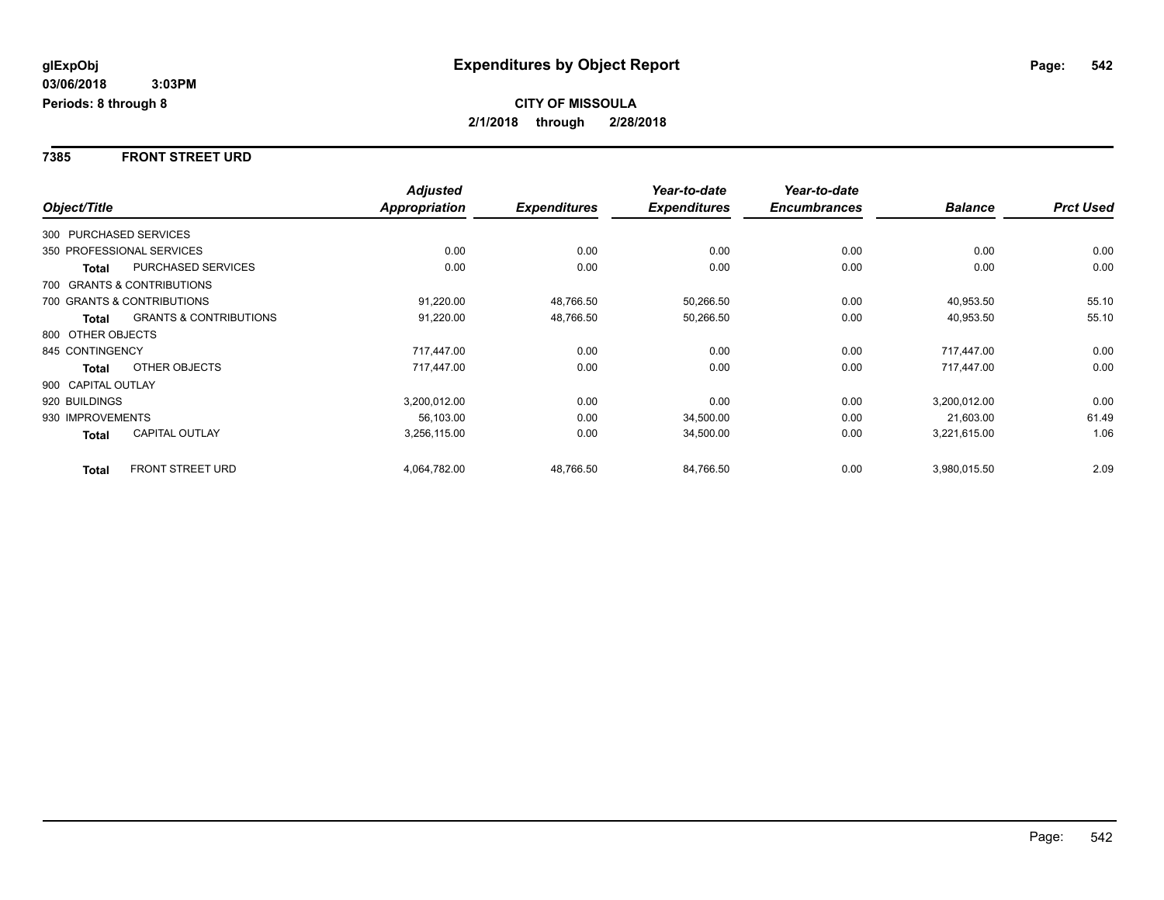**7385 FRONT STREET URD**

|                           |                                   | <b>Adjusted</b>      |                     | Year-to-date        | Year-to-date        |                |                  |
|---------------------------|-----------------------------------|----------------------|---------------------|---------------------|---------------------|----------------|------------------|
| Object/Title              |                                   | <b>Appropriation</b> | <b>Expenditures</b> | <b>Expenditures</b> | <b>Encumbrances</b> | <b>Balance</b> | <b>Prct Used</b> |
| 300 PURCHASED SERVICES    |                                   |                      |                     |                     |                     |                |                  |
| 350 PROFESSIONAL SERVICES |                                   | 0.00                 | 0.00                | 0.00                | 0.00                | 0.00           | 0.00             |
| <b>Total</b>              | <b>PURCHASED SERVICES</b>         | 0.00                 | 0.00                | 0.00                | 0.00                | 0.00           | 0.00             |
|                           | 700 GRANTS & CONTRIBUTIONS        |                      |                     |                     |                     |                |                  |
|                           | 700 GRANTS & CONTRIBUTIONS        | 91,220.00            | 48,766.50           | 50,266.50           | 0.00                | 40,953.50      | 55.10            |
| <b>Total</b>              | <b>GRANTS &amp; CONTRIBUTIONS</b> | 91,220.00            | 48,766.50           | 50,266.50           | 0.00                | 40,953.50      | 55.10            |
| 800 OTHER OBJECTS         |                                   |                      |                     |                     |                     |                |                  |
| 845 CONTINGENCY           |                                   | 717,447.00           | 0.00                | 0.00                | 0.00                | 717,447.00     | 0.00             |
| <b>Total</b>              | OTHER OBJECTS                     | 717,447.00           | 0.00                | 0.00                | 0.00                | 717,447.00     | 0.00             |
| 900 CAPITAL OUTLAY        |                                   |                      |                     |                     |                     |                |                  |
| 920 BUILDINGS             |                                   | 3,200,012.00         | 0.00                | 0.00                | 0.00                | 3,200,012.00   | 0.00             |
| 930 IMPROVEMENTS          |                                   | 56,103.00            | 0.00                | 34,500.00           | 0.00                | 21,603.00      | 61.49            |
| <b>Total</b>              | <b>CAPITAL OUTLAY</b>             | 3,256,115.00         | 0.00                | 34,500.00           | 0.00                | 3,221,615.00   | 1.06             |
| <b>Total</b>              | <b>FRONT STREET URD</b>           | 4,064,782.00         | 48,766.50           | 84,766.50           | 0.00                | 3,980,015.50   | 2.09             |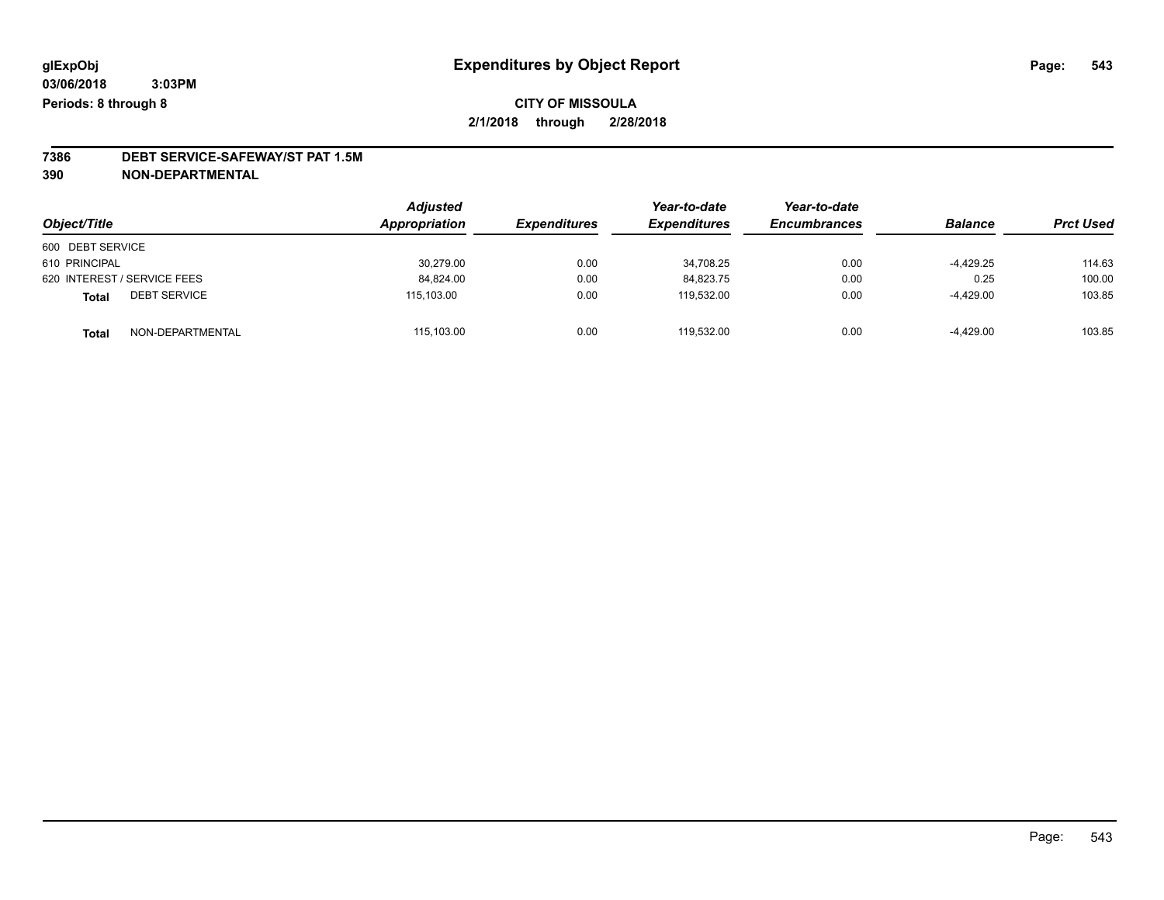# **7386 DEBT SERVICE-SAFEWAY/ST PAT 1.5M**

**390 NON-DEPARTMENTAL**

| Object/Title                        | <b>Adjusted</b><br>Appropriation | <i><b>Expenditures</b></i> | Year-to-date<br><b>Expenditures</b> | Year-to-date<br><b>Encumbrances</b> | <b>Balance</b> | <b>Prct Used</b> |
|-------------------------------------|----------------------------------|----------------------------|-------------------------------------|-------------------------------------|----------------|------------------|
| 600 DEBT SERVICE                    |                                  |                            |                                     |                                     |                |                  |
| 610 PRINCIPAL                       | 30,279.00                        | 0.00                       | 34.708.25                           | 0.00                                | $-4,429.25$    | 114.63           |
| 620 INTEREST / SERVICE FEES         | 84,824.00                        | 0.00                       | 84,823.75                           | 0.00                                | 0.25           | 100.00           |
| <b>DEBT SERVICE</b><br><b>Total</b> | 115.103.00                       | 0.00                       | 119.532.00                          | 0.00                                | $-4,429.00$    | 103.85           |
| NON-DEPARTMENTAL<br>Total           | 115,103.00                       | 0.00                       | 119.532.00                          | 0.00                                | $-4,429.00$    | 103.85           |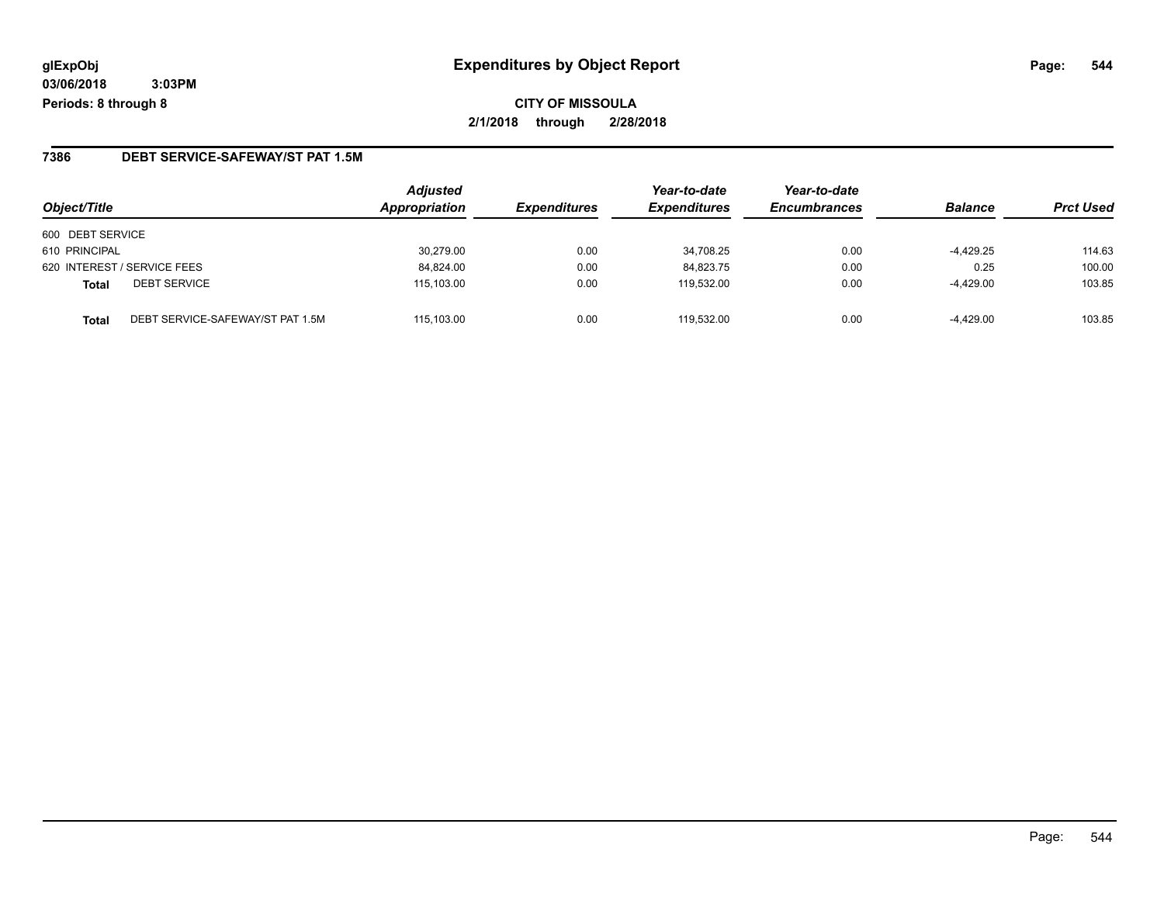### **7386 DEBT SERVICE-SAFEWAY/ST PAT 1.5M**

| Object/Title                                     | <b>Adjusted</b><br>Appropriation | <b>Expenditures</b> | Year-to-date<br><b>Expenditures</b> | Year-to-date<br><b>Encumbrances</b> | <b>Balance</b> | <b>Prct Used</b> |
|--------------------------------------------------|----------------------------------|---------------------|-------------------------------------|-------------------------------------|----------------|------------------|
| 600 DEBT SERVICE                                 |                                  |                     |                                     |                                     |                |                  |
| 610 PRINCIPAL                                    | 30.279.00                        | 0.00                | 34,708.25                           | 0.00                                | $-4,429.25$    | 114.63           |
| 620 INTEREST / SERVICE FEES                      | 84.824.00                        | 0.00                | 84.823.75                           | 0.00                                | 0.25           | 100.00           |
| <b>DEBT SERVICE</b><br><b>Total</b>              | 115,103.00                       | 0.00                | 119.532.00                          | 0.00                                | -4,429.00      | 103.85           |
| DEBT SERVICE-SAFEWAY/ST PAT 1.5M<br><b>Total</b> | 115.103.00                       | 0.00                | 119.532.00                          | 0.00                                | $-4,429.00$    | 103.85           |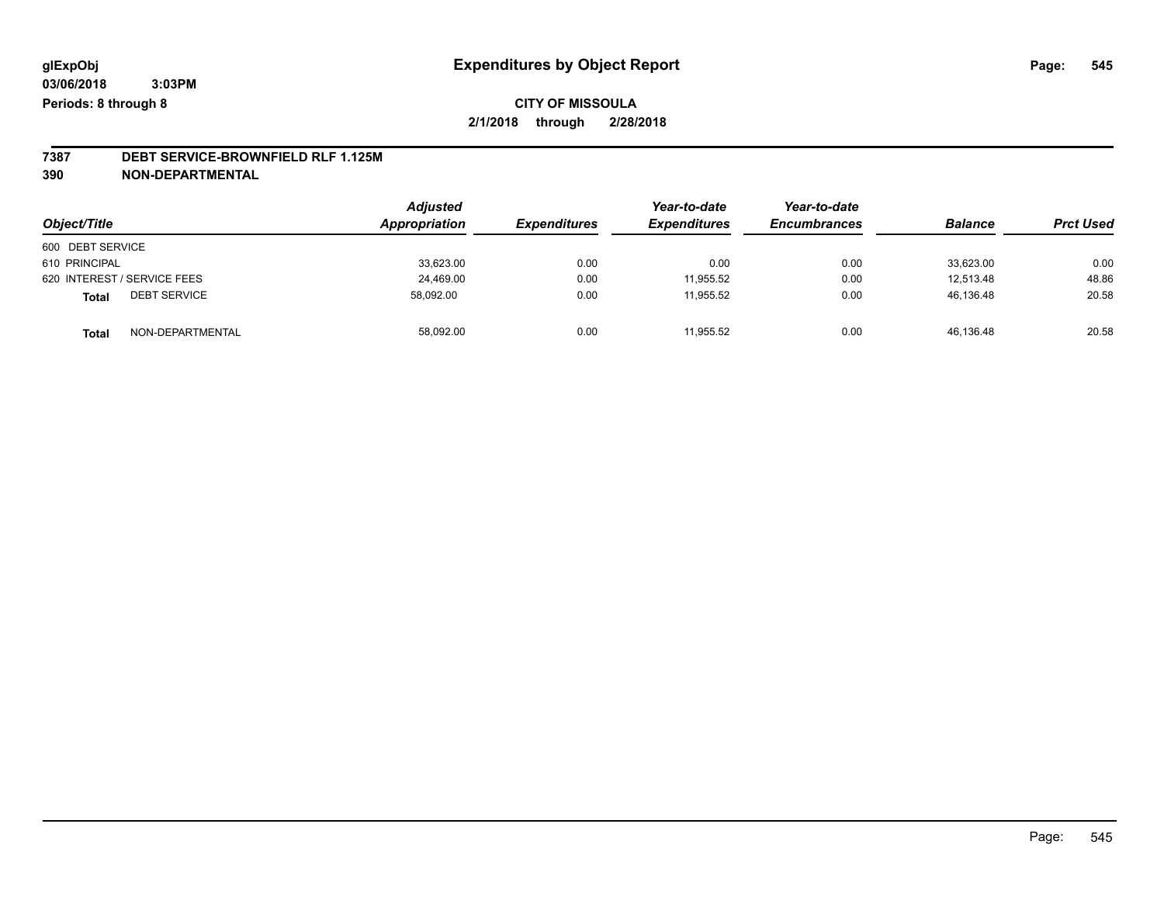## **7387 DEBT SERVICE-BROWNFIELD RLF 1.125M**

**390 NON-DEPARTMENTAL**

|                                     | <b>Adjusted</b> |                     | Year-to-date        | Year-to-date        |                |                  |
|-------------------------------------|-----------------|---------------------|---------------------|---------------------|----------------|------------------|
| Object/Title                        | Appropriation   | <b>Expenditures</b> | <b>Expenditures</b> | <b>Encumbrances</b> | <b>Balance</b> | <b>Prct Used</b> |
| 600 DEBT SERVICE                    |                 |                     |                     |                     |                |                  |
| 610 PRINCIPAL                       | 33,623.00       | 0.00                | 0.00                | 0.00                | 33,623.00      | 0.00             |
| 620 INTEREST / SERVICE FEES         | 24,469.00       | 0.00                | 11.955.52           | 0.00                | 12.513.48      | 48.86            |
| <b>DEBT SERVICE</b><br><b>Total</b> | 58.092.00       | 0.00                | 11.955.52           | 0.00                | 46,136.48      | 20.58            |
| NON-DEPARTMENTAL<br>Total           | 58,092.00       | 0.00                | 11.955.52           | 0.00                | 46,136.48      | 20.58            |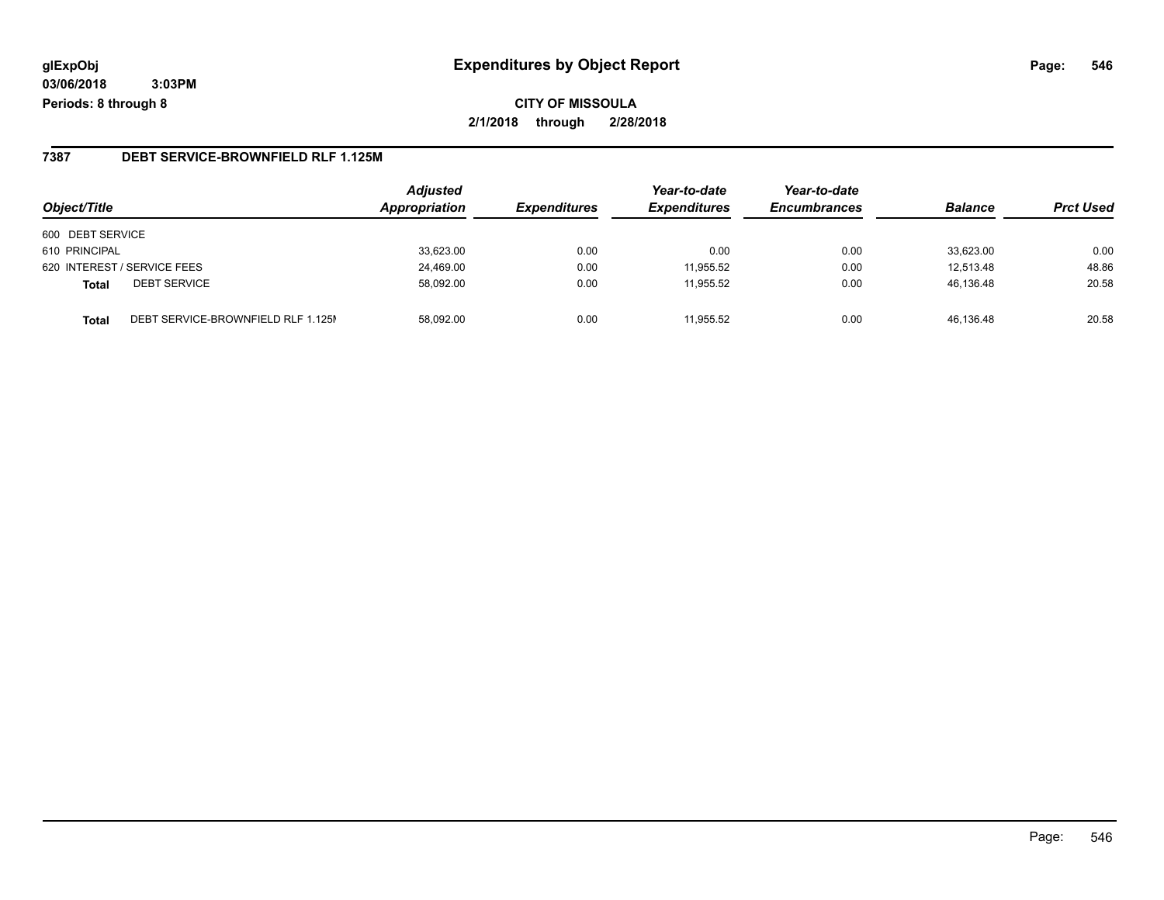## **glExpObj Expenditures by Object Report Page: 546**

**03/06/2018 3:03PM Periods: 8 through 8**

### **7387 DEBT SERVICE-BROWNFIELD RLF 1.125M**

| Object/Title                                       | <b>Adjusted</b><br>Appropriation | <b>Expenditures</b> | Year-to-date<br><b>Expenditures</b> | Year-to-date<br><b>Encumbrances</b> | <b>Balance</b> | <b>Prct Used</b> |
|----------------------------------------------------|----------------------------------|---------------------|-------------------------------------|-------------------------------------|----------------|------------------|
| 600 DEBT SERVICE                                   |                                  |                     |                                     |                                     |                |                  |
| 610 PRINCIPAL                                      | 33,623.00                        | 0.00                | 0.00                                | 0.00                                | 33.623.00      | 0.00             |
| 620 INTEREST / SERVICE FEES                        | 24.469.00                        | 0.00                | 11.955.52                           | 0.00                                | 12.513.48      | 48.86            |
| <b>DEBT SERVICE</b><br><b>Total</b>                | 58,092.00                        | 0.00                | 11.955.52                           | 0.00                                | 46,136.48      | 20.58            |
| DEBT SERVICE-BROWNFIELD RLF 1.125M<br><b>Total</b> | 58.092.00                        | 0.00                | 11.955.52                           | 0.00                                | 46.136.48      | 20.58            |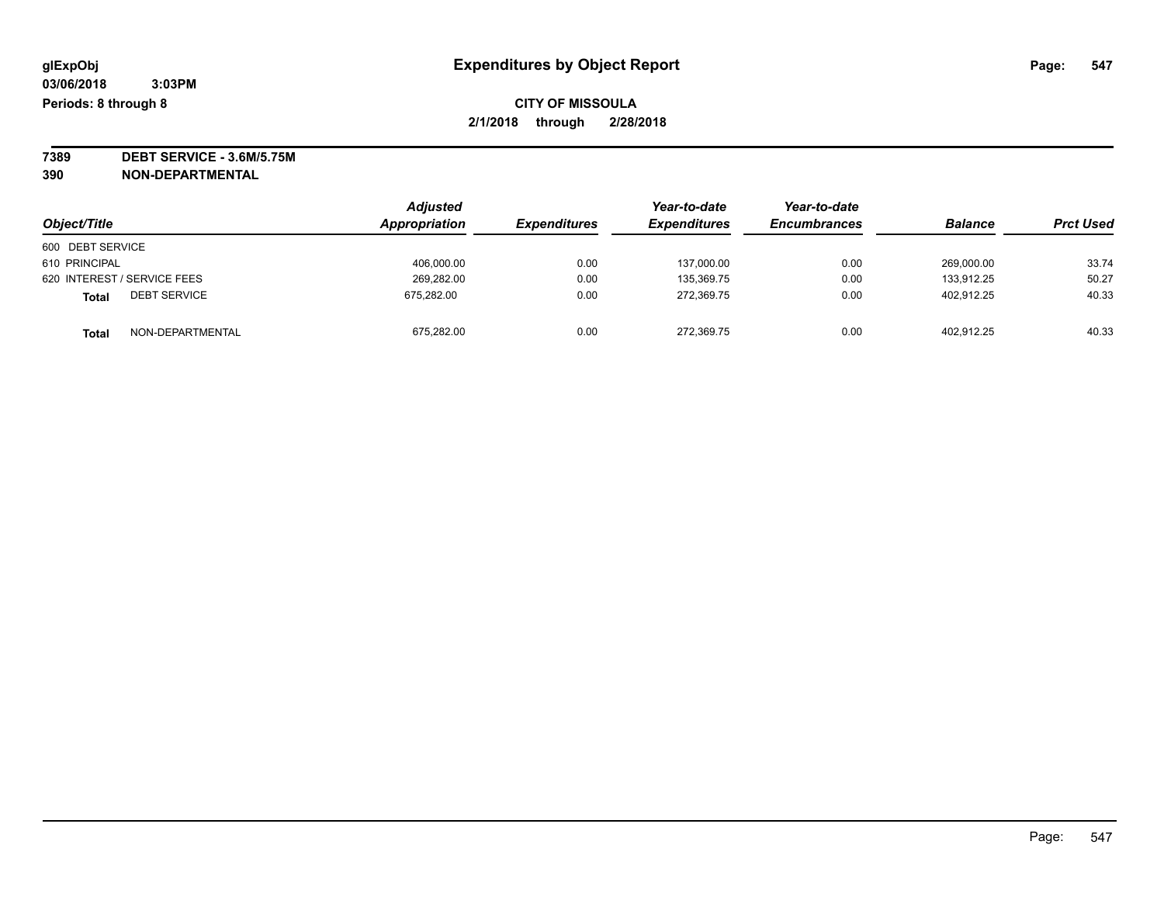**7389 DEBT SERVICE - 3.6M/5.75M**

**390 NON-DEPARTMENTAL**

|                              | <b>Adjusted</b> |                     | Year-to-date        | Year-to-date        |                |                  |
|------------------------------|-----------------|---------------------|---------------------|---------------------|----------------|------------------|
| Object/Title                 | Appropriation   | <b>Expenditures</b> | <b>Expenditures</b> | <b>Encumbrances</b> | <b>Balance</b> | <b>Prct Used</b> |
| 600 DEBT SERVICE             |                 |                     |                     |                     |                |                  |
| 610 PRINCIPAL                | 406.000.00      | 0.00                | 137.000.00          | 0.00                | 269.000.00     | 33.74            |
| 620 INTEREST / SERVICE FEES  | 269.282.00      | 0.00                | 135.369.75          | 0.00                | 133.912.25     | 50.27            |
| <b>DEBT SERVICE</b><br>Total | 675,282.00      | 0.00                | 272,369.75          | 0.00                | 402.912.25     | 40.33            |
| NON-DEPARTMENTAL<br>Total    | 675,282.00      | 0.00                | 272,369.75          | 0.00                | 402.912.25     | 40.33            |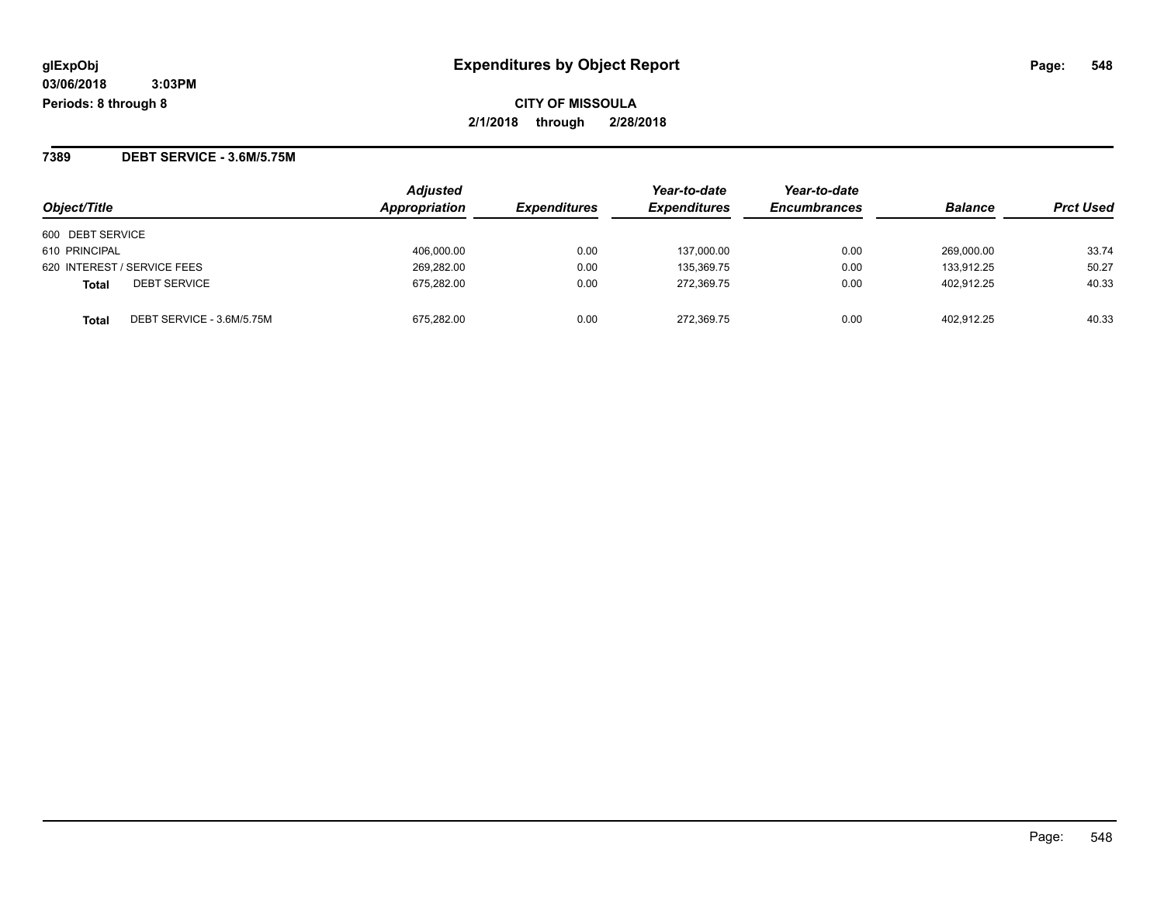**CITY OF MISSOULA 2/1/2018 through 2/28/2018**

**7389 DEBT SERVICE - 3.6M/5.75M**

| Object/Title                       | <b>Adjusted</b><br>Appropriation | <b>Expenditures</b> | Year-to-date<br><b>Expenditures</b> | Year-to-date<br><b>Encumbrances</b> | <b>Balance</b> | <b>Prct Used</b> |
|------------------------------------|----------------------------------|---------------------|-------------------------------------|-------------------------------------|----------------|------------------|
| 600 DEBT SERVICE                   |                                  |                     |                                     |                                     |                |                  |
| 610 PRINCIPAL                      | 406,000.00                       | 0.00                | 137,000.00                          | 0.00                                | 269.000.00     | 33.74            |
| 620 INTEREST / SERVICE FEES        | 269,282.00                       | 0.00                | 135,369.75                          | 0.00                                | 133.912.25     | 50.27            |
| <b>DEBT SERVICE</b><br>Total       | 675,282.00                       | 0.00                | 272.369.75                          | 0.00                                | 402.912.25     | 40.33            |
| DEBT SERVICE - 3.6M/5.75M<br>Total | 675.282.00                       | 0.00                | 272.369.75                          | 0.00                                | 402.912.25     | 40.33            |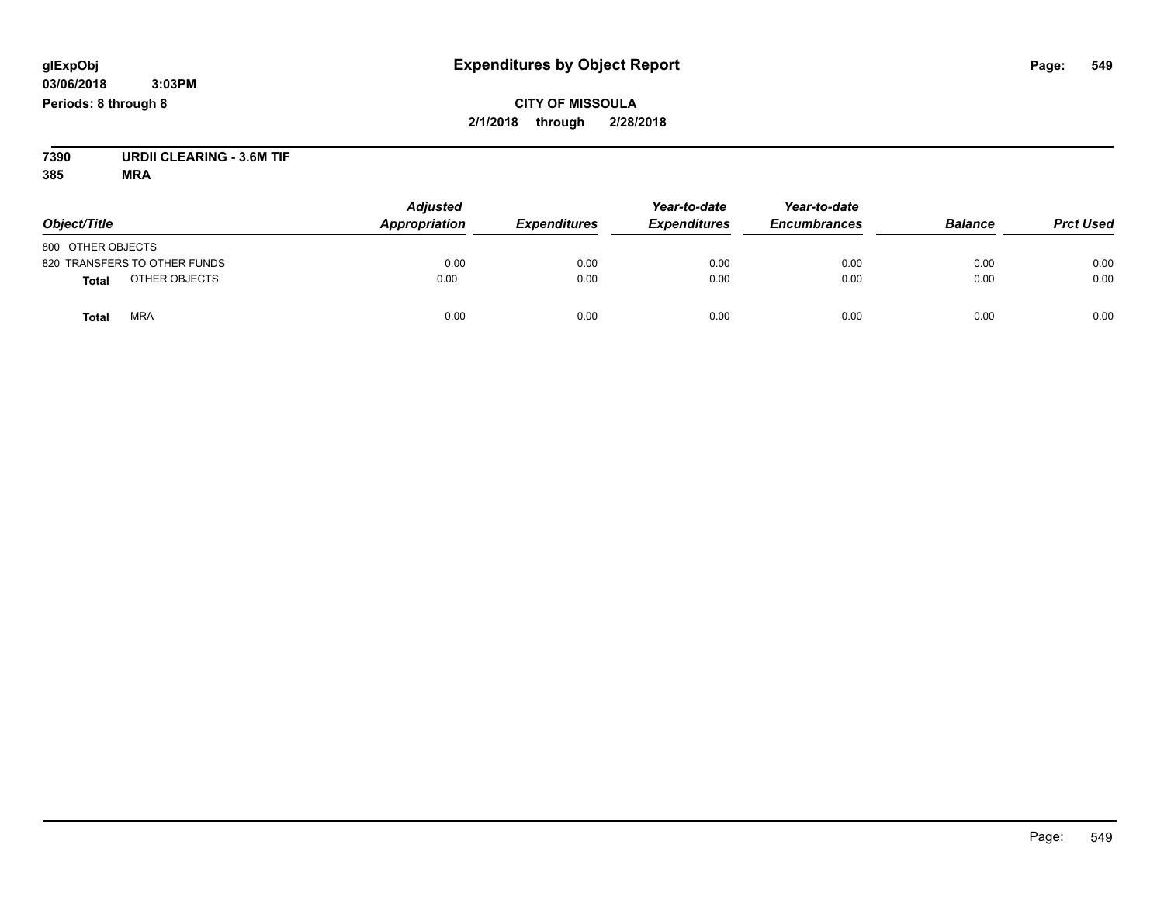**CITY OF MISSOULA 2/1/2018 through 2/28/2018**

**7390 URDII CLEARING - 3.6M TIF**

| Object/Title                  | <b>Adjusted</b><br>Appropriation | <b>Expenditures</b> | Year-to-date<br><b>Expenditures</b> | Year-to-date<br><b>Encumbrances</b> | <b>Balance</b> | <b>Prct Used</b> |
|-------------------------------|----------------------------------|---------------------|-------------------------------------|-------------------------------------|----------------|------------------|
| 800 OTHER OBJECTS             |                                  |                     |                                     |                                     |                |                  |
| 820 TRANSFERS TO OTHER FUNDS  | 0.00                             | 0.00                | 0.00                                | 0.00                                | 0.00           | 0.00             |
| OTHER OBJECTS<br><b>Total</b> | 0.00                             | 0.00                | 0.00                                | 0.00                                | 0.00           | 0.00             |
| <b>MRA</b><br>Total           | 0.00                             | 0.00                | 0.00                                | 0.00                                | 0.00           | 0.00             |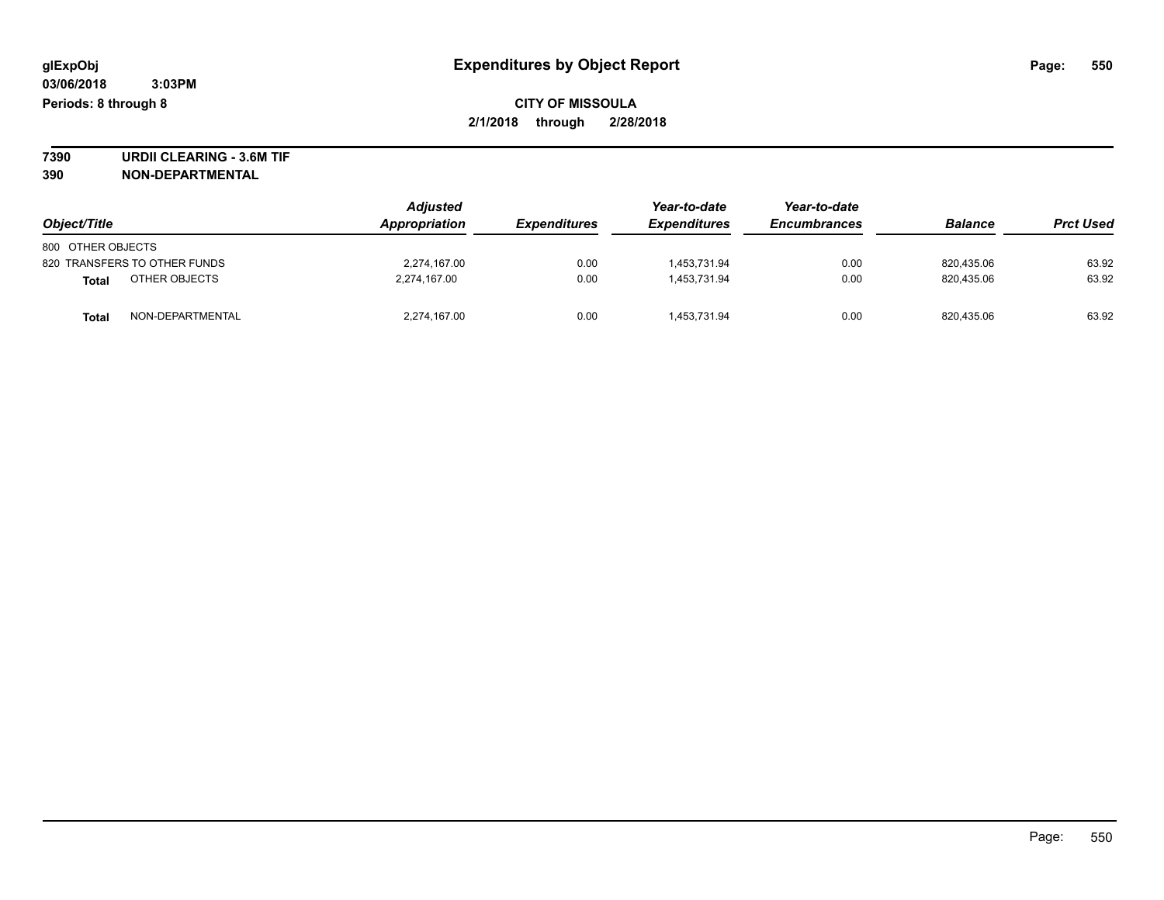**7390 URDII CLEARING - 3.6M TIF 390 NON-DEPARTMENTAL**

| Object/Title      |                              | <b>Adjusted</b><br>Appropriation | <b>Expenditures</b> | Year-to-date<br><b>Expenditures</b> | Year-to-date<br><b>Encumbrances</b> | <b>Balance</b> | <b>Prct Used</b> |
|-------------------|------------------------------|----------------------------------|---------------------|-------------------------------------|-------------------------------------|----------------|------------------|
| 800 OTHER OBJECTS |                              |                                  |                     |                                     |                                     |                |                  |
|                   | 820 TRANSFERS TO OTHER FUNDS | 2,274,167.00                     | 0.00                | 1.453.731.94                        | 0.00                                | 820.435.06     | 63.92            |
| Total             | OTHER OBJECTS                | 2,274,167.00                     | 0.00                | 1.453.731.94                        | 0.00                                | 820.435.06     | 63.92            |
| Total             | NON-DEPARTMENTAL             | 2,274,167.00                     | 0.00                | 1.453.731.94                        | 0.00                                | 820,435.06     | 63.92            |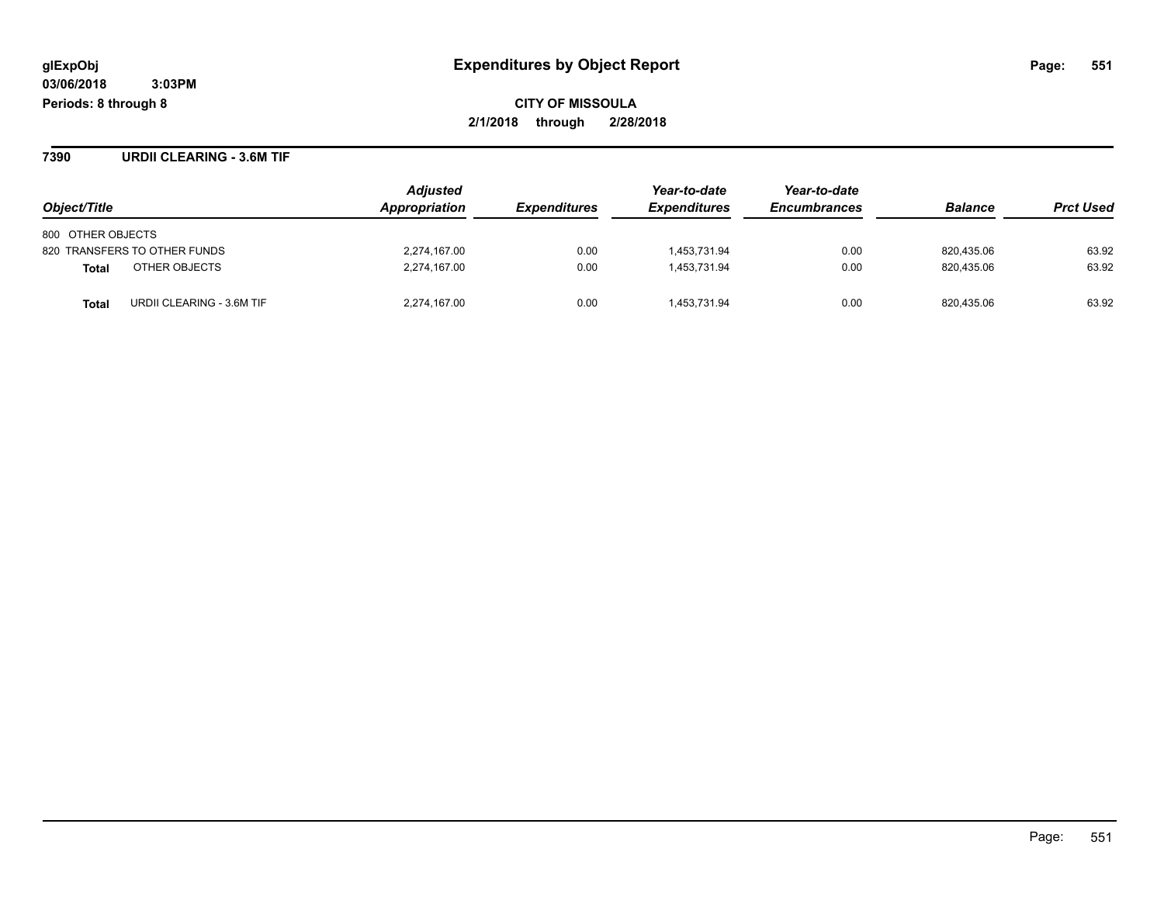**7390 URDII CLEARING - 3.6M TIF**

|                                    | <b>Adjusted</b><br>Appropriation |                            | Year-to-date        | Year-to-date        | <b>Balance</b> | <b>Prct Used</b> |
|------------------------------------|----------------------------------|----------------------------|---------------------|---------------------|----------------|------------------|
| Object/Title                       |                                  | <i><b>Expenditures</b></i> | <b>Expenditures</b> | <b>Encumbrances</b> |                |                  |
| 800 OTHER OBJECTS                  |                                  |                            |                     |                     |                |                  |
| 820 TRANSFERS TO OTHER FUNDS       | 2,274,167.00                     | 0.00                       | 1.453.731.94        | 0.00                | 820,435.06     | 63.92            |
| OTHER OBJECTS<br><b>Total</b>      | 2,274,167.00                     | 0.00                       | 1.453.731.94        | 0.00                | 820.435.06     | 63.92            |
| URDII CLEARING - 3.6M TIF<br>Total | 2,274,167.00                     | 0.00                       | 1.453.731.94        | 0.00                | 820.435.06     | 63.92            |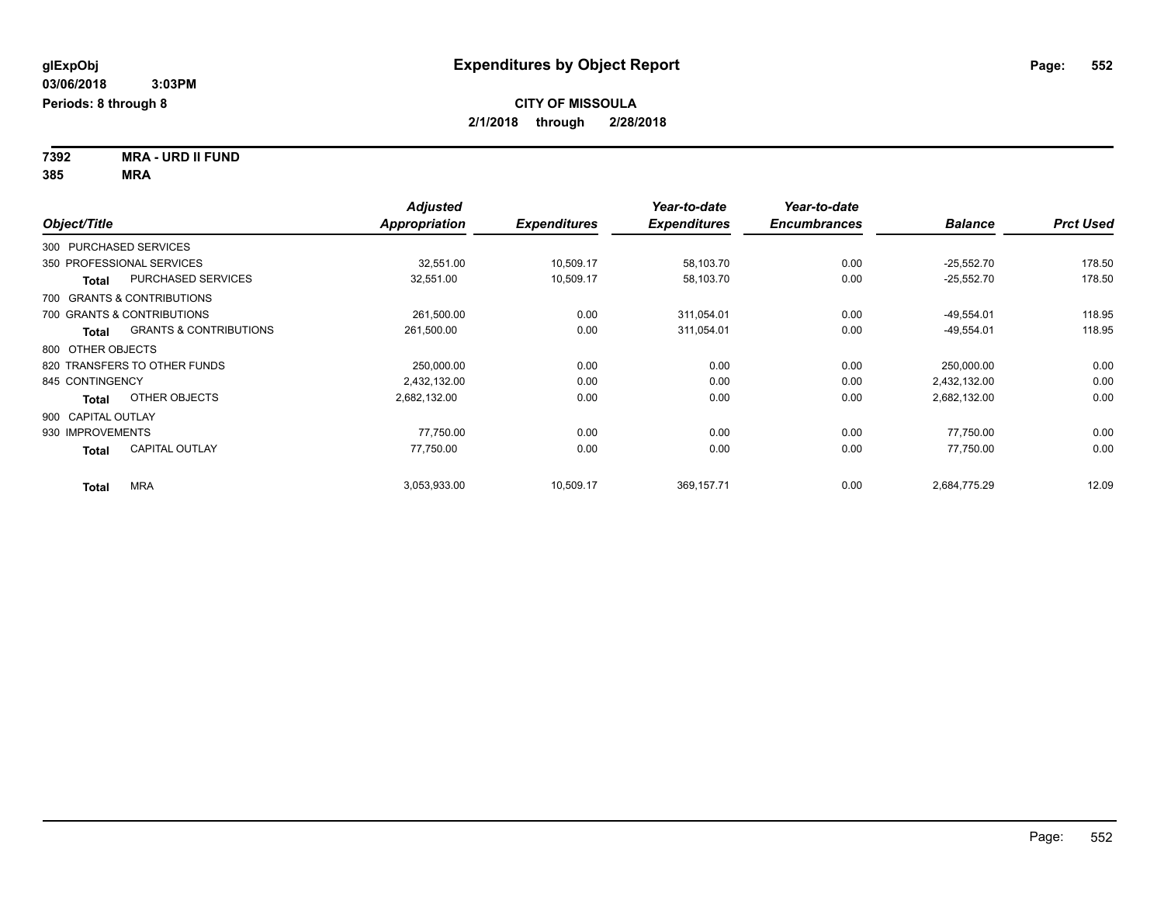**7392 MRA - URD II FUND 385 MRA**

|                    |                                   | <b>Adjusted</b>      |                     | Year-to-date        | Year-to-date        |                |                  |
|--------------------|-----------------------------------|----------------------|---------------------|---------------------|---------------------|----------------|------------------|
| Object/Title       |                                   | <b>Appropriation</b> | <b>Expenditures</b> | <b>Expenditures</b> | <b>Encumbrances</b> | <b>Balance</b> | <b>Prct Used</b> |
|                    | 300 PURCHASED SERVICES            |                      |                     |                     |                     |                |                  |
|                    | 350 PROFESSIONAL SERVICES         | 32,551.00            | 10,509.17           | 58,103.70           | 0.00                | $-25,552.70$   | 178.50           |
| Total              | PURCHASED SERVICES                | 32,551.00            | 10,509.17           | 58,103.70           | 0.00                | $-25,552.70$   | 178.50           |
|                    | 700 GRANTS & CONTRIBUTIONS        |                      |                     |                     |                     |                |                  |
|                    | 700 GRANTS & CONTRIBUTIONS        | 261,500.00           | 0.00                | 311,054.01          | 0.00                | $-49,554.01$   | 118.95           |
| <b>Total</b>       | <b>GRANTS &amp; CONTRIBUTIONS</b> | 261,500.00           | 0.00                | 311,054.01          | 0.00                | $-49,554.01$   | 118.95           |
| 800 OTHER OBJECTS  |                                   |                      |                     |                     |                     |                |                  |
|                    | 820 TRANSFERS TO OTHER FUNDS      | 250,000.00           | 0.00                | 0.00                | 0.00                | 250,000.00     | 0.00             |
| 845 CONTINGENCY    |                                   | 2,432,132.00         | 0.00                | 0.00                | 0.00                | 2,432,132.00   | 0.00             |
| <b>Total</b>       | OTHER OBJECTS                     | 2,682,132.00         | 0.00                | 0.00                | 0.00                | 2,682,132.00   | 0.00             |
| 900 CAPITAL OUTLAY |                                   |                      |                     |                     |                     |                |                  |
| 930 IMPROVEMENTS   |                                   | 77,750.00            | 0.00                | 0.00                | 0.00                | 77,750.00      | 0.00             |
| <b>Total</b>       | <b>CAPITAL OUTLAY</b>             | 77,750.00            | 0.00                | 0.00                | 0.00                | 77,750.00      | 0.00             |
| <b>Total</b>       | <b>MRA</b>                        | 3,053,933.00         | 10,509.17           | 369,157.71          | 0.00                | 2,684,775.29   | 12.09            |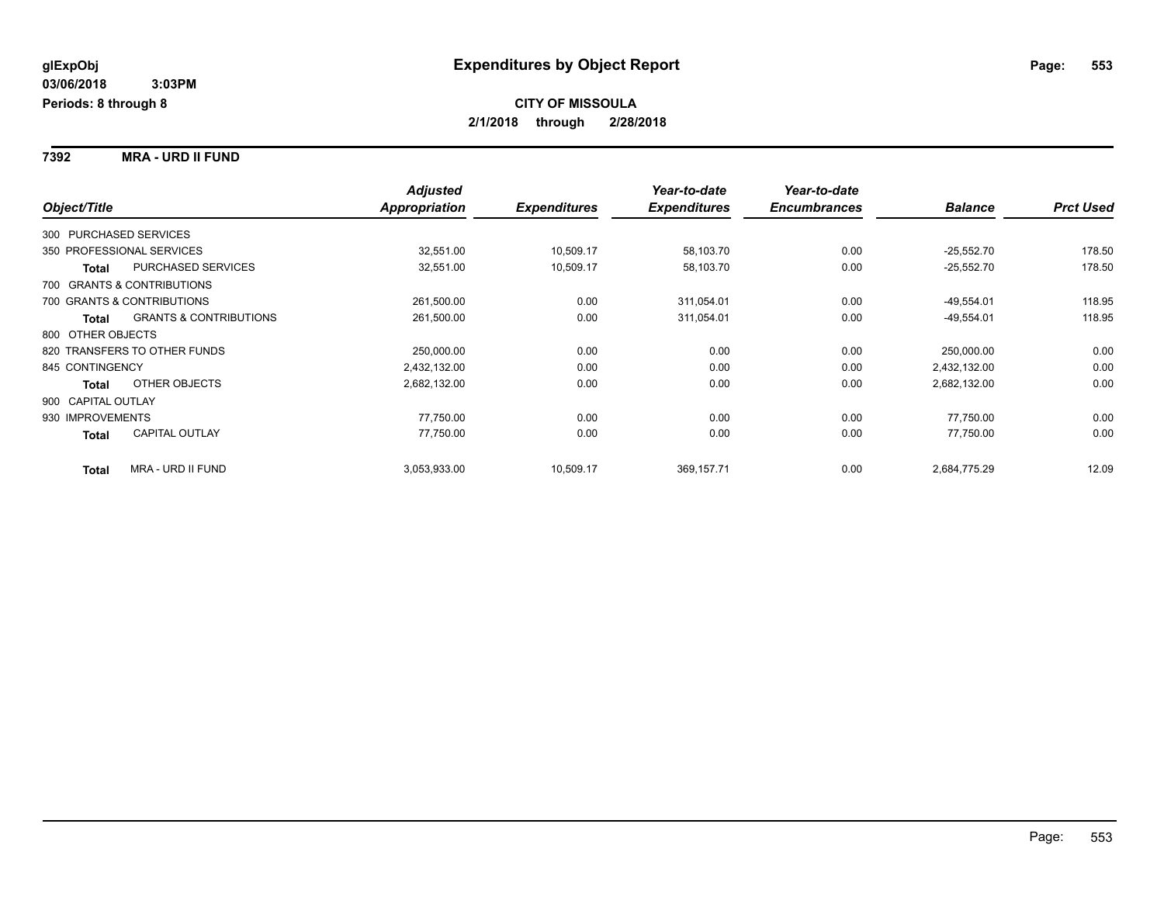**7392 MRA - URD II FUND**

|                        |                                   | <b>Adjusted</b>      |                     | Year-to-date        | Year-to-date        |                |                  |
|------------------------|-----------------------------------|----------------------|---------------------|---------------------|---------------------|----------------|------------------|
| Object/Title           |                                   | <b>Appropriation</b> | <b>Expenditures</b> | <b>Expenditures</b> | <b>Encumbrances</b> | <b>Balance</b> | <b>Prct Used</b> |
| 300 PURCHASED SERVICES |                                   |                      |                     |                     |                     |                |                  |
|                        | 350 PROFESSIONAL SERVICES         | 32,551.00            | 10,509.17           | 58,103.70           | 0.00                | $-25,552.70$   | 178.50           |
| <b>Total</b>           | <b>PURCHASED SERVICES</b>         | 32,551.00            | 10,509.17           | 58,103.70           | 0.00                | $-25,552.70$   | 178.50           |
|                        | 700 GRANTS & CONTRIBUTIONS        |                      |                     |                     |                     |                |                  |
|                        | 700 GRANTS & CONTRIBUTIONS        | 261,500.00           | 0.00                | 311,054.01          | 0.00                | $-49,554.01$   | 118.95           |
| <b>Total</b>           | <b>GRANTS &amp; CONTRIBUTIONS</b> | 261,500.00           | 0.00                | 311,054.01          | 0.00                | $-49,554.01$   | 118.95           |
| 800 OTHER OBJECTS      |                                   |                      |                     |                     |                     |                |                  |
|                        | 820 TRANSFERS TO OTHER FUNDS      | 250,000.00           | 0.00                | 0.00                | 0.00                | 250,000.00     | 0.00             |
| 845 CONTINGENCY        |                                   | 2,432,132.00         | 0.00                | 0.00                | 0.00                | 2,432,132.00   | 0.00             |
| <b>Total</b>           | OTHER OBJECTS                     | 2,682,132.00         | 0.00                | 0.00                | 0.00                | 2,682,132.00   | 0.00             |
| 900 CAPITAL OUTLAY     |                                   |                      |                     |                     |                     |                |                  |
| 930 IMPROVEMENTS       |                                   | 77,750.00            | 0.00                | 0.00                | 0.00                | 77.750.00      | 0.00             |
| <b>Total</b>           | <b>CAPITAL OUTLAY</b>             | 77,750.00            | 0.00                | 0.00                | 0.00                | 77,750.00      | 0.00             |
| <b>Total</b>           | <b>MRA - URD II FUND</b>          | 3,053,933.00         | 10,509.17           | 369,157.71          | 0.00                | 2,684,775.29   | 12.09            |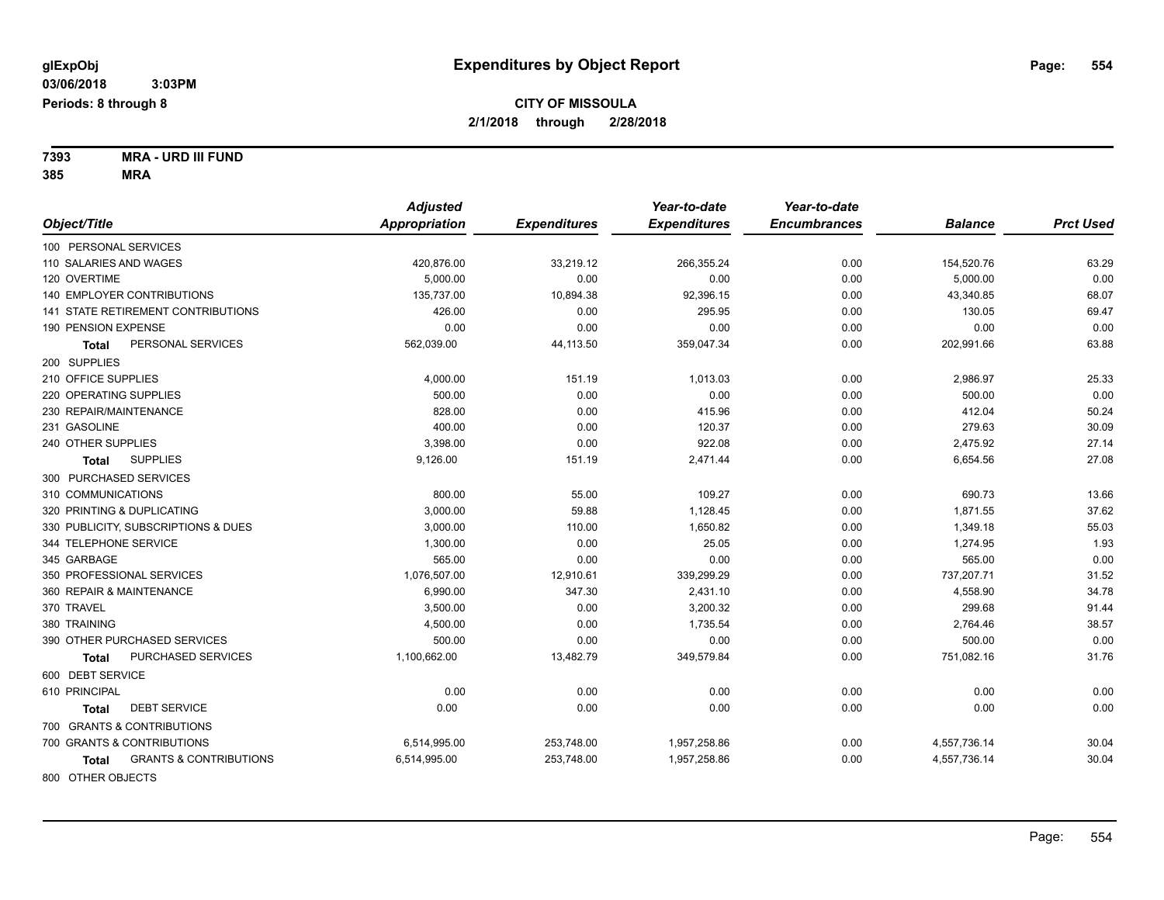**7393 MRA - URD III FUND 385 MRA**

|                                            | <b>Adjusted</b>      |                     | Year-to-date        | Year-to-date        |                |                  |
|--------------------------------------------|----------------------|---------------------|---------------------|---------------------|----------------|------------------|
| Object/Title                               | <b>Appropriation</b> | <b>Expenditures</b> | <b>Expenditures</b> | <b>Encumbrances</b> | <b>Balance</b> | <b>Prct Used</b> |
| 100 PERSONAL SERVICES                      |                      |                     |                     |                     |                |                  |
| 110 SALARIES AND WAGES                     | 420,876.00           | 33,219.12           | 266,355.24          | 0.00                | 154,520.76     | 63.29            |
| 120 OVERTIME                               | 5.000.00             | 0.00                | 0.00                | 0.00                | 5,000.00       | 0.00             |
| 140 EMPLOYER CONTRIBUTIONS                 | 135,737.00           | 10,894.38           | 92,396.15           | 0.00                | 43,340.85      | 68.07            |
| 141 STATE RETIREMENT CONTRIBUTIONS         | 426.00               | 0.00                | 295.95              | 0.00                | 130.05         | 69.47            |
| 190 PENSION EXPENSE                        | 0.00                 | 0.00                | 0.00                | 0.00                | 0.00           | 0.00             |
| PERSONAL SERVICES<br>Total                 | 562,039.00           | 44,113.50           | 359,047.34          | 0.00                | 202,991.66     | 63.88            |
| 200 SUPPLIES                               |                      |                     |                     |                     |                |                  |
| 210 OFFICE SUPPLIES                        | 4,000.00             | 151.19              | 1,013.03            | 0.00                | 2,986.97       | 25.33            |
| 220 OPERATING SUPPLIES                     | 500.00               | 0.00                | 0.00                | 0.00                | 500.00         | 0.00             |
| 230 REPAIR/MAINTENANCE                     | 828.00               | 0.00                | 415.96              | 0.00                | 412.04         | 50.24            |
| 231 GASOLINE                               | 400.00               | 0.00                | 120.37              | 0.00                | 279.63         | 30.09            |
| 240 OTHER SUPPLIES                         | 3,398.00             | 0.00                | 922.08              | 0.00                | 2,475.92       | 27.14            |
| <b>SUPPLIES</b><br>Total                   | 9,126.00             | 151.19              | 2,471.44            | 0.00                | 6,654.56       | 27.08            |
| 300 PURCHASED SERVICES                     |                      |                     |                     |                     |                |                  |
| 310 COMMUNICATIONS                         | 800.00               | 55.00               | 109.27              | 0.00                | 690.73         | 13.66            |
| 320 PRINTING & DUPLICATING                 | 3,000.00             | 59.88               | 1,128.45            | 0.00                | 1,871.55       | 37.62            |
| 330 PUBLICITY, SUBSCRIPTIONS & DUES        | 3,000.00             | 110.00              | 1,650.82            | 0.00                | 1,349.18       | 55.03            |
| 344 TELEPHONE SERVICE                      | 1,300.00             | 0.00                | 25.05               | 0.00                | 1,274.95       | 1.93             |
| 345 GARBAGE                                | 565.00               | 0.00                | 0.00                | 0.00                | 565.00         | 0.00             |
| 350 PROFESSIONAL SERVICES                  | 1,076,507.00         | 12,910.61           | 339,299.29          | 0.00                | 737,207.71     | 31.52            |
| 360 REPAIR & MAINTENANCE                   | 6,990.00             | 347.30              | 2,431.10            | 0.00                | 4,558.90       | 34.78            |
| 370 TRAVEL                                 | 3,500.00             | 0.00                | 3,200.32            | 0.00                | 299.68         | 91.44            |
| 380 TRAINING                               | 4,500.00             | 0.00                | 1,735.54            | 0.00                | 2,764.46       | 38.57            |
| 390 OTHER PURCHASED SERVICES               | 500.00               | 0.00                | 0.00                | 0.00                | 500.00         | 0.00             |
| PURCHASED SERVICES<br>Total                | 1,100,662.00         | 13,482.79           | 349,579.84          | 0.00                | 751,082.16     | 31.76            |
| 600 DEBT SERVICE                           |                      |                     |                     |                     |                |                  |
| 610 PRINCIPAL                              | 0.00                 | 0.00                | 0.00                | 0.00                | 0.00           | 0.00             |
| <b>DEBT SERVICE</b><br>Total               | 0.00                 | 0.00                | 0.00                | 0.00                | 0.00           | 0.00             |
| 700 GRANTS & CONTRIBUTIONS                 |                      |                     |                     |                     |                |                  |
| 700 GRANTS & CONTRIBUTIONS                 | 6,514,995.00         | 253,748.00          | 1,957,258.86        | 0.00                | 4,557,736.14   | 30.04            |
| <b>GRANTS &amp; CONTRIBUTIONS</b><br>Total | 6,514,995.00         | 253,748.00          | 1,957,258.86        | 0.00                | 4,557,736.14   | 30.04            |
| 800 OTHER OBJECTS                          |                      |                     |                     |                     |                |                  |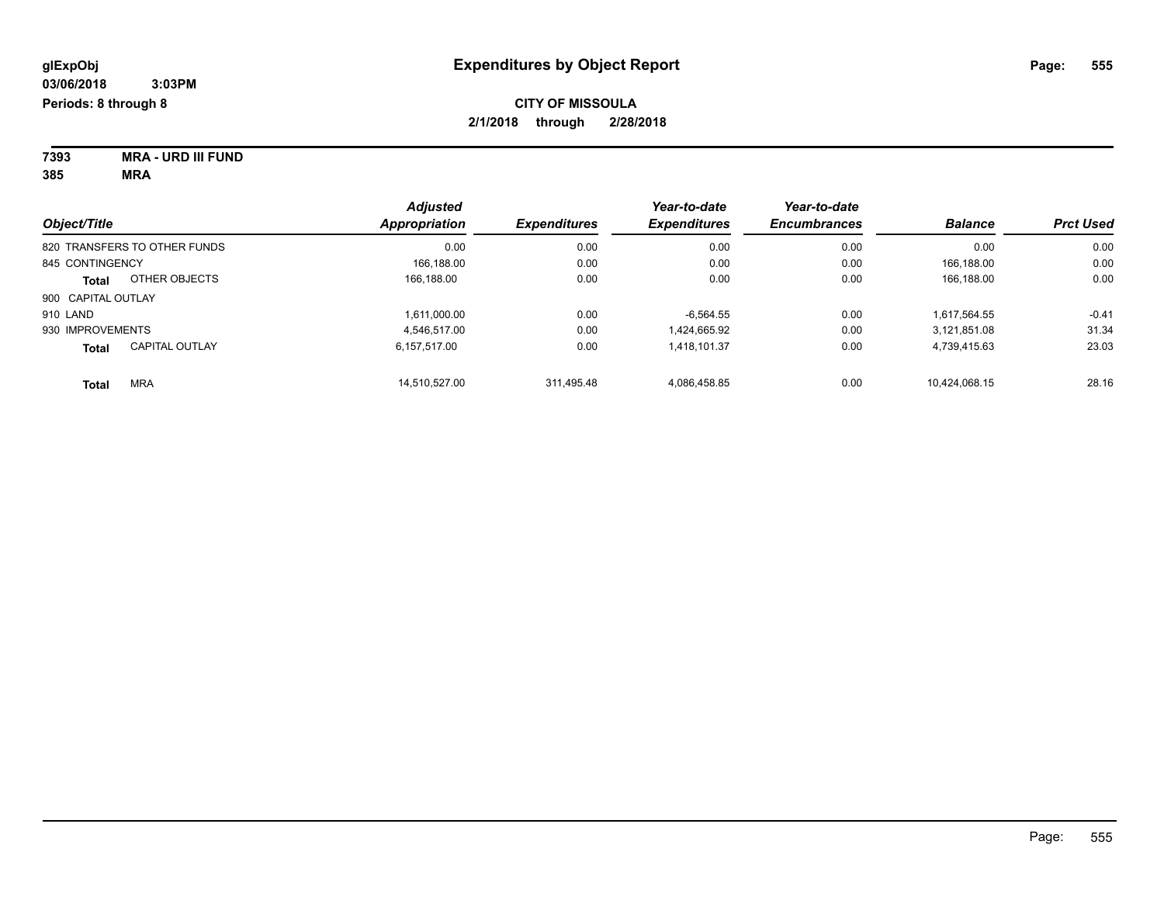| 7393 | <b>MRA - URD III FUND</b> |
|------|---------------------------|
| 385  | MRA                       |

| Object/Title       |                              | <b>Adjusted</b> | <b>Expenditures</b> | Year-to-date<br><b>Expenditures</b> | Year-to-date<br><b>Encumbrances</b> | <b>Balance</b> | <b>Prct Used</b> |
|--------------------|------------------------------|-----------------|---------------------|-------------------------------------|-------------------------------------|----------------|------------------|
|                    |                              | Appropriation   |                     |                                     |                                     |                |                  |
|                    | 820 TRANSFERS TO OTHER FUNDS | 0.00            | 0.00                | 0.00                                | 0.00                                | 0.00           | 0.00             |
| 845 CONTINGENCY    |                              | 166.188.00      | 0.00                | 0.00                                | 0.00                                | 166.188.00     | 0.00             |
| <b>Total</b>       | OTHER OBJECTS                | 166.188.00      | 0.00                | 0.00                                | 0.00                                | 166.188.00     | 0.00             |
| 900 CAPITAL OUTLAY |                              |                 |                     |                                     |                                     |                |                  |
| 910 LAND           |                              | 1.611.000.00    | 0.00                | $-6.564.55$                         | 0.00                                | 1.617.564.55   | $-0.41$          |
| 930 IMPROVEMENTS   |                              | 4.546.517.00    | 0.00                | 1,424,665.92                        | 0.00                                | 3,121,851.08   | 31.34            |
| <b>Total</b>       | <b>CAPITAL OUTLAY</b>        | 6.157.517.00    | 0.00                | 1.418.101.37                        | 0.00                                | 4,739,415.63   | 23.03            |
| <b>Total</b>       | <b>MRA</b>                   | 14.510.527.00   | 311.495.48          | 4.086.458.85                        | 0.00                                | 10.424.068.15  | 28.16            |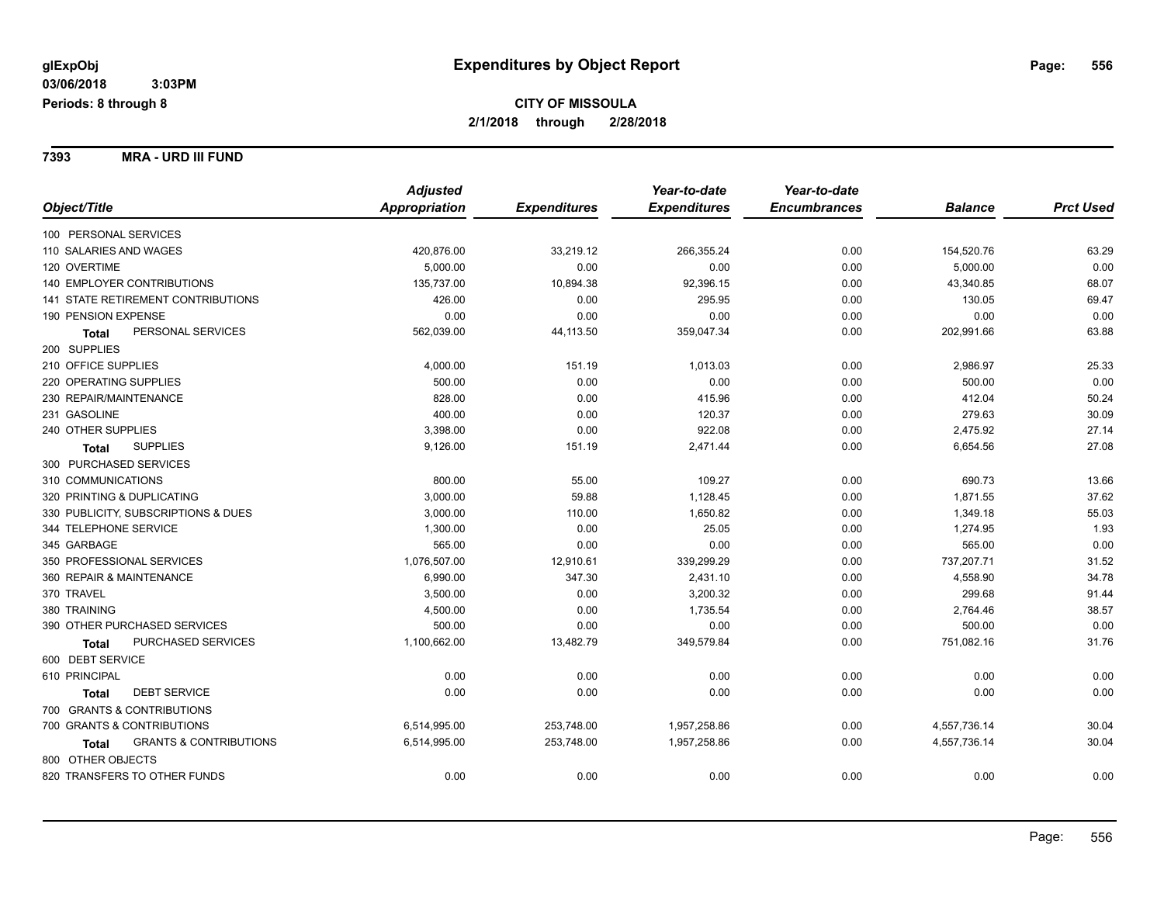**7393 MRA - URD III FUND**

|                                                   | <b>Adjusted</b> |                     | Year-to-date        | Year-to-date        |                |                  |
|---------------------------------------------------|-----------------|---------------------|---------------------|---------------------|----------------|------------------|
| Object/Title                                      | Appropriation   | <b>Expenditures</b> | <b>Expenditures</b> | <b>Encumbrances</b> | <b>Balance</b> | <b>Prct Used</b> |
| 100 PERSONAL SERVICES                             |                 |                     |                     |                     |                |                  |
| 110 SALARIES AND WAGES                            | 420,876.00      | 33,219.12           | 266,355.24          | 0.00                | 154,520.76     | 63.29            |
| 120 OVERTIME                                      | 5,000.00        | 0.00                | 0.00                | 0.00                | 5,000.00       | 0.00             |
| <b>140 EMPLOYER CONTRIBUTIONS</b>                 | 135,737.00      | 10,894.38           | 92,396.15           | 0.00                | 43,340.85      | 68.07            |
| 141 STATE RETIREMENT CONTRIBUTIONS                | 426.00          | 0.00                | 295.95              | 0.00                | 130.05         | 69.47            |
| 190 PENSION EXPENSE                               | 0.00            | 0.00                | 0.00                | 0.00                | 0.00           | 0.00             |
| PERSONAL SERVICES<br><b>Total</b>                 | 562,039.00      | 44,113.50           | 359,047.34          | 0.00                | 202,991.66     | 63.88            |
| 200 SUPPLIES                                      |                 |                     |                     |                     |                |                  |
| 210 OFFICE SUPPLIES                               | 4,000.00        | 151.19              | 1,013.03            | 0.00                | 2,986.97       | 25.33            |
| 220 OPERATING SUPPLIES                            | 500.00          | 0.00                | 0.00                | 0.00                | 500.00         | 0.00             |
| 230 REPAIR/MAINTENANCE                            | 828.00          | 0.00                | 415.96              | 0.00                | 412.04         | 50.24            |
| 231 GASOLINE                                      | 400.00          | 0.00                | 120.37              | 0.00                | 279.63         | 30.09            |
| 240 OTHER SUPPLIES                                | 3,398.00        | 0.00                | 922.08              | 0.00                | 2,475.92       | 27.14            |
| <b>SUPPLIES</b><br><b>Total</b>                   | 9,126.00        | 151.19              | 2,471.44            | 0.00                | 6,654.56       | 27.08            |
| 300 PURCHASED SERVICES                            |                 |                     |                     |                     |                |                  |
| 310 COMMUNICATIONS                                | 800.00          | 55.00               | 109.27              | 0.00                | 690.73         | 13.66            |
| 320 PRINTING & DUPLICATING                        | 3,000.00        | 59.88               | 1,128.45            | 0.00                | 1,871.55       | 37.62            |
| 330 PUBLICITY, SUBSCRIPTIONS & DUES               | 3,000.00        | 110.00              | 1,650.82            | 0.00                | 1,349.18       | 55.03            |
| 344 TELEPHONE SERVICE                             | 1,300.00        | 0.00                | 25.05               | 0.00                | 1,274.95       | 1.93             |
| 345 GARBAGE                                       | 565.00          | 0.00                | 0.00                | 0.00                | 565.00         | 0.00             |
| 350 PROFESSIONAL SERVICES                         | 1,076,507.00    | 12,910.61           | 339,299.29          | 0.00                | 737,207.71     | 31.52            |
| 360 REPAIR & MAINTENANCE                          | 6,990.00        | 347.30              | 2,431.10            | 0.00                | 4,558.90       | 34.78            |
| 370 TRAVEL                                        | 3,500.00        | 0.00                | 3,200.32            | 0.00                | 299.68         | 91.44            |
| 380 TRAINING                                      | 4,500.00        | 0.00                | 1,735.54            | 0.00                | 2,764.46       | 38.57            |
| 390 OTHER PURCHASED SERVICES                      | 500.00          | 0.00                | 0.00                | 0.00                | 500.00         | 0.00             |
| PURCHASED SERVICES<br><b>Total</b>                | 1,100,662.00    | 13,482.79           | 349,579.84          | 0.00                | 751,082.16     | 31.76            |
| 600 DEBT SERVICE                                  |                 |                     |                     |                     |                |                  |
| 610 PRINCIPAL                                     | 0.00            | 0.00                | 0.00                | 0.00                | 0.00           | 0.00             |
| <b>DEBT SERVICE</b><br><b>Total</b>               | 0.00            | 0.00                | 0.00                | 0.00                | 0.00           | 0.00             |
| 700 GRANTS & CONTRIBUTIONS                        |                 |                     |                     |                     |                |                  |
| 700 GRANTS & CONTRIBUTIONS                        | 6,514,995.00    | 253,748.00          | 1,957,258.86        | 0.00                | 4,557,736.14   | 30.04            |
| <b>GRANTS &amp; CONTRIBUTIONS</b><br><b>Total</b> | 6,514,995.00    | 253,748.00          | 1,957,258.86        | 0.00                | 4,557,736.14   | 30.04            |
| 800 OTHER OBJECTS                                 |                 |                     |                     |                     |                |                  |
| 820 TRANSFERS TO OTHER FUNDS                      | 0.00            | 0.00                | 0.00                | 0.00                | 0.00           | 0.00             |
|                                                   |                 |                     |                     |                     |                |                  |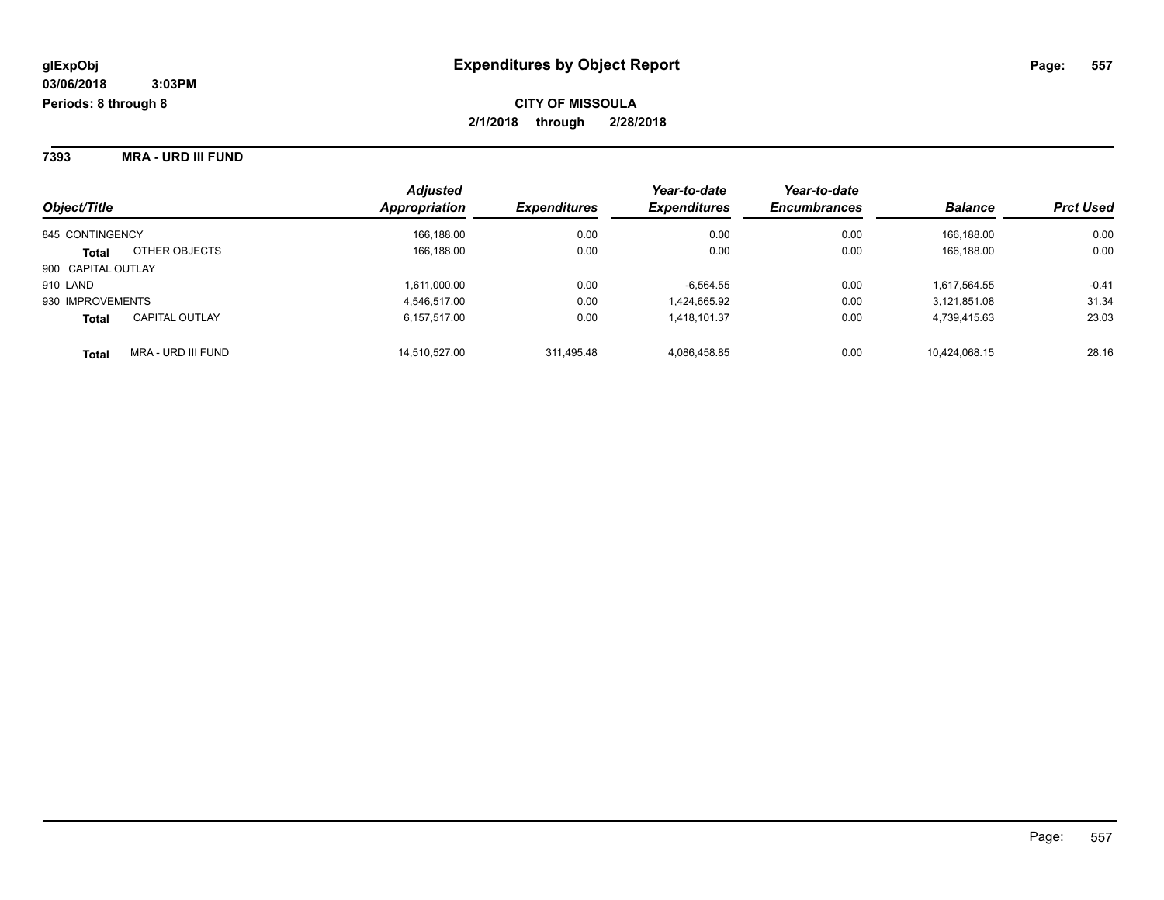**7393 MRA - URD III FUND**

| Object/Title       |                       | <b>Adjusted</b><br>Appropriation | <b>Expenditures</b> | Year-to-date<br><b>Expenditures</b> | Year-to-date<br><b>Encumbrances</b> | <b>Balance</b> | <b>Prct Used</b> |
|--------------------|-----------------------|----------------------------------|---------------------|-------------------------------------|-------------------------------------|----------------|------------------|
| 845 CONTINGENCY    |                       | 166,188.00                       | 0.00                | 0.00                                | 0.00                                | 166.188.00     | 0.00             |
| <b>Total</b>       | OTHER OBJECTS         | 166,188.00                       | 0.00                | 0.00                                | 0.00                                | 166.188.00     | 0.00             |
| 900 CAPITAL OUTLAY |                       |                                  |                     |                                     |                                     |                |                  |
| 910 LAND           |                       | 1,611,000.00                     | 0.00                | $-6,564.55$                         | 0.00                                | 1,617,564.55   | $-0.41$          |
| 930 IMPROVEMENTS   |                       | 4.546.517.00                     | 0.00                | 1,424,665.92                        | 0.00                                | 3.121.851.08   | 31.34            |
| <b>Total</b>       | <b>CAPITAL OUTLAY</b> | 6,157,517.00                     | 0.00                | 1,418,101.37                        | 0.00                                | 4,739,415.63   | 23.03            |
| <b>Total</b>       | MRA - URD III FUND    | 14.510.527.00                    | 311.495.48          | 4.086.458.85                        | 0.00                                | 10.424.068.15  | 28.16            |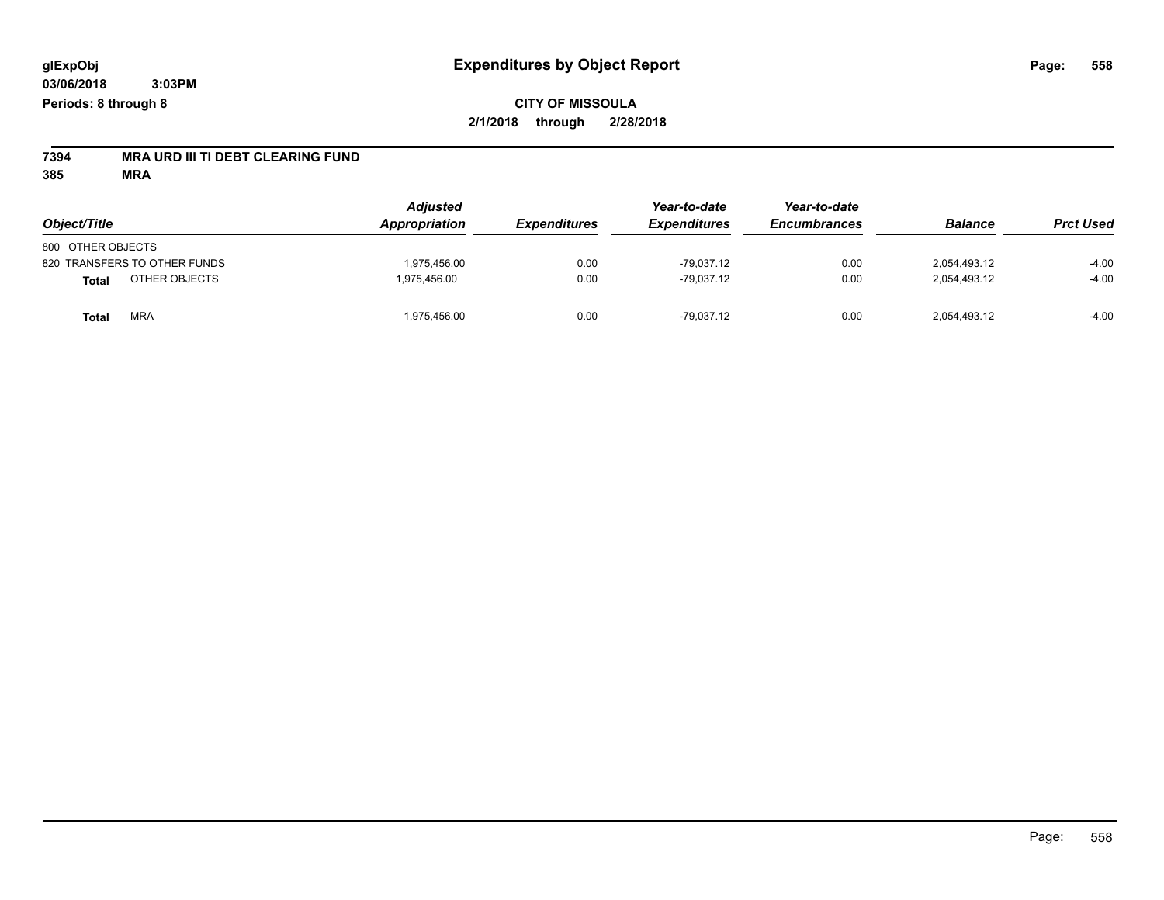## **CITY OF MISSOULA 2/1/2018 through 2/28/2018**

# **7394 MRA URD III TI DEBT CLEARING FUND**

| Object/Title                  | <b>Adjusted</b><br>Appropriation | <b>Expenditures</b> | Year-to-date<br><b>Expenditures</b> | Year-to-date<br><b>Encumbrances</b> | <b>Balance</b> | <b>Prct Used</b> |
|-------------------------------|----------------------------------|---------------------|-------------------------------------|-------------------------------------|----------------|------------------|
| 800 OTHER OBJECTS             |                                  |                     |                                     |                                     |                |                  |
| 820 TRANSFERS TO OTHER FUNDS  | 1.975.456.00                     | 0.00                | $-79.037.12$                        | 0.00                                | 2.054.493.12   | $-4.00$          |
| OTHER OBJECTS<br><b>Total</b> | 1.975.456.00                     | 0.00                | $-79,037.12$                        | 0.00                                | 2,054,493.12   | $-4.00$          |
| MRA<br>Total                  | 1.975.456.00                     | 0.00                | $-79.037.12$                        | 0.00                                | 2,054,493.12   | $-4.00$          |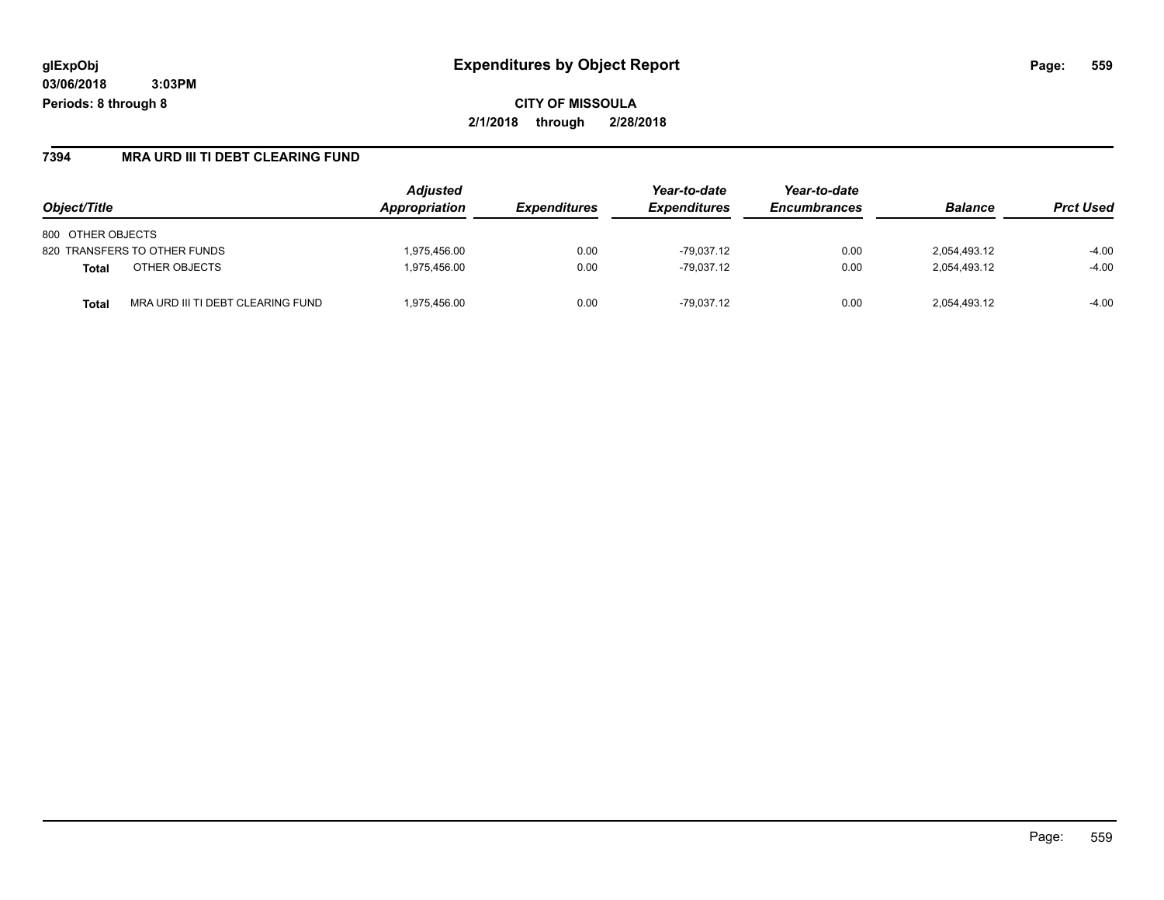**CITY OF MISSOULA 2/1/2018 through 2/28/2018**

### **7394 MRA URD III TI DEBT CLEARING FUND**

| Object/Title                               | <b>Adjusted</b><br>Appropriation | <b>Expenditures</b> | Year-to-date<br><i><b>Expenditures</b></i> | Year-to-date<br><b>Encumbrances</b> | <b>Balance</b> | <b>Prct Used</b> |
|--------------------------------------------|----------------------------------|---------------------|--------------------------------------------|-------------------------------------|----------------|------------------|
|                                            |                                  |                     |                                            |                                     |                |                  |
| 800 OTHER OBJECTS                          |                                  |                     |                                            |                                     |                |                  |
| 820 TRANSFERS TO OTHER FUNDS               | 1,975,456.00                     | 0.00                | $-79.037.12$                               | 0.00                                | 2,054,493.12   | $-4.00$          |
| OTHER OBJECTS<br><b>Total</b>              | 1.975.456.00                     | 0.00                | $-79.037.12$                               | 0.00                                | 2,054,493.12   | $-4.00$          |
| MRA URD III TI DEBT CLEARING FUND<br>Total | 1.975.456.00                     | 0.00                | $-79.037.12$                               | 0.00                                | 2,054,493.12   | $-4.00$          |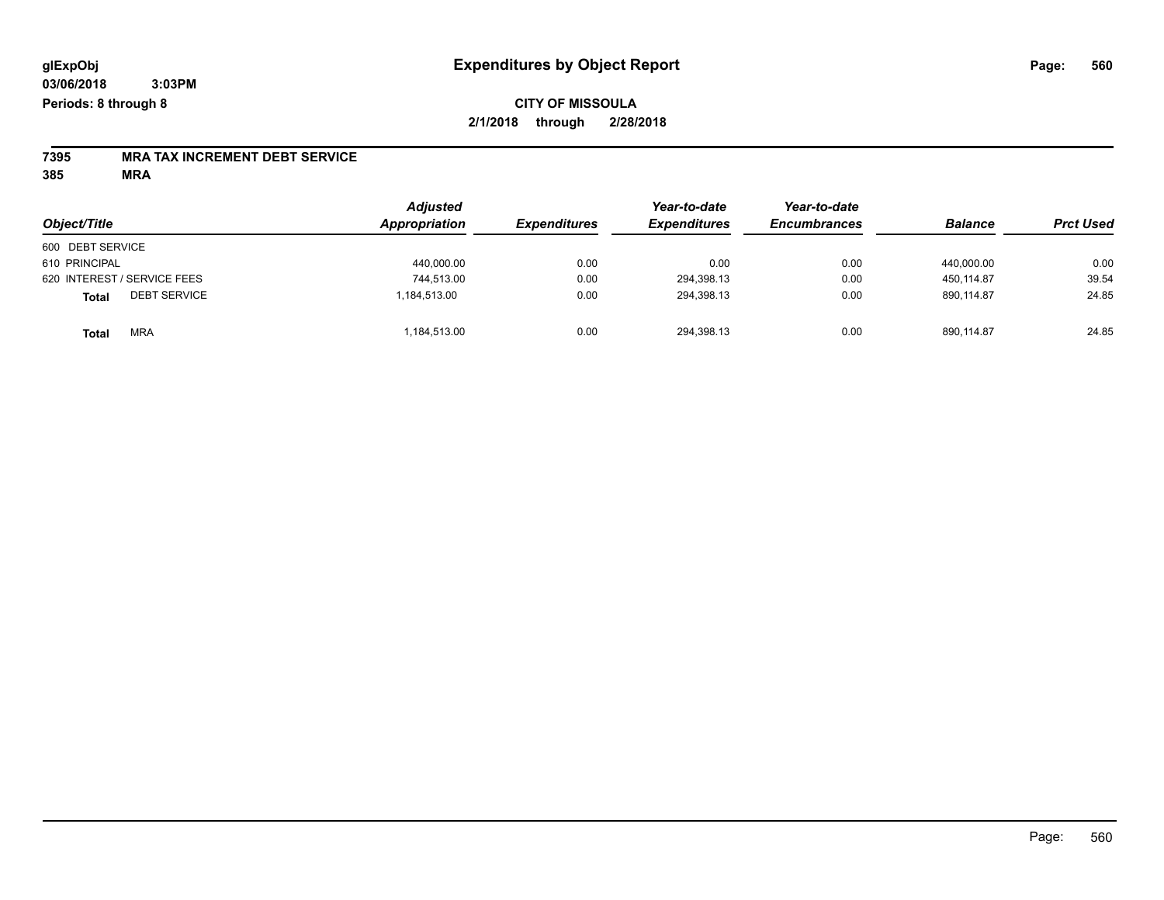## **CITY OF MISSOULA 2/1/2018 through 2/28/2018**

# **7395 MRA TAX INCREMENT DEBT SERVICE**

| Object/Title                 | <b>Adjusted</b><br>Appropriation | <b>Expenditures</b> | Year-to-date<br><b>Expenditures</b> | Year-to-date<br><b>Encumbrances</b> | <b>Balance</b> | <b>Prct Used</b> |
|------------------------------|----------------------------------|---------------------|-------------------------------------|-------------------------------------|----------------|------------------|
| 600 DEBT SERVICE             |                                  |                     |                                     |                                     |                |                  |
| 610 PRINCIPAL                | 440,000.00                       | 0.00                | 0.00                                | 0.00                                | 440.000.00     | 0.00             |
| 620 INTEREST / SERVICE FEES  | 744,513.00                       | 0.00                | 294,398.13                          | 0.00                                | 450.114.87     | 39.54            |
| <b>DEBT SERVICE</b><br>Total | 1,184,513.00                     | 0.00                | 294,398.13                          | 0.00                                | 890.114.87     | 24.85            |
| <b>MRA</b><br><b>Total</b>   | 184,513.00                       | 0.00                | 294,398.13                          | 0.00                                | 890,114.87     | 24.85            |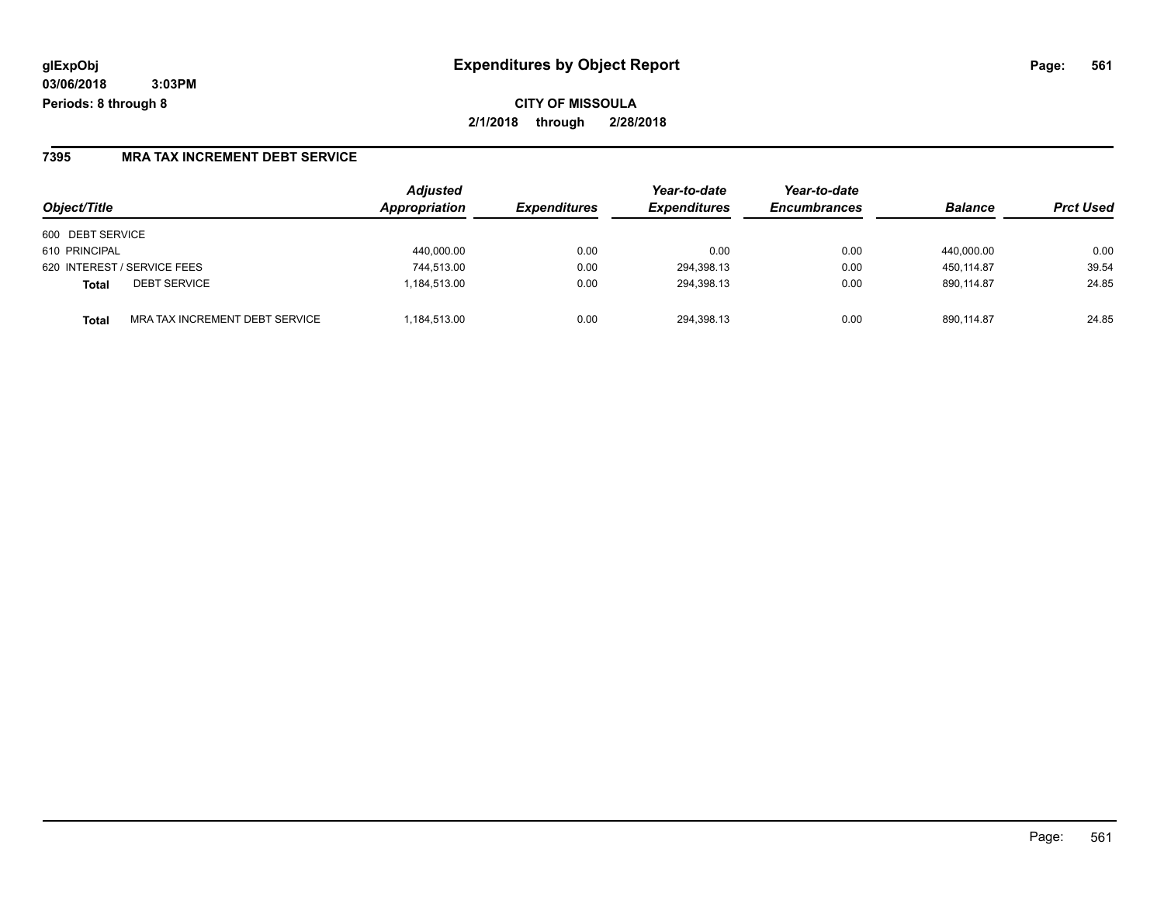### **7395 MRA TAX INCREMENT DEBT SERVICE**

| Object/Title                |                                | <b>Adjusted</b><br>Appropriation | <b>Expenditures</b> | Year-to-date<br><b>Expenditures</b> | Year-to-date<br><b>Encumbrances</b> | <b>Balance</b> | <b>Prct Used</b> |
|-----------------------------|--------------------------------|----------------------------------|---------------------|-------------------------------------|-------------------------------------|----------------|------------------|
| 600 DEBT SERVICE            |                                |                                  |                     |                                     |                                     |                |                  |
| 610 PRINCIPAL               |                                | 440,000.00                       | 0.00                | 0.00                                | 0.00                                | 440,000.00     | 0.00             |
| 620 INTEREST / SERVICE FEES |                                | 744,513.00                       | 0.00                | 294,398.13                          | 0.00                                | 450.114.87     | 39.54            |
| <b>Total</b>                | <b>DEBT SERVICE</b>            | 1.184.513.00                     | 0.00                | 294.398.13                          | 0.00                                | 890.114.87     | 24.85            |
| <b>Total</b>                | MRA TAX INCREMENT DEBT SERVICE | .184.513.00                      | 0.00                | 294.398.13                          | 0.00                                | 890.114.87     | 24.85            |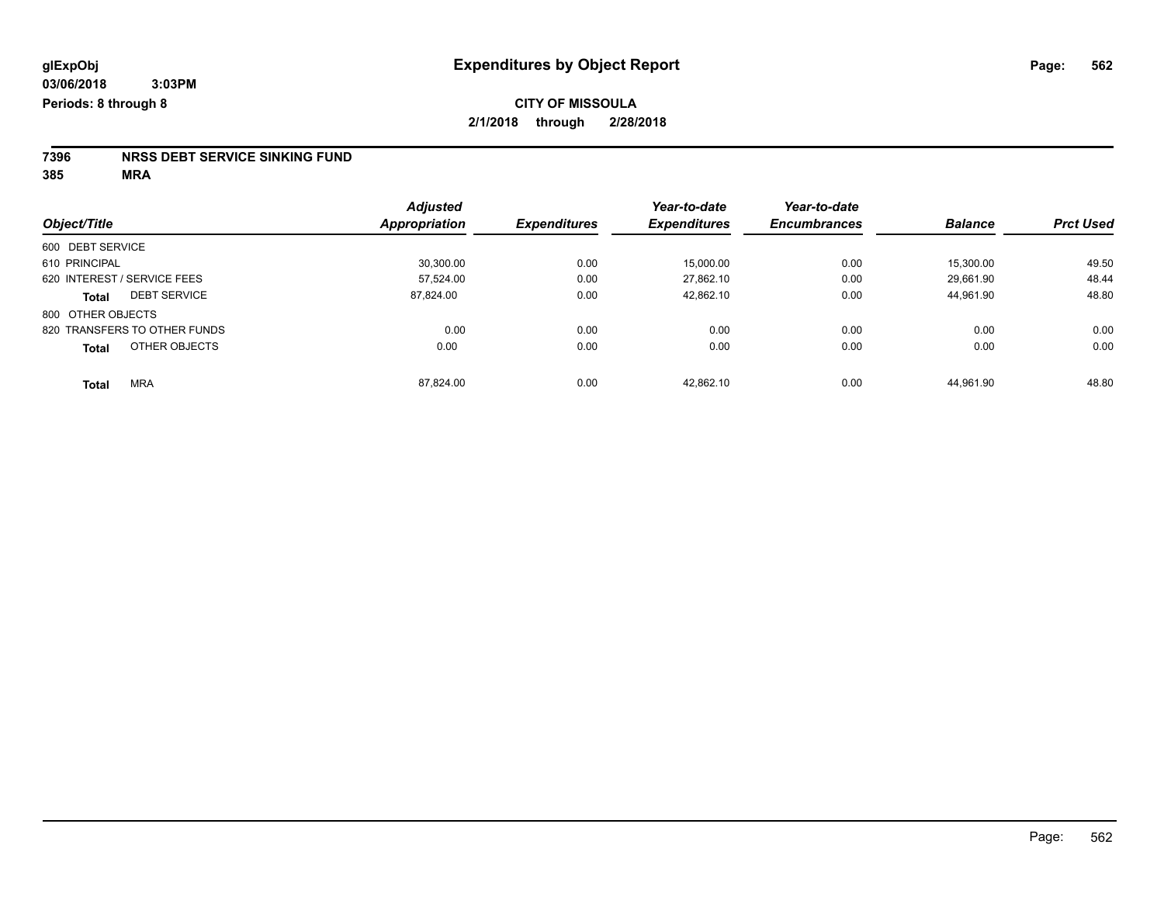# **7396 NRSS DEBT SERVICE SINKING FUND**

|                               | <b>Adjusted</b>      | <b>Expenditures</b> | Year-to-date<br><b>Expenditures</b> | Year-to-date<br><b>Encumbrances</b> | <b>Balance</b> | <b>Prct Used</b> |
|-------------------------------|----------------------|---------------------|-------------------------------------|-------------------------------------|----------------|------------------|
| Object/Title                  | <b>Appropriation</b> |                     |                                     |                                     |                |                  |
| 600 DEBT SERVICE              |                      |                     |                                     |                                     |                |                  |
| 610 PRINCIPAL                 | 30.300.00            | 0.00                | 15,000.00                           | 0.00                                | 15.300.00      | 49.50            |
| 620 INTEREST / SERVICE FEES   | 57.524.00            | 0.00                | 27.862.10                           | 0.00                                | 29.661.90      | 48.44            |
| <b>DEBT SERVICE</b><br>Total  | 87.824.00            | 0.00                | 42.862.10                           | 0.00                                | 44.961.90      | 48.80            |
| 800 OTHER OBJECTS             |                      |                     |                                     |                                     |                |                  |
| 820 TRANSFERS TO OTHER FUNDS  | 0.00                 | 0.00                | 0.00                                | 0.00                                | 0.00           | 0.00             |
| OTHER OBJECTS<br><b>Total</b> | 0.00                 | 0.00                | 0.00                                | 0.00                                | 0.00           | 0.00             |
| <b>MRA</b><br><b>Total</b>    | 87.824.00            | 0.00                | 42.862.10                           | 0.00                                | 44.961.90      | 48.80            |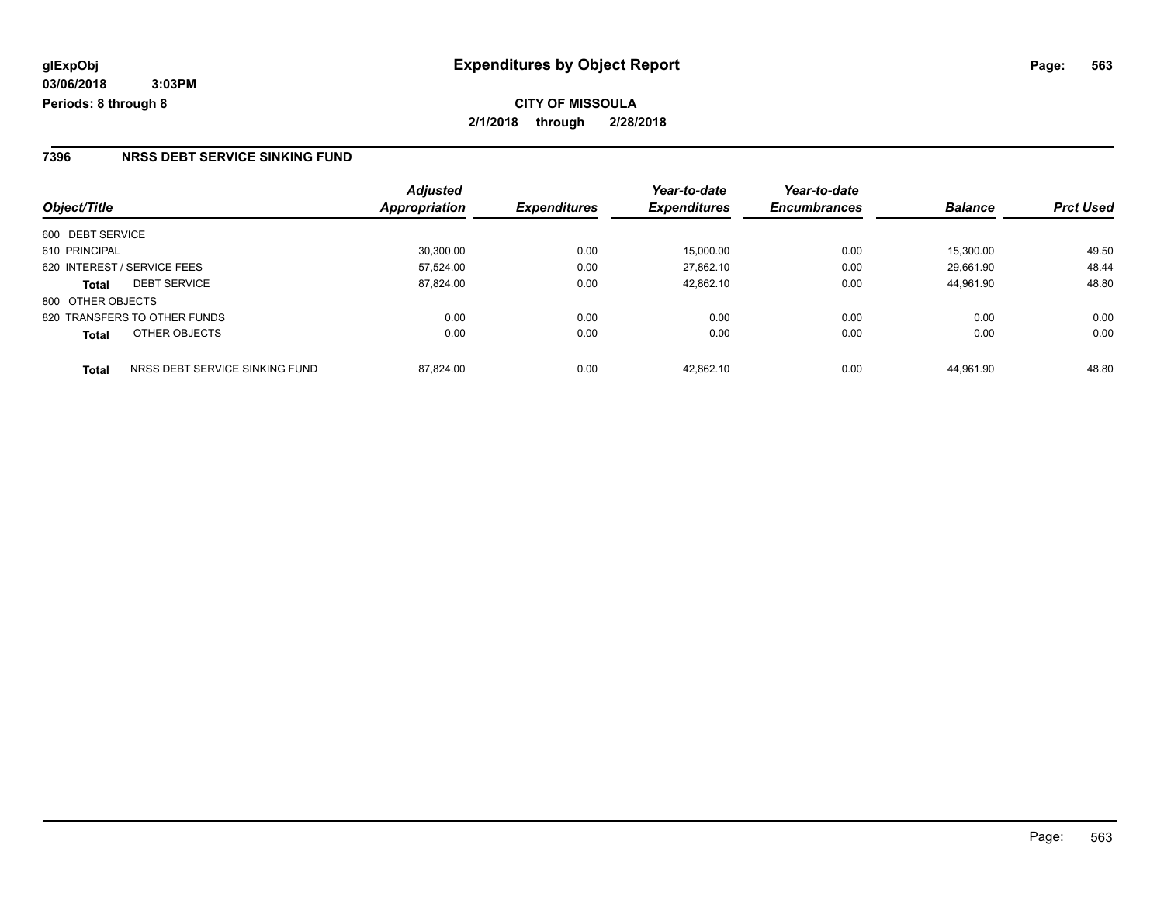### **7396 NRSS DEBT SERVICE SINKING FUND**

|                                         | <b>Adjusted</b> |                     | Year-to-date        | Year-to-date        |                |                  |
|-----------------------------------------|-----------------|---------------------|---------------------|---------------------|----------------|------------------|
| Object/Title                            | Appropriation   | <b>Expenditures</b> | <b>Expenditures</b> | <b>Encumbrances</b> | <b>Balance</b> | <b>Prct Used</b> |
| 600 DEBT SERVICE                        |                 |                     |                     |                     |                |                  |
| 610 PRINCIPAL                           | 30.300.00       | 0.00                | 15.000.00           | 0.00                | 15.300.00      | 49.50            |
| 620 INTEREST / SERVICE FEES             | 57,524.00       | 0.00                | 27.862.10           | 0.00                | 29.661.90      | 48.44            |
| <b>DEBT SERVICE</b><br><b>Total</b>     | 87,824.00       | 0.00                | 42.862.10           | 0.00                | 44.961.90      | 48.80            |
| 800 OTHER OBJECTS                       |                 |                     |                     |                     |                |                  |
| 820 TRANSFERS TO OTHER FUNDS            | 0.00            | 0.00                | 0.00                | 0.00                | 0.00           | 0.00             |
| OTHER OBJECTS<br><b>Total</b>           | 0.00            | 0.00                | 0.00                | 0.00                | 0.00           | 0.00             |
| NRSS DEBT SERVICE SINKING FUND<br>Total | 87.824.00       | 0.00                | 42.862.10           | 0.00                | 44.961.90      | 48.80            |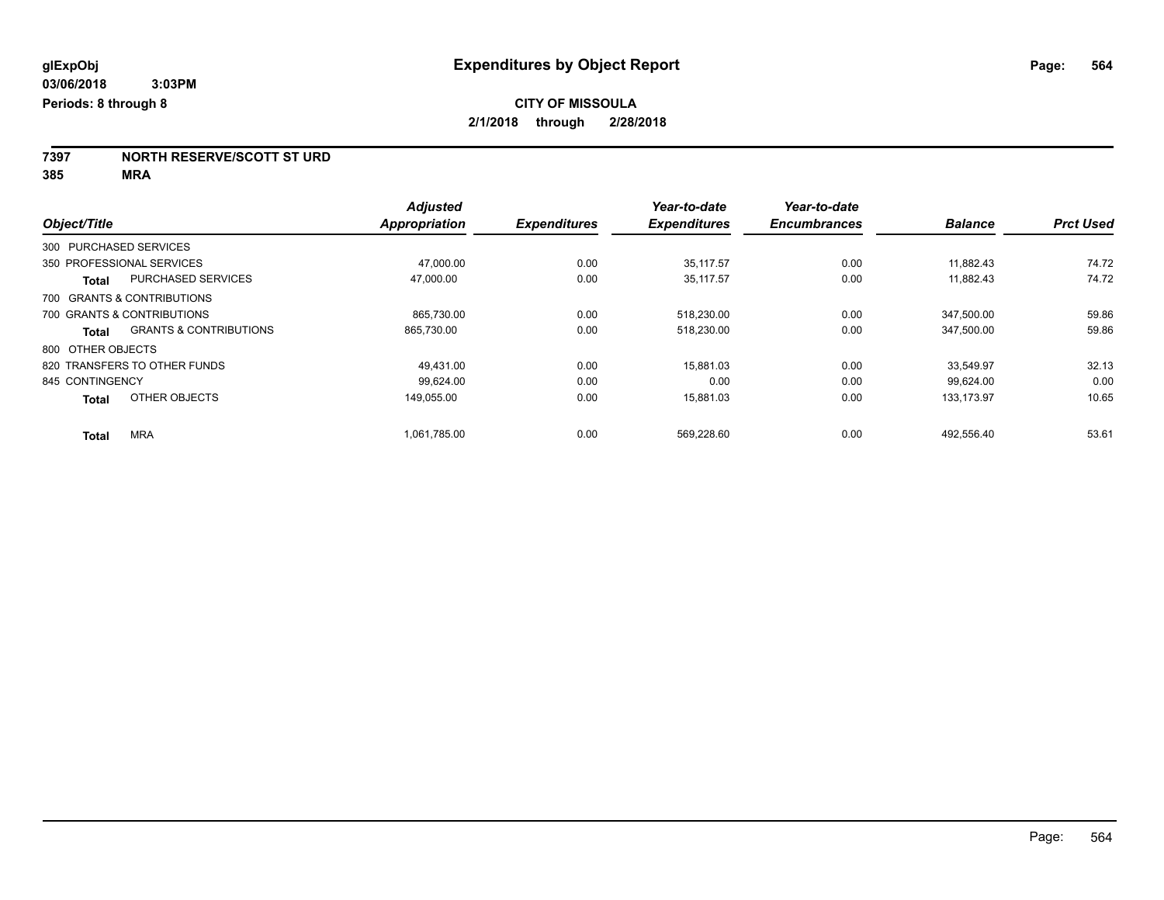**7397 NORTH RESERVE/SCOTT ST URD**

|                                            | <b>Adjusted</b> |                     | Year-to-date        | Year-to-date        |                |                  |
|--------------------------------------------|-----------------|---------------------|---------------------|---------------------|----------------|------------------|
| Object/Title                               | Appropriation   | <b>Expenditures</b> | <b>Expenditures</b> | <b>Encumbrances</b> | <b>Balance</b> | <b>Prct Used</b> |
| 300 PURCHASED SERVICES                     |                 |                     |                     |                     |                |                  |
| 350 PROFESSIONAL SERVICES                  | 47.000.00       | 0.00                | 35.117.57           | 0.00                | 11.882.43      | 74.72            |
| <b>PURCHASED SERVICES</b><br>Total         | 47,000.00       | 0.00                | 35.117.57           | 0.00                | 11,882.43      | 74.72            |
| 700 GRANTS & CONTRIBUTIONS                 |                 |                     |                     |                     |                |                  |
| 700 GRANTS & CONTRIBUTIONS                 | 865,730.00      | 0.00                | 518,230.00          | 0.00                | 347,500.00     | 59.86            |
| <b>GRANTS &amp; CONTRIBUTIONS</b><br>Total | 865.730.00      | 0.00                | 518,230.00          | 0.00                | 347.500.00     | 59.86            |
| 800 OTHER OBJECTS                          |                 |                     |                     |                     |                |                  |
| 820 TRANSFERS TO OTHER FUNDS               | 49.431.00       | 0.00                | 15.881.03           | 0.00                | 33.549.97      | 32.13            |
| 845 CONTINGENCY                            | 99.624.00       | 0.00                | 0.00                | 0.00                | 99.624.00      | 0.00             |
| OTHER OBJECTS<br><b>Total</b>              | 149.055.00      | 0.00                | 15.881.03           | 0.00                | 133.173.97     | 10.65            |
| <b>MRA</b><br><b>Total</b>                 | 1,061,785.00    | 0.00                | 569,228.60          | 0.00                | 492.556.40     | 53.61            |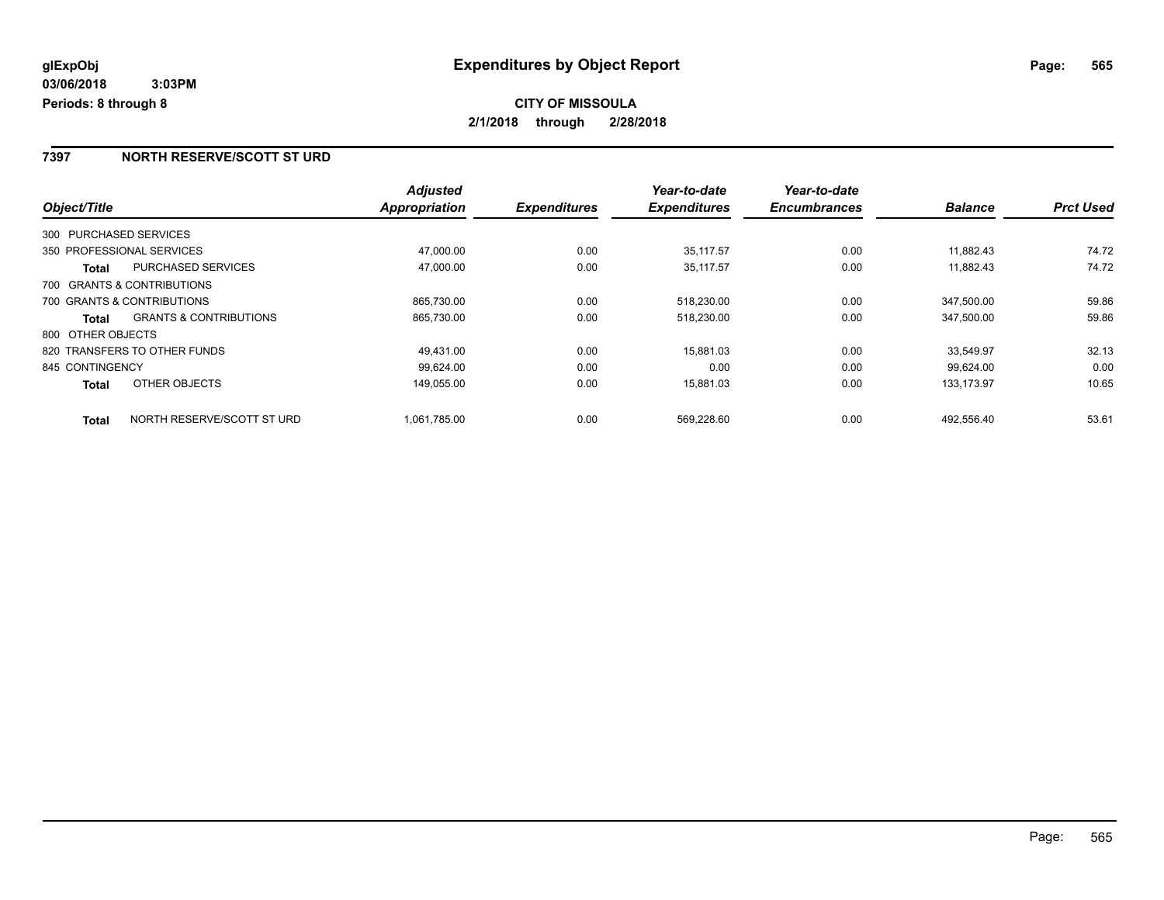### **7397 NORTH RESERVE/SCOTT ST URD**

|                              |                                   | <b>Adjusted</b> |                     | Year-to-date        | Year-to-date        |                |                  |
|------------------------------|-----------------------------------|-----------------|---------------------|---------------------|---------------------|----------------|------------------|
| Object/Title                 |                                   | Appropriation   | <b>Expenditures</b> | <b>Expenditures</b> | <b>Encumbrances</b> | <b>Balance</b> | <b>Prct Used</b> |
| 300 PURCHASED SERVICES       |                                   |                 |                     |                     |                     |                |                  |
| 350 PROFESSIONAL SERVICES    |                                   | 47,000.00       | 0.00                | 35.117.57           | 0.00                | 11,882.43      | 74.72            |
| Total                        | <b>PURCHASED SERVICES</b>         | 47,000.00       | 0.00                | 35,117.57           | 0.00                | 11,882.43      | 74.72            |
| 700 GRANTS & CONTRIBUTIONS   |                                   |                 |                     |                     |                     |                |                  |
| 700 GRANTS & CONTRIBUTIONS   |                                   | 865,730.00      | 0.00                | 518,230.00          | 0.00                | 347.500.00     | 59.86            |
| Total                        | <b>GRANTS &amp; CONTRIBUTIONS</b> | 865,730.00      | 0.00                | 518,230.00          | 0.00                | 347,500.00     | 59.86            |
| 800 OTHER OBJECTS            |                                   |                 |                     |                     |                     |                |                  |
| 820 TRANSFERS TO OTHER FUNDS |                                   | 49.431.00       | 0.00                | 15,881.03           | 0.00                | 33.549.97      | 32.13            |
| 845 CONTINGENCY              |                                   | 99.624.00       | 0.00                | 0.00                | 0.00                | 99.624.00      | 0.00             |
| <b>Total</b>                 | OTHER OBJECTS                     | 149,055.00      | 0.00                | 15,881.03           | 0.00                | 133, 173. 97   | 10.65            |
| <b>Total</b>                 | NORTH RESERVE/SCOTT ST URD        | 1,061,785.00    | 0.00                | 569.228.60          | 0.00                | 492.556.40     | 53.61            |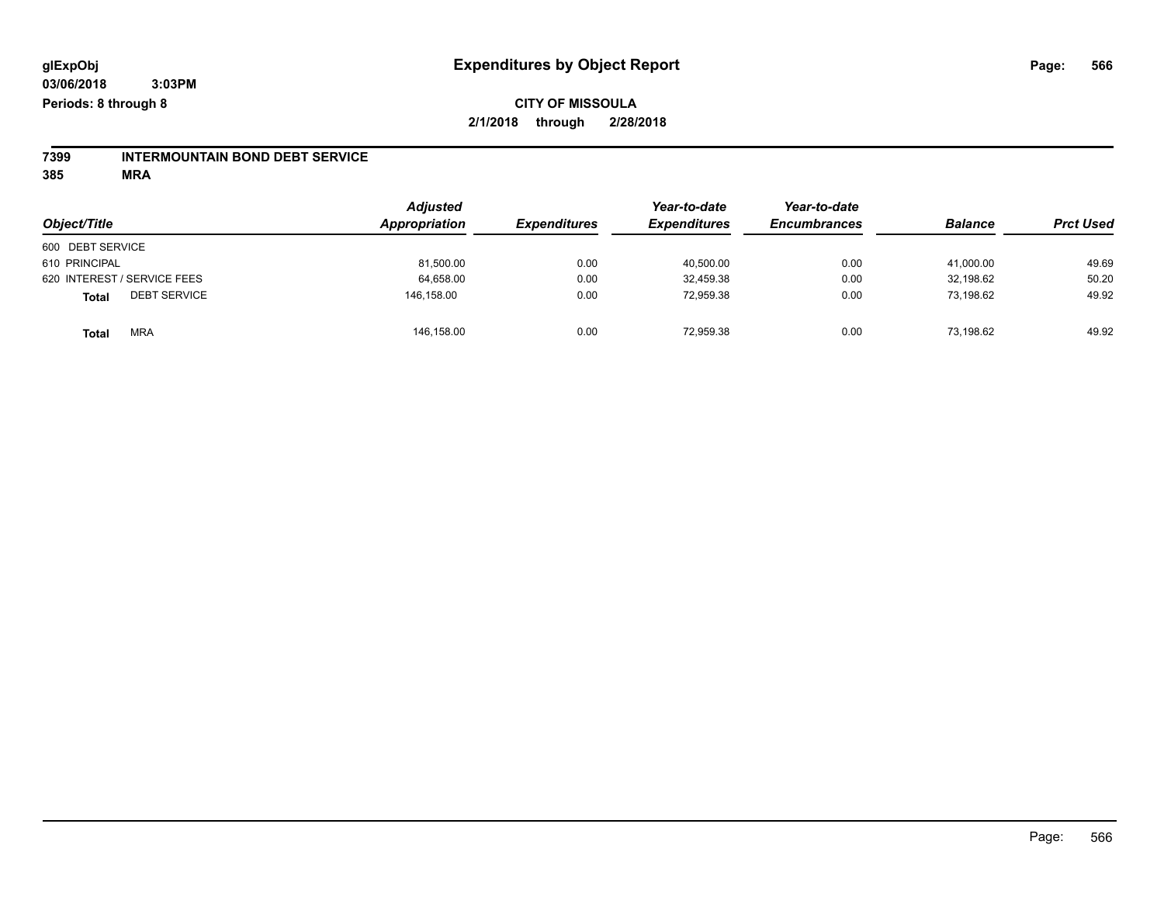## **CITY OF MISSOULA 2/1/2018 through 2/28/2018**

# **7399 INTERMOUNTAIN BOND DEBT SERVICE**

|                                     | <b>Adjusted</b><br>Appropriation |                     | Year-to-date        | Year-to-date        | <b>Balance</b> |                  |
|-------------------------------------|----------------------------------|---------------------|---------------------|---------------------|----------------|------------------|
| Object/Title                        |                                  | <b>Expenditures</b> | <b>Expenditures</b> | <b>Encumbrances</b> |                | <b>Prct Used</b> |
| 600 DEBT SERVICE                    |                                  |                     |                     |                     |                |                  |
| 610 PRINCIPAL                       | 81,500.00                        | 0.00                | 40,500.00           | 0.00                | 41,000.00      | 49.69            |
| 620 INTEREST / SERVICE FEES         | 64,658.00                        | 0.00                | 32,459.38           | 0.00                | 32,198.62      | 50.20            |
| <b>DEBT SERVICE</b><br><b>Total</b> | 146,158.00                       | 0.00                | 72,959.38           | 0.00                | 73,198.62      | 49.92            |
| <b>MRA</b><br><b>Total</b>          | 146,158.00                       | 0.00                | 72,959.38           | 0.00                | 73,198.62      | 49.92            |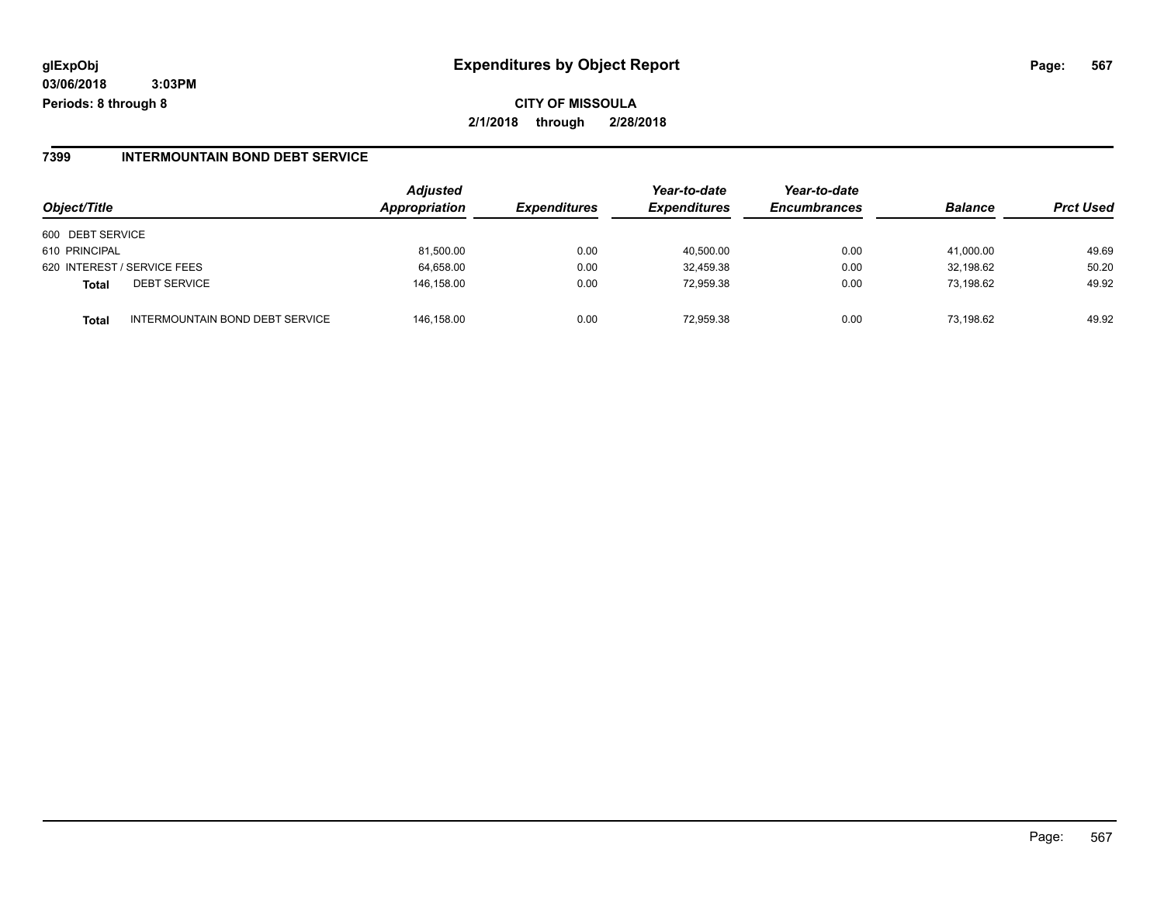**2/1/2018 through 2/28/2018**

### **7399 INTERMOUNTAIN BOND DEBT SERVICE**

| Object/Title     |                                 | Adjusted<br>Appropriation | <b>Expenditures</b> | Year-to-date<br><b>Expenditures</b> | Year-to-date<br><b>Encumbrances</b> | <b>Balance</b> | <b>Prct Used</b> |
|------------------|---------------------------------|---------------------------|---------------------|-------------------------------------|-------------------------------------|----------------|------------------|
| 600 DEBT SERVICE |                                 |                           |                     |                                     |                                     |                |                  |
| 610 PRINCIPAL    |                                 | 81,500.00                 | 0.00                | 40,500.00                           | 0.00                                | 41.000.00      | 49.69            |
|                  | 620 INTEREST / SERVICE FEES     | 64,658.00                 | 0.00                | 32,459.38                           | 0.00                                | 32,198.62      | 50.20            |
| Total            | <b>DEBT SERVICE</b>             | 146.158.00                | 0.00                | 72.959.38                           | 0.00                                | 73.198.62      | 49.92            |
| Total            | INTERMOUNTAIN BOND DEBT SERVICE | 146.158.00                | 0.00                | 72.959.38                           | 0.00                                | 73.198.62      | 49.92            |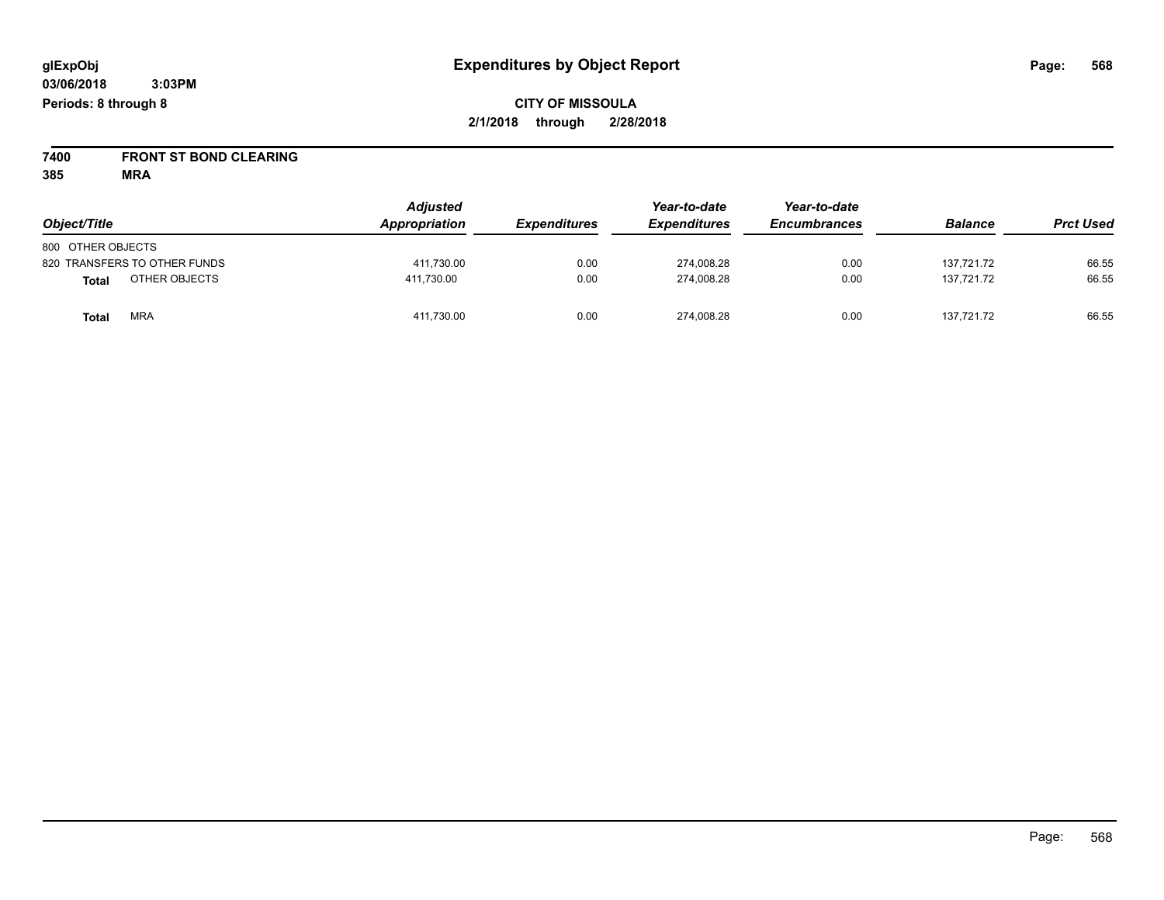**7400 FRONT ST BOND CLEARING**

| Object/Title                 | <b>Adjusted</b><br>Appropriation | <b>Expenditures</b> | Year-to-date<br><b>Expenditures</b> | Year-to-date<br><b>Encumbrances</b> | <b>Balance</b> | <b>Prct Used</b> |
|------------------------------|----------------------------------|---------------------|-------------------------------------|-------------------------------------|----------------|------------------|
| 800 OTHER OBJECTS            |                                  |                     |                                     |                                     |                |                  |
| 820 TRANSFERS TO OTHER FUNDS | 411,730.00                       | 0.00                | 274,008.28                          | 0.00                                | 137,721.72     | 66.55            |
| OTHER OBJECTS<br>Total       | 411.730.00                       | 0.00                | 274,008.28                          | 0.00                                | 137.721.72     | 66.55            |
| <b>MRA</b><br>Total          | 411,730.00                       | 0.00                | 274,008.28                          | 0.00                                | 137,721.72     | 66.55            |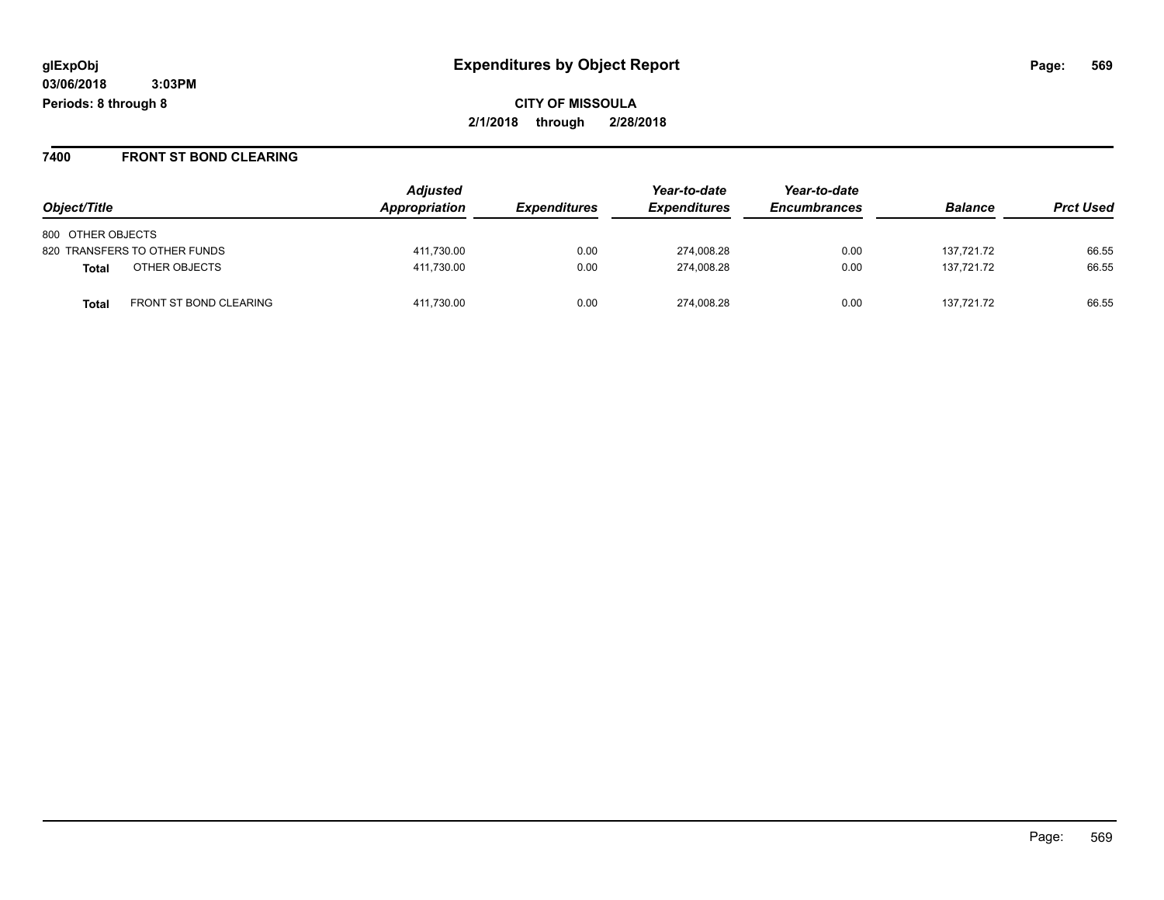#### **7400 FRONT ST BOND CLEARING**

| Object/Title                           | <b>Adjusted</b><br>Appropriation | <i><b>Expenditures</b></i> | Year-to-date<br><b>Expenditures</b> | Year-to-date<br><b>Encumbrances</b> | <b>Balance</b> | <b>Prct Used</b> |
|----------------------------------------|----------------------------------|----------------------------|-------------------------------------|-------------------------------------|----------------|------------------|
| 800 OTHER OBJECTS                      |                                  |                            |                                     |                                     |                |                  |
| 820 TRANSFERS TO OTHER FUNDS           | 411,730.00                       | 0.00                       | 274.008.28                          | 0.00                                | 137,721.72     | 66.55            |
| OTHER OBJECTS<br><b>Total</b>          | 411,730.00                       | 0.00                       | 274.008.28                          | 0.00                                | 137.721.72     | 66.55            |
| <b>FRONT ST BOND CLEARING</b><br>Total | 411.730.00                       | 0.00                       | 274.008.28                          | 0.00                                | 137.721.72     | 66.55            |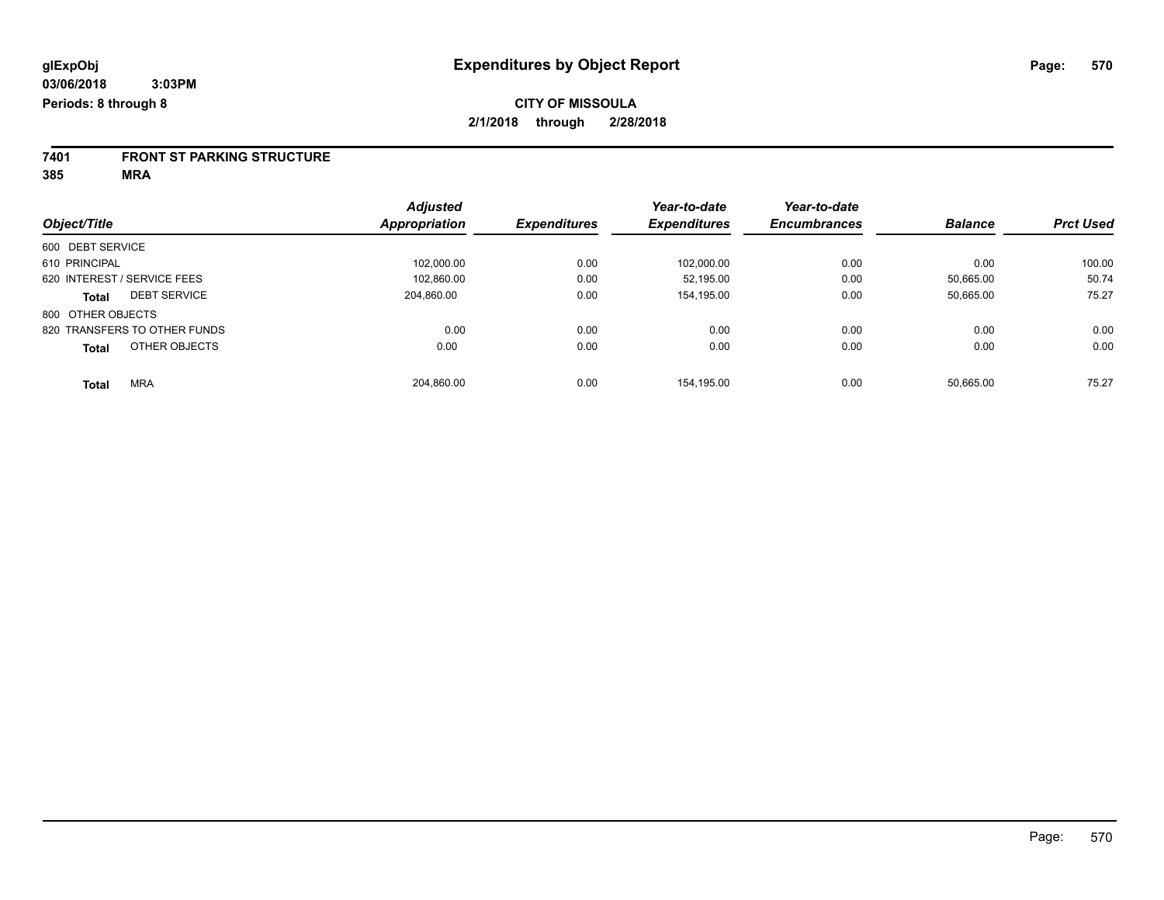# **7401 FRONT ST PARKING STRUCTURE**

|                                     | <b>Adjusted</b>      |                     | Year-to-date        | Year-to-date        |                |                  |
|-------------------------------------|----------------------|---------------------|---------------------|---------------------|----------------|------------------|
| Object/Title                        | <b>Appropriation</b> | <b>Expenditures</b> | <b>Expenditures</b> | <b>Encumbrances</b> | <b>Balance</b> | <b>Prct Used</b> |
| 600 DEBT SERVICE                    |                      |                     |                     |                     |                |                  |
| 610 PRINCIPAL                       | 102,000.00           | 0.00                | 102,000.00          | 0.00                | 0.00           | 100.00           |
| 620 INTEREST / SERVICE FEES         | 102,860.00           | 0.00                | 52.195.00           | 0.00                | 50.665.00      | 50.74            |
| <b>DEBT SERVICE</b><br><b>Total</b> | 204,860.00           | 0.00                | 154,195.00          | 0.00                | 50,665.00      | 75.27            |
| 800 OTHER OBJECTS                   |                      |                     |                     |                     |                |                  |
| 820 TRANSFERS TO OTHER FUNDS        | 0.00                 | 0.00                | 0.00                | 0.00                | 0.00           | 0.00             |
| OTHER OBJECTS<br><b>Total</b>       | 0.00                 | 0.00                | 0.00                | 0.00                | 0.00           | 0.00             |
| <b>MRA</b><br><b>Total</b>          | 204.860.00           | 0.00                | 154.195.00          | 0.00                | 50.665.00      | 75.27            |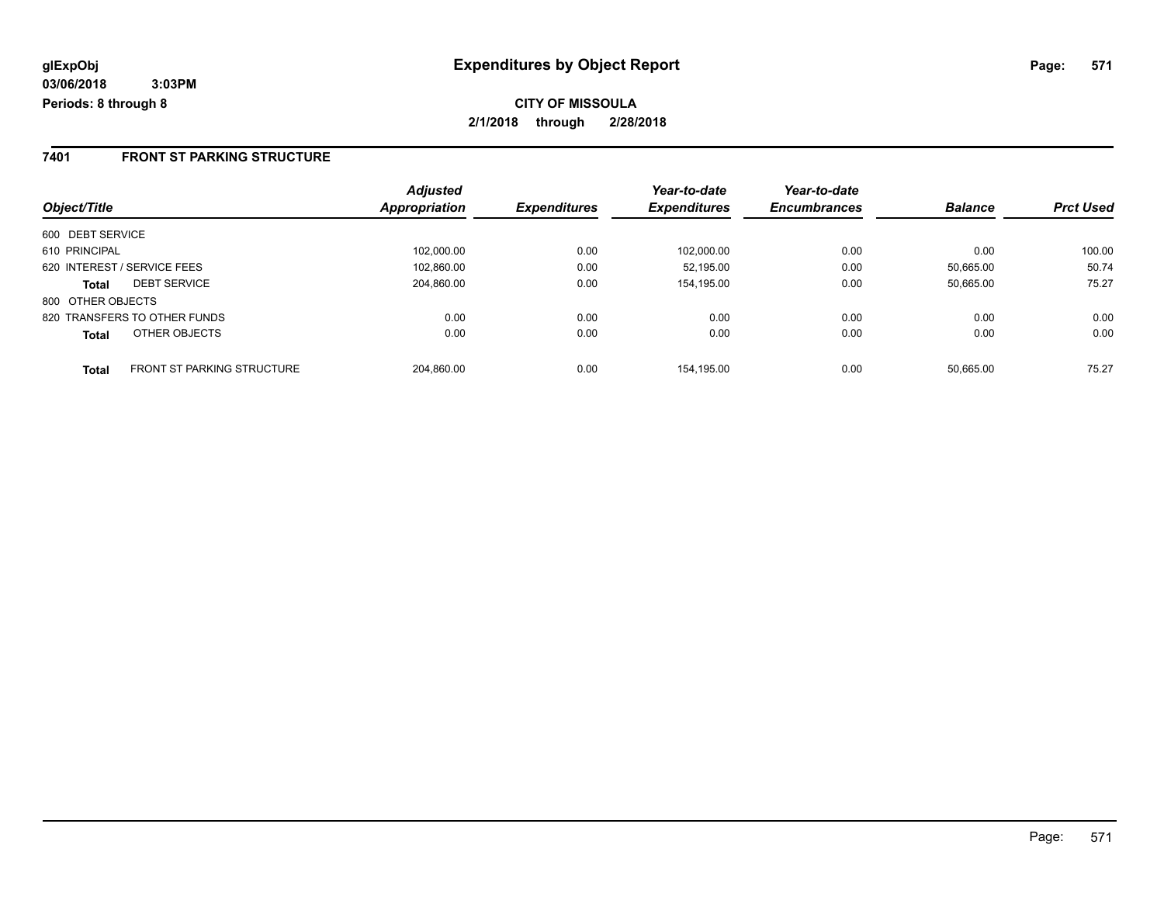### **7401 FRONT ST PARKING STRUCTURE**

|                                            | <b>Adjusted</b> | <b>Expenditures</b> | Year-to-date<br><b>Expenditures</b> | Year-to-date<br><b>Encumbrances</b> | <b>Balance</b> | <b>Prct Used</b> |
|--------------------------------------------|-----------------|---------------------|-------------------------------------|-------------------------------------|----------------|------------------|
| Object/Title                               | Appropriation   |                     |                                     |                                     |                |                  |
| 600 DEBT SERVICE                           |                 |                     |                                     |                                     |                |                  |
| 610 PRINCIPAL                              | 102.000.00      | 0.00                | 102.000.00                          | 0.00                                | 0.00           | 100.00           |
| 620 INTEREST / SERVICE FEES                | 102,860.00      | 0.00                | 52.195.00                           | 0.00                                | 50.665.00      | 50.74            |
| <b>DEBT SERVICE</b><br><b>Total</b>        | 204.860.00      | 0.00                | 154,195.00                          | 0.00                                | 50.665.00      | 75.27            |
| 800 OTHER OBJECTS                          |                 |                     |                                     |                                     |                |                  |
| 820 TRANSFERS TO OTHER FUNDS               | 0.00            | 0.00                | 0.00                                | 0.00                                | 0.00           | 0.00             |
| OTHER OBJECTS<br><b>Total</b>              | 0.00            | 0.00                | 0.00                                | 0.00                                | 0.00           | 0.00             |
| <b>FRONT ST PARKING STRUCTURE</b><br>Total | 204.860.00      | 0.00                | 154.195.00                          | 0.00                                | 50.665.00      | 75.27            |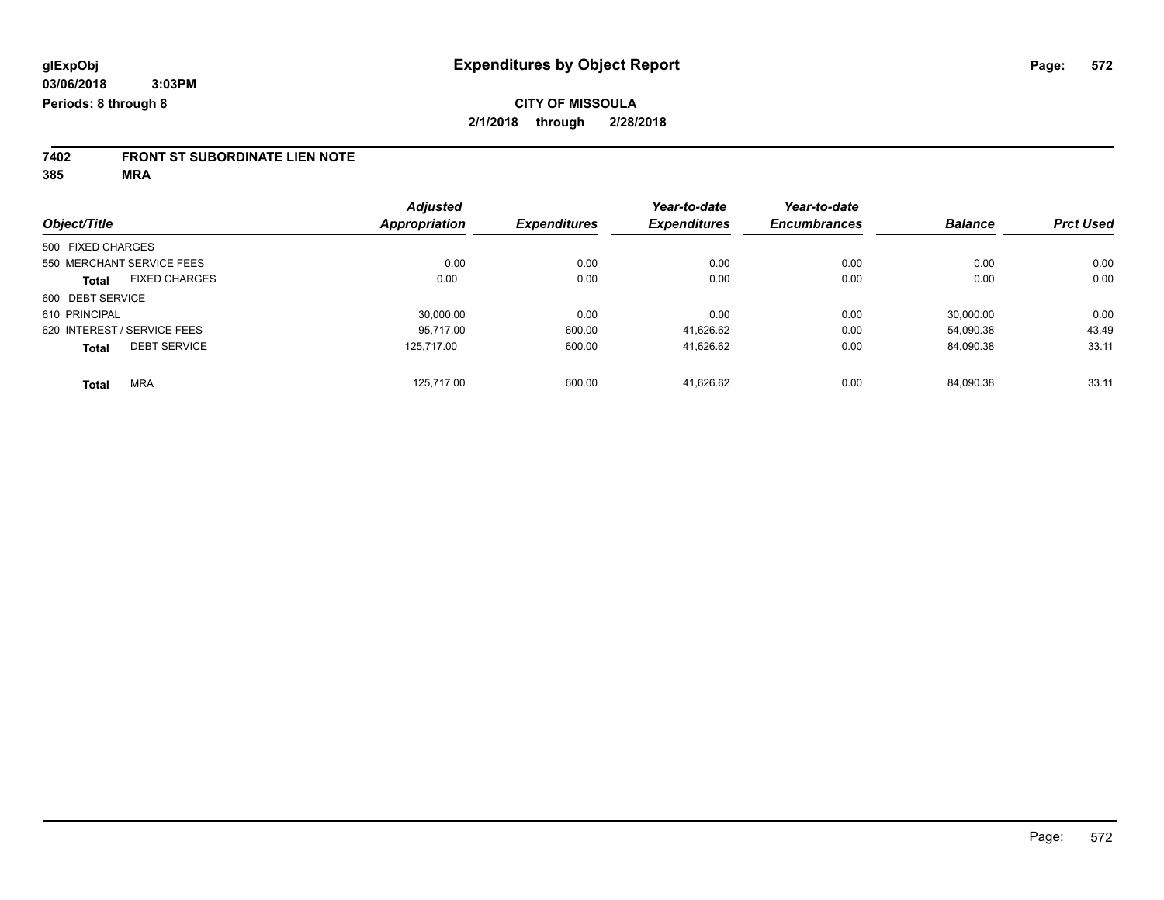# **7402 FRONT ST SUBORDINATE LIEN NOTE**

|                                      | <b>Adjusted</b>      |                     | Year-to-date        | Year-to-date        |                |                  |
|--------------------------------------|----------------------|---------------------|---------------------|---------------------|----------------|------------------|
| Object/Title                         | <b>Appropriation</b> | <b>Expenditures</b> | <b>Expenditures</b> | <b>Encumbrances</b> | <b>Balance</b> | <b>Prct Used</b> |
| 500 FIXED CHARGES                    |                      |                     |                     |                     |                |                  |
| 550 MERCHANT SERVICE FEES            | 0.00                 | 0.00                | 0.00                | 0.00                | 0.00           | 0.00             |
| <b>FIXED CHARGES</b><br><b>Total</b> | 0.00                 | 0.00                | 0.00                | 0.00                | 0.00           | 0.00             |
| 600 DEBT SERVICE                     |                      |                     |                     |                     |                |                  |
| 610 PRINCIPAL                        | 30,000.00            | 0.00                | 0.00                | 0.00                | 30.000.00      | 0.00             |
| 620 INTEREST / SERVICE FEES          | 95.717.00            | 600.00              | 41,626.62           | 0.00                | 54,090.38      | 43.49            |
| <b>DEBT SERVICE</b><br><b>Total</b>  | 125.717.00           | 600.00              | 41,626.62           | 0.00                | 84,090.38      | 33.11            |
| <b>MRA</b><br>Total                  | 125.717.00           | 600.00              | 41.626.62           | 0.00                | 84.090.38      | 33.11            |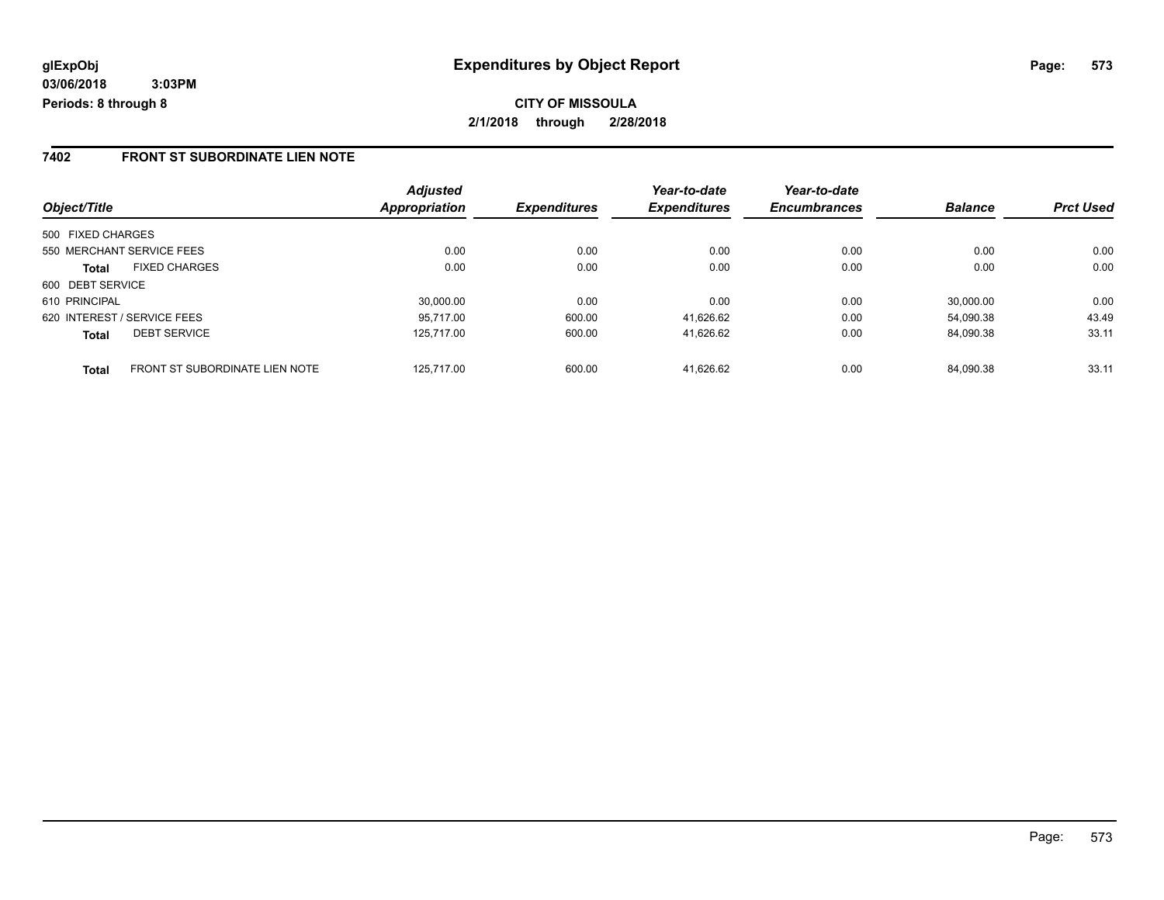**CITY OF MISSOULA 2/1/2018 through 2/28/2018**

### **7402 FRONT ST SUBORDINATE LIEN NOTE**

|                                                       | <b>Adjusted</b> |                     | Year-to-date        | Year-to-date        |                |                  |
|-------------------------------------------------------|-----------------|---------------------|---------------------|---------------------|----------------|------------------|
| Object/Title                                          | Appropriation   | <b>Expenditures</b> | <b>Expenditures</b> | <b>Encumbrances</b> | <b>Balance</b> | <b>Prct Used</b> |
| 500 FIXED CHARGES                                     |                 |                     |                     |                     |                |                  |
| 550 MERCHANT SERVICE FEES                             | 0.00            | 0.00                | 0.00                | 0.00                | 0.00           | 0.00             |
| <b>FIXED CHARGES</b><br><b>Total</b>                  | 0.00            | 0.00                | 0.00                | 0.00                | 0.00           | 0.00             |
| 600 DEBT SERVICE                                      |                 |                     |                     |                     |                |                  |
| 610 PRINCIPAL                                         | 30.000.00       | 0.00                | 0.00                | 0.00                | 30.000.00      | 0.00             |
| 620 INTEREST / SERVICE FEES                           | 95.717.00       | 600.00              | 41,626.62           | 0.00                | 54.090.38      | 43.49            |
| <b>DEBT SERVICE</b><br><b>Total</b>                   | 125.717.00      | 600.00              | 41.626.62           | 0.00                | 84.090.38      | 33.11            |
| <b>FRONT ST SUBORDINATE LIEN NOTE</b><br><b>Total</b> | 125.717.00      | 600.00              | 41.626.62           | 0.00                | 84.090.38      | 33.11            |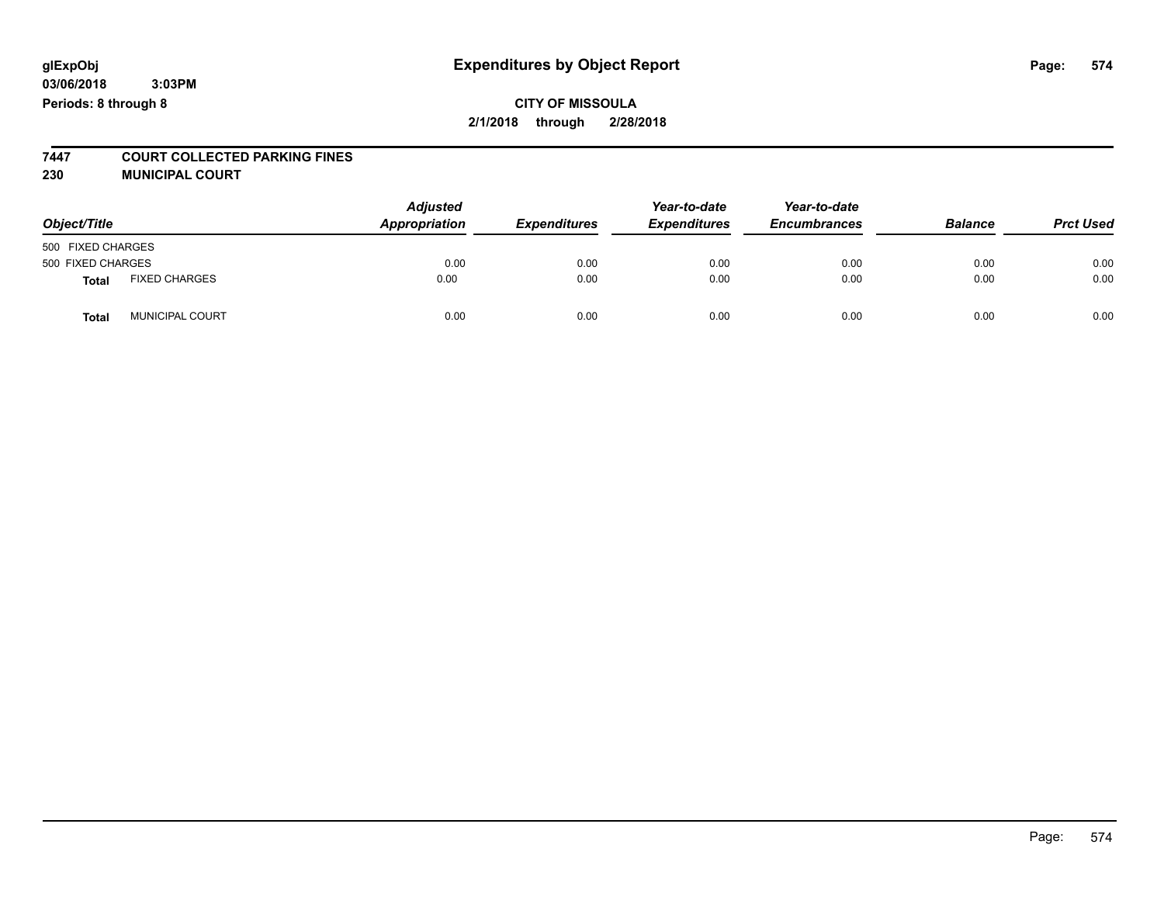### **CITY OF MISSOULA 2/1/2018 through 2/28/2018**

# **7447 COURT COLLECTED PARKING FINES**

**230 MUNICIPAL COURT**

| Object/Title      |                      | <b>Adjusted</b><br>Appropriation | <b>Expenditures</b> | Year-to-date<br><b>Expenditures</b> | Year-to-date<br><b>Encumbrances</b> | <b>Balance</b> | <b>Prct Used</b> |
|-------------------|----------------------|----------------------------------|---------------------|-------------------------------------|-------------------------------------|----------------|------------------|
| 500 FIXED CHARGES |                      |                                  |                     |                                     |                                     |                |                  |
| 500 FIXED CHARGES |                      | 0.00                             | 0.00                | 0.00                                | 0.00                                | 0.00           | 0.00             |
| <b>Total</b>      | <b>FIXED CHARGES</b> | 0.00                             | 0.00                | 0.00                                | 0.00                                | 0.00           | 0.00             |
| <b>Total</b>      | MUNICIPAL COURT      | 0.00                             | 0.00                | 0.00                                | 0.00                                | 0.00           | 0.00             |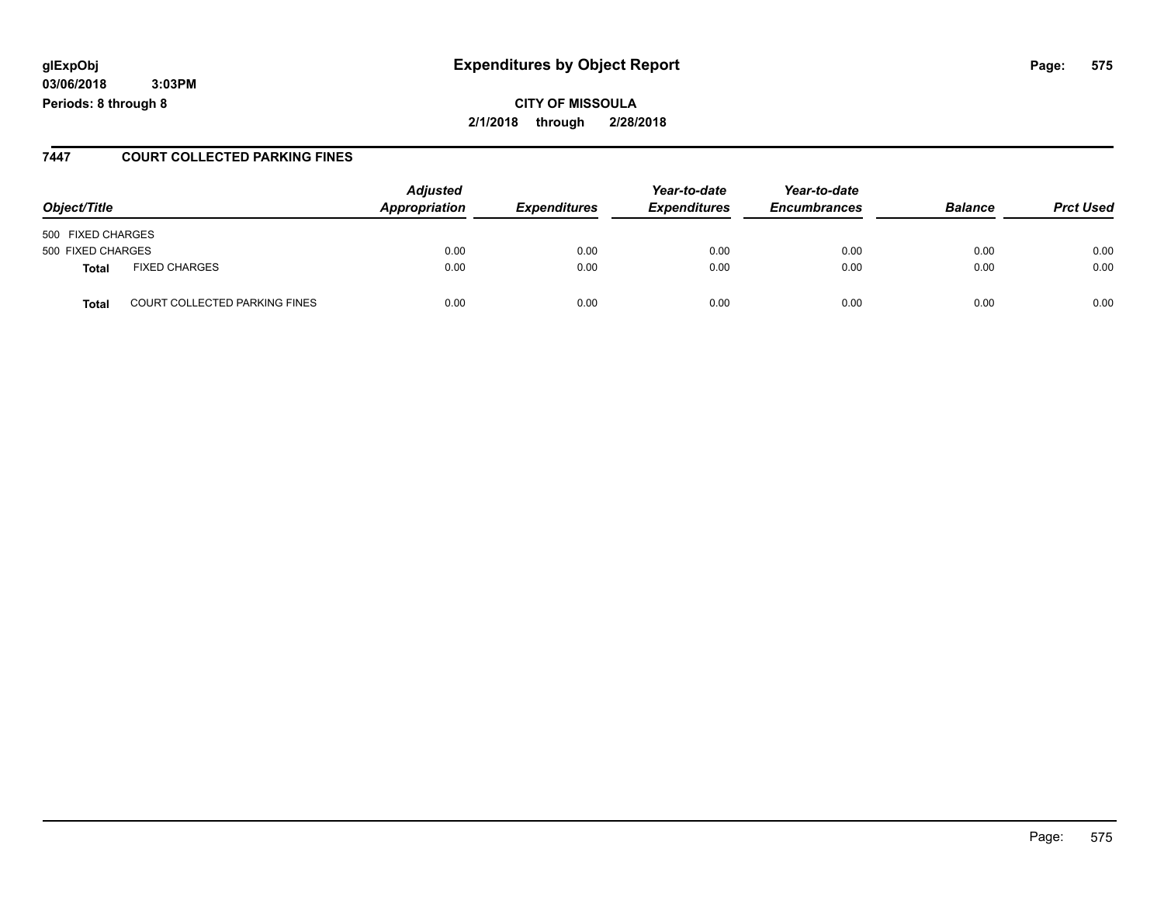### **glExpObj Expenditures by Object Report Page: 575**

**03/06/2018 3:03PM Periods: 8 through 8**

### **7447 COURT COLLECTED PARKING FINES**

| Object/Title                                  | <b>Adjusted</b><br>Appropriation | <b>Expenditures</b> | Year-to-date<br><b>Expenditures</b> | Year-to-date<br><b>Encumbrances</b> | <b>Balance</b> | <b>Prct Used</b> |
|-----------------------------------------------|----------------------------------|---------------------|-------------------------------------|-------------------------------------|----------------|------------------|
| 500 FIXED CHARGES                             |                                  |                     |                                     |                                     |                |                  |
| 500 FIXED CHARGES                             | 0.00                             | 0.00                | 0.00                                | 0.00                                | 0.00           | 0.00             |
| <b>FIXED CHARGES</b><br><b>Total</b>          | 0.00                             | 0.00                | 0.00                                | 0.00                                | 0.00           | 0.00             |
| <b>COURT COLLECTED PARKING FINES</b><br>Total | 0.00                             | 0.00                | 0.00                                | 0.00                                | 0.00           | 0.00             |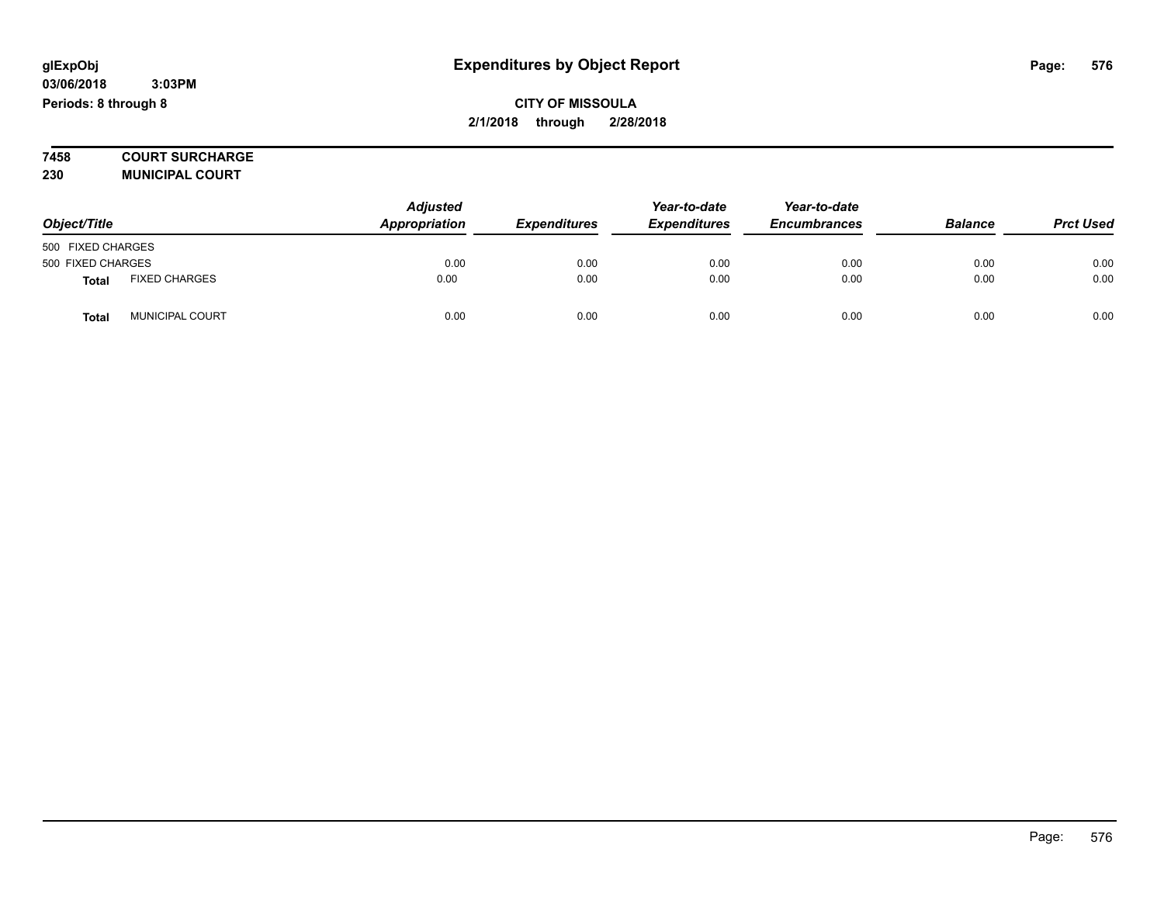**7458 COURT SURCHARGE**

**230 MUNICIPAL COURT**

| Object/Title      |                        | <b>Adjusted</b><br>Appropriation | <b>Expenditures</b> | Year-to-date<br><b>Expenditures</b> | Year-to-date<br><b>Encumbrances</b> | <b>Balance</b> | <b>Prct Used</b> |
|-------------------|------------------------|----------------------------------|---------------------|-------------------------------------|-------------------------------------|----------------|------------------|
| 500 FIXED CHARGES |                        |                                  |                     |                                     |                                     |                |                  |
| 500 FIXED CHARGES |                        | 0.00                             | 0.00                | 0.00                                | 0.00                                | 0.00           | 0.00             |
| <b>Total</b>      | <b>FIXED CHARGES</b>   | 0.00                             | 0.00                | 0.00                                | 0.00                                | 0.00           | 0.00             |
| <b>Total</b>      | <b>MUNICIPAL COURT</b> | 0.00                             | 0.00                | 0.00                                | 0.00                                | 0.00           | 0.00             |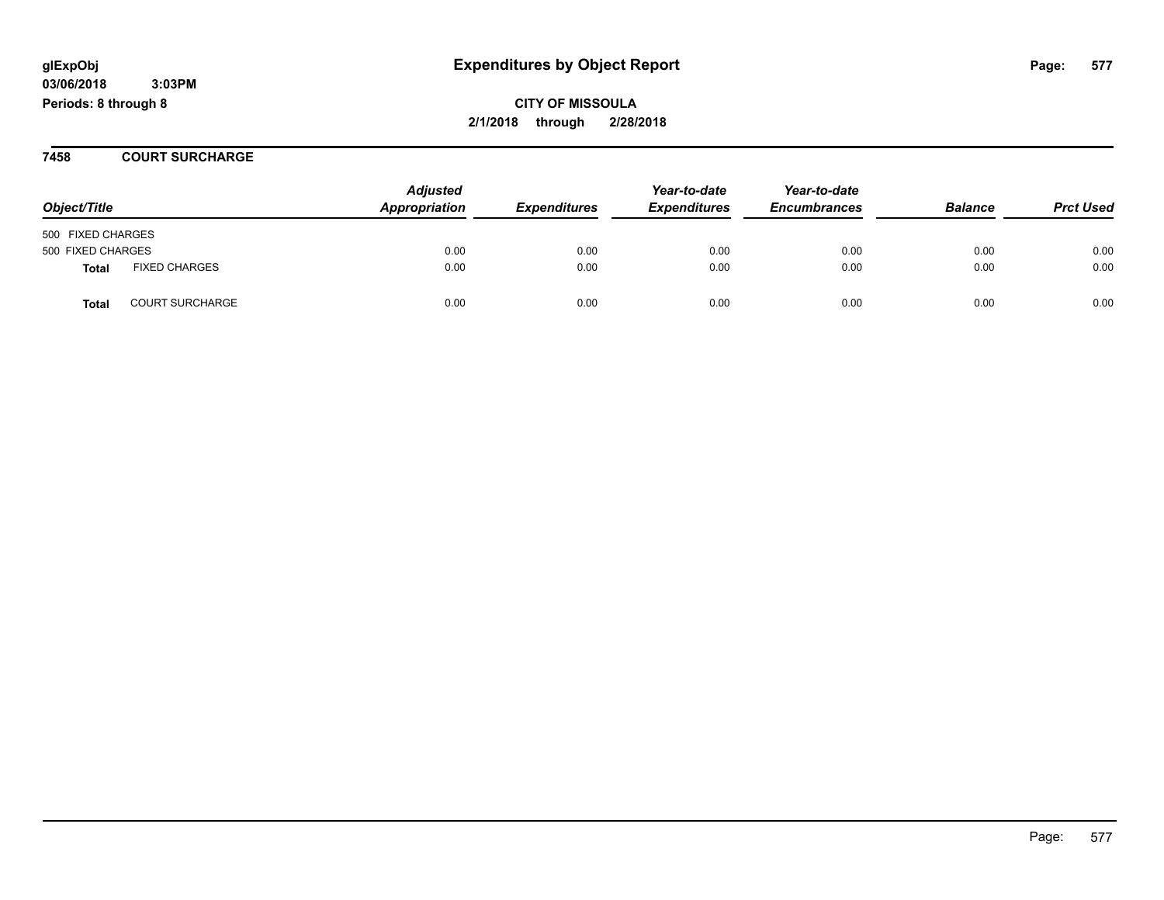**CITY OF MISSOULA 2/1/2018 through 2/28/2018**

### **7458 COURT SURCHARGE**

| Object/Title      |                        | <b>Adjusted</b><br>Appropriation | <b>Expenditures</b> | Year-to-date<br><b>Expenditures</b> | Year-to-date<br><b>Encumbrances</b> | <b>Balance</b> | <b>Prct Used</b> |
|-------------------|------------------------|----------------------------------|---------------------|-------------------------------------|-------------------------------------|----------------|------------------|
| 500 FIXED CHARGES |                        |                                  |                     |                                     |                                     |                |                  |
| 500 FIXED CHARGES |                        | 0.00                             | 0.00                | 0.00                                | 0.00                                | 0.00           | 0.00             |
| <b>Total</b>      | <b>FIXED CHARGES</b>   | 0.00                             | 0.00                | 0.00                                | 0.00                                | 0.00           | 0.00             |
| <b>Total</b>      | <b>COURT SURCHARGE</b> | 0.00                             | 0.00                | 0.00                                | 0.00                                | 0.00           | 0.00             |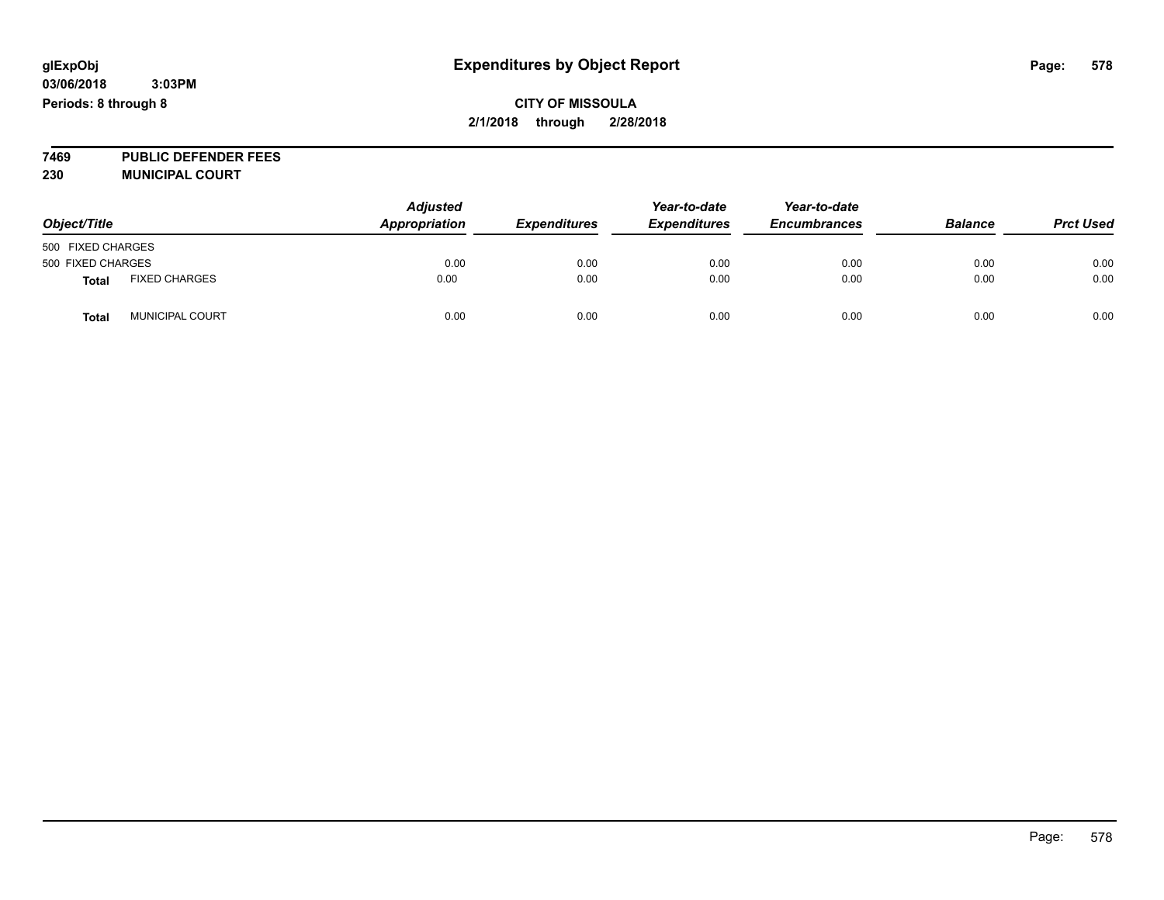### **CITY OF MISSOULA 2/1/2018 through 2/28/2018**

**7469 PUBLIC DEFENDER FEES 230 MUNICIPAL COURT**

| Object/Title      |                        | <b>Adjusted</b><br>Appropriation | <b>Expenditures</b> | Year-to-date<br><b>Expenditures</b> | Year-to-date<br><b>Encumbrances</b> | <b>Balance</b> | <b>Prct Used</b> |
|-------------------|------------------------|----------------------------------|---------------------|-------------------------------------|-------------------------------------|----------------|------------------|
| 500 FIXED CHARGES |                        |                                  |                     |                                     |                                     |                |                  |
| 500 FIXED CHARGES |                        | 0.00                             | 0.00                | 0.00                                | 0.00                                | 0.00           | 0.00             |
| <b>Total</b>      | <b>FIXED CHARGES</b>   | 0.00                             | 0.00                | 0.00                                | 0.00                                | 0.00           | 0.00             |
| <b>Total</b>      | <b>MUNICIPAL COURT</b> | 0.00                             | 0.00                | 0.00                                | 0.00                                | 0.00           | 0.00             |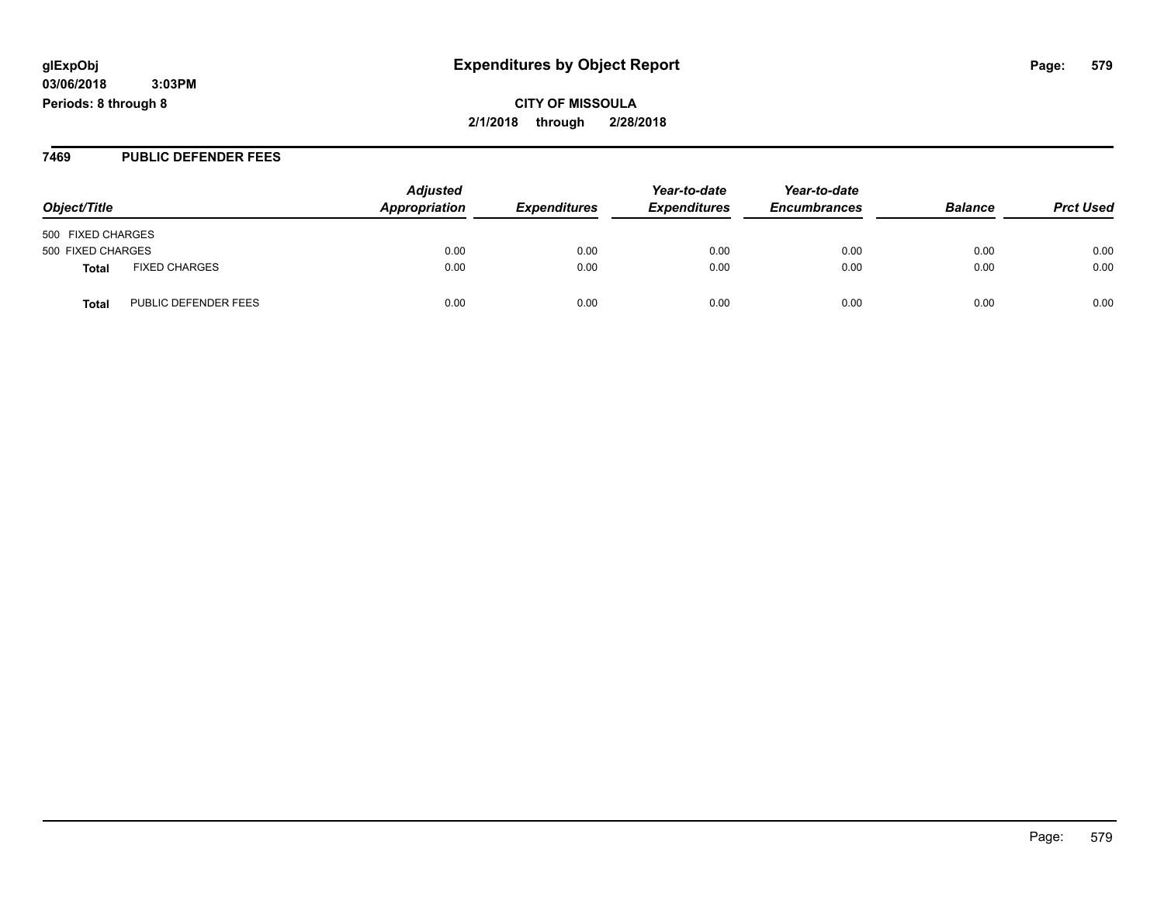**CITY OF MISSOULA 2/1/2018 through 2/28/2018**

### **7469 PUBLIC DEFENDER FEES**

| Object/Title                         | <b>Adjusted</b><br>Appropriation | <b>Expenditures</b> | Year-to-date<br><b>Expenditures</b> | Year-to-date<br><b>Encumbrances</b> | <b>Balance</b> | <b>Prct Used</b> |
|--------------------------------------|----------------------------------|---------------------|-------------------------------------|-------------------------------------|----------------|------------------|
|                                      |                                  |                     |                                     |                                     |                |                  |
| 500 FIXED CHARGES                    |                                  |                     |                                     |                                     |                |                  |
| 500 FIXED CHARGES                    | 0.00                             | 0.00                | 0.00                                | 0.00                                | 0.00           | 0.00             |
| <b>FIXED CHARGES</b><br>Total        | 0.00                             | 0.00                | 0.00                                | 0.00                                | 0.00           | 0.00             |
| PUBLIC DEFENDER FEES<br><b>Total</b> | 0.00                             | 0.00                | 0.00                                | 0.00                                | 0.00           | 0.00             |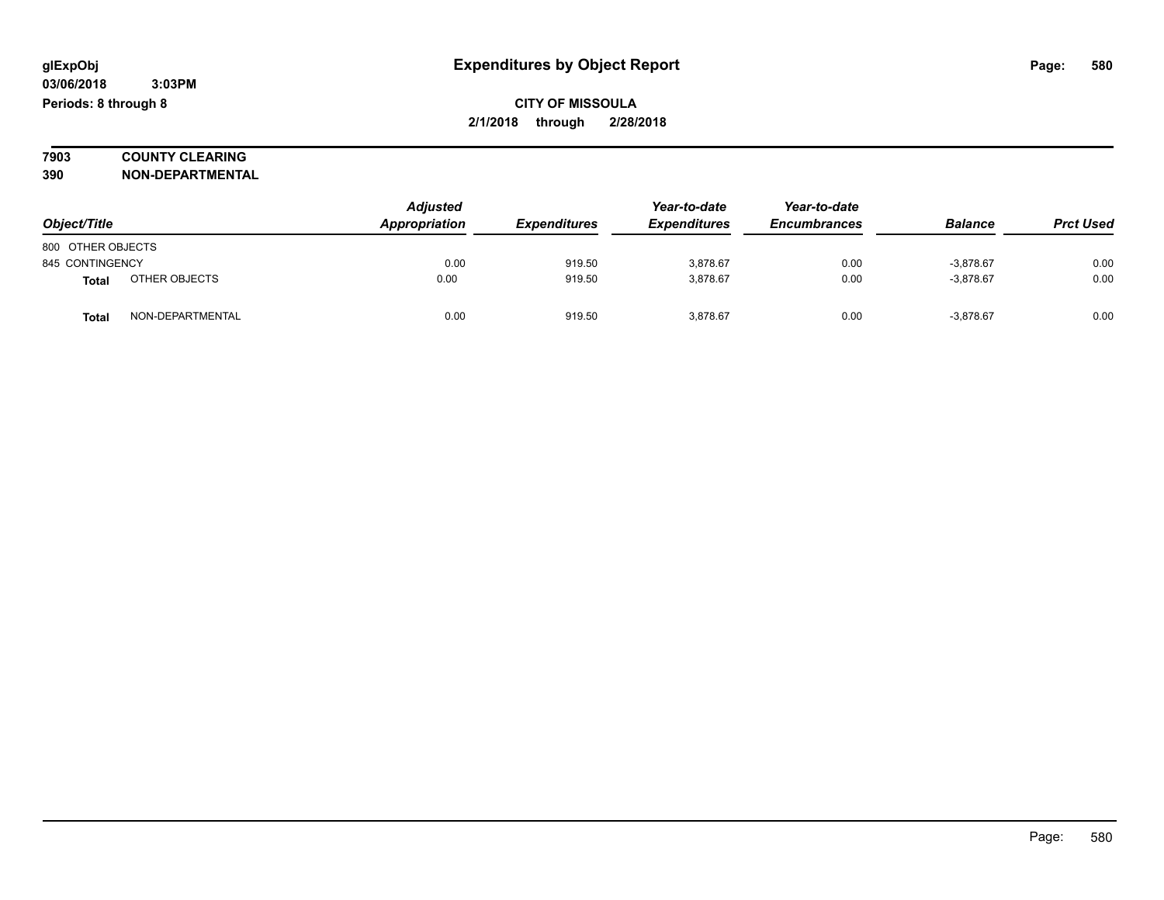### **7903 COUNTY CLEARING 390 NON-DEPARTMENTAL**

|                   |                  | <b>Adjusted</b> |                     | Year-to-date        | Year-to-date        |                |                  |
|-------------------|------------------|-----------------|---------------------|---------------------|---------------------|----------------|------------------|
| Object/Title      |                  | Appropriation   | <b>Expenditures</b> | <b>Expenditures</b> | <b>Encumbrances</b> | <b>Balance</b> | <b>Prct Used</b> |
| 800 OTHER OBJECTS |                  |                 |                     |                     |                     |                |                  |
| 845 CONTINGENCY   |                  | 0.00            | 919.50              | 3,878.67            | 0.00                | $-3.878.67$    | 0.00             |
| Total             | OTHER OBJECTS    | 0.00            | 919.50              | 3,878.67            | 0.00                | $-3.878.67$    | 0.00             |
| <b>Total</b>      | NON-DEPARTMENTAL | 0.00            | 919.50              | 3,878.67            | 0.00                | $-3,878.67$    | 0.00             |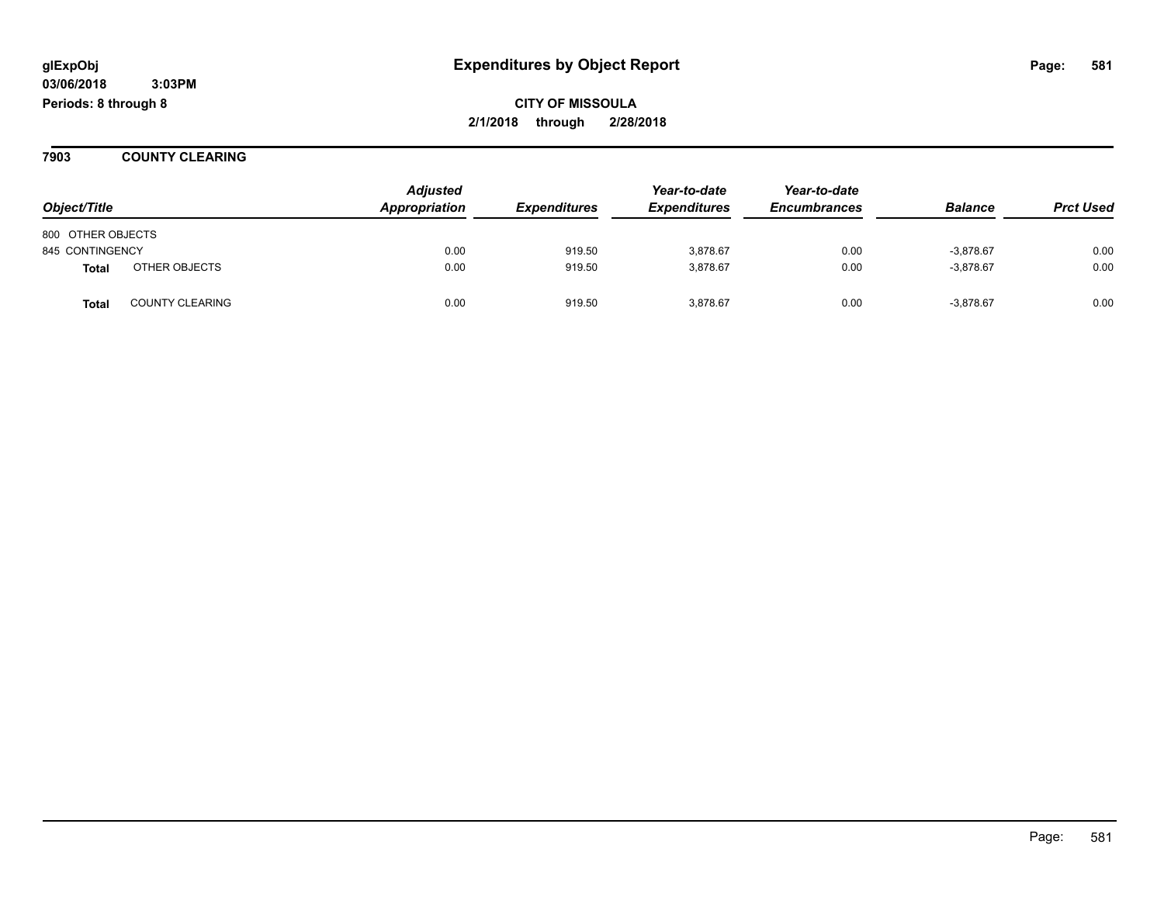**Periods: 8 through 8**

**CITY OF MISSOULA 2/1/2018 through 2/28/2018**

**7903 COUNTY CLEARING**

|                   |                        | <b>Adjusted</b> |                     | Year-to-date        | Year-to-date        |                |                  |
|-------------------|------------------------|-----------------|---------------------|---------------------|---------------------|----------------|------------------|
| Object/Title      |                        | Appropriation   | <b>Expenditures</b> | <b>Expenditures</b> | <b>Encumbrances</b> | <b>Balance</b> | <b>Prct Used</b> |
| 800 OTHER OBJECTS |                        |                 |                     |                     |                     |                |                  |
| 845 CONTINGENCY   |                        | 0.00            | 919.50              | 3.878.67            | 0.00                | $-3,878.67$    | 0.00             |
| <b>Total</b>      | OTHER OBJECTS          | 0.00            | 919.50              | 3,878.67            | 0.00                | $-3,878.67$    | 0.00             |
| <b>Total</b>      | <b>COUNTY CLEARING</b> | 0.00            | 919.50              | 3,878.67            | 0.00                | $-3,878.67$    | 0.00             |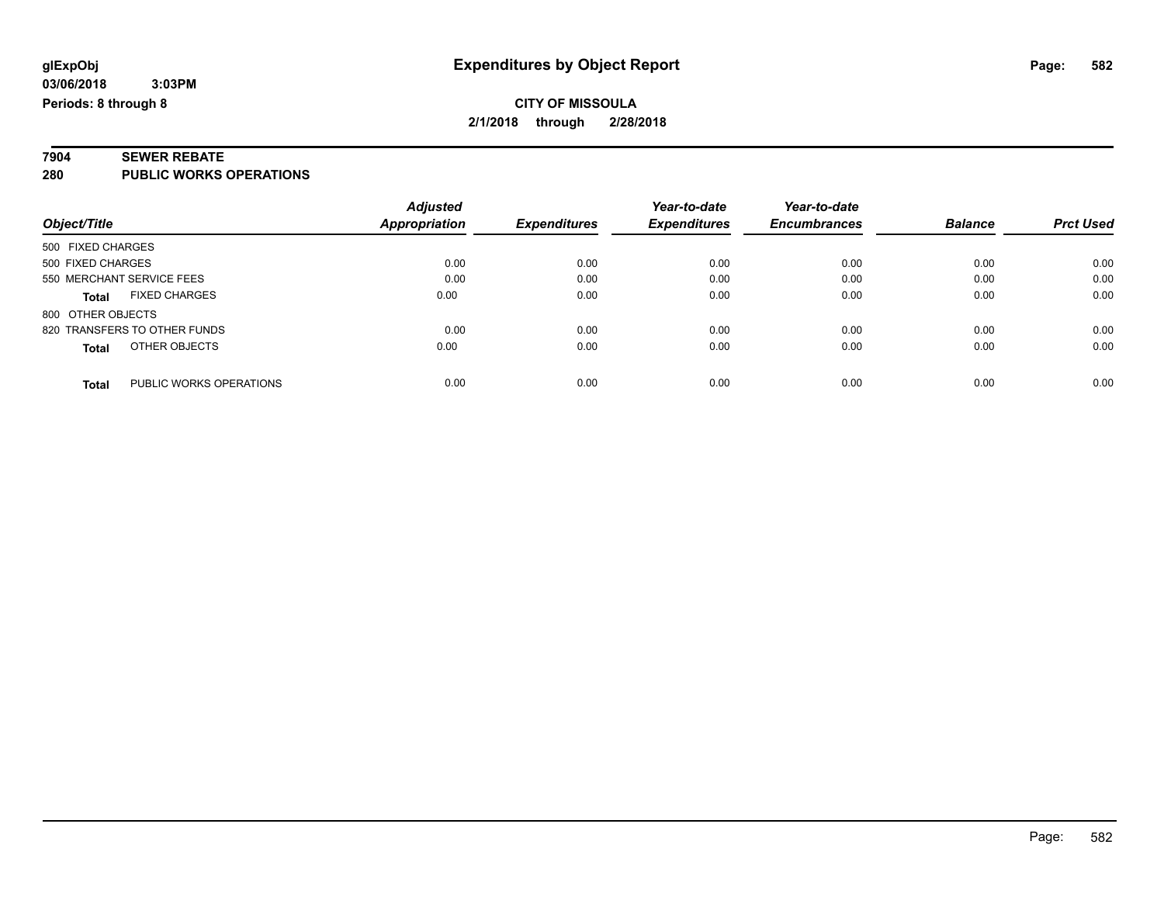# **7904 SEWER REBATE**

**280 PUBLIC WORKS OPERATIONS**

|                                         | <b>Adjusted</b>      |                     | Year-to-date        | Year-to-date        |                |                  |
|-----------------------------------------|----------------------|---------------------|---------------------|---------------------|----------------|------------------|
| Object/Title                            | <b>Appropriation</b> | <b>Expenditures</b> | <b>Expenditures</b> | <b>Encumbrances</b> | <b>Balance</b> | <b>Prct Used</b> |
| 500 FIXED CHARGES                       |                      |                     |                     |                     |                |                  |
| 500 FIXED CHARGES                       | 0.00                 | 0.00                | 0.00                | 0.00                | 0.00           | 0.00             |
| 550 MERCHANT SERVICE FEES               | 0.00                 | 0.00                | 0.00                | 0.00                | 0.00           | 0.00             |
| <b>FIXED CHARGES</b><br><b>Total</b>    | 0.00                 | 0.00                | 0.00                | 0.00                | 0.00           | 0.00             |
| 800 OTHER OBJECTS                       |                      |                     |                     |                     |                |                  |
| 820 TRANSFERS TO OTHER FUNDS            | 0.00                 | 0.00                | 0.00                | 0.00                | 0.00           | 0.00             |
| OTHER OBJECTS<br><b>Total</b>           | 0.00                 | 0.00                | 0.00                | 0.00                | 0.00           | 0.00             |
| PUBLIC WORKS OPERATIONS<br><b>Total</b> | 0.00                 | 0.00                | 0.00                | 0.00                | 0.00           | 0.00             |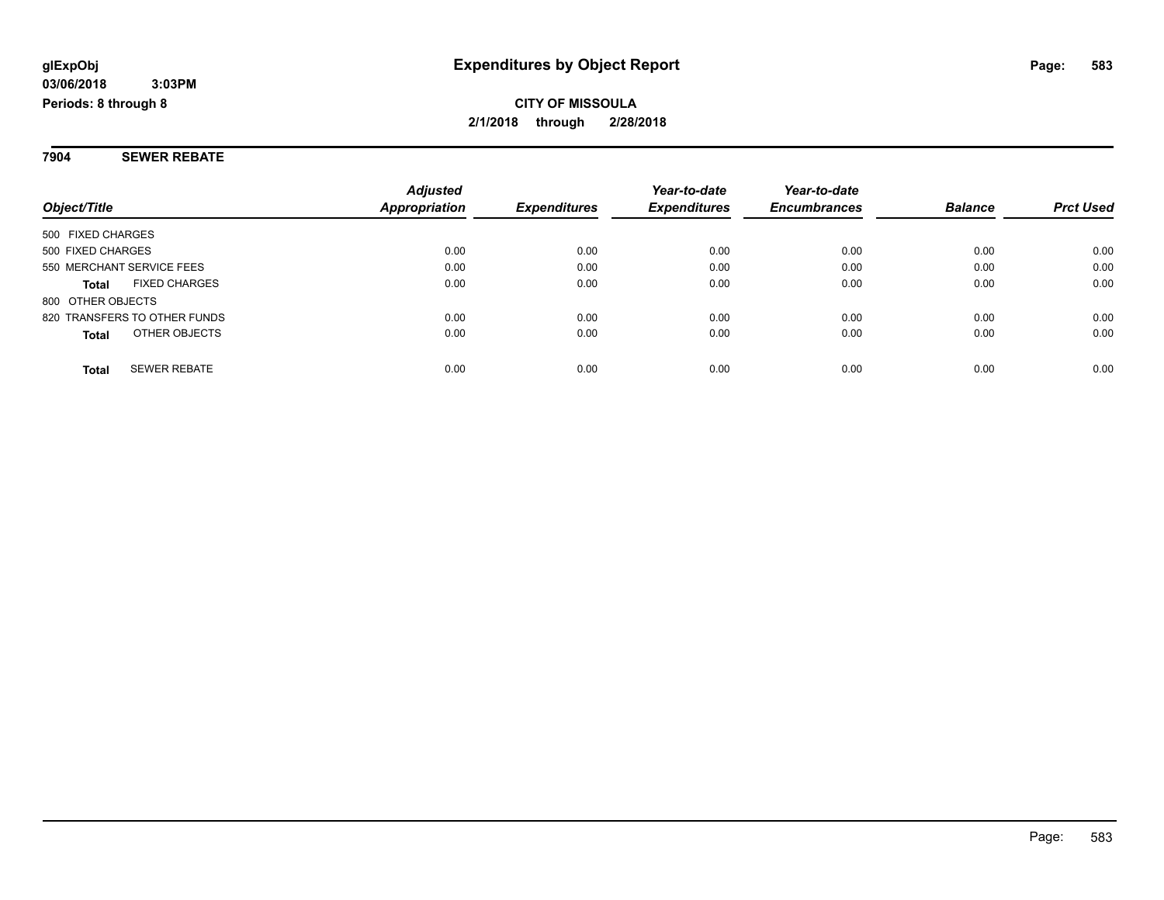**7904 SEWER REBATE**

|                                      | <b>Adjusted</b> |                     | Year-to-date        | Year-to-date        |                |                  |
|--------------------------------------|-----------------|---------------------|---------------------|---------------------|----------------|------------------|
| Object/Title                         | Appropriation   | <b>Expenditures</b> | <b>Expenditures</b> | <b>Encumbrances</b> | <b>Balance</b> | <b>Prct Used</b> |
| 500 FIXED CHARGES                    |                 |                     |                     |                     |                |                  |
| 500 FIXED CHARGES                    | 0.00            | 0.00                | 0.00                | 0.00                | 0.00           | 0.00             |
| 550 MERCHANT SERVICE FEES            | 0.00            | 0.00                | 0.00                | 0.00                | 0.00           | 0.00             |
| <b>FIXED CHARGES</b><br><b>Total</b> | 0.00            | 0.00                | 0.00                | 0.00                | 0.00           | 0.00             |
| 800 OTHER OBJECTS                    |                 |                     |                     |                     |                |                  |
| 820 TRANSFERS TO OTHER FUNDS         | 0.00            | 0.00                | 0.00                | 0.00                | 0.00           | 0.00             |
| OTHER OBJECTS<br><b>Total</b>        | 0.00            | 0.00                | 0.00                | 0.00                | 0.00           | 0.00             |
| <b>SEWER REBATE</b><br><b>Total</b>  | 0.00            | 0.00                | 0.00                | 0.00                | 0.00           | 0.00             |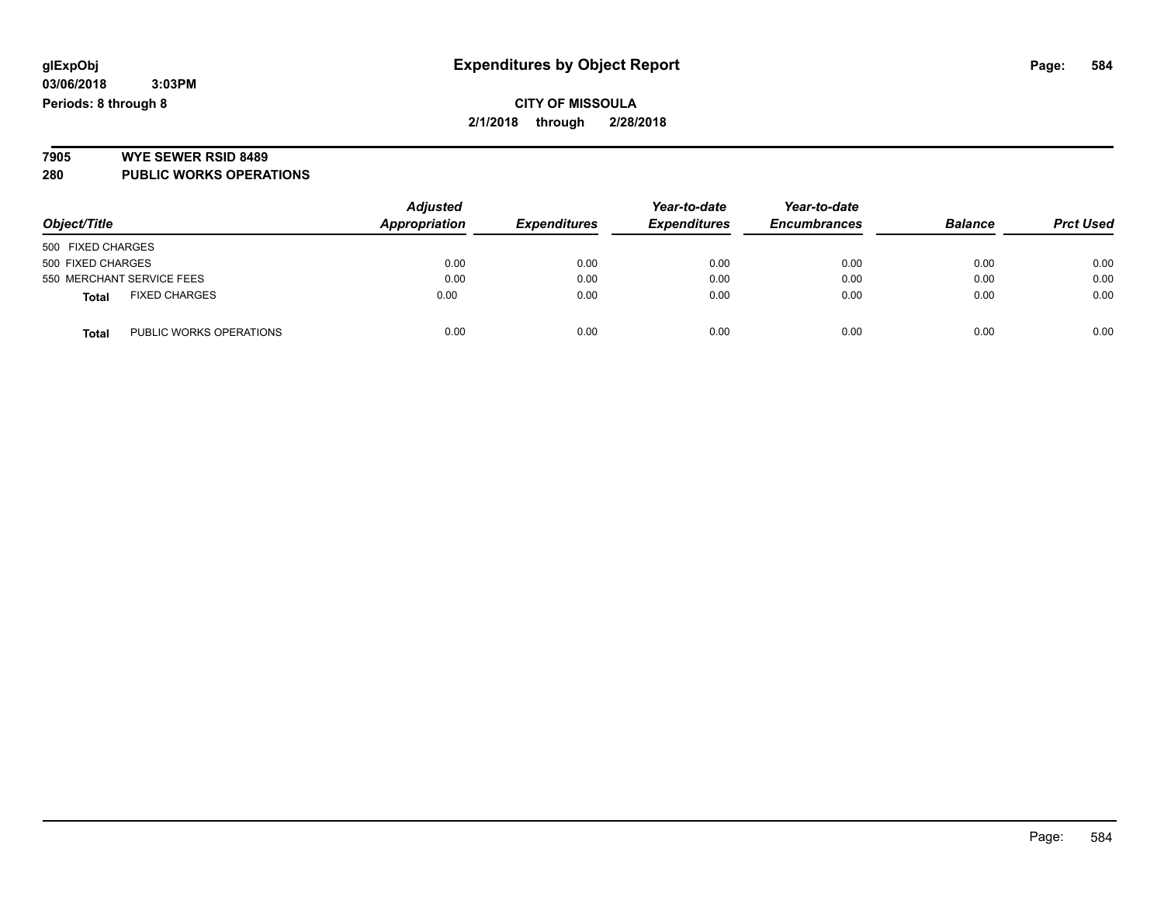# **7905 WYE SEWER RSID 8489**

**280 PUBLIC WORKS OPERATIONS**

| Object/Title                            | <b>Adjusted</b><br>Appropriation | <b>Expenditures</b> | Year-to-date<br><b>Expenditures</b> | Year-to-date<br><b>Encumbrances</b> | <b>Balance</b> | <b>Prct Used</b> |
|-----------------------------------------|----------------------------------|---------------------|-------------------------------------|-------------------------------------|----------------|------------------|
| 500 FIXED CHARGES                       |                                  |                     |                                     |                                     |                |                  |
| 500 FIXED CHARGES                       | 0.00                             | 0.00                | 0.00                                | 0.00                                | 0.00           | 0.00             |
| 550 MERCHANT SERVICE FEES               | 0.00                             | 0.00                | 0.00                                | 0.00                                | 0.00           | 0.00             |
| <b>FIXED CHARGES</b><br><b>Total</b>    | 0.00                             | 0.00                | 0.00                                | 0.00                                | 0.00           | 0.00             |
| PUBLIC WORKS OPERATIONS<br><b>Total</b> | 0.00                             | 0.00                | 0.00                                | 0.00                                | 0.00           | 0.00             |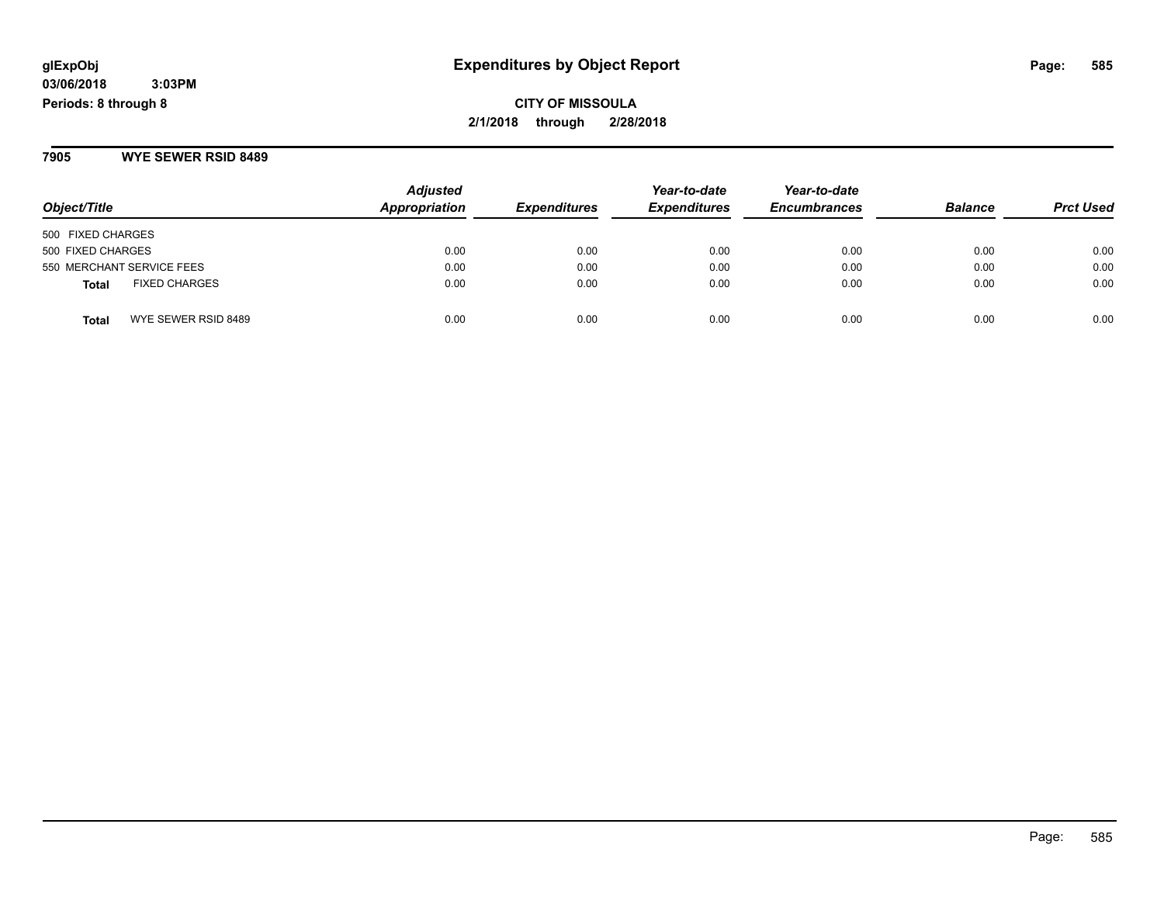**CITY OF MISSOULA 2/1/2018 through 2/28/2018**

**7905 WYE SEWER RSID 8489**

| Object/Title                         | <b>Adjusted</b><br>Appropriation | <b>Expenditures</b> | Year-to-date<br><b>Expenditures</b> | Year-to-date<br><b>Encumbrances</b> | <b>Balance</b> | <b>Prct Used</b> |
|--------------------------------------|----------------------------------|---------------------|-------------------------------------|-------------------------------------|----------------|------------------|
| 500 FIXED CHARGES                    |                                  |                     |                                     |                                     |                |                  |
| 500 FIXED CHARGES                    | 0.00                             | 0.00                | 0.00                                | 0.00                                | 0.00           | 0.00             |
| 550 MERCHANT SERVICE FEES            | 0.00                             | 0.00                | 0.00                                | 0.00                                | 0.00           | 0.00             |
| <b>FIXED CHARGES</b><br><b>Total</b> | 0.00                             | 0.00                | 0.00                                | 0.00                                | 0.00           | 0.00             |
| WYE SEWER RSID 8489<br><b>Total</b>  | 0.00                             | 0.00                | 0.00                                | 0.00                                | 0.00           | 0.00             |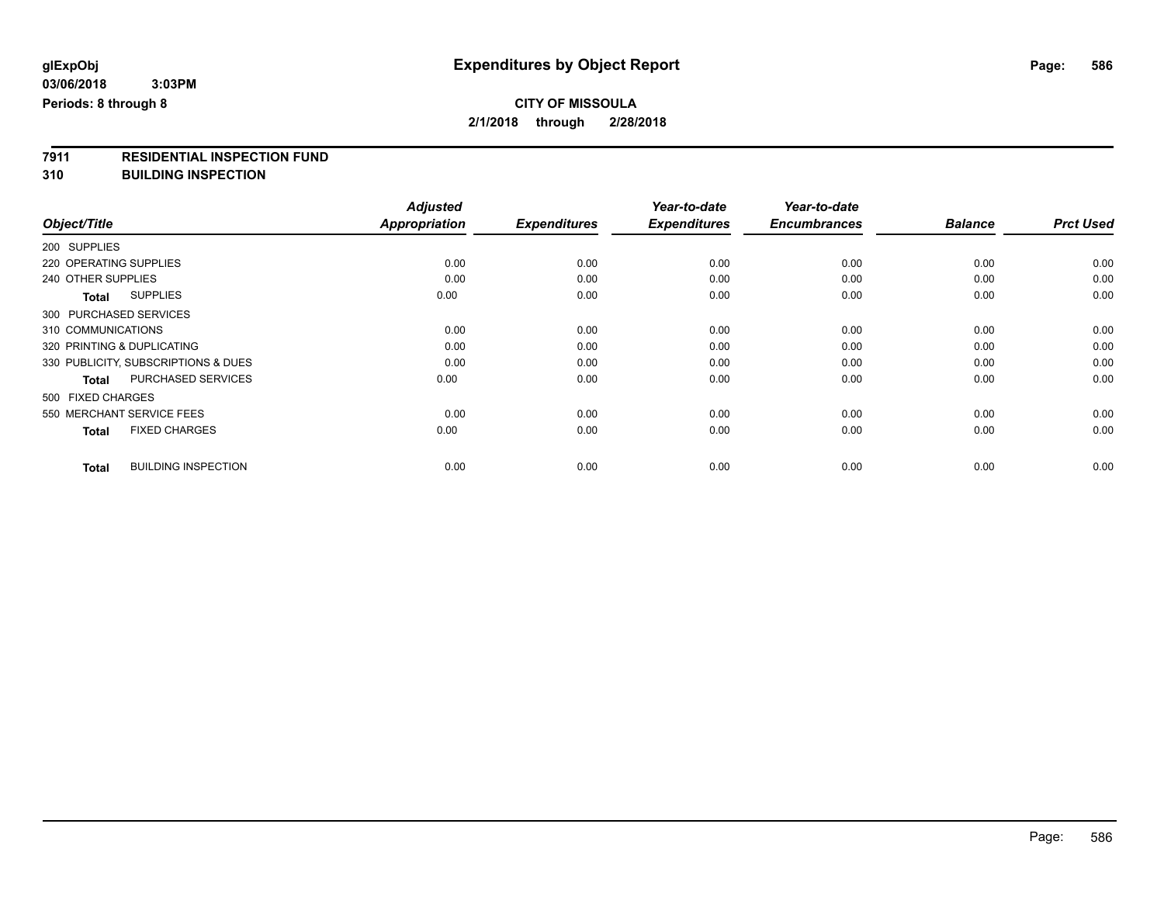# **7911 RESIDENTIAL INSPECTION FUND**

**310 BUILDING INSPECTION**

|                                            | <b>Adjusted</b> |                     | Year-to-date        | Year-to-date        |                |                  |
|--------------------------------------------|-----------------|---------------------|---------------------|---------------------|----------------|------------------|
| Object/Title                               | Appropriation   | <b>Expenditures</b> | <b>Expenditures</b> | <b>Encumbrances</b> | <b>Balance</b> | <b>Prct Used</b> |
| 200 SUPPLIES                               |                 |                     |                     |                     |                |                  |
| 220 OPERATING SUPPLIES                     | 0.00            | 0.00                | 0.00                | 0.00                | 0.00           | 0.00             |
| 240 OTHER SUPPLIES                         | 0.00            | 0.00                | 0.00                | 0.00                | 0.00           | 0.00             |
| <b>SUPPLIES</b><br>Total                   | 0.00            | 0.00                | 0.00                | 0.00                | 0.00           | 0.00             |
| 300 PURCHASED SERVICES                     |                 |                     |                     |                     |                |                  |
| 310 COMMUNICATIONS                         | 0.00            | 0.00                | 0.00                | 0.00                | 0.00           | 0.00             |
| 320 PRINTING & DUPLICATING                 | 0.00            | 0.00                | 0.00                | 0.00                | 0.00           | 0.00             |
| 330 PUBLICITY, SUBSCRIPTIONS & DUES        | 0.00            | 0.00                | 0.00                | 0.00                | 0.00           | 0.00             |
| PURCHASED SERVICES<br><b>Total</b>         | 0.00            | 0.00                | 0.00                | 0.00                | 0.00           | 0.00             |
| 500 FIXED CHARGES                          |                 |                     |                     |                     |                |                  |
| 550 MERCHANT SERVICE FEES                  | 0.00            | 0.00                | 0.00                | 0.00                | 0.00           | 0.00             |
| <b>FIXED CHARGES</b><br><b>Total</b>       | 0.00            | 0.00                | 0.00                | 0.00                | 0.00           | 0.00             |
| <b>BUILDING INSPECTION</b><br><b>Total</b> | 0.00            | 0.00                | 0.00                | 0.00                | 0.00           | 0.00             |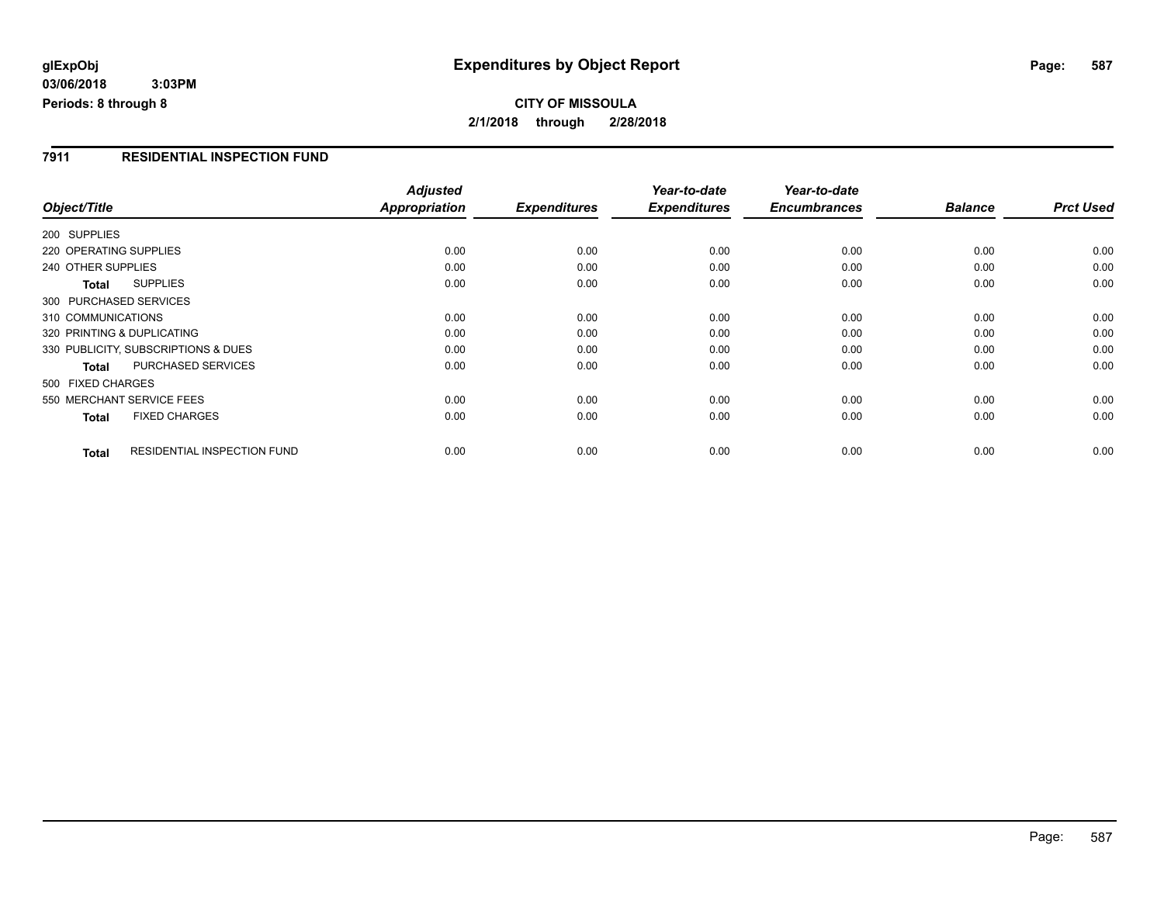### **CITY OF MISSOULA 2/1/2018 through 2/28/2018**

### **7911 RESIDENTIAL INSPECTION FUND**

|                            |                                     | <b>Adjusted</b> |                     | Year-to-date        | Year-to-date        |                |                  |
|----------------------------|-------------------------------------|-----------------|---------------------|---------------------|---------------------|----------------|------------------|
| Object/Title               |                                     | Appropriation   | <b>Expenditures</b> | <b>Expenditures</b> | <b>Encumbrances</b> | <b>Balance</b> | <b>Prct Used</b> |
| 200 SUPPLIES               |                                     |                 |                     |                     |                     |                |                  |
| 220 OPERATING SUPPLIES     |                                     | 0.00            | 0.00                | 0.00                | 0.00                | 0.00           | 0.00             |
| 240 OTHER SUPPLIES         |                                     | 0.00            | 0.00                | 0.00                | 0.00                | 0.00           | 0.00             |
| <b>Total</b>               | <b>SUPPLIES</b>                     | 0.00            | 0.00                | 0.00                | 0.00                | 0.00           | 0.00             |
| 300 PURCHASED SERVICES     |                                     |                 |                     |                     |                     |                |                  |
| 310 COMMUNICATIONS         |                                     | 0.00            | 0.00                | 0.00                | 0.00                | 0.00           | 0.00             |
| 320 PRINTING & DUPLICATING |                                     | 0.00            | 0.00                | 0.00                | 0.00                | 0.00           | 0.00             |
|                            | 330 PUBLICITY, SUBSCRIPTIONS & DUES | 0.00            | 0.00                | 0.00                | 0.00                | 0.00           | 0.00             |
| Total                      | <b>PURCHASED SERVICES</b>           | 0.00            | 0.00                | 0.00                | 0.00                | 0.00           | 0.00             |
| 500 FIXED CHARGES          |                                     |                 |                     |                     |                     |                |                  |
| 550 MERCHANT SERVICE FEES  |                                     | 0.00            | 0.00                | 0.00                | 0.00                | 0.00           | 0.00             |
| <b>Total</b>               | <b>FIXED CHARGES</b>                | 0.00            | 0.00                | 0.00                | 0.00                | 0.00           | 0.00             |
| <b>Total</b>               | RESIDENTIAL INSPECTION FUND         | 0.00            | 0.00                | 0.00                | 0.00                | 0.00           | 0.00             |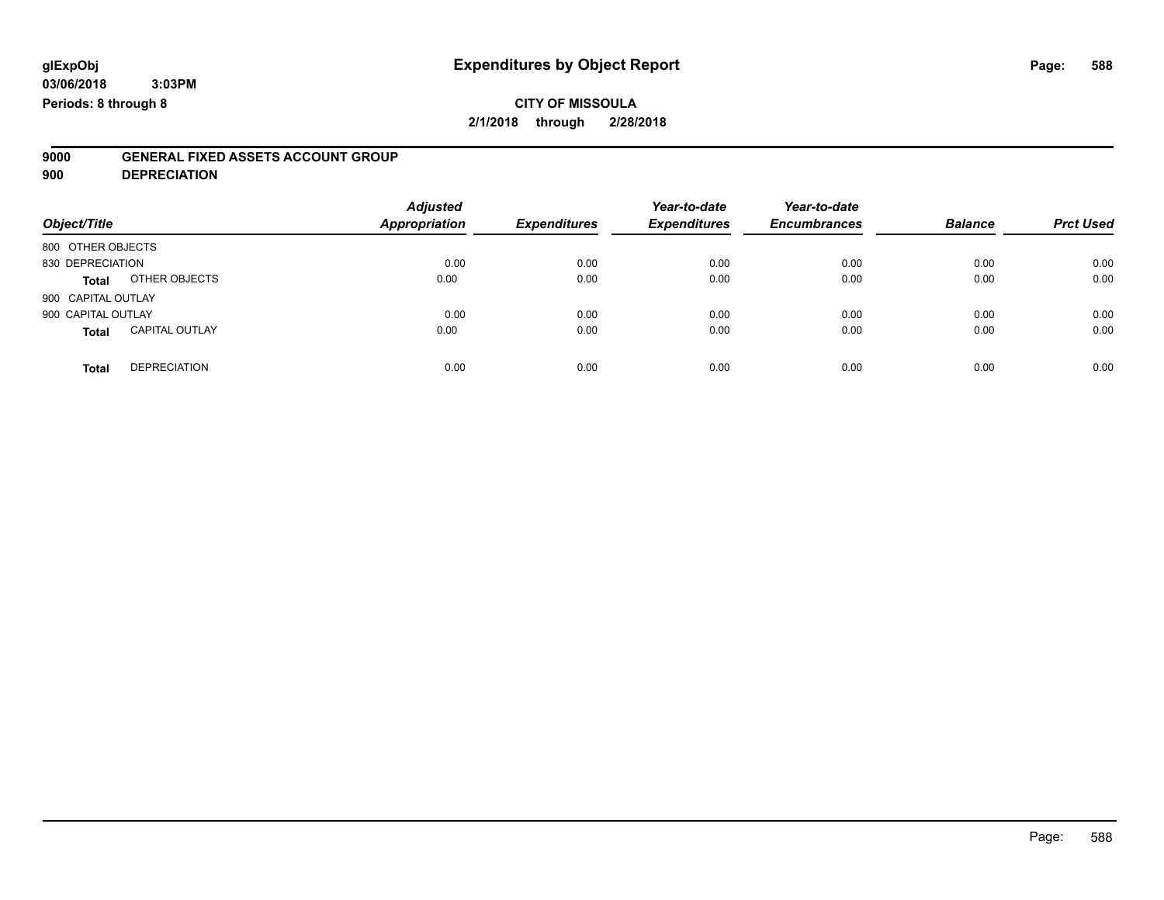### **CITY OF MISSOULA**

**2/1/2018 through 2/28/2018**

# **9000 GENERAL FIXED ASSETS ACCOUNT GROUP**

**900 DEPRECIATION**

| Object/Title       |                       | <b>Adjusted</b><br><b>Appropriation</b> | <b>Expenditures</b> | Year-to-date<br><b>Expenditures</b> | Year-to-date<br><b>Encumbrances</b> | <b>Balance</b> | <b>Prct Used</b> |
|--------------------|-----------------------|-----------------------------------------|---------------------|-------------------------------------|-------------------------------------|----------------|------------------|
| 800 OTHER OBJECTS  |                       |                                         |                     |                                     |                                     |                |                  |
| 830 DEPRECIATION   |                       | 0.00                                    | 0.00                | 0.00                                | 0.00                                | 0.00           | 0.00             |
| <b>Total</b>       | OTHER OBJECTS         | 0.00                                    | 0.00                | 0.00                                | 0.00                                | 0.00           | 0.00             |
| 900 CAPITAL OUTLAY |                       |                                         |                     |                                     |                                     |                |                  |
| 900 CAPITAL OUTLAY |                       | 0.00                                    | 0.00                | 0.00                                | 0.00                                | 0.00           | 0.00             |
| <b>Total</b>       | <b>CAPITAL OUTLAY</b> | 0.00                                    | 0.00                | 0.00                                | 0.00                                | 0.00           | 0.00             |
| <b>Total</b>       | <b>DEPRECIATION</b>   | 0.00                                    | 0.00                | 0.00                                | 0.00                                | 0.00           | 0.00             |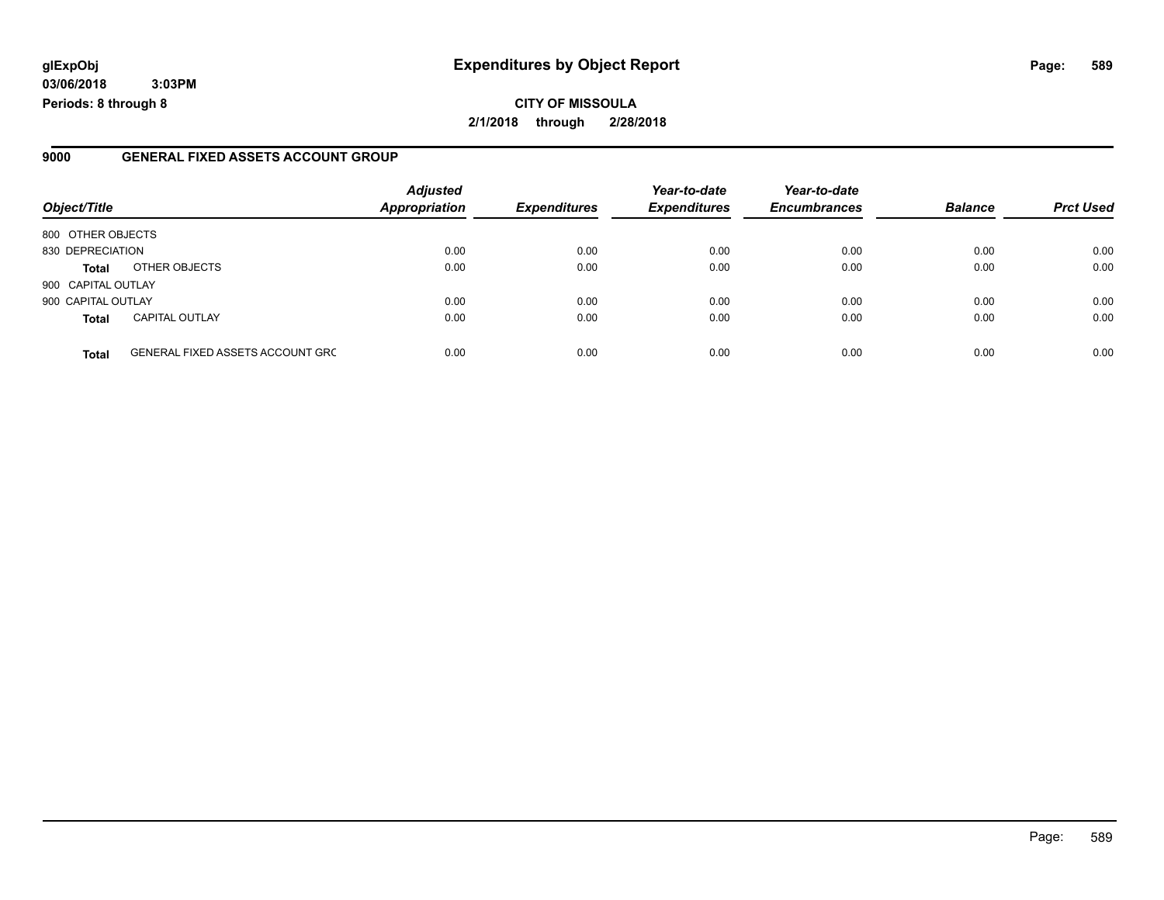### **glExpObj Expenditures by Object Report Page: 589**

**03/06/2018 3:03PM Periods: 8 through 8**

### **9000 GENERAL FIXED ASSETS ACCOUNT GROUP**

| Object/Title       |                                         | <b>Adjusted</b><br><b>Appropriation</b> | <b>Expenditures</b> | Year-to-date<br><b>Expenditures</b> | Year-to-date<br><b>Encumbrances</b> | <b>Balance</b> | <b>Prct Used</b> |
|--------------------|-----------------------------------------|-----------------------------------------|---------------------|-------------------------------------|-------------------------------------|----------------|------------------|
| 800 OTHER OBJECTS  |                                         |                                         |                     |                                     |                                     |                |                  |
| 830 DEPRECIATION   |                                         | 0.00                                    | 0.00                | 0.00                                | 0.00                                | 0.00           | 0.00             |
| Total              | OTHER OBJECTS                           | 0.00                                    | 0.00                | 0.00                                | 0.00                                | 0.00           | 0.00             |
| 900 CAPITAL OUTLAY |                                         |                                         |                     |                                     |                                     |                |                  |
| 900 CAPITAL OUTLAY |                                         | 0.00                                    | 0.00                | 0.00                                | 0.00                                | 0.00           | 0.00             |
| <b>Total</b>       | <b>CAPITAL OUTLAY</b>                   | 0.00                                    | 0.00                | 0.00                                | 0.00                                | 0.00           | 0.00             |
| <b>Total</b>       | <b>GENERAL FIXED ASSETS ACCOUNT GRC</b> | 0.00                                    | 0.00                | 0.00                                | 0.00                                | 0.00           | 0.00             |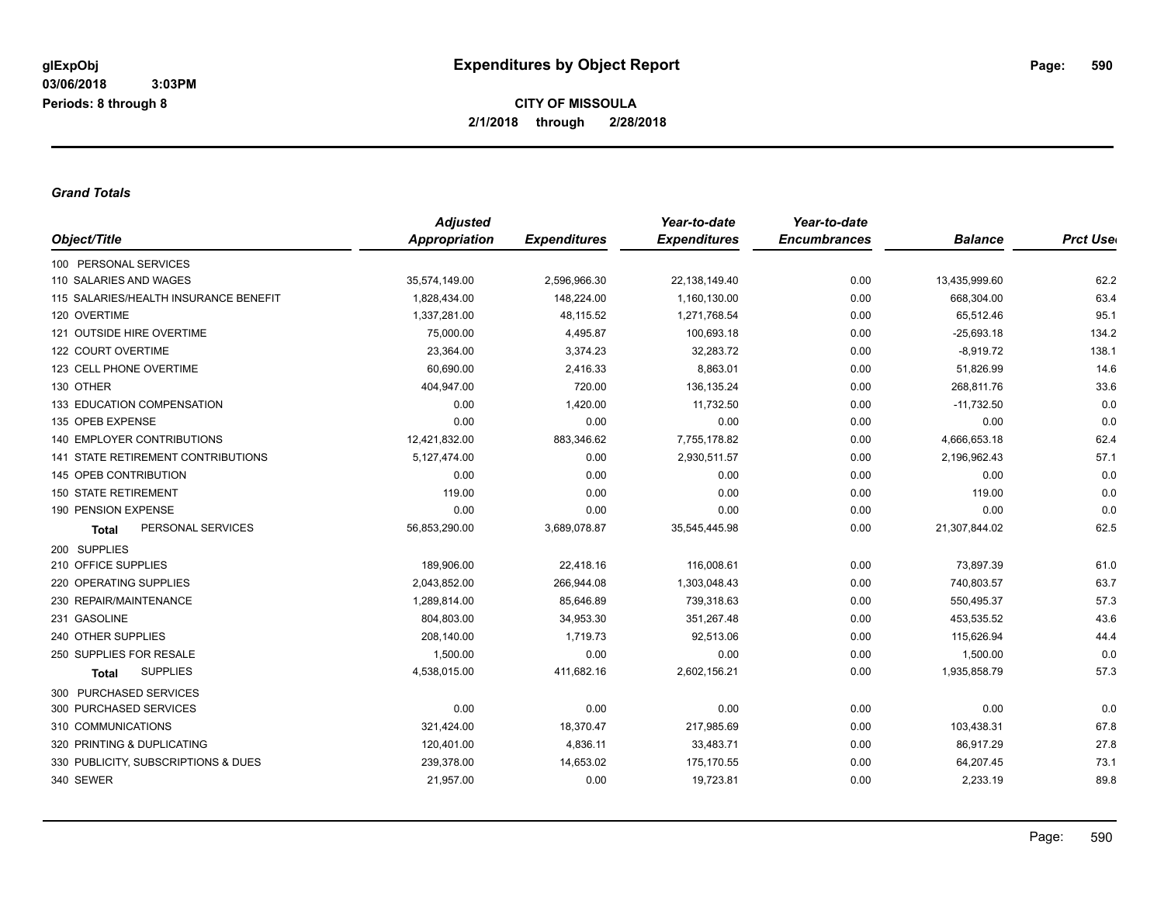#### *Grand Totals*

|                                       | <b>Adjusted</b> |                     | Year-to-date        | Year-to-date        |                |                  |
|---------------------------------------|-----------------|---------------------|---------------------|---------------------|----------------|------------------|
| Object/Title                          | Appropriation   | <b>Expenditures</b> | <b>Expenditures</b> | <b>Encumbrances</b> | <b>Balance</b> | <b>Prct Uset</b> |
| 100 PERSONAL SERVICES                 |                 |                     |                     |                     |                |                  |
| 110 SALARIES AND WAGES                | 35,574,149.00   | 2,596,966.30        | 22,138,149.40       | 0.00                | 13,435,999.60  | 62.2             |
| 115 SALARIES/HEALTH INSURANCE BENEFIT | 1,828,434.00    | 148,224.00          | 1,160,130.00        | 0.00                | 668,304.00     | 63.4             |
| 120 OVERTIME                          | 1,337,281.00    | 48,115.52           | 1,271,768.54        | 0.00                | 65,512.46      | 95.1             |
| 121 OUTSIDE HIRE OVERTIME             | 75,000.00       | 4,495.87            | 100,693.18          | 0.00                | $-25,693.18$   | 134.2            |
| 122 COURT OVERTIME                    | 23,364.00       | 3,374.23            | 32,283.72           | 0.00                | $-8,919.72$    | 138.1            |
| 123 CELL PHONE OVERTIME               | 60.690.00       | 2,416.33            | 8,863.01            | 0.00                | 51,826.99      | 14.6             |
| 130 OTHER                             | 404,947.00      | 720.00              | 136, 135.24         | 0.00                | 268,811.76     | 33.6             |
| 133 EDUCATION COMPENSATION            | 0.00            | 1,420.00            | 11,732.50           | 0.00                | $-11,732.50$   | 0.0              |
| 135 OPEB EXPENSE                      | 0.00            | 0.00                | 0.00                | 0.00                | 0.00           | 0.0              |
| <b>140 EMPLOYER CONTRIBUTIONS</b>     | 12,421,832.00   | 883,346.62          | 7,755,178.82        | 0.00                | 4,666,653.18   | 62.4             |
| 141 STATE RETIREMENT CONTRIBUTIONS    | 5,127,474.00    | 0.00                | 2,930,511.57        | 0.00                | 2,196,962.43   | 57.1             |
| 145 OPEB CONTRIBUTION                 | 0.00            | 0.00                | 0.00                | 0.00                | 0.00           | 0.0              |
| <b>150 STATE RETIREMENT</b>           | 119.00          | 0.00                | 0.00                | 0.00                | 119.00         | 0.0              |
| 190 PENSION EXPENSE                   | 0.00            | 0.00                | 0.00                | 0.00                | 0.00           | 0.0              |
| PERSONAL SERVICES<br><b>Total</b>     | 56,853,290.00   | 3,689,078.87        | 35,545,445.98       | 0.00                | 21,307,844.02  | 62.5             |
| 200 SUPPLIES                          |                 |                     |                     |                     |                |                  |
| 210 OFFICE SUPPLIES                   | 189,906.00      | 22,418.16           | 116,008.61          | 0.00                | 73,897.39      | 61.0             |
| 220 OPERATING SUPPLIES                | 2,043,852.00    | 266,944.08          | 1,303,048.43        | 0.00                | 740,803.57     | 63.7             |
| 230 REPAIR/MAINTENANCE                | 1,289,814.00    | 85,646.89           | 739,318.63          | 0.00                | 550,495.37     | 57.3             |
| 231 GASOLINE                          | 804,803.00      | 34,953.30           | 351,267.48          | 0.00                | 453,535.52     | 43.6             |
| 240 OTHER SUPPLIES                    | 208,140.00      | 1,719.73            | 92,513.06           | 0.00                | 115,626.94     | 44.4             |
| 250 SUPPLIES FOR RESALE               | 1,500.00        | 0.00                | 0.00                | 0.00                | 1,500.00       | 0.0              |
| <b>SUPPLIES</b><br>Total              | 4,538,015.00    | 411,682.16          | 2,602,156.21        | 0.00                | 1,935,858.79   | 57.3             |
| 300 PURCHASED SERVICES                |                 |                     |                     |                     |                |                  |
| 300 PURCHASED SERVICES                | 0.00            | 0.00                | 0.00                | 0.00                | 0.00           | 0.0              |
| 310 COMMUNICATIONS                    | 321,424.00      | 18,370.47           | 217,985.69          | 0.00                | 103,438.31     | 67.8             |
| 320 PRINTING & DUPLICATING            | 120,401.00      | 4,836.11            | 33,483.71           | 0.00                | 86,917.29      | 27.8             |
| 330 PUBLICITY, SUBSCRIPTIONS & DUES   | 239,378.00      | 14,653.02           | 175,170.55          | 0.00                | 64,207.45      | 73.1             |
| 340 SEWER                             | 21,957.00       | 0.00                | 19,723.81           | 0.00                | 2,233.19       | 89.8             |
|                                       |                 |                     |                     |                     |                |                  |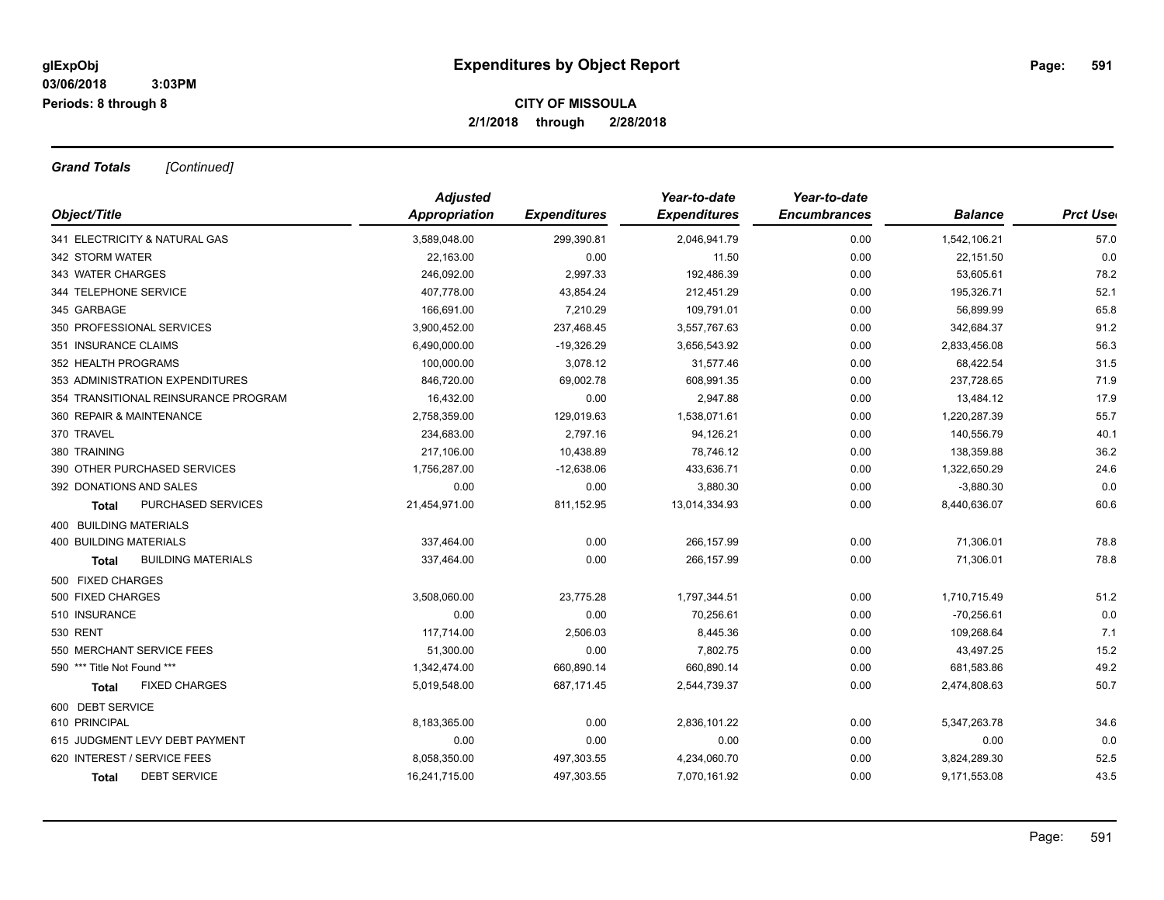*Grand Totals [Continued]*

|                                      | <b>Adjusted</b> |                     | Year-to-date        | Year-to-date        |                |                  |
|--------------------------------------|-----------------|---------------------|---------------------|---------------------|----------------|------------------|
| Object/Title                         | Appropriation   | <b>Expenditures</b> | <b>Expenditures</b> | <b>Encumbrances</b> | <b>Balance</b> | <b>Prct Uset</b> |
| 341 ELECTRICITY & NATURAL GAS        | 3,589,048.00    | 299,390.81          | 2,046,941.79        | 0.00                | 1,542,106.21   | 57.0             |
| 342 STORM WATER                      | 22,163.00       | 0.00                | 11.50               | 0.00                | 22,151.50      | 0.0              |
| 343 WATER CHARGES                    | 246,092.00      | 2,997.33            | 192,486.39          | 0.00                | 53,605.61      | 78.2             |
| 344 TELEPHONE SERVICE                | 407,778.00      | 43,854.24           | 212,451.29          | 0.00                | 195,326.71     | 52.1             |
| 345 GARBAGE                          | 166,691.00      | 7.210.29            | 109,791.01          | 0.00                | 56,899.99      | 65.8             |
| 350 PROFESSIONAL SERVICES            | 3,900,452.00    | 237,468.45          | 3,557,767.63        | 0.00                | 342,684.37     | 91.2             |
| 351 INSURANCE CLAIMS                 | 6,490,000.00    | $-19,326.29$        | 3,656,543.92        | 0.00                | 2,833,456.08   | 56.3             |
| 352 HEALTH PROGRAMS                  | 100,000.00      | 3,078.12            | 31,577.46           | 0.00                | 68,422.54      | 31.5             |
| 353 ADMINISTRATION EXPENDITURES      | 846,720.00      | 69,002.78           | 608,991.35          | 0.00                | 237,728.65     | 71.9             |
| 354 TRANSITIONAL REINSURANCE PROGRAM | 16,432.00       | 0.00                | 2,947.88            | 0.00                | 13,484.12      | 17.9             |
| 360 REPAIR & MAINTENANCE             | 2,758,359.00    | 129,019.63          | 1,538,071.61        | 0.00                | 1,220,287.39   | 55.7             |
| 370 TRAVEL                           | 234,683.00      | 2,797.16            | 94,126.21           | 0.00                | 140,556.79     | 40.1             |
| 380 TRAINING                         | 217,106.00      | 10,438.89           | 78,746.12           | 0.00                | 138,359.88     | 36.2             |
| 390 OTHER PURCHASED SERVICES         | 1,756,287.00    | $-12,638.06$        | 433,636.71          | 0.00                | 1,322,650.29   | 24.6             |
| 392 DONATIONS AND SALES              | 0.00            | 0.00                | 3,880.30            | 0.00                | $-3,880.30$    | 0.0              |
| PURCHASED SERVICES<br>Total          | 21,454,971.00   | 811,152.95          | 13,014,334.93       | 0.00                | 8,440,636.07   | 60.6             |
| 400 BUILDING MATERIALS               |                 |                     |                     |                     |                |                  |
| <b>400 BUILDING MATERIALS</b>        | 337,464.00      | 0.00                | 266,157.99          | 0.00                | 71,306.01      | 78.8             |
| <b>BUILDING MATERIALS</b><br>Total   | 337,464.00      | 0.00                | 266,157.99          | 0.00                | 71,306.01      | 78.8             |
| 500 FIXED CHARGES                    |                 |                     |                     |                     |                |                  |
| 500 FIXED CHARGES                    | 3,508,060.00    | 23,775.28           | 1,797,344.51        | 0.00                | 1,710,715.49   | 51.2             |
| 510 INSURANCE                        | 0.00            | 0.00                | 70,256.61           | 0.00                | $-70,256.61$   | 0.0              |
| <b>530 RENT</b>                      | 117,714.00      | 2,506.03            | 8,445.36            | 0.00                | 109,268.64     | 7.1              |
| 550 MERCHANT SERVICE FEES            | 51,300.00       | 0.00                | 7,802.75            | 0.00                | 43,497.25      | 15.2             |
| 590 *** Title Not Found ***          | 1,342,474.00    | 660,890.14          | 660,890.14          | 0.00                | 681,583.86     | 49.2             |
| <b>FIXED CHARGES</b><br><b>Total</b> | 5,019,548.00    | 687,171.45          | 2,544,739.37        | 0.00                | 2,474,808.63   | 50.7             |
| 600 DEBT SERVICE                     |                 |                     |                     |                     |                |                  |
| 610 PRINCIPAL                        | 8,183,365.00    | 0.00                | 2,836,101.22        | 0.00                | 5,347,263.78   | 34.6             |
| 615 JUDGMENT LEVY DEBT PAYMENT       | 0.00            | 0.00                | 0.00                | 0.00                | 0.00           | 0.0              |
| 620 INTEREST / SERVICE FEES          | 8,058,350.00    | 497,303.55          | 4,234,060.70        | 0.00                | 3,824,289.30   | 52.5             |
| <b>DEBT SERVICE</b><br><b>Total</b>  | 16,241,715.00   | 497,303.55          | 7,070,161.92        | 0.00                | 9,171,553.08   | 43.5             |